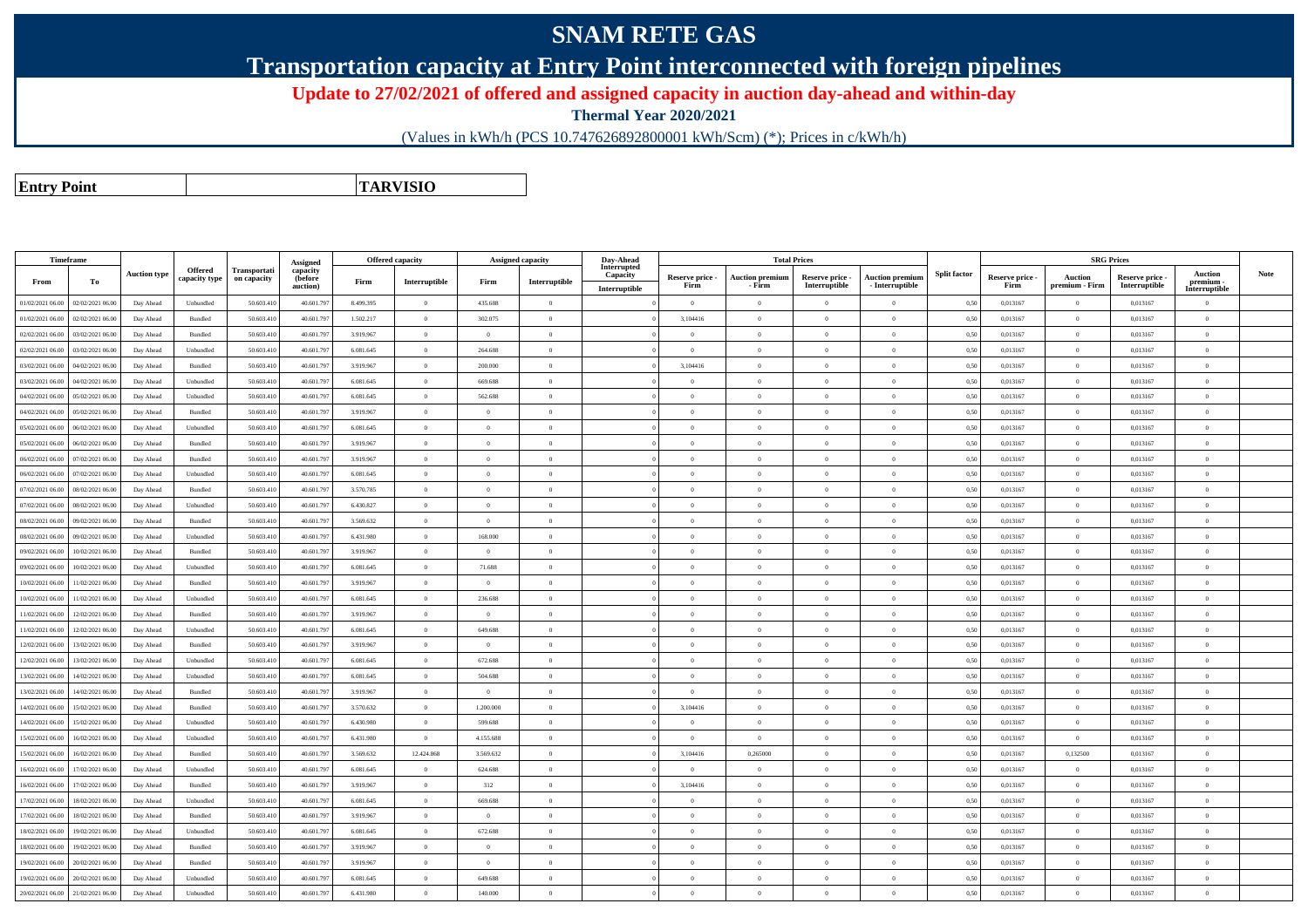## **SNAM RETE GAS**

**Transportation capacity at Entry Point interconnected with foreign pipelines**

**Update to 27/02/2021 of offered and assigned capacity in auction day-ahead and within-day**

**Thermal Year 2020/2021**

(Values in kWh/h (PCS 10.747626892800001 kWh/Scm) (\*); Prices in c/kWh/h)

**Entry PointTARVISIO**

|                  | Timeframe        |                     |                                 |                             | Assigned                        |           | Offered capacity |                | Assigned capacity | Day-Ahead                                |                         |                                  | <b>Total Prices</b>              |                                    |                     |                         |                           | <b>SRG Prices</b>                |                                       |             |
|------------------|------------------|---------------------|---------------------------------|-----------------------------|---------------------------------|-----------|------------------|----------------|-------------------|------------------------------------------|-------------------------|----------------------------------|----------------------------------|------------------------------------|---------------------|-------------------------|---------------------------|----------------------------------|---------------------------------------|-------------|
| From             | To               | <b>Auction type</b> | <b>Offered</b><br>capacity type | Transportati<br>on capacity | capacity<br>(before<br>auction) | Firm      | Interruptible    | Firm           | Interruptible     | Interrupted<br>Capacity<br>Interruptible | Reserve price -<br>Firm | <b>Auction premium</b><br>- Firm | Reserve price -<br>Interruptible | Auction premium<br>- Interruptible | <b>Split factor</b> | Reserve price -<br>Firm | Auction<br>premium - Firm | Reserve price -<br>Interruptible | Auction<br>premium -<br>Interruptible | <b>Note</b> |
| 01/02/2021 06:00 | 02/02/2021 06:00 | Day Ahead           | Unbundled                       | 50,603.41                   | 40.601.79                       | 8.499.395 | $\overline{0}$   | 435.688        | $\overline{0}$    |                                          | $\Omega$                | $\theta$                         | $\Omega$                         | $\theta$                           | 0,50                | 0.013167                | $\Omega$                  | 0.013167                         | $\Omega$                              |             |
| 01/02/2021 06:00 | 02/02/2021 06:00 | Day Ahead           | Bundled                         | 50.603.41                   | 40.601.79                       | 1.502.217 | $\overline{0}$   | 302.075        | $\bf{0}$          |                                          | 3,104416                | $\overline{0}$                   | $\overline{0}$                   | $\overline{0}$                     | 0,50                | 0,013167                | $\overline{0}$            | 0,013167                         | $\mathbf{0}$                          |             |
| 02/02/2021 06.00 | 3/02/2021 06.0   | Day Ahead           | Bundled                         | 50.603.41                   | 40.601.79                       | 3.919.967 | $\bf{0}$         | $\overline{0}$ | $\theta$          |                                          | $\Omega$                | $\overline{0}$                   | $\theta$                         | $\theta$                           | 0,50                | 0,013167                | $\overline{0}$            | 0,013167                         | $\mathbf{0}$                          |             |
| 02/02/2021 06:00 | 03/02/2021 06:00 | Day Ahead           | Unbundled                       | 50.603.41                   | 40.601.79                       | 6.081.645 | $\overline{0}$   | 264.688        | $\overline{0}$    |                                          | $\Omega$                | $\overline{0}$                   | $\theta$                         | $\theta$                           | 0,50                | 0,013167                | $\mathbf{0}$              | 0,013167                         | $\mathbf{0}$                          |             |
| 03/02/2021 06:00 | 04/02/2021 06.0  | Day Ahead           | Bundled                         | 50.603.41                   | 40.601.79                       | 3.919.967 | $\theta$         | 200.000        | $\Omega$          |                                          | 3,104416                | $\theta$                         | $\Omega$                         | $\Omega$                           | 0,50                | 0,013167                | $\Omega$                  | 0,013167                         | $\Omega$                              |             |
| 03/02/2021 06:00 | 04/02/2021 06.0  | Day Ahead           | Unbundled                       | 50.603.41                   | 40.601.79                       | 6.081.645 | $\overline{0}$   | 669.688        | $\overline{0}$    |                                          | $\Omega$                | $\overline{0}$                   | $\Omega$                         | $\theta$                           | 0,50                | 0,013167                | $\overline{0}$            | 0,013167                         | $\mathbf{0}$                          |             |
| 04/02/2021 06:00 | 05/02/2021 06.0  | Day Ahead           | Unbundled                       | 50.603.41                   | 40.601.79                       | 6.081.645 | $\overline{0}$   | 562.688        | $\overline{0}$    |                                          | $\Omega$                | $\overline{0}$                   | $\Omega$                         | $\theta$                           | 0,50                | 0,013167                | $\Omega$                  | 0,013167                         | $\Omega$                              |             |
| 04/02/2021 06:00 | 05/02/2021 06:00 | Day Ahead           | $\mathbf B$ undled              | 50,603.41                   | 40,601.79                       | 3.919.967 | $\overline{0}$   | $\overline{0}$ | $\overline{0}$    |                                          | $\Omega$                | $\theta$                         | $\Omega$                         | $\theta$                           | 0,50                | 0.013167                | $\overline{0}$            | 0.013167                         | $\overline{0}$                        |             |
| 05/02/2021 06:00 | 06/02/2021 06:00 | Day Ahead           | Unbundled                       | 50,603.41                   | 40,601.79                       | 6.081.645 | $\theta$         | $\alpha$       | $\Omega$          |                                          | $\Omega$                | $\sqrt{2}$                       | $\Omega$                         | $\theta$                           | 0.50                | 0.013167                | $\Omega$                  | 0.013167                         | $\Omega$                              |             |
| 05/02/2021 06:00 | 06/02/2021 06.0  | Day Ahead           | Bundled                         | 50.603.41                   | 40.601.79                       | 3.919.967 | $\overline{0}$   | $\overline{0}$ | $\Omega$          |                                          | $\Omega$                | $\overline{0}$                   | $\theta$                         | $\theta$                           | 0,50                | 0,013167                | $\overline{0}$            | 0,013167                         | $\mathbf{0}$                          |             |
| 06/02/2021 06:00 | 07/02/2021 06:00 | Day Ahead           | Bundled                         | 50.603.41                   | 40.601.79                       | 3.919.967 | $\overline{0}$   | $\overline{0}$ | $\overline{0}$    |                                          | $\Omega$                | $\overline{0}$                   | $\overline{0}$                   | $\theta$                           | 0,50                | 0,013167                | $\overline{0}$            | 0,013167                         | $\mathbf{0}$                          |             |
| 06/02/2021 06:00 | 07/02/2021 06.0  | Day Ahead           | Unbundled                       | 50.603.41                   | 40.601.79                       | 6.081.645 | $\overline{0}$   | $\overline{0}$ | $\theta$          |                                          | $\Omega$                | $\overline{0}$                   | $\Omega$                         | $\mathbf{a}$                       | 0,50                | 0,013167                | $\overline{0}$            | 0,013167                         | $\Omega$                              |             |
| 07/02/2021 06:00 | 08/02/2021 06.0  | Day Ahead           | Bundled                         | 50.603.41                   | 40.601.79                       | 3.570.785 | $\overline{0}$   | $\Omega$       | $\Omega$          |                                          | $\Omega$                | $\theta$                         | $\Omega$                         | $\theta$                           | 0,50                | 0,013167                | $\Omega$                  | 0,013167                         | $\Omega$                              |             |
| 07/02/2021 06.00 | 08/02/2021 06.0  | Day Ahead           | Unbundled                       | 50.603.41                   | 40.601.79                       | 6.430.827 | $\overline{0}$   | $\overline{0}$ | $\theta$          |                                          | $\overline{0}$          | $\overline{0}$                   | $\theta$                         | $\theta$                           | 0,50                | 0,013167                | $\overline{0}$            | 0,013167                         | $\mathbf{0}$                          |             |
| 08/02/2021 06:00 | 09/02/2021 06.0  | Day Ahead           | Bundled                         | 50.603.41                   | 40.601.79                       | 3.569.632 | $\overline{0}$   | $\overline{0}$ | $\overline{0}$    |                                          | $\Omega$                | $\overline{0}$                   | $\theta$                         | $\theta$                           | 0,50                | 0,013167                | $\overline{0}$            | 0,013167                         | $\mathbf{0}$                          |             |
| 08/02/2021 06:00 | 09/02/2021 06:0  | Day Ahead           | Unbundled                       | 50,603.41                   | 40.601.79                       | 6.431.980 | $\theta$         | 168,000        | $\Omega$          |                                          | $\Omega$                | $\theta$                         | $\Omega$                         | $\theta$                           | 0.50                | 0.013167                | $\theta$                  | 0.013167                         | $\Omega$                              |             |
| 09/02/2021 06:00 | 10/02/2021 06:00 | Day Ahead           | Bundled                         | 50,603.41                   | 40,601.79                       | 3.919.967 | $\overline{0}$   | $\overline{0}$ | $\overline{0}$    |                                          | $\Omega$                | $\theta$                         | $\Omega$                         | $\theta$                           | 0,50                | 0.013167                | $\overline{0}$            | 0.013167                         | $\theta$                              |             |
| 09/02/2021 06:00 | 10/02/2021 06:00 | Day Ahead           | Unbundled                       | 50.603.41                   | 40.601.79                       | 6.081.645 | $\theta$         | 71.688         | $\Omega$          |                                          | $\Omega$                | $\theta$                         | $\theta$                         | $\theta$                           | 0,50                | 0.013167                | $\Omega$                  | 0.013167                         | $\Omega$                              |             |
| 10/02/2021 06:00 | 1/02/2021 06.0   | Day Ahead           | Bundled                         | 50.603.41                   | 40.601.79                       | 3.919.967 | $\,$ 0           | $\overline{0}$ | $\overline{0}$    |                                          | $\overline{0}$          | $\overline{0}$                   | $\theta$                         | $\theta$                           | 0,50                | 0,013167                | $\overline{0}$            | 0,013167                         | $\mathbf{0}$                          |             |
| 10/02/2021 06:00 | 11/02/2021 06.00 | Day Ahead           | Unbundled                       | 50.603.41                   | 40.601.79                       | 6.081.645 | $\overline{0}$   | 236,688        | $\overline{0}$    |                                          | $\Omega$                | $\theta$                         | $\overline{0}$                   | $\theta$                           | 0,50                | 0.013167                | $\mathbf{0}$              | 0,013167                         | $\Omega$                              |             |
| 11/02/2021 06.00 | 2/02/2021 06.0   | Day Ahead           | Bundled                         | 50.603.41                   | 40.601.79                       | 3.919.967 | $\overline{0}$   | $\Omega$       | $\Omega$          |                                          | $\Omega$                | $\overline{0}$                   | $\Omega$                         | $\mathbf{a}$                       | 0,50                | 0,013167                | $\Omega$                  | 0,013167                         | $\Omega$                              |             |
| 11/02/2021 06:00 | 12/02/2021 06.0  | Day Ahead           | Unbundled                       | 50.603.41                   | 40.601.79                       | 6.081.645 | $\overline{0}$   | 649.688        | $\overline{0}$    |                                          | $\overline{0}$          | $\overline{0}$                   | $\theta$                         | $\overline{0}$                     | 0,50                | 0,013167                | $\overline{0}$            | 0,013167                         | $\mathbf{0}$                          |             |
| 12/02/2021 06:00 | 3/02/2021 06.0   | Day Ahead           | Bundled                         | 50.603.41                   | 40.601.79                       | 3.919.967 | $\overline{0}$   | $\overline{0}$ | $\overline{0}$    |                                          | $\Omega$                | $\overline{0}$                   | $\theta$                         | $\theta$                           | 0,50                | 0,013167                | $\overline{0}$            | 0,013167                         | $\mathbf{0}$                          |             |
| 12/02/2021 06:00 | 13/02/2021 06.0  | Day Ahead           | Unbundled                       | 50.603.41                   | 40.601.79                       | 6.081.645 | $\overline{0}$   | 672.688        | $\overline{0}$    |                                          | $\Omega$                | $\overline{0}$                   | $\Omega$                         | $\theta$                           | 0,50                | 0,013167                | $\overline{0}$            | 0,013167                         | $\Omega$                              |             |
| 13/02/2021 06:00 | 14/02/2021 06.0  | Day Ahead           | Unbundled                       | 50,603.41                   | 40.601.79                       | 6.081.645 | $\theta$         | 504.688        | $\overline{0}$    |                                          | $\Omega$                | $\theta$                         | $\theta$                         | $\theta$                           | 0.50                | 0.013167                | $\theta$                  | 0.013167                         | $\theta$                              |             |
| 13/02/2021 06:00 | 14/02/2021 06:00 | Day Ahead           | Bundled                         | 50.603.410                  | 40.601.79                       | 3.919.967 | $\overline{0}$   | $\overline{0}$ | $\overline{0}$    |                                          | $\overline{0}$          | $\overline{0}$                   | $\overline{0}$                   | $\overline{0}$                     | 0,50                | 0,013167                | $\overline{0}$            | 0,013167                         | $\overline{0}$                        |             |
| 14/02/2021 06:00 | 15/02/2021 06:00 | Day Ahead           | <b>Bundled</b>                  | 50,603.41                   | 40,601.79                       | 3.570.632 | $\theta$         | 1.200,000      | $\Omega$          |                                          | 3,104416                | $\theta$                         | $\theta$                         | $\theta$                           | 0.50                | 0.013167                | $\theta$                  | 0.013167                         | $\theta$                              |             |
| 14/02/2021 06:00 | 15/02/2021 06.0  | Day Ahead           | Unbundled                       | 50.603.41                   | 40.601.79                       | 6.430.980 | $\overline{0}$   | 599.688        | $\overline{0}$    |                                          | $\Omega$                | $\overline{0}$                   | $\Omega$                         | $\theta$                           | 0,50                | 0,013167                | $\Omega$                  | 0,013167                         | $\mathbf{0}$                          |             |
| 15/02/2021 06:00 | 16/02/2021 06:00 | Day Ahead           | Unbundled                       | 50,603.41                   | 40,601.79                       | 6.431.980 | $\overline{0}$   | 4.155.688      | $\overline{0}$    |                                          | $\Omega$                | $\theta$                         | $\Omega$                         | $\theta$                           | 0.50                | 0.013167                | $\mathbf{0}$              | 0.013167                         | $\Omega$                              |             |
| 15/02/2021 06:00 | 6/02/2021 06.0   | Day Ahead           | Bundled                         | 50.603.41                   | 40.601.79                       | 3.569.632 | 12.424.868       | 3.569.632      | $\Omega$          |                                          | 3,104416                | 0,265000                         | $\Omega$                         | $\theta$                           | 0,50                | 0,013167                | 0,132500                  | 0,013167                         | $\mathbf{0}$                          |             |
| 16/02/2021 06:00 | 17/02/2021 06.0  | Day Ahead           | Unbundled                       | 50.603.41                   | 40.601.79                       | 6.081.645 | $\overline{0}$   | 624.688        | $\overline{0}$    |                                          | $\Omega$                | $\overline{0}$                   | $\theta$                         | $\theta$                           | 0,50                | 0,013167                | $\Omega$                  | 0,013167                         | $\mathbf{0}$                          |             |
| 16/02/2021 06.00 | 7/02/2021 06.0   | Day Ahead           | Bundled                         | 50.603.41                   | 40.601.79                       | 3.919.967 | $\overline{0}$   | 312            | $\overline{0}$    |                                          | 3,104416                | $\overline{0}$                   | $\Omega$                         | $\mathbf{a}$                       | 0,50                | 0,013167                | $\Omega$                  | 0,013167                         | $\mathbf{0}$                          |             |
| 17/02/2021 06:00 | 18/02/2021 06.0  | Day Ahead           | Unbundled                       | 50.603.41                   | 40.601.79                       | 6.081.645 | $\overline{0}$   | 669.688        | $\Omega$          |                                          | $\Omega$                | $\theta$                         | $\Omega$                         | $\theta$                           | 0,50                | 0,013167                | $\Omega$                  | 0,013167                         | $\Omega$                              |             |
| 17/02/2021 06:00 | 18/02/2021 06.0  | Day Ahead           | Bundled                         | 50.603.41                   | 40.601.79                       | 3.919.967 | $\theta$         | $\Omega$       | $\overline{0}$    |                                          | $\Omega$                | $\overline{0}$                   | $\theta$                         | $\theta$                           | 0,50                | 0,013167                | $\overline{0}$            | 0,013167                         | $\mathbf{0}$                          |             |
| 18/02/2021 06:00 | 19/02/2021 06:00 | Day Ahead           | Unbundled                       | 50.603.410                  | 40.601.79                       | 6.081.645 | $\overline{0}$   | 672.688        | $\overline{0}$    |                                          | $\Omega$                | $\overline{0}$                   | $\overline{0}$                   | $\theta$                           | 0,50                | 0,013167                | $\overline{0}$            | 0,013167                         | $\overline{0}$                        |             |
| 18/02/2021 06:00 | 19/02/2021 06.0  | Day Ahead           | <b>Bundled</b>                  | 50,603.41                   | 40.601.79                       | 3.919.967 | $\theta$         | $\Omega$       | $\Omega$          |                                          | $\Omega$                | $\theta$                         | $\Omega$                         |                                    | 0.50                | 0.013167                | $\Omega$                  | 0.013167                         | $\Omega$                              |             |
| 19/02/2021 06.00 | 20/02/2021 06.0  | Day Ahead           | Bundled                         | 50.603.41                   | 40,601.79                       | 3.919.967 | $\overline{0}$   | $\overline{0}$ | $\Omega$          |                                          | $\Omega$                | $\theta$                         | $\Omega$                         | $\theta$                           | 0,50                | 0,013167                | $\Omega$                  | 0,013167                         | $\mathbf{0}$                          |             |
| 19/02/2021 06:00 | 20/02/2021 06:00 | Day Ahead           | Unbundled                       | 50.603.41                   | 40.601.79                       | 6.081.645 | $\theta$         | 649.688        | $\overline{0}$    |                                          | $\Omega$                | $\theta$                         | $\theta$                         | $\theta$                           | 0,50                | 0,013167                | $\overline{0}$            | 0,013167                         | $\mathbf{0}$                          |             |
| 20/02/2021 06:00 | 21/02/2021 06.00 | Day Ahead           | Unbundled                       | 50.603.410                  | 40.601.79                       | 6.431.980 | $\theta$         | 140.000        | $\Omega$          |                                          | $\Omega$                | $\theta$                         | $\Omega$                         | $\sqrt{2}$                         | 0,50                | 0,013167                | $\Omega$                  | 0,013167                         | $\theta$                              |             |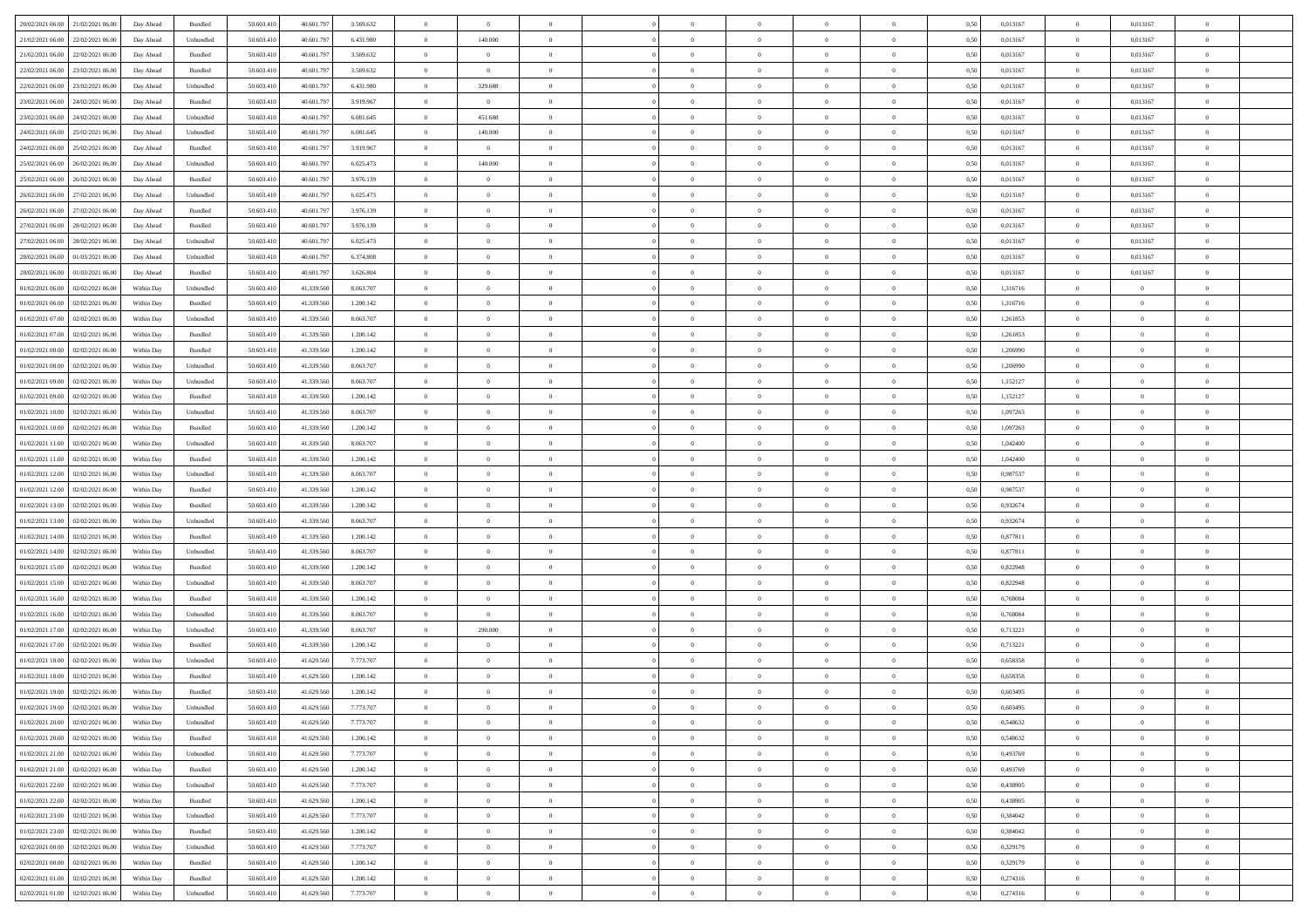| 20/02/2021 06:00 21/02/2021 06:00                  | Day Ahead  | Bundled           | 50.603.410 | 40.601.797 | 3.569.632 | $\overline{0}$ | $\overline{0}$ |                | $\overline{0}$ | $\theta$       |                | $\theta$       | 0,50 | 0,013167 | $\theta$       | 0,013167       | $\overline{0}$ |  |
|----------------------------------------------------|------------|-------------------|------------|------------|-----------|----------------|----------------|----------------|----------------|----------------|----------------|----------------|------|----------|----------------|----------------|----------------|--|
| 21/02/2021 06:00<br>22/02/2021 06:00               | Day Ahead  | Unbundled         | 50.603.41  | 40.601.79  | 6.431.980 | $\bf{0}$       | 140.000        | $\bf{0}$       | $\bf{0}$       | $\overline{0}$ | $\overline{0}$ | $\bf{0}$       | 0,50 | 0,013167 | $\,$ 0 $\,$    | 0,013167       | $\overline{0}$ |  |
| 21/02/2021 06:00<br>22/02/2021 06:00               | Day Ahead  | Bundled           | 50.603.41  | 40.601.79  | 3.569.632 | $\overline{0}$ | $\overline{0}$ | $\overline{0}$ | $\bf{0}$       | $\bf{0}$       | $\overline{0}$ | $\bf{0}$       | 0.50 | 0.013167 | $\overline{0}$ | 0.013167       | $\overline{0}$ |  |
| 22/02/2021 06:00<br>23/02/2021 06:00               | Day Ahead  | Bundled           | 50.603.41  | 40.601.797 | 3.569.632 | $\overline{0}$ | $\bf{0}$       | $\overline{0}$ | $\theta$       | $\theta$       | $\overline{0}$ | $\bf{0}$       | 0,50 | 0,013167 | $\,$ 0 $\,$    | 0,013167       | $\overline{0}$ |  |
| 22/02/2021 06:00<br>23/02/2021 06.00               | Day Ahead  | Unbundled         | 50.603.41  | 40.601.79  | 6.431.980 | $\bf{0}$       | 329.688        | $\bf{0}$       | $\overline{0}$ | $\theta$       | $\overline{0}$ | $\bf{0}$       | 0,50 | 0,013167 | $\,$ 0 $\,$    | 0,013167       | $\overline{0}$ |  |
|                                                    |            |                   |            |            |           |                |                |                |                |                |                |                |      |          |                |                |                |  |
| 23/02/2021 06:00<br>24/02/2021 06:00               | Day Ahead  | Bundled           | 50.603.41  | 40.601.79  | 3.919.967 | $\overline{0}$ | $\overline{0}$ | $\overline{0}$ | $\bf{0}$       | $\overline{0}$ | $\theta$       | $\bf{0}$       | 0.50 | 0.013167 | $\bf{0}$       | 0.013167       | $\overline{0}$ |  |
| 23/02/2021 06:00<br>24/02/2021 06:00               | Day Ahead  | Unbundled         | 50.603.41  | 40.601.79  | 6.081.645 | $\overline{0}$ | 451.688        | $\overline{0}$ | $\overline{0}$ | $\overline{0}$ | $\overline{0}$ | $\bf{0}$       | 0,50 | 0,013167 | $\,$ 0 $\,$    | 0,013167       | $\overline{0}$ |  |
| 24/02/2021 06:00<br>25/02/2021 06.00               | Day Ahead  | Unbundled         | 50.603.41  | 40.601.79  | 6.081.645 | $\bf{0}$       | 140.000        | $\bf{0}$       | $\overline{0}$ | $\overline{0}$ | $\overline{0}$ | $\bf{0}$       | 0,50 | 0,013167 | $\,$ 0 $\,$    | 0,013167       | $\overline{0}$ |  |
| 24/02/2021 06:00<br>25/02/2021 06:00               | Day Ahead  | Bundled           | 50.603.41  | 40.601.79  | 3.919.967 | $\overline{0}$ | $\overline{0}$ | $\overline{0}$ | $\bf{0}$       | $\overline{0}$ | $\overline{0}$ | $\bf{0}$       | 0.50 | 0.013167 | $\overline{0}$ | 0.013167       | $\overline{0}$ |  |
| 25/02/2021 06:00<br>26/02/2021 06:00               | Day Ahead  | Unbundled         | 50.603.410 | 40.601.797 | 6.025.473 | $\overline{0}$ | 140,000        | $\overline{0}$ | $\overline{0}$ | $\overline{0}$ | $\overline{0}$ | $\bf{0}$       | 0,50 | 0,013167 | $\bf{0}$       | 0,013167       | $\overline{0}$ |  |
| 25/02/2021 06:00<br>26/02/2021 06.00               | Day Ahead  | Bundled           | 50.603.41  | 40.601.79  | 3.976.139 | $\bf{0}$       | $\theta$       | $\bf{0}$       | $\bf{0}$       | $\bf{0}$       | $\overline{0}$ | $\bf{0}$       | 0,50 | 0,013167 | $\,$ 0 $\,$    | 0,013167       | $\overline{0}$ |  |
| 26/02/2021 06:00<br>27/02/2021 06:00               | Day Ahead  | Unbundled         | 50.603.41  | 40.601.79  | 6.025.473 | $\overline{0}$ | $\bf{0}$       | $\overline{0}$ | $\overline{0}$ | $\bf{0}$       | $\overline{0}$ | $\bf{0}$       | 0.50 | 0.013167 | $\overline{0}$ | 0.013167       | $\overline{0}$ |  |
|                                                    |            |                   |            |            |           | $\overline{0}$ |                |                |                |                |                |                |      |          |                |                |                |  |
| 26/02/2021 06:00<br>27/02/2021 06:00               | Day Ahead  | Bundled           | 50.603.41  | 40.601.797 | 3.976.139 |                | $\overline{0}$ | $\overline{0}$ | $\theta$       | $\theta$       | $\overline{0}$ | $\bf{0}$       | 0,50 | 0,013167 | $\,$ 0 $\,$    | 0,013167       | $\overline{0}$ |  |
| 27/02/2021 06:00<br>28/02/2021 06:00               | Day Ahead  | Bundled           | 50.603.41  | 40.601.79  | 3.976.139 | $\bf{0}$       | $\overline{0}$ | $\bf{0}$       | $\overline{0}$ | $\bf{0}$       | $\overline{0}$ | $\bf{0}$       | 0,50 | 0,013167 | $\,$ 0 $\,$    | 0,013167       | $\overline{0}$ |  |
| 27/02/2021 06:00<br>28/02/2021 06:00               | Day Ahead  | Unbundled         | 50.603.41  | 40.601.79  | 6.025.473 | $\overline{0}$ | $\bf{0}$       | $\overline{0}$ | $\bf{0}$       | $\overline{0}$ | $\theta$       | $\bf{0}$       | 0.50 | 0.013167 | $\bf{0}$       | 0.013167       | $\overline{0}$ |  |
| 28/02/2021 06:00<br>01/03/2021 06:00               | Day Ahead  | Unbundled         | 50.603.410 | 40.601.797 | 6.374.808 | $\overline{0}$ | $\overline{0}$ | $\overline{0}$ | $\overline{0}$ | $\overline{0}$ | $\overline{0}$ | $\bf{0}$       | 0,50 | 0,013167 | $\bf{0}$       | 0,013167       | $\overline{0}$ |  |
| 28/02/2021 06:00<br>01/03/2021 06.00               | Day Ahead  | Bundled           | 50.603.41  | 40.601.79  | 3.626.804 | $\bf{0}$       | $\bf{0}$       | $\bf{0}$       | $\overline{0}$ | $\bf{0}$       | $\overline{0}$ | $\bf{0}$       | 0,50 | 0,013167 | $\,$ 0 $\,$    | 0,013167       | $\overline{0}$ |  |
| 01/02/2021 06:00<br>02/02/2021 06:00               | Within Day | Unbundled         | 50.603.41  | 41.339.56  | 8.063.707 | $\overline{0}$ | $\bf{0}$       | $\overline{0}$ | $\bf{0}$       | $\overline{0}$ | $\overline{0}$ | $\bf{0}$       | 0.50 | 1.316716 | $\bf{0}$       | $\overline{0}$ | $\overline{0}$ |  |
| 01/02/2021 06:00<br>02/02/2021 06:00               | Within Day | Bundled           | 50.603.410 | 41.339.560 | 1.200.142 | $\overline{0}$ | $\bf{0}$       | $\overline{0}$ | $\overline{0}$ | $\overline{0}$ | $\overline{0}$ | $\bf{0}$       | 0,50 | 1,316716 | $\,$ 0 $\,$    | $\bf{0}$       | $\overline{0}$ |  |
|                                                    |            |                   |            |            |           |                |                |                |                |                |                |                |      |          |                |                |                |  |
| 01/02/2021 07:00<br>02/02/2021 06.00               | Within Day | Unbundled         | 50.603.41  | 41.339.560 | 8.063.707 | $\bf{0}$       | $\bf{0}$       | $\bf{0}$       | $\bf{0}$       | $\overline{0}$ | $\overline{0}$ | $\bf{0}$       | 0,50 | 1,261853 | $\,$ 0 $\,$    | $\bf{0}$       | $\overline{0}$ |  |
| 01/02/2021 07:00<br>02/02/2021 06:00               | Within Day | Bundled           | 50.603.41  | 41.339.560 | 1.200.142 | $\overline{0}$ | $\bf{0}$       | $\overline{0}$ | $\overline{0}$ | $\bf{0}$       | $\overline{0}$ | $\bf{0}$       | 0.50 | 1.261853 | $\bf{0}$       | $\overline{0}$ | $\,$ 0         |  |
| 01/02/2021 08:00<br>02/02/2021 06:00               | Within Day | Bundled           | 50.603.41  | 41.339.560 | 1.200.142 | $\overline{0}$ | $\overline{0}$ | $\overline{0}$ | $\theta$       | $\theta$       | $\overline{0}$ | $\bf{0}$       | 0,50 | 1,206990 | $\theta$       | $\theta$       | $\overline{0}$ |  |
| 01/02/2021 08:00<br>02/02/2021 06.00               | Within Day | Unbundled         | 50.603.41  | 41.339.560 | 8.063.707 | $\bf{0}$       | $\bf{0}$       | $\bf{0}$       | $\bf{0}$       | $\overline{0}$ | $\overline{0}$ | $\bf{0}$       | 0,50 | 1,206990 | $\,$ 0 $\,$    | $\bf{0}$       | $\overline{0}$ |  |
| 01/02/2021 09:00<br>02/02/2021 06:00               | Within Day | Unbundled         | 50.603.41  | 41.339.560 | 8.063.707 | $\overline{0}$ | $\bf{0}$       | $\overline{0}$ | $\bf{0}$       | $\overline{0}$ | $\theta$       | $\bf{0}$       | 0.50 | 1,152127 | $\bf{0}$       | $\theta$       | $\overline{0}$ |  |
| 01/02/2021 09:00<br>02/02/2021 06:00               | Within Day | Bundled           | 50.603.410 | 41.339.560 | 1.200.142 | $\overline{0}$ | $\overline{0}$ | $\overline{0}$ | $\overline{0}$ | $\overline{0}$ | $\overline{0}$ | $\bf{0}$       | 0,50 | 1,152127 | $\,$ 0 $\,$    | $\theta$       | $\overline{0}$ |  |
| 01/02/2021 10:00<br>02/02/2021 06.00               | Within Day | Unbundled         | 50.603.41  | 41.339.56  | 8.063.707 | $\bf{0}$       | $\overline{0}$ | $\bf{0}$       | $\overline{0}$ | $\bf{0}$       | $\overline{0}$ | $\bf{0}$       | 0,50 | 1,097263 | $\,$ 0 $\,$    | $\bf{0}$       | $\overline{0}$ |  |
|                                                    |            |                   |            |            |           |                |                |                |                |                |                |                |      |          |                |                |                |  |
| 01/02/2021 10:00<br>02/02/2021 06:00               | Within Day | Bundled           | 50.603.41  | 41.339.560 | 1.200.142 | $\overline{0}$ | $\bf{0}$       | $\overline{0}$ | $\bf{0}$       | $\overline{0}$ | $\overline{0}$ | $\bf{0}$       | 0.50 | 1.097263 | $\bf{0}$       | $\overline{0}$ | $\overline{0}$ |  |
| 01/02/2021 11:00<br>02/02/2021 06:00               | Within Day | Unbundled         | 50.603.410 | 41.339.560 | 8.063.707 | $\overline{0}$ | $\bf{0}$       | $\overline{0}$ | $\overline{0}$ | $\overline{0}$ | $\overline{0}$ | $\bf{0}$       | 0,50 | 1,042400 | $\theta$       | $\theta$       | $\overline{0}$ |  |
| 01/02/2021 11:00<br>02/02/2021 06.00               | Within Day | Bundled           | 50.603.41  | 41.339.560 | 1.200.142 | $\bf{0}$       | $\bf{0}$       | $\bf{0}$       | $\bf{0}$       | $\overline{0}$ | $\overline{0}$ | $\bf{0}$       | 0,50 | 1,042400 | $\,$ 0 $\,$    | $\bf{0}$       | $\overline{0}$ |  |
| 01/02/2021 12:00<br>02/02/2021 06:00               | Within Day | Unbundled         | 50.603.41  | 41.339.560 | 8.063.707 | $\overline{0}$ | $\bf{0}$       | $\overline{0}$ | $\bf{0}$       | $\bf{0}$       | $\overline{0}$ | $\bf{0}$       | 0.50 | 0.987537 | $\bf{0}$       | $\overline{0}$ | $\,$ 0         |  |
| 01/02/2021 12:00<br>02/02/2021 06:00               | Within Day | Bundled           | 50.603.41  | 41.339.560 | 1.200.142 | $\overline{0}$ | $\overline{0}$ | $\overline{0}$ | $\overline{0}$ | $\overline{0}$ | $\overline{0}$ | $\bf{0}$       | 0.5( | 0,987537 | $\theta$       | $\theta$       | $\overline{0}$ |  |
| 01/02/2021 13:00<br>02/02/2021 06.00               | Within Day | Bundled           | 50.603.41  | 41.339.560 | 1.200.142 | $\bf{0}$       | $\overline{0}$ | $\bf{0}$       | $\bf{0}$       | $\overline{0}$ | $\overline{0}$ | $\bf{0}$       | 0,50 | 0,932674 | $\,$ 0 $\,$    | $\bf{0}$       | $\overline{0}$ |  |
| 01/02/2021 13:00<br>02/02/2021 06:00               | Within Day | Unbundled         | 50.603.41  | 41.339.560 | 8.063.707 | $\overline{0}$ | $\bf{0}$       | $\overline{0}$ | $\bf{0}$       | $\overline{0}$ | $\overline{0}$ | $\bf{0}$       | 0.50 | 0.932674 | $\,$ 0 $\,$    | $\bf{0}$       | $\overline{0}$ |  |
|                                                    |            |                   |            |            |           |                |                |                |                |                |                |                |      |          |                |                |                |  |
| 01/02/2021 14:00<br>02/02/2021 06:00               | Within Dav | Bundled           | 50.603.410 | 41.339.560 | 1.200.142 | $\overline{0}$ | $\overline{0}$ | $\overline{0}$ | $\overline{0}$ | $\overline{0}$ | $\overline{0}$ | $\bf{0}$       | 0.50 | 0,877811 | $\theta$       | $\theta$       | $\overline{0}$ |  |
| 01/02/2021 14:00<br>02/02/2021 06.00               | Within Day | Unbundled         | 50.603.41  | 41.339.560 | 8.063.707 | $\bf{0}$       | $\bf{0}$       | $\bf{0}$       | $\bf{0}$       | $\overline{0}$ | $\overline{0}$ | $\bf{0}$       | 0,50 | 0,877811 | $\,$ 0 $\,$    | $\bf{0}$       | $\overline{0}$ |  |
| 01/02/2021 15:00<br>02/02/2021 06:00               | Within Day | Bundled           | 50.603.41  | 41.339.56  | 1.200.142 | $\overline{0}$ | $\bf{0}$       | $\overline{0}$ | $\bf{0}$       | $\overline{0}$ | $\overline{0}$ | $\bf{0}$       | 0.50 | 0.822948 | $\bf{0}$       | $\overline{0}$ | $\overline{0}$ |  |
| 01/02/2021 15:00<br>02/02/2021 06:00               | Within Day | Unbundled         | 50.603.41  | 41.339.560 | 8.063.707 | $\overline{0}$ | $\overline{0}$ | $\overline{0}$ | $\overline{0}$ | $\overline{0}$ | $\overline{0}$ | $\bf{0}$       | 0.50 | 0,822948 | $\theta$       | $\theta$       | $\overline{0}$ |  |
| 01/02/2021 16:00<br>02/02/2021 06.00               | Within Day | Bundled           | 50.603.41  | 41.339.56  | 1.200.142 | $\bf{0}$       | $\bf{0}$       | $\bf{0}$       | $\bf{0}$       | $\overline{0}$ | $\overline{0}$ | $\bf{0}$       | 0,50 | 0,768084 | $\,$ 0 $\,$    | $\bf{0}$       | $\overline{0}$ |  |
| 01/02/2021 16:00<br>02/02/2021 06:00               | Within Day | Unbundled         | 50.603.41  | 41.339.560 | 8.063.707 | $\overline{0}$ | $\overline{0}$ | $\overline{0}$ | $\overline{0}$ | $\bf{0}$       | $\overline{0}$ | $\bf{0}$       | 0.50 | 0.768084 | $\,$ 0 $\,$    | $\overline{0}$ | $\,$ 0         |  |
| 01/02/2021 17:00<br>02/02/2021 06:00               | Within Day | Unbundled         | 50.603.41  | 41.339.560 | 8.063.707 | $\overline{0}$ | 290.000        | $\overline{0}$ | $\overline{0}$ | $\overline{0}$ | $\overline{0}$ | $\bf{0}$       | 0.5( | 0,713221 | $\theta$       | $\theta$       | $\overline{0}$ |  |
| 01/02/2021 17:00<br>02/02/2021 06.00               | Within Day | Bundled           | 50.603.41  | 41.339.560 | 1.200.142 | $\bf{0}$       | $\theta$       | $\bf{0}$       | $\bf{0}$       | $\overline{0}$ | $\overline{0}$ | $\bf{0}$       | 0,50 | 0,713221 | $\,$ 0 $\,$    | $\bf{0}$       | $\overline{0}$ |  |
|                                                    |            |                   | 50.603.41  |            |           |                |                |                |                |                | $\Omega$       |                |      | 0.658358 |                | $\theta$       | $\overline{0}$ |  |
| 01/02/2021 18:00<br>02/02/2021 06:00               | Within Day | Unbundled         |            | 41.629.56  | 7.773.707 | $\overline{0}$ | $\overline{0}$ | $\overline{0}$ | $\bf{0}$       | $\overline{0}$ |                | $\bf{0}$       | 0.50 |          | $\bf{0}$       |                |                |  |
| 01/02/2021 18:00<br>02/02/2021 06:00               | Within Dav | Bundled           | 50.603.41  | 41.629.560 | 1.200.142 | $\overline{0}$ | $\overline{0}$ | $\Omega$       | $\overline{0}$ | $\theta$       | $\overline{0}$ | $\overline{0}$ | 0.5( | 0,658358 | $\theta$       | $\theta$       | $\overline{0}$ |  |
| 01/02/2021 19:00<br>02/02/2021 06:00               | Within Day | Bundled           | 50.603.41  | 41.629.560 | 1.200.142 | $\bf{0}$       | $\bf{0}$       | $\bf{0}$       | $\bf{0}$       | $\bf{0}$       | $\overline{0}$ | $\bf{0}$       | 0,50 | 0,603495 | $\,$ 0 $\,$    | $\bf{0}$       | $\overline{0}$ |  |
| $01/02/2021 \ 19.00 \qquad 02/02/2021 \ 06.00$     | Within Day | ${\sf Unbundred}$ | 50.603.410 | 41.629.560 | 7.773.707 | $\bf{0}$       | $\theta$       |                | $\Omega$       |                |                |                | 0,50 | 0.603495 | $\bf{0}$       | $\overline{0}$ |                |  |
| 01/02/2021 20:00 02/02/2021 06:00                  | Within Day | Unbundled         | 50.603.410 | 41.629.560 | 7.773.707 | $\overline{0}$ | $\overline{0}$ | $\Omega$       | $\theta$       | $\overline{0}$ | $\overline{0}$ | $\bf{0}$       | 0,50 | 0,548632 | $\theta$       | $\theta$       | $\overline{0}$ |  |
| 01/02/2021 20:00<br>02/02/2021 06:00               | Within Day | Bundled           | 50.603.41  | 41.629.560 | 1.200.142 | $\overline{0}$ | $\bf{0}$       | $\overline{0}$ | $\overline{0}$ | $\bf{0}$       | $\overline{0}$ | $\bf{0}$       | 0,50 | 0,548632 | $\bf{0}$       | $\overline{0}$ | $\bf{0}$       |  |
| $01/02/2021\,\, 21.00 \qquad 02/02/2021\,\, 06.00$ | Within Day | Unbundled         | 50,603.410 | 41.629.560 | 7.773.707 | $\overline{0}$ | $\bf{0}$       | $\overline{0}$ | $\overline{0}$ | $\mathbf{0}$   | $\overline{0}$ | $\,$ 0 $\,$    | 0.50 | 0.493769 | $\overline{0}$ | $\bf{0}$       | $\,$ 0 $\,$    |  |
| 01/02/2021 21:00 02/02/2021 06:00                  | Within Dav | Bundled           | 50.603.410 | 41.629.560 | 1.200.142 | $\overline{0}$ | $\overline{0}$ | $\overline{0}$ | $\overline{0}$ | $\overline{0}$ | $\overline{0}$ | $\bf{0}$       | 0,50 | 0,493769 | $\theta$       | $\theta$       | $\overline{0}$ |  |
|                                                    |            |                   |            |            |           |                |                |                |                |                |                |                |      |          |                |                |                |  |
| 01/02/2021 22:00<br>02/02/2021 06:00               | Within Day | Unbundled         | 50.603.41  | 41.629.560 | 7.773.707 | $\overline{0}$ | $\bf{0}$       | $\overline{0}$ | $\overline{0}$ | $\overline{0}$ | $\overline{0}$ | $\bf{0}$       | 0,50 | 0,438905 | $\bf{0}$       | $\overline{0}$ | $\overline{0}$ |  |
| 01/02/2021 22:00 02/02/2021 06:00                  | Within Day | Bundled           | 50,603.410 | 41.629.560 | 1.200.142 | $\overline{0}$ | $\bf{0}$       | $\overline{0}$ | $\overline{0}$ | $\overline{0}$ | $\overline{0}$ | $\bf{0}$       | 0.50 | 0.438905 | $\,$ 0 $\,$    | $\overline{0}$ | $\overline{0}$ |  |
| 01/02/2021 23:00<br>02/02/2021 06:00               | Within Dav | Unbundled         | 50.603.410 | 41.629.560 | 7.773.707 | $\overline{0}$ | $\overline{0}$ | $\overline{0}$ | $\overline{0}$ | $\overline{0}$ | $\overline{0}$ | $\bf{0}$       | 0.50 | 0,384042 | $\overline{0}$ | $\theta$       | $\overline{0}$ |  |
| 01/02/2021 23:00<br>02/02/2021 06:00               | Within Day | Bundled           | 50.603.41  | 41.629.560 | 1.200.142 | $\overline{0}$ | $\overline{0}$ | $\overline{0}$ | $\overline{0}$ | $\overline{0}$ | $\overline{0}$ | $\bf{0}$       | 0,50 | 0,384042 | $\bf{0}$       | $\overline{0}$ | $\overline{0}$ |  |
| 02/02/2021 00:00 02/02/2021 06:00                  | Within Day | Unbundled         | 50,603.410 | 41.629.560 | 7.773.707 | $\overline{0}$ | $\overline{0}$ | $\overline{0}$ | $\overline{0}$ | $\overline{0}$ | $\overline{0}$ | $\bf{0}$       | 0.50 | 0.329179 | $\mathbf{0}$   | $\bf{0}$       | $\,$ 0         |  |
| 02/02/2021 00:00 02/02/2021 06:00                  | Within Dav | Bundled           | 50.603.410 | 41.629.560 | 1.200.142 | $\overline{0}$ | $\overline{0}$ | $\overline{0}$ | $\overline{0}$ | $\overline{0}$ | $\overline{0}$ | $\bf{0}$       | 0,50 | 0,329179 | $\overline{0}$ | $\theta$       | $\overline{0}$ |  |
|                                                    |            |                   |            |            |           |                | $\bf{0}$       |                | $\bf{0}$       | $\overline{0}$ |                |                |      |          | $\bf{0}$       | $\bf{0}$       | $\bf{0}$       |  |
| 02/02/2021 01:00<br>02/02/2021 06:00               | Within Day | Bundled           | 50.603.41  | 41.629.560 | 1.200.142 | $\overline{0}$ |                | $\overline{0}$ |                |                | $\bf{0}$       | $\bf{0}$       | 0,50 | 0,274316 |                |                |                |  |
| $02/02/2021$ 01.00 $02/02/2021$ 06.00              | Within Day | Unbundled         | 50.603.410 | 41.629.560 | 7.773.707 | $\,$ 0 $\,$    | $\bf{0}$       | $\overline{0}$ | $\overline{0}$ | $\,$ 0 $\,$    | $\overline{0}$ | $\bf{0}$       | 0,50 | 0,274316 | $\overline{0}$ | $\,$ 0 $\,$    | $\,$ 0 $\,$    |  |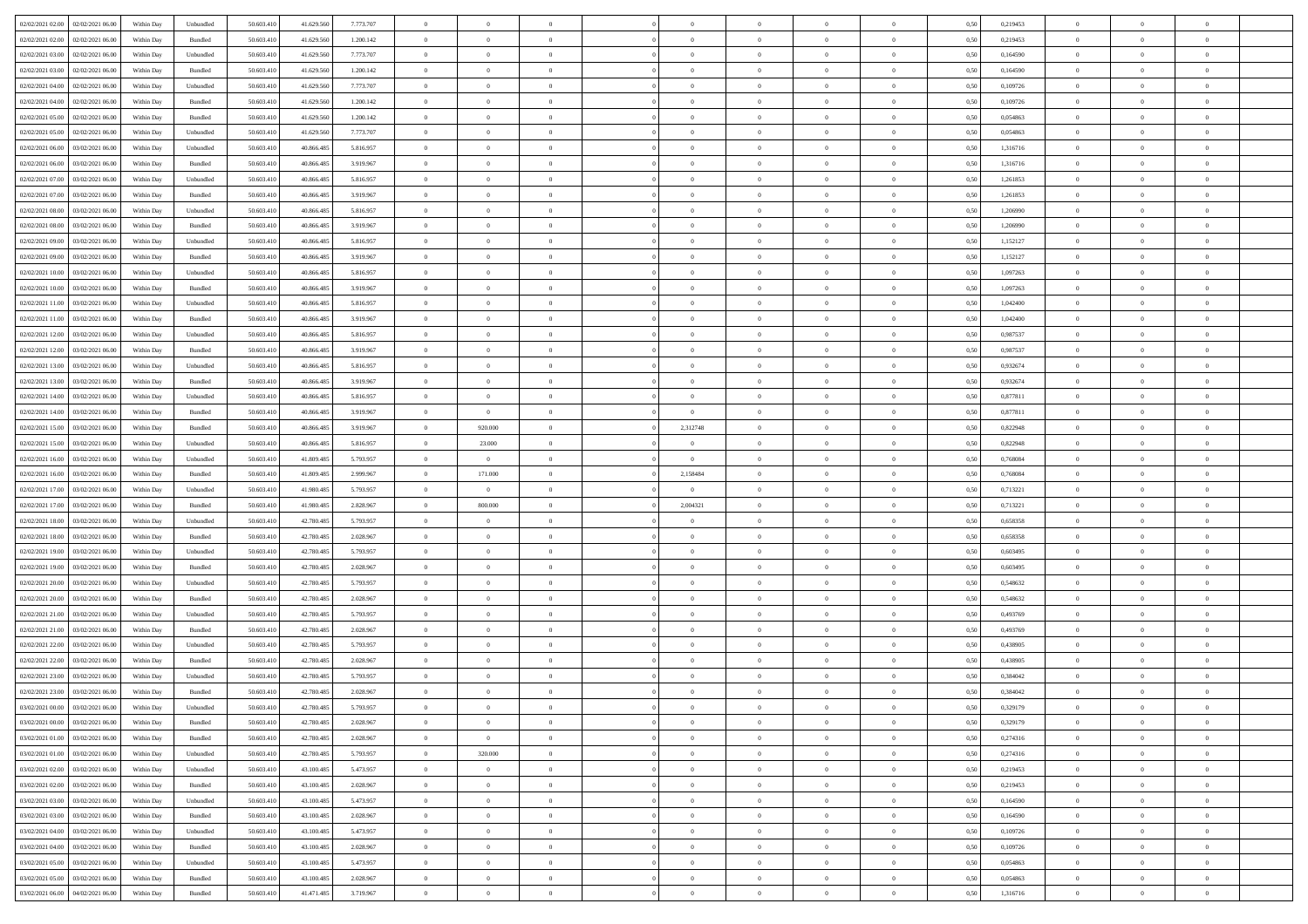| 02/02/2021 02:00 | 02/02/2021 06:00                                       | Within Day               | Unbundled                   | 50.603.410              | 41.629.560               | 7.773.707              | $\overline{0}$                   | $\theta$                      |                                  | $\overline{0}$             | $\bf{0}$             | $\overline{0}$                   | $\theta$                | 0,50         | 0,219453             | $\theta$                   | $\theta$                      | $\overline{0}$           |  |
|------------------|--------------------------------------------------------|--------------------------|-----------------------------|-------------------------|--------------------------|------------------------|----------------------------------|-------------------------------|----------------------------------|----------------------------|----------------------|----------------------------------|-------------------------|--------------|----------------------|----------------------------|-------------------------------|--------------------------|--|
|                  |                                                        |                          |                             |                         |                          |                        | $\overline{0}$                   | $\overline{0}$                |                                  |                            |                      |                                  |                         |              |                      |                            |                               |                          |  |
| 02/02/2021 02:00 | 02/02/2021 06.00                                       | Within Day               | Bundled                     | 50.603.41               | 41.629.560               | 1.200.142              |                                  |                               | $\overline{0}$                   | $\overline{0}$             | $\,$ 0               | $\overline{0}$                   | $\bf{0}$                | 0,50         | 0,219453             | $\,$ 0 $\,$                | $\overline{0}$                | $\overline{0}$           |  |
| 02/02/2021 03:00 | 02/02/2021 06:00                                       | Within Day               | Unbundled                   | 50.603.410              | 41.629.560               | 7.773.707              | $\overline{0}$                   | $\overline{0}$                | $\overline{0}$                   | $\overline{0}$             | $\bf{0}$             | $\overline{0}$                   | $\mathbf{0}$            | 0.50         | 0.164590             | $\bf{0}$                   | $\overline{0}$                | $\overline{0}$           |  |
| 02/02/2021 03:00 | 02/02/2021 06:00                                       | Within Day               | Bundled                     | 50.603.410              | 41.629.560               | 1.200.142              | $\overline{0}$                   | $\overline{0}$                | $\overline{0}$                   | $\overline{0}$             | $\bf{0}$             | $\overline{0}$                   | $\overline{0}$          | 0,50         | 0,164590             | $\,$ 0 $\,$                | $\overline{0}$                | $\overline{0}$           |  |
| 02/02/2021 04:00 | 02/02/2021 06.00                                       | Within Day               | Unbundled                   | 50.603.41               | 41.629.560               | 7.773.707              | $\overline{0}$                   | $\theta$                      | $\overline{0}$                   |                            | $\bf{0}$             | $\overline{0}$                   | $\bf{0}$                | 0,50         | 0,109726             | $\,$ 0 $\,$                | $\overline{0}$                | $\overline{0}$           |  |
| 02/02/2021 04:00 | 02/02/2021 06:00                                       | Within Day               | Bundled                     | 50.603.410              | 41.629.560               | 1.200.142              | $\overline{0}$                   | $\overline{0}$                | $\overline{0}$                   | $\overline{0}$             | $\bf{0}$             | $\overline{0}$                   | $\bf{0}$                | 0.50         | 0.109726             | $\,0\,$                    | $\theta$                      | $\overline{0}$           |  |
| 02/02/2021 05:00 | 02/02/2021 06:00                                       | Within Day               | Bundled                     | 50.603.410              | 41.629.560               | 1.200.142              | $\overline{0}$                   | $\overline{0}$                | $\overline{0}$                   | $\overline{0}$             | $\bf{0}$             | $\overline{0}$                   | $\overline{0}$          | 0,50         | 0,054863             | $\,$ 0 $\,$                | $\theta$                      | $\overline{0}$           |  |
| 02/02/2021 05:00 | 02/02/2021 06.00                                       | Within Day               | Unbundled                   | 50.603.41               | 41.629.560               | 7.773.707              | $\overline{0}$                   | $\theta$                      | $\overline{0}$                   |                            | $\,$ 0               | $\overline{0}$                   | $\bf{0}$                | 0,50         | 0,054863             | $\,$ 0 $\,$                | $\overline{0}$                | $\overline{0}$           |  |
|                  |                                                        |                          |                             |                         |                          |                        |                                  |                               |                                  |                            |                      |                                  |                         |              |                      |                            |                               |                          |  |
| 02/02/2021 06:00 | 03/02/2021 06:00                                       | Within Day               | Unbundled                   | 50.603.410              | 40,866,485               | 5.816.957              | $\overline{0}$                   | $\overline{0}$                | $\overline{0}$                   | $\overline{0}$             | $\bf{0}$             | $\overline{0}$                   | $\bf{0}$                | 0.50         | 1.316716             | $\,0\,$                    | $\overline{0}$                | $\overline{0}$           |  |
| 02/02/2021 06:00 | 03/02/2021 06:00                                       | Within Day               | Bundled                     | 50.603.410              | 40.866.485               | 3.919.967              | $\overline{0}$                   | $\overline{0}$                | $\overline{0}$                   | $\overline{0}$             | $\bf{0}$             | $\overline{0}$                   | $\bf{0}$                | 0,50         | 1,316716             | $\,$ 0 $\,$                | $\overline{0}$                | $\overline{0}$           |  |
| 02/02/2021 07:00 | 03/02/2021 06.00                                       | Within Day               | Unbundled                   | 50.603.41               | 40.866.485               | 5.816.957              | $\bf{0}$                         | $\theta$                      | $\overline{0}$                   | $\overline{0}$             | $\,$ 0               | $\overline{0}$                   | $\bf{0}$                | 0,50         | 1,261853             | $\,$ 0 $\,$                | $\overline{0}$                | $\overline{0}$           |  |
| 02/02/2021 07:00 | 03/02/2021 06:00                                       | Within Day               | Bundled                     | 50.603.410              | 40,866,485               | 3.919.967              | $\overline{0}$                   | $\overline{0}$                | $\overline{0}$                   | $\overline{0}$             | $\bf{0}$             | $\overline{0}$                   | $\mathbf{0}$            | 0.50         | 1.261853             | $\,$ 0 $\,$                | $\overline{0}$                | $\bf{0}$                 |  |
| 02/02/2021 08:00 | 03/02/2021 06:00                                       | Within Day               | Unbundled                   | 50.603.410              | 40.866.485               | 5.816.957              | $\overline{0}$                   | $\overline{0}$                | $\overline{0}$                   | $\overline{0}$             | $\,$ 0               | $\overline{0}$                   | $\overline{0}$          | 0,50         | 1,206990             | $\,$ 0 $\,$                | $\overline{0}$                | $\overline{0}$           |  |
| 02/02/2021 08:00 | 03/02/2021 06.00                                       | Within Day               | Bundled                     | 50.603.41               | 40.866.485               | 3.919.967              | $\overline{0}$                   | $\theta$                      | $\overline{0}$                   |                            | $\,$ 0               | $\overline{0}$                   | $\bf{0}$                | 0,50         | 1,206990             | $\,$ 0 $\,$                | $\overline{0}$                | $\overline{0}$           |  |
|                  |                                                        |                          |                             |                         |                          |                        |                                  |                               |                                  |                            |                      |                                  |                         |              |                      |                            |                               |                          |  |
| 02/02/2021 09:00 | 03/02/2021 06:00                                       | Within Day               | Unbundled                   | 50.603.410              | 40,866,485               | 5.816.957              | $\overline{0}$                   | $\overline{0}$                | $\overline{0}$                   | $\overline{0}$             | $\bf{0}$             | $\overline{0}$                   | $\bf{0}$                | 0.50         | 1,152127             | $\,0\,$                    | $\theta$                      | $\overline{0}$           |  |
| 02/02/2021 09:00 | 03/02/2021 06:00                                       | Within Day               | Bundled                     | 50.603.410              | 40.866.485               | 3.919.967              | $\overline{0}$                   | $\overline{0}$                | $\overline{0}$                   | $\overline{0}$             | $\bf{0}$             | $\overline{0}$                   | $\overline{0}$          | 0,50         | 1,152127             | $\,$ 0 $\,$                | $\theta$                      | $\overline{0}$           |  |
| 02/02/2021 10:00 | 03/02/2021 06.00                                       | Within Day               | Unbundled                   | 50.603.41               | 40.866.485               | 5.816.957              | $\overline{0}$                   | $\theta$                      | $\overline{0}$                   |                            | $\,$ 0               | $\overline{0}$                   | $\bf{0}$                | 0,50         | 1,097263             | $\,$ 0 $\,$                | $\overline{0}$                | $\overline{0}$           |  |
| 02/02/2021 10:00 | 03/02/2021 06:00                                       | Within Day               | Bundled                     | 50.603.410              | 40,866,485               | 3.919.967              | $\overline{0}$                   | $\overline{0}$                | $\overline{0}$                   | $\overline{0}$             | $\bf{0}$             | $\overline{0}$                   | $\bf{0}$                | 0.50         | 1.097263             | $\,0\,$                    | $\overline{0}$                | $\overline{\phantom{a}}$ |  |
| 02/02/2021 11:00 | 03/02/2021 06:00                                       | Within Day               | Unbundled                   | 50.603.410              | 40.866.485               | 5.816.957              | $\overline{0}$                   | $\overline{0}$                | $\overline{0}$                   | $\overline{0}$             | $\,$ 0               | $\overline{0}$                   | $\bf{0}$                | 0,50         | 1,042400             | $\,$ 0 $\,$                | $\overline{0}$                | $\overline{0}$           |  |
| 02/02/2021 11:00 | 03/02/2021 06.00                                       | Within Day               | Bundled                     | 50.603.41               | 40.866.485               | 3.919.967              | $\bf{0}$                         | $\,$ 0 $\,$                   | $\overline{0}$                   | $\overline{0}$             | $\,$ 0               | $\bf{0}$                         | $\bf{0}$                | 0,50         | 1,042400             | $\,$ 0 $\,$                | $\overline{0}$                | $\overline{0}$           |  |
| 02/02/2021 12:00 | 03/02/2021 06:00                                       | Within Day               | Unbundled                   | 50.603.410              | 40,866,485               | 5.816.957              | $\overline{0}$                   | $\overline{0}$                | $\overline{0}$                   | $\overline{0}$             | $\bf{0}$             | $\overline{0}$                   | $\mathbf{0}$            | 0.50         | 0.987537             | $\,$ 0 $\,$                | $\overline{0}$                | $\overline{\phantom{a}}$ |  |
|                  |                                                        |                          |                             |                         |                          |                        |                                  | $\overline{0}$                |                                  |                            | $\bf{0}$             |                                  |                         |              |                      | $\theta$                   | $\overline{0}$                |                          |  |
| 02/02/2021 12:00 | 03/02/2021 06:00                                       | Within Day               | Bundled                     | 50.603.410              | 40.866.485               | 3.919.967              | $\overline{0}$                   |                               | $\overline{0}$                   | $\overline{0}$             |                      | $\overline{0}$                   | $\overline{0}$          | 0,50         | 0,987537             |                            |                               | $\overline{0}$           |  |
| 02/02/2021 13:00 | 03/02/2021 06.00                                       | Within Day               | Unbundled                   | 50.603.41               | 40.866.485               | 5.816.957              | $\overline{0}$                   | $\theta$                      | $\overline{0}$                   | $\overline{0}$             | $\,$ 0               | $\overline{0}$                   | $\bf{0}$                | 0,50         | 0,932674             | $\,$ 0 $\,$                | $\overline{0}$                | $\overline{0}$           |  |
| 02/02/2021 13:00 | 03/02/2021 06:00                                       | Within Day               | Bundled                     | 50.603.410              | 40,866,485               | 3.919.967              | $\overline{0}$                   | $\overline{0}$                | $\overline{0}$                   | $\overline{0}$             | $\bf{0}$             | $\overline{0}$                   | $\bf{0}$                | 0.50         | 0.932674             | $\,0\,$                    | $\theta$                      | $\overline{0}$           |  |
| 02/02/2021 14:00 | 03/02/2021 06:00                                       | Within Day               | Unbundled                   | 50.603.410              | 40.866.485               | 5.816.957              | $\overline{0}$                   | $\overline{0}$                | $\overline{0}$                   | $\overline{0}$             | $\bf{0}$             | $\overline{0}$                   | $\overline{0}$          | 0,50         | 0,877811             | $\,$ 0 $\,$                | $\theta$                      | $\overline{0}$           |  |
| 02/02/2021 14:00 | 03/02/2021 06.00                                       | Within Day               | Bundled                     | 50.603.41               | 40.866.485               | 3.919.967              | $\overline{0}$                   | $\overline{0}$                | $\overline{0}$                   | $\overline{0}$             | $\bf{0}$             | $\overline{0}$                   | $\bf{0}$                | 0,50         | 0,877811             | $\,$ 0 $\,$                | $\overline{0}$                | $\overline{0}$           |  |
| 02/02/2021 15:00 | 03/02/2021 06:00                                       | Within Day               | Bundled                     | 50.603.410              | 40,866,485               | 3.919.967              | $\overline{0}$                   | 920,000                       | $\overline{0}$                   | 2,312748                   | $\bf{0}$             | $\overline{0}$                   | $\bf{0}$                | 0.50         | 0.822948             | $\,0\,$                    | $\overline{0}$                | $\overline{0}$           |  |
| 02/02/2021 15:00 | 03/02/2021 06:00                                       | Within Day               | Unbundled                   | 50.603.410              | 40.866.485               | 5.816.957              | $\overline{0}$                   | 23.000                        | $\overline{0}$                   | $\overline{0}$             | $\bf{0}$             | $\overline{0}$                   | $\bf{0}$                | 0,50         | 0,822948             | $\,$ 0 $\,$                | $\theta$                      | $\overline{0}$           |  |
|                  |                                                        |                          |                             |                         |                          |                        |                                  |                               |                                  |                            |                      |                                  |                         |              |                      |                            |                               |                          |  |
| 02/02/2021 16:00 | 03/02/2021 06.00                                       | Within Day               | Unbundled                   | 50.603.41               | 41.809.485               | 5.793.957              | $\overline{0}$                   | $\overline{0}$                | $\overline{0}$                   | $\overline{0}$             | $\,$ 0               | $\bf{0}$                         | $\bf{0}$                | 0,50         | 0,768084             | $\,$ 0 $\,$                | $\overline{0}$                | $\overline{0}$           |  |
| 02/02/2021 16:00 | 03/02/2021 06:00                                       | Within Day               | Bundled                     | 50.603.410              | 41,809,485               | 2.999.967              | $\overline{0}$                   | 171.000                       | $\overline{0}$                   | 2,158484                   | $\bf{0}$             | $\overline{0}$                   | $\mathbf{0}$            | 0.50         | 0.768084             | $\,$ 0 $\,$                | $\overline{0}$                | $\bf{0}$                 |  |
| 02/02/2021 17:00 | 03/02/2021 06:00                                       | Within Dav               | Unbundled                   | 50.603.410              | 41.980.485               | 5.793.957              | $\overline{0}$                   | $\overline{0}$                | $\overline{0}$                   | $\overline{0}$             | $\mathbf{0}$         | $\overline{0}$                   | $\overline{0}$          | 0.50         | 0,713221             | $\theta$                   | $\overline{0}$                | $\overline{0}$           |  |
| 02/02/2021 17:00 | 03/02/2021 06.00                                       | Within Day               | Bundled                     | 50.603.41               | 41.980.485               | 2.828.967              | $\overline{0}$                   | 800.000                       | $\overline{0}$                   | 2,004321                   | $\bf{0}$             | $\overline{0}$                   | $\bf{0}$                | 0,50         | 0,713221             | $\,$ 0 $\,$                | $\overline{0}$                | $\overline{0}$           |  |
| 02/02/2021 18:00 | 03/02/2021 06:00                                       | Within Day               | Unbundled                   | 50.603.410              | 42,780,485               | 5.793.957              | $\overline{0}$                   | $\overline{0}$                | $\overline{0}$                   | $\overline{0}$             | $\bf{0}$             | $\overline{0}$                   | $\bf{0}$                | 0.50         | 0.658358             | $\,0\,$                    | $\theta$                      | $\overline{0}$           |  |
| 02/02/2021 18:00 | 03/02/2021 06:00                                       | Within Dav               | Bundled                     | 50.603.410              | 42.780.485               | 2.028.967              | $\overline{0}$                   | $\overline{0}$                | $\Omega$                         | $\Omega$                   | $\mathbf{0}$         | $\overline{0}$                   | $\overline{0}$          | 0.50         | 0,658358             | $\theta$                   | $\overline{0}$                | $\overline{0}$           |  |
| 02/02/2021 19:00 | 03/02/2021 06.00                                       | Within Day               | Unbundled                   | 50.603.41               | 42.780.485               | 5.793.957              | $\overline{0}$                   | $\theta$                      | $\overline{0}$                   |                            | $\,$ 0               | $\overline{0}$                   | $\bf{0}$                | 0,50         | 0,603495             | $\,$ 0 $\,$                | $\overline{0}$                | $\overline{0}$           |  |
|                  | 03/02/2021 06:00                                       |                          | Bundled                     | 50.603.410              | 42,780,485               | 2.028.967              |                                  | $\overline{0}$                |                                  |                            |                      | $\overline{0}$                   |                         |              | 0.603495             |                            | $\overline{0}$                |                          |  |
| 02/02/2021 19:00 |                                                        | Within Day               |                             |                         |                          |                        | $\overline{0}$                   |                               | $\overline{0}$                   | $\overline{0}$             | $\bf{0}$             |                                  | $\bf{0}$                | 0.50         |                      | $\,0\,$                    |                               | $\overline{0}$           |  |
| 02/02/2021 20:00 | 03/02/2021 06:00                                       | Within Dav               | Unbundled                   | 50.603.410              | 42.780.485               | 5.793.957              | $\overline{0}$                   | $\overline{0}$                | $\overline{0}$                   | $\Omega$                   | $\overline{0}$       | $\overline{0}$                   | $\overline{0}$          | 0.50         | 0,548632             | $\theta$                   | $\overline{0}$                | $\overline{0}$           |  |
| 02/02/2021 20:00 | 03/02/2021 06.00                                       | Within Day               | Bundled                     | 50.603.41               | 42.780.485               | 2.028.967              | $\overline{0}$                   | $\overline{0}$                | $\overline{0}$                   | $\overline{0}$             | $\bf{0}$             | $\bf{0}$                         | $\bf{0}$                | 0,50         | 0,548632             | $\,$ 0 $\,$                | $\overline{0}$                | $\overline{0}$           |  |
| 02/02/2021 21:00 | 03/02/2021 06:00                                       | Within Day               | Unbundled                   | 50.603.410              | 42,780,485               | 5.793.957              | $\overline{0}$                   | $\overline{0}$                | $\overline{0}$                   | $\overline{0}$             | $\bf{0}$             | $\overline{0}$                   | $\mathbf{0}$            | 0.50         | 0,493769             | $\,$ 0 $\,$                | $\overline{0}$                | $\overline{0}$           |  |
| 02/02/2021 21:00 | 03/02/2021 06:00                                       | Within Dav               | Bundled                     | 50.603.410              | 42.780.485               | 2.028.967              | $\overline{0}$                   | $\overline{0}$                | $\Omega$                         | $\overline{0}$             | $\mathbf{0}$         | $\overline{0}$                   | $\overline{0}$          | 0.50         | 0,493769             | $\theta$                   | $\overline{0}$                | $\overline{0}$           |  |
| 02/02/2021 22.00 | 03/02/2021 06.00                                       | Within Day               | Unbundled                   | 50.603.41               | 42.780.485               | 5.793.957              | $\overline{0}$                   | $\overline{0}$                | $\overline{0}$                   | $\overline{0}$             | $\,$ 0               | $\overline{0}$                   | $\bf{0}$                | 0,50         | 0,438905             | $\,$ 0 $\,$                | $\overline{0}$                | $\overline{0}$           |  |
| 02/02/2021 22.00 | 03/02/2021 06:00                                       | Within Day               | Bundled                     | 50.603.410              | 42,780,485               | 2.028.967              | $\overline{0}$                   | $\overline{0}$                | $\overline{0}$                   | $\overline{0}$             | $\bf{0}$             | $\overline{0}$                   | $\overline{0}$          | 0.50         | 0.438905             | $\,0\,$                    | $\theta$                      | $\overline{0}$           |  |
| 02/02/2021 23:00 | 03/02/2021 06:00                                       | Within Dav               | Unbundled                   | 50.603.410              | 42.780.485               | 5.793.957              | $\overline{0}$                   | $\Omega$                      | $\Omega$                         | $\Omega$                   | $\bf{0}$             | $\overline{0}$                   | $\theta$                | 0.50         | 0,384042             | $\theta$                   | $\overline{0}$                | $\overline{0}$           |  |
|                  |                                                        |                          |                             |                         |                          |                        |                                  | $\,$ 0 $\,$                   | $\overline{0}$                   |                            | $\,$ 0               | $\overline{0}$                   | $\bf{0}$                |              |                      | $\,$ 0 $\,$                | $\overline{0}$                | $\overline{0}$           |  |
| 02/02/2021 23:00 | 03/02/2021 06:00                                       | Within Day               | Bundled                     | 50.603.410              | 42.780.485               | 2.028.967              | $\overline{0}$                   |                               |                                  | $\bf{0}$                   |                      |                                  |                         | 0,50         | 0,384042             |                            |                               |                          |  |
| 03/02/2021 00:00 | 03/02/2021 06:00                                       | Within Day               | $\ensuremath{\mathsf{Unb}}$ | 50.603.410              | 42.780.485               | 5 793 957              | $\bf{0}$                         | $\theta$                      |                                  |                            |                      |                                  |                         | 0,50         | 0,329179             | $\,$ 0                     | $\theta$                      |                          |  |
| 03/02/2021 00:00 | 03/02/2021 06:00                                       | Within Day               | Bundled                     | 50.603.410              | 42.780.485               | 2.028.967              | $\Omega$                         | $\overline{0}$                | $\overline{0}$                   | $\Omega$                   | $\mathbf{0}$         | $\overline{0}$                   | $\overline{0}$          | 0.50         | 0,329179             | $\theta$                   | $\theta$                      | $\overline{0}$           |  |
| 03/02/2021 01:00 | 03/02/2021 06:00                                       | Within Day               | Bundled                     | 50.603.41               | 42.780.485               | 2.028.967              | $\overline{0}$                   | $\overline{0}$                | $\overline{0}$                   | $\bf{0}$                   | $\overline{0}$       | $\overline{0}$                   | $\mathbf{0}$            | 0,50         | 0,274316             | $\overline{0}$             | $\overline{0}$                | $\bf{0}$                 |  |
| 03/02/2021 01:00 | 03/02/2021 06:00                                       | Within Day               | Unbundled                   | 50,603.410              | 42.780.485               | 5.793.957              | $\overline{0}$                   | 320.000                       | $\overline{0}$                   | $\overline{0}$             | $\overline{0}$       | $\overline{0}$                   | $\mathbf{0}$            | 0.50         | 0,274316             | $\overline{0}$             | $\bf{0}$                      | $\bf{0}$                 |  |
| 03/02/2021 02:00 | 03/02/2021 06:00                                       | Within Day               | Unbundled                   | 50.603.410              | 43.100.485               | 5.473.957              | $\overline{0}$                   | $\overline{0}$                | $\overline{0}$                   | $\overline{0}$             | $\overline{0}$       | $\overline{0}$                   | $\overline{0}$          | 0.50         | 0,219453             | $\overline{0}$             | $\theta$                      | $\overline{0}$           |  |
| 03/02/2021 02:00 | 03/02/2021 06:00                                       | Within Day               | Bundled                     | 50.603.410              | 43.100.485               | 2.028.967              | $\overline{0}$                   | $\overline{0}$                | $\overline{0}$                   | $\overline{0}$             | $\bf{0}$             | $\overline{0}$                   | $\bf{0}$                | 0,50         | 0,219453             | $\bf{0}$                   | $\overline{0}$                | $\overline{0}$           |  |
|                  |                                                        |                          |                             |                         |                          |                        |                                  |                               |                                  |                            |                      |                                  |                         |              |                      |                            |                               |                          |  |
| 03/02/2021 03:00 | 03/02/2021 06:00                                       | Within Day               | Unbundled                   | 50.603.410              | 43,100,485               | 5.473.957              | $\overline{0}$                   | $\overline{0}$                | $\overline{0}$                   | $\overline{0}$             | $\bf{0}$             | $\overline{0}$                   | $\mathbf{0}$            | 0.50         | 0.164590             | $\,$ 0 $\,$                | $\overline{0}$                | $\overline{0}$           |  |
| 03/02/2021 03:00 | 03/02/2021 06:00                                       | Within Day               | Bundled                     | 50.603.410              | 43.100.485               | 2.028.967              | $\overline{0}$                   | $\overline{0}$                | $\overline{0}$                   | $\overline{0}$             | $\overline{0}$       | $\overline{0}$                   | $\overline{0}$          | 0.50         | 0,164590             | $\overline{0}$             | $\theta$                      | $\overline{0}$           |  |
| 03/02/2021 04:00 | 03/02/2021 06:00                                       | Within Day               | Unbundled                   | 50.603.41               | 43.100.485               | 5.473.957              | $\overline{0}$                   | $\,$ 0                        | $\overline{0}$                   | $\bf{0}$                   | $\,$ 0 $\,$          | $\overline{0}$                   | $\bf{0}$                | 0,50         | 0,109726             | $\,$ 0 $\,$                | $\overline{0}$                | $\overline{0}$           |  |
| 03/02/2021 04:00 | 03/02/2021 06:00                                       | Within Day               | Bundled                     | 50.603.410              | 43,100,485               | 2.028.967              | $\overline{0}$                   | $\overline{0}$                | $\overline{0}$                   | $\overline{0}$             | $\bf{0}$             | $\overline{0}$                   | $\mathbf{0}$            | 0.50         | 0.109726             | $\mathbf{0}$               | $\bf{0}$                      | $\overline{0}$           |  |
|                  |                                                        |                          |                             |                         |                          |                        |                                  |                               |                                  |                            |                      |                                  |                         |              |                      |                            |                               |                          |  |
| 03/02/2021 05:00 | 03/02/2021 06:00                                       | Within Day               | Unbundled                   | 50.603.410              | 43.100.485               | 5.473.957              | $\overline{0}$                   | $\overline{0}$                | $\overline{0}$                   | $\overline{0}$             | $\overline{0}$       | $\overline{0}$                   | $\overline{0}$          | 0,50         | 0,054863             | $\overline{0}$             | $\theta$                      | $\overline{0}$           |  |
|                  |                                                        |                          |                             |                         |                          |                        |                                  |                               |                                  |                            |                      |                                  |                         |              |                      |                            |                               |                          |  |
| 03/02/2021 05:00 | 03/02/2021 06.00<br>03/02/2021 06:00  04/02/2021 06:00 | Within Day<br>Within Day | Bundled<br>Bundled          | 50.603.41<br>50.603.410 | 43.100.485<br>41.471.485 | 2.028.967<br>3.719.967 | $\overline{0}$<br>$\overline{0}$ | $\overline{0}$<br>$\,$ 0 $\,$ | $\overline{0}$<br>$\overline{0}$ | $\bf{0}$<br>$\overline{0}$ | $\bf{0}$<br>$\bf{0}$ | $\overline{0}$<br>$\overline{0}$ | $\bf{0}$<br>$\,$ 0 $\,$ | 0,50<br>0,50 | 0,054863<br>1,316716 | $\bf{0}$<br>$\overline{0}$ | $\overline{0}$<br>$\,$ 0 $\,$ | $\bf{0}$<br>$\,$ 0 $\,$  |  |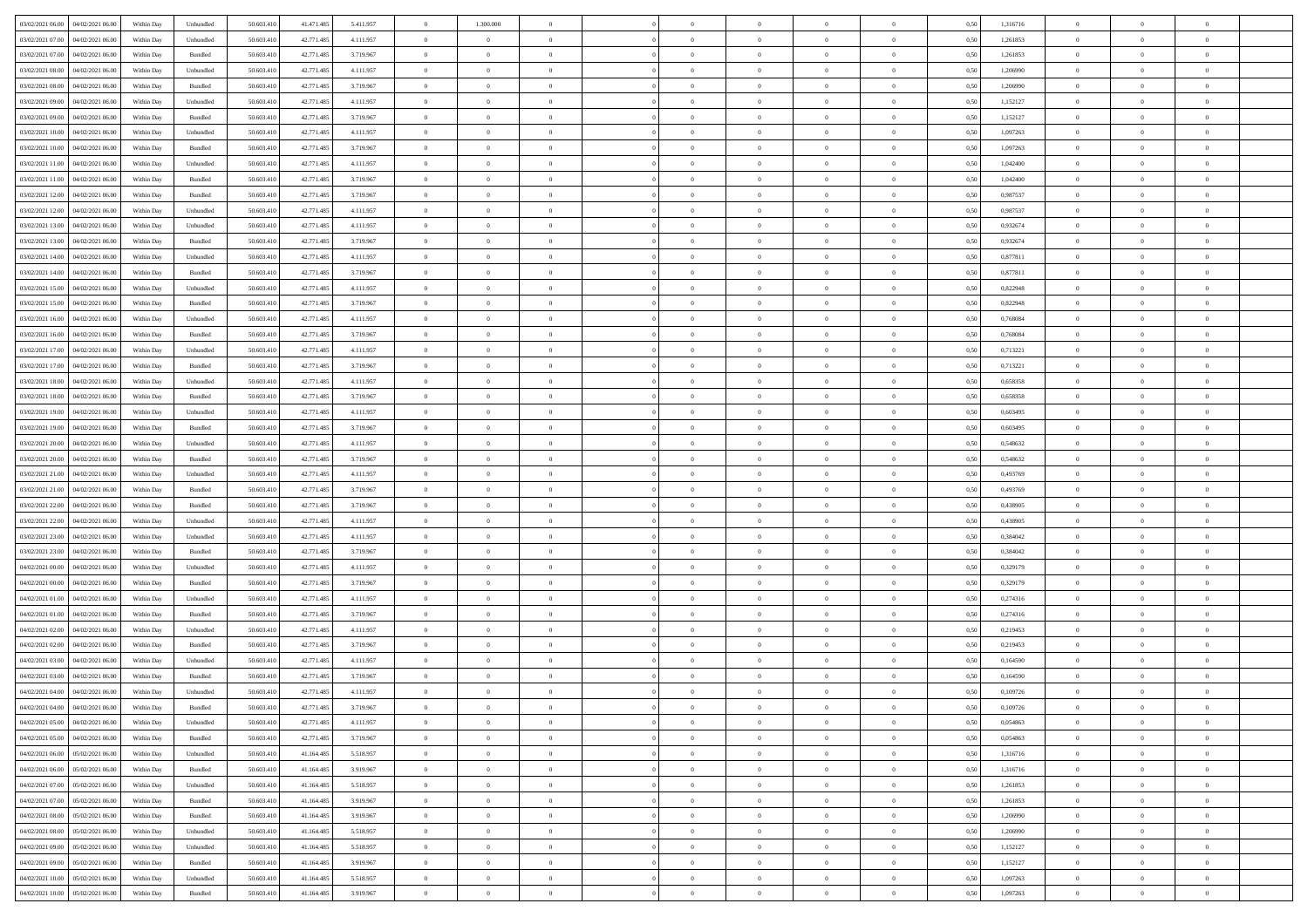| 03/02/2021 06:00 04/02/2021 06:00            | Within Day | Unbundled | 50.603.410 | 41.471.485 | 5.411.957 | $\overline{0}$ | 1.300.000      |                | $\overline{0}$ | $\theta$       |                | $\theta$       | 0,50 | 1,316716 | $\theta$       | $\theta$       | $\theta$       |  |
|----------------------------------------------|------------|-----------|------------|------------|-----------|----------------|----------------|----------------|----------------|----------------|----------------|----------------|------|----------|----------------|----------------|----------------|--|
| 03/02/2021 07:00<br>04/02/2021 06.00         | Within Day | Unbundled | 50.603.41  | 42.771.485 | 4.111.957 | $\bf{0}$       | $\bf{0}$       | $\bf{0}$       | $\bf{0}$       | $\overline{0}$ | $\overline{0}$ | $\bf{0}$       | 0,50 | 1,261853 | $\,$ 0 $\,$    | $\bf{0}$       | $\overline{0}$ |  |
| 03/02/2021 07:00<br>04/02/2021 06:00         | Within Day | Bundled   | 50.603.41  | 42.771.485 | 3.719.967 | $\overline{0}$ | $\overline{0}$ | $\overline{0}$ | $\bf{0}$       | $\bf{0}$       | $\overline{0}$ | $\bf{0}$       | 0.50 | 1,261853 | $\bf{0}$       | $\overline{0}$ | $\bf{0}$       |  |
| 03/02/2021 08:00<br>04/02/2021 06:00         | Within Day | Unbundled | 50.603.41  | 42.771.485 | 4.111.957 | $\overline{0}$ | $\overline{0}$ | $\overline{0}$ | $\overline{0}$ | $\theta$       | $\overline{0}$ | $\bf{0}$       | 0,50 | 1,206990 | $\theta$       | $\theta$       | $\overline{0}$ |  |
| 03/02/2021 08:00<br>04/02/2021 06.00         | Within Day | Bundled   | 50.603.41  | 42.771.485 | 3.719.967 | $\bf{0}$       | $\overline{0}$ | $\bf{0}$       | $\overline{0}$ | $\theta$       | $\overline{0}$ | $\bf{0}$       | 0,50 | 1,206990 | $\,$ 0 $\,$    | $\bf{0}$       | $\overline{0}$ |  |
| 03/02/2021 09:00                             |            |           | 50,603.41  |            |           |                | $\bf{0}$       | $\overline{0}$ |                | $\overline{0}$ | $\theta$       |                | 0.50 |          | $\,$ 0 $\,$    | $\theta$       | $\overline{0}$ |  |
| 04/02/2021 06:00                             | Within Day | Unbundled |            | 42.771.485 | 4.111.957 | $\overline{0}$ |                |                | $\bf{0}$       |                |                | $\bf{0}$       |      | 1,152127 |                |                |                |  |
| 03/02/2021 09:00<br>04/02/2021 06:00         | Within Day | Bundled   | 50.603.41  | 42.771.485 | 3.719.967 | $\overline{0}$ | $\overline{0}$ | $\overline{0}$ | $\overline{0}$ | $\overline{0}$ | $\overline{0}$ | $\bf{0}$       | 0,50 | 1,152127 | $\theta$       | $\theta$       | $\overline{0}$ |  |
| 03/02/2021 10:00<br>04/02/2021 06.00         | Within Day | Unbundled | 50.603.41  | 42.771.485 | 4.111.957 | $\bf{0}$       | $\bf{0}$       | $\bf{0}$       | $\overline{0}$ | $\overline{0}$ | $\overline{0}$ | $\bf{0}$       | 0,50 | 1,097263 | $\,$ 0 $\,$    | $\bf{0}$       | $\overline{0}$ |  |
| 03/02/2021 10:00<br>04/02/2021 06:00         | Within Day | Bundled   | 50.603.41  | 42.771.485 | 3.719.967 | $\overline{0}$ | $\bf{0}$       | $\overline{0}$ | $\bf{0}$       | $\overline{0}$ | $\overline{0}$ | $\bf{0}$       | 0.50 | 1.097263 | $\bf{0}$       | $\overline{0}$ | $\overline{0}$ |  |
| 03/02/2021 11:00<br>04/02/2021 06:00         | Within Day | Unbundled | 50.603.410 | 42.771.485 | 4.111.957 | $\bf{0}$       | $\bf{0}$       | $\overline{0}$ | $\overline{0}$ | $\overline{0}$ | $\overline{0}$ | $\bf{0}$       | 0,50 | 1,042400 | $\,$ 0 $\,$    | $\,$ 0 $\,$    | $\overline{0}$ |  |
| 03/02/2021 11:00<br>04/02/2021 06.00         | Within Day | Bundled   | 50.603.41  | 42.771.485 | 3.719.967 | $\bf{0}$       | $\bf{0}$       | $\bf{0}$       | $\bf{0}$       | $\overline{0}$ | $\overline{0}$ | $\bf{0}$       | 0,50 | 1,042400 | $\,$ 0 $\,$    | $\bf{0}$       | $\overline{0}$ |  |
| 03/02/2021 12:00<br>04/02/2021 06:00         | Within Day | Bundled   | 50.603.41  | 42.771.485 | 3.719.967 | $\overline{0}$ | $\bf{0}$       | $\overline{0}$ | $\overline{0}$ | $\bf{0}$       | $\overline{0}$ | $\bf{0}$       | 0.50 | 0.987537 | $\bf{0}$       | $\,$ 0 $\,$    | $\,$ 0         |  |
| 03/02/2021 12:00<br>04/02/2021 06:00         | Within Day | Unbundled | 50.603.41  | 42.771.485 | 4.111.957 | $\overline{0}$ | $\overline{0}$ | $\overline{0}$ | $\theta$       | $\theta$       | $\overline{0}$ | $\bf{0}$       | 0,50 | 0,987537 | $\theta$       | $\theta$       | $\overline{0}$ |  |
| 03/02/2021 13:00<br>04/02/2021 06.00         | Within Day | Unbundled | 50.603.41  | 42.771.485 | 4.111.957 | $\bf{0}$       | $\overline{0}$ | $\bf{0}$       | $\bf{0}$       | $\bf{0}$       | $\overline{0}$ | $\bf{0}$       | 0,50 | 0,932674 | $\,$ 0 $\,$    | $\bf{0}$       | $\overline{0}$ |  |
| 03/02/2021 13:00<br>04/02/2021 06:00         |            |           | 50.603.41  |            |           |                | $\bf{0}$       | $\overline{0}$ |                | $\overline{0}$ | $\theta$       |                | 0.50 | 0.932674 | $\,$ 0 $\,$    | $\theta$       | $\overline{0}$ |  |
|                                              | Within Day | Bundled   |            | 42.771.485 | 3.719.967 | $\overline{0}$ |                |                | $\bf{0}$       |                |                | $\bf{0}$       |      |          |                |                |                |  |
| 03/02/2021 14:00<br>04/02/2021 06:00         | Within Day | Unbundled | 50.603.410 | 42.771.485 | 4.111.957 | $\overline{0}$ | $\overline{0}$ | $\overline{0}$ | $\overline{0}$ | $\overline{0}$ | $\overline{0}$ | $\bf{0}$       | 0,50 | 0,877811 | $\theta$       | $\theta$       | $\overline{0}$ |  |
| 03/02/2021 14:00<br>04/02/2021 06.00         | Within Day | Bundled   | 50.603.41  | 42.771.485 | 3.719.967 | $\bf{0}$       | $\bf{0}$       | $\bf{0}$       | $\overline{0}$ | $\overline{0}$ | $\overline{0}$ | $\bf{0}$       | 0,50 | 0,877811 | $\,$ 0 $\,$    | $\bf{0}$       | $\overline{0}$ |  |
| 03/02/2021 15:00<br>04/02/2021 06:00         | Within Day | Unbundled | 50,603.41  | 42.771.48  | 4.111.957 | $\overline{0}$ | $\bf{0}$       | $\overline{0}$ | $\bf{0}$       | $\overline{0}$ | $\overline{0}$ | $\bf{0}$       | 0.50 | 0.822948 | $\bf{0}$       | $\overline{0}$ | $\bf{0}$       |  |
| 03/02/2021 15:00<br>04/02/2021 06:00         | Within Day | Bundled   | 50.603.410 | 42.771.485 | 3.719.967 | $\overline{0}$ | $\bf{0}$       | $\overline{0}$ | $\overline{0}$ | $\overline{0}$ | $\overline{0}$ | $\bf{0}$       | 0,50 | 0,822948 | $\,$ 0 $\,$    | $\bf{0}$       | $\overline{0}$ |  |
| 03/02/2021 16:00<br>04/02/2021 06.00         | Within Day | Unbundled | 50.603.41  | 42.771.485 | 4.111.957 | $\bf{0}$       | $\bf{0}$       | $\bf{0}$       | $\bf{0}$       | $\overline{0}$ | $\overline{0}$ | $\bf{0}$       | 0,50 | 0,768084 | $\,$ 0 $\,$    | $\bf{0}$       | $\overline{0}$ |  |
| 03/02/2021 16:00<br>04/02/2021 06:00         | Within Day | Bundled   | 50.603.41  | 42.771.485 | 3.719.967 | $\overline{0}$ | $\bf{0}$       | $\overline{0}$ | $\overline{0}$ | $\bf{0}$       | $\overline{0}$ | $\bf{0}$       | 0.50 | 0.768084 | $\bf{0}$       | $\overline{0}$ | $\,$ 0         |  |
| 03/02/2021 17:00<br>04/02/2021 06:00         | Within Day | Unbundled | 50.603.41  | 42.771.485 | 4.111.957 | $\overline{0}$ | $\overline{0}$ | $\overline{0}$ | $\overline{0}$ | $\theta$       | $\overline{0}$ | $\bf{0}$       | 0,50 | 0,713221 | $\theta$       | $\theta$       | $\overline{0}$ |  |
| 03/02/2021 17:00<br>04/02/2021 06.00         | Within Day | Bundled   | 50.603.41  | 42.771.485 | 3.719.967 | $\bf{0}$       | $\bf{0}$       | $\bf{0}$       | $\bf{0}$       | $\overline{0}$ | $\overline{0}$ | $\bf{0}$       | 0,50 | 0,713221 | $\,$ 0 $\,$    | $\bf{0}$       | $\overline{0}$ |  |
| 03/02/2021 18:00<br>04/02/2021 06:00         |            | Unbundled | 50.603.41  | 42.771.485 | 4.111.957 | $\overline{0}$ | $\bf{0}$       | $\overline{0}$ | $\bf{0}$       | $\overline{0}$ | $\theta$       | $\bf{0}$       | 0.50 | 0.658358 | $\,$ 0 $\,$    | $\theta$       | $\overline{0}$ |  |
|                                              | Within Day |           |            |            |           |                |                |                |                |                |                |                |      |          |                |                |                |  |
| 03/02/2021 18:00<br>04/02/2021 06:00         | Within Day | Bundled   | 50.603.410 | 42.771.485 | 3.719.967 | $\overline{0}$ | $\overline{0}$ | $\overline{0}$ | $\overline{0}$ | $\overline{0}$ | $\overline{0}$ | $\bf{0}$       | 0,50 | 0,658358 | $\theta$       | $\theta$       | $\overline{0}$ |  |
| 03/02/2021 19:00<br>04/02/2021 06.00         | Within Day | Unbundled | 50.603.41  | 42.771.485 | 4.111.957 | $\bf{0}$       | $\overline{0}$ | $\bf{0}$       | $\overline{0}$ | $\bf{0}$       | $\overline{0}$ | $\bf{0}$       | 0,50 | 0,603495 | $\,$ 0 $\,$    | $\bf{0}$       | $\overline{0}$ |  |
| 03/02/2021 19:00<br>04/02/2021 06:00         | Within Day | Bundled   | 50,603.41  | 42.771.485 | 3.719.967 | $\overline{0}$ | $\bf{0}$       | $\overline{0}$ | $\bf{0}$       | $\overline{0}$ | $\overline{0}$ | $\bf{0}$       | 0.50 | 0.603495 | $\bf{0}$       | $\overline{0}$ | $\overline{0}$ |  |
| 03/02/2021 20:00<br>04/02/2021 06:00         | Within Day | Unbundled | 50.603.410 | 42.771.485 | 4.111.957 | $\overline{0}$ | $\bf{0}$       | $\overline{0}$ | $\overline{0}$ | $\overline{0}$ | $\overline{0}$ | $\bf{0}$       | 0,50 | 0,548632 | $\theta$       | $\theta$       | $\overline{0}$ |  |
| 03/02/2021 20:00<br>04/02/2021 06.00         | Within Day | Bundled   | 50.603.41  | 42.771.485 | 3.719.967 | $\bf{0}$       | $\bf{0}$       | $\bf{0}$       | $\bf{0}$       | $\overline{0}$ | $\overline{0}$ | $\bf{0}$       | 0,50 | 0,548632 | $\,$ 0 $\,$    | $\bf{0}$       | $\overline{0}$ |  |
| 03/02/2021 21:00<br>04/02/2021 06:00         | Within Day | Unbundled | 50.603.41  | 42.771.485 | 4.111.957 | $\overline{0}$ | $\bf{0}$       | $\overline{0}$ | $\overline{0}$ | $\bf{0}$       | $\overline{0}$ | $\bf{0}$       | 0.50 | 0.493769 | $\bf{0}$       | $\,$ 0 $\,$    | $\,$ 0         |  |
| 03/02/2021 21:00<br>04/02/2021 06:00         | Within Day | Bundled   | 50.603.41  | 42.771.485 | 3.719.967 | $\overline{0}$ | $\overline{0}$ | $\overline{0}$ | $\overline{0}$ | $\overline{0}$ | $\overline{0}$ | $\bf{0}$       | 0.50 | 0,493769 | $\theta$       | $\theta$       | $\overline{0}$ |  |
| 03/02/2021 22.00<br>04/02/2021 06.00         | Within Day | Bundled   | 50.603.41  | 42.771.485 | 3.719.967 | $\bf{0}$       | $\overline{0}$ | $\bf{0}$       | $\bf{0}$       | $\overline{0}$ | $\overline{0}$ | $\bf{0}$       | 0,50 | 0,438905 | $\,$ 0 $\,$    | $\bf{0}$       | $\overline{0}$ |  |
| 03/02/2021 22:00<br>04/02/2021 06.00         | Within Day | Unbundled | 50.603.41  | 42.771.485 | 4.111.957 | $\overline{0}$ | $\bf{0}$       | $\overline{0}$ | $\bf{0}$       | $\overline{0}$ | $\overline{0}$ | $\bf{0}$       | 0.50 | 0.438905 | $\,$ 0 $\,$    | $\bf{0}$       | $\overline{0}$ |  |
| 03/02/2021 23:00<br>04/02/2021 06:00         | Within Dav | Unbundled | 50.603.41  | 42.771.485 | 4.111.957 | $\overline{0}$ | $\overline{0}$ | $\overline{0}$ | $\overline{0}$ | $\overline{0}$ | $\overline{0}$ | $\bf{0}$       | 0.50 | 0,384042 | $\theta$       | $\theta$       | $\overline{0}$ |  |
| 04/02/2021 06.00                             | Within Day | Bundled   | 50.603.41  | 42.771.485 | 3.719.967 | $\bf{0}$       | $\bf{0}$       | $\bf{0}$       | $\bf{0}$       | $\overline{0}$ | $\overline{0}$ | $\bf{0}$       | 0,50 | 0,384042 | $\,$ 0 $\,$    | $\bf{0}$       | $\overline{0}$ |  |
| 03/02/2021 23:00                             |            |           |            |            |           |                |                |                |                |                |                |                |      |          |                |                |                |  |
| 04/02/2021 00:00<br>04/02/2021 06:00         | Within Day | Unbundled | 50,603.41  | 42.771.48  | 4.111.957 | $\overline{0}$ | $\bf{0}$       | $\overline{0}$ | $\bf{0}$       | $\overline{0}$ | $\overline{0}$ | $\bf{0}$       | 0.50 | 0.329179 | $\bf{0}$       | $\overline{0}$ | $\bf{0}$       |  |
| 04/02/2021 00:00<br>04/02/2021 06:00         | Within Day | Bundled   | 50.603.41  | 42.771.485 | 3.719.967 | $\overline{0}$ | $\overline{0}$ | $\overline{0}$ | $\overline{0}$ | $\overline{0}$ | $\overline{0}$ | $\bf{0}$       | 0.50 | 0,329179 | $\theta$       | $\theta$       | $\overline{0}$ |  |
| 04/02/2021 01:00<br>04/02/2021 06.00         | Within Day | Unbundled | 50.603.41  | 42.771.485 | 4.111.957 | $\bf{0}$       | $\bf{0}$       | $\bf{0}$       | $\bf{0}$       | $\overline{0}$ | $\overline{0}$ | $\bf{0}$       | 0,50 | 0,274316 | $\,$ 0 $\,$    | $\bf{0}$       | $\overline{0}$ |  |
| 04/02/2021 01:00<br>04/02/2021 06:00         | Within Day | Bundled   | 50.603.41  | 42.771.485 | 3.719.967 | $\overline{0}$ | $\bf{0}$       | $\overline{0}$ | $\overline{0}$ | $\bf{0}$       | $\overline{0}$ | $\bf{0}$       | 0.50 | 0,274316 | $\,$ 0 $\,$    | $\,$ 0 $\,$    | $\,$ 0         |  |
| 04/02/2021 02:00<br>04/02/2021 06:00         | Within Dav | Unbundled | 50.603.41  | 42.771.485 | 4.111.957 | $\overline{0}$ | $\overline{0}$ | $\overline{0}$ | $\overline{0}$ | $\overline{0}$ | $\overline{0}$ | $\bf{0}$       | 0.5( | 0,219453 | $\theta$       | $\theta$       | $\overline{0}$ |  |
| 04/02/2021 02:00<br>04/02/2021 06.00         | Within Day | Bundled   | 50.603.41  | 42.771.485 | 3.719.967 | $\bf{0}$       | $\bf{0}$       | $\bf{0}$       | $\bf{0}$       | $\overline{0}$ | $\overline{0}$ | $\bf{0}$       | 0,50 | 0,219453 | $\,$ 0 $\,$    | $\bf{0}$       | $\overline{0}$ |  |
| 04/02/2021 03:00<br>04/02/2021 06.00         | Within Day | Unbundled | 50.603.41  | 42.771.485 | 4.111.957 | $\overline{0}$ | $\overline{0}$ | $\overline{0}$ | $\bf{0}$       | $\overline{0}$ | $\Omega$       | $\bf{0}$       | 0.50 | 0.164590 | $\bf{0}$       | $\theta$       | $\overline{0}$ |  |
| 04/02/2021 03:00<br>04/02/2021 06:00         | Within Dav | Bundled   | 50.603.41  | 42.771.485 | 3.719.967 | $\overline{0}$ | $\overline{0}$ | $\Omega$       | $\overline{0}$ | $\theta$       | $\overline{0}$ | $\overline{0}$ | 0.5( | 0,164590 | $\theta$       | $\theta$       | $\overline{0}$ |  |
| 04/02/2021 04:00<br>04/02/2021 06:00         | Within Day | Unbundled | 50.603.41  | 42.771.485 | 4.111.957 | $\bf{0}$       | $\bf{0}$       | $\bf{0}$       | $\bf{0}$       | $\bf{0}$       | $\overline{0}$ | $\bf{0}$       | 0,50 | 0,109726 | $\overline{0}$ | $\overline{0}$ | $\overline{0}$ |  |
| $04/02/2021\ 04.00 \qquad 04/02/2021\ 06.00$ | Within Day | Bundled   | 50.603.410 | 42.771.485 | 3.719.967 | $\bf{0}$       | $\Omega$       |                | $\Omega$       |                |                |                | 0,50 | 0,109726 | $\bf{0}$       | $\overline{0}$ |                |  |
| 04/02/2021 05:00 04/02/2021 06:00            |            |           |            |            |           | $\overline{0}$ | $\overline{0}$ | $\Omega$       | $\theta$       | $\overline{0}$ |                |                |      |          | $\theta$       | $\theta$       | $\overline{0}$ |  |
|                                              | Within Day | Unbundled | 50.603.410 | 42.771.485 | 4.111.957 |                |                |                |                |                | $\overline{0}$ | $\bf{0}$       | 0,50 | 0,054863 |                |                |                |  |
| 04/02/2021 05:00<br>04/02/2021 06:00         | Within Day | Bundled   | 50.603.41  | 42.771.485 | 3.719.967 | $\overline{0}$ | $\bf{0}$       | $\overline{0}$ | $\overline{0}$ | $\bf{0}$       | $\overline{0}$ | $\bf{0}$       | 0,50 | 0,054863 | $\bf{0}$       | $\overline{0}$ | $\bf{0}$       |  |
| 04/02/2021 06:00 05/02/2021 06:00            | Within Day | Unbundled | 50,603.410 | 41.164.485 | 5.518.957 | $\overline{0}$ | $\bf{0}$       | $\overline{0}$ | $\overline{0}$ | $\mathbf{0}$   | $\overline{0}$ | $\,$ 0 $\,$    | 0.50 | 1,316716 | $\overline{0}$ | $\bf{0}$       | $\,$ 0 $\,$    |  |
| 04/02/2021 06:00 05/02/2021 06:00            | Within Dav | Bundled   | 50.603.410 | 41.164.485 | 3.919.967 | $\overline{0}$ | $\overline{0}$ | $\overline{0}$ | $\overline{0}$ | $\overline{0}$ | $\overline{0}$ | $\bf{0}$       | 0,50 | 1,316716 | $\overline{0}$ | $\theta$       | $\overline{0}$ |  |
| 04/02/2021 07:00<br>05/02/2021 06:00         | Within Day | Unbundled | 50.603.41  | 41.164.485 | 5.518.957 | $\overline{0}$ | $\bf{0}$       | $\overline{0}$ | $\overline{0}$ | $\bf{0}$       | $\overline{0}$ | $\bf{0}$       | 0,50 | 1,261853 | $\bf{0}$       | $\overline{0}$ | $\overline{0}$ |  |
| 04/02/2021 07:00 05/02/2021 06:00            | Within Day | Bundled   | 50,603.410 | 41.164.485 | 3.919.967 | $\overline{0}$ | $\bf{0}$       | $\overline{0}$ | $\overline{0}$ | $\bf{0}$       | $\overline{0}$ | $\bf{0}$       | 0.50 | 1.261853 | $\,$ 0 $\,$    | $\overline{0}$ | $\overline{0}$ |  |
| 04/02/2021 08:00<br>05/02/2021 06:00         | Within Dav | Bundled   | 50.603.410 | 41.164.485 | 3.919.967 | $\overline{0}$ | $\overline{0}$ | $\overline{0}$ | $\overline{0}$ | $\overline{0}$ | $\overline{0}$ | $\bf{0}$       | 0,50 | 1,206990 | $\overline{0}$ | $\theta$       | $\overline{0}$ |  |
| 04/02/2021 08:00<br>05/02/2021 06:00         | Within Day | Unbundled | 50.603.41  | 41.164.485 | 5.518.957 | $\overline{0}$ | $\overline{0}$ | $\overline{0}$ | $\overline{0}$ | $\overline{0}$ | $\overline{0}$ | $\bf{0}$       | 0,50 | 1,206990 | $\bf{0}$       | $\overline{0}$ | $\overline{0}$ |  |
| 04/02/2021 09:00 05/02/2021 06:00            | Within Day | Unbundled | 50,603.410 | 41.164.485 | 5.518.957 | $\overline{0}$ | $\overline{0}$ | $\overline{0}$ | $\overline{0}$ | $\overline{0}$ | $\overline{0}$ | $\bf{0}$       | 0.50 | 1.152127 | $\mathbf{0}$   | $\bf{0}$       | $\,$ 0         |  |
|                                              |            |           |            |            |           |                |                |                |                |                |                |                |      |          |                |                |                |  |
| 04/02/2021 09:00 05/02/2021 06:00            | Within Dav | Bundled   | 50.603.410 | 41.164.485 | 3.919.967 | $\overline{0}$ | $\overline{0}$ | $\overline{0}$ | $\overline{0}$ | $\overline{0}$ | $\overline{0}$ | $\bf{0}$       | 0,50 | 1,152127 | $\overline{0}$ | $\theta$       | $\overline{0}$ |  |
| 04/02/2021 10:00<br>05/02/2021 06:00         | Within Day | Unbundled | 50.603.41  | 41.164.485 | 5.518.957 | $\overline{0}$ | $\bf{0}$       | $\overline{0}$ | $\bf{0}$       | $\overline{0}$ | $\overline{0}$ | $\bf{0}$       | 0,50 | 1,097263 | $\bf{0}$       | $\overline{0}$ | $\bf{0}$       |  |
| 04/02/2021 10:00 05/02/2021 06:00            | Within Day | Bundled   | 50.603.410 | 41.164.485 | 3.919.967 | $\overline{0}$ | $\bf{0}$       | $\overline{0}$ | $\overline{0}$ | $\,$ 0 $\,$    | $\overline{0}$ | $\bf{0}$       | 0,50 | 1,097263 | $\overline{0}$ | $\,$ 0 $\,$    | $\,$ 0 $\,$    |  |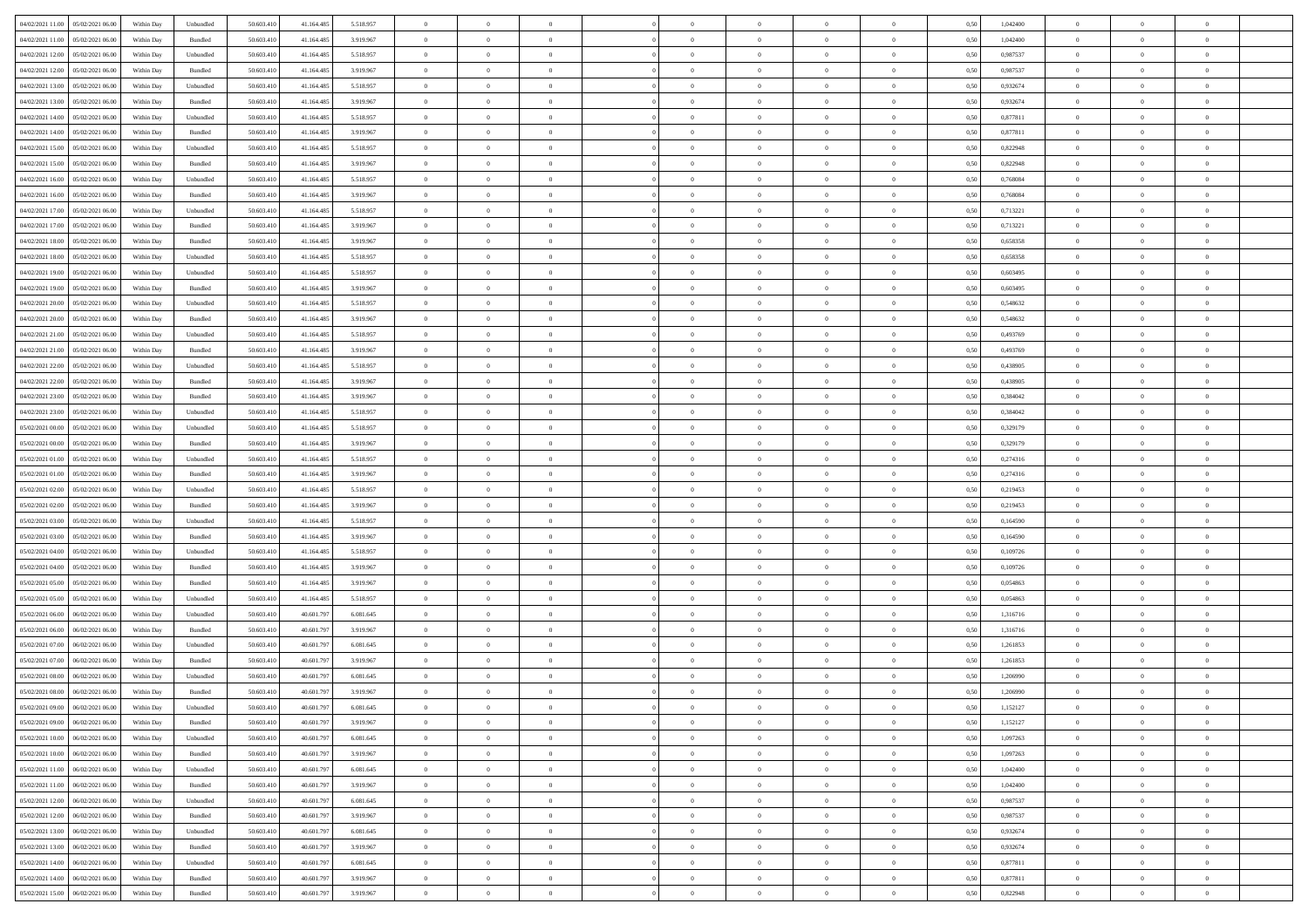| 04/02/2021 11:00  05/02/2021 06:00           | Within Day | Unbundled                   | 50.603.410 | 41.164.485 | 5.518.957 | $\overline{0}$ | $\theta$       |                | $\overline{0}$ | $\bf{0}$       |                | $\theta$       | 0,50 | 1,042400 | $\theta$       | $\theta$       | $\theta$       |  |
|----------------------------------------------|------------|-----------------------------|------------|------------|-----------|----------------|----------------|----------------|----------------|----------------|----------------|----------------|------|----------|----------------|----------------|----------------|--|
| 04/02/2021 11:00<br>05/02/2021 06:00         | Within Day | Bundled                     | 50.603.41  | 41.164.485 | 3.919.967 | $\bf{0}$       | $\bf{0}$       | $\bf{0}$       | $\overline{0}$ | $\overline{0}$ | $\overline{0}$ | $\bf{0}$       | 0,50 | 1,042400 | $\,$ 0 $\,$    | $\bf{0}$       | $\overline{0}$ |  |
| 04/02/2021 12:00<br>05/02/2021 06:00         | Within Day | Unbundled                   | 50.603.41  | 41.164.485 | 5.518.957 | $\overline{0}$ | $\bf{0}$       | $\overline{0}$ | $\bf{0}$       | $\bf{0}$       | $\overline{0}$ | $\bf{0}$       | 0.50 | 0.987537 | $\bf{0}$       | $\overline{0}$ | $\overline{0}$ |  |
| 04/02/2021 12:00<br>05/02/2021 06:00         |            |                             | 50.603.41  |            |           | $\overline{0}$ | $\overline{0}$ | $\overline{0}$ | $\theta$       | $\theta$       | $\overline{0}$ |                |      | 0,987537 | $\theta$       | $\theta$       | $\overline{0}$ |  |
|                                              | Within Day | Bundled                     |            | 41.164.485 | 3.919.967 |                |                |                |                |                |                | $\bf{0}$       | 0,50 |          |                |                |                |  |
| 04/02/2021 13:00<br>05/02/2021 06.00         | Within Day | Unbundled                   | 50.603.41  | 41.164.485 | 5.518.957 | $\bf{0}$       | $\overline{0}$ | $\bf{0}$       | $\overline{0}$ | $\theta$       | $\overline{0}$ | $\bf{0}$       | 0,50 | 0,932674 | $\,$ 0 $\,$    | $\bf{0}$       | $\overline{0}$ |  |
| 04/02/2021 13:00<br>05/02/2021 06:00         | Within Day | Bundled                     | 50.603.41  | 41.164.485 | 3.919.967 | $\overline{0}$ | $\overline{0}$ | $\overline{0}$ | $\bf{0}$       | $\overline{0}$ | $\theta$       | $\bf{0}$       | 0.50 | 0.932674 | $\,$ 0 $\,$    | $\theta$       | $\overline{0}$ |  |
| 04/02/2021 14:00<br>05/02/2021 06:00         | Within Day | Unbundled                   | 50.603.41  | 41.164.485 | 5.518.957 | $\overline{0}$ | $\overline{0}$ | $\overline{0}$ | $\overline{0}$ | $\overline{0}$ | $\overline{0}$ | $\bf{0}$       | 0,50 | 0,877811 | $\theta$       | $\theta$       | $\overline{0}$ |  |
|                                              |            |                             |            |            |           |                |                |                |                |                |                |                |      |          |                |                |                |  |
| 04/02/2021 14:00<br>05/02/2021 06.00         | Within Day | Bundled                     | 50.603.41  | 41.164.485 | 3.919.967 | $\overline{0}$ | $\overline{0}$ | $\bf{0}$       | $\overline{0}$ | $\overline{0}$ | $\overline{0}$ | $\bf{0}$       | 0,50 | 0,877811 | $\,$ 0 $\,$    | $\bf{0}$       | $\overline{0}$ |  |
| 04/02/2021 15:00<br>05/02/2021 06:00         | Within Day | Unbundled                   | 50.603.41  | 41.164.48  | 5.518.957 | $\overline{0}$ | $\bf{0}$       | $\overline{0}$ | $\bf{0}$       | $\overline{0}$ | $\overline{0}$ | $\bf{0}$       | 0.50 | 0.822948 | $\bf{0}$       | $\overline{0}$ | $\overline{0}$ |  |
| 04/02/2021 15:00<br>05/02/2021 06:00         | Within Day | Bundled                     | 50.603.410 | 41.164.485 | 3.919.967 | $\bf{0}$       | $\bf{0}$       | $\overline{0}$ | $\overline{0}$ | $\overline{0}$ | $\overline{0}$ | $\bf{0}$       | 0,50 | 0,822948 | $\,$ 0 $\,$    | $\bf{0}$       | $\overline{0}$ |  |
| 04/02/2021 16:00<br>05/02/2021 06.00         | Within Day | Unbundled                   | 50.603.41  | 41.164.485 | 5.518.957 | $\bf{0}$       | $\overline{0}$ | $\bf{0}$       | $\bf{0}$       | $\bf{0}$       | $\overline{0}$ | $\bf{0}$       | 0,50 | 0,768084 | $\,$ 0 $\,$    | $\bf{0}$       | $\overline{0}$ |  |
|                                              |            |                             |            |            |           |                |                |                |                |                |                |                |      |          |                |                |                |  |
| 04/02/2021 16:00<br>05/02/2021 06:00         | Within Day | Bundled                     | 50,603.41  | 41.164.485 | 3.919.967 | $\overline{0}$ | $\bf{0}$       | $\overline{0}$ | $\bf{0}$       | $\bf{0}$       | $\overline{0}$ | $\bf{0}$       | 0.50 | 0.768084 | $\bf{0}$       | $\overline{0}$ | $\bf{0}$       |  |
| 04/02/2021 17:00<br>05/02/2021 06:00         | Within Day | Unbundled                   | 50.603.41  | 41.164.485 | 5.518.957 | $\overline{0}$ | $\overline{0}$ | $\overline{0}$ | $\theta$       | $\theta$       | $\overline{0}$ | $\bf{0}$       | 0,50 | 0,713221 | $\,$ 0 $\,$    | $\theta$       | $\overline{0}$ |  |
| 04/02/2021 17:00<br>05/02/2021 06.00         | Within Day | Bundled                     | 50.603.41  | 41.164.485 | 3.919.967 | $\bf{0}$       | $\overline{0}$ | $\bf{0}$       | $\overline{0}$ | $\bf{0}$       | $\overline{0}$ | $\bf{0}$       | 0,50 | 0,713221 | $\,$ 0 $\,$    | $\bf{0}$       | $\overline{0}$ |  |
|                                              |            |                             |            |            |           |                |                |                |                |                | $\theta$       |                |      |          |                |                |                |  |
| 04/02/2021 18:00<br>05/02/2021 06:00         | Within Day | Bundled                     | 50.603.41  | 41.164.485 | 3.919.967 | $\overline{0}$ | $\overline{0}$ | $\overline{0}$ | $\bf{0}$       | $\overline{0}$ |                | $\bf{0}$       | 0.50 | 0.658358 | $\,$ 0 $\,$    | $\theta$       | $\overline{0}$ |  |
| 04/02/2021 18:00<br>05/02/2021 06:00         | Within Day | Unbundled                   | 50.603.410 | 41.164.485 | 5.518.957 | $\overline{0}$ | $\overline{0}$ | $\overline{0}$ | $\overline{0}$ | $\overline{0}$ | $\overline{0}$ | $\bf{0}$       | 0,50 | 0,658358 | $\theta$       | $\theta$       | $\overline{0}$ |  |
| 04/02/2021 19:00<br>05/02/2021 06.00         | Within Day | Unbundled                   | 50.603.41  | 41.164.485 | 5.518.957 | $\bf{0}$       | $\overline{0}$ | $\bf{0}$       | $\overline{0}$ | $\bf{0}$       | $\overline{0}$ | $\bf{0}$       | 0,50 | 0,603495 | $\,$ 0 $\,$    | $\bf{0}$       | $\overline{0}$ |  |
| 04/02/2021 19:00<br>05/02/2021 06:00         | Within Day | Bundled                     | 50.603.41  | 41.164.48  | 3.919.967 | $\overline{0}$ | $\bf{0}$       | $\overline{0}$ | $\bf{0}$       | $\overline{0}$ | $\overline{0}$ | $\bf{0}$       | 0.50 | 0.603495 | $\bf{0}$       | $\overline{0}$ | $\overline{0}$ |  |
| 04/02/2021 20:00<br>05/02/2021 06:00         | Within Day | Unbundled                   | 50.603.410 | 41.164.485 | 5.518.957 | $\overline{0}$ | $\bf{0}$       | $\overline{0}$ | $\overline{0}$ | $\overline{0}$ | $\overline{0}$ | $\bf{0}$       | 0,50 | 0,548632 | $\,$ 0 $\,$    | $\bf{0}$       | $\overline{0}$ |  |
|                                              |            |                             |            |            |           |                |                |                |                |                |                |                |      |          |                |                |                |  |
| 04/02/2021 20:00<br>05/02/2021 06.00         | Within Day | Bundled                     | 50.603.41  | 41.164.485 | 3.919.967 | $\bf{0}$       | $\bf{0}$       | $\bf{0}$       | $\bf{0}$       | $\overline{0}$ | $\overline{0}$ | $\bf{0}$       | 0,50 | 0,548632 | $\,$ 0 $\,$    | $\bf{0}$       | $\overline{0}$ |  |
| 04/02/2021 21:00<br>05/02/2021 06:00         | Within Day | Unbundled                   | 50.603.41  | 41.164.485 | 5.518.957 | $\overline{0}$ | $\bf{0}$       | $\overline{0}$ | $\bf{0}$       | $\bf{0}$       | $\overline{0}$ | $\bf{0}$       | 0.50 | 0.493769 | $\bf{0}$       | $\overline{0}$ | $\overline{0}$ |  |
| 04/02/2021 21:00<br>05/02/2021 06:00         | Within Day | Bundled                     | 50.603.41  | 41.164.485 | 3.919.967 | $\overline{0}$ | $\overline{0}$ | $\overline{0}$ | $\theta$       | $\theta$       | $\overline{0}$ | $\bf{0}$       | 0,50 | 0,493769 | $\theta$       | $\theta$       | $\overline{0}$ |  |
|                                              |            |                             |            |            |           |                | $\overline{0}$ |                |                | $\,$ 0 $\,$    | $\overline{0}$ |                |      |          | $\,$ 0 $\,$    | $\bf{0}$       | $\overline{0}$ |  |
| 04/02/2021 22.00<br>05/02/2021 06.00         | Within Day | Unbundled                   | 50.603.41  | 41.164.485 | 5.518.957 | $\bf{0}$       |                | $\bf{0}$       | $\bf{0}$       |                |                | $\bf{0}$       | 0,50 | 0,438905 |                |                |                |  |
| 04/02/2021 22:00<br>05/02/2021 06:00         | Within Day | Bundled                     | 50,603.41  | 41.164.485 | 3.919.967 | $\overline{0}$ | $\overline{0}$ | $\overline{0}$ | $\bf{0}$       | $\overline{0}$ | $\theta$       | $\bf{0}$       | 0.50 | 0.438905 | $\bf{0}$       | $\theta$       | $\overline{0}$ |  |
| 04/02/2021 23:00<br>05/02/2021 06:00         | Within Day | Bundled                     | 50.603.41  | 41.164.485 | 3.919.967 | $\overline{0}$ | $\overline{0}$ | $\overline{0}$ | $\overline{0}$ | $\overline{0}$ | $\overline{0}$ | $\bf{0}$       | 0,50 | 0,384042 | $\theta$       | $\theta$       | $\overline{0}$ |  |
| 04/02/2021 23:00<br>05/02/2021 06.00         | Within Day | Unbundled                   | 50.603.41  | 41.164.485 | 5.518.957 | $\bf{0}$       | $\overline{0}$ | $\bf{0}$       | $\overline{0}$ | $\bf{0}$       | $\overline{0}$ | $\bf{0}$       | 0,50 | 0,384042 | $\,$ 0 $\,$    | $\bf{0}$       | $\overline{0}$ |  |
| 05/02/2021 00:00<br>05/02/2021 06:00         | Within Day | Unbundled                   | 50,603.41  | 41.164.48  | 5.518.957 | $\overline{0}$ | $\bf{0}$       | $\overline{0}$ | $\bf{0}$       | $\overline{0}$ | $\overline{0}$ | $\bf{0}$       | 0.50 | 0,329179 | $\bf{0}$       | $\overline{0}$ | $\overline{0}$ |  |
|                                              |            |                             |            |            |           |                |                |                |                |                |                |                |      |          |                |                |                |  |
| 05/02/2021 00:00<br>05/02/2021 06:00         | Within Day | Bundled                     | 50.603.410 | 41.164.485 | 3.919.967 | $\overline{0}$ | $\overline{0}$ | $\overline{0}$ | $\overline{0}$ | $\overline{0}$ | $\overline{0}$ | $\bf{0}$       | 0,50 | 0,329179 | $\theta$       | $\theta$       | $\overline{0}$ |  |
| 05/02/2021 01:00<br>05/02/2021 06.00         | Within Day | Unbundled                   | 50.603.41  | 41.164.485 | 5.518.957 | $\bf{0}$       | $\bf{0}$       | $\bf{0}$       | $\bf{0}$       | $\overline{0}$ | $\overline{0}$ | $\bf{0}$       | 0,50 | 0,274316 | $\,$ 0 $\,$    | $\bf{0}$       | $\overline{0}$ |  |
| 05/02/2021 01:00<br>05/02/2021 06:00         | Within Day | Bundled                     | 50.603.41  | 41.164.485 | 3.919.967 | $\overline{0}$ | $\bf{0}$       | $\overline{0}$ | $\bf{0}$       | $\bf{0}$       | $\overline{0}$ | $\bf{0}$       | 0.50 | 0,274316 | $\bf{0}$       | $\overline{0}$ | $\bf{0}$       |  |
| 05/02/2021 02:00<br>05/02/2021 06:00         | Within Day | Unbundled                   | 50.603.41  | 41.164.48  | 5.518.957 | $\overline{0}$ | $\overline{0}$ | $\overline{0}$ | $\overline{0}$ | $\overline{0}$ | $\overline{0}$ | $\bf{0}$       | 0.5( | 0,219453 | $\theta$       | $\theta$       | $\overline{0}$ |  |
|                                              |            |                             |            |            |           |                |                |                |                |                |                |                |      |          |                |                |                |  |
| 05/02/2021 02:00<br>05/02/2021 06.00         | Within Day | Bundled                     | 50.603.41  | 41.164.485 | 3.919.967 | $\bf{0}$       | $\overline{0}$ | $\bf{0}$       | $\bf{0}$       | $\,$ 0 $\,$    | $\overline{0}$ | $\bf{0}$       | 0,50 | 0,219453 | $\,$ 0 $\,$    | $\bf{0}$       | $\overline{0}$ |  |
| 05/02/2021 03:00<br>05/02/2021 06:00         | Within Day | Unbundled                   | 50,603.41  | 41.164.485 | 5.518.957 | $\overline{0}$ | $\bf{0}$       | $\overline{0}$ | $\bf{0}$       | $\overline{0}$ | $\Omega$       | $\bf{0}$       | 0.50 | 0.164590 | $\,$ 0 $\,$    | $\theta$       | $\overline{0}$ |  |
| 05/02/2021 03:00<br>05/02/2021 06:00         | Within Dav | Bundled                     | 50.603.41  | 41.164.485 | 3.919.967 | $\overline{0}$ | $\overline{0}$ | $\overline{0}$ | $\overline{0}$ | $\overline{0}$ | $\overline{0}$ | $\bf{0}$       | 0.50 | 0,164590 | $\theta$       | $\theta$       | $\overline{0}$ |  |
| 05/02/2021 04:00<br>05/02/2021 06.00         | Within Day | Unbundled                   | 50.603.41  | 41.164.485 | 5.518.957 | $\bf{0}$       | $\bf{0}$       | $\bf{0}$       | $\overline{0}$ | $\bf{0}$       | $\overline{0}$ | $\bf{0}$       | 0,50 | 0,109726 | $\,$ 0 $\,$    | $\bf{0}$       | $\overline{0}$ |  |
| 05/02/2021 04:00<br>05/02/2021 06:00         |            | Bundled                     | 50,603.41  | 41.164.48  | 3.919.967 |                | $\bf{0}$       | $\overline{0}$ |                | $\overline{0}$ | $\overline{0}$ |                | 0.50 | 0.109726 | $\bf{0}$       | $\overline{0}$ | $\overline{0}$ |  |
|                                              | Within Day |                             |            |            |           | $\overline{0}$ |                |                | $\bf{0}$       |                |                | $\bf{0}$       |      |          |                |                |                |  |
| 05/02/2021 05:00<br>05/02/2021 06:00         | Within Dav | Bundled                     | 50.603.41  | 41.164.48  | 3.919.967 | $\overline{0}$ | $\overline{0}$ | $\overline{0}$ | $\overline{0}$ | $\overline{0}$ | $\overline{0}$ | $\bf{0}$       | 0.50 | 0,054863 | $\theta$       | $\theta$       | $\overline{0}$ |  |
| 05/02/2021 05:00<br>05/02/2021 06.00         | Within Day | Unbundled                   | 50.603.41  | 41.164.485 | 5.518.957 | $\bf{0}$       | $\bf{0}$       | $\bf{0}$       | $\bf{0}$       | $\overline{0}$ | $\overline{0}$ | $\bf{0}$       | 0,50 | 0,054863 | $\,$ 0 $\,$    | $\bf{0}$       | $\overline{0}$ |  |
| 05/02/2021 06:00<br>06/02/2021 06:00         | Within Day | Unbundled                   | 50.603.41  | 40.601.797 | 6.081.645 | $\overline{0}$ | $\bf{0}$       | $\overline{0}$ | $\overline{0}$ | $\bf{0}$       | $\overline{0}$ | $\bf{0}$       | 0.50 | 1.316716 | $\bf{0}$       | $\overline{0}$ | $\overline{0}$ |  |
| 05/02/2021 06:00<br>06/02/2021 06:00         | Within Dav | Bundled                     | 50.603.41  | 40.601.797 | 3.919.967 | $\overline{0}$ | $\overline{0}$ | $\overline{0}$ | $\overline{0}$ | $\overline{0}$ | $\overline{0}$ | $\bf{0}$       | 0.50 | 1,316716 | $\theta$       | $\theta$       | $\overline{0}$ |  |
|                                              |            |                             |            |            |           |                |                |                |                |                |                |                |      |          |                |                |                |  |
| 05/02/2021 07:00<br>06/02/2021 06.00         | Within Day | Unbundled                   | 50.603.41  | 40.601.79  | 6.081.645 | $\bf{0}$       | $\bf{0}$       | $\bf{0}$       | $\bf{0}$       | $\overline{0}$ | $\overline{0}$ | $\bf{0}$       | 0,50 | 1,261853 | $\,$ 0 $\,$    | $\bf{0}$       | $\overline{0}$ |  |
| 05/02/2021 07:00<br>06/02/2021 06:00         | Within Day | Bundled                     | 50.603.41  | 40.601.79  | 3.919.967 | $\overline{0}$ | $\overline{0}$ | $\overline{0}$ | $\bf{0}$       | $\overline{0}$ | $\Omega$       | $\bf{0}$       | 0.50 | 1.261853 | $\bf{0}$       | $\theta$       | $\overline{0}$ |  |
| 05/02/2021 08:00<br>06/02/2021 06:00         | Within Dav | Unbundled                   | 50.603.41  | 40.601.79  | 6.081.645 | $\overline{0}$ | $\overline{0}$ | $\Omega$       | $\overline{0}$ | $\theta$       | $\overline{0}$ | $\overline{0}$ | 0.5( | 1.206990 | $\theta$       | $\theta$       | $\overline{0}$ |  |
| 05/02/2021 08:00<br>06/02/2021 06:00         | Within Day | Bundled                     | 50.603.41  | 40.601.79  | 3.919.967 | $\bf{0}$       | $\bf{0}$       | $\overline{0}$ | $\bf{0}$       | $\bf{0}$       | $\overline{0}$ | $\bf{0}$       | 0,50 | 1,206990 | $\,$ 0 $\,$    | $\bf{0}$       | $\overline{0}$ |  |
|                                              |            |                             | 50.603.410 |            | 6.081.645 |                |                |                |                |                |                |                |      |          |                |                |                |  |
| $05/02/2021\;09.00 \qquad 06/02/2021\;06.00$ | Within Day | $\ensuremath{\mathsf{Unb}}$ |            | 40.601.797 |           | $\overline{0}$ | $\Omega$       |                | $\Omega$       |                |                |                | 0,50 | 1,152127 | $\theta$       | $\overline{0}$ |                |  |
| 05/02/2021 09:00   06/02/2021 06:00          | Within Day | Bundled                     | 50.603.410 | 40.601.797 | 3.919.967 | $\overline{0}$ | $\overline{0}$ | $\overline{0}$ | $\overline{0}$ | $\overline{0}$ | $\overline{0}$ | $\bf{0}$       | 0,50 | 1,152127 | $\theta$       | $\theta$       | $\overline{0}$ |  |
| 05/02/2021 10:00<br>06/02/2021 06:00         | Within Day | Unbundled                   | 50.603.41  | 40.601.79  | 6.081.645 | $\overline{0}$ | $\bf{0}$       | $\overline{0}$ | $\overline{0}$ | $\bf{0}$       | $\overline{0}$ | $\bf{0}$       | 0,50 | 1,097263 | $\bf{0}$       | $\overline{0}$ | $\bf{0}$       |  |
| 05/02/2021 10:00   06/02/2021 06:00          | Within Day | Bundled                     | 50,603.410 | 40,601.797 | 3.919.967 | $\overline{0}$ | $\bf{0}$       | $\overline{0}$ | $\overline{0}$ | $\mathbf{0}$   | $\overline{0}$ | $\,$ 0 $\,$    | 0.50 | 1,097263 | $\overline{0}$ | $\bf{0}$       | $\overline{0}$ |  |
|                                              |            |                             |            |            |           |                |                |                |                |                |                |                |      |          |                |                |                |  |
| 05/02/2021 11:00   06/02/2021 06:00          | Within Dav | Unbundled                   | 50.603.410 | 40.601.797 | 6.081.645 | $\overline{0}$ | $\overline{0}$ | $\overline{0}$ | $\overline{0}$ | $\overline{0}$ | $\overline{0}$ | $\bf{0}$       | 0,50 | 1,042400 | $\overline{0}$ | $\theta$       | $\overline{0}$ |  |
| 05/02/2021 11:00<br>06/02/2021 06:00         | Within Day | Bundled                     | 50.603.41  | 40.601.797 | 3.919.967 | $\overline{0}$ | $\bf{0}$       | $\overline{0}$ | $\overline{0}$ | $\bf{0}$       | $\overline{0}$ | $\bf{0}$       | 0,50 | 1,042400 | $\bf{0}$       | $\overline{0}$ | $\overline{0}$ |  |
| 05/02/2021 12:00<br>06/02/2021 06:00         | Within Day | Unbundled                   | 50,603.410 | 40.601.797 | 6.081.645 | $\overline{0}$ | $\bf{0}$       | $\overline{0}$ | $\overline{0}$ | $\bf{0}$       | $\overline{0}$ | $\bf{0}$       | 0.50 | 0.987537 | $\,$ 0 $\,$    | $\overline{0}$ | $\,$ 0         |  |
| 05/02/2021 12:00<br>06/02/2021 06:00         | Within Dav | Bundled                     | 50.603.410 | 40.601.797 | 3.919.967 | $\overline{0}$ | $\overline{0}$ | $\overline{0}$ | $\overline{0}$ | $\overline{0}$ | $\overline{0}$ | $\bf{0}$       | 0.50 | 0,987537 | $\overline{0}$ | $\theta$       | $\overline{0}$ |  |
|                                              |            |                             |            |            |           |                |                |                |                |                |                |                |      |          |                |                |                |  |
| 05/02/2021 13:00<br>06/02/2021 06:00         | Within Day | Unbundled                   | 50.603.41  | 40.601.79  | 6.081.645 | $\overline{0}$ | $\overline{0}$ | $\overline{0}$ | $\overline{0}$ | $\overline{0}$ | $\overline{0}$ | $\bf{0}$       | 0,50 | 0,932674 | $\bf{0}$       | $\overline{0}$ | $\overline{0}$ |  |
| 05/02/2021 13:00<br>06/02/2021 06:00         | Within Day | Bundled                     | 50,603.410 | 40.601.797 | 3.919.967 | $\overline{0}$ | $\overline{0}$ | $\overline{0}$ | $\overline{0}$ | $\overline{0}$ | $\overline{0}$ | $\bf{0}$       | 0.50 | 0.932674 | $\mathbf{0}$   | $\bf{0}$       | $\,$ 0         |  |
| 05/02/2021 14:00   06/02/2021 06:00          | Within Dav | Unbundled                   | 50.603.410 | 40.601.797 | 6.081.645 | $\overline{0}$ | $\overline{0}$ | $\overline{0}$ | $\overline{0}$ | $\overline{0}$ | $\overline{0}$ | $\bf{0}$       | 0,50 | 0,877811 | $\overline{0}$ | $\theta$       | $\overline{0}$ |  |
| 05/02/2021 14:00<br>06/02/2021 06:00         | Within Day | Bundled                     | 50.603.41  | 40.601.79  | 3.919.967 | $\overline{0}$ | $\bf{0}$       | $\overline{0}$ | $\overline{0}$ | $\overline{0}$ | $\overline{0}$ | $\bf{0}$       | 0,50 | 0,877811 | $\bf{0}$       | $\overline{0}$ | $\bf{0}$       |  |
|                                              |            |                             |            |            |           |                |                |                |                |                |                |                |      |          |                |                |                |  |
| 05/02/2021 15:00 06/02/2021 06:00            | Within Day | Bundled                     | 50.603.410 | 40.601.797 | 3.919.967 | $\overline{0}$ | $\bf{0}$       | $\overline{0}$ | $\overline{0}$ | $\,$ 0 $\,$    | $\overline{0}$ | $\bf{0}$       | 0,50 | 0,822948 | $\overline{0}$ | $\,$ 0 $\,$    | $\,$ 0 $\,$    |  |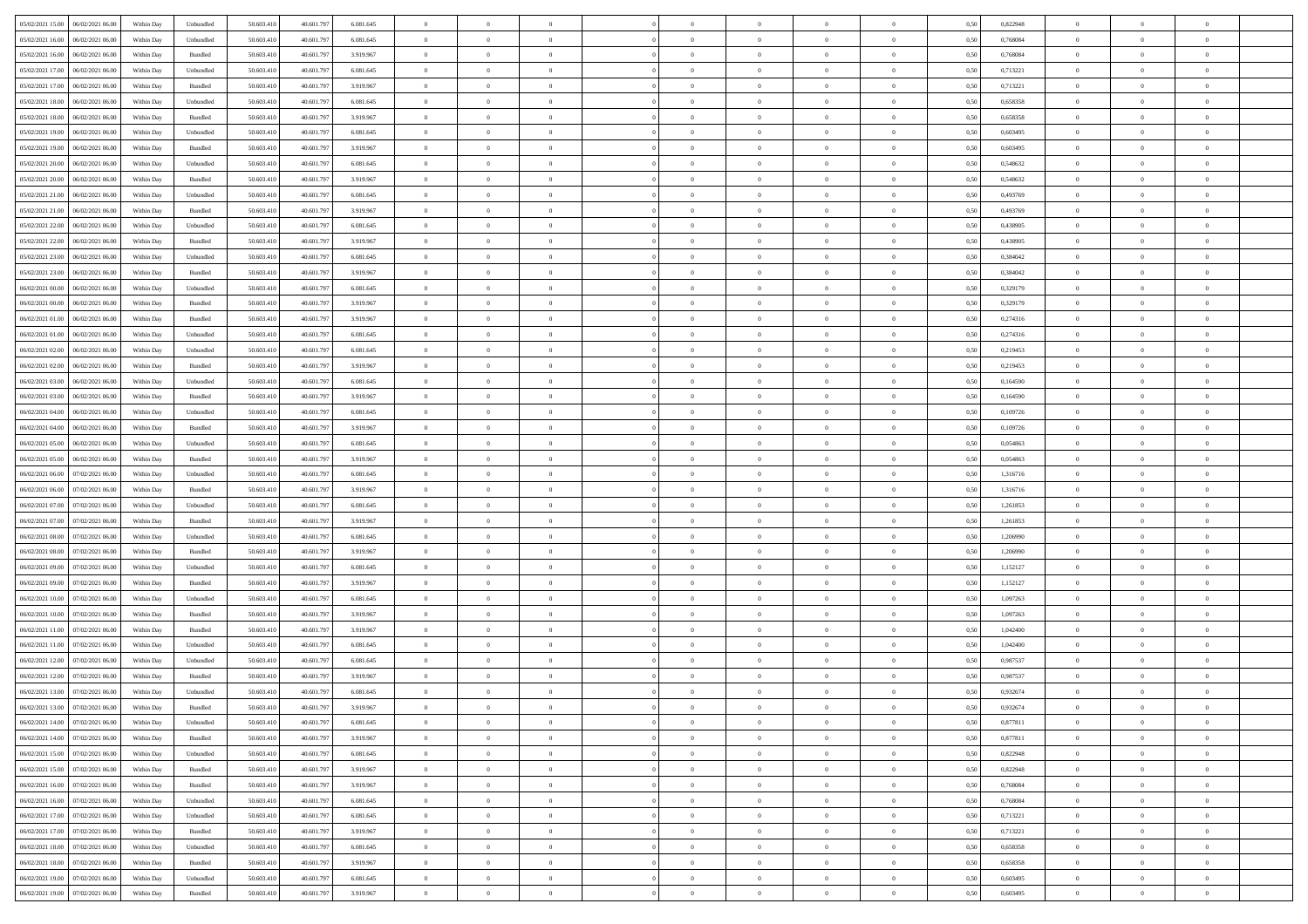| 05/02/2021 15:00   06/02/2021 06:00  | Within Day | Unbundled          | 50.603.410 | 40.601.797 | 6.081.645 | $\overline{0}$ | $\theta$       |                | $\overline{0}$ | $\theta$       |                | $\theta$       | 0,50 | 0,822948 | $\theta$       | $\theta$       | $\theta$       |  |
|--------------------------------------|------------|--------------------|------------|------------|-----------|----------------|----------------|----------------|----------------|----------------|----------------|----------------|------|----------|----------------|----------------|----------------|--|
| 05/02/2021 16:00<br>06/02/2021 06.00 | Within Day | Unbundled          | 50.603.41  | 40.601.79  | 6.081.645 | $\bf{0}$       | $\bf{0}$       | $\bf{0}$       | $\bf{0}$       | $\overline{0}$ | $\overline{0}$ | $\bf{0}$       | 0,50 | 0,768084 | $\,$ 0 $\,$    | $\bf{0}$       | $\overline{0}$ |  |
| 05/02/2021 16:00<br>06/02/2021 06:00 | Within Day | Bundled            | 50.603.41  | 40.601.79  | 3.919.967 | $\overline{0}$ | $\bf{0}$       | $\overline{0}$ | $\bf{0}$       | $\bf{0}$       | $\overline{0}$ | $\bf{0}$       | 0.50 | 0.768084 | $\bf{0}$       | $\overline{0}$ | $\bf{0}$       |  |
| 05/02/2021 17:00<br>06/02/2021 06:00 |            |                    | 50.603.41  | 40.601.797 |           | $\overline{0}$ | $\overline{0}$ | $\overline{0}$ | $\overline{0}$ | $\theta$       | $\overline{0}$ |                |      | 0,713221 | $\theta$       | $\theta$       | $\overline{0}$ |  |
|                                      | Within Day | Unbundled          |            |            | 6.081.645 |                |                |                |                |                |                | $\bf{0}$       | 0,50 |          |                |                |                |  |
| 05/02/2021 17:00<br>06/02/2021 06.00 | Within Day | Bundled            | 50.603.41  | 40.601.79  | 3.919.967 | $\overline{0}$ | $\overline{0}$ | $\bf{0}$       | $\overline{0}$ | $\theta$       | $\overline{0}$ | $\bf{0}$       | 0,50 | 0,713221 | $\,$ 0 $\,$    | $\bf{0}$       | $\overline{0}$ |  |
| 05/02/2021 18:00<br>06/02/2021 06:00 | Within Day | Unbundled          | 50.603.41  | 40.601.79  | 6.081.645 | $\overline{0}$ | $\overline{0}$ | $\overline{0}$ | $\bf{0}$       | $\overline{0}$ | $\theta$       | $\bf{0}$       | 0.50 | 0.658358 | $\,$ 0 $\,$    | $\theta$       | $\overline{0}$ |  |
| 05/02/2021 18:00<br>06/02/2021 06:00 | Within Day | Bundled            | 50.603.41  | 40.601.79  | 3.919.967 | $\overline{0}$ | $\overline{0}$ | $\overline{0}$ | $\overline{0}$ | $\overline{0}$ | $\overline{0}$ | $\bf{0}$       | 0,50 | 0,658358 | $\theta$       | $\theta$       | $\overline{0}$ |  |
|                                      |            |                    |            |            |           |                |                |                |                |                |                |                |      |          |                |                |                |  |
| 05/02/2021 19:00<br>06/02/2021 06.00 | Within Day | Unbundled          | 50.603.41  | 40.601.79  | 6.081.645 | $\bf{0}$       | $\bf{0}$       | $\bf{0}$       | $\overline{0}$ | $\overline{0}$ | $\overline{0}$ | $\bf{0}$       | 0,50 | 0,603495 | $\,$ 0 $\,$    | $\bf{0}$       | $\overline{0}$ |  |
| 05/02/2021 19:00<br>06/02/2021 06:00 | Within Day | Bundled            | 50.603.41  | 40.601.79  | 3.919.967 | $\overline{0}$ | $\bf{0}$       | $\overline{0}$ | $\bf{0}$       | $\overline{0}$ | $\overline{0}$ | $\bf{0}$       | 0.50 | 0.603495 | $\bf{0}$       | $\overline{0}$ | $\overline{0}$ |  |
| 05/02/2021 20:00<br>06/02/2021 06:00 | Within Day | Unbundled          | 50.603.410 | 40.601.797 | 6.081.645 | $\overline{0}$ | $\bf{0}$       | $\overline{0}$ | $\overline{0}$ | $\overline{0}$ | $\overline{0}$ | $\bf{0}$       | 0,50 | 0,548632 | $\,$ 0 $\,$    | $\bf{0}$       | $\overline{0}$ |  |
| 05/02/2021 20:00<br>06/02/2021 06.00 | Within Day | Bundled            | 50.603.41  | 40.601.79  | 3.919.967 | $\bf{0}$       | $\bf{0}$       | $\bf{0}$       | $\bf{0}$       | $\bf{0}$       | $\overline{0}$ | $\bf{0}$       | 0,50 | 0,548632 | $\,$ 0 $\,$    | $\bf{0}$       | $\overline{0}$ |  |
|                                      |            |                    |            |            |           |                |                |                |                |                |                |                |      |          |                |                |                |  |
| 05/02/2021 21:00<br>06/02/2021 06:00 | Within Day | Unbundled          | 50.603.41  | 40.601.79  | 6.081.645 | $\overline{0}$ | $\bf{0}$       | $\overline{0}$ | $\overline{0}$ | $\bf{0}$       | $\overline{0}$ | $\bf{0}$       | 0.50 | 0.493769 | $\bf{0}$       | $\overline{0}$ | $\,$ 0         |  |
| 05/02/2021 21:00<br>06/02/2021 06:00 | Within Day | Bundled            | 50.603.41  | 40.601.79  | 3.919.967 | $\overline{0}$ | $\overline{0}$ | $\overline{0}$ | $\theta$       | $\theta$       | $\overline{0}$ | $\bf{0}$       | 0,50 | 0,493769 | $\theta$       | $\theta$       | $\overline{0}$ |  |
| 05/02/2021 22.00<br>06/02/2021 06.00 | Within Day | Unbundled          | 50.603.41  | 40.601.79  | 6.081.645 | $\bf{0}$       | $\overline{0}$ | $\bf{0}$       | $\overline{0}$ | $\bf{0}$       | $\overline{0}$ | $\bf{0}$       | 0,50 | 0,438905 | $\,$ 0 $\,$    | $\bf{0}$       | $\overline{0}$ |  |
|                                      |            |                    |            |            |           |                |                |                |                |                | $\theta$       |                |      |          |                |                |                |  |
| 05/02/2021 22.00<br>06/02/2021 06:00 | Within Day | Bundled            | 50.603.41  | 40.601.79  | 3.919.967 | $\overline{0}$ | $\overline{0}$ | $\overline{0}$ | $\bf{0}$       | $\overline{0}$ |                | $\bf{0}$       | 0.50 | 0.438905 | $\,$ 0 $\,$    | $\theta$       | $\overline{0}$ |  |
| 05/02/2021 23:00<br>06/02/2021 06:00 | Within Day | Unbundled          | 50.603.410 | 40.601.797 | 6.081.645 | $\overline{0}$ | $\overline{0}$ | $\overline{0}$ | $\overline{0}$ | $\overline{0}$ | $\overline{0}$ | $\bf{0}$       | 0,50 | 0,384042 | $\theta$       | $\theta$       | $\overline{0}$ |  |
| 05/02/2021 23:00<br>06/02/2021 06.00 | Within Day | Bundled            | 50.603.41  | 40.601.79  | 3.919.967 | $\bf{0}$       | $\bf{0}$       | $\bf{0}$       | $\overline{0}$ | $\overline{0}$ | $\overline{0}$ | $\bf{0}$       | 0,50 | 0,384042 | $\,$ 0 $\,$    | $\bf{0}$       | $\overline{0}$ |  |
| 06/02/2021 00:00<br>06/02/2021 06:00 | Within Day | Unbundled          | 50.603.41  | 40.601.79  | 6.081.645 | $\overline{0}$ | $\bf{0}$       | $\overline{0}$ | $\bf{0}$       | $\overline{0}$ | $\overline{0}$ | $\bf{0}$       | 0.50 | 0.329179 | $\bf{0}$       | $\overline{0}$ | $\bf{0}$       |  |
| 06/02/2021 00:00<br>06/02/2021 06:00 | Within Day | Bundled            | 50.603.410 | 40.601.797 | 3.919.967 | $\overline{0}$ | $\bf{0}$       | $\overline{0}$ | $\overline{0}$ | $\overline{0}$ | $\overline{0}$ | $\bf{0}$       | 0,50 | 0,329179 | $\,$ 0 $\,$    | $\bf{0}$       | $\overline{0}$ |  |
|                                      |            |                    |            |            |           |                |                |                |                |                |                |                |      |          |                |                |                |  |
| 06/02/2021 01:00<br>06/02/2021 06.00 | Within Day | Bundled            | 50.603.41  | 40.601.79  | 3.919.967 | $\bf{0}$       | $\bf{0}$       | $\bf{0}$       | $\bf{0}$       | $\overline{0}$ | $\overline{0}$ | $\bf{0}$       | 0,50 | 0,274316 | $\,$ 0 $\,$    | $\bf{0}$       | $\overline{0}$ |  |
| 06/02/2021 01:00<br>06/02/2021 06:00 | Within Day | Unbundled          | 50.603.41  | 40.601.79  | 6.081.645 | $\overline{0}$ | $\bf{0}$       | $\overline{0}$ | $\overline{0}$ | $\bf{0}$       | $\overline{0}$ | $\bf{0}$       | 0.50 | 0,274316 | $\bf{0}$       | $\overline{0}$ | $\,$ 0         |  |
| 06/02/2021 02:00<br>06/02/2021 06:00 | Within Day | Unbundled          | 50.603.41  | 40.601.797 | 6.081.645 | $\overline{0}$ | $\overline{0}$ | $\overline{0}$ | $\theta$       | $\theta$       | $\overline{0}$ | $\bf{0}$       | 0,50 | 0,219453 | $\theta$       | $\theta$       | $\overline{0}$ |  |
|                                      |            |                    |            |            |           |                | $\bf{0}$       |                |                | $\overline{0}$ | $\overline{0}$ |                |      |          | $\,$ 0 $\,$    | $\bf{0}$       | $\overline{0}$ |  |
| 06/02/2021 02:00<br>06/02/2021 06.00 | Within Day | Bundled            | 50.603.41  | 40.601.79  | 3.919.967 | $\bf{0}$       |                | $\bf{0}$       | $\bf{0}$       |                |                | $\bf{0}$       | 0,50 | 0,219453 |                |                |                |  |
| 06/02/2021 03:00<br>06/02/2021 06:00 | Within Day | Unbundled          | 50.603.41  | 40.601.79  | 6.081.645 | $\overline{0}$ | $\overline{0}$ | $\overline{0}$ | $\bf{0}$       | $\overline{0}$ | $\theta$       | $\bf{0}$       | 0.50 | 0.164590 | $\,$ 0 $\,$    | $\theta$       | $\overline{0}$ |  |
| 06/02/2021 03:00<br>06/02/2021 06:00 | Within Day | Bundled            | 50.603.41  | 40.601.797 | 3.919.967 | $\overline{0}$ | $\overline{0}$ | $\overline{0}$ | $\overline{0}$ | $\overline{0}$ | $\overline{0}$ | $\bf{0}$       | 0,50 | 0,164590 | $\theta$       | $\theta$       | $\overline{0}$ |  |
| 06/02/2021 04:00<br>06/02/2021 06.00 | Within Day | Unbundled          | 50.603.41  | 40.601.79  | 6.081.645 | $\bf{0}$       | $\overline{0}$ | $\bf{0}$       | $\overline{0}$ | $\bf{0}$       | $\overline{0}$ | $\bf{0}$       | 0,50 | 0,109726 | $\,$ 0 $\,$    | $\bf{0}$       | $\overline{0}$ |  |
| 06/02/2021 04:00<br>06/02/2021 06:00 | Within Day | Bundled            | 50,603.41  | 40.601.79  | 3.919.967 | $\overline{0}$ | $\bf{0}$       | $\overline{0}$ | $\bf{0}$       | $\overline{0}$ | $\overline{0}$ | $\bf{0}$       | 0.50 | 0.109726 | $\bf{0}$       | $\overline{0}$ | $\overline{0}$ |  |
|                                      |            |                    |            |            |           |                |                |                |                |                |                |                |      |          |                |                |                |  |
| 06/02/2021 05:00<br>06/02/2021 06:00 | Within Day | Unbundled          | 50.603.410 | 40.601.797 | 6.081.645 | $\overline{0}$ | $\bf{0}$       | $\overline{0}$ | $\overline{0}$ | $\overline{0}$ | $\overline{0}$ | $\bf{0}$       | 0,50 | 0,054863 | $\theta$       | $\theta$       | $\overline{0}$ |  |
| 06/02/2021 05:00<br>06/02/2021 06.00 | Within Day | Bundled            | 50.603.41  | 40.601.79  | 3.919.967 | $\bf{0}$       | $\bf{0}$       | $\bf{0}$       | $\bf{0}$       | $\overline{0}$ | $\overline{0}$ | $\bf{0}$       | 0,50 | 0,054863 | $\,$ 0 $\,$    | $\bf{0}$       | $\overline{0}$ |  |
| 06/02/2021 06:00<br>07/02/2021 06:00 | Within Day | Unbundled          | 50.603.41  | 40.601.79  | 6.081.645 | $\overline{0}$ | $\bf{0}$       | $\overline{0}$ | $\bf{0}$       | $\bf{0}$       | $\overline{0}$ | $\bf{0}$       | 0.50 | 1.316716 | $\bf{0}$       | $\overline{0}$ | $\,$ 0         |  |
| 06/02/2021 06:00<br>07/02/2021 06:00 | Within Day | Bundled            | 50.603.41  | 40.601.79  | 3.919.967 | $\overline{0}$ | $\overline{0}$ | $\overline{0}$ | $\overline{0}$ | $\overline{0}$ | $\overline{0}$ | $\bf{0}$       | 0.50 | 1,316716 | $\theta$       | $\theta$       | $\overline{0}$ |  |
|                                      |            |                    |            |            |           |                |                |                |                |                |                |                |      |          |                |                |                |  |
| 06/02/2021 07:00<br>07/02/2021 06.00 | Within Day | Unbundled          | 50.603.41  | 40.601.79  | 6.081.645 | $\bf{0}$       | $\overline{0}$ | $\bf{0}$       | $\bf{0}$       | $\overline{0}$ | $\overline{0}$ | $\bf{0}$       | 0,50 | 1,261853 | $\,$ 0 $\,$    | $\bf{0}$       | $\overline{0}$ |  |
| 06/02/2021 07:00<br>07/02/2021 06:00 | Within Day | Bundled            | 50.603.41  | 40.601.79  | 3.919.967 | $\overline{0}$ | $\bf{0}$       | $\overline{0}$ | $\bf{0}$       | $\overline{0}$ | $\overline{0}$ | $\bf{0}$       | 0.50 | 1.261853 | $\,$ 0 $\,$    | $\theta$       | $\overline{0}$ |  |
| 06/02/2021 08:00<br>07/02/2021 06:00 | Within Dav | Unbundled          | 50.603.41  | 40.601.797 | 6.081.645 | $\overline{0}$ | $\overline{0}$ | $\overline{0}$ | $\overline{0}$ | $\overline{0}$ | $\overline{0}$ | $\bf{0}$       | 0.50 | 1,206990 | $\theta$       | $\theta$       | $\overline{0}$ |  |
| 06/02/2021 08:00<br>07/02/2021 06.00 | Within Day | Bundled            | 50.603.41  | 40.601.79  | 3.919.967 | $\bf{0}$       | $\bf{0}$       | $\bf{0}$       | $\bf{0}$       | $\overline{0}$ | $\overline{0}$ | $\bf{0}$       | 0,50 | 1,206990 | $\,$ 0 $\,$    | $\bf{0}$       | $\overline{0}$ |  |
| 06/02/2021 09:00<br>07/02/2021 06:00 | Within Day | Unbundled          | 50,603.41  | 40.601.79  | 6.081.645 | $\overline{0}$ | $\bf{0}$       | $\overline{0}$ | $\bf{0}$       | $\overline{0}$ | $\overline{0}$ | $\bf{0}$       | 0.50 | 1.152127 | $\bf{0}$       | $\overline{0}$ | $\bf{0}$       |  |
|                                      |            |                    |            |            |           |                |                |                |                |                |                |                |      |          |                |                |                |  |
| 06/02/2021 09:00<br>07/02/2021 06:00 | Within Day | Bundled            | 50.603.41  | 40.601.79  | 3.919.967 | $\overline{0}$ | $\overline{0}$ | $\overline{0}$ | $\overline{0}$ | $\overline{0}$ | $\overline{0}$ | $\bf{0}$       | 0.50 | 1,152127 | $\theta$       | $\theta$       | $\overline{0}$ |  |
| 06/02/2021 10:00<br>07/02/2021 06.00 | Within Day | Unbundled          | 50.603.41  | 40.601.79  | 6.081.645 | $\bf{0}$       | $\bf{0}$       | $\bf{0}$       | $\bf{0}$       | $\overline{0}$ | $\overline{0}$ | $\bf{0}$       | 0,50 | 1,097263 | $\,$ 0 $\,$    | $\bf{0}$       | $\overline{0}$ |  |
| 06/02/2021 10:00<br>07/02/2021 06:00 | Within Day | Bundled            | 50.603.41  | 40.601.797 | 3.919.967 | $\overline{0}$ | $\bf{0}$       | $\overline{0}$ | $\overline{0}$ | $\bf{0}$       | $\overline{0}$ | $\bf{0}$       | 0.50 | 1.097263 | $\,$ 0 $\,$    | $\overline{0}$ | $\,$ 0         |  |
| 06/02/2021 11:00<br>07/02/2021 06:00 | Within Dav | Bundled            | 50.603.41  | 40.601.797 | 3.919.967 | $\overline{0}$ | $\overline{0}$ | $\overline{0}$ | $\overline{0}$ | $\overline{0}$ | $\overline{0}$ | $\bf{0}$       | 0.50 | 1,042400 | $\theta$       | $\theta$       | $\overline{0}$ |  |
|                                      |            |                    |            |            |           |                |                |                |                |                |                |                |      |          |                |                |                |  |
| 06/02/2021 11:00<br>07/02/2021 06.00 | Within Day | Unbundled          | 50.603.41  | 40.601.79  | 6.081.645 | $\bf{0}$       | $\bf{0}$       | $\bf{0}$       | $\bf{0}$       | $\overline{0}$ | $\overline{0}$ | $\bf{0}$       | 0,50 | 1,042400 | $\,$ 0 $\,$    | $\bf{0}$       | $\overline{0}$ |  |
| 06/02/2021 12:00<br>07/02/2021 06:00 | Within Day | Unbundled          | 50.603.41  | 40.601.79  | 6.081.645 | $\overline{0}$ | $\overline{0}$ | $\overline{0}$ | $\bf{0}$       | $\overline{0}$ | $\Omega$       | $\bf{0}$       | 0.50 | 0.987537 | $\bf{0}$       | $\theta$       | $\overline{0}$ |  |
| 06/02/2021 12:00<br>07/02/2021 06:00 | Within Dav | Bundled            | 50.603.41  | 40.601.79  | 3.919.967 | $\overline{0}$ | $\overline{0}$ | $\Omega$       | $\overline{0}$ | $\theta$       | $\overline{0}$ | $\overline{0}$ | 0.5( | 0,987537 | $\theta$       | $\theta$       | $\overline{0}$ |  |
| 06/02/2021 13:00<br>07/02/2021 06:00 | Within Day | Unbundled          | 50.603.41  | 40.601.79  | 6.081.645 | $\bf{0}$       | $\bf{0}$       | $\bf{0}$       | $\bf{0}$       | $\bf{0}$       | $\overline{0}$ | $\bf{0}$       | 0,50 | 0,932674 | $\overline{0}$ | $\bf{0}$       | $\overline{0}$ |  |
| 06/02/2021 13:00 07/02/2021 06:00    |            |                    |            |            | 3 919 967 |                |                |                |                |                |                |                |      |          |                |                |                |  |
|                                      | Within Day | $\mathbf B$ undled | 50.603.410 | 40.601.797 |           | $\bf{0}$       | $\Omega$       |                | $\Omega$       |                |                |                | 0,50 | 0,932674 | $\bf{0}$       | $\overline{0}$ |                |  |
| 06/02/2021 14:00 07/02/2021 06:00    | Within Day | Unbundled          | 50.603.410 | 40.601.797 | 6.081.645 | $\overline{0}$ | $\overline{0}$ | $\overline{0}$ | $\theta$       | $\overline{0}$ | $\overline{0}$ | $\bf{0}$       | 0,50 | 0,877811 | $\theta$       | $\overline{0}$ | $\overline{0}$ |  |
| 06/02/2021 14:00<br>07/02/2021 06:00 | Within Day | Bundled            | 50.603.41  | 40.601.79  | 3.919.967 | $\overline{0}$ | $\bf{0}$       | $\overline{0}$ | $\overline{0}$ | $\bf{0}$       | $\overline{0}$ | $\bf{0}$       | 0,50 | 0,877811 | $\bf{0}$       | $\overline{0}$ | $\bf{0}$       |  |
| 06/02/2021 15:00 07/02/2021 06:00    | Within Day | Unbundled          | 50,603.410 | 40,601.797 | 6.081.645 | $\overline{0}$ | $\overline{0}$ | $\overline{0}$ | $\overline{0}$ | $\mathbf{0}$   | $\overline{0}$ | $\,$ 0 $\,$    | 0.50 | 0,822948 | $\overline{0}$ | $\bf{0}$       | $\overline{0}$ |  |
|                                      |            |                    |            |            |           |                | $\overline{0}$ |                |                | $\overline{0}$ |                |                |      |          |                | $\theta$       | $\overline{0}$ |  |
| 06/02/2021 15:00 07/02/2021 06:00    | Within Day | Bundled            | 50.603.410 | 40.601.797 | 3.919.967 | $\overline{0}$ |                | $\overline{0}$ | $\overline{0}$ |                | $\overline{0}$ | $\bf{0}$       | 0,50 | 0,822948 | $\overline{0}$ |                |                |  |
| 06/02/2021 16:00<br>07/02/2021 06:00 | Within Day | Bundled            | 50.603.41  | 40.601.797 | 3.919.967 | $\overline{0}$ | $\bf{0}$       | $\overline{0}$ | $\overline{0}$ | $\bf{0}$       | $\overline{0}$ | $\bf{0}$       | 0,50 | 0,768084 | $\bf{0}$       | $\overline{0}$ | $\overline{0}$ |  |
| 06/02/2021 16:00 07/02/2021 06:00    | Within Day | Unbundled          | 50,603.410 | 40.601.797 | 6.081.645 | $\overline{0}$ | $\bf{0}$       | $\overline{0}$ | $\overline{0}$ | $\bf{0}$       | $\overline{0}$ | $\bf{0}$       | 0.50 | 0.768084 | $\,$ 0 $\,$    | $\overline{0}$ | $\,$ 0         |  |
| 06/02/2021 17:00 07/02/2021 06:00    | Within Day | Unbundled          | 50.603.410 | 40.601.797 | 6.081.645 | $\overline{0}$ | $\overline{0}$ | $\overline{0}$ | $\overline{0}$ | $\overline{0}$ | $\overline{0}$ | $\bf{0}$       | 0.50 | 0,713221 | $\overline{0}$ | $\theta$       | $\overline{0}$ |  |
| 07/02/2021 06:00<br>06/02/2021 17:00 |            |                    |            |            |           |                | $\overline{0}$ |                |                | $\overline{0}$ |                |                |      |          | $\bf{0}$       | $\overline{0}$ | $\,$ 0         |  |
|                                      | Within Day | Bundled            | 50.603.41  | 40.601.79  | 3.919.967 | $\overline{0}$ |                | $\overline{0}$ | $\overline{0}$ |                | $\overline{0}$ | $\bf{0}$       | 0,50 | 0,713221 |                |                |                |  |
| 06/02/2021 18:00 07/02/2021 06:00    | Within Day | Unbundled          | 50,603.410 | 40.601.797 | 6.081.645 | $\overline{0}$ | $\overline{0}$ | $\overline{0}$ | $\overline{0}$ | $\overline{0}$ | $\overline{0}$ | $\bf{0}$       | 0.50 | 0.658358 | $\mathbf{0}$   | $\bf{0}$       | $\,$ 0         |  |
| 06/02/2021 18:00 07/02/2021 06:00    | Within Dav | Bundled            | 50.603.410 | 40.601.797 | 3.919.967 | $\overline{0}$ | $\overline{0}$ | $\overline{0}$ | $\overline{0}$ | $\overline{0}$ | $\overline{0}$ | $\bf{0}$       | 0,50 | 0,658358 | $\overline{0}$ | $\theta$       | $\overline{0}$ |  |
| 06/02/2021 19:00<br>07/02/2021 06:00 | Within Day | Unbundled          | 50.603.41  | 40.601.79  | 6.081.645 | $\overline{0}$ | $\bf{0}$       | $\overline{0}$ | $\overline{0}$ | $\overline{0}$ | $\overline{0}$ | $\bf{0}$       | 0,50 | 0,603495 | $\bf{0}$       | $\overline{0}$ | $\bf{0}$       |  |
|                                      |            |                    |            |            |           |                |                |                |                |                |                |                |      |          |                |                |                |  |
| 06/02/2021 19:00 07/02/2021 06:00    | Within Day | Bundled            | 50.603.410 | 40.601.797 | 3.919.967 | $\,$ 0 $\,$    | $\bf{0}$       | $\overline{0}$ | $\overline{0}$ | $\,$ 0 $\,$    | $\overline{0}$ | $\,$ 0 $\,$    | 0,50 | 0,603495 | $\overline{0}$ | $\,$ 0 $\,$    | $\,$ 0 $\,$    |  |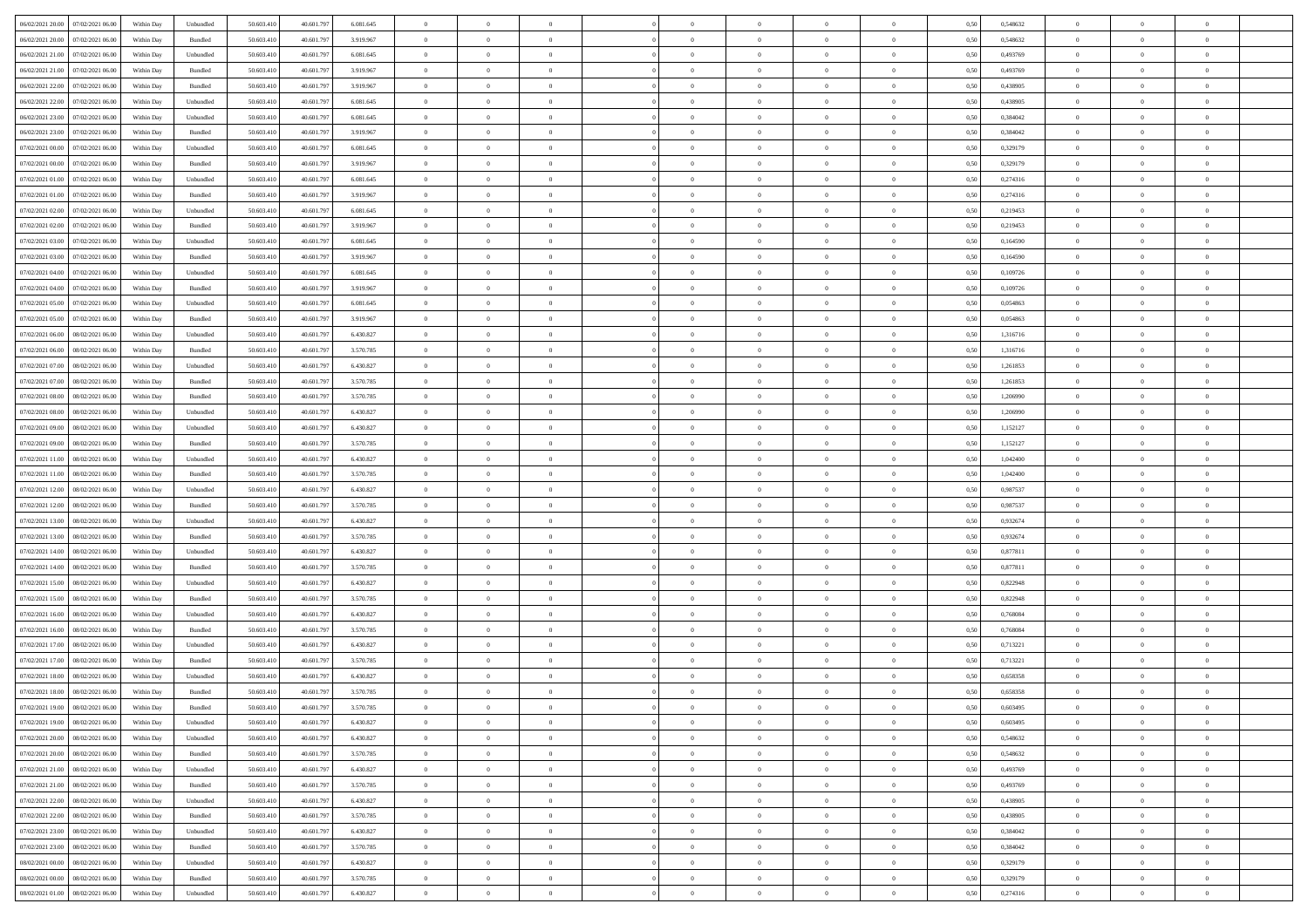| 06/02/2021 20:00 07/02/2021 06:00            | Within Day | Unbundled | 50.603.410 | 40.601.797 | 6.081.645 | $\overline{0}$ | $\overline{0}$ |                | $\overline{0}$ | $\theta$       |                | $\theta$       | 0,50 | 0,548632 | $\theta$       | $\theta$       | $\overline{0}$ |  |
|----------------------------------------------|------------|-----------|------------|------------|-----------|----------------|----------------|----------------|----------------|----------------|----------------|----------------|------|----------|----------------|----------------|----------------|--|
| 06/02/2021 20:00<br>07/02/2021 06:00         | Within Day | Bundled   | 50.603.41  | 40.601.79  | 3.919.967 | $\bf{0}$       | $\bf{0}$       | $\bf{0}$       | $\bf{0}$       | $\overline{0}$ | $\overline{0}$ | $\bf{0}$       | 0,50 | 0,548632 | $\,$ 0 $\,$    | $\bf{0}$       | $\overline{0}$ |  |
| 06/02/2021 21:00<br>07/02/2021 06:00         | Within Day | Unbundled | 50.603.41  | 40.601.79  | 6.081.645 | $\overline{0}$ | $\bf{0}$       | $\overline{0}$ | $\bf{0}$       | $\bf{0}$       | $\overline{0}$ | $\bf{0}$       | 0.50 | 0.493769 | $\bf{0}$       | $\overline{0}$ | $\overline{0}$ |  |
| 06/02/2021 21:00<br>07/02/2021 06:00         | Within Day | Bundled   | 50.603.41  | 40.601.797 | 3.919.967 | $\overline{0}$ | $\overline{0}$ | $\overline{0}$ | $\theta$       | $\theta$       | $\overline{0}$ | $\bf{0}$       | 0,50 | 0,493769 | $\theta$       | $\theta$       | $\overline{0}$ |  |
|                                              |            |           |            |            |           |                |                |                |                |                |                |                |      |          |                |                |                |  |
| 06/02/2021 22:00<br>07/02/2021 06.00         | Within Day | Bundled   | 50.603.41  | 40.601.79  | 3.919.967 | $\overline{0}$ | $\overline{0}$ | $\bf{0}$       | $\overline{0}$ | $\theta$       | $\overline{0}$ | $\bf{0}$       | 0,50 | 0,438905 | $\,$ 0 $\,$    | $\bf{0}$       | $\overline{0}$ |  |
| 06/02/2021 22:00<br>07/02/2021 06:00         | Within Day | Unbundled | 50.603.41  | 40.601.79  | 6.081.645 | $\overline{0}$ | $\overline{0}$ | $\overline{0}$ | $\bf{0}$       | $\overline{0}$ | $\theta$       | $\bf{0}$       | 0.50 | 0.438905 | $\,$ 0 $\,$    | $\theta$       | $\overline{0}$ |  |
| 06/02/2021 23:00<br>07/02/2021 06:00         | Within Day | Unbundled | 50.603.41  | 40.601.79  | 6.081.645 | $\overline{0}$ | $\overline{0}$ | $\overline{0}$ | $\overline{0}$ | $\overline{0}$ | $\overline{0}$ | $\bf{0}$       | 0,50 | 0,384042 | $\theta$       | $\theta$       | $\overline{0}$ |  |
| 06/02/2021 23:00<br>07/02/2021 06.00         | Within Day | Bundled   | 50.603.41  | 40.601.79  | 3.919.967 | $\bf{0}$       | $\bf{0}$       | $\bf{0}$       | $\overline{0}$ | $\overline{0}$ | $\overline{0}$ | $\bf{0}$       | 0,50 | 0,384042 | $\,$ 0 $\,$    | $\bf{0}$       | $\overline{0}$ |  |
| 07/02/2021 00:00<br>07/02/2021 06:00         | Within Day | Unbundled | 50.603.41  | 40.601.79  | 6.081.645 | $\overline{0}$ | $\bf{0}$       | $\overline{0}$ | $\bf{0}$       | $\overline{0}$ | $\overline{0}$ | $\bf{0}$       | 0.50 | 0,329179 | $\bf{0}$       | $\overline{0}$ | $\overline{0}$ |  |
| 07/02/2021 00:00<br>07/02/2021 06:00         | Within Day | Bundled   | 50.603.410 | 40.601.797 | 3.919.967 | $\bf{0}$       | $\bf{0}$       | $\overline{0}$ | $\overline{0}$ | $\overline{0}$ | $\overline{0}$ | $\bf{0}$       | 0,50 | 0,329179 | $\,$ 0 $\,$    | $\bf{0}$       | $\overline{0}$ |  |
|                                              |            |           |            |            |           |                |                |                |                |                |                |                |      |          |                |                |                |  |
| 07/02/2021 01:00<br>07/02/2021 06.00         | Within Day | Unbundled | 50.603.41  | 40.601.79  | 6.081.645 | $\bf{0}$       | $\overline{0}$ | $\bf{0}$       | $\bf{0}$       | $\overline{0}$ | $\overline{0}$ | $\bf{0}$       | 0,50 | 0,274316 | $\,$ 0 $\,$    | $\bf{0}$       | $\overline{0}$ |  |
| 07/02/2021 01:00<br>07/02/2021 06:00         | Within Day | Bundled   | 50.603.41  | 40.601.797 | 3.919.967 | $\overline{0}$ | $\bf{0}$       | $\overline{0}$ | $\overline{0}$ | $\bf{0}$       | $\overline{0}$ | $\bf{0}$       | 0.50 | 0,274316 | $\bf{0}$       | $\overline{0}$ | $\,$ 0         |  |
| 07/02/2021 02:00<br>07/02/2021 06:00         | Within Day | Unbundled | 50.603.41  | 40.601.797 | 6.081.645 | $\overline{0}$ | $\overline{0}$ | $\overline{0}$ | $\theta$       | $\theta$       | $\overline{0}$ | $\bf{0}$       | 0,50 | 0,219453 | $\,$ 0 $\,$    | $\theta$       | $\overline{0}$ |  |
| 07/02/2021 02:00<br>07/02/2021 06.00         | Within Day | Bundled   | 50.603.41  | 40.601.79  | 3.919.967 | $\bf{0}$       | $\overline{0}$ | $\bf{0}$       | $\overline{0}$ | $\bf{0}$       | $\overline{0}$ | $\bf{0}$       | 0,50 | 0,219453 | $\,$ 0 $\,$    | $\bf{0}$       | $\overline{0}$ |  |
| 07/02/2021 03:00<br>07/02/2021 06:00         | Within Day | Unbundled | 50.603.41  | 40.601.79  | 6.081.645 | $\overline{0}$ | $\overline{0}$ | $\overline{0}$ | $\bf{0}$       | $\overline{0}$ | $\theta$       | $\bf{0}$       | 0.50 | 0.164590 | $\,$ 0 $\,$    | $\theta$       | $\overline{0}$ |  |
|                                              |            |           |            |            |           |                |                |                |                |                |                |                |      |          |                |                |                |  |
| 07/02/2021 03:00<br>07/02/2021 06:00         | Within Day | Bundled   | 50.603.410 | 40.601.797 | 3.919.967 | $\overline{0}$ | $\overline{0}$ | $\overline{0}$ | $\overline{0}$ | $\overline{0}$ | $\overline{0}$ | $\bf{0}$       | 0,50 | 0,164590 | $\theta$       | $\theta$       | $\overline{0}$ |  |
| 07/02/2021 04:00<br>07/02/2021 06.00         | Within Day | Unbundled | 50.603.41  | 40.601.79  | 6.081.645 | $\bf{0}$       | $\bf{0}$       | $\bf{0}$       | $\overline{0}$ | $\overline{0}$ | $\overline{0}$ | $\bf{0}$       | 0,50 | 0,109726 | $\,$ 0 $\,$    | $\bf{0}$       | $\overline{0}$ |  |
| 07/02/2021 04:00<br>07/02/2021 06:00         | Within Day | Bundled   | 50.603.41  | 40.601.79  | 3.919.967 | $\overline{0}$ | $\bf{0}$       | $\overline{0}$ | $\bf{0}$       | $\overline{0}$ | $\overline{0}$ | $\bf{0}$       | 0.50 | 0.109726 | $\bf{0}$       | $\overline{0}$ | $\overline{0}$ |  |
| 07/02/2021 05:00<br>07/02/2021 06:00         | Within Day | Unbundled | 50.603.410 | 40.601.797 | 6.081.645 | $\overline{0}$ | $\bf{0}$       | $\overline{0}$ | $\overline{0}$ | $\overline{0}$ | $\overline{0}$ | $\bf{0}$       | 0,50 | 0,054863 | $\,$ 0 $\,$    | $\bf{0}$       | $\overline{0}$ |  |
| 07/02/2021 05:00<br>07/02/2021 06.00         | Within Day | Bundled   | 50.603.41  | 40.601.79  | 3.919.967 | $\bf{0}$       | $\bf{0}$       | $\bf{0}$       | $\bf{0}$       | $\overline{0}$ | $\overline{0}$ | $\bf{0}$       | 0,50 | 0,054863 | $\,$ 0 $\,$    | $\bf{0}$       | $\overline{0}$ |  |
| 07/02/2021 06:00<br>08/02/2021 06:00         | Within Day | Unbundled | 50.603.41  | 40.601.79  | 6.430.827 | $\overline{0}$ | $\bf{0}$       | $\overline{0}$ | $\overline{0}$ | $\bf{0}$       | $\overline{0}$ | $\bf{0}$       | 0.50 | 1.316716 | $\bf{0}$       | $\overline{0}$ | $\,$ 0         |  |
| 07/02/2021 06:00<br>08/02/2021 06:00         |            |           | 50.603.41  | 40.601.797 |           | $\overline{0}$ | $\overline{0}$ | $\overline{0}$ | $\overline{0}$ | $\theta$       | $\overline{0}$ |                |      | 1,316716 | $\theta$       | $\theta$       | $\overline{0}$ |  |
|                                              | Within Day | Bundled   |            |            | 3.570.785 |                |                |                |                |                |                | $\bf{0}$       | 0,50 |          |                |                |                |  |
| 07/02/2021 07:00<br>08/02/2021 06:00         | Within Day | Unbundled | 50.603.41  | 40.601.79  | 6.430.827 | $\bf{0}$       | $\overline{0}$ | $\bf{0}$       | $\bf{0}$       | $\overline{0}$ | $\overline{0}$ | $\bf{0}$       | 0,50 | 1,261853 | $\,$ 0 $\,$    | $\bf{0}$       | $\overline{0}$ |  |
| 07/02/2021 07:00<br>08/02/2021 06:00         | Within Day | Bundled   | 50,603.41  | 40.601.79  | 3.570.785 | $\overline{0}$ | $\overline{0}$ | $\overline{0}$ | $\bf{0}$       | $\overline{0}$ | $\theta$       | $\bf{0}$       | 0.50 | 1.261853 | $\,$ 0 $\,$    | $\theta$       | $\overline{0}$ |  |
| 07/02/2021 08:00<br>08/02/2021 06:00         | Within Day | Bundled   | 50.603.41  | 40.601.797 | 3.570.785 | $\overline{0}$ | $\overline{0}$ | $\overline{0}$ | $\overline{0}$ | $\overline{0}$ | $\overline{0}$ | $\bf{0}$       | 0,50 | 1,206990 | $\,$ 0 $\,$    | $\theta$       | $\overline{0}$ |  |
| 07/02/2021 08:00<br>08/02/2021 06:00         | Within Day | Unbundled | 50.603.41  | 40.601.79  | 6.430.827 | $\bf{0}$       | $\overline{0}$ | $\bf{0}$       | $\overline{0}$ | $\bf{0}$       | $\overline{0}$ | $\bf{0}$       | 0,50 | 1,206990 | $\,$ 0 $\,$    | $\bf{0}$       | $\overline{0}$ |  |
| 07/02/2021 09:00<br>08/02/2021 06:00         | Within Day | Unbundled | 50,603.41  | 40.601.79  | 6.430.827 | $\overline{0}$ | $\bf{0}$       | $\overline{0}$ | $\bf{0}$       | $\overline{0}$ | $\overline{0}$ | $\bf{0}$       | 0.50 | 1.152127 | $\bf{0}$       | $\overline{0}$ | $\overline{0}$ |  |
| 07/02/2021 09:00<br>08/02/2021 06:00         | Within Day | Bundled   | 50.603.410 | 40.601.797 | 3.570.785 | $\overline{0}$ | $\bf{0}$       | $\overline{0}$ | $\overline{0}$ | $\overline{0}$ | $\overline{0}$ | $\bf{0}$       | 0,50 | 1,152127 | $\theta$       | $\theta$       | $\overline{0}$ |  |
|                                              |            |           |            |            |           |                |                |                |                |                |                |                |      |          |                |                |                |  |
| 07/02/2021 11:00<br>08/02/2021 06:00         | Within Day | Unbundled | 50.603.41  | 40.601.79  | 6.430.827 | $\bf{0}$       | $\bf{0}$       | $\bf{0}$       | $\bf{0}$       | $\overline{0}$ | $\overline{0}$ | $\bf{0}$       | 0,50 | 1,042400 | $\,$ 0 $\,$    | $\bf{0}$       | $\overline{0}$ |  |
| 07/02/2021 11:00<br>08/02/2021 06:00         | Within Day | Bundled   | 50.603.41  | 40.601.79  | 3.570.785 | $\overline{0}$ | $\bf{0}$       | $\overline{0}$ | $\bf{0}$       | $\bf{0}$       | $\overline{0}$ | $\bf{0}$       | 0.50 | 1.042400 | $\bf{0}$       | $\overline{0}$ | $\,$ 0         |  |
| 07/02/2021 12:00<br>08/02/2021 06:00         | Within Day | Unbundled | 50.603.41  | 40.601.79  | 6.430.827 | $\overline{0}$ | $\overline{0}$ | $\overline{0}$ | $\overline{0}$ | $\overline{0}$ | $\overline{0}$ | $\bf{0}$       | 0.50 | 0,987537 | $\theta$       | $\theta$       | $\overline{0}$ |  |
| 07/02/2021 12:00<br>08/02/2021 06:00         | Within Day | Bundled   | 50.603.41  | 40.601.79  | 3.570.785 | $\bf{0}$       | $\overline{0}$ | $\bf{0}$       | $\bf{0}$       | $\overline{0}$ | $\overline{0}$ | $\bf{0}$       | 0,50 | 0,987537 | $\,$ 0 $\,$    | $\bf{0}$       | $\overline{0}$ |  |
| 07/02/2021 13:00<br>08/02/2021 06:00         | Within Day | Unbundled | 50.603.41  | 40.601.79  | 6.430.827 | $\overline{0}$ | $\bf{0}$       | $\overline{0}$ | $\bf{0}$       | $\overline{0}$ | $\overline{0}$ | $\bf{0}$       | 0.50 | 0.932674 | $\,$ 0 $\,$    | $\bf{0}$       | $\overline{0}$ |  |
| 07/02/2021 13:00<br>08/02/2021 06:00         | Within Dav | Bundled   | 50.603.41  | 40.601.797 | 3.570.785 | $\overline{0}$ | $\overline{0}$ | $\overline{0}$ | $\overline{0}$ | $\overline{0}$ | $\overline{0}$ | $\bf{0}$       | 0.50 | 0,932674 | $\theta$       | $\theta$       | $\overline{0}$ |  |
| 08/02/2021 06:00                             | Within Day | Unbundled | 50.603.41  | 40.601.79  | 6.430.827 | $\bf{0}$       | $\bf{0}$       | $\bf{0}$       | $\bf{0}$       | $\overline{0}$ | $\overline{0}$ | $\bf{0}$       | 0,50 | 0,877811 | $\,$ 0 $\,$    | $\bf{0}$       | $\overline{0}$ |  |
| 07/02/2021 14:00                             |            |           |            |            |           |                |                |                |                |                |                |                |      |          |                |                |                |  |
| 07/02/2021 14:00<br>08/02/2021 06:00         | Within Day | Bundled   | 50,603.41  | 40.601.79  | 3.570.785 | $\overline{0}$ | $\bf{0}$       | $\overline{0}$ | $\bf{0}$       | $\overline{0}$ | $\overline{0}$ | $\bf{0}$       | 0.50 | 0.877811 | $\bf{0}$       | $\overline{0}$ | $\overline{0}$ |  |
| 07/02/2021 15:00<br>08/02/2021 06:00         | Within Day | Unbundled | 50.603.41  | 40.601.797 | 6.430.827 | $\overline{0}$ | $\overline{0}$ | $\overline{0}$ | $\overline{0}$ | $\overline{0}$ | $\overline{0}$ | $\bf{0}$       | 0.50 | 0,822948 | $\theta$       | $\theta$       | $\overline{0}$ |  |
| 07/02/2021 15:00<br>08/02/2021 06:00         | Within Day | Bundled   | 50.603.41  | 40.601.79  | 3.570.785 | $\bf{0}$       | $\bf{0}$       | $\bf{0}$       | $\bf{0}$       | $\overline{0}$ | $\overline{0}$ | $\bf{0}$       | 0,50 | 0,822948 | $\,$ 0 $\,$    | $\bf{0}$       | $\overline{0}$ |  |
| 07/02/2021 16:00<br>08/02/2021 06:00         | Within Day | Unbundled | 50.603.41  | 40.601.797 | 6.430.827 | $\overline{0}$ | $\bf{0}$       | $\overline{0}$ | $\overline{0}$ | $\bf{0}$       | $\overline{0}$ | $\bf{0}$       | 0.50 | 0.768084 | $\bf{0}$       | $\overline{0}$ | $\,$ 0         |  |
| 07/02/2021 16:00<br>08/02/2021 06:00         | Within Day | Bundled   | 50.603.41  | 40.601.797 | 3.570.785 | $\overline{0}$ | $\overline{0}$ | $\overline{0}$ | $\overline{0}$ | $\overline{0}$ | $\overline{0}$ | $\bf{0}$       | 0.5( | 0,768084 | $\theta$       | $\theta$       | $\overline{0}$ |  |
| 07/02/2021 17:00<br>08/02/2021 06:00         | Within Day | Unbundled | 50.603.41  | 40.601.79  | 6.430.827 | $\bf{0}$       | $\bf{0}$       | $\bf{0}$       | $\bf{0}$       | $\overline{0}$ | $\overline{0}$ | $\bf{0}$       | 0,50 | 0,713221 | $\,$ 0 $\,$    | $\bf{0}$       | $\overline{0}$ |  |
|                                              |            |           | 50.603.41  | 40.601.79  |           |                | $\overline{0}$ | $\overline{0}$ |                | $\overline{0}$ | $\Omega$       |                | 0.50 |          | $\bf{0}$       | $\theta$       | $\overline{0}$ |  |
| 07/02/2021 17:00<br>08/02/2021 06:00         | Within Day | Bundled   |            |            | 3.570.785 | $\overline{0}$ |                |                | $\bf{0}$       |                |                | $\bf{0}$       |      | 0,713221 |                |                |                |  |
| 07/02/2021 18:00<br>08/02/2021 06:00         | Within Dav | Unbundled | 50.603.41  | 40.601.79  | 6.430.827 | $\overline{0}$ | $\overline{0}$ | $\Omega$       | $\overline{0}$ | $\theta$       | $\overline{0}$ | $\overline{0}$ | 0.5( | 0,658358 | $\theta$       | $\theta$       | $\overline{0}$ |  |
| 07/02/2021 18:00<br>08/02/2021 06:00         | Within Day | Bundled   | 50.603.41  | 40.601.79  | 3.570.785 | $\bf{0}$       | $\bf{0}$       | $\overline{0}$ | $\bf{0}$       | $\bf{0}$       | $\overline{0}$ | $\bf{0}$       | 0,50 | 0,658358 | $\overline{0}$ | $\bf{0}$       | $\overline{0}$ |  |
| $07/02/2021\ 19.00 \qquad 08/02/2021\ 06.00$ | Within Day | Bundled   | 50.603.410 | 40.601.797 | 3.570.785 | $\bf{0}$       | $\Omega$       |                | $\Omega$       |                |                |                | 0,50 | 0.603495 | $\bf{0}$       | $\overline{0}$ |                |  |
| 07/02/2021 19:00 08/02/2021 06:00            | Within Day | Unbundled | 50.603.410 | 40.601.797 | 6.430.827 | $\overline{0}$ | $\overline{0}$ | $\Omega$       | $\theta$       | $\overline{0}$ | $\overline{0}$ | $\bf{0}$       | 0,50 | 0,603495 | $\theta$       | $\overline{0}$ | $\overline{0}$ |  |
| 07/02/2021 20:00<br>08/02/2021 06:00         | Within Day | Unbundled | 50.603.41  | 40.601.79  | 6.430.827 | $\overline{0}$ | $\bf{0}$       | $\overline{0}$ | $\overline{0}$ | $\bf{0}$       | $\overline{0}$ | $\bf{0}$       | 0,50 | 0,548632 | $\bf{0}$       | $\overline{0}$ | $\bf{0}$       |  |
| 07/02/2021 20:00 08/02/2021 06:00            | Within Day | Bundled   | 50,603.410 | 40,601.797 | 3.570.785 | $\overline{0}$ | $\bf{0}$       | $\overline{0}$ | $\overline{0}$ | $\mathbf{0}$   | $\overline{0}$ | $\,$ 0 $\,$    | 0.50 | 0.548632 | $\overline{0}$ | $\bf{0}$       | $\bf{0}$       |  |
|                                              |            |           |            |            |           |                |                |                |                |                |                |                |      |          |                |                |                |  |
| 07/02/2021 21:00  08/02/2021 06:00           | Within Day | Unbundled | 50.603.410 | 40.601.797 | 6.430.827 | $\overline{0}$ | $\overline{0}$ | $\overline{0}$ | $\overline{0}$ | $\overline{0}$ | $\overline{0}$ | $\bf{0}$       | 0,50 | 0,493769 | $\overline{0}$ | $\theta$       | $\overline{0}$ |  |
| 07/02/2021 21:00<br>08/02/2021 06:00         | Within Day | Bundled   | 50.603.41  | 40.601.797 | 3.570.785 | $\overline{0}$ | $\bf{0}$       | $\overline{0}$ | $\overline{0}$ | $\bf{0}$       | $\overline{0}$ | $\bf{0}$       | 0,50 | 0,493769 | $\bf{0}$       | $\overline{0}$ | $\overline{0}$ |  |
| 07/02/2021 22:00<br>08/02/2021 06:00         | Within Day | Unbundled | 50,603.410 | 40.601.797 | 6.430.827 | $\overline{0}$ | $\bf{0}$       | $\overline{0}$ | $\overline{0}$ | $\bf{0}$       | $\overline{0}$ | $\bf{0}$       | 0.50 | 0.438905 | $\,$ 0 $\,$    | $\overline{0}$ | $\,$ 0         |  |
| 07/02/2021 22:00<br>08/02/2021 06:00         | Within Dav | Bundled   | 50.603.410 | 40.601.797 | 3.570.785 | $\overline{0}$ | $\overline{0}$ | $\overline{0}$ | $\overline{0}$ | $\overline{0}$ | $\overline{0}$ | $\bf{0}$       | 0.50 | 0,438905 | $\overline{0}$ | $\theta$       | $\overline{0}$ |  |
| 07/02/2021 23:00<br>08/02/2021 06:00         | Within Day | Unbundled | 50.603.41  | 40.601.79  | 6.430.827 | $\overline{0}$ | $\overline{0}$ | $\overline{0}$ | $\overline{0}$ | $\overline{0}$ | $\overline{0}$ | $\bf{0}$       | 0,50 | 0,384042 | $\bf{0}$       | $\overline{0}$ | $\,$ 0         |  |
| 07/02/2021 23:00<br>08/02/2021 06:00         | Within Day | Bundled   | 50,603.410 | 40.601.797 | 3.570.785 | $\overline{0}$ | $\overline{0}$ | $\overline{0}$ | $\overline{0}$ | $\overline{0}$ | $\overline{0}$ | $\bf{0}$       | 0.50 | 0.384042 | $\mathbf{0}$   | $\bf{0}$       | $\,$ 0         |  |
|                                              |            |           |            |            |           |                |                |                |                |                |                |                |      |          |                |                |                |  |
| 08/02/2021 00:00 08/02/2021 06:00            | Within Dav | Unbundled | 50.603.410 | 40.601.797 | 6.430.827 | $\overline{0}$ | $\overline{0}$ | $\overline{0}$ | $\overline{0}$ | $\overline{0}$ | $\overline{0}$ | $\bf{0}$       | 0,50 | 0,329179 | $\overline{0}$ | $\theta$       | $\overline{0}$ |  |
| 08/02/2021 00:00<br>08/02/2021 06:00         | Within Day | Bundled   | 50.603.41  | 40.601.79  | 3.570.785 | $\overline{0}$ | $\bf{0}$       | $\overline{0}$ | $\bf{0}$       | $\overline{0}$ | $\overline{0}$ | $\bf{0}$       | 0,50 | 0,329179 | $\bf{0}$       | $\,$ 0 $\,$    | $\bf{0}$       |  |
| 08/02/2021 01:00 08/02/2021 06:00            | Within Day | Unbundled | 50.603.410 | 40.601.797 | 6.430.827 | $\overline{0}$ | $\bf{0}$       | $\overline{0}$ | $\overline{0}$ | $\,$ 0 $\,$    | $\overline{0}$ | $\bf{0}$       | 0,50 | 0,274316 | $\overline{0}$ | $\,$ 0 $\,$    | $\,$ 0 $\,$    |  |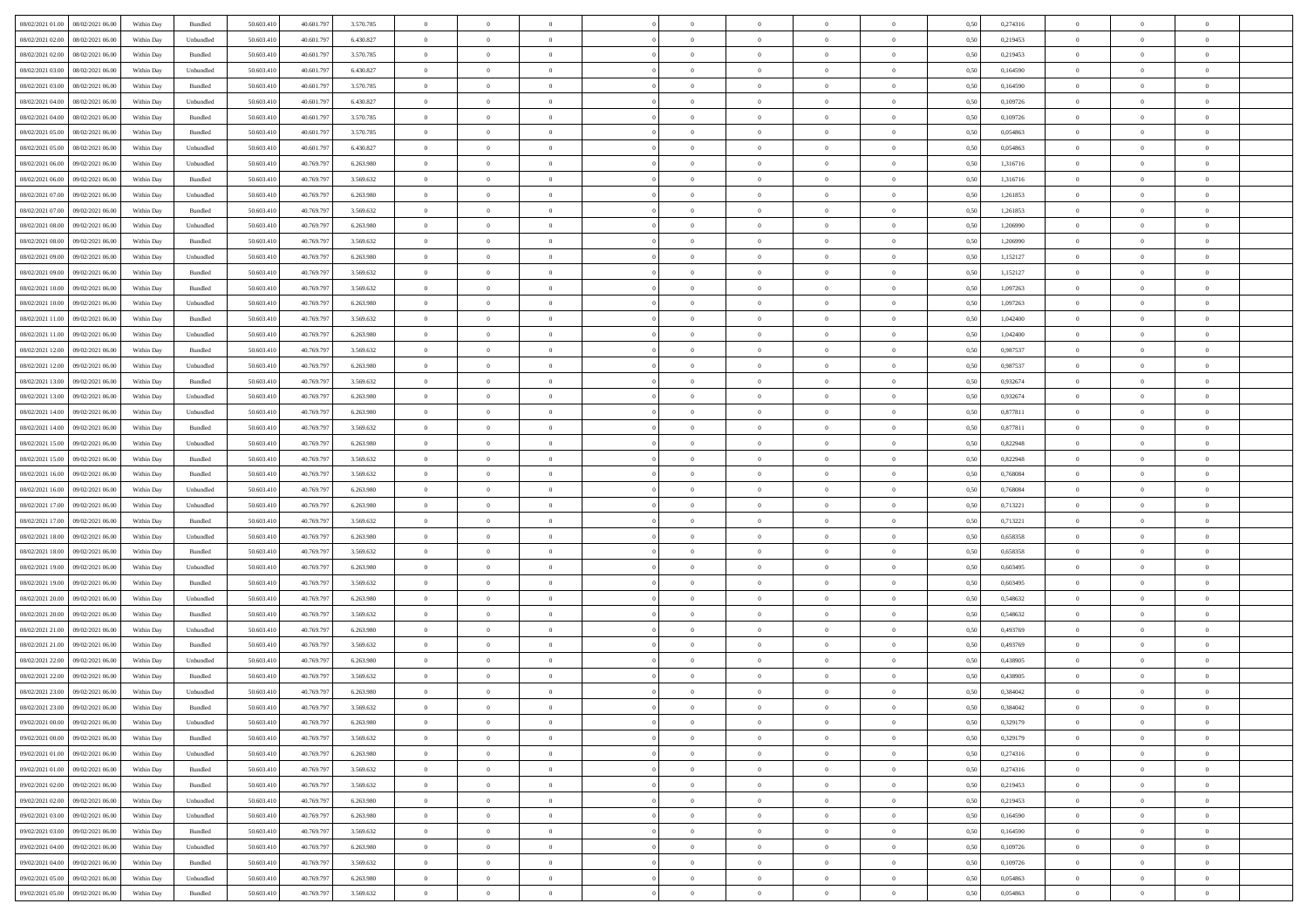| 08/02/2021 01:00 08/02/2021 06:00                                                                                         | Within Day | Bundled   | 50.603.410 | 40.601.797 | 3.570.785 | $\overline{0}$ | $\theta$       |                | $\overline{0}$ | $\theta$       |                | $\theta$       | 0,50 | 0,274316 | $\theta$       | $\theta$       | $\theta$       |  |
|---------------------------------------------------------------------------------------------------------------------------|------------|-----------|------------|------------|-----------|----------------|----------------|----------------|----------------|----------------|----------------|----------------|------|----------|----------------|----------------|----------------|--|
| 08/02/2021 02:00<br>08/02/2021 06:00                                                                                      | Within Day | Unbundled | 50.603.41  | 40.601.79  | 6.430.827 | $\bf{0}$       | $\bf{0}$       | $\bf{0}$       | $\bf{0}$       | $\overline{0}$ | $\overline{0}$ | $\bf{0}$       | 0,50 | 0,219453 | $\,$ 0 $\,$    | $\bf{0}$       | $\overline{0}$ |  |
| 08/02/2021 02:00<br>08/02/2021 06:00                                                                                      | Within Day | Bundled   | 50.603.41  | 40.601.79  | 3.570.785 | $\overline{0}$ | $\bf{0}$       | $\overline{0}$ | $\bf{0}$       | $\bf{0}$       | $\overline{0}$ | $\bf{0}$       | 0.50 | 0,219453 | $\overline{0}$ | $\overline{0}$ | $\bf{0}$       |  |
| 08/02/2021 03:00<br>08/02/2021 06:00                                                                                      |            |           | 50.603.41  | 40.601.797 |           | $\overline{0}$ | $\overline{0}$ | $\overline{0}$ | $\theta$       | $\theta$       | $\overline{0}$ |                |      | 0,164590 | $\theta$       | $\theta$       | $\overline{0}$ |  |
|                                                                                                                           | Within Day | Unbundled |            |            | 6.430.827 |                |                |                |                |                |                | $\bf{0}$       | 0,50 |          |                |                |                |  |
| 08/02/2021 03:00<br>08/02/2021 06:00                                                                                      | Within Day | Bundled   | 50.603.41  | 40.601.79  | 3.570.785 | $\bf{0}$       | $\overline{0}$ | $\bf{0}$       | $\overline{0}$ | $\theta$       | $\overline{0}$ | $\bf{0}$       | 0,50 | 0,164590 | $\,$ 0 $\,$    | $\bf{0}$       | $\overline{0}$ |  |
| 08/02/2021 04:00<br>08/02/2021 06:00                                                                                      | Within Day | Unbundled | 50.603.41  | 40.601.79  | 6.430.827 | $\overline{0}$ | $\overline{0}$ | $\overline{0}$ | $\bf{0}$       | $\overline{0}$ | $\theta$       | $\bf{0}$       | 0.50 | 0.109726 | $\,$ 0 $\,$    | $\theta$       | $\overline{0}$ |  |
| 08/02/2021 04:00<br>08/02/2021 06:00                                                                                      | Within Day | Bundled   | 50.603.41  | 40.601.797 | 3.570.785 | $\overline{0}$ | $\overline{0}$ | $\overline{0}$ | $\overline{0}$ | $\overline{0}$ | $\overline{0}$ | $\bf{0}$       | 0,50 | 0,109726 | $\theta$       | $\theta$       | $\overline{0}$ |  |
|                                                                                                                           |            |           |            |            |           |                |                |                |                |                |                |                |      |          |                |                |                |  |
| 08/02/2021 05:00<br>08/02/2021 06:00                                                                                      | Within Day | Bundled   | 50.603.41  | 40.601.79  | 3.570.785 | $\bf{0}$       | $\overline{0}$ | $\bf{0}$       | $\overline{0}$ | $\overline{0}$ | $\overline{0}$ | $\bf{0}$       | 0,50 | 0,054863 | $\,$ 0 $\,$    | $\bf{0}$       | $\overline{0}$ |  |
| 08/02/2021 05:00<br>08/02/2021 06:00                                                                                      | Within Day | Unbundled | 50.603.41  | 40.601.79  | 6.430.827 | $\overline{0}$ | $\bf{0}$       | $\overline{0}$ | $\bf{0}$       | $\overline{0}$ | $\overline{0}$ | $\bf{0}$       | 0.50 | 0.054863 | $\bf{0}$       | $\overline{0}$ | $\overline{0}$ |  |
| 08/02/2021 06:00<br>09/02/2021 06:00                                                                                      | Within Day | Unbundled | 50.603.410 | 40.769.797 | 6.263.980 | $\bf{0}$       | $\bf{0}$       | $\overline{0}$ | $\overline{0}$ | $\overline{0}$ | $\overline{0}$ | $\bf{0}$       | 0,50 | 1,316716 | $\,$ 0 $\,$    | $\bf{0}$       | $\overline{0}$ |  |
| 08/02/2021 06:00<br>09/02/2021 06.00                                                                                      | Within Day | Bundled   | 50.603.41  | 40.769.79  | 3.569.632 | $\bf{0}$       | $\overline{0}$ | $\bf{0}$       | $\bf{0}$       | $\bf{0}$       | $\overline{0}$ | $\bf{0}$       | 0,50 | 1,316716 | $\,$ 0 $\,$    | $\bf{0}$       | $\overline{0}$ |  |
|                                                                                                                           |            |           |            |            |           |                |                |                |                |                |                |                |      |          |                |                |                |  |
| 08/02/2021 07:00<br>09/02/2021 06:00                                                                                      | Within Day | Unbundled | 50.603.41  | 40.769.797 | 6.263.980 | $\overline{0}$ | $\bf{0}$       | $\overline{0}$ | $\overline{0}$ | $\bf{0}$       | $\overline{0}$ | $\bf{0}$       | 0.50 | 1.261853 | $\bf{0}$       | $\overline{0}$ | $\,$ 0         |  |
| 08/02/2021 07:00<br>09/02/2021 06:00                                                                                      | Within Day | Bundled   | 50.603.41  | 40.769.797 | 3.569.632 | $\overline{0}$ | $\overline{0}$ | $\overline{0}$ | $\theta$       | $\theta$       | $\overline{0}$ | $\bf{0}$       | 0,50 | 1,261853 | $\,$ 0 $\,$    | $\theta$       | $\overline{0}$ |  |
| 08/02/2021 08:00<br>09/02/2021 06.00                                                                                      | Within Day | Unbundled | 50.603.41  | 40.769.79  | 6.263.980 | $\bf{0}$       | $\overline{0}$ | $\bf{0}$       | $\overline{0}$ | $\bf{0}$       | $\overline{0}$ | $\bf{0}$       | 0,50 | 1,206990 | $\,$ 0 $\,$    | $\bf{0}$       | $\overline{0}$ |  |
|                                                                                                                           |            |           |            |            |           |                |                |                |                |                | $\theta$       |                |      |          |                |                |                |  |
| 08/02/2021 08:00<br>09/02/2021 06:00                                                                                      | Within Day | Bundled   | 50.603.41  | 40.769.79  | 3.569.632 | $\overline{0}$ | $\overline{0}$ | $\overline{0}$ | $\bf{0}$       | $\overline{0}$ |                | $\bf{0}$       | 0.50 | 1.206990 | $\,$ 0 $\,$    | $\theta$       | $\overline{0}$ |  |
| 08/02/2021 09:00<br>09/02/2021 06:00                                                                                      | Within Day | Unbundled | 50.603.410 | 40.769.797 | 6.263.980 | $\overline{0}$ | $\overline{0}$ | $\overline{0}$ | $\overline{0}$ | $\overline{0}$ | $\overline{0}$ | $\bf{0}$       | 0,50 | 1,152127 | $\theta$       | $\theta$       | $\overline{0}$ |  |
| 08/02/2021 09:00<br>09/02/2021 06.00                                                                                      | Within Day | Bundled   | 50.603.41  | 40.769.79  | 3.569.632 | $\bf{0}$       | $\overline{0}$ | $\bf{0}$       | $\overline{0}$ | $\bf{0}$       | $\overline{0}$ | $\bf{0}$       | 0,50 | 1,152127 | $\,$ 0 $\,$    | $\bf{0}$       | $\overline{0}$ |  |
| 08/02/2021 10:00<br>09/02/2021 06:00                                                                                      | Within Day | Bundled   | 50.603.41  | 40.769.79  | 3.569.632 | $\overline{0}$ | $\bf{0}$       | $\overline{0}$ | $\bf{0}$       | $\overline{0}$ | $\overline{0}$ | $\bf{0}$       | 0.50 | 1.097263 | $\bf{0}$       | $\overline{0}$ | $\bf{0}$       |  |
| 08/02/2021 10:00<br>09/02/2021 06:00                                                                                      | Within Day | Unbundled | 50.603.410 | 40.769.797 | 6.263.980 | $\overline{0}$ | $\bf{0}$       | $\overline{0}$ | $\overline{0}$ | $\overline{0}$ | $\overline{0}$ | $\bf{0}$       | 0,50 | 1,097263 | $\,$ 0 $\,$    | $\bf{0}$       | $\overline{0}$ |  |
|                                                                                                                           |            |           |            |            |           |                |                |                |                |                |                |                |      |          |                |                |                |  |
| 08/02/2021 11:00<br>09/02/2021 06.00                                                                                      | Within Day | Bundled   | 50.603.41  | 40.769.79  | 3.569.632 | $\bf{0}$       | $\bf{0}$       | $\bf{0}$       | $\bf{0}$       | $\overline{0}$ | $\overline{0}$ | $\bf{0}$       | 0,50 | 1,042400 | $\,$ 0 $\,$    | $\bf{0}$       | $\overline{0}$ |  |
| 08/02/2021 11:00<br>09/02/2021 06:00                                                                                      | Within Day | Unbundled | 50.603.41  | 40.769.797 | 6.263.980 | $\overline{0}$ | $\bf{0}$       | $\overline{0}$ | $\overline{0}$ | $\bf{0}$       | $\overline{0}$ | $\bf{0}$       | 0.50 | 1.042400 | $\bf{0}$       | $\overline{0}$ | $\,$ 0         |  |
| 08/02/2021 12:00<br>09/02/2021 06:00                                                                                      | Within Day | Bundled   | 50.603.41  | 40.769.797 | 3.569.632 | $\overline{0}$ | $\overline{0}$ | $\overline{0}$ | $\overline{0}$ | $\theta$       | $\overline{0}$ | $\bf{0}$       | 0,50 | 0,987537 | $\theta$       | $\theta$       | $\overline{0}$ |  |
| 08/02/2021 12:00<br>09/02/2021 06.00                                                                                      | Within Day | Unbundled | 50.603.41  | 40.769.79  | 6.263.980 | $\bf{0}$       | $\overline{0}$ | $\bf{0}$       | $\bf{0}$       | $\,$ 0 $\,$    | $\overline{0}$ | $\bf{0}$       | 0,50 | 0,987537 | $\,$ 0 $\,$    | $\bf{0}$       | $\overline{0}$ |  |
|                                                                                                                           |            |           |            |            |           |                |                |                |                |                |                |                |      |          |                |                |                |  |
| 08/02/2021 13:00<br>09/02/2021 06:00                                                                                      | Within Day | Bundled   | 50.603.41  | 40.769.79  | 3.569.632 | $\overline{0}$ | $\overline{0}$ | $\overline{0}$ | $\bf{0}$       | $\overline{0}$ | $\theta$       | $\bf{0}$       | 0.50 | 0.932674 | $\,$ 0 $\,$    | $\theta$       | $\overline{0}$ |  |
| 08/02/2021 13:00<br>09/02/2021 06:00                                                                                      | Within Day | Unbundled | 50.603.410 | 40.769.797 | 6.263.980 | $\overline{0}$ | $\overline{0}$ | $\overline{0}$ | $\overline{0}$ | $\overline{0}$ | $\overline{0}$ | $\bf{0}$       | 0,50 | 0,932674 | $\theta$       | $\theta$       | $\overline{0}$ |  |
| 08/02/2021 14:00<br>09/02/2021 06.00                                                                                      | Within Day | Unbundled | 50.603.41  | 40.769.79  | 6.263.980 | $\bf{0}$       | $\overline{0}$ | $\bf{0}$       | $\overline{0}$ | $\bf{0}$       | $\overline{0}$ | $\bf{0}$       | 0,50 | 0,877811 | $\,$ 0 $\,$    | $\bf{0}$       | $\overline{0}$ |  |
| 08/02/2021 14:00<br>09/02/2021 06:00                                                                                      | Within Day | Bundled   | 50,603.41  | 40.769.79  | 3.569.632 | $\overline{0}$ | $\bf{0}$       | $\overline{0}$ | $\bf{0}$       | $\overline{0}$ | $\overline{0}$ | $\bf{0}$       | 0.50 | 0.877811 | $\bf{0}$       | $\overline{0}$ | $\overline{0}$ |  |
|                                                                                                                           |            |           |            |            |           |                |                |                |                |                |                |                |      |          |                |                |                |  |
| 08/02/2021 15:00<br>09/02/2021 06:00                                                                                      | Within Day | Unbundled | 50.603.410 | 40.769.797 | 6.263.980 | $\overline{0}$ | $\bf{0}$       | $\overline{0}$ | $\overline{0}$ | $\overline{0}$ | $\overline{0}$ | $\bf{0}$       | 0,50 | 0,822948 | $\theta$       | $\theta$       | $\overline{0}$ |  |
| 08/02/2021 15:00<br>09/02/2021 06.00                                                                                      | Within Day | Bundled   | 50.603.41  | 40.769.79  | 3.569.632 | $\bf{0}$       | $\bf{0}$       | $\bf{0}$       | $\bf{0}$       | $\overline{0}$ | $\overline{0}$ | $\bf{0}$       | 0,50 | 0,822948 | $\,$ 0 $\,$    | $\bf{0}$       | $\overline{0}$ |  |
| 08/02/2021 16:00<br>09/02/2021 06:00                                                                                      | Within Day | Bundled   | 50.603.41  | 40.769.79  | 3.569.632 | $\overline{0}$ | $\bf{0}$       | $\overline{0}$ | $\bf{0}$       | $\bf{0}$       | $\overline{0}$ | $\bf{0}$       | 0.50 | 0.768084 | $\bf{0}$       | $\overline{0}$ | $\,$ 0         |  |
| 08/02/2021 16:00<br>09/02/2021 06:00                                                                                      | Within Day | Unbundled | 50.603.41  | 40.769.79  | 6.263.980 | $\overline{0}$ | $\overline{0}$ | $\overline{0}$ | $\overline{0}$ | $\overline{0}$ | $\overline{0}$ | $\bf{0}$       | 0.50 | 0.768084 | $\theta$       | $\theta$       | $\overline{0}$ |  |
|                                                                                                                           |            |           |            |            |           |                |                |                |                |                |                |                |      |          |                |                |                |  |
| 08/02/2021 17:00<br>09/02/2021 06.00                                                                                      | Within Day | Unbundled | 50.603.41  | 40.769.79  | 6.263.980 | $\bf{0}$       | $\overline{0}$ | $\bf{0}$       | $\bf{0}$       | $\,$ 0 $\,$    | $\overline{0}$ | $\bf{0}$       | 0,50 | 0,713221 | $\,$ 0 $\,$    | $\bf{0}$       | $\overline{0}$ |  |
| 08/02/2021 17:00<br>09/02/2021 06:00                                                                                      | Within Day | Bundled   | 50.603.41  | 40.769.79  | 3.569.632 | $\overline{0}$ | $\bf{0}$       | $\overline{0}$ | $\bf{0}$       | $\overline{0}$ | $\Omega$       | $\bf{0}$       | 0.50 | 0,713221 | $\,$ 0 $\,$    | $\theta$       | $\overline{0}$ |  |
| 08/02/2021 18:00<br>09/02/2021 06:00                                                                                      | Within Dav | Unbundled | 50.603.410 | 40.769.797 | 6.263.980 | $\overline{0}$ | $\overline{0}$ | $\overline{0}$ | $\overline{0}$ | $\overline{0}$ | $\overline{0}$ | $\bf{0}$       | 0.50 | 0,658358 | $\theta$       | $\theta$       | $\overline{0}$ |  |
| 08/02/2021 18:00<br>09/02/2021 06.00                                                                                      | Within Day | Bundled   | 50.603.41  | 40.769.79  | 3.569.632 | $\bf{0}$       | $\bf{0}$       | $\bf{0}$       | $\bf{0}$       | $\bf{0}$       | $\overline{0}$ | $\bf{0}$       | 0,50 | 0,658358 | $\,$ 0 $\,$    | $\bf{0}$       | $\overline{0}$ |  |
|                                                                                                                           |            |           |            |            |           |                |                |                |                |                |                |                |      |          |                |                |                |  |
| 08/02/2021 19:00<br>09/02/2021 06:00                                                                                      | Within Day | Unbundled | 50,603.41  | 40.769.79  | 6.263.980 | $\overline{0}$ | $\bf{0}$       | $\overline{0}$ | $\bf{0}$       | $\overline{0}$ | $\overline{0}$ | $\bf{0}$       | 0.50 | 0.603495 | $\bf{0}$       | $\overline{0}$ | $\overline{0}$ |  |
| 08/02/2021 19:00<br>09/02/2021 06:00                                                                                      | Within Dav | Bundled   | 50.603.41  | 40.769.797 | 3.569.632 | $\overline{0}$ | $\overline{0}$ | $\overline{0}$ | $\overline{0}$ | $\overline{0}$ | $\overline{0}$ | $\bf{0}$       | 0.50 | 0,603495 | $\theta$       | $\theta$       | $\overline{0}$ |  |
| 08/02/2021 20:00<br>09/02/2021 06.00                                                                                      | Within Day | Unbundled | 50.603.41  | 40.769.79  | 6.263.980 | $\bf{0}$       | $\bf{0}$       | $\bf{0}$       | $\bf{0}$       | $\overline{0}$ | $\overline{0}$ | $\bf{0}$       | 0,50 | 0,548632 | $\,$ 0 $\,$    | $\bf{0}$       | $\overline{0}$ |  |
| 08/02/2021 20:00<br>09/02/2021 06:00                                                                                      | Within Day | Bundled   | 50.603.41  | 40.769.797 | 3.569.632 | $\overline{0}$ | $\bf{0}$       | $\overline{0}$ | $\overline{0}$ | $\bf{0}$       | $\overline{0}$ | $\bf{0}$       | 0.50 | 0.548632 | $\bf{0}$       | $\overline{0}$ | $\,$ 0         |  |
| 09/02/2021 06:00                                                                                                          | Within Dav | Unbundled | 50.603.41  | 40.769.797 | 6.263.980 | $\overline{0}$ | $\overline{0}$ | $\overline{0}$ | $\overline{0}$ | $\overline{0}$ | $\overline{0}$ | $\bf{0}$       | 0.50 | 0,493769 | $\theta$       | $\theta$       | $\overline{0}$ |  |
| 08/02/2021 21:00                                                                                                          |            |           |            |            |           |                |                |                |                |                |                |                |      |          |                |                |                |  |
| 08/02/2021 21:00<br>09/02/2021 06.00                                                                                      | Within Day | Bundled   | 50.603.41  | 40.769.79  | 3.569.632 | $\bf{0}$       | $\bf{0}$       | $\bf{0}$       | $\bf{0}$       | $\overline{0}$ | $\overline{0}$ | $\bf{0}$       | 0,50 | 0,493769 | $\,$ 0 $\,$    | $\bf{0}$       | $\overline{0}$ |  |
| 08/02/2021 22:00<br>09/02/2021 06:00                                                                                      | Within Day | Unbundled | 50.603.41  | 40.769.79  | 6.263.980 | $\overline{0}$ | $\overline{0}$ | $\overline{0}$ | $\bf{0}$       | $\overline{0}$ | $\Omega$       | $\bf{0}$       | 0.50 | 0.438905 | $\bf{0}$       | $\theta$       | $\overline{0}$ |  |
| 08/02/2021 22:00<br>09/02/2021 06:00                                                                                      | Within Day | Bundled   | 50.603.41  | 40.769.79  | 3.569.632 | $\overline{0}$ | $\overline{0}$ | $\Omega$       | $\overline{0}$ | $\theta$       | $\overline{0}$ | $\overline{0}$ | 0.5( | 0,438905 | $\theta$       | $\theta$       | $\overline{0}$ |  |
| 08/02/2021 23:00<br>09/02/2021 06:00                                                                                      | Within Day | Unbundled | 50.603.41  | 40.769.79  | 6.263.980 | $\bf{0}$       | $\bf{0}$       | $\bf{0}$       | $\bf{0}$       | $\bf{0}$       | $\overline{0}$ | $\bf{0}$       | 0,50 | 0,384042 | $\overline{0}$ | $\bf{0}$       | $\overline{0}$ |  |
|                                                                                                                           |            |           |            |            |           |                |                |                |                |                |                |                |      |          |                |                |                |  |
| ${\color{red} 08}/{\color{red} 02}/{\color{red} 2021~23.00} = {\color{red} 09}/{\color{red} 02}/{\color{red} 2021~06.00}$ | Within Day | Bundled   | 50.603.410 | 40.769.797 | 3 569 632 | $\bf{0}$       | $\Omega$       |                | $\Omega$       |                |                |                | 0,50 | 0.384042 | $\theta$       | $\overline{0}$ |                |  |
| 09/02/2021 00:00 09/02/2021 06:00                                                                                         | Within Day | Unbundled | 50.603.410 | 40.769.797 | 6.263.980 | $\overline{0}$ | $\overline{0}$ | $\overline{0}$ | $\overline{0}$ | $\overline{0}$ | $\overline{0}$ | $\bf{0}$       | 0,50 | 0,329179 | $\theta$       | $\overline{0}$ | $\overline{0}$ |  |
| 09/02/2021 00:00<br>09/02/2021 06:00                                                                                      | Within Day | Bundled   | 50.603.41  | 40.769.79  | 3.569.632 | $\overline{0}$ | $\bf{0}$       | $\overline{0}$ | $\overline{0}$ | $\bf{0}$       | $\overline{0}$ | $\bf{0}$       | 0,50 | 0,329179 | $\bf{0}$       | $\overline{0}$ | $\bf{0}$       |  |
| 09/02/2021 01:00 09/02/2021 06:00                                                                                         | Within Day | Unbundled | 50,603.410 | 40.769.797 | 6.263.980 | $\overline{0}$ | $\bf{0}$       | $\overline{0}$ | $\overline{0}$ | $\mathbf{0}$   | $\overline{0}$ | $\,$ 0 $\,$    | 0.50 | 0,274316 | $\overline{0}$ | $\bf{0}$       | $\bf{0}$       |  |
|                                                                                                                           |            |           |            |            |           |                |                |                |                |                |                |                |      |          |                |                |                |  |
| 09/02/2021 01:00 09/02/2021 06:00                                                                                         | Within Dav | Bundled   | 50.603.410 | 40.769.797 | 3.569.632 | $\overline{0}$ | $\overline{0}$ | $\overline{0}$ | $\overline{0}$ | $\overline{0}$ | $\overline{0}$ | $\bf{0}$       | 0,50 | 0,274316 | $\overline{0}$ | $\theta$       | $\overline{0}$ |  |
| 09/02/2021 02:00<br>09/02/2021 06:00                                                                                      | Within Day | Bundled   | 50.603.41  | 40.769.797 | 3.569.632 | $\overline{0}$ | $\bf{0}$       | $\overline{0}$ | $\overline{0}$ | $\bf{0}$       | $\overline{0}$ | $\bf{0}$       | 0,50 | 0,219453 | $\bf{0}$       | $\overline{0}$ | $\overline{0}$ |  |
| 09/02/2021 02:00<br>09/02/2021 06:00                                                                                      | Within Day | Unbundled | 50,603.410 | 40.769.797 | 6.263.980 | $\overline{0}$ | $\bf{0}$       | $\overline{0}$ | $\overline{0}$ | $\bf{0}$       | $\overline{0}$ | $\bf{0}$       | 0.50 | 0,219453 | $\,$ 0 $\,$    | $\overline{0}$ | $\,$ 0         |  |
| 09/02/2021 03:00<br>09/02/2021 06:00                                                                                      | Within Dav | Unbundled | 50.603.410 | 40.769.797 | 6.263.980 | $\overline{0}$ | $\overline{0}$ | $\overline{0}$ | $\overline{0}$ | $\overline{0}$ | $\overline{0}$ | $\bf{0}$       | 0.50 | 0,164590 | $\overline{0}$ | $\theta$       | $\overline{0}$ |  |
|                                                                                                                           |            |           |            |            |           |                |                |                |                |                |                |                |      |          |                |                |                |  |
| 09/02/2021 03:00<br>09/02/2021 06:00                                                                                      | Within Day | Bundled   | 50.603.41  | 40.769.79  | 3.569.632 | $\overline{0}$ | $\overline{0}$ | $\overline{0}$ | $\overline{0}$ | $\overline{0}$ | $\overline{0}$ | $\bf{0}$       | 0,50 | 0,164590 | $\bf{0}$       | $\overline{0}$ | $\,$ 0         |  |
| 09/02/2021 04:00<br>09/02/2021 06:00                                                                                      | Within Day | Unbundled | 50,603.410 | 40.769.797 | 6.263.980 | $\overline{0}$ | $\overline{0}$ | $\overline{0}$ | $\overline{0}$ | $\overline{0}$ | $\overline{0}$ | $\bf{0}$       | 0.50 | 0.109726 | $\mathbf{0}$   | $\bf{0}$       | $\,$ 0         |  |
| 09/02/2021 04:00<br>09/02/2021 06:00                                                                                      | Within Dav | Bundled   | 50.603.410 | 40.769.797 | 3.569.632 | $\overline{0}$ | $\overline{0}$ | $\overline{0}$ | $\overline{0}$ | $\overline{0}$ | $\overline{0}$ | $\bf{0}$       | 0,50 | 0,109726 | $\overline{0}$ | $\theta$       | $\overline{0}$ |  |
| 09/02/2021 05:00<br>09/02/2021 06.00                                                                                      | Within Day | Unbundled | 50.603.41  | 40.769.79  | 6.263.980 | $\overline{0}$ | $\bf{0}$       | $\overline{0}$ | $\overline{0}$ | $\overline{0}$ | $\overline{0}$ | $\bf{0}$       | 0,50 | 0,054863 | $\bf{0}$       | $\overline{0}$ | $\bf{0}$       |  |
|                                                                                                                           |            |           |            |            |           |                |                |                |                |                |                |                |      |          |                |                |                |  |
| 09/02/2021 05:00 09/02/2021 06:00                                                                                         | Within Day | Bundled   | 50.603.410 | 40.769.797 | 3.569.632 | $\,$ 0 $\,$    | $\bf{0}$       | $\overline{0}$ | $\overline{0}$ | $\,$ 0 $\,$    | $\overline{0}$ | $\,$ 0 $\,$    | 0,50 | 0,054863 | $\overline{0}$ | $\,$ 0 $\,$    | $\,$ 0 $\,$    |  |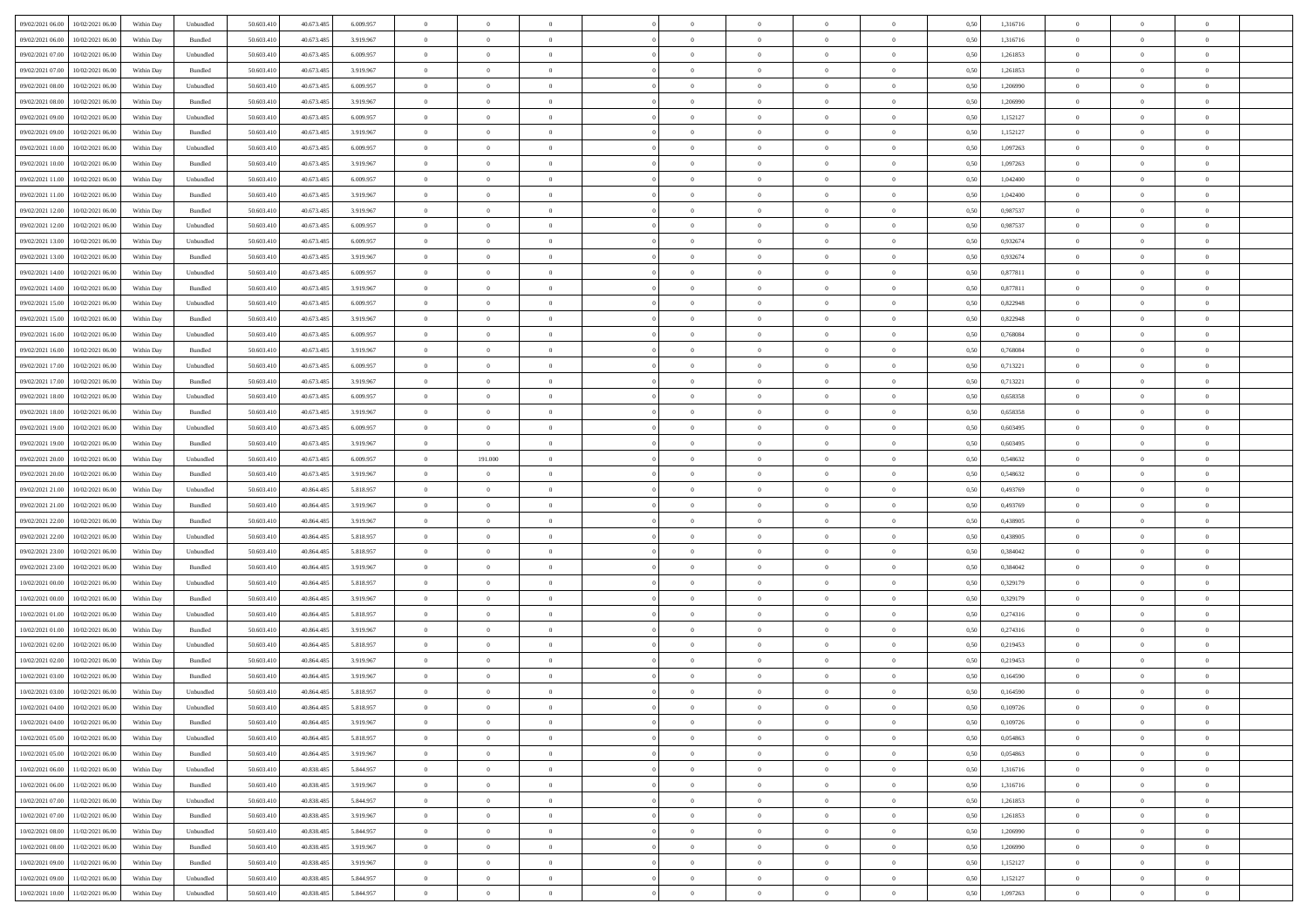| 09/02/2021 06:00 | 10/02/2021 06:00                  | Within Day | Unbundled | 50.603.410 | 40.673.485 | 6.009.957 | $\overline{0}$ | $\theta$       |                | $\overline{0}$ | $\bf{0}$       | $\overline{0}$ | $\theta$       | 0,50 | 1,316716 | $\theta$       | $\theta$       | $\overline{0}$           |  |
|------------------|-----------------------------------|------------|-----------|------------|------------|-----------|----------------|----------------|----------------|----------------|----------------|----------------|----------------|------|----------|----------------|----------------|--------------------------|--|
| 09/02/2021 06.00 | 10/02/2021 06:00                  | Within Day | Bundled   | 50.603.41  | 40.673.485 | 3.919.967 | $\overline{0}$ | $\overline{0}$ | $\overline{0}$ | $\overline{0}$ | $\,$ 0         | $\overline{0}$ | $\bf{0}$       | 0,50 | 1,316716 | $\,$ 0 $\,$    | $\overline{0}$ | $\overline{0}$           |  |
|                  |                                   |            |           |            |            |           |                |                |                |                |                |                |                |      |          |                |                |                          |  |
| 09/02/2021 07:00 | 10/02/2021 06:00                  | Within Day | Unbundled | 50.603.410 | 40.673.485 | 6.009.957 | $\overline{0}$ | $\overline{0}$ | $\overline{0}$ | $\overline{0}$ | $\bf{0}$       | $\overline{0}$ | $\mathbf{0}$   | 0.50 | 1,261853 | $\overline{0}$ | $\overline{0}$ | $\overline{0}$           |  |
| 09/02/2021 07:00 | 10/02/2021 06:00                  | Within Day | Bundled   | 50.603.410 | 40.673.485 | 3.919.967 | $\overline{0}$ | $\overline{0}$ | $\overline{0}$ | $\overline{0}$ | $\bf{0}$       | $\overline{0}$ | $\overline{0}$ | 0,50 | 1,261853 | $\,$ 0 $\,$    | $\overline{0}$ | $\overline{0}$           |  |
| 09/02/2021 08:00 | 10/02/2021 06:00                  | Within Day | Unbundled | 50.603.41  | 40.673.485 | 6.009.957 | $\overline{0}$ | $\theta$       | $\overline{0}$ |                | $\,$ 0         | $\overline{0}$ | $\bf{0}$       | 0,50 | 1,206990 | $\,$ 0 $\,$    | $\overline{0}$ | $\overline{0}$           |  |
| 09/02/2021 08:00 | 10/02/2021 06:00                  | Within Day | Bundled   | 50.603.410 | 40.673.485 | 3.919.967 | $\overline{0}$ | $\overline{0}$ | $\overline{0}$ | $\overline{0}$ | $\bf{0}$       | $\overline{0}$ | $\bf{0}$       | 0.50 | 1.206990 | $\,0\,$        | $\theta$       | $\overline{0}$           |  |
| 09/02/2021 09:00 | 10/02/2021 06:00                  | Within Day | Unbundled | 50.603.410 | 40.673.485 | 6.009.957 | $\overline{0}$ | $\overline{0}$ | $\overline{0}$ | $\overline{0}$ | $\bf{0}$       | $\overline{0}$ | $\overline{0}$ | 0,50 | 1,152127 | $\,$ 0 $\,$    | $\theta$       | $\overline{0}$           |  |
| 09/02/2021 09:00 | 10/02/2021 06:00                  | Within Day | Bundled   | 50.603.41  | 40.673.485 | 3.919.967 | $\overline{0}$ | $\theta$       | $\overline{0}$ |                | $\,$ 0         | $\overline{0}$ | $\bf{0}$       | 0,50 | 1,152127 | $\,$ 0 $\,$    | $\overline{0}$ | $\overline{0}$           |  |
| 09/02/2021 10:00 | 10/02/2021 06:00                  | Within Day | Unbundled | 50.603.410 | 40.673.485 | 6.009.957 | $\overline{0}$ | $\overline{0}$ | $\overline{0}$ | $\overline{0}$ | $\bf{0}$       | $\overline{0}$ | $\bf{0}$       | 0.50 | 1.097263 | $\,0\,$        | $\overline{0}$ | $\overline{0}$           |  |
| 09/02/2021 10:00 | 10/02/2021 06:00                  | Within Day | Bundled   | 50.603.410 | 40.673.485 | 3.919.967 | $\overline{0}$ | $\overline{0}$ | $\overline{0}$ | $\overline{0}$ | $\bf{0}$       | $\overline{0}$ | $\bf{0}$       | 0,50 | 1,097263 | $\,$ 0 $\,$    | $\overline{0}$ | $\overline{0}$           |  |
| 09/02/2021 11:00 | 10/02/2021 06:00                  | Within Day | Unbundled | 50.603.41  | 40.673.485 | 6.009.957 | $\bf{0}$       | $\theta$       | $\overline{0}$ | $\overline{0}$ | $\,$ 0         | $\overline{0}$ | $\bf{0}$       | 0,50 | 1,042400 | $\,$ 0 $\,$    | $\overline{0}$ | $\overline{0}$           |  |
|                  | 10/02/2021 06:00                  |            | Bundled   | 50.603.410 | 40.673.485 | 3.919.967 | $\overline{0}$ | $\overline{0}$ |                | $\overline{0}$ | $\bf{0}$       | $\overline{0}$ |                | 0.50 | 1.042400 | $\,$ 0 $\,$    | $\overline{0}$ | $\bf{0}$                 |  |
| 09/02/2021 11:00 |                                   | Within Day |           |            |            |           |                |                | $\overline{0}$ |                |                |                | $\mathbf{0}$   |      |          |                |                |                          |  |
| 09/02/2021 12:00 | 10/02/2021 06:00                  | Within Day | Bundled   | 50.603.410 | 40.673.485 | 3.919.967 | $\overline{0}$ | $\overline{0}$ | $\overline{0}$ | $\overline{0}$ | $\bf{0}$       | $\overline{0}$ | $\overline{0}$ | 0,50 | 0,987537 | $\,$ 0 $\,$    | $\overline{0}$ | $\overline{0}$           |  |
| 09/02/2021 12:00 | 10/02/2021 06:00                  | Within Day | Unbundled | 50.603.41  | 40.673.485 | 6.009.957 | $\overline{0}$ | $\theta$       | $\overline{0}$ |                | $\,$ 0         | $\overline{0}$ | $\bf{0}$       | 0,50 | 0,987537 | $\,$ 0 $\,$    | $\overline{0}$ | $\overline{0}$           |  |
| 09/02/2021 13:00 | 10/02/2021 06:00                  | Within Day | Unbundled | 50.603.410 | 40.673.485 | 6.009.957 | $\overline{0}$ | $\overline{0}$ | $\overline{0}$ | $\overline{0}$ | $\bf{0}$       | $\overline{0}$ | $\bf{0}$       | 0.50 | 0.932674 | $\,0\,$        | $\theta$       | $\overline{0}$           |  |
| 09/02/2021 13:00 | 10/02/2021 06:00                  | Within Day | Bundled   | 50.603.410 | 40.673.485 | 3.919.967 | $\overline{0}$ | $\overline{0}$ | $\overline{0}$ | $\overline{0}$ | $\,$ 0         | $\overline{0}$ | $\overline{0}$ | 0,50 | 0,932674 | $\theta$       | $\theta$       | $\overline{0}$           |  |
| 09/02/2021 14:00 | 10/02/2021 06:00                  | Within Day | Unbundled | 50.603.41  | 40.673.485 | 6.009.957 | $\overline{0}$ | $\theta$       | $\overline{0}$ |                | $\,$ 0         | $\overline{0}$ | $\bf{0}$       | 0,50 | 0,877811 | $\,$ 0 $\,$    | $\overline{0}$ | $\overline{0}$           |  |
| 09/02/2021 14:00 | 10/02/2021 06:00                  | Within Day | Bundled   | 50.603.410 | 40.673.485 | 3.919.967 | $\overline{0}$ | $\overline{0}$ | $\overline{0}$ | $\overline{0}$ | $\bf{0}$       | $\overline{0}$ | $\bf{0}$       | 0.50 | 0.877811 | $\,0\,$        | $\overline{0}$ | $\bf{0}$                 |  |
| 09/02/2021 15:00 | 10/02/2021 06:00                  | Within Day | Unbundled | 50.603.410 | 40.673.485 | 6.009.957 | $\overline{0}$ | $\overline{0}$ | $\overline{0}$ | $\overline{0}$ | $\bf{0}$       | $\overline{0}$ | $\bf{0}$       | 0,50 | 0,822948 | $\,$ 0 $\,$    | $\overline{0}$ | $\overline{0}$           |  |
| 09/02/2021 15:00 | 10/02/2021 06:00                  | Within Day | Bundled   | 50.603.41  | 40.673.485 | 3.919.967 | $\bf{0}$       | $\overline{0}$ | $\overline{0}$ | $\overline{0}$ | $\,$ 0         | $\overline{0}$ | $\bf{0}$       | 0,50 | 0,822948 | $\,$ 0 $\,$    | $\overline{0}$ | $\overline{0}$           |  |
| 09/02/2021 16:00 | 10/02/2021 06:00                  | Within Day | Unbundled | 50.603.410 | 40.673.485 | 6.009.957 | $\overline{0}$ | $\overline{0}$ | $\overline{0}$ | $\overline{0}$ | $\bf{0}$       | $\overline{0}$ | $\mathbf{0}$   | 0.50 | 0.768084 | $\,$ 0 $\,$    | $\overline{0}$ | $\overline{0}$           |  |
| 09/02/2021 16:00 | 10/02/2021 06:00                  | Within Day | Bundled   | 50.603.410 | 40.673.485 | 3.919.967 | $\overline{0}$ | $\overline{0}$ | $\overline{0}$ | $\overline{0}$ | $\bf{0}$       | $\overline{0}$ | $\overline{0}$ | 0,50 | 0,768084 | $\,$ 0 $\,$    | $\overline{0}$ | $\overline{0}$           |  |
|                  |                                   |            |           |            |            |           |                |                |                |                |                |                |                |      |          |                |                |                          |  |
| 09/02/2021 17:00 | 10/02/2021 06:00                  | Within Day | Unbundled | 50.603.41  | 40.673.485 | 6.009.957 | $\overline{0}$ | $\theta$       | $\overline{0}$ | $\overline{0}$ | $\,$ 0         | $\overline{0}$ | $\bf{0}$       | 0,50 | 0,713221 | $\,$ 0 $\,$    | $\overline{0}$ | $\overline{0}$           |  |
| 09/02/2021 17:00 | 10/02/2021 06:00                  | Within Day | Bundled   | 50.603.410 | 40.673.485 | 3.919.967 | $\overline{0}$ | $\overline{0}$ | $\overline{0}$ | $\overline{0}$ | $\bf{0}$       | $\overline{0}$ | $\bf{0}$       | 0.50 | 0.713221 | $\,0\,$        | $\theta$       | $\overline{0}$           |  |
| 09/02/2021 18:00 | 10/02/2021 06:00                  | Within Day | Unbundled | 50.603.410 | 40.673.485 | 6.009.957 | $\overline{0}$ | $\overline{0}$ | $\overline{0}$ | $\overline{0}$ | $\,$ 0         | $\overline{0}$ | $\overline{0}$ | 0,50 | 0,658358 | $\,$ 0 $\,$    | $\theta$       | $\overline{0}$           |  |
| 09/02/2021 18:00 | 10/02/2021 06:00                  | Within Day | Bundled   | 50.603.41  | 40.673.485 | 3.919.967 | $\overline{0}$ | $\theta$       | $\overline{0}$ |                | $\,$ 0         | $\overline{0}$ | $\bf{0}$       | 0,50 | 0,658358 | $\,$ 0 $\,$    | $\overline{0}$ | $\overline{0}$           |  |
| 09/02/2021 19:00 | 10/02/2021 06:00                  | Within Day | Unbundled | 50.603.410 | 40.673.485 | 6 009 957 | $\overline{0}$ | $\overline{0}$ | $\overline{0}$ | $\overline{0}$ | $\bf{0}$       | $\overline{0}$ | $\bf{0}$       | 0.50 | 0.603495 | $\,0\,$        | $\overline{0}$ | $\overline{0}$           |  |
| 09/02/2021 19:00 | 10/02/2021 06:00                  | Within Day | Bundled   | 50.603.410 | 40.673.485 | 3.919.967 | $\overline{0}$ | $\overline{0}$ | $\overline{0}$ | $\overline{0}$ | $\bf{0}$       | $\overline{0}$ | $\bf{0}$       | 0,50 | 0,603495 | $\,$ 0 $\,$    | $\theta$       | $\overline{0}$           |  |
| 09/02/2021 20:00 | 10/02/2021 06:00                  | Within Day | Unbundled | 50.603.41  | 40.673.485 | 6.009.957 | $\overline{0}$ | 191.000        | $\overline{0}$ | $\overline{0}$ | $\bf{0}$       | $\bf{0}$       | $\bf{0}$       | 0,50 | 0,548632 | $\,$ 0 $\,$    | $\overline{0}$ | $\overline{0}$           |  |
| 09/02/2021 20:00 | 10/02/2021 06:00                  | Within Day | Bundled   | 50.603.410 | 40.673.485 | 3.919.967 | $\overline{0}$ | $\overline{0}$ | $\overline{0}$ | $\overline{0}$ | $\bf{0}$       | $\overline{0}$ | $\mathbf{0}$   | 0.50 | 0.548632 | $\,$ 0 $\,$    | $\overline{0}$ | $\bf{0}$                 |  |
| 09/02/2021 21:00 | 10/02/2021 06:00                  | Within Dav | Unbundled | 50.603.410 | 40.864.485 | 5.818.957 | $\overline{0}$ | $\overline{0}$ | $\overline{0}$ | $\overline{0}$ | $\overline{0}$ | $\overline{0}$ | $\overline{0}$ | 0.50 | 0,493769 | $\theta$       | $\overline{0}$ | $\overline{0}$           |  |
| 09/02/2021 21.00 | 10/02/2021 06:00                  | Within Day | Bundled   | 50.603.41  | 40.864.485 | 3.919.967 | $\overline{0}$ | $\theta$       | $\overline{0}$ |                | $\,$ 0         | $\overline{0}$ | $\bf{0}$       | 0,50 | 0,493769 | $\,$ 0 $\,$    | $\overline{0}$ | $\overline{0}$           |  |
| 09/02/2021 22.00 | 10/02/2021 06:00                  | Within Day | Bundled   | 50.603.410 | 40,864,485 | 3.919.967 | $\overline{0}$ | $\overline{0}$ | $\overline{0}$ | $\overline{0}$ | $\bf{0}$       | $\overline{0}$ | $\bf{0}$       | 0.50 | 0.438905 | $\,0\,$        | $\theta$       | $\overline{0}$           |  |
|                  |                                   |            |           |            |            |           |                |                |                |                |                |                |                |      |          |                |                |                          |  |
| 09/02/2021 22.00 | 10/02/2021 06:00                  | Within Dav | Unbundled | 50.603.410 | 40.864.485 | 5.818.957 | $\overline{0}$ | $\overline{0}$ | $\Omega$       | $\Omega$       | $\mathbf{0}$   | $\overline{0}$ | $\overline{0}$ | 0.50 | 0,438905 | $\theta$       | $\overline{0}$ | $\overline{0}$           |  |
| 09/02/2021 23:00 | 10/02/2021 06:00                  | Within Day | Unbundled | 50.603.41  | 40.864.485 | 5.818.957 | $\overline{0}$ | $\theta$       | $\overline{0}$ |                | $\,$ 0         | $\overline{0}$ | $\bf{0}$       | 0,50 | 0,384042 | $\,$ 0 $\,$    | $\overline{0}$ | $\overline{0}$           |  |
| 09/02/2021 23:00 | 10/02/2021 06:00                  | Within Day | Bundled   | 50.603.410 | 40,864,485 | 3.919.967 | $\overline{0}$ | $\overline{0}$ | $\overline{0}$ | $\overline{0}$ | $\bf{0}$       | $\overline{0}$ | $\bf{0}$       | 0.50 | 0.384042 | $\,0\,$        | $\overline{0}$ | $\overline{\phantom{a}}$ |  |
| 10/02/2021 00:00 | 10/02/2021 06:00                  | Within Dav | Unbundled | 50.603.410 | 40.864.485 | 5.818.957 | $\overline{0}$ | $\overline{0}$ | $\overline{0}$ | $\overline{0}$ | $\overline{0}$ | $\overline{0}$ | $\overline{0}$ | 0.50 | 0,329179 | $\theta$       | $\overline{0}$ | $\overline{0}$           |  |
| 10/02/2021 00:00 | 10/02/2021 06:00                  | Within Day | Bundled   | 50.603.41  | 40.864.485 | 3.919.967 | $\overline{0}$ | $\overline{0}$ | $\overline{0}$ | $\overline{0}$ | $\bf{0}$       | $\bf{0}$       | $\bf{0}$       | 0,50 | 0,329179 | $\,$ 0 $\,$    | $\overline{0}$ | $\overline{0}$           |  |
| 10/02/2021 01:00 | 10/02/2021 06:00                  | Within Day | Unbundled | 50.603.410 | 40,864,485 | 5.818.957 | $\overline{0}$ | $\overline{0}$ | $\overline{0}$ | $\overline{0}$ | $\bf{0}$       | $\overline{0}$ | $\mathbf{0}$   | 0.50 | 0,274316 | $\,$ 0 $\,$    | $\overline{0}$ | $\overline{0}$           |  |
| 10/02/2021 01:00 | 10/02/2021 06:00                  | Within Dav | Bundled   | 50.603.410 | 40.864.485 | 3.919.967 | $\overline{0}$ | $\overline{0}$ | $\Omega$       | $\overline{0}$ | $\mathbf{0}$   | $\overline{0}$ | $\mathbf{0}$   | 0.50 | 0,274316 | $\theta$       | $\overline{0}$ | $\overline{0}$           |  |
| 10/02/2021 02:00 | 10/02/2021 06:00                  | Within Day | Unbundled | 50.603.41  | 40.864.485 | 5.818.957 | $\overline{0}$ | $\overline{0}$ | $\overline{0}$ | $\overline{0}$ | $\,$ 0         | $\bf{0}$       | $\bf{0}$       | 0,50 | 0,219453 | $\,$ 0 $\,$    | $\overline{0}$ | $\overline{0}$           |  |
| 10/02/2021 02:00 | 10/02/2021 06:00                  | Within Day | Bundled   | 50.603.410 | 40,864,485 | 3.919.967 | $\overline{0}$ | $\overline{0}$ | $\overline{0}$ | $\overline{0}$ | $\bf{0}$       | $\overline{0}$ | $\overline{0}$ | 0.50 | 0,219453 | $\,0\,$        | $\theta$       | $\overline{0}$           |  |
| 10/02/2021 03:00 | 10/02/2021 06:00                  | Within Dav | Bundled   | 50.603.410 | 40,864,485 | 3.919.967 | $\overline{0}$ | $\Omega$       | $\Omega$       | $\Omega$       | $\bf{0}$       | $\overline{0}$ | $\mathbf{0}$   | 0.50 | 0,164590 | $\theta$       | $\overline{0}$ | $\overline{0}$           |  |
| 10/02/2021 03:00 | 10/02/2021 06:00                  | Within Day | Unbundled | 50.603.41  | 40.864.485 | 5.818.957 | $\bf{0}$       | $\overline{0}$ | $\overline{0}$ | $\bf{0}$       | $\,$ 0         | $\overline{0}$ | $\bf{0}$       | 0,50 | 0,164590 | $\overline{0}$ | $\overline{0}$ | $\overline{0}$           |  |
|                  |                                   | Within Day |           | 50.603.410 | 40.864.485 | 5818957   |                |                |                |                |                |                |                |      | 0,109726 |                |                |                          |  |
| 10/02/2021 04:00 | 10/02/2021 06:00                  |            | Unbundled |            |            |           | $\bf{0}$       | $\theta$       |                |                |                |                |                | 0,50 |          | $\,0\,$        | $\theta$       |                          |  |
| 10/02/2021 04:00 | 10/02/2021 06:00                  | Within Day | Bundled   | 50.603.410 | 40.864.485 | 3.919.967 | $\Omega$       | $\overline{0}$ | $\overline{0}$ | $\Omega$       | $\mathbf{0}$   | $\overline{0}$ | $\overline{0}$ | 0,50 | 0,109726 | $\theta$       | $\overline{0}$ | $\overline{0}$           |  |
| 10/02/2021 05:00 | 10/02/2021 06:00                  | Within Day | Unbundled | 50.603.41  | 40.864.485 | 5.818.957 | $\overline{0}$ | $\bf{0}$       | $\overline{0}$ | $\bf{0}$       | $\overline{0}$ | $\overline{0}$ | $\mathbf{0}$   | 0,50 | 0,054863 | $\bf{0}$       | $\overline{0}$ | $\bf{0}$                 |  |
| 10/02/2021 05:00 | 10/02/2021 06:00                  | Within Day | Bundled   | 50,603.410 | 40.864.485 | 3.919.967 | $\overline{0}$ | $\overline{0}$ | $\overline{0}$ | $\overline{0}$ | $\overline{0}$ | $\overline{0}$ | $\mathbf{0}$   | 0.50 | 0.054863 | $\overline{0}$ | $\bf{0}$       | $\bf{0}$                 |  |
| 10/02/2021 06:00 | 11/02/2021 06:00                  | Within Day | Unbundled | 50.603.410 | 40.838.485 | 5.844.957 | $\overline{0}$ | $\overline{0}$ | $\overline{0}$ | $\overline{0}$ | $\overline{0}$ | $\overline{0}$ | $\overline{0}$ | 0.50 | 1,316716 | $\overline{0}$ | $\theta$       | $\overline{0}$           |  |
| 10/02/2021 06:00 | 11/02/2021 06:00                  | Within Day | Bundled   | 50.603.410 | 40.838.485 | 3.919.967 | $\bf{0}$       | $\overline{0}$ | $\overline{0}$ | $\overline{0}$ | $\bf{0}$       | $\overline{0}$ | $\bf{0}$       | 0,50 | 1,316716 | $\bf{0}$       | $\overline{0}$ | $\overline{0}$           |  |
| 10/02/2021 07:00 | 11/02/2021 06:00                  | Within Day | Unbundled | 50.603.410 | 40.838.485 | 5.844.957 | $\overline{0}$ | $\overline{0}$ | $\overline{0}$ | $\overline{0}$ | $\bf{0}$       | $\overline{0}$ | $\mathbf{0}$   | 0.50 | 1.261853 | $\,$ 0 $\,$    | $\overline{0}$ | $\overline{0}$           |  |
| 10/02/2021 07:00 | 11/02/2021 06:00                  | Within Day | Bundled   | 50.603.410 | 40.838.485 | 3.919.967 | $\overline{0}$ | $\overline{0}$ | $\overline{0}$ | $\overline{0}$ | $\overline{0}$ | $\overline{0}$ | $\overline{0}$ | 0.50 | 1,261853 | $\overline{0}$ | $\theta$       | $\overline{0}$           |  |
| 10/02/2021 08:00 | 11/02/2021 06:00                  | Within Day | Unbundled | 50.603.41  | 40.838.485 | 5.844.957 | $\overline{0}$ | $\,$ 0         | $\overline{0}$ | $\bf{0}$       | $\,$ 0 $\,$    | $\overline{0}$ | $\bf{0}$       | 0,50 | 1,206990 | $\,$ 0 $\,$    | $\overline{0}$ | $\overline{0}$           |  |
| 10/02/2021 08:00 | 11/02/2021 06:00                  | Within Day | Bundled   | 50.603.410 | 40.838.485 | 3.919.967 | $\overline{0}$ | $\overline{0}$ | $\overline{0}$ | $\overline{0}$ | $\bf{0}$       | $\overline{0}$ | $\mathbf{0}$   | 0.50 | 1.206990 | $\mathbf{0}$   | $\bf{0}$       | $\overline{0}$           |  |
|                  |                                   |            |           |            |            |           |                |                |                |                |                |                |                |      |          |                |                |                          |  |
| 10/02/2021 09:00 | 11/02/2021 06:00                  | Within Day | Bundled   | 50.603.410 | 40.838.485 | 3.919.967 | $\overline{0}$ | $\overline{0}$ | $\overline{0}$ | $\overline{0}$ | $\overline{0}$ | $\overline{0}$ | $\overline{0}$ | 0,50 | 1,152127 | $\overline{0}$ | $\theta$       | $\overline{0}$           |  |
| 10/02/2021 09:00 | 11/02/2021 06:00                  | Within Day | Unbundled | 50.603.41  | 40.838.485 | 5.844.957 | $\overline{0}$ | $\overline{0}$ | $\overline{0}$ | $\bf{0}$       | $\bf{0}$       | $\bf{0}$       | $\bf{0}$       | 0,50 | 1,152127 | $\overline{0}$ | $\overline{0}$ | $\bf{0}$                 |  |
|                  | 10/02/2021 10:00 11/02/2021 06:00 | Within Day | Unbundled | 50.603.410 | 40.838.485 | 5.844.957 | $\overline{0}$ | $\,$ 0 $\,$    | $\overline{0}$ | $\overline{0}$ | $\bf{0}$       | $\overline{0}$ | $\,$ 0 $\,$    | 0,50 | 1,097263 | $\overline{0}$ | $\,$ 0 $\,$    | $\,$ 0 $\,$              |  |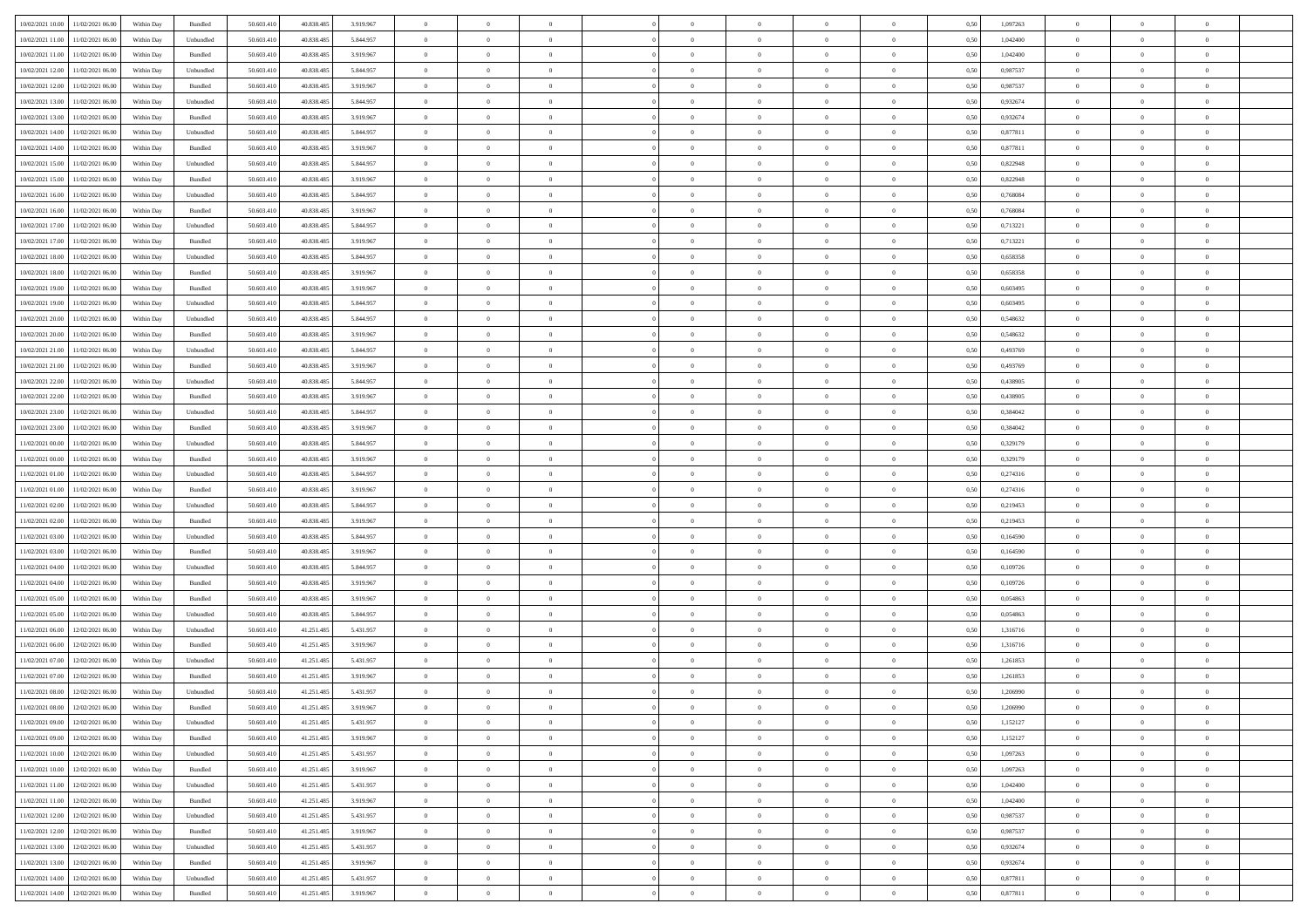|                                               |            |           |            |            |           | $\overline{0}$ | $\overline{0}$ |                | $\overline{0}$ | $\theta$       |                | $\theta$       |      |          | $\theta$       | $\theta$       | $\overline{0}$ |  |
|-----------------------------------------------|------------|-----------|------------|------------|-----------|----------------|----------------|----------------|----------------|----------------|----------------|----------------|------|----------|----------------|----------------|----------------|--|
| 10/02/2021 10:00 11/02/2021 06:00             | Within Day | Bundled   | 50.603.410 | 40.838.485 | 3.919.967 |                |                |                |                |                |                |                | 0,50 | 1,097263 |                |                |                |  |
| 10/02/2021 11:00<br>11/02/2021 06:00          | Within Day | Unbundled | 50.603.41  | 40.838.485 | 5.844.957 | $\bf{0}$       | $\bf{0}$       | $\bf{0}$       | $\bf{0}$       | $\overline{0}$ | $\bf{0}$       | $\bf{0}$       | 0,50 | 1,042400 | $\,$ 0 $\,$    | $\bf{0}$       | $\overline{0}$ |  |
| 10/02/2021 11:00<br>11/02/2021 06:00          | Within Day | Bundled   | 50,603,410 | 40.838.485 | 3.919.967 | $\overline{0}$ | $\bf{0}$       | $\overline{0}$ | $\overline{0}$ | $\overline{0}$ | $\overline{0}$ | $\bf{0}$       | 0.50 | 1.042400 | $\overline{0}$ | $\overline{0}$ | $\bf{0}$       |  |
| 10/02/2021 12:00<br>11/02/2021 06:00          |            |           | 50.603.410 |            |           | $\overline{0}$ | $\overline{0}$ | $\overline{0}$ | $\overline{0}$ | $\theta$       | $\overline{0}$ |                |      | 0,987537 | $\theta$       | $\,$ 0 $\,$    | $\overline{0}$ |  |
|                                               | Within Day | Unbundled |            | 40.838.485 | 5.844.957 |                |                |                |                |                |                | $\bf{0}$       | 0,50 |          |                |                |                |  |
| 10/02/2021 12:00<br>11/02/2021 06:00          | Within Day | Bundled   | 50.603.41  | 40.838.485 | 3.919.967 | $\bf{0}$       | $\overline{0}$ | $\bf{0}$       | $\overline{0}$ | $\bf{0}$       | $\overline{0}$ | $\bf{0}$       | 0,50 | 0,987537 | $\,$ 0 $\,$    | $\bf{0}$       | $\overline{0}$ |  |
| 10/02/2021 13:00<br>11/02/2021 06:00          | Within Day | Unbundled | 50.603.41  | 40.838.485 | 5.844.957 | $\overline{0}$ | $\bf{0}$       | $\overline{0}$ | $\bf{0}$       | $\overline{0}$ | $\overline{0}$ | $\bf{0}$       | 0.50 | 0.932674 | $\,$ 0 $\,$    | $\overline{0}$ | $\overline{0}$ |  |
| 10/02/2021 13:00<br>11/02/2021 06:00          | Within Day | Bundled   | 50.603.41  | 40.838.485 | 3.919.967 | $\overline{0}$ | $\overline{0}$ | $\overline{0}$ | $\overline{0}$ | $\overline{0}$ | $\overline{0}$ | $\bf{0}$       | 0,50 | 0,932674 | $\,$ 0 $\,$    | $\theta$       | $\overline{0}$ |  |
|                                               |            |           |            |            |           |                |                |                |                |                |                |                |      |          |                |                |                |  |
| 10/02/2021 14:00<br>11/02/2021 06:00          | Within Day | Unbundled | 50.603.41  | 40.838.485 | 5.844.957 | $\bf{0}$       | $\bf{0}$       | $\bf{0}$       | $\overline{0}$ | $\overline{0}$ | $\overline{0}$ | $\bf{0}$       | 0,50 | 0,877811 | $\,$ 0 $\,$    | $\bf{0}$       | $\overline{0}$ |  |
| 10/02/2021 14:00<br>11/02/2021 06:00          | Within Day | Bundled   | 50.603.41  | 40.838.485 | 3.919.967 | $\overline{0}$ | $\bf{0}$       | $\overline{0}$ | $\bf{0}$       | $\overline{0}$ | $\overline{0}$ | $\bf{0}$       | 0.50 | 0.877811 | $\bf{0}$       | $\overline{0}$ | $\bf{0}$       |  |
| 10/02/2021 15:00<br>11/02/2021 06:00          | Within Day | Unbundled | 50.603.410 | 40.838.485 | 5.844.957 | $\bf{0}$       | $\bf{0}$       | $\overline{0}$ | $\overline{0}$ | $\overline{0}$ | $\overline{0}$ | $\bf{0}$       | 0,50 | 0,822948 | $\,$ 0 $\,$    | $\,$ 0 $\,$    | $\overline{0}$ |  |
|                                               |            |           |            |            |           |                |                |                |                |                |                |                |      |          |                |                |                |  |
| 10/02/2021 15:00<br>11/02/2021 06:00          | Within Day | Bundled   | 50.603.41  | 40.838.485 | 3.919.967 | $\bf{0}$       | $\bf{0}$       | $\bf{0}$       | $\bf{0}$       | $\overline{0}$ | $\overline{0}$ | $\bf{0}$       | 0,50 | 0,822948 | $\,$ 0 $\,$    | $\bf{0}$       | $\overline{0}$ |  |
| 10/02/2021 16:00<br>11/02/2021 06:00          | Within Day | Unbundled | 50.603.41  | 40.838.485 | 5.844.957 | $\overline{0}$ | $\bf{0}$       | $\overline{0}$ | $\overline{0}$ | $\overline{0}$ | $\overline{0}$ | $\bf{0}$       | 0.50 | 0.768084 | $\bf{0}$       | $\,$ 0 $\,$    | $\,$ 0         |  |
| 10/02/2021 16:00<br>11/02/2021 06:00          | Within Day | Bundled   | 50.603.41  | 40.838.485 | 3.919.967 | $\overline{0}$ | $\bf{0}$       | $\overline{0}$ | $\theta$       | $\theta$       | $\overline{0}$ | $\bf{0}$       | 0,50 | 0,768084 | $\,$ 0 $\,$    | $\,$ 0 $\,$    | $\overline{0}$ |  |
| 10/02/2021 17:00<br>11/02/2021 06:00          | Within Day | Unbundled | 50.603.41  | 40.838.485 | 5.844.957 | $\bf{0}$       | $\overline{0}$ | $\bf{0}$       | $\bf{0}$       | $\overline{0}$ | $\overline{0}$ | $\bf{0}$       | 0,50 | 0,713221 | $\,$ 0 $\,$    | $\bf{0}$       | $\overline{0}$ |  |
|                                               |            |           |            |            |           |                |                |                |                |                |                |                |      |          |                |                |                |  |
| 10/02/2021 17:00<br>11/02/2021 06:00          | Within Day | Bundled   | 50.603.41  | 40.838.485 | 3.919.967 | $\overline{0}$ | $\bf{0}$       | $\overline{0}$ | $\bf{0}$       | $\overline{0}$ | $\overline{0}$ | $\bf{0}$       | 0.50 | 0,713221 | $\,$ 0 $\,$    | $\bf{0}$       | $\overline{0}$ |  |
| 10/02/2021 18:00<br>11/02/2021 06:00          | Within Day | Unbundled | 50.603.410 | 40.838.485 | 5.844.957 | $\overline{0}$ | $\bf{0}$       | $\overline{0}$ | $\overline{0}$ | $\overline{0}$ | $\overline{0}$ | $\bf{0}$       | 0,50 | 0,658358 | $\theta$       | $\theta$       | $\overline{0}$ |  |
| 10/02/2021 18:00<br>11/02/2021 06:00          | Within Day | Bundled   | 50.603.41  | 40.838.485 | 3.919.967 | $\bf{0}$       | $\bf{0}$       | $\bf{0}$       | $\overline{0}$ | $\overline{0}$ | $\overline{0}$ | $\bf{0}$       | 0,50 | 0,658358 | $\,$ 0 $\,$    | $\bf{0}$       | $\overline{0}$ |  |
| 10/02/2021 19:00<br>11/02/2021 06:00          | Within Day | Bundled   | 50,603.41  | 40.838.485 | 3.919.967 | $\overline{0}$ | $\bf{0}$       | $\overline{0}$ | $\bf{0}$       | $\overline{0}$ | $\overline{0}$ | $\bf{0}$       | 0.50 | 0.603495 | $\bf{0}$       | $\overline{0}$ | $\bf{0}$       |  |
|                                               |            |           |            |            |           |                |                |                |                |                |                |                |      |          |                |                |                |  |
| 10/02/2021 19:00<br>11/02/2021 06:00          | Within Day | Unbundled | 50.603.410 | 40.838.485 | 5.844.957 | $\overline{0}$ | $\bf{0}$       | $\overline{0}$ | $\overline{0}$ | $\overline{0}$ | $\overline{0}$ | $\bf{0}$       | 0,50 | 0,603495 | $\,$ 0 $\,$    | $\bf{0}$       | $\overline{0}$ |  |
| 10/02/2021 20:00<br>11/02/2021 06:00          | Within Day | Unbundled | 50.603.41  | 40.838.485 | 5.844.957 | $\bf{0}$       | $\bf{0}$       | $\bf{0}$       | $\bf{0}$       | $\overline{0}$ | $\overline{0}$ | $\bf{0}$       | 0,50 | 0,548632 | $\,$ 0 $\,$    | $\bf{0}$       | $\overline{0}$ |  |
| 10/02/2021 20:00<br>11/02/2021 06:00          | Within Day | Bundled   | 50.603.41  | 40.838.485 | 3.919.967 | $\overline{0}$ | $\bf{0}$       | $\overline{0}$ | $\overline{0}$ | $\bf{0}$       | $\overline{0}$ | $\bf{0}$       | 0.50 | 0.548632 | $\bf{0}$       | $\,$ 0 $\,$    | $\,$ 0         |  |
| 10/02/2021 21:00<br>11/02/2021 06:00          | Within Day | Unbundled | 50.603.41  | 40.838.485 | 5.844.957 | $\overline{0}$ | $\overline{0}$ | $\overline{0}$ | $\overline{0}$ | $\theta$       | $\overline{0}$ | $\bf{0}$       | 0,50 | 0,493769 | $\theta$       | $\theta$       | $\overline{0}$ |  |
|                                               |            |           |            |            |           |                |                |                |                |                |                |                |      |          |                |                |                |  |
| 10/02/2021 21:00<br>11/02/2021 06:00          | Within Day | Bundled   | 50.603.41  | 40.838.485 | 3.919.967 | $\bf{0}$       | $\bf{0}$       | $\bf{0}$       | $\bf{0}$       | $\overline{0}$ | $\overline{0}$ | $\bf{0}$       | 0,50 | 0,493769 | $\,$ 0 $\,$    | $\bf{0}$       | $\overline{0}$ |  |
| 10/02/2021 22:00<br>11/02/2021 06:00          | Within Day | Unbundled | 50.603.41  | 40.838.485 | 5.844.957 | $\overline{0}$ | $\bf{0}$       | $\overline{0}$ | $\bf{0}$       | $\overline{0}$ | $\overline{0}$ | $\bf{0}$       | 0.50 | 0.438905 | $\,$ 0 $\,$    | $\overline{0}$ | $\overline{0}$ |  |
| 10/02/2021 22:00<br>11/02/2021 06:00          | Within Day | Bundled   | 50.603.410 | 40.838.485 | 3.919.967 | $\overline{0}$ | $\overline{0}$ | $\overline{0}$ | $\overline{0}$ | $\overline{0}$ | $\overline{0}$ | $\bf{0}$       | 0,50 | 0,438905 | $\,$ 0 $\,$    | $\theta$       | $\overline{0}$ |  |
| 10/02/2021 23:00<br>11/02/2021 06:00          | Within Day | Unbundled | 50.603.41  | 40.838.485 | 5.844.957 | $\bf{0}$       | $\overline{0}$ | $\bf{0}$       | $\overline{0}$ | $\overline{0}$ | $\overline{0}$ | $\bf{0}$       | 0,50 | 0,384042 | $\,$ 0 $\,$    | $\bf{0}$       | $\overline{0}$ |  |
|                                               |            |           |            |            |           |                |                |                |                |                |                |                |      |          |                |                |                |  |
| 10/02/2021 23:00<br>11/02/2021 06:00          | Within Day | Bundled   | 50,603.41  | 40.838.485 | 3.919.967 | $\overline{0}$ | $\bf{0}$       | $\overline{0}$ | $\bf{0}$       | $\overline{0}$ | $\overline{0}$ | $\bf{0}$       | 0.50 | 0.384042 | $\bf{0}$       | $\overline{0}$ | $\bf{0}$       |  |
| 11/02/2021 00:00<br>11/02/2021 06:00          | Within Day | Unbundled | 50.603.410 | 40.838.485 | 5.844.957 | $\overline{0}$ | $\bf{0}$       | $\overline{0}$ | $\overline{0}$ | $\overline{0}$ | $\overline{0}$ | $\bf{0}$       | 0,50 | 0,329179 | $\theta$       | $\,$ 0 $\,$    | $\overline{0}$ |  |
| 11/02/2021 00:00<br>11/02/2021 06:00          | Within Day | Bundled   | 50.603.41  | 40.838.485 | 3.919.967 | $\bf{0}$       | $\bf{0}$       | $\bf{0}$       | $\bf{0}$       | $\overline{0}$ | $\bf{0}$       | $\bf{0}$       | 0,50 | 0,329179 | $\,$ 0 $\,$    | $\bf{0}$       | $\overline{0}$ |  |
| 11/02/2021 01:00<br>11/02/2021 06:00          | Within Day | Unbundled | 50.603.41  | 40.838.485 | 5.844.957 | $\overline{0}$ | $\bf{0}$       | $\overline{0}$ | $\overline{0}$ | $\overline{0}$ | $\overline{0}$ | $\bf{0}$       | 0.50 | 0,274316 | $\bf{0}$       | $\,$ 0 $\,$    | $\,$ 0         |  |
|                                               |            |           |            |            |           |                |                |                |                |                |                |                |      |          |                |                |                |  |
| 11/02/2021 01:00<br>11/02/2021 06:00          | Within Day | Bundled   | 50.603.41  | 40.838.485 | 3.919.967 | $\overline{0}$ | $\overline{0}$ | $\overline{0}$ | $\overline{0}$ | $\overline{0}$ | $\overline{0}$ | $\bf{0}$       | 0.5( | 0,274316 | $\theta$       | $\theta$       | $\overline{0}$ |  |
| 11/02/2021 02:00<br>11/02/2021 06:00          | Within Day | Unbundled | 50.603.41  | 40.838.485 | 5.844.957 | $\bf{0}$       | $\bf{0}$       | $\bf{0}$       | $\bf{0}$       | $\overline{0}$ | $\overline{0}$ | $\bf{0}$       | 0,50 | 0,219453 | $\,$ 0 $\,$    | $\bf{0}$       | $\overline{0}$ |  |
| 11/02/2021 02:00<br>11/02/2021 06:00          | Within Day | Bundled   | 50,603.41  | 40.838.485 | 3.919.967 | $\overline{0}$ | $\bf{0}$       | $\overline{0}$ | $\bf{0}$       | $\overline{0}$ | $\overline{0}$ | $\bf{0}$       | 0.50 | 0,219453 | $\,$ 0 $\,$    | $\bf{0}$       | $\overline{0}$ |  |
| 11/02/2021 03:00<br>11/02/2021 06:00          | Within Dav | Unbundled | 50.603.41  | 40.838.485 | 5.844.957 | $\overline{0}$ | $\overline{0}$ | $\overline{0}$ | $\overline{0}$ | $\overline{0}$ | $\overline{0}$ | $\bf{0}$       | 0.50 | 0,164590 | $\theta$       | $\theta$       | $\overline{0}$ |  |
|                                               |            |           |            |            |           |                |                |                |                |                |                |                |      |          |                |                |                |  |
| 11/02/2021 03:00<br>11/02/2021 06:00          | Within Day | Bundled   | 50.603.41  | 40.838.485 | 3.919.967 | $\bf{0}$       | $\bf{0}$       | $\bf{0}$       | $\bf{0}$       | $\overline{0}$ | $\overline{0}$ | $\bf{0}$       | 0,50 | 0,164590 | $\,$ 0 $\,$    | $\bf{0}$       | $\overline{0}$ |  |
| 11/02/2021 04:00<br>11/02/2021 06:00          | Within Day | Unbundled | 50,603.41  | 40.838.485 | 5.844.957 | $\overline{0}$ | $\bf{0}$       | $\overline{0}$ | $\bf{0}$       | $\overline{0}$ | $\overline{0}$ | $\bf{0}$       | 0.50 | 0.109726 | $\bf{0}$       | $\overline{0}$ | $\bf{0}$       |  |
| 11/02/2021 04:00<br>11/02/2021 06:00          | Within Day | Bundled   | 50.603.41  | 40.838.485 | 3.919.967 | $\overline{0}$ | $\overline{0}$ | $\overline{0}$ | $\overline{0}$ | $\overline{0}$ | $\overline{0}$ | $\bf{0}$       | 0.50 | 0,109726 | $\theta$       | $\theta$       | $\overline{0}$ |  |
| 11/02/2021 05:00<br>11/02/2021 06:00          | Within Day | Bundled   | 50.603.41  | 40.838.485 | 3.919.967 | $\bf{0}$       | $\bf{0}$       | $\bf{0}$       | $\bf{0}$       | $\overline{0}$ | $\bf{0}$       | $\bf{0}$       | 0,50 | 0,054863 | $\,$ 0 $\,$    | $\bf{0}$       | $\overline{0}$ |  |
|                                               |            |           | 50.603.41  | 40.838.485 | 5.844.957 |                | $\bf{0}$       |                |                | $\bf{0}$       | $\overline{0}$ |                | 0.50 | 0.054863 | $\bf{0}$       | $\,$ 0 $\,$    | $\,$ 0         |  |
| 11/02/2021 05:00<br>11/02/2021 06:00          | Within Day | Unbundled |            |            |           | $\overline{0}$ |                | $\overline{0}$ | $\overline{0}$ |                |                | $\bf{0}$       |      |          |                |                |                |  |
| 11/02/2021 06:00<br>12/02/2021 06:00          | Within Dav | Unbundled | 50.603.41  | 41.251.485 | 5.431.957 | $\overline{0}$ | $\overline{0}$ | $\overline{0}$ | $\overline{0}$ | $\overline{0}$ | $\overline{0}$ | $\bf{0}$       | 0.5( | 1,316716 | $\theta$       | $\theta$       | $\overline{0}$ |  |
| 11/02/2021 06:00<br>12/02/2021 06:00          | Within Day | Bundled   | 50.603.41  | 41.251.485 | 3.919.967 | $\bf{0}$       | $\bf{0}$       | $\bf{0}$       | $\bf{0}$       | $\overline{0}$ | $\overline{0}$ | $\bf{0}$       | 0,50 | 1,316716 | $\,$ 0 $\,$    | $\bf{0}$       | $\overline{0}$ |  |
| 11/02/2021 07:00<br>12/02/2021 06:00          | Within Day | Unbundled | 50.603.41  | 41.251.48  | 5.431.957 | $\overline{0}$ | $\bf{0}$       | $\overline{0}$ | $\bf{0}$       | $\overline{0}$ | $\overline{0}$ | $\bf{0}$       | 0.50 | 1.261853 | $\bf{0}$       | $\theta$       | $\overline{0}$ |  |
| 11/02/2021 07:00<br>12/02/2021 06:00          | Within Day | Bundled   | 50.603.41  | 41.251.485 | 3.919.967 | $\overline{0}$ | $\overline{0}$ | $\overline{0}$ | $\theta$       | $\theta$       | $\overline{0}$ | $\overline{0}$ | 0.5( | 1,261853 | $\theta$       | $\theta$       | $\overline{0}$ |  |
|                                               |            |           |            |            |           |                |                |                |                |                |                |                |      |          |                |                |                |  |
| 11/02/2021 08:00<br>12/02/2021 06:00          | Within Day | Unbundled | 50.603.41  | 41.251.485 | 5.431.957 | $\bf{0}$       | $\bf{0}$       | $\bf{0}$       | $\bf{0}$       | $\bf{0}$       | $\overline{0}$ | $\bf{0}$       | 0,50 | 1,206990 | $\overline{0}$ | $\overline{0}$ | $\overline{0}$ |  |
| $11/02/2021\;08.00\quad \  12/02/2021\;06.00$ | Within Day | Bundled   | 50.603.410 | 41.251.485 | 3 919 967 | $\bf{0}$       | $\theta$       |                | $\overline{0}$ |                |                |                | 0,50 | 1.206990 | $\bf{0}$       | $\bf{0}$       |                |  |
| 11/02/2021 09:00 12/02/2021 06:00             | Within Day | Unbundled | 50.603.410 | 41.251.485 | 5.431.957 | $\overline{0}$ | $\overline{0}$ | $\Omega$       | $\theta$       | $\overline{0}$ | $\overline{0}$ | $\bf{0}$       | 0,50 | 1,152127 | $\theta$       | $\overline{0}$ | $\overline{0}$ |  |
| 11/02/2021 09:00<br>12/02/2021 06:00          | Within Day | Bundled   | 50.603.41  | 41.251.485 | 3.919.967 | $\overline{0}$ | $\bf{0}$       | $\overline{0}$ | $\overline{0}$ | $\bf{0}$       | $\overline{0}$ | $\bf{0}$       | 0,50 | 1,152127 | $\overline{0}$ | $\overline{0}$ | $\bf{0}$       |  |
|                                               |            |           |            |            |           |                |                |                |                |                |                |                |      |          |                |                |                |  |
| 11/02/2021 10:00 12/02/2021 06:00             | Within Day | Unbundled | 50,603.410 | 41.251.485 | 5.431.957 | $\overline{0}$ | $\bf{0}$       | $\overline{0}$ | $\overline{0}$ | $\mathbf{0}$   | $\overline{0}$ | $\,$ 0 $\,$    | 0.50 | 1,097263 | $\overline{0}$ | $\bf{0}$       | $\,$ 0 $\,$    |  |
| 11/02/2021 10:00 12/02/2021 06:00             | Within Dav | Bundled   | 50.603.410 | 41.251.485 | 3.919.967 | $\overline{0}$ | $\overline{0}$ | $\overline{0}$ | $\overline{0}$ | $\overline{0}$ | $\overline{0}$ | $\bf{0}$       | 0,50 | 1,097263 | $\overline{0}$ | $\theta$       | $\overline{0}$ |  |
| 11/02/2021 11:00<br>12/02/2021 06:00          | Within Day | Unbundled | 50.603.41  | 41.251.485 | 5.431.957 | $\overline{0}$ | $\bf{0}$       | $\overline{0}$ | $\overline{0}$ | $\bf{0}$       | $\overline{0}$ | $\bf{0}$       | 0,50 | 1,042400 | $\bf{0}$       | $\overline{0}$ | $\overline{0}$ |  |
| 12/02/2021 06:00<br>11/02/2021 11:00          | Within Day | Bundled   | 50,603.410 | 41.251.485 | 3.919.967 | $\overline{0}$ | $\bf{0}$       | $\overline{0}$ | $\overline{0}$ | $\bf{0}$       | $\overline{0}$ | $\bf{0}$       | 0.50 | 1.042400 | $\,$ 0 $\,$    | $\overline{0}$ | $\,$ 0         |  |
|                                               |            |           |            |            |           |                |                |                |                |                |                |                |      |          |                |                |                |  |
| 11/02/2021 12:00<br>12/02/2021 06:00          | Within Dav | Unbundled | 50.603.410 | 41.251.485 | 5.431.957 | $\overline{0}$ | $\overline{0}$ | $\overline{0}$ | $\overline{0}$ | $\overline{0}$ | $\overline{0}$ | $\bf{0}$       | 0.50 | 0,987537 | $\overline{0}$ | $\theta$       | $\overline{0}$ |  |
| 11/02/2021 12:00<br>12/02/2021 06:00          | Within Day | Bundled   | 50.603.41  | 41.251.485 | 3.919.967 | $\overline{0}$ | $\overline{0}$ | $\overline{0}$ | $\overline{0}$ | $\overline{0}$ | $\overline{0}$ | $\bf{0}$       | 0,50 | 0,987537 | $\bf{0}$       | $\overline{0}$ | $\overline{0}$ |  |
| 11/02/2021 13:00<br>12/02/2021 06:00          | Within Day | Unbundled | 50,603.410 | 41.251.485 | 5.431.957 | $\overline{0}$ | $\overline{0}$ | $\overline{0}$ | $\overline{0}$ | $\overline{0}$ | $\overline{0}$ | $\bf{0}$       | 0.50 | 0.932674 | $\mathbf{0}$   | $\bf{0}$       | $\,$ 0         |  |
| 11/02/2021 13:00<br>12/02/2021 06:00          | Within Dav | Bundled   | 50.603.410 | 41.251.485 | 3.919.967 | $\overline{0}$ | $\overline{0}$ | $\overline{0}$ | $\overline{0}$ | $\overline{0}$ | $\overline{0}$ | $\bf{0}$       | 0,50 | 0,932674 | $\overline{0}$ | $\theta$       | $\overline{0}$ |  |
|                                               |            |           |            |            |           |                |                |                |                |                |                |                |      |          |                |                |                |  |
| 11/02/2021 14:00<br>12/02/2021 06:00          | Within Day | Unbundled | 50.603.41  | 41.251.485 | 5.431.957 | $\overline{0}$ | $\bf{0}$       | $\overline{0}$ | $\bf{0}$       | $\overline{0}$ | $\overline{0}$ | $\bf{0}$       | 0,50 | 0,877811 | $\bf{0}$       | $\overline{0}$ | $\bf{0}$       |  |
| 11/02/2021 14:00 12/02/2021 06:00             | Within Day | Bundled   | 50.603.410 | 41.251.485 | 3.919.967 | $\,$ 0 $\,$    | $\bf{0}$       | $\overline{0}$ | $\overline{0}$ | $\,$ 0 $\,$    | $\overline{0}$ | $\bf{0}$       | 0,50 | 0,877811 | $\overline{0}$ | $\,$ 0 $\,$    | $\,$ 0 $\,$    |  |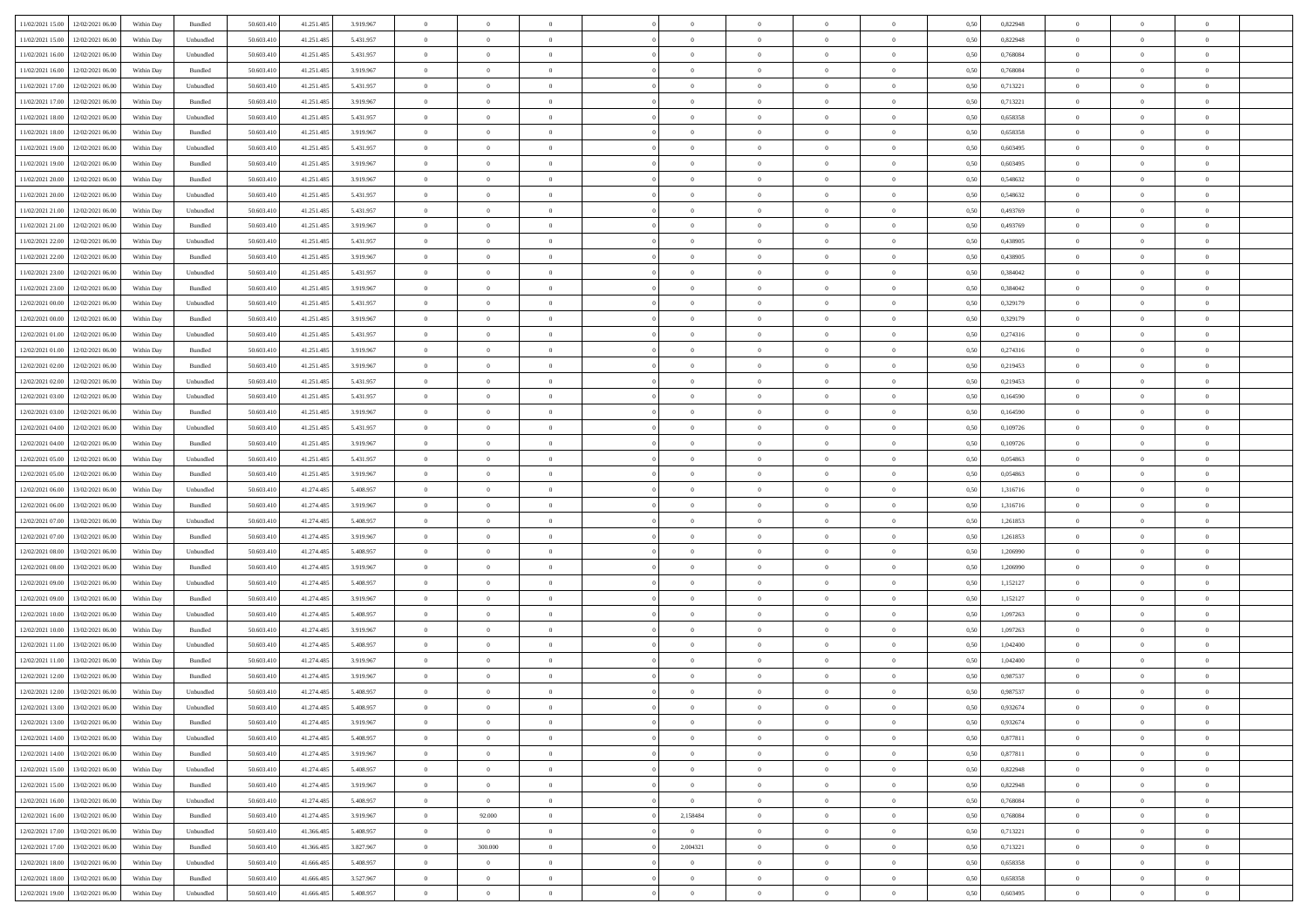| 11/02/2021 15:00 12/02/2021 06:00    | Within Day | Bundled           | 50.603.410 | 41.251.485 | 3.919.967 | $\overline{0}$ | $\overline{0}$ |                | $\overline{0}$ | $\theta$       |                | $\theta$       | 0,50 | 0,822948 | $\theta$       | $\theta$       | $\overline{0}$ |  |
|--------------------------------------|------------|-------------------|------------|------------|-----------|----------------|----------------|----------------|----------------|----------------|----------------|----------------|------|----------|----------------|----------------|----------------|--|
|                                      |            |                   |            |            |           |                |                |                |                |                |                |                |      |          |                |                |                |  |
| 11/02/2021 15:00<br>12/02/2021 06:00 | Within Day | Unbundled         | 50.603.41  | 41.251.485 | 5.431.957 | $\bf{0}$       | $\bf{0}$       | $\bf{0}$       | $\bf{0}$       | $\overline{0}$ | $\bf{0}$       | $\bf{0}$       | 0,50 | 0,822948 | $\,$ 0 $\,$    | $\bf{0}$       | $\overline{0}$ |  |
| 11/02/2021 16:00<br>12/02/2021 06:00 | Within Day | Unbundled         | 50.603.41  | 41.251.485 | 5.431.957 | $\overline{0}$ | $\bf{0}$       | $\overline{0}$ | $\bf{0}$       | $\overline{0}$ | $\overline{0}$ | $\bf{0}$       | 0.50 | 0.768084 | $\overline{0}$ | $\overline{0}$ | $\bf{0}$       |  |
| 11/02/2021 16:00<br>12/02/2021 06:00 | Within Day | Bundled           | 50.603.41  | 41.251.485 | 3.919.967 | $\overline{0}$ | $\overline{0}$ | $\overline{0}$ | $\overline{0}$ | $\theta$       | $\overline{0}$ | $\bf{0}$       | 0,50 | 0,768084 | $\theta$       | $\theta$       | $\overline{0}$ |  |
| 11/02/2021 17:00<br>12/02/2021 06:00 | Within Day | Unbundled         | 50.603.41  | 41.251.485 | 5.431.957 | $\bf{0}$       | $\overline{0}$ | $\bf{0}$       | $\overline{0}$ | $\bf{0}$       | $\overline{0}$ | $\bf{0}$       | 0,50 | 0,713221 | $\,$ 0 $\,$    | $\bf{0}$       | $\overline{0}$ |  |
| 11/02/2021 17:00<br>12/02/2021 06:00 | Within Day | Bundled           | 50.603.41  | 41.251.48  | 3.919.967 | $\overline{0}$ | $\bf{0}$       | $\overline{0}$ | $\bf{0}$       | $\overline{0}$ | $\overline{0}$ | $\bf{0}$       | 0.50 | 0,713221 | $\bf{0}$       | $\theta$       | $\overline{0}$ |  |
|                                      |            |                   |            |            |           | $\overline{0}$ | $\overline{0}$ | $\overline{0}$ | $\overline{0}$ | $\overline{0}$ | $\overline{0}$ |                |      |          |                | $\theta$       |                |  |
| 11/02/2021 18:00<br>12/02/2021 06:00 | Within Day | Unbundled         | 50.603.41  | 41.251.485 | 5.431.957 |                |                |                |                |                |                | $\bf{0}$       | 0,50 | 0,658358 | $\,$ 0 $\,$    |                | $\overline{0}$ |  |
| 11/02/2021 18:00<br>12/02/2021 06:00 | Within Day | Bundled           | 50.603.41  | 41.251.485 | 3.919.967 | $\bf{0}$       | $\bf{0}$       | $\bf{0}$       | $\overline{0}$ | $\overline{0}$ | $\overline{0}$ | $\bf{0}$       | 0,50 | 0,658358 | $\,$ 0 $\,$    | $\bf{0}$       | $\overline{0}$ |  |
| 11/02/2021 19:00<br>12/02/2021 06:00 | Within Day | Unbundled         | 50.603.41  | 41.251.48  | 5.431.957 | $\overline{0}$ | $\bf{0}$       | $\overline{0}$ | $\bf{0}$       | $\overline{0}$ | $\overline{0}$ | $\bf{0}$       | 0.50 | 0.603495 | $\bf{0}$       | $\overline{0}$ | $\bf{0}$       |  |
| 11/02/2021 19:00<br>12/02/2021 06:00 | Within Day | Bundled           | 50.603.410 | 41.251.485 | 3.919.967 | $\bf{0}$       | $\bf{0}$       | $\overline{0}$ | $\overline{0}$ | $\overline{0}$ | $\overline{0}$ | $\bf{0}$       | 0,50 | 0,603495 | $\,$ 0 $\,$    | $\,$ 0 $\,$    | $\overline{0}$ |  |
| 11/02/2021 20:00<br>12/02/2021 06:00 | Within Day | Bundled           | 50.603.41  | 41.251.485 | 3.919.967 | $\bf{0}$       | $\bf{0}$       | $\bf{0}$       | $\bf{0}$       | $\overline{0}$ | $\overline{0}$ | $\bf{0}$       | 0,50 | 0,548632 | $\,$ 0 $\,$    | $\bf{0}$       | $\overline{0}$ |  |
| 11/02/2021 20:00<br>12/02/2021 06:00 | Within Day | Unbundled         | 50.603.41  | 41.251.485 | 5.431.957 | $\overline{0}$ | $\bf{0}$       | $\overline{0}$ | $\overline{0}$ | $\overline{0}$ | $\overline{0}$ | $\bf{0}$       | 0.50 | 0.548632 | $\bf{0}$       | $\,$ 0 $\,$    | $\,$ 0         |  |
| 11/02/2021 21:00<br>12/02/2021 06:00 | Within Day | Unbundled         | 50.603.41  | 41.251.485 | 5.431.957 | $\overline{0}$ | $\bf{0}$       | $\overline{0}$ | $\theta$       | $\theta$       | $\overline{0}$ | $\bf{0}$       | 0,50 | 0,493769 | $\,$ 0 $\,$    | $\theta$       | $\overline{0}$ |  |
|                                      |            |                   |            |            |           |                | $\bf{0}$       |                |                | $\overline{0}$ | $\overline{0}$ |                |      |          | $\,$ 0 $\,$    | $\bf{0}$       | $\overline{0}$ |  |
| 11/02/2021 21:00<br>12/02/2021 06:00 | Within Day | Bundled           | 50.603.41  | 41.251.485 | 3.919.967 | $\bf{0}$       |                | $\bf{0}$       | $\bf{0}$       |                |                | $\bf{0}$       | 0,50 | 0,493769 |                |                |                |  |
| 11/02/2021 22:00<br>12/02/2021 06:00 | Within Day | Unbundled         | 50.603.41  | 41.251.48  | 5.431.957 | $\overline{0}$ | $\bf{0}$       | $\overline{0}$ | $\bf{0}$       | $\overline{0}$ | $\overline{0}$ | $\bf{0}$       | 0.50 | 0.438905 | $\,$ 0 $\,$    | $\theta$       | $\overline{0}$ |  |
| 11/02/2021 22:00<br>12/02/2021 06:00 | Within Day | Bundled           | 50.603.410 | 41.251.485 | 3.919.967 | $\overline{0}$ | $\overline{0}$ | $\overline{0}$ | $\overline{0}$ | $\overline{0}$ | $\overline{0}$ | $\bf{0}$       | 0,50 | 0,438905 | $\theta$       | $\theta$       | $\overline{0}$ |  |
| 11/02/2021 23:00<br>12/02/2021 06:00 | Within Day | Unbundled         | 50.603.41  | 41.251.485 | 5.431.957 | $\bf{0}$       | $\bf{0}$       | $\bf{0}$       | $\overline{0}$ | $\overline{0}$ | $\overline{0}$ | $\bf{0}$       | 0,50 | 0,384042 | $\,$ 0 $\,$    | $\bf{0}$       | $\overline{0}$ |  |
| 11/02/2021 23:00<br>12/02/2021 06:00 | Within Day | Bundled           | 50.603.41  | 41.251.48  | 3.919.967 | $\overline{0}$ | $\bf{0}$       | $\overline{0}$ | $\bf{0}$       | $\overline{0}$ | $\overline{0}$ | $\bf{0}$       | 0.50 | 0.384042 | $\bf{0}$       | $\overline{0}$ | $\bf{0}$       |  |
| 12/02/2021 00:00<br>12/02/2021 06:00 | Within Day | Unbundled         | 50.603.410 | 41.251.485 | 5.431.957 | $\overline{0}$ | $\bf{0}$       | $\overline{0}$ | $\overline{0}$ | $\overline{0}$ | $\overline{0}$ | $\bf{0}$       | 0,50 | 0,329179 | $\,$ 0 $\,$    | $\bf{0}$       | $\overline{0}$ |  |
| 12/02/2021 00:00<br>12/02/2021 06:00 | Within Day | Bundled           | 50.603.41  | 41.251.485 | 3.919.967 | $\bf{0}$       | $\bf{0}$       | $\bf{0}$       | $\bf{0}$       | $\overline{0}$ | $\overline{0}$ | $\bf{0}$       | 0,50 | 0,329179 | $\,$ 0 $\,$    | $\bf{0}$       | $\overline{0}$ |  |
| 12/02/2021 01:00<br>12/02/2021 06:00 | Within Day | Unbundled         | 50.603.41  | 41.251.485 | 5.431.957 | $\overline{0}$ | $\bf{0}$       | $\overline{0}$ | $\overline{0}$ | $\bf{0}$       | $\overline{0}$ | $\bf{0}$       | 0.50 | 0,274316 | $\bf{0}$       | $\,$ 0 $\,$    | $\,$ 0         |  |
|                                      |            |                   |            |            |           | $\overline{0}$ | $\overline{0}$ | $\overline{0}$ | $\overline{0}$ | $\theta$       | $\overline{0}$ |                |      |          | $\theta$       | $\theta$       |                |  |
| 12/02/2021 01:00<br>12/02/2021 06:00 | Within Day | Bundled           | 50.603.41  | 41.251.485 | 3.919.967 |                |                |                |                |                |                | $\bf{0}$       | 0,50 | 0,274316 |                |                | $\overline{0}$ |  |
| 12/02/2021 02:00<br>12/02/2021 06:00 | Within Day | Bundled           | 50.603.41  | 41.251.485 | 3.919.967 | $\bf{0}$       | $\bf{0}$       | $\bf{0}$       | $\bf{0}$       | $\overline{0}$ | $\overline{0}$ | $\bf{0}$       | 0,50 | 0,219453 | $\,$ 0 $\,$    | $\bf{0}$       | $\overline{0}$ |  |
| 12/02/2021 02:00<br>12/02/2021 06:00 | Within Day | Unbundled         | 50.603.41  | 41.251.485 | 5.431.957 | $\overline{0}$ | $\bf{0}$       | $\overline{0}$ | $\bf{0}$       | $\overline{0}$ | $\overline{0}$ | $\bf{0}$       | 0.50 | 0.219453 | $\,$ 0 $\,$    | $\overline{0}$ | $\overline{0}$ |  |
| 12/02/2021 03:00<br>12/02/2021 06:00 | Within Day | Unbundled         | 50.603.41  | 41.251.485 | 5.431.957 | $\overline{0}$ | $\overline{0}$ | $\overline{0}$ | $\overline{0}$ | $\overline{0}$ | $\overline{0}$ | $\bf{0}$       | 0,50 | 0,164590 | $\,$ 0 $\,$    | $\theta$       | $\overline{0}$ |  |
| 12/02/2021 03:00<br>12/02/2021 06:00 | Within Day | Bundled           | 50.603.41  | 41.251.485 | 3.919.967 | $\bf{0}$       | $\overline{0}$ | $\bf{0}$       | $\overline{0}$ | $\overline{0}$ | $\overline{0}$ | $\bf{0}$       | 0,50 | 0,164590 | $\,$ 0 $\,$    | $\bf{0}$       | $\overline{0}$ |  |
| 12/02/2021 04:00<br>12/02/2021 06:00 | Within Day | Unbundled         | 50,603.41  | 41.251.48  | 5.431.957 | $\overline{0}$ | $\bf{0}$       | $\overline{0}$ | $\bf{0}$       | $\overline{0}$ | $\overline{0}$ | $\bf{0}$       | 0.50 | 0.109726 | $\bf{0}$       | $\overline{0}$ | $\bf{0}$       |  |
| 12/02/2021 04:00<br>12/02/2021 06:00 | Within Day | Bundled           | 50.603.410 | 41.251.485 | 3.919.967 | $\overline{0}$ | $\bf{0}$       | $\overline{0}$ | $\overline{0}$ | $\overline{0}$ | $\overline{0}$ | $\bf{0}$       | 0,50 | 0,109726 | $\theta$       | $\bf{0}$       | $\overline{0}$ |  |
| 12/02/2021 05:00<br>12/02/2021 06:00 | Within Day | Unbundled         | 50.603.41  | 41.251.485 | 5.431.957 | $\bf{0}$       | $\bf{0}$       | $\bf{0}$       | $\bf{0}$       | $\overline{0}$ | $\bf{0}$       | $\bf{0}$       | 0,50 | 0,054863 | $\,$ 0 $\,$    | $\bf{0}$       | $\overline{0}$ |  |
|                                      |            |                   |            |            |           |                |                |                |                |                |                |                |      |          |                |                |                |  |
| 12/02/2021 05:00<br>12/02/2021 06:00 | Within Day | Bundled           | 50.603.41  | 41.251.485 | 3.919.967 | $\overline{0}$ | $\bf{0}$       | $\overline{0}$ | $\overline{0}$ | $\overline{0}$ | $\overline{0}$ | $\bf{0}$       | 0.50 | 0.054863 | $\bf{0}$       | $\,$ 0 $\,$    | $\,$ 0         |  |
| 12/02/2021 06:00<br>13/02/2021 06:00 | Within Day | Unbundled         | 50.603.41  | 41.274.485 | 5.408.957 | $\overline{0}$ | $\overline{0}$ | $\overline{0}$ | $\overline{0}$ | $\overline{0}$ | $\overline{0}$ | $\bf{0}$       | 0.5( | 1,316716 | $\theta$       | $\theta$       | $\overline{0}$ |  |
| 12/02/2021 06:00<br>13/02/2021 06:00 | Within Day | Bundled           | 50.603.41  | 41.274.485 | 3.919.967 | $\bf{0}$       | $\bf{0}$       | $\bf{0}$       | $\bf{0}$       | $\overline{0}$ | $\overline{0}$ | $\bf{0}$       | 0,50 | 1,316716 | $\,$ 0 $\,$    | $\bf{0}$       | $\overline{0}$ |  |
| 12/02/2021 07:00<br>13/02/2021 06:00 | Within Day | Unbundled         | 50.603.41  | 41.274.485 | 5.408.957 | $\overline{0}$ | $\bf{0}$       | $\overline{0}$ | $\bf{0}$       | $\overline{0}$ | $\overline{0}$ | $\bf{0}$       | 0.50 | 1.261853 | $\,$ 0 $\,$    | $\bf{0}$       | $\overline{0}$ |  |
| 12/02/2021 07:00<br>13/02/2021 06:00 | Within Dav | Bundled           | 50.603.41  | 41.274.485 | 3.919.967 | $\overline{0}$ | $\overline{0}$ | $\overline{0}$ | $\overline{0}$ | $\overline{0}$ | $\overline{0}$ | $\bf{0}$       | 0.50 | 1,261853 | $\theta$       | $\theta$       | $\overline{0}$ |  |
| 12/02/2021 08:00<br>13/02/2021 06:00 | Within Day | Unbundled         | 50.603.41  | 41.274.485 | 5.408.957 | $\bf{0}$       | $\bf{0}$       | $\bf{0}$       | $\bf{0}$       | $\overline{0}$ | $\overline{0}$ | $\bf{0}$       | 0,50 | 1,206990 | $\,$ 0 $\,$    | $\bf{0}$       | $\overline{0}$ |  |
| 12/02/2021 08:00<br>13/02/2021 06:00 | Within Day | Bundled           | 50,603.41  | 41.274.485 | 3.919.967 | $\overline{0}$ | $\bf{0}$       | $\overline{0}$ | $\bf{0}$       | $\overline{0}$ | $\overline{0}$ | $\bf{0}$       | 0.50 | 1.206990 | $\bf{0}$       | $\overline{0}$ | $\bf{0}$       |  |
| 12/02/2021 09:00<br>13/02/2021 06:00 | Within Day | Unbundled         | 50.603.41  | 41.274.485 | 5.408.957 | $\overline{0}$ | $\overline{0}$ | $\overline{0}$ | $\overline{0}$ | $\overline{0}$ | $\overline{0}$ | $\bf{0}$       | 0.50 | 1,152127 | $\theta$       | $\theta$       | $\overline{0}$ |  |
| 13/02/2021 06:00                     | Within Day | Bundled           | 50.603.41  | 41.274.485 | 3.919.967 | $\bf{0}$       | $\bf{0}$       | $\bf{0}$       | $\bf{0}$       | $\overline{0}$ | $\bf{0}$       | $\bf{0}$       | 0,50 | 1,152127 | $\,$ 0 $\,$    | $\bf{0}$       | $\overline{0}$ |  |
| 12/02/2021 09:00                     |            |                   |            |            |           |                |                |                |                |                |                |                |      |          |                |                |                |  |
| 12/02/2021 10:00<br>13/02/2021 06:00 | Within Day | Unbundled         | 50.603.41  | 41.274.485 | 5.408.957 | $\overline{0}$ | $\bf{0}$       | $\overline{0}$ | $\overline{0}$ | $\bf{0}$       | $\overline{0}$ | $\bf{0}$       | 0.50 | 1.097263 | $\,$ 0 $\,$    | $\,$ 0 $\,$    | $\,$ 0         |  |
| 12/02/2021 10:00<br>13/02/2021 06:00 | Within Dav | Bundled           | 50.603.41  | 41.274.485 | 3.919.967 | $\overline{0}$ | $\overline{0}$ | $\overline{0}$ | $\overline{0}$ | $\overline{0}$ | $\overline{0}$ | $\bf{0}$       | 0.50 | 1,097263 | $\theta$       | $\theta$       | $\overline{0}$ |  |
| 12/02/2021 11:00<br>13/02/2021 06:00 | Within Day | Unbundled         | 50.603.41  | 41.274.485 | 5.408.957 | $\bf{0}$       | $\bf{0}$       | $\bf{0}$       | $\bf{0}$       | $\overline{0}$ | $\overline{0}$ | $\bf{0}$       | 0,50 | 1,042400 | $\,$ 0 $\,$    | $\bf{0}$       | $\overline{0}$ |  |
| 12/02/2021 11:00<br>13/02/2021 06:00 | Within Day | Bundled           | 50,603.41  | 41.274.485 | 3.919.967 | $\overline{0}$ | $\overline{0}$ | $\overline{0}$ | $\bf{0}$       | $\overline{0}$ | $\overline{0}$ | $\bf{0}$       | 0.50 | 1.042400 | $\bf{0}$       | $\theta$       | $\overline{0}$ |  |
| 12/02/2021 12:00<br>13/02/2021 06:00 | Within Dav | Bundled           | 50.603.41  | 41.274.485 | 3.919.967 | $\overline{0}$ | $\overline{0}$ | $\overline{0}$ | $\theta$       | $\theta$       | $\overline{0}$ | $\overline{0}$ | 0.5( | 0,987537 | $\theta$       | $\theta$       | $\overline{0}$ |  |
| 12/02/2021 12:00<br>13/02/2021 06:00 | Within Day | Unbundled         | 50.603.41  | 41.274.485 | 5.408.957 | $\bf{0}$       | $\bf{0}$       | $\bf{0}$       | $\bf{0}$       | $\bf{0}$       | $\overline{0}$ | $\bf{0}$       | 0,50 | 0,987537 | $\overline{0}$ | $\overline{0}$ | $\overline{0}$ |  |
| 12/02/2021 13:00 13/02/2021 06:00    | Within Day | ${\sf Unbundred}$ | 50.603.410 | 41.274.485 | 5 408 957 | $\bf{0}$       | $\bf{0}$       |                | $\overline{0}$ | $\Omega$       |                |                | 0,50 | 0,932674 | $\bf{0}$       | $\bf{0}$       |                |  |
| 12/02/2021 13:00 13/02/2021 06:00    | Within Day | Bundled           | 50.603.410 | 41.274.485 | 3.919.967 | $\overline{0}$ | $\overline{0}$ | $\Omega$       | $\theta$       | $\overline{0}$ | $\overline{0}$ | $\bf{0}$       | 0,50 | 0,932674 | $\theta$       | $\theta$       | $\overline{0}$ |  |
|                                      |            |                   |            |            |           |                |                |                |                |                |                |                |      |          |                |                |                |  |
| 12/02/2021 14:00<br>13/02/2021 06:00 | Within Day | Unbundled         | 50.603.41  | 41.274.485 | 5.408.957 | $\overline{0}$ | $\bf{0}$       | $\overline{0}$ | $\overline{0}$ | $\bf{0}$       | $\overline{0}$ | $\bf{0}$       | 0,50 | 0,877811 | $\bf{0}$       | $\overline{0}$ | $\bf{0}$       |  |
| 12/02/2021 14:00 13/02/2021 06:00    | Within Day | Bundled           | 50,603.410 | 41.274.485 | 3.919.967 | $\overline{0}$ | $\bf{0}$       | $\overline{0}$ | $\overline{0}$ | $\mathbf{0}$   | $\overline{0}$ | $\,$ 0 $\,$    | 0.50 | 0.877811 | $\overline{0}$ | $\bf{0}$       | $\bf{0}$       |  |
| 12/02/2021 15:00 13/02/2021 06:00    | Within Dav | Unbundled         | 50.603.410 | 41.274.485 | 5.408.957 | $\overline{0}$ | $\overline{0}$ | $\overline{0}$ | $\overline{0}$ | $\overline{0}$ | $\overline{0}$ | $\bf{0}$       | 0.50 | 0,822948 | $\overline{0}$ | $\theta$       | $\overline{0}$ |  |
| 12/02/2021 15:00<br>13/02/2021 06:00 | Within Day | Bundled           | 50.603.41  | 41.274.485 | 3.919.967 | $\overline{0}$ | $\bf{0}$       | $\overline{0}$ | $\overline{0}$ | $\bf{0}$       | $\overline{0}$ | $\bf{0}$       | 0,50 | 0,822948 | $\bf{0}$       | $\overline{0}$ | $\overline{0}$ |  |
| 12/02/2021 16:00<br>13/02/2021 06:00 | Within Day | Unbundled         | 50,603.410 | 41.274.485 | 5.408.957 | $\overline{0}$ | $\overline{0}$ | $\overline{0}$ | $\overline{0}$ | $\bf{0}$       | $\overline{0}$ | $\bf{0}$       | 0.50 | 0.768084 | $\,$ 0 $\,$    | $\overline{0}$ | $\,$ 0         |  |
| 12/02/2021 16:00<br>13/02/2021 06:00 | Within Dav | Bundled           | 50.603.410 | 41.274.485 | 3.919.967 | $\overline{0}$ | 92.000         | $\overline{0}$ | 2,158484       | $\overline{0}$ | $\overline{0}$ | $\bf{0}$       | 0.50 | 0,768084 | $\overline{0}$ | $\theta$       | $\overline{0}$ |  |
| 12/02/2021 17:00<br>13/02/2021 06:00 | Within Day | Unbundled         | 50.603.41  | 41.366.485 | 5.408.957 | $\overline{0}$ | $\bf{0}$       | $\overline{0}$ | $\overline{0}$ | $\overline{0}$ | $\overline{0}$ | $\bf{0}$       | 0,50 | 0,713221 | $\bf{0}$       | $\overline{0}$ | $\overline{0}$ |  |
|                                      |            | Bundled           | 50,603.410 | 41.366.485 | 3.827.967 |                | 300,000        | $\overline{0}$ | 2,004321       |                | $\overline{0}$ |                | 0.50 | 0.713221 |                |                | $\,$ 0         |  |
| 12/02/2021 17:00<br>13/02/2021 06:00 | Within Day |                   |            |            |           | $\overline{0}$ |                |                |                | $\overline{0}$ |                | $\bf{0}$       |      |          | $\mathbf{0}$   | $\bf{0}$       |                |  |
| 12/02/2021 18:00<br>13/02/2021 06:00 | Within Dav | Unbundled         | 50.603.410 | 41.666.485 | 5.408.957 | $\overline{0}$ | $\overline{0}$ | $\overline{0}$ | $\overline{0}$ | $\overline{0}$ | $\overline{0}$ | $\bf{0}$       | 0.50 | 0,658358 | $\overline{0}$ | $\theta$       | $\overline{0}$ |  |
| 12/02/2021 18:00<br>13/02/2021 06:00 | Within Day | Bundled           | 50.603.41  | 41.666.485 | 3.527.967 | $\overline{0}$ | $\bf{0}$       | $\overline{0}$ | $\overline{0}$ | $\overline{0}$ | $\overline{0}$ | $\bf{0}$       | 0,50 | 0,658358 | $\bf{0}$       | $\,$ 0 $\,$    | $\bf{0}$       |  |
| 12/02/2021 19:00 13/02/2021 06:00    | Within Day | Unbundled         | 50.603.410 | 41.666.485 | 5.408.957 | $\overline{0}$ | $\bf{0}$       | $\overline{0}$ | $\overline{0}$ | $\,$ 0 $\,$    | $\overline{0}$ | $\bf{0}$       | 0,50 | 0,603495 | $\overline{0}$ | $\,$ 0 $\,$    | $\,$ 0 $\,$    |  |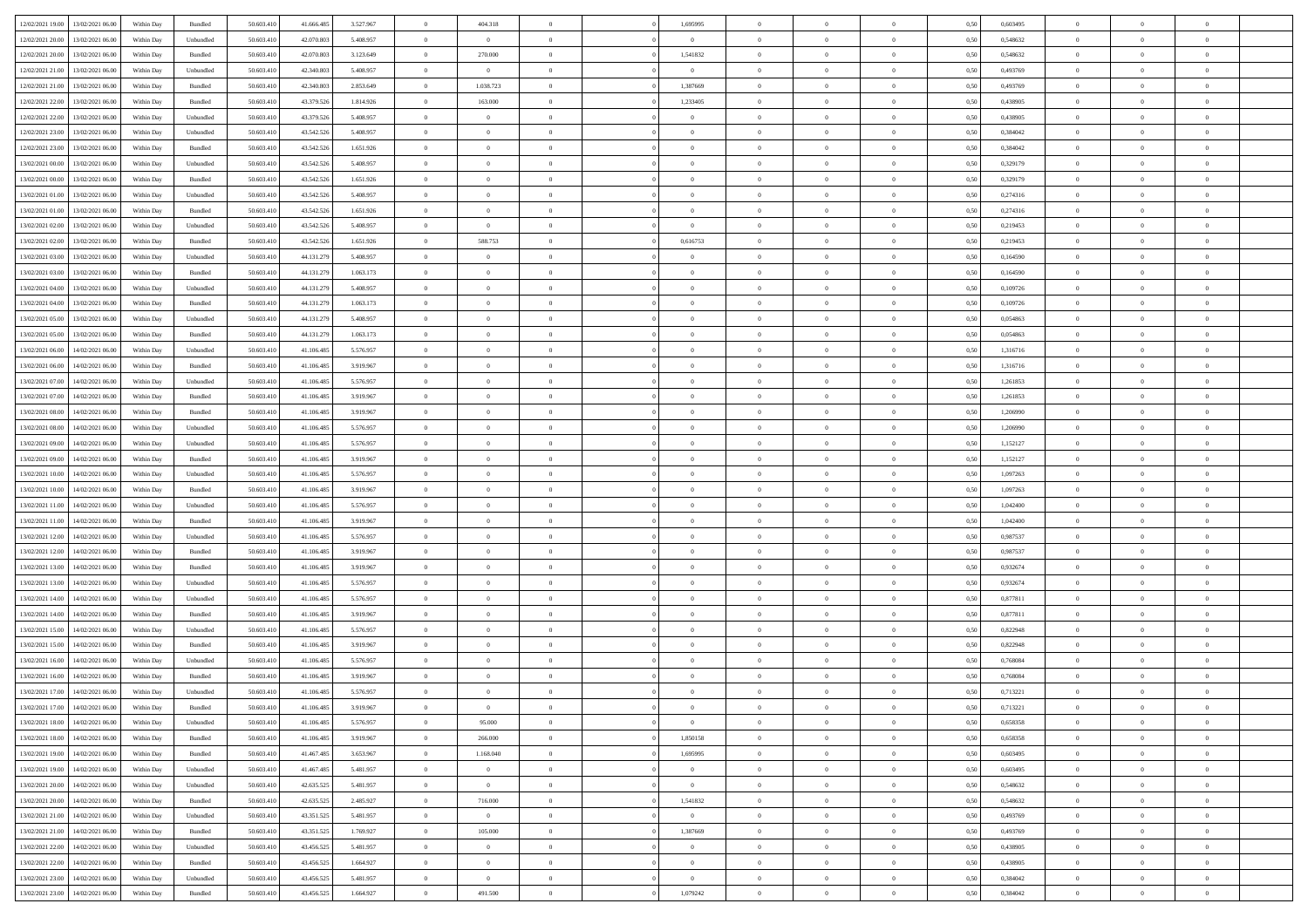| 12/02/2021 19:00 | 13/02/2021 06:00 | Within Dav | Bundled            | 50.603.410 | 41.666.485 | 3.527.967 | $\overline{0}$ | 404.318        |                | 1,695995       | $\Omega$       | $\Omega$       | $\theta$       | 0,50 | 0,603495 | $\theta$       | $\theta$       | $\theta$       |  |
|------------------|------------------|------------|--------------------|------------|------------|-----------|----------------|----------------|----------------|----------------|----------------|----------------|----------------|------|----------|----------------|----------------|----------------|--|
|                  |                  |            |                    |            |            |           |                |                |                |                |                |                |                |      |          |                |                |                |  |
| 12/02/2021 20:00 | 13/02/2021 06:00 | Within Day | Unbundled          | 50.603.410 | 42.070.803 | 5.408.957 | $\overline{0}$ | $\overline{0}$ | $\overline{0}$ | $\overline{0}$ | $\bf{0}$       | $\overline{0}$ | $\overline{0}$ | 0,50 | 0,548632 | $\theta$       | $\theta$       | $\overline{0}$ |  |
| 12/02/2021 20:00 | 13/02/2021 06:00 | Within Day | Bundled            | 50.603.410 | 42.070.803 | 3.123.649 | $\overline{0}$ | 270.000        | $\overline{0}$ | 1,541832       | $\bf{0}$       | $\bf{0}$       | $\mathbf{0}$   | 0,50 | 0,548632 | $\overline{0}$ | $\overline{0}$ | $\overline{0}$ |  |
| 12/02/2021 21:00 | 13/02/2021 06:00 | Within Dav | Unbundled          | 50.603.410 | 42.340.803 | 5.408.957 | $\overline{0}$ | $\overline{0}$ | $\overline{0}$ | $\overline{0}$ | $\bf{0}$       | $\overline{0}$ | $\overline{0}$ | 0.50 | 0,493769 | $\theta$       | $\theta$       | $\overline{0}$ |  |
| 12/02/2021 21:00 | 13/02/2021 06:00 | Within Day | Bundled            | 50.603.410 | 42.340.803 | 2.853.649 | $\overline{0}$ | 1.038.723      | $\overline{0}$ | 1,387669       | $\bf{0}$       | $\overline{0}$ | $\bf{0}$       | 0,50 | 0,493769 | $\theta$       | $\overline{0}$ | $\overline{0}$ |  |
| 12/02/2021 22:00 | 13/02/2021 06:00 | Within Day | Bundled            | 50.603.410 | 43.379.526 | 1.814.926 | $\overline{0}$ | 163.000        | $\overline{0}$ | 1,233405       | $\overline{0}$ | $\overline{0}$ | $\mathbf{0}$   | 0,50 | 0,438905 | $\bf{0}$       | $\overline{0}$ | $\bf{0}$       |  |
|                  |                  |            |                    |            |            |           |                |                |                |                | $\overline{0}$ |                |                |      |          | $\theta$       | $\overline{0}$ | $\overline{0}$ |  |
| 12/02/2021 22:00 | 13/02/2021 06:00 | Within Dav | Unbundled          | 50.603.410 | 43.379.526 | 5.408.957 | $\overline{0}$ | $\overline{0}$ | $\overline{0}$ | $\overline{0}$ |                | $\overline{0}$ | $\overline{0}$ | 0.50 | 0,438905 |                |                |                |  |
| 12/02/2021 23:00 | 13/02/2021 06:00 | Within Day | Unbundled          | 50.603.410 | 43.542.526 | 5.408.957 | $\overline{0}$ | $\theta$       | $\overline{0}$ | $\overline{0}$ | $\bf{0}$       | $\overline{0}$ | $\bf{0}$       | 0,50 | 0,384042 | $\theta$       | $\theta$       | $\overline{0}$ |  |
| 12/02/2021 23:00 | 13/02/2021 06:00 | Within Day | Bundled            | 50.603.410 | 43.542.526 | 1.651.926 | $\overline{0}$ | $\overline{0}$ | $\overline{0}$ | $\bf{0}$       | $\bf{0}$       | $\bf{0}$       | $\bf{0}$       | 0,50 | 0,384042 | $\,0\,$        | $\overline{0}$ | $\overline{0}$ |  |
| 13/02/2021 00:00 | 13/02/2021 06:00 | Within Dav | Unbundled          | 50.603.410 | 43.542.526 | 5.408.957 | $\overline{0}$ | $\overline{0}$ | $\overline{0}$ | $\overline{0}$ | $\overline{0}$ | $\overline{0}$ | $\overline{0}$ | 0.50 | 0,329179 | $\theta$       | $\overline{0}$ | $\overline{0}$ |  |
| 13/02/2021 00:00 | 13/02/2021 06:00 | Within Day | Bundled            | 50.603.410 | 43.542.526 | 1.651.926 | $\overline{0}$ | $\theta$       | $\overline{0}$ | $\overline{0}$ | $\bf{0}$       | $\overline{0}$ | $\bf{0}$       | 0,50 | 0,329179 | $\,$ 0 $\,$    | $\overline{0}$ | $\overline{0}$ |  |
| 13/02/2021 01:00 | 13/02/2021 06:00 | Within Day | Unbundled          | 50.603.410 | 43.542.526 | 5.408.957 | $\overline{0}$ | $\overline{0}$ | $\overline{0}$ | $\bf{0}$       | $\bf{0}$       | $\bf{0}$       | $\mathbf{0}$   | 0,50 | 0,274316 | $\overline{0}$ | $\overline{0}$ | $\overline{0}$ |  |
| 13/02/2021 01:00 | 13/02/2021 06:00 | Within Dav | Bundled            | 50.603.410 | 43.542.526 | 1.651.926 | $\overline{0}$ | $\overline{0}$ | $\overline{0}$ | $\overline{0}$ | $\overline{0}$ | $\overline{0}$ | $\overline{0}$ | 0.50 | 0,274316 | $\theta$       | $\theta$       | $\overline{0}$ |  |
|                  |                  |            |                    |            |            |           |                |                |                |                |                |                |                |      |          |                |                |                |  |
| 13/02/2021 02:00 | 13/02/2021 06:00 | Within Day | Unbundled          | 50.603.410 | 43.542.526 | 5.408.957 | $\overline{0}$ | $\overline{0}$ | $\overline{0}$ | $\overline{0}$ | $\bf{0}$       | $\overline{0}$ | $\bf{0}$       | 0,50 | 0,219453 | $\theta$       | $\overline{0}$ | $\overline{0}$ |  |
| 13/02/2021 02:00 | 13/02/2021 06:00 | Within Day | Bundled            | 50.603.410 | 43.542.526 | 1.651.926 | $\overline{0}$ | 588.753        | $\overline{0}$ | 0,616753       | $\bf{0}$       | $\overline{0}$ | $\mathbf{0}$   | 0,50 | 0,219453 | $\overline{0}$ | $\overline{0}$ | $\bf{0}$       |  |
| 13/02/2021 03:00 | 13/02/2021 06:00 | Within Dav | Unbundled          | 50.603.410 | 44.131.279 | 5.408.957 | $\overline{0}$ | $\overline{0}$ | $\overline{0}$ | $\overline{0}$ | $\overline{0}$ | $\overline{0}$ | $\overline{0}$ | 0.50 | 0,164590 | $\theta$       | $\overline{0}$ | $\overline{0}$ |  |
| 13/02/2021 03:00 | 13/02/2021 06:00 | Within Day | Bundled            | 50.603.410 | 44.131.279 | 1.063.173 | $\overline{0}$ | $\theta$       | $\overline{0}$ | $\overline{0}$ | $\bf{0}$       | $\overline{0}$ | $\bf{0}$       | 0,50 | 0,164590 | $\theta$       | $\theta$       | $\overline{0}$ |  |
| 13/02/2021 04:00 | 13/02/2021 06:00 | Within Day | Unbundled          | 50.603.410 | 44.131.279 | 5.408.957 | $\overline{0}$ | $\overline{0}$ | $\overline{0}$ | $\bf{0}$       | $\bf{0}$       | $\bf{0}$       | $\mathbf{0}$   | 0,50 | 0,109726 | $\,0\,$        | $\overline{0}$ | $\overline{0}$ |  |
| 13/02/2021 04:00 | 13/02/2021 06:00 | Within Dav | Bundled            | 50.603.410 | 44.131.279 | 1.063.173 | $\overline{0}$ | $\overline{0}$ | $\overline{0}$ | $\overline{0}$ | $\overline{0}$ | $\overline{0}$ | $\overline{0}$ | 0.50 | 0,109726 | $\theta$       | $\overline{0}$ | $\overline{0}$ |  |
| 13/02/2021 05:00 | 13/02/2021 06:00 | Within Day | Unbundled          | 50.603.410 | 44.131.279 | 5.408.957 | $\overline{0}$ | $\theta$       | $\overline{0}$ | $\overline{0}$ | $\bf{0}$       | $\overline{0}$ | $\bf{0}$       | 0,50 | 0,054863 | $\,$ 0 $\,$    | $\theta$       | $\overline{0}$ |  |
|                  |                  |            |                    |            |            |           |                |                |                |                |                |                |                |      |          |                |                |                |  |
| 13/02/2021 05:00 | 13/02/2021 06:00 | Within Day | Bundled            | 50.603.410 | 44.131.279 | 1.063.173 | $\overline{0}$ | $\overline{0}$ | $\overline{0}$ | $\bf{0}$       | $\bf{0}$       | $\bf{0}$       | $\bf{0}$       | 0,50 | 0,054863 | $\bf{0}$       | $\overline{0}$ | $\overline{0}$ |  |
| 13/02/2021 06:00 | 14/02/2021 06:00 | Within Day | Unbundled          | 50.603.410 | 41.106.485 | 5.576.957 | $\overline{0}$ | $\overline{0}$ | $\overline{0}$ | $\overline{0}$ | $\overline{0}$ | $\overline{0}$ | $\overline{0}$ | 0.50 | 1,316716 | $\theta$       | $\overline{0}$ | $\overline{0}$ |  |
| 13/02/2021 06:00 | 14/02/2021 06:00 | Within Day | Bundled            | 50.603.410 | 41.106.485 | 3.919.967 | $\overline{0}$ | $\theta$       | $\overline{0}$ | $\overline{0}$ | $\bf{0}$       | $\overline{0}$ | $\,$ 0 $\,$    | 0,50 | 1,316716 | $\,$ 0 $\,$    | $\overline{0}$ | $\overline{0}$ |  |
| 13/02/2021 07:00 | 14/02/2021 06:00 | Within Day | Unbundled          | 50.603.410 | 41.106.485 | 5.576.957 | $\overline{0}$ | $\bf{0}$       | $\overline{0}$ | $\bf{0}$       | $\overline{0}$ | $\overline{0}$ | $\mathbf{0}$   | 0,50 | 1,261853 | $\bf{0}$       | $\overline{0}$ | $\bf{0}$       |  |
| 13/02/2021 07:00 | 14/02/2021 06:00 | Within Dav | Bundled            | 50.603.410 | 41.106.485 | 3.919.967 | $\overline{0}$ | $\overline{0}$ | $\overline{0}$ | $\overline{0}$ | $\overline{0}$ | $\overline{0}$ | $\overline{0}$ | 0.50 | 1,261853 | $\theta$       | $\overline{0}$ | $\overline{0}$ |  |
| 13/02/2021 08:00 | 14/02/2021 06:00 | Within Day | Bundled            | 50.603.410 | 41.106.485 | 3.919.967 | $\overline{0}$ | $\theta$       | $\overline{0}$ | $\overline{0}$ | $\bf{0}$       | $\overline{0}$ | $\bf{0}$       | 0,50 | 1,206990 | $\theta$       | $\theta$       | $\overline{0}$ |  |
| 13/02/2021 08:00 | 14/02/2021 06:00 | Within Day | Unbundled          | 50.603.410 | 41.106.485 | 5.576.957 | $\overline{0}$ | $\overline{0}$ | $\overline{0}$ | $\bf{0}$       | $\bf{0}$       | $\bf{0}$       | $\bf{0}$       | 0,50 | 1,206990 | $\,0\,$        | $\overline{0}$ | $\overline{0}$ |  |
|                  |                  |            |                    |            |            |           |                |                |                |                |                |                |                |      |          |                |                |                |  |
| 13/02/2021 09:00 | 14/02/2021 06:00 | Within Day | Unbundled          | 50.603.410 | 41.106.485 | 5.576.957 | $\overline{0}$ | $\overline{0}$ | $\overline{0}$ | $\overline{0}$ | $\overline{0}$ | $\overline{0}$ | $\overline{0}$ | 0.50 | 1,152127 | $\theta$       | $\overline{0}$ | $\overline{0}$ |  |
| 13/02/2021 09:00 | 14/02/2021 06:00 | Within Day | Bundled            | 50.603.410 | 41.106.485 | 3.919.967 | $\overline{0}$ | $\theta$       | $\overline{0}$ | $\overline{0}$ | $\bf{0}$       | $\overline{0}$ | $\bf{0}$       | 0,50 | 1,152127 | $\,$ 0 $\,$    | $\theta$       | $\overline{0}$ |  |
| 13/02/2021 10:00 | 14/02/2021 06:00 | Within Day | Unbundled          | 50.603.410 | 41.106.485 | 5.576.957 | $\overline{0}$ | $\overline{0}$ | $\overline{0}$ | $\bf{0}$       | $\bf{0}$       | $\bf{0}$       | $\mathbf{0}$   | 0,50 | 1,097263 | $\bf{0}$       | $\overline{0}$ | $\overline{0}$ |  |
| 13/02/2021 10:00 | 14/02/2021 06:00 | Within Day | Bundled            | 50.603.410 | 41.106.485 | 3.919.967 | $\overline{0}$ | $\Omega$       | $\overline{0}$ | $\Omega$       | $\overline{0}$ | $\overline{0}$ | $\overline{0}$ | 0,50 | 1,097263 | $\,0\,$        | $\theta$       | $\theta$       |  |
| 13/02/2021 11:00 | 14/02/2021 06:00 | Within Day | Unbundled          | 50.603.410 | 41.106.485 | 5.576.957 | $\overline{0}$ | $\theta$       | $\overline{0}$ | $\overline{0}$ | $\bf{0}$       | $\overline{0}$ | $\bf{0}$       | 0,50 | 1,042400 | $\theta$       | $\overline{0}$ | $\overline{0}$ |  |
| 13/02/2021 11:00 | 14/02/2021 06:00 | Within Day | Bundled            | 50.603.410 | 41.106.485 | 3.919.967 | $\overline{0}$ | $\overline{0}$ | $\overline{0}$ | $\bf{0}$       | $\bf{0}$       | $\overline{0}$ | $\mathbf{0}$   | 0,50 | 1,042400 | $\bf{0}$       | $\overline{0}$ | $\bf{0}$       |  |
| 13/02/2021 12:00 | 14/02/2021 06:00 | Within Day | Unbundled          | 50,603.41  | 41.106.485 | 5.576.957 | $\overline{0}$ | $\Omega$       | $\Omega$       | $\Omega$       | $\overline{0}$ | $\overline{0}$ | $\overline{0}$ | 0.50 | 0.987537 | $\,0\,$        | $\theta$       | $\theta$       |  |
|                  |                  |            |                    |            |            |           | $\overline{0}$ | $\theta$       | $\overline{0}$ |                | $\bf{0}$       | $\overline{0}$ |                |      |          | $\theta$       | $\theta$       | $\overline{0}$ |  |
| 13/02/2021 12:00 | 14/02/2021 06:00 | Within Day | Bundled            | 50.603.410 | 41.106.485 | 3.919.967 |                |                |                | $\overline{0}$ |                |                | $\bf{0}$       | 0,50 | 0,987537 |                |                |                |  |
| 13/02/2021 13:00 | 14/02/2021 06:00 | Within Day | Bundled            | 50.603.410 | 41.106.485 | 3.919.967 | $\overline{0}$ | $\overline{0}$ | $\overline{0}$ | $\bf{0}$       | $\bf{0}$       | $\bf{0}$       | $\mathbf{0}$   | 0,50 | 0,932674 | $\,0\,$        | $\overline{0}$ | $\overline{0}$ |  |
| 13/02/2021 13:00 | 14/02/2021 06:00 | Within Day | Unbundled          | 50,603.41  | 41.106.485 | 5.576.957 | $\overline{0}$ | $\Omega$       | $\overline{0}$ | $\Omega$       | $\overline{0}$ | $\overline{0}$ | $\overline{0}$ | 0.50 | 0.932674 | $\,$ 0 $\,$    | $\theta$       | $\theta$       |  |
| 13/02/2021 14:00 | 14/02/2021 06:00 | Within Day | Unbundled          | 50.603.410 | 41.106.485 | 5.576.957 | $\overline{0}$ | $\theta$       | $\overline{0}$ | $\overline{0}$ | $\bf{0}$       | $\overline{0}$ | $\bf{0}$       | 0,50 | 0,877811 | $\,$ 0 $\,$    | $\overline{0}$ | $\overline{0}$ |  |
| 13/02/2021 14:00 | 14/02/2021 06:00 | Within Day | Bundled            | 50.603.410 | 41.106.485 | 3.919.967 | $\overline{0}$ | $\overline{0}$ | $\overline{0}$ | $\bf{0}$       | $\bf{0}$       | $\bf{0}$       | $\mathbf{0}$   | 0,50 | 0,877811 | $\bf{0}$       | $\overline{0}$ | $\overline{0}$ |  |
| 13/02/2021 15:00 | 14/02/2021 06:00 | Within Day | Unbundled          | 50.603.410 | 41.106.485 | 5.576.957 | $\overline{0}$ | $\Omega$       | $\overline{0}$ | $\Omega$       | $\bf{0}$       | $\overline{0}$ | $\overline{0}$ | 0.50 | 0,822948 | $\,0\,$        | $\theta$       | $\theta$       |  |
| 13/02/2021 15:00 | 14/02/2021 06:00 | Within Day | Bundled            | 50.603.410 | 41.106.485 | 3.919.967 | $\overline{0}$ | $\overline{0}$ | $\overline{0}$ | $\overline{0}$ | $\bf{0}$       | $\overline{0}$ | $\bf{0}$       | 0,50 | 0,822948 | $\,$ 0 $\,$    | $\overline{0}$ | $\overline{0}$ |  |
| 13/02/2021 16:00 | 14/02/2021 06:00 | Within Day | Unbundled          | 50.603.410 | 41.106.485 | 5.576.957 | $\overline{0}$ | $\overline{0}$ | $\overline{0}$ | $\overline{0}$ | $\overline{0}$ | $\overline{0}$ | $\mathbf{0}$   | 0,50 | 0,768084 | $\bf{0}$       | $\overline{0}$ | $\bf{0}$       |  |
|                  |                  |            |                    |            |            |           |                |                |                |                |                |                |                |      |          |                |                | $\theta$       |  |
| 13/02/2021 16:00 | 14/02/2021 06:00 | Within Day | Bundled            | 50.603.41  | 41.106.485 | 3.919.967 | $\overline{0}$ | $\Omega$       | $\Omega$       | $\Omega$       | $\Omega$       | $\overline{0}$ | $\overline{0}$ | 0.50 | 0.768084 | $\theta$       | $\theta$       |                |  |
| 13/02/2021 17:00 | 14/02/2021 06:00 | Within Day | Unbundled          | 50.603.410 | 41.106.485 | 5.576.957 | $\overline{0}$ | $\overline{0}$ | $\overline{0}$ | $\overline{0}$ | $\,$ 0         | $\bf{0}$       | $\bf{0}$       | 0,50 | 0,713221 | $\,0\,$        | $\,$ 0 $\,$    | $\overline{0}$ |  |
| 13/02/2021 17:00 | 14/02/2021 06:00 | Within Day | $\mathbf B$ undled | 50.603.410 | 41.106.485 | 3.919.967 | $\bf{0}$       | $\bf{0}$       |                |                |                |                |                | 0,50 | 0,713221 | $\bf{0}$       | $\overline{0}$ |                |  |
| 13/02/2021 18:00 | 14/02/2021 06:00 | Within Day | Unbundled          | 50.603.410 | 41.106.485 | 5.576.957 | $\overline{0}$ | 95,000         | $\overline{0}$ | $\Omega$       | $\overline{0}$ | $\overline{0}$ | $\overline{0}$ | 0.50 | 0.658358 | $\theta$       | $\theta$       | $\theta$       |  |
| 13/02/2021 18:00 | 14/02/2021 06:00 | Within Day | Bundled            | 50.603.410 | 41.106.485 | 3.919.967 | $\overline{0}$ | 266.000        | $\overline{0}$ | 1,850158       | $\bf{0}$       | $\bf{0}$       | $\mathbf{0}$   | 0,50 | 0,658358 | $\,$ 0 $\,$    | $\,$ 0 $\,$    | $\bf{0}$       |  |
| 13/02/2021 19:00 | 14/02/2021 06:00 | Within Day | Bundled            | 50.603.410 | 41.467.485 | 3.653.967 | $\overline{0}$ | 1.168.040      | $\overline{0}$ | 1,695995       | $\overline{0}$ | $\overline{0}$ | $\mathbf{0}$   | 0,50 | 0,603495 | $\overline{0}$ | $\bf{0}$       | $\bf{0}$       |  |
| 13/02/2021 19:00 | 14/02/2021 06:00 | Within Day | Unbundled          | 50.603.410 | 41.467.485 | 5.481.957 | $\overline{0}$ | $\overline{0}$ | $\overline{0}$ | $\overline{0}$ | $\overline{0}$ | $\overline{0}$ | $\bf{0}$       | 0.50 | 0.603495 | $\bf{0}$       | $\theta$       | $\overline{0}$ |  |
| 13/02/2021 20:00 | 14/02/2021 06:00 |            |                    | 50.603.410 | 42.635.525 | 5.481.957 | $\overline{0}$ | $\overline{0}$ | $\overline{0}$ |                | $\bf{0}$       |                |                |      | 0,548632 | $\,$ 0 $\,$    | $\overline{0}$ | $\overline{0}$ |  |
|                  |                  | Within Day | Unbundled          |            |            |           |                |                |                | $\bf{0}$       |                | $\bf{0}$       | $\mathbf{0}$   | 0,50 |          |                |                |                |  |
| 13/02/2021 20:00 | 14/02/2021 06:00 | Within Day | Bundled            | 50.603.410 | 42.635.525 | 2.485.927 | $\overline{0}$ | 716.000        | $\overline{0}$ | 1,541832       | $\overline{0}$ | $\overline{0}$ | $\mathbf{0}$   | 0,50 | 0,548632 | $\overline{0}$ | $\bf{0}$       | $\bf{0}$       |  |
| 13/02/2021 21.00 | 14/02/2021 06:00 | Within Day | Unbundled          | 50.603.410 | 43.351.525 | 5.481.957 | $\overline{0}$ | $\overline{0}$ | $\overline{0}$ | $\overline{0}$ | $\overline{0}$ | $\overline{0}$ | $\bf{0}$       | 0.50 | 0,493769 | $\overline{0}$ | $\theta$       | $\overline{0}$ |  |
| 13/02/2021 21:00 | 14/02/2021 06:00 | Within Day | Bundled            | 50.603.410 | 43.351.525 | 1.769.927 | $\overline{0}$ | 105.000        | $\overline{0}$ | 1,387669       | $\bf{0}$       | $\bf{0}$       | $\bf{0}$       | 0,50 | 0,493769 | $\,$ 0 $\,$    | $\overline{0}$ | $\overline{0}$ |  |
| 13/02/2021 22:00 | 14/02/2021 06:00 | Within Day | Unbundled          | 50.603.410 | 43.456.525 | 5.481.957 | $\overline{0}$ | $\overline{0}$ | $\overline{0}$ | $\overline{0}$ | $\overline{0}$ | $\bf{0}$       | $\mathbf{0}$   | 0,50 | 0,438905 | $\overline{0}$ | $\overline{0}$ | $\bf{0}$       |  |
| 13/02/2021 22:00 | 14/02/2021 06:00 | Within Day | Bundled            | 50.603.410 | 43.456.525 | 1.664.927 | $\overline{0}$ | $\overline{0}$ | $\overline{0}$ | $\Omega$       | $\overline{0}$ | $\overline{0}$ | $\overline{0}$ | 0.50 | 0.438905 | $\overline{0}$ | $\theta$       | $\overline{0}$ |  |
| 13/02/2021 23:00 | 14/02/2021 06:00 | Within Day | Unbundled          | 50.603.410 | 43.456.525 | 5.481.957 | $\overline{0}$ | $\bf{0}$       | $\overline{0}$ | $\overline{0}$ | $\bf{0}$       | $\bf{0}$       | $\mathbf{0}$   | 0,50 | 0,384042 | $\,$ 0 $\,$    | $\,$ 0 $\,$    | $\bf{0}$       |  |
|                  |                  |            |                    |            |            |           |                |                |                |                |                |                |                |      |          |                |                |                |  |
| 13/02/2021 23:00 | 14/02/2021 06:00 | Within Day | Bundled            | 50.603.410 | 43.456.525 | 1.664.927 | $\overline{0}$ | 491.500        | $\overline{0}$ | 1,079242       | $\bf{0}$       | $\bf{0}$       | $\mathbf{0}$   | 0,50 | 0,384042 | $\overline{0}$ | $\bf{0}$       | $\bf{0}$       |  |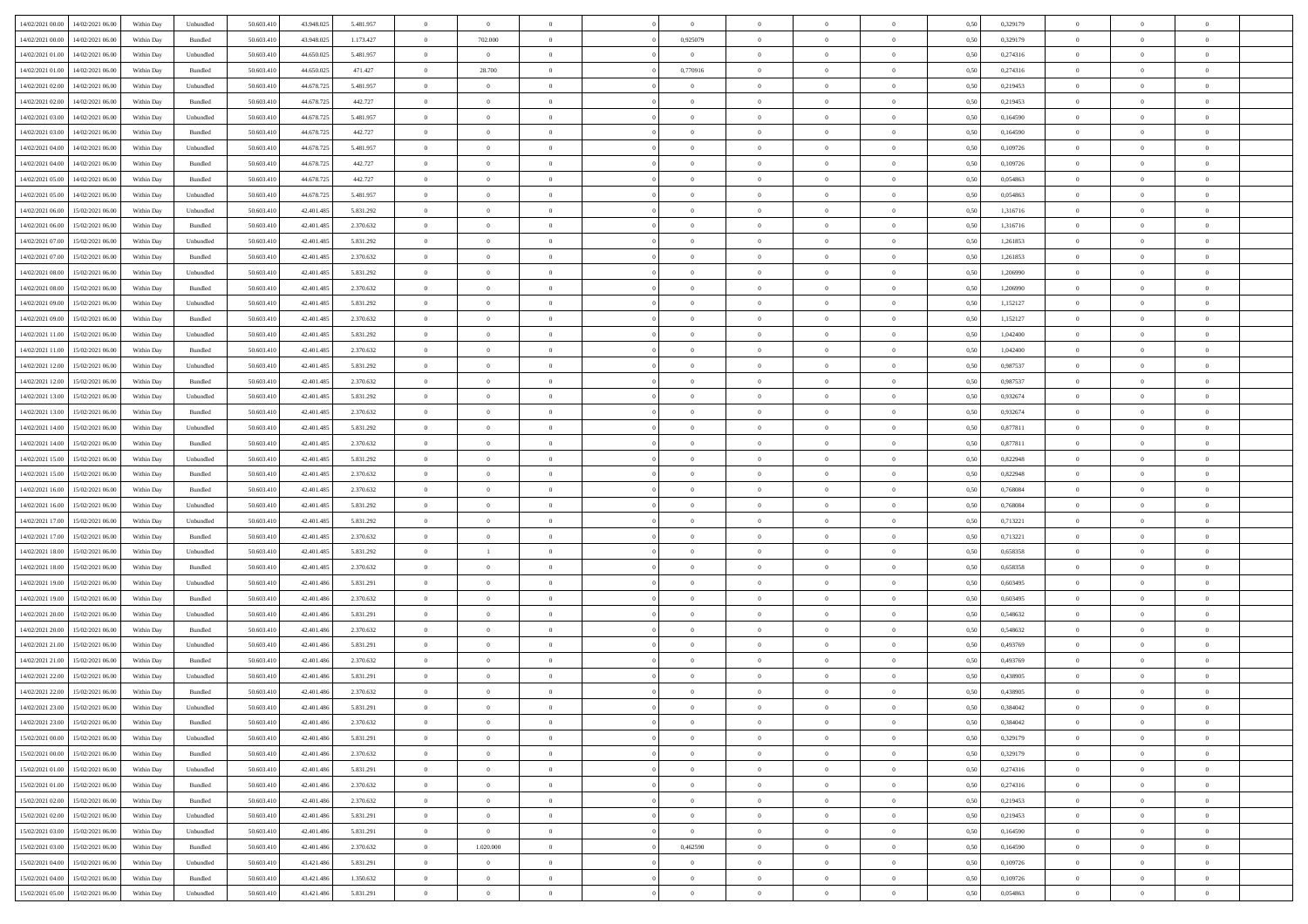|                  | 14/02/2021 06:00 | Within Dav | Unbundled | 50.603.410 | 43.948.025 | 5.481.957 | $\theta$       | $\theta$       |                | $\Omega$       | $\Omega$       | $\Omega$       | $\theta$       | 0.50 | 0,329179 | $\theta$       | $\theta$       | $\theta$       |  |
|------------------|------------------|------------|-----------|------------|------------|-----------|----------------|----------------|----------------|----------------|----------------|----------------|----------------|------|----------|----------------|----------------|----------------|--|
| 14/02/2021 00:00 |                  |            |           |            |            |           |                |                |                |                |                |                |                |      |          |                |                |                |  |
| 14/02/2021 00:00 | 14/02/2021 06:00 | Within Day | Bundled   | 50.603.410 | 43.948.025 | 1.173.427 | $\overline{0}$ | 702.000        | $\overline{0}$ | 0,925079       | $\bf{0}$       | $\overline{0}$ | $\overline{0}$ | 0,50 | 0,329179 | $\theta$       | $\theta$       | $\overline{0}$ |  |
| 14/02/2021 01:00 | 14/02/2021 06:00 | Within Day | Unbundled | 50.603.410 | 44.650.025 | 5.481.957 | $\overline{0}$ | $\bf{0}$       | $\overline{0}$ | $\bf{0}$       | $\bf{0}$       | $\bf{0}$       | $\mathbf{0}$   | 0,50 | 0,274316 | $\overline{0}$ | $\overline{0}$ | $\overline{0}$ |  |
| 14/02/2021 01:00 | 14/02/2021 06:00 | Within Dav | Bundled   | 50.603.410 | 44.650.025 | 471.427   | $\overline{0}$ | 28.700         | $\overline{0}$ | 0,770916       | $\bf{0}$       | $\overline{0}$ | $\overline{0}$ | 0.50 | 0,274316 | $\theta$       | $\theta$       | $\overline{0}$ |  |
|                  |                  |            |           |            |            |           |                |                |                |                |                |                |                |      |          |                |                |                |  |
| 14/02/2021 02:00 | 14/02/2021 06:00 | Within Day | Unbundled | 50.603.410 | 44.678.725 | 5.481.957 | $\overline{0}$ | $\theta$       | $\overline{0}$ | $\overline{0}$ | $\bf{0}$       | $\overline{0}$ | $\bf{0}$       | 0,50 | 0,219453 | $\theta$       | $\overline{0}$ | $\overline{0}$ |  |
| 14/02/2021 02:00 | 14/02/2021 06:00 | Within Day | Bundled   | 50.603.410 | 44.678.725 | 442.727   | $\overline{0}$ | $\bf{0}$       | $\overline{0}$ | $\overline{0}$ | $\overline{0}$ | $\overline{0}$ | $\mathbf{0}$   | 0,50 | 0,219453 | $\overline{0}$ | $\overline{0}$ | $\bf{0}$       |  |
| 14/02/2021 03:00 | 14/02/2021 06:00 | Within Dav | Unbundled | 50.603.410 | 44.678.725 | 5.481.957 | $\overline{0}$ | $\overline{0}$ | $\overline{0}$ | $\overline{0}$ | $\overline{0}$ | $\overline{0}$ | $\overline{0}$ | 0.50 | 0,164590 | $\theta$       | $\overline{0}$ | $\overline{0}$ |  |
| 14/02/2021 03:00 | 14/02/2021 06:00 | Within Day | Bundled   | 50.603.410 | 44.678.725 | 442.727   | $\overline{0}$ | $\theta$       | $\overline{0}$ | $\overline{0}$ | $\bf{0}$       | $\overline{0}$ | $\bf{0}$       | 0,50 | 0,164590 | $\theta$       | $\theta$       | $\overline{0}$ |  |
| 14/02/2021 04:00 | 14/02/2021 06:00 | Within Day | Unbundled | 50.603.410 | 44.678.725 | 5.481.957 | $\overline{0}$ | $\overline{0}$ | $\overline{0}$ | $\bf{0}$       | $\bf{0}$       | $\overline{0}$ | $\bf{0}$       | 0,50 | 0,109726 | $\,0\,$        | $\overline{0}$ | $\overline{0}$ |  |
|                  |                  |            |           |            |            |           |                |                |                |                |                |                |                |      |          |                |                |                |  |
| 14/02/2021 04:00 | 14/02/2021 06:00 | Within Dav | Bundled   | 50.603.410 | 44.678.725 | 442.727   | $\overline{0}$ | $\overline{0}$ | $\overline{0}$ | $\overline{0}$ | $\overline{0}$ | $\overline{0}$ | $\overline{0}$ | 0.50 | 0,109726 | $\theta$       | $\overline{0}$ | $\overline{0}$ |  |
| 14/02/2021 05:00 | 14/02/2021 06:00 | Within Day | Bundled   | 50.603.410 | 44.678.725 | 442.727   | $\overline{0}$ | $\theta$       | $\overline{0}$ | $\overline{0}$ | $\bf{0}$       | $\overline{0}$ | $\bf{0}$       | 0,50 | 0,054863 | $\theta$       | $\theta$       | $\overline{0}$ |  |
| 14/02/2021 05:00 | 14/02/2021 06:00 | Within Day | Unbundled | 50.603.410 | 44.678.725 | 5.481.957 | $\overline{0}$ | $\overline{0}$ | $\overline{0}$ | $\overline{0}$ | $\bf{0}$       | $\overline{0}$ | $\mathbf{0}$   | 0,50 | 0,054863 | $\overline{0}$ | $\overline{0}$ | $\overline{0}$ |  |
| 14/02/2021 06:00 | 15/02/2021 06:00 | Within Day | Unbundled | 50.603.410 | 42.401.485 | 5.831.292 | $\overline{0}$ | $\overline{0}$ | $\overline{0}$ | $\overline{0}$ | $\overline{0}$ | $\overline{0}$ | $\overline{0}$ | 0.50 | 1,316716 | $\theta$       | $\theta$       | $\overline{0}$ |  |
| 14/02/2021 06:00 | 15/02/2021 06:00 | Within Day | Bundled   | 50.603.410 | 42.401.485 | 2.370.632 | $\overline{0}$ | $\theta$       | $\overline{0}$ | $\overline{0}$ | $\bf{0}$       | $\overline{0}$ | $\bf{0}$       | 0,50 | 1,316716 | $\theta$       | $\overline{0}$ | $\overline{0}$ |  |
|                  |                  |            |           |            |            |           |                |                |                |                |                |                |                |      |          |                |                |                |  |
| 14/02/2021 07:00 | 15/02/2021 06:00 | Within Day | Unbundled | 50.603.410 | 42.401.485 | 5.831.292 | $\overline{0}$ | $\overline{0}$ | $\overline{0}$ | $\overline{0}$ | $\overline{0}$ | $\overline{0}$ | $\mathbf{0}$   | 0,50 | 1,261853 | $\overline{0}$ | $\overline{0}$ | $\bf{0}$       |  |
| 14/02/2021 07:00 | 15/02/2021 06:00 | Within Dav | Bundled   | 50.603.410 | 42.401.485 | 2.370.632 | $\overline{0}$ | $\overline{0}$ | $\overline{0}$ | $\overline{0}$ | $\overline{0}$ | $\overline{0}$ | $\overline{0}$ | 0.50 | 1,261853 | $\theta$       | $\overline{0}$ | $\overline{0}$ |  |
| 14/02/2021 08:00 | 15/02/2021 06:00 | Within Day | Unbundled | 50.603.410 | 42.401.485 | 5.831.292 | $\overline{0}$ | $\theta$       | $\overline{0}$ | $\overline{0}$ | $\bf{0}$       | $\overline{0}$ | $\bf{0}$       | 0,50 | 1,206990 | $\theta$       | $\theta$       | $\overline{0}$ |  |
| 14/02/2021 08:00 | 15/02/2021 06:00 | Within Day | Bundled   | 50.603.410 | 42.401.485 | 2.370.632 | $\overline{0}$ | $\overline{0}$ | $\overline{0}$ | $\bf{0}$       | $\bf{0}$       | $\overline{0}$ | $\mathbf{0}$   | 0,50 | 1,206990 | $\,0\,$        | $\overline{0}$ | $\overline{0}$ |  |
| 14/02/2021 09:00 | 15/02/2021 06:00 | Within Day | Unbundled | 50.603.410 | 42.401.485 | 5.831.292 | $\overline{0}$ | $\overline{0}$ | $\overline{0}$ | $\overline{0}$ | $\overline{0}$ | $\overline{0}$ | $\overline{0}$ | 0.50 | 1,152127 | $\theta$       | $\overline{0}$ | $\overline{0}$ |  |
|                  |                  |            |           |            |            |           |                |                |                |                |                |                |                |      |          |                |                |                |  |
| 14/02/2021 09:00 | 15/02/2021 06:00 | Within Day | Bundled   | 50.603.410 | 42.401.485 | 2.370.632 | $\overline{0}$ | $\theta$       | $\overline{0}$ | $\overline{0}$ | $\bf{0}$       | $\overline{0}$ | $\bf{0}$       | 0,50 | 1,152127 | $\,$ 0 $\,$    | $\theta$       | $\overline{0}$ |  |
| 14/02/2021 11:00 | 15/02/2021 06:00 | Within Day | Unbundled | 50.603.410 | 42.401.485 | 5.831.292 | $\overline{0}$ | $\overline{0}$ | $\overline{0}$ | $\bf{0}$       | $\bf{0}$       | $\overline{0}$ | $\bf{0}$       | 0,50 | 1,042400 | $\bf{0}$       | $\overline{0}$ | $\overline{0}$ |  |
| 14/02/2021 11:00 | 15/02/2021 06:00 | Within Day | Bundled   | 50.603.410 | 42.401.485 | 2.370.632 | $\overline{0}$ | $\overline{0}$ | $\overline{0}$ | $\overline{0}$ | $\overline{0}$ | $\overline{0}$ | $\overline{0}$ | 0.50 | 1.042400 | $\theta$       | $\theta$       | $\overline{0}$ |  |
| 14/02/2021 12:00 | 15/02/2021 06:00 | Within Day | Unbundled | 50.603.410 | 42.401.485 | 5.831.292 | $\overline{0}$ | $\theta$       | $\overline{0}$ | $\overline{0}$ | $\bf{0}$       | $\overline{0}$ | $\bf{0}$       | 0,50 | 0,987537 | $\theta$       | $\overline{0}$ | $\overline{0}$ |  |
| 14/02/2021 12:00 | 15/02/2021 06:00 | Within Day | Bundled   | 50.603.410 | 42.401.485 | 2.370.632 | $\overline{0}$ | $\bf{0}$       | $\overline{0}$ | $\overline{0}$ | $\overline{0}$ | $\overline{0}$ | $\mathbf{0}$   | 0,50 | 0,987537 | $\bf{0}$       | $\overline{0}$ | $\bf{0}$       |  |
|                  |                  |            |           |            |            |           |                |                |                |                |                |                |                |      |          |                |                |                |  |
| 14/02/2021 13:00 | 15/02/2021 06:00 | Within Dav | Unbundled | 50.603.410 | 42.401.485 | 5.831.292 | $\overline{0}$ | $\overline{0}$ | $\overline{0}$ | $\overline{0}$ | $\overline{0}$ | $\overline{0}$ | $\overline{0}$ | 0.50 | 0,932674 | $\theta$       | $\overline{0}$ | $\overline{0}$ |  |
| 14/02/2021 13:00 | 15/02/2021 06:00 | Within Day | Bundled   | 50.603.410 | 42.401.485 | 2.370.632 | $\overline{0}$ | $\theta$       | $\overline{0}$ | $\overline{0}$ | $\bf{0}$       | $\overline{0}$ | $\bf{0}$       | 0,50 | 0,932674 | $\theta$       | $\theta$       | $\overline{0}$ |  |
| 14/02/2021 14:00 | 15/02/2021 06:00 | Within Day | Unbundled | 50.603.410 | 42.401.485 | 5.831.292 | $\bf{0}$       | $\overline{0}$ | $\overline{0}$ | $\bf{0}$       | $\bf{0}$       | $\overline{0}$ | $\bf{0}$       | 0,50 | 0,877811 | $\,0\,$        | $\overline{0}$ | $\overline{0}$ |  |
| 14/02/2021 14:00 | 15/02/2021 06:00 | Within Day | Bundled   | 50.603.410 | 42.401.485 | 2.370.632 | $\overline{0}$ | $\overline{0}$ | $\overline{0}$ | $\overline{0}$ | $\overline{0}$ | $\overline{0}$ | $\overline{0}$ | 0.50 | 0,877811 | $\theta$       | $\overline{0}$ | $\overline{0}$ |  |
| 14/02/2021 15:00 | 15/02/2021 06:00 | Within Day | Unbundled | 50.603.410 | 42.401.485 | 5.831.292 | $\overline{0}$ | $\theta$       | $\overline{0}$ | $\overline{0}$ | $\bf{0}$       | $\overline{0}$ | $\bf{0}$       | 0,50 | 0,822948 | $\,$ 0 $\,$    | $\theta$       | $\overline{0}$ |  |
|                  |                  |            |           |            |            |           |                |                |                |                |                |                |                |      |          |                |                |                |  |
| 14/02/2021 15:00 | 15/02/2021 06:00 | Within Day | Bundled   | 50.603.410 | 42.401.485 | 2.370.632 | $\overline{0}$ | $\overline{0}$ | $\overline{0}$ | $\bf{0}$       | $\bf{0}$       | $\bf{0}$       | $\bf{0}$       | 0,50 | 0,822948 | $\bf{0}$       | $\overline{0}$ | $\overline{0}$ |  |
| 14/02/2021 16:00 | 15/02/2021 06:00 | Within Day | Bundled   | 50.603.410 | 42.401.485 | 2.370.632 | $\overline{0}$ | $\Omega$       | $\overline{0}$ | $\Omega$       | $\overline{0}$ | $\overline{0}$ | $\overline{0}$ | 0.50 | 0.768084 | $\,0\,$        | $\theta$       | $\theta$       |  |
| 14/02/2021 16:00 | 15/02/2021 06:00 | Within Day | Unbundled | 50.603.410 | 42.401.485 | 5.831.292 | $\overline{0}$ | $\theta$       | $\overline{0}$ | $\overline{0}$ | $\bf{0}$       | $\overline{0}$ | $\bf{0}$       | 0,50 | 0,768084 | $\theta$       | $\overline{0}$ | $\overline{0}$ |  |
| 14/02/2021 17:00 | 15/02/2021 06:00 | Within Day | Unbundled | 50.603.410 | 42.401.485 | 5.831.292 | $\overline{0}$ | $\bf{0}$       | $\overline{0}$ | $\bf{0}$       | $\bf{0}$       | $\overline{0}$ | $\mathbf{0}$   | 0,50 | 0,713221 | $\overline{0}$ | $\overline{0}$ | $\bf{0}$       |  |
| 14/02/2021 17:00 | 15/02/2021 06:00 | Within Day | Bundled   | 50,603.41  | 42.401.485 | 2.370.632 | $\overline{0}$ | $\overline{0}$ | $\Omega$       | $\Omega$       | $\overline{0}$ | $\overline{0}$ | $\overline{0}$ | 0.50 | 0,713221 | $\,0\,$        | $\theta$       | $\theta$       |  |
|                  |                  |            |           |            |            |           |                |                |                |                |                |                |                |      |          |                |                |                |  |
| 14/02/2021 18:00 | 15/02/2021 06:00 | Within Day | Unbundled | 50.603.410 | 42.401.485 | 5.831.292 | $\overline{0}$ | <sup>1</sup>   | $\overline{0}$ | $\overline{0}$ | $\bf{0}$       | $\overline{0}$ | $\bf{0}$       | 0,50 | 0,658358 | $\theta$       | $\theta$       | $\overline{0}$ |  |
| 14/02/2021 18:00 | 15/02/2021 06:00 | Within Day | Bundled   | 50.603.410 | 42.401.485 | 2.370.632 | $\overline{0}$ | $\overline{0}$ | $\overline{0}$ | $\bf{0}$       | $\bf{0}$       | $\bf{0}$       | $\bf{0}$       | 0,50 | 0,658358 | $\,0\,$        | $\overline{0}$ | $\overline{0}$ |  |
| 14/02/2021 19:00 | 15/02/2021 06:00 | Within Day | Unbundled | 50,603.41  | 42,401,486 | 5.831.291 | $\overline{0}$ | $\Omega$       | $\overline{0}$ | $\Omega$       | $\overline{0}$ | $\overline{0}$ | $\overline{0}$ | 0.50 | 0.603495 | $\,$ 0 $\,$    | $\theta$       | $\theta$       |  |
| 14/02/2021 19:00 | 15/02/2021 06:00 | Within Day | Bundled   | 50.603.410 | 42.401.486 | 2.370.632 | $\overline{0}$ | $\theta$       | $\overline{0}$ | $\overline{0}$ | $\bf{0}$       | $\overline{0}$ | $\bf{0}$       | 0,50 | 0,603495 | $\,$ 0 $\,$    | $\overline{0}$ | $\overline{0}$ |  |
| 14/02/2021 20:00 | 15/02/2021 06:00 | Within Day | Unbundled | 50.603.410 | 42.401.486 | 5.831.291 | $\overline{0}$ | $\overline{0}$ | $\overline{0}$ | $\bf{0}$       | $\bf{0}$       | $\bf{0}$       | $\bf{0}$       | 0,50 | 0,548632 | $\bf{0}$       | $\overline{0}$ | $\overline{0}$ |  |
|                  |                  |            |           |            |            |           | $\overline{0}$ | $\Omega$       | $\overline{0}$ | $\Omega$       | $\bf{0}$       | $\overline{0}$ | $\overline{0}$ | 0.50 |          | $\,0\,$        | $\theta$       | $\theta$       |  |
| 14/02/2021 20:00 | 15/02/2021 06:00 | Within Day | Bundled   | 50.603.410 | 42.401.486 | 2.370.632 |                |                |                |                |                |                |                |      | 0,548632 |                |                |                |  |
| 14/02/2021 21:00 | 15/02/2021 06:00 | Within Day | Unbundled | 50.603.410 | 42.401.486 | 5.831.291 | $\overline{0}$ | $\theta$       | $\overline{0}$ | $\overline{0}$ | $\bf{0}$       | $\overline{0}$ | $\bf{0}$       | 0,50 | 0,493769 | $\,$ 0 $\,$    | $\overline{0}$ | $\overline{0}$ |  |
| 14/02/2021 21.00 | 15/02/2021 06:00 | Within Day | Bundled   | 50.603.410 | 42.401.486 | 2.370.632 | $\overline{0}$ | $\overline{0}$ | $\overline{0}$ | $\overline{0}$ | $\bf{0}$       | $\bf{0}$       | $\mathbf{0}$   | 0,50 | 0,493769 | $\overline{0}$ | $\overline{0}$ | $\bf{0}$       |  |
| 14/02/2021 22.00 | 15/02/2021 06:00 | Within Day | Unbundled | 50,603.41  | 42.401.48  | 5.831.291 | $\overline{0}$ | $\Omega$       | $\Omega$       | $\Omega$       | $\Omega$       | $\overline{0}$ | $\overline{0}$ | 0.50 | 0.438905 | $\theta$       | $\theta$       | $\theta$       |  |
| 14/02/2021 22.00 | 15/02/2021 06:00 | Within Day | Bundled   | 50.603.410 | 42.401.486 | 2.370.632 | $\overline{0}$ | $\overline{0}$ | $\overline{0}$ | $\overline{0}$ | $\,$ 0         | $\overline{0}$ | $\bf{0}$       | 0,50 | 0,438905 | $\,0\,$        | $\,$ 0 $\,$    | $\overline{0}$ |  |
| 14/02/2021 23:00 | 15/02/2021 06:00 | Within Day | Unbundled | 50.603.410 | 42.401.486 | 5.831.291 | $\bf{0}$       | $\bf{0}$       |                |                |                |                |                | 0,50 | 0,384042 | $\bf{0}$       | $\overline{0}$ |                |  |
|                  |                  |            |           |            |            |           |                |                |                |                |                |                |                |      |          |                |                |                |  |
| 14/02/2021 23:00 | 15/02/2021 06:00 | Within Day | Bundled   | 50.603.410 | 42,401,486 | 2.370.632 | $\overline{0}$ | $\theta$       | $\Omega$       | $\Omega$       | $\theta$       | $\overline{0}$ | $\overline{0}$ | 0.50 | 0.384042 | $\theta$       | $\theta$       | $\theta$       |  |
| 15/02/2021 00:00 | 15/02/2021 06:00 | Within Day | Unbundled | 50.603.410 | 42.401.486 | 5.831.291 | $\overline{0}$ | $\,$ 0         | $\overline{0}$ | $\overline{0}$ | $\,$ 0 $\,$    | $\overline{0}$ | $\mathbf{0}$   | 0,50 | 0,329179 | $\,$ 0 $\,$    | $\,$ 0 $\,$    | $\bf{0}$       |  |
| 15/02/2021 00:00 | 15/02/2021 06:00 | Within Day | Bundled   | 50.603.410 | 42.401.486 | 2.370.632 | $\overline{0}$ | $\overline{0}$ | $\overline{0}$ | $\overline{0}$ | $\overline{0}$ | $\overline{0}$ | $\mathbf{0}$   | 0,50 | 0,329179 | $\overline{0}$ | $\bf{0}$       | $\bf{0}$       |  |
| 15/02/2021 01:00 | 15/02/2021 06:00 | Within Day | Unbundled | 50.603.410 | 42.401.486 | 5.831.291 | $\overline{0}$ | $\overline{0}$ | $\overline{0}$ | $\Omega$       | $\theta$       | $\overline{0}$ | $\bf{0}$       | 0.50 | 0,274316 | $\bf{0}$       | $\theta$       | $\overline{0}$ |  |
| 15/02/2021 01:00 | 15/02/2021 06:00 | Within Day | Bundled   | 50.603.410 | 42.401.486 | 2.370.632 | $\overline{0}$ | $\overline{0}$ | $\overline{0}$ | $\overline{0}$ | $\,$ 0 $\,$    | $\overline{0}$ | $\bf{0}$       | 0,50 | 0,274316 | $\,$ 0 $\,$    | $\overline{0}$ | $\overline{0}$ |  |
|                  |                  |            |           |            |            |           |                |                |                |                |                |                |                |      |          |                |                |                |  |
| 15/02/2021 02:00 | 15/02/2021 06:00 | Within Day | Bundled   | 50.603.410 | 42.401.486 | 2.370.632 | $\overline{0}$ | $\overline{0}$ | $\overline{0}$ | $\overline{0}$ | $\overline{0}$ | $\overline{0}$ | $\mathbf{0}$   | 0,50 | 0,219453 | $\overline{0}$ | $\bf{0}$       | $\bf{0}$       |  |
| 15/02/2021 02:00 | 15/02/2021 06:00 | Within Day | Unbundled | 50.603.410 | 42.401.486 | 5.831.291 | $\overline{0}$ | $\overline{0}$ | $\overline{0}$ | $\Omega$       | $\overline{0}$ | $\overline{0}$ | $\bf{0}$       | 0.50 | 0,219453 | $\overline{0}$ | $\theta$       | $\overline{0}$ |  |
| 15/02/2021 03:00 | 15/02/2021 06:00 | Within Day | Unbundled | 50.603.410 | 42.401.486 | 5.831.291 | $\overline{0}$ | $\bf{0}$       | $\overline{0}$ | $\bf{0}$       | $\,$ 0         | $\bf{0}$       | $\bf{0}$       | 0,50 | 0,164590 | $\,$ 0 $\,$    | $\overline{0}$ | $\overline{0}$ |  |
| 15/02/2021 03:00 | 15/02/2021 06:00 | Within Day | Bundled   | 50.603.410 | 42.401.486 | 2.370.632 | $\overline{0}$ | 1.020.000      | $\overline{0}$ | 0,462590       | $\overline{0}$ | $\bf{0}$       | $\mathbf{0}$   | 0,50 | 0,164590 | $\overline{0}$ | $\overline{0}$ | $\bf{0}$       |  |
| 15/02/2021 04:00 | 15/02/2021 06:00 | Within Day | Unbundled | 50.603.410 | 43.421.486 | 5.831.291 | $\overline{0}$ | $\overline{0}$ | $\overline{0}$ | $\Omega$       | $\overline{0}$ | $\overline{0}$ | $\overline{0}$ | 0.50 | 0,109726 | $\overline{0}$ | $\theta$       | $\overline{0}$ |  |
| 15/02/2021 04:00 | 15/02/2021 06:00 | Within Day | Bundled   | 50.603.410 | 43.421.486 | 1.350.632 | $\overline{0}$ | $\bf{0}$       | $\overline{0}$ | $\overline{0}$ | $\bf{0}$       | $\bf{0}$       | $\mathbf{0}$   | 0,50 | 0,109726 | $\,$ 0 $\,$    | $\,$ 0 $\,$    | $\bf{0}$       |  |
|                  |                  |            |           |            |            |           |                |                |                |                |                |                |                |      |          |                |                |                |  |
| 15/02/2021 05:00 | 15/02/2021 06:00 | Within Day | Unbundled | 50.603.410 | 43.421.486 | 5.831.291 | $\overline{0}$ | $\overline{0}$ | $\overline{0}$ | $\overline{0}$ | $\bf{0}$       | $\bf{0}$       | $\mathbf{0}$   | 0,50 | 0,054863 | $\overline{0}$ | $\bf{0}$       | $\bf{0}$       |  |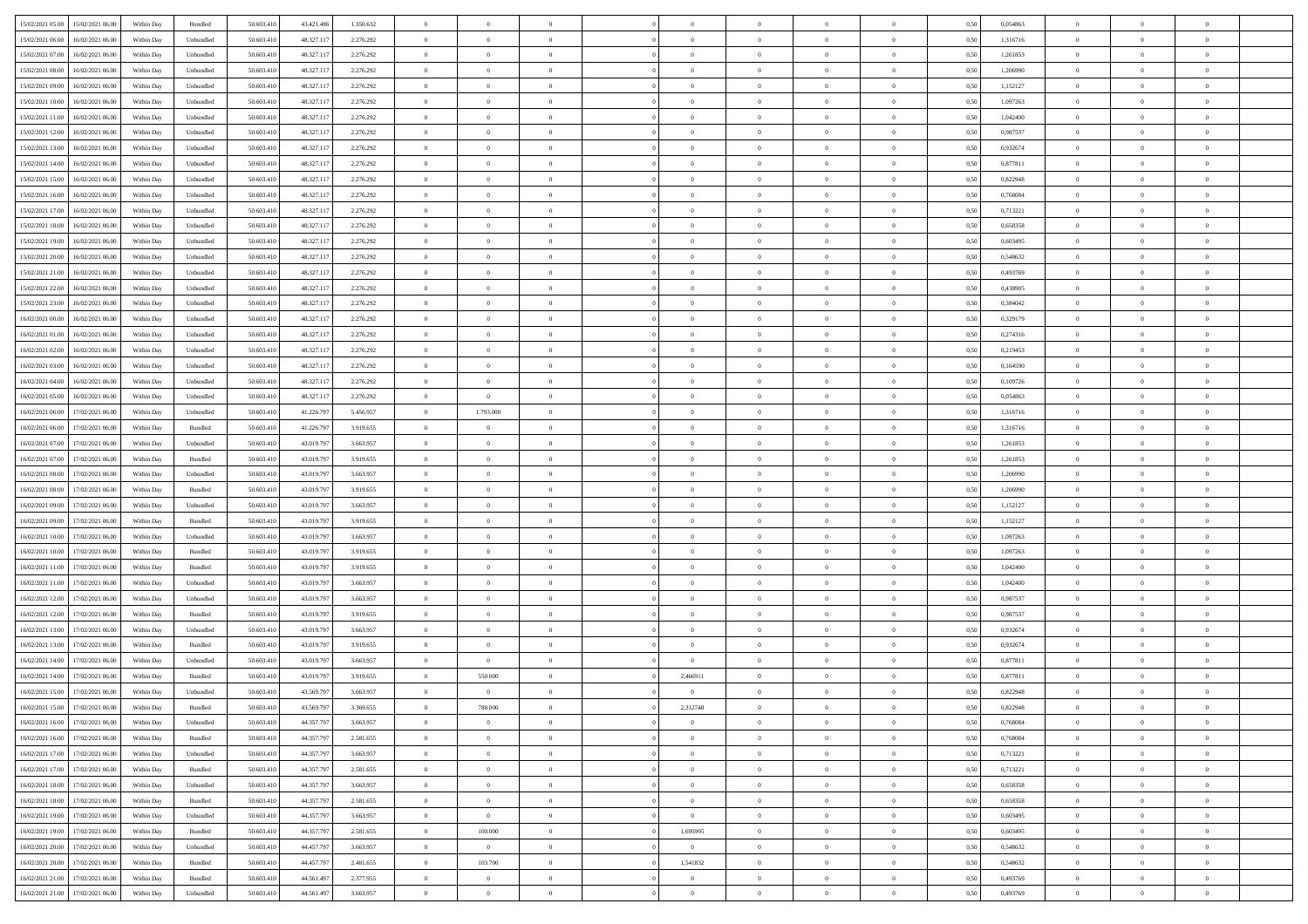|                                            |            |           |            |            |           | $\overline{0}$ | $\overline{0}$ |                | $\overline{0}$ | $\theta$       |                | $\theta$       |      |          | $\theta$       | $\theta$       | $\overline{0}$ |  |
|--------------------------------------------|------------|-----------|------------|------------|-----------|----------------|----------------|----------------|----------------|----------------|----------------|----------------|------|----------|----------------|----------------|----------------|--|
| 15/02/2021 05:00<br>15/02/2021 06:00       | Within Day | Bundled   | 50.603.410 | 43.421.486 | 1.350.632 |                |                |                |                |                |                |                | 0,50 | 0,054863 |                |                |                |  |
| 15/02/2021 06:00<br>16/02/2021 06:00       | Within Day | Unbundled | 50.603.41  | 48.327.117 | 2.276.292 | $\bf{0}$       | $\bf{0}$       | $\bf{0}$       | $\bf{0}$       | $\overline{0}$ | $\overline{0}$ | $\bf{0}$       | 0,50 | 1,316716 | $\,$ 0 $\,$    | $\bf{0}$       | $\overline{0}$ |  |
| 15/02/2021 07:00<br>16/02/2021 06:00       | Within Day | Unbundled | 50.603.41  | 48.327.117 | 2.276.292 | $\overline{0}$ | $\bf{0}$       | $\overline{0}$ | $\bf{0}$       | $\bf{0}$       | $\overline{0}$ | $\bf{0}$       | 0.50 | 1,261853 | $\bf{0}$       | $\overline{0}$ | $\bf{0}$       |  |
| 15/02/2021 08:00<br>16/02/2021 06:00       | Within Day | Unbundled | 50.603.41  | 48.327.117 | 2.276.292 | $\overline{0}$ | $\overline{0}$ | $\overline{0}$ | $\theta$       | $\theta$       | $\overline{0}$ | $\bf{0}$       | 0,50 | 1,206990 | $\theta$       | $\theta$       | $\overline{0}$ |  |
| 15/02/2021 09:00<br>16/02/2021 06:00       | Within Day | Unbundled | 50.603.41  | 48.327.117 | 2.276.292 | $\bf{0}$       | $\overline{0}$ | $\bf{0}$       | $\overline{0}$ | $\bf{0}$       | $\overline{0}$ | $\bf{0}$       | 0,50 | 1,152127 | $\,$ 0 $\,$    | $\bf{0}$       | $\overline{0}$ |  |
| 15/02/2021 10:00<br>16/02/2021 06:00       |            | Unbundled | 50.603.41  | 48.327.117 | 2.276.292 | $\overline{0}$ | $\bf{0}$       | $\overline{0}$ | $\bf{0}$       | $\overline{0}$ | $\theta$       | $\bf{0}$       | 0.50 | 1.097263 | $\,$ 0 $\,$    | $\theta$       | $\overline{0}$ |  |
|                                            | Within Day |           |            |            |           |                |                |                |                |                |                |                |      |          |                |                |                |  |
| 15/02/2021 11:00<br>16/02/2021 06:00       | Within Day | Unbundled | 50.603.41  | 48.327.117 | 2.276.292 | $\overline{0}$ | $\overline{0}$ | $\overline{0}$ | $\overline{0}$ | $\overline{0}$ | $\overline{0}$ | $\bf{0}$       | 0,50 | 1,042400 | $\,$ 0 $\,$    | $\theta$       | $\overline{0}$ |  |
| 15/02/2021 12:00<br>16/02/2021 06:00       | Within Day | Unbundled | 50.603.41  | 48.327.11  | 2.276.292 | $\bf{0}$       | $\bf{0}$       | $\bf{0}$       | $\overline{0}$ | $\overline{0}$ | $\overline{0}$ | $\bf{0}$       | 0,50 | 0,987537 | $\,$ 0 $\,$    | $\bf{0}$       | $\overline{0}$ |  |
| 15/02/2021 13:00<br>16/02/2021 06:00       | Within Day | Unbundled | 50.603.41  | 48.327.117 | 2.276.292 | $\overline{0}$ | $\bf{0}$       | $\overline{0}$ | $\bf{0}$       | $\overline{0}$ | $\overline{0}$ | $\bf{0}$       | 0.50 | 0.932674 | $\bf{0}$       | $\overline{0}$ | $\overline{0}$ |  |
| 15/02/2021 14:00<br>16/02/2021 06:00       | Within Day | Unbundled | 50.603.410 | 48.327.117 | 2.276.292 | $\bf{0}$       | $\bf{0}$       | $\overline{0}$ | $\overline{0}$ | $\overline{0}$ | $\overline{0}$ | $\bf{0}$       | 0,50 | 0,877811 | $\,$ 0 $\,$    | $\bf{0}$       | $\overline{0}$ |  |
| 15/02/2021 15:00<br>16/02/2021 06:00       | Within Day | Unbundled | 50.603.41  | 48.327.117 | 2.276.292 | $\bf{0}$       | $\bf{0}$       | $\bf{0}$       | $\bf{0}$       | $\overline{0}$ | $\overline{0}$ | $\bf{0}$       | 0,50 | 0,822948 | $\,$ 0 $\,$    | $\bf{0}$       | $\overline{0}$ |  |
| 15/02/2021 16:00<br>16/02/2021 06:00       | Within Day | Unbundled | 50.603.41  | 48.327.117 | 2.276.292 | $\overline{0}$ | $\bf{0}$       | $\overline{0}$ | $\overline{0}$ | $\bf{0}$       | $\overline{0}$ | $\bf{0}$       | 0.50 | 0.768084 | $\bf{0}$       | $\overline{0}$ | $\,$ 0         |  |
| 15/02/2021 17:00<br>16/02/2021 06:00       | Within Day | Unbundled | 50.603.41  | 48.327.117 | 2.276.292 | $\overline{0}$ | $\overline{0}$ | $\overline{0}$ | $\theta$       | $\theta$       | $\overline{0}$ | $\bf{0}$       | 0,50 | 0,713221 | $\,$ 0 $\,$    | $\theta$       | $\overline{0}$ |  |
|                                            |            |           |            |            |           |                |                |                |                |                |                |                |      |          |                |                |                |  |
| 15/02/2021 18:00<br>16/02/2021 06:00       | Within Day | Unbundled | 50.603.41  | 48.327.11  | 2.276.292 | $\bf{0}$       | $\overline{0}$ | $\bf{0}$       | $\bf{0}$       | $\bf{0}$       | $\overline{0}$ | $\bf{0}$       | 0,50 | 0,658358 | $\,$ 0 $\,$    | $\bf{0}$       | $\overline{0}$ |  |
| 15/02/2021 19:00<br>16/02/2021 06:00       | Within Day | Unbundled | 50.603.41  | 48.327.117 | 2.276.292 | $\overline{0}$ | $\bf{0}$       | $\overline{0}$ | $\bf{0}$       | $\overline{0}$ | $\theta$       | $\bf{0}$       | 0.50 | 0.603495 | $\,$ 0 $\,$    | $\theta$       | $\overline{0}$ |  |
| 15/02/2021 20:00<br>16/02/2021 06:00       | Within Day | Unbundled | 50.603.410 | 48.327.117 | 2.276.292 | $\overline{0}$ | $\overline{0}$ | $\overline{0}$ | $\overline{0}$ | $\overline{0}$ | $\overline{0}$ | $\bf{0}$       | 0,50 | 0,548632 | $\theta$       | $\theta$       | $\overline{0}$ |  |
| 15/02/2021 21:00<br>16/02/2021 06:00       | Within Day | Unbundled | 50.603.41  | 48.327.117 | 2.276.292 | $\bf{0}$       | $\bf{0}$       | $\bf{0}$       | $\overline{0}$ | $\overline{0}$ | $\overline{0}$ | $\bf{0}$       | 0,50 | 0,493769 | $\,$ 0 $\,$    | $\bf{0}$       | $\overline{0}$ |  |
| 15/02/2021 22:00<br>16/02/2021 06:00       | Within Day | Unbundled | 50.603.41  | 48.327.11  | 2.276.292 | $\overline{0}$ | $\bf{0}$       | $\overline{0}$ | $\bf{0}$       | $\overline{0}$ | $\overline{0}$ | $\bf{0}$       | 0.50 | 0.438905 | $\bf{0}$       | $\overline{0}$ | $\bf{0}$       |  |
| 15/02/2021 23:00<br>16/02/2021 06:00       | Within Day | Unbundled | 50.603.410 | 48.327.117 | 2.276.292 | $\bf{0}$       | $\bf{0}$       | $\overline{0}$ | $\overline{0}$ | $\overline{0}$ | $\overline{0}$ | $\bf{0}$       | 0,50 | 0,384042 | $\,$ 0 $\,$    | $\bf{0}$       | $\overline{0}$ |  |
| 16/02/2021 00:00<br>16/02/2021 06:00       | Within Day | Unbundled | 50.603.41  | 48.327.117 | 2.276.292 | $\bf{0}$       | $\bf{0}$       | $\bf{0}$       | $\bf{0}$       | $\overline{0}$ | $\overline{0}$ | $\bf{0}$       | 0,50 | 0,329179 | $\,$ 0 $\,$    | $\bf{0}$       | $\overline{0}$ |  |
| 16/02/2021 01:00<br>16/02/2021 06:00       | Within Day | Unbundled | 50.603.41  | 48.327.117 |           | $\overline{0}$ | $\bf{0}$       | $\overline{0}$ | $\overline{0}$ | $\bf{0}$       | $\overline{0}$ | $\bf{0}$       | 0.50 | 0,274316 | $\bf{0}$       | $\overline{0}$ | $\,$ 0         |  |
|                                            |            |           |            |            | 2.276.292 | $\overline{0}$ | $\overline{0}$ |                |                |                |                |                |      |          | $\theta$       | $\theta$       |                |  |
| 16/02/2021 02:00<br>16/02/2021 06:00       | Within Day | Unbundled | 50.603.41  | 48.327.117 | 2.276.292 |                |                | $\overline{0}$ | $\overline{0}$ | $\theta$       | $\overline{0}$ | $\bf{0}$       | 0,50 | 0,219453 |                |                | $\overline{0}$ |  |
| 16/02/2021 03:00<br>16/02/2021 06:00       | Within Day | Unbundled | 50.603.41  | 48.327.11  | 2.276.292 | $\bf{0}$       | $\bf{0}$       | $\bf{0}$       | $\bf{0}$       | $\overline{0}$ | $\overline{0}$ | $\bf{0}$       | 0,50 | 0,164590 | $\,$ 0 $\,$    | $\bf{0}$       | $\overline{0}$ |  |
| 16/02/2021 04:00<br>16/02/2021 06:00       | Within Day | Unbundled | 50.603.41  | 48.327.11  | 2.276.292 | $\overline{0}$ | $\bf{0}$       | $\overline{0}$ | $\bf{0}$       | $\overline{0}$ | $\theta$       | $\bf{0}$       | 0.50 | 0.109726 | $\,$ 0 $\,$    | $\theta$       | $\overline{0}$ |  |
| 16/02/2021 05:00<br>16/02/2021 06:00       | Within Day | Unbundled | 50.603.410 | 48.327.117 | 2.276.292 | $\overline{0}$ | $\bf{0}$       | $\overline{0}$ | $\overline{0}$ | $\overline{0}$ | $\overline{0}$ | $\bf{0}$       | 0,50 | 0,054863 | $\,$ 0 $\,$    | $\theta$       | $\overline{0}$ |  |
| 16/02/2021 06:00<br>17/02/2021 06:00       | Within Day | Unbundled | 50.603.41  | 41.226.79  | 5.456.957 | $\bf{0}$       | 1.793.000      | $\bf{0}$       | $\overline{0}$ | $\bf{0}$       | $\overline{0}$ | $\bf{0}$       | 0,50 | 1,316716 | $\,$ 0 $\,$    | $\bf{0}$       | $\overline{0}$ |  |
| 16/02/2021 06:00<br>17/02/2021 06:00       | Within Day | Bundled   | 50.603.41  | 41.226.797 | 3.919.655 | $\overline{0}$ | $\bf{0}$       | $\overline{0}$ | $\bf{0}$       | $\overline{0}$ | $\overline{0}$ | $\bf{0}$       | 0.50 | 1.316716 | $\bf{0}$       | $\overline{0}$ | $\overline{0}$ |  |
| 16/02/2021 07:00<br>17/02/2021 06:00       | Within Day | Unbundled | 50.603.410 | 43.019.797 | 3.663.957 | $\overline{0}$ | $\bf{0}$       | $\overline{0}$ | $\overline{0}$ | $\overline{0}$ | $\overline{0}$ | $\bf{0}$       | 0,50 | 1,261853 | $\theta$       | $\theta$       | $\overline{0}$ |  |
| 16/02/2021 07:00<br>17/02/2021 06:00       | Within Day | Bundled   | 50.603.41  | 43.019.79  | 3.919.655 | $\bf{0}$       | $\bf{0}$       | $\bf{0}$       | $\bf{0}$       | $\overline{0}$ | $\overline{0}$ | $\bf{0}$       | 0,50 | 1,261853 | $\,$ 0 $\,$    | $\bf{0}$       | $\overline{0}$ |  |
| 16/02/2021 08:00<br>17/02/2021 06:00       | Within Day | Unbundled | 50.603.41  | 43,019,797 | 3.663.957 | $\overline{0}$ | $\bf{0}$       | $\overline{0}$ | $\bf{0}$       | $\bf{0}$       | $\overline{0}$ | $\bf{0}$       | 0.50 | 1.206990 | $\bf{0}$       | $\overline{0}$ | $\,$ 0         |  |
|                                            |            |           |            |            |           |                |                |                |                |                |                |                |      |          |                |                |                |  |
| 16/02/2021 08:00<br>17/02/2021 06:00       | Within Day | Bundled   | 50.603.41  | 43.019.797 | 3.919.655 | $\overline{0}$ | $\overline{0}$ | $\overline{0}$ | $\overline{0}$ | $\overline{0}$ | $\overline{0}$ | $\bf{0}$       | 0.5( | 1.206990 | $\theta$       | $\theta$       | $\overline{0}$ |  |
| 16/02/2021 09:00<br>17/02/2021 06:00       | Within Day | Unbundled | 50.603.41  | 43.019.79  | 3.663.957 | $\bf{0}$       | $\overline{0}$ | $\bf{0}$       | $\bf{0}$       | $\overline{0}$ | $\overline{0}$ | $\bf{0}$       | 0,50 | 1,152127 | $\,$ 0 $\,$    | $\bf{0}$       | $\overline{0}$ |  |
| 16/02/2021 09:00<br>17/02/2021 06:00       | Within Day | Bundled   | 50,603.41  | 43,019,797 | 3.919.655 | $\overline{0}$ | $\bf{0}$       | $\overline{0}$ | $\bf{0}$       | $\overline{0}$ | $\overline{0}$ | $\bf{0}$       | 0.50 | 1,152127 | $\,$ 0 $\,$    | $\bf{0}$       | $\overline{0}$ |  |
| 16/02/2021 10:00<br>17/02/2021 06:00       | Within Dav | Unbundled | 50.603.41  | 43.019.797 | 3.663.957 | $\overline{0}$ | $\overline{0}$ | $\overline{0}$ | $\overline{0}$ | $\overline{0}$ | $\overline{0}$ | $\bf{0}$       | 0.50 | 1,097263 | $\theta$       | $\theta$       | $\overline{0}$ |  |
| 16/02/2021 10:00<br>17/02/2021 06.00       | Within Day | Bundled   | 50.603.41  | 43.019.79  | 3.919.655 | $\bf{0}$       | $\bf{0}$       | $\bf{0}$       | $\bf{0}$       | $\overline{0}$ | $\overline{0}$ | $\bf{0}$       | 0,50 | 1,097263 | $\,$ 0 $\,$    | $\bf{0}$       | $\overline{0}$ |  |
| 16/02/2021 11:00<br>17/02/2021 06:00       | Within Day | Bundled   | 50,603.41  | 43.019.79  | 3.919.655 | $\overline{0}$ | $\bf{0}$       | $\overline{0}$ | $\bf{0}$       | $\overline{0}$ | $\overline{0}$ | $\bf{0}$       | 0.50 | 1.042400 | $\bf{0}$       | $\overline{0}$ | $\overline{0}$ |  |
| 16/02/2021 11:00<br>17/02/2021 06:00       | Within Dav | Unbundled | 50.603.41  | 43.019.797 | 3.663.957 | $\overline{0}$ | $\overline{0}$ | $\overline{0}$ | $\overline{0}$ | $\overline{0}$ | $\overline{0}$ | $\bf{0}$       | 0.50 | 1,042400 | $\theta$       | $\theta$       | $\overline{0}$ |  |
| 16/02/2021 12:00<br>17/02/2021 06:00       | Within Day | Unbundled | 50.603.41  | 43.019.79  | 3.663.957 | $\bf{0}$       | $\bf{0}$       | $\bf{0}$       | $\bf{0}$       | $\overline{0}$ | $\overline{0}$ | $\bf{0}$       | 0,50 | 0,987537 | $\,$ 0 $\,$    | $\bf{0}$       | $\overline{0}$ |  |
|                                            |            | Bundled   | 50.603.41  | 43,019,797 | 3.919.655 |                |                |                |                |                | $\overline{0}$ |                | 0.50 | 0.987537 |                |                | $\,$ 0         |  |
| 16/02/2021 12:00<br>17/02/2021 06:00       | Within Day |           |            |            |           | $\overline{0}$ | $\bf{0}$       | $\overline{0}$ | $\overline{0}$ | $\bf{0}$       |                | $\bf{0}$       |      |          | $\bf{0}$       | $\overline{0}$ |                |  |
| 16/02/2021 13:00<br>17/02/2021 06:00       | Within Dav | Unbundled | 50.603.41  | 43.019.797 | 3.663.957 | $\overline{0}$ | $\overline{0}$ | $\overline{0}$ | $\overline{0}$ | $\overline{0}$ | $\overline{0}$ | $\bf{0}$       | 0.50 | 0,932674 | $\theta$       | $\theta$       | $\overline{0}$ |  |
| 16/02/2021 13:00<br>17/02/2021 06:00       | Within Day | Bundled   | 50.603.41  | 43.019.79  | 3.919.655 | $\bf{0}$       | $\bf{0}$       | $\bf{0}$       | $\bf{0}$       | $\overline{0}$ | $\overline{0}$ | $\bf{0}$       | 0,50 | 0,932674 | $\,$ 0 $\,$    | $\bf{0}$       | $\overline{0}$ |  |
| 16/02/2021 14:00<br>17/02/2021 06:00       | Within Day | Unbundled | 50.603.41  | 43.019.79  | 3.663.957 | $\overline{0}$ | $\overline{0}$ | $\overline{0}$ | $\overline{0}$ | $\overline{0}$ | $\overline{0}$ | $\bf{0}$       | 0.50 | 0.877811 | $\bf{0}$       | $\theta$       | $\overline{0}$ |  |
| 16/02/2021 14:00<br>17/02/2021 06:00       | Within Dav | Bundled   | 50.603.41  | 43.019.797 | 3.919.655 | $\overline{0}$ | 550.000        | $\overline{0}$ | 2,466911       | $\theta$       | $\overline{0}$ | $\overline{0}$ | 0.5( | 0,877811 | $\theta$       | $\theta$       | $\overline{0}$ |  |
| 16/02/2021 15:00<br>17/02/2021 06:00       | Within Day | Unbundled | 50.603.41  | 43.569.79  | 3.663.957 | $\bf{0}$       | $\bf{0}$       | $\bf{0}$       | $\overline{0}$ | $\bf{0}$       | $\overline{0}$ | $\bf{0}$       | 0,50 | 0,822948 | $\overline{0}$ | $\bf{0}$       | $\overline{0}$ |  |
| $16/02/2021\;15.00\qquad17/02/2021\;06.00$ | Within Day | Bundled   | 50.603.410 | 43.569.797 | 3.369.655 | $\bf{0}$       | 788,000        |                | 2,312748       | $\theta$       |                |                | 0,50 | 0,822948 | $\theta$       | $\overline{0}$ |                |  |
| 16/02/2021 16:00 17/02/2021 06:00          | Within Day | Unbundled | 50.603.410 | 44.357.797 | 3.663.957 | $\overline{0}$ | $\overline{0}$ | $\Omega$       | $\theta$       | $\overline{0}$ | $\overline{0}$ | $\bf{0}$       | 0,50 | 0,768084 | $\theta$       | $\theta$       | $\overline{0}$ |  |
|                                            |            |           |            |            |           |                |                |                |                |                |                |                |      |          |                |                |                |  |
| 16/02/2021 16:00<br>17/02/2021 06:00       | Within Day | Bundled   | 50.603.41  | 44.357.79  | 2.581.655 | $\overline{0}$ | $\bf{0}$       | $\overline{0}$ | $\overline{0}$ | $\bf{0}$       | $\overline{0}$ | $\bf{0}$       | 0,50 | 0,768084 | $\bf{0}$       | $\overline{0}$ | $\bf{0}$       |  |
| 16/02/2021 17:00 17/02/2021 06:00          | Within Day | Unbundled | 50,603.410 | 44.357.797 | 3.663.957 | $\overline{0}$ | $\bf{0}$       | $\overline{0}$ | $\overline{0}$ | $\mathbf{0}$   | $\overline{0}$ | $\,$ 0 $\,$    | 0.50 | 0,713221 | $\overline{0}$ | $\bf{0}$       | $\,$ 0 $\,$    |  |
| 16/02/2021 17:00 17/02/2021 06:00          | Within Dav | Bundled   | 50.603.410 | 44.357.797 | 2.581.655 | $\overline{0}$ | $\overline{0}$ | $\overline{0}$ | $\overline{0}$ | $\overline{0}$ | $\overline{0}$ | $\bf{0}$       | 0.50 | 0,713221 | $\overline{0}$ | $\theta$       | $\overline{0}$ |  |
| 16/02/2021 18:00<br>17/02/2021 06:00       | Within Day | Unbundled | 50.603.41  | 44.357.797 | 3.663.957 | $\overline{0}$ | $\bf{0}$       | $\overline{0}$ | $\overline{0}$ | $\bf{0}$       | $\overline{0}$ | $\bf{0}$       | 0,50 | 0,658358 | $\bf{0}$       | $\overline{0}$ | $\overline{0}$ |  |
| 17/02/2021 06:00<br>16/02/2021 18:00       | Within Day | Bundled   | 50.603.410 | 44.357.797 | 2.581.655 | $\overline{0}$ | $\bf{0}$       | $\overline{0}$ | $\overline{0}$ | $\bf{0}$       | $\overline{0}$ | $\bf{0}$       | 0.50 | 0.658358 | $\,$ 0 $\,$    | $\overline{0}$ | $\,$ 0         |  |
| 16/02/2021 19:00<br>17/02/2021 06:00       | Within Dav | Unbundled | 50.603.410 | 44.357.797 | 3.663.957 | $\overline{0}$ | $\overline{0}$ | $\overline{0}$ | $\overline{0}$ | $\overline{0}$ | $\overline{0}$ | $\bf{0}$       | 0.50 | 0,603495 | $\overline{0}$ | $\theta$       | $\overline{0}$ |  |
| 16/02/2021 19:00<br>17/02/2021 06:00       | Within Day | Bundled   | 50.603.41  | 44.357.79  | 2.581.655 | $\overline{0}$ | 100.000        | $\overline{0}$ | 1,695995       | $\bf{0}$       | $\overline{0}$ | $\bf{0}$       | 0,50 | 0,603495 | $\bf{0}$       | $\overline{0}$ | $\,$ 0         |  |
| 16/02/2021 20:00<br>17/02/2021 06:00       | Within Day | Unbundled | 50,603.410 | 44,457,797 | 3.663.957 | $\overline{0}$ | $\overline{0}$ | $\overline{0}$ | $\overline{0}$ | $\overline{0}$ | $\overline{0}$ | $\bf{0}$       | 0.50 | 0.548632 | $\mathbf{0}$   | $\bf{0}$       | $\,$ 0         |  |
|                                            | Within Dav | Bundled   | 50.603.410 | 44.457.797 | 2.481.655 | $\overline{0}$ | 103.700        | $\overline{0}$ | 1,541832       | $\overline{0}$ | $\overline{0}$ | $\bf{0}$       | 0,50 | 0,548632 | $\overline{0}$ | $\theta$       | $\overline{0}$ |  |
| 16/02/2021 20:00 17/02/2021 06:00          |            |           |            |            |           |                |                |                |                |                |                |                |      |          |                |                |                |  |
| 16/02/2021 21:00<br>17/02/2021 06:00       | Within Day | Bundled   | 50.603.41  | 44.561.497 | 2.377.955 | $\overline{0}$ | $\bf{0}$       | $\overline{0}$ | $\bf{0}$       | $\bf{0}$       | $\overline{0}$ | $\bf{0}$       | 0,50 | 0,493769 | $\bf{0}$       | $\,$ 0 $\,$    | $\bf{0}$       |  |
| 16/02/2021 21:00 17/02/2021 06:00          | Within Day | Unbundled | 50.603.410 | 44.561.497 | 3.663.957 | $\overline{0}$ | $\bf{0}$       | $\overline{0}$ | $\overline{0}$ | $\,$ 0 $\,$    | $\overline{0}$ | $\bf{0}$       | 0,50 | 0,493769 | $\overline{0}$ | $\,$ 0 $\,$    | $\,$ 0 $\,$    |  |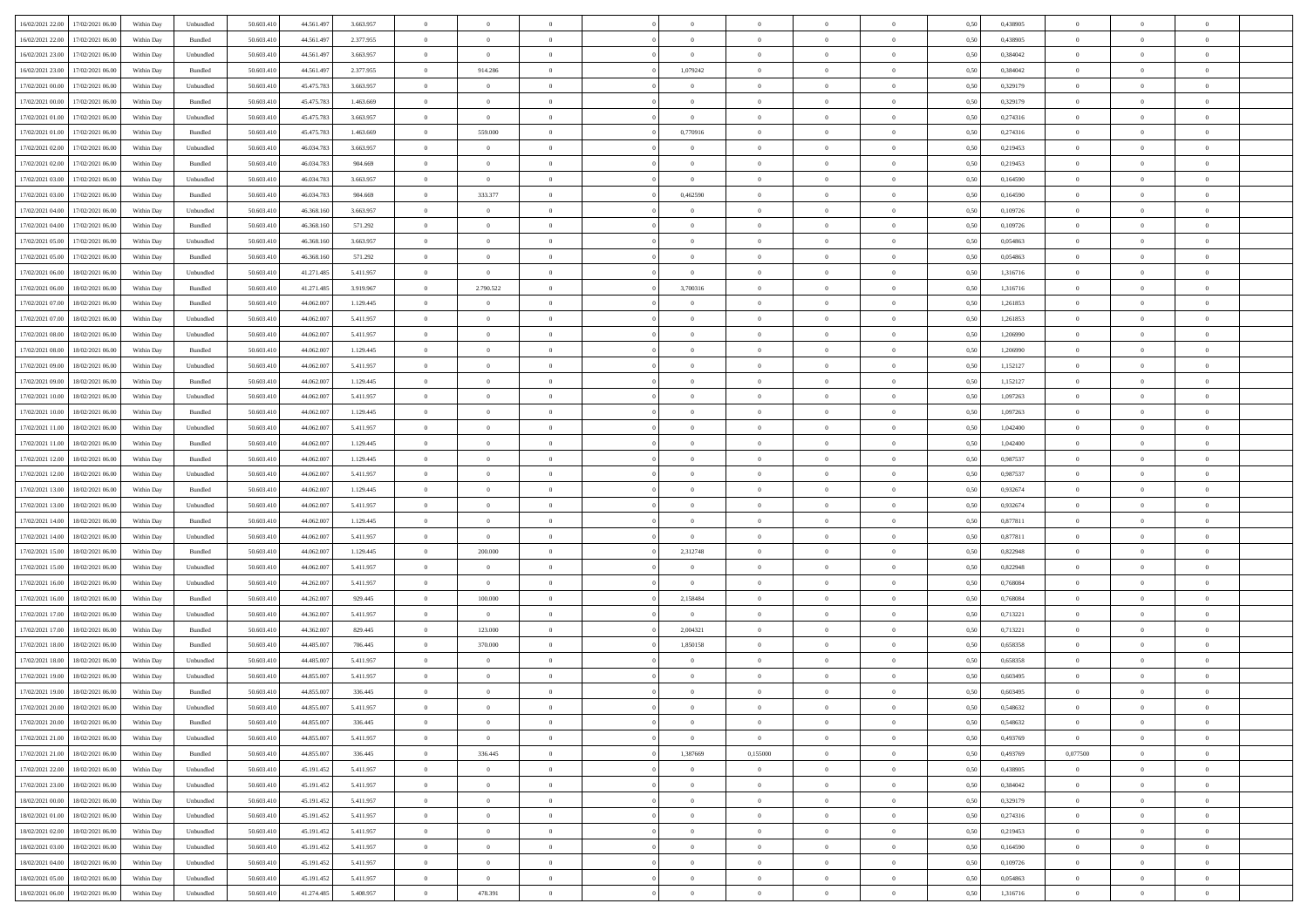| 16/02/2021 22:00 | 17/02/2021 06:00                  | Within Day | Unbundled                   | 50.603.410 | 44.561.497 | 3.663.957 | $\overline{0}$ | $\theta$       |                | $\overline{0}$ | $\bf{0}$       | $\overline{0}$ | $\theta$       | 0,50 | 0,438905 | $\theta$       | $\theta$       | $\sqrt{a}$     |  |
|------------------|-----------------------------------|------------|-----------------------------|------------|------------|-----------|----------------|----------------|----------------|----------------|----------------|----------------|----------------|------|----------|----------------|----------------|----------------|--|
| 16/02/2021 22:00 | 17/02/2021 06:00                  | Within Day | Bundled                     | 50.603.41  | 44.561.497 | 2.377.955 | $\overline{0}$ | $\overline{0}$ | $\overline{0}$ | $\overline{0}$ | $\,$ 0         | $\overline{0}$ | $\bf{0}$       | 0,50 | 0,438905 | $\,$ 0 $\,$    | $\overline{0}$ | $\overline{0}$ |  |
|                  |                                   |            |                             |            |            |           |                |                |                |                |                |                |                |      |          |                |                |                |  |
| 16/02/2021 23:00 | 17/02/2021 06:00                  | Within Day | Unbundled                   | 50.603.410 | 44.561.497 | 3.663.957 | $\overline{0}$ | $\overline{0}$ | $\overline{0}$ | $\overline{0}$ | $\bf{0}$       | $\overline{0}$ | $\mathbf{0}$   | 0.50 | 0.384042 | $\bf{0}$       | $\overline{0}$ | $\overline{0}$ |  |
| 16/02/2021 23:00 | 17/02/2021 06:00                  | Within Day | Bundled                     | 50.603.410 | 44.561.497 | 2.377.955 | $\overline{0}$ | 914.286        | $\overline{0}$ | 1,079242       | $\bf{0}$       | $\overline{0}$ | $\overline{0}$ | 0,50 | 0,384042 | $\theta$       | $\overline{0}$ | $\overline{0}$ |  |
| 17/02/2021 00:00 | 17/02/2021 06.00                  | Within Day | Unbundled                   | 50.603.41  | 45.475.783 | 3.663.957 | $\overline{0}$ | $\theta$       | $\overline{0}$ |                | $\overline{0}$ | $\overline{0}$ | $\bf{0}$       | 0,50 | 0,329179 | $\,$ 0 $\,$    | $\overline{0}$ | $\overline{0}$ |  |
| 17/02/2021 00:00 | 17/02/2021 06:00                  | Within Day | Bundled                     | 50.603.410 | 45.475.783 | 1.463.669 | $\overline{0}$ | $\overline{0}$ | $\overline{0}$ | $\overline{0}$ | $\bf{0}$       | $\overline{0}$ | $\overline{0}$ | 0.50 | 0,329179 | $\,0\,$        | $\theta$       | $\overline{0}$ |  |
| 17/02/2021 01:00 | 17/02/2021 06:00                  | Within Day | Unbundled                   | 50.603.410 | 45.475.783 | 3.663.957 | $\overline{0}$ | $\overline{0}$ | $\overline{0}$ | $\overline{0}$ | $\bf{0}$       | $\overline{0}$ | $\overline{0}$ | 0,50 | 0,274316 | $\,0\,$        | $\theta$       | $\overline{0}$ |  |
| 17/02/2021 01:00 | 17/02/2021 06.00                  | Within Day | Bundled                     | 50.603.41  | 45.475.783 | 1.463.669 | $\overline{0}$ | 559.000        | $\overline{0}$ | 0,770916       | $\bf{0}$       | $\overline{0}$ | $\bf{0}$       | 0,50 | 0,274316 | $\,$ 0 $\,$    | $\overline{0}$ | $\overline{0}$ |  |
| 17/02/2021 02:00 | 17/02/2021 06:00                  | Within Day | Unbundled                   | 50.603.410 | 46.034.783 | 3.663.957 | $\overline{0}$ | $\overline{0}$ | $\overline{0}$ | $\overline{0}$ | $\bf{0}$       | $\overline{0}$ | $\bf{0}$       | 0.50 | 0.219453 | $\,0\,$        | $\overline{0}$ | $\overline{0}$ |  |
| 17/02/2021 02:00 | 17/02/2021 06:00                  | Within Day | Bundled                     | 50.603.410 | 46.034.783 | 904.669   | $\overline{0}$ | $\overline{0}$ | $\overline{0}$ | $\overline{0}$ | $\,$ 0         | $\overline{0}$ | $\bf{0}$       | 0,50 | 0,219453 | $\,$ 0 $\,$    | $\theta$       | $\overline{0}$ |  |
| 17/02/2021 03:00 | 17/02/2021 06.00                  | Within Day | Unbundled                   | 50.603.41  | 46.034.783 | 3.663.957 | $\bf{0}$       | $\overline{0}$ | $\overline{0}$ | $\overline{0}$ | $\,$ 0         | $\overline{0}$ | $\bf{0}$       | 0,50 | 0,164590 | $\,$ 0 $\,$    | $\overline{0}$ | $\overline{0}$ |  |
| 17/02/2021 03:00 | 17/02/2021 06:00                  | Within Day | Bundled                     | 50.603.410 | 46.034.783 | 904,669   | $\overline{0}$ | 333.377        | $\overline{0}$ | 0,462590       | $\bf{0}$       | $\overline{0}$ | $\mathbf{0}$   | 0.50 | 0.164590 | $\bf{0}$       | $\overline{0}$ | $\bf{0}$       |  |
| 17/02/2021 04:00 | 17/02/2021 06:00                  | Within Day | Unbundled                   | 50.603.410 | 46.368.160 | 3.663.957 | $\overline{0}$ | $\overline{0}$ | $\overline{0}$ | $\overline{0}$ | $\bf{0}$       | $\overline{0}$ | $\mathbf{0}$   | 0,50 | 0,109726 | $\,$ 0 $\,$    | $\theta$       | $\overline{0}$ |  |
| 17/02/2021 04:00 | 17/02/2021 06.00                  | Within Day | Bundled                     | 50.603.41  | 46.368.160 | 571.292   | $\overline{0}$ | $\theta$       | $\overline{0}$ |                | $\overline{0}$ | $\overline{0}$ | $\bf{0}$       | 0,50 | 0,109726 | $\,$ 0 $\,$    | $\overline{0}$ | $\overline{0}$ |  |
| 17/02/2021 05:00 | 17/02/2021 06:00                  | Within Day | Unbundled                   | 50,603.410 | 46,368,160 | 3.663.957 | $\overline{0}$ | $\overline{0}$ | $\overline{0}$ | $\overline{0}$ | $\,$ 0         | $\overline{0}$ | $\bf{0}$       | 0.50 | 0.054863 | $\,0\,$        | $\theta$       | $\overline{0}$ |  |
|                  |                                   |            |                             |            |            |           | $\overline{0}$ | $\overline{0}$ | $\overline{0}$ | $\overline{0}$ | $\bf{0}$       | $\overline{0}$ | $\overline{0}$ |      |          | $\theta$       | $\theta$       | $\overline{0}$ |  |
| 17/02/2021 05:00 | 17/02/2021 06:00                  | Within Day | Bundled                     | 50.603.410 | 46.368.160 | 571.292   |                |                |                |                |                |                |                | 0,50 | 0,054863 |                |                |                |  |
| 17/02/2021 06:00 | 18/02/2021 06:00                  | Within Day | Unbundled                   | 50.603.41  | 41.271.485 | 5.411.957 | $\overline{0}$ | $\overline{0}$ | $\overline{0}$ | $\overline{0}$ | $\bf{0}$       | $\overline{0}$ | $\bf{0}$       | 0,50 | 1,316716 | $\,$ 0 $\,$    | $\overline{0}$ | $\overline{0}$ |  |
| 17/02/2021 06:00 | 18/02/2021 06:00                  | Within Day | Bundled                     | 50.603.410 | 41.271.485 | 3.919.967 | $\overline{0}$ | 2.790.522      | $\overline{0}$ | 3,700316       | $\bf{0}$       | $\overline{0}$ | $\bf{0}$       | 0.50 | 1.316716 | $\,0\,$        | $\overline{0}$ | $\overline{0}$ |  |
| 17/02/2021 07:00 | 18/02/2021 06:00                  | Within Day | Bundled                     | 50.603.410 | 44.062.007 | 1.129.445 | $\overline{0}$ | $\overline{0}$ | $\overline{0}$ | $\overline{0}$ | $\bf{0}$       | $\overline{0}$ | $\overline{0}$ | 0,50 | 1,261853 | $\,$ 0 $\,$    | $\theta$       | $\overline{0}$ |  |
| 17/02/2021 07:00 | 18/02/2021 06:00                  | Within Day | Unbundled                   | 50.603.41  | 44.062.007 | 5.411.957 | $\bf{0}$       | $\theta$       | $\overline{0}$ |                | $\bf{0}$       | $\overline{0}$ | $\bf{0}$       | 0,50 | 1,261853 | $\,$ 0 $\,$    | $\overline{0}$ | $\overline{0}$ |  |
| 17/02/2021 08:00 | 18/02/2021 06:00                  | Within Day | Unbundled                   | 50.603.410 | 44.062.007 | 5.411.957 | $\overline{0}$ | $\overline{0}$ | $\overline{0}$ | $\overline{0}$ | $\bf{0}$       | $\overline{0}$ | $\mathbf{0}$   | 0.50 | 1.206990 | $\,$ 0 $\,$    | $\overline{0}$ | $\overline{0}$ |  |
| 17/02/2021 08:00 | 18/02/2021 06:00                  | Within Day | Bundled                     | 50.603.410 | 44.062.007 | 1.129.445 | $\overline{0}$ | $\overline{0}$ | $\overline{0}$ | $\overline{0}$ | $\bf{0}$       | $\overline{0}$ | $\overline{0}$ | 0,50 | 1,206990 | $\theta$       | $\overline{0}$ | $\overline{0}$ |  |
| 17/02/2021 09:00 | 18/02/2021 06:00                  | Within Day | Unbundled                   | 50.603.41  | 44.062.007 | 5.411.957 | $\overline{0}$ | $\theta$       | $\overline{0}$ | $\overline{0}$ | $\,$ 0         | $\overline{0}$ | $\bf{0}$       | 0,50 | 1,152127 | $\,$ 0 $\,$    | $\overline{0}$ | $\overline{0}$ |  |
| 17/02/2021 09:00 | 18/02/2021 06:00                  | Within Day | Bundled                     | 50,603.410 | 44,062,007 | 1.129.445 | $\overline{0}$ | $\overline{0}$ | $\overline{0}$ | $\overline{0}$ | $\bf{0}$       | $\overline{0}$ | $\bf{0}$       | 0.50 | 1,152127 | $\,0\,$        | $\theta$       | $\overline{0}$ |  |
| 17/02/2021 10:00 | 18/02/2021 06:00                  | Within Day | Unbundled                   | 50.603.410 | 44.062.007 | 5.411.957 | $\overline{0}$ | $\theta$       | $\overline{0}$ | $\overline{0}$ | $\bf{0}$       | $\overline{0}$ | $\overline{0}$ | 0,50 | 1,097263 | $\,$ 0 $\,$    | $\theta$       | $\overline{0}$ |  |
| 17/02/2021 10:00 | 18/02/2021 06:00                  | Within Day | Bundled                     | 50.603.41  | 44.062.007 | 1.129.445 | $\overline{0}$ | $\theta$       | $\overline{0}$ |                | $\bf{0}$       | $\overline{0}$ | $\bf{0}$       | 0,50 | 1,097263 | $\,$ 0 $\,$    | $\overline{0}$ | $\overline{0}$ |  |
| 17/02/2021 11:00 | 18/02/2021 06:00                  | Within Day | Unbundled                   | 50.603.410 | 44,062,007 | 5.411.957 | $\overline{0}$ | $\overline{0}$ | $\overline{0}$ | $\overline{0}$ | $\bf{0}$       | $\overline{0}$ | $\bf{0}$       | 0.50 | 1.042400 | $\,0\,$        | $\overline{0}$ | $\overline{0}$ |  |
| 17/02/2021 11:00 | 18/02/2021 06:00                  | Within Day | Bundled                     | 50.603.410 | 44.062.007 | 1.129.445 | $\overline{0}$ | $\overline{0}$ | $\overline{0}$ | $\overline{0}$ | $\,$ 0         | $\overline{0}$ | $\overline{0}$ | 0,50 | 1,042400 | $\theta$       | $\theta$       | $\overline{0}$ |  |
| 17/02/2021 12:00 | 18/02/2021 06:00                  | Within Day | Bundled                     | 50.603.41  | 44.062.007 | 1.129.445 | $\bf{0}$       | $\overline{0}$ | $\overline{0}$ | $\overline{0}$ | $\,$ 0         | $\overline{0}$ | $\bf{0}$       | 0,50 | 0,987537 | $\,$ 0 $\,$    | $\overline{0}$ | $\overline{0}$ |  |
| 17/02/2021 12:00 | 18/02/2021 06:00                  | Within Day | Unbundled                   | 50.603.410 | 44,062,007 | 5.411.957 | $\overline{0}$ | $\overline{0}$ | $\overline{0}$ | $\overline{0}$ | $\bf{0}$       | $\overline{0}$ | $\mathbf{0}$   | 0.50 | 0.987537 | $\bf{0}$       | $\overline{0}$ | $\bf{0}$       |  |
|                  |                                   |            |                             |            |            |           |                | $\overline{0}$ | $\theta$       |                | $\mathbf{0}$   |                |                |      |          | $\theta$       | $\overline{0}$ | $\overline{0}$ |  |
| 17/02/2021 13:00 | 18/02/2021 06:00                  | Within Dav | Bundled                     | 50.603.410 | 44,062,007 | 1.129.445 | $\overline{0}$ |                |                | $\overline{0}$ |                | $\overline{0}$ | $\overline{0}$ | 0.50 | 0,932674 |                |                |                |  |
| 17/02/2021 13:00 | 18/02/2021 06:00                  | Within Day | Unbundled                   | 50.603.41  | 44.062.007 | 5.411.957 | $\overline{0}$ | $\theta$       | $\overline{0}$ | $\overline{0}$ | $\bf{0}$       | $\overline{0}$ | $\bf{0}$       | 0,50 | 0,932674 | $\,$ 0 $\,$    | $\overline{0}$ | $\overline{0}$ |  |
| 17/02/2021 14:00 | 18/02/2021 06:00                  | Within Day | Bundled                     | 50.603.410 | 44,062,007 | 1.129.445 | $\overline{0}$ | $\overline{0}$ | $\overline{0}$ | $\overline{0}$ | $\,$ 0         | $\overline{0}$ | $\bf{0}$       | 0.50 | 0.877811 | $\,0\,$        | $\theta$       | $\overline{0}$ |  |
| 17/02/2021 14:00 | 18/02/2021 06:00                  | Within Dav | Unbundled                   | 50.603.410 | 44.062.007 | 5.411.957 | $\overline{0}$ | $\overline{0}$ | $\Omega$       | $\Omega$       | $\mathbf{0}$   | $\overline{0}$ | $\overline{0}$ | 0.50 | 0,877811 | $\theta$       | $\overline{0}$ | $\overline{0}$ |  |
| 17/02/2021 15:00 | 18/02/2021 06:00                  | Within Day | Bundled                     | 50.603.41  | 44.062.007 | 1.129.445 | $\overline{0}$ | 200.000        | $\overline{0}$ | 2,312748       | $\,$ 0         | $\overline{0}$ | $\bf{0}$       | 0,50 | 0,822948 | $\,$ 0 $\,$    | $\overline{0}$ | $\overline{0}$ |  |
| 17/02/2021 15:00 | 18/02/2021 06:00                  | Within Day | Unbundled                   | 50.603.410 | 44,062,007 | 5.411.957 | $\overline{0}$ | $\overline{0}$ | $\overline{0}$ | $\overline{0}$ | $\bf{0}$       | $\overline{0}$ | $\bf{0}$       | 0.50 | 0.822948 | $\,0\,$        | $\overline{0}$ | $\overline{0}$ |  |
| 17/02/2021 16:00 | 18/02/2021 06:00                  | Within Dav | Unbundled                   | 50.603.410 | 44.262.007 | 5.411.957 | $\overline{0}$ | $\overline{0}$ | $\overline{0}$ | $\overline{0}$ | $\bf{0}$       | $\overline{0}$ | $\overline{0}$ | 0.50 | 0,768084 | $\theta$       | $\overline{0}$ | $\overline{0}$ |  |
| 17/02/2021 16:00 | 18/02/2021 06:00                  | Within Day | Bundled                     | 50.603.41  | 44.262.007 | 929.445   | $\overline{0}$ | 100.000        | $\overline{0}$ | 2,158484       | $\,$ 0         | $\overline{0}$ | $\bf{0}$       | 0,50 | 0,768084 | $\,$ 0 $\,$    | $\overline{0}$ | $\overline{0}$ |  |
| 17/02/2021 17:00 | 18/02/2021 06:00                  | Within Day | Unbundled                   | 50.603.410 | 44,362,007 | 5.411.957 | $\overline{0}$ | $\overline{0}$ | $\overline{0}$ | $\overline{0}$ | $\bf{0}$       | $\overline{0}$ | $\mathbf{0}$   | 0.50 | 0,713221 | $\,$ 0 $\,$    | $\overline{0}$ | $\overline{0}$ |  |
| 17/02/2021 17:00 | 18/02/2021 06:00                  | Within Dav | Bundled                     | 50.603.410 | 44.362.007 | 829,445   | $\overline{0}$ | 123.000        | $\Omega$       | 2,004321       | $\bf{0}$       | $\overline{0}$ | $\overline{0}$ | 0.50 | 0,713221 | $\theta$       | $\overline{0}$ | $\overline{0}$ |  |
| 17/02/2021 18:00 | 18/02/2021 06:00                  | Within Day | Bundled                     | 50.603.41  | 44.485.007 | 706.445   | $\overline{0}$ | 370.000        | $\overline{0}$ | 1,850158       | $\,$ 0         | $\overline{0}$ | $\bf{0}$       | 0,50 | 0,658358 | $\,$ 0 $\,$    | $\overline{0}$ | $\overline{0}$ |  |
| 17/02/2021 18:00 | 18/02/2021 06:00                  | Within Day | Unbundled                   | 50.603.410 | 44,485,007 | 5.411.957 | $\overline{0}$ | $\overline{0}$ | $\overline{0}$ | $\overline{0}$ | $\overline{0}$ | $\Omega$       | $\overline{0}$ | 0.50 | 0.658358 | $\,0\,$        | $\theta$       | $\overline{0}$ |  |
| 17/02/2021 19:00 | 18/02/2021 06:00                  | Within Dav | Unbundled                   | 50.603.410 | 44,855,007 | 5.411.957 | $\overline{0}$ | $\Omega$       | $\Omega$       | $\Omega$       | $\bf{0}$       | $\overline{0}$ | $\Omega$       | 0.50 | 0,603495 | $\theta$       | $\theta$       | $\overline{0}$ |  |
| 17/02/2021 19:00 | 18/02/2021 06:00                  | Within Day | Bundled                     | 50.603.41  | 44.855.007 | 336.445   | $\overline{0}$ | $\,$ 0 $\,$    | $\overline{0}$ | $\overline{0}$ | $\,$ 0         | $\bf{0}$       | $\bf{0}$       | 0,50 | 0,603495 | $\,$ 0 $\,$    | $\overline{0}$ | $\overline{0}$ |  |
| 17/02/2021 20:00 | 18/02/2021 06:00                  | Within Day | $\ensuremath{\mathsf{Unb}}$ | 50.603.410 | 44.855.007 | 5.411.957 | $\bf{0}$       | $\theta$       |                |                |                |                |                | 0,50 | 0.548632 | $\bf{0}$       | $\theta$       |                |  |
| 17/02/2021 20:00 | 18/02/2021 06:00                  | Within Day | Bundled                     | 50.603.410 | 44.855.007 | 336.445   | $\Omega$       | $\overline{0}$ | $\overline{0}$ | $\Omega$       | $\overline{0}$ | $\overline{0}$ | $\mathbf{0}$   | 0.50 | 0,548632 | $\theta$       | $\overline{0}$ | $\overline{0}$ |  |
| 17/02/2021 21:00 | 18/02/2021 06:00                  | Within Day | Unbundled                   | 50.603.41  | 44.855.007 | 5.411.957 | $\overline{0}$ | $\overline{0}$ | $\overline{0}$ | $\bf{0}$       | $\mathbf{0}$   | $\overline{0}$ | $\mathbf{0}$   | 0,50 | 0,493769 | $\overline{0}$ | $\overline{0}$ | $\bf{0}$       |  |
|                  | 18/02/2021 06:00                  |            |                             | 50,603.410 | 44,855,007 | 336.445   | $\overline{0}$ | 336.445        | $\overline{0}$ | 1,387669       | 0,155000       | $\overline{0}$ |                | 0.50 | 0,493769 | 0,077500       | $\bf{0}$       | $\bf{0}$       |  |
| 17/02/2021 21:00 |                                   | Within Day | Bundled                     |            |            |           |                | $\overline{0}$ |                |                |                |                | $\mathbf{0}$   |      |          |                | $\theta$       | $\overline{0}$ |  |
| 17/02/2021 22:00 | 18/02/2021 06:00                  | Within Day | Unbundled                   | 50.603.410 | 45.191.452 | 5.411.957 | $\overline{0}$ |                | $\overline{0}$ | $\overline{0}$ | $\bf{0}$       | $\overline{0}$ | $\mathbf{0}$   | 0.50 | 0,438905 | $\overline{0}$ |                |                |  |
| 17/02/2021 23:00 | 18/02/2021 06:00                  | Within Day | Unbundled                   | 50.603.410 | 45.191.452 | 5.411.957 | $\overline{0}$ | $\overline{0}$ | $\overline{0}$ | $\overline{0}$ | $\bf{0}$       | $\bf{0}$       | $\bf{0}$       | 0,50 | 0,384042 | $\bf{0}$       | $\overline{0}$ | $\overline{0}$ |  |
| 18/02/2021 00:00 | 18/02/2021 06:00                  | Within Day | Unbundled                   | 50.603.410 | 45.191.452 | 5.411.957 | $\overline{0}$ | $\overline{0}$ | $\overline{0}$ | $\overline{0}$ | $\bf{0}$       | $\overline{0}$ | $\mathbf{0}$   | 0.50 | 0,329179 | $\,$ 0 $\,$    | $\overline{0}$ | $\overline{0}$ |  |
| 18/02/2021 01:00 | 18/02/2021 06:00                  | Within Day | Unbundled                   | 50.603.410 | 45.191.452 | 5.411.957 | $\overline{0}$ | $\overline{0}$ | $\overline{0}$ | $\overline{0}$ | $\overline{0}$ | $\overline{0}$ | $\overline{0}$ | 0.50 | 0,274316 | $\overline{0}$ | $\theta$       | $\overline{0}$ |  |
| 18/02/2021 02:00 | 18/02/2021 06:00                  | Within Day | Unbundled                   | 50.603.41  | 45.191.452 | 5.411.957 | $\overline{0}$ | $\,$ 0         | $\overline{0}$ | $\bf{0}$       | $\,$ 0 $\,$    | $\bf{0}$       | $\bf{0}$       | 0,50 | 0,219453 | $\,$ 0 $\,$    | $\overline{0}$ | $\overline{0}$ |  |
| 18/02/2021 03:00 | 18/02/2021 06:00                  | Within Day | Unbundled                   | 50.603.410 | 45.191.452 | 5.411.957 | $\overline{0}$ | $\overline{0}$ | $\overline{0}$ | $\overline{0}$ | $\bf{0}$       | $\overline{0}$ | $\mathbf{0}$   | 0.50 | 0.164590 | $\mathbf{0}$   | $\bf{0}$       | $\overline{0}$ |  |
| 18/02/2021 04:00 | 18/02/2021 06:00                  | Within Day | Unbundled                   | 50.603.410 | 45.191.452 | 5.411.957 | $\overline{0}$ | $\overline{0}$ | $\overline{0}$ | $\overline{0}$ | $\overline{0}$ | $\overline{0}$ | $\overline{0}$ | 0,50 | 0,109726 | $\overline{0}$ | $\theta$       | $\overline{0}$ |  |
| 18/02/2021 05:00 | 18/02/2021 06:00                  | Within Day | Unbundled                   | 50.603.41  | 45.191.452 | 5.411.957 | $\overline{0}$ | $\overline{0}$ | $\overline{0}$ | $\bf{0}$       | $\bf{0}$       | $\bf{0}$       | $\bf{0}$       | 0,50 | 0,054863 | $\bf{0}$       | $\overline{0}$ | $\bf{0}$       |  |
|                  | 18/02/2021 06:00 19/02/2021 06:00 | Within Day | Unbundled                   | 50.603.410 | 41.274.485 | 5.408.957 | $\overline{0}$ | 478.391        | $\overline{0}$ | $\overline{0}$ | $\bf{0}$       | $\overline{0}$ | $\,$ 0 $\,$    | 0,50 | 1,316716 | $\overline{0}$ | $\,$ 0 $\,$    | $\,$ 0 $\,$    |  |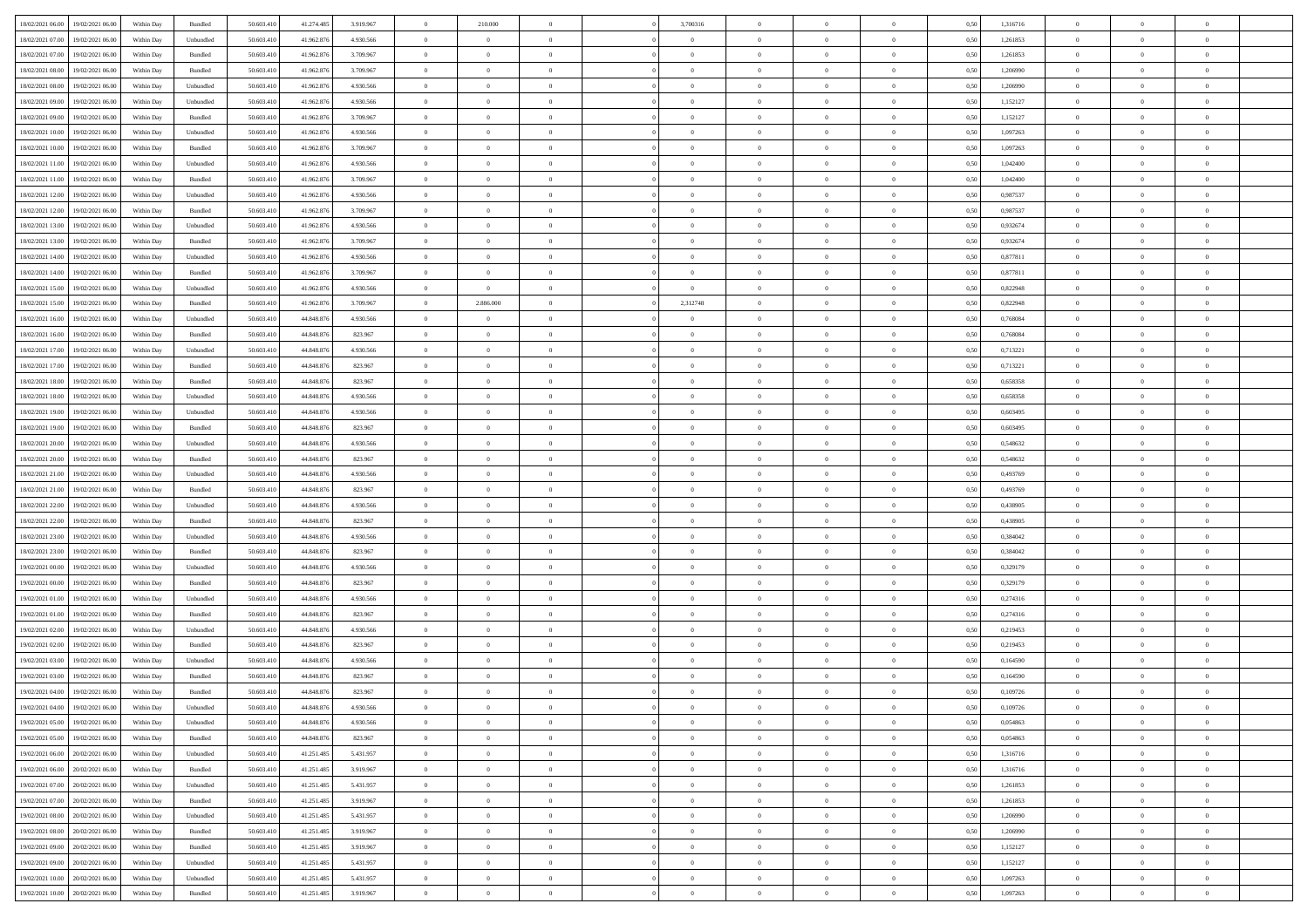| 18/02/2021 06:00<br>19/02/2021 06:00         | Within Day | Bundled           | 50.603.410 | 41.274.485 | 3.919.967 | $\overline{0}$ | 210.000        |                | 3,700316       | $\theta$       |                | $\overline{0}$ | 0,50 | 1,316716 | $\theta$       | $\theta$       | $\overline{0}$ |  |
|----------------------------------------------|------------|-------------------|------------|------------|-----------|----------------|----------------|----------------|----------------|----------------|----------------|----------------|------|----------|----------------|----------------|----------------|--|
| 18/02/2021 07:00<br>19/02/2021 06:00         | Within Day | Unbundled         | 50.603.41  | 41.962.876 | 4.930.566 | $\bf{0}$       | $\bf{0}$       | $\bf{0}$       | $\bf{0}$       | $\overline{0}$ | $\bf{0}$       | $\bf{0}$       | 0,50 | 1,261853 | $\,$ 0 $\,$    | $\overline{0}$ | $\overline{0}$ |  |
| 18/02/2021 07:00<br>19/02/2021 06:00         | Within Day | Bundled           | 50.603.41  | 41.962.876 | 3.709.967 | $\overline{0}$ | $\bf{0}$       | $\overline{0}$ | $\overline{0}$ | $\overline{0}$ | $\overline{0}$ | $\bf{0}$       | 0.50 | 1.261853 | $\overline{0}$ | $\,$ 0 $\,$    | $\,$ 0         |  |
| 18/02/2021 08:00<br>19/02/2021 06:00         |            |                   | 50.603.41  |            |           | $\overline{0}$ | $\overline{0}$ | $\overline{0}$ | $\overline{0}$ | $\theta$       | $\overline{0}$ |                |      |          | $\,$ 0 $\,$    | $\overline{0}$ | $\overline{0}$ |  |
|                                              | Within Day | Bundled           |            | 41.962.876 | 3.709.967 |                |                |                |                |                |                | $\bf{0}$       | 0,50 | 1,206990 |                |                |                |  |
| 18/02/2021 08:00<br>19/02/2021 06:00         | Within Day | Unbundled         | 50.603.41  | 41.962.876 | 4.930.566 | $\bf{0}$       | $\bf{0}$       | $\bf{0}$       | $\overline{0}$ | $\bf{0}$       | $\overline{0}$ | $\bf{0}$       | 0,50 | 1,206990 | $\,$ 0 $\,$    | $\bf{0}$       | $\overline{0}$ |  |
| 18/02/2021 09:00<br>19/02/2021 06:00         | Within Day | Unbundled         | 50.603.41  | 41.962.87  | 4.930.566 | $\overline{0}$ | $\bf{0}$       | $\overline{0}$ | $\bf{0}$       | $\overline{0}$ | $\overline{0}$ | $\bf{0}$       | 0.50 | 1,152127 | $\bf{0}$       | $\bf{0}$       | $\overline{0}$ |  |
| 18/02/2021 09:00<br>19/02/2021 06:00         | Within Day | Bundled           | 50.603.41  | 41.962.876 | 3.709.967 | $\overline{0}$ | $\bf{0}$       | $\overline{0}$ | $\overline{0}$ | $\overline{0}$ | $\overline{0}$ | $\bf{0}$       | 0,50 | 1,152127 | $\,$ 0 $\,$    | $\theta$       | $\overline{0}$ |  |
|                                              |            |                   |            |            |           |                |                |                |                |                |                |                |      |          |                |                |                |  |
| 18/02/2021 10:00<br>19/02/2021 06:00         | Within Day | Unbundled         | 50.603.41  | 41.962.876 | 4.930.566 | $\bf{0}$       | $\bf{0}$       | $\overline{0}$ | $\bf{0}$       | $\overline{0}$ | $\overline{0}$ | $\bf{0}$       | 0,50 | 1,097263 | $\,$ 0 $\,$    | $\bf{0}$       | $\overline{0}$ |  |
| 18/02/2021 10:00<br>19/02/2021 06:00         | Within Day | Bundled           | 50.603.41  | 41.962.87  | 3.709.967 | $\overline{0}$ | $\bf{0}$       | $\overline{0}$ | $\overline{0}$ | $\overline{0}$ | $\overline{0}$ | $\bf{0}$       | 0.50 | 1.097263 | $\bf{0}$       | $\overline{0}$ | $\bf{0}$       |  |
| 18/02/2021 11:00<br>19/02/2021 06:00         | Within Day | Unbundled         | 50.603.410 | 41.962.876 | 4.930.566 | $\overline{0}$ | $\bf{0}$       | $\overline{0}$ | $\overline{0}$ | $\overline{0}$ | $\overline{0}$ | $\bf{0}$       | 0,50 | 1,042400 | $\,$ 0 $\,$    | $\,$ 0 $\,$    | $\overline{0}$ |  |
| 18/02/2021 11:00<br>19/02/2021 06:00         | Within Day | Bundled           | 50.603.41  | 41.962.876 | 3.709.967 | $\bf{0}$       | $\bf{0}$       | $\bf{0}$       | $\bf{0}$       | $\overline{0}$ | $\overline{0}$ | $\bf{0}$       | 0,50 | 1,042400 | $\,$ 0 $\,$    | $\bf{0}$       | $\overline{0}$ |  |
|                                              |            |                   |            |            |           |                |                |                |                |                |                |                |      |          |                |                |                |  |
| 18/02/2021 12:00<br>19/02/2021 06:00         | Within Day | Unbundled         | 50,603.41  | 41.962.876 | 4.930.566 | $\overline{0}$ | $\bf{0}$       | $\overline{0}$ | $\overline{0}$ | $\overline{0}$ | $\overline{0}$ | $\bf{0}$       | 0.50 | 0.987537 | $\,$ 0 $\,$    | $\,$ 0 $\,$    | $\,$ 0         |  |
| 18/02/2021 12:00<br>19/02/2021 06:00         | Within Day | Bundled           | 50.603.41  | 41.962.876 | 3.709.967 | $\overline{0}$ | $\overline{0}$ | $\overline{0}$ | $\overline{0}$ | $\theta$       | $\overline{0}$ | $\bf{0}$       | 0,50 | 0,987537 | $\,$ 0 $\,$    | $\,$ 0 $\,$    | $\overline{0}$ |  |
| 18/02/2021 13:00<br>19/02/2021 06:00         | Within Day | Unbundled         | 50.603.41  | 41.962.876 | 4.930.566 | $\bf{0}$       | $\bf{0}$       | $\bf{0}$       | $\bf{0}$       | $\overline{0}$ | $\overline{0}$ | $\bf{0}$       | 0,50 | 0,932674 | $\,$ 0 $\,$    | $\bf{0}$       | $\overline{0}$ |  |
|                                              |            |                   |            |            |           |                |                |                |                |                |                |                |      |          |                |                |                |  |
| 18/02/2021 13:00<br>19/02/2021 06:00         | Within Day | Bundled           | 50.603.41  | 41.962.876 | 3.709.967 | $\overline{0}$ | $\bf{0}$       | $\overline{0}$ | $\bf{0}$       | $\overline{0}$ | $\overline{0}$ | $\bf{0}$       | 0.50 | 0.932674 | $\,$ 0 $\,$    | $\theta$       | $\overline{0}$ |  |
| 18/02/2021 14:00<br>19/02/2021 06:00         | Within Day | Unbundled         | 50.603.41  | 41.962.876 | 4.930.566 | $\overline{0}$ | $\bf{0}$       | $\overline{0}$ | $\overline{0}$ | $\overline{0}$ | $\overline{0}$ | $\bf{0}$       | 0,50 | 0,877811 | $\theta$       | $\theta$       | $\overline{0}$ |  |
| 18/02/2021 14:00<br>19/02/2021 06:00         | Within Day | Bundled           | 50.603.41  | 41.962.876 | 3.709.967 | $\bf{0}$       | $\bf{0}$       | $\bf{0}$       | $\overline{0}$ | $\overline{0}$ | $\overline{0}$ | $\bf{0}$       | 0,50 | 0,877811 | $\,$ 0 $\,$    | $\bf{0}$       | $\overline{0}$ |  |
| 18/02/2021 15:00<br>19/02/2021 06:00         | Within Day | Unbundled         | 50,603.41  | 41.962.87  | 4.930.566 | $\overline{0}$ | $\overline{0}$ | $\overline{0}$ | $\overline{0}$ | $\bf{0}$       | $\overline{0}$ | $\bf{0}$       | 0.50 | 0.822948 | $\bf{0}$       | $\overline{0}$ | $\bf{0}$       |  |
|                                              |            |                   |            |            |           |                |                | $\overline{0}$ |                |                | $\overline{0}$ |                |      |          | $\,$ 0 $\,$    | $\,$ 0 $\,$    |                |  |
| 18/02/2021 15:00<br>19/02/2021 06:00         | Within Day | Bundled           | 50.603.410 | 41.962.876 | 3.709.967 | $\overline{0}$ | 2.886.000      |                | 2,312748       | $\overline{0}$ |                | $\bf{0}$       | 0,50 | 0,822948 |                |                | $\overline{0}$ |  |
| 18/02/2021 16:00<br>19/02/2021 06:00         | Within Day | Unbundled         | 50.603.41  | 44.848.876 | 4.930.566 | $\bf{0}$       | $\bf{0}$       | $\overline{0}$ | $\bf{0}$       | $\overline{0}$ | $\overline{0}$ | $\bf{0}$       | 0,50 | 0,768084 | $\,$ 0 $\,$    | $\bf{0}$       | $\overline{0}$ |  |
| 18/02/2021 16:00<br>19/02/2021 06:00         | Within Day | Bundled           | 50.603.41  | 44,848,876 | 823.967   | $\overline{0}$ | $\bf{0}$       | $\overline{0}$ | $\overline{0}$ | $\overline{0}$ | $\overline{0}$ | $\bf{0}$       | 0.50 | 0.768084 | $\,$ 0 $\,$    | $\,$ 0 $\,$    | $\,$ 0         |  |
| 18/02/2021 17:00<br>19/02/2021 06:00         | Within Day | Unbundled         | 50.603.41  | 44.848.876 | 4.930.566 | $\overline{0}$ | $\overline{0}$ | $\overline{0}$ | $\overline{0}$ | $\overline{0}$ | $\overline{0}$ | $\bf{0}$       | 0,50 | 0,713221 | $\,$ 0 $\,$    | $\overline{0}$ | $\overline{0}$ |  |
|                                              |            |                   |            |            |           |                |                |                |                |                | $\overline{0}$ |                |      |          |                |                |                |  |
| 18/02/2021 17:00<br>19/02/2021 06:00         | Within Day | Bundled           | 50.603.41  | 44.848.876 | 823.967   | $\bf{0}$       | $\bf{0}$       | $\bf{0}$       | $\bf{0}$       | $\overline{0}$ |                | $\bf{0}$       | 0,50 | 0,713221 | $\,$ 0 $\,$    | $\bf{0}$       | $\overline{0}$ |  |
| 18/02/2021 18:00<br>19/02/2021 06:00         | Within Day | Bundled           | 50,603.41  | 44.848.876 | 823.967   | $\overline{0}$ | $\bf{0}$       | $\overline{0}$ | $\bf{0}$       | $\overline{0}$ | $\overline{0}$ | $\bf{0}$       | 0.50 | 0.658358 | $\bf{0}$       | $\bf{0}$       | $\overline{0}$ |  |
| 18/02/2021 18:00<br>19/02/2021 06:00         | Within Day | Unbundled         | 50.603.41  | 44.848.876 | 4.930.566 | $\overline{0}$ | $\bf{0}$       | $\overline{0}$ | $\overline{0}$ | $\overline{0}$ | $\overline{0}$ | $\bf{0}$       | 0,50 | 0,658358 | $\,$ 0 $\,$    | $\theta$       | $\overline{0}$ |  |
| 18/02/2021 19:00<br>19/02/2021 06:00         | Within Day | Unbundled         | 50.603.41  | 44.848.876 | 4.930.566 | $\bf{0}$       | $\overline{0}$ | $\bf{0}$       | $\bf{0}$       | $\overline{0}$ | $\overline{0}$ | $\bf{0}$       | 0,50 | 0,603495 | $\,$ 0 $\,$    | $\bf{0}$       | $\overline{0}$ |  |
| 18/02/2021 19:00<br>19/02/2021 06:00         | Within Day | Bundled           | 50,603.41  | 44.848.876 | 823.967   | $\overline{0}$ | $\bf{0}$       | $\overline{0}$ | $\overline{0}$ | $\overline{0}$ | $\overline{0}$ | $\bf{0}$       | 0.50 | 0.603495 | $\bf{0}$       | $\overline{0}$ | $\bf{0}$       |  |
|                                              |            |                   |            |            |           |                |                |                |                |                |                |                |      |          |                |                |                |  |
| 18/02/2021 20:00<br>19/02/2021 06:00         | Within Day | Unbundled         | 50.603.410 | 44.848.876 | 4.930.566 | $\overline{0}$ | $\bf{0}$       | $\overline{0}$ | $\overline{0}$ | $\overline{0}$ | $\overline{0}$ | $\bf{0}$       | 0,50 | 0,548632 | $\theta$       | $\,$ 0 $\,$    | $\overline{0}$ |  |
| 18/02/2021 20:00<br>19/02/2021 06:00         | Within Day | Bundled           | 50.603.41  | 44.848.876 | 823.967   | $\bf{0}$       | $\bf{0}$       | $\bf{0}$       | $\bf{0}$       | $\overline{0}$ | $\overline{0}$ | $\bf{0}$       | 0,50 | 0,548632 | $\,$ 0 $\,$    | $\bf{0}$       | $\overline{0}$ |  |
| 18/02/2021 21:00<br>19/02/2021 06:00         | Within Day | Unbundled         | 50.603.41  | 44,848,876 | 4.930.566 | $\overline{0}$ | $\bf{0}$       | $\overline{0}$ | $\overline{0}$ | $\overline{0}$ | $\overline{0}$ | $\bf{0}$       | 0.50 | 0.493769 | $\,$ 0 $\,$    | $\,$ 0 $\,$    | $\,$ 0         |  |
| 18/02/2021 21:00<br>19/02/2021 06:00         | Within Day | Bundled           | 50.603.41  | 44.848.876 | 823.967   | $\overline{0}$ | $\overline{0}$ | $\overline{0}$ | $\overline{0}$ | $\overline{0}$ | $\overline{0}$ | $\bf{0}$       | 0.50 | 0,493769 | $\theta$       | $\theta$       | $\overline{0}$ |  |
|                                              |            |                   |            |            |           |                |                |                |                |                |                |                |      |          |                |                |                |  |
| 18/02/2021 22:00<br>19/02/2021 06:00         | Within Day | Unbundled         | 50.603.41  | 44.848.876 | 4.930.566 | $\bf{0}$       | $\bf{0}$       | $\bf{0}$       | $\bf{0}$       | $\overline{0}$ | $\overline{0}$ | $\bf{0}$       | 0,50 | 0,438905 | $\,$ 0 $\,$    | $\bf{0}$       | $\overline{0}$ |  |
| 18/02/2021 22:00<br>19/02/2021 06:00         | Within Day | Bundled           | 50,603.41  | 44.848.876 | 823.967   | $\overline{0}$ | $\bf{0}$       | $\overline{0}$ | $\bf{0}$       | $\overline{0}$ | $\overline{0}$ | $\bf{0}$       | 0.50 | 0.438905 | $\,$ 0 $\,$    | $\bf{0}$       | $\overline{0}$ |  |
| 18/02/2021 23:00<br>19/02/2021 06:00         | Within Dav | Unbundled         | 50.603.41  | 44.848.876 | 4.930.566 | $\overline{0}$ | $\overline{0}$ | $\overline{0}$ | $\overline{0}$ | $\overline{0}$ | $\overline{0}$ | $\bf{0}$       | 0.50 | 0,384042 | $\theta$       | $\theta$       | $\overline{0}$ |  |
| 18/02/2021 23:00<br>19/02/2021 06:00         | Within Day | Bundled           | 50.603.41  | 44.848.876 | 823.967   | $\bf{0}$       | $\bf{0}$       | $\bf{0}$       | $\bf{0}$       | $\overline{0}$ | $\overline{0}$ | $\bf{0}$       | 0,50 | 0,384042 | $\,$ 0 $\,$    | $\bf{0}$       | $\overline{0}$ |  |
| 19/02/2021 00:00<br>19/02/2021 06:00         | Within Day | Unbundled         | 50,603.41  | 44.848.876 | 4.930.566 | $\overline{0}$ | $\bf{0}$       | $\overline{0}$ | $\bf{0}$       | $\overline{0}$ | $\overline{0}$ | $\bf{0}$       | 0.50 | 0.329179 | $\bf{0}$       | $\overline{0}$ | $\bf{0}$       |  |
|                                              |            |                   |            |            |           |                |                |                |                |                |                |                |      |          |                |                |                |  |
| 19/02/2021 00:00<br>19/02/2021 06:00         | Within Dav | Bundled           | 50.603.41  | 44,848,876 | 823.967   | $\overline{0}$ | $\overline{0}$ | $\overline{0}$ | $\overline{0}$ | $\overline{0}$ | $\overline{0}$ | $\bf{0}$       | 0.50 | 0,329179 | $\theta$       | $\theta$       | $\overline{0}$ |  |
| 19/02/2021 01:00<br>19/02/2021 06:00         | Within Day | Unbundled         | 50.603.41  | 44.848.876 | 4.930.566 | $\bf{0}$       | $\bf{0}$       | $\overline{0}$ | $\bf{0}$       | $\overline{0}$ | $\overline{0}$ | $\bf{0}$       | 0,50 | 0,274316 | $\,$ 0 $\,$    | $\bf{0}$       | $\overline{0}$ |  |
| 19/02/2021 01:00<br>19/02/2021 06:00         | Within Day | Bundled           | 50.603.41  | 44,848,876 | 823.967   | $\overline{0}$ | $\bf{0}$       | $\overline{0}$ | $\overline{0}$ | $\bf{0}$       | $\overline{0}$ | $\bf{0}$       | 0.50 | 0,274316 | $\bf{0}$       | $\,$ 0 $\,$    | $\,$ 0         |  |
| 19/02/2021 02:00<br>19/02/2021 06:00         | Within Day | Unbundled         | 50.603.41  | 44.848.876 | 4.930.566 | $\overline{0}$ | $\overline{0}$ | $\overline{0}$ | $\overline{0}$ | $\overline{0}$ | $\overline{0}$ | $\bf{0}$       | 0.5( | 0,219453 | $\theta$       | $\theta$       | $\overline{0}$ |  |
|                                              |            |                   |            |            |           |                |                |                |                |                |                |                |      |          |                |                |                |  |
| 19/02/2021 02:00<br>19/02/2021 06:00         | Within Day | Bundled           | 50.603.41  | 44.848.876 | 823.967   | $\bf{0}$       | $\bf{0}$       | $\bf{0}$       | $\bf{0}$       | $\overline{0}$ | $\overline{0}$ | $\bf{0}$       | 0,50 | 0,219453 | $\,$ 0 $\,$    | $\bf{0}$       | $\overline{0}$ |  |
| 19/02/2021 03:00<br>19/02/2021 06:00         | Within Day | Unbundled         | 50,603.41  | 44.848.876 | 4.930.566 | $\overline{0}$ | $\bf{0}$       | $\overline{0}$ | $\bf{0}$       | $\overline{0}$ | $\overline{0}$ | $\bf{0}$       | 0.50 | 0.164590 | $\bf{0}$       | $\theta$       | $\overline{0}$ |  |
| 19/02/2021 03:00<br>19/02/2021 06:00         | Within Dav | Bundled           | 50.603.41  | 44.848.876 | 823.967   | $\overline{0}$ | $\overline{0}$ | $\overline{0}$ | $\overline{0}$ | $\theta$       | $\overline{0}$ | $\overline{0}$ | 0.50 | 0,164590 | $\theta$       | $\theta$       | $\overline{0}$ |  |
| 19/02/2021 04:00<br>19/02/2021 06:00         | Within Day | Bundled           | 50.603.41  | 44.848.876 | 823.967   | $\bf{0}$       | $\bf{0}$       | $\bf{0}$       | $\bf{0}$       | $\overline{0}$ | $\overline{0}$ | $\bf{0}$       | 0,50 | 0,109726 | $\overline{0}$ | $\overline{0}$ | $\overline{0}$ |  |
| $19/02/2021\;04.00 \qquad 19/02/2021\;06.00$ |            | ${\sf Unbundred}$ | 50.603.410 | 44.848.876 | 4.930.566 |                | $\Omega$       |                | $\overline{0}$ | $\Omega$       |                |                |      | 0,109726 |                | $\overline{0}$ |                |  |
|                                              | Within Day |                   |            |            |           | $\bf{0}$       |                |                |                |                |                |                | 0,50 |          | $\bf{0}$       |                |                |  |
| 19/02/2021 05:00 19/02/2021 06:00            | Within Day | Unbundled         | 50.603.410 | 44.848.876 | 4.930.566 | $\overline{0}$ | $\overline{0}$ | $\Omega$       | $\overline{0}$ | $\overline{0}$ | $\overline{0}$ | $\bf{0}$       | 0,50 | 0,054863 | $\theta$       | $\theta$       | $\overline{0}$ |  |
| 19/02/2021 05:00<br>19/02/2021 06:00         | Within Day | Bundled           | 50.603.41  | 44.848.876 | 823.967   | $\overline{0}$ | $\bf{0}$       | $\overline{0}$ | $\overline{0}$ | $\bf{0}$       | $\overline{0}$ | $\bf{0}$       | 0,50 | 0,054863 | $\bf{0}$       | $\overline{0}$ | $\bf{0}$       |  |
| 19/02/2021 06:00 20/02/2021 06:00            | Within Day | Unbundled         | 50,603.410 | 41.251.485 | 5.431.957 | $\overline{0}$ | $\overline{0}$ | $\overline{0}$ | $\overline{0}$ | $\mathbf{0}$   | $\overline{0}$ | $\,$ 0 $\,$    | 0.50 | 1,316716 | $\overline{0}$ | $\bf{0}$       | $\bf{0}$       |  |
| 19/02/2021 06:00 20/02/2021 06:00            | Within Dav | Bundled           | 50.603.410 | 41.251.485 | 3.919.967 | $\overline{0}$ | $\overline{0}$ | $\overline{0}$ | $\overline{0}$ | $\overline{0}$ | $\overline{0}$ | $\bf{0}$       | 0,50 | 1,316716 | $\overline{0}$ | $\theta$       | $\overline{0}$ |  |
|                                              |            |                   |            |            |           |                |                |                |                |                |                |                |      |          |                |                |                |  |
| 19/02/2021 07:00<br>20/02/2021 06:00         | Within Day | Unbundled         | 50.603.41  | 41.251.485 | 5.431.957 | $\overline{0}$ | $\bf{0}$       | $\overline{0}$ | $\overline{0}$ | $\bf{0}$       | $\overline{0}$ | $\bf{0}$       | 0,50 | 1,261853 | $\bf{0}$       | $\overline{0}$ | $\overline{0}$ |  |
| 19/02/2021 07:00<br>20/02/2021 06:00         | Within Day | Bundled           | 50,603.410 | 41.251.485 | 3.919.967 | $\overline{0}$ | $\bf{0}$       | $\overline{0}$ | $\overline{0}$ | $\bf{0}$       | $\overline{0}$ | $\bf{0}$       | 0.50 | 1.261853 | $\,$ 0 $\,$    | $\overline{0}$ | $\overline{0}$ |  |
| 19/02/2021 08:00<br>20/02/2021 06:00         | Within Dav | Unbundled         | 50.603.410 | 41.251.485 | 5.431.957 | $\overline{0}$ | $\overline{0}$ | $\overline{0}$ | $\overline{0}$ | $\overline{0}$ | $\overline{0}$ | $\bf{0}$       | 0.50 | 1,206990 | $\overline{0}$ | $\theta$       | $\overline{0}$ |  |
|                                              |            |                   |            |            |           |                | $\overline{0}$ |                |                | $\overline{0}$ |                |                |      |          | $\bf{0}$       | $\overline{0}$ | $\,$ 0         |  |
| 19/02/2021 08:00<br>20/02/2021 06:00         | Within Day | Bundled           | 50.603.41  | 41.251.485 | 3.919.967 | $\overline{0}$ |                | $\overline{0}$ | $\overline{0}$ |                | $\overline{0}$ | $\bf{0}$       | 0,50 | 1,206990 |                |                |                |  |
| 20/02/2021 06:00<br>19/02/2021 09:00         | Within Day | Bundled           | 50,603.410 | 41.251.485 | 3.919.967 | $\overline{0}$ | $\overline{0}$ | $\overline{0}$ | $\overline{0}$ | $\overline{0}$ | $\overline{0}$ | $\bf{0}$       | 0.50 | 1.152127 | $\mathbf{0}$   | $\bf{0}$       | $\,$ 0         |  |
| 19/02/2021 09:00 20/02/2021 06:00            | Within Dav | Unbundled         | 50.603.410 | 41.251.485 | 5.431.957 | $\overline{0}$ | $\overline{0}$ | $\overline{0}$ | $\overline{0}$ | $\overline{0}$ | $\overline{0}$ | $\bf{0}$       | 0,50 | 1,152127 | $\overline{0}$ | $\theta$       | $\overline{0}$ |  |
| 19/02/2021 10:00<br>20/02/2021 06:00         | Within Day | Unbundled         | 50.603.41  | 41.251.485 | 5.431.957 | $\overline{0}$ | $\bf{0}$       | $\overline{0}$ | $\overline{0}$ | $\overline{0}$ | $\overline{0}$ | $\bf{0}$       | 0,50 | 1,097263 | $\bf{0}$       | $\overline{0}$ | $\bf{0}$       |  |
|                                              |            |                   |            |            |           |                |                |                |                |                |                |                |      |          |                |                |                |  |
| 19/02/2021 10:00 20/02/2021 06:00            | Within Day | Bundled           | 50.603.410 | 41.251.485 | 3.919.967 | $\,$ 0 $\,$    | $\bf{0}$       | $\overline{0}$ | $\overline{0}$ | $\,$ 0 $\,$    | $\overline{0}$ | $\bf{0}$       | 0,50 | 1,097263 | $\overline{0}$ | $\,$ 0 $\,$    | $\,$ 0 $\,$    |  |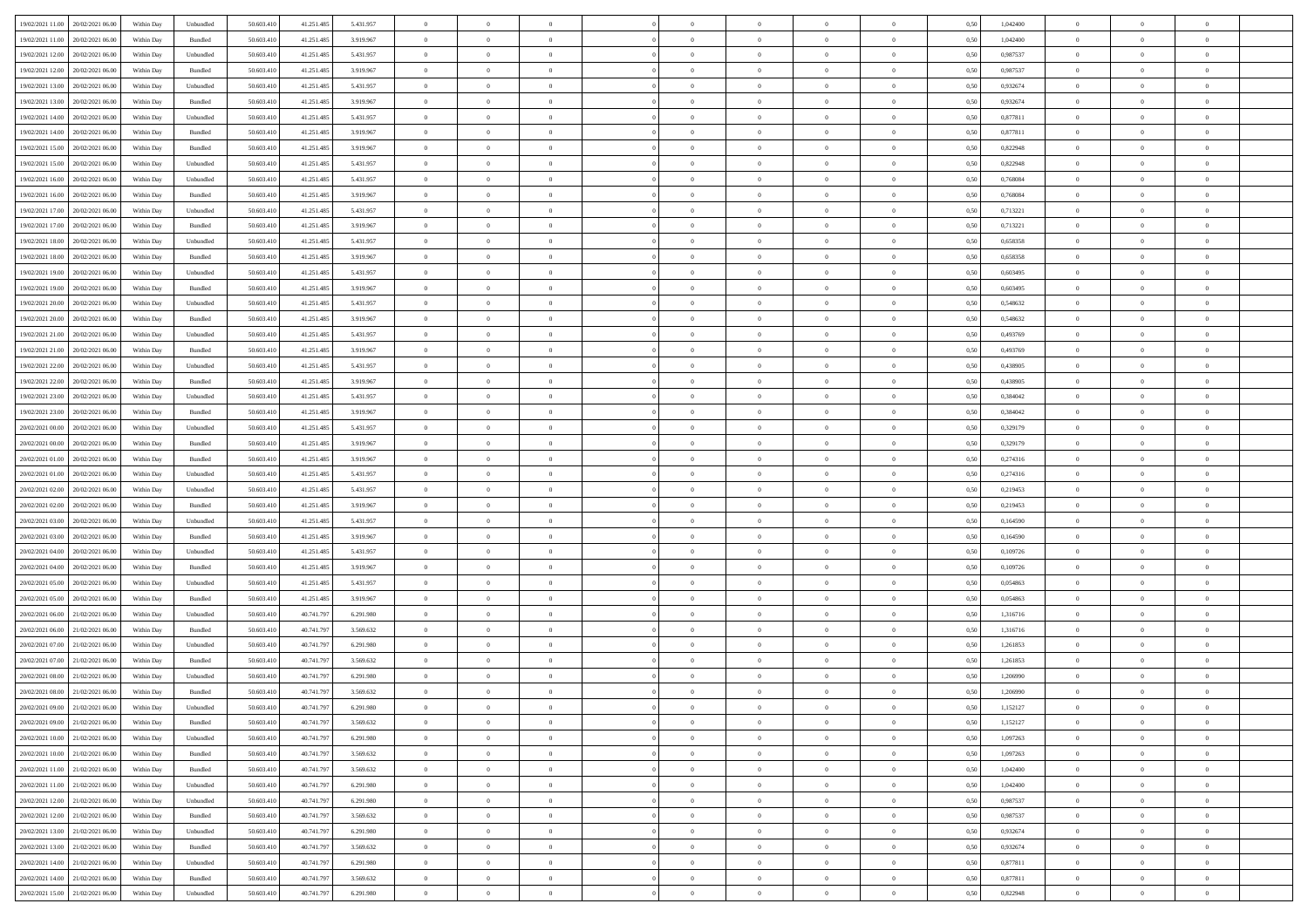|                                      |            |                             |            |            |           | $\overline{0}$ | $\overline{0}$ |                | $\overline{0}$ | $\theta$       |                | $\theta$       |      |          | $\theta$       | $\theta$       | $\overline{0}$ |  |
|--------------------------------------|------------|-----------------------------|------------|------------|-----------|----------------|----------------|----------------|----------------|----------------|----------------|----------------|------|----------|----------------|----------------|----------------|--|
| 19/02/2021 11:00 20/02/2021 06:00    | Within Day | Unbundled                   | 50.603.410 | 41.251.485 | 5.431.957 |                |                |                |                |                |                |                | 0,50 | 1,042400 |                |                |                |  |
| 19/02/2021 11:00<br>20/02/2021 06:00 | Within Day | Bundled                     | 50.603.41  | 41.251.485 | 3.919.967 | $\bf{0}$       | $\bf{0}$       | $\bf{0}$       | $\bf{0}$       | $\overline{0}$ | $\overline{0}$ | $\bf{0}$       | 0,50 | 1,042400 | $\,$ 0 $\,$    | $\bf{0}$       | $\overline{0}$ |  |
| 19/02/2021 12:00<br>20/02/2021 06:00 | Within Day | Unbundled                   | 50.603.41  | 41.251.485 | 5.431.957 | $\overline{0}$ | $\bf{0}$       | $\overline{0}$ | $\bf{0}$       | $\bf{0}$       | $\overline{0}$ | $\bf{0}$       | 0.50 | 0.987537 | $\overline{0}$ | $\overline{0}$ | $\bf{0}$       |  |
| 19/02/2021 12:00<br>20/02/2021 06:00 | Within Day | Bundled                     | 50.603.41  | 41.251.485 | 3.919.967 | $\overline{0}$ | $\overline{0}$ | $\overline{0}$ | $\overline{0}$ | $\theta$       | $\overline{0}$ | $\bf{0}$       | 0,50 | 0,987537 | $\theta$       | $\theta$       | $\overline{0}$ |  |
|                                      |            |                             |            |            |           |                |                |                |                |                |                |                |      |          |                |                |                |  |
| 19/02/2021 13:00<br>20/02/2021 06:00 | Within Day | Unbundled                   | 50.603.41  | 41.251.485 | 5.431.957 | $\bf{0}$       | $\overline{0}$ | $\bf{0}$       | $\overline{0}$ | $\bf{0}$       | $\overline{0}$ | $\bf{0}$       | 0,50 | 0,932674 | $\,$ 0 $\,$    | $\bf{0}$       | $\overline{0}$ |  |
| 19/02/2021 13:00<br>20/02/2021 06:00 | Within Day | Bundled                     | 50.603.41  | 41.251.485 | 3.919.967 | $\overline{0}$ | $\bf{0}$       | $\overline{0}$ | $\bf{0}$       | $\overline{0}$ | $\theta$       | $\bf{0}$       | 0.50 | 0.932674 | $\,$ 0 $\,$    | $\theta$       | $\overline{0}$ |  |
| 19/02/2021 14:00<br>20/02/2021 06:00 | Within Day | Unbundled                   | 50.603.41  | 41.251.485 | 5.431.957 | $\overline{0}$ | $\overline{0}$ | $\overline{0}$ | $\overline{0}$ | $\overline{0}$ | $\overline{0}$ | $\bf{0}$       | 0,50 | 0,877811 | $\theta$       | $\theta$       | $\overline{0}$ |  |
| 19/02/2021 14:00<br>20/02/2021 06:00 | Within Day | Bundled                     | 50.603.41  | 41.251.485 | 3.919.967 | $\bf{0}$       | $\bf{0}$       | $\bf{0}$       | $\overline{0}$ | $\overline{0}$ | $\overline{0}$ | $\bf{0}$       | 0,50 | 0,877811 | $\,$ 0 $\,$    | $\bf{0}$       | $\overline{0}$ |  |
|                                      |            |                             |            |            |           |                |                |                |                |                |                |                |      |          |                |                |                |  |
| 19/02/2021 15:00<br>20/02/2021 06:00 | Within Day | Bundled                     | 50.603.41  | 41.251.48  | 3.919.967 | $\overline{0}$ | $\bf{0}$       | $\overline{0}$ | $\bf{0}$       | $\overline{0}$ | $\overline{0}$ | $\bf{0}$       | 0.50 | 0.822948 | $\bf{0}$       | $\overline{0}$ | $\overline{0}$ |  |
| 19/02/2021 15:00<br>20/02/2021 06:00 | Within Day | Unbundled                   | 50.603.410 | 41.251.485 | 5.431.957 | $\overline{0}$ | $\bf{0}$       | $\overline{0}$ | $\overline{0}$ | $\overline{0}$ | $\overline{0}$ | $\bf{0}$       | 0,50 | 0,822948 | $\,$ 0 $\,$    | $\,$ 0 $\,$    | $\overline{0}$ |  |
| 19/02/2021 16:00<br>20/02/2021 06:00 | Within Day | Unbundled                   | 50.603.41  | 41.251.485 | 5.431.957 | $\bf{0}$       | $\bf{0}$       | $\bf{0}$       | $\bf{0}$       | $\overline{0}$ | $\overline{0}$ | $\bf{0}$       | 0,50 | 0,768084 | $\,$ 0 $\,$    | $\bf{0}$       | $\overline{0}$ |  |
| 19/02/2021 16:00<br>20/02/2021 06:00 | Within Day | Bundled                     | 50.603.41  | 41.251.485 | 3.919.967 | $\overline{0}$ | $\bf{0}$       | $\overline{0}$ | $\overline{0}$ | $\bf{0}$       | $\overline{0}$ | $\bf{0}$       | 0.50 | 0.768084 | $\bf{0}$       | $\,$ 0 $\,$    | $\,$ 0         |  |
| 19/02/2021 17:00<br>20/02/2021 06:00 | Within Day | Unbundled                   | 50.603.41  | 41.251.485 | 5.431.957 | $\overline{0}$ | $\overline{0}$ | $\overline{0}$ | $\theta$       | $\theta$       | $\overline{0}$ | $\bf{0}$       | 0,50 | 0,713221 | $\,$ 0 $\,$    | $\theta$       | $\overline{0}$ |  |
|                                      |            |                             |            |            |           |                |                |                |                |                |                |                |      |          |                |                |                |  |
| 19/02/2021 17:00<br>20/02/2021 06:00 | Within Day | Bundled                     | 50.603.41  | 41.251.485 | 3.919.967 | $\bf{0}$       | $\overline{0}$ | $\bf{0}$       | $\bf{0}$       | $\bf{0}$       | $\overline{0}$ | $\bf{0}$       | 0,50 | 0,713221 | $\,$ 0 $\,$    | $\bf{0}$       | $\overline{0}$ |  |
| 19/02/2021 18:00<br>20/02/2021 06:00 | Within Day | Unbundled                   | 50.603.41  | 41.251.48  | 5.431.957 | $\overline{0}$ | $\bf{0}$       | $\overline{0}$ | $\bf{0}$       | $\overline{0}$ | $\theta$       | $\bf{0}$       | 0.50 | 0.658358 | $\,$ 0 $\,$    | $\theta$       | $\overline{0}$ |  |
| 19/02/2021 18:00<br>20/02/2021 06:00 | Within Day | Bundled                     | 50.603.410 | 41.251.485 | 3.919.967 | $\overline{0}$ | $\overline{0}$ | $\overline{0}$ | $\overline{0}$ | $\overline{0}$ | $\overline{0}$ | $\bf{0}$       | 0,50 | 0,658358 | $\theta$       | $\theta$       | $\overline{0}$ |  |
| 19/02/2021 19:00<br>20/02/2021 06:00 | Within Day | Unbundled                   | 50.603.41  | 41.251.485 | 5.431.957 | $\bf{0}$       | $\bf{0}$       | $\bf{0}$       | $\overline{0}$ | $\overline{0}$ | $\overline{0}$ | $\bf{0}$       | 0,50 | 0,603495 | $\,$ 0 $\,$    | $\bf{0}$       | $\overline{0}$ |  |
|                                      |            |                             |            |            |           |                |                |                |                |                |                |                |      |          |                |                |                |  |
| 19/02/2021 19:00<br>20/02/2021 06:00 | Within Day | Bundled                     | 50.603.41  | 41.251.48  | 3.919.967 | $\overline{0}$ | $\bf{0}$       | $\overline{0}$ | $\bf{0}$       | $\overline{0}$ | $\overline{0}$ | $\bf{0}$       | 0.50 | 0.603495 | $\bf{0}$       | $\overline{0}$ | $\bf{0}$       |  |
| 19/02/2021 20:00<br>20/02/2021 06:00 | Within Day | Unbundled                   | 50.603.410 | 41.251.485 | 5.431.957 | $\overline{0}$ | $\bf{0}$       | $\overline{0}$ | $\overline{0}$ | $\overline{0}$ | $\overline{0}$ | $\bf{0}$       | 0,50 | 0,548632 | $\,$ 0 $\,$    | $\bf{0}$       | $\overline{0}$ |  |
| 19/02/2021 20:00<br>20/02/2021 06:00 | Within Day | Bundled                     | 50.603.41  | 41.251.485 | 3.919.967 | $\bf{0}$       | $\bf{0}$       | $\bf{0}$       | $\bf{0}$       | $\overline{0}$ | $\overline{0}$ | $\bf{0}$       | 0,50 | 0,548632 | $\,$ 0 $\,$    | $\bf{0}$       | $\overline{0}$ |  |
| 19/02/2021 21:00<br>20/02/2021 06:00 | Within Day | Unbundled                   | 50.603.41  | 41.251.485 | 5.431.957 | $\overline{0}$ | $\bf{0}$       | $\overline{0}$ | $\overline{0}$ | $\bf{0}$       | $\overline{0}$ | $\bf{0}$       | 0.50 | 0.493769 | $\bf{0}$       | $\overline{0}$ | $\,$ 0         |  |
| 19/02/2021 21:00<br>20/02/2021 06:00 | Within Day | Bundled                     | 50.603.41  | 41.251.485 | 3.919.967 | $\overline{0}$ | $\overline{0}$ | $\overline{0}$ | $\overline{0}$ | $\theta$       | $\overline{0}$ | $\bf{0}$       | 0,50 | 0,493769 | $\theta$       | $\theta$       | $\overline{0}$ |  |
|                                      |            |                             |            |            |           |                |                |                |                |                |                |                |      |          |                |                |                |  |
| 19/02/2021 22:00<br>20/02/2021 06:00 | Within Day | Unbundled                   | 50.603.41  | 41.251.485 | 5.431.957 | $\bf{0}$       | $\bf{0}$       | $\bf{0}$       | $\bf{0}$       | $\overline{0}$ | $\overline{0}$ | $\bf{0}$       | 0,50 | 0,438905 | $\,$ 0 $\,$    | $\bf{0}$       | $\overline{0}$ |  |
| 19/02/2021 22:00<br>20/02/2021 06:00 | Within Day | Bundled                     | 50.603.41  | 41.251.48  | 3.919.967 | $\overline{0}$ | $\bf{0}$       | $\overline{0}$ | $\bf{0}$       | $\overline{0}$ | $\theta$       | $\bf{0}$       | 0.50 | 0.438905 | $\,$ 0 $\,$    | $\theta$       | $\overline{0}$ |  |
| 19/02/2021 23:00<br>20/02/2021 06:00 | Within Day | Unbundled                   | 50.603.41  | 41.251.485 | 5.431.957 | $\overline{0}$ | $\overline{0}$ | $\overline{0}$ | $\overline{0}$ | $\overline{0}$ | $\overline{0}$ | $\bf{0}$       | 0,50 | 0,384042 | $\,$ 0 $\,$    | $\theta$       | $\overline{0}$ |  |
| 19/02/2021 23:00<br>20/02/2021 06:00 | Within Day | Bundled                     | 50.603.41  | 41.251.485 | 3.919.967 | $\bf{0}$       | $\overline{0}$ | $\bf{0}$       | $\overline{0}$ | $\overline{0}$ | $\overline{0}$ | $\bf{0}$       | 0,50 | 0,384042 | $\,$ 0 $\,$    | $\bf{0}$       | $\overline{0}$ |  |
| 20/02/2021 00:00<br>20/02/2021 06:00 | Within Day | Unbundled                   | 50,603.41  | 41.251.48  | 5.431.957 | $\overline{0}$ | $\bf{0}$       | $\overline{0}$ | $\bf{0}$       | $\overline{0}$ | $\overline{0}$ | $\bf{0}$       | 0.50 | 0,329179 | $\bf{0}$       | $\overline{0}$ | $\overline{0}$ |  |
| 20/02/2021 00:00<br>20/02/2021 06:00 | Within Day | Bundled                     | 50.603.410 | 41.251.485 | 3.919.967 | $\overline{0}$ | $\bf{0}$       | $\overline{0}$ | $\overline{0}$ | $\overline{0}$ | $\overline{0}$ | $\bf{0}$       | 0,50 | 0,329179 | $\theta$       | $\theta$       | $\overline{0}$ |  |
|                                      |            |                             |            |            |           |                |                |                |                |                |                |                |      |          |                |                |                |  |
| 20/02/2021 01:00<br>20/02/2021 06:00 | Within Day | Bundled                     | 50.603.41  | 41.251.485 | 3.919.967 | $\bf{0}$       | $\bf{0}$       | $\bf{0}$       | $\bf{0}$       | $\overline{0}$ | $\overline{0}$ | $\bf{0}$       | 0,50 | 0,274316 | $\,$ 0 $\,$    | $\bf{0}$       | $\overline{0}$ |  |
| 20/02/2021 01:00<br>20/02/2021 06:00 | Within Day | Unbundled                   | 50.603.41  | 41.251.485 | 5.431.957 | $\overline{0}$ | $\bf{0}$       | $\overline{0}$ | $\overline{0}$ | $\bf{0}$       | $\overline{0}$ | $\bf{0}$       | 0.50 | 0,274316 | $\bf{0}$       | $\,$ 0 $\,$    | $\,$ 0         |  |
| 20/02/2021 02:00<br>20/02/2021 06:00 | Within Day | Unbundled                   | 50.603.41  | 41.251.48  | 5.431.957 | $\overline{0}$ | $\overline{0}$ | $\overline{0}$ | $\overline{0}$ | $\overline{0}$ | $\overline{0}$ | $\bf{0}$       | 0.5( | 0,219453 | $\theta$       | $\theta$       | $\overline{0}$ |  |
| 20/02/2021 02:00<br>20/02/2021 06:00 | Within Day | Bundled                     | 50.603.41  | 41.251.485 | 3.919.967 | $\bf{0}$       | $\bf{0}$       | $\bf{0}$       | $\bf{0}$       | $\overline{0}$ | $\overline{0}$ | $\bf{0}$       | 0,50 | 0,219453 | $\,$ 0 $\,$    | $\bf{0}$       | $\overline{0}$ |  |
| 20/02/2021 03:00<br>20/02/2021 06:00 |            | Unbundled                   | 50,603.41  | 41.251.485 | 5.431.957 | $\overline{0}$ | $\bf{0}$       | $\overline{0}$ | $\bf{0}$       | $\overline{0}$ | $\overline{0}$ | $\bf{0}$       | 0.50 | 0.164590 | $\,$ 0 $\,$    | $\bf{0}$       | $\overline{0}$ |  |
|                                      | Within Day |                             |            |            |           |                |                |                |                |                |                |                |      |          |                |                |                |  |
| 20/02/2021 03:00<br>20/02/2021 06:00 | Within Dav | Bundled                     | 50.603.41  | 41.251.485 | 3.919.967 | $\overline{0}$ | $\overline{0}$ | $\overline{0}$ | $\overline{0}$ | $\overline{0}$ | $\overline{0}$ | $\bf{0}$       | 0.50 | 0,164590 | $\theta$       | $\theta$       | $\overline{0}$ |  |
| 20/02/2021 04:00<br>20/02/2021 06:00 | Within Day | Unbundled                   | 50.603.41  | 41.251.485 | 5.431.957 | $\bf{0}$       | $\bf{0}$       | $\bf{0}$       | $\bf{0}$       | $\overline{0}$ | $\overline{0}$ | $\bf{0}$       | 0,50 | 0,109726 | $\,$ 0 $\,$    | $\bf{0}$       | $\overline{0}$ |  |
| 20/02/2021 04:00<br>20/02/2021 06:00 | Within Day | Bundled                     | 50,603.41  | 41.251.48  | 3.919.967 | $\overline{0}$ | $\bf{0}$       | $\overline{0}$ | $\bf{0}$       | $\overline{0}$ | $\overline{0}$ | $\bf{0}$       | 0.50 | 0.109726 | $\bf{0}$       | $\overline{0}$ | $\overline{0}$ |  |
| 20/02/2021 05:00<br>20/02/2021 06:00 | Within Dav | Unbundled                   | 50.603.41  | 41.251.485 | 5.431.957 | $\overline{0}$ | $\overline{0}$ | $\overline{0}$ | $\overline{0}$ | $\overline{0}$ | $\overline{0}$ | $\bf{0}$       | 0.50 | 0,054863 | $\theta$       | $\theta$       | $\overline{0}$ |  |
| 20/02/2021 05:00<br>20/02/2021 06:00 | Within Day | Bundled                     | 50.603.41  | 41.251.485 | 3.919.967 | $\bf{0}$       | $\bf{0}$       | $\bf{0}$       | $\bf{0}$       | $\overline{0}$ | $\bf{0}$       | $\bf{0}$       | 0,50 | 0,054863 | $\,$ 0 $\,$    | $\bf{0}$       | $\overline{0}$ |  |
|                                      |            |                             |            |            |           |                |                |                |                |                |                |                |      |          |                |                |                |  |
| 20/02/2021 06:00<br>21/02/2021 06:00 | Within Day | Unbundled                   | 50.603.41  | 40.741.797 | 6.291.980 | $\overline{0}$ | $\bf{0}$       | $\overline{0}$ | $\overline{0}$ | $\bf{0}$       | $\overline{0}$ | $\bf{0}$       | 0.50 | 1.316716 | $\bf{0}$       | $\,$ 0 $\,$    | $\,$ 0         |  |
| 20/02/2021 06:00<br>21/02/2021 06:00 | Within Dav | Bundled                     | 50.603.41  | 40.741.797 | 3.569.632 | $\overline{0}$ | $\overline{0}$ | $\overline{0}$ | $\overline{0}$ | $\overline{0}$ | $\overline{0}$ | $\bf{0}$       | 0.50 | 1,316716 | $\theta$       | $\theta$       | $\overline{0}$ |  |
| 20/02/2021 07:00<br>21/02/2021 06.00 | Within Day | Unbundled                   | 50.603.41  | 40.741.79  | 6.291.980 | $\bf{0}$       | $\bf{0}$       | $\bf{0}$       | $\bf{0}$       | $\overline{0}$ | $\overline{0}$ | $\bf{0}$       | 0,50 | 1,261853 | $\,$ 0 $\,$    | $\bf{0}$       | $\overline{0}$ |  |
| 20/02/2021 07:00<br>21/02/2021 06:00 | Within Day | Bundled                     | 50.603.41  | 40.741.79  | 3.569.632 | $\overline{0}$ | $\overline{0}$ | $\overline{0}$ | $\bf{0}$       | $\overline{0}$ | $\overline{0}$ | $\bf{0}$       | 0.50 | 1.261853 | $\bf{0}$       | $\theta$       | $\overline{0}$ |  |
| 20/02/2021 08:00<br>21/02/2021 06:00 | Within Dav | Unbundled                   | 50.603.41  | 40.741.797 | 6.291.980 | $\overline{0}$ | $\overline{0}$ | $\Omega$       | $\overline{0}$ | $\theta$       | $\overline{0}$ | $\overline{0}$ | 0.5( | 1.206990 | $\theta$       | $\theta$       | $\overline{0}$ |  |
| 20/02/2021 08:00                     |            |                             |            |            |           | $\bf{0}$       | $\bf{0}$       | $\bf{0}$       | $\bf{0}$       | $\bf{0}$       | $\overline{0}$ |                |      |          | $\overline{0}$ | $\bf{0}$       | $\overline{0}$ |  |
| 21/02/2021 06:00                     | Within Day | Bundled                     | 50.603.41  | 40.741.79  | 3.569.632 |                |                |                |                |                |                | $\bf{0}$       | 0,50 | 1,206990 |                |                |                |  |
| 20/02/2021 09:00 21/02/2021 06:00    | Within Day | $\ensuremath{\mathsf{Unb}}$ | 50.603.410 | 40.741.797 | 6.291.980 | $\bf{0}$       | $\theta$       |                | $\overline{0}$ |                |                |                | 0,50 | 1,152127 | $\bf{0}$       | $\overline{0}$ |                |  |
| 20/02/2021 09:00 21/02/2021 06:00    | Within Day | Bundled                     | 50.603.410 | 40.741.797 | 3.569.632 | $\overline{0}$ | $\overline{0}$ | $\overline{0}$ | $\theta$       | $\overline{0}$ | $\overline{0}$ | $\bf{0}$       | 0,50 | 1,152127 | $\theta$       | $\theta$       | $\overline{0}$ |  |
| 20/02/2021 10:00<br>21/02/2021 06:00 | Within Day | Unbundled                   | 50.603.41  | 40.741.79  | 6.291.980 | $\overline{0}$ | $\bf{0}$       | $\overline{0}$ | $\overline{0}$ | $\bf{0}$       | $\overline{0}$ | $\bf{0}$       | 0,50 | 1,097263 | $\bf{0}$       | $\overline{0}$ | $\bf{0}$       |  |
| 20/02/2021 10:00 21/02/2021 06:00    | Within Day | Bundled                     | 50,603.410 | 40.741.797 | 3.569.632 | $\overline{0}$ | $\overline{0}$ | $\overline{0}$ | $\overline{0}$ | $\mathbf{0}$   | $\overline{0}$ | $\,$ 0 $\,$    | 0.50 | 1,097263 | $\overline{0}$ | $\bf{0}$       | $\bf{0}$       |  |
|                                      |            |                             |            |            |           |                |                |                |                |                |                |                |      |          |                |                |                |  |
| 20/02/2021 11:00 21/02/2021 06:00    | Within Dav | Bundled                     | 50.603.410 | 40.741.797 | 3.569.632 | $\overline{0}$ | $\overline{0}$ | $\overline{0}$ | $\overline{0}$ | $\overline{0}$ | $\overline{0}$ | $\bf{0}$       | 0,50 | 1,042400 | $\overline{0}$ | $\theta$       | $\overline{0}$ |  |
| 20/02/2021 11:00<br>21/02/2021 06:00 | Within Day | Unbundled                   | 50.603.41  | 40.741.797 | 6.291.980 | $\overline{0}$ | $\bf{0}$       | $\overline{0}$ | $\overline{0}$ | $\bf{0}$       | $\overline{0}$ | $\bf{0}$       | 0,50 | 1,042400 | $\bf{0}$       | $\overline{0}$ | $\overline{0}$ |  |
| 20/02/2021 12:00 21/02/2021 06:00    | Within Day | Unbundled                   | 50.603.410 | 40.741.797 | 6.291.980 | $\overline{0}$ | $\bf{0}$       | $\overline{0}$ | $\overline{0}$ | $\bf{0}$       | $\overline{0}$ | $\bf{0}$       | 0.50 | 0.987537 | $\,$ 0 $\,$    | $\overline{0}$ | $\,$ 0         |  |
| 20/02/2021 12:00 21/02/2021 06:00    | Within Dav | Bundled                     | 50.603.410 | 40.741.797 | 3.569.632 | $\overline{0}$ | $\overline{0}$ | $\overline{0}$ | $\overline{0}$ | $\overline{0}$ | $\overline{0}$ | $\bf{0}$       | 0.50 | 0,987537 | $\overline{0}$ | $\theta$       | $\overline{0}$ |  |
| 20/02/2021 13:00<br>21/02/2021 06:00 | Within Day | Unbundled                   | 50.603.41  | 40.741.797 | 6.291.980 | $\overline{0}$ | $\overline{0}$ | $\overline{0}$ | $\overline{0}$ | $\overline{0}$ | $\overline{0}$ | $\bf{0}$       | 0,50 | 0,932674 | $\bf{0}$       | $\overline{0}$ | $\,$ 0         |  |
|                                      |            |                             |            |            |           |                |                |                |                |                |                |                |      |          |                |                |                |  |
| 20/02/2021 13:00 21/02/2021 06:00    | Within Day | Bundled                     | 50,603.410 | 40.741.797 | 3.569.632 | $\overline{0}$ | $\overline{0}$ | $\overline{0}$ | $\overline{0}$ | $\overline{0}$ | $\overline{0}$ | $\bf{0}$       | 0.50 | 0.932674 | $\mathbf{0}$   | $\bf{0}$       | $\,$ 0         |  |
| 20/02/2021 14:00 21/02/2021 06:00    | Within Dav | Unbundled                   | 50.603.410 | 40.741.797 | 6.291.980 | $\overline{0}$ | $\overline{0}$ | $\overline{0}$ | $\overline{0}$ | $\overline{0}$ | $\overline{0}$ | $\bf{0}$       | 0,50 | 0,877811 | $\overline{0}$ | $\theta$       | $\overline{0}$ |  |
| 20/02/2021 14:00<br>21/02/2021 06:00 | Within Day | Bundled                     | 50.603.41  | 40.741.79  | 3.569.632 | $\overline{0}$ | $\bf{0}$       | $\overline{0}$ | $\overline{0}$ | $\overline{0}$ | $\overline{0}$ | $\bf{0}$       | 0,50 | 0,877811 | $\bf{0}$       | $\overline{0}$ | $\bf{0}$       |  |
| 20/02/2021 15:00 21/02/2021 06:00    | Within Day | Unbundled                   | 50.603.410 | 40.741.797 | 6.291.980 | $\,$ 0 $\,$    | $\bf{0}$       | $\overline{0}$ | $\overline{0}$ | $\,$ 0 $\,$    | $\overline{0}$ | $\,$ 0 $\,$    | 0,50 | 0,822948 | $\overline{0}$ | $\,$ 0 $\,$    | $\,$ 0 $\,$    |  |
|                                      |            |                             |            |            |           |                |                |                |                |                |                |                |      |          |                |                |                |  |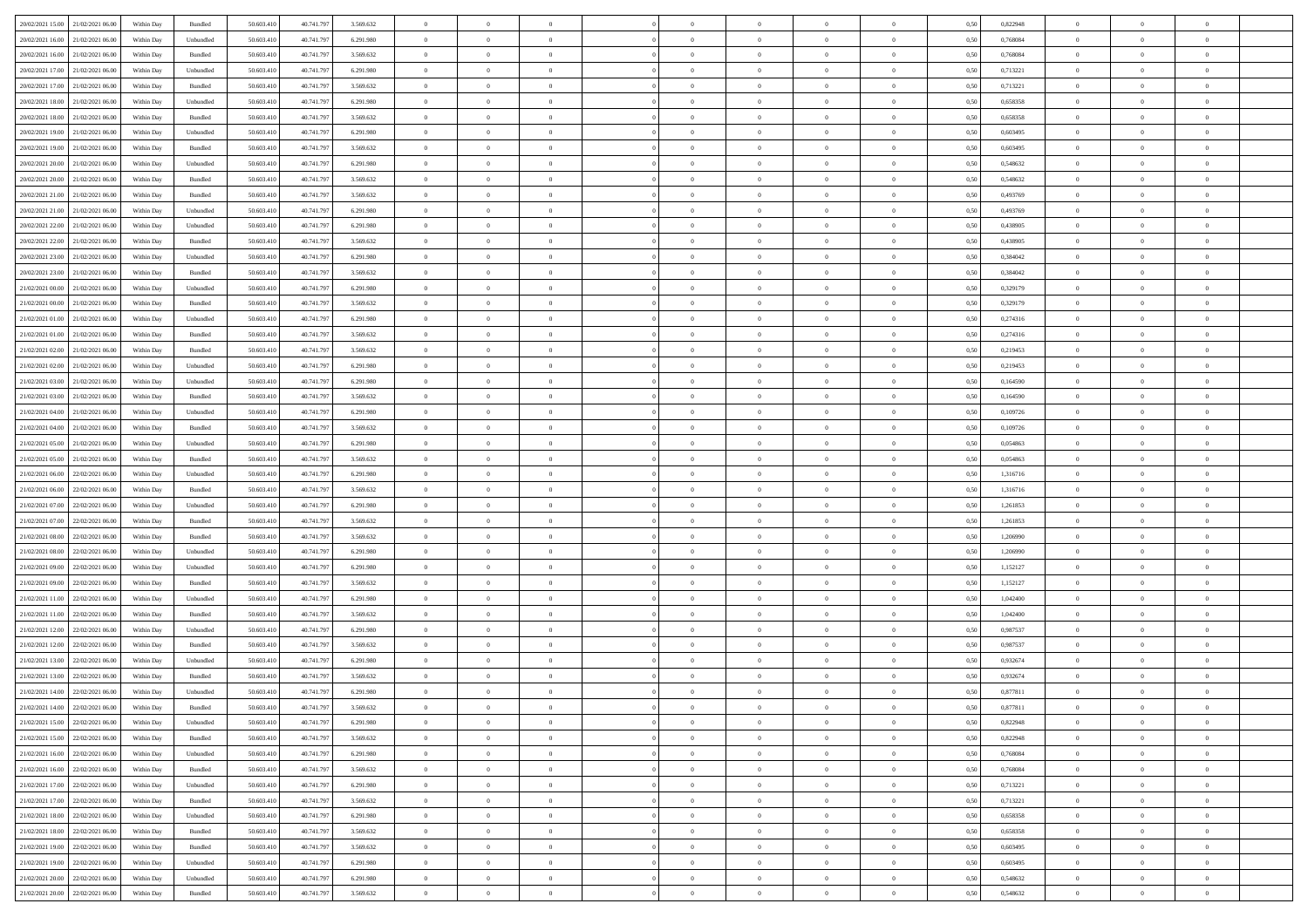|                                      |            |                    |            |            |           | $\overline{0}$ | $\overline{0}$ |                | $\overline{0}$ | $\theta$       |                | $\theta$       |      |          | $\theta$       | $\theta$       | $\overline{0}$ |  |
|--------------------------------------|------------|--------------------|------------|------------|-----------|----------------|----------------|----------------|----------------|----------------|----------------|----------------|------|----------|----------------|----------------|----------------|--|
| 20/02/2021 15:00 21/02/2021 06:00    | Within Day | Bundled            | 50.603.410 | 40.741.797 | 3.569.632 |                |                |                |                |                |                |                | 0,50 | 0,822948 |                |                |                |  |
| 20/02/2021 16:00<br>21/02/2021 06:00 | Within Day | Unbundled          | 50.603.41  | 40.741.79  | 6.291.980 | $\bf{0}$       | $\bf{0}$       | $\bf{0}$       | $\bf{0}$       | $\overline{0}$ | $\overline{0}$ | $\bf{0}$       | 0,50 | 0,768084 | $\,$ 0 $\,$    | $\bf{0}$       | $\overline{0}$ |  |
| 20/02/2021 16:00<br>21/02/2021 06:00 | Within Day | Bundled            | 50,603,410 | 40.741.797 | 3.569.632 | $\overline{0}$ | $\bf{0}$       | $\overline{0}$ | $\bf{0}$       | $\overline{0}$ | $\overline{0}$ | $\bf{0}$       | 0.50 | 0.768084 | $\overline{0}$ | $\overline{0}$ | $\bf{0}$       |  |
| 20/02/2021 17:00<br>21/02/2021 06:00 | Within Day | Unbundled          | 50.603.410 | 40.741.797 | 6.291.980 | $\overline{0}$ | $\overline{0}$ | $\overline{0}$ | $\overline{0}$ | $\theta$       | $\overline{0}$ | $\bf{0}$       | 0,50 | 0,713221 | $\,$ 0 $\,$    | $\,$ 0 $\,$    | $\overline{0}$ |  |
| 20/02/2021 17:00<br>21/02/2021 06.00 | Within Day | Bundled            | 50.603.41  | 40.741.79  | 3.569.632 | $\bf{0}$       | $\overline{0}$ | $\bf{0}$       | $\overline{0}$ | $\bf{0}$       | $\overline{0}$ | $\bf{0}$       | 0,50 | 0,713221 | $\,$ 0 $\,$    | $\bf{0}$       | $\overline{0}$ |  |
|                                      |            |                    |            |            |           |                |                |                |                |                |                |                |      |          |                |                |                |  |
| 20/02/2021 18:00<br>21/02/2021 06:00 | Within Day | Unbundled          | 50.603.41  | 40.741.79  | 6.291.980 | $\overline{0}$ | $\bf{0}$       | $\overline{0}$ | $\bf{0}$       | $\overline{0}$ | $\overline{0}$ | $\bf{0}$       | 0.50 | 0.658358 | $\bf{0}$       | $\theta$       | $\overline{0}$ |  |
| 20/02/2021 18:00<br>21/02/2021 06:00 | Within Day | Bundled            | 50.603.41  | 40.741.797 | 3.569.632 | $\overline{0}$ | $\overline{0}$ | $\overline{0}$ | $\overline{0}$ | $\overline{0}$ | $\overline{0}$ | $\bf{0}$       | 0,50 | 0,658358 | $\,$ 0 $\,$    | $\theta$       | $\overline{0}$ |  |
| 20/02/2021 19:00<br>21/02/2021 06:00 | Within Day | Unbundled          | 50.603.41  | 40.741.79  | 6.291.980 | $\bf{0}$       | $\bf{0}$       | $\bf{0}$       | $\overline{0}$ | $\overline{0}$ | $\overline{0}$ | $\bf{0}$       | 0,50 | 0,603495 | $\,$ 0 $\,$    | $\bf{0}$       | $\overline{0}$ |  |
| 20/02/2021 19:00<br>21/02/2021 06:00 | Within Day | Bundled            | 50.603.41  | 40.741.79  | 3.569.632 | $\overline{0}$ | $\bf{0}$       | $\overline{0}$ | $\bf{0}$       | $\overline{0}$ | $\overline{0}$ | $\bf{0}$       | 0.50 | 0.603495 | $\bf{0}$       | $\overline{0}$ | $\overline{0}$ |  |
| 20/02/2021 20:00<br>21/02/2021 06:00 | Within Day | Unbundled          | 50.603.410 | 40.741.797 | 6.291.980 | $\overline{0}$ | $\bf{0}$       | $\overline{0}$ | $\overline{0}$ | $\overline{0}$ | $\overline{0}$ | $\bf{0}$       | 0,50 | 0,548632 | $\,$ 0 $\,$    | $\,$ 0 $\,$    | $\overline{0}$ |  |
| 20/02/2021 20:00<br>21/02/2021 06:00 | Within Day | Bundled            | 50.603.41  | 40.741.79  | 3.569.632 | $\bf{0}$       | $\bf{0}$       | $\bf{0}$       | $\bf{0}$       | $\overline{0}$ | $\overline{0}$ | $\bf{0}$       | 0,50 | 0,548632 | $\,$ 0 $\,$    | $\bf{0}$       | $\overline{0}$ |  |
| 20/02/2021 21:00<br>21/02/2021 06:00 | Within Day | Bundled            | 50,603.41  | 40.741.797 | 3.569.632 | $\overline{0}$ | $\bf{0}$       | $\overline{0}$ | $\overline{0}$ | $\overline{0}$ | $\overline{0}$ | $\bf{0}$       | 0.50 | 0.493769 | $\bf{0}$       | $\,$ 0 $\,$    | $\,$ 0         |  |
| 20/02/2021 21:00<br>21/02/2021 06:00 | Within Day | Unbundled          | 50.603.41  | 40.741.797 | 6.291.980 | $\overline{0}$ | $\bf{0}$       | $\overline{0}$ | $\theta$       | $\theta$       | $\overline{0}$ | $\bf{0}$       | 0,50 | 0,493769 | $\,$ 0 $\,$    | $\,$ 0 $\,$    | $\overline{0}$ |  |
|                                      |            |                    |            |            |           |                |                |                |                |                |                |                |      |          |                |                |                |  |
| 20/02/2021 22:00<br>21/02/2021 06:00 | Within Day | Unbundled          | 50.603.41  | 40.741.79  | 6.291.980 | $\bf{0}$       | $\overline{0}$ | $\bf{0}$       | $\bf{0}$       | $\bf{0}$       | $\overline{0}$ | $\bf{0}$       | 0,50 | 0,438905 | $\,$ 0 $\,$    | $\bf{0}$       | $\overline{0}$ |  |
| 20/02/2021 22:00<br>21/02/2021 06:00 | Within Day | Bundled            | 50.603.41  | 40.741.797 | 3.569.632 | $\overline{0}$ | $\bf{0}$       | $\overline{0}$ | $\bf{0}$       | $\overline{0}$ | $\overline{0}$ | $\bf{0}$       | 0.50 | 0.438905 | $\,$ 0 $\,$    | $\bf{0}$       | $\overline{0}$ |  |
| 20/02/2021 23:00<br>21/02/2021 06:00 | Within Day | Unbundled          | 50.603.410 | 40.741.797 | 6.291.980 | $\overline{0}$ | $\overline{0}$ | $\overline{0}$ | $\overline{0}$ | $\overline{0}$ | $\overline{0}$ | $\bf{0}$       | 0,50 | 0,384042 | $\theta$       | $\theta$       | $\overline{0}$ |  |
| 20/02/2021 23:00<br>21/02/2021 06.00 | Within Day | Bundled            | 50.603.41  | 40.741.79  | 3.569.632 | $\bf{0}$       | $\bf{0}$       | $\bf{0}$       | $\overline{0}$ | $\overline{0}$ | $\overline{0}$ | $\bf{0}$       | 0,50 | 0,384042 | $\,$ 0 $\,$    | $\bf{0}$       | $\overline{0}$ |  |
| 21/02/2021 00:00<br>21/02/2021 06:00 | Within Day | Unbundled          | 50,603.41  | 40.741.79  | 6.291.980 | $\overline{0}$ | $\bf{0}$       | $\overline{0}$ | $\bf{0}$       | $\overline{0}$ | $\overline{0}$ | $\bf{0}$       | 0.50 | 0.329179 | $\bf{0}$       | $\overline{0}$ | $\bf{0}$       |  |
| 21/02/2021 00:00<br>21/02/2021 06:00 | Within Day | Bundled            | 50.603.410 | 40.741.797 | 3.569.632 | $\overline{0}$ | $\bf{0}$       | $\overline{0}$ | $\overline{0}$ | $\overline{0}$ | $\overline{0}$ | $\bf{0}$       | 0,50 | 0,329179 | $\,$ 0 $\,$    | $\bf{0}$       | $\overline{0}$ |  |
| 21/02/2021 01:00<br>21/02/2021 06:00 | Within Day | Unbundled          | 50.603.41  | 40.741.79  | 6.291.980 | $\bf{0}$       | $\bf{0}$       | $\bf{0}$       | $\bf{0}$       | $\overline{0}$ | $\overline{0}$ | $\bf{0}$       | 0,50 | 0,274316 | $\,$ 0 $\,$    | $\bf{0}$       | $\overline{0}$ |  |
|                                      |            |                    |            |            |           |                |                |                |                |                |                |                |      |          |                |                |                |  |
| 21/02/2021 01:00<br>21/02/2021 06:00 | Within Day | Bundled            | 50,603,410 | 40.741.797 | 3.569.632 | $\overline{0}$ | $\bf{0}$       | $\overline{0}$ | $\overline{0}$ | $\bf{0}$       | $\overline{0}$ | $\bf{0}$       | 0.50 | 0,274316 | $\bf{0}$       | $\,$ 0 $\,$    | $\,$ 0         |  |
| 21/02/2021 02:00<br>21/02/2021 06:00 | Within Day | Bundled            | 50.603.41  | 40.741.797 | 3.569.632 | $\overline{0}$ | $\overline{0}$ | $\overline{0}$ | $\overline{0}$ | $\theta$       | $\overline{0}$ | $\bf{0}$       | 0,50 | 0,219453 | $\theta$       | $\theta$       | $\overline{0}$ |  |
| 21/02/2021 02:00<br>21/02/2021 06:00 | Within Day | Unbundled          | 50.603.41  | 40.741.79  | 6.291.980 | $\bf{0}$       | $\bf{0}$       | $\bf{0}$       | $\bf{0}$       | $\overline{0}$ | $\overline{0}$ | $\bf{0}$       | 0,50 | 0,219453 | $\,$ 0 $\,$    | $\bf{0}$       | $\overline{0}$ |  |
| 21/02/2021 03:00<br>21/02/2021 06:00 | Within Day | Unbundled          | 50.603.41  | 40.741.79  | 6.291.980 | $\overline{0}$ | $\bf{0}$       | $\overline{0}$ | $\bf{0}$       | $\overline{0}$ | $\overline{0}$ | $\bf{0}$       | 0.50 | 0.164590 | $\,$ 0 $\,$    | $\overline{0}$ | $\overline{0}$ |  |
| 21/02/2021 03:00<br>21/02/2021 06:00 | Within Day | Bundled            | 50.603.410 | 40.741.797 | 3.569.632 | $\overline{0}$ | $\overline{0}$ | $\overline{0}$ | $\overline{0}$ | $\overline{0}$ | $\overline{0}$ | $\bf{0}$       | 0,50 | 0,164590 | $\,$ 0 $\,$    | $\theta$       | $\overline{0}$ |  |
| 21/02/2021 04:00<br>21/02/2021 06.00 | Within Day | Unbundled          | 50.603.41  | 40.741.79  | 6.291.980 | $\bf{0}$       | $\overline{0}$ | $\bf{0}$       | $\overline{0}$ | $\overline{0}$ | $\overline{0}$ | $\bf{0}$       | 0,50 | 0,109726 | $\,$ 0 $\,$    | $\bf{0}$       | $\overline{0}$ |  |
| 21/02/2021 04:00<br>21/02/2021 06:00 | Within Day | Bundled            | 50,603.41  | 40.741.79  | 3.569.632 | $\overline{0}$ | $\bf{0}$       | $\overline{0}$ | $\bf{0}$       | $\overline{0}$ | $\overline{0}$ | $\bf{0}$       | 0.50 | 0.109726 | $\bf{0}$       | $\overline{0}$ | $\overline{0}$ |  |
| 21/02/2021 05:00<br>21/02/2021 06:00 | Within Day | Unbundled          | 50.603.410 | 40.741.797 | 6.291.980 | $\overline{0}$ | $\bf{0}$       | $\overline{0}$ | $\overline{0}$ | $\overline{0}$ | $\overline{0}$ | $\bf{0}$       | 0,50 | 0,054863 | $\theta$       | $\bf{0}$       | $\overline{0}$ |  |
|                                      |            |                    |            |            |           |                |                |                |                |                |                |                |      |          |                |                |                |  |
| 21/02/2021 05:00<br>21/02/2021 06:00 | Within Day | Bundled            | 50.603.41  | 40.741.79  | 3.569.632 | $\bf{0}$       | $\bf{0}$       | $\bf{0}$       | $\bf{0}$       | $\overline{0}$ | $\overline{0}$ | $\bf{0}$       | 0,50 | 0,054863 | $\,$ 0 $\,$    | $\bf{0}$       | $\overline{0}$ |  |
| 21/02/2021 06:00<br>22/02/2021 06:00 | Within Day | Unbundled          | 50.603.41  | 40.741.797 | 6.291.980 | $\overline{0}$ | $\bf{0}$       | $\overline{0}$ | $\overline{0}$ | $\overline{0}$ | $\overline{0}$ | $\bf{0}$       | 0.50 | 1.316716 | $\bf{0}$       | $\,$ 0 $\,$    | $\,$ 0         |  |
| 21/02/2021 06:00<br>22/02/2021 06:00 | Within Day | Bundled            | 50.603.41  | 40.741.797 | 3.569.632 | $\overline{0}$ | $\overline{0}$ | $\overline{0}$ | $\overline{0}$ | $\overline{0}$ | $\overline{0}$ | $\bf{0}$       | 0.50 | 1,316716 | $\theta$       | $\theta$       | $\overline{0}$ |  |
| 21/02/2021 07:00<br>22/02/2021 06.00 | Within Day | Unbundled          | 50.603.41  | 40.741.79  | 6.291.980 | $\bf{0}$       | $\bf{0}$       | $\bf{0}$       | $\bf{0}$       | $\overline{0}$ | $\overline{0}$ | $\bf{0}$       | 0,50 | 1,261853 | $\,$ 0 $\,$    | $\bf{0}$       | $\overline{0}$ |  |
| 21/02/2021 07:00<br>22/02/2021 06:00 | Within Day | Bundled            | 50,603.41  | 40.741.797 | 3.569.632 | $\overline{0}$ | $\bf{0}$       | $\overline{0}$ | $\bf{0}$       | $\overline{0}$ | $\overline{0}$ | $\bf{0}$       | 0.50 | 1.261853 | $\,$ 0 $\,$    | $\bf{0}$       | $\overline{0}$ |  |
| 21/02/2021 08:00<br>22/02/2021 06:00 | Within Dav | Bundled            | 50.603.410 | 40.741.797 | 3.569.632 | $\overline{0}$ | $\overline{0}$ | $\overline{0}$ | $\overline{0}$ | $\overline{0}$ | $\overline{0}$ | $\bf{0}$       | 0.50 | 1.206990 | $\theta$       | $\theta$       | $\overline{0}$ |  |
| 21/02/2021 08:00<br>22/02/2021 06:00 | Within Day | Unbundled          | 50.603.41  | 40.741.79  | 6.291.980 | $\bf{0}$       | $\bf{0}$       | $\bf{0}$       | $\bf{0}$       | $\overline{0}$ | $\overline{0}$ | $\bf{0}$       | 0,50 | 1,206990 | $\,$ 0 $\,$    | $\bf{0}$       | $\overline{0}$ |  |
| 21/02/2021 09:00<br>22/02/2021 06:00 | Within Day | Unbundled          | 50,603.41  | 40.741.79  | 6.291.980 | $\overline{0}$ | $\bf{0}$       | $\overline{0}$ | $\bf{0}$       | $\overline{0}$ | $\overline{0}$ | $\bf{0}$       | 0.50 | 1.152127 | $\bf{0}$       | $\overline{0}$ | $\bf{0}$       |  |
|                                      |            |                    |            |            |           |                |                |                |                |                |                |                |      |          |                |                |                |  |
| 21/02/2021 09:00<br>22/02/2021 06:00 | Within Dav | Bundled            | 50.603.41  | 40.741.797 | 3.569.632 | $\overline{0}$ | $\overline{0}$ | $\overline{0}$ | $\overline{0}$ | $\overline{0}$ | $\overline{0}$ | $\bf{0}$       | 0.50 | 1,152127 | $\theta$       | $\theta$       | $\overline{0}$ |  |
| 21/02/2021 11:00<br>22/02/2021 06.00 | Within Day | Unbundled          | 50.603.41  | 40.741.79  | 6.291.980 | $\bf{0}$       | $\bf{0}$       | $\bf{0}$       | $\bf{0}$       | $\overline{0}$ | $\bf{0}$       | $\bf{0}$       | 0,50 | 1,042400 | $\,$ 0 $\,$    | $\bf{0}$       | $\overline{0}$ |  |
| 21/02/2021 11:00<br>22/02/2021 06:00 | Within Day | Bundled            | 50.603.41  | 40.741.797 | 3.569.632 | $\overline{0}$ | $\bf{0}$       | $\overline{0}$ | $\overline{0}$ | $\bf{0}$       | $\overline{0}$ | $\bf{0}$       | 0.50 | 1.042400 | $\bf{0}$       | $\,$ 0 $\,$    | $\,$ 0         |  |
| 21/02/2021 12:00<br>22/02/2021 06:00 | Within Dav | Unbundled          | 50.603.410 | 40.741.797 | 6.291.980 | $\overline{0}$ | $\overline{0}$ | $\overline{0}$ | $\overline{0}$ | $\overline{0}$ | $\overline{0}$ | $\bf{0}$       | 0.50 | 0,987537 | $\theta$       | $\theta$       | $\overline{0}$ |  |
| 21/02/2021 12:00<br>22/02/2021 06:00 | Within Day | Bundled            | 50.603.41  | 40.741.79  | 3.569.632 | $\bf{0}$       | $\bf{0}$       | $\bf{0}$       | $\bf{0}$       | $\overline{0}$ | $\overline{0}$ | $\bf{0}$       | 0,50 | 0,987537 | $\,$ 0 $\,$    | $\bf{0}$       | $\overline{0}$ |  |
| 21/02/2021 13:00<br>22/02/2021 06:00 | Within Day | Unbundled          | 50.603.41  | 40.741.79  | 6.291.980 | $\overline{0}$ | $\bf{0}$       | $\overline{0}$ | $\bf{0}$       | $\overline{0}$ | $\overline{0}$ | $\bf{0}$       | 0.50 | 0.932674 | $\bf{0}$       | $\theta$       | $\overline{0}$ |  |
| 21/02/2021 13:00<br>22/02/2021 06:00 | Within Day | Bundled            | 50.603.41  | 40.741.797 | 3.569.632 | $\overline{0}$ | $\overline{0}$ | $\Omega$       | $\overline{0}$ | $\theta$       | $\overline{0}$ | $\overline{0}$ | 0.5( | 0,932674 | $\theta$       | $\theta$       | $\overline{0}$ |  |
| 21/02/2021 14:00<br>22/02/2021 06:00 | Within Day | Unbundled          | 50.603.41  | 40.741.79  | 6.291.980 | $\bf{0}$       | $\bf{0}$       | $\bf{0}$       | $\bf{0}$       | $\bf{0}$       | $\overline{0}$ | $\bf{0}$       | 0,50 | 0,877811 | $\overline{0}$ | $\bf{0}$       | $\overline{0}$ |  |
| 21/02/2021 14:00 22/02/2021 06:00    | Within Day | $\mathbf B$ undled | 50.603.410 | 40.741.797 | 3 569 632 | $\bf{0}$       | $\theta$       |                | $\overline{0}$ |                |                |                | 0,50 | 0,877811 | $\bf{0}$       | $\bf{0}$       |                |  |
|                                      |            |                    |            |            |           |                |                |                |                |                |                |                |      |          |                |                |                |  |
| 21/02/2021 15:00 22/02/2021 06:00    | Within Day | Unbundled          | 50.603.410 | 40.741.797 | 6.291.980 | $\overline{0}$ | $\overline{0}$ | $\Omega$       | $\theta$       | $\overline{0}$ | $\overline{0}$ | $\bf{0}$       | 0,50 | 0,822948 | $\theta$       | $\theta$       | $\overline{0}$ |  |
| 21/02/2021 15:00<br>22/02/2021 06:00 | Within Day | Bundled            | 50.603.41  | 40.741.79  | 3.569.632 | $\overline{0}$ | $\bf{0}$       | $\overline{0}$ | $\overline{0}$ | $\bf{0}$       | $\overline{0}$ | $\bf{0}$       | 0,50 | 0,822948 | $\bf{0}$       | $\overline{0}$ | $\bf{0}$       |  |
| 21/02/2021 16:00 22/02/2021 06:00    | Within Day | Unbundled          | 50,603.410 | 40.741.797 | 6.291.980 | $\overline{0}$ | $\overline{0}$ | $\overline{0}$ | $\overline{0}$ | $\mathbf{0}$   | $\overline{0}$ | $\,$ 0 $\,$    | 0.50 | 0.768084 | $\overline{0}$ | $\bf{0}$       | $\bf{0}$       |  |
| 21/02/2021 16:00 22/02/2021 06:00    | Within Dav | Bundled            | 50.603.410 | 40.741.797 | 3.569.632 | $\overline{0}$ | $\overline{0}$ | $\overline{0}$ | $\overline{0}$ | $\overline{0}$ | $\overline{0}$ | $\bf{0}$       | 0,50 | 0,768084 | $\overline{0}$ | $\theta$       | $\overline{0}$ |  |
| 21/02/2021 17:00<br>22/02/2021 06:00 | Within Day | Unbundled          | 50.603.41  | 40.741.797 | 6.291.980 | $\overline{0}$ | $\bf{0}$       | $\overline{0}$ | $\overline{0}$ | $\bf{0}$       | $\overline{0}$ | $\bf{0}$       | 0,50 | 0,713221 | $\bf{0}$       | $\overline{0}$ | $\overline{0}$ |  |
| 21/02/2021 17:00 22/02/2021 06:00    | Within Day | Bundled            | 50,603.410 | 40.741.797 | 3.569.632 | $\overline{0}$ | $\bf{0}$       | $\overline{0}$ | $\overline{0}$ | $\bf{0}$       | $\overline{0}$ | $\bf{0}$       | 0.50 | 0,713221 | $\,$ 0 $\,$    | $\overline{0}$ | $\,$ 0         |  |
| 21/02/2021 18:00 22/02/2021 06:00    | Within Dav | Unbundled          | 50.603.410 | 40.741.797 | 6.291.980 | $\overline{0}$ | $\overline{0}$ | $\overline{0}$ | $\overline{0}$ | $\overline{0}$ | $\overline{0}$ | $\bf{0}$       | 0.50 | 0,658358 | $\overline{0}$ | $\theta$       | $\overline{0}$ |  |
|                                      |            |                    |            |            |           |                |                |                |                |                |                |                |      |          |                |                |                |  |
| 22/02/2021 06:00<br>21/02/2021 18:00 | Within Day | Bundled            | 50.603.41  | 40.741.797 | 3.569.632 | $\overline{0}$ | $\overline{0}$ | $\overline{0}$ | $\overline{0}$ | $\overline{0}$ | $\overline{0}$ | $\bf{0}$       | 0,50 | 0,658358 | $\bf{0}$       | $\overline{0}$ | $\,$ 0         |  |
| 21/02/2021 19:00 22/02/2021 06:00    | Within Day | Bundled            | 50,603.410 | 40.741.797 | 3.569.632 | $\overline{0}$ | $\overline{0}$ | $\overline{0}$ | $\overline{0}$ | $\overline{0}$ | $\overline{0}$ | $\bf{0}$       | 0.50 | 0.603495 | $\mathbf{0}$   | $\bf{0}$       | $\,$ 0         |  |
| 21/02/2021 19:00 22/02/2021 06:00    | Within Dav | Unbundled          | 50.603.410 | 40.741.797 | 6.291.980 | $\overline{0}$ | $\overline{0}$ | $\overline{0}$ | $\overline{0}$ | $\overline{0}$ | $\overline{0}$ | $\bf{0}$       | 0,50 | 0,603495 | $\overline{0}$ | $\theta$       | $\overline{0}$ |  |
| 21/02/2021 20:00<br>22/02/2021 06:00 | Within Day | Unbundled          | 50.603.41  | 40.741.79  | 6.291.980 | $\overline{0}$ | $\bf{0}$       | $\overline{0}$ | $\overline{0}$ | $\overline{0}$ | $\overline{0}$ | $\bf{0}$       | 0,50 | 0,548632 | $\bf{0}$       | $\,$ 0 $\,$    | $\bf{0}$       |  |
| 21/02/2021 20:00 22/02/2021 06:00    | Within Day | Bundled            | 50.603.410 | 40.741.797 | 3.569.632 | $\,$ 0 $\,$    | $\bf{0}$       | $\overline{0}$ | $\overline{0}$ | $\,$ 0 $\,$    | $\overline{0}$ | $\,$ 0 $\,$    | 0,50 | 0,548632 | $\overline{0}$ | $\,$ 0 $\,$    | $\,$ 0 $\,$    |  |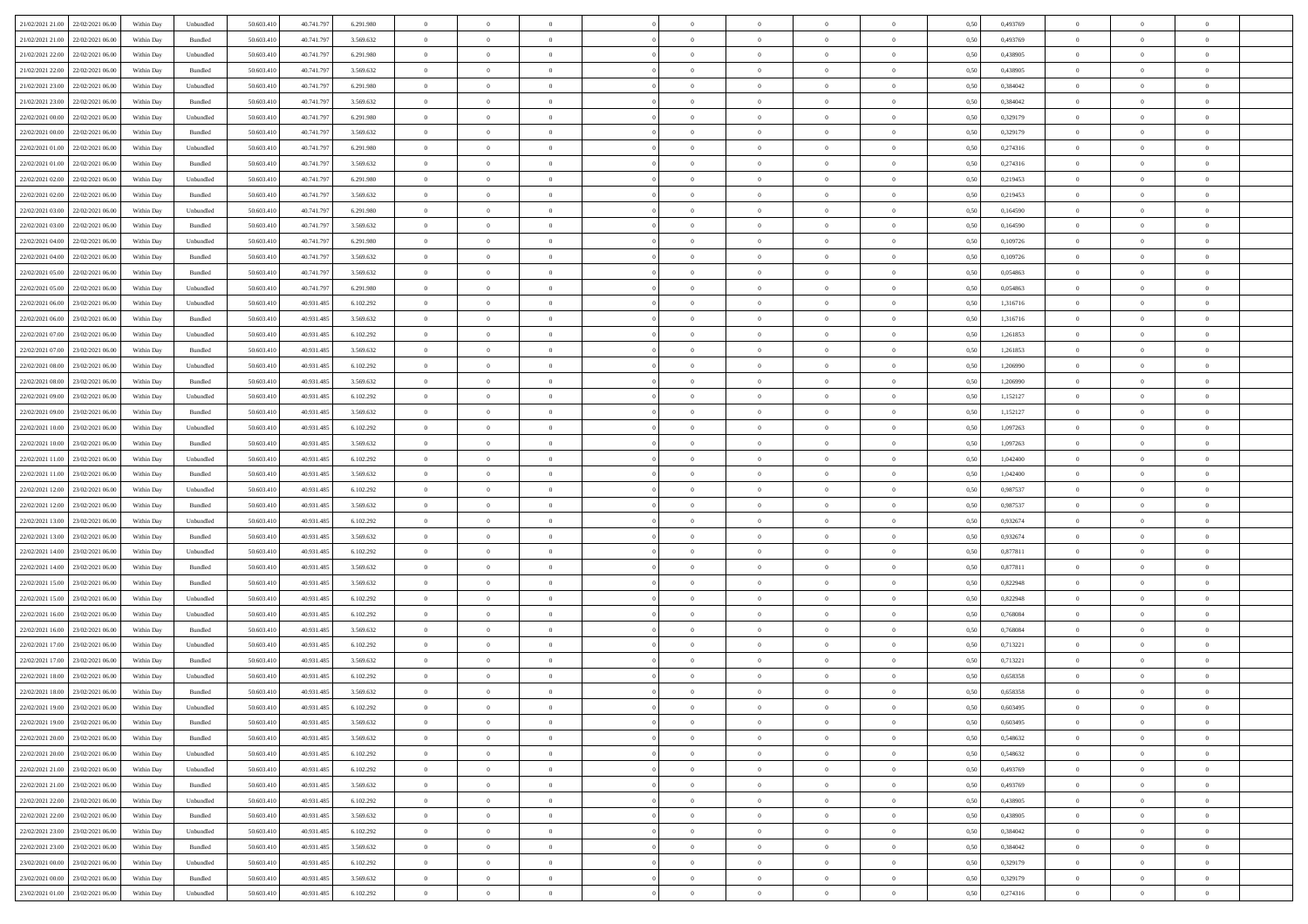| 21/02/2021 21:00 22/02/2021 06:00    | Within Day | Unbundled                   | 50.603.410 | 40.741.797 | 6.291.980 | $\overline{0}$ | $\overline{0}$ |                | $\overline{0}$ | $\theta$       |                | $\theta$       | 0,50 | 0,493769 | $\theta$       | $\theta$       | $\overline{0}$ |  |
|--------------------------------------|------------|-----------------------------|------------|------------|-----------|----------------|----------------|----------------|----------------|----------------|----------------|----------------|------|----------|----------------|----------------|----------------|--|
| 21/02/2021 21:00<br>22/02/2021 06:00 | Within Day | Bundled                     | 50.603.41  | 40.741.79  | 3.569.632 | $\bf{0}$       | $\bf{0}$       | $\bf{0}$       | $\bf{0}$       | $\overline{0}$ | $\overline{0}$ | $\bf{0}$       | 0,50 | 0,493769 | $\,$ 0 $\,$    | $\bf{0}$       | $\overline{0}$ |  |
| 21/02/2021 22:00<br>22/02/2021 06:00 | Within Day | Unbundled                   | 50.603.41  | 40.741.797 | 6.291.980 | $\overline{0}$ | $\bf{0}$       | $\overline{0}$ | $\bf{0}$       | $\bf{0}$       | $\overline{0}$ | $\bf{0}$       | 0.50 | 0.438905 | $\bf{0}$       | $\overline{0}$ | $\bf{0}$       |  |
| 21/02/2021 22:00<br>22/02/2021 06:00 | Within Day | Bundled                     | 50.603.41  | 40.741.797 | 3.569.632 | $\overline{0}$ | $\overline{0}$ | $\overline{0}$ | $\overline{0}$ | $\theta$       | $\overline{0}$ | $\bf{0}$       | 0,50 | 0,438905 | $\theta$       | $\,$ 0 $\,$    | $\overline{0}$ |  |
| 21/02/2021 23:00<br>22/02/2021 06.00 | Within Day | Unbundled                   | 50.603.41  | 40.741.79  | 6.291.980 | $\bf{0}$       | $\overline{0}$ | $\bf{0}$       | $\overline{0}$ | $\bf{0}$       | $\overline{0}$ | $\bf{0}$       | 0,50 | 0,384042 | $\,$ 0 $\,$    | $\bf{0}$       | $\overline{0}$ |  |
|                                      |            |                             |            |            |           |                |                |                |                |                |                |                |      |          |                |                |                |  |
| 21/02/2021 23:00<br>22/02/2021 06:00 | Within Day | Bundled                     | 50.603.41  | 40.741.797 | 3.569.632 | $\overline{0}$ | $\bf{0}$       | $\overline{0}$ | $\bf{0}$       | $\overline{0}$ | $\overline{0}$ | $\bf{0}$       | 0.50 | 0.384042 | $\,$ 0 $\,$    | $\theta$       | $\overline{0}$ |  |
| 22/02/2021 00:00<br>22/02/2021 06:00 | Within Day | Unbundled                   | 50.603.41  | 40.741.797 | 6.291.980 | $\overline{0}$ | $\overline{0}$ | $\overline{0}$ | $\overline{0}$ | $\overline{0}$ | $\overline{0}$ | $\bf{0}$       | 0,50 | 0,329179 | $\,$ 0 $\,$    | $\theta$       | $\overline{0}$ |  |
| 22/02/2021 00:00<br>22/02/2021 06:00 | Within Day | Bundled                     | 50.603.41  | 40.741.79  | 3.569.632 | $\bf{0}$       | $\bf{0}$       | $\bf{0}$       | $\overline{0}$ | $\overline{0}$ | $\overline{0}$ | $\bf{0}$       | 0,50 | 0,329179 | $\,$ 0 $\,$    | $\bf{0}$       | $\overline{0}$ |  |
| 22/02/2021 01:00<br>22/02/2021 06:00 | Within Day | Unbundled                   | 50.603.41  | 40.741.79  | 6.291.980 | $\overline{0}$ | $\bf{0}$       | $\overline{0}$ | $\bf{0}$       | $\overline{0}$ | $\overline{0}$ | $\bf{0}$       | 0.50 | 0,274316 | $\bf{0}$       | $\overline{0}$ | $\overline{0}$ |  |
| 22/02/2021 01:00<br>22/02/2021 06:00 | Within Day | Bundled                     | 50.603.410 | 40.741.797 | 3.569.632 | $\overline{0}$ | $\bf{0}$       | $\overline{0}$ | $\overline{0}$ | $\overline{0}$ | $\overline{0}$ | $\bf{0}$       | 0,50 | 0,274316 | $\,$ 0 $\,$    | $\,$ 0 $\,$    | $\overline{0}$ |  |
| 22/02/2021 02:00<br>22/02/2021 06.00 | Within Day | Unbundled                   | 50.603.41  | 40.741.79  | 6.291.980 | $\bf{0}$       | $\bf{0}$       | $\bf{0}$       | $\bf{0}$       | $\overline{0}$ | $\overline{0}$ | $\bf{0}$       | 0,50 | 0,219453 | $\,$ 0 $\,$    | $\bf{0}$       | $\overline{0}$ |  |
| 22/02/2021 02:00<br>22/02/2021 06:00 | Within Day | Bundled                     | 50.603.41  | 40.741.797 | 3.569.632 | $\overline{0}$ | $\bf{0}$       | $\overline{0}$ | $\overline{0}$ | $\overline{0}$ | $\overline{0}$ | $\bf{0}$       | 0.50 | 0,219453 | $\bf{0}$       | $\,$ 0 $\,$    | $\,$ 0         |  |
|                                      |            |                             |            |            |           | $\overline{0}$ |                | $\overline{0}$ | $\theta$       | $\theta$       | $\overline{0}$ |                |      |          | $\,$ 0 $\,$    | $\,$ 0 $\,$    |                |  |
| 22/02/2021 03:00<br>22/02/2021 06:00 | Within Day | Unbundled                   | 50.603.41  | 40.741.797 | 6.291.980 |                | $\bf{0}$       |                |                |                |                | $\bf{0}$       | 0,50 | 0,164590 |                |                | $\overline{0}$ |  |
| 22/02/2021 03:00<br>22/02/2021 06:00 | Within Day | Bundled                     | 50.603.41  | 40.741.79  | 3.569.632 | $\bf{0}$       | $\overline{0}$ | $\bf{0}$       | $\bf{0}$       | $\overline{0}$ | $\overline{0}$ | $\bf{0}$       | 0,50 | 0,164590 | $\,$ 0 $\,$    | $\bf{0}$       | $\overline{0}$ |  |
| 22/02/2021 04:00<br>22/02/2021 06:00 | Within Day | Unbundled                   | 50.603.41  | 40.741.797 | 6.291.980 | $\overline{0}$ | $\bf{0}$       | $\overline{0}$ | $\bf{0}$       | $\overline{0}$ | $\overline{0}$ | $\bf{0}$       | 0.50 | 0.109726 | $\,$ 0 $\,$    | $\bf{0}$       | $\overline{0}$ |  |
| 22/02/2021 04:00<br>22/02/2021 06:00 | Within Day | Bundled                     | 50.603.410 | 40.741.797 | 3.569.632 | $\overline{0}$ | $\overline{0}$ | $\overline{0}$ | $\overline{0}$ | $\overline{0}$ | $\overline{0}$ | $\bf{0}$       | 0,50 | 0,109726 | $\theta$       | $\theta$       | $\overline{0}$ |  |
| 22/02/2021 05:00<br>22/02/2021 06.00 | Within Day | Bundled                     | 50.603.41  | 40.741.79  | 3.569.632 | $\bf{0}$       | $\bf{0}$       | $\bf{0}$       | $\overline{0}$ | $\overline{0}$ | $\overline{0}$ | $\bf{0}$       | 0,50 | 0,054863 | $\,$ 0 $\,$    | $\bf{0}$       | $\overline{0}$ |  |
| 22/02/2021 05:00<br>22/02/2021 06:00 | Within Day | Unbundled                   | 50.603.41  | 40.741.79  | 6.291.980 | $\overline{0}$ | $\bf{0}$       | $\overline{0}$ | $\bf{0}$       | $\bf{0}$       | $\overline{0}$ | $\bf{0}$       | 0.50 | 0.054863 | $\bf{0}$       | $\overline{0}$ | $\bf{0}$       |  |
| 22/02/2021 06:00<br>23/02/2021 06:00 | Within Day | Unbundled                   | 50.603.410 | 40.931.485 | 6.102.292 | $\bf{0}$       | $\bf{0}$       | $\overline{0}$ | $\overline{0}$ | $\overline{0}$ | $\overline{0}$ | $\bf{0}$       | 0,50 | 1,316716 | $\,$ 0 $\,$    | $\bf{0}$       | $\overline{0}$ |  |
| 22/02/2021 06:00<br>23/02/2021 06:00 | Within Day | Bundled                     | 50.603.41  | 40.931.485 | 3.569.632 | $\bf{0}$       | $\bf{0}$       | $\bf{0}$       | $\bf{0}$       | $\overline{0}$ | $\overline{0}$ | $\bf{0}$       | 0,50 | 1,316716 | $\,$ 0 $\,$    | $\bf{0}$       | $\overline{0}$ |  |
|                                      |            |                             |            |            |           |                |                |                |                |                |                |                |      |          |                |                |                |  |
| 22/02/2021 07:00<br>23/02/2021 06:00 | Within Day | Unbundled                   | 50.603.41  | 40.931.485 | 6.102.292 | $\overline{0}$ | $\bf{0}$       | $\overline{0}$ | $\overline{0}$ | $\bf{0}$       | $\overline{0}$ | $\bf{0}$       | 0.50 | 1.261853 | $\,$ 0 $\,$    | $\,$ 0 $\,$    | $\,$ 0         |  |
| 22/02/2021 07:00<br>23/02/2021 06:00 | Within Day | Bundled                     | 50.603.41  | 40.931.485 | 3.569.632 | $\overline{0}$ | $\overline{0}$ | $\overline{0}$ | $\overline{0}$ | $\theta$       | $\overline{0}$ | $\bf{0}$       | 0,50 | 1,261853 | $\,$ 0 $\,$    | $\theta$       | $\overline{0}$ |  |
| 22/02/2021 08:00<br>23/02/2021 06.00 | Within Day | Unbundled                   | 50.603.41  | 40.931.485 | 6.102.292 | $\bf{0}$       | $\bf{0}$       | $\bf{0}$       | $\bf{0}$       | $\overline{0}$ | $\overline{0}$ | $\bf{0}$       | 0,50 | 1,206990 | $\,$ 0 $\,$    | $\bf{0}$       | $\overline{0}$ |  |
| 22/02/2021 08:00<br>23/02/2021 06:00 | Within Day | Bundled                     | 50.603.41  | 40.931.485 | 3.569.632 | $\overline{0}$ | $\bf{0}$       | $\overline{0}$ | $\bf{0}$       | $\overline{0}$ | $\overline{0}$ | $\bf{0}$       | 0.50 | 1.206990 | $\bf{0}$       | $\bf{0}$       | $\overline{0}$ |  |
| 22/02/2021 09:00<br>23/02/2021 06:00 | Within Day | Unbundled                   | 50.603.410 | 40.931.485 | 6.102.292 | $\overline{0}$ | $\overline{0}$ | $\overline{0}$ | $\overline{0}$ | $\overline{0}$ | $\overline{0}$ | $\bf{0}$       | 0,50 | 1,152127 | $\,$ 0 $\,$    | $\theta$       | $\overline{0}$ |  |
| 22/02/2021 09:00<br>23/02/2021 06.00 | Within Day | Bundled                     | 50.603.41  | 40.931.485 | 3.569.632 | $\bf{0}$       | $\overline{0}$ | $\bf{0}$       | $\overline{0}$ | $\overline{0}$ | $\overline{0}$ | $\bf{0}$       | 0,50 | 1,152127 | $\,$ 0 $\,$    | $\bf{0}$       | $\overline{0}$ |  |
| 22/02/2021 10:00<br>23/02/2021 06:00 | Within Day | Unbundled                   | 50,603.41  | 40.931.485 | 6.102.292 | $\overline{0}$ | $\bf{0}$       | $\overline{0}$ | $\bf{0}$       | $\overline{0}$ | $\overline{0}$ | $\bf{0}$       | 0.50 | 1.097263 | $\bf{0}$       | $\overline{0}$ | $\overline{0}$ |  |
| 22/02/2021 10:00<br>23/02/2021 06:00 | Within Day | Bundled                     | 50.603.410 | 40.931.485 | 3.569.632 | $\overline{0}$ | $\bf{0}$       | $\overline{0}$ | $\overline{0}$ | $\overline{0}$ | $\overline{0}$ | $\bf{0}$       | 0,50 | 1,097263 | $\,$ 0 $\,$    | $\bf{0}$       | $\overline{0}$ |  |
|                                      |            |                             |            |            |           |                |                |                |                |                |                |                |      |          |                |                |                |  |
| 22/02/2021 11:00<br>23/02/2021 06:00 | Within Day | Unbundled                   | 50.603.41  | 40.931.485 | 6.102.292 | $\bf{0}$       | $\bf{0}$       | $\bf{0}$       | $\bf{0}$       | $\overline{0}$ | $\overline{0}$ | $\bf{0}$       | 0,50 | 1,042400 | $\,$ 0 $\,$    | $\bf{0}$       | $\overline{0}$ |  |
| 22/02/2021 11:00<br>23/02/2021 06:00 | Within Day | Bundled                     | 50.603.41  | 40.931.485 | 3.569.632 | $\overline{0}$ | $\bf{0}$       | $\overline{0}$ | $\overline{0}$ | $\bf{0}$       | $\overline{0}$ | $\bf{0}$       | 0.50 | 1.042400 | $\bf{0}$       | $\,$ 0 $\,$    | $\,$ 0         |  |
| 22/02/2021 12:00<br>23/02/2021 06:00 | Within Day | Unbundled                   | 50.603.41  | 40.931.485 | 6.102.292 | $\overline{0}$ | $\overline{0}$ | $\overline{0}$ | $\overline{0}$ | $\overline{0}$ | $\overline{0}$ | $\bf{0}$       | 0.50 | 0,987537 | $\theta$       | $\theta$       | $\overline{0}$ |  |
| 22/02/2021 12:00<br>23/02/2021 06.00 | Within Day | Bundled                     | 50.603.41  | 40.931.485 | 3.569.632 | $\bf{0}$       | $\bf{0}$       | $\bf{0}$       | $\bf{0}$       | $\overline{0}$ | $\overline{0}$ | $\bf{0}$       | 0,50 | 0,987537 | $\,$ 0 $\,$    | $\bf{0}$       | $\overline{0}$ |  |
| 22/02/2021 13:00<br>23/02/2021 06:00 | Within Day | Unbundled                   | 50.603.41  | 40.931.485 | 6.102.292 | $\overline{0}$ | $\bf{0}$       | $\overline{0}$ | $\bf{0}$       | $\overline{0}$ | $\overline{0}$ | $\bf{0}$       | 0.50 | 0.932674 | $\bf{0}$       | $\bf{0}$       | $\overline{0}$ |  |
| 22/02/2021 13:00<br>23/02/2021 06:00 | Within Dav | Bundled                     | 50.603.410 | 40.931.485 | 3.569.632 | $\overline{0}$ | $\overline{0}$ | $\overline{0}$ | $\overline{0}$ | $\overline{0}$ | $\overline{0}$ | $\bf{0}$       | 0.50 | 0,932674 | $\theta$       | $\theta$       | $\overline{0}$ |  |
| 22/02/2021 14:00<br>23/02/2021 06.00 | Within Day | Unbundled                   | 50.603.41  | 40.931.485 | 6.102.292 | $\bf{0}$       | $\bf{0}$       | $\bf{0}$       | $\bf{0}$       | $\overline{0}$ | $\overline{0}$ | $\bf{0}$       | 0,50 | 0,877811 | $\,$ 0 $\,$    | $\bf{0}$       | $\overline{0}$ |  |
| 22/02/2021 14:00<br>23/02/2021 06:00 | Within Day | Bundled                     | 50,603.41  | 40.931.485 | 3.569.632 | $\overline{0}$ | $\bf{0}$       | $\overline{0}$ | $\bf{0}$       | $\overline{0}$ | $\overline{0}$ | $\bf{0}$       | 0.50 | 0.877811 | $\bf{0}$       | $\overline{0}$ | $\overline{0}$ |  |
| 22/02/2021 15:00<br>23/02/2021 06:00 | Within Dav | Bundled                     | 50.603.41  | 40.931.485 | 3.569.632 | $\overline{0}$ | $\overline{0}$ | $\overline{0}$ | $\overline{0}$ | $\overline{0}$ | $\overline{0}$ | $\bf{0}$       | 0.50 | 0,822948 | $\theta$       | $\theta$       | $\overline{0}$ |  |
|                                      |            |                             |            |            |           |                |                |                |                |                |                |                |      |          |                |                |                |  |
| 22/02/2021 15:00<br>23/02/2021 06.00 | Within Day | Unbundled                   | 50.603.41  | 40.931.485 | 6.102.292 | $\bf{0}$       | $\bf{0}$       | $\bf{0}$       | $\bf{0}$       | $\overline{0}$ | $\bf{0}$       | $\bf{0}$       | 0,50 | 0,822948 | $\,$ 0 $\,$    | $\bf{0}$       | $\overline{0}$ |  |
| 22/02/2021 16:00<br>23/02/2021 06:00 | Within Day | Unbundled                   | 50.603.41  | 40.931.485 | 6.102.292 | $\overline{0}$ | $\bf{0}$       | $\overline{0}$ | $\overline{0}$ | $\bf{0}$       | $\overline{0}$ | $\bf{0}$       | 0.50 | 0.768084 | $\,$ 0 $\,$    | $\,$ 0 $\,$    | $\,$ 0         |  |
| 22/02/2021 16:00<br>23/02/2021 06:00 | Within Day | Bundled                     | 50.603.41  | 40.931.485 | 3.569.632 | $\overline{0}$ | $\overline{0}$ | $\overline{0}$ | $\overline{0}$ | $\overline{0}$ | $\overline{0}$ | $\bf{0}$       | 0.50 | 0,768084 | $\theta$       | $\theta$       | $\overline{0}$ |  |
| 22/02/2021 17:00<br>23/02/2021 06.00 | Within Day | Unbundled                   | 50.603.41  | 40.931.485 | 6.102.292 | $\bf{0}$       | $\bf{0}$       | $\bf{0}$       | $\bf{0}$       | $\overline{0}$ | $\overline{0}$ | $\bf{0}$       | 0,50 | 0,713221 | $\,$ 0 $\,$    | $\bf{0}$       | $\overline{0}$ |  |
| 22/02/2021 17:00<br>23/02/2021 06:00 | Within Day | Bundled                     | 50.603.41  | 40.931.485 | 3.569.632 | $\overline{0}$ | $\bf{0}$       | $\overline{0}$ | $\bf{0}$       | $\overline{0}$ | $\overline{0}$ | $\bf{0}$       | 0.50 | 0,713221 | $\bf{0}$       | $\bf{0}$       | $\overline{0}$ |  |
| 22/02/2021 18:00<br>23/02/2021 06:00 | Within Day | Unbundled                   | 50.603.41  | 40.931.485 | 6.102.292 | $\overline{0}$ | $\overline{0}$ | $\overline{0}$ | $\theta$       | $\theta$       | $\overline{0}$ | $\overline{0}$ | 0.5( | 0,658358 | $\theta$       | $\theta$       | $\overline{0}$ |  |
| 22/02/2021 18:00<br>23/02/2021 06:00 | Within Day | Bundled                     | 50.603.41  | 40.931.485 | 3.569.632 | $\bf{0}$       | $\bf{0}$       | $\bf{0}$       | $\bf{0}$       | $\bf{0}$       | $\overline{0}$ | $\bf{0}$       | 0,50 | 0,658358 | $\overline{0}$ | $\bf{0}$       | $\overline{0}$ |  |
| 22/02/2021 19:00 23/02/2021 06:00    | Within Day | $\ensuremath{\mathsf{Unb}}$ | 50.603.410 | 40.931.485 | 6.102.292 | $\bf{0}$       | $\theta$       |                | $\overline{0}$ |                |                |                | 0,50 | 0.603495 | $\bf{0}$       | $\bf{0}$       |                |  |
|                                      |            |                             |            |            |           |                |                |                |                |                |                |                |      |          |                |                |                |  |
| 22/02/2021 19:00 23/02/2021 06:00    | Within Day | Bundled                     | 50.603.410 | 40.931.485 | 3.569.632 | $\overline{0}$ | $\overline{0}$ | $\Omega$       | $\theta$       | $\overline{0}$ | $\overline{0}$ | $\bf{0}$       | 0,50 | 0,603495 | $\theta$       | $\theta$       | $\overline{0}$ |  |
| 22/02/2021 20:00<br>23/02/2021 06:00 | Within Day | Bundled                     | 50.603.41  | 40.931.485 | 3.569.632 | $\overline{0}$ | $\bf{0}$       | $\overline{0}$ | $\overline{0}$ | $\bf{0}$       | $\overline{0}$ | $\bf{0}$       | 0,50 | 0,548632 | $\bf{0}$       | $\overline{0}$ | $\bf{0}$       |  |
| 22/02/2021 20:00 23/02/2021 06:00    | Within Day | Unbundled                   | 50,603.410 | 40.931.485 | 6.102.292 | $\overline{0}$ | $\overline{0}$ | $\overline{0}$ | $\overline{0}$ | $\mathbf{0}$   | $\overline{0}$ | $\,$ 0 $\,$    | 0.50 | 0.548632 | $\overline{0}$ | $\bf{0}$       | $\,$ 0 $\,$    |  |
| 22/02/2021 21:00 23/02/2021 06:00    | Within Dav | Unbundled                   | 50.603.410 | 40.931.485 | 6.102.292 | $\overline{0}$ | $\overline{0}$ | $\overline{0}$ | $\overline{0}$ | $\overline{0}$ | $\overline{0}$ | $\bf{0}$       | 0,50 | 0,493769 | $\overline{0}$ | $\theta$       | $\overline{0}$ |  |
| 22/02/2021 21:00<br>23/02/2021 06:00 | Within Day | Bundled                     | 50.603.41  | 40.931.485 | 3.569.632 | $\overline{0}$ | $\bf{0}$       | $\overline{0}$ | $\overline{0}$ | $\bf{0}$       | $\overline{0}$ | $\bf{0}$       | 0,50 | 0,493769 | $\bf{0}$       | $\overline{0}$ | $\overline{0}$ |  |
| 22/02/2021 22:00 23/02/2021 06:00    | Within Day | Unbundled                   | 50,603.410 | 40.931.485 | 6.102.292 | $\overline{0}$ | $\bf{0}$       | $\overline{0}$ | $\overline{0}$ | $\bf{0}$       | $\overline{0}$ | $\bf{0}$       | 0.50 | 0.438905 | $\,$ 0 $\,$    | $\overline{0}$ | $\,$ 0         |  |
| 22/02/2021 22:00 23/02/2021 06:00    | Within Dav | Bundled                     | 50.603.410 | 40.931.485 | 3.569.632 | $\overline{0}$ | $\overline{0}$ | $\overline{0}$ | $\overline{0}$ | $\overline{0}$ | $\overline{0}$ | $\bf{0}$       | 0.50 | 0,438905 | $\overline{0}$ | $\theta$       | $\overline{0}$ |  |
| 22/02/2021 23:00<br>23/02/2021 06:00 | Within Day | Unbundled                   | 50.603.41  | 40.931.485 | 6.102.292 | $\overline{0}$ | $\overline{0}$ | $\overline{0}$ | $\overline{0}$ | $\overline{0}$ | $\overline{0}$ | $\bf{0}$       | 0,50 | 0,384042 | $\bf{0}$       | $\overline{0}$ | $\,$ 0         |  |
|                                      |            |                             |            |            |           |                |                |                |                |                |                |                |      |          |                |                |                |  |
| 22/02/2021 23:00 23/02/2021 06:00    | Within Day | Bundled                     | 50,603.410 | 40.931.485 | 3.569.632 | $\overline{0}$ | $\overline{0}$ | $\overline{0}$ | $\overline{0}$ | $\overline{0}$ | $\overline{0}$ | $\bf{0}$       | 0.50 | 0.384042 | $\mathbf{0}$   | $\bf{0}$       | $\,$ 0         |  |
| 23/02/2021 00:00 23/02/2021 06:00    | Within Dav | Unbundled                   | 50.603.410 | 40.931.485 | 6.102.292 | $\overline{0}$ | $\overline{0}$ | $\overline{0}$ | $\overline{0}$ | $\overline{0}$ | $\overline{0}$ | $\bf{0}$       | 0,50 | 0,329179 | $\overline{0}$ | $\theta$       | $\overline{0}$ |  |
| 23/02/2021 00:00<br>23/02/2021 06:00 | Within Day | Bundled                     | 50.603.41  | 40.931.485 | 3.569.632 | $\overline{0}$ | $\bf{0}$       | $\overline{0}$ | $\bf{0}$       | $\overline{0}$ | $\overline{0}$ | $\bf{0}$       | 0,50 | 0,329179 | $\bf{0}$       | $\,$ 0 $\,$    | $\bf{0}$       |  |
| 23/02/2021 01:00 23/02/2021 06:00    | Within Day | Unbundled                   | 50.603.410 | 40.931.485 | 6.102.292 | $\,$ 0 $\,$    | $\bf{0}$       | $\overline{0}$ | $\overline{0}$ | $\,$ 0 $\,$    | $\overline{0}$ | $\,$ 0 $\,$    | 0,50 | 0,274316 | $\overline{0}$ | $\,$ 0 $\,$    | $\,$ 0 $\,$    |  |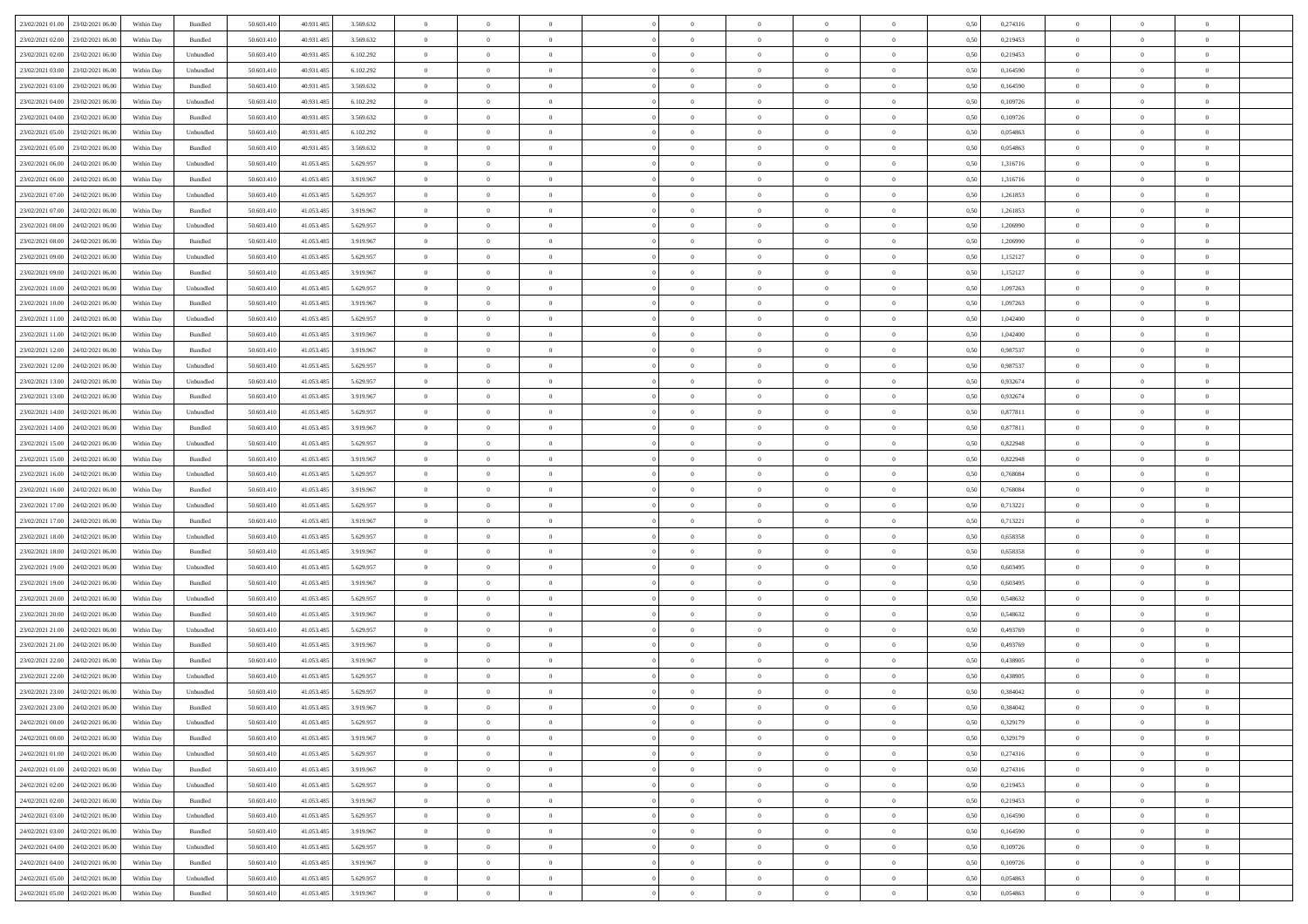| 23/02/2021 01:00 23/02/2021 06:00    | Within Day | Bundled   | 50.603.410 | 40.931.485 | 3.569.632 | $\overline{0}$ | $\overline{0}$ |                | $\overline{0}$ | $\theta$       |                | $\theta$       | 0,50 | 0,274316 | $\theta$       | $\theta$       | $\overline{0}$ |  |
|--------------------------------------|------------|-----------|------------|------------|-----------|----------------|----------------|----------------|----------------|----------------|----------------|----------------|------|----------|----------------|----------------|----------------|--|
| 23/02/2021 02:00<br>23/02/2021 06:00 | Within Day | Bundled   | 50.603.41  | 40.931.485 | 3.569.632 | $\bf{0}$       | $\bf{0}$       | $\bf{0}$       | $\bf{0}$       | $\overline{0}$ | $\bf{0}$       | $\bf{0}$       | 0,50 | 0,219453 | $\,$ 0 $\,$    | $\bf{0}$       | $\overline{0}$ |  |
| 23/02/2021 02:00<br>23/02/2021 06:00 | Within Day | Unbundled | 50.603.41  | 40.931.485 | 6.102.292 | $\overline{0}$ | $\bf{0}$       | $\overline{0}$ | $\overline{0}$ | $\bf{0}$       | $\overline{0}$ | $\bf{0}$       | 0.50 | 0,219453 | $\overline{0}$ | $\overline{0}$ | $\bf{0}$       |  |
| 23/02/2021 03:00<br>23/02/2021 06:00 | Within Day | Unbundled | 50.603.410 | 40.931.485 | 6.102.292 | $\overline{0}$ | $\overline{0}$ | $\overline{0}$ | $\overline{0}$ | $\theta$       | $\overline{0}$ | $\bf{0}$       | 0,50 | 0,164590 | $\theta$       | $\theta$       | $\overline{0}$ |  |
| 23/02/2021 03:00<br>23/02/2021 06:00 | Within Day | Bundled   | 50.603.41  | 40.931.485 | 3.569.632 | $\bf{0}$       | $\overline{0}$ | $\bf{0}$       | $\overline{0}$ | $\bf{0}$       | $\overline{0}$ | $\bf{0}$       | 0,50 | 0,164590 | $\,$ 0 $\,$    | $\bf{0}$       | $\overline{0}$ |  |
|                                      |            |           |            |            |           |                |                |                |                |                |                |                |      |          |                |                |                |  |
| 23/02/2021 04:00<br>23/02/2021 06:00 | Within Day | Unbundled | 50.603.41  | 40.931.485 | 6.102.292 | $\overline{0}$ | $\bf{0}$       | $\overline{0}$ | $\bf{0}$       | $\overline{0}$ | $\overline{0}$ | $\bf{0}$       | 0.50 | 0.109726 | $\,$ 0 $\,$    | $\theta$       | $\overline{0}$ |  |
| 23/02/2021 04:00<br>23/02/2021 06:00 | Within Day | Bundled   | 50.603.41  | 40.931.485 | 3.569.632 | $\overline{0}$ | $\overline{0}$ | $\overline{0}$ | $\overline{0}$ | $\overline{0}$ | $\overline{0}$ | $\bf{0}$       | 0,50 | 0,109726 | $\theta$       | $\theta$       | $\overline{0}$ |  |
| 23/02/2021 05:00<br>23/02/2021 06.00 | Within Day | Unbundled | 50.603.41  | 40.931.485 | 6.102.292 | $\bf{0}$       | $\bf{0}$       | $\bf{0}$       | $\overline{0}$ | $\overline{0}$ | $\overline{0}$ | $\bf{0}$       | 0,50 | 0,054863 | $\,$ 0 $\,$    | $\bf{0}$       | $\overline{0}$ |  |
| 23/02/2021 05:00<br>23/02/2021 06:00 | Within Day | Bundled   | 50.603.41  | 40.931.485 | 3.569.632 | $\overline{0}$ | $\bf{0}$       | $\overline{0}$ | $\bf{0}$       | $\overline{0}$ | $\overline{0}$ | $\bf{0}$       | 0.50 | 0.054863 | $\bf{0}$       | $\overline{0}$ | $\bf{0}$       |  |
| 23/02/2021 06:00<br>24/02/2021 06:00 | Within Day | Unbundled | 50.603.410 | 41.053.485 | 5.629.957 | $\overline{0}$ | $\bf{0}$       | $\overline{0}$ | $\overline{0}$ | $\overline{0}$ | $\overline{0}$ | $\bf{0}$       | 0,50 | 1,316716 | $\,$ 0 $\,$    | $\,$ 0 $\,$    | $\overline{0}$ |  |
| 23/02/2021 06:00<br>24/02/2021 06.00 | Within Day | Bundled   | 50.603.41  | 41.053.485 | 3.919.967 | $\bf{0}$       | $\bf{0}$       | $\bf{0}$       | $\bf{0}$       | $\overline{0}$ | $\overline{0}$ | $\bf{0}$       | 0,50 | 1,316716 | $\,$ 0 $\,$    | $\bf{0}$       | $\overline{0}$ |  |
|                                      |            |           |            |            |           |                |                |                |                |                |                |                |      |          |                |                |                |  |
| 23/02/2021 07:00<br>24/02/2021 06:00 | Within Day | Unbundled | 50,603.41  | 41.053.485 | 5.629.957 | $\overline{0}$ | $\bf{0}$       | $\overline{0}$ | $\overline{0}$ | $\overline{0}$ | $\overline{0}$ | $\bf{0}$       | 0.50 | 1.261853 | $\,$ 0 $\,$    | $\,$ 0 $\,$    | $\,$ 0         |  |
| 23/02/2021 07:00<br>24/02/2021 06:00 | Within Day | Bundled   | 50.603.41  | 41.053.485 | 3.919.967 | $\overline{0}$ | $\bf{0}$       | $\overline{0}$ | $\theta$       | $\theta$       | $\overline{0}$ | $\bf{0}$       | 0,50 | 1,261853 | $\,$ 0 $\,$    | $\theta$       | $\overline{0}$ |  |
| 23/02/2021 08:00<br>24/02/2021 06.00 | Within Day | Unbundled | 50.603.41  | 41.053.485 | 5.629.957 | $\bf{0}$       | $\overline{0}$ | $\bf{0}$       | $\bf{0}$       | $\overline{0}$ | $\overline{0}$ | $\bf{0}$       | 0,50 | 1,206990 | $\,$ 0 $\,$    | $\bf{0}$       | $\overline{0}$ |  |
| 23/02/2021 08:00<br>24/02/2021 06.00 | Within Day | Bundled   | 50.603.41  | 41.053.485 | 3.919.967 | $\overline{0}$ | $\bf{0}$       | $\overline{0}$ | $\bf{0}$       | $\overline{0}$ | $\overline{0}$ | $\bf{0}$       | 0.50 | 1.206990 | $\,$ 0 $\,$    | $\theta$       | $\overline{0}$ |  |
| 23/02/2021 09:00<br>24/02/2021 06:00 | Within Day | Unbundled | 50.603.410 | 41.053.485 | 5.629.957 | $\overline{0}$ | $\overline{0}$ | $\overline{0}$ | $\overline{0}$ | $\overline{0}$ | $\overline{0}$ | $\bf{0}$       | 0,50 | 1,152127 | $\theta$       | $\theta$       | $\overline{0}$ |  |
| 23/02/2021 09:00<br>24/02/2021 06.00 | Within Day | Bundled   | 50.603.41  | 41.053.485 | 3.919.967 | $\bf{0}$       | $\bf{0}$       | $\bf{0}$       | $\overline{0}$ | $\overline{0}$ | $\overline{0}$ | $\bf{0}$       | 0,50 | 1,152127 | $\,$ 0 $\,$    | $\bf{0}$       | $\overline{0}$ |  |
| 23/02/2021 10:00<br>24/02/2021 06:00 | Within Day | Unbundled | 50,603.41  | 41.053.48  | 5.629.957 | $\overline{0}$ | $\bf{0}$       | $\overline{0}$ | $\bf{0}$       | $\bf{0}$       | $\overline{0}$ | $\bf{0}$       | 0.50 | 1.097263 | $\bf{0}$       | $\overline{0}$ | $\bf{0}$       |  |
| 23/02/2021 10:00<br>24/02/2021 06:00 |            |           |            |            |           | $\overline{0}$ | $\bf{0}$       | $\overline{0}$ | $\overline{0}$ | $\overline{0}$ | $\overline{0}$ |                |      | 1,097263 | $\,$ 0 $\,$    | $\bf{0}$       | $\overline{0}$ |  |
|                                      | Within Day | Bundled   | 50.603.410 | 41.053.485 | 3.919.967 |                |                |                |                |                |                | $\bf{0}$       | 0,50 |          |                |                |                |  |
| 23/02/2021 11:00<br>24/02/2021 06.00 | Within Day | Unbundled | 50.603.41  | 41.053.485 | 5.629.957 | $\bf{0}$       | $\bf{0}$       | $\bf{0}$       | $\bf{0}$       | $\overline{0}$ | $\overline{0}$ | $\bf{0}$       | 0,50 | 1,042400 | $\,$ 0 $\,$    | $\bf{0}$       | $\overline{0}$ |  |
| 23/02/2021 11:00<br>24/02/2021 06:00 | Within Day | Bundled   | 50,603.41  | 41.053.485 | 3.919.967 | $\overline{0}$ | $\bf{0}$       | $\overline{0}$ | $\overline{0}$ | $\bf{0}$       | $\overline{0}$ | $\bf{0}$       | 0.50 | 1.042400 | $\bf{0}$       | $\,$ 0 $\,$    | $\,$ 0         |  |
| 23/02/2021 12:00<br>24/02/2021 06:00 | Within Day | Bundled   | 50.603.41  | 41.053.485 | 3.919.967 | $\overline{0}$ | $\overline{0}$ | $\overline{0}$ | $\overline{0}$ | $\overline{0}$ | $\overline{0}$ | $\bf{0}$       | 0,50 | 0,987537 | $\theta$       | $\theta$       | $\overline{0}$ |  |
| 23/02/2021 12:00<br>24/02/2021 06.00 | Within Day | Unbundled | 50.603.41  | 41.053.485 | 5.629.957 | $\bf{0}$       | $\bf{0}$       | $\bf{0}$       | $\bf{0}$       | $\overline{0}$ | $\overline{0}$ | $\bf{0}$       | 0,50 | 0,987537 | $\,$ 0 $\,$    | $\bf{0}$       | $\overline{0}$ |  |
| 23/02/2021 13:00<br>24/02/2021 06.00 | Within Day | Unbundled | 50.603.41  | 41.053.485 | 5.629.957 | $\overline{0}$ | $\bf{0}$       | $\overline{0}$ | $\bf{0}$       | $\overline{0}$ | $\overline{0}$ | $\bf{0}$       | 0.50 | 0.932674 | $\,$ 0 $\,$    | $\overline{0}$ | $\overline{0}$ |  |
| 23/02/2021 13:00<br>24/02/2021 06:00 | Within Day | Bundled   | 50.603.41  | 41.053.485 | 3.919.967 | $\overline{0}$ | $\overline{0}$ | $\overline{0}$ | $\overline{0}$ | $\overline{0}$ | $\overline{0}$ | $\bf{0}$       | 0,50 | 0,932674 | $\,$ 0 $\,$    | $\theta$       | $\overline{0}$ |  |
| 23/02/2021 14:00<br>24/02/2021 06.00 | Within Day | Unbundled | 50.603.41  | 41.053.485 | 5.629.957 | $\bf{0}$       | $\overline{0}$ | $\bf{0}$       | $\overline{0}$ | $\overline{0}$ | $\overline{0}$ | $\bf{0}$       | 0,50 | 0,877811 | $\,$ 0 $\,$    | $\bf{0}$       | $\overline{0}$ |  |
|                                      |            |           |            |            |           |                |                |                |                |                |                |                |      |          |                |                |                |  |
| 23/02/2021 14:00<br>24/02/2021 06:00 | Within Day | Bundled   | 50,603.41  | 41.053.485 | 3.919.967 | $\overline{0}$ | $\bf{0}$       | $\overline{0}$ | $\bf{0}$       | $\overline{0}$ | $\overline{0}$ | $\bf{0}$       | 0.50 | 0.877811 | $\bf{0}$       | $\overline{0}$ | $\bf{0}$       |  |
| 23/02/2021 15:00<br>24/02/2021 06:00 | Within Day | Unbundled | 50.603.410 | 41.053.485 | 5.629.957 | $\overline{0}$ | $\bf{0}$       | $\overline{0}$ | $\overline{0}$ | $\overline{0}$ | $\overline{0}$ | $\bf{0}$       | 0,50 | 0,822948 | $\theta$       | $\theta$       | $\overline{0}$ |  |
| 23/02/2021 15:00<br>24/02/2021 06.00 | Within Day | Bundled   | 50.603.41  | 41.053.485 | 3.919.967 | $\bf{0}$       | $\bf{0}$       | $\bf{0}$       | $\bf{0}$       | $\overline{0}$ | $\bf{0}$       | $\bf{0}$       | 0,50 | 0,822948 | $\,$ 0 $\,$    | $\bf{0}$       | $\overline{0}$ |  |
| 23/02/2021 16:00<br>24/02/2021 06:00 | Within Day | Unbundled | 50.603.41  | 41.053.485 | 5.629.957 | $\overline{0}$ | $\bf{0}$       | $\overline{0}$ | $\overline{0}$ | $\bf{0}$       | $\overline{0}$ | $\bf{0}$       | 0.50 | 0.768084 | $\,$ 0 $\,$    | $\,$ 0 $\,$    | $\,$ 0         |  |
| 23/02/2021 16:00<br>24/02/2021 06:00 | Within Day | Bundled   | 50.603.41  | 41.053.485 | 3.919.967 | $\overline{0}$ | $\overline{0}$ | $\overline{0}$ | $\overline{0}$ | $\overline{0}$ | $\overline{0}$ | $\bf{0}$       | 0.50 | 0.768084 | $\theta$       | $\theta$       | $\overline{0}$ |  |
| 23/02/2021 17:00<br>24/02/2021 06.00 | Within Day | Unbundled | 50.603.41  | 41.053.485 | 5.629.957 | $\bf{0}$       | $\bf{0}$       | $\bf{0}$       | $\bf{0}$       | $\overline{0}$ | $\overline{0}$ | $\bf{0}$       | 0,50 | 0,713221 | $\,$ 0 $\,$    | $\bf{0}$       | $\overline{0}$ |  |
| 23/02/2021 17:00<br>24/02/2021 06.00 | Within Day | Bundled   | 50,603.41  | 41.053.485 | 3.919.967 | $\overline{0}$ | $\bf{0}$       | $\overline{0}$ | $\bf{0}$       | $\overline{0}$ | $\overline{0}$ | $\bf{0}$       | 0.50 | 0,713221 | $\bf{0}$       | $\bf{0}$       | $\overline{0}$ |  |
| 23/02/2021 18:00<br>24/02/2021 06:00 | Within Dav | Unbundled | 50.603.41  | 41.053.485 | 5.629.957 | $\overline{0}$ | $\overline{0}$ | $\overline{0}$ | $\overline{0}$ | $\overline{0}$ | $\overline{0}$ | $\bf{0}$       | 0.50 | 0,658358 | $\theta$       | $\theta$       | $\overline{0}$ |  |
|                                      |            |           |            |            |           |                |                |                |                |                |                |                |      |          |                |                |                |  |
| 23/02/2021 18:00<br>24/02/2021 06.00 | Within Day | Bundled   | 50.603.41  | 41.053.485 | 3.919.967 | $\bf{0}$       | $\bf{0}$       | $\bf{0}$       | $\bf{0}$       | $\overline{0}$ | $\overline{0}$ | $\bf{0}$       | 0,50 | 0,658358 | $\,$ 0 $\,$    | $\bf{0}$       | $\overline{0}$ |  |
| 23/02/2021 19:00<br>24/02/2021 06:00 | Within Day | Unbundled | 50,603.41  | 41.053.485 | 5.629.957 | $\overline{0}$ | $\bf{0}$       | $\overline{0}$ | $\bf{0}$       | $\overline{0}$ | $\overline{0}$ | $\bf{0}$       | 0.50 | 0.603495 | $\bf{0}$       | $\overline{0}$ | $\bf{0}$       |  |
| 23/02/2021 19:00<br>24/02/2021 06:00 | Within Day | Bundled   | 50.603.41  | 41.053.485 | 3.919.967 | $\overline{0}$ | $\overline{0}$ | $\overline{0}$ | $\overline{0}$ | $\overline{0}$ | $\overline{0}$ | $\bf{0}$       | 0.50 | 0,603495 | $\theta$       | $\theta$       | $\overline{0}$ |  |
| 23/02/2021 20:00<br>24/02/2021 06.00 | Within Day | Unbundled | 50.603.41  | 41.053.485 | 5.629.957 | $\bf{0}$       | $\bf{0}$       | $\bf{0}$       | $\bf{0}$       | $\overline{0}$ | $\bf{0}$       | $\bf{0}$       | 0,50 | 0,548632 | $\,$ 0 $\,$    | $\bf{0}$       | $\overline{0}$ |  |
| 23/02/2021 20:00<br>24/02/2021 06:00 | Within Day | Bundled   | 50.603.41  | 41.053.485 | 3.919.967 | $\overline{0}$ | $\bf{0}$       | $\overline{0}$ | $\overline{0}$ | $\bf{0}$       | $\overline{0}$ | $\bf{0}$       | 0.50 | 0.548632 | $\,$ 0 $\,$    | $\,$ 0 $\,$    | $\,$ 0         |  |
| 23/02/2021 21:00<br>24/02/2021 06:00 | Within Dav | Unbundled | 50.603.41  | 41.053.485 | 5.629.957 | $\overline{0}$ | $\overline{0}$ | $\overline{0}$ | $\overline{0}$ | $\overline{0}$ | $\overline{0}$ | $\bf{0}$       | 0.50 | 0,493769 | $\theta$       | $\theta$       | $\overline{0}$ |  |
| 23/02/2021 21:00<br>24/02/2021 06.00 | Within Day | Bundled   | 50.603.41  | 41.053.485 | 3.919.967 | $\bf{0}$       | $\bf{0}$       | $\bf{0}$       | $\bf{0}$       | $\overline{0}$ | $\overline{0}$ | $\bf{0}$       | 0,50 | 0,493769 | $\,$ 0 $\,$    | $\bf{0}$       | $\overline{0}$ |  |
| 23/02/2021 22:00<br>24/02/2021 06.00 | Within Day | Bundled   | 50,603.41  | 41.053.485 | 3.919.967 | $\overline{0}$ | $\overline{0}$ | $\overline{0}$ | $\bf{0}$       | $\overline{0}$ | $\overline{0}$ | $\bf{0}$       | 0.50 | 0.438905 | $\bf{0}$       | $\theta$       | $\overline{0}$ |  |
| 23/02/2021 22:00<br>24/02/2021 06:00 | Within Dav | Unbundled | 50.603.41  | 41.053.485 | 5.629.957 | $\overline{0}$ | $\overline{0}$ | $\Omega$       | $\theta$       | $\theta$       | $\overline{0}$ | $\overline{0}$ | 0.5( | 0,438905 | $\theta$       | $\theta$       | $\overline{0}$ |  |
|                                      |            |           |            |            |           |                |                |                |                |                |                |                |      |          |                |                |                |  |
| 23/02/2021 23:00<br>24/02/2021 06:00 | Within Day | Unbundled | 50.603.41  | 41.053.485 | 5.629.957 | $\bf{0}$       | $\bf{0}$       | $\bf{0}$       | $\bf{0}$       | $\bf{0}$       | $\overline{0}$ | $\bf{0}$       | 0,50 | 0,384042 | $\overline{0}$ | $\overline{0}$ | $\overline{0}$ |  |
| 23/02/2021 23:00 24/02/2021 06:00    | Within Day | Bundled   | 50.603.410 | 41.053.485 | 3919967   | $\bf{0}$       | $\theta$       |                | $\overline{0}$ |                |                |                | 0,50 | 0.384042 | $\,$ 0         | $\bf{0}$       |                |  |
| 24/02/2021 00:00 24/02/2021 06:00    | Within Day | Unbundled | 50.603.410 | 41.053.485 | 5.629.957 | $\overline{0}$ | $\overline{0}$ | $\Omega$       | $\theta$       | $\overline{0}$ | $\overline{0}$ | $\bf{0}$       | 0,50 | 0,329179 | $\theta$       | $\overline{0}$ | $\overline{0}$ |  |
| 24/02/2021 00:00<br>24/02/2021 06:00 | Within Day | Bundled   | 50.603.41  | 41.053.485 | 3.919.967 | $\overline{0}$ | $\bf{0}$       | $\overline{0}$ | $\overline{0}$ | $\bf{0}$       | $\overline{0}$ | $\bf{0}$       | 0,50 | 0,329179 | $\bf{0}$       | $\overline{0}$ | $\bf{0}$       |  |
| 24/02/2021 01:00 24/02/2021 06:00    | Within Day | Unbundled | 50,603.410 | 41.053.485 | 5.629.957 | $\overline{0}$ | $\bf{0}$       | $\overline{0}$ | $\overline{0}$ | $\mathbf{0}$   | $\overline{0}$ | $\,$ 0 $\,$    | 0.50 | 0,274316 | $\overline{0}$ | $\bf{0}$       | $\,$ 0 $\,$    |  |
| 24/02/2021 01:00 24/02/2021 06:00    | Within Dav | Bundled   | 50.603.410 | 41.053.485 | 3.919.967 | $\overline{0}$ | $\overline{0}$ | $\overline{0}$ | $\overline{0}$ | $\overline{0}$ | $\overline{0}$ | $\bf{0}$       | 0.50 | 0,274316 | $\overline{0}$ | $\theta$       | $\overline{0}$ |  |
| 24/02/2021 02:00<br>24/02/2021 06:00 | Within Day | Unbundled | 50.603.41  | 41.053.485 | 5.629.957 | $\overline{0}$ | $\bf{0}$       | $\overline{0}$ | $\overline{0}$ | $\bf{0}$       | $\overline{0}$ | $\bf{0}$       | 0,50 | 0,219453 | $\bf{0}$       | $\overline{0}$ | $\overline{0}$ |  |
|                                      |            |           | 50,603.410 | 41.053.485 | 3.919.967 |                |                | $\overline{0}$ |                |                | $\overline{0}$ |                | 0.50 | 0.219453 | $\,$ 0 $\,$    | $\overline{0}$ | $\,$ 0         |  |
| 24/02/2021 02:00<br>24/02/2021 06:00 | Within Day | Bundled   |            |            |           | $\overline{0}$ | $\bf{0}$       |                | $\overline{0}$ | $\bf{0}$       |                | $\bf{0}$       |      |          |                |                |                |  |
| 24/02/2021 03:00 24/02/2021 06:00    | Within Dav | Unbundled | 50.603.410 | 41.053.485 | 5.629.957 | $\overline{0}$ | $\overline{0}$ | $\overline{0}$ | $\overline{0}$ | $\overline{0}$ | $\overline{0}$ | $\bf{0}$       | 0.50 | 0,164590 | $\overline{0}$ | $\theta$       | $\overline{0}$ |  |
| 24/02/2021 03:00<br>24/02/2021 06:00 | Within Day | Bundled   | 50.603.41  | 41.053.485 | 3.919.967 | $\overline{0}$ | $\overline{0}$ | $\overline{0}$ | $\overline{0}$ | $\overline{0}$ | $\overline{0}$ | $\bf{0}$       | 0,50 | 0,164590 | $\bf{0}$       | $\overline{0}$ | $\,$ 0         |  |
| 24/02/2021 04:00<br>24/02/2021 06:00 | Within Day | Unbundled | 50,603.410 | 41.053.485 | 5.629.957 | $\overline{0}$ | $\overline{0}$ | $\overline{0}$ | $\overline{0}$ | $\overline{0}$ | $\overline{0}$ | $\bf{0}$       | 0.50 | 0.109726 | $\mathbf{0}$   | $\bf{0}$       | $\,$ 0         |  |
| 24/02/2021 04:00 24/02/2021 06:00    | Within Dav | Bundled   | 50.603.410 | 41.053.485 | 3.919.967 | $\overline{0}$ | $\overline{0}$ | $\overline{0}$ | $\overline{0}$ | $\overline{0}$ | $\overline{0}$ | $\bf{0}$       | 0,50 | 0,109726 | $\overline{0}$ | $\theta$       | $\overline{0}$ |  |
| 24/02/2021 05:00<br>24/02/2021 06.00 | Within Day | Unbundled | 50.603.41  | 41.053.485 | 5.629.957 | $\overline{0}$ | $\bf{0}$       | $\overline{0}$ | $\bf{0}$       | $\overline{0}$ | $\overline{0}$ | $\bf{0}$       | 0,50 | 0,054863 | $\bf{0}$       | $\,$ 0 $\,$    | $\bf{0}$       |  |
| 24/02/2021 05:00 24/02/2021 06:00    | Within Day | Bundled   | 50.603.410 | 41.053.485 | 3.919.967 | $\overline{0}$ | $\bf{0}$       | $\overline{0}$ | $\overline{0}$ | $\,$ 0 $\,$    | $\overline{0}$ | $\bf{0}$       | 0,50 | 0,054863 | $\overline{0}$ | $\,$ 0 $\,$    | $\,$ 0 $\,$    |  |
|                                      |            |           |            |            |           |                |                |                |                |                |                |                |      |          |                |                |                |  |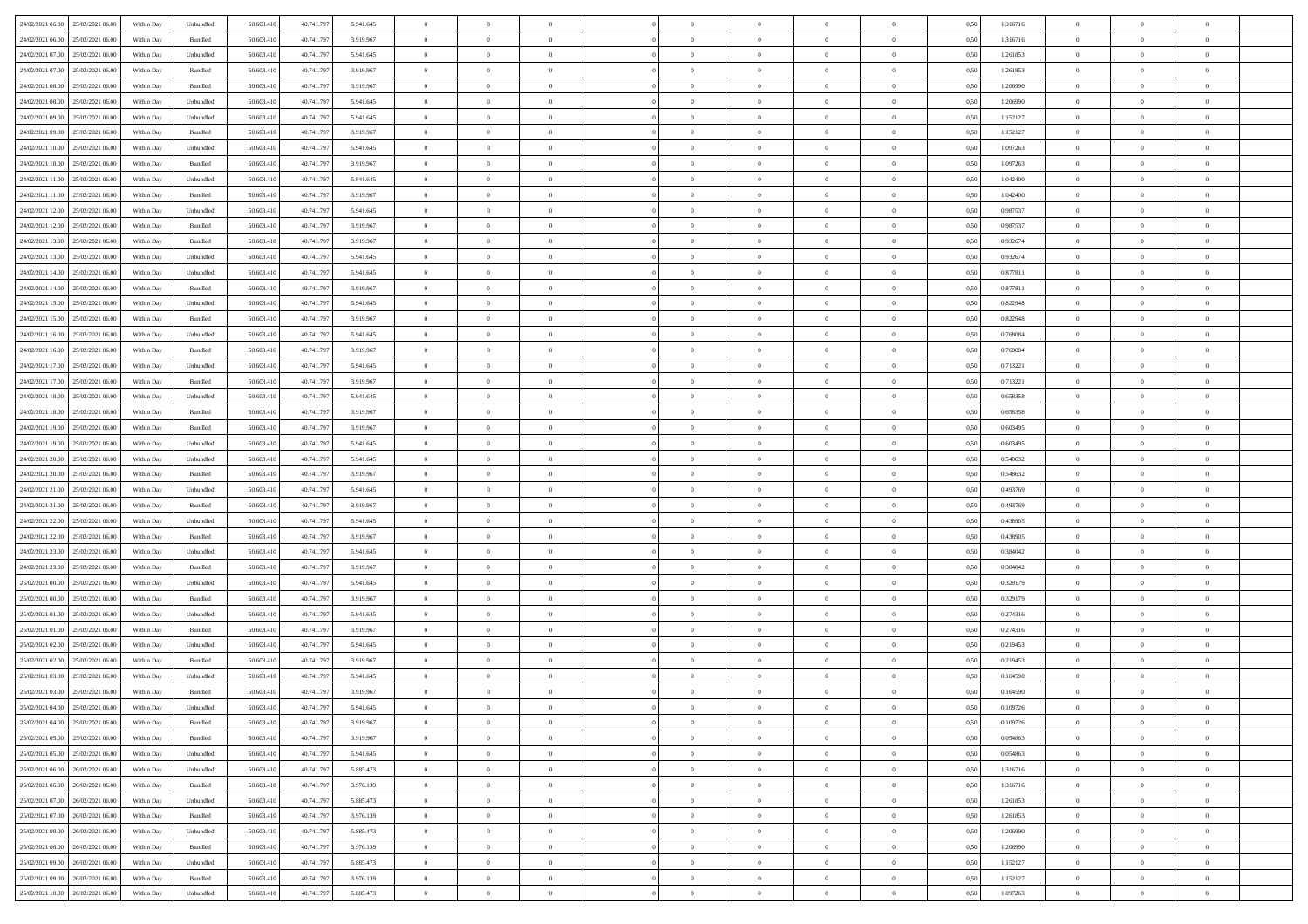| 24/02/2021 06:00 25/02/2021 06:00    | Within Day | Unbundled                   | 50.603.410 | 40.741.797 | 5.941.645 | $\overline{0}$ | $\overline{0}$ |                | $\overline{0}$ | $\theta$       |                | $\theta$       | 0,50 | 1,316716 | $\theta$       | $\theta$       | $\overline{0}$ |  |
|--------------------------------------|------------|-----------------------------|------------|------------|-----------|----------------|----------------|----------------|----------------|----------------|----------------|----------------|------|----------|----------------|----------------|----------------|--|
| 24/02/2021 06:00<br>25/02/2021 06:00 | Within Day | Bundled                     | 50.603.41  | 40.741.79  | 3.919.967 | $\bf{0}$       | $\bf{0}$       | $\bf{0}$       | $\bf{0}$       | $\overline{0}$ | $\overline{0}$ | $\bf{0}$       | 0,50 | 1,316716 | $\,$ 0 $\,$    | $\bf{0}$       | $\overline{0}$ |  |
| 24/02/2021 07:00<br>25/02/2021 06:00 | Within Day | Unbundled                   | 50.603.41  | 40.741.797 | 5.941.645 | $\overline{0}$ | $\bf{0}$       | $\overline{0}$ | $\bf{0}$       | $\bf{0}$       | $\overline{0}$ | $\bf{0}$       | 0.50 | 1,261853 | $\bf{0}$       | $\overline{0}$ | $\overline{0}$ |  |
| 24/02/2021 07:00<br>25/02/2021 06:00 | Within Day | Bundled                     | 50.603.41  | 40.741.797 | 3.919.967 | $\overline{0}$ | $\overline{0}$ | $\overline{0}$ | $\overline{0}$ | $\theta$       | $\overline{0}$ | $\bf{0}$       | 0,50 | 1,261853 | $\,$ 0 $\,$    | $\,$ 0 $\,$    | $\overline{0}$ |  |
|                                      |            |                             |            |            |           |                |                |                |                |                |                |                |      |          |                |                |                |  |
| 24/02/2021 08:00<br>25/02/2021 06.00 | Within Day | Bundled                     | 50.603.41  | 40.741.79  | 3.919.967 | $\bf{0}$       | $\overline{0}$ | $\bf{0}$       | $\overline{0}$ | $\bf{0}$       | $\overline{0}$ | $\bf{0}$       | 0,50 | 1,206990 | $\,$ 0 $\,$    | $\bf{0}$       | $\overline{0}$ |  |
| 24/02/2021 08:00<br>25/02/2021 06:00 | Within Day | Unbundled                   | 50.603.41  | 40.741.797 | 5.941.645 | $\overline{0}$ | $\bf{0}$       | $\overline{0}$ | $\bf{0}$       | $\overline{0}$ | $\overline{0}$ | $\bf{0}$       | 0.50 | 1.206990 | $\bf{0}$       | $\theta$       | $\overline{0}$ |  |
| 24/02/2021 09:00<br>25/02/2021 06:00 | Within Day | Unbundled                   | 50.603.41  | 40.741.797 | 5.941.645 | $\overline{0}$ | $\overline{0}$ | $\overline{0}$ | $\overline{0}$ | $\overline{0}$ | $\overline{0}$ | $\bf{0}$       | 0,50 | 1,152127 | $\,$ 0 $\,$    | $\theta$       | $\overline{0}$ |  |
| 24/02/2021 09:00<br>25/02/2021 06.00 | Within Day | Bundled                     | 50.603.41  | 40.741.79  | 3.919.967 | $\bf{0}$       | $\bf{0}$       | $\bf{0}$       | $\bf{0}$       | $\overline{0}$ | $\overline{0}$ | $\bf{0}$       | 0,50 | 1,152127 | $\,$ 0 $\,$    | $\bf{0}$       | $\overline{0}$ |  |
| 24/02/2021 10:00<br>25/02/2021 06:00 | Within Day | Unbundled                   | 50.603.41  | 40.741.79  | 5.941.645 | $\overline{0}$ | $\bf{0}$       | $\overline{0}$ | $\bf{0}$       | $\overline{0}$ | $\overline{0}$ | $\bf{0}$       | 0.50 | 1.097263 | $\bf{0}$       | $\overline{0}$ | $\overline{0}$ |  |
| 24/02/2021 10:00<br>25/02/2021 06:00 | Within Day | Bundled                     | 50.603.410 | 40.741.797 | 3.919.967 | $\bf{0}$       | $\bf{0}$       | $\overline{0}$ | $\overline{0}$ | $\overline{0}$ | $\overline{0}$ | $\bf{0}$       | 0,50 | 1,097263 | $\,$ 0 $\,$    | $\,$ 0 $\,$    | $\overline{0}$ |  |
|                                      |            |                             |            |            |           |                |                |                |                |                |                |                |      |          |                |                |                |  |
| 24/02/2021 11:00<br>25/02/2021 06.00 | Within Day | Unbundled                   | 50.603.41  | 40.741.79  | 5.941.645 | $\bf{0}$       | $\bf{0}$       | $\bf{0}$       | $\bf{0}$       | $\overline{0}$ | $\overline{0}$ | $\bf{0}$       | 0,50 | 1,042400 | $\,$ 0 $\,$    | $\bf{0}$       | $\overline{0}$ |  |
| 24/02/2021 11:00<br>25/02/2021 06:00 | Within Day | Bundled                     | 50.603.41  | 40.741.797 | 3.919.967 | $\overline{0}$ | $\bf{0}$       | $\overline{0}$ | $\overline{0}$ | $\overline{0}$ | $\overline{0}$ | $\bf{0}$       | 0.50 | 1.042400 | $\bf{0}$       | $\,$ 0 $\,$    | $\,$ 0         |  |
| 24/02/2021 12:00<br>25/02/2021 06:00 | Within Day | Unbundled                   | 50.603.41  | 40.741.797 | 5.941.645 | $\overline{0}$ | $\bf{0}$       | $\overline{0}$ | $\theta$       | $\theta$       | $\overline{0}$ | $\bf{0}$       | 0,50 | 0,987537 | $\,$ 0 $\,$    | $\theta$       | $\overline{0}$ |  |
| 24/02/2021 12:00<br>25/02/2021 06:00 | Within Day | Bundled                     | 50.603.41  | 40.741.79  | 3.919.967 | $\bf{0}$       | $\overline{0}$ | $\bf{0}$       | $\bf{0}$       | $\overline{0}$ | $\overline{0}$ | $\bf{0}$       | 0,50 | 0,987537 | $\,$ 0 $\,$    | $\bf{0}$       | $\overline{0}$ |  |
| 24/02/2021 13:00<br>25/02/2021 06:00 | Within Day | Bundled                     | 50.603.41  | 40.741.797 | 3.919.967 | $\overline{0}$ | $\bf{0}$       | $\overline{0}$ | $\bf{0}$       | $\overline{0}$ | $\overline{0}$ | $\bf{0}$       | 0.50 | 0.932674 | $\,$ 0 $\,$    | $\bf{0}$       | $\overline{0}$ |  |
|                                      |            |                             |            |            |           |                |                |                |                |                |                |                |      |          |                |                |                |  |
| 24/02/2021 13:00<br>25/02/2021 06:00 | Within Day | Unbundled                   | 50.603.410 | 40.741.797 | 5.941.645 | $\overline{0}$ | $\overline{0}$ | $\overline{0}$ | $\overline{0}$ | $\overline{0}$ | $\overline{0}$ | $\bf{0}$       | 0,50 | 0,932674 | $\theta$       | $\theta$       | $\overline{0}$ |  |
| 24/02/2021 14:00<br>25/02/2021 06.00 | Within Day | Unbundled                   | 50.603.41  | 40.741.79  | 5.941.645 | $\bf{0}$       | $\bf{0}$       | $\bf{0}$       | $\overline{0}$ | $\overline{0}$ | $\overline{0}$ | $\bf{0}$       | 0,50 | 0,877811 | $\,$ 0 $\,$    | $\bf{0}$       | $\overline{0}$ |  |
| 24/02/2021 14:00<br>25/02/2021 06:00 | Within Day | Bundled                     | 50.603.41  | 40.741.79  | 3.919.967 | $\overline{0}$ | $\bf{0}$       | $\overline{0}$ | $\bf{0}$       | $\overline{0}$ | $\overline{0}$ | $\bf{0}$       | 0.50 | 0.877811 | $\bf{0}$       | $\overline{0}$ | $\bf{0}$       |  |
| 24/02/2021 15:00<br>25/02/2021 06:00 | Within Day | Unbundled                   | 50.603.410 | 40.741.797 | 5.941.645 | $\bf{0}$       | $\bf{0}$       | $\overline{0}$ | $\overline{0}$ | $\overline{0}$ | $\overline{0}$ | $\bf{0}$       | 0,50 | 0,822948 | $\,$ 0 $\,$    | $\bf{0}$       | $\overline{0}$ |  |
| 24/02/2021 15:00<br>25/02/2021 06.00 | Within Day | Bundled                     | 50.603.41  | 40.741.79  | 3.919.967 | $\bf{0}$       | $\bf{0}$       | $\bf{0}$       | $\bf{0}$       | $\overline{0}$ | $\overline{0}$ | $\bf{0}$       | 0,50 | 0,822948 | $\,$ 0 $\,$    | $\bf{0}$       | $\overline{0}$ |  |
| 24/02/2021 16:00<br>25/02/2021 06:00 | Within Day | Unbundled                   | 50.603.41  | 40.741.797 | 5.941.645 | $\overline{0}$ | $\bf{0}$       | $\overline{0}$ | $\overline{0}$ | $\bf{0}$       | $\overline{0}$ | $\bf{0}$       | 0.50 | 0.768084 | $\bf{0}$       | $\overline{0}$ | $\,$ 0         |  |
|                                      |            |                             |            |            |           | $\overline{0}$ | $\overline{0}$ | $\overline{0}$ | $\overline{0}$ | $\theta$       | $\overline{0}$ |                |      |          | $\theta$       | $\theta$       | $\overline{0}$ |  |
| 24/02/2021 16:00<br>25/02/2021 06:00 | Within Day | Bundled                     | 50.603.41  | 40.741.797 | 3.919.967 |                |                |                |                |                |                | $\bf{0}$       | 0,50 | 0,768084 |                |                |                |  |
| 24/02/2021 17:00<br>25/02/2021 06.00 | Within Day | Unbundled                   | 50.603.41  | 40.741.79  | 5.941.645 | $\bf{0}$       | $\bf{0}$       | $\bf{0}$       | $\bf{0}$       | $\overline{0}$ | $\overline{0}$ | $\bf{0}$       | 0,50 | 0,713221 | $\,$ 0 $\,$    | $\bf{0}$       | $\overline{0}$ |  |
| 24/02/2021 17:00<br>25/02/2021 06:00 | Within Day | Bundled                     | 50.603.41  | 40.741.797 | 3.919.967 | $\overline{0}$ | $\bf{0}$       | $\overline{0}$ | $\bf{0}$       | $\overline{0}$ | $\overline{0}$ | $\bf{0}$       | 0.50 | 0,713221 | $\bf{0}$       | $\theta$       | $\overline{0}$ |  |
| 24/02/2021 18:00<br>25/02/2021 06:00 | Within Day | Unbundled                   | 50.603.410 | 40.741.797 | 5.941.645 | $\overline{0}$ | $\overline{0}$ | $\overline{0}$ | $\overline{0}$ | $\overline{0}$ | $\overline{0}$ | $\bf{0}$       | 0,50 | 0,658358 | $\,$ 0 $\,$    | $\theta$       | $\overline{0}$ |  |
| 24/02/2021 18:00<br>25/02/2021 06.00 | Within Day | Bundled                     | 50.603.41  | 40.741.79  | 3.919.967 | $\bf{0}$       | $\overline{0}$ | $\bf{0}$       | $\overline{0}$ | $\overline{0}$ | $\overline{0}$ | $\bf{0}$       | 0,50 | 0,658358 | $\,$ 0 $\,$    | $\bf{0}$       | $\overline{0}$ |  |
| 24/02/2021 19:00<br>25/02/2021 06:00 | Within Day | Bundled                     | 50,603.41  | 40.741.797 | 3.919.967 | $\overline{0}$ | $\bf{0}$       | $\overline{0}$ | $\bf{0}$       | $\overline{0}$ | $\overline{0}$ | $\bf{0}$       | 0.50 | 0.603495 | $\bf{0}$       | $\overline{0}$ | $\overline{0}$ |  |
| 24/02/2021 19:00<br>25/02/2021 06:00 | Within Day | Unbundled                   | 50.603.410 | 40.741.797 | 5.941.645 | $\overline{0}$ | $\bf{0}$       | $\overline{0}$ | $\overline{0}$ | $\overline{0}$ | $\overline{0}$ | $\bf{0}$       | 0,50 | 0,603495 | $\,$ 0 $\,$    | $\bf{0}$       | $\overline{0}$ |  |
|                                      |            |                             |            |            |           |                |                |                |                |                |                |                |      |          |                |                |                |  |
| 24/02/2021 20:00<br>25/02/2021 06.00 | Within Day | Unbundled                   | 50.603.41  | 40.741.79  | 5.941.645 | $\bf{0}$       | $\bf{0}$       | $\bf{0}$       | $\bf{0}$       | $\overline{0}$ | $\overline{0}$ | $\bf{0}$       | 0,50 | 0,548632 | $\,$ 0 $\,$    | $\bf{0}$       | $\overline{0}$ |  |
| 24/02/2021 20:00<br>25/02/2021 06:00 | Within Day | Bundled                     | 50.603.41  | 40.741.797 | 3.919.967 | $\overline{0}$ | $\bf{0}$       | $\overline{0}$ | $\overline{0}$ | $\bf{0}$       | $\overline{0}$ | $\bf{0}$       | 0.50 | 0.548632 | $\bf{0}$       | $\,$ 0 $\,$    | $\,$ 0         |  |
| 24/02/2021 21:00<br>25/02/2021 06:00 | Within Day | Unbundled                   | 50.603.41  | 40.741.797 | 5.941.645 | $\overline{0}$ | $\overline{0}$ | $\overline{0}$ | $\overline{0}$ | $\overline{0}$ | $\overline{0}$ | $\bf{0}$       | 0.50 | 0,493769 | $\theta$       | $\theta$       | $\overline{0}$ |  |
| 24/02/2021 21:00<br>25/02/2021 06.00 | Within Day | Bundled                     | 50.603.41  | 40.741.79  | 3.919.967 | $\bf{0}$       | $\bf{0}$       | $\bf{0}$       | $\bf{0}$       | $\overline{0}$ | $\overline{0}$ | $\bf{0}$       | 0,50 | 0,493769 | $\,$ 0 $\,$    | $\bf{0}$       | $\overline{0}$ |  |
| 24/02/2021 22:00<br>25/02/2021 06:00 | Within Day | Unbundled                   | 50.603.41  | 40.741.797 | 5.941.645 | $\overline{0}$ | $\bf{0}$       | $\overline{0}$ | $\bf{0}$       | $\overline{0}$ | $\overline{0}$ | $\bf{0}$       | 0.50 | 0.438905 | $\,$ 0 $\,$    | $\bf{0}$       | $\overline{0}$ |  |
| 24/02/2021 22.00<br>25/02/2021 06:00 | Within Dav | Bundled                     | 50.603.410 | 40.741.797 | 3.919.967 | $\overline{0}$ | $\overline{0}$ | $\overline{0}$ | $\overline{0}$ | $\overline{0}$ | $\overline{0}$ | $\bf{0}$       | 0.50 | 0,438905 | $\theta$       | $\theta$       | $\overline{0}$ |  |
| 25/02/2021 06.00                     | Within Day | Unbundled                   | 50.603.41  | 40.741.79  | 5.941.645 | $\bf{0}$       | $\bf{0}$       | $\bf{0}$       | $\bf{0}$       | $\overline{0}$ | $\overline{0}$ | $\bf{0}$       | 0,50 | 0,384042 | $\,$ 0 $\,$    | $\bf{0}$       | $\overline{0}$ |  |
| 24/02/2021 23:00                     |            |                             |            |            |           |                |                |                |                |                |                |                |      |          |                |                |                |  |
| 24/02/2021 23:00<br>25/02/2021 06:00 | Within Day | Bundled                     | 50,603.41  | 40.741.79  | 3.919.967 | $\overline{0}$ | $\bf{0}$       | $\overline{0}$ | $\bf{0}$       | $\overline{0}$ | $\overline{0}$ | $\bf{0}$       | 0.50 | 0.384042 | $\bf{0}$       | $\overline{0}$ | $\overline{0}$ |  |
| 25/02/2021 00:00<br>25/02/2021 06:00 | Within Day | Unbundled                   | 50.603.41  | 40.741.797 | 5.941.645 | $\overline{0}$ | $\overline{0}$ | $\overline{0}$ | $\overline{0}$ | $\overline{0}$ | $\overline{0}$ | $\bf{0}$       | 0.50 | 0,329179 | $\theta$       | $\theta$       | $\overline{0}$ |  |
| 25/02/2021 00:00<br>25/02/2021 06.00 | Within Day | Bundled                     | 50.603.41  | 40.741.79  | 3.919.967 | $\bf{0}$       | $\bf{0}$       | $\bf{0}$       | $\bf{0}$       | $\overline{0}$ | $\bf{0}$       | $\bf{0}$       | 0,50 | 0,329179 | $\,$ 0 $\,$    | $\bf{0}$       | $\overline{0}$ |  |
| 25/02/2021 01:00<br>25/02/2021 06:00 | Within Day | Unbundled                   | 50.603.41  | 40.741.797 | 5.941.645 | $\overline{0}$ | $\bf{0}$       | $\overline{0}$ | $\overline{0}$ | $\bf{0}$       | $\overline{0}$ | $\bf{0}$       | 0.50 | 0,274316 | $\,$ 0 $\,$    | $\,$ 0 $\,$    | $\,$ 0         |  |
| 25/02/2021 01:00<br>25/02/2021 06:00 | Within Day | Bundled                     | 50.603.41  | 40.741.797 | 3.919.967 | $\overline{0}$ | $\overline{0}$ | $\overline{0}$ | $\overline{0}$ | $\overline{0}$ | $\overline{0}$ | $\bf{0}$       | 0.5( | 0,274316 | $\theta$       | $\theta$       | $\overline{0}$ |  |
| 25/02/2021 02:00<br>25/02/2021 06.00 | Within Day | Unbundled                   | 50.603.41  | 40.741.79  | 5.941.645 | $\bf{0}$       | $\bf{0}$       | $\bf{0}$       | $\overline{0}$ | $\overline{0}$ | $\overline{0}$ | $\bf{0}$       | 0,50 | 0,219453 | $\,$ 0 $\,$    | $\bf{0}$       | $\overline{0}$ |  |
|                                      |            |                             | 50.603.41  |            |           |                |                |                |                |                |                |                |      |          |                | $\theta$       | $\overline{0}$ |  |
| 25/02/2021 02:00<br>25/02/2021 06:00 | Within Day | Bundled                     |            | 40.741.79  | 3.919.967 | $\overline{0}$ | $\bf{0}$       | $\overline{0}$ | $\bf{0}$       | $\overline{0}$ | $\overline{0}$ | $\bf{0}$       | 0.50 | 0,219453 | $\bf{0}$       |                |                |  |
| 25/02/2021 03:00<br>25/02/2021 06:00 | Within Dav | Unbundled                   | 50.603.41  | 40.741.797 | 5.941.645 | $\overline{0}$ | $\overline{0}$ | $\overline{0}$ | $\theta$       | $\theta$       | $\overline{0}$ | $\overline{0}$ | 0.5( | 0,164590 | $\theta$       | $\theta$       | $\overline{0}$ |  |
| 25/02/2021 03:00<br>25/02/2021 06:00 | Within Day | Bundled                     | 50.603.41  | 40.741.79  | 3.919.967 | $\bf{0}$       | $\bf{0}$       | $\bf{0}$       | $\bf{0}$       | $\bf{0}$       | $\overline{0}$ | $\bf{0}$       | 0,50 | 0,164590 | $\,$ 0 $\,$    | $\bf{0}$       | $\overline{0}$ |  |
| 25/02/2021 04:00 25/02/2021 06:00    | Within Day | $\ensuremath{\mathsf{Unb}}$ | 50.603.410 | 40.741.797 | 5.941.645 | $\bf{0}$       | $\theta$       |                | $\overline{0}$ |                |                |                | 0,50 | 0,109726 | $\bf{0}$       | $\bf{0}$       |                |  |
| 25/02/2021 04:00 25/02/2021 06:00    | Within Day | Bundled                     | 50.603.410 | 40.741.797 | 3.919.967 | $\overline{0}$ | $\overline{0}$ | $\Omega$       | $\theta$       | $\overline{0}$ | $\overline{0}$ | $\bf{0}$       | 0,50 | 0,109726 | $\theta$       | $\theta$       | $\overline{0}$ |  |
| 25/02/2021 05:00<br>25/02/2021 06:00 | Within Day | Bundled                     | 50.603.41  | 40.741.79  | 3.919.967 | $\overline{0}$ | $\bf{0}$       | $\overline{0}$ | $\overline{0}$ | $\bf{0}$       | $\overline{0}$ | $\bf{0}$       | 0,50 | 0,054863 | $\bf{0}$       | $\overline{0}$ | $\bf{0}$       |  |
| 25/02/2021 05:00 25/02/2021 06:00    | Within Day | Unbundled                   | 50,603.410 | 40.741.797 | 5.941.645 | $\overline{0}$ | $\bf{0}$       | $\overline{0}$ | $\overline{0}$ | $\mathbf{0}$   | $\overline{0}$ | $\,$ 0 $\,$    | 0.50 | 0.054863 | $\overline{0}$ | $\bf{0}$       | $\bf{0}$       |  |
|                                      |            |                             |            |            |           |                |                |                |                |                |                |                |      |          |                |                |                |  |
| 25/02/2021 06:00 26/02/2021 06:00    | Within Dav | Unbundled                   | 50.603.410 | 40.741.797 | 5.885.473 | $\overline{0}$ | $\overline{0}$ | $\overline{0}$ | $\overline{0}$ | $\overline{0}$ | $\overline{0}$ | $\bf{0}$       | 0,50 | 1,316716 | $\overline{0}$ | $\theta$       | $\overline{0}$ |  |
| 25/02/2021 06:00<br>26/02/2021 06:00 | Within Day | Bundled                     | 50.603.41  | 40.741.797 | 3.976.139 | $\overline{0}$ | $\bf{0}$       | $\overline{0}$ | $\overline{0}$ | $\bf{0}$       | $\overline{0}$ | $\bf{0}$       | 0,50 | 1,316716 | $\bf{0}$       | $\overline{0}$ | $\overline{0}$ |  |
| 25/02/2021 07:00<br>26/02/2021 06:00 | Within Day | Unbundled                   | 50,603.410 | 40.741.797 | 5.885.473 | $\overline{0}$ | $\bf{0}$       | $\overline{0}$ | $\overline{0}$ | $\bf{0}$       | $\overline{0}$ | $\bf{0}$       | 0.50 | 1.261853 | $\,$ 0 $\,$    | $\overline{0}$ | $\,$ 0         |  |
| 25/02/2021 07:00<br>26/02/2021 06:00 | Within Dav | Bundled                     | 50.603.410 | 40.741.797 | 3.976.139 | $\overline{0}$ | $\overline{0}$ | $\overline{0}$ | $\overline{0}$ | $\overline{0}$ | $\overline{0}$ | $\bf{0}$       | 0.50 | 1,261853 | $\overline{0}$ | $\theta$       | $\overline{0}$ |  |
| 25/02/2021 08:00<br>26/02/2021 06.00 | Within Day | Unbundled                   | 50.603.41  | 40.741.797 | 5.885.473 | $\overline{0}$ | $\overline{0}$ | $\overline{0}$ | $\overline{0}$ | $\overline{0}$ | $\overline{0}$ | $\bf{0}$       | 0,50 | 1,206990 | $\bf{0}$       | $\overline{0}$ | $\,$ 0         |  |
| 25/02/2021 08:00<br>26/02/2021 06:00 | Within Day | Bundled                     | 50,603.410 | 40.741.797 | 3.976.139 | $\overline{0}$ | $\overline{0}$ | $\overline{0}$ | $\overline{0}$ | $\overline{0}$ | $\overline{0}$ | $\bf{0}$       | 0.50 | 1.206990 | $\mathbf{0}$   | $\bf{0}$       | $\,$ 0         |  |
|                                      | Within Dav | Unbundled                   | 50.603.410 | 40.741.797 | 5.885.473 | $\overline{0}$ | $\overline{0}$ | $\overline{0}$ | $\overline{0}$ | $\overline{0}$ | $\overline{0}$ | $\bf{0}$       | 0,50 | 1,152127 | $\overline{0}$ | $\theta$       | $\overline{0}$ |  |
| 25/02/2021 09:00 26/02/2021 06:00    |            |                             |            |            |           |                |                |                |                |                |                |                |      |          |                |                |                |  |
| 25/02/2021 09:00<br>26/02/2021 06.00 | Within Day | Bundled                     | 50.603.41  | 40.741.79  | 3.976.139 | $\overline{0}$ | $\bf{0}$       | $\overline{0}$ | $\bf{0}$       | $\overline{0}$ | $\overline{0}$ | $\bf{0}$       | 0,50 | 1,152127 | $\bf{0}$       | $\overline{0}$ | $\bf{0}$       |  |
| 25/02/2021 10:00 26/02/2021 06:00    | Within Day | Unbundled                   | 50.603.410 | 40.741.797 | 5.885.473 | $\,$ 0 $\,$    | $\bf{0}$       | $\overline{0}$ | $\overline{0}$ | $\,$ 0 $\,$    | $\overline{0}$ | $\,$ 0 $\,$    | 0,50 | 1,097263 | $\overline{0}$ | $\,$ 0 $\,$    | $\,$ 0 $\,$    |  |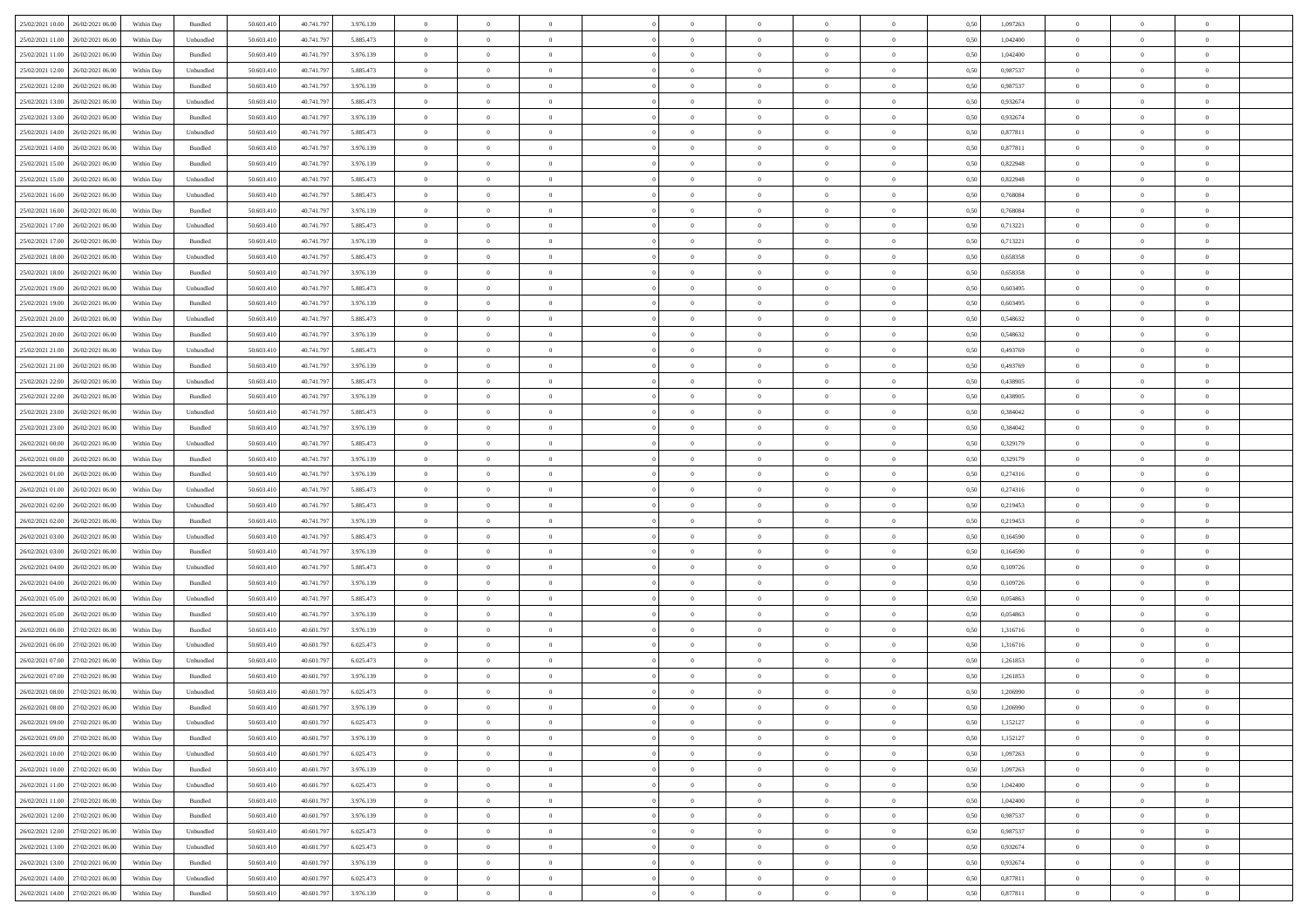|                                       |            |                    |            |            |           | $\overline{0}$ | $\overline{0}$ |                | $\overline{0}$ | $\theta$       |                | $\theta$       |      |          | $\theta$       | $\theta$       | $\theta$       |  |
|---------------------------------------|------------|--------------------|------------|------------|-----------|----------------|----------------|----------------|----------------|----------------|----------------|----------------|------|----------|----------------|----------------|----------------|--|
| 25/02/2021 10:00 26/02/2021 06:00     | Within Day | Bundled            | 50.603.410 | 40.741.797 | 3.976.139 |                |                |                |                |                |                |                | 0,50 | 1,097263 |                |                |                |  |
| 25/02/2021 11:00<br>26/02/2021 06.00  | Within Day | Unbundled          | 50.603.41  | 40.741.79  | 5.885.473 | $\bf{0}$       | $\bf{0}$       | $\bf{0}$       | $\bf{0}$       | $\overline{0}$ | $\overline{0}$ | $\bf{0}$       | 0,50 | 1,042400 | $\,$ 0 $\,$    | $\bf{0}$       | $\overline{0}$ |  |
| 25/02/2021 11:00<br>26/02/2021 06:00  | Within Day | Bundled            | 50,603,410 | 40.741.797 | 3.976.139 | $\overline{0}$ | $\bf{0}$       | $\overline{0}$ | $\bf{0}$       | $\bf{0}$       | $\overline{0}$ | $\bf{0}$       | 0.50 | 1.042400 | $\overline{0}$ | $\overline{0}$ | $\bf{0}$       |  |
| 25/02/2021 12:00<br>26/02/2021 06:00  | Within Day | Unbundled          | 50.603.410 | 40.741.797 | 5.885.473 | $\overline{0}$ | $\overline{0}$ | $\overline{0}$ | $\theta$       | $\theta$       | $\overline{0}$ | $\bf{0}$       | 0,50 | 0,987537 | $\theta$       | $\theta$       | $\overline{0}$ |  |
|                                       |            |                    |            |            |           |                |                |                |                |                |                |                |      |          |                |                |                |  |
| 25/02/2021 12:00<br>26/02/2021 06.00  | Within Day | Bundled            | 50.603.41  | 40.741.79  | 3.976.139 | $\bf{0}$       | $\overline{0}$ | $\bf{0}$       | $\overline{0}$ | $\theta$       | $\overline{0}$ | $\bf{0}$       | 0,50 | 0,987537 | $\,$ 0 $\,$    | $\bf{0}$       | $\overline{0}$ |  |
| 25/02/2021 13:00<br>26/02/2021 06:00  | Within Day | Unbundled          | 50.603.41  | 40.741.797 | 5.885.473 | $\overline{0}$ | $\overline{0}$ | $\overline{0}$ | $\bf{0}$       | $\overline{0}$ | $\theta$       | $\bf{0}$       | 0.50 | 0.932674 | $\,$ 0 $\,$    | $\theta$       | $\overline{0}$ |  |
| 25/02/2021 13:00<br>26/02/2021 06:00  | Within Day | Bundled            | 50.603.41  | 40.741.797 | 3.976.139 | $\overline{0}$ | $\overline{0}$ | $\overline{0}$ | $\overline{0}$ | $\overline{0}$ | $\overline{0}$ | $\bf{0}$       | 0,50 | 0,932674 | $\theta$       | $\theta$       | $\overline{0}$ |  |
| 25/02/2021 14:00<br>26/02/2021 06.00  | Within Day | Unbundled          | 50.603.41  | 40.741.79  | 5.885.473 | $\bf{0}$       | $\bf{0}$       | $\bf{0}$       | $\overline{0}$ | $\overline{0}$ | $\overline{0}$ | $\bf{0}$       | 0,50 | 0,877811 | $\,$ 0 $\,$    | $\bf{0}$       | $\overline{0}$ |  |
|                                       |            |                    |            |            |           |                |                |                |                |                |                |                |      |          |                |                |                |  |
| 25/02/2021 14:00<br>26/02/2021 06:00  | Within Day | Bundled            | 50.603.41  | 40.741.79  | 3.976.139 | $\overline{0}$ | $\bf{0}$       | $\overline{0}$ | $\bf{0}$       | $\overline{0}$ | $\overline{0}$ | $\bf{0}$       | 0.50 | 0.877811 | $\bf{0}$       | $\overline{0}$ | $\overline{0}$ |  |
| 25/02/2021 15:00<br>26/02/2021 06:00  | Within Day | Bundled            | 50.603.410 | 40.741.797 | 3.976.139 | $\overline{0}$ | $\bf{0}$       | $\overline{0}$ | $\overline{0}$ | $\overline{0}$ | $\overline{0}$ | $\bf{0}$       | 0,50 | 0,822948 | $\,$ 0 $\,$    | $\bf{0}$       | $\overline{0}$ |  |
| 25/02/2021 15:00<br>26/02/2021 06.00  | Within Day | Unbundled          | 50.603.41  | 40.741.79  | 5.885.473 | $\bf{0}$       | $\bf{0}$       | $\bf{0}$       | $\bf{0}$       | $\overline{0}$ | $\overline{0}$ | $\bf{0}$       | 0,50 | 0,822948 | $\,$ 0 $\,$    | $\bf{0}$       | $\overline{0}$ |  |
| 25/02/2021 16:00<br>26/02/2021 06:00  | Within Day | Unbundled          | 50.603.41  | 40.741.797 | 5.885.473 | $\overline{0}$ | $\bf{0}$       | $\overline{0}$ | $\overline{0}$ | $\bf{0}$       | $\overline{0}$ | $\bf{0}$       | 0.50 | 0.768084 | $\bf{0}$       | $\overline{0}$ | $\,$ 0         |  |
| 25/02/2021 16:00<br>26/02/2021 06:00  | Within Day | Bundled            | 50.603.41  | 40.741.797 | 3.976.139 | $\overline{0}$ | $\overline{0}$ | $\overline{0}$ | $\theta$       | $\theta$       | $\overline{0}$ | $\bf{0}$       | 0,50 | 0,768084 | $\,$ 0 $\,$    | $\theta$       | $\overline{0}$ |  |
|                                       |            |                    |            |            |           |                |                |                |                |                |                |                |      |          |                |                |                |  |
| 25/02/2021 17:00<br>26/02/2021 06.00  | Within Day | Unbundled          | 50.603.41  | 40.741.79  | 5.885.473 | $\bf{0}$       | $\overline{0}$ | $\bf{0}$       | $\overline{0}$ | $\bf{0}$       | $\overline{0}$ | $\bf{0}$       | 0,50 | 0,713221 | $\,$ 0 $\,$    | $\bf{0}$       | $\overline{0}$ |  |
| 25/02/2021 17:00<br>26/02/2021 06.00  | Within Day | Bundled            | 50.603.41  | 40.741.797 | 3.976.139 | $\overline{0}$ | $\bf{0}$       | $\overline{0}$ | $\bf{0}$       | $\overline{0}$ | $\theta$       | $\bf{0}$       | 0.50 | 0,713221 | $\,$ 0 $\,$    | $\theta$       | $\overline{0}$ |  |
| 25/02/2021 18:00<br>26/02/2021 06:00  | Within Day | Unbundled          | 50.603.410 | 40.741.797 | 5.885.473 | $\overline{0}$ | $\overline{0}$ | $\overline{0}$ | $\overline{0}$ | $\overline{0}$ | $\overline{0}$ | $\bf{0}$       | 0,50 | 0,658358 | $\theta$       | $\theta$       | $\overline{0}$ |  |
| 25/02/2021 18:00<br>26/02/2021 06.00  | Within Day | Bundled            | 50.603.41  | 40.741.79  | 3.976.139 | $\bf{0}$       | $\bf{0}$       | $\bf{0}$       | $\overline{0}$ | $\overline{0}$ | $\overline{0}$ | $\bf{0}$       | 0,50 | 0,658358 | $\,$ 0 $\,$    | $\bf{0}$       | $\overline{0}$ |  |
| 25/02/2021 19:00<br>26/02/2021 06:00  |            | Unbundled          | 50,603.41  | 40.741.79  | 5.885.473 |                | $\bf{0}$       | $\overline{0}$ |                | $\overline{0}$ | $\overline{0}$ |                | 0.50 | 0.603495 | $\bf{0}$       | $\overline{0}$ | $\bf{0}$       |  |
|                                       | Within Day |                    |            |            |           | $\overline{0}$ |                |                | $\bf{0}$       |                |                | $\bf{0}$       |      |          |                |                |                |  |
| 25/02/2021 19:00<br>26/02/2021 06:00  | Within Day | Bundled            | 50.603.410 | 40.741.797 | 3.976.139 | $\overline{0}$ | $\bf{0}$       | $\overline{0}$ | $\overline{0}$ | $\overline{0}$ | $\overline{0}$ | $\bf{0}$       | 0,50 | 0,603495 | $\,$ 0 $\,$    | $\bf{0}$       | $\overline{0}$ |  |
| 25/02/2021 20:00<br>26/02/2021 06.00  | Within Day | Unbundled          | 50.603.41  | 40.741.79  | 5.885.473 | $\bf{0}$       | $\bf{0}$       | $\bf{0}$       | $\bf{0}$       | $\overline{0}$ | $\overline{0}$ | $\bf{0}$       | 0,50 | 0,548632 | $\,$ 0 $\,$    | $\bf{0}$       | $\overline{0}$ |  |
| 25/02/2021 20:00<br>26/02/2021 06:00  | Within Day | Bundled            | 50.603.41  | 40.741.797 | 3.976.139 | $\overline{0}$ | $\bf{0}$       | $\overline{0}$ | $\overline{0}$ | $\bf{0}$       | $\overline{0}$ | $\bf{0}$       | 0.50 | 0.548632 | $\bf{0}$       | $\overline{0}$ | $\,$ 0         |  |
| 25/02/2021 21:00<br>26/02/2021 06:00  | Within Day | Unbundled          | 50.603.41  | 40.741.797 | 5.885.473 | $\overline{0}$ | $\overline{0}$ | $\overline{0}$ | $\overline{0}$ | $\theta$       | $\overline{0}$ | $\bf{0}$       | 0,50 | 0,493769 | $\theta$       | $\theta$       | $\overline{0}$ |  |
|                                       |            |                    |            |            |           |                | $\bf{0}$       |                |                | $\overline{0}$ | $\overline{0}$ |                |      |          | $\,$ 0 $\,$    | $\bf{0}$       | $\overline{0}$ |  |
| 25/02/2021 21:00<br>26/02/2021 06.00  | Within Day | Bundled            | 50.603.41  | 40.741.79  | 3.976.139 | $\bf{0}$       |                | $\bf{0}$       | $\bf{0}$       |                |                | $\bf{0}$       | 0,50 | 0,493769 |                |                |                |  |
| 25/02/2021 22.00<br>26/02/2021 06.00  | Within Day | Unbundled          | 50.603.41  | 40.741.79  | 5.885.473 | $\overline{0}$ | $\overline{0}$ | $\overline{0}$ | $\bf{0}$       | $\overline{0}$ | $\theta$       | $\bf{0}$       | 0.50 | 0.438905 | $\,$ 0 $\,$    | $\theta$       | $\overline{0}$ |  |
| 25/02/2021 22:00<br>26/02/2021 06:00  | Within Day | Bundled            | 50.603.410 | 40.741.797 | 3.976.139 | $\overline{0}$ | $\overline{0}$ | $\overline{0}$ | $\overline{0}$ | $\overline{0}$ | $\overline{0}$ | $\bf{0}$       | 0,50 | 0,438905 | $\,$ 0 $\,$    | $\theta$       | $\overline{0}$ |  |
| 25/02/2021 23:00<br>26/02/2021 06.00  | Within Day | Unbundled          | 50.603.41  | 40.741.79  | 5.885.473 | $\bf{0}$       | $\overline{0}$ | $\bf{0}$       | $\overline{0}$ | $\bf{0}$       | $\overline{0}$ | $\bf{0}$       | 0,50 | 0,384042 | $\,$ 0 $\,$    | $\bf{0}$       | $\overline{0}$ |  |
| 25/02/2021 23:00<br>26/02/2021 06:00  | Within Day | Bundled            | 50,603.41  | 40.741.797 | 3.976.139 | $\overline{0}$ | $\bf{0}$       | $\overline{0}$ | $\bf{0}$       | $\overline{0}$ | $\overline{0}$ | $\bf{0}$       | 0.50 | 0.384042 | $\bf{0}$       | $\overline{0}$ | $\overline{0}$ |  |
| 26/02/2021 00:00<br>26/02/2021 06:00  | Within Day | Unbundled          | 50.603.410 | 40.741.797 | 5.885.473 | $\overline{0}$ | $\bf{0}$       | $\overline{0}$ | $\overline{0}$ | $\overline{0}$ | $\overline{0}$ | $\bf{0}$       | 0,50 | 0,329179 | $\theta$       | $\theta$       | $\overline{0}$ |  |
|                                       |            |                    |            |            |           |                |                |                |                |                |                |                |      |          |                |                |                |  |
| 26/02/2021 00:00<br>26/02/2021 06.00  | Within Day | Bundled            | 50.603.41  | 40.741.79  | 3.976.139 | $\bf{0}$       | $\bf{0}$       | $\bf{0}$       | $\bf{0}$       | $\overline{0}$ | $\overline{0}$ | $\bf{0}$       | 0,50 | 0,329179 | $\,$ 0 $\,$    | $\bf{0}$       | $\overline{0}$ |  |
| 26/02/2021 01:00<br>26/02/2021 06:00  | Within Day | Bundled            | 50.603.41  | 40.741.797 | 3.976.139 | $\overline{0}$ | $\bf{0}$       | $\overline{0}$ | $\bf{0}$       | $\bf{0}$       | $\overline{0}$ | $\bf{0}$       | 0.50 | 0,274316 | $\bf{0}$       | $\overline{0}$ | $\,$ 0         |  |
| 26/02/2021 01:00<br>26/02/2021 06:00  | Within Day | Unbundled          | 50.603.41  | 40.741.797 | 5.885.473 | $\overline{0}$ | $\overline{0}$ | $\overline{0}$ | $\overline{0}$ | $\overline{0}$ | $\overline{0}$ | $\bf{0}$       | 0.5( | 0,274316 | $\theta$       | $\theta$       | $\overline{0}$ |  |
| 26/02/2021 02:00<br>26/02/2021 06.00  | Within Day | Unbundled          | 50.603.41  | 40.741.79  | 5.885.473 | $\bf{0}$       | $\overline{0}$ | $\bf{0}$       | $\bf{0}$       | $\overline{0}$ | $\overline{0}$ | $\bf{0}$       | 0,50 | 0,219453 | $\,$ 0 $\,$    | $\bf{0}$       | $\overline{0}$ |  |
| 26/02/2021 02:00<br>26/02/2021 06.00  |            | Bundled            | 50.603.41  | 40.741.797 | 3.976.139 | $\overline{0}$ | $\bf{0}$       | $\overline{0}$ | $\bf{0}$       | $\overline{0}$ | $\overline{0}$ | $\bf{0}$       | 0.50 | 0,219453 | $\,$ 0 $\,$    | $\bf{0}$       | $\overline{0}$ |  |
|                                       | Within Day |                    |            |            |           |                |                |                |                |                |                |                |      |          |                |                |                |  |
| 26/02/2021 03:00<br>26/02/2021 06:00  | Within Dav | Unbundled          | 50.603.41  | 40.741.797 | 5.885.473 | $\overline{0}$ | $\overline{0}$ | $\overline{0}$ | $\overline{0}$ | $\overline{0}$ | $\overline{0}$ | $\bf{0}$       | 0.50 | 0,164590 | $\theta$       | $\theta$       | $\overline{0}$ |  |
| 26/02/2021 03:00<br>26/02/2021 06.00  | Within Day | Bundled            | 50.603.41  | 40.741.79  | 3.976.139 | $\bf{0}$       | $\bf{0}$       | $\bf{0}$       | $\bf{0}$       | $\overline{0}$ | $\overline{0}$ | $\bf{0}$       | 0,50 | 0,164590 | $\,$ 0 $\,$    | $\bf{0}$       | $\overline{0}$ |  |
| 26/02/2021 04:00<br>26/02/2021 06:00  | Within Day | Unbundled          | 50,603.41  | 40.741.79  | 5.885.473 | $\overline{0}$ | $\bf{0}$       | $\overline{0}$ | $\bf{0}$       | $\overline{0}$ | $\overline{0}$ | $\bf{0}$       | 0.50 | 0.109726 | $\bf{0}$       | $\overline{0}$ | $\overline{0}$ |  |
| 26/02/2021 04:00<br>26/02/2021 06:00  | Within Dav | Bundled            | 50.603.41  | 40.741.797 | 3.976.139 | $\overline{0}$ | $\overline{0}$ | $\overline{0}$ | $\overline{0}$ | $\overline{0}$ | $\overline{0}$ | $\bf{0}$       | 0.50 | 0,109726 | $\theta$       | $\theta$       | $\overline{0}$ |  |
| 26/02/2021 05:00<br>26/02/2021 06.00  | Within Day | Unbundled          | 50.603.41  | 40.741.79  | 5.885.473 | $\bf{0}$       | $\bf{0}$       | $\bf{0}$       | $\bf{0}$       | $\overline{0}$ | $\overline{0}$ | $\bf{0}$       | 0,50 | 0,054863 | $\,$ 0 $\,$    | $\bf{0}$       | $\overline{0}$ |  |
|                                       |            |                    |            |            |           |                |                |                |                |                |                |                |      |          |                |                |                |  |
| 26/02/2021 05:00<br>26/02/2021 06.00  | Within Day | Bundled            | 50.603.41  | 40.741.797 | 3.976.139 | $\overline{0}$ | $\bf{0}$       | $\overline{0}$ | $\overline{0}$ | $\bf{0}$       | $\overline{0}$ | $\bf{0}$       | 0.50 | 0.054863 | $\,$ 0 $\,$    | $\overline{0}$ | $\,$ 0         |  |
| 26/02/2021 06:00<br>27/02/2021 06:00  | Within Dav | Bundled            | 50.603.41  | 40.601.797 | 3.976.139 | $\overline{0}$ | $\overline{0}$ | $\overline{0}$ | $\overline{0}$ | $\overline{0}$ | $\overline{0}$ | $\bf{0}$       | 0.50 | 1,316716 | $\theta$       | $\theta$       | $\overline{0}$ |  |
| 26/02/2021 06:00<br>27/02/2021 06.00  | Within Day | Unbundled          | 50.603.41  | 40.601.79  | 6.025.473 | $\bf{0}$       | $\bf{0}$       | $\bf{0}$       | $\bf{0}$       | $\overline{0}$ | $\overline{0}$ | $\bf{0}$       | 0,50 | 1,316716 | $\,$ 0 $\,$    | $\bf{0}$       | $\overline{0}$ |  |
| 26/02/2021 07:00<br>27/02/2021 06.00  | Within Day | Unbundled          | 50.603.41  | 40.601.79  | 6.025.473 | $\overline{0}$ | $\overline{0}$ | $\overline{0}$ | $\bf{0}$       | $\overline{0}$ | $\overline{0}$ | $\bf{0}$       | 0.50 | 1.261853 | $\bf{0}$       | $\theta$       | $\overline{0}$ |  |
| 26/02/2021 07:00<br>27/02/2021 06:00  | Within Day | Bundled            | 50.603.41  | 40.601.79  | 3.976.139 | $\overline{0}$ | $\overline{0}$ | $\Omega$       | $\overline{0}$ | $\theta$       | $\overline{0}$ | $\overline{0}$ | 0.5( | 1,261853 | $\theta$       | $\theta$       | $\overline{0}$ |  |
|                                       |            |                    |            |            |           |                |                |                |                |                |                |                |      |          |                |                |                |  |
| 26/02/2021 08:00<br>27/02/2021 06:00  | Within Day | Unbundled          | 50.603.41  | 40.601.79  | 6.025.473 | $\bf{0}$       | $\bf{0}$       | $\overline{0}$ | $\bf{0}$       | $\bf{0}$       | $\overline{0}$ | $\bf{0}$       | 0,50 | 1,206990 | $\overline{0}$ | $\bf{0}$       | $\overline{0}$ |  |
| $26/02/2021$ 08.00 $27/02/2021$ 06.00 | Within Day | $\mathbf B$ undled | 50.603.410 | 40.601.797 | 3.976.139 | $\bf{0}$       | $\theta$       |                | $\Omega$       |                |                |                | 0,50 | 1.206990 | $\bf{0}$       | $\overline{0}$ |                |  |
| 26/02/2021 09:00 27/02/2021 06:00     | Within Day | Unbundled          | 50.603.410 | 40.601.797 | 6.025.473 | $\overline{0}$ | $\overline{0}$ | $\overline{0}$ | $\overline{0}$ | $\overline{0}$ | $\overline{0}$ | $\bf{0}$       | 0,50 | 1,152127 | $\theta$       | $\theta$       | $\overline{0}$ |  |
| 26/02/2021 09:00<br>27/02/2021 06:00  | Within Day | Bundled            | 50.603.41  | 40.601.79  | 3.976.139 | $\overline{0}$ | $\bf{0}$       | $\overline{0}$ | $\overline{0}$ | $\bf{0}$       | $\overline{0}$ | $\bf{0}$       | 0,50 | 1,152127 | $\bf{0}$       | $\overline{0}$ | $\bf{0}$       |  |
| 26/02/2021 10:00 27/02/2021 06:00     | Within Day | Unbundled          | 50,603.410 | 40,601.797 | 6.025.473 | $\overline{0}$ | $\overline{0}$ | $\overline{0}$ | $\overline{0}$ | $\mathbf{0}$   | $\overline{0}$ | $\,$ 0 $\,$    | 0.50 | 1,097263 | $\overline{0}$ | $\bf{0}$       | $\,$ 0 $\,$    |  |
|                                       |            |                    |            |            |           |                |                |                |                |                |                |                |      |          |                |                |                |  |
| 26/02/2021 10:00 27/02/2021 06:00     | Within Day | Bundled            | 50.603.410 | 40.601.797 | 3.976.139 | $\overline{0}$ | $\overline{0}$ | $\overline{0}$ | $\overline{0}$ | $\overline{0}$ | $\overline{0}$ | $\bf{0}$       | 0,50 | 1,097263 | $\overline{0}$ | $\theta$       | $\overline{0}$ |  |
| 26/02/2021 11:00<br>27/02/2021 06:00  | Within Day | Unbundled          | 50.603.41  | 40.601.797 | 6.025.473 | $\overline{0}$ | $\bf{0}$       | $\overline{0}$ | $\overline{0}$ | $\bf{0}$       | $\overline{0}$ | $\bf{0}$       | 0,50 | 1,042400 | $\bf{0}$       | $\overline{0}$ | $\overline{0}$ |  |
| 26/02/2021 11:00 27/02/2021 06:00     | Within Day | Bundled            | 50.603.410 | 40.601.797 | 3.976.139 | $\overline{0}$ | $\bf{0}$       | $\overline{0}$ | $\overline{0}$ | $\bf{0}$       | $\overline{0}$ | $\bf{0}$       | 0.50 | 1.042400 | $\,$ 0 $\,$    | $\overline{0}$ | $\,$ 0         |  |
| 26/02/2021 12:00<br>27/02/2021 06:00  | Within Dav | Bundled            | 50.603.410 | 40.601.797 | 3.976.139 | $\overline{0}$ | $\overline{0}$ | $\overline{0}$ | $\overline{0}$ | $\overline{0}$ | $\overline{0}$ | $\bf{0}$       | 0,50 | 0,987537 | $\overline{0}$ | $\theta$       | $\overline{0}$ |  |
| 27/02/2021 06:00<br>26/02/2021 12:00  | Within Day | Unbundled          | 50.603.41  | 40.601.79  | 6.025.473 | $\overline{0}$ | $\overline{0}$ | $\overline{0}$ | $\overline{0}$ | $\overline{0}$ | $\overline{0}$ | $\bf{0}$       | 0,50 | 0,987537 | $\bf{0}$       | $\overline{0}$ | $\overline{0}$ |  |
|                                       |            |                    |            |            |           |                |                |                |                |                |                |                |      |          |                |                |                |  |
| 26/02/2021 13:00 27/02/2021 06:00     | Within Day | Unbundled          | 50,603.410 | 40.601.797 | 6.025.473 | $\overline{0}$ | $\overline{0}$ | $\overline{0}$ | $\overline{0}$ | $\overline{0}$ | $\overline{0}$ | $\bf{0}$       | 0.50 | 0.932674 | $\mathbf{0}$   | $\bf{0}$       | $\,$ 0         |  |
| 26/02/2021 13:00 27/02/2021 06:00     | Within Dav | Bundled            | 50.603.410 | 40.601.797 | 3.976.139 | $\overline{0}$ | $\overline{0}$ | $\overline{0}$ | $\overline{0}$ | $\overline{0}$ | $\overline{0}$ | $\bf{0}$       | 0,50 | 0,932674 | $\overline{0}$ | $\theta$       | $\overline{0}$ |  |
| 26/02/2021 14:00<br>27/02/2021 06:00  | Within Day | Unbundled          | 50.603.41  | 40.601.79  | 6.025.473 | $\overline{0}$ | $\bf{0}$       | $\overline{0}$ | $\bf{0}$       | $\overline{0}$ | $\overline{0}$ | $\bf{0}$       | 0,50 | 0,877811 | $\bf{0}$       | $\overline{0}$ | $\bf{0}$       |  |
| 26/02/2021 14:00 27/02/2021 06:00     | Within Day | Bundled            | 50.603.410 | 40.601.797 | 3.976.139 | $\,$ 0 $\,$    | $\bf{0}$       | $\overline{0}$ | $\overline{0}$ | $\,$ 0 $\,$    | $\overline{0}$ | $\,$ 0 $\,$    | 0,50 | 0,877811 | $\overline{0}$ | $\,$ 0 $\,$    | $\,$ 0 $\,$    |  |
|                                       |            |                    |            |            |           |                |                |                |                |                |                |                |      |          |                |                |                |  |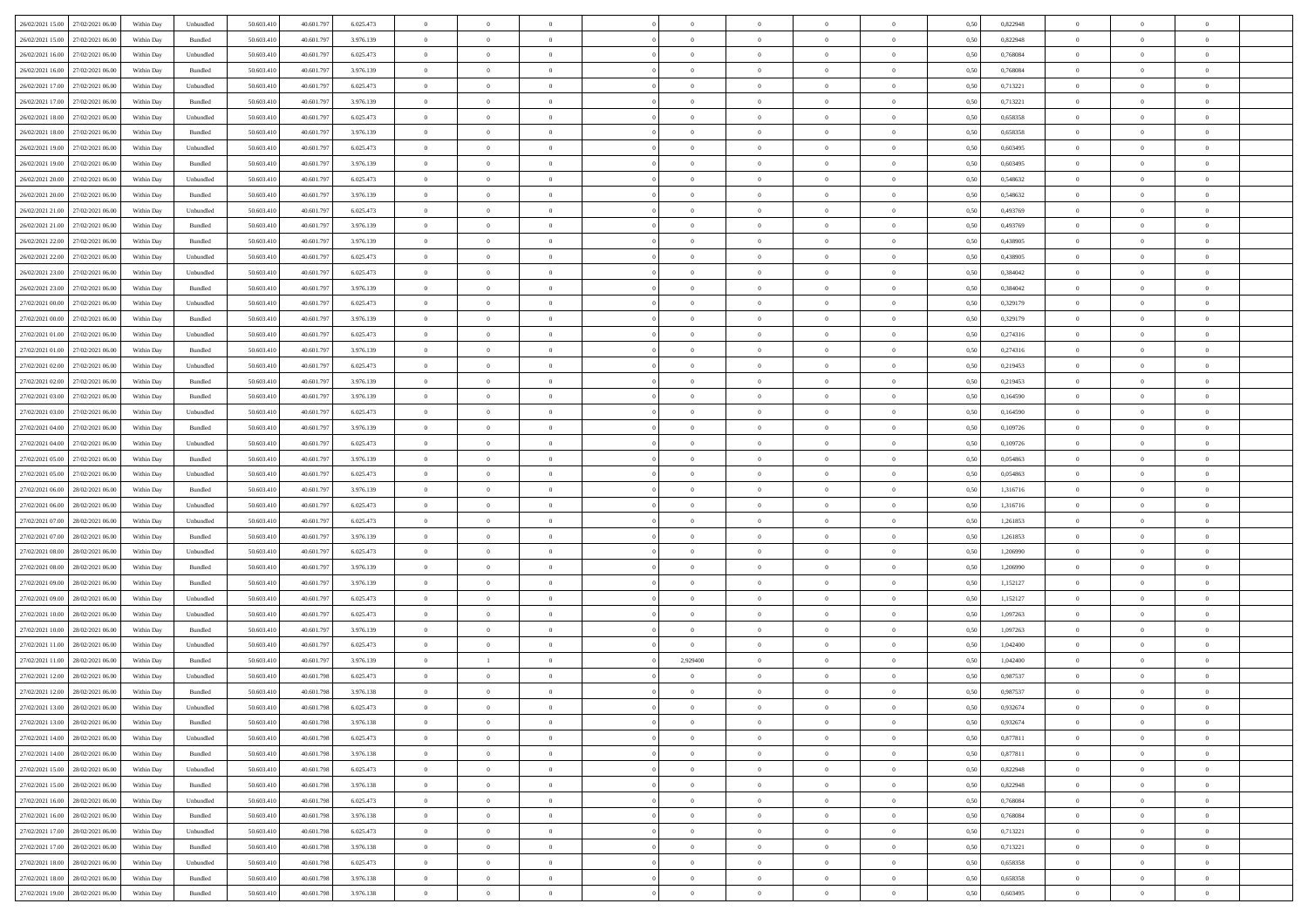| 26/02/2021 15:00 27/02/2021 06:00    | Within Day | Unbundled         | 50.603.410 | 40.601.797 | 6.025.473 | $\overline{0}$ | $\overline{0}$ |                | $\overline{0}$ | $\theta$       |                | $\theta$       | 0,50 | 0,822948 | $\theta$       | $\theta$       | $\overline{0}$ |  |
|--------------------------------------|------------|-------------------|------------|------------|-----------|----------------|----------------|----------------|----------------|----------------|----------------|----------------|------|----------|----------------|----------------|----------------|--|
| 26/02/2021 15:00<br>27/02/2021 06.00 | Within Day | Bundled           | 50.603.41  | 40.601.79  | 3.976.139 | $\bf{0}$       | $\bf{0}$       | $\bf{0}$       | $\bf{0}$       | $\overline{0}$ | $\overline{0}$ | $\bf{0}$       | 0,50 | 0,822948 | $\,$ 0 $\,$    | $\bf{0}$       | $\overline{0}$ |  |
| 26/02/2021 16:00<br>27/02/2021 06:00 | Within Day | Unbundled         | 50.603.41  | 40.601.79  | 6.025.473 | $\overline{0}$ | $\bf{0}$       | $\overline{0}$ | $\bf{0}$       | $\bf{0}$       | $\overline{0}$ | $\bf{0}$       | 0.50 | 0.768084 | $\bf{0}$       | $\overline{0}$ | $\bf{0}$       |  |
| 26/02/2021 16:00<br>27/02/2021 06:00 | Within Day | Bundled           | 50.603.41  | 40.601.797 | 3.976.139 | $\overline{0}$ | $\overline{0}$ | $\overline{0}$ | $\overline{0}$ | $\theta$       | $\overline{0}$ | $\bf{0}$       | 0,50 | 0,768084 | $\theta$       | $\theta$       | $\overline{0}$ |  |
|                                      |            |                   |            |            |           |                |                |                |                |                |                |                |      |          |                |                |                |  |
| 26/02/2021 17:00<br>27/02/2021 06.00 | Within Day | Unbundled         | 50.603.41  | 40.601.79  | 6.025.473 | $\bf{0}$       | $\overline{0}$ | $\bf{0}$       | $\overline{0}$ | $\bf{0}$       | $\overline{0}$ | $\bf{0}$       | 0,50 | 0,713221 | $\,$ 0 $\,$    | $\bf{0}$       | $\overline{0}$ |  |
| 26/02/2021 17:00<br>27/02/2021 06:00 | Within Day | Bundled           | 50.603.41  | 40.601.79  | 3.976.139 | $\overline{0}$ | $\bf{0}$       | $\overline{0}$ | $\bf{0}$       | $\overline{0}$ | $\overline{0}$ | $\bf{0}$       | 0.50 | 0,713221 | $\bf{0}$       | $\theta$       | $\overline{0}$ |  |
| 26/02/2021 18:00<br>27/02/2021 06:00 | Within Day | Unbundled         | 50.603.41  | 40.601.797 | 6.025.473 | $\overline{0}$ | $\overline{0}$ | $\overline{0}$ | $\overline{0}$ | $\overline{0}$ | $\overline{0}$ | $\bf{0}$       | 0,50 | 0,658358 | $\,$ 0 $\,$    | $\theta$       | $\overline{0}$ |  |
| 26/02/2021 18:00<br>27/02/2021 06.00 | Within Day | Bundled           | 50.603.41  | 40.601.79  | 3.976.139 | $\bf{0}$       | $\bf{0}$       | $\bf{0}$       | $\overline{0}$ | $\overline{0}$ | $\overline{0}$ | $\bf{0}$       | 0,50 | 0,658358 | $\,$ 0 $\,$    | $\bf{0}$       | $\overline{0}$ |  |
| 26/02/2021 19:00<br>27/02/2021 06:00 | Within Day | Unbundled         | 50.603.41  | 40.601.79  | 6.025.473 | $\overline{0}$ | $\bf{0}$       | $\overline{0}$ | $\bf{0}$       | $\overline{0}$ | $\overline{0}$ | $\bf{0}$       | 0.50 | 0.603495 | $\bf{0}$       | $\overline{0}$ | $\overline{0}$ |  |
| 26/02/2021 19:00<br>27/02/2021 06:00 | Within Day | Bundled           | 50.603.410 | 40.601.797 | 3.976.139 | $\overline{0}$ | $\bf{0}$       | $\overline{0}$ | $\overline{0}$ | $\overline{0}$ | $\overline{0}$ | $\bf{0}$       | 0,50 | 0,603495 | $\,$ 0 $\,$    | $\bf{0}$       | $\overline{0}$ |  |
|                                      |            |                   |            |            |           |                |                |                |                |                |                |                |      |          |                |                |                |  |
| 26/02/2021 20:00<br>27/02/2021 06.00 | Within Day | Unbundled         | 50.603.41  | 40.601.79  | 6.025.473 | $\bf{0}$       | $\bf{0}$       | $\bf{0}$       | $\bf{0}$       | $\overline{0}$ | $\overline{0}$ | $\bf{0}$       | 0,50 | 0,548632 | $\,$ 0 $\,$    | $\bf{0}$       | $\overline{0}$ |  |
| 26/02/2021 20:00<br>27/02/2021 06:00 | Within Day | Bundled           | 50.603.41  | 40.601.797 | 3.976.139 | $\overline{0}$ | $\bf{0}$       | $\overline{0}$ | $\overline{0}$ | $\overline{0}$ | $\overline{0}$ | $\bf{0}$       | 0.50 | 0.548632 | $\bf{0}$       | $\,$ 0 $\,$    | $\,$ 0         |  |
| 26/02/2021 21:00<br>27/02/2021 06:00 | Within Day | Unbundled         | 50.603.41  | 40.601.797 | 6.025.473 | $\overline{0}$ | $\overline{0}$ | $\overline{0}$ | $\theta$       | $\theta$       | $\overline{0}$ | $\bf{0}$       | 0,50 | 0,493769 | $\,$ 0 $\,$    | $\,$ 0 $\,$    | $\overline{0}$ |  |
| 26/02/2021 21:00<br>27/02/2021 06.00 | Within Day | Bundled           | 50.603.41  | 40.601.79  | 3.976.139 | $\bf{0}$       | $\overline{0}$ | $\bf{0}$       | $\bf{0}$       | $\bf{0}$       | $\overline{0}$ | $\bf{0}$       | 0,50 | 0,493769 | $\,$ 0 $\,$    | $\bf{0}$       | $\overline{0}$ |  |
| 26/02/2021 22:00<br>27/02/2021 06.00 | Within Day | Bundled           | 50.603.41  | 40.601.79  | 3.976.139 | $\overline{0}$ | $\bf{0}$       | $\overline{0}$ | $\bf{0}$       | $\overline{0}$ | $\overline{0}$ | $\bf{0}$       | 0.50 | 0.438905 | $\,$ 0 $\,$    | $\bf{0}$       | $\overline{0}$ |  |
| 26/02/2021 22:00<br>27/02/2021 06:00 | Within Day | Unbundled         | 50.603.410 | 40.601.797 | 6.025.473 | $\overline{0}$ | $\overline{0}$ | $\overline{0}$ | $\overline{0}$ | $\overline{0}$ | $\overline{0}$ | $\bf{0}$       | 0,50 | 0,438905 | $\theta$       | $\theta$       | $\overline{0}$ |  |
|                                      |            |                   |            |            |           | $\bf{0}$       | $\bf{0}$       | $\bf{0}$       | $\overline{0}$ | $\overline{0}$ | $\overline{0}$ |                |      |          | $\,$ 0 $\,$    | $\bf{0}$       | $\overline{0}$ |  |
| 26/02/2021 23:00<br>27/02/2021 06.00 | Within Day | Unbundled         | 50.603.41  | 40.601.79  | 6.025.473 |                |                |                |                |                |                | $\bf{0}$       | 0,50 | 0,384042 |                |                |                |  |
| 26/02/2021 23:00<br>27/02/2021 06:00 | Within Day | Bundled           | 50.603.41  | 40.601.79  | 3.976.139 | $\overline{0}$ | $\bf{0}$       | $\overline{0}$ | $\bf{0}$       | $\bf{0}$       | $\overline{0}$ | $\bf{0}$       | 0.50 | 0.384042 | $\bf{0}$       | $\overline{0}$ | $\bf{0}$       |  |
| 27/02/2021 00:00<br>27/02/2021 06:00 | Within Day | Unbundled         | 50.603.410 | 40.601.797 | 6.025.473 | $\bf{0}$       | $\bf{0}$       | $\overline{0}$ | $\overline{0}$ | $\overline{0}$ | $\overline{0}$ | $\bf{0}$       | 0,50 | 0,329179 | $\,$ 0 $\,$    | $\bf{0}$       | $\overline{0}$ |  |
| 27/02/2021 00:00<br>27/02/2021 06.00 | Within Day | Bundled           | 50.603.41  | 40.601.79  | 3.976.139 | $\bf{0}$       | $\bf{0}$       | $\bf{0}$       | $\bf{0}$       | $\overline{0}$ | $\overline{0}$ | $\bf{0}$       | 0,50 | 0,329179 | $\,$ 0 $\,$    | $\bf{0}$       | $\overline{0}$ |  |
| 27/02/2021 01:00<br>27/02/2021 06:00 | Within Day | Unbundled         | 50.603.41  | 40.601.797 | 6.025.473 | $\overline{0}$ | $\bf{0}$       | $\overline{0}$ | $\overline{0}$ | $\bf{0}$       | $\overline{0}$ | $\bf{0}$       | 0.50 | 0,274316 | $\bf{0}$       | $\overline{0}$ | $\,$ 0         |  |
| 27/02/2021 01:00<br>27/02/2021 06:00 | Within Day | Bundled           | 50.603.41  | 40.601.797 | 3.976.139 | $\overline{0}$ | $\overline{0}$ | $\overline{0}$ | $\overline{0}$ | $\theta$       | $\overline{0}$ | $\bf{0}$       | 0,50 | 0,274316 | $\theta$       | $\theta$       | $\overline{0}$ |  |
| 27/02/2021 02:00<br>27/02/2021 06.00 | Within Day | Unbundled         | 50.603.41  | 40.601.79  | 6.025.473 | $\bf{0}$       | $\bf{0}$       | $\bf{0}$       | $\bf{0}$       | $\overline{0}$ | $\overline{0}$ | $\bf{0}$       | 0,50 | 0,219453 | $\,$ 0 $\,$    | $\bf{0}$       | $\overline{0}$ |  |
|                                      |            |                   |            |            |           |                |                |                |                |                |                |                |      |          |                |                |                |  |
| 27/02/2021 02:00<br>27/02/2021 06:00 | Within Day | Bundled           | 50,603.41  | 40.601.79  | 3.976.139 | $\overline{0}$ | $\bf{0}$       | $\overline{0}$ | $\bf{0}$       | $\overline{0}$ | $\overline{0}$ | $\bf{0}$       | 0.50 | 0.219453 | $\bf{0}$       | $\theta$       | $\overline{0}$ |  |
| 27/02/2021 03:00<br>27/02/2021 06:00 | Within Day | Bundled           | 50.603.410 | 40.601.797 | 3.976.139 | $\overline{0}$ | $\overline{0}$ | $\overline{0}$ | $\overline{0}$ | $\overline{0}$ | $\overline{0}$ | $\bf{0}$       | 0,50 | 0,164590 | $\,$ 0 $\,$    | $\theta$       | $\overline{0}$ |  |
| 27/02/2021 03:00<br>27/02/2021 06.00 | Within Day | Unbundled         | 50.603.41  | 40.601.79  | 6.025.473 | $\bf{0}$       | $\overline{0}$ | $\bf{0}$       | $\overline{0}$ | $\overline{0}$ | $\overline{0}$ | $\bf{0}$       | 0,50 | 0,164590 | $\,$ 0 $\,$    | $\bf{0}$       | $\overline{0}$ |  |
| 27/02/2021 04:00<br>27/02/2021 06:00 | Within Day | Bundled           | 50,603.41  | 40.601.79  | 3.976.139 | $\overline{0}$ | $\bf{0}$       | $\overline{0}$ | $\bf{0}$       | $\overline{0}$ | $\overline{0}$ | $\bf{0}$       | 0.50 | 0.109726 | $\bf{0}$       | $\overline{0}$ | $\overline{0}$ |  |
| 27/02/2021 04:00<br>27/02/2021 06:00 | Within Day | Unbundled         | 50.603.410 | 40.601.797 | 6.025.473 | $\overline{0}$ | $\bf{0}$       | $\overline{0}$ | $\overline{0}$ | $\overline{0}$ | $\overline{0}$ | $\bf{0}$       | 0,50 | 0,109726 | $\theta$       | $\bf{0}$       | $\overline{0}$ |  |
| 27/02/2021 05:00<br>27/02/2021 06.00 | Within Day | Bundled           | 50.603.41  | 40.601.79  | 3.976.139 | $\bf{0}$       | $\bf{0}$       | $\bf{0}$       | $\bf{0}$       | $\overline{0}$ | $\overline{0}$ | $\bf{0}$       | 0,50 | 0,054863 | $\,$ 0 $\,$    | $\bf{0}$       | $\overline{0}$ |  |
| 27/02/2021 05:00<br>27/02/2021 06:00 | Within Day | Unbundled         | 50.603.41  | 40.601.79  | 6.025.473 | $\overline{0}$ | $\bf{0}$       | $\overline{0}$ | $\overline{0}$ | $\bf{0}$       | $\overline{0}$ | $\bf{0}$       | 0.50 | 0.054863 | $\bf{0}$       | $\,$ 0 $\,$    | $\,$ 0         |  |
|                                      |            |                   |            |            |           |                |                |                |                |                |                |                |      |          |                |                |                |  |
| 27/02/2021 06:00<br>28/02/2021 06:00 | Within Day | Bundled           | 50.603.41  | 40.601.797 | 3.976.139 | $\overline{0}$ | $\overline{0}$ | $\overline{0}$ | $\overline{0}$ | $\overline{0}$ | $\overline{0}$ | $\bf{0}$       | 0.5( | 1,316716 | $\theta$       | $\theta$       | $\overline{0}$ |  |
| 27/02/2021 06:00<br>28/02/2021 06:00 | Within Day | Unbundled         | 50.603.41  | 40.601.79  | 6.025.473 | $\bf{0}$       | $\bf{0}$       | $\bf{0}$       | $\bf{0}$       | $\overline{0}$ | $\overline{0}$ | $\bf{0}$       | 0,50 | 1,316716 | $\,$ 0 $\,$    | $\bf{0}$       | $\overline{0}$ |  |
| 27/02/2021 07:00<br>28/02/2021 06:00 | Within Day | Unbundled         | 50.603.41  | 40.601.79  | 6.025.473 | $\overline{0}$ | $\bf{0}$       | $\overline{0}$ | $\bf{0}$       | $\overline{0}$ | $\overline{0}$ | $\bf{0}$       | 0.50 | 1.261853 | $\bf{0}$       | $\bf{0}$       | $\overline{0}$ |  |
| 27/02/2021 07:00<br>28/02/2021 06:00 | Within Dav | Bundled           | 50.603.410 | 40.601.797 | 3.976.139 | $\overline{0}$ | $\overline{0}$ | $\overline{0}$ | $\overline{0}$ | $\overline{0}$ | $\overline{0}$ | $\bf{0}$       | 0.50 | 1,261853 | $\theta$       | $\theta$       | $\overline{0}$ |  |
| 27/02/2021 08:00<br>28/02/2021 06:00 | Within Day | Unbundled         | 50.603.41  | 40.601.79  | 6.025.473 | $\bf{0}$       | $\bf{0}$       | $\bf{0}$       | $\bf{0}$       | $\overline{0}$ | $\overline{0}$ | $\bf{0}$       | 0,50 | 1,206990 | $\,$ 0 $\,$    | $\bf{0}$       | $\overline{0}$ |  |
| 27/02/2021 08:00<br>28/02/2021 06:00 | Within Day | Bundled           | 50,603.41  | 40.601.79  | 3.976.139 | $\overline{0}$ | $\bf{0}$       | $\overline{0}$ | $\bf{0}$       | $\overline{0}$ | $\overline{0}$ | $\bf{0}$       | 0.50 | 1.206990 | $\bf{0}$       | $\overline{0}$ | $\overline{0}$ |  |
| 27/02/2021 09:00<br>28/02/2021 06:00 | Within Dav | Bundled           | 50.603.41  | 40.601.797 | 3.976.139 | $\overline{0}$ | $\overline{0}$ | $\overline{0}$ | $\overline{0}$ | $\overline{0}$ | $\overline{0}$ | $\bf{0}$       | 0.50 | 1,152127 | $\theta$       | $\theta$       | $\overline{0}$ |  |
| 28/02/2021 06:00                     | Within Day | Unbundled         | 50.603.41  | 40.601.79  | 6.025.473 | $\bf{0}$       | $\bf{0}$       | $\bf{0}$       | $\bf{0}$       | $\overline{0}$ | $\bf{0}$       | $\bf{0}$       | 0,50 | 1,152127 | $\,$ 0 $\,$    | $\bf{0}$       | $\overline{0}$ |  |
| 27/02/2021 09:00                     |            |                   |            |            |           |                |                |                |                |                |                |                |      |          |                |                |                |  |
| 27/02/2021 10:00<br>28/02/2021 06:00 | Within Day | Unbundled         | 50.603.41  | 40.601.797 | 6.025.473 | $\overline{0}$ | $\bf{0}$       | $\overline{0}$ | $\overline{0}$ | $\bf{0}$       | $\overline{0}$ | $\bf{0}$       | 0.50 | 1.097263 | $\bf{0}$       | $\,$ 0 $\,$    | $\,$ 0         |  |
| 27/02/2021 10:00<br>28/02/2021 06:00 | Within Dav | Bundled           | 50.603.41  | 40.601.797 | 3.976.139 | $\overline{0}$ | $\overline{0}$ | $\overline{0}$ | $\overline{0}$ | $\overline{0}$ | $\overline{0}$ | $\bf{0}$       | 0.50 | 1,097263 | $\theta$       | $\theta$       | $\overline{0}$ |  |
| 27/02/2021 11:00<br>28/02/2021 06:00 | Within Day | Unbundled         | 50.603.41  | 40.601.79  | 6.025.473 | $\bf{0}$       | $\bf{0}$       | $\bf{0}$       | $\overline{0}$ | $\overline{0}$ | $\overline{0}$ | $\bf{0}$       | 0,50 | 1,042400 | $\,$ 0 $\,$    | $\bf{0}$       | $\overline{0}$ |  |
| 27/02/2021 11:00<br>28/02/2021 06:00 | Within Day | Bundled           | 50.603.41  | 40.601.79  | 3.976.139 | $\overline{0}$ | -1             | $\overline{0}$ | 2.929400       | $\overline{0}$ | $\overline{0}$ | $\bf{0}$       | 0.50 | 1.042400 | $\bf{0}$       | $\theta$       | $\overline{0}$ |  |
| 27/02/2021 12:00<br>28/02/2021 06:00 | Within Dav | Unbundled         | 50.603.41  | 40.601.798 | 6.025.473 | $\overline{0}$ | $\overline{0}$ | $\Omega$       | $\overline{0}$ | $\theta$       | $\overline{0}$ | $\overline{0}$ | 0.5( | 0,987537 | $\theta$       | $\theta$       | $\overline{0}$ |  |
| 27/02/2021 12:00<br>28/02/2021 06:00 | Within Day | Bundled           | 50.603.41  | 40.601.798 | 3.976.138 | $\bf{0}$       | $\bf{0}$       | $\bf{0}$       | $\bf{0}$       | $\bf{0}$       | $\overline{0}$ | $\bf{0}$       | 0,50 | 0,987537 | $\,$ 0 $\,$    | $\bf{0}$       | $\overline{0}$ |  |
| 27/02/2021 13:00 28/02/2021 06:00    | Within Day | ${\sf Unbundred}$ | 50.603.410 | 40.601.798 | 6.025.473 | $\bf{0}$       | $\theta$       |                | $\overline{0}$ |                |                |                | 0,50 | 0,932674 | $\bf{0}$       | $\bf{0}$       |                |  |
|                                      |            |                   |            |            |           |                |                |                |                |                |                |                |      |          |                |                |                |  |
| 27/02/2021 13:00 28/02/2021 06:00    | Within Day | Bundled           | 50.603.410 | 40.601.798 | 3.976.138 | $\overline{0}$ | $\overline{0}$ | $\Omega$       | $\theta$       | $\overline{0}$ | $\overline{0}$ | $\bf{0}$       | 0,50 | 0,932674 | $\theta$       | $\theta$       | $\overline{0}$ |  |
| 27/02/2021 14:00<br>28/02/2021 06:00 | Within Day | Unbundled         | 50.603.41  | 40.601.798 | 6.025.473 | $\overline{0}$ | $\bf{0}$       | $\overline{0}$ | $\overline{0}$ | $\bf{0}$       | $\overline{0}$ | $\bf{0}$       | 0,50 | 0,877811 | $\bf{0}$       | $\overline{0}$ | $\bf{0}$       |  |
| 27/02/2021 14:00 28/02/2021 06:00    | Within Day | Bundled           | 50,603.410 | 40.601.798 | 3.976.138 | $\overline{0}$ | $\overline{0}$ | $\overline{0}$ | $\overline{0}$ | $\mathbf{0}$   | $\overline{0}$ | $\,$ 0 $\,$    | 0.50 | 0.877811 | $\overline{0}$ | $\bf{0}$       | $\,$ 0 $\,$    |  |
| 27/02/2021 15:00 28/02/2021 06:00    | Within Dav | Unbundled         | 50.603.410 | 40.601.798 | 6.025.473 | $\overline{0}$ | $\overline{0}$ | $\overline{0}$ | $\overline{0}$ | $\overline{0}$ | $\overline{0}$ | $\bf{0}$       | 0.50 | 0,822948 | $\overline{0}$ | $\theta$       | $\overline{0}$ |  |
| 27/02/2021 15:00<br>28/02/2021 06:00 | Within Day | Bundled           | 50.603.41  | 40.601.798 | 3.976.138 | $\overline{0}$ | $\bf{0}$       | $\overline{0}$ | $\overline{0}$ | $\bf{0}$       | $\overline{0}$ | $\bf{0}$       | 0,50 | 0,822948 | $\bf{0}$       | $\overline{0}$ | $\overline{0}$ |  |
| 27/02/2021 16:00<br>28/02/2021 06:00 | Within Day | Unbundled         | 50,603.410 | 40.601.798 | 6.025.473 | $\overline{0}$ | $\bf{0}$       | $\overline{0}$ | $\overline{0}$ | $\bf{0}$       | $\overline{0}$ | $\bf{0}$       | 0.50 | 0.768084 | $\,$ 0 $\,$    | $\overline{0}$ | $\,$ 0         |  |
|                                      | Within Dav | Bundled           | 50.603.410 | 40.601.798 | 3.976.138 | $\overline{0}$ | $\overline{0}$ | $\overline{0}$ | $\overline{0}$ | $\overline{0}$ | $\overline{0}$ | $\bf{0}$       | 0.50 | 0,768084 | $\overline{0}$ | $\theta$       | $\overline{0}$ |  |
| 27/02/2021 16:00 28/02/2021 06:00    |            |                   |            |            |           |                |                |                |                |                |                |                |      |          |                |                |                |  |
| 27/02/2021 17:00<br>28/02/2021 06:00 | Within Day | Unbundled         | 50.603.41  | 40.601.798 | 6.025.473 | $\overline{0}$ | $\overline{0}$ | $\overline{0}$ | $\overline{0}$ | $\overline{0}$ | $\overline{0}$ | $\bf{0}$       | 0,50 | 0,713221 | $\bf{0}$       | $\overline{0}$ | $\,$ 0         |  |
| 27/02/2021 17:00 28/02/2021 06:00    | Within Day | Bundled           | 50,603.410 | 40.601.798 | 3.976.138 | $\overline{0}$ | $\overline{0}$ | $\overline{0}$ | $\overline{0}$ | $\overline{0}$ | $\overline{0}$ | $\bf{0}$       | 0.50 | 0.713221 | $\mathbf{0}$   | $\bf{0}$       | $\,$ 0         |  |
| 27/02/2021 18:00 28/02/2021 06:00    | Within Dav | Unbundled         | 50.603.410 | 40.601.798 | 6.025.473 | $\overline{0}$ | $\overline{0}$ | $\overline{0}$ | $\overline{0}$ | $\overline{0}$ | $\overline{0}$ | $\bf{0}$       | 0,50 | 0,658358 | $\overline{0}$ | $\theta$       | $\overline{0}$ |  |
| 27/02/2021 18:00<br>28/02/2021 06:00 | Within Day | Bundled           | 50.603.41  | 40.601.798 | 3.976.138 | $\overline{0}$ | $\bf{0}$       | $\overline{0}$ | $\bf{0}$       | $\overline{0}$ | $\overline{0}$ | $\bf{0}$       | 0,50 | 0,658358 | $\bf{0}$       | $\,$ 0 $\,$    | $\bf{0}$       |  |
| 27/02/2021 19:00 28/02/2021 06:00    | Within Day | Bundled           | 50.603.410 | 40.601.798 | 3.976.138 | $\,$ 0 $\,$    | $\bf{0}$       | $\overline{0}$ | $\overline{0}$ | $\,$ 0 $\,$    | $\overline{0}$ | $\bf{0}$       | 0,50 | 0,603495 | $\overline{0}$ | $\,$ 0 $\,$    | $\,$ 0 $\,$    |  |
|                                      |            |                   |            |            |           |                |                |                |                |                |                |                |      |          |                |                |                |  |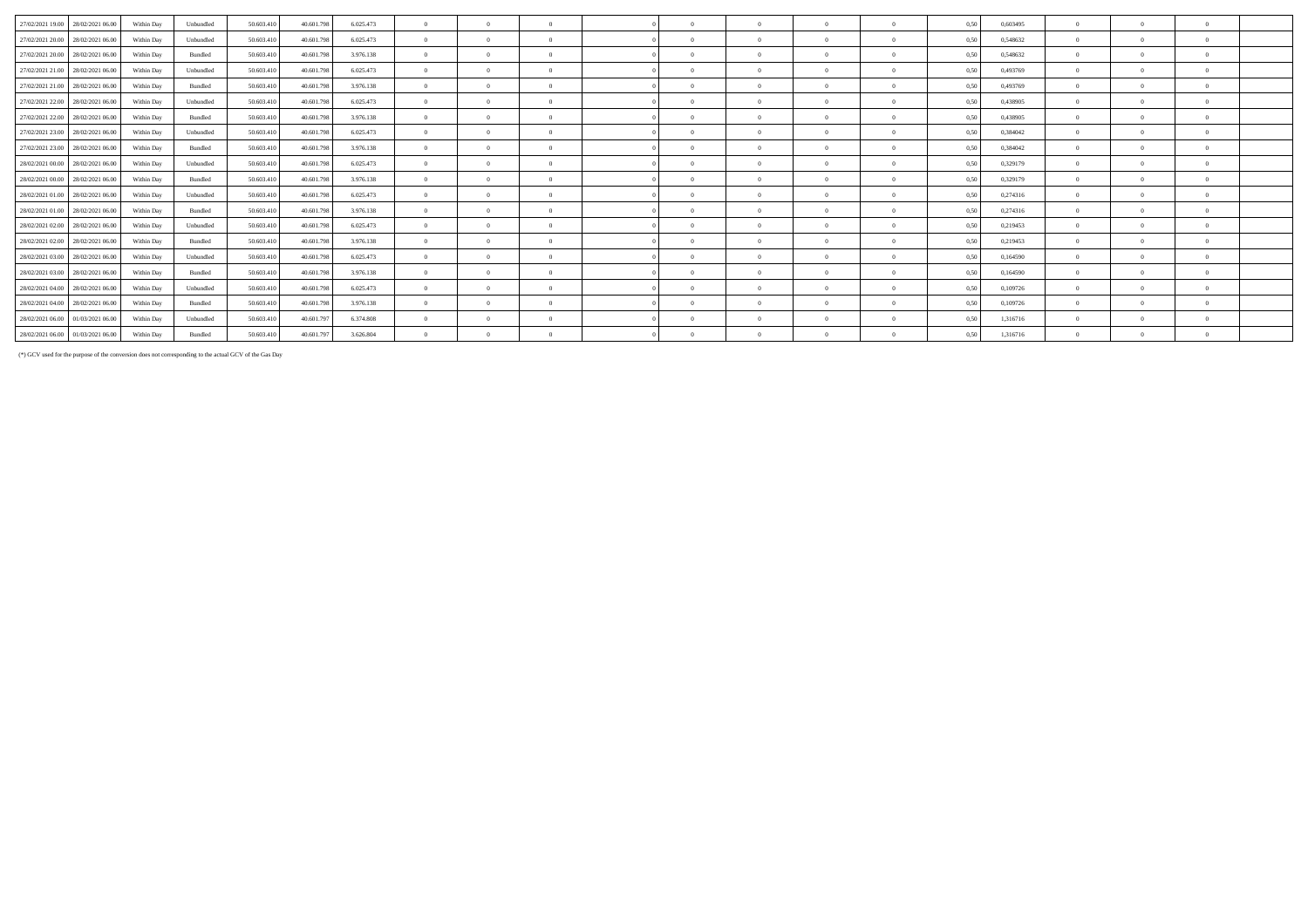| 27/02/2021 19:00 | 28/02/2021 06:00                  | Within Day | Unbundled | 50,603.410 | 40.601.798 | 6.025.473 | $\Omega$       |          |          | $\Omega$ | $\Omega$   | $\Omega$ | 0.50 | 0,603495 | $\Omega$       | $\Omega$   |
|------------------|-----------------------------------|------------|-----------|------------|------------|-----------|----------------|----------|----------|----------|------------|----------|------|----------|----------------|------------|
| 27/02/2021 20:00 | 28/02/2021 06:00                  | Within Day | Unbundled | 50,603.410 | 40.601.798 | 6.025.473 | $\Omega$       | $\Omega$ | $\Omega$ | $\Omega$ | $^{\circ}$ | $\Omega$ | 0.50 | 0.548632 | $\Omega$       | $\Omega$   |
| 27/02/2021 20:00 | 28/02/2021 06:00                  | Within Day | Bundled   | 50.603.410 | 40.601.798 | 3.976.138 | $\Omega$       |          |          | $\Omega$ | $\Omega$   |          | 0.50 | 0.548632 | $\Omega$       | $\Omega$   |
|                  | 27/02/2021 21:00 28/02/2021 06:00 | Within Day | Unbundled | 50,603.410 | 40.601.798 | 6.025.473 | $\Omega$       |          |          | $\Omega$ | $\Omega$   |          | 0.50 | 0,493769 | $\Omega$       | $\Omega$   |
|                  | 27/02/2021 21.00 28/02/2021 06.00 | Within Day | Bundled   | 50.603.410 | 40.601.798 | 3.976.138 | $\Omega$       |          |          | $\Omega$ | $\Omega$   | $\Omega$ | 0.50 | 0,493769 | $\Omega$       | $\Omega$   |
| 27/02/2021 22.00 | 28/02/2021 06:00                  | Within Day | Unbundled | 50.603.410 | 40.601.798 | 6.025.473 | $\Omega$       | $\Omega$ | $\Omega$ | $\Omega$ | $^{\circ}$ | $\Omega$ | 0.50 | 0.438905 | $\Omega$       | $\Omega$   |
| 27/02/2021 22.00 | 28/02/2021 06:00                  | Within Day | Bundled   | 50,603.410 | 40.601.798 | 3.976.138 | $\Omega$       |          |          | $\Omega$ | $\Omega$   | $\Omega$ | 0,50 | 0.438905 | $\Omega$       | $\Omega$   |
|                  | 27/02/2021 23:00 28/02/2021 06:00 | Within Day | Unbundled | 50.603.410 | 40.601.798 | 6.025.473 | $\Omega$       |          |          | $\Omega$ | $\Omega$   |          | 0.50 | 0.384042 | $\Omega$       | $\Omega$   |
|                  | 27/02/2021 23:00 28/02/2021 06:00 | Within Day | Bundled   | 50.603.410 | 40.601.798 | 3.976.138 | $\Omega$       |          |          | $\Omega$ | $\Omega$   | $\Omega$ | 0.50 | 0,384042 | $\Omega$       | $\Omega$   |
| 28/02/2021 00:00 | 28/02/2021 06:00                  | Within Day | Unbundled | 50.603.410 | 40.601.798 | 6.025.473 | $\Omega$       |          |          | $\Omega$ | $\Omega$   |          | 0.50 | 0,329179 | $\Omega$       | $\Omega$   |
|                  | 28/02/2021 00:00 28/02/2021 06:00 | Within Day | Bundled   | 50.603.410 | 40.601.798 | 3.976.138 | $\Omega$       |          |          | $\Omega$ | $\Omega$   | $\Omega$ | 0,50 | 0,329179 | $\Omega$       | $\Omega$   |
|                  | 28/02/2021 01:00 28/02/2021 06:00 | Within Day | Unbundled | 50.603.410 | 40.601.798 | 6.025.473 | $\Omega$       |          |          | $\Omega$ | $\Omega$   |          | 0.50 | 0,274316 | $\Omega$       | $\Omega$   |
|                  | 28/02/2021 01:00 28/02/2021 06:00 | Within Day | Bundled   | 50.603.410 | 40.601.798 | 3.976.138 | $\theta$       |          |          | $\Omega$ | $\Omega$   | $\Omega$ | 0,50 | 0,274316 | $\Omega$       | $\Omega$   |
| 28/02/2021 02:00 | 28/02/2021 06:00                  | Within Day | Unbundled | 50.603.410 | 40.601.798 | 6.025.473 | $\Omega$       |          |          | $\Omega$ | $\Omega$   |          | 0.50 | 0,219453 | $\Omega$       | $\Omega$   |
| 28/02/2021 02:00 | 28/02/2021 06:00                  | Within Day | Bundled   | 50.603.410 | 40.601.798 | 3.976.138 | $\Omega$       |          |          | $\Omega$ | $\Omega$   |          | 0,50 | 0,219453 | $\Omega$       | $\Omega$   |
|                  | 28/02/2021 03:00 28/02/2021 06:00 | Within Day | Unbundled | 50.603.410 | 40.601.798 | 6.025.473 | $\Omega$       |          |          | $\Omega$ |            |          | 0,50 | 0,164590 | $\Omega$       | $\Omega$   |
|                  | 28/02/2021 03:00 28/02/2021 06:00 | Within Day | Bundled   | 50.603.410 | 40.601.798 | 3.976.138 | $\theta$       |          |          | $\Omega$ | $\Omega$   | $\Omega$ | 0,50 | 0,164590 | $\Omega$       | $\theta$   |
|                  | 28/02/2021 04:00 28/02/2021 06:00 | Within Day | Unbundled | 50.603.410 | 40.601.798 | 6.025.473 | $\Omega$       |          |          | $\Omega$ | $\Omega$   |          | 0,50 | 0,109726 | $\Omega$       | $\Omega$   |
|                  | 28/02/2021 04:00 28/02/2021 06:00 | Within Day | Bundled   | 50.603.410 | 40.601.798 | 3.976.138 | $\overline{0}$ |          |          | $\Omega$ | $\Omega$   | $\Omega$ | 0,50 | 0,109726 | $\overline{0}$ | $\Omega$   |
|                  | 28/02/2021 06:00 01/03/2021 06:00 | Within Day | Unbundled | 50.603.410 | 40.601.797 | 6.374.808 | $\Omega$       |          |          |          |            |          | 0,50 | 1,316716 | $\Omega$       | $\sqrt{2}$ |
|                  | 28/02/2021 06:00 01/03/2021 06:00 | Within Dav | Bundled   | 50,603.410 | 40.601.797 | 3.626.804 | $\overline{0}$ |          |          | $\Omega$ | $\Omega$   |          | 0.50 | 1.316716 | $\overline{0}$ | $\Omega$   |

(\*) GCV used for the purpose of the conversion does not corresponding to the actual GCV of the Gas Day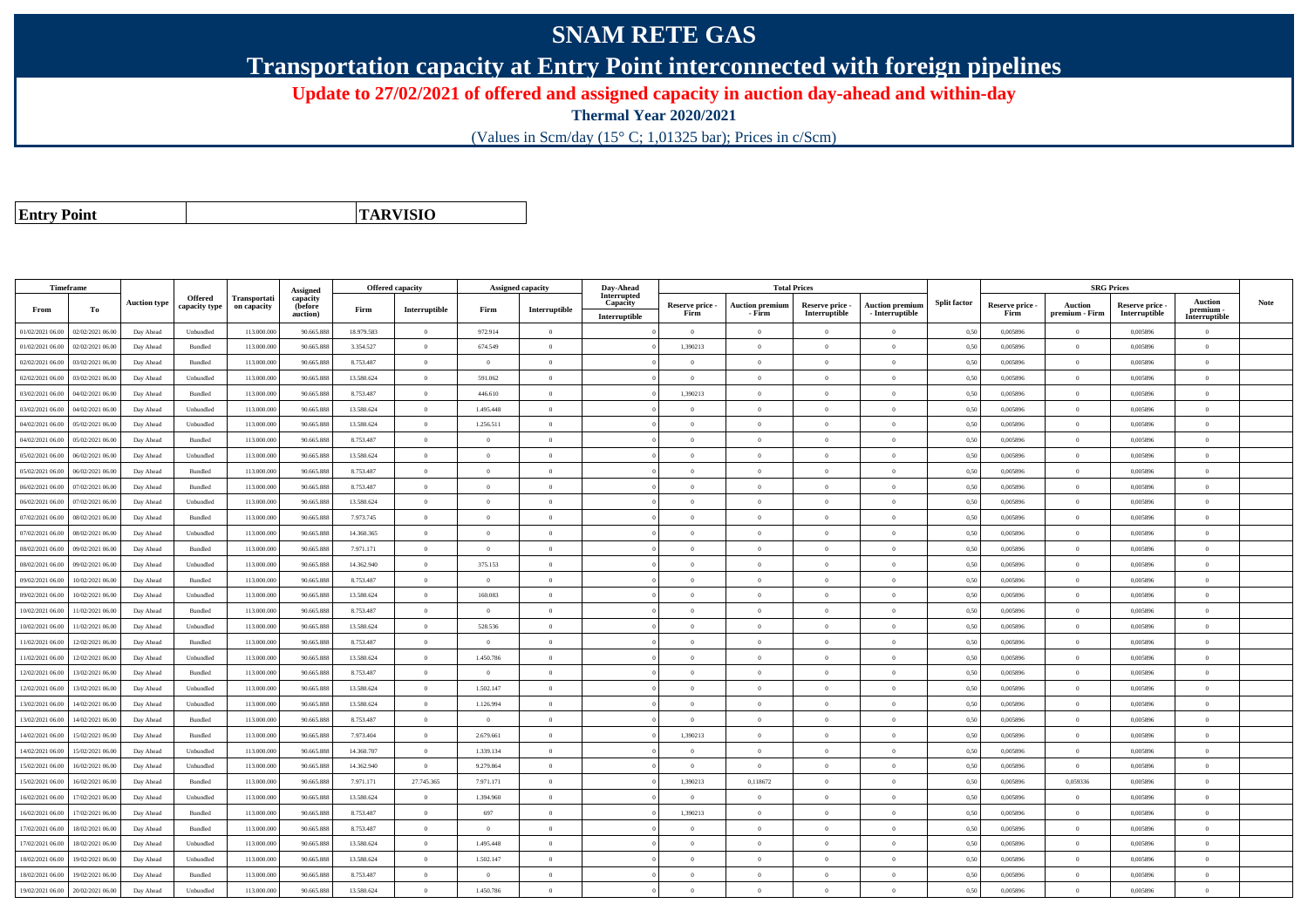## **SNAM RETE GAS**

**Transportation capacity at Entry Point interconnected with foreign pipelines**

**Update to 27/02/2021 of offered and assigned capacity in auction day-ahead and within-day**

**Thermal Year 2020/2021**

(Values in Scm/day (15° C; 1,01325 bar); Prices in c/Scm)

**Entry Point**

**TARVISIO**

|                  | Timeframe        |                     |                                 |                             |                                             |            | <b>Offered capacity</b> |                | <b>Assigned capacity</b> |                                          | Day-Ahead<br><b>Total Prices</b> |                                  |                                  |                                           |                     | <b>SRG Prices</b>       |                                  |                                  |                                       |      |
|------------------|------------------|---------------------|---------------------------------|-----------------------------|---------------------------------------------|------------|-------------------------|----------------|--------------------------|------------------------------------------|----------------------------------|----------------------------------|----------------------------------|-------------------------------------------|---------------------|-------------------------|----------------------------------|----------------------------------|---------------------------------------|------|
| From             | То               | <b>Auction type</b> | <b>Offered</b><br>capacity type | Transportati<br>on capacity | Assigned<br>capacity<br>(before<br>auction) | Firm       | Interruptible           | Firm           | Interruptible            | Interrupted<br>Capacity<br>Interruptible | Reserve price -<br>Firm          | <b>Auction premium</b><br>- Firm | Reserve price -<br>Interruptible | <b>Auction premium</b><br>- Interruptible | <b>Split factor</b> | Reserve price -<br>Firm | <b>Auction</b><br>premium - Firm | Reserve price -<br>Interruptible | Auction<br>premium -<br>Interruptible | Note |
| 01/02/2021 06:00 | 02/02/2021 06:00 | Day Ahead           | Unbundled                       | 113.000.000                 | 90.665.888                                  | 18.979.583 | $\theta$                | 972.914        | $\overline{0}$           |                                          | $\overline{0}$                   | $\Omega$                         | $\Omega$                         | $\theta$                                  | 0.50                | 0.005896                | $\overline{0}$                   | 0.005896                         | $\Omega$                              |      |
| 01/02/2021 06.00 | 02/02/2021 06.00 | Day Ahead           | Bundled                         | 113.000.000                 | 90.665.888                                  | 3.354.527  | $\overline{0}$          | 674.549        | $\overline{0}$           |                                          | 1,390213                         | $\Omega$                         | $\overline{0}$                   | $\theta$                                  | 0,50                | 0,005896                | $\overline{0}$                   | 0,005896                         | $\bf{0}$                              |      |
| 02/02/2021 06.00 | 03/02/2021 06:00 | Day Ahead           | <b>Bundled</b>                  | 113,000,000                 | 90.665.888                                  | 8,753,487  | $\overline{0}$          | $\Omega$       | $\overline{0}$           |                                          | $\Omega$                         | $\Omega$                         | $\Omega$                         | $\Omega$                                  | 0.50                | 0.005896                | $\overline{0}$                   | 0.005896                         | $\Omega$                              |      |
| 02/02/2021 06:00 | 03/02/2021 06:00 | Day Ahead           | Unbundled                       | 113.000.000                 | 90.665.888                                  | 13.580.624 | $\overline{0}$          | 591.062        | $\overline{0}$           |                                          | $\Omega$                         | $\sqrt{2}$                       | $\Omega$                         | $\theta$                                  | 0,50                | 0,005896                | $\overline{0}$                   | 0.005896                         | $\theta$                              |      |
| 03/02/2021 06:00 | 04/02/2021 06:00 | Day Ahead           | Bundled                         | 113.000.000                 | 90.665.888                                  | 8.753.487  | $\overline{0}$          | 446.610        | $\overline{0}$           |                                          | 1.390213                         | $\overline{0}$                   | $\overline{0}$                   | $\overline{0}$                            | 0,50                | 0.005896                | $\overline{0}$                   | 0.005896                         | $\bf{0}$                              |      |
| 3/02/2021 06.00  | 04/02/2021 06.00 | Day Ahead           | Unbundled                       | 113.000.000                 | 90.665.888                                  | 13.580.624 | $\overline{0}$          | 1.495.448      | $\overline{0}$           |                                          | $\overline{0}$                   | $\theta$                         | $\overline{0}$                   | $\overline{0}$                            | 0.50                | 0.005896                | $\overline{0}$                   | 0.005896                         | $\bf{0}$                              |      |
| 04/02/2021 06.00 | 05/02/2021 06.00 | Day Ahead           | Unbundled                       | 113.000.00                  | 90.665.888                                  | 13.580.624 | $\overline{0}$          | 1.256.511      | $\overline{0}$           |                                          | $\overline{0}$                   | $\sqrt{2}$                       | $\overline{0}$                   | $\overline{0}$                            | 0,50                | 0,005896                | $\overline{0}$                   | 0,005896                         | $\Omega$                              |      |
| 04/02/2021 06.00 | 05/02/2021 06.00 | Day Ahead           | Bundled                         | 113.000.000                 | 90.665.888                                  | 8.753.487  | $\theta$                | $\Omega$       | $\Omega$                 |                                          | $\Omega$                         |                                  | $\overline{0}$                   | $\Omega$                                  | 0,50                | 0,005896                | $\overline{0}$                   | 0,005896                         | $\Omega$                              |      |
| 05/02/2021 06.00 | 06/02/2021 06:00 | Day Ahead           | Unbundled                       | 113.000.000                 | 90.665.888                                  | 13.580.624 | $\overline{0}$          | $\Omega$       | $\theta$                 |                                          | $\Omega$                         | $\Omega$                         | $\Omega$                         | $\theta$                                  | 0.50                | 0.005896                | $\overline{0}$                   | 0.005896                         | $\theta$                              |      |
| 05/02/2021 06:00 | 06/02/2021 06:00 | Day Ahead           | Bundled                         | 113.000.00                  | 90.665.888                                  | 8.753.487  | $\theta$                | $\theta$       | $\theta$                 |                                          | $\Omega$                         |                                  | $\Omega$                         | $\theta$                                  | 0,50                | 0,005896                | $\theta$                         | 0,005896                         | $\Omega$                              |      |
| 06/02/2021 06:00 | 07/02/2021 06:00 | Day Ahead           | <b>Bundled</b>                  | 113,000,000                 | 90.665.888                                  | 8,753,487  | $\overline{0}$          | $\overline{0}$ | $\overline{0}$           |                                          | $\overline{0}$                   | $\theta$                         | $\theta$                         | $\overline{0}$                            | 0,50                | 0.005896                | $\overline{0}$                   | 0.005896                         | $\bf{0}$                              |      |
| 06/02/2021 06:00 | 07/02/2021 06.00 | Day Ahead           | Unbundled                       | 113.000.000                 | 90.665.888                                  | 13.580.624 | $\overline{0}$          | $\overline{0}$ | $\overline{0}$           |                                          | $\overline{0}$                   | $\Omega$                         | $\overline{0}$                   | $\overline{0}$                            | 0,50                | 0,005896                | $\overline{0}$                   | 0,005896                         | $\overline{0}$                        |      |
| 17/02/2021 06.00 | 08/02/2021 06.00 | Day Ahead           | Bundled                         | 113.000.00                  | 90.665.888                                  | 7.973.745  | $\overline{0}$          | $\Omega$       | $\overline{0}$           |                                          | $\Omega$                         |                                  | $\overline{0}$                   | $\theta$                                  | 0,50                | 0,005896                | $\overline{0}$                   | 0,005896                         | $\theta$                              |      |
| 07/02/2021 06.00 | 08/02/2021 06:00 | Day Ahead           | Unbundled                       | 113.000.000                 | 90.665.888                                  | 14.360.365 | $\overline{0}$          | $\overline{0}$ | $\overline{0}$           |                                          | $\overline{0}$                   | $\theta$                         | $\theta$                         | $\overline{0}$                            | 0,50                | 0,005896                | $\overline{0}$                   | 0.005896                         | $\theta$                              |      |
| 08/02/2021 06:00 | 09/02/2021 06.00 | Day Ahead           | Bundled                         | 113.000.000                 | 90.665.888                                  | 7.971.171  | $\theta$                | $\Omega$       | $\overline{0}$           |                                          | $\overline{0}$                   | $\Omega$                         | $\overline{0}$                   | $\Omega$                                  | 0,50                | 0,005896                | $\overline{0}$                   | 0,005896                         | $\bf{0}$                              |      |
| 08/02/2021 06:00 | 09/02/2021 06:00 | Day Ahead           | Unbundled                       | 113,000,00                  | 90.665.888                                  | 14.362.940 | $\theta$                | 375.153        | $\theta$                 |                                          | $\Omega$                         | $\Omega$                         | $\Omega$                         | $\theta$                                  | 0.50                | 0.005896                | $\theta$                         | 0.005896                         | $\Omega$                              |      |
| 09/02/2021 06:00 | 10/02/2021 06:00 | Day Ahead           | Bundled                         | 113,000,000                 | 90.665.888                                  | 8,753,487  | $\overline{0}$          | $\overline{0}$ | $\overline{0}$           |                                          | $\overline{0}$                   | $\theta$                         | $\Omega$                         | $\overline{0}$                            | 0.50                | 0.005896                | $\overline{0}$                   | 0.005896                         | $\Omega$                              |      |
| 09/02/2021 06.00 | 10/02/2021 06:00 | Day Ahead           | Unbundled                       | 113.000.000                 | 90.665.888                                  | 13.580.624 | $\overline{0}$          | 160.083        | $\overline{0}$           |                                          | $\overline{0}$                   | $\Omega$                         | $\overline{0}$                   | $\overline{0}$                            | 0,50                | 0,005896                | $\overline{0}$                   | 0,005896                         | $\bf{0}$                              |      |
| 0/02/2021 06:00  | 11/02/2021 06.00 | Day Ahead           | <b>Bundled</b>                  | 113.000.000                 | 90.665.888                                  | 8,753,487  | $\overline{0}$          | $\Omega$       | $\overline{0}$           |                                          | $\overline{0}$                   | $\Omega$                         | $\Omega$                         | $\theta$                                  | 0.50                | 0.005896                | $\overline{0}$                   | 0.005896                         | $\Omega$                              |      |
| 10/02/2021 06:00 | 11/02/2021 06.00 | Day Ahead           | ${\sf Unbundred}$               | 113.000.00                  | 90.665.888                                  | 13.580.624 | $\overline{0}$          | 528.536        | $\overline{0}$           |                                          | $\overline{0}$                   | $\Omega$                         | $\theta$                         | $\overline{0}$                            | 0,50                | 0,005896                | $\overline{0}$                   | 0,005896                         | $\Omega$                              |      |
| 11/02/2021 06:00 | 12/02/2021 06:00 | Day Ahead           | <b>Bundled</b>                  | 113.000.000                 | 90.665.888                                  | 8.753.487  | $\overline{0}$          | $\Omega$       | $\theta$                 |                                          | $\Omega$                         | $\theta$                         | $\Omega$                         | $\theta$                                  | 0,50                | 0,005896                | $\overline{0}$                   | 0,005896                         | $\Omega$                              |      |
| 1/02/2021 06:00  | 12/02/2021 06:00 | Day Ahead           | Unbundled                       | 113,000,000                 | 90.665.888                                  | 13.580.624 | $\overline{0}$          | 1.450.786      | $\theta$                 |                                          | $\Omega$                         | $\Omega$                         | $\Omega$                         | $\Omega$                                  | 0.50                | 0.005896                | $\overline{0}$                   | 0.005896                         | $\theta$                              |      |
| 12/02/2021 06.00 | 13/02/2021 06.00 | Day Ahead           | Bundled                         | 113.000.00                  | 90.665.888                                  | 8.753.487  | $\overline{0}$          | $\overline{0}$ | $\overline{0}$           |                                          | $\theta$                         | $\Omega$                         | $\overline{0}$                   | $\overline{0}$                            | 0,50                | 0,005896                | $\overline{0}$                   | 0,005896                         | $\bf{0}$                              |      |
| 12/02/2021 06:00 | 13/02/2021 06.00 | Day Ahead           | Unbundled                       | 113.000.000                 | 90.665.888                                  | 13.580.624 | $\overline{0}$          | 1.502.147      | $\overline{0}$           |                                          | $\overline{0}$                   | $\Omega$                         | $\overline{0}$                   | $\overline{0}$                            | 0,50                | 0,005896                | $\overline{0}$                   | 0,005896                         | $\Omega$                              |      |
| 3/02/2021 06.00  | 14/02/2021 06.00 | Day Ahead           | Unbundled                       | 113.000.000                 | 90.665.888                                  | 13.580.624 | $\overline{0}$          | 1.126.994      | $\overline{0}$           |                                          | $\overline{0}$                   | $\Omega$                         | $\theta$                         | $\overline{0}$                            | 0,50                | 0,005896                | $\overline{0}$                   | 0,005896                         | $\overline{0}$                        |      |
| 13/02/2021 06.00 | 14/02/2021 06.0  | Day Ahead           | Bundled                         | 113.000.00                  | 90.665.888                                  | 8.753.487  | $\overline{0}$          | $\overline{0}$ | $\overline{0}$           |                                          | $\overline{0}$                   | $\Omega$                         | $\overline{0}$                   | $\overline{0}$                            | 0,50                | 0,005896                | $\overline{0}$                   | 0,005896                         | $\bf{0}$                              |      |
| 14/02/2021 06:00 | 15/02/2021 06:00 | Day Ahead           | Bundled                         | 113,000,000                 | 90.665.888                                  | 7.973.404  | $\overline{0}$          | 2.679.661      | $\overline{0}$           |                                          | 1,390213                         | $\Omega$                         | $\Omega$                         | $\theta$                                  | 0,50                | 0.005896                | $\overline{0}$                   | 0.005896                         | $\theta$                              |      |
| 14/02/2021 06:00 | 15/02/2021 06:00 | Day Ahead           | Unbundled                       | 113.000.000                 | 90.665.888                                  | 14.360.707 | $\overline{0}$          | 1.339.134      | $\theta$                 |                                          | $\theta$                         | $\theta$                         | $\Omega$                         | $\theta$                                  | 0,50                | 0,005896                | $\overline{0}$                   | 0,005896                         | $\Omega$                              |      |
| 5/02/2021 06:00  | 16/02/2021 06.00 | Day Ahead           | Unbundled                       | 113.000.00                  | 90.665.888                                  | 14.362.940 | $\overline{0}$          | 9.279.864      | $\overline{0}$           |                                          | $\overline{0}$                   | $\Omega$                         | $\overline{0}$                   | $\overline{0}$                            | 0,50                | 0,005896                | $\overline{0}$                   | 0,005896                         | $\overline{0}$                        |      |
| 15/02/2021 06.00 | 16/02/2021 06:00 | Day Ahead           | Bundled                         | 113.000.000                 | 90.665.888                                  | 7.971.171  | 27.745.365              | 7.971.171      | $\overline{0}$           |                                          | 1,390213                         | 0,118672                         | $\overline{0}$                   | $\,$ 0                                    | 0,50                | 0,005896                | 0,059336                         | 0,005896                         | $\bf{0}$                              |      |
| 6/02/2021 06.00  | 17/02/2021 06.00 | Day Ahead           | Unbundled                       | 113.000.000                 | 90.665.888                                  | 13.580.624 | $\overline{0}$          | 1.394.960      | $\overline{0}$           |                                          | $\overline{0}$                   | $\Omega$                         | $\overline{0}$                   | $\overline{0}$                            | 0,50                | 0,005896                | $\overline{0}$                   | 0,005896                         | $\bf{0}$                              |      |
| 6/02/2021 06:00  | 17/02/2021 06.00 | Day Ahead           | Bundled                         | 113.000.00                  | 90.665.888                                  | 8.753.487  | $\overline{0}$          | 697            | $\overline{0}$           |                                          | 1,390213                         |                                  | $\Omega$                         | $\theta$                                  | 0,50                | 0,005896                | $\overline{0}$                   | 0,005896                         | $\theta$                              |      |
| 17/02/2021 06.00 | 18/02/2021 06:00 | Day Ahead           | Bundled                         | 113,000,000                 | 90.665.888                                  | 8,753,487  | $\overline{0}$          | $\Omega$       | $\overline{0}$           |                                          | $\Omega$                         | $\Omega$                         | $\Omega$                         | $\theta$                                  | 0.50                | 0.005896                | $\overline{0}$                   | 0.005896                         | $\theta$                              |      |
| 17/02/2021 06:00 | 18/02/2021 06:00 | Day Ahead           | Unbundled                       | 113.000.000                 | 90.665.888                                  | 13.580.624 | $\overline{0}$          | 1.495.448      | $\theta$                 |                                          | $\Omega$                         |                                  | $\Omega$                         | $\theta$                                  | 0,50                | 0.005896                | $\theta$                         | 0.005896                         | $\Omega$                              |      |
| 8/02/2021 06:00  | 19/02/2021 06.00 | Day Ahead           | Unbundled                       | 113.000.000                 | 90.665.888                                  | 13.580.624 | $\overline{0}$          | 1.502.147      | $\overline{0}$           |                                          | $\theta$                         | $\Omega$                         | $\overline{0}$                   | $\mathbf{0}$                              | 0,50                | 0,005896                | $\overline{0}$                   | 0,005896                         | $\Omega$                              |      |
| 18/02/2021 06:00 | 19/02/2021 06.0  | Day Ahead           | Bundled                         | 113.000.00                  | 90.665.888                                  | 8.753.487  | $\overline{0}$          | $\overline{0}$ | $\overline{0}$           |                                          | $\overline{0}$                   | $\Omega$                         | $\overline{0}$                   | $\overline{0}$                            | 0,50                | 0,005896                | $\overline{0}$                   | 0,005896                         | $\bf{0}$                              |      |
| 19/02/2021 06:00 | 20/02/2021 06:00 | Day Ahead           | Unbundled                       | 113.000.000                 | 90.665.888                                  | 13.580.624 | $\theta$                | 1.450.786      | $\Omega$                 |                                          | $\Omega$                         |                                  | $\Omega$                         | $\theta$                                  | 0,50                | 0,005896                | $\theta$                         | 0,005896                         | $\Omega$                              |      |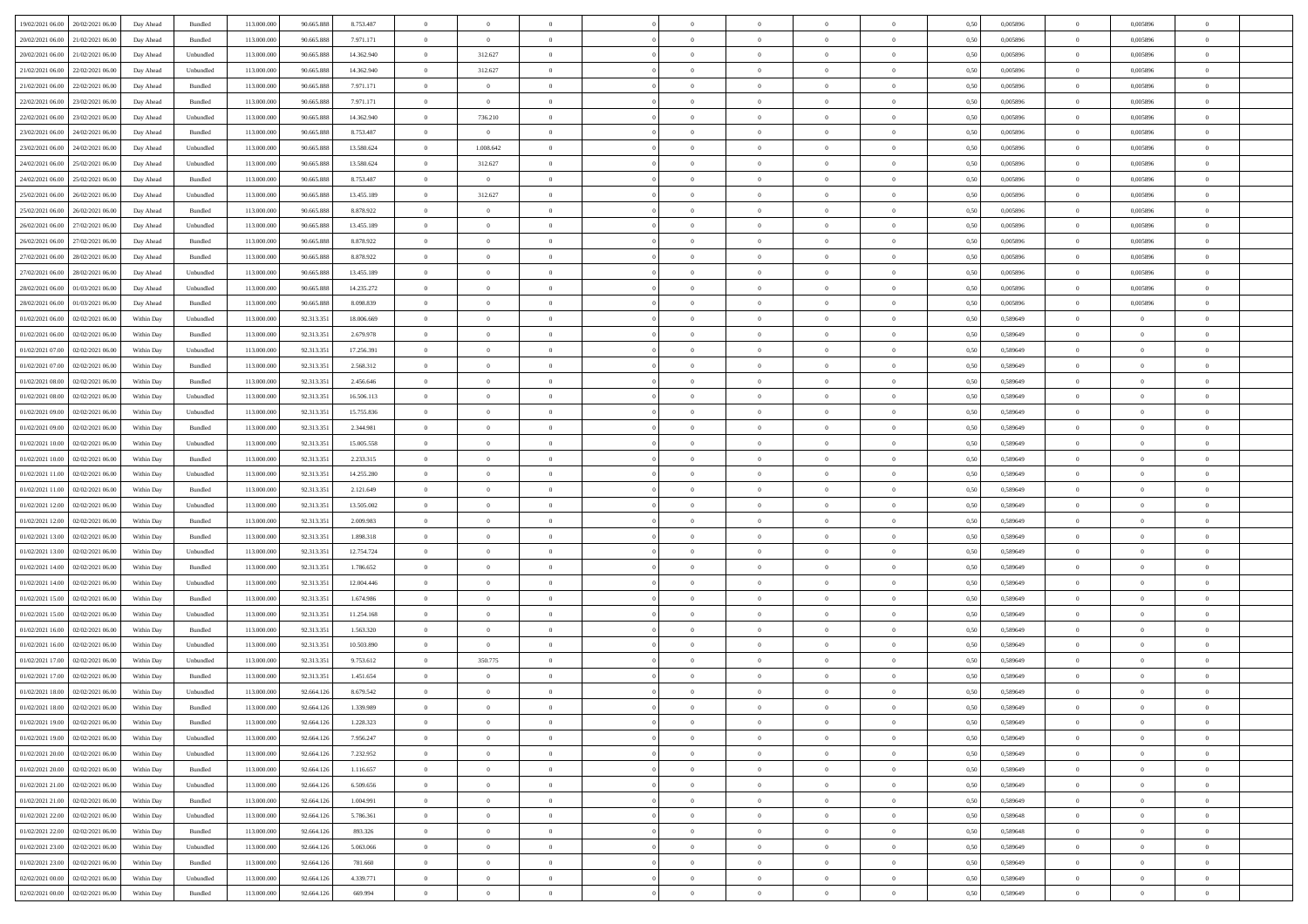| 19/02/2021 06:00 20/02/2021 06:00         | Day Ahead  | Bundled            | 113.000.000 | 90.665.888 | 8.753.487  | $\overline{0}$ | $\theta$       |                | $\overline{0}$ | $\bf{0}$       | $\overline{0}$ | $\theta$       | 0,50 | 0,005896 | $\bf{0}$       | 0,005896       | $\bf{0}$       |  |
|-------------------------------------------|------------|--------------------|-------------|------------|------------|----------------|----------------|----------------|----------------|----------------|----------------|----------------|------|----------|----------------|----------------|----------------|--|
|                                           |            |                    |             |            |            |                |                |                |                |                |                |                |      |          |                |                |                |  |
| 20/02/2021 06:00<br>21/02/2021 06:00      | Day Ahead  | Bundled            | 113.000.00  | 90.665.888 | 7.971.171  | $\overline{0}$ | $\bf{0}$       | $\overline{0}$ | $\overline{0}$ | $\,$ 0         | $\overline{0}$ | $\bf{0}$       | 0,50 | 0,005896 | $\bf{0}$       | 0,005896       | $\bf{0}$       |  |
| 20/02/2021 06:00<br>21/02/2021 06:00      | Day Ahead  | Unbundled          | 113,000,000 | 90.665.888 | 14.362.940 | $\overline{0}$ | 312.627        | $\overline{0}$ | $\overline{0}$ | $\,$ 0 $\,$    | $\overline{0}$ | $\overline{0}$ | 0.50 | 0.005896 | $\overline{0}$ | 0.005896       | $\bf{0}$       |  |
| 21/02/2021 06:00<br>22/02/2021 06:00      | Day Ahead  | Unbundled          | 113.000.000 | 90.665.888 | 14.362.940 | $\overline{0}$ | 312.627        | $\overline{0}$ | $\overline{0}$ | $\bf{0}$       | $\overline{0}$ | $\overline{0}$ | 0,50 | 0,005896 | $\overline{0}$ | 0,005896       | $\overline{0}$ |  |
| 21/02/2021 06:00<br>22/02/2021 06:00      | Day Ahead  | Bundled            | 113.000.00  | 90.665.888 | 7.971.171  | $\bf{0}$       | $\theta$       | $\overline{0}$ |                | $\,$ 0         | $\overline{0}$ | $\bf{0}$       | 0,50 | 0,005896 | $\bf{0}$       | 0,005896       | $\bf{0}$       |  |
| 22/02/2021 06:00<br>23/02/2021 06:00      | Day Ahead  | Bundled            | 113,000,000 | 90.665.888 | 7.971.171  | $\overline{0}$ | $\overline{0}$ | $\overline{0}$ | $\overline{0}$ | $\bf{0}$       | $\overline{0}$ | $\overline{0}$ | 0.50 | 0.005896 | $\overline{0}$ | 0.005896       | $\bf{0}$       |  |
| 22/02/2021 06:00<br>23/02/2021 06:00      | Day Ahead  | Unbundled          | 113.000.000 | 90.665.888 | 14.362.940 | $\overline{0}$ | 736.210        | $\overline{0}$ | $\overline{0}$ | $\bf{0}$       | $\overline{0}$ | $\overline{0}$ | 0,50 | 0,005896 | $\overline{0}$ | 0,005896       | $\bf{0}$       |  |
|                                           |            |                    |             |            |            |                |                |                |                |                |                |                |      |          |                |                |                |  |
| 23/02/2021 06:00<br>24/02/2021 06.00      | Day Ahead  | Bundled            | 113.000.00  | 90.665.888 | 8.753.487  | $\bf{0}$       | $\overline{0}$ | $\overline{0}$ | $\overline{0}$ | $\,$ 0         | $\overline{0}$ | $\bf{0}$       | 0,50 | 0,005896 | $\bf{0}$       | 0,005896       | $\bf{0}$       |  |
| 23/02/2021 06:00<br>24/02/2021 06:00      | Day Ahead  | Unbundled          | 113,000,000 | 90.665.888 | 13.580.624 | $\overline{0}$ | 1.008.642      | $\overline{0}$ | $\overline{0}$ | $\bf{0}$       | $\overline{0}$ | $\overline{0}$ | 0.50 | 0.005896 | $\overline{0}$ | 0.005896       | $\bf{0}$       |  |
| 24/02/2021 06:00<br>25/02/2021 06:00      | Day Ahead  | Unbundled          | 113.000.000 | 90.665.888 | 13.580.624 | $\overline{0}$ | 312.627        | $\overline{0}$ | $\overline{0}$ | $\bf{0}$       | $\overline{0}$ | $\bf{0}$       | 0,50 | 0,005896 | $\overline{0}$ | 0,005896       | $\bf{0}$       |  |
| 24/02/2021 06:00<br>25/02/2021 06:00      | Day Ahead  | Bundled            | 113.000.00  | 90.665.888 | 8.753.487  | $\bf{0}$       | $\overline{0}$ | $\overline{0}$ | $\overline{0}$ | $\,$ 0         | $\overline{0}$ | $\bf{0}$       | 0,50 | 0,005896 | $\bf{0}$       | 0,005896       | $\bf{0}$       |  |
| 25/02/2021 06:00<br>26/02/2021 06:00      | Day Ahead  | Unbundled          | 113,000,000 | 90.665.888 | 13.455.189 | $\overline{0}$ | 312.627        | $\overline{0}$ | $\overline{0}$ | $\,$ 0 $\,$    | $\overline{0}$ | $\overline{0}$ | 0.50 | 0.005896 | $\,$ 0 $\,$    | 0.005896       | $\bf{0}$       |  |
| 25/02/2021 06:00<br>26/02/2021 06:00      | Day Ahead  | Bundled            | 113.000.000 | 90.665.888 | 8.878.922  | $\overline{0}$ | $\overline{0}$ | $\overline{0}$ | $\overline{0}$ | $\,$ 0         | $\overline{0}$ | $\theta$       | 0,50 | 0,005896 | $\,$ 0 $\,$    | 0,005896       | $\bf{0}$       |  |
|                                           |            |                    |             |            |            |                |                |                |                |                |                |                |      |          |                |                |                |  |
| 26/02/2021 06:00<br>27/02/2021 06.00      | Day Ahead  | Unbundled          | 113.000.00  | 90.665.888 | 13.455.189 | $\overline{0}$ | $\theta$       | $\overline{0}$ | $\overline{0}$ | $\,$ 0         | $\overline{0}$ | $\bf{0}$       | 0,50 | 0,005896 | $\bf{0}$       | 0,005896       | $\bf{0}$       |  |
| 26/02/2021 06:00<br>27/02/2021 06.00      | Day Ahead  | Bundled            | 113,000,000 | 90.665.888 | 8.878.922  | $\overline{0}$ | $\overline{0}$ | $\overline{0}$ | $\overline{0}$ | $\bf{0}$       | $\overline{0}$ | $\overline{0}$ | 0.50 | 0.005896 | $\overline{0}$ | 0.005896       | $\bf{0}$       |  |
| 27/02/2021 06:00<br>28/02/2021 06:00      | Day Ahead  | Bundled            | 113.000.000 | 90.665.888 | 8.878.922  | $\overline{0}$ | $\overline{0}$ | $\overline{0}$ | $\overline{0}$ | $\bf{0}$       | $\overline{0}$ | $\overline{0}$ | 0,50 | 0,005896 | $\overline{0}$ | 0,005896       | $\bf{0}$       |  |
| 27/02/2021 06:00<br>28/02/2021 06:00      | Day Ahead  | Unbundled          | 113.000.00  | 90.665.888 | 13.455.189 | $\overline{0}$ | $\overline{0}$ | $\overline{0}$ |                | $\,$ 0         | $\overline{0}$ | $\bf{0}$       | 0,50 | 0,005896 | $\bf{0}$       | 0,005896       | $\bf{0}$       |  |
| 28/02/2021 06:00<br>01/03/2021 06:00      | Day Ahead  | Unbundled          | 113,000,000 | 90.665.888 | 14.235.272 | $\overline{0}$ | $\overline{0}$ | $\overline{0}$ | $\overline{0}$ | $\bf{0}$       | $\overline{0}$ | $\overline{0}$ | 0.50 | 0.005896 | $\,$ 0 $\,$    | 0.005896       | $\bf{0}$       |  |
| 28/02/2021 06:00<br>01/03/2021 06:00      | Day Ahead  | Bundled            | 113.000.000 | 90.665.888 | 8.098.839  | $\overline{0}$ | $\overline{0}$ | $\overline{0}$ | $\overline{0}$ | $\bf{0}$       | $\overline{0}$ | $\overline{0}$ | 0,50 | 0,005896 | $\overline{0}$ | 0,005896       | $\bf{0}$       |  |
| 02/02/2021 06.00                          | Within Day | Unbundled          | 113.000.00  | 92.313.351 | 18.006.669 | $\bf{0}$       | $\overline{0}$ | $\overline{0}$ | $\overline{0}$ | $\bf{0}$       | $\overline{0}$ | $\bf{0}$       | 0,50 | 0,589649 | $\bf{0}$       | $\overline{0}$ | $\bf{0}$       |  |
| 01/02/2021 06:00                          |            |                    |             |            |            |                |                |                |                |                |                |                |      |          |                |                |                |  |
| 01/02/2021 06:00<br>02/02/2021 06:00      | Within Day | Bundled            | 113,000,000 | 92.313.351 | 2.679.978  | $\overline{0}$ | $\overline{0}$ | $\overline{0}$ | $\overline{0}$ | $\,$ 0 $\,$    | $\overline{0}$ | $\overline{0}$ | 0.50 | 0.589649 | $\overline{0}$ | $\bf{0}$       | $\bf{0}$       |  |
| 01/02/2021 07:00<br>02/02/2021 06:00      | Within Day | Unbundled          | 113.000.000 | 92.313.351 | 17.256.391 | $\overline{0}$ | $\overline{0}$ | $\overline{0}$ | $\overline{0}$ | $\bf{0}$       | $\overline{0}$ | $\overline{0}$ | 0,50 | 0,589649 | $\,$ 0 $\,$    | $\overline{0}$ | $\,$ 0 $\,$    |  |
| 01/02/2021 07:00<br>02/02/2021 06.00      | Within Day | Bundled            | 113.000.00  | 92.313.351 | 2.568.312  | $\overline{0}$ | $\theta$       | $\overline{0}$ | $\overline{0}$ | $\,$ 0         | $\overline{0}$ | $\bf{0}$       | 0,50 | 0,589649 | $\bf{0}$       | $\overline{0}$ | $\bf{0}$       |  |
| 01/02/2021 08:00<br>02/02/2021 06:00      | Within Day | Bundled            | 113,000,000 | 92.313.35  | 2.456.646  | $\overline{0}$ | $\overline{0}$ | $\overline{0}$ | $\overline{0}$ | $\bf{0}$       | $\overline{0}$ | $\overline{0}$ | 0.50 | 0.589649 | $\bf{0}$       | $\overline{0}$ | $\bf{0}$       |  |
| 01/02/2021 08:00<br>02/02/2021 06:00      | Within Day | Unbundled          | 113.000.000 | 92.313.351 | 16.506.113 | $\overline{0}$ | $\overline{0}$ | $\overline{0}$ | $\overline{0}$ | $\bf{0}$       | $\overline{0}$ | $\overline{0}$ | 0,50 | 0,589649 | $\,0\,$        | $\overline{0}$ | $\bf{0}$       |  |
| 01/02/2021 09:00<br>02/02/2021 06.00      | Within Day | Unbundled          | 113.000.00  | 92.313.35  | 15.755.836 | $\overline{0}$ | $\theta$       | $\overline{0}$ |                | $\,$ 0         | $\overline{0}$ | $\bf{0}$       | 0,50 | 0,589649 | $\bf{0}$       | $\overline{0}$ | $\bf{0}$       |  |
|                                           |            |                    |             |            |            |                |                |                |                |                |                |                |      |          |                |                |                |  |
| 01/02/2021 09:00<br>02/02/2021 06:00      | Within Day | Bundled            | 113,000,000 | 92.313.35  | 2.344.981  | $\overline{0}$ | $\overline{0}$ | $\overline{0}$ | $\overline{0}$ | $\bf{0}$       | $\overline{0}$ | $\overline{0}$ | 0.50 | 0.589649 | $\overline{0}$ | $\overline{0}$ | $\bf{0}$       |  |
| 01/02/2021 10:00<br>02/02/2021 06:00      | Within Day | Unbundled          | 113.000.000 | 92.313.351 | 15.005.558 | $\overline{0}$ | $\overline{0}$ | $\overline{0}$ | $\overline{0}$ | $\bf{0}$       | $\overline{0}$ | $\overline{0}$ | 0,50 | 0,589649 | $\,0\,$        | $\overline{0}$ | $\bf{0}$       |  |
| 01/02/2021 10:00<br>02/02/2021 06.00      | Within Day | Bundled            | 113.000.00  | 92.313.351 | 2.233.315  | $\bf{0}$       | $\overline{0}$ | $\overline{0}$ | $\overline{0}$ | $\bf{0}$       | $\overline{0}$ | $\bf{0}$       | 0,50 | 0,589649 | $\bf{0}$       | $\overline{0}$ | $\bf{0}$       |  |
| 01/02/2021 11:00<br>02/02/2021 06:00      | Within Day | Unbundled          | 113,000,000 | 92.313.35  | 14.255.280 | $\overline{0}$ | $\bf{0}$       | $\overline{0}$ | $\overline{0}$ | $\,$ 0 $\,$    | $\overline{0}$ | $\overline{0}$ | 0.50 | 0.589649 | $\,$ 0 $\,$    | $\bf{0}$       | $\bf{0}$       |  |
| 01/02/2021 11:00<br>02/02/2021 06:00      | Within Day | Bundled            | 113.000.000 | 92.313.351 | 2.121.649  | $\overline{0}$ | $\overline{0}$ | $\overline{0}$ | $\overline{0}$ | $\overline{0}$ | $\overline{0}$ | $\overline{0}$ | 0.50 | 0.589649 | $\mathbf{0}$   | $\overline{0}$ | $\overline{0}$ |  |
| 01/02/2021 12:00<br>02/02/2021 06.00      | Within Day | Unbundled          | 113.000.00  | 92.313.35  | 13.505.002 | $\bf{0}$       | $\theta$       | $\overline{0}$ | $\overline{0}$ | $\,$ 0         | $\overline{0}$ | $\bf{0}$       | 0,50 | 0,589649 | $\bf{0}$       | $\overline{0}$ | $\bf{0}$       |  |
| 01/02/2021 12:00<br>02/02/2021 06:00      | Within Day | Bundled            | 113,000,000 | 92.313.35  | 2.009.983  | $\overline{0}$ | $\overline{0}$ | $\overline{0}$ | $\overline{0}$ | $\bf{0}$       | $\overline{0}$ | $\overline{0}$ | 0.50 | 0.589649 | $\bf{0}$       | $\overline{0}$ | $\bf{0}$       |  |
|                                           |            |                    |             |            |            |                |                |                |                |                |                |                |      |          |                |                |                |  |
| 01/02/2021 13:00<br>02/02/2021 06:00      | Within Day | Bundled            | 113.000.000 | 92.313.351 | 1.898.318  | $\overline{0}$ | $\overline{0}$ | $\Omega$       | $\Omega$       | $\overline{0}$ | $\overline{0}$ | $\overline{0}$ | 0.50 | 0.589649 | $\mathbf{0}$   | $\overline{0}$ | $\overline{0}$ |  |
| 01/02/2021 13:00<br>02/02/2021 06.00      | Within Day | Unbundled          | 113.000.00  | 92.313.351 | 12.754.724 | $\bf{0}$       | $\overline{0}$ | $\overline{0}$ | $\overline{0}$ | $\,$ 0         | $\overline{0}$ | $\bf{0}$       | 0,50 | 0,589649 | $\bf{0}$       | $\overline{0}$ | $\bf{0}$       |  |
| 01/02/2021 14:00<br>02/02/2021 06:00      | Within Day | Bundled            | 113,000,000 | 92.313.35  | 1.786.652  | $\overline{0}$ | $\overline{0}$ | $\overline{0}$ | $\overline{0}$ | $\bf{0}$       | $\overline{0}$ | $\overline{0}$ | 0.50 | 0.589649 | $\bf{0}$       | $\overline{0}$ | $\bf{0}$       |  |
| 01/02/2021 14:00<br>02/02/2021 06:00      | Within Day | Unbundled          | 113.000.000 | 92.313.351 | 12.004.446 | $\overline{0}$ | $\overline{0}$ | $\overline{0}$ | $\overline{0}$ | $\overline{0}$ | $\overline{0}$ | $\overline{0}$ | 0.50 | 0.589649 | $\mathbf{0}$   | $\overline{0}$ | $\overline{0}$ |  |
| 01/02/2021 15:00<br>02/02/2021 06.00      | Within Day | Bundled            | 113.000.00  | 92.313.351 | 1.674.986  | $\overline{0}$ | $\overline{0}$ | $\overline{0}$ | $\overline{0}$ | $\bf{0}$       | $\overline{0}$ | $\bf{0}$       | 0,50 | 0,589649 | $\bf{0}$       | $\overline{0}$ | $\bf{0}$       |  |
| 01/02/2021 15:00<br>02/02/2021 06:00      | Within Day | Unbundled          | 113,000,000 | 92.313.35  | 11.254.168 | $\overline{0}$ | $\overline{0}$ | $\overline{0}$ | $\overline{0}$ | $\,$ 0 $\,$    | $\overline{0}$ | $\overline{0}$ | 0.50 | 0.589649 | $\overline{0}$ | $\bf{0}$       | $\bf{0}$       |  |
| 01/02/2021 16:00<br>02/02/2021 06:00      | Within Day | Bundled            | 113.000.000 | 92.313.351 | 1.563.320  | $\overline{0}$ | $\overline{0}$ | $\Omega$       | $\Omega$       | $\overline{0}$ | $\overline{0}$ | $\overline{0}$ | 0.50 | 0.589649 | $\mathbf{0}$   | $\overline{0}$ | $\overline{0}$ |  |
|                                           |            |                    |             |            |            |                |                |                |                |                |                |                |      |          |                |                |                |  |
| 01/02/2021 16:00<br>02/02/2021 06.00      | Within Day | Unbundled          | 113.000.00  | 92.313.351 | 10.503.890 | $\overline{0}$ | $\overline{0}$ | $\overline{0}$ | $\overline{0}$ | $\,$ 0         | $\overline{0}$ | $\bf{0}$       | 0,50 | 0,589649 | $\bf{0}$       | $\overline{0}$ | $\bf{0}$       |  |
| 01/02/2021 17:00<br>02/02/2021 06:00      | Within Day | Unbundled          | 113,000,000 | 92.313.35  | 9.753.612  | $\overline{0}$ | 350.775        | $\overline{0}$ | $\overline{0}$ | $\bf{0}$       | $\overline{0}$ | $\overline{0}$ | 0.50 | 0.589649 | $\bf{0}$       | $\overline{0}$ | $\bf{0}$       |  |
| 01/02/2021 17:00<br>02/02/2021 06:00      | Within Day | Bundled            | 113.000.000 | 92.313.351 | 1.451.654  | $\overline{0}$ | $\Omega$       | $\Omega$       | $\Omega$       | $\bf{0}$       | $\overline{0}$ | $\theta$       | 0.50 | 0.589649 | $\mathbf{0}$   | $\overline{0}$ | $\overline{0}$ |  |
| 01/02/2021 18:00<br>02/02/2021 06:00      | Within Day | Unbundled          | 113.000.000 | 92.664.12  | 8.679.542  | $\overline{0}$ | $\,$ 0 $\,$    | $\overline{0}$ | $\bf{0}$       | $\,$ 0         | $\overline{0}$ | $\bf{0}$       | 0,50 | 0,589649 | $\bf{0}$       | $\overline{0}$ | $\bf{0}$       |  |
| $01/02/2021$ 18.00 $02/02/2021$ 06.00     | Within Day | $\mathbf B$ undled | 113.000.000 | 92.664.126 | 1.339.989  | $\bf{0}$       | $\bf{0}$       |                |                | $\theta$       |                |                | 0,50 | 0.589649 | $\overline{0}$ | $\Omega$       |                |  |
| 01/02/2021 19:00 02/02/2021 06:00         | Within Day | Bundled            | 113.000.000 | 92.664.126 | 1.228.323  | $\theta$       | $\overline{0}$ | $\theta$       | $\Omega$       | $\overline{0}$ | $\overline{0}$ | $\mathbf{0}$   | 0,50 | 0,589649 | $\theta$       | $\overline{0}$ | $\bf{0}$       |  |
| 01/02/2021 19:00<br>02/02/2021 06:00      | Within Day | Unbundled          | 113.000.00  | 92.664.126 | 7.956.247  | $\overline{0}$ | $\bf{0}$       | $\overline{0}$ | $\bf{0}$       | $\overline{0}$ | $\overline{0}$ | $\mathbf{0}$   | 0,50 | 0,589649 | $\overline{0}$ | $\bf{0}$       | $\bf{0}$       |  |
|                                           |            |                    |             |            |            |                |                |                |                |                |                |                |      |          |                |                |                |  |
| $01/02/2021$ 20.00 $02/02/2021$ 06.00     | Within Day | Unbundled          | 113,000,000 | 92.664.126 | 7.232.952  | $\overline{0}$ | $\overline{0}$ | $\overline{0}$ | $\overline{0}$ | $\overline{0}$ | $\overline{0}$ | $\mathbf{0}$   | 0.50 | 0.589649 | $\overline{0}$ | $\,$ 0 $\,$    | $\,$ 0 $\,$    |  |
| 01/02/2021 20:00 02/02/2021 06:00         | Within Dav | Bundled            | 113.000.000 | 92.664.126 | 1.116.657  | $\overline{0}$ | $\overline{0}$ | $\overline{0}$ | $\overline{0}$ | $\mathbf{0}$   | $\overline{0}$ | $\overline{0}$ | 0,50 | 0,589649 | $\theta$       | $\overline{0}$ | $\bf{0}$       |  |
| 01/02/2021 21:00<br>02/02/2021 06:00      | Within Day | Unbundled          | 113.000.000 | 92.664.126 | 6.509.656  | $\overline{0}$ | $\overline{0}$ | $\overline{0}$ | $\overline{0}$ | $\bf{0}$       | $\overline{0}$ | $\bf{0}$       | 0,50 | 0,589649 | $\overline{0}$ | $\bf{0}$       | $\bf{0}$       |  |
| 01/02/2021 21:00 02/02/2021 06:00         | Within Day | Bundled            | 113,000,000 | 92.664.126 | 1.004.991  | $\overline{0}$ | $\overline{0}$ | $\overline{0}$ | $\overline{0}$ | $\,$ 0 $\,$    | $\overline{0}$ | $\overline{0}$ | 0.50 | 0.589649 | $\overline{0}$ | $\overline{0}$ | $\bf{0}$       |  |
| 01/02/2021 22:00<br>02/02/2021 06:00      | Within Dav | Unbundled          | 113.000.000 | 92.664.126 | 5.786.361  | $\overline{0}$ | $\overline{0}$ | $\overline{0}$ | $\overline{0}$ | $\mathbf{0}$   | $\overline{0}$ | $\overline{0}$ | 0,50 | 0,589648 | $\overline{0}$ | $\overline{0}$ | $\bf{0}$       |  |
| 02/02/2021 06:00<br>01/02/2021 22:00      | Within Day | Bundled            | 113.000.00  | 92.664.126 | 893.326    | $\overline{0}$ | $\,$ 0         | $\overline{0}$ | $\bf{0}$       | $\,$ 0 $\,$    | $\overline{0}$ | $\mathbf{0}$   | 0,50 | 0,589648 | $\overline{0}$ | $\,$ 0 $\,$    | $\bf{0}$       |  |
|                                           |            |                    |             |            |            |                |                |                |                |                |                |                |      |          |                |                |                |  |
| 01/02/2021 23:00 02/02/2021 06:00         | Within Day | Unbundled          | 113,000,000 | 92.664.126 | 5.063.066  | $\overline{0}$ | $\overline{0}$ | $\overline{0}$ | $\overline{0}$ | $\,$ 0 $\,$    | $\overline{0}$ | $\mathbf{0}$   | 0.50 | 0.589649 | $\overline{0}$ | $\,$ 0 $\,$    | $\bf{0}$       |  |
| 01/02/2021 23:00 02/02/2021 06:00         | Within Dav | Bundled            | 113.000.000 | 92.664.126 | 781.660    | $\overline{0}$ | $\overline{0}$ | $\overline{0}$ | $\overline{0}$ | $\overline{0}$ | $\overline{0}$ | $\overline{0}$ | 0,50 | 0,589649 | $\overline{0}$ | $\overline{0}$ | $\bf{0}$       |  |
| 02/02/2021 00:00<br>02/02/2021 06:00      | Within Day | Unbundled          | 113.000.00  | 92.664.126 | 4.339.771  | $\overline{0}$ | $\overline{0}$ | $\overline{0}$ | $\bf{0}$       | $\bf{0}$       | $\overline{0}$ | $\bf{0}$       | 0,50 | 0,589649 | $\overline{0}$ | $\overline{0}$ | $\bf{0}$       |  |
| $02/02/2021$ $00.00$ $02/02/2021$ $06.00$ | Within Day | Bundled            | 113.000.000 | 92.664.126 | 669.994    | $\overline{0}$ | $\overline{0}$ | $\overline{0}$ | $\overline{0}$ | $\,$ 0 $\,$    | $\overline{0}$ | $\overline{0}$ | 0,50 | 0,589649 | $\,$ 0 $\,$    | $\,$ 0 $\,$    | $\bf{0}$       |  |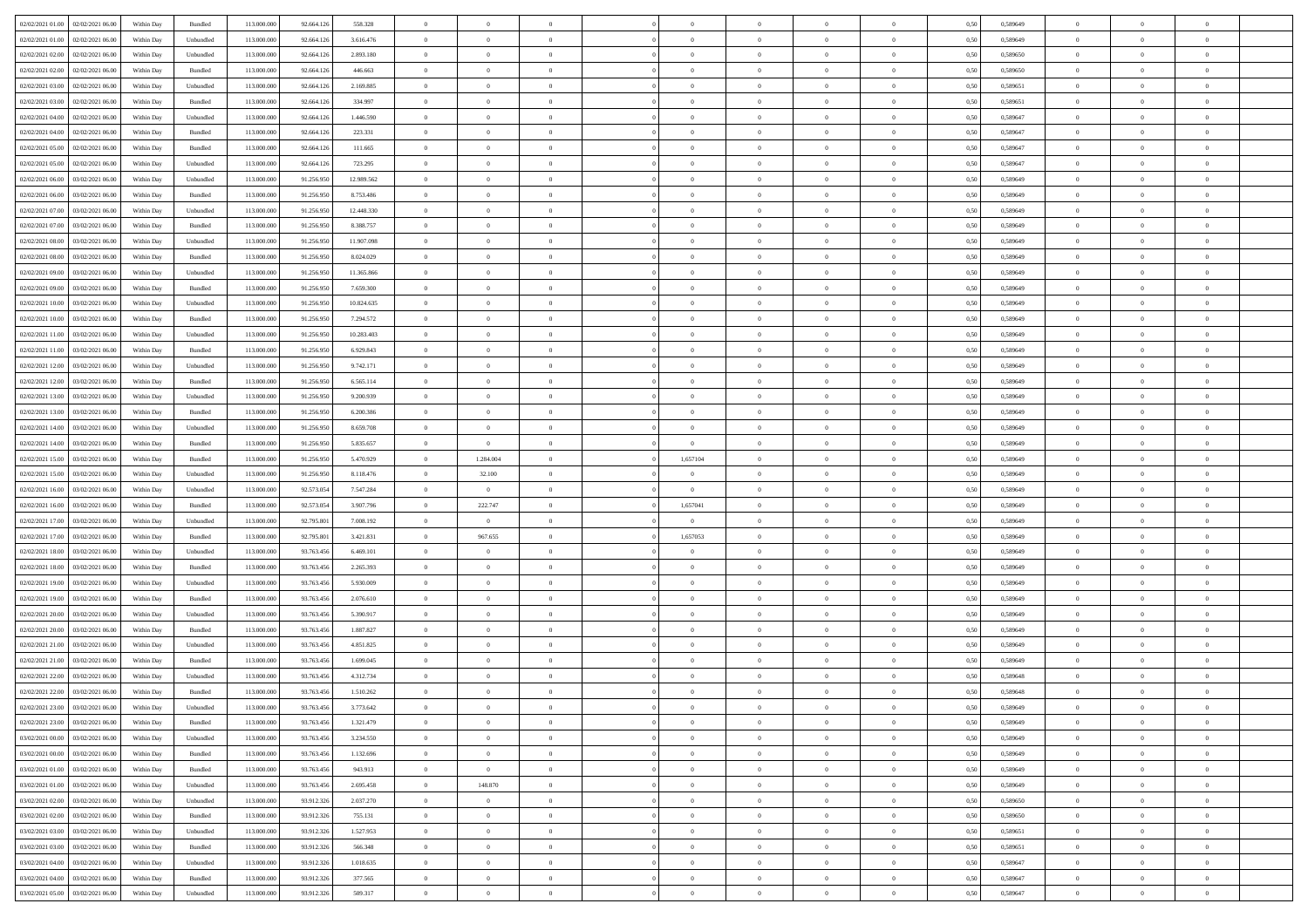| 02/02/2021 01:00 02/02/2021 06:00             | Within Day | Bundled                     | 113.000.000 | 92.664.126 | 558.328    | $\overline{0}$ | $\overline{0}$ |                | $\overline{0}$ | $\theta$       |                | $\theta$       | 0,50 | 0,589649 | $\theta$       | $\theta$       | $\overline{0}$ |  |
|-----------------------------------------------|------------|-----------------------------|-------------|------------|------------|----------------|----------------|----------------|----------------|----------------|----------------|----------------|------|----------|----------------|----------------|----------------|--|
| 02/02/2021 01:00<br>02/02/2021 06:00          | Within Day | Unbundled                   | 113.000.00  | 92.664.12  | 3.616.476  | $\bf{0}$       | $\bf{0}$       | $\bf{0}$       | $\overline{0}$ | $\overline{0}$ | $\overline{0}$ | $\bf{0}$       | 0,50 | 0,589649 | $\,$ 0 $\,$    | $\bf{0}$       | $\overline{0}$ |  |
| 02/02/2021 02:00<br>02/02/2021 06:00          | Within Day | Unbundled                   | 113,000,000 | 92.664.12  | 2.893.180  | $\overline{0}$ | $\bf{0}$       | $\overline{0}$ | $\bf{0}$       | $\bf{0}$       | $\overline{0}$ | $\bf{0}$       | 0.50 | 0.589650 | $\bf{0}$       | $\overline{0}$ | $\overline{0}$ |  |
| 02/02/2021 02:00<br>02/02/2021 06:00          | Within Day | Bundled                     | 113.000.000 | 92.664.126 | 446.663    | $\overline{0}$ | $\overline{0}$ | $\overline{0}$ | $\theta$       | $\theta$       | $\overline{0}$ | $\overline{0}$ | 0,50 | 0,589650 | $\theta$       | $\theta$       | $\overline{0}$ |  |
|                                               |            |                             |             |            |            |                |                |                |                |                |                |                |      |          |                |                |                |  |
| 02/02/2021 03:00<br>02/02/2021 06.00          | Within Day | Unbundled                   | 113.000.00  | 92.664.12  | 2.169.885  | $\overline{0}$ | $\overline{0}$ | $\bf{0}$       | $\overline{0}$ | $\theta$       | $\overline{0}$ | $\bf{0}$       | 0,50 | 0,589651 | $\,$ 0 $\,$    | $\bf{0}$       | $\overline{0}$ |  |
| 02/02/2021 03:00<br>02/02/2021 06:00          | Within Day | Bundled                     | 113,000,000 | 92.664.12  | 334.997    | $\overline{0}$ | $\overline{0}$ | $\overline{0}$ | $\bf{0}$       | $\overline{0}$ | $\theta$       | $\bf{0}$       | 0.50 | 0.589651 | $\,$ 0 $\,$    | $\theta$       | $\overline{0}$ |  |
| 02/02/2021 04:00<br>02/02/2021 06:00          | Within Day | Unbundled                   | 113.000.000 | 92.664.126 | 1.446.590  | $\overline{0}$ | $\overline{0}$ | $\overline{0}$ | $\overline{0}$ | $\overline{0}$ | $\overline{0}$ | $\bf{0}$       | 0,50 | 0,589647 | $\theta$       | $\theta$       | $\overline{0}$ |  |
| 02/02/2021 04:00<br>02/02/2021 06.00          | Within Day | Bundled                     | 113.000.00  | 92.664.12  | 223.331    | $\bf{0}$       | $\overline{0}$ | $\bf{0}$       | $\overline{0}$ | $\overline{0}$ | $\overline{0}$ | $\bf{0}$       | 0,50 | 0,589647 | $\,$ 0 $\,$    | $\bf{0}$       | $\overline{0}$ |  |
| 02/02/2021 05:00<br>02/02/2021 06:00          | Within Day | Bundled                     | 113,000,000 | 92.664.12  | 111.665    | $\overline{0}$ | $\bf{0}$       | $\overline{0}$ | $\bf{0}$       | $\overline{0}$ | $\overline{0}$ | $\bf{0}$       | 0.50 | 0.589647 | $\bf{0}$       | $\overline{0}$ | $\overline{0}$ |  |
| 02/02/2021 05:00<br>02/02/2021 06:00          | Within Day | Unbundled                   | 113.000.000 | 92.664.126 | 723.295    | $\overline{0}$ | $\bf{0}$       | $\overline{0}$ | $\overline{0}$ | $\overline{0}$ | $\overline{0}$ | $\bf{0}$       | 0,50 | 0,589647 | $\,$ 0 $\,$    | $\theta$       | $\overline{0}$ |  |
|                                               |            |                             |             |            |            |                |                |                |                |                |                |                |      |          |                |                |                |  |
| 02/02/2021 06:00<br>03/02/2021 06.00          | Within Day | Unbundled                   | 113.000.00  | 91.256.95  | 12.989.562 | $\bf{0}$       | $\overline{0}$ | $\bf{0}$       | $\bf{0}$       | $\bf{0}$       | $\overline{0}$ | $\bf{0}$       | 0,50 | 0,589649 | $\,$ 0 $\,$    | $\bf{0}$       | $\overline{0}$ |  |
| 02/02/2021 06:00<br>03/02/2021 06:00          | Within Day | Bundled                     | 113,000,000 | 91.256.950 | 8.753.486  | $\overline{0}$ | $\bf{0}$       | $\overline{0}$ | $\bf{0}$       | $\bf{0}$       | $\overline{0}$ | $\bf{0}$       | 0.50 | 0.589649 | $\bf{0}$       | $\overline{0}$ | $\bf{0}$       |  |
| 02/02/2021 07:00<br>03/02/2021 06:00          | Within Day | Unbundled                   | 113.000.000 | 91.256.950 | 12.448.330 | $\overline{0}$ | $\overline{0}$ | $\overline{0}$ | $\theta$       | $\theta$       | $\overline{0}$ | $\overline{0}$ | 0,50 | 0,589649 | $\theta$       | $\theta$       | $\overline{0}$ |  |
| 02/02/2021 07:00<br>03/02/2021 06.00          | Within Day | Bundled                     | 113.000.00  | 91.256.95  | 8.388.757  | $\bf{0}$       | $\overline{0}$ | $\bf{0}$       | $\overline{0}$ | $\theta$       | $\overline{0}$ | $\bf{0}$       | 0,50 | 0,589649 | $\,$ 0 $\,$    | $\bf{0}$       | $\overline{0}$ |  |
| 02/02/2021 08:00<br>03/02/2021 06:00          | Within Day | Unbundled                   | 113,000,000 | 91.256.95  | 11.907.098 | $\overline{0}$ | $\overline{0}$ | $\overline{0}$ | $\bf{0}$       | $\overline{0}$ | $\Omega$       | $\bf{0}$       | 0.50 | 0.589649 | $\theta$       | $\theta$       | $\overline{0}$ |  |
|                                               |            |                             |             |            |            |                |                |                |                |                |                |                |      |          |                |                |                |  |
| 02/02/2021 08:00<br>03/02/2021 06:00          | Within Day | Bundled                     | 113.000.000 | 91.256.950 | 8.024.029  | $\overline{0}$ | $\overline{0}$ | $\overline{0}$ | $\overline{0}$ | $\overline{0}$ | $\overline{0}$ | $\bf{0}$       | 0,50 | 0,589649 | $\theta$       | $\theta$       | $\overline{0}$ |  |
| 02/02/2021 09:00<br>03/02/2021 06.00          | Within Day | Unbundled                   | 113.000.00  | 91.256.95  | 11.365.866 | $\bf{0}$       | $\overline{0}$ | $\bf{0}$       | $\overline{0}$ | $\bf{0}$       | $\overline{0}$ | $\bf{0}$       | 0,50 | 0,589649 | $\,$ 0 $\,$    | $\bf{0}$       | $\overline{0}$ |  |
| 02/02/2021 09:00<br>03/02/2021 06:00          | Within Day | Bundled                     | 113,000,000 | 91.256.95  | 7.659.300  | $\overline{0}$ | $\bf{0}$       | $\overline{0}$ | $\bf{0}$       | $\overline{0}$ | $\overline{0}$ | $\bf{0}$       | 0.50 | 0.589649 | $\bf{0}$       | $\overline{0}$ | $\overline{0}$ |  |
| 02/02/2021 10:00<br>03/02/2021 06:00          | Within Day | Unbundled                   | 113.000.000 | 91.256.950 | 10.824.635 | $\overline{0}$ | $\bf{0}$       | $\overline{0}$ | $\overline{0}$ | $\overline{0}$ | $\overline{0}$ | $\bf{0}$       | 0,50 | 0,589649 | $\,$ 0 $\,$    | $\theta$       | $\overline{0}$ |  |
| 02/02/2021 10:00<br>03/02/2021 06.00          | Within Day | Bundled                     | 113.000.00  | 91.256.95  | 7.294.572  | $\bf{0}$       | $\bf{0}$       | $\bf{0}$       | $\bf{0}$       | $\overline{0}$ | $\overline{0}$ | $\bf{0}$       | 0,50 | 0,589649 | $\,$ 0 $\,$    | $\bf{0}$       | $\overline{0}$ |  |
| 02/02/2021 11:00<br>03/02/2021 06:00          | Within Day | Unbundled                   | 113,000,000 | 91.256.950 | 10.283.403 | $\overline{0}$ | $\bf{0}$       | $\overline{0}$ | $\bf{0}$       | $\bf{0}$       | $\overline{0}$ | $\bf{0}$       | 0.50 | 0.589649 | $\bf{0}$       | $\overline{0}$ | $\overline{0}$ |  |
| 02/02/2021 11:00<br>03/02/2021 06:00          | Within Day | Bundled                     | 113.000.000 | 91.256.950 | 6.929.843  | $\overline{0}$ | $\overline{0}$ | $\overline{0}$ | $\theta$       | $\theta$       | $\overline{0}$ | $\bf{0}$       | 0,50 | 0,589649 | $\theta$       | $\theta$       | $\overline{0}$ |  |
|                                               |            |                             |             |            |            |                |                |                |                |                |                |                |      |          |                |                |                |  |
| 02/02/2021 12:00<br>03/02/2021 06.00          | Within Day | Unbundled                   | 113.000.00  | 91.256.950 | 9.742.171  | $\bf{0}$       | $\overline{0}$ | $\bf{0}$       | $\overline{0}$ | $\,$ 0 $\,$    | $\overline{0}$ | $\bf{0}$       | 0,50 | 0,589649 | $\,$ 0 $\,$    | $\bf{0}$       | $\overline{0}$ |  |
| 02/02/2021 12:00<br>03/02/2021 06:00          | Within Day | Bundled                     | 113,000,000 | 91.256.95  | 6.565.114  | $\overline{0}$ | $\overline{0}$ | $\overline{0}$ | $\overline{0}$ | $\overline{0}$ | $\theta$       | $\bf{0}$       | 0.50 | 0.589649 | $\,$ 0 $\,$    | $\theta$       | $\overline{0}$ |  |
| 02/02/2021 13:00<br>03/02/2021 06:00          | Within Day | Unbundled                   | 113.000.000 | 91.256.950 | 9.200.939  | $\overline{0}$ | $\overline{0}$ | $\overline{0}$ | $\overline{0}$ | $\theta$       | $\overline{0}$ | $\bf{0}$       | 0,50 | 0,589649 | $\theta$       | $\theta$       | $\overline{0}$ |  |
| 02/02/2021 13:00<br>03/02/2021 06.00          | Within Day | Bundled                     | 113.000.00  | 91.256.95  | 6.200.386  | $\bf{0}$       | $\overline{0}$ | $\bf{0}$       | $\overline{0}$ | $\theta$       | $\overline{0}$ | $\bf{0}$       | 0,50 | 0,589649 | $\,$ 0 $\,$    | $\bf{0}$       | $\overline{0}$ |  |
| 02/02/2021 14:00<br>03/02/2021 06:00          | Within Day | Unbundled                   | 113,000,000 | 91.256.95  | 8.659.708  | $\overline{0}$ | $\overline{0}$ | $\overline{0}$ | $\bf{0}$       | $\overline{0}$ | $\overline{0}$ | $\bf{0}$       | 0.50 | 0.589649 | $\bf{0}$       | $\overline{0}$ | $\overline{0}$ |  |
| 02/02/2021 14:00<br>03/02/2021 06:00          | Within Day | Bundled                     | 113.000.000 | 91.256.950 | 5.835.657  | $\overline{0}$ | $\bf{0}$       | $\overline{0}$ | $\overline{0}$ | $\overline{0}$ | $\overline{0}$ | $\bf{0}$       | 0,50 | 0,589649 | $\theta$       | $\theta$       | $\overline{0}$ |  |
|                                               |            |                             |             |            |            |                |                |                |                |                |                |                |      |          |                |                |                |  |
| 02/02/2021 15:00<br>03/02/2021 06.00          | Within Day | Bundled                     | 113.000.00  | 91.256.95  | 5.470.929  | $\bf{0}$       | 1.284.004      | $\bf{0}$       | 1,657104       | $\overline{0}$ | $\overline{0}$ | $\bf{0}$       | 0,50 | 0,589649 | $\,$ 0 $\,$    | $\bf{0}$       | $\overline{0}$ |  |
| 02/02/2021 15:00<br>03/02/2021 06:00          | Within Day | Unbundled                   | 113,000,000 | 91.256.950 | 8.118.476  | $\overline{0}$ | 32.100         | $\overline{0}$ | $\bf{0}$       | $\bf{0}$       | $\overline{0}$ | $\bf{0}$       | 0.50 | 0.589649 | $\bf{0}$       | $\overline{0}$ | $\overline{0}$ |  |
| 02/02/2021 16:00<br>03/02/2021 06:00          | Within Day | Unbundled                   | 113.000.000 | 92.573.054 | 7.547.284  | $\overline{0}$ | $\overline{0}$ | $\overline{0}$ | $\overline{0}$ | $\overline{0}$ | $\overline{0}$ | $\bf{0}$       | 0.50 | 0.589649 | $\theta$       | $\theta$       | $\overline{0}$ |  |
| 02/02/2021 16:00<br>03/02/2021 06.00          | Within Day | Bundled                     | 113.000.00  | 92.573.054 | 3.907.796  | $\bf{0}$       | 222.747        | $\bf{0}$       | 1,657041       | $\overline{0}$ | $\overline{0}$ | $\bf{0}$       | 0,50 | 0,589649 | $\,$ 0 $\,$    | $\bf{0}$       | $\overline{0}$ |  |
| 02/02/2021 17:00<br>03/02/2021 06:00          | Within Day | Unbundled                   | 113,000,000 | 92.795.80  | 7.008.192  | $\overline{0}$ | $\overline{0}$ | $\overline{0}$ | $\overline{0}$ | $\bf{0}$       | $\Omega$       | $\bf{0}$       | 0.50 | 0.589649 | $\,$ 0 $\,$    | $\theta$       | $\overline{0}$ |  |
| 02/02/2021 17:00<br>03/02/2021 06:00          | Within Dav | Bundled                     | 113.000.000 | 92.795.801 | 3.421.831  | $\overline{0}$ | 967.655        | $\overline{0}$ | 1,657053       | $\theta$       | $\overline{0}$ | $\overline{0}$ | 0.5( | 0.589649 | $\theta$       | $\theta$       | $\overline{0}$ |  |
| 03/02/2021 06.00                              | Within Day | Unbundled                   | 113.000.00  | 93.763.456 | 6.469.101  | $\bf{0}$       | $\theta$       | $\bf{0}$       |                | $\overline{0}$ | $\overline{0}$ | $\bf{0}$       | 0,50 | 0,589649 | $\,$ 0 $\,$    | $\bf{0}$       | $\overline{0}$ |  |
| 02/02/2021 18:00                              |            |                             |             |            |            |                |                |                |                |                |                |                |      |          |                |                |                |  |
| 02/02/2021 18:00<br>03/02/2021 06:00          | Within Day | Bundled                     | 113,000,000 | 93.763.45  | 2.265.393  | $\overline{0}$ | $\bf{0}$       | $\overline{0}$ | $\bf{0}$       | $\overline{0}$ | $\overline{0}$ | $\bf{0}$       | 0.50 | 0.589649 | $\bf{0}$       | $\overline{0}$ | $\overline{0}$ |  |
| 02/02/2021 19:00<br>03/02/2021 06:00          | Within Day | Unbundled                   | 113.000.000 | 93.763.456 | 5.930.009  | $\overline{0}$ | $\overline{0}$ | $\overline{0}$ | $\overline{0}$ | $\overline{0}$ | $\overline{0}$ | $\overline{0}$ | 0.50 | 0.589649 | $\theta$       | $\theta$       | $\overline{0}$ |  |
| 02/02/2021 19:00<br>03/02/2021 06.00          | Within Day | Bundled                     | 113.000.00  | 93.763.456 | 2.076.610  | $\bf{0}$       | $\bf{0}$       | $\bf{0}$       | $\bf{0}$       | $\overline{0}$ | $\overline{0}$ | $\bf{0}$       | 0,50 | 0,589649 | $\,$ 0 $\,$    | $\bf{0}$       | $\overline{0}$ |  |
| 02/02/2021 20:00<br>03/02/2021 06:00          | Within Day | Unbundled                   | 113,000,000 | 93,763,456 | 5.390.917  | $\overline{0}$ | $\bf{0}$       | $\overline{0}$ | $\bf{0}$       | $\bf{0}$       | $\overline{0}$ | $\bf{0}$       | 0.50 | 0.589649 | $\bf{0}$       | $\overline{0}$ | $\overline{0}$ |  |
| 02/02/2021 20:00<br>03/02/2021 06:00          | Within Day | Bundled                     | 113.000.000 | 93.763.456 | 1.887.827  | $\overline{0}$ | $\overline{0}$ | $\overline{0}$ | $\overline{0}$ | $\overline{0}$ | $\overline{0}$ | $\bf{0}$       | 0.50 | 0.589649 | $\theta$       | $\theta$       | $\overline{0}$ |  |
| 02/02/2021 21:00<br>03/02/2021 06.00          | Within Day | Unbundled                   | 113.000.00  | 93.763.456 | 4.851.825  | $\bf{0}$       | $\bf{0}$       | $\bf{0}$       | $\bf{0}$       | $\overline{0}$ | $\overline{0}$ | $\bf{0}$       | 0,50 | 0,589649 | $\,$ 0 $\,$    | $\bf{0}$       | $\overline{0}$ |  |
| 03/02/2021 06:00                              |            | Bundled                     | 113,000,000 | 93.763.45  | 1.699.045  | $\overline{0}$ | $\overline{0}$ | $\overline{0}$ | $\bf{0}$       | $\overline{0}$ | $\Omega$       | $\bf{0}$       | 0.50 | 0.589649 | $\bf{0}$       | $\theta$       | $\overline{0}$ |  |
| 02/02/2021 21:00                              | Within Day |                             |             |            |            |                |                |                |                |                |                |                |      |          |                |                |                |  |
| 02/02/2021 22:00<br>03/02/2021 06:00          | Within Dav | Unbundled                   | 113.000.000 | 93.763.456 | 4.312.734  | $\overline{0}$ | $\overline{0}$ | $\Omega$       | $\overline{0}$ | $\theta$       | $\Omega$       | $\overline{0}$ | 0.5( | 0.589648 | $\theta$       | $\theta$       | $\overline{0}$ |  |
| 02/02/2021 22:00<br>03/02/2021 06:00          | Within Day | Bundled                     | 113.000.000 | 93.763.456 | 1.510.262  | $\bf{0}$       | $\bf{0}$       | $\bf{0}$       | $\bf{0}$       | $\bf{0}$       | $\overline{0}$ | $\bf{0}$       | 0,50 | 0,589648 | $\,$ 0 $\,$    | $\overline{0}$ | $\overline{0}$ |  |
| $02/02/2021\ 23.00\quad \  03/02/2021\ 06.00$ | Within Day | $\ensuremath{\mathsf{Unb}}$ | 113.000.000 | 93.763.456 | 3.773.642  | $\overline{0}$ | $\theta$       |                | $\overline{0}$ | $\bf{0}$       |                |                | 0,50 | 0.589649 | $\theta$       | $\overline{0}$ |                |  |
| 02/02/2021 23:00 03/02/2021 06:00             | Within Day | Bundled                     | 113.000.000 | 93.763.456 | 1.321.479  | $\overline{0}$ | $\overline{0}$ | $\Omega$       | $\theta$       | $\overline{0}$ | $\overline{0}$ | $\bf{0}$       | 0,50 | 0,589649 | $\theta$       | $\theta$       | $\overline{0}$ |  |
| 03/02/2021 00:00<br>03/02/2021 06:00          | Within Day | Unbundled                   | 113.000.00  | 93.763.456 | 3.234.550  | $\overline{0}$ | $\bf{0}$       | $\overline{0}$ | $\overline{0}$ | $\bf{0}$       | $\overline{0}$ | $\bf{0}$       | 0,50 | 0,589649 | $\bf{0}$       | $\overline{0}$ | $\bf{0}$       |  |
| 03/02/2021 00:00 03/02/2021 06:00             | Within Day | Bundled                     | 113,000,000 | 93,763,456 | 1.132.696  | $\overline{0}$ | $\overline{0}$ | $\overline{0}$ | $\overline{0}$ | $\mathbf{0}$   | $\overline{0}$ | $\,$ 0 $\,$    | 0.50 | 0.589649 | $\overline{0}$ | $\bf{0}$       | $\overline{0}$ |  |
|                                               |            |                             |             |            |            |                |                |                |                |                |                |                |      |          |                |                |                |  |
| 03/02/2021 01:00 03/02/2021 06:00             | Within Dav | Bundled                     | 113.000.000 | 93.763.456 | 943.913    | $\overline{0}$ | $\overline{0}$ | $\overline{0}$ | $\overline{0}$ | $\overline{0}$ | $\overline{0}$ | $\bf{0}$       | 0,50 | 0,589649 | $\overline{0}$ | $\theta$       | $\overline{0}$ |  |
| 03/02/2021 01:00<br>03/02/2021 06:00          | Within Day | Unbundled                   | 113.000.000 | 93.763.456 | 2.695.458  | $\overline{0}$ | 148.870        | $\overline{0}$ | $\overline{0}$ | $\bf{0}$       | $\overline{0}$ | $\bf{0}$       | 0,50 | 0,589649 | $\bf{0}$       | $\overline{0}$ | $\overline{0}$ |  |
| 03/02/2021 02:00 03/02/2021 06:00             | Within Day | Unbundled                   | 113,000,000 | 93.912.326 | 2.037.270  | $\overline{0}$ | $\bf{0}$       | $\overline{0}$ | $\overline{0}$ | $\bf{0}$       | $\overline{0}$ | $\bf{0}$       | 0.50 | 0.589650 | $\,$ 0 $\,$    | $\overline{0}$ | $\,$ 0         |  |
| 03/02/2021 02:00<br>03/02/2021 06:00          | Within Dav | Bundled                     | 113.000.000 | 93.912.326 | 755.131    | $\overline{0}$ | $\overline{0}$ | $\overline{0}$ | $\overline{0}$ | $\overline{0}$ | $\overline{0}$ | $\bf{0}$       | 0.50 | 0,589650 | $\overline{0}$ | $\theta$       | $\overline{0}$ |  |
| 03/02/2021 06:00<br>03/02/2021 03:00          | Within Day | Unbundled                   | 113.000.00  | 93.912.326 | 1.527.953  | $\overline{0}$ | $\overline{0}$ | $\overline{0}$ | $\overline{0}$ | $\overline{0}$ | $\overline{0}$ | $\bf{0}$       | 0,50 | 0,589651 | $\bf{0}$       | $\overline{0}$ | $\,$ 0         |  |
| 03/02/2021 03:00 03/02/2021 06:00             | Within Day | Bundled                     | 113,000,000 | 93.912.326 | 566,348    | $\overline{0}$ | $\overline{0}$ | $\overline{0}$ | $\overline{0}$ | $\overline{0}$ | $\overline{0}$ | $\bf{0}$       | 0.50 | 0.589651 | $\mathbf{0}$   | $\bf{0}$       | $\,$ 0         |  |
|                                               | Within Dav | Unbundled                   | 113.000.000 | 93.912.326 | 1.018.635  | $\overline{0}$ | $\overline{0}$ | $\overline{0}$ | $\overline{0}$ | $\overline{0}$ | $\overline{0}$ | $\bf{0}$       | 0,50 | 0,589647 | $\overline{0}$ | $\theta$       | $\overline{0}$ |  |
| 03/02/2021 04:00 03/02/2021 06:00             |            |                             |             |            |            |                |                |                |                |                |                |                |      |          |                |                |                |  |
| 03/02/2021 04:00<br>03/02/2021 06:00          | Within Day | Bundled                     | 113.000.00  | 93.912.326 | 377.565    | $\overline{0}$ | $\bf{0}$       | $\overline{0}$ | $\bf{0}$       | $\overline{0}$ | $\overline{0}$ | $\bf{0}$       | 0,50 | 0,589647 | $\bf{0}$       | $\overline{0}$ | $\bf{0}$       |  |
| 03/02/2021 05:00 03/02/2021 06:00             | Within Day | Unbundled                   | 113.000.000 | 93.912.326 | 509.317    | $\overline{0}$ | $\bf{0}$       | $\overline{0}$ | $\overline{0}$ | $\,$ 0 $\,$    | $\overline{0}$ | $\bf{0}$       | 0,50 | 0,589647 | $\overline{0}$ | $\,$ 0 $\,$    | $\,$ 0 $\,$    |  |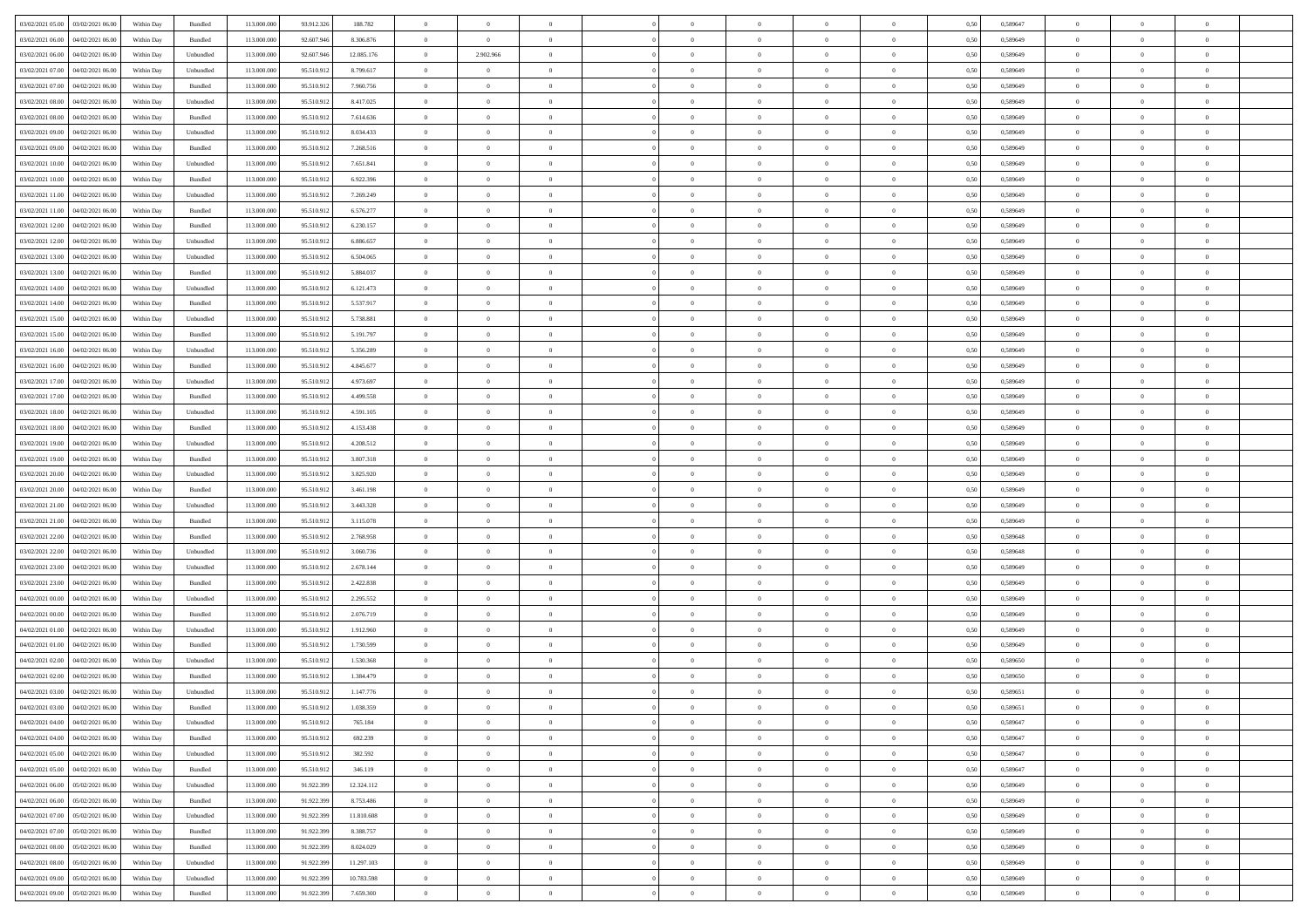| 03/02/2021 05:00 03/02/2021 06:00              | Within Day | Bundled   | 113.000.000 | 93.912.326 | 188.782    | $\overline{0}$ | $\overline{0}$ |                | $\overline{0}$ | $\theta$       |                | $\theta$       | 0,50 | 0,589647 | $\theta$       | $\theta$       | $\theta$       |  |
|------------------------------------------------|------------|-----------|-------------|------------|------------|----------------|----------------|----------------|----------------|----------------|----------------|----------------|------|----------|----------------|----------------|----------------|--|
| 03/02/2021 06:00<br>04/02/2021 06.00           | Within Day | Bundled   | 113.000.00  | 92.607.94  | 8.306.876  | $\bf{0}$       | $\bf{0}$       | $\bf{0}$       | $\overline{0}$ | $\overline{0}$ | $\overline{0}$ | $\bf{0}$       | 0,50 | 0,589649 | $\,$ 0 $\,$    | $\bf{0}$       | $\overline{0}$ |  |
| 03/02/2021 06:00<br>04/02/2021 06:00           | Within Day | Unbundled | 113,000,000 | 92.607.946 | 12.085.176 | $\overline{0}$ | 2.902.966      | $\overline{0}$ | $\bf{0}$       | $\bf{0}$       | $\overline{0}$ | $\bf{0}$       | 0.50 | 0.589649 | $\bf{0}$       | $\overline{0}$ | $\overline{0}$ |  |
| 03/02/2021 07:00<br>04/02/2021 06:00           | Within Day | Unbundled | 113.000.000 | 95.510.912 | 8.799.617  | $\overline{0}$ | $\overline{0}$ | $\overline{0}$ | $\overline{0}$ | $\theta$       | $\overline{0}$ | $\bf{0}$       | 0,50 | 0,589649 | $\theta$       | $\theta$       | $\overline{0}$ |  |
|                                                |            |           |             |            |            |                |                |                |                |                |                |                |      |          |                |                |                |  |
| 03/02/2021 07:00<br>04/02/2021 06.00           | Within Day | Bundled   | 113.000.00  | 95.510.91  | 7.960.756  | $\bf{0}$       | $\overline{0}$ | $\bf{0}$       | $\overline{0}$ | $\theta$       | $\overline{0}$ | $\bf{0}$       | 0,50 | 0,589649 | $\,$ 0 $\,$    | $\bf{0}$       | $\overline{0}$ |  |
| 03/02/2021 08:00<br>04/02/2021 06:00           | Within Day | Unbundled | 113,000,000 | 95.510.912 | 8.417.025  | $\overline{0}$ | $\overline{0}$ | $\overline{0}$ | $\bf{0}$       | $\overline{0}$ | $\theta$       | $\bf{0}$       | 0.50 | 0.589649 | $\,$ 0 $\,$    | $\theta$       | $\overline{0}$ |  |
| 03/02/2021 08:00<br>04/02/2021 06:00           | Within Day | Bundled   | 113.000.000 | 95.510.912 | 7.614.636  | $\overline{0}$ | $\overline{0}$ | $\overline{0}$ | $\overline{0}$ | $\overline{0}$ | $\overline{0}$ | $\bf{0}$       | 0,50 | 0,589649 | $\theta$       | $\theta$       | $\overline{0}$ |  |
| 03/02/2021 09:00<br>04/02/2021 06.00           | Within Day | Unbundled | 113.000.00  | 95.510.91  | 8.034.433  | $\overline{0}$ | $\bf{0}$       | $\bf{0}$       | $\overline{0}$ | $\overline{0}$ | $\overline{0}$ | $\bf{0}$       | 0,50 | 0,589649 | $\,$ 0 $\,$    | $\bf{0}$       | $\overline{0}$ |  |
| 03/02/2021 09:00<br>04/02/2021 06:00           | Within Day | Bundled   | 113,000,000 | 95.510.912 | 7.268.516  | $\overline{0}$ | $\bf{0}$       | $\overline{0}$ | $\bf{0}$       | $\overline{0}$ | $\overline{0}$ | $\bf{0}$       | 0.50 | 0.589649 | $\bf{0}$       | $\overline{0}$ | $\overline{0}$ |  |
| 03/02/2021 10:00<br>04/02/2021 06:00           | Within Day | Unbundled | 113.000.000 | 95.510.912 | 7.651.841  | $\overline{0}$ | $\bf{0}$       | $\overline{0}$ | $\overline{0}$ | $\overline{0}$ | $\overline{0}$ | $\bf{0}$       | 0,50 | 0,589649 | $\,$ 0 $\,$    | $\bf{0}$       | $\overline{0}$ |  |
|                                                |            |           |             |            |            |                |                |                |                |                |                |                |      |          |                |                |                |  |
| 03/02/2021 10:00<br>04/02/2021 06.00           | Within Day | Bundled   | 113.000.00  | 95.510.912 | 6.922.396  | $\bf{0}$       | $\overline{0}$ | $\bf{0}$       | $\bf{0}$       | $\bf{0}$       | $\overline{0}$ | $\bf{0}$       | 0,50 | 0,589649 | $\,$ 0 $\,$    | $\bf{0}$       | $\overline{0}$ |  |
| 03/02/2021 11:00<br>04/02/2021 06:00           | Within Day | Unbundled | 113,000,000 | 95.510.912 | 7.269.249  | $\overline{0}$ | $\bf{0}$       | $\overline{0}$ | $\overline{0}$ | $\bf{0}$       | $\overline{0}$ | $\bf{0}$       | 0.50 | 0.589649 | $\bf{0}$       | $\overline{0}$ | $\,$ 0         |  |
| 03/02/2021 11:00<br>04/02/2021 06:00           | Within Day | Bundled   | 113.000.000 | 95.510.912 | 6.576.277  | $\overline{0}$ | $\overline{0}$ | $\overline{0}$ | $\theta$       | $\theta$       | $\overline{0}$ | $\bf{0}$       | 0,50 | 0,589649 | $\theta$       | $\theta$       | $\overline{0}$ |  |
| 03/02/2021 12:00<br>04/02/2021 06.00           | Within Day | Bundled   | 113.000.00  | 95.510.91  | 6.230.157  | $\bf{0}$       | $\overline{0}$ | $\bf{0}$       | $\overline{0}$ | $\theta$       | $\overline{0}$ | $\bf{0}$       | 0,50 | 0,589649 | $\,$ 0 $\,$    | $\bf{0}$       | $\overline{0}$ |  |
| 03/02/2021 12:00<br>04/02/2021 06:00           | Within Day | Unbundled | 113,000,000 | 95.510.912 | 6.886.657  | $\overline{0}$ | $\overline{0}$ | $\overline{0}$ | $\bf{0}$       | $\overline{0}$ | $\theta$       | $\bf{0}$       | 0.50 | 0.589649 | $\,$ 0 $\,$    | $\theta$       | $\overline{0}$ |  |
| 03/02/2021 13:00<br>04/02/2021 06:00           |            |           | 113.000.000 |            |            | $\overline{0}$ | $\overline{0}$ | $\overline{0}$ | $\overline{0}$ | $\overline{0}$ | $\overline{0}$ |                |      |          | $\theta$       | $\theta$       | $\overline{0}$ |  |
|                                                | Within Day | Unbundled |             | 95.510.912 | 6.504.065  |                |                |                |                |                |                | $\bf{0}$       | 0,50 | 0,589649 |                |                |                |  |
| 03/02/2021 13:00<br>04/02/2021 06.00           | Within Day | Bundled   | 113.000.00  | 95.510.91  | 5.884.037  | $\bf{0}$       | $\overline{0}$ | $\bf{0}$       | $\overline{0}$ | $\bf{0}$       | $\overline{0}$ | $\bf{0}$       | 0,50 | 0,589649 | $\,$ 0 $\,$    | $\bf{0}$       | $\overline{0}$ |  |
| 03/02/2021 14:00<br>04/02/2021 06:00           | Within Day | Unbundled | 113,000,000 | 95.510.912 | 6.121.473  | $\overline{0}$ | $\bf{0}$       | $\overline{0}$ | $\bf{0}$       | $\overline{0}$ | $\overline{0}$ | $\bf{0}$       | 0.50 | 0.589649 | $\bf{0}$       | $\overline{0}$ | $\bf{0}$       |  |
| 03/02/2021 14:00<br>04/02/2021 06:00           | Within Day | Bundled   | 113.000.000 | 95.510.912 | 5.537.917  | $\overline{0}$ | $\bf{0}$       | $\overline{0}$ | $\overline{0}$ | $\overline{0}$ | $\overline{0}$ | $\bf{0}$       | 0,50 | 0,589649 | $\,$ 0 $\,$    | $\bf{0}$       | $\overline{0}$ |  |
| 03/02/2021 15:00<br>04/02/2021 06.00           | Within Day | Unbundled | 113.000.00  | 95.510.91  | 5.738.881  | $\bf{0}$       | $\bf{0}$       | $\bf{0}$       | $\bf{0}$       | $\overline{0}$ | $\overline{0}$ | $\bf{0}$       | 0,50 | 0,589649 | $\,$ 0 $\,$    | $\bf{0}$       | $\overline{0}$ |  |
| 03/02/2021 15:00<br>04/02/2021 06:00           | Within Day | Bundled   | 113,000,000 | 95.510.912 | 5.191.797  | $\overline{0}$ | $\bf{0}$       | $\overline{0}$ | $\overline{0}$ | $\bf{0}$       | $\overline{0}$ | $\bf{0}$       | 0.50 | 0.589649 | $\bf{0}$       | $\overline{0}$ | $\,$ 0         |  |
| 03/02/2021 16:00<br>04/02/2021 06:00           | Within Day | Unbundled | 113.000.000 | 95.510.912 | 5.356.289  | $\overline{0}$ | $\overline{0}$ | $\overline{0}$ | $\theta$       | $\theta$       | $\overline{0}$ | $\bf{0}$       | 0,50 | 0,589649 | $\theta$       | $\theta$       | $\overline{0}$ |  |
|                                                |            |           |             |            |            |                |                |                |                |                |                |                |      |          |                |                |                |  |
| 03/02/2021 16:00<br>04/02/2021 06.00           | Within Day | Bundled   | 113.000.00  | 95.510.91  | 4.845.677  | $\bf{0}$       | $\overline{0}$ | $\bf{0}$       | $\bf{0}$       | $\overline{0}$ | $\overline{0}$ | $\bf{0}$       | 0,50 | 0,589649 | $\,$ 0 $\,$    | $\bf{0}$       | $\overline{0}$ |  |
| 03/02/2021 17:00<br>04/02/2021 06:00           | Within Day | Unbundled | 113,000,000 | 95.510.912 | 4.973.697  | $\overline{0}$ | $\overline{0}$ | $\overline{0}$ | $\bf{0}$       | $\overline{0}$ | $\theta$       | $\bf{0}$       | 0.50 | 0.589649 | $\,$ 0 $\,$    | $\theta$       | $\overline{0}$ |  |
| 03/02/2021 17:00<br>04/02/2021 06:00           | Within Day | Bundled   | 113.000.000 | 95.510.912 | 4.499.558  | $\overline{0}$ | $\overline{0}$ | $\overline{0}$ | $\overline{0}$ | $\overline{0}$ | $\overline{0}$ | $\bf{0}$       | 0,50 | 0,589649 | $\theta$       | $\theta$       | $\overline{0}$ |  |
| 03/02/2021 18:00<br>04/02/2021 06.00           | Within Day | Unbundled | 113.000.00  | 95.510.91  | 4.591.105  | $\bf{0}$       | $\overline{0}$ | $\bf{0}$       | $\overline{0}$ | $\bf{0}$       | $\overline{0}$ | $\bf{0}$       | 0,50 | 0,589649 | $\,$ 0 $\,$    | $\bf{0}$       | $\overline{0}$ |  |
| 03/02/2021 18:00<br>04/02/2021 06:00           | Within Day | Bundled   | 113,000,000 | 95.510.912 | 4.153.438  | $\overline{0}$ | $\bf{0}$       | $\overline{0}$ | $\bf{0}$       | $\overline{0}$ | $\overline{0}$ | $\bf{0}$       | 0.50 | 0.589649 | $\bf{0}$       | $\overline{0}$ | $\overline{0}$ |  |
| 03/02/2021 19:00<br>04/02/2021 06:00           | Within Day | Unbundled | 113.000.000 | 95.510.912 | 4.208.512  | $\overline{0}$ | $\overline{0}$ | $\overline{0}$ | $\overline{0}$ | $\overline{0}$ | $\overline{0}$ | $\bf{0}$       | 0,50 | 0,589649 | $\theta$       | $\theta$       | $\overline{0}$ |  |
|                                                |            |           |             |            |            |                |                |                |                |                |                |                |      |          |                |                |                |  |
| 03/02/2021 19:00<br>04/02/2021 06.00           | Within Day | Bundled   | 113.000.00  | 95.510.91  | 3.807.318  | $\bf{0}$       | $\bf{0}$       | $\bf{0}$       | $\bf{0}$       | $\overline{0}$ | $\overline{0}$ | $\bf{0}$       | 0,50 | 0,589649 | $\,$ 0 $\,$    | $\bf{0}$       | $\overline{0}$ |  |
| 03/02/2021 20:00<br>04/02/2021 06:00           | Within Day | Unbundled | 113,000,000 | 95.510.912 | 3.825.920  | $\overline{0}$ | $\bf{0}$       | $\overline{0}$ | $\bf{0}$       | $\bf{0}$       | $\overline{0}$ | $\bf{0}$       | 0.50 | 0.589649 | $\bf{0}$       | $\overline{0}$ | $\bf{0}$       |  |
| 03/02/2021 20:00<br>04/02/2021 06:00           | Within Day | Bundled   | 113.000.000 | 95.510.912 | 3.461.198  | $\overline{0}$ | $\overline{0}$ | $\overline{0}$ | $\overline{0}$ | $\overline{0}$ | $\overline{0}$ | $\bf{0}$       | 0.50 | 0.589649 | $\theta$       | $\theta$       | $\overline{0}$ |  |
| 03/02/2021 21:00<br>04/02/2021 06.00           | Within Day | Unbundled | 113.000.00  | 95.510.91  | 3.443.328  | $\bf{0}$       | $\overline{0}$ | $\bf{0}$       | $\bf{0}$       | $\,$ 0 $\,$    | $\overline{0}$ | $\bf{0}$       | 0,50 | 0,589649 | $\,$ 0 $\,$    | $\bf{0}$       | $\overline{0}$ |  |
| 03/02/2021 21:00<br>04/02/2021 06.00           | Within Day | Bundled   | 113,000,000 | 95.510.912 | 3.115.078  | $\overline{0}$ | $\bf{0}$       | $\overline{0}$ | $\bf{0}$       | $\overline{0}$ | $\Omega$       | $\bf{0}$       | 0.50 | 0.589649 | $\,$ 0 $\,$    | $\theta$       | $\overline{0}$ |  |
| 03/02/2021 22:00<br>04/02/2021 06:00           | Within Dav | Bundled   | 113.000.000 | 95.510.912 | 2.768.958  | $\overline{0}$ | $\overline{0}$ | $\overline{0}$ | $\overline{0}$ | $\overline{0}$ | $\overline{0}$ | $\bf{0}$       | 0.50 | 0.589648 | $\theta$       | $\theta$       | $\overline{0}$ |  |
| 04/02/2021 06.00                               | Within Day | Unbundled | 113.000.00  | 95.510.91  | 3.060.736  | $\bf{0}$       | $\bf{0}$       | $\bf{0}$       | $\bf{0}$       | $\overline{0}$ | $\overline{0}$ | $\bf{0}$       | 0,50 | 0,589648 | $\,$ 0 $\,$    | $\bf{0}$       | $\overline{0}$ |  |
| 03/02/2021 22:00                               |            |           |             |            |            |                |                |                |                |                |                |                |      |          |                |                |                |  |
| 03/02/2021 23:00<br>04/02/2021 06:00           | Within Day | Unbundled | 113,000,000 | 95.510.912 | 2.678.144  | $\overline{0}$ | $\bf{0}$       | $\overline{0}$ | $\bf{0}$       | $\overline{0}$ | $\overline{0}$ | $\bf{0}$       | 0.50 | 0.589649 | $\bf{0}$       | $\overline{0}$ | $\overline{0}$ |  |
| 03/02/2021 23:00<br>04/02/2021 06:00           | Within Dav | Bundled   | 113.000.000 | 95.510.912 | 2.422.838  | $\overline{0}$ | $\overline{0}$ | $\overline{0}$ | $\overline{0}$ | $\overline{0}$ | $\overline{0}$ | $\bf{0}$       | 0.50 | 0.589649 | $\theta$       | $\theta$       | $\overline{0}$ |  |
| 04/02/2021 00:00<br>04/02/2021 06.00           | Within Day | Unbundled | 113.000.00  | 95.510.912 | 2.295.552  | $\bf{0}$       | $\bf{0}$       | $\bf{0}$       | $\bf{0}$       | $\overline{0}$ | $\overline{0}$ | $\bf{0}$       | 0,50 | 0,589649 | $\,$ 0 $\,$    | $\bf{0}$       | $\overline{0}$ |  |
| 04/02/2021 00:00<br>04/02/2021 06:00           | Within Day | Bundled   | 113,000,000 | 95.510.912 | 2.076.719  | $\overline{0}$ | $\bf{0}$       | $\overline{0}$ | $\overline{0}$ | $\bf{0}$       | $\overline{0}$ | $\bf{0}$       | 0.50 | 0.589649 | $\bf{0}$       | $\overline{0}$ | $\bf{0}$       |  |
| 04/02/2021 01:00<br>04/02/2021 06:00           | Within Dav | Unbundled | 113.000.000 | 95.510.912 | 1.912.960  | $\overline{0}$ | $\overline{0}$ | $\overline{0}$ | $\overline{0}$ | $\overline{0}$ | $\overline{0}$ | $\bf{0}$       | 0.50 | 0.589649 | $\theta$       | $\theta$       | $\overline{0}$ |  |
| 04/02/2021 01:00<br>04/02/2021 06.00           | Within Day | Bundled   | 113.000.00  | 95.510.912 | 1.730.599  | $\bf{0}$       | $\bf{0}$       | $\bf{0}$       | $\bf{0}$       | $\overline{0}$ | $\overline{0}$ | $\bf{0}$       | 0,50 | 0,589649 | $\,$ 0 $\,$    | $\bf{0}$       | $\overline{0}$ |  |
|                                                |            |           | 113,000,000 |            | 1.530.368  |                | $\overline{0}$ | $\overline{0}$ |                | $\overline{0}$ | $\Omega$       |                | 0.50 | 0.589650 | $\bf{0}$       | $\theta$       | $\overline{0}$ |  |
| 04/02/2021 02:00<br>04/02/2021 06.00           | Within Day | Unbundled |             | 95.510.91  |            | $\overline{0}$ |                |                | $\bf{0}$       |                |                | $\bf{0}$       |      |          |                |                |                |  |
| 04/02/2021 02:00<br>04/02/2021 06:00           | Within Dav | Bundled   | 113.000.000 | 95.510.912 | 1.384.479  | $\overline{0}$ | $\overline{0}$ | $\Omega$       | $\overline{0}$ | $\theta$       | $\Omega$       | $\overline{0}$ | 0.5( | 0.589650 | $\theta$       | $\theta$       | $\overline{0}$ |  |
| 04/02/2021 03:00<br>04/02/2021 06:00           | Within Day | Unbundled | 113.000.000 | 95.510.912 | 1.147.776  | $\bf{0}$       | $\bf{0}$       | $\bf{0}$       | $\bf{0}$       | $\bf{0}$       | $\overline{0}$ | $\bf{0}$       | 0,50 | 0,589651 | $\overline{0}$ | $\bf{0}$       | $\overline{0}$ |  |
| $04/02/2021\; 03.00 \qquad 04/02/2021\; 06.00$ | Within Day | Bundled   | 113.000.000 | 95.510.912 | 1.038.359  | $\bf{0}$       | $\Omega$       |                | $\Omega$       |                |                |                | 0,50 | 0.589651 | $\bf{0}$       | $\overline{0}$ |                |  |
| 04/02/2021 04:00 04/02/2021 06:00              | Within Day | Unbundled | 113.000.000 | 95.510.912 | 765.184    | $\overline{0}$ | $\overline{0}$ | $\Omega$       | $\theta$       | $\overline{0}$ | $\overline{0}$ | $\bf{0}$       | 0,50 | 0,589647 | $\theta$       | $\overline{0}$ | $\overline{0}$ |  |
| 04/02/2021 04:00<br>04/02/2021 06:00           | Within Day | Bundled   | 113.000.00  | 95.510.912 | 692.239    | $\overline{0}$ | $\bf{0}$       | $\overline{0}$ | $\overline{0}$ | $\bf{0}$       | $\overline{0}$ | $\bf{0}$       | 0,50 | 0,589647 | $\bf{0}$       | $\overline{0}$ | $\bf{0}$       |  |
| 04/02/2021 05:00 04/02/2021 06:00              | Within Day | Unbundled | 113,000,000 | 95.510.912 | 382.592    | $\overline{0}$ | $\bf{0}$       | $\overline{0}$ | $\overline{0}$ | $\mathbf{0}$   | $\overline{0}$ | $\,$ 0 $\,$    | 0.50 | 0.589647 | $\overline{0}$ | $\bf{0}$       | $\,$ 0 $\,$    |  |
|                                                |            |           |             |            |            |                |                |                |                |                |                |                |      |          |                |                |                |  |
| 04/02/2021 05:00 04/02/2021 06:00              | Within Dav | Bundled   | 113.000.000 | 95.510.912 | 346.119    | $\overline{0}$ | $\overline{0}$ | $\overline{0}$ | $\overline{0}$ | $\overline{0}$ | $\overline{0}$ | $\bf{0}$       | 0,50 | 0,589647 | $\theta$       | $\theta$       | $\overline{0}$ |  |
| 04/02/2021 06:00<br>05/02/2021 06:00           | Within Day | Unbundled | 113.000.000 | 91.922.399 | 12.324.112 | $\overline{0}$ | $\bf{0}$       | $\overline{0}$ | $\overline{0}$ | $\bf{0}$       | $\overline{0}$ | $\bf{0}$       | 0,50 | 0,589649 | $\bf{0}$       | $\overline{0}$ | $\overline{0}$ |  |
| 04/02/2021 06:00 05/02/2021 06:00              | Within Day | Bundled   | 113,000,000 | 91.922.399 | 8,753,486  | $\overline{0}$ | $\bf{0}$       | $\overline{0}$ | $\overline{0}$ | $\overline{0}$ | $\overline{0}$ | $\bf{0}$       | 0.50 | 0.589649 | $\,$ 0 $\,$    | $\overline{0}$ | $\overline{0}$ |  |
| 04/02/2021 07:00<br>05/02/2021 06:00           | Within Dav | Unbundled | 113.000.000 | 91.922.399 | 11.810.608 | $\overline{0}$ | $\overline{0}$ | $\overline{0}$ | $\overline{0}$ | $\overline{0}$ | $\overline{0}$ | $\bf{0}$       | 0,50 | 0.589649 | $\overline{0}$ | $\theta$       | $\overline{0}$ |  |
| 04/02/2021 07:00<br>05/02/2021 06:00           | Within Day | Bundled   | 113.000.00  | 91.922.399 | 8.388.757  | $\overline{0}$ | $\overline{0}$ | $\overline{0}$ | $\overline{0}$ | $\overline{0}$ | $\overline{0}$ | $\bf{0}$       | 0,50 | 0,589649 | $\bf{0}$       | $\overline{0}$ | $\,$ 0         |  |
| 04/02/2021 08:00 05/02/2021 06:00              | Within Day | Bundled   | 113,000,000 | 91.922.399 | 8.024.029  | $\overline{0}$ | $\overline{0}$ | $\overline{0}$ | $\overline{0}$ | $\overline{0}$ | $\overline{0}$ | $\bf{0}$       | 0.50 | 0.589649 | $\mathbf{0}$   | $\bf{0}$       | $\,$ 0         |  |
|                                                |            |           |             |            |            |                | $\overline{0}$ |                |                | $\overline{0}$ |                |                |      |          |                | $\theta$       | $\overline{0}$ |  |
| 04/02/2021 08:00 05/02/2021 06:00              | Within Dav | Unbundled | 113.000.000 | 91.922.399 | 11.297.103 | $\overline{0}$ |                | $\overline{0}$ | $\overline{0}$ |                | $\overline{0}$ | $\bf{0}$       | 0,50 | 0.589649 | $\overline{0}$ |                |                |  |
| 04/02/2021 09:00<br>05/02/2021 06:00           | Within Day | Unbundled | 113.000.00  | 91.922.399 | 10.783.598 | $\overline{0}$ | $\bf{0}$       | $\overline{0}$ | $\bf{0}$       | $\overline{0}$ | $\overline{0}$ | $\bf{0}$       | 0,50 | 0,589649 | $\bf{0}$       | $\,$ 0 $\,$    | $\bf{0}$       |  |
| 04/02/2021 09:00 05/02/2021 06:00              | Within Day | Bundled   | 113.000.000 | 91.922.399 | 7.659.300  | $\overline{0}$ | $\bf{0}$       | $\overline{0}$ | $\overline{0}$ | $\,$ 0 $\,$    | $\overline{0}$ | $\bf{0}$       | 0,50 | 0,589649 | $\overline{0}$ | $\,$ 0 $\,$    | $\,$ 0 $\,$    |  |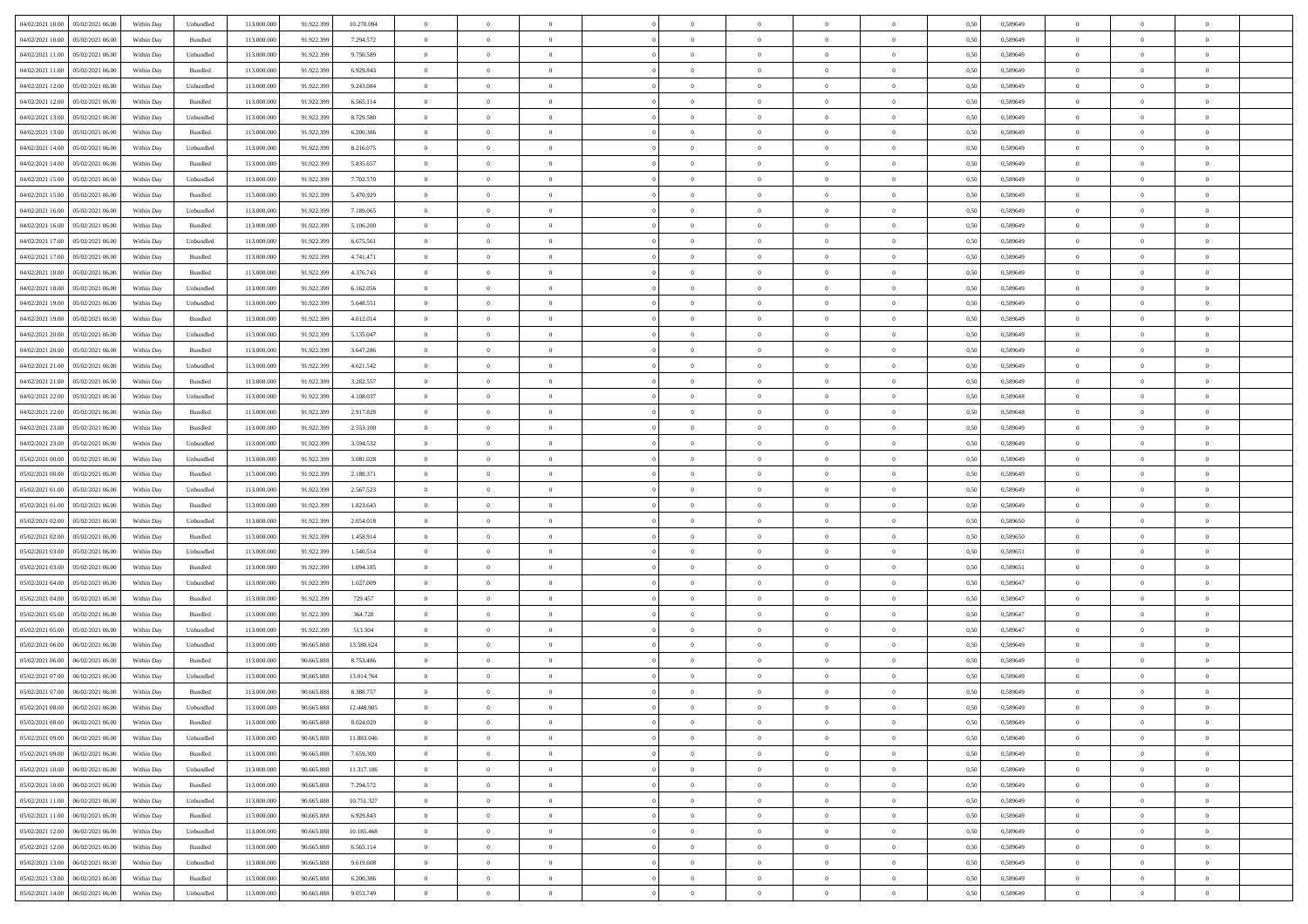|                                                            |            |                             |             |            |            | $\overline{0}$ | $\overline{0}$ |                | $\overline{0}$ | $\theta$       |                | $\theta$       |      |          | $\theta$       | $\theta$       | $\overline{0}$ |  |
|------------------------------------------------------------|------------|-----------------------------|-------------|------------|------------|----------------|----------------|----------------|----------------|----------------|----------------|----------------|------|----------|----------------|----------------|----------------|--|
| 04/02/2021 10:00 05/02/2021 06:00                          | Within Day | Unbundled                   | 113.000.000 | 91.922.399 | 10.270.094 |                |                |                |                |                |                |                | 0,50 | 0,589649 |                |                |                |  |
| 04/02/2021 10:00<br>05/02/2021 06:00                       | Within Day | Bundled                     | 113.000.00  | 91.922.39  | 7.294.572  | $\bf{0}$       | $\bf{0}$       | $\bf{0}$       | $\overline{0}$ | $\overline{0}$ | $\overline{0}$ | $\bf{0}$       | 0,50 | 0,589649 | $\,$ 0 $\,$    | $\bf{0}$       | $\overline{0}$ |  |
| 04/02/2021 11:00<br>05/02/2021 06:00                       | Within Day | Unbundled                   | 113,000,000 | 91.922.399 | 9.756.589  | $\overline{0}$ | $\bf{0}$       | $\overline{0}$ | $\bf{0}$       | $\bf{0}$       | $\overline{0}$ | $\bf{0}$       | 0.50 | 0.589649 | $\bf{0}$       | $\overline{0}$ | $\overline{0}$ |  |
| 04/02/2021 11:00<br>05/02/2021 06:00                       | Within Day | Bundled                     | 113.000.000 | 91.922.399 | 6.929.843  | $\overline{0}$ | $\overline{0}$ | $\overline{0}$ | $\theta$       | $\theta$       | $\overline{0}$ | $\bf{0}$       | 0,50 | 0,589649 | $\theta$       | $\theta$       | $\overline{0}$ |  |
|                                                            |            |                             |             |            |            |                |                |                |                |                |                |                |      |          |                |                |                |  |
| 04/02/2021 12:00<br>05/02/2021 06.00                       | Within Day | Unbundled                   | 113.000.00  | 91.922.399 | 9.243.084  | $\bf{0}$       | $\overline{0}$ | $\bf{0}$       | $\overline{0}$ | $\theta$       | $\overline{0}$ | $\bf{0}$       | 0,50 | 0,589649 | $\,$ 0 $\,$    | $\bf{0}$       | $\overline{0}$ |  |
| 04/02/2021 12:00<br>05/02/2021 06:00                       | Within Day | Bundled                     | 113,000,000 | 91.922.399 | 6.565.114  | $\overline{0}$ | $\overline{0}$ | $\overline{0}$ | $\bf{0}$       | $\overline{0}$ | $\theta$       | $\bf{0}$       | 0.50 | 0.589649 | $\,$ 0 $\,$    | $\theta$       | $\overline{0}$ |  |
| 04/02/2021 13:00<br>05/02/2021 06:00                       | Within Day | Unbundled                   | 113.000.000 | 91.922.399 | 8.729.580  | $\overline{0}$ | $\overline{0}$ | $\overline{0}$ | $\overline{0}$ | $\overline{0}$ | $\overline{0}$ | $\bf{0}$       | 0,50 | 0,589649 | $\theta$       | $\theta$       | $\overline{0}$ |  |
|                                                            |            |                             |             |            |            |                |                |                |                |                |                |                |      |          |                |                |                |  |
| 04/02/2021 13:00<br>05/02/2021 06.00                       | Within Day | Bundled                     | 113.000.00  | 91.922.399 | 6.200.386  | $\bf{0}$       | $\bf{0}$       | $\bf{0}$       | $\overline{0}$ | $\overline{0}$ | $\overline{0}$ | $\bf{0}$       | 0,50 | 0,589649 | $\,$ 0 $\,$    | $\bf{0}$       | $\overline{0}$ |  |
| 04/02/2021 14:00<br>05/02/2021 06:00                       | Within Day | Unbundled                   | 113,000,000 | 91.922.399 | 8.216.075  | $\overline{0}$ | $\bf{0}$       | $\overline{0}$ | $\bf{0}$       | $\overline{0}$ | $\overline{0}$ | $\bf{0}$       | 0.50 | 0.589649 | $\bf{0}$       | $\overline{0}$ | $\overline{0}$ |  |
| 04/02/2021 14:00<br>05/02/2021 06:00                       | Within Day | Bundled                     | 113.000.000 | 91.922.399 | 5.835.657  | $\overline{0}$ | $\bf{0}$       | $\overline{0}$ | $\overline{0}$ | $\overline{0}$ | $\overline{0}$ | $\bf{0}$       | 0,50 | 0,589649 | $\,$ 0 $\,$    | $\bf{0}$       | $\overline{0}$ |  |
| 04/02/2021 15:00<br>05/02/2021 06.00                       | Within Day | Unbundled                   | 113.000.00  | 91.922.399 | 7.702.570  | $\bf{0}$       | $\overline{0}$ | $\bf{0}$       | $\bf{0}$       | $\bf{0}$       | $\overline{0}$ | $\bf{0}$       | 0,50 | 0,589649 | $\,$ 0 $\,$    | $\bf{0}$       | $\overline{0}$ |  |
|                                                            |            |                             |             |            |            |                |                |                |                |                |                |                |      |          |                |                |                |  |
| 04/02/2021 15:00<br>05/02/2021 06:00                       | Within Day | Bundled                     | 113,000,000 | 91.922.399 | 5.470.929  | $\overline{0}$ | $\bf{0}$       | $\overline{0}$ | $\overline{0}$ | $\bf{0}$       | $\overline{0}$ | $\bf{0}$       | 0.50 | 0.589649 | $\bf{0}$       | $\overline{0}$ | $\bf{0}$       |  |
| 04/02/2021 16:00<br>05/02/2021 06:00                       | Within Day | Unbundled                   | 113.000.000 | 91.922.399 | 7.189.065  | $\overline{0}$ | $\overline{0}$ | $\overline{0}$ | $\theta$       | $\theta$       | $\overline{0}$ | $\bf{0}$       | 0,50 | 0,589649 | $\,$ 0 $\,$    | $\theta$       | $\overline{0}$ |  |
| 04/02/2021 16:00<br>05/02/2021 06.00                       | Within Day | Bundled                     | 113.000.00  | 91.922.39  | 5.106.200  | $\bf{0}$       | $\overline{0}$ | $\bf{0}$       | $\overline{0}$ | $\theta$       | $\overline{0}$ | $\bf{0}$       | 0,50 | 0,589649 | $\,$ 0 $\,$    | $\bf{0}$       | $\overline{0}$ |  |
| 04/02/2021 17:00<br>05/02/2021 06:00                       | Within Day | Unbundled                   | 113,000,000 | 91.922.399 | 6.675.561  | $\overline{0}$ | $\overline{0}$ | $\overline{0}$ | $\bf{0}$       | $\overline{0}$ | $\theta$       | $\bf{0}$       | 0.50 | 0.589649 | $\,$ 0 $\,$    | $\theta$       | $\overline{0}$ |  |
|                                                            |            |                             |             |            |            | $\overline{0}$ | $\overline{0}$ | $\overline{0}$ | $\overline{0}$ | $\overline{0}$ | $\overline{0}$ |                |      |          | $\theta$       | $\theta$       | $\overline{0}$ |  |
| 04/02/2021 17:00<br>05/02/2021 06:00                       | Within Day | Bundled                     | 113.000.000 | 91.922.399 | 4.741.471  |                |                |                |                |                |                | $\bf{0}$       | 0,50 | 0,589649 |                |                |                |  |
| 04/02/2021 18:00<br>05/02/2021 06.00                       | Within Day | Bundled                     | 113.000.00  | 91.922.39  | 4.376.743  | $\bf{0}$       | $\overline{0}$ | $\bf{0}$       | $\overline{0}$ | $\bf{0}$       | $\overline{0}$ | $\bf{0}$       | 0,50 | 0,589649 | $\,$ 0 $\,$    | $\bf{0}$       | $\overline{0}$ |  |
| 04/02/2021 18:00<br>05/02/2021 06:00                       | Within Day | Unbundled                   | 113,000,00  | 91.922.399 | 6.162.056  | $\overline{0}$ | $\bf{0}$       | $\overline{0}$ | $\bf{0}$       | $\overline{0}$ | $\overline{0}$ | $\bf{0}$       | 0.50 | 0.589649 | $\bf{0}$       | $\overline{0}$ | $\overline{0}$ |  |
| 04/02/2021 19:00<br>05/02/2021 06:00                       | Within Day | Unbundled                   | 113.000.000 | 91.922.399 | 5.648.551  | $\overline{0}$ | $\bf{0}$       | $\overline{0}$ | $\overline{0}$ | $\overline{0}$ | $\overline{0}$ | $\bf{0}$       | 0,50 | 0,589649 | $\,$ 0 $\,$    | $\bf{0}$       | $\overline{0}$ |  |
| 05/02/2021 06.00                                           | Within Day | Bundled                     | 113.000.00  | 91.922.399 | 4.012.014  | $\bf{0}$       | $\bf{0}$       | $\bf{0}$       | $\bf{0}$       | $\overline{0}$ | $\overline{0}$ | $\bf{0}$       | 0,50 | 0,589649 | $\,$ 0 $\,$    | $\bf{0}$       | $\overline{0}$ |  |
| 04/02/2021 19:00                                           |            |                             |             |            |            |                |                |                |                |                |                |                |      |          |                |                |                |  |
| 04/02/2021 20:00<br>05/02/2021 06:00                       | Within Day | Unbundled                   | 113,000,000 | 91.922.399 | 5.135.047  | $\overline{0}$ | $\bf{0}$       | $\overline{0}$ | $\overline{0}$ | $\bf{0}$       | $\overline{0}$ | $\bf{0}$       | 0.50 | 0.589649 | $\bf{0}$       | $\overline{0}$ | $\overline{0}$ |  |
| 04/02/2021 20:00<br>05/02/2021 06:00                       | Within Day | Bundled                     | 113.000.000 | 91.922.399 | 3.647.286  | $\overline{0}$ | $\overline{0}$ | $\overline{0}$ | $\theta$       | $\theta$       | $\overline{0}$ | $\bf{0}$       | 0,50 | 0,589649 | $\theta$       | $\theta$       | $\overline{0}$ |  |
| 04/02/2021 21:00<br>05/02/2021 06.00                       | Within Day | Unbundled                   | 113.000.00  | 91.922.399 | 4.621.542  | $\bf{0}$       | $\overline{0}$ | $\bf{0}$       | $\bf{0}$       | $\,$ 0 $\,$    | $\overline{0}$ | $\bf{0}$       | 0,50 | 0,589649 | $\,$ 0 $\,$    | $\bf{0}$       | $\overline{0}$ |  |
| 04/02/2021 21:00<br>05/02/2021 06:00                       |            | Bundled                     | 113,000,000 | 91.922.399 | 3.282.557  | $\overline{0}$ | $\overline{0}$ | $\overline{0}$ | $\bf{0}$       | $\overline{0}$ | $\theta$       | $\bf{0}$       | 0.50 | 0.589649 | $\,$ 0 $\,$    | $\theta$       | $\overline{0}$ |  |
|                                                            | Within Day |                             |             |            |            |                |                |                |                |                |                |                |      |          |                |                |                |  |
| 04/02/2021 22:00<br>05/02/2021 06:00                       | Within Day | Unbundled                   | 113.000.000 | 91.922.399 | 4.108.037  | $\overline{0}$ | $\overline{0}$ | $\overline{0}$ | $\overline{0}$ | $\overline{0}$ | $\overline{0}$ | $\bf{0}$       | 0,50 | 0,589648 | $\,$ 0 $\,$    | $\theta$       | $\overline{0}$ |  |
| 04/02/2021 22:00<br>05/02/2021 06.00                       | Within Day | Bundled                     | 113.000.00  | 91.922.39  | 2.917.828  | $\bf{0}$       | $\overline{0}$ | $\bf{0}$       | $\overline{0}$ | $\bf{0}$       | $\overline{0}$ | $\bf{0}$       | 0,50 | 0,589648 | $\,$ 0 $\,$    | $\bf{0}$       | $\overline{0}$ |  |
| 04/02/2021 23:00<br>05/02/2021 06:00                       | Within Day | Bundled                     | 113,000,000 | 91.922.399 | 2.553.100  | $\overline{0}$ | $\bf{0}$       | $\overline{0}$ | $\bf{0}$       | $\overline{0}$ | $\overline{0}$ | $\bf{0}$       | 0.50 | 0.589649 | $\bf{0}$       | $\overline{0}$ | $\overline{0}$ |  |
| 04/02/2021 23:00<br>05/02/2021 06:00                       | Within Day | Unbundled                   | 113.000.000 | 91.922.399 | 3.594.532  | $\overline{0}$ | $\overline{0}$ | $\overline{0}$ | $\overline{0}$ | $\overline{0}$ | $\overline{0}$ | $\bf{0}$       | 0,50 | 0,589649 | $\theta$       | $\theta$       | $\overline{0}$ |  |
|                                                            |            |                             |             |            |            |                |                |                |                |                |                |                |      |          |                |                |                |  |
| 05/02/2021 00:00<br>05/02/2021 06.00                       | Within Day | Unbundled                   | 113.000.00  | 91.922.399 | 3.081.028  | $\bf{0}$       | $\bf{0}$       | $\bf{0}$       | $\bf{0}$       | $\overline{0}$ | $\overline{0}$ | $\bf{0}$       | 0,50 | 0,589649 | $\,$ 0 $\,$    | $\bf{0}$       | $\overline{0}$ |  |
| 05/02/2021 00:00<br>05/02/2021 06:00                       | Within Day | Bundled                     | 113,000,000 | 91.922.399 | 2.188.371  | $\overline{0}$ | $\bf{0}$       | $\overline{0}$ | $\overline{0}$ | $\bf{0}$       | $\overline{0}$ | $\bf{0}$       | 0.50 | 0.589649 | $\bf{0}$       | $\overline{0}$ | $\bf{0}$       |  |
| 05/02/2021 01:00<br>05/02/2021 06:00                       | Within Day | Unbundled                   | 113.000.000 | 91.922.399 | 2.567.523  | $\overline{0}$ | $\overline{0}$ | $\overline{0}$ | $\overline{0}$ | $\overline{0}$ | $\overline{0}$ | $\bf{0}$       | 0.50 | 0.589649 | $\theta$       | $\theta$       | $\overline{0}$ |  |
| 05/02/2021 01:00<br>05/02/2021 06.00                       | Within Day | Bundled                     | 113.000.00  | 91.922.399 | 1.823.643  | $\bf{0}$       | $\overline{0}$ | $\bf{0}$       | $\bf{0}$       | $\,$ 0 $\,$    | $\overline{0}$ | $\bf{0}$       | 0,50 | 0,589649 | $\,$ 0 $\,$    | $\bf{0}$       | $\overline{0}$ |  |
|                                                            |            |                             | 113,000,000 |            |            |                |                |                |                |                | $\Omega$       |                |      |          |                | $\theta$       | $\overline{0}$ |  |
| 05/02/2021 02:00<br>05/02/2021 06:00                       | Within Day | Unbundled                   |             | 91.922.399 | 2.054.018  | $\overline{0}$ | $\bf{0}$       | $\overline{0}$ | $\bf{0}$       | $\overline{0}$ |                | $\bf{0}$       | 0.50 | 0.589650 | $\,$ 0 $\,$    |                |                |  |
| 05/02/2021 02:00<br>05/02/2021 06:00                       | Within Dav | Bundled                     | 113.000.000 | 91.922.399 | 1.458.914  | $\overline{0}$ | $\overline{0}$ | $\overline{0}$ | $\overline{0}$ | $\theta$       | $\overline{0}$ | $\bf{0}$       | 0.50 | 0,589650 | $\theta$       | $\theta$       | $\overline{0}$ |  |
| 05/02/2021 03:00<br>05/02/2021 06.00                       | Within Day | Unbundled                   | 113.000.00  | 91.922.399 | 1.540.514  | $\bf{0}$       | $\bf{0}$       | $\bf{0}$       | $\bf{0}$       | $\bf{0}$       | $\overline{0}$ | $\bf{0}$       | 0,50 | 0,589651 | $\,$ 0 $\,$    | $\bf{0}$       | $\overline{0}$ |  |
| 05/02/2021 03:00<br>05/02/2021 06:00                       | Within Day | Bundled                     | 113,000,000 | 91.922.399 | 1.094.185  | $\overline{0}$ | $\bf{0}$       | $\overline{0}$ | $\bf{0}$       | $\overline{0}$ | $\overline{0}$ | $\bf{0}$       | 0.50 | 0.589651 | $\bf{0}$       | $\overline{0}$ | $\overline{0}$ |  |
| 05/02/2021 04:00<br>05/02/2021 06:00                       | Within Day | Unbundled                   | 113.000.000 | 91.922.399 | 1.027.009  | $\overline{0}$ | $\overline{0}$ | $\overline{0}$ | $\overline{0}$ | $\overline{0}$ | $\overline{0}$ | $\bf{0}$       | 0.50 | 0.589647 | $\theta$       | $\theta$       | $\overline{0}$ |  |
|                                                            |            |                             |             |            |            |                |                |                |                |                |                |                |      |          |                |                |                |  |
| 05/02/2021 04:00<br>05/02/2021 06.00                       | Within Day | Bundled                     | 113.000.00  | 91.922.399 | 729.457    | $\bf{0}$       | $\bf{0}$       | $\bf{0}$       | $\bf{0}$       | $\overline{0}$ | $\overline{0}$ | $\bf{0}$       | 0,50 | 0,589647 | $\,$ 0 $\,$    | $\bf{0}$       | $\overline{0}$ |  |
| 05/02/2021 05:00<br>05/02/2021 06:00                       | Within Day | Bundled                     | 113,000,000 | 91.922.399 | 364.728    | $\overline{0}$ | $\bf{0}$       | $\overline{0}$ | $\overline{0}$ | $\bf{0}$       | $\overline{0}$ | $\bf{0}$       | 0.50 | 0.589647 | $\bf{0}$       | $\overline{0}$ | $\overline{0}$ |  |
| 05/02/2021 05:00<br>05/02/2021 06:00                       | Within Dav | Unbundled                   | 113.000.000 | 91.922.399 | 513,504    | $\overline{0}$ | $\overline{0}$ | $\overline{0}$ | $\overline{0}$ | $\overline{0}$ | $\overline{0}$ | $\bf{0}$       | 0.50 | 0.589647 | $\theta$       | $\theta$       | $\overline{0}$ |  |
| 05/02/2021 06:00<br>06/02/2021 06.00                       | Within Day | Unbundled                   | 113.000.00  | 90.665.888 | 13.580.624 | $\bf{0}$       | $\bf{0}$       | $\bf{0}$       | $\bf{0}$       | $\overline{0}$ | $\overline{0}$ | $\bf{0}$       | 0,50 | 0,589649 | $\,$ 0 $\,$    | $\bf{0}$       | $\overline{0}$ |  |
|                                                            |            |                             |             |            |            |                |                |                |                |                |                |                |      |          |                |                |                |  |
| 05/02/2021 06:00<br>06/02/2021 06:00                       | Within Day | Bundled                     | 113,000,000 | 90.665.888 | 8.753.486  | $\overline{0}$ | $\overline{0}$ | $\overline{0}$ | $\bf{0}$       | $\overline{0}$ | $\Omega$       | $\bf{0}$       | 0.50 | 0.589649 | $\bf{0}$       | $\theta$       | $\overline{0}$ |  |
| 05/02/2021 07:00<br>06/02/2021 06:00                       | Within Dav | Unbundled                   | 113.000.000 | 90.665.888 | 13.014.764 | $\overline{0}$ | $\overline{0}$ | $\Omega$       | $\overline{0}$ | $\theta$       | $\Omega$       | $\overline{0}$ | 0.5( | 0.589649 | $\theta$       | $\theta$       | $\overline{0}$ |  |
| 05/02/2021 07:00<br>06/02/2021 06:00                       | Within Day | Bundled                     | 113.000.000 | 90.665.888 | 8.388.757  | $\bf{0}$       | $\bf{0}$       | $\bf{0}$       | $\bf{0}$       | $\bf{0}$       | $\overline{0}$ | $\bf{0}$       | 0,50 | 0,589649 | $\,$ 0 $\,$    | $\bf{0}$       | $\overline{0}$ |  |
| ${\color{red} 05/02/2021~08.00 \quad \, 06/02/2021~06.00}$ | Within Day | $\ensuremath{\mathsf{Unb}}$ | 113.000.000 | 90.665.888 | 12.448.905 | $\overline{0}$ | $\theta$       |                | $\Omega$       |                |                |                | 0,50 | 0.589649 | $\theta$       | $\overline{0}$ |                |  |
| 05/02/2021 08:00 06/02/2021 06:00                          |            |                             |             |            |            | $\overline{0}$ | $\overline{0}$ | $\Omega$       |                | $\overline{0}$ |                |                |      |          | $\theta$       | $\theta$       | $\overline{0}$ |  |
|                                                            | Within Day | Bundled                     | 113.000.000 | 90.665.888 | 8.024.029  |                |                |                | $\theta$       |                | $\overline{0}$ | $\bf{0}$       | 0,50 | 0,589649 |                |                |                |  |
| 05/02/2021 09:00<br>06/02/2021 06:00                       | Within Day | Unbundled                   | 113.000.00  | 90.665.888 | 11.883.046 | $\overline{0}$ | $\bf{0}$       | $\overline{0}$ | $\overline{0}$ | $\bf{0}$       | $\overline{0}$ | $\bf{0}$       | 0,50 | 0,589649 | $\bf{0}$       | $\overline{0}$ | $\bf{0}$       |  |
| 05/02/2021 09:00   06/02/2021 06:00                        | Within Day | Bundled                     | 113,000,000 | 90.665.888 | 7.659.300  | $\overline{0}$ | $\bf{0}$       | $\overline{0}$ | $\overline{0}$ | $\mathbf{0}$   | $\overline{0}$ | $\,$ 0 $\,$    | 0.50 | 0.589649 | $\overline{0}$ | $\bf{0}$       | $\,$ 0 $\,$    |  |
| 05/02/2021 10:00   06/02/2021 06:00                        | Within Dav | Unbundled                   | 113.000.000 | 90.665.888 | 11.317.186 | $\overline{0}$ | $\overline{0}$ | $\overline{0}$ | $\overline{0}$ | $\overline{0}$ | $\overline{0}$ | $\bf{0}$       | 0,50 | 0.589649 | $\theta$       | $\theta$       | $\overline{0}$ |  |
|                                                            |            |                             |             |            |            |                |                |                |                |                |                |                |      |          |                |                |                |  |
| 05/02/2021 10:00<br>06/02/2021 06:00                       | Within Day | Bundled                     | 113.000.000 | 90.665.888 | 7.294.572  | $\overline{0}$ | $\bf{0}$       | $\overline{0}$ | $\overline{0}$ | $\bf{0}$       | $\overline{0}$ | $\bf{0}$       | 0,50 | 0,589649 | $\bf{0}$       | $\overline{0}$ | $\overline{0}$ |  |
| 06/02/2021 06:00<br>05/02/2021 11:00                       | Within Day | Unbundled                   | 113,000,000 | 90.665.888 | 10.751.327 | $\overline{0}$ | $\bf{0}$       | $\overline{0}$ | $\overline{0}$ | $\overline{0}$ | $\overline{0}$ | $\bf{0}$       | 0.50 | 0.589649 | $\,$ 0 $\,$    | $\theta$       | $\,$ 0         |  |
| 05/02/2021 11:00<br>06/02/2021 06:00                       | Within Dav | Bundled                     | 113.000.000 | 90.665.888 | 6.929.843  | $\overline{0}$ | $\overline{0}$ | $\overline{0}$ | $\overline{0}$ | $\overline{0}$ | $\overline{0}$ | $\bf{0}$       | 0,50 | 0.589649 | $\overline{0}$ | $\theta$       | $\overline{0}$ |  |
| 05/02/2021 12:00<br>06/02/2021 06:00                       | Within Day | Unbundled                   | 113.000.00  | 90.665.888 | 10.185.468 | $\overline{0}$ | $\overline{0}$ | $\overline{0}$ | $\overline{0}$ | $\overline{0}$ | $\overline{0}$ | $\bf{0}$       | 0,50 | 0,589649 | $\bf{0}$       | $\overline{0}$ | $\,$ 0         |  |
| 05/02/2021 12:00<br>06/02/2021 06:00                       |            | Bundled                     | 113,000,000 | 90.665.888 | 6.565.114  | $\overline{0}$ | $\overline{0}$ | $\overline{0}$ |                |                | $\overline{0}$ |                | 0.50 | 0.589649 | $\overline{0}$ | $\bf{0}$       | $\,$ 0         |  |
|                                                            | Within Day |                             |             |            |            |                |                |                | $\overline{0}$ | $\overline{0}$ |                | $\bf{0}$       |      |          |                |                |                |  |
| 05/02/2021 13:00   06/02/2021 06:00                        | Within Dav | Unbundled                   | 113.000.000 | 90.665.888 | 9.619.608  | $\overline{0}$ | $\overline{0}$ | $\overline{0}$ | $\overline{0}$ | $\overline{0}$ | $\overline{0}$ | $\bf{0}$       | 0,50 | 0.589649 | $\overline{0}$ | $\theta$       | $\overline{0}$ |  |
| 05/02/2021 13:00<br>06/02/2021 06:00                       | Within Day | Bundled                     | 113.000.00  | 90.665.888 | 6.200.386  | $\overline{0}$ | $\bf{0}$       | $\overline{0}$ | $\bf{0}$       | $\overline{0}$ | $\bf{0}$       | $\bf{0}$       | 0,50 | 0,589649 | $\bf{0}$       | $\bf{0}$       | $\bf{0}$       |  |
| 05/02/2021 14:00 06/02/2021 06:00                          | Within Day | ${\sf Unbundred}$           | 113.000.000 | 90.665.888 | 9.053.749  | $\overline{0}$ | $\bf{0}$       | $\overline{0}$ | $\overline{0}$ | $\,$ 0 $\,$    | $\overline{0}$ | $\bf{0}$       | 0,50 | 0,589649 | $\overline{0}$ | $\,$ 0 $\,$    | $\,$ 0 $\,$    |  |
|                                                            |            |                             |             |            |            |                |                |                |                |                |                |                |      |          |                |                |                |  |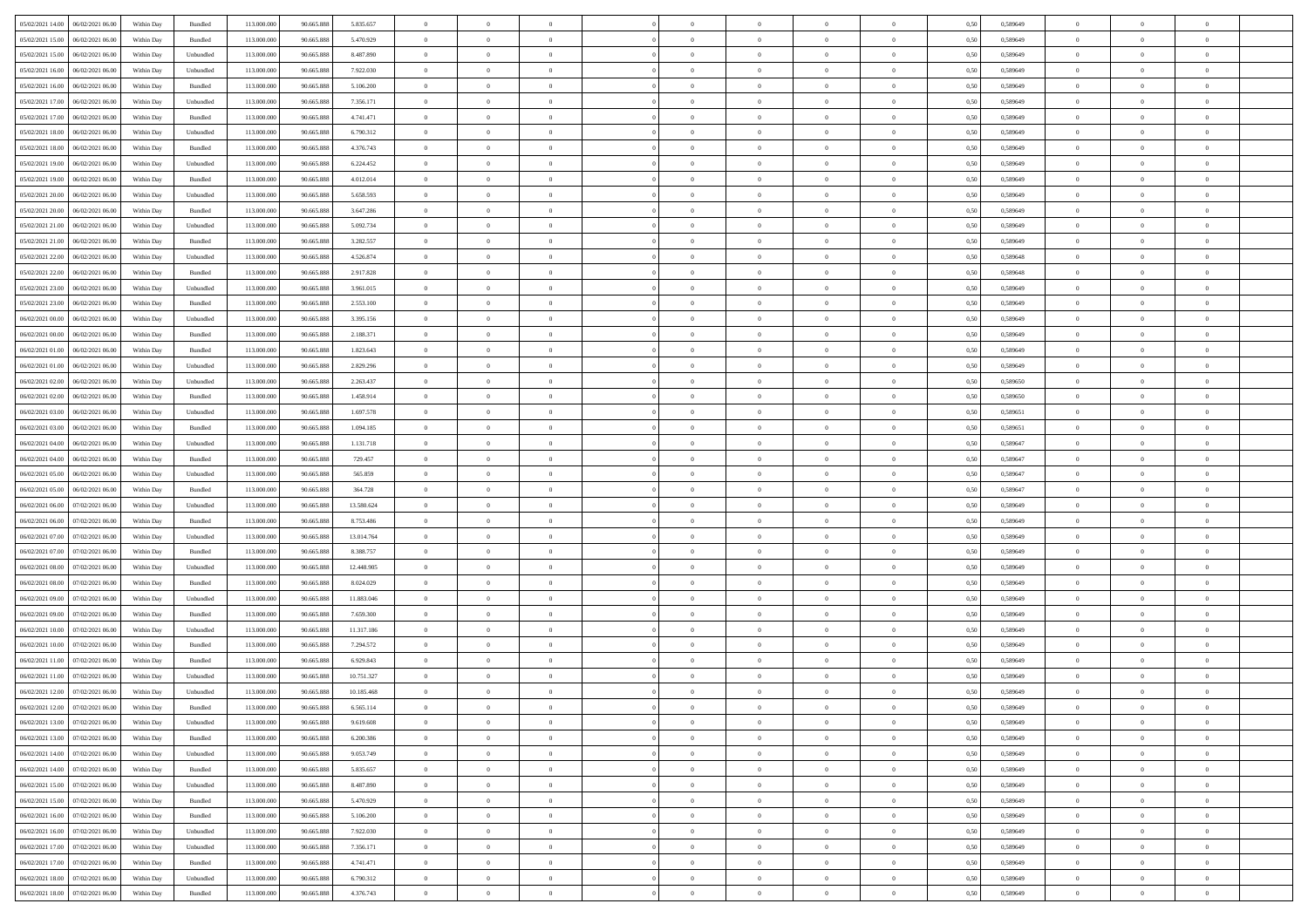| 05/02/2021 14:00   06/02/2021 06:00   |            |           | 113.000.000 |            |            | $\overline{0}$ | $\theta$       |                | $\overline{0}$ | $\theta$       |                | $\theta$       |      | 0,589649 | $\theta$       | $\theta$       | $\overline{0}$ |  |
|---------------------------------------|------------|-----------|-------------|------------|------------|----------------|----------------|----------------|----------------|----------------|----------------|----------------|------|----------|----------------|----------------|----------------|--|
|                                       | Within Day | Bundled   |             | 90.665.888 | 5.835.657  |                |                |                |                |                |                |                | 0,50 |          |                |                |                |  |
| 05/02/2021 15:00<br>06/02/2021 06.00  | Within Day | Bundled   | 113.000.00  | 90.665.88  | 5.470.929  | $\bf{0}$       | $\bf{0}$       | $\bf{0}$       | $\overline{0}$ | $\overline{0}$ | $\overline{0}$ | $\bf{0}$       | 0,50 | 0,589649 | $\,$ 0 $\,$    | $\bf{0}$       | $\overline{0}$ |  |
| 05/02/2021 15:00<br>06/02/2021 06:00  | Within Day | Unbundled | 113,000,000 | 90.665.888 | 8.487.890  | $\overline{0}$ | $\bf{0}$       | $\overline{0}$ | $\bf{0}$       | $\bf{0}$       | $\overline{0}$ | $\bf{0}$       | 0.50 | 0.589649 | $\bf{0}$       | $\overline{0}$ | $\overline{0}$ |  |
| 05/02/2021 16:00<br>06/02/2021 06:00  | Within Day | Unbundled | 113.000.000 | 90.665.888 | 7.922.030  | $\overline{0}$ | $\overline{0}$ | $\overline{0}$ | $\theta$       | $\theta$       | $\overline{0}$ | $\bf{0}$       | 0,50 | 0,589649 | $\theta$       | $\theta$       | $\overline{0}$ |  |
| 05/02/2021 16:00<br>06/02/2021 06.00  | Within Day | Bundled   | 113.000.00  | 90.665.888 | 5.106.200  | $\overline{0}$ | $\overline{0}$ | $\bf{0}$       | $\overline{0}$ | $\theta$       | $\overline{0}$ | $\bf{0}$       | 0,50 | 0,589649 | $\,$ 0 $\,$    | $\bf{0}$       | $\overline{0}$ |  |
| 05/02/2021 17:00<br>06/02/2021 06:00  |            | Unbundled | 113,000,000 | 90.665.888 | 7.356.171  | $\overline{0}$ | $\overline{0}$ | $\overline{0}$ | $\bf{0}$       | $\overline{0}$ | $\theta$       | $\bf{0}$       | 0.50 | 0.589649 | $\,$ 0 $\,$    | $\theta$       | $\overline{0}$ |  |
|                                       | Within Day |           |             |            |            |                |                |                |                |                |                |                |      |          |                |                |                |  |
| 05/02/2021 17:00<br>06/02/2021 06:00  | Within Day | Bundled   | 113.000.000 | 90.665.888 | 4.741.471  | $\overline{0}$ | $\overline{0}$ | $\overline{0}$ | $\overline{0}$ | $\overline{0}$ | $\overline{0}$ | $\bf{0}$       | 0,50 | 0,589649 | $\theta$       | $\theta$       | $\overline{0}$ |  |
| 05/02/2021 18:00<br>06/02/2021 06.00  | Within Day | Unbundled | 113.000.00  | 90.665.888 | 6.790.312  | $\overline{0}$ | $\overline{0}$ | $\bf{0}$       | $\overline{0}$ | $\overline{0}$ | $\overline{0}$ | $\bf{0}$       | 0,50 | 0,589649 | $\,$ 0 $\,$    | $\bf{0}$       | $\overline{0}$ |  |
| 05/02/2021 18:00<br>06/02/2021 06:00  | Within Day | Bundled   | 113,000,000 | 90.665.888 | 4.376.743  | $\overline{0}$ | $\bf{0}$       | $\overline{0}$ | $\bf{0}$       | $\overline{0}$ | $\overline{0}$ | $\bf{0}$       | 0.50 | 0.589649 | $\bf{0}$       | $\overline{0}$ | $\overline{0}$ |  |
| 05/02/2021 19:00<br>06/02/2021 06:00  | Within Day | Unbundled | 113.000.000 | 90.665.888 | 6.224.452  | $\overline{0}$ | $\bf{0}$       | $\overline{0}$ | $\overline{0}$ | $\overline{0}$ | $\overline{0}$ | $\bf{0}$       | 0,50 | 0,589649 | $\,$ 0 $\,$    | $\bf{0}$       | $\overline{0}$ |  |
| 05/02/2021 19:00<br>06/02/2021 06.00  | Within Day | Bundled   | 113.000.00  | 90.665.888 | 4.012.014  | $\bf{0}$       | $\overline{0}$ | $\bf{0}$       | $\bf{0}$       | $\bf{0}$       | $\overline{0}$ | $\bf{0}$       | 0,50 | 0,589649 | $\,$ 0 $\,$    | $\bf{0}$       | $\overline{0}$ |  |
| 05/02/2021 20:00<br>06/02/2021 06:00  | Within Day | Unbundled | 113,000,000 | 90.665.888 | 5.658.593  | $\overline{0}$ | $\bf{0}$       | $\overline{0}$ | $\overline{0}$ | $\bf{0}$       | $\overline{0}$ | $\bf{0}$       | 0.50 | 0.589649 | $\bf{0}$       | $\overline{0}$ | $\bf{0}$       |  |
| 05/02/2021 20:00<br>06/02/2021 06:00  | Within Day | Bundled   | 113.000.000 | 90.665.888 | 3.647.286  | $\overline{0}$ | $\overline{0}$ | $\overline{0}$ | $\theta$       | $\theta$       | $\overline{0}$ | $\bf{0}$       | 0,50 | 0,589649 | $\theta$       | $\theta$       | $\overline{0}$ |  |
|                                       |            |           |             |            |            |                |                |                |                |                |                |                |      |          |                |                |                |  |
| 05/02/2021 21:00<br>06/02/2021 06.00  | Within Day | Unbundled | 113.000.00  | 90.665.888 | 5.092.734  | $\bf{0}$       | $\overline{0}$ | $\bf{0}$       | $\overline{0}$ | $\theta$       | $\overline{0}$ | $\bf{0}$       | 0,50 | 0,589649 | $\,$ 0 $\,$    | $\bf{0}$       | $\overline{0}$ |  |
| 05/02/2021 21:00<br>06/02/2021 06:00  | Within Day | Bundled   | 113,000,000 | 90.665.888 | 3.282.557  | $\overline{0}$ | $\overline{0}$ | $\overline{0}$ | $\bf{0}$       | $\overline{0}$ | $\theta$       | $\bf{0}$       | 0.50 | 0.589649 | $\theta$       | $\theta$       | $\overline{0}$ |  |
| 05/02/2021 22:00<br>06/02/2021 06:00  | Within Day | Unbundled | 113.000.000 | 90.665.888 | 4.526.874  | $\overline{0}$ | $\overline{0}$ | $\overline{0}$ | $\overline{0}$ | $\overline{0}$ | $\overline{0}$ | $\bf{0}$       | 0,50 | 0,589648 | $\theta$       | $\theta$       | $\overline{0}$ |  |
| 05/02/2021 22:00<br>06/02/2021 06.00  | Within Day | Bundled   | 113.000.00  | 90.665.888 | 2.917.828  | $\bf{0}$       | $\overline{0}$ | $\bf{0}$       | $\overline{0}$ | $\bf{0}$       | $\overline{0}$ | $\bf{0}$       | 0,50 | 0,589648 | $\,$ 0 $\,$    | $\bf{0}$       | $\overline{0}$ |  |
| 05/02/2021 23:00<br>06/02/2021 06:00  | Within Day | Unbundled | 113,000,000 | 90.665.888 | 3.961.015  | $\overline{0}$ | $\bf{0}$       | $\overline{0}$ | $\bf{0}$       | $\overline{0}$ | $\overline{0}$ | $\bf{0}$       | 0.50 | 0.589649 | $\bf{0}$       | $\overline{0}$ | $\overline{0}$ |  |
| 05/02/2021 23:00<br>06/02/2021 06:00  | Within Day | Bundled   | 113.000.000 | 90.665.888 | 2.553.100  | $\overline{0}$ | $\bf{0}$       | $\overline{0}$ | $\overline{0}$ | $\overline{0}$ | $\overline{0}$ | $\bf{0}$       | 0,50 | 0,589649 | $\,$ 0 $\,$    | $\theta$       | $\overline{0}$ |  |
| 06/02/2021 00:00<br>06/02/2021 06.00  | Within Day | Unbundled | 113.000.00  | 90.665.888 | 3.395.156  | $\bf{0}$       | $\bf{0}$       | $\bf{0}$       | $\bf{0}$       | $\overline{0}$ | $\overline{0}$ | $\bf{0}$       | 0,50 | 0,589649 | $\,$ 0 $\,$    | $\bf{0}$       | $\overline{0}$ |  |
| 06/02/2021 00:00                      |            | Bundled   | 113,000,000 | 90.665.888 |            |                | $\bf{0}$       | $\overline{0}$ |                | $\bf{0}$       | $\overline{0}$ |                | 0.50 | 0.589649 | $\bf{0}$       | $\overline{0}$ | $\bf{0}$       |  |
| 06/02/2021 06:00                      | Within Day |           |             |            | 2.188.371  | $\overline{0}$ |                |                | $\bf{0}$       |                |                | $\bf{0}$       |      |          |                |                |                |  |
| 06/02/2021 01:00<br>06/02/2021 06:00  | Within Day | Bundled   | 113.000.000 | 90.665.888 | 1.823.643  | $\overline{0}$ | $\overline{0}$ | $\overline{0}$ | $\theta$       | $\theta$       | $\overline{0}$ | $\bf{0}$       | 0,50 | 0,589649 | $\theta$       | $\theta$       | $\overline{0}$ |  |
| 06/02/2021 01:00<br>06/02/2021 06.00  | Within Day | Unbundled | 113.000.00  | 90.665.888 | 2.829.296  | $\bf{0}$       | $\overline{0}$ | $\bf{0}$       | $\overline{0}$ | $\overline{0}$ | $\overline{0}$ | $\bf{0}$       | 0,50 | 0,589649 | $\,$ 0 $\,$    | $\bf{0}$       | $\overline{0}$ |  |
| 06/02/2021 02:00<br>06/02/2021 06:00  | Within Day | Unbundled | 113,000,000 | 90.665.888 | 2.263.437  | $\overline{0}$ | $\overline{0}$ | $\overline{0}$ | $\overline{0}$ | $\overline{0}$ | $\theta$       | $\bf{0}$       | 0.50 | 0.589650 | $\,$ 0 $\,$    | $\theta$       | $\overline{0}$ |  |
| 06/02/2021 02:00<br>06/02/2021 06:00  | Within Day | Bundled   | 113.000.000 | 90.665.888 | 1.458.914  | $\overline{0}$ | $\overline{0}$ | $\overline{0}$ | $\overline{0}$ | $\overline{0}$ | $\overline{0}$ | $\bf{0}$       | 0,50 | 0,589650 | $\theta$       | $\theta$       | $\overline{0}$ |  |
| 06/02/2021 03:00<br>06/02/2021 06.00  | Within Day | Unbundled | 113.000.00  | 90.665.888 | 1.697.578  | $\bf{0}$       | $\overline{0}$ | $\bf{0}$       | $\overline{0}$ | $\theta$       | $\overline{0}$ | $\bf{0}$       | 0,50 | 0,589651 | $\,$ 0 $\,$    | $\bf{0}$       | $\overline{0}$ |  |
| 06/02/2021 03:00<br>06/02/2021 06:00  | Within Day | Bundled   | 113,000,000 | 90.665.888 | 1.094.185  | $\overline{0}$ | $\bf{0}$       | $\overline{0}$ | $\bf{0}$       | $\overline{0}$ | $\overline{0}$ | $\bf{0}$       | 0.50 | 0.589651 | $\bf{0}$       | $\overline{0}$ | $\overline{0}$ |  |
| 06/02/2021 04:00<br>06/02/2021 06:00  | Within Day | Unbundled | 113.000.000 | 90.665.888 | 1.131.718  | $\overline{0}$ | $\overline{0}$ | $\overline{0}$ | $\overline{0}$ | $\overline{0}$ | $\overline{0}$ | $\bf{0}$       | 0,50 | 0,589647 | $\theta$       | $\theta$       | $\overline{0}$ |  |
|                                       |            |           |             |            |            |                |                |                |                |                |                |                |      |          |                |                |                |  |
| 06/02/2021 04:00<br>06/02/2021 06.00  | Within Day | Bundled   | 113.000.00  | 90.665.888 | 729.457    | $\bf{0}$       | $\bf{0}$       | $\bf{0}$       | $\bf{0}$       | $\overline{0}$ | $\overline{0}$ | $\bf{0}$       | 0,50 | 0,589647 | $\,$ 0 $\,$    | $\bf{0}$       | $\overline{0}$ |  |
| 06/02/2021 05:00<br>06/02/2021 06:00  | Within Day | Unbundled | 113,000,000 | 90.665.888 | 565,859    | $\overline{0}$ | $\bf{0}$       | $\overline{0}$ | $\bf{0}$       | $\bf{0}$       | $\overline{0}$ | $\bf{0}$       | 0.50 | 0.589647 | $\bf{0}$       | $\overline{0}$ | $\bf{0}$       |  |
| 06/02/2021 05:00<br>06/02/2021 06:00  | Within Day | Bundled   | 113.000.000 | 90.665.888 | 364,728    | $\overline{0}$ | $\overline{0}$ | $\overline{0}$ | $\overline{0}$ | $\overline{0}$ | $\overline{0}$ | $\bf{0}$       | 0.50 | 0.589647 | $\theta$       | $\theta$       | $\overline{0}$ |  |
| 06/02/2021 06:00<br>07/02/2021 06.00  | Within Day | Unbundled | 113.000.00  | 90.665.888 | 13.580.624 | $\bf{0}$       | $\overline{0}$ | $\bf{0}$       | $\bf{0}$       | $\overline{0}$ | $\overline{0}$ | $\bf{0}$       | 0,50 | 0,589649 | $\,$ 0 $\,$    | $\bf{0}$       | $\overline{0}$ |  |
| 06/02/2021 06:00<br>07/02/2021 06:00  | Within Day | Bundled   | 113,000,000 | 90.665.888 | 8.753.486  | $\overline{0}$ | $\bf{0}$       | $\overline{0}$ | $\bf{0}$       | $\overline{0}$ | $\Omega$       | $\bf{0}$       | 0.50 | 0.589649 | $\,$ 0 $\,$    | $\theta$       | $\overline{0}$ |  |
| 06/02/2021 07:00<br>07/02/2021 06:00  | Within Dav | Unbundled | 113.000.000 | 90.665.888 | 13.014.764 | $\overline{0}$ | $\overline{0}$ | $\overline{0}$ | $\overline{0}$ | $\overline{0}$ | $\overline{0}$ | $\bf{0}$       | 0.50 | 0.589649 | $\theta$       | $\theta$       | $\overline{0}$ |  |
| 06/02/2021 07:00<br>07/02/2021 06.00  | Within Day | Bundled   | 113.000.00  | 90.665.888 | 8.388.757  | $\bf{0}$       | $\bf{0}$       | $\bf{0}$       | $\overline{0}$ | $\overline{0}$ | $\overline{0}$ | $\bf{0}$       | 0,50 | 0,589649 | $\,$ 0 $\,$    | $\bf{0}$       | $\overline{0}$ |  |
| 06/02/2021 08:00<br>07/02/2021 06:00  | Within Day | Unbundled | 113,000,000 | 90.665.888 | 12.448.905 | $\overline{0}$ | $\bf{0}$       | $\overline{0}$ | $\bf{0}$       | $\overline{0}$ | $\overline{0}$ | $\bf{0}$       | 0.50 | 0.589649 | $\bf{0}$       | $\overline{0}$ | $\overline{0}$ |  |
| 06/02/2021 08:00<br>07/02/2021 06:00  | Within Dav | Bundled   | 113.000.000 | 90.665.888 | 8.024.029  | $\overline{0}$ | $\overline{0}$ | $\overline{0}$ | $\overline{0}$ | $\overline{0}$ | $\overline{0}$ | $\bf{0}$       | 0.50 | 0.589649 | $\theta$       | $\theta$       | $\overline{0}$ |  |
|                                       |            |           |             |            |            |                |                |                |                |                |                |                |      |          |                |                |                |  |
| 06/02/2021 09:00<br>07/02/2021 06.00  | Within Day | Unbundled | 113.000.00  | 90.665.888 | 11.883.046 | $\bf{0}$       | $\bf{0}$       | $\bf{0}$       | $\bf{0}$       | $\overline{0}$ | $\overline{0}$ | $\bf{0}$       | 0,50 | 0,589649 | $\,$ 0 $\,$    | $\bf{0}$       | $\overline{0}$ |  |
| 06/02/2021 09:00<br>07/02/2021 06:00  | Within Day | Bundled   | 113,000,000 | 90.665.888 | 7.659.300  | $\overline{0}$ | $\bf{0}$       | $\overline{0}$ | $\overline{0}$ | $\bf{0}$       | $\overline{0}$ | $\bf{0}$       | 0.50 | 0.589649 | $\bf{0}$       | $\overline{0}$ | $\bf{0}$       |  |
| 06/02/2021 10:00<br>07/02/2021 06:00  | Within Dav | Unbundled | 113.000.000 | 90.665.888 | 11.317.186 | $\overline{0}$ | $\overline{0}$ | $\overline{0}$ | $\overline{0}$ | $\overline{0}$ | $\overline{0}$ | $\bf{0}$       | 0.50 | 0.589649 | $\theta$       | $\theta$       | $\overline{0}$ |  |
| 06/02/2021 10:00<br>07/02/2021 06.00  | Within Day | Bundled   | 113.000.00  | 90.665.888 | 7.294.572  | $\bf{0}$       | $\bf{0}$       | $\bf{0}$       | $\bf{0}$       | $\overline{0}$ | $\overline{0}$ | $\bf{0}$       | 0,50 | 0,589649 | $\,$ 0 $\,$    | $\bf{0}$       | $\overline{0}$ |  |
| 06/02/2021 11:00<br>07/02/2021 06:00  | Within Day | Bundled   | 113,000,000 | 90.665.888 | 6.929.843  | $\overline{0}$ | $\overline{0}$ | $\overline{0}$ | $\overline{0}$ | $\overline{0}$ | $\Omega$       | $\bf{0}$       | 0.50 | 0.589649 | $\bf{0}$       | $\theta$       | $\overline{0}$ |  |
| 06/02/2021 11:00<br>07/02/2021 06:00  | Within Dav | Unbundled | 113.000.000 | 90.665.888 | 10.751.327 | $\overline{0}$ | $\overline{0}$ | $\Omega$       | $\overline{0}$ | $\theta$       | $\Omega$       | $\overline{0}$ | 0.5( | 0.589649 | $\theta$       | $\theta$       | $\overline{0}$ |  |
| 06/02/2021 12:00<br>07/02/2021 06:00  | Within Day | Unbundled | 113.000.000 | 90.665.888 | 10.185.468 | $\bf{0}$       | $\bf{0}$       | $\bf{0}$       | $\bf{0}$       | $\bf{0}$       | $\overline{0}$ | $\bf{0}$       | 0,50 | 0,589649 | $\,$ 0 $\,$    | $\bf{0}$       | $\overline{0}$ |  |
| $06/02/2021$ 12.00 $07/02/2021$ 06.00 | Within Day | Bundled   | 113.000.000 | 90.665.888 | 6.565.114  | $\bf{0}$       | $\Omega$       |                | $\Omega$       |                |                |                | 0,50 | 0.589649 | $\bf{0}$       | $\overline{0}$ |                |  |
| 06/02/2021 13:00 07/02/2021 06:00     | Within Day | Unbundled | 113.000.000 | 90.665.888 | 9.619.608  | $\overline{0}$ | $\overline{0}$ | $\Omega$       | $\theta$       | $\overline{0}$ | $\overline{0}$ | $\bf{0}$       | 0,50 | 0,589649 | $\theta$       | $\theta$       | $\overline{0}$ |  |
|                                       |            |           |             |            |            |                |                |                |                |                |                |                |      |          |                |                |                |  |
| 06/02/2021 13:00<br>07/02/2021 06:00  | Within Day | Bundled   | 113.000.00  | 90.665.888 | 6.200.386  | $\overline{0}$ | $\bf{0}$       | $\overline{0}$ | $\overline{0}$ | $\bf{0}$       | $\overline{0}$ | $\bf{0}$       | 0,50 | 0,589649 | $\bf{0}$       | $\overline{0}$ | $\bf{0}$       |  |
| 06/02/2021 14:00 07/02/2021 06:00     | Within Day | Unbundled | 113,000,000 | 90.665.888 | 9.053.749  | $\overline{0}$ | $\bf{0}$       | $\overline{0}$ | $\overline{0}$ | $\mathbf{0}$   | $\overline{0}$ | $\,$ 0 $\,$    | 0.50 | 0.589649 | $\overline{0}$ | $\bf{0}$       | $\bf{0}$       |  |
| 06/02/2021 14:00 07/02/2021 06:00     | Within Dav | Bundled   | 113.000.000 | 90.665.888 | 5.835.657  | $\overline{0}$ | $\overline{0}$ | $\overline{0}$ | $\overline{0}$ | $\overline{0}$ | $\overline{0}$ | $\bf{0}$       | 0,50 | 0.589649 | $\theta$       | $\theta$       | $\overline{0}$ |  |
| 06/02/2021 15:00<br>07/02/2021 06:00  | Within Day | Unbundled | 113.000.000 | 90.665.888 | 8.487.890  | $\overline{0}$ | $\bf{0}$       | $\overline{0}$ | $\overline{0}$ | $\bf{0}$       | $\overline{0}$ | $\bf{0}$       | 0,50 | 0,589649 | $\bf{0}$       | $\overline{0}$ | $\overline{0}$ |  |
| 07/02/2021 06:00<br>06/02/2021 15:00  | Within Day | Bundled   | 113,000,000 | 90.665.888 | 5.470.929  | $\overline{0}$ | $\bf{0}$       | $\overline{0}$ | $\overline{0}$ | $\overline{0}$ | $\overline{0}$ | $\bf{0}$       | 0.50 | 0.589649 | $\,$ 0 $\,$    | $\overline{0}$ | $\,$ 0         |  |
| 06/02/2021 16:00 07/02/2021 06:00     | Within Dav | Bundled   | 113.000.000 | 90.665.888 | 5.106.200  | $\overline{0}$ | $\overline{0}$ | $\overline{0}$ | $\overline{0}$ | $\overline{0}$ | $\overline{0}$ | $\bf{0}$       | 0,50 | 0.589649 | $\overline{0}$ | $\theta$       | $\overline{0}$ |  |
| 06/02/2021 16:00<br>07/02/2021 06:00  | Within Day | Unbundled | 113.000.00  | 90.665.888 | 7.922.030  | $\overline{0}$ | $\overline{0}$ | $\overline{0}$ | $\overline{0}$ | $\overline{0}$ | $\overline{0}$ | $\bf{0}$       | 0,50 | 0,589649 | $\bf{0}$       | $\overline{0}$ | $\,$ 0         |  |
|                                       |            |           |             |            |            |                |                |                |                |                |                |                |      |          |                |                |                |  |
| 06/02/2021 17:00 07/02/2021 06:00     | Within Day | Unbundled | 113,000,000 | 90.665.888 | 7.356.171  | $\overline{0}$ | $\overline{0}$ | $\overline{0}$ | $\overline{0}$ | $\overline{0}$ | $\overline{0}$ | $\bf{0}$       | 0.50 | 0.589649 | $\mathbf{0}$   | $\bf{0}$       | $\,$ 0         |  |
| 06/02/2021 17:00 07/02/2021 06:00     | Within Dav | Bundled   | 113.000.000 | 90.665.888 | 4.741.471  | $\overline{0}$ | $\overline{0}$ | $\overline{0}$ | $\overline{0}$ | $\overline{0}$ | $\overline{0}$ | $\bf{0}$       | 0,50 | 0.589649 | $\overline{0}$ | $\theta$       | $\overline{0}$ |  |
| 06/02/2021 18:00<br>07/02/2021 06:00  | Within Day | Unbundled | 113.000.00  | 90.665.888 | 6.790.312  | $\overline{0}$ | $\bf{0}$       | $\overline{0}$ | $\bf{0}$       | $\overline{0}$ | $\bf{0}$       | $\bf{0}$       | 0,50 | 0,589649 | $\bf{0}$       | $\,$ 0 $\,$    | $\bf{0}$       |  |
| 06/02/2021 18:00 07/02/2021 06:00     | Within Day | Bundled   | 113.000.000 | 90.665.888 | 4.376.743  | $\overline{0}$ | $\bf{0}$       | $\overline{0}$ | $\overline{0}$ | $\,$ 0 $\,$    | $\overline{0}$ | $\bf{0}$       | 0,50 | 0,589649 | $\overline{0}$ | $\,$ 0 $\,$    | $\,$ 0 $\,$    |  |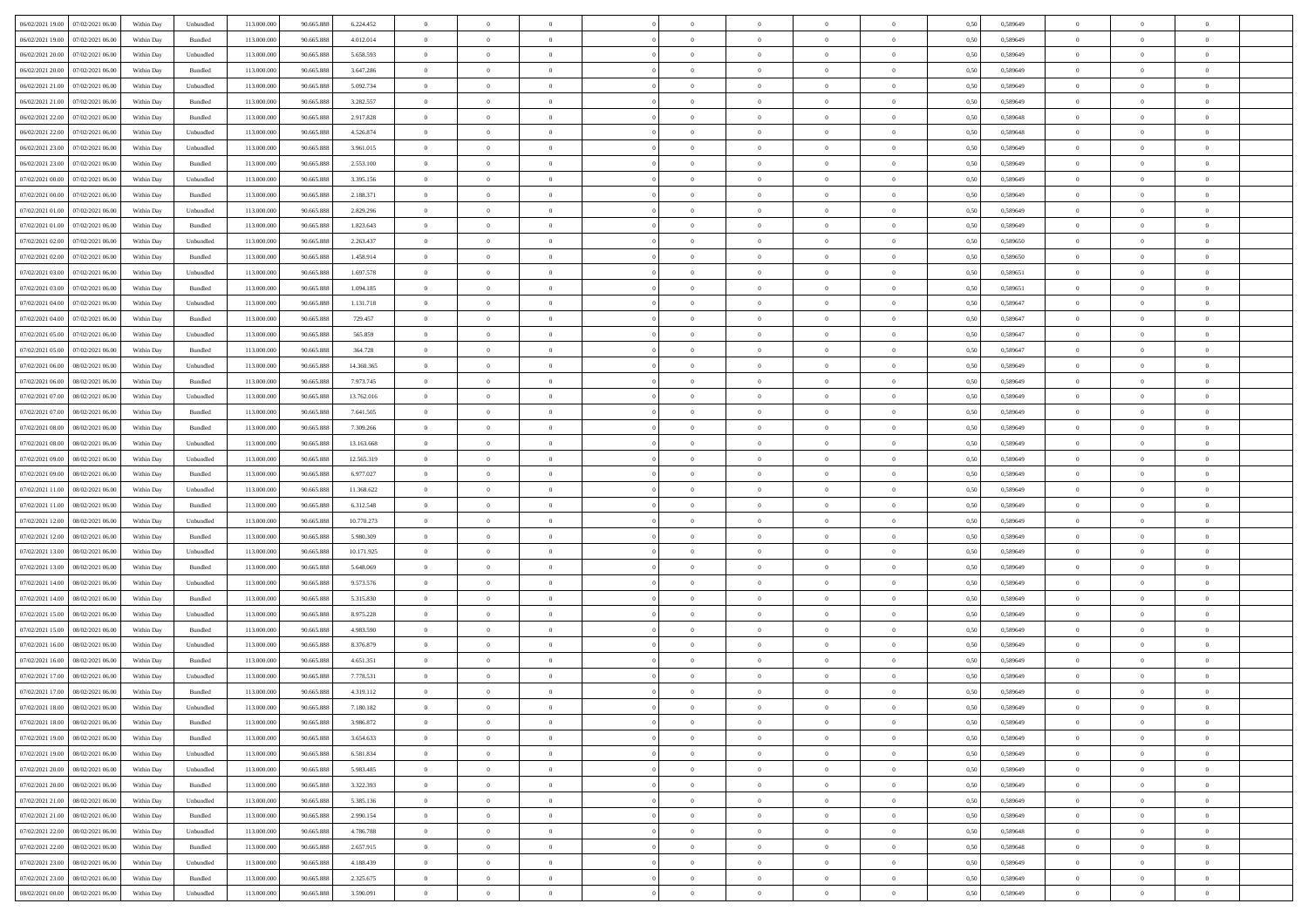| 06/02/2021 19:00 07/02/2021 06:00            | Within Day | Unbundled                   | 113.000.000 | 90.665.888 | 6.224.452  | $\overline{0}$ | $\overline{0}$ |                | $\overline{0}$ | $\theta$       |                | $\theta$       | 0,50 | 0,589649 | $\theta$       | $\theta$       | $\overline{0}$ |  |
|----------------------------------------------|------------|-----------------------------|-------------|------------|------------|----------------|----------------|----------------|----------------|----------------|----------------|----------------|------|----------|----------------|----------------|----------------|--|
| 06/02/2021 19:00<br>07/02/2021 06:00         | Within Day | Bundled                     | 113.000.00  | 90.665.888 | 4.012.014  | $\bf{0}$       | $\bf{0}$       | $\bf{0}$       | $\bf{0}$       | $\overline{0}$ | $\overline{0}$ | $\bf{0}$       | 0,50 | 0,589649 | $\,$ 0 $\,$    | $\bf{0}$       | $\overline{0}$ |  |
| 06/02/2021 20:00<br>07/02/2021 06:00         | Within Day | Unbundled                   | 113,000,000 | 90.665.888 | 5.658.593  | $\overline{0}$ | $\bf{0}$       | $\overline{0}$ | $\bf{0}$       | $\bf{0}$       | $\overline{0}$ | $\bf{0}$       | 0.50 | 0.589649 | $\bf{0}$       | $\overline{0}$ | $\overline{0}$ |  |
| 06/02/2021 20:00<br>07/02/2021 06:00         | Within Day | Bundled                     | 113.000.000 | 90.665.888 | 3.647.286  | $\overline{0}$ | $\overline{0}$ | $\overline{0}$ | $\overline{0}$ | $\theta$       | $\overline{0}$ | $\bf{0}$       | 0,50 | 0,589649 | $\theta$       | $\theta$       | $\overline{0}$ |  |
| 06/02/2021 21:00<br>07/02/2021 06.00         | Within Day | Unbundled                   | 113.000.00  | 90.665.888 | 5.092.734  | $\bf{0}$       | $\overline{0}$ | $\bf{0}$       | $\overline{0}$ | $\theta$       | $\overline{0}$ | $\bf{0}$       | 0,50 | 0,589649 | $\,$ 0 $\,$    | $\bf{0}$       | $\overline{0}$ |  |
|                                              |            |                             |             |            |            |                |                |                |                |                |                |                |      |          |                |                |                |  |
| 06/02/2021 21:00<br>07/02/2021 06:00         | Within Day | Bundled                     | 113,000,000 | 90.665.888 | 3.282.557  | $\overline{0}$ | $\bf{0}$       | $\overline{0}$ | $\bf{0}$       | $\overline{0}$ | $\theta$       | $\bf{0}$       | 0.50 | 0.589649 | $\,$ 0 $\,$    | $\theta$       | $\overline{0}$ |  |
| 06/02/2021 22:00<br>07/02/2021 06:00         | Within Day | Bundled                     | 113.000.000 | 90.665.888 | 2.917.828  | $\overline{0}$ | $\overline{0}$ | $\overline{0}$ | $\overline{0}$ | $\overline{0}$ | $\overline{0}$ | $\bf{0}$       | 0,50 | 0,589648 | $\theta$       | $\theta$       | $\overline{0}$ |  |
| 06/02/2021 22:00<br>07/02/2021 06.00         | Within Day | Unbundled                   | 113.000.00  | 90.665.888 | 4.526.874  | $\bf{0}$       | $\bf{0}$       | $\bf{0}$       | $\overline{0}$ | $\overline{0}$ | $\overline{0}$ | $\bf{0}$       | 0,50 | 0,589648 | $\,$ 0 $\,$    | $\bf{0}$       | $\overline{0}$ |  |
| 06/02/2021 23:00<br>07/02/2021 06:00         | Within Day | Unbundled                   | 113,000,000 | 90.665.888 | 3.961.015  | $\overline{0}$ | $\bf{0}$       | $\overline{0}$ | $\bf{0}$       | $\overline{0}$ | $\overline{0}$ | $\bf{0}$       | 0.50 | 0.589649 | $\bf{0}$       | $\overline{0}$ | $\overline{0}$ |  |
| 06/02/2021 23:00<br>07/02/2021 06:00         | Within Day | Bundled                     | 113.000.000 | 90.665.888 | 2.553.100  | $\overline{0}$ | $\bf{0}$       | $\overline{0}$ | $\overline{0}$ | $\overline{0}$ | $\overline{0}$ | $\bf{0}$       | 0,50 | 0,589649 | $\,$ 0 $\,$    | $\,$ 0 $\,$    | $\overline{0}$ |  |
| 07/02/2021 00:00<br>07/02/2021 06.00         | Within Day | Unbundled                   | 113.000.00  | 90.665.888 | 3.395.156  | $\bf{0}$       | $\bf{0}$       | $\bf{0}$       | $\bf{0}$       | $\overline{0}$ | $\overline{0}$ | $\bf{0}$       | 0,50 | 0,589649 | $\,$ 0 $\,$    | $\bf{0}$       | $\overline{0}$ |  |
| 07/02/2021 00:00<br>07/02/2021 06:00         | Within Day | Bundled                     | 113,000,000 | 90.665.888 | 2.188.371  | $\overline{0}$ | $\bf{0}$       | $\overline{0}$ | $\overline{0}$ | $\bf{0}$       | $\overline{0}$ | $\bf{0}$       | 0.50 | 0.589649 | $\bf{0}$       | $\,$ 0 $\,$    | $\,$ 0         |  |
|                                              |            |                             |             |            |            | $\overline{0}$ | $\overline{0}$ | $\overline{0}$ | $\theta$       | $\theta$       | $\overline{0}$ |                |      |          | $\,$ 0 $\,$    | $\theta$       |                |  |
| 07/02/2021 01:00<br>07/02/2021 06:00         | Within Day | Unbundled                   | 113.000.000 | 90.665.888 | 2.829.296  |                |                |                |                |                |                | $\bf{0}$       | 0,50 | 0,589649 |                |                | $\overline{0}$ |  |
| 07/02/2021 01:00<br>07/02/2021 06.00         | Within Day | Bundled                     | 113.000.00  | 90.665.888 | 1.823.643  | $\bf{0}$       | $\overline{0}$ | $\bf{0}$       | $\overline{0}$ | $\bf{0}$       | $\overline{0}$ | $\bf{0}$       | 0,50 | 0,589649 | $\,$ 0 $\,$    | $\bf{0}$       | $\overline{0}$ |  |
| 07/02/2021 02:00<br>07/02/2021 06:00         | Within Day | Unbundled                   | 113,000,000 | 90.665.888 | 2.263.437  | $\overline{0}$ | $\bf{0}$       | $\overline{0}$ | $\bf{0}$       | $\overline{0}$ | $\theta$       | $\bf{0}$       | 0.50 | 0.589650 | $\,$ 0 $\,$    | $\theta$       | $\overline{0}$ |  |
| 07/02/2021 02:00<br>07/02/2021 06:00         | Within Day | Bundled                     | 113.000.000 | 90.665.888 | 1.458.914  | $\overline{0}$ | $\overline{0}$ | $\overline{0}$ | $\overline{0}$ | $\overline{0}$ | $\overline{0}$ | $\bf{0}$       | 0,50 | 0,589650 | $\theta$       | $\theta$       | $\overline{0}$ |  |
| 07/02/2021 03:00<br>07/02/2021 06.00         | Within Day | Unbundled                   | 113.000.00  | 90.665.888 | 1.697.578  | $\bf{0}$       | $\bf{0}$       | $\bf{0}$       | $\overline{0}$ | $\overline{0}$ | $\overline{0}$ | $\bf{0}$       | 0,50 | 0,589651 | $\,$ 0 $\,$    | $\bf{0}$       | $\overline{0}$ |  |
| 07/02/2021 03:00<br>07/02/2021 06:00         | Within Day | Bundled                     | 113,000,000 | 90.665.888 | 1.094.185  | $\overline{0}$ | $\bf{0}$       | $\overline{0}$ | $\bf{0}$       | $\overline{0}$ | $\overline{0}$ | $\bf{0}$       | 0.50 | 0.589651 | $\bf{0}$       | $\overline{0}$ | $\overline{0}$ |  |
| 07/02/2021 04:00<br>07/02/2021 06:00         | Within Day | Unbundled                   | 113.000.000 | 90.665.888 | 1.131.718  | $\overline{0}$ | $\bf{0}$       | $\overline{0}$ | $\overline{0}$ | $\overline{0}$ | $\overline{0}$ | $\bf{0}$       | 0,50 | 0,589647 | $\,$ 0 $\,$    | $\bf{0}$       | $\overline{0}$ |  |
| 07/02/2021 04:00<br>07/02/2021 06.00         | Within Day | Bundled                     | 113.000.00  | 90.665.888 | 729.457    | $\bf{0}$       | $\bf{0}$       | $\bf{0}$       | $\bf{0}$       | $\overline{0}$ | $\overline{0}$ | $\bf{0}$       | 0,50 | 0,589647 | $\,$ 0 $\,$    | $\bf{0}$       | $\overline{0}$ |  |
|                                              |            |                             |             |            |            |                |                |                |                |                |                |                |      |          |                |                |                |  |
| 07/02/2021 05:00<br>07/02/2021 06:00         | Within Day | Unbundled                   | 113,000,000 | 90.665.888 | 565,859    | $\overline{0}$ | $\bf{0}$       | $\overline{0}$ | $\overline{0}$ | $\bf{0}$       | $\overline{0}$ | $\bf{0}$       | 0.50 | 0.589647 | $\bf{0}$       | $\overline{0}$ | $\,$ 0         |  |
| 07/02/2021 05:00<br>07/02/2021 06:00         | Within Day | Bundled                     | 113.000.000 | 90.665.888 | 364.728    | $\overline{0}$ | $\overline{0}$ | $\overline{0}$ | $\theta$       | $\theta$       | $\overline{0}$ | $\bf{0}$       | 0,50 | 0,589647 | $\theta$       | $\theta$       | $\overline{0}$ |  |
| 07/02/2021 06:00<br>08/02/2021 06:00         | Within Day | Unbundled                   | 113.000.00  | 90.665.888 | 14.360.365 | $\bf{0}$       | $\bf{0}$       | $\bf{0}$       | $\bf{0}$       | $\overline{0}$ | $\overline{0}$ | $\bf{0}$       | 0,50 | 0,589649 | $\,$ 0 $\,$    | $\bf{0}$       | $\overline{0}$ |  |
| 07/02/2021 06:00<br>08/02/2021 06:00         | Within Day | Bundled                     | 113,000,000 | 90.665.888 | 7.973.745  | $\overline{0}$ | $\bf{0}$       | $\overline{0}$ | $\bf{0}$       | $\overline{0}$ | $\theta$       | $\bf{0}$       | 0.50 | 0.589649 | $\,$ 0 $\,$    | $\theta$       | $\overline{0}$ |  |
| 07/02/2021 07:00<br>08/02/2021 06:00         | Within Day | Unbundled                   | 113.000.000 | 90.665.888 | 13.762.016 | $\overline{0}$ | $\overline{0}$ | $\overline{0}$ | $\overline{0}$ | $\overline{0}$ | $\overline{0}$ | $\bf{0}$       | 0,50 | 0,589649 | $\,$ 0 $\,$    | $\theta$       | $\overline{0}$ |  |
| 07/02/2021 07:00<br>08/02/2021 06:00         | Within Day | Bundled                     | 113.000.00  | 90.665.888 | 7.641.505  | $\bf{0}$       | $\overline{0}$ | $\bf{0}$       | $\overline{0}$ | $\bf{0}$       | $\overline{0}$ | $\bf{0}$       | 0,50 | 0,589649 | $\,$ 0 $\,$    | $\bf{0}$       | $\overline{0}$ |  |
| 07/02/2021 08:00<br>08/02/2021 06:00         | Within Day | Bundled                     | 113,000,000 | 90.665.888 | 7.309.266  | $\overline{0}$ | $\bf{0}$       | $\overline{0}$ | $\bf{0}$       | $\overline{0}$ | $\overline{0}$ | $\bf{0}$       | 0.50 | 0.589649 | $\bf{0}$       | $\overline{0}$ | $\overline{0}$ |  |
| 07/02/2021 08:00<br>08/02/2021 06:00         | Within Day | Unbundled                   | 113.000.000 | 90.665.888 | 13.163.668 | $\overline{0}$ | $\bf{0}$       | $\overline{0}$ | $\overline{0}$ | $\overline{0}$ | $\overline{0}$ | $\bf{0}$       | 0,50 | 0,589649 | $\theta$       | $\theta$       | $\overline{0}$ |  |
| 08/02/2021 06:00                             | Within Day | Unbundled                   | 113.000.00  | 90.665.888 | 12.565.319 | $\bf{0}$       | $\bf{0}$       | $\bf{0}$       | $\bf{0}$       | $\overline{0}$ | $\overline{0}$ | $\bf{0}$       | 0,50 | 0,589649 | $\,$ 0 $\,$    | $\bf{0}$       | $\overline{0}$ |  |
| 07/02/2021 09:00                             |            |                             |             |            |            |                |                |                |                |                |                |                |      |          |                |                |                |  |
| 07/02/2021 09:00<br>08/02/2021 06:00         | Within Day | Bundled                     | 113,000,000 | 90.665.888 | 6.977.027  | $\overline{0}$ | $\bf{0}$       | $\overline{0}$ | $\overline{0}$ | $\bf{0}$       | $\overline{0}$ | $\bf{0}$       | 0.50 | 0.589649 | $\bf{0}$       | $\,$ 0 $\,$    | $\,$ 0         |  |
| 07/02/2021 11:00<br>08/02/2021 06:00         | Within Day | Unbundled                   | 113.000.000 | 90.665.888 | 11.368.622 | $\overline{0}$ | $\overline{0}$ | $\overline{0}$ | $\overline{0}$ | $\overline{0}$ | $\overline{0}$ | $\bf{0}$       | 0.50 | 0.589649 | $\theta$       | $\theta$       | $\overline{0}$ |  |
| 07/02/2021 11:00<br>08/02/2021 06:00         | Within Day | Bundled                     | 113.000.00  | 90.665.888 | 6.312.548  | $\bf{0}$       | $\bf{0}$       | $\bf{0}$       | $\bf{0}$       | $\overline{0}$ | $\overline{0}$ | $\bf{0}$       | 0,50 | 0,589649 | $\,$ 0 $\,$    | $\bf{0}$       | $\overline{0}$ |  |
| 07/02/2021 12:00<br>08/02/2021 06:00         | Within Day | Unbundled                   | 113,000,000 | 90.665.888 | 10.770.273 | $\overline{0}$ | $\bf{0}$       | $\overline{0}$ | $\bf{0}$       | $\overline{0}$ | $\overline{0}$ | $\bf{0}$       | 0.50 | 0.589649 | $\,$ 0 $\,$    | $\bf{0}$       | $\overline{0}$ |  |
| 07/02/2021 12:00<br>08/02/2021 06:00         | Within Dav | Bundled                     | 113.000.000 | 90.665.888 | 5.980.309  | $\overline{0}$ | $\overline{0}$ | $\overline{0}$ | $\overline{0}$ | $\overline{0}$ | $\overline{0}$ | $\bf{0}$       | 0.50 | 0.589649 | $\theta$       | $\theta$       | $\overline{0}$ |  |
| 07/02/2021 13:00<br>08/02/2021 06:00         | Within Day | Unbundled                   | 113.000.00  | 90.665.888 | 10.171.925 | $\bf{0}$       | $\bf{0}$       | $\bf{0}$       | $\bf{0}$       | $\overline{0}$ | $\overline{0}$ | $\bf{0}$       | 0,50 | 0,589649 | $\,$ 0 $\,$    | $\bf{0}$       | $\overline{0}$ |  |
| 07/02/2021 13:00<br>08/02/2021 06:00         | Within Day | Bundled                     | 113,000,000 | 90.665.888 | 5.648.069  | $\overline{0}$ | $\bf{0}$       | $\overline{0}$ | $\bf{0}$       | $\overline{0}$ | $\overline{0}$ | $\bf{0}$       | 0.50 | 0.589649 | $\bf{0}$       | $\overline{0}$ | $\overline{0}$ |  |
| 07/02/2021 14:00<br>08/02/2021 06:00         | Within Day | Unbundled                   | 113.000.000 | 90.665.888 | 9.573.576  | $\overline{0}$ | $\overline{0}$ | $\overline{0}$ | $\overline{0}$ | $\overline{0}$ | $\overline{0}$ | $\bf{0}$       | 0.50 | 0.589649 | $\theta$       | $\theta$       | $\overline{0}$ |  |
|                                              |            |                             |             |            |            |                |                |                |                |                |                |                |      |          |                |                |                |  |
| 07/02/2021 14:00<br>08/02/2021 06:00         | Within Day | Bundled                     | 113.000.00  | 90.665.888 | 5.315.830  | $\bf{0}$       | $\bf{0}$       | $\bf{0}$       | $\bf{0}$       | $\overline{0}$ | $\overline{0}$ | $\bf{0}$       | 0,50 | 0,589649 | $\,$ 0 $\,$    | $\bf{0}$       | $\overline{0}$ |  |
| 07/02/2021 15:00<br>08/02/2021 06:00         | Within Day | Unbundled                   | 113,000,000 | 90.665.888 | 8.975.228  | $\overline{0}$ | $\bf{0}$       | $\overline{0}$ | $\overline{0}$ | $\bf{0}$       | $\overline{0}$ | $\bf{0}$       | 0.50 | 0.589649 | $\bf{0}$       | $\,$ 0 $\,$    | $\overline{0}$ |  |
| 07/02/2021 15:00<br>08/02/2021 06:00         | Within Dav | Bundled                     | 113.000.000 | 90.665.888 | 4.983.590  | $\overline{0}$ | $\overline{0}$ | $\overline{0}$ | $\overline{0}$ | $\overline{0}$ | $\overline{0}$ | $\bf{0}$       | 0.50 | 0.589649 | $\theta$       | $\theta$       | $\overline{0}$ |  |
| 07/02/2021 16:00<br>08/02/2021 06:00         | Within Day | Unbundled                   | 113.000.00  | 90.665.888 | 8.376.879  | $\bf{0}$       | $\bf{0}$       | $\bf{0}$       | $\bf{0}$       | $\overline{0}$ | $\overline{0}$ | $\bf{0}$       | 0,50 | 0,589649 | $\,$ 0 $\,$    | $\bf{0}$       | $\overline{0}$ |  |
| 07/02/2021 16:00<br>08/02/2021 06:00         | Within Day | Bundled                     | 113,000,000 | 90.665.888 | 4.651.351  | $\overline{0}$ | $\overline{0}$ | $\overline{0}$ | $\bf{0}$       | $\overline{0}$ | $\Omega$       | $\bf{0}$       | 0.50 | 0.589649 | $\bf{0}$       | $\theta$       | $\overline{0}$ |  |
| 07/02/2021 17:00<br>08/02/2021 06:00         | Within Dav | Unbundled                   | 113.000.000 | 90.665.888 | 7.778.531  | $\overline{0}$ | $\overline{0}$ | $\Omega$       | $\theta$       | $\theta$       | $\overline{0}$ | $\overline{0}$ | 0.5( | 0.589649 | $\theta$       | $\theta$       | $\overline{0}$ |  |
| 07/02/2021 17:00<br>08/02/2021 06:00         | Within Day | Bundled                     | 113.000.000 | 90.665.888 | 4.319.112  | $\bf{0}$       | $\bf{0}$       | $\bf{0}$       | $\bf{0}$       | $\bf{0}$       | $\overline{0}$ | $\bf{0}$       | 0,50 | 0,589649 | $\,$ 0 $\,$    | $\bf{0}$       | $\overline{0}$ |  |
| $07/02/2021\ 18.00 \qquad 08/02/2021\ 06.00$ | Within Day | $\ensuremath{\mathsf{Unb}}$ | 113.000.000 | 90.665.888 | 7.180.182  | $\bf{0}$       | $\theta$       |                | $\overline{0}$ |                |                |                | 0,50 | 0.589649 | $\bf{0}$       | $\overline{0}$ |                |  |
| 07/02/2021 18:00 08/02/2021 06:00            | Within Day | Bundled                     | 113.000.000 | 90.665.888 | 3.986.872  | $\overline{0}$ | $\overline{0}$ | $\Omega$       | $\theta$       | $\overline{0}$ | $\overline{0}$ | $\bf{0}$       | 0,50 | 0,589649 | $\theta$       | $\theta$       | $\overline{0}$ |  |
|                                              |            |                             |             |            |            |                |                |                |                |                |                |                |      |          |                |                |                |  |
| 07/02/2021 19:00<br>08/02/2021 06:00         | Within Day | Bundled                     | 113.000.00  | 90.665.888 | 3.654.633  | $\overline{0}$ | $\bf{0}$       | $\overline{0}$ | $\overline{0}$ | $\bf{0}$       | $\overline{0}$ | $\bf{0}$       | 0,50 | 0,589649 | $\bf{0}$       | $\overline{0}$ | $\bf{0}$       |  |
| 07/02/2021 19:00  08/02/2021 06:00           | Within Day | Unbundled                   | 113,000,000 | 90.665.888 | 6.581.834  | $\overline{0}$ | $\bf{0}$       | $\overline{0}$ | $\overline{0}$ | $\mathbf{0}$   | $\overline{0}$ | $\,$ 0 $\,$    | 0.50 | 0.589649 | $\overline{0}$ | $\bf{0}$       | $\,$ 0 $\,$    |  |
| 07/02/2021 20:00 08/02/2021 06:00            | Within Dav | Unbundled                   | 113.000.000 | 90.665.888 | 5.983.485  | $\overline{0}$ | $\overline{0}$ | $\overline{0}$ | $\overline{0}$ | $\overline{0}$ | $\overline{0}$ | $\bf{0}$       | 0,50 | 0.589649 | $\theta$       | $\theta$       | $\overline{0}$ |  |
| 07/02/2021 20:00<br>08/02/2021 06:00         | Within Day | Bundled                     | 113.000.000 | 90.665.888 | 3.322.393  | $\overline{0}$ | $\bf{0}$       | $\overline{0}$ | $\overline{0}$ | $\bf{0}$       | $\overline{0}$ | $\bf{0}$       | 0,50 | 0,589649 | $\bf{0}$       | $\overline{0}$ | $\overline{0}$ |  |
| 07/02/2021 21:00   08/02/2021 06:00          | Within Day | Unbundled                   | 113,000,000 | 90.665.888 | 5.385.136  | $\overline{0}$ | $\bf{0}$       | $\overline{0}$ | $\overline{0}$ | $\bf{0}$       | $\overline{0}$ | $\bf{0}$       | 0.50 | 0.589649 | $\,$ 0 $\,$    | $\overline{0}$ | $\,$ 0         |  |
| 07/02/2021 21:00<br>08/02/2021 06:00         | Within Dav | Bundled                     | 113.000.000 | 90.665.888 | 2.990.154  | $\overline{0}$ | $\overline{0}$ | $\overline{0}$ | $\overline{0}$ | $\overline{0}$ | $\overline{0}$ | $\bf{0}$       | 0,50 | 0.589649 | $\overline{0}$ | $\theta$       | $\overline{0}$ |  |
| 07/02/2021 22:00<br>08/02/2021 06:00         | Within Day | Unbundled                   | 113.000.00  | 90.665.888 | 4.786.788  | $\overline{0}$ | $\overline{0}$ | $\overline{0}$ | $\overline{0}$ | $\overline{0}$ | $\overline{0}$ | $\bf{0}$       | 0,50 | 0,589648 | $\bf{0}$       | $\overline{0}$ | $\,$ 0         |  |
|                                              |            |                             |             |            |            |                |                |                |                |                |                |                |      |          |                |                |                |  |
| 07/02/2021 22:00<br>08/02/2021 06:00         | Within Day | Bundled                     | 113,000,000 | 90.665.888 | 2.657.915  | $\overline{0}$ | $\overline{0}$ | $\overline{0}$ | $\overline{0}$ | $\overline{0}$ | $\overline{0}$ | $\bf{0}$       | 0.50 | 0.589648 | $\mathbf{0}$   | $\bf{0}$       | $\,$ 0         |  |
| 07/02/2021 23:00   08/02/2021 06:00          | Within Dav | Unbundled                   | 113.000.000 | 90.665.888 | 4.188.439  | $\overline{0}$ | $\overline{0}$ | $\overline{0}$ | $\overline{0}$ | $\overline{0}$ | $\overline{0}$ | $\bf{0}$       | 0,50 | 0.589649 | $\overline{0}$ | $\theta$       | $\overline{0}$ |  |
| 07/02/2021 23:00<br>08/02/2021 06:00         | Within Day | Bundled                     | 113.000.00  | 90.665.888 | 2.325.675  | $\overline{0}$ | $\bf{0}$       | $\overline{0}$ | $\bf{0}$       | $\overline{0}$ | $\overline{0}$ | $\bf{0}$       | 0,50 | 0,589649 | $\bf{0}$       | $\,0\,$        | $\bf{0}$       |  |
| 08/02/2021 00:00 08/02/2021 06:00            | Within Day | Unbundled                   | 113.000.000 | 90.665.888 | 3.590.091  | $\overline{0}$ | $\bf{0}$       | $\overline{0}$ | $\overline{0}$ | $\,$ 0 $\,$    | $\overline{0}$ | $\bf{0}$       | 0,50 | 0,589649 | $\overline{0}$ | $\,$ 0 $\,$    | $\,$ 0 $\,$    |  |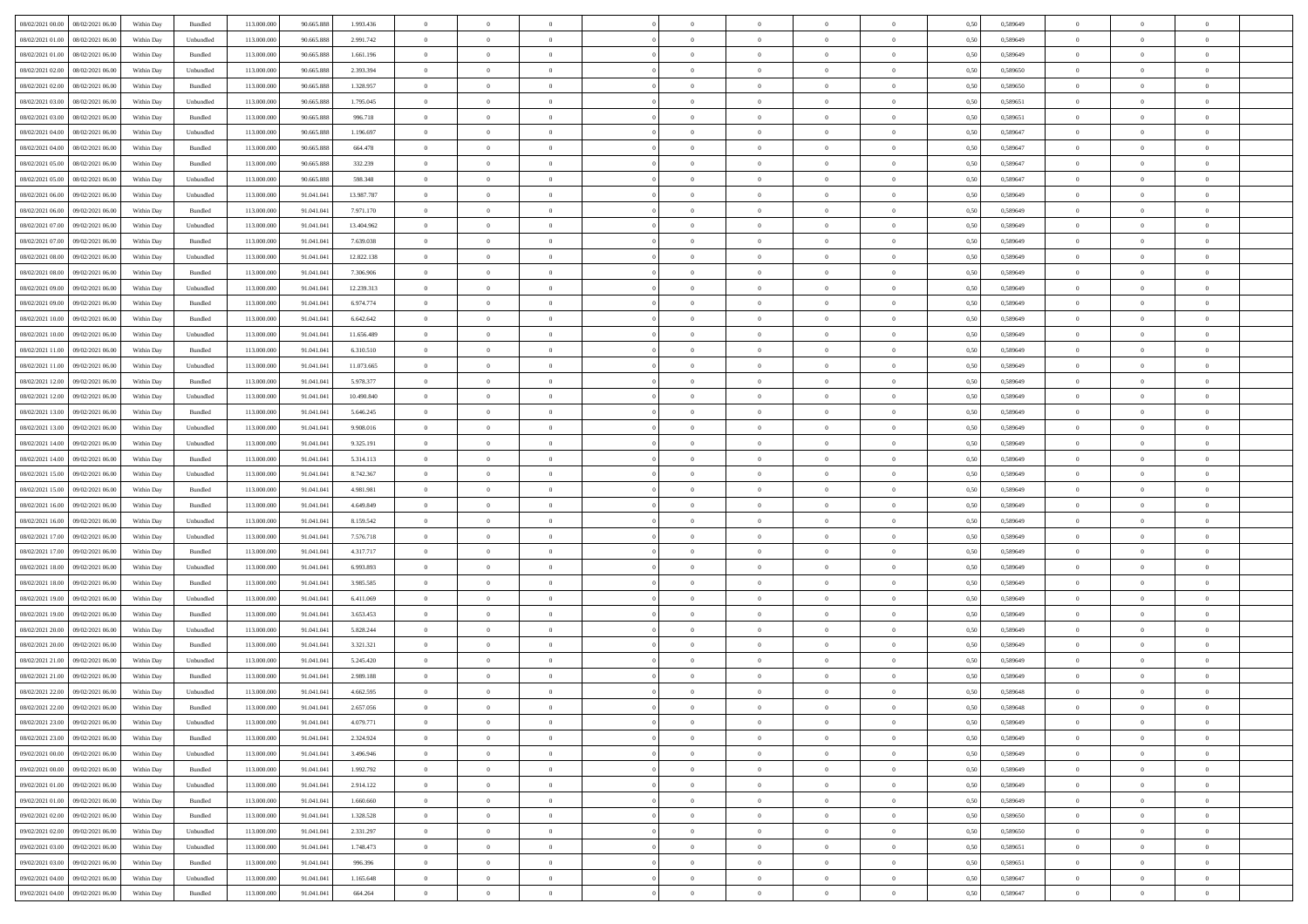| 08/02/2021 00:00 08/02/2021 06:00                       | Within Day | Bundled   | 113.000.000 | 90.665.888 | 1.993.436  | $\overline{0}$ | $\theta$       |                | $\overline{0}$ | $\theta$       |                | $\theta$       | 0,50 | 0,589649 | $\theta$       | $\theta$       | $\theta$       |  |
|---------------------------------------------------------|------------|-----------|-------------|------------|------------|----------------|----------------|----------------|----------------|----------------|----------------|----------------|------|----------|----------------|----------------|----------------|--|
| 08/02/2021 01:00<br>08/02/2021 06:00                    | Within Day | Unbundled | 113.000.00  | 90.665.88  | 2.991.742  | $\bf{0}$       | $\bf{0}$       | $\bf{0}$       | $\overline{0}$ | $\overline{0}$ | $\overline{0}$ | $\bf{0}$       | 0,50 | 0,589649 | $\,$ 0 $\,$    | $\bf{0}$       | $\overline{0}$ |  |
| 08/02/2021 01:00<br>08/02/2021 06:00                    | Within Day | Bundled   | 113,000,000 | 90.665.888 | 1.661.196  | $\overline{0}$ | $\bf{0}$       | $\overline{0}$ | $\bf{0}$       | $\bf{0}$       | $\overline{0}$ | $\bf{0}$       | 0.50 | 0.589649 | $\bf{0}$       | $\overline{0}$ | $\overline{0}$ |  |
| 08/02/2021 02:00<br>08/02/2021 06:00                    |            |           | 113.000.000 |            |            | $\overline{0}$ | $\overline{0}$ | $\overline{0}$ | $\theta$       | $\theta$       | $\overline{0}$ |                |      |          | $\theta$       | $\theta$       | $\overline{0}$ |  |
|                                                         | Within Day | Unbundled |             | 90.665.888 | 2.393.394  |                |                |                |                |                |                | $\bf{0}$       | 0,50 | 0,589650 |                |                |                |  |
| 08/02/2021 02:00<br>08/02/2021 06:00                    | Within Day | Bundled   | 113.000.00  | 90.665.888 | 1.328.957  | $\overline{0}$ | $\overline{0}$ | $\bf{0}$       | $\overline{0}$ | $\theta$       | $\overline{0}$ | $\bf{0}$       | 0,50 | 0,589650 | $\,$ 0 $\,$    | $\bf{0}$       | $\overline{0}$ |  |
| 08/02/2021 03:00<br>08/02/2021 06:00                    | Within Day | Unbundled | 113,000,000 | 90.665.888 | 1.795.045  | $\overline{0}$ | $\overline{0}$ | $\overline{0}$ | $\bf{0}$       | $\overline{0}$ | $\theta$       | $\bf{0}$       | 0.50 | 0.589651 | $\,$ 0 $\,$    | $\theta$       | $\overline{0}$ |  |
| 08/02/2021 03:00<br>08/02/2021 06:00                    | Within Day | Bundled   | 113.000.000 | 90.665.888 | 996.718    | $\overline{0}$ | $\overline{0}$ | $\overline{0}$ | $\overline{0}$ | $\overline{0}$ | $\overline{0}$ | $\bf{0}$       | 0,50 | 0,589651 | $\theta$       | $\theta$       | $\overline{0}$ |  |
|                                                         |            |           |             |            |            |                |                |                |                |                |                |                |      |          |                |                |                |  |
| 08/02/2021 04:00<br>08/02/2021 06:00                    | Within Day | Unbundled | 113.000.00  | 90.665.888 | 1.196.697  | $\overline{0}$ | $\overline{0}$ | $\bf{0}$       | $\overline{0}$ | $\overline{0}$ | $\overline{0}$ | $\bf{0}$       | 0,50 | 0,589647 | $\,$ 0 $\,$    | $\bf{0}$       | $\overline{0}$ |  |
| 08/02/2021 04:00<br>08/02/2021 06:00                    | Within Day | Bundled   | 113,000,000 | 90.665.888 | 664.478    | $\overline{0}$ | $\bf{0}$       | $\overline{0}$ | $\bf{0}$       | $\overline{0}$ | $\overline{0}$ | $\bf{0}$       | 0.50 | 0.589647 | $\bf{0}$       | $\overline{0}$ | $\overline{0}$ |  |
| 08/02/2021 05:00<br>08/02/2021 06:00                    | Within Day | Bundled   | 113.000.000 | 90.665.888 | 332.239    | $\overline{0}$ | $\bf{0}$       | $\overline{0}$ | $\overline{0}$ | $\overline{0}$ | $\overline{0}$ | $\bf{0}$       | 0,50 | 0,589647 | $\,$ 0 $\,$    | $\bf{0}$       | $\overline{0}$ |  |
| 08/02/2021 05:00<br>08/02/2021 06:00                    | Within Day | Unbundled | 113.000.00  | 90.665.888 | 598.348    | $\bf{0}$       | $\overline{0}$ | $\bf{0}$       | $\bf{0}$       | $\bf{0}$       | $\overline{0}$ | $\bf{0}$       | 0,50 | 0,589647 | $\,$ 0 $\,$    | $\bf{0}$       | $\overline{0}$ |  |
|                                                         |            |           |             |            |            |                |                |                |                |                |                |                |      |          |                |                |                |  |
| 08/02/2021 06:00<br>09/02/2021 06:00                    | Within Day | Unbundled | 113,000,000 | 91.041.041 | 13,987,787 | $\overline{0}$ | $\bf{0}$       | $\overline{0}$ | $\overline{0}$ | $\bf{0}$       | $\overline{0}$ | $\bf{0}$       | 0.50 | 0.589649 | $\bf{0}$       | $\overline{0}$ | $\bf{0}$       |  |
| 08/02/2021 06:00<br>09/02/2021 06:00                    | Within Day | Bundled   | 113.000.000 | 91.041.041 | 7.971.170  | $\overline{0}$ | $\overline{0}$ | $\overline{0}$ | $\theta$       | $\theta$       | $\overline{0}$ | $\overline{0}$ | 0,50 | 0,589649 | $\theta$       | $\theta$       | $\overline{0}$ |  |
| 08/02/2021 07:00<br>09/02/2021 06.00                    | Within Day | Unbundled | 113.000.00  | 91.041.04  | 13.404.962 | $\bf{0}$       | $\overline{0}$ | $\bf{0}$       | $\overline{0}$ | $\theta$       | $\overline{0}$ | $\bf{0}$       | 0,50 | 0,589649 | $\,$ 0 $\,$    | $\bf{0}$       | $\overline{0}$ |  |
|                                                         |            |           |             |            |            |                |                |                |                |                |                |                |      |          |                |                |                |  |
| 08/02/2021 07:00<br>09/02/2021 06:00                    | Within Day | Bundled   | 113,000,000 | 91.041.04  | 7.639.038  | $\overline{0}$ | $\overline{0}$ | $\overline{0}$ | $\bf{0}$       | $\overline{0}$ | $\Omega$       | $\bf{0}$       | 0.50 | 0.589649 | $\theta$       | $\theta$       | $\overline{0}$ |  |
| 08/02/2021 08:00<br>09/02/2021 06:00                    | Within Day | Unbundled | 113.000.000 | 91.041.041 | 12.822.138 | $\overline{0}$ | $\overline{0}$ | $\overline{0}$ | $\overline{0}$ | $\overline{0}$ | $\overline{0}$ | $\bf{0}$       | 0,50 | 0,589649 | $\theta$       | $\theta$       | $\overline{0}$ |  |
| 08/02/2021 08:00<br>09/02/2021 06.00                    | Within Day | Bundled   | 113.000.00  | 91.041.041 | 7.306.906  | $\bf{0}$       | $\overline{0}$ | $\bf{0}$       | $\overline{0}$ | $\theta$       | $\overline{0}$ | $\bf{0}$       | 0,50 | 0,589649 | $\,$ 0 $\,$    | $\bf{0}$       | $\overline{0}$ |  |
| 08/02/2021 09:00<br>09/02/2021 06:00                    | Within Day | Unbundled | 113,000,000 | 91.041.04  | 12.239.313 | $\overline{0}$ | $\bf{0}$       | $\overline{0}$ | $\bf{0}$       | $\overline{0}$ | $\overline{0}$ | $\bf{0}$       | 0.50 | 0.589649 | $\bf{0}$       | $\overline{0}$ | $\overline{0}$ |  |
|                                                         |            |           |             |            |            | $\overline{0}$ |                | $\overline{0}$ | $\overline{0}$ | $\overline{0}$ | $\overline{0}$ |                |      |          | $\,$ 0 $\,$    | $\theta$       | $\overline{0}$ |  |
| 08/02/2021 09:00<br>09/02/2021 06:00                    | Within Day | Bundled   | 113.000.000 | 91.041.041 | 6.974.774  |                | $\bf{0}$       |                |                |                |                | $\bf{0}$       | 0,50 | 0,589649 |                |                |                |  |
| 08/02/2021 10:00<br>09/02/2021 06.00                    | Within Day | Bundled   | 113.000.00  | 91.041.041 | 6.642.642  | $\bf{0}$       | $\bf{0}$       | $\bf{0}$       | $\bf{0}$       | $\overline{0}$ | $\overline{0}$ | $\bf{0}$       | 0,50 | 0,589649 | $\,$ 0 $\,$    | $\bf{0}$       | $\overline{0}$ |  |
| 08/02/2021 10:00<br>09/02/2021 06:00                    | Within Day | Unbundled | 113,000,000 | 91.041.041 | 11.656.489 | $\overline{0}$ | $\bf{0}$       | $\overline{0}$ | $\bf{0}$       | $\bf{0}$       | $\overline{0}$ | $\bf{0}$       | 0.50 | 0.589649 | $\bf{0}$       | $\overline{0}$ | $\overline{0}$ |  |
| 08/02/2021 11:00<br>09/02/2021 06:00                    | Within Day | Bundled   | 113.000.000 | 91.041.041 | 6.310.510  | $\overline{0}$ | $\overline{0}$ | $\overline{0}$ | $\theta$       | $\theta$       | $\overline{0}$ | $\bf{0}$       | 0,50 | 0,589649 | $\theta$       | $\theta$       | $\overline{0}$ |  |
|                                                         |            |           |             |            |            |                | $\overline{0}$ |                |                | $\,$ 0 $\,$    | $\overline{0}$ |                |      |          | $\,$ 0 $\,$    | $\bf{0}$       | $\overline{0}$ |  |
| 08/02/2021 11:00<br>09/02/2021 06.00                    | Within Day | Unbundled | 113.000.00  | 91.041.04  | 11.073.665 | $\bf{0}$       |                | $\bf{0}$       | $\bf{0}$       |                |                | $\bf{0}$       | 0,50 | 0,589649 |                |                |                |  |
| 08/02/2021 12:00<br>09/02/2021 06:00                    | Within Day | Bundled   | 113,000,000 | 91.041.04  | 5.978.377  | $\overline{0}$ | $\overline{0}$ | $\overline{0}$ | $\overline{0}$ | $\overline{0}$ | $\Omega$       | $\bf{0}$       | 0.50 | 0.589649 | $\bf{0}$       | $\theta$       | $\overline{0}$ |  |
| 08/02/2021 12:00<br>09/02/2021 06:00                    | Within Day | Unbundled | 113.000.000 | 91.041.041 | 10.490.840 | $\overline{0}$ | $\overline{0}$ | $\overline{0}$ | $\overline{0}$ | $\theta$       | $\overline{0}$ | $\bf{0}$       | 0,50 | 0,589649 | $\theta$       | $\theta$       | $\overline{0}$ |  |
| 08/02/2021 13:00<br>09/02/2021 06.00                    | Within Day | Bundled   | 113.000.00  | 91.041.04  | 5.646.245  | $\bf{0}$       | $\overline{0}$ | $\bf{0}$       | $\overline{0}$ | $\theta$       | $\overline{0}$ | $\bf{0}$       | 0,50 | 0,589649 | $\,$ 0 $\,$    | $\bf{0}$       | $\overline{0}$ |  |
| 09/02/2021 06:00                                        |            | Unbundled | 113,000,000 | 91.041.04  | 9.908.016  |                | $\bf{0}$       | $\overline{0}$ |                | $\overline{0}$ | $\overline{0}$ |                | 0.50 | 0.589649 | $\bf{0}$       | $\overline{0}$ | $\overline{0}$ |  |
| 08/02/2021 13:00                                        | Within Day |           |             |            |            | $\overline{0}$ |                |                | $\bf{0}$       |                |                | $\bf{0}$       |      |          |                |                |                |  |
| 08/02/2021 14:00<br>09/02/2021 06:00                    | Within Day | Unbundled | 113.000.000 | 91.041.041 | 9.325.191  | $\overline{0}$ | $\overline{0}$ | $\overline{0}$ | $\overline{0}$ | $\overline{0}$ | $\overline{0}$ | $\bf{0}$       | 0,50 | 0,589649 | $\theta$       | $\theta$       | $\overline{0}$ |  |
| 08/02/2021 14:00<br>09/02/2021 06.00                    | Within Day | Bundled   | 113.000.00  | 91.041.04  | 5.314.113  | $\bf{0}$       | $\bf{0}$       | $\bf{0}$       | $\bf{0}$       | $\overline{0}$ | $\overline{0}$ | $\bf{0}$       | 0,50 | 0,589649 | $\,$ 0 $\,$    | $\bf{0}$       | $\overline{0}$ |  |
| 08/02/2021 15:00<br>09/02/2021 06:00                    | Within Day | Unbundled | 113,000,000 | 91.041.041 | 8.742.367  | $\overline{0}$ | $\bf{0}$       | $\overline{0}$ | $\bf{0}$       | $\bf{0}$       | $\overline{0}$ | $\bf{0}$       | 0.50 | 0.589649 | $\bf{0}$       | $\overline{0}$ | $\bf{0}$       |  |
| 08/02/2021 15:00<br>09/02/2021 06:00                    | Within Day | Bundled   | 113.000.000 | 91.041.04  | 4.981.981  | $\overline{0}$ | $\overline{0}$ | $\overline{0}$ | $\overline{0}$ | $\overline{0}$ | $\overline{0}$ | $\bf{0}$       | 0.50 | 0.589649 | $\theta$       | $\theta$       | $\overline{0}$ |  |
|                                                         |            |           |             |            |            |                |                |                |                |                |                |                |      |          |                |                |                |  |
| 08/02/2021 16:00<br>09/02/2021 06.00                    | Within Day | Bundled   | 113.000.00  | 91.041.04  | 4.649.849  | $\bf{0}$       | $\overline{0}$ | $\bf{0}$       | $\bf{0}$       | $\overline{0}$ | $\overline{0}$ | $\bf{0}$       | 0,50 | 0,589649 | $\,$ 0 $\,$    | $\bf{0}$       | $\overline{0}$ |  |
| 08/02/2021 16:00<br>09/02/2021 06:00                    | Within Day | Unbundled | 113,000,000 | 91.041.041 | 8.159.542  | $\overline{0}$ | $\bf{0}$       | $\overline{0}$ | $\bf{0}$       | $\overline{0}$ | $\Omega$       | $\bf{0}$       | 0.50 | 0.589649 | $\,$ 0 $\,$    | $\theta$       | $\overline{0}$ |  |
| 08/02/2021 17:00<br>09/02/2021 06:00                    | Within Dav | Unbundled | 113.000.000 | 91.041.041 | 7.576.718  | $\overline{0}$ | $\overline{0}$ | $\overline{0}$ | $\overline{0}$ | $\overline{0}$ | $\overline{0}$ | $\overline{0}$ | 0.50 | 0.589649 | $\theta$       | $\theta$       | $\overline{0}$ |  |
| 09/02/2021 06.00                                        | Within Day | Bundled   | 113.000.00  | 91.041.04  | 4.317.717  | $\bf{0}$       | $\bf{0}$       | $\bf{0}$       | $\overline{0}$ | $\bf{0}$       | $\overline{0}$ | $\bf{0}$       | 0,50 | 0,589649 | $\,$ 0 $\,$    | $\bf{0}$       | $\overline{0}$ |  |
| 08/02/2021 17:00                                        |            |           |             |            |            |                |                |                |                |                |                |                |      |          |                |                |                |  |
| 08/02/2021 18:00<br>09/02/2021 06:00                    | Within Day | Unbundled | 113,000,000 | 91.041.04  | 6.993.893  | $\overline{0}$ | $\bf{0}$       | $\overline{0}$ | $\bf{0}$       | $\overline{0}$ | $\overline{0}$ | $\bf{0}$       | 0.50 | 0.589649 | $\bf{0}$       | $\overline{0}$ | $\overline{0}$ |  |
| 08/02/2021 18:00<br>09/02/2021 06:00                    | Within Dav | Bundled   | 113.000.000 | 91.041.04  | 3.985.585  | $\overline{0}$ | $\overline{0}$ | $\overline{0}$ | $\overline{0}$ | $\overline{0}$ | $\overline{0}$ | $\overline{0}$ | 0.50 | 0.589649 | $\theta$       | $\theta$       | $\overline{0}$ |  |
| 08/02/2021 19:00<br>09/02/2021 06.00                    | Within Day | Unbundled | 113.000.00  | 91.041.04  | 6.411.069  | $\bf{0}$       | $\bf{0}$       | $\bf{0}$       | $\bf{0}$       | $\overline{0}$ | $\overline{0}$ | $\bf{0}$       | 0,50 | 0,589649 | $\,$ 0 $\,$    | $\bf{0}$       | $\overline{0}$ |  |
| 08/02/2021 19:00<br>09/02/2021 06:00                    | Within Day | Bundled   | 113,000,000 | 91.041.041 | 3.653.453  | $\overline{0}$ | $\bf{0}$       | $\overline{0}$ | $\overline{0}$ | $\bf{0}$       | $\overline{0}$ | $\bf{0}$       | 0.50 | 0.589649 | $\bf{0}$       | $\overline{0}$ | $\overline{0}$ |  |
|                                                         |            |           |             |            |            |                |                |                |                |                |                |                |      |          |                |                |                |  |
| 08/02/2021 20:00<br>09/02/2021 06:00                    | Within Dav | Unbundled | 113.000.000 | 91.041.041 | 5.828.244  | $\overline{0}$ | $\overline{0}$ | $\overline{0}$ | $\overline{0}$ | $\overline{0}$ | $\overline{0}$ | $\bf{0}$       | 0.50 | 0.589649 | $\theta$       | $\theta$       | $\overline{0}$ |  |
| 08/02/2021 20:00<br>09/02/2021 06.00                    | Within Day | Bundled   | 113.000.00  | 91.041.041 | 3.321.321  | $\bf{0}$       | $\bf{0}$       | $\bf{0}$       | $\bf{0}$       | $\overline{0}$ | $\overline{0}$ | $\bf{0}$       | 0,50 | 0,589649 | $\,$ 0 $\,$    | $\bf{0}$       | $\overline{0}$ |  |
| 08/02/2021 21:00<br>09/02/2021 06:00                    | Within Day | Unbundled | 113,000,000 | 91.041.04  | 5.245.420  | $\overline{0}$ | $\overline{0}$ | $\overline{0}$ | $\overline{0}$ | $\overline{0}$ | $\Omega$       | $\bf{0}$       | 0.50 | 0.589649 | $\,$ 0 $\,$    | $\theta$       | $\overline{0}$ |  |
| 08/02/2021 21:00<br>09/02/2021 06:00                    | Within Dav | Bundled   | 113.000.000 | 91.041.04  | 2.989.188  | $\overline{0}$ | $\overline{0}$ | $\Omega$       | $\overline{0}$ | $\theta$       | $\Omega$       | $\overline{0}$ | 0.5( | 0.589649 | $\theta$       | $\theta$       | $\overline{0}$ |  |
|                                                         |            |           |             |            |            |                |                |                |                |                |                |                |      |          |                |                |                |  |
| 08/02/2021 22:00<br>09/02/2021 06:00                    | Within Day | Unbundled | 113.000.000 | 91.041.041 | 4.662.595  | $\bf{0}$       | $\bf{0}$       | $\overline{0}$ | $\bf{0}$       | $\bf{0}$       | $\overline{0}$ | $\bf{0}$       | 0,50 | 0,589648 | $\,$ 0 $\,$    | $\bf{0}$       | $\overline{0}$ |  |
| $08/02/2021\,\, 22.00 \quad \  \  09/02/2021\,\, 06.00$ | Within Day | Bundled   | 113.000.000 | 91.041.041 | 2.657.056  | $\overline{0}$ | $\Omega$       |                | $\Omega$       |                |                |                | 0,50 | 0.589648 | $\theta$       | $\overline{0}$ |                |  |
| 08/02/2021 23:00 09/02/2021 06:00                       | Within Day | Unbundled | 113.000.000 | 91.041.041 | 4.079.771  | $\overline{0}$ | $\overline{0}$ | $\Omega$       | $\theta$       | $\overline{0}$ | $\overline{0}$ | $\bf{0}$       | 0,50 | 0,589649 | $\theta$       | $\overline{0}$ | $\overline{0}$ |  |
| 08/02/2021 23:00<br>09/02/2021 06:00                    | Within Day | Bundled   | 113.000.00  | 91.041.041 | 2.324.924  | $\overline{0}$ | $\bf{0}$       | $\overline{0}$ | $\overline{0}$ | $\bf{0}$       | $\overline{0}$ | $\bf{0}$       | 0,50 | 0,589649 | $\bf{0}$       | $\overline{0}$ | $\bf{0}$       |  |
|                                                         |            |           |             |            |            |                |                |                |                |                |                |                |      |          |                |                |                |  |
| 09/02/2021 00:00 09/02/2021 06:00                       | Within Day | Unbundled | 113,000,000 | 91.041.041 | 3.496.946  | $\overline{0}$ | $\bf{0}$       | $\overline{0}$ | $\overline{0}$ | $\mathbf{0}$   | $\overline{0}$ | $\,$ 0 $\,$    | 0.50 | 0.589649 | $\overline{0}$ | $\bf{0}$       | $\,$ 0 $\,$    |  |
| 09/02/2021 00:00 09/02/2021 06:00                       | Within Dav | Bundled   | 113.000.000 | 91.041.041 | 1.992.792  | $\overline{0}$ | $\overline{0}$ | $\overline{0}$ | $\overline{0}$ | $\overline{0}$ | $\overline{0}$ | $\bf{0}$       | 0,50 | 0.589649 | $\overline{0}$ | $\theta$       | $\overline{0}$ |  |
| 09/02/2021 01:00<br>09/02/2021 06:00                    | Within Day | Unbundled | 113.000.000 | 91.041.041 | 2.914.122  | $\overline{0}$ | $\bf{0}$       | $\overline{0}$ | $\overline{0}$ | $\overline{0}$ | $\overline{0}$ | $\bf{0}$       | 0,50 | 0,589649 | $\bf{0}$       | $\overline{0}$ | $\overline{0}$ |  |
| 09/02/2021 01:00<br>09/02/2021 06:00                    | Within Day | Bundled   | 113,000,000 | 91.041.041 | 1.660.660  | $\overline{0}$ | $\bf{0}$       | $\overline{0}$ | $\overline{0}$ | $\bf{0}$       | $\overline{0}$ | $\bf{0}$       | 0.50 | 0.589649 | $\,$ 0 $\,$    | $\overline{0}$ | $\,$ 0         |  |
|                                                         |            |           |             |            |            |                |                |                |                |                |                |                |      |          |                |                |                |  |
| 09/02/2021 02:00<br>09/02/2021 06:00                    | Within Dav | Bundled   | 113.000.000 | 91.041.041 | 1.328.528  | $\overline{0}$ | $\overline{0}$ | $\overline{0}$ | $\overline{0}$ | $\overline{0}$ | $\overline{0}$ | $\bf{0}$       | 0,50 | 0,589650 | $\overline{0}$ | $\theta$       | $\overline{0}$ |  |
| 09/02/2021 02:00<br>09/02/2021 06:00                    | Within Day | Unbundled | 113.000.00  | 91.041.041 | 2.331.297  | $\overline{0}$ | $\overline{0}$ | $\overline{0}$ | $\overline{0}$ | $\overline{0}$ | $\overline{0}$ | $\bf{0}$       | 0,50 | 0,589650 | $\bf{0}$       | $\overline{0}$ | $\,$ 0         |  |
| 09/02/2021 03:00<br>09/02/2021 06:00                    | Within Day | Unbundled | 113,000,000 | 91.041.041 | 1.748.473  | $\overline{0}$ | $\overline{0}$ | $\overline{0}$ | $\overline{0}$ | $\overline{0}$ | $\overline{0}$ | $\bf{0}$       | 0.50 | 0.589651 | $\mathbf{0}$   | $\bf{0}$       | $\,$ 0         |  |
| 09/02/2021 03:00 09/02/2021 06:00                       | Within Dav | Bundled   | 113.000.000 | 91.041.041 | 996.396    | $\overline{0}$ | $\overline{0}$ | $\overline{0}$ | $\overline{0}$ | $\overline{0}$ | $\overline{0}$ | $\bf{0}$       | 0,50 | 0,589651 | $\overline{0}$ | $\theta$       | $\overline{0}$ |  |
|                                                         |            |           |             |            |            |                |                |                |                |                |                |                |      |          |                |                |                |  |
| 09/02/2021 04:00<br>09/02/2021 06.00                    | Within Day | Unbundled | 113.000.00  | 91.041.041 | 1.165.648  | $\overline{0}$ | $\bf{0}$       | $\overline{0}$ | $\bf{0}$       | $\overline{0}$ | $\overline{0}$ | $\bf{0}$       | 0,50 | 0,589647 | $\bf{0}$       | $\,0\,$        | $\bf{0}$       |  |
| 09/02/2021 04:00 09/02/2021 06:00                       | Within Day | Bundled   | 113.000.000 | 91.041.041 | 664.264    | $\,$ 0 $\,$    | $\bf{0}$       | $\overline{0}$ | $\overline{0}$ | $\,$ 0 $\,$    | $\overline{0}$ | $\bf{0}$       | 0,50 | 0,589647 | $\overline{0}$ | $\,$ 0 $\,$    | $\,$ 0 $\,$    |  |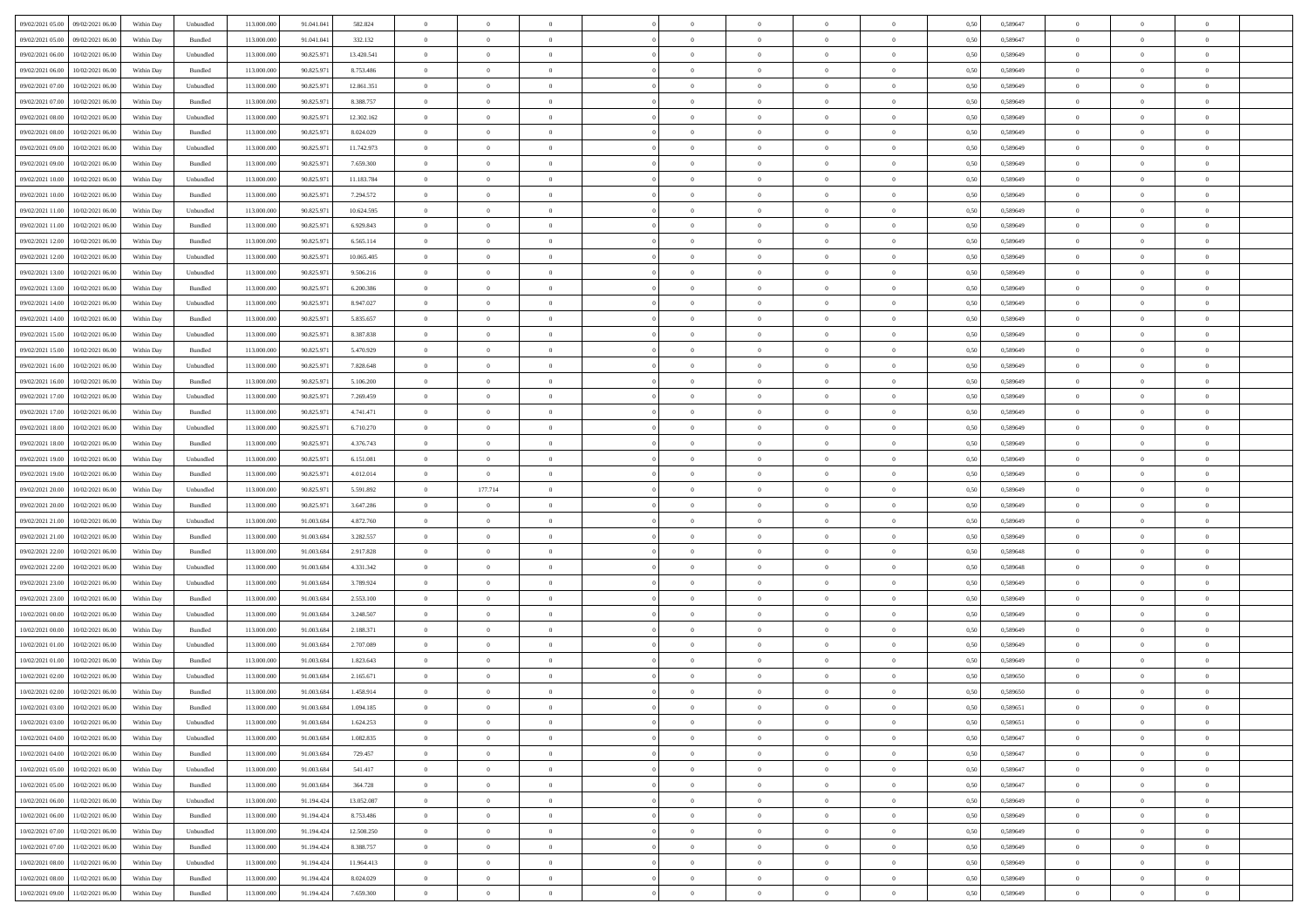| 09/02/2021 05:00<br>09/02/2021 06:00           | Within Day | Unbundled | 113.000.000 | 91.041.041 | 582.824    | $\overline{0}$ | $\theta$       |                | $\overline{0}$ | $\theta$       |                | $\theta$       | 0,50 | 0,589647 | $\theta$       | $\theta$       | $\theta$       |  |
|------------------------------------------------|------------|-----------|-------------|------------|------------|----------------|----------------|----------------|----------------|----------------|----------------|----------------|------|----------|----------------|----------------|----------------|--|
| 09/02/2021 05:00<br>09/02/2021 06.00           | Within Day | Bundled   | 113.000.00  | 91.041.04  | 332.132    | $\bf{0}$       | $\bf{0}$       | $\bf{0}$       | $\overline{0}$ | $\overline{0}$ | $\overline{0}$ | $\bf{0}$       | 0,50 | 0,589647 | $\,$ 0 $\,$    | $\bf{0}$       | $\overline{0}$ |  |
| 09/02/2021 06:00<br>10/02/2021 06:00           | Within Day | Unbundled | 113,000,000 | 90.825.971 | 13.420.541 | $\overline{0}$ | $\bf{0}$       | $\overline{0}$ | $\bf{0}$       | $\bf{0}$       | $\overline{0}$ | $\bf{0}$       | 0.50 | 0.589649 | $\bf{0}$       | $\overline{0}$ | $\overline{0}$ |  |
|                                                |            |           |             |            |            | $\overline{0}$ | $\overline{0}$ | $\overline{0}$ | $\theta$       | $\theta$       | $\overline{0}$ |                |      |          | $\theta$       | $\theta$       | $\overline{0}$ |  |
| 09/02/2021 06:00<br>10/02/2021 06:00           | Within Day | Bundled   | 113.000.000 | 90.825.971 | 8.753.486  |                |                |                |                |                |                | $\bf{0}$       | 0,50 | 0,589649 |                |                |                |  |
| 09/02/2021 07:00<br>10/02/2021 06:00           | Within Day | Unbundled | 113.000.00  | 90.825.97  | 12.861.351 | $\bf{0}$       | $\overline{0}$ | $\bf{0}$       | $\overline{0}$ | $\theta$       | $\overline{0}$ | $\bf{0}$       | 0,50 | 0,589649 | $\,$ 0 $\,$    | $\bf{0}$       | $\overline{0}$ |  |
| 09/02/2021 07:00<br>10/02/2021 06:00           | Within Day | Bundled   | 113,000,000 | 90.825.97  | 8.388.757  | $\overline{0}$ | $\overline{0}$ | $\overline{0}$ | $\bf{0}$       | $\overline{0}$ | $\theta$       | $\bf{0}$       | 0.50 | 0.589649 | $\bf{0}$       | $\theta$       | $\overline{0}$ |  |
| 09/02/2021 08:00<br>10/02/2021 06:00           | Within Day | Unbundled | 113.000.000 | 90.825.971 | 12.302.162 | $\overline{0}$ | $\overline{0}$ | $\overline{0}$ | $\overline{0}$ | $\overline{0}$ | $\overline{0}$ | $\bf{0}$       | 0,50 | 0,589649 | $\theta$       | $\theta$       | $\overline{0}$ |  |
|                                                |            |           |             |            |            |                | $\overline{0}$ |                | $\overline{0}$ | $\overline{0}$ | $\overline{0}$ |                |      |          | $\,$ 0 $\,$    | $\bf{0}$       | $\overline{0}$ |  |
| 09/02/2021 08:00<br>10/02/2021 06:00           | Within Day | Bundled   | 113.000.00  | 90.825.97  | 8.024.029  | $\bf{0}$       |                | $\bf{0}$       |                |                |                | $\bf{0}$       | 0,50 | 0,589649 |                |                |                |  |
| 09/02/2021 09:00<br>10/02/2021 06:00           | Within Day | Unbundled | 113,000,000 | 90.825.97  | 11.742.973 | $\overline{0}$ | $\bf{0}$       | $\overline{0}$ | $\bf{0}$       | $\overline{0}$ | $\overline{0}$ | $\bf{0}$       | 0.50 | 0.589649 | $\bf{0}$       | $\overline{0}$ | $\overline{0}$ |  |
| 09/02/2021 09:00<br>10/02/2021 06:00           | Within Day | Bundled   | 113.000.000 | 90.825.971 | 7.659.300  | $\overline{0}$ | $\bf{0}$       | $\overline{0}$ | $\overline{0}$ | $\overline{0}$ | $\overline{0}$ | $\bf{0}$       | 0,50 | 0,589649 | $\,$ 0 $\,$    | $\bf{0}$       | $\overline{0}$ |  |
| 09/02/2021 10:00<br>10/02/2021 06:00           | Within Day | Unbundled | 113.000.00  | 90.825.97  | 11.183.784 | $\bf{0}$       | $\overline{0}$ | $\bf{0}$       | $\bf{0}$       | $\bf{0}$       | $\overline{0}$ | $\bf{0}$       | 0,50 | 0,589649 | $\,$ 0 $\,$    | $\bf{0}$       | $\overline{0}$ |  |
| 09/02/2021 10:00<br>10/02/2021 06:00           | Within Day | Bundled   | 113,000,000 | 90.825.97  | 7.294.572  | $\overline{0}$ | $\bf{0}$       | $\overline{0}$ | $\overline{0}$ | $\bf{0}$       | $\overline{0}$ | $\bf{0}$       | 0.50 | 0.589649 | $\bf{0}$       | $\overline{0}$ | $\bf{0}$       |  |
|                                                |            |           |             |            |            |                |                |                |                |                |                |                |      |          |                |                |                |  |
| 09/02/2021 11:00<br>10/02/2021 06:00           | Within Day | Unbundled | 113.000.000 | 90.825.971 | 10.624.595 | $\overline{0}$ | $\overline{0}$ | $\overline{0}$ | $\theta$       | $\theta$       | $\overline{0}$ | $\overline{0}$ | 0,50 | 0,589649 | $\theta$       | $\theta$       | $\overline{0}$ |  |
| 09/02/2021 11:00<br>10/02/2021 06:00           | Within Day | Bundled   | 113.000.00  | 90.825.97  | 6.929.843  | $\bf{0}$       | $\overline{0}$ | $\bf{0}$       | $\overline{0}$ | $\theta$       | $\overline{0}$ | $\bf{0}$       | 0,50 | 0,589649 | $\,$ 0 $\,$    | $\bf{0}$       | $\overline{0}$ |  |
| 09/02/2021 12:00<br>10/02/2021 06:00           | Within Day | Bundled   | 113,000,000 | 90.825.97  | 6.565.114  | $\overline{0}$ | $\overline{0}$ | $\overline{0}$ | $\bf{0}$       | $\overline{0}$ | $\Omega$       | $\bf{0}$       | 0.50 | 0.589649 | $\,$ 0 $\,$    | $\theta$       | $\overline{0}$ |  |
| 09/02/2021 12:00<br>10/02/2021 06:00           | Within Day | Unbundled | 113.000.000 | 90.825.971 | 10.065.405 | $\overline{0}$ | $\overline{0}$ | $\overline{0}$ | $\overline{0}$ | $\overline{0}$ | $\overline{0}$ | $\bf{0}$       | 0,50 | 0,589649 | $\theta$       | $\theta$       | $\overline{0}$ |  |
| 09/02/2021 13:00<br>10/02/2021 06:00           | Within Day | Unbundled | 113.000.00  | 90.825.97  | 9.506.216  | $\bf{0}$       | $\overline{0}$ | $\bf{0}$       | $\overline{0}$ | $\theta$       | $\overline{0}$ | $\bf{0}$       | 0,50 | 0,589649 | $\,$ 0 $\,$    | $\bf{0}$       | $\overline{0}$ |  |
|                                                |            |           |             |            |            |                |                |                |                |                |                |                |      |          |                |                |                |  |
| 09/02/2021 13:00<br>10/02/2021 06:00           | Within Day | Bundled   | 113,000,000 | 90.825.97  | 6.200.386  | $\overline{0}$ | $\bf{0}$       | $\overline{0}$ | $\bf{0}$       | $\overline{0}$ | $\overline{0}$ | $\bf{0}$       | 0.50 | 0.589649 | $\bf{0}$       | $\overline{0}$ | $\overline{0}$ |  |
| 09/02/2021 14:00<br>10/02/2021 06:00           | Within Day | Unbundled | 113.000.000 | 90.825.971 | 8.947.027  | $\overline{0}$ | $\bf{0}$       | $\overline{0}$ | $\overline{0}$ | $\overline{0}$ | $\overline{0}$ | $\bf{0}$       | 0,50 | 0,589649 | $\,$ 0 $\,$    | $\bf{0}$       | $\overline{0}$ |  |
| 09/02/2021 14:00<br>10/02/2021 06:00           | Within Day | Bundled   | 113.000.00  | 90.825.97  | 5.835.657  | $\bf{0}$       | $\bf{0}$       | $\bf{0}$       | $\bf{0}$       | $\overline{0}$ | $\overline{0}$ | $\bf{0}$       | 0,50 | 0,589649 | $\,$ 0 $\,$    | $\bf{0}$       | $\overline{0}$ |  |
| 09/02/2021 15:00<br>10/02/2021 06:00           | Within Day | Unbundled | 113,000,000 | 90.825.97  | 8,387,838  | $\overline{0}$ | $\bf{0}$       | $\overline{0}$ | $\overline{0}$ | $\bf{0}$       | $\overline{0}$ | $\bf{0}$       | 0.50 | 0.589649 | $\bf{0}$       | $\overline{0}$ | $\bf{0}$       |  |
| 09/02/2021 15:00<br>10/02/2021 06:00           | Within Day | Bundled   | 113.000.000 | 90.825.971 | 5.470.929  | $\overline{0}$ | $\overline{0}$ | $\overline{0}$ | $\theta$       | $\theta$       | $\overline{0}$ | $\bf{0}$       | 0,50 | 0,589649 | $\theta$       | $\theta$       | $\overline{0}$ |  |
|                                                |            |           |             |            |            |                | $\overline{0}$ |                |                | $\,$ 0 $\,$    |                |                |      |          |                |                | $\overline{0}$ |  |
| 09/02/2021 16:00<br>10/02/2021 06:00           | Within Day | Unbundled | 113.000.00  | 90.825.97  | 7.828.648  | $\bf{0}$       |                | $\bf{0}$       | $\bf{0}$       |                | $\overline{0}$ | $\bf{0}$       | 0,50 | 0,589649 | $\,$ 0 $\,$    | $\bf{0}$       |                |  |
| 09/02/2021 16:00<br>10/02/2021 06:00           | Within Day | Bundled   | 113,000,000 | 90.825.97  | 5.106.200  | $\overline{0}$ | $\overline{0}$ | $\overline{0}$ | $\overline{0}$ | $\overline{0}$ | $\theta$       | $\bf{0}$       | 0.50 | 0.589649 | $\bf{0}$       | $\theta$       | $\overline{0}$ |  |
| 09/02/2021 17:00<br>10/02/2021 06:00           | Within Day | Unbundled | 113.000.000 | 90.825.971 | 7.269.459  | $\overline{0}$ | $\overline{0}$ | $\overline{0}$ | $\overline{0}$ | $\overline{0}$ | $\overline{0}$ | $\bf{0}$       | 0,50 | 0,589649 | $\theta$       | $\theta$       | $\overline{0}$ |  |
| 09/02/2021 17:00<br>10/02/2021 06:00           | Within Day | Bundled   | 113.000.00  | 90.825.97  | 4.741.471  | $\bf{0}$       | $\overline{0}$ | $\bf{0}$       | $\overline{0}$ | $\theta$       | $\overline{0}$ | $\bf{0}$       | 0,50 | 0,589649 | $\,$ 0 $\,$    | $\bf{0}$       | $\overline{0}$ |  |
| 09/02/2021 18:00<br>10/02/2021 06:00           | Within Day | Unbundled | 113,000,000 | 90.825.97  | 6.710.270  | $\overline{0}$ | $\bf{0}$       | $\overline{0}$ | $\bf{0}$       | $\overline{0}$ | $\overline{0}$ | $\bf{0}$       | 0.50 | 0.589649 | $\bf{0}$       | $\overline{0}$ | $\overline{0}$ |  |
| 09/02/2021 18:00<br>10/02/2021 06:00           | Within Day | Bundled   | 113.000.000 | 90.825.971 | 4.376.743  | $\overline{0}$ | $\overline{0}$ | $\overline{0}$ | $\overline{0}$ | $\overline{0}$ | $\overline{0}$ | $\bf{0}$       | 0,50 | 0,589649 | $\theta$       | $\theta$       | $\overline{0}$ |  |
|                                                |            |           |             |            |            |                |                |                |                |                |                |                |      |          |                |                |                |  |
| 09/02/2021 19:00<br>10/02/2021 06:00           | Within Day | Unbundled | 113.000.00  | 90.825.97  | 6.151.081  | $\bf{0}$       | $\bf{0}$       | $\bf{0}$       | $\bf{0}$       | $\overline{0}$ | $\overline{0}$ | $\bf{0}$       | 0,50 | 0,589649 | $\,$ 0 $\,$    | $\bf{0}$       | $\overline{0}$ |  |
| 09/02/2021 19:00<br>10/02/2021 06:00           | Within Day | Bundled   | 113,000,000 | 90.825.97  | 4.012.014  | $\overline{0}$ | $\overline{0}$ | $\overline{0}$ | $\bf{0}$       | $\bf{0}$       | $\overline{0}$ | $\bf{0}$       | 0.50 | 0.589649 | $\bf{0}$       | $\overline{0}$ | $\bf{0}$       |  |
| 09/02/2021 20:00<br>10/02/2021 06:00           | Within Day | Unbundled | 113.000.000 | 90.825.971 | 5.591.892  | $\overline{0}$ | 177.714        | $\overline{0}$ | $\overline{0}$ | $\overline{0}$ | $\overline{0}$ | $\bf{0}$       | 0.50 | 0.589649 | $\theta$       | $\theta$       | $\overline{0}$ |  |
| 09/02/2021 20:00<br>10/02/2021 06:00           | Within Day | Bundled   | 113.000.00  | 90.825.97  | 3.647.286  | $\bf{0}$       | $\overline{0}$ | $\bf{0}$       | $\bf{0}$       | $\overline{0}$ | $\overline{0}$ | $\bf{0}$       | 0,50 | 0,589649 | $\,$ 0 $\,$    | $\bf{0}$       | $\overline{0}$ |  |
| 09/02/2021 21:00<br>10/02/2021 06:00           | Within Day | Unbundled | 113,000,000 | 91.003.684 | 4.872.760  | $\overline{0}$ | $\bf{0}$       | $\overline{0}$ | $\bf{0}$       | $\overline{0}$ | $\Omega$       | $\bf{0}$       | 0.50 | 0.589649 | $\,$ 0 $\,$    | $\theta$       | $\overline{0}$ |  |
| 10/02/2021 06:00                               | Within Dav | Bundled   | 113.000.000 | 91.003.684 | 3.282.557  | $\overline{0}$ | $\overline{0}$ | $\overline{0}$ | $\overline{0}$ | $\overline{0}$ | $\overline{0}$ | $\overline{0}$ | 0.50 | 0.589649 | $\theta$       | $\theta$       | $\overline{0}$ |  |
| 09/02/2021 21:00                               |            |           |             |            |            |                |                |                |                |                |                |                |      |          |                |                |                |  |
| 09/02/2021 22:00<br>10/02/2021 06:00           | Within Day | Bundled   | 113.000.00  | 91.003.68  | 2.917.828  | $\bf{0}$       | $\bf{0}$       | $\bf{0}$       | $\bf{0}$       | $\bf{0}$       | $\overline{0}$ | $\bf{0}$       | 0,50 | 0,589648 | $\,$ 0 $\,$    | $\bf{0}$       | $\overline{0}$ |  |
| 09/02/2021 22.00<br>10/02/2021 06:00           | Within Day | Unbundled | 113,000,000 | 91.003.68  | 4.331.342  | $\overline{0}$ | $\bf{0}$       | $\overline{0}$ | $\bf{0}$       | $\overline{0}$ | $\overline{0}$ | $\bf{0}$       | 0.50 | 0.589648 | $\bf{0}$       | $\overline{0}$ | $\overline{0}$ |  |
| 09/02/2021 23:00<br>10/02/2021 06:00           | Within Dav | Unbundled | 113.000.000 | 91.003.684 | 3.789.924  | $\overline{0}$ | $\overline{0}$ | $\overline{0}$ | $\overline{0}$ | $\overline{0}$ | $\overline{0}$ | $\overline{0}$ | 0.50 | 0.589649 | $\theta$       | $\theta$       | $\overline{0}$ |  |
| 09/02/2021 23:00<br>10/02/2021 06:00           | Within Day | Bundled   | 113.000.00  | 91.003.68  | 2.553.100  | $\bf{0}$       | $\bf{0}$       | $\bf{0}$       | $\bf{0}$       | $\overline{0}$ | $\overline{0}$ | $\bf{0}$       | 0,50 | 0,589649 | $\,$ 0 $\,$    | $\bf{0}$       | $\overline{0}$ |  |
| $10/02/2021\ 00.00$<br>10/02/2021 06:00        | Within Day | Unbundled | 113,000,000 | 91.003.684 | 3.248.507  | $\overline{0}$ | $\bf{0}$       | $\overline{0}$ | $\overline{0}$ | $\bf{0}$       | $\overline{0}$ | $\bf{0}$       | 0.50 | 0.589649 | $\bf{0}$       | $\overline{0}$ | $\overline{0}$ |  |
|                                                |            |           |             |            |            |                |                |                |                |                |                |                |      |          |                |                |                |  |
| 10/02/2021 00:00<br>10/02/2021 06:00           | Within Dav | Bundled   | 113.000.000 | 91.003.684 | 2.188.371  | $\overline{0}$ | $\overline{0}$ | $\overline{0}$ | $\overline{0}$ | $\overline{0}$ | $\overline{0}$ | $\bf{0}$       | 0.50 | 0.589649 | $\theta$       | $\theta$       | $\overline{0}$ |  |
| 10/02/2021 01:00<br>10/02/2021 06:00           | Within Day | Unbundled | 113.000.00  | 91.003.68  | 2.707.089  | $\bf{0}$       | $\bf{0}$       | $\bf{0}$       | $\bf{0}$       | $\overline{0}$ | $\overline{0}$ | $\bf{0}$       | 0,50 | 0,589649 | $\,$ 0 $\,$    | $\bf{0}$       | $\overline{0}$ |  |
| 10/02/2021 01:00<br>10/02/2021 06:00           | Within Day | Bundled   | 113,000,000 | 91.003.68  | 1.823.643  | $\overline{0}$ | $\overline{0}$ | $\overline{0}$ | $\overline{0}$ | $\overline{0}$ | $\Omega$       | $\bf{0}$       | 0.50 | 0.589649 | $\,$ 0 $\,$    | $\theta$       | $\overline{0}$ |  |
| 10/02/2021 02:00<br>10/02/2021 06:00           | Within Dav | Unbundled | 113.000.000 | 91.003.684 | 2.165.671  | $\overline{0}$ | $\overline{0}$ | $\Omega$       | $\overline{0}$ | $\theta$       | $\Omega$       | $\overline{0}$ | 0.5( | 0.589650 | $\theta$       | $\theta$       | $\overline{0}$ |  |
| 10/02/2021 02:00<br>10/02/2021 06:00           | Within Day | Bundled   | 113.000.000 | 91.003.684 | 1.458.914  | $\bf{0}$       | $\bf{0}$       | $\overline{0}$ | $\bf{0}$       | $\bf{0}$       | $\overline{0}$ | $\bf{0}$       | 0,50 | 0,589650 | $\,$ 0 $\,$    | $\bf{0}$       | $\overline{0}$ |  |
| $10/02/2021\; 03.00 \qquad 10/02/2021\; 06.00$ |            | Bundled   | 113.000.000 | 91.003.684 | 1 094 185  |                | $\Omega$       |                | $\Omega$       |                |                |                | 0,50 | 0.589651 | $\theta$       | $\overline{0}$ |                |  |
|                                                | Within Day |           |             |            |            | $\bf{0}$       |                |                |                |                |                |                |      |          |                |                |                |  |
| 10/02/2021 03:00 10/02/2021 06:00              | Within Day | Unbundled | 113.000.000 | 91.003.684 | 1.624.253  | $\overline{0}$ | $\overline{0}$ | $\Omega$       | $\theta$       | $\overline{0}$ | $\overline{0}$ | $\bf{0}$       | 0,50 | 0,589651 | $\theta$       | $\overline{0}$ | $\overline{0}$ |  |
| 10/02/2021 04:00<br>10/02/2021 06:00           | Within Day | Unbundled | 113.000.00  | 91.003.68  | 1.082.835  | $\overline{0}$ | $\bf{0}$       | $\overline{0}$ | $\overline{0}$ | $\bf{0}$       | $\overline{0}$ | $\bf{0}$       | 0,50 | 0,589647 | $\bf{0}$       | $\overline{0}$ | $\bf{0}$       |  |
| 10/02/2021 04:00 10/02/2021 06:00              | Within Day | Bundled   | 113,000,000 | 91.003.684 | 729.457    | $\overline{0}$ | $\bf{0}$       | $\overline{0}$ | $\overline{0}$ | $\mathbf{0}$   | $\overline{0}$ | $\,$ 0 $\,$    | 0.50 | 0.589647 | $\overline{0}$ | $\bf{0}$       | $\,$ 0 $\,$    |  |
| 10/02/2021 05:00 10/02/2021 06:00              | Within Dav | Unbundled | 113.000.000 | 91.003.684 | 541.417    | $\overline{0}$ | $\overline{0}$ | $\overline{0}$ | $\overline{0}$ | $\overline{0}$ | $\overline{0}$ | $\bf{0}$       | 0,50 | 0,589647 | $\overline{0}$ | $\theta$       | $\overline{0}$ |  |
|                                                |            |           |             |            |            |                |                |                |                |                |                |                |      |          |                |                |                |  |
| 10/02/2021 05:00<br>10/02/2021 06:00           | Within Day | Bundled   | 113.000.000 | 91.003.684 | 364.728    | $\overline{0}$ | $\bf{0}$       | $\overline{0}$ | $\overline{0}$ | $\overline{0}$ | $\overline{0}$ | $\bf{0}$       | 0,50 | 0,589647 | $\bf{0}$       | $\overline{0}$ | $\overline{0}$ |  |
| 11/02/2021 06:00<br>10/02/2021 06:00           | Within Day | Unbundled | 113,000,000 | 91.194.424 | 13.052.087 | $\overline{0}$ | $\bf{0}$       | $\overline{0}$ | $\overline{0}$ | $\overline{0}$ | $\overline{0}$ | $\bf{0}$       | 0.50 | 0.589649 | $\,$ 0 $\,$    | $\overline{0}$ | $\,$ 0         |  |
| 10/02/2021 06:00<br>11/02/2021 06:00           | Within Dav | Bundled   | 113.000.000 | 91.194.424 | 8.753.486  | $\overline{0}$ | $\overline{0}$ | $\overline{0}$ | $\overline{0}$ | $\overline{0}$ | $\overline{0}$ | $\bf{0}$       | 0,50 | 0.589649 | $\overline{0}$ | $\theta$       | $\overline{0}$ |  |
| 10/02/2021 07:00<br>11/02/2021 06:00           | Within Day | Unbundled | 113.000.00  | 91.194.424 | 12.508.250 | $\overline{0}$ | $\overline{0}$ | $\overline{0}$ | $\overline{0}$ | $\overline{0}$ | $\overline{0}$ | $\bf{0}$       | 0,50 | 0,589649 | $\bf{0}$       | $\overline{0}$ | $\,$ 0         |  |
| 10/02/2021 07:00<br>11/02/2021 06:00           | Within Day | Bundled   | 113,000,000 | 91.194.424 | 8.388.757  | $\overline{0}$ | $\overline{0}$ | $\overline{0}$ | $\overline{0}$ | $\overline{0}$ | $\overline{0}$ | $\bf{0}$       | 0.50 | 0.589649 | $\mathbf{0}$   | $\bf{0}$       | $\,$ 0         |  |
| 11/02/2021 06:00                               |            |           |             |            |            |                |                |                |                |                |                |                |      |          |                |                |                |  |
| 10/02/2021 08:00                               | Within Dav | Unbundled | 113.000.000 | 91.194.424 | 11.964.413 | $\overline{0}$ | $\overline{0}$ | $\overline{0}$ | $\overline{0}$ | $\overline{0}$ | $\overline{0}$ | $\bf{0}$       | 0,50 | 0.589649 | $\overline{0}$ | $\theta$       | $\overline{0}$ |  |
| 10/02/2021 08:00<br>11/02/2021 06:00           | Within Day | Bundled   | 113.000.00  | 91.194.424 | 8.024.029  | $\overline{0}$ | $\bf{0}$       | $\overline{0}$ | $\bf{0}$       | $\overline{0}$ | $\bf{0}$       | $\bf{0}$       | 0,50 | 0,589649 | $\bf{0}$       | $\,$ 0 $\,$    | $\bf{0}$       |  |
| 10/02/2021 09:00 11/02/2021 06:00              | Within Day | Bundled   | 113.000.000 | 91.194.424 | 7.659.300  | $\overline{0}$ | $\bf{0}$       | $\overline{0}$ | $\overline{0}$ | $\,$ 0 $\,$    | $\overline{0}$ | $\bf{0}$       | 0,50 | 0,589649 | $\overline{0}$ | $\,$ 0 $\,$    | $\,$ 0 $\,$    |  |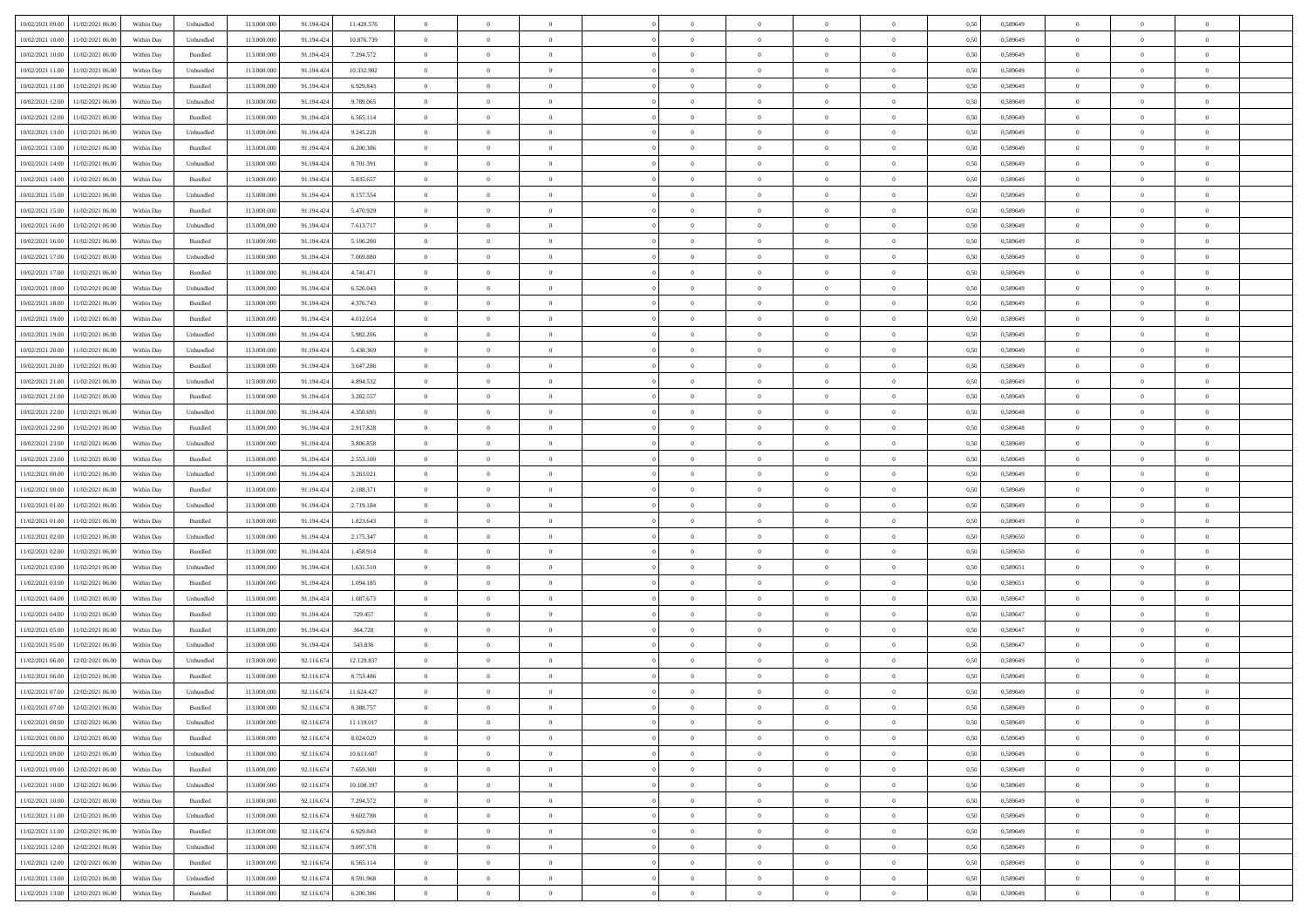|                                      |            |           |             |            |            | $\overline{0}$ | $\overline{0}$ |                | $\overline{0}$ | $\theta$       |                | $\theta$       |      |          | $\theta$       | $\theta$       | $\overline{0}$ |  |
|--------------------------------------|------------|-----------|-------------|------------|------------|----------------|----------------|----------------|----------------|----------------|----------------|----------------|------|----------|----------------|----------------|----------------|--|
| 10/02/2021 09:00 11/02/2021 06:00    | Within Day | Unbundled | 113.000.000 | 91.194.424 | 11.420.576 |                |                |                |                |                |                |                | 0,50 | 0,589649 |                |                |                |  |
| 10/02/2021 10:00<br>11/02/2021 06:00 | Within Day | Unbundled | 113.000.00  | 91.194.42  | 10.876.739 | $\bf{0}$       | $\bf{0}$       | $\bf{0}$       | $\bf{0}$       | $\overline{0}$ | $\overline{0}$ | $\bf{0}$       | 0,50 | 0,589649 | $\,$ 0 $\,$    | $\bf{0}$       | $\overline{0}$ |  |
| 10/02/2021 10:00<br>11/02/2021 06:00 | Within Day | Bundled   | 113,000,000 | 91.194.424 | 7.294.572  | $\overline{0}$ | $\bf{0}$       | $\overline{0}$ | $\bf{0}$       | $\bf{0}$       | $\overline{0}$ | $\bf{0}$       | 0.50 | 0.589649 | $\overline{0}$ | $\overline{0}$ | $\bf{0}$       |  |
| 10/02/2021 11:00<br>11/02/2021 06:00 | Within Day | Unbundled | 113.000.000 | 91.194.424 | 10.332.902 | $\overline{0}$ | $\overline{0}$ | $\overline{0}$ | $\overline{0}$ | $\theta$       | $\overline{0}$ | $\bf{0}$       | 0,50 | 0,589649 | $\,$ 0 $\,$    | $\theta$       | $\overline{0}$ |  |
|                                      |            |           |             |            |            |                |                |                |                |                |                |                |      |          |                |                |                |  |
| 10/02/2021 11:00<br>11/02/2021 06:00 | Within Day | Bundled   | 113.000.00  | 91.194.424 | 6.929.843  | $\bf{0}$       | $\overline{0}$ | $\bf{0}$       | $\overline{0}$ | $\bf{0}$       | $\overline{0}$ | $\bf{0}$       | 0,50 | 0,589649 | $\,$ 0 $\,$    | $\bf{0}$       | $\overline{0}$ |  |
| 10/02/2021 12:00<br>11/02/2021 06:00 | Within Day | Unbundled | 113,000,000 | 91.194.424 | 9.789.065  | $\overline{0}$ | $\bf{0}$       | $\overline{0}$ | $\bf{0}$       | $\overline{0}$ | $\overline{0}$ | $\bf{0}$       | 0.50 | 0.589649 | $\,$ 0 $\,$    | $\theta$       | $\overline{0}$ |  |
| 10/02/2021 12:00<br>11/02/2021 06:00 | Within Day | Bundled   | 113.000.000 | 91.194.424 | 6.565.114  | $\overline{0}$ | $\overline{0}$ | $\overline{0}$ | $\overline{0}$ | $\overline{0}$ | $\overline{0}$ | $\bf{0}$       | 0,50 | 0,589649 | $\,$ 0 $\,$    | $\theta$       | $\overline{0}$ |  |
|                                      |            |           |             |            |            |                |                |                |                |                |                |                |      |          |                |                |                |  |
| 10/02/2021 13:00<br>11/02/2021 06:00 | Within Day | Unbundled | 113.000.00  | 91.194.424 | 9.245.228  | $\bf{0}$       | $\bf{0}$       | $\bf{0}$       | $\overline{0}$ | $\overline{0}$ | $\overline{0}$ | $\bf{0}$       | 0,50 | 0,589649 | $\,$ 0 $\,$    | $\bf{0}$       | $\overline{0}$ |  |
| 10/02/2021 13:00<br>11/02/2021 06:00 | Within Day | Bundled   | 113,000,000 | 91.194.42  | 6.200.386  | $\overline{0}$ | $\bf{0}$       | $\overline{0}$ | $\bf{0}$       | $\overline{0}$ | $\overline{0}$ | $\bf{0}$       | 0.50 | 0.589649 | $\bf{0}$       | $\overline{0}$ | $\overline{0}$ |  |
| 10/02/2021 14:00<br>11/02/2021 06:00 | Within Day | Unbundled | 113.000.000 | 91.194.424 | 8.701.391  | $\bf{0}$       | $\bf{0}$       | $\overline{0}$ | $\overline{0}$ | $\overline{0}$ | $\overline{0}$ | $\bf{0}$       | 0,50 | 0,589649 | $\,$ 0 $\,$    | $\,$ 0 $\,$    | $\overline{0}$ |  |
| 10/02/2021 14:00<br>11/02/2021 06:00 | Within Day | Bundled   | 113.000.00  | 91.194.424 | 5.835.657  | $\bf{0}$       | $\bf{0}$       | $\bf{0}$       | $\bf{0}$       | $\overline{0}$ | $\overline{0}$ | $\bf{0}$       | 0,50 | 0,589649 | $\,$ 0 $\,$    | $\bf{0}$       | $\overline{0}$ |  |
|                                      |            |           | 113,000,000 | 91.194.424 |            |                |                | $\overline{0}$ |                |                | $\overline{0}$ |                |      |          |                | $\,$ 0 $\,$    | $\,$ 0         |  |
| 10/02/2021 15:00<br>11/02/2021 06:00 | Within Day | Unbundled |             |            | 8.157.554  | $\overline{0}$ | $\bf{0}$       |                | $\overline{0}$ | $\overline{0}$ |                | $\bf{0}$       | 0.50 | 0.589649 | $\bf{0}$       |                |                |  |
| 10/02/2021 15:00<br>11/02/2021 06:00 | Within Day | Bundled   | 113.000.000 | 91.194.424 | 5.470.929  | $\overline{0}$ | $\overline{0}$ | $\overline{0}$ | $\theta$       | $\theta$       | $\overline{0}$ | $\bf{0}$       | 0,50 | 0,589649 | $\,$ 0 $\,$    | $\theta$       | $\overline{0}$ |  |
| 10/02/2021 16:00<br>11/02/2021 06:00 | Within Day | Unbundled | 113.000.00  | 91.194.424 | 7.613.717  | $\bf{0}$       | $\overline{0}$ | $\bf{0}$       | $\bf{0}$       | $\overline{0}$ | $\overline{0}$ | $\bf{0}$       | 0,50 | 0,589649 | $\,$ 0 $\,$    | $\bf{0}$       | $\overline{0}$ |  |
| 10/02/2021 16:00<br>11/02/2021 06:00 | Within Day | Bundled   | 113,000,000 | 91.194.424 | 5.106.200  | $\overline{0}$ | $\bf{0}$       | $\overline{0}$ | $\bf{0}$       | $\overline{0}$ | $\theta$       | $\bf{0}$       | 0.50 | 0.589649 | $\,$ 0 $\,$    | $\theta$       | $\overline{0}$ |  |
| 10/02/2021 17:00<br>11/02/2021 06:00 | Within Day | Unbundled | 113.000.000 | 91.194.424 | 7.069.880  | $\overline{0}$ | $\overline{0}$ | $\overline{0}$ | $\overline{0}$ | $\overline{0}$ | $\overline{0}$ | $\bf{0}$       | 0,50 | 0,589649 | $\theta$       | $\theta$       | $\overline{0}$ |  |
|                                      |            |           |             |            |            |                |                |                |                |                |                |                |      |          |                |                |                |  |
| 10/02/2021 17:00<br>11/02/2021 06:00 | Within Day | Bundled   | 113.000.00  | 91.194.424 | 4.741.471  | $\bf{0}$       | $\bf{0}$       | $\bf{0}$       | $\overline{0}$ | $\overline{0}$ | $\overline{0}$ | $\bf{0}$       | 0,50 | 0,589649 | $\,$ 0 $\,$    | $\bf{0}$       | $\overline{0}$ |  |
| 10/02/2021 18:00<br>11/02/2021 06:00 | Within Day | Unbundled | 113,000,000 | 91.194.424 | 6.526.043  | $\overline{0}$ | $\bf{0}$       | $\overline{0}$ | $\bf{0}$       | $\bf{0}$       | $\overline{0}$ | $\bf{0}$       | 0.50 | 0.589649 | $\bf{0}$       | $\overline{0}$ | $\bf{0}$       |  |
| 10/02/2021 18:00<br>11/02/2021 06:00 | Within Day | Bundled   | 113.000.000 | 91.194.424 | 4.376.743  | $\overline{0}$ | $\bf{0}$       | $\overline{0}$ | $\overline{0}$ | $\overline{0}$ | $\overline{0}$ | $\bf{0}$       | 0,50 | 0,589649 | $\,$ 0 $\,$    | $\bf{0}$       | $\overline{0}$ |  |
| 10/02/2021 19:00<br>11/02/2021 06:00 | Within Day | Bundled   | 113.000.00  | 91.194.424 | 4.012.014  | $\bf{0}$       | $\bf{0}$       | $\bf{0}$       | $\bf{0}$       | $\overline{0}$ | $\overline{0}$ | $\bf{0}$       | 0,50 | 0,589649 | $\,$ 0 $\,$    | $\bf{0}$       | $\overline{0}$ |  |
|                                      |            |           | 113,000,000 |            |            |                |                |                |                |                | $\overline{0}$ |                | 0.50 |          |                |                | $\,$ 0         |  |
| 10/02/2021 19:00<br>11/02/2021 06:00 | Within Day | Unbundled |             | 91.194.424 | 5.982.206  | $\overline{0}$ | $\bf{0}$       | $\overline{0}$ | $\overline{0}$ | $\bf{0}$       |                | $\bf{0}$       |      | 0.589649 | $\bf{0}$       | $\overline{0}$ |                |  |
| 10/02/2021 20:00<br>11/02/2021 06:00 | Within Day | Unbundled | 113.000.000 | 91.194.424 | 5.438.369  | $\overline{0}$ | $\overline{0}$ | $\overline{0}$ | $\overline{0}$ | $\theta$       | $\overline{0}$ | $\bf{0}$       | 0,50 | 0,589649 | $\theta$       | $\theta$       | $\overline{0}$ |  |
| 10/02/2021 20:00<br>11/02/2021 06:00 | Within Day | Bundled   | 113.000.00  | 91.194.424 | 3.647.286  | $\bf{0}$       | $\bf{0}$       | $\bf{0}$       | $\bf{0}$       | $\overline{0}$ | $\overline{0}$ | $\bf{0}$       | 0,50 | 0,589649 | $\,$ 0 $\,$    | $\bf{0}$       | $\overline{0}$ |  |
| 10/02/2021 21:00<br>11/02/2021 06:00 | Within Day | Unbundled | 113,000,000 | 91.194.424 | 4.894.532  | $\overline{0}$ | $\bf{0}$       | $\overline{0}$ | $\bf{0}$       | $\overline{0}$ | $\theta$       | $\bf{0}$       | 0.50 | 0.589649 | $\,$ 0 $\,$    | $\overline{0}$ | $\overline{0}$ |  |
| 10/02/2021 21:00<br>11/02/2021 06:00 | Within Day | Bundled   | 113.000.000 | 91.194.424 | 3.282.557  | $\overline{0}$ | $\overline{0}$ | $\overline{0}$ | $\overline{0}$ | $\overline{0}$ | $\overline{0}$ | $\bf{0}$       | 0,50 | 0,589649 | $\,$ 0 $\,$    | $\theta$       | $\overline{0}$ |  |
|                                      |            |           |             |            |            |                |                |                |                |                |                |                |      |          |                |                |                |  |
| 10/02/2021 22:00<br>11/02/2021 06:00 | Within Day | Unbundled | 113.000.00  | 91.194.424 | 4.350.695  | $\bf{0}$       | $\overline{0}$ | $\bf{0}$       | $\overline{0}$ | $\overline{0}$ | $\overline{0}$ | $\bf{0}$       | 0,50 | 0,589648 | $\,$ 0 $\,$    | $\bf{0}$       | $\overline{0}$ |  |
| 10/02/2021 22:00<br>11/02/2021 06:00 | Within Day | Bundled   | 113,000,000 | 91.194.42  | 2.917.828  | $\overline{0}$ | $\bf{0}$       | $\overline{0}$ | $\bf{0}$       | $\overline{0}$ | $\overline{0}$ | $\bf{0}$       | 0.50 | 0.589648 | $\bf{0}$       | $\overline{0}$ | $\overline{0}$ |  |
| 10/02/2021 23:00<br>11/02/2021 06:00 | Within Day | Unbundled | 113.000.000 | 91.194.424 | 3.806.858  | $\overline{0}$ | $\bf{0}$       | $\overline{0}$ | $\overline{0}$ | $\overline{0}$ | $\overline{0}$ | $\bf{0}$       | 0,50 | 0,589649 | $\theta$       | $\bf{0}$       | $\overline{0}$ |  |
| 10/02/2021 23:00<br>11/02/2021 06:00 | Within Day | Bundled   | 113.000.00  | 91.194.424 | 2.553.100  | $\bf{0}$       | $\bf{0}$       | $\bf{0}$       | $\bf{0}$       | $\overline{0}$ | $\overline{0}$ | $\bf{0}$       | 0,50 | 0,589649 | $\,$ 0 $\,$    | $\bf{0}$       | $\overline{0}$ |  |
| 11/02/2021 00:00<br>11/02/2021 06:00 | Within Day | Unbundled | 113,000,000 | 91.194.424 | 3.263.021  | $\overline{0}$ | $\bf{0}$       | $\overline{0}$ | $\overline{0}$ | $\bf{0}$       | $\overline{0}$ | $\bf{0}$       | 0.50 | 0.589649 | $\bf{0}$       | $\,$ 0 $\,$    | $\,$ 0         |  |
|                                      |            |           |             |            |            |                |                |                |                |                |                |                |      |          |                |                |                |  |
| 11/02/2021 00:00<br>11/02/2021 06:00 | Within Day | Bundled   | 113.000.000 | 91.194.42  | 2.188.371  | $\overline{0}$ | $\overline{0}$ | $\overline{0}$ | $\overline{0}$ | $\overline{0}$ | $\overline{0}$ | $\bf{0}$       | 0.50 | 0.589649 | $\theta$       | $\theta$       | $\overline{0}$ |  |
| 11/02/2021 01:00<br>11/02/2021 06:00 | Within Day | Unbundled | 113.000.00  | 91.194.424 | 2.719.184  | $\bf{0}$       | $\bf{0}$       | $\bf{0}$       | $\bf{0}$       | $\overline{0}$ | $\overline{0}$ | $\bf{0}$       | 0,50 | 0,589649 | $\,$ 0 $\,$    | $\bf{0}$       | $\overline{0}$ |  |
| 11/02/2021 01:00<br>11/02/2021 06:00 | Within Day | Bundled   | 113,000,000 | 91.194.424 | 1.823.643  | $\overline{0}$ | $\bf{0}$       | $\overline{0}$ | $\bf{0}$       | $\overline{0}$ | $\overline{0}$ | $\bf{0}$       | 0.50 | 0.589649 | $\,$ 0 $\,$    | $\bf{0}$       | $\overline{0}$ |  |
| 11/02/2021 02:00<br>11/02/2021 06:00 | Within Dav | Unbundled | 113.000.000 | 91.194.424 | 2.175.347  | $\overline{0}$ | $\overline{0}$ | $\overline{0}$ | $\overline{0}$ | $\overline{0}$ | $\overline{0}$ | $\bf{0}$       | 0.50 | 0.589650 | $\theta$       | $\theta$       | $\overline{0}$ |  |
| 11/02/2021 06:00                     | Within Day | Bundled   | 113.000.00  | 91.194.424 | 1.458.914  | $\bf{0}$       | $\bf{0}$       | $\bf{0}$       | $\bf{0}$       | $\overline{0}$ | $\overline{0}$ | $\bf{0}$       | 0,50 | 0,589650 | $\,$ 0 $\,$    | $\bf{0}$       | $\overline{0}$ |  |
| 11/02/2021 02:00                     |            |           |             |            |            |                |                |                |                |                |                |                |      |          |                |                |                |  |
| 11/02/2021 03:00<br>11/02/2021 06:00 | Within Day | Unbundled | 113,000,000 | 91.194.424 | 1.631.510  | $\overline{0}$ | $\bf{0}$       | $\overline{0}$ | $\bf{0}$       | $\overline{0}$ | $\overline{0}$ | $\bf{0}$       | 0.50 | 0.589651 | $\bf{0}$       | $\overline{0}$ | $\bf{0}$       |  |
| 11/02/2021 03:00<br>11/02/2021 06:00 | Within Dav | Bundled   | 113.000.000 | 91.194.424 | 1.094.185  | $\overline{0}$ | $\overline{0}$ | $\overline{0}$ | $\overline{0}$ | $\overline{0}$ | $\overline{0}$ | $\bf{0}$       | 0.50 | 0.589651 | $\theta$       | $\theta$       | $\overline{0}$ |  |
| 11/02/2021 04:00<br>11/02/2021 06:00 | Within Day | Unbundled | 113.000.00  | 91.194.424 | 1.087.673  | $\bf{0}$       | $\bf{0}$       | $\bf{0}$       | $\bf{0}$       | $\overline{0}$ | $\bf{0}$       | $\bf{0}$       | 0,50 | 0,589647 | $\,$ 0 $\,$    | $\bf{0}$       | $\overline{0}$ |  |
| 11/02/2021 04:00<br>11/02/2021 06:00 | Within Day | Bundled   | 113,000,000 | 91.194.424 | 729.457    | $\overline{0}$ | $\bf{0}$       | $\overline{0}$ | $\overline{0}$ | $\bf{0}$       | $\overline{0}$ | $\bf{0}$       | 0.50 | 0.589647 | $\bf{0}$       | $\,$ 0 $\,$    | $\,$ 0         |  |
| 11/02/2021 06:00                     | Within Dav | Bundled   | 113.000.000 | 91.194.424 | 364,728    | $\overline{0}$ | $\overline{0}$ | $\overline{0}$ | $\overline{0}$ | $\overline{0}$ | $\overline{0}$ | $\bf{0}$       | 0.50 | 0.589647 | $\theta$       | $\theta$       | $\overline{0}$ |  |
| 11/02/2021 05:00                     |            |           |             |            |            |                |                |                |                |                |                |                |      |          |                |                |                |  |
| 11/02/2021 05:00<br>11/02/2021 06:00 | Within Day | Unbundled | 113.000.00  | 91.194.424 | 543.836    | $\bf{0}$       | $\bf{0}$       | $\bf{0}$       | $\bf{0}$       | $\overline{0}$ | $\overline{0}$ | $\bf{0}$       | 0,50 | 0,589647 | $\,$ 0 $\,$    | $\bf{0}$       | $\overline{0}$ |  |
| 11/02/2021 06:00<br>12/02/2021 06:00 | Within Day | Unbundled | 113,000,000 | 92.116.674 | 12.129.837 | $\overline{0}$ | $\overline{0}$ | $\overline{0}$ | $\bf{0}$       | $\overline{0}$ | $\overline{0}$ | $\bf{0}$       | 0.50 | 0.589649 | $\bf{0}$       | $\theta$       | $\overline{0}$ |  |
| 11/02/2021 06:00<br>12/02/2021 06:00 | Within Dav | Bundled   | 113.000.000 | 92.116.67  | 8,753,486  | $\overline{0}$ | $\overline{0}$ | $\overline{0}$ | $\theta$       | $\theta$       | $\overline{0}$ | $\overline{0}$ | 0.5( | 0.589649 | $\theta$       | $\theta$       | $\overline{0}$ |  |
| 11/02/2021 07:00<br>12/02/2021 06:00 | Within Day | Unbundled | 113.000.000 | 92.116.674 | 11.624.427 | $\bf{0}$       | $\bf{0}$       | $\bf{0}$       | $\bf{0}$       | $\bf{0}$       | $\overline{0}$ | $\bf{0}$       | 0,50 | 0,589649 | $\,$ 0 $\,$    | $\overline{0}$ | $\overline{0}$ |  |
| 11/02/2021 07:00 12/02/2021 06:00    |            | Bundled   | 113.000.000 |            | 8 388 757  |                |                |                |                |                |                |                |      | 0.589649 |                |                |                |  |
|                                      | Within Day |           |             | 92.116.674 |            | $\bf{0}$       | $\theta$       |                | $\overline{0}$ |                |                |                | 0,50 |          | $\bf{0}$       | $\bf{0}$       |                |  |
| 11/02/2021 08:00 12/02/2021 06:00    | Within Day | Unbundled | 113.000.000 | 92.116.674 | 11.119.017 | $\overline{0}$ | $\overline{0}$ | $\Omega$       | $\theta$       | $\overline{0}$ | $\overline{0}$ | $\bf{0}$       | 0,50 | 0,589649 | $\theta$       | $\theta$       | $\overline{0}$ |  |
| 11/02/2021 08:00<br>12/02/2021 06:00 | Within Day | Bundled   | 113.000.00  | 92.116.674 | 8.024.029  | $\overline{0}$ | $\bf{0}$       | $\overline{0}$ | $\overline{0}$ | $\bf{0}$       | $\overline{0}$ | $\bf{0}$       | 0,50 | 0,589649 | $\bf{0}$       | $\overline{0}$ | $\bf{0}$       |  |
| 11/02/2021 09:00 12/02/2021 06:00    | Within Day | Unbundled | 113,000,000 | 92.116.674 | 10.613.607 | $\overline{0}$ | $\bf{0}$       | $\overline{0}$ | $\overline{0}$ | $\mathbf{0}$   | $\overline{0}$ | $\,$ 0 $\,$    | 0.50 | 0.589649 | $\overline{0}$ | $\bf{0}$       | $\,$ 0 $\,$    |  |
| 11/02/2021 09:00 12/02/2021 06:00    | Within Dav | Bundled   | 113.000.000 | 92.116.674 | 7.659.300  | $\overline{0}$ | $\overline{0}$ | $\overline{0}$ | $\overline{0}$ | $\overline{0}$ | $\overline{0}$ | $\bf{0}$       | 0,50 | 0.589649 | $\overline{0}$ | $\theta$       | $\overline{0}$ |  |
|                                      |            |           |             |            |            |                |                |                |                |                |                |                |      |          |                |                |                |  |
| 11/02/2021 10:00<br>12/02/2021 06:00 | Within Day | Unbundled | 113.000.000 | 92.116.674 | 10.108.197 | $\overline{0}$ | $\bf{0}$       | $\overline{0}$ | $\overline{0}$ | $\bf{0}$       | $\overline{0}$ | $\bf{0}$       | 0,50 | 0,589649 | $\bf{0}$       | $\overline{0}$ | $\overline{0}$ |  |
| 12/02/2021 06:00<br>11/02/2021 10:00 | Within Day | Bundled   | 113,000,000 | 92.116.674 | 7.294.572  | $\overline{0}$ | $\bf{0}$       | $\overline{0}$ | $\overline{0}$ | $\overline{0}$ | $\overline{0}$ | $\bf{0}$       | 0.50 | 0.589649 | $\,$ 0 $\,$    | $\overline{0}$ | $\,$ 0         |  |
| 11/02/2021 11:00<br>12/02/2021 06:00 | Within Dav | Unbundled | 113.000.000 | 92.116.674 | 9.602.788  | $\overline{0}$ | $\overline{0}$ | $\overline{0}$ | $\overline{0}$ | $\overline{0}$ | $\overline{0}$ | $\bf{0}$       | 0,50 | 0.589649 | $\overline{0}$ | $\theta$       | $\overline{0}$ |  |
| 11/02/2021 11:00<br>12/02/2021 06:00 | Within Day | Bundled   | 113.000.00  | 92.116.674 | 6.929.843  | $\overline{0}$ | $\overline{0}$ | $\overline{0}$ | $\overline{0}$ | $\overline{0}$ | $\overline{0}$ | $\bf{0}$       | 0,50 | 0,589649 | $\bf{0}$       | $\overline{0}$ | $\,$ 0         |  |
|                                      |            |           |             |            |            |                |                |                |                |                |                |                |      |          |                |                |                |  |
| 11/02/2021 12:00<br>12/02/2021 06:00 | Within Day | Unbundled | 113,000,000 | 92.116.674 | 9.097.378  | $\overline{0}$ | $\overline{0}$ | $\overline{0}$ | $\overline{0}$ | $\overline{0}$ | $\overline{0}$ | $\bf{0}$       | 0.50 | 0.589649 | $\mathbf{0}$   | $\bf{0}$       | $\,$ 0         |  |
| 11/02/2021 12:00<br>12/02/2021 06:00 | Within Dav | Bundled   | 113.000.000 | 92.116.674 | 6.565.114  | $\overline{0}$ | $\overline{0}$ | $\overline{0}$ | $\overline{0}$ | $\overline{0}$ | $\overline{0}$ | $\bf{0}$       | 0,50 | 0.589649 | $\overline{0}$ | $\theta$       | $\overline{0}$ |  |
| 11/02/2021 13:00<br>12/02/2021 06:00 | Within Day | Unbundled | 113.000.00  | 92.116.674 | 8.591.968  | $\overline{0}$ | $\bf{0}$       | $\overline{0}$ | $\bf{0}$       | $\overline{0}$ | $\bf{0}$       | $\bf{0}$       | 0,50 | 0,589649 | $\bf{0}$       | $\,$ 0 $\,$    | $\bf{0}$       |  |
| 11/02/2021 13:00 12/02/2021 06:00    | Within Day | Bundled   | 113.000.000 | 92.116.674 | 6.200.386  | $\,$ 0 $\,$    | $\bf{0}$       | $\overline{0}$ | $\overline{0}$ | $\,$ 0 $\,$    | $\overline{0}$ | $\bf{0}$       | 0,50 | 0,589649 | $\overline{0}$ | $\,$ 0 $\,$    | $\,$ 0 $\,$    |  |
|                                      |            |           |             |            |            |                |                |                |                |                |                |                |      |          |                |                |                |  |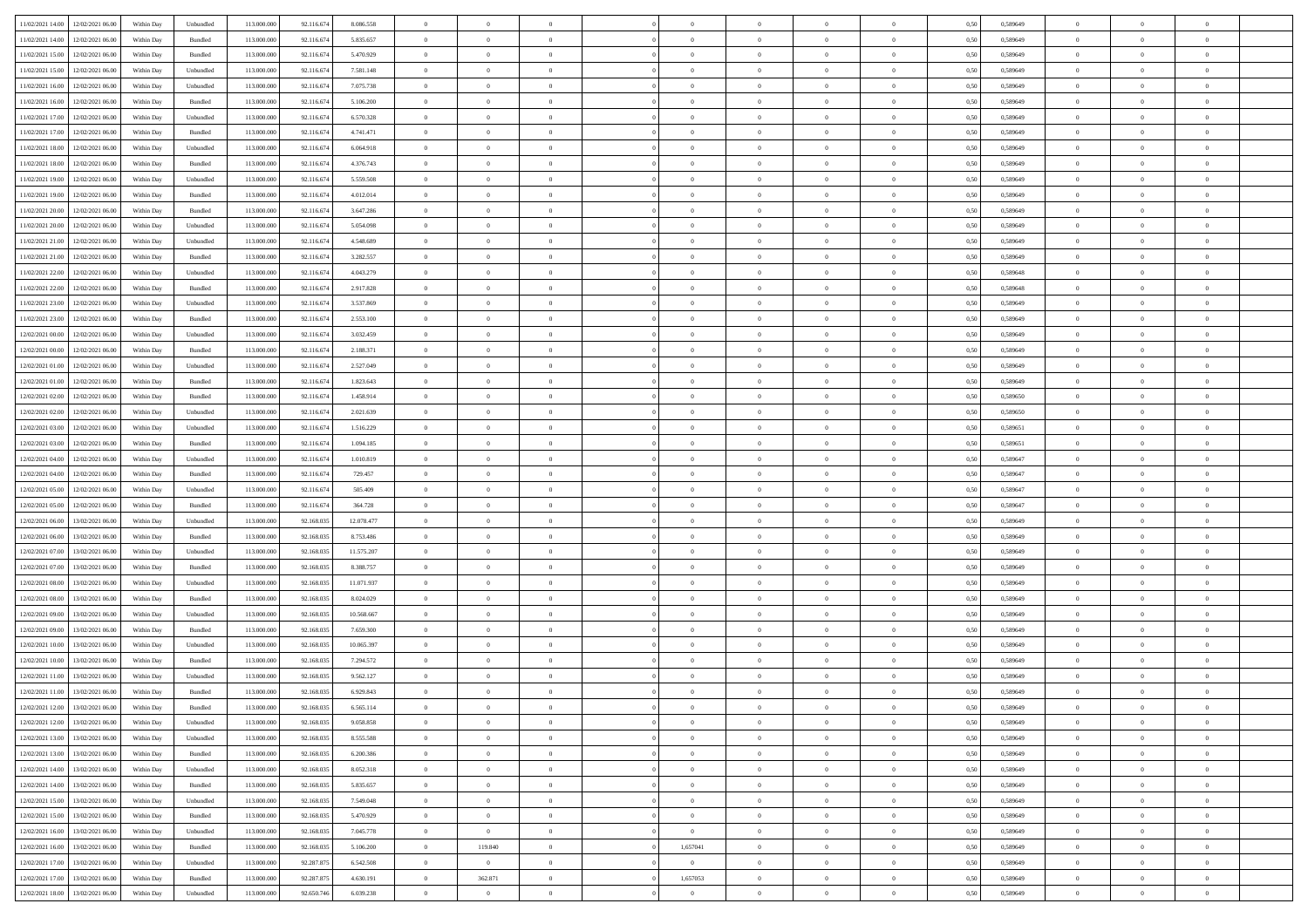|                                              |            |                    |             |            |            | $\overline{0}$ | $\overline{0}$ |                | $\overline{0}$ | $\theta$       |                | $\theta$       |      |          | $\theta$       | $\theta$       | $\overline{0}$ |  |
|----------------------------------------------|------------|--------------------|-------------|------------|------------|----------------|----------------|----------------|----------------|----------------|----------------|----------------|------|----------|----------------|----------------|----------------|--|
| 11/02/2021 14:00 12/02/2021 06:00            | Within Day | Unbundled          | 113.000.000 | 92.116.674 | 8.086.558  |                |                |                |                |                |                |                | 0,50 | 0,589649 |                |                |                |  |
| 11/02/2021 14:00<br>12/02/2021 06:00         | Within Day | Bundled            | 113.000.00  | 92.116.674 | 5.835.657  | $\bf{0}$       | $\bf{0}$       | $\bf{0}$       | $\bf{0}$       | $\overline{0}$ | $\overline{0}$ | $\bf{0}$       | 0,50 | 0,589649 | $\,$ 0 $\,$    | $\bf{0}$       | $\overline{0}$ |  |
| 11/02/2021 15:00<br>12/02/2021 06:00         | Within Day | Bundled            | 113,000,000 | 92.116.674 | 5.470.929  | $\overline{0}$ | $\bf{0}$       | $\overline{0}$ | $\bf{0}$       | $\overline{0}$ | $\overline{0}$ | $\bf{0}$       | 0.50 | 0.589649 | $\bf{0}$       | $\overline{0}$ | $\bf{0}$       |  |
| 11/02/2021 15:00<br>12/02/2021 06:00         |            |                    | 113.000.000 |            |            | $\overline{0}$ | $\overline{0}$ | $\overline{0}$ | $\overline{0}$ | $\theta$       | $\overline{0}$ |                |      |          | $\,$ 0 $\,$    | $\,$ 0 $\,$    | $\overline{0}$ |  |
|                                              | Within Day | Unbundled          |             | 92.116.674 | 7.581.148  |                |                |                |                |                |                | $\bf{0}$       | 0,50 | 0,589649 |                |                |                |  |
| 11/02/2021 16:00<br>12/02/2021 06:00         | Within Day | Unbundled          | 113.000.00  | 92.116.674 | 7.075.738  | $\bf{0}$       | $\overline{0}$ | $\bf{0}$       | $\overline{0}$ | $\bf{0}$       | $\overline{0}$ | $\bf{0}$       | 0,50 | 0,589649 | $\,$ 0 $\,$    | $\bf{0}$       | $\overline{0}$ |  |
| 11/02/2021 16:00<br>12/02/2021 06:00         | Within Day | Bundled            | 113,000,000 | 92.116.674 | 5.106.200  | $\overline{0}$ | $\bf{0}$       | $\overline{0}$ | $\bf{0}$       | $\overline{0}$ | $\overline{0}$ | $\bf{0}$       | 0.50 | 0.589649 | $\,$ 0 $\,$    | $\theta$       | $\overline{0}$ |  |
| 11/02/2021 17:00<br>12/02/2021 06:00         | Within Day | Unbundled          | 113.000.000 | 92.116.674 | 6.570.328  | $\overline{0}$ | $\overline{0}$ | $\overline{0}$ | $\overline{0}$ | $\overline{0}$ | $\overline{0}$ | $\bf{0}$       | 0,50 | 0,589649 | $\,$ 0 $\,$    | $\theta$       | $\overline{0}$ |  |
|                                              |            |                    |             |            |            |                |                |                |                |                |                |                |      |          |                |                |                |  |
| 11/02/2021 17:00<br>12/02/2021 06:00         | Within Day | Bundled            | 113.000.00  | 92.116.674 | 4.741.471  | $\bf{0}$       | $\bf{0}$       | $\bf{0}$       | $\bf{0}$       | $\overline{0}$ | $\overline{0}$ | $\bf{0}$       | 0,50 | 0,589649 | $\,$ 0 $\,$    | $\bf{0}$       | $\overline{0}$ |  |
| 11/02/2021 18:00<br>12/02/2021 06:00         | Within Day | Unbundled          | 113,000,000 | 92.116.67  | 6.064.918  | $\overline{0}$ | $\bf{0}$       | $\overline{0}$ | $\bf{0}$       | $\overline{0}$ | $\overline{0}$ | $\bf{0}$       | 0.50 | 0.589649 | $\bf{0}$       | $\overline{0}$ | $\overline{0}$ |  |
| 11/02/2021 18:00<br>12/02/2021 06:00         | Within Day | Bundled            | 113.000.000 | 92.116.674 | 4.376.743  | $\overline{0}$ | $\bf{0}$       | $\overline{0}$ | $\overline{0}$ | $\overline{0}$ | $\overline{0}$ | $\bf{0}$       | 0,50 | 0,589649 | $\,$ 0 $\,$    | $\,$ 0 $\,$    | $\overline{0}$ |  |
|                                              |            |                    |             |            |            |                |                |                |                |                |                |                |      |          |                |                |                |  |
| 11/02/2021 19:00<br>12/02/2021 06:00         | Within Day | Unbundled          | 113.000.00  | 92.116.674 | 5.559.508  | $\bf{0}$       | $\bf{0}$       | $\bf{0}$       | $\bf{0}$       | $\overline{0}$ | $\overline{0}$ | $\bf{0}$       | 0,50 | 0,589649 | $\,$ 0 $\,$    | $\bf{0}$       | $\overline{0}$ |  |
| 11/02/2021 19:00<br>12/02/2021 06:00         | Within Day | Bundled            | 113,000,000 | 92.116.674 | 4.012.014  | $\overline{0}$ | $\bf{0}$       | $\overline{0}$ | $\overline{0}$ | $\overline{0}$ | $\overline{0}$ | $\bf{0}$       | 0.50 | 0.589649 | $\bf{0}$       | $\,$ 0 $\,$    | $\,$ 0         |  |
| 11/02/2021 20:00<br>12/02/2021 06:00         | Within Day | Bundled            | 113.000.000 | 92.116.674 | 3.647.286  | $\overline{0}$ | $\bf{0}$       | $\overline{0}$ | $\theta$       | $\theta$       | $\overline{0}$ | $\bf{0}$       | 0,50 | 0,589649 | $\,$ 0 $\,$    | $\theta$       | $\overline{0}$ |  |
| 11/02/2021 20:00<br>12/02/2021 06:00         | Within Day | Unbundled          | 113.000.00  | 92.116.674 | 5.054.098  | $\bf{0}$       | $\bf{0}$       | $\bf{0}$       | $\bf{0}$       | $\overline{0}$ | $\overline{0}$ | $\bf{0}$       | 0,50 | 0,589649 | $\,$ 0 $\,$    | $\bf{0}$       | $\overline{0}$ |  |
|                                              |            |                    |             |            |            |                |                |                |                |                |                |                |      |          |                |                |                |  |
| 11/02/2021 21:00<br>12/02/2021 06:00         | Within Day | Unbundled          | 113,000,000 | 92.116.674 | 4.548.689  | $\overline{0}$ | $\bf{0}$       | $\overline{0}$ | $\bf{0}$       | $\overline{0}$ | $\overline{0}$ | $\bf{0}$       | 0.50 | 0.589649 | $\,$ 0 $\,$    | $\bf{0}$       | $\overline{0}$ |  |
| 11/02/2021 21:00<br>12/02/2021 06:00         | Within Day | Bundled            | 113.000.000 | 92.116.674 | 3.282.557  | $\overline{0}$ | $\overline{0}$ | $\overline{0}$ | $\overline{0}$ | $\overline{0}$ | $\overline{0}$ | $\bf{0}$       | 0,50 | 0,589649 | $\theta$       | $\theta$       | $\overline{0}$ |  |
| 11/02/2021 22:00<br>12/02/2021 06:00         | Within Day | Unbundled          | 113.000.00  | 92.116.674 | 4.043.279  | $\bf{0}$       | $\bf{0}$       | $\bf{0}$       | $\overline{0}$ | $\overline{0}$ | $\overline{0}$ | $\bf{0}$       | 0,50 | 0,589648 | $\,$ 0 $\,$    | $\bf{0}$       | $\overline{0}$ |  |
|                                              |            |                    |             |            |            |                |                |                |                |                |                |                |      |          |                |                |                |  |
| 11/02/2021 22:00<br>12/02/2021 06:00         | Within Day | Bundled            | 113,000,00  | 92.116.67  | 2.917.828  | $\overline{0}$ | $\bf{0}$       | $\overline{0}$ | $\bf{0}$       | $\bf{0}$       | $\overline{0}$ | $\bf{0}$       | 0.50 | 0.589648 | $\bf{0}$       | $\overline{0}$ | $\bf{0}$       |  |
| 11/02/2021 23:00<br>12/02/2021 06:00         | Within Day | Unbundled          | 113.000.000 | 92.116.674 | 3.537.869  | $\overline{0}$ | $\bf{0}$       | $\overline{0}$ | $\overline{0}$ | $\overline{0}$ | $\overline{0}$ | $\bf{0}$       | 0,50 | 0,589649 | $\,$ 0 $\,$    | $\bf{0}$       | $\overline{0}$ |  |
| 11/02/2021 23:00<br>12/02/2021 06:00         | Within Day | Bundled            | 113.000.00  | 92.116.674 | 2.553.100  | $\bf{0}$       | $\bf{0}$       | $\bf{0}$       | $\bf{0}$       | $\overline{0}$ | $\overline{0}$ | $\bf{0}$       | 0,50 | 0,589649 | $\,$ 0 $\,$    | $\bf{0}$       | $\overline{0}$ |  |
| 12/02/2021 00:00<br>12/02/2021 06:00         | Within Day | Unbundled          | 113,000,000 | 92.116.674 | 3.032.459  | $\overline{0}$ | $\bf{0}$       | $\overline{0}$ | $\overline{0}$ | $\bf{0}$       | $\overline{0}$ | $\bf{0}$       | 0.50 | 0.589649 | $\bf{0}$       | $\overline{0}$ | $\,$ 0         |  |
|                                              |            |                    |             |            |            | $\overline{0}$ | $\overline{0}$ | $\overline{0}$ | $\overline{0}$ | $\theta$       | $\overline{0}$ |                |      |          | $\theta$       | $\theta$       | $\overline{0}$ |  |
| 12/02/2021 00:00<br>12/02/2021 06:00         | Within Day | Bundled            | 113.000.000 | 92.116.674 | 2.188.371  |                |                |                |                |                |                | $\bf{0}$       | 0,50 | 0,589649 |                |                |                |  |
| 12/02/2021 01:00<br>12/02/2021 06:00         | Within Day | Unbundled          | 113.000.00  | 92.116.674 | 2.527.049  | $\bf{0}$       | $\bf{0}$       | $\bf{0}$       | $\bf{0}$       | $\overline{0}$ | $\overline{0}$ | $\bf{0}$       | 0,50 | 0,589649 | $\,$ 0 $\,$    | $\bf{0}$       | $\overline{0}$ |  |
| 12/02/2021 01:00<br>12/02/2021 06:00         | Within Day | Bundled            | 113,000,000 | 92.116.67  | 1.823.643  | $\overline{0}$ | $\bf{0}$       | $\overline{0}$ | $\bf{0}$       | $\overline{0}$ | $\overline{0}$ | $\bf{0}$       | 0.50 | 0.589649 | $\,$ 0 $\,$    | $\overline{0}$ | $\overline{0}$ |  |
| 12/02/2021 02:00<br>12/02/2021 06:00         | Within Day | Bundled            | 113.000.000 | 92.116.674 | 1.458.914  | $\overline{0}$ | $\overline{0}$ | $\overline{0}$ | $\overline{0}$ | $\overline{0}$ | $\overline{0}$ | $\bf{0}$       | 0,50 | 0,589650 | $\,$ 0 $\,$    | $\theta$       | $\overline{0}$ |  |
|                                              |            |                    |             |            |            |                |                |                |                |                | $\overline{0}$ |                |      |          |                |                |                |  |
| 12/02/2021 02:00<br>12/02/2021 06:00         | Within Day | Unbundled          | 113.000.00  | 92.116.674 | 2.021.639  | $\bf{0}$       | $\overline{0}$ | $\bf{0}$       | $\overline{0}$ | $\overline{0}$ |                | $\bf{0}$       | 0,50 | 0,589650 | $\,$ 0 $\,$    | $\bf{0}$       | $\overline{0}$ |  |
| 12/02/2021 03:00<br>12/02/2021 06:00         | Within Day | Unbundled          | 113,000,000 | 92.116.674 | 1.516.229  | $\overline{0}$ | $\bf{0}$       | $\overline{0}$ | $\bf{0}$       | $\overline{0}$ | $\overline{0}$ | $\bf{0}$       | 0.50 | 0.589651 | $\bf{0}$       | $\overline{0}$ | $\overline{0}$ |  |
| 12/02/2021 03:00<br>12/02/2021 06:00         | Within Day | Bundled            | 113.000.000 | 92.116.674 | 1.094.185  | $\overline{0}$ | $\bf{0}$       | $\overline{0}$ | $\overline{0}$ | $\overline{0}$ | $\overline{0}$ | $\bf{0}$       | 0,50 | 0,589651 | $\theta$       | $\bf{0}$       | $\overline{0}$ |  |
| 12/02/2021 04:00<br>12/02/2021 06:00         | Within Day | Unbundled          | 113.000.00  | 92.116.674 | 1.010.819  | $\bf{0}$       | $\bf{0}$       | $\bf{0}$       | $\bf{0}$       | $\overline{0}$ | $\bf{0}$       | $\bf{0}$       | 0,50 | 0,589647 | $\,$ 0 $\,$    | $\bf{0}$       | $\overline{0}$ |  |
|                                              |            | Bundled            | 113,000,000 |            |            |                | $\bf{0}$       |                |                | $\bf{0}$       | $\overline{0}$ |                | 0.50 | 0.589647 | $\bf{0}$       | $\,$ 0 $\,$    | $\,$ 0         |  |
| 12/02/2021 04:00<br>12/02/2021 06:00         | Within Day |                    |             | 92.116.674 | 729.457    | $\overline{0}$ |                | $\overline{0}$ | $\overline{0}$ |                |                | $\bf{0}$       |      |          |                |                |                |  |
| 12/02/2021 05:00<br>12/02/2021 06:00         | Within Day | Unbundled          | 113.000.000 | 92.116.674 | 505,409    | $\overline{0}$ | $\overline{0}$ | $\overline{0}$ | $\overline{0}$ | $\overline{0}$ | $\overline{0}$ | $\bf{0}$       | 0.50 | 0.589647 | $\theta$       | $\theta$       | $\overline{0}$ |  |
| 12/02/2021 05:00<br>12/02/2021 06:00         | Within Day | Bundled            | 113.000.00  | 92.116.674 | 364.728    | $\bf{0}$       | $\bf{0}$       | $\bf{0}$       | $\bf{0}$       | $\overline{0}$ | $\overline{0}$ | $\bf{0}$       | 0,50 | 0,589647 | $\,$ 0 $\,$    | $\bf{0}$       | $\overline{0}$ |  |
| 12/02/2021 06:00<br>13/02/2021 06:00         | Within Day | Unbundled          | 113,000,000 | 92.168.03: | 12.078.477 | $\overline{0}$ | $\bf{0}$       | $\overline{0}$ | $\bf{0}$       | $\overline{0}$ | $\overline{0}$ | $\bf{0}$       | 0.50 | 0.589649 | $\,$ 0 $\,$    | $\bf{0}$       | $\overline{0}$ |  |
| 12/02/2021 06:00<br>13/02/2021 06:00         | Within Dav | Bundled            | 113.000.000 | 92.168.035 | 8.753.486  | $\overline{0}$ | $\overline{0}$ | $\overline{0}$ | $\overline{0}$ | $\overline{0}$ | $\overline{0}$ | $\bf{0}$       | 0.50 | 0.589649 | $\theta$       | $\theta$       | $\overline{0}$ |  |
|                                              |            |                    |             |            |            |                |                |                |                |                |                |                |      |          |                |                |                |  |
| 12/02/2021 07:00<br>13/02/2021 06:00         | Within Day | Unbundled          | 113.000.00  | 92.168.03: | 11.575.207 | $\bf{0}$       | $\bf{0}$       | $\bf{0}$       | $\bf{0}$       | $\overline{0}$ | $\overline{0}$ | $\bf{0}$       | 0,50 | 0,589649 | $\,$ 0 $\,$    | $\bf{0}$       | $\overline{0}$ |  |
| 12/02/2021 07:00<br>13/02/2021 06:00         | Within Day | Bundled            | 113,000,000 | 92.168.03: | 8.388.757  | $\overline{0}$ | $\bf{0}$       | $\overline{0}$ | $\bf{0}$       | $\overline{0}$ | $\overline{0}$ | $\bf{0}$       | 0.50 | 0.589649 | $\bf{0}$       | $\overline{0}$ | $\overline{0}$ |  |
| 12/02/2021 08:00<br>13/02/2021 06:00         | Within Day | Unbundled          | 113.000.000 | 92.168.03: | 11.071.937 | $\overline{0}$ | $\overline{0}$ | $\overline{0}$ | $\overline{0}$ | $\overline{0}$ | $\overline{0}$ | $\bf{0}$       | 0.50 | 0.589649 | $\theta$       | $\theta$       | $\overline{0}$ |  |
| 12/02/2021 08:00<br>13/02/2021 06:00         | Within Day | Bundled            | 113.000.00  | 92.168.03: | 8.024.029  | $\bf{0}$       | $\bf{0}$       | $\bf{0}$       | $\bf{0}$       | $\overline{0}$ | $\bf{0}$       | $\bf{0}$       | 0,50 | 0,589649 | $\,$ 0 $\,$    | $\bf{0}$       | $\overline{0}$ |  |
|                                              |            |                    |             |            |            |                |                |                |                |                |                |                |      |          |                |                |                |  |
| 12/02/2021 09:00<br>13/02/2021 06:00         | Within Day | Unbundled          | 113,000,000 | 92.168.035 | 10.568.667 | $\overline{0}$ | $\bf{0}$       | $\overline{0}$ | $\overline{0}$ | $\bf{0}$       | $\overline{0}$ | $\bf{0}$       | 0.50 | 0.589649 | $\bf{0}$       | $\,$ 0 $\,$    | $\,$ 0         |  |
| 12/02/2021 09:00<br>13/02/2021 06:00         | Within Dav | Bundled            | 113.000.000 | 92.168.03: | 7.659.300  | $\overline{0}$ | $\overline{0}$ | $\overline{0}$ | $\overline{0}$ | $\overline{0}$ | $\overline{0}$ | $\bf{0}$       | 0.50 | 0.589649 | $\theta$       | $\theta$       | $\overline{0}$ |  |
| 12/02/2021 10:00<br>13/02/2021 06:00         | Within Day | Unbundled          | 113.000.00  | 92.168.03: | 10.065.397 | $\bf{0}$       | $\bf{0}$       | $\bf{0}$       | $\bf{0}$       | $\overline{0}$ | $\overline{0}$ | $\bf{0}$       | 0,50 | 0,589649 | $\,$ 0 $\,$    | $\bf{0}$       | $\overline{0}$ |  |
| 12/02/2021 10:00<br>13/02/2021 06:00         | Within Day | Bundled            | 113,000,000 | 92.168.03: | 7.294.572  | $\overline{0}$ | $\bf{0}$       | $\overline{0}$ | $\bf{0}$       | $\overline{0}$ | $\overline{0}$ | $\bf{0}$       | 0.50 | 0.589649 | $\bf{0}$       | $\theta$       | $\overline{0}$ |  |
|                                              |            |                    |             |            |            |                |                |                |                |                |                |                |      |          |                |                |                |  |
| 12/02/2021 11:00<br>13/02/2021 06:00         | Within Dav | Unbundled          | 113.000.000 | 92.168.03: | 9.562.127  | $\overline{0}$ | $\overline{0}$ | $\overline{0}$ | $\overline{0}$ | $\theta$       | $\overline{0}$ | $\overline{0}$ | 0.5( | 0.589649 | $\theta$       | $\theta$       | $\overline{0}$ |  |
| 12/02/2021 11:00<br>13/02/2021 06:00         | Within Day | Bundled            | 113.000.00  | 92.168.03: | 6.929.843  | $\bf{0}$       | $\bf{0}$       | $\bf{0}$       | $\bf{0}$       | $\bf{0}$       | $\overline{0}$ | $\bf{0}$       | 0,50 | 0,589649 | $\,$ 0 $\,$    | $\overline{0}$ | $\overline{0}$ |  |
| $12/02/2021\ 12.00 \qquad 13/02/2021\ 06.00$ | Within Day | $\mathbf B$ undled | 113.000.000 | 92.168.035 | 6.565.114  | $\bf{0}$       | $\bf{0}$       |                | $\overline{0}$ | $\bf{0}$       |                |                | 0,50 | 0.589649 | $\bf{0}$       | $\bf{0}$       |                |  |
| 12/02/2021 12:00 13/02/2021 06:00            | Within Day | Unbundled          | 113.000.000 | 92.168.035 | 9.058.858  | $\overline{0}$ | $\overline{0}$ | $\Omega$       | $\theta$       | $\theta$       | $\overline{0}$ | $\bf{0}$       | 0,50 | 0,589649 | $\theta$       | $\theta$       | $\overline{0}$ |  |
|                                              |            |                    |             |            |            |                |                |                |                |                |                |                |      |          |                |                |                |  |
| 12/02/2021 13:00<br>13/02/2021 06:00         | Within Day | Unbundled          | 113.000.00  | 92.168.03: | 8.555.588  | $\overline{0}$ | $\bf{0}$       | $\overline{0}$ | $\overline{0}$ | $\bf{0}$       | $\overline{0}$ | $\bf{0}$       | 0,50 | 0,589649 | $\bf{0}$       | $\overline{0}$ | $\bf{0}$       |  |
| 12/02/2021 13:00 13/02/2021 06:00            | Within Day | Bundled            | 113,000,000 | 92.168.035 | 6.200.386  | $\overline{0}$ | $\bf{0}$       | $\overline{0}$ | $\overline{0}$ | $\mathbf{0}$   | $\overline{0}$ | $\,$ 0 $\,$    | 0.50 | 0.589649 | $\overline{0}$ | $\bf{0}$       | $\,$ 0 $\,$    |  |
| 12/02/2021 14:00 13/02/2021 06:00            | Within Dav | Unbundled          | 113.000.000 | 92.168.035 | 8.052.318  | $\overline{0}$ | $\overline{0}$ | $\overline{0}$ | $\overline{0}$ | $\overline{0}$ | $\overline{0}$ | $\bf{0}$       | 0,50 | 0.589649 | $\theta$       | $\theta$       | $\overline{0}$ |  |
| 12/02/2021 14:00<br>13/02/2021 06:00         | Within Day | Bundled            | 113.000.000 | 92.168.035 | 5.835.657  | $\overline{0}$ | $\bf{0}$       | $\overline{0}$ | $\overline{0}$ | $\bf{0}$       | $\overline{0}$ | $\bf{0}$       | 0,50 | 0,589649 | $\bf{0}$       | $\overline{0}$ | $\overline{0}$ |  |
|                                              |            |                    |             |            |            |                |                |                |                |                |                |                |      |          |                |                |                |  |
| 12/02/2021 15:00<br>13/02/2021 06:00         | Within Day | Unbundled          | 113,000,000 | 92.168.035 | 7.549.048  | $\overline{0}$ | $\bf{0}$       | $\overline{0}$ | $\overline{0}$ | $\bf{0}$       | $\overline{0}$ | $\bf{0}$       | 0.50 | 0.589649 | $\,$ 0 $\,$    | $\overline{0}$ | $\,$ 0         |  |
| 12/02/2021 15:00<br>13/02/2021 06:00         | Within Dav | Bundled            | 113.000.000 | 92.168.035 | 5.470.929  | $\overline{0}$ | $\overline{0}$ | $\overline{0}$ | $\overline{0}$ | $\overline{0}$ | $\overline{0}$ | $\bf{0}$       | 0,50 | 0.589649 | $\overline{0}$ | $\theta$       | $\overline{0}$ |  |
| 12/02/2021 16:00<br>13/02/2021 06:00         | Within Day | Unbundled          | 113.000.00  | 92.168.035 | 7.045.778  | $\overline{0}$ | $\overline{0}$ | $\overline{0}$ | $\overline{0}$ | $\overline{0}$ | $\overline{0}$ | $\bf{0}$       | 0,50 | 0,589649 | $\bf{0}$       | $\overline{0}$ | $\,$ 0         |  |
| 12/02/2021 16:00<br>13/02/2021 06:00         |            | Bundled            | 113,000,000 | 92.168.035 | 5.106.200  | $\overline{0}$ | 119,840        | $\overline{0}$ | 1,657041       | $\bf{0}$       | $\overline{0}$ |                | 0.50 | 0.589649 | $\mathbf{0}$   | $\bf{0}$       | $\,$ 0         |  |
|                                              | Within Day |                    |             |            |            |                |                |                |                |                |                | $\bf{0}$       |      |          |                |                |                |  |
| 12/02/2021 17:00 13/02/2021 06:00            | Within Dav | Unbundled          | 113.000.000 | 92.287.875 | 6.542.508  | $\overline{0}$ | $\overline{0}$ | $\overline{0}$ | $\overline{0}$ | $\overline{0}$ | $\overline{0}$ | $\bf{0}$       | 0,50 | 0.589649 | $\overline{0}$ | $\theta$       | $\overline{0}$ |  |
| 12/02/2021 17:00<br>13/02/2021 06:00         | Within Day | Bundled            | 113.000.00  | 92.287.875 | 4.630.191  | $\overline{0}$ | 362.871        | $\overline{0}$ | 1,657053       | $\overline{0}$ | $\bf{0}$       | $\bf{0}$       | 0,50 | 0,589649 | $\bf{0}$       | $\,$ 0 $\,$    | $\bf{0}$       |  |
| 12/02/2021 18:00 13/02/2021 06:00            | Within Day | Unbundled          | 113.000.000 | 92.650.746 | 6.039.238  | $\overline{0}$ | $\overline{0}$ | $\overline{0}$ | $\overline{0}$ | $\,$ 0 $\,$    | $\overline{0}$ | $\bf{0}$       | 0,50 | 0,589649 | $\overline{0}$ | $\,$ 0 $\,$    | $\,$ 0 $\,$    |  |
|                                              |            |                    |             |            |            |                |                |                |                |                |                |                |      |          |                |                |                |  |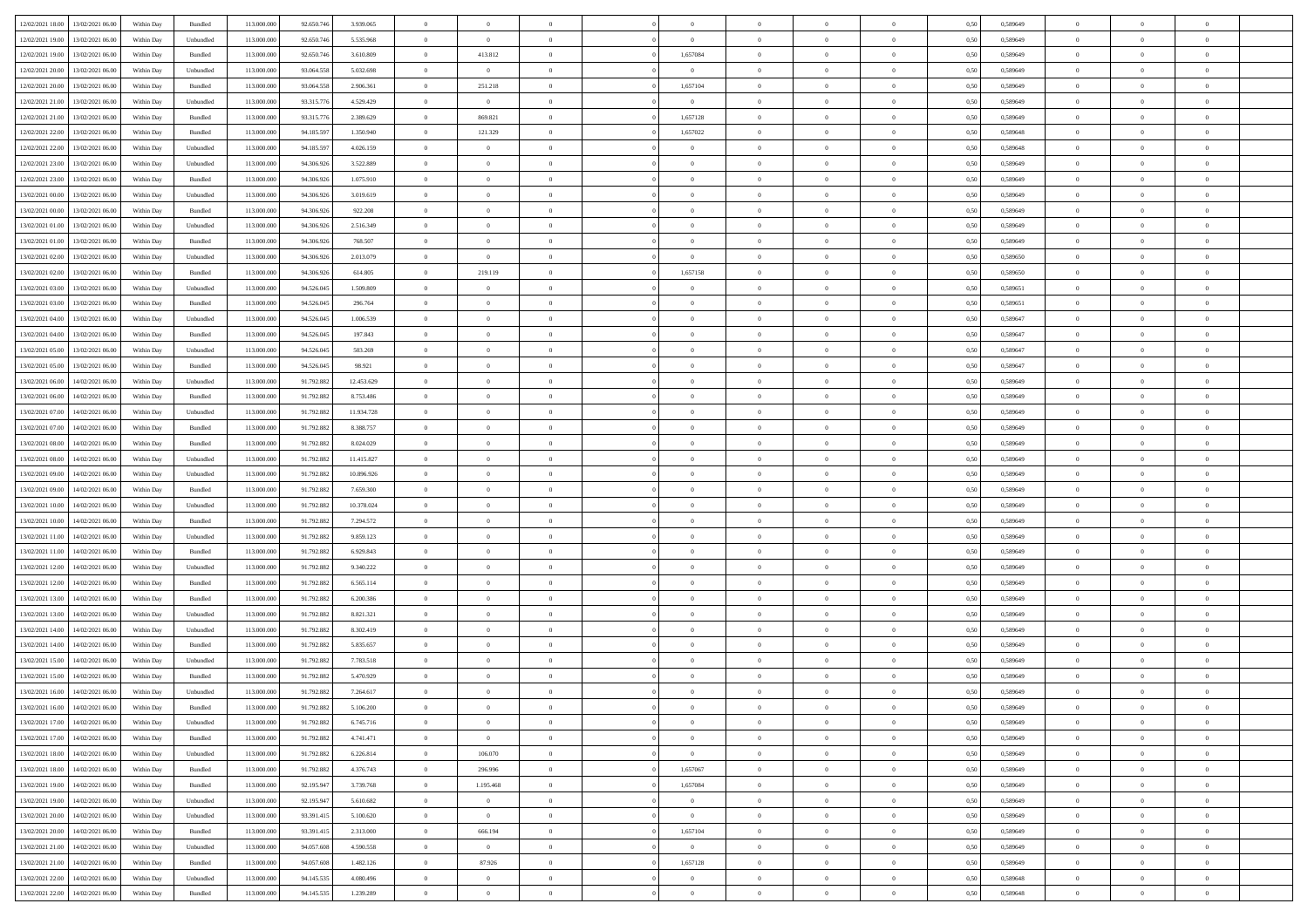| 12/02/2021 18:00 13/02/2021 06:00    | Within Day | Bundled   | 113.000.000 | 92.650.746 | 3.939.065  | $\Omega$       | $\theta$       | $\Omega$       | $\Omega$       | $\theta$       | $\theta$       | $\theta$       | 0.50 | 0,589649 | $\theta$       | $\Omega$       | $\theta$       |  |
|--------------------------------------|------------|-----------|-------------|------------|------------|----------------|----------------|----------------|----------------|----------------|----------------|----------------|------|----------|----------------|----------------|----------------|--|
| 12/02/2021 19:00<br>13/02/2021 06:00 | Within Day | Unbundled | 113.000.000 | 92.650.746 | 5.535.968  | $\overline{0}$ | $\overline{0}$ | $\overline{0}$ | $\overline{0}$ | $\theta$       | $\overline{0}$ | $\bf{0}$       | 0,50 | 0,589649 | $\theta$       | $\theta$       | $\overline{0}$ |  |
| 12/02/2021 19:00<br>13/02/2021 06:00 | Within Day | Bundled   | 113.000.000 | 92.650.746 | 3.610.809  | $\overline{0}$ | 413.812        | $\overline{0}$ | 1,657084       | $\overline{0}$ | $\overline{0}$ | $\bf{0}$       | 0,50 | 0,589649 | $\bf{0}$       | $\overline{0}$ | $\overline{0}$ |  |
| 12/02/2021 20:00<br>13/02/2021 06:00 | Within Day | Unbundled | 113.000.000 | 93,064,558 | 5.032.698  | $\overline{0}$ | $\overline{0}$ | $\overline{0}$ | $\overline{0}$ | $\overline{0}$ | $\overline{0}$ | $\overline{0}$ | 0.50 | 0.589649 | $\theta$       | $\theta$       | $\overline{0}$ |  |
| 12/02/2021 20:00<br>13/02/2021 06:00 | Within Day | Bundled   | 113.000.000 | 93.064.558 | 2.906.361  | $\overline{0}$ | 251.218        | $\overline{0}$ | 1,657104       | $\theta$       | $\overline{0}$ | $\bf{0}$       | 0,50 | 0,589649 | $\theta$       | $\theta$       | $\overline{0}$ |  |
|                                      |            |           |             |            |            |                |                |                |                |                |                |                |      |          |                |                |                |  |
| 12/02/2021 21:00<br>13/02/2021 06:00 | Within Day | Unbundled | 113.000.000 | 93.315.776 | 4.529.429  | $\overline{0}$ | $\overline{0}$ | $\overline{0}$ | $\overline{0}$ | $\bf{0}$       | $\overline{0}$ | $\bf{0}$       | 0,50 | 0,589649 | $\overline{0}$ | $\overline{0}$ | $\bf{0}$       |  |
| 12/02/2021 21:00<br>13/02/2021 06:00 | Within Day | Bundled   | 113.000.000 | 93.315.776 | 2.389.629  | $\overline{0}$ | 869.821        | $\overline{0}$ | 1,657128       | $\overline{0}$ | $\overline{0}$ | $\overline{0}$ | 0.5( | 0.589649 | $\theta$       | $\theta$       | $\overline{0}$ |  |
| 12/02/2021 22:00<br>13/02/2021 06:00 | Within Day | Bundled   | 113.000.000 | 94.185.59  | 1.350.940  | $\overline{0}$ | 121.329        | $\overline{0}$ | 1,657022       | $\overline{0}$ | $\overline{0}$ | $\bf{0}$       | 0,50 | 0,589648 | $\theta$       | $\theta$       | $\overline{0}$ |  |
| 12/02/2021 22:00<br>13/02/2021 06:00 | Within Day | Unbundled | 113.000.000 | 94.185.597 | 4.026.159  | $\overline{0}$ | $\bf{0}$       | $\overline{0}$ | $\overline{0}$ | $\overline{0}$ | $\bf{0}$       | $\bf{0}$       | 0,50 | 0,589648 | $\bf{0}$       | $\overline{0}$ | $\overline{0}$ |  |
| 12/02/2021 23:00<br>13/02/2021 06:00 | Within Day | Unbundled | 113.000.000 | 94.306.926 | 3.522.889  | $\overline{0}$ | $\overline{0}$ | $\overline{0}$ | $\overline{0}$ | $\overline{0}$ | $\overline{0}$ | $\bf{0}$       | 0.5( | 0.589649 | $\theta$       | $\theta$       | $\overline{0}$ |  |
| 12/02/2021 23:00<br>13/02/2021 06:00 | Within Day | Bundled   | 113.000.000 | 94.306.926 | 1.075.910  | $\overline{0}$ | $\overline{0}$ | $\overline{0}$ | $\overline{0}$ | $\theta$       | $\overline{0}$ | $\bf{0}$       | 0,50 | 0,589649 | $\theta$       | $\theta$       | $\overline{0}$ |  |
| 13/02/2021 00:00<br>13/02/2021 06:00 | Within Day | Unbundled | 113.000.000 | 94.306.926 | 3.019.619  | $\overline{0}$ | $\bf{0}$       | $\overline{0}$ | $\overline{0}$ | $\bf{0}$       | $\overline{0}$ | $\bf{0}$       | 0,50 | 0,589649 | $\bf{0}$       | $\overline{0}$ | $\overline{0}$ |  |
| 13/02/2021 00:00<br>13/02/2021 06:00 | Within Day | Bundled   | 113.000.000 | 94.306.926 | 922.208    | $\overline{0}$ | $\overline{0}$ | $\overline{0}$ | $\overline{0}$ | $\overline{0}$ | $\overline{0}$ | $\overline{0}$ | 0.50 | 0.589649 | $\theta$       | $\theta$       | $\overline{0}$ |  |
| 13/02/2021 01:00<br>13/02/2021 06:00 | Within Day | Unbundled | 113.000.000 | 94.306.926 | 2.516.349  | $\overline{0}$ | $\overline{0}$ | $\overline{0}$ | $\overline{0}$ | $\theta$       | $\overline{0}$ | $\bf{0}$       | 0,50 | 0,589649 | $\theta$       | $\theta$       | $\overline{0}$ |  |
| 13/02/2021 01:00<br>13/02/2021 06:00 | Within Day | Bundled   | 113.000.000 | 94.306.926 | 768.507    | $\overline{0}$ | $\bf{0}$       | $\overline{0}$ | $\overline{0}$ | $\overline{0}$ | $\overline{0}$ | $\bf{0}$       | 0,50 | 0,589649 | $\bf{0}$       | $\overline{0}$ | $\bf{0}$       |  |
| 13/02/2021 02:00<br>13/02/2021 06:00 | Within Day | Unbundled | 113.000.000 | 94.306.926 | 2.013.079  | $\overline{0}$ | $\overline{0}$ | $\overline{0}$ | $\overline{0}$ | $\overline{0}$ | $\overline{0}$ | $\overline{0}$ | 0.50 | 0.589650 | $\theta$       | $\overline{0}$ | $\overline{0}$ |  |
| 13/02/2021 02:00<br>13/02/2021 06:00 | Within Day | Bundled   | 113.000.000 | 94.306.926 | 614.805    | $\overline{0}$ | 219.119        | $\overline{0}$ | 1,657158       | $\theta$       | $\overline{0}$ | $\bf{0}$       | 0,50 | 0,589650 | $\theta$       | $\theta$       | $\overline{0}$ |  |
|                                      |            |           |             |            |            |                |                |                |                |                |                |                |      |          |                |                |                |  |
| 13/02/2021 03:00<br>13/02/2021 06:00 | Within Day | Unbundled | 113.000.000 | 94.526.045 | 1.509.809  | $\overline{0}$ | $\bf{0}$       | $\overline{0}$ | $\overline{0}$ | $\overline{0}$ | $\bf{0}$       | $\bf{0}$       | 0,50 | 0,589651 | $\bf{0}$       | $\overline{0}$ | $\overline{0}$ |  |
| 13/02/2021 03:00<br>13/02/2021 06:00 | Within Day | Bundled   | 113.000.000 | 94.526.04  | 296,764    | $\overline{0}$ | $\overline{0}$ | $\overline{0}$ | $\overline{0}$ | $\overline{0}$ | $\overline{0}$ | $\overline{0}$ | 0.5( | 0.589651 | $\theta$       | $\theta$       | $\overline{0}$ |  |
| 13/02/2021 04:00<br>13/02/2021 06:00 | Within Day | Unbundled | 113.000.000 | 94.526.045 | 1.006.539  | $\overline{0}$ | $\overline{0}$ | $\overline{0}$ | $\overline{0}$ | $\theta$       | $\overline{0}$ | $\bf{0}$       | 0,50 | 0,589647 | $\theta$       | $\theta$       | $\overline{0}$ |  |
| 13/02/2021 04:00<br>13/02/2021 06:00 | Within Day | Bundled   | 113.000.000 | 94.526.045 | 197.843    | $\overline{0}$ | $\bf{0}$       | $\overline{0}$ | $\overline{0}$ | $\bf{0}$       | $\overline{0}$ | $\bf{0}$       | 0,50 | 0,589647 | $\bf{0}$       | $\overline{0}$ | $\overline{0}$ |  |
| 13/02/2021 05:00<br>13/02/2021 06:00 | Within Day | Unbundled | 113.000.000 | 94.526.045 | 503,269    | $\overline{0}$ | $\overline{0}$ | $\overline{0}$ | $\overline{0}$ | $\overline{0}$ | $\overline{0}$ | $\overline{0}$ | 0.50 | 0.589647 | $\theta$       | $\theta$       | $\overline{0}$ |  |
| 13/02/2021 05:00<br>13/02/2021 06:00 | Within Day | Bundled   | 113.000.000 | 94.526.045 | 98.921     | $\overline{0}$ | $\overline{0}$ | $\overline{0}$ | $\overline{0}$ | $\theta$       | $\overline{0}$ | $\bf{0}$       | 0,50 | 0,589647 | $\theta$       | $\theta$       | $\overline{0}$ |  |
| 13/02/2021 06:00<br>14/02/2021 06:00 | Within Day | Unbundled | 113.000.000 | 91.792.882 | 12.453.629 | $\overline{0}$ | $\bf{0}$       | $\overline{0}$ | $\overline{0}$ | $\overline{0}$ | $\overline{0}$ | $\bf{0}$       | 0,50 | 0,589649 | $\bf{0}$       | $\overline{0}$ | $\bf{0}$       |  |
| 13/02/2021 06:00<br>14/02/2021 06:00 | Within Day | Bundled   | 113.000.000 | 91.792.882 | 8.753.486  | $\overline{0}$ | $\overline{0}$ | $\overline{0}$ | $\overline{0}$ | $\overline{0}$ | $\overline{0}$ | $\overline{0}$ | 0.5( | 0.589649 | $\theta$       | $\theta$       | $\overline{0}$ |  |
| 13/02/2021 07:00<br>14/02/2021 06:00 | Within Day | Unbundled | 113.000.000 | 91.792.882 | 11.934.728 | $\overline{0}$ | $\overline{0}$ | $\overline{0}$ | $\overline{0}$ | $\theta$       | $\overline{0}$ | $\bf{0}$       | 0,50 | 0,589649 | $\theta$       | $\theta$       | $\overline{0}$ |  |
| 13/02/2021 07:00<br>14/02/2021 06:00 | Within Day | Bundled   | 113.000.000 | 91.792.882 | 8.388.757  | $\overline{0}$ | $\bf{0}$       | $\overline{0}$ | $\overline{0}$ | $\overline{0}$ | $\bf{0}$       | $\bf{0}$       | 0,50 | 0,589649 | $\bf{0}$       | $\overline{0}$ | $\overline{0}$ |  |
| 13/02/2021 08:00<br>14/02/2021 06:00 | Within Day | Bundled   | 113.000.000 | 91.792.882 | 8.024.029  | $\overline{0}$ | $\overline{0}$ | $\overline{0}$ | $\overline{0}$ | $\overline{0}$ | $\overline{0}$ | $\overline{0}$ | 0.50 | 0.589649 | $\theta$       | $\theta$       | $\overline{0}$ |  |
| 13/02/2021 08:00<br>14/02/2021 06:00 | Within Day | Unbundled | 113.000.000 | 91.792.882 | 11.415.827 | $\overline{0}$ | $\overline{0}$ | $\overline{0}$ | $\overline{0}$ | $\theta$       | $\overline{0}$ | $\bf{0}$       | 0,50 | 0,589649 | $\theta$       | $\theta$       | $\overline{0}$ |  |
| 13/02/2021 09:00<br>14/02/2021 06:00 | Within Day | Unbundled | 113.000.000 | 91.792.882 | 10.896.926 | $\overline{0}$ | $\bf{0}$       | $\overline{0}$ | $\overline{0}$ | $\overline{0}$ | $\overline{0}$ | $\bf{0}$       | 0,50 | 0,589649 | $\bf{0}$       | $\overline{0}$ | $\overline{0}$ |  |
|                                      |            |           |             |            |            |                |                |                |                |                |                |                |      |          |                |                |                |  |
| 13/02/2021 09:00<br>14/02/2021 06:00 | Within Day | Bundled   | 113.000.000 | 91.792.882 | 7.659.300  | $\overline{0}$ | $\overline{0}$ | $\Omega$       | $\Omega$       | $\theta$       | $\theta$       | $\bf{0}$       | 0,50 | 0,589649 | $\,$ 0 $\,$    | $\overline{0}$ | $\theta$       |  |
| 13/02/2021 10:00<br>14/02/2021 06:00 | Within Day | Unbundled | 113.000.000 | 91.792.882 | 10.378.024 | $\overline{0}$ | $\overline{0}$ | $\overline{0}$ | $\overline{0}$ | $\theta$       | $\overline{0}$ | $\bf{0}$       | 0,50 | 0,589649 | $\theta$       | $\theta$       | $\overline{0}$ |  |
| 13/02/2021 10:00<br>14/02/2021 06:00 | Within Day | Bundled   | 113.000.000 | 91.792.882 | 7.294.572  | $\overline{0}$ | $\bf{0}$       | $\overline{0}$ | $\overline{0}$ | $\overline{0}$ | $\overline{0}$ | $\bf{0}$       | 0,50 | 0,589649 | $\bf{0}$       | $\overline{0}$ | $\bf{0}$       |  |
| 13/02/2021 11:00<br>14/02/2021 06:00 | Within Day | Unbundled | 113.000.000 | 91.792.882 | 9.859.123  | $\overline{0}$ | $\overline{0}$ | $\Omega$       | $\Omega$       | $\overline{0}$ | $\Omega$       | $\overline{0}$ | 0.50 | 0.589649 | $\theta$       | $\theta$       | $\theta$       |  |
| 13/02/2021 11:00<br>14/02/2021 06:00 | Within Day | Bundled   | 113.000.000 | 91.792.882 | 6.929.843  | $\overline{0}$ | $\overline{0}$ | $\overline{0}$ | $\overline{0}$ | $\theta$       | $\overline{0}$ | $\bf{0}$       | 0,50 | 0,589649 | $\theta$       | $\theta$       | $\overline{0}$ |  |
| 13/02/2021 12:00<br>14/02/2021 06:00 | Within Day | Unbundled | 113.000.000 | 91.792.882 | 9.340.222  | $\overline{0}$ | $\bf{0}$       | $\overline{0}$ | $\overline{0}$ | $\overline{0}$ | $\bf{0}$       | $\bf{0}$       | 0,50 | 0,589649 | $\bf{0}$       | $\overline{0}$ | $\overline{0}$ |  |
| 13/02/2021 12:00<br>14/02/2021 06:00 | Within Day | Bundled   | 113.000.000 | 91.792.882 | 6.565.114  | $\overline{0}$ | $\overline{0}$ | $\Omega$       | $\Omega$       | $\overline{0}$ | $\theta$       | $\overline{0}$ | 0.50 | 0.589649 | $\theta$       | $\theta$       | $\theta$       |  |
| 13/02/2021 13:00<br>14/02/2021 06:00 | Within Day | Bundled   | 113.000.000 | 91.792.882 | 6.200.386  | $\bf{0}$       | $\overline{0}$ | $\overline{0}$ | $\overline{0}$ | $\theta$       | $\overline{0}$ | $\bf{0}$       | 0,50 | 0,589649 | $\theta$       | $\theta$       | $\overline{0}$ |  |
| 13/02/2021 13:00<br>14/02/2021 06:00 | Within Day | Unbundled | 113.000.000 | 91.792.882 | 8.821.321  | $\overline{0}$ | $\bf{0}$       | $\overline{0}$ | $\overline{0}$ | $\overline{0}$ | $\overline{0}$ | $\bf{0}$       | 0,50 | 0,589649 | $\bf{0}$       | $\overline{0}$ | $\overline{0}$ |  |
| 13/02/2021 14:00<br>14/02/2021 06:00 | Within Day | Unbundled | 113.000.000 | 91.792.882 | 8.302.419  | $\overline{0}$ | $\overline{0}$ | $\overline{0}$ | $\Omega$       | $\theta$       | $\overline{0}$ | $\overline{0}$ | 0.50 | 0,589649 | $\,$ 0 $\,$    | $\overline{0}$ | $\theta$       |  |
| 13/02/2021 14:00<br>14/02/2021 06:00 | Within Day | Bundled   | 113.000.000 | 91.792.882 | 5.835.657  | $\overline{0}$ | $\overline{0}$ | $\overline{0}$ | $\overline{0}$ | $\theta$       | $\overline{0}$ | $\bf{0}$       | 0,50 | 0,589649 | $\theta$       | $\theta$       | $\overline{0}$ |  |
| 13/02/2021 15:00<br>14/02/2021 06:00 | Within Day | Unbundled | 113.000.000 | 91.792.882 | 7.783.518  | $\overline{0}$ | $\bf{0}$       | $\overline{0}$ | $\overline{0}$ | $\overline{0}$ | $\overline{0}$ | $\bf{0}$       | 0,50 | 0,589649 | $\overline{0}$ | $\overline{0}$ | $\bf{0}$       |  |
| 13/02/2021 15:00<br>14/02/2021 06:00 | Within Day | Bundled   | 113.000.000 | 91.792.882 | 5.470.929  | $\overline{0}$ | $\overline{0}$ | $\Omega$       | $\Omega$       | $\Omega$       | $\theta$       | $\overline{0}$ | 0.50 | 0.589649 | $\theta$       | $\overline{0}$ | $\theta$       |  |
| 13/02/2021 16:00<br>14/02/2021 06:00 | Within Day | Unbundled | 113.000.000 | 91.792.882 | 7.264.617  | $\bf{0}$       | $\bf{0}$       | $\overline{0}$ | $\overline{0}$ | $\bf{0}$       | $\overline{0}$ | $\bf{0}$       | 0,50 | 0,589649 | $\bf{0}$       | $\,$ 0 $\,$    | $\overline{0}$ |  |
| 13/02/2021 16:00 14/02/2021 06:00    |            |           |             |            |            |                |                |                |                |                |                |                |      |          |                |                |                |  |
|                                      | Within Day | Bundled   | 113.000.000 | 91.792.882 | 5.106.200  |                |                |                |                |                |                |                | 0,50 | 0,589649 | $\bf{0}$       | $\bf{0}$       |                |  |
| 13/02/2021 17:00 14/02/2021 06:00    | Within Day | Unbundled | 113,000,000 | 91.792.882 | 6.745.716  | $\Omega$       | $\overline{0}$ | $\Omega$       | $\Omega$       | $\Omega$       | $\theta$       | $\overline{0}$ | 0.50 | 0.589649 | $\theta$       | $\Omega$       | $\theta$       |  |
| 13/02/2021 17:00<br>14/02/2021 06:00 | Within Day | Bundled   | 113.000.000 | 91.792.882 | 4.741.471  | $\overline{0}$ | $\overline{0}$ | $\overline{0}$ | $\overline{0}$ | $\,$ 0 $\,$    | $\bf{0}$       | $\,$ 0 $\,$    | 0,50 | 0,589649 | $\,$ 0 $\,$    | $\theta$       | $\bf{0}$       |  |
| 13/02/2021 18:00<br>14/02/2021 06:00 | Within Day | Unbundled | 113.000.000 | 91.792.882 | 6.226.814  | $\overline{0}$ | 106.070        | $\overline{0}$ | $\overline{0}$ | $\overline{0}$ | $\overline{0}$ | $\bf{0}$       | 0,50 | 0,589649 | $\bf{0}$       | $\bf{0}$       | $\bf{0}$       |  |
| 13/02/2021 18:00<br>14/02/2021 06:00 | Within Day | Bundled   | 113.000.000 | 91.792.882 | 4.376.743  | $\overline{0}$ | 296.996        | $\overline{0}$ | 1,657067       | $\overline{0}$ | $\overline{0}$ | $\bf{0}$       | 0.50 | 0,589649 | $\bf{0}$       | $\theta$       | $\overline{0}$ |  |
| 13/02/2021 19:00<br>14/02/2021 06:00 | Within Day | Bundled   | 113.000.000 | 92.195.947 | 3.739.768  | $\overline{0}$ | 1.195.468      | $\overline{0}$ | 1,657084       | $\overline{0}$ | $\overline{0}$ | $\bf{0}$       | 0,50 | 0,589649 | $\,$ 0 $\,$    | $\theta$       | $\overline{0}$ |  |
| 13/02/2021 19:00<br>14/02/2021 06:00 | Within Day | Unbundled | 113.000.000 | 92.195.947 | 5.610.682  | $\overline{0}$ | $\overline{0}$ | $\overline{0}$ | $\overline{0}$ | $\overline{0}$ | $\overline{0}$ | $\bf{0}$       | 0,50 | 0,589649 | $\overline{0}$ | $\overline{0}$ | $\bf{0}$       |  |
| 13/02/2021 20:00<br>14/02/2021 06:00 | Within Day | Unbundled | 113.000.000 | 93.391.41: | 5.100.620  | $\overline{0}$ | $\overline{0}$ | $\overline{0}$ | $\overline{0}$ | $\overline{0}$ | $\overline{0}$ | $\bf{0}$       | 0.50 | 0.589649 | $\overline{0}$ | $\theta$       | $\overline{0}$ |  |
| 13/02/2021 20:00<br>14/02/2021 06:00 | Within Day | Bundled   | 113.000.000 | 93.391.415 | 2.313.000  | $\overline{0}$ | 666.194        | $\overline{0}$ | 1,657104       | $\overline{0}$ | $\overline{0}$ | $\bf{0}$       | 0,50 | 0,589649 | $\,$ 0 $\,$    | $\theta$       | $\overline{0}$ |  |
| 13/02/2021 21:00<br>14/02/2021 06:00 | Within Day | Unbundled | 113.000.000 | 94.057.608 | 4.590.558  | $\overline{0}$ | $\overline{0}$ | $\overline{0}$ | $\overline{0}$ | $\overline{0}$ | $\overline{0}$ | $\bf{0}$       | 0,50 | 0,589649 | $\bf{0}$       | $\overline{0}$ | $\bf{0}$       |  |
|                                      |            |           |             | 94.057.608 | 1.482.126  | $\overline{0}$ |                | $\overline{0}$ |                | $\overline{0}$ | $\overline{0}$ |                | 0.50 | 0.589649 | $\bf{0}$       | $\theta$       | $\theta$       |  |
| 13/02/2021 21:00<br>14/02/2021 06:00 | Within Day | Bundled   | 113.000.000 |            |            |                | 87.926         |                | 1,657128       |                |                | $\bf{0}$       |      |          |                |                |                |  |
| 13/02/2021 22:00<br>14/02/2021 06:00 | Within Day | Unbundled | 113.000.000 | 94.145.535 | 4.080.496  | $\overline{0}$ | $\bf{0}$       | $\overline{0}$ | $\overline{0}$ | $\overline{0}$ | $\overline{0}$ | $\bf{0}$       | 0,50 | 0,589648 | $\,$ 0 $\,$    | $\,$ 0 $\,$    | $\overline{0}$ |  |
| 13/02/2021 22:00 14/02/2021 06:00    | Within Day | Bundled   | 113.000.000 | 94.145.535 | 1.239.289  | $\overline{0}$ | $\bf{0}$       | $\overline{0}$ | $\overline{0}$ | $\overline{0}$ | $\overline{0}$ | $\bf{0}$       | 0,50 | 0,589648 | $\overline{0}$ | $\bf{0}$       | $\bf{0}$       |  |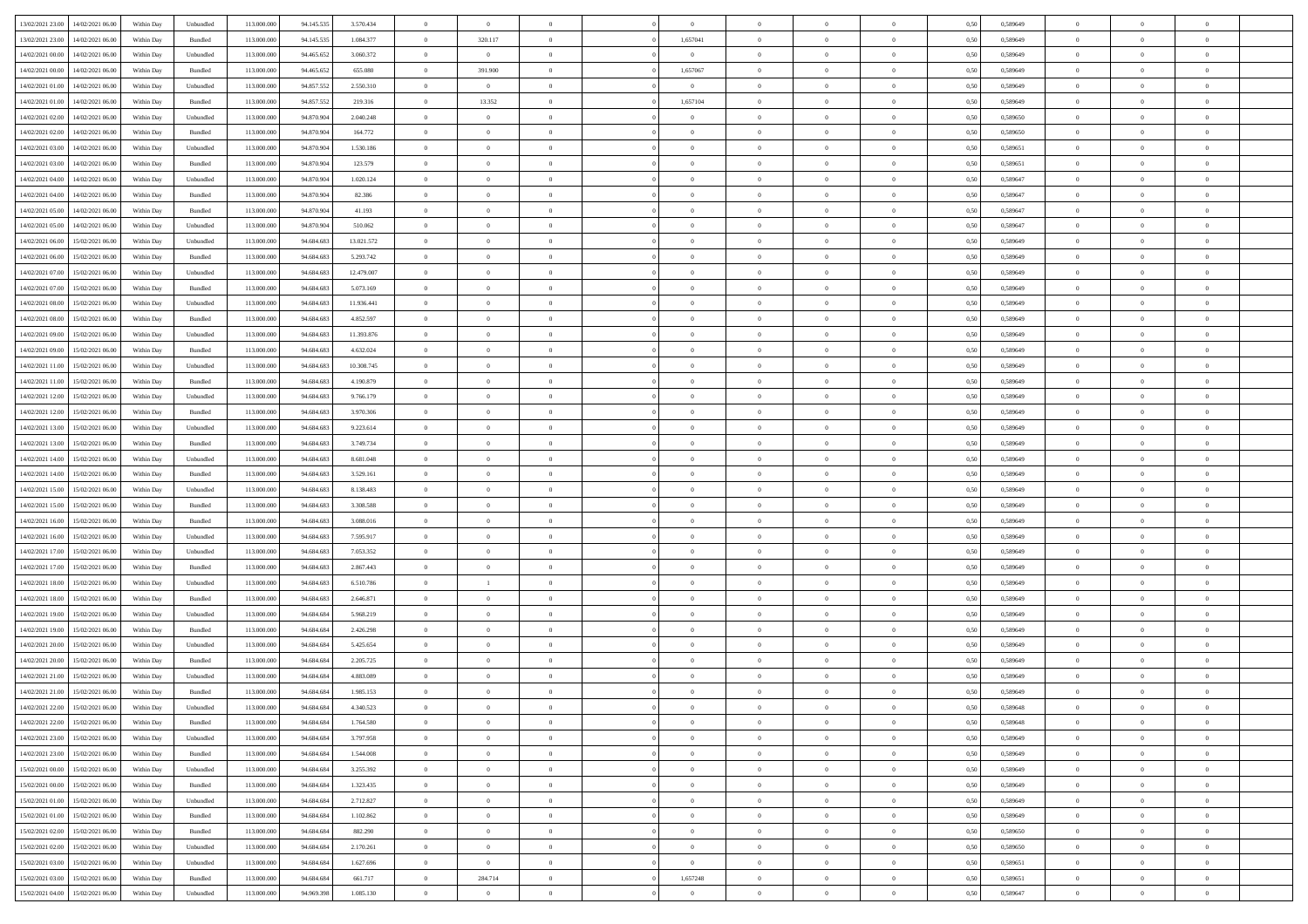| 13/02/2021 23:00                  | 14/02/2021 06:00 | Within Day | Unbundled | 113.000.000 | 94.145.535 | 3.570.434  | $\overline{0}$ | $\theta$       |                |                | $\bf{0}$       | $\overline{0}$ | $\theta$       | 0,50 | 0,589649 | $\theta$       | $\theta$       | $\overline{0}$           |  |
|-----------------------------------|------------------|------------|-----------|-------------|------------|------------|----------------|----------------|----------------|----------------|----------------|----------------|----------------|------|----------|----------------|----------------|--------------------------|--|
| 13/02/2021 23:00                  | 14/02/2021 06.00 | Within Day | Bundled   | 113.000.000 | 94.145.535 | 1.084.377  | $\overline{0}$ | 320.117        | $\overline{0}$ | 1,657041       | $\,$ 0         | $\bf{0}$       | $\bf{0}$       | 0,50 | 0,589649 | $\,$ 0 $\,$    | $\overline{0}$ | $\overline{0}$           |  |
|                                   |                  |            |           |             |            |            |                |                |                |                |                |                |                |      |          |                |                |                          |  |
| 14/02/2021 00:00                  | 14/02/2021 06:00 | Within Day | Unbundled | 113,000,000 | 94.465.652 | 3.060.372  | $\overline{0}$ | $\overline{0}$ | $\overline{0}$ | $\overline{0}$ | $\bf{0}$       | $\overline{0}$ | $\mathbf{0}$   | 0.50 | 0.589649 | $\bf{0}$       | $\overline{0}$ | $\overline{0}$           |  |
| 14/02/2021 00:00                  | 14/02/2021 06:00 | Within Day | Bundled   | 113.000.000 | 94.465.652 | 655.080    | $\overline{0}$ | 391.900        | $\overline{0}$ | 1,657067       | $\bf{0}$       | $\overline{0}$ | $\overline{0}$ | 0,50 | 0,589649 | $\theta$       | $\overline{0}$ | $\overline{0}$           |  |
| 14/02/2021 01:00                  | 14/02/2021 06.00 | Within Day | Unbundled | 113.000.000 | 94.857.552 | 2.550.310  | $\overline{0}$ | $\overline{0}$ | $\overline{0}$ | $\overline{0}$ | $\overline{0}$ | $\overline{0}$ | $\bf{0}$       | 0,50 | 0,589649 | $\,$ 0 $\,$    | $\overline{0}$ | $\overline{0}$           |  |
| 14/02/2021 01:00                  | 14/02/2021 06:00 | Within Day | Bundled   | 113,000,000 | 94.857.552 | 219.316    | $\overline{0}$ | 13.352         | $\overline{0}$ | 1,657104       | $\bf{0}$       | $\overline{0}$ | $\bf{0}$       | 0.50 | 0.589649 | $\,0\,$        | $\theta$       | $\overline{0}$           |  |
| 14/02/2021 02:00                  | 14/02/2021 06:00 | Within Day | Unbundled | 113.000.000 | 94.870.904 | 2.040.248  | $\overline{0}$ | $\overline{0}$ | $\overline{0}$ | $\overline{0}$ | $\bf{0}$       | $\overline{0}$ | $\overline{0}$ | 0,50 | 0,589650 | $\,0\,$        | $\theta$       | $\overline{0}$           |  |
| 14/02/2021 02:00                  | 14/02/2021 06.00 | Within Day | Bundled   | 113.000.000 | 94.870.904 | 164.772    | $\overline{0}$ | $\theta$       | $\overline{0}$ |                | $\,$ 0         | $\overline{0}$ | $\bf{0}$       | 0,50 | 0,589650 | $\,$ 0 $\,$    | $\overline{0}$ | $\overline{0}$           |  |
| 14/02/2021 03:00                  | 14/02/2021 06:00 | Within Day | Unbundled | 113,000,000 | 94,870,904 | 1.530.186  | $\overline{0}$ | $\overline{0}$ | $\overline{0}$ | $\overline{0}$ | $\bf{0}$       | $\overline{0}$ | $\bf{0}$       | 0.50 | 0.589651 | $\,0\,$        | $\overline{0}$ | $\overline{0}$           |  |
| 14/02/2021 03:00                  | 14/02/2021 06:00 | Within Day | Bundled   | 113.000.000 | 94.870.904 | 123.579    | $\overline{0}$ | $\overline{0}$ | $\overline{0}$ | $\overline{0}$ | $\bf{0}$       | $\overline{0}$ | $\bf{0}$       | 0,50 | 0,589651 | $\,$ 0 $\,$    | $\overline{0}$ | $\overline{0}$           |  |
| 14/02/2021 04:00                  | 14/02/2021 06.00 | Within Day | Unbundled | 113.000.000 | 94.870.904 | 1.020.124  | $\overline{0}$ | $\theta$       | $\overline{0}$ | $\overline{0}$ | $\,$ 0         | $\bf{0}$       | $\bf{0}$       | 0,50 | 0,589647 | $\,$ 0 $\,$    | $\overline{0}$ | $\overline{0}$           |  |
|                                   |                  |            | Bundled   | 113,000,000 | 94.870.904 | 82.386     |                | $\overline{0}$ | $\overline{0}$ | $\overline{0}$ |                | $\overline{0}$ |                | 0.50 | 0.589647 | $\bf{0}$       | $\overline{0}$ | $\bf{0}$                 |  |
| 14/02/2021 04:00                  | 14/02/2021 06:00 | Within Day |           |             |            |            | $\overline{0}$ |                |                |                | $\bf{0}$       |                | $\mathbf{0}$   |      |          |                |                |                          |  |
| 14/02/2021 05:00                  | 14/02/2021 06:00 | Within Day | Bundled   | 113.000.000 | 94.870.904 | 41.193     | $\overline{0}$ | $\overline{0}$ | $\overline{0}$ | $\overline{0}$ | $\bf{0}$       | $\overline{0}$ | $\overline{0}$ | 0,50 | 0,589647 | $\,$ 0 $\,$    | $\overline{0}$ | $\overline{0}$           |  |
| 14/02/2021 05:00                  | 14/02/2021 06.00 | Within Day | Unbundled | 113.000.000 | 94.870.904 | 510.062    | $\overline{0}$ | $\theta$       | $\overline{0}$ |                | $\bf{0}$       | $\overline{0}$ | $\bf{0}$       | 0,50 | 0,589647 | $\,$ 0 $\,$    | $\overline{0}$ | $\overline{0}$           |  |
| 14/02/2021 06:00                  | 15/02/2021 06:00 | Within Day | Unbundled | 113,000,000 | 94,684,683 | 13.021.572 | $\overline{0}$ | $\overline{0}$ | $\overline{0}$ | $\overline{0}$ | $\bf{0}$       | $\overline{0}$ | $\bf{0}$       | 0.50 | 0.589649 | $\,0\,$        | $\theta$       | $\overline{0}$           |  |
| 14/02/2021 06:00                  | 15/02/2021 06:00 | Within Day | Bundled   | 113.000.000 | 94.684.683 | 5.293.742  | $\overline{0}$ | $\overline{0}$ | $\overline{0}$ | $\overline{0}$ | $\bf{0}$       | $\overline{0}$ | $\overline{0}$ | 0,50 | 0,589649 | $\theta$       | $\theta$       | $\overline{0}$           |  |
| 14/02/2021 07:00                  | 15/02/2021 06.00 | Within Day | Unbundled | 113.000.000 | 94.684.683 | 12.479.007 | $\overline{0}$ | $\theta$       | $\overline{0}$ |                | $\,$ 0         | $\overline{0}$ | $\bf{0}$       | 0,50 | 0,589649 | $\,$ 0 $\,$    | $\overline{0}$ | $\overline{0}$           |  |
| 14/02/2021 07:00                  | 15/02/2021 06:00 | Within Day | Bundled   | 113,000,000 | 94,684,683 | 5.073.169  | $\overline{0}$ | $\overline{0}$ | $\overline{0}$ | $\overline{0}$ | $\bf{0}$       | $\overline{0}$ | $\bf{0}$       | 0.50 | 0.589649 | $\,0\,$        | $\overline{0}$ | $\overline{\phantom{a}}$ |  |
| 14/02/2021 08:00                  | 15/02/2021 06:00 | Within Day | Unbundled | 113.000.000 | 94.684.683 | 11.936.441 | $\overline{0}$ | $\overline{0}$ | $\overline{0}$ | $\overline{0}$ | $\,$ 0         | $\overline{0}$ | $\overline{0}$ | 0,50 | 0,589649 | $\,$ 0 $\,$    | $\theta$       | $\overline{0}$           |  |
| 14/02/2021 08:00                  | 15/02/2021 06.00 | Within Day | Bundled   | 113.000.000 | 94.684.683 | 4.852.597  | $\bf{0}$       | $\,$ 0 $\,$    | $\overline{0}$ | $\overline{0}$ | $\,$ 0         | $\bf{0}$       | $\bf{0}$       | 0,50 | 0,589649 | $\,$ 0 $\,$    | $\overline{0}$ | $\overline{0}$           |  |
| 14/02/2021 09:00                  | 15/02/2021 06:00 | Within Day | Unbundled | 113,000,000 | 94,684,683 | 11.393.876 | $\overline{0}$ | $\overline{0}$ | $\overline{0}$ | $\overline{0}$ | $\bf{0}$       | $\overline{0}$ | $\mathbf{0}$   | 0.50 | 0.589649 | $\,$ 0 $\,$    | $\overline{0}$ | $\overline{0}$           |  |
| 14/02/2021 09:00                  | 15/02/2021 06:00 | Within Day | Bundled   | 113.000.000 | 94.684.683 | 4.632.024  | $\overline{0}$ | $\overline{0}$ | $\overline{0}$ | $\overline{0}$ | $\bf{0}$       | $\overline{0}$ | $\overline{0}$ | 0,50 | 0,589649 | $\theta$       | $\overline{0}$ | $\overline{0}$           |  |
|                                   |                  |            |           |             |            |            |                |                |                |                |                |                |                |      |          |                |                |                          |  |
| 14/02/2021 11:00                  | 15/02/2021 06.00 | Within Day | Unbundled | 113.000.000 | 94.684.683 | 10.308.745 | $\overline{0}$ | $\theta$       | $\overline{0}$ | $\overline{0}$ | $\,$ 0         | $\overline{0}$ | $\bf{0}$       | 0,50 | 0,589649 | $\,$ 0 $\,$    | $\overline{0}$ | $\overline{0}$           |  |
| 14/02/2021 11:00                  | 15/02/2021 06:00 | Within Day | Bundled   | 113,000,000 | 94,684,683 | 4.190.879  | $\overline{0}$ | $\overline{0}$ | $\overline{0}$ | $\overline{0}$ | $\bf{0}$       | $\overline{0}$ | $\bf{0}$       | 0.50 | 0.589649 | $\,0\,$        | $\theta$       | $\overline{0}$           |  |
| 14/02/2021 12:00                  | 15/02/2021 06:00 | Within Day | Unbundled | 113.000.000 | 94.684.683 | 9.766.179  | $\overline{0}$ | $\theta$       | $\overline{0}$ | $\overline{0}$ | $\bf{0}$       | $\overline{0}$ | $\overline{0}$ | 0,50 | 0,589649 | $\,$ 0 $\,$    | $\theta$       | $\overline{0}$           |  |
| 14/02/2021 12:00                  | 15/02/2021 06.00 | Within Day | Bundled   | 113.000.000 | 94.684.683 | 3.970.306  | $\overline{0}$ | $\theta$       | $\overline{0}$ |                | $\bf{0}$       | $\overline{0}$ | $\bf{0}$       | 0,50 | 0,589649 | $\,$ 0 $\,$    | $\overline{0}$ | $\overline{0}$           |  |
| 14/02/2021 13:00                  | 15/02/2021 06:00 | Within Day | Unbundled | 113,000,000 | 94,684,683 | 9.223.614  | $\overline{0}$ | $\overline{0}$ | $\overline{0}$ | $\overline{0}$ | $\bf{0}$       | $\overline{0}$ | $\bf{0}$       | 0.50 | 0.589649 | $\,0\,$        | $\overline{0}$ | $\overline{0}$           |  |
| 14/02/2021 13:00                  | 15/02/2021 06:00 | Within Day | Bundled   | 113.000.000 | 94.684.683 | 3.749.734  | $\overline{0}$ | $\overline{0}$ | $\overline{0}$ | $\overline{0}$ | $\bf{0}$       | $\overline{0}$ | $\overline{0}$ | 0,50 | 0,589649 | $\theta$       | $\theta$       | $\overline{0}$           |  |
| 14/02/2021 14:00                  | 15/02/2021 06.00 | Within Day | Unbundled | 113.000.000 | 94.684.683 | 8.681.048  | $\bf{0}$       | $\overline{0}$ | $\overline{0}$ | $\overline{0}$ | $\bf{0}$       | $\bf{0}$       | $\bf{0}$       | 0,50 | 0,589649 | $\,$ 0 $\,$    | $\overline{0}$ | $\overline{0}$           |  |
| 14/02/2021 14:00                  | 15/02/2021 06:00 | Within Day | Bundled   | 113,000,000 | 94,684,683 | 3.529.161  | $\overline{0}$ | $\overline{0}$ | $\overline{0}$ | $\overline{0}$ | $\bf{0}$       | $\overline{0}$ | $\mathbf{0}$   | 0.50 | 0.589649 | $\bf{0}$       | $\overline{0}$ | $\bf{0}$                 |  |
| 14/02/2021 15:00                  | 15/02/2021 06:00 | Within Dav | Unbundled | 113.000.000 | 94.684.683 | 8.138.483  | $\overline{0}$ | $\overline{0}$ | $\overline{0}$ | $\overline{0}$ | $\overline{0}$ | $\overline{0}$ | $\overline{0}$ | 0.50 | 0.589649 | $\theta$       | $\overline{0}$ | $\overline{0}$           |  |
| 14/02/2021 15:00                  | 15/02/2021 06.00 | Within Day | Bundled   | 113.000.000 | 94.684.683 | 3.308.588  | $\overline{0}$ | $\theta$       | $\overline{0}$ |                | $\,$ 0         | $\overline{0}$ | $\bf{0}$       | 0,50 | 0,589649 | $\,$ 0 $\,$    | $\overline{0}$ | $\overline{0}$           |  |
|                                   | 15/02/2021 06:00 |            | Bundled   | 113,000,000 | 94,684,683 | 3 088,016  |                | $\overline{0}$ | $\overline{0}$ | $\overline{0}$ | $\bf{0}$       | $\overline{0}$ |                | 0.50 | 0.589649 | $\,0\,$        | $\theta$       | $\overline{0}$           |  |
| 14/02/2021 16:00                  |                  | Within Day |           |             |            |            | $\overline{0}$ |                |                |                |                |                | $\bf{0}$       |      |          |                |                |                          |  |
| 14/02/2021 16:00                  | 15/02/2021 06:00 | Within Dav | Unbundled | 113.000.000 | 94.684.683 | 7.595.917  | $\overline{0}$ | $\theta$       | $\Omega$       | $\Omega$       | $\mathbf{0}$   | $\overline{0}$ | $\overline{0}$ | 0.50 | 0.589649 | $\theta$       | $\overline{0}$ | $\overline{0}$           |  |
| 14/02/2021 17:00                  | 15/02/2021 06.00 | Within Day | Unbundled | 113.000.000 | 94.684.683 | 7.053.352  | $\overline{0}$ | $\theta$       | $\overline{0}$ |                | $\,$ 0         | $\overline{0}$ | $\bf{0}$       | 0,50 | 0,589649 | $\,$ 0 $\,$    | $\overline{0}$ | $\overline{0}$           |  |
| 14/02/2021 17:00                  | 15/02/2021 06:00 | Within Day | Bundled   | 113,000,000 | 94,684,683 | 2.867.443  | $\overline{0}$ | $\overline{0}$ | $\overline{0}$ | $\overline{0}$ | $\bf{0}$       | $\overline{0}$ | $\bf{0}$       | 0.50 | 0.589649 | $\,0\,$        | $\overline{0}$ | $\overline{0}$           |  |
| 14/02/2021 18:00                  | 15/02/2021 06:00 | Within Dav | Unbundled | 113.000.000 | 94.684.683 | 6.510.786  | $\overline{0}$ | $\mathbf{1}$   | $\overline{0}$ | $\Omega$       | $\overline{0}$ | $\overline{0}$ | $\overline{0}$ | 0.50 | 0.589649 | $\theta$       | $\overline{0}$ | $\overline{0}$           |  |
| 14/02/2021 18:00                  | 15/02/2021 06.00 | Within Day | Bundled   | 113.000.000 | 94.684.683 | 2.646.871  | $\overline{0}$ | $\overline{0}$ | $\overline{0}$ | $\overline{0}$ | $\bf{0}$       | $\bf{0}$       | $\bf{0}$       | 0,50 | 0,589649 | $\,$ 0 $\,$    | $\overline{0}$ | $\overline{0}$           |  |
| 14/02/2021 19:00                  | 15/02/2021 06:00 | Within Day | Unbundled | 113,000,000 | 94.684.684 | 5.968.219  | $\overline{0}$ | $\overline{0}$ | $\overline{0}$ | $\overline{0}$ | $\bf{0}$       | $\overline{0}$ | $\mathbf{0}$   | 0.50 | 0.589649 | $\,$ 0 $\,$    | $\overline{0}$ | $\overline{0}$           |  |
| 14/02/2021 19:00                  | 15/02/2021 06:00 | Within Dav | Bundled   | 113.000.000 | 94.684.684 | 2.426.298  | $\overline{0}$ | $\overline{0}$ | $\Omega$       | $\Omega$       | $\mathbf{0}$   | $\overline{0}$ | $\overline{0}$ | 0.50 | 0.589649 | $\theta$       | $\overline{0}$ | $\overline{0}$           |  |
| 14/02/2021 20:00                  | 15/02/2021 06.00 | Within Day | Unbundled | 113.000.000 | 94.684.684 | 5.425.654  | $\overline{0}$ | $\theta$       | $\overline{0}$ | $\overline{0}$ | $\,$ 0         | $\overline{0}$ | $\bf{0}$       | 0,50 | 0,589649 | $\,$ 0 $\,$    | $\overline{0}$ | $\overline{0}$           |  |
| 14/02/2021 20:00                  | 15/02/2021 06:00 | Within Day | Bundled   | 113,000,000 | 94.684.684 | 2.205.725  | $\overline{0}$ | $\theta$       | $\overline{0}$ | $\overline{0}$ | $\bf{0}$       | $\overline{0}$ | $\overline{0}$ | 0.50 | 0.589649 | $\,0\,$        | $\theta$       | $\overline{0}$           |  |
| 14/02/2021 21:00                  | 15/02/2021 06:00 | Within Dav | Unbundled | 113.000.000 | 94.684.684 | 4.883.089  | $\overline{0}$ | $\Omega$       | $\Omega$       | $\Omega$       | $\bf{0}$       | $\overline{0}$ | $\Omega$       | 0.50 | 0.589649 | $\theta$       | $\overline{0}$ | $\overline{0}$           |  |
| 14/02/2021 21:00                  | 15/02/2021 06:00 | Within Day | Bundled   | 113.000.000 | 94.684.684 | 1.985.153  | $\overline{0}$ | $\overline{0}$ | $\overline{0}$ | $\bf{0}$       | $\,$ 0         | $\bf{0}$       | $\bf{0}$       | 0,50 | 0,589649 | $\,$ 0 $\,$    | $\overline{0}$ | $\overline{0}$           |  |
|                                   |                  |            |           |             |            |            |                |                |                |                |                |                |                |      |          |                |                |                          |  |
| 14/02/2021 22:00                  | 15/02/2021 06:00 | Within Day | Unbundled | 113.000.000 | 94.684.684 | 4.340.523  | $\bf{0}$       | $\theta$       |                | $^{\circ}$     |                |                |                | 0,50 | 0.589648 | $\,$ 0         | $\theta$       |                          |  |
| 14/02/2021 22:00                  | 15/02/2021 06:00 | Within Day | Bundled   | 113.000.000 | 94.684.684 | 1.764.580  | $\Omega$       | $\overline{0}$ | $\Omega$       | $\Omega$       | $\mathbf{0}$   | $\overline{0}$ | $\mathbf{0}$   | 0.50 | 0,589648 | $\theta$       | $\theta$       | $\overline{0}$           |  |
| 14/02/2021 23:00                  | 15/02/2021 06:00 | Within Day | Unbundled | 113.000.000 | 94.684.684 | 3.797.958  | $\overline{0}$ | $\bf{0}$       | $\overline{0}$ | $\bf{0}$       | $\overline{0}$ | $\overline{0}$ | $\mathbf{0}$   | 0,50 | 0,589649 | $\bf{0}$       | $\overline{0}$ | $\bf{0}$                 |  |
| 14/02/2021 23:00                  | 15/02/2021 06:00 | Within Day | Bundled   | 113,000,000 | 94.684.684 | 1.544.008  | $\overline{0}$ | $\overline{0}$ | $\overline{0}$ | $\overline{0}$ | $\overline{0}$ | $\overline{0}$ | $\mathbf{0}$   | 0.50 | 0.589649 | $\overline{0}$ | $\bf{0}$       | $\bf{0}$                 |  |
| 15/02/2021 00:00                  | 15/02/2021 06:00 | Within Day | Unbundled | 113.000.000 | 94.684.684 | 3.255.392  | $\overline{0}$ | $\overline{0}$ | $\overline{0}$ | $\overline{0}$ | $\mathbf{0}$   | $\overline{0}$ | $\mathbf{0}$   | 0.50 | 0.589649 | $\overline{0}$ | $\theta$       | $\overline{0}$           |  |
| 15/02/2021 00:00                  | 15/02/2021 06:00 | Within Day | Bundled   | 113.000.000 | 94.684.684 | 1.323.435  | $\overline{0}$ | $\overline{0}$ | $\overline{0}$ | $\overline{0}$ | $\bf{0}$       | $\bf{0}$       | $\bf{0}$       | 0,50 | 0,589649 | $\bf{0}$       | $\overline{0}$ | $\overline{0}$           |  |
| 15/02/2021 01:00                  | 15/02/2021 06:00 | Within Day | Unbundled | 113,000,000 | 94.684.684 | 2.712.827  | $\overline{0}$ | $\overline{0}$ | $\overline{0}$ | $\overline{0}$ | $\bf{0}$       | $\overline{0}$ | $\mathbf{0}$   | 0.50 | 0.589649 | $\,$ 0 $\,$    | $\overline{0}$ | $\overline{0}$           |  |
| 15/02/2021 01:00                  | 15/02/2021 06:00 | Within Day | Bundled   | 113.000.000 | 94.684.684 | 1.102.862  | $\overline{0}$ | $\overline{0}$ | $\overline{0}$ | $\overline{0}$ | $\overline{0}$ | $\overline{0}$ | $\overline{0}$ | 0.50 | 0.589649 | $\overline{0}$ | $\theta$       | $\overline{0}$           |  |
| 15/02/2021 02:00                  | 15/02/2021 06:00 | Within Day | Bundled   | 113.000.000 | 94.684.684 | 882.290    | $\overline{0}$ | $\,$ 0         | $\overline{0}$ | $\bf{0}$       | $\,$ 0 $\,$    | $\bf{0}$       | $\bf{0}$       | 0,50 | 0,589650 | $\,$ 0 $\,$    | $\overline{0}$ | $\overline{0}$           |  |
| 15/02/2021 02:00                  | 15/02/2021 06:00 | Within Day | Unbundled | 113,000,000 | 94.684.684 | 2.170.261  | $\overline{0}$ | $\overline{0}$ | $\overline{0}$ | $\overline{0}$ | $\bf{0}$       | $\overline{0}$ | $\mathbf{0}$   | 0.50 | 0.589650 | $\mathbf{0}$   | $\bf{0}$       | $\overline{0}$           |  |
|                                   |                  |            |           |             |            |            |                |                |                |                |                |                |                |      |          |                |                |                          |  |
| 15/02/2021 03:00                  | 15/02/2021 06:00 | Within Day | Unbundled | 113.000.000 | 94.684.684 | 1.627.696  | $\overline{0}$ | $\overline{0}$ | $\overline{0}$ | $\overline{0}$ | $\overline{0}$ | $\overline{0}$ | $\overline{0}$ | 0,50 | 0,589651 | $\overline{0}$ | $\theta$       | $\overline{0}$           |  |
| 15/02/2021 03:00                  | 15/02/2021 06:00 | Within Day | Bundled   | 113.000.000 | 94.684.684 | 661.717    | $\overline{0}$ | 284.714        | $\overline{0}$ | 1,657248       | $\bf{0}$       | $\bf{0}$       | $\bf{0}$       | 0,50 | 0,589651 | $\bf{0}$       | $\overline{0}$ | $\bf{0}$                 |  |
| 15/02/2021 04:00 15/02/2021 06:00 |                  | Within Day | Unbundled | 113.000.000 | 94.969.398 | 1.085.130  | $\overline{0}$ | $\overline{0}$ | $\overline{0}$ | $\overline{0}$ | $\bf{0}$       | $\overline{0}$ | $\,$ 0 $\,$    | 0,50 | 0,589647 | $\overline{0}$ | $\,$ 0 $\,$    | $\,$ 0 $\,$              |  |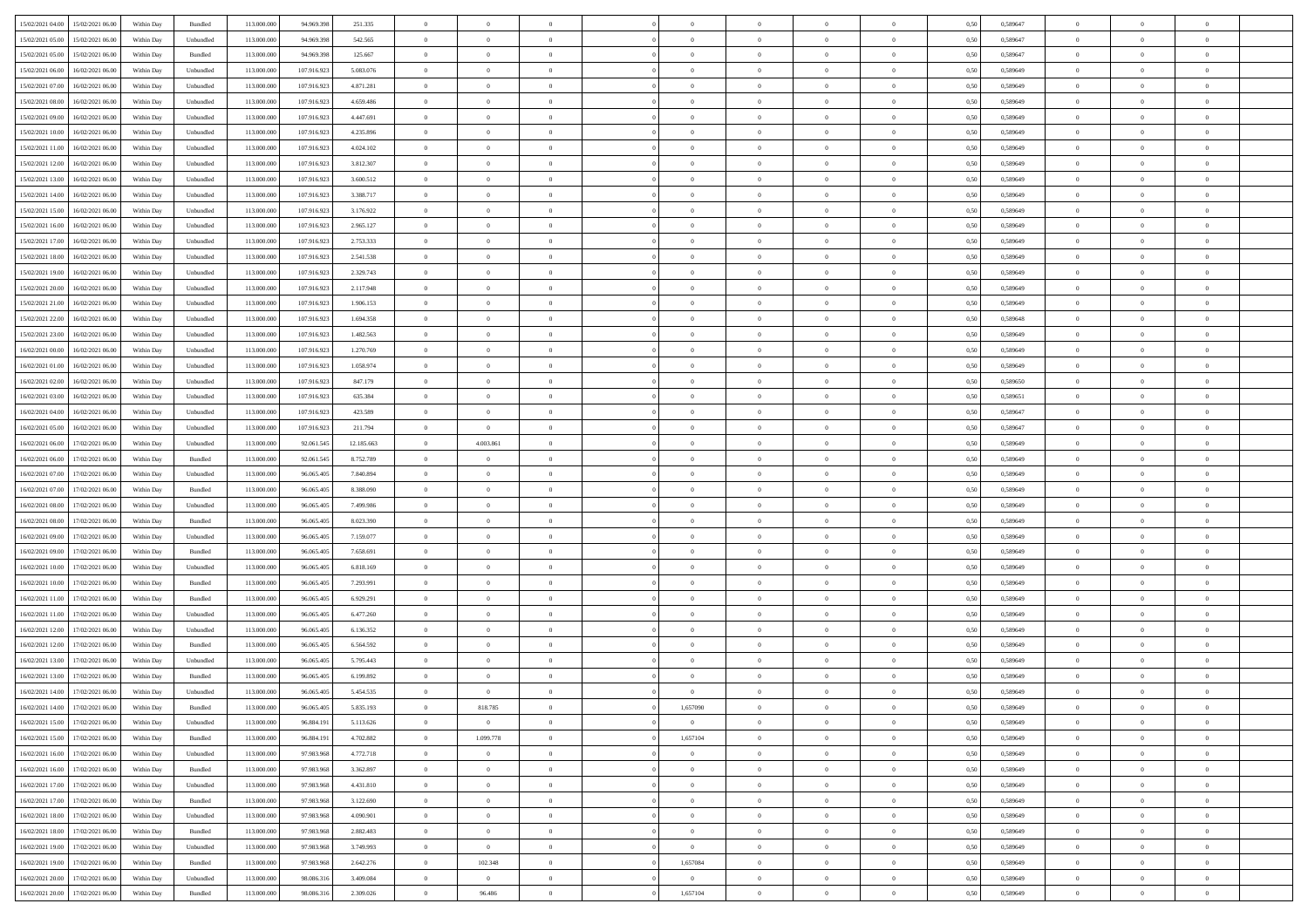| 15/02/2021 04:00<br>15/02/2021 06:00         | Within Day | Bundled   | 113.000.000 | 94.969.398  | 251.335    | $\overline{0}$ | $\overline{0}$ |                | $\overline{0}$ | $\theta$       |                | $\theta$       | 0,50 | 0,589647 | $\theta$       | $\theta$       | $\overline{0}$ |  |
|----------------------------------------------|------------|-----------|-------------|-------------|------------|----------------|----------------|----------------|----------------|----------------|----------------|----------------|------|----------|----------------|----------------|----------------|--|
| 15/02/2021 05:00<br>15/02/2021 06:00         | Within Day | Unbundled | 113.000.00  | 94.969.39   | 542.565    | $\bf{0}$       | $\bf{0}$       | $\bf{0}$       | $\bf{0}$       | $\overline{0}$ | $\overline{0}$ | $\bf{0}$       | 0,50 | 0,589647 | $\,$ 0 $\,$    | $\bf{0}$       | $\overline{0}$ |  |
| 15/02/2021 05:00<br>15/02/2021 06:00         | Within Day | Bundled   | 113,000,000 | 94.969.398  | 125.667    | $\overline{0}$ | $\bf{0}$       | $\overline{0}$ | $\bf{0}$       | $\bf{0}$       | $\overline{0}$ | $\bf{0}$       | 0.50 | 0.589647 | $\bf{0}$       | $\overline{0}$ | $\bf{0}$       |  |
|                                              |            |           |             |             |            | $\overline{0}$ |                |                |                |                |                |                |      |          | $\theta$       | $\theta$       |                |  |
| 15/02/2021 06:00<br>16/02/2021 06:00         | Within Day | Unbundled | 113.000.000 | 107.916.923 | 5.083.076  |                | $\overline{0}$ | $\overline{0}$ | $\theta$       | $\theta$       | $\overline{0}$ | $\bf{0}$       | 0,50 | 0,589649 |                |                | $\overline{0}$ |  |
| 15/02/2021 07:00<br>16/02/2021 06:00         | Within Day | Unbundled | 113.000.00  | 107.916.923 | 4.871.281  | $\bf{0}$       | $\overline{0}$ | $\bf{0}$       | $\overline{0}$ | $\theta$       | $\overline{0}$ | $\bf{0}$       | 0,50 | 0,589649 | $\,$ 0 $\,$    | $\bf{0}$       | $\overline{0}$ |  |
| 15/02/2021 08:00<br>16/02/2021 06:00         | Within Day | Unbundled | 113,000,00  | 107.916.92  | 4.659.486  | $\overline{0}$ | $\overline{0}$ | $\overline{0}$ | $\bf{0}$       | $\overline{0}$ | $\theta$       | $\bf{0}$       | 0.50 | 0.589649 | $\,$ 0 $\,$    | $\theta$       | $\overline{0}$ |  |
| 15/02/2021 09:00<br>16/02/2021 06:00         | Within Day | Unbundled | 113.000.000 | 107.916.923 | 4.447.691  | $\overline{0}$ | $\overline{0}$ | $\overline{0}$ | $\overline{0}$ | $\overline{0}$ | $\overline{0}$ | $\bf{0}$       | 0,50 | 0,589649 | $\theta$       | $\theta$       | $\overline{0}$ |  |
|                                              |            |           |             |             |            |                | $\bf{0}$       | $\bf{0}$       | $\overline{0}$ | $\overline{0}$ | $\overline{0}$ |                |      |          | $\,$ 0 $\,$    | $\bf{0}$       | $\overline{0}$ |  |
| 15/02/2021 10:00<br>16/02/2021 06:00         | Within Day | Unbundled | 113.000.00  | 107.916.92  | 4.235.896  | $\bf{0}$       |                |                |                |                |                | $\bf{0}$       | 0,50 | 0,589649 |                |                |                |  |
| 15/02/2021 11:00<br>16/02/2021 06:00         | Within Day | Unbundled | 113,000,00  | 107.916.923 | 4.024.102  | $\overline{0}$ | $\bf{0}$       | $\overline{0}$ | $\bf{0}$       | $\overline{0}$ | $\overline{0}$ | $\bf{0}$       | 0.50 | 0.589649 | $\bf{0}$       | $\overline{0}$ | $\overline{0}$ |  |
| 15/02/2021 12:00<br>16/02/2021 06:00         | Within Day | Unbundled | 113.000.000 | 107.916.923 | 3.812.307  | $\bf{0}$       | $\bf{0}$       | $\overline{0}$ | $\overline{0}$ | $\overline{0}$ | $\overline{0}$ | $\bf{0}$       | 0,50 | 0,589649 | $\,$ 0 $\,$    | $\bf{0}$       | $\overline{0}$ |  |
| 15/02/2021 13:00<br>16/02/2021 06:00         | Within Day | Unbundled | 113.000.00  | 107.916.923 | 3.600.512  | $\bf{0}$       | $\overline{0}$ | $\bf{0}$       | $\bf{0}$       | $\overline{0}$ | $\overline{0}$ | $\bf{0}$       | 0,50 | 0,589649 | $\,$ 0 $\,$    | $\bf{0}$       | $\overline{0}$ |  |
| 15/02/2021 14:00<br>16/02/2021 06:00         | Within Day | Unbundled | 113,000,000 | 107.916.923 | 3.388.717  | $\overline{0}$ | $\bf{0}$       | $\overline{0}$ | $\overline{0}$ | $\bf{0}$       | $\overline{0}$ | $\bf{0}$       | 0.50 | 0.589649 | $\bf{0}$       | $\overline{0}$ | $\,$ 0         |  |
|                                              |            |           |             |             |            |                |                |                |                |                |                |                |      |          |                |                |                |  |
| 15/02/2021 15:00<br>16/02/2021 06:00         | Within Day | Unbundled | 113.000.000 | 107.916.923 | 3.176.922  | $\overline{0}$ | $\overline{0}$ | $\overline{0}$ | $\theta$       | $\theta$       | $\overline{0}$ | $\bf{0}$       | 0,50 | 0,589649 | $\theta$       | $\theta$       | $\overline{0}$ |  |
| 15/02/2021 16:00<br>16/02/2021 06:00         | Within Day | Unbundled | 113.000.00  | 107.916.923 | 2.965.127  | $\bf{0}$       | $\overline{0}$ | $\bf{0}$       | $\overline{0}$ | $\bf{0}$       | $\overline{0}$ | $\bf{0}$       | 0,50 | 0,589649 | $\,$ 0 $\,$    | $\bf{0}$       | $\overline{0}$ |  |
| 15/02/2021 17:00<br>16/02/2021 06:00         | Within Day | Unbundled | 113,000,00  | 107.916.923 | 2.753.333  | $\overline{0}$ | $\overline{0}$ | $\overline{0}$ | $\bf{0}$       | $\overline{0}$ | $\theta$       | $\bf{0}$       | 0.50 | 0.589649 | $\,$ 0 $\,$    | $\theta$       | $\overline{0}$ |  |
| 15/02/2021 18:00<br>16/02/2021 06:00         | Within Day | Unbundled | 113.000.000 | 107.916.923 | 2.541.538  | $\overline{0}$ | $\overline{0}$ | $\overline{0}$ | $\overline{0}$ | $\overline{0}$ | $\overline{0}$ | $\bf{0}$       | 0,50 | 0,589649 | $\theta$       | $\theta$       | $\overline{0}$ |  |
| 15/02/2021 19:00<br>16/02/2021 06:00         | Within Day | Unbundled | 113.000.00  | 107.916.923 | 2.329.743  | $\bf{0}$       | $\overline{0}$ | $\bf{0}$       | $\overline{0}$ | $\overline{0}$ | $\overline{0}$ | $\bf{0}$       | 0,50 | 0,589649 | $\,$ 0 $\,$    | $\bf{0}$       | $\overline{0}$ |  |
|                                              |            |           |             |             |            |                |                |                |                |                |                |                |      |          |                |                |                |  |
| 15/02/2021 20:00<br>16/02/2021 06:00         | Within Day | Unbundled | 113,000,00  | 107.916.92  | 2.117.948  | $\overline{0}$ | $\bf{0}$       | $\overline{0}$ | $\bf{0}$       | $\overline{0}$ | $\overline{0}$ | $\bf{0}$       | 0.50 | 0.589649 | $\bf{0}$       | $\overline{0}$ | $\bf{0}$       |  |
| 15/02/2021 21:00<br>16/02/2021 06:00         | Within Day | Unbundled | 113.000.000 | 107.916.923 | 1.906.153  | $\overline{0}$ | $\bf{0}$       | $\overline{0}$ | $\overline{0}$ | $\overline{0}$ | $\overline{0}$ | $\bf{0}$       | 0,50 | 0,589649 | $\,$ 0 $\,$    | $\bf{0}$       | $\overline{0}$ |  |
| 15/02/2021 22:00<br>16/02/2021 06:00         | Within Day | Unbundled | 113.000.00  | 107.916.923 | 1.694.358  | $\bf{0}$       | $\bf{0}$       | $\bf{0}$       | $\bf{0}$       | $\overline{0}$ | $\overline{0}$ | $\bf{0}$       | 0,50 | 0,589648 | $\,$ 0 $\,$    | $\bf{0}$       | $\overline{0}$ |  |
| 15/02/2021 23:00<br>16/02/2021 06:00         | Within Day | Unbundled | 113,000,000 | 107.916.923 | 1.482.563  | $\overline{0}$ | $\bf{0}$       | $\overline{0}$ | $\overline{0}$ | $\bf{0}$       | $\overline{0}$ | $\bf{0}$       | 0.50 | 0.589649 | $\bf{0}$       | $\overline{0}$ | $\,$ 0         |  |
| 16/02/2021 00:00<br>16/02/2021 06:00         | Within Day | Unbundled | 113.000.000 | 107.916.923 | 1.270.769  | $\overline{0}$ | $\overline{0}$ | $\overline{0}$ | $\theta$       | $\theta$       | $\overline{0}$ | $\bf{0}$       | 0,50 | 0,589649 | $\theta$       | $\theta$       | $\overline{0}$ |  |
| 16/02/2021 06:00                             | Within Day | Unbundled | 113.000.00  | 107.916.923 | 1.058.974  | $\bf{0}$       | $\overline{0}$ | $\bf{0}$       | $\bf{0}$       | $\overline{0}$ | $\overline{0}$ | $\bf{0}$       | 0,50 | 0,589649 | $\,$ 0 $\,$    | $\bf{0}$       | $\overline{0}$ |  |
| 16/02/2021 01:00                             |            |           |             |             |            |                |                |                |                |                |                |                |      |          |                |                |                |  |
| 16/02/2021 02:00<br>16/02/2021 06:00         | Within Day | Unbundled | 113,000,00  | 107.916.92  | 847.179    | $\overline{0}$ | $\overline{0}$ | $\overline{0}$ | $\bf{0}$       | $\overline{0}$ | $\theta$       | $\bf{0}$       | 0.50 | 0.589650 | $\,$ 0 $\,$    | $\theta$       | $\overline{0}$ |  |
| 16/02/2021 03:00<br>16/02/2021 06:00         | Within Day | Unbundled | 113.000.000 | 107.916.923 | 635.384    | $\overline{0}$ | $\overline{0}$ | $\overline{0}$ | $\overline{0}$ | $\overline{0}$ | $\overline{0}$ | $\bf{0}$       | 0,50 | 0,589651 | $\theta$       | $\theta$       | $\overline{0}$ |  |
| 16/02/2021 04:00<br>16/02/2021 06:00         | Within Day | Unbundled | 113.000.00  | 107.916.92  | 423.589    | $\bf{0}$       | $\overline{0}$ | $\bf{0}$       | $\overline{0}$ | $\bf{0}$       | $\overline{0}$ | $\bf{0}$       | 0,50 | 0,589647 | $\,$ 0 $\,$    | $\bf{0}$       | $\overline{0}$ |  |
| 16/02/2021 05:00<br>16/02/2021 06:00         | Within Day | Unbundled | 113,000,000 | 107.916.92  | 211.794    | $\overline{0}$ | $\overline{0}$ | $\overline{0}$ | $\bf{0}$       | $\overline{0}$ | $\overline{0}$ | $\bf{0}$       | 0.50 | 0.589647 | $\bf{0}$       | $\overline{0}$ | $\overline{0}$ |  |
| 16/02/2021 06:00<br>17/02/2021 06:00         | Within Day | Unbundled | 113.000.000 | 92.061.545  | 12.185.663 | $\overline{0}$ | 4.003.861      | $\overline{0}$ | $\overline{0}$ | $\overline{0}$ | $\overline{0}$ | $\bf{0}$       | 0,50 | 0,589649 | $\theta$       | $\theta$       | $\overline{0}$ |  |
| 17/02/2021 06:00                             | Within Day | Bundled   | 113.000.00  | 92.061.545  | 8.752.789  | $\bf{0}$       | $\bf{0}$       | $\bf{0}$       | $\bf{0}$       | $\overline{0}$ | $\overline{0}$ | $\bf{0}$       | 0,50 | 0,589649 | $\,$ 0 $\,$    | $\bf{0}$       | $\overline{0}$ |  |
| 16/02/2021 06:00                             |            |           |             |             |            |                |                |                |                |                |                |                |      |          |                |                |                |  |
| 16/02/2021 07:00<br>17/02/2021 06:00         | Within Day | Unbundled | 113,000,000 | 96,065,405  | 7.840.894  | $\overline{0}$ | $\bf{0}$       | $\overline{0}$ | $\bf{0}$       | $\bf{0}$       | $\overline{0}$ | $\bf{0}$       | 0.50 | 0.589649 | $\bf{0}$       | $\overline{0}$ | $\,$ 0         |  |
| 16/02/2021 07:00<br>17/02/2021 06:00         | Within Day | Bundled   | 113.000.000 | 96.065.40   | 8,388,090  | $\overline{0}$ | $\overline{0}$ | $\overline{0}$ | $\overline{0}$ | $\overline{0}$ | $\overline{0}$ | $\bf{0}$       | 0.50 | 0.589649 | $\theta$       | $\theta$       | $\overline{0}$ |  |
| 16/02/2021 08:00<br>17/02/2021 06:00         | Within Day | Unbundled | 113.000.00  | 96.065.405  | 7.499.986  | $\bf{0}$       | $\bf{0}$       | $\bf{0}$       | $\bf{0}$       | $\overline{0}$ | $\overline{0}$ | $\bf{0}$       | 0,50 | 0,589649 | $\,$ 0 $\,$    | $\bf{0}$       | $\overline{0}$ |  |
| 16/02/2021 08:00<br>17/02/2021 06:00         | Within Day | Bundled   | 113,000,000 | 96,065,405  | 8.023.390  | $\overline{0}$ | $\bf{0}$       | $\overline{0}$ | $\bf{0}$       | $\overline{0}$ | $\theta$       | $\bf{0}$       | 0.50 | 0.589649 | $\,$ 0 $\,$    | $\theta$       | $\overline{0}$ |  |
| 16/02/2021 09:00<br>17/02/2021 06:00         | Within Dav | Unbundled | 113.000.000 | 96.065.405  | 7.159.077  | $\overline{0}$ | $\overline{0}$ | $\overline{0}$ | $\overline{0}$ | $\overline{0}$ | $\overline{0}$ | $\bf{0}$       | 0.5( | 0.589649 | $\theta$       | $\theta$       | $\overline{0}$ |  |
| 17/02/2021 06:00                             | Within Day | Bundled   | 113.000.00  | 96.065.405  | 7.658.691  | $\bf{0}$       | $\bf{0}$       | $\bf{0}$       | $\bf{0}$       | $\overline{0}$ | $\overline{0}$ | $\bf{0}$       | 0,50 | 0,589649 | $\,$ 0 $\,$    | $\bf{0}$       | $\overline{0}$ |  |
| 16/02/2021 09:00                             |            |           |             |             |            |                |                |                |                |                |                |                |      |          |                |                |                |  |
| 16/02/2021 10:00<br>17/02/2021 06:00         | Within Day | Unbundled | 113,000,000 | 96,065,405  | 6.818.169  | $\overline{0}$ | $\bf{0}$       | $\overline{0}$ | $\bf{0}$       | $\overline{0}$ | $\overline{0}$ | $\bf{0}$       | 0.50 | 0.589649 | $\bf{0}$       | $\overline{0}$ | $\overline{0}$ |  |
| 16/02/2021 10:00<br>17/02/2021 06:00         | Within Dav | Bundled   | 113.000.000 | 96.065.40   | 7.293.991  | $\overline{0}$ | $\overline{0}$ | $\overline{0}$ | $\overline{0}$ | $\overline{0}$ | $\overline{0}$ | $\bf{0}$       | 0.50 | 0.589649 | $\theta$       | $\theta$       | $\overline{0}$ |  |
| 16/02/2021 11:00<br>17/02/2021 06:00         | Within Day | Bundled   | 113.000.00  | 96.065.405  | 6.929.291  | $\bf{0}$       | $\bf{0}$       | $\bf{0}$       | $\bf{0}$       | $\overline{0}$ | $\overline{0}$ | $\bf{0}$       | 0,50 | 0,589649 | $\,$ 0 $\,$    | $\bf{0}$       | $\overline{0}$ |  |
| 16/02/2021 11:00<br>17/02/2021 06:00         | Within Day | Unbundled | 113,000,000 | 96,065,405  | 6.477.260  | $\overline{0}$ | $\bf{0}$       | $\overline{0}$ | $\overline{0}$ | $\bf{0}$       | $\overline{0}$ | $\bf{0}$       | 0.50 | 0.589649 | $\bf{0}$       | $\overline{0}$ | $\,$ 0         |  |
| 16/02/2021 12:00<br>17/02/2021 06:00         | Within Dav | Unbundled | 113.000.000 | 96.065.405  | 6.136.352  | $\overline{0}$ | $\overline{0}$ | $\overline{0}$ | $\overline{0}$ | $\overline{0}$ | $\overline{0}$ | $\bf{0}$       | 0.50 | 0.589649 | $\theta$       | $\theta$       | $\overline{0}$ |  |
|                                              |            |           |             |             |            |                |                |                |                |                |                |                |      |          |                |                |                |  |
| 16/02/2021 12:00<br>17/02/2021 06:00         | Within Day | Bundled   | 113.000.00  | 96.065.405  | 6.564.592  | $\bf{0}$       | $\bf{0}$       | $\bf{0}$       | $\bf{0}$       | $\overline{0}$ | $\overline{0}$ | $\bf{0}$       | 0,50 | 0,589649 | $\,$ 0 $\,$    | $\bf{0}$       | $\overline{0}$ |  |
| 16/02/2021 13:00<br>17/02/2021 06:00         | Within Day | Unbundled | 113,000,000 | 96,065,405  | 5.795.443  | $\overline{0}$ | $\overline{0}$ | $\overline{0}$ | $\bf{0}$       | $\overline{0}$ | $\Omega$       | $\bf{0}$       | 0.50 | 0.589649 | $\bf{0}$       | $\theta$       | $\overline{0}$ |  |
| 16/02/2021 13:00<br>17/02/2021 06:00         | Within Dav | Bundled   | 113.000.000 | 96.065.40   | 6.199.892  | $\overline{0}$ | $\overline{0}$ | $\Omega$       | $\overline{0}$ | $\theta$       | $\overline{0}$ | $\overline{0}$ | 0.5( | 0.589649 | $\theta$       | $\theta$       | $\overline{0}$ |  |
| 16/02/2021 14:00<br>17/02/2021 06:00         | Within Day | Unbundled | 113.000.000 | 96.065.405  | 5.454.535  | $\bf{0}$       | $\bf{0}$       | $\bf{0}$       | $\bf{0}$       | $\bf{0}$       | $\overline{0}$ | $\bf{0}$       | 0,50 | 0,589649 | $\overline{0}$ | $\bf{0}$       | $\overline{0}$ |  |
| $16/02/2021\ 14.00 \qquad 17/02/2021\ 06.00$ | Within Day | Bundled   | 113.000.000 | 96.065.405  | 5.835.193  | $\bf{0}$       | 818.785        |                | 1,657090       | $\theta$       |                |                | 0,50 | 0.589649 | $\bf{0}$       | $\overline{0}$ |                |  |
| 16/02/2021 15:00 17/02/2021 06:00            | Within Day | Unbundled | 113.000.000 | 96.884.191  | 5.113.626  | $\overline{0}$ | $\overline{0}$ | $\Omega$       | $\overline{0}$ | $\overline{0}$ | $\overline{0}$ | $\bf{0}$       | 0,50 | 0,589649 | $\theta$       | $\theta$       | $\overline{0}$ |  |
|                                              |            |           |             |             |            |                |                |                |                |                |                |                |      |          |                |                |                |  |
| 16/02/2021 15:00<br>17/02/2021 06:00         | Within Day | Bundled   | 113.000.00  | 96.884.19   | 4.702.882  | $\overline{0}$ | 1.099.778      | $\overline{0}$ | 1,657104       | $\bf{0}$       | $\overline{0}$ | $\bf{0}$       | 0,50 | 0,589649 | $\bf{0}$       | $\overline{0}$ | $\bf{0}$       |  |
| 16/02/2021 16:00 17/02/2021 06:00            | Within Day | Unbundled | 113,000,000 | 97,983,968  | 4.772.718  | $\overline{0}$ | $\overline{0}$ | $\overline{0}$ | $\overline{0}$ | $\mathbf{0}$   | $\overline{0}$ | $\,$ 0 $\,$    | 0.50 | 0.589649 | $\overline{0}$ | $\bf{0}$       | $\bf{0}$       |  |
| 16/02/2021 16:00 17/02/2021 06:00            | Within Day | Bundled   | 113.000.000 | 97.983.968  | 3.362.897  | $\overline{0}$ | $\overline{0}$ | $\overline{0}$ | $\overline{0}$ | $\overline{0}$ | $\overline{0}$ | $\bf{0}$       | 0,50 | 0.589649 | $\theta$       | $\theta$       | $\overline{0}$ |  |
| 16/02/2021 17:00<br>17/02/2021 06:00         | Within Day | Unbundled | 113.000.000 | 97.983.968  | 4.431.810  | $\overline{0}$ | $\bf{0}$       | $\overline{0}$ | $\overline{0}$ | $\bf{0}$       | $\overline{0}$ | $\bf{0}$       | 0,50 | 0,589649 | $\bf{0}$       | $\overline{0}$ | $\overline{0}$ |  |
| 16/02/2021 17:00<br>17/02/2021 06:00         | Within Day | Bundled   | 113,000,000 | 97.983.968  | 3.122.690  | $\overline{0}$ | $\bf{0}$       | $\overline{0}$ | $\overline{0}$ | $\overline{0}$ | $\overline{0}$ | $\bf{0}$       | 0.50 | 0.589649 | $\,$ 0 $\,$    | $\overline{0}$ | $\,$ 0         |  |
| 16/02/2021 18:00<br>17/02/2021 06:00         | Within Dav | Unbundled | 113.000.000 | 97.983.968  | 4.090.901  | $\overline{0}$ | $\overline{0}$ | $\overline{0}$ | $\overline{0}$ | $\overline{0}$ | $\overline{0}$ | $\bf{0}$       | 0,50 | 0.589649 | $\overline{0}$ | $\theta$       | $\overline{0}$ |  |
|                                              |            |           |             |             |            |                |                |                |                |                |                |                |      |          |                |                |                |  |
| 16/02/2021 18:00<br>17/02/2021 06:00         | Within Day | Bundled   | 113.000.00  | 97.983.968  | 2.882.483  | $\overline{0}$ | $\overline{0}$ | $\overline{0}$ | $\overline{0}$ | $\overline{0}$ | $\overline{0}$ | $\bf{0}$       | 0,50 | 0,589649 | $\bf{0}$       | $\overline{0}$ | $\,$ 0         |  |
| 17/02/2021 06:00<br>16/02/2021 19:00         | Within Day | Unbundled | 113,000,000 | 97.983.968  | 3.749.993  | $\overline{0}$ | $\overline{0}$ | $\overline{0}$ | $\overline{0}$ | $\overline{0}$ | $\overline{0}$ | $\bf{0}$       | 0.50 | 0.589649 | $\mathbf{0}$   | $\bf{0}$       | $\,$ 0         |  |
| 16/02/2021 19:00<br>17/02/2021 06:00         | Within Dav | Bundled   | 113.000.000 | 97.983.968  | 2.642.276  | $\overline{0}$ | 102.348        | $\overline{0}$ | 1,657084       | $\overline{0}$ | $\overline{0}$ | $\bf{0}$       | 0,50 | 0.589649 | $\overline{0}$ | $\theta$       | $\overline{0}$ |  |
| 16/02/2021 20:00<br>17/02/2021 06:00         | Within Day | Unbundled | 113.000.00  | 98.086.31   | 3.409.084  | $\overline{0}$ | $\bf{0}$       | $\overline{0}$ | $\overline{0}$ | $\bf{0}$       | $\bf{0}$       | $\bf{0}$       | 0,50 | 0,589649 | $\bf{0}$       | $\,$ 0 $\,$    | $\bf{0}$       |  |
| 16/02/2021 20:00 17/02/2021 06:00            | Within Day | Bundled   | 113.000.000 | 98.086.316  | 2.309.026  | $\overline{0}$ | 96.486         | $\overline{0}$ | 1,657104       | $\,$ 0 $\,$    | $\overline{0}$ | $\bf{0}$       | 0,50 | 0,589649 | $\overline{0}$ | $\,$ 0 $\,$    | $\,$ 0 $\,$    |  |
|                                              |            |           |             |             |            |                |                |                |                |                |                |                |      |          |                |                |                |  |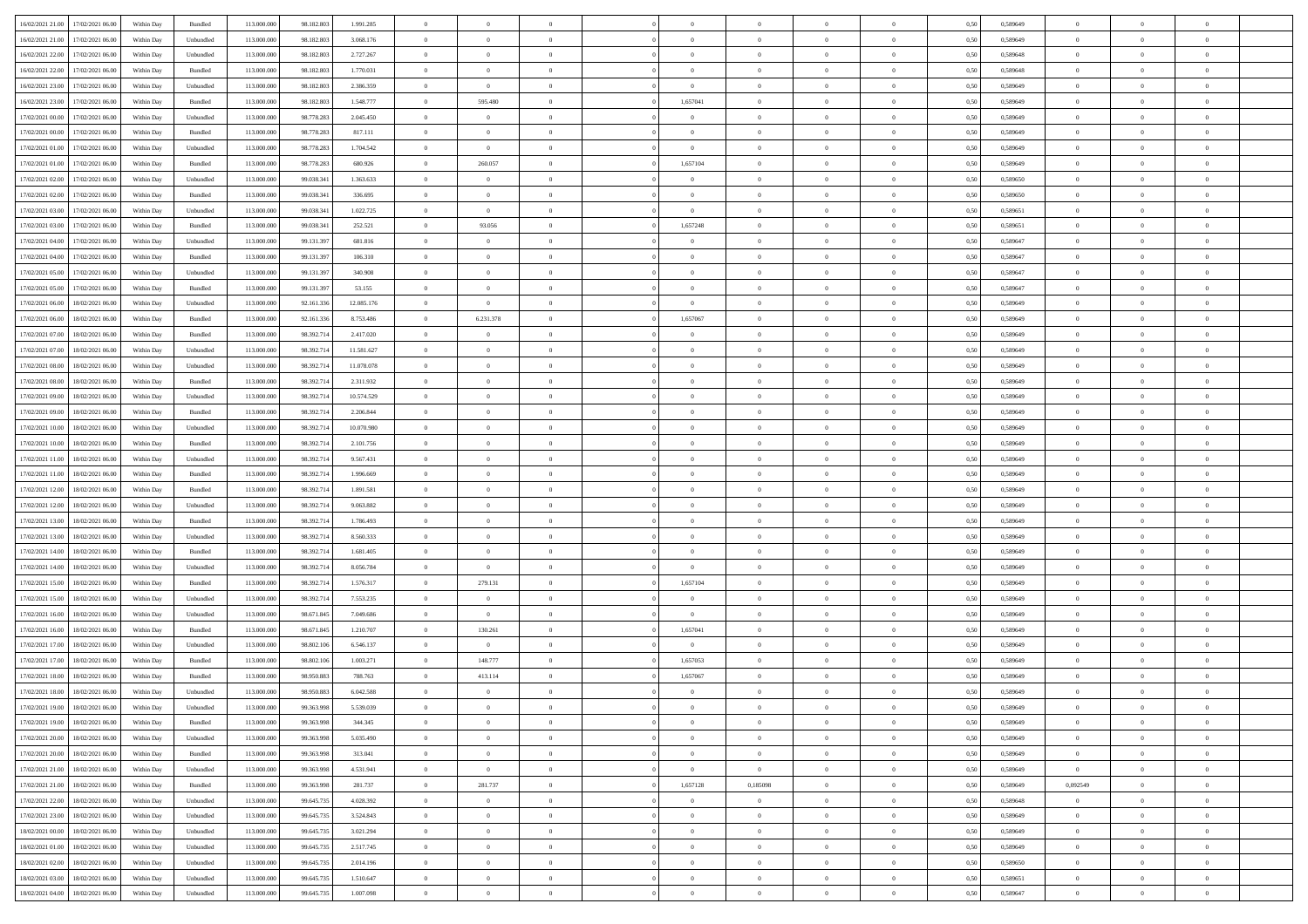| 16/02/2021 21:00 | 17/02/2021 06:00 | Within Dav | Bundled   | 113.000.000 | 98.182.803 | 1.991.285  | $\Omega$       | $\Omega$       |                | $\Omega$       | $\Omega$       | $\Omega$       | $\theta$       | 0.50 | 0,589649 | $\theta$       | $\theta$       | $\theta$       |  |
|------------------|------------------|------------|-----------|-------------|------------|------------|----------------|----------------|----------------|----------------|----------------|----------------|----------------|------|----------|----------------|----------------|----------------|--|
|                  |                  |            |           |             |            |            |                |                |                |                |                |                |                |      |          |                |                |                |  |
| 16/02/2021 21:00 | 17/02/2021 06:00 | Within Day | Unbundled | 113.000.000 | 98.182.803 | 3.068.176  | $\overline{0}$ | $\theta$       | $\overline{0}$ | $\overline{0}$ | $\bf{0}$       | $\overline{0}$ | $\overline{0}$ | 0,50 | 0,589649 | $\theta$       | $\theta$       | $\overline{0}$ |  |
| 16/02/2021 22:00 | 17/02/2021 06:00 | Within Day | Unbundled | 113.000.000 | 98.182.803 | 2.727.267  | $\overline{0}$ | $\overline{0}$ | $\overline{0}$ | $\bf{0}$       | $\bf{0}$       | $\overline{0}$ | $\bf{0}$       | 0,50 | 0,589648 | $\bf{0}$       | $\overline{0}$ | $\overline{0}$ |  |
| 16/02/2021 22:00 | 17/02/2021 06:00 | Within Dav | Bundled   | 113.000.000 | 98.182.803 | 1.770.031  | $\overline{0}$ | $\overline{0}$ | $\overline{0}$ | $\overline{0}$ | $\bf{0}$       | $\overline{0}$ | $\overline{0}$ | 0.50 | 0.589648 | $\theta$       | $\theta$       | $\overline{0}$ |  |
| 16/02/2021 23:00 | 17/02/2021 06:00 | Within Day | Unbundled | 113.000.000 | 98.182.803 | 2.386.359  | $\overline{0}$ | $\overline{0}$ | $\overline{0}$ | $\overline{0}$ | $\bf{0}$       | $\overline{0}$ | $\bf{0}$       | 0,50 | 0,589649 | $\theta$       | $\overline{0}$ | $\overline{0}$ |  |
| 16/02/2021 23:00 | 17/02/2021 06:00 | Within Day | Bundled   | 113.000.000 | 98.182.803 | 1.548.777  | $\overline{0}$ | 595.480        | $\overline{0}$ | 1,657041       | $\bf{0}$       | $\overline{0}$ | $\mathbf{0}$   | 0,50 | 0,589649 | $\bf{0}$       | $\overline{0}$ | $\bf{0}$       |  |
| 17/02/2021 00:00 | 17/02/2021 06:00 | Within Dav | Unbundled | 113.000.000 | 98.778.283 | 2.045.450  | $\overline{0}$ | $\overline{0}$ | $\overline{0}$ | $\overline{0}$ | $\bf{0}$       | $\overline{0}$ | $\overline{0}$ | 0.50 | 0.589649 | $\theta$       | $\overline{0}$ | $\overline{0}$ |  |
|                  |                  |            |           |             |            |            |                |                |                |                |                |                |                |      |          |                |                |                |  |
| 17/02/2021 00:00 | 17/02/2021 06:00 | Within Day | Bundled   | 113.000.000 | 98.778.283 | 817.111    | $\overline{0}$ | $\theta$       | $\overline{0}$ | $\overline{0}$ | $\bf{0}$       | $\overline{0}$ | $\bf{0}$       | 0,50 | 0,589649 | $\theta$       | $\theta$       | $\overline{0}$ |  |
| 17/02/2021 01:00 | 17/02/2021 06:00 | Within Day | Unbundled | 113.000.000 | 98.778.283 | 1.704.542  | $\overline{0}$ | $\overline{0}$ | $\overline{0}$ | $\overline{0}$ | $\bf{0}$       | $\overline{0}$ | $\bf{0}$       | 0,50 | 0,589649 | $\,0\,$        | $\overline{0}$ | $\overline{0}$ |  |
| 17/02/2021 01:00 | 17/02/2021 06:00 | Within Dav | Bundled   | 113.000.000 | 98.778.283 | 680,926    | $\overline{0}$ | 260.057        | $\overline{0}$ | 1,657104       | $\bf{0}$       | $\overline{0}$ | $\overline{0}$ | 0.50 | 0.589649 | $\theta$       | $\overline{0}$ | $\overline{0}$ |  |
| 17/02/2021 02:00 | 17/02/2021 06:00 | Within Day | Unbundled | 113.000.000 | 99.038.341 | 1.363.633  | $\overline{0}$ | $\theta$       | $\overline{0}$ | $\overline{0}$ | $\bf{0}$       | $\overline{0}$ | $\bf{0}$       | 0,50 | 0,589650 | $\theta$       | $\theta$       | $\overline{0}$ |  |
| 17/02/2021 02:00 | 17/02/2021 06:00 | Within Day | Bundled   | 113.000.000 | 99.038.341 | 336.695    | $\overline{0}$ | $\overline{0}$ | $\overline{0}$ | $\bf{0}$       | $\bf{0}$       | $\bf{0}$       | $\mathbf{0}$   | 0,50 | 0,589650 | $\bf{0}$       | $\overline{0}$ | $\overline{0}$ |  |
| 17/02/2021 03:00 | 17/02/2021 06:00 | Within Dav | Unbundled | 113.000.000 | 99.038.341 | 1.022.725  | $\overline{0}$ | $\overline{0}$ | $\overline{0}$ | $\overline{0}$ | $\bf{0}$       | $\overline{0}$ | $\overline{0}$ | 0.50 | 0.589651 | $\theta$       | $\theta$       | $\overline{0}$ |  |
|                  |                  |            |           |             |            |            |                |                |                |                |                |                |                |      |          |                |                |                |  |
| 17/02/2021 03:00 | 17/02/2021 06:00 | Within Day | Bundled   | 113.000.000 | 99.038.341 | 252.521    | $\overline{0}$ | 93.056         | $\overline{0}$ | 1,657248       | $\bf{0}$       | $\overline{0}$ | $\overline{0}$ | 0,50 | 0,589651 | $\theta$       | $\overline{0}$ | $\overline{0}$ |  |
| 17/02/2021 04:00 | 17/02/2021 06:00 | Within Day | Unbundled | 113.000.000 | 99.131.397 | 681.816    | $\overline{0}$ | $\overline{0}$ | $\overline{0}$ | $\bf{0}$       | $\overline{0}$ | $\overline{0}$ | $\mathbf{0}$   | 0,50 | 0,589647 | $\overline{0}$ | $\overline{0}$ | $\bf{0}$       |  |
| 17/02/2021 04:00 | 17/02/2021 06:00 | Within Dav | Bundled   | 113.000.000 | 99.131.397 | 106,310    | $\overline{0}$ | $\overline{0}$ | $\overline{0}$ | $\overline{0}$ | $\overline{0}$ | $\overline{0}$ | $\overline{0}$ | 0.50 | 0.589647 | $\theta$       | $\overline{0}$ | $\overline{0}$ |  |
| 17/02/2021 05:00 | 17/02/2021 06:00 | Within Day | Unbundled | 113.000.000 | 99.131.397 | 340.908    | $\overline{0}$ | $\theta$       | $\overline{0}$ | $\overline{0}$ | $\bf{0}$       | $\overline{0}$ | $\bf{0}$       | 0,50 | 0,589647 | $\theta$       | $\theta$       | $\overline{0}$ |  |
| 17/02/2021 05:00 | 17/02/2021 06:00 | Within Day | Bundled   | 113.000.000 | 99.131.397 | 53.155     | $\overline{0}$ | $\overline{0}$ | $\overline{0}$ | $\bf{0}$       | $\bf{0}$       | $\bf{0}$       | $\mathbf{0}$   | 0,50 | 0,589647 | $\,0\,$        | $\overline{0}$ | $\overline{0}$ |  |
| 17/02/2021 06:00 | 18/02/2021 06:00 | Within Dav | Unbundled | 113.000.000 | 92.161.336 | 12.085.176 | $\overline{0}$ | $\overline{0}$ | $\overline{0}$ | $\overline{0}$ | $\overline{0}$ | $\overline{0}$ | $\overline{0}$ | 0.50 | 0.589649 | $\theta$       | $\overline{0}$ | $\overline{0}$ |  |
| 17/02/2021 06:00 | 18/02/2021 06:00 | Within Day | Bundled   | 113.000.000 | 92.161.336 | 8.753.486  | $\overline{0}$ | 6.231.378      | $\overline{0}$ | 1,657067       | $\bf{0}$       | $\overline{0}$ | $\bf{0}$       | 0,50 | 0,589649 | $\theta$       | $\theta$       | $\overline{0}$ |  |
|                  |                  |            |           |             |            |            |                |                |                |                |                |                |                |      |          |                |                |                |  |
| 17/02/2021 07:00 | 18/02/2021 06:00 | Within Day | Bundled   | 113.000.000 | 98.392.714 | 2.417.020  | $\overline{0}$ | $\overline{0}$ | $\overline{0}$ | $\bf{0}$       | $\bf{0}$       | $\bf{0}$       | $\bf{0}$       | 0,50 | 0,589649 | $\bf{0}$       | $\overline{0}$ | $\overline{0}$ |  |
| 17/02/2021 07:00 | 18/02/2021 06:00 | Within Day | Unbundled | 113.000.000 | 98.392.714 | 11.581.627 | $\overline{0}$ | $\overline{0}$ | $\overline{0}$ | $\overline{0}$ | $\bf{0}$       | $\overline{0}$ | $\overline{0}$ | 0.50 | 0.589649 | $\theta$       | $\theta$       | $\overline{0}$ |  |
| 17/02/2021 08:00 | 18/02/2021 06:00 | Within Day | Unbundled | 113.000.000 | 98.392.714 | 11.078.078 | $\overline{0}$ | $\theta$       | $\overline{0}$ | $\overline{0}$ | $\bf{0}$       | $\overline{0}$ | $\bf{0}$       | 0,50 | 0,589649 | $\theta$       | $\overline{0}$ | $\overline{0}$ |  |
| 17/02/2021 08:00 | 18/02/2021 06:00 | Within Day | Bundled   | 113.000.000 | 98.392.714 | 2.311.932  | $\overline{0}$ | $\bf{0}$       | $\overline{0}$ | $\bf{0}$       | $\overline{0}$ | $\overline{0}$ | $\mathbf{0}$   | 0,50 | 0,589649 | $\overline{0}$ | $\overline{0}$ | $\bf{0}$       |  |
| 17/02/2021 09:00 | 18/02/2021 06:00 | Within Dav | Unbundled | 113.000.000 | 98.392.714 | 10.574.529 | $\overline{0}$ | $\overline{0}$ | $\overline{0}$ | $\overline{0}$ | $\overline{0}$ | $\overline{0}$ | $\overline{0}$ | 0.50 | 0.589649 | $\theta$       | $\overline{0}$ | $\overline{0}$ |  |
| 17/02/2021 09:00 | 18/02/2021 06:00 | Within Day | Bundled   | 113.000.000 | 98.392.714 | 2.206.844  | $\overline{0}$ | $\theta$       | $\overline{0}$ | $\overline{0}$ | $\bf{0}$       | $\overline{0}$ | $\bf{0}$       | 0,50 | 0,589649 | $\theta$       | $\theta$       | $\overline{0}$ |  |
|                  |                  |            |           |             |            |            |                |                |                |                |                |                |                |      |          |                |                |                |  |
| 17/02/2021 10:00 | 18/02/2021 06:00 | Within Day | Unbundled | 113.000.000 | 98.392.714 | 10.070.980 | $\overline{0}$ | $\overline{0}$ | $\overline{0}$ | $\bf{0}$       | $\bf{0}$       | $\bf{0}$       | $\bf{0}$       | 0,50 | 0,589649 | $\,0\,$        | $\overline{0}$ | $\overline{0}$ |  |
| 17/02/2021 10:00 | 18/02/2021 06:00 | Within Day | Bundled   | 113.000.000 | 98.392.714 | 2.101.756  | $\overline{0}$ | $\overline{0}$ | $\overline{0}$ | $\overline{0}$ | $\overline{0}$ | $\overline{0}$ | $\overline{0}$ | 0.50 | 0.589649 | $\theta$       | $\overline{0}$ | $\overline{0}$ |  |
| 17/02/2021 11:00 | 18/02/2021 06:00 | Within Day | Unbundled | 113.000.000 | 98.392.714 | 9.567.431  | $\overline{0}$ | $\theta$       | $\overline{0}$ | $\overline{0}$ | $\bf{0}$       | $\overline{0}$ | $\bf{0}$       | 0,50 | 0,589649 | $\,$ 0 $\,$    | $\theta$       | $\overline{0}$ |  |
| 17/02/2021 11:00 | 18/02/2021 06:00 | Within Day | Bundled   | 113.000.000 | 98.392.714 | 1.996.669  | $\overline{0}$ | $\overline{0}$ | $\overline{0}$ | $\bf{0}$       | $\bf{0}$       | $\bf{0}$       | $\bf{0}$       | 0,50 | 0,589649 | $\bf{0}$       | $\overline{0}$ | $\overline{0}$ |  |
| 17/02/2021 12:00 | 18/02/2021 06:00 | Within Day | Bundled   | 113.000.000 | 98.392.714 | 1.891.581  | $\overline{0}$ | $\Omega$       | $\Omega$       | $\Omega$       | $\Omega$       | $\overline{0}$ | $\overline{0}$ | 0.50 | 0.589649 | $\,0\,$        | $\theta$       | $\theta$       |  |
| 17/02/2021 12:00 | 18/02/2021 06:00 | Within Day | Unbundled | 113.000.000 | 98.392.714 | 9.063.882  | $\overline{0}$ | $\theta$       | $\overline{0}$ | $\overline{0}$ | $\bf{0}$       | $\overline{0}$ | $\bf{0}$       | 0,50 | 0,589649 | $\theta$       | $\overline{0}$ | $\overline{0}$ |  |
| 17/02/2021 13:00 | 18/02/2021 06:00 | Within Day | Bundled   | 113.000.000 | 98.392.714 | 1.786.493  | $\overline{0}$ | $\bf{0}$       | $\overline{0}$ | $\bf{0}$       | $\bf{0}$       | $\overline{0}$ | $\mathbf{0}$   | 0,50 | 0,589649 | $\overline{0}$ | $\overline{0}$ | $\bf{0}$       |  |
|                  | 18/02/2021 06:00 |            |           |             |            |            | $\overline{0}$ | $\Omega$       | $\Omega$       | $\Omega$       | $\bf{0}$       | $\overline{0}$ |                |      |          | $\theta$       | $\theta$       | $\theta$       |  |
| 17/02/2021 13:00 |                  | Within Day | Unbundled | 113.000.000 | 98.392.714 | 8.560.333  |                |                |                |                |                |                | $\overline{0}$ | 0.50 | 0.589649 |                |                |                |  |
| 17/02/2021 14:00 | 18/02/2021 06:00 | Within Day | Bundled   | 113.000.000 | 98.392.714 | 1.681.405  | $\overline{0}$ | $\theta$       | $\overline{0}$ | $\overline{0}$ | $\bf{0}$       | $\overline{0}$ | $\bf{0}$       | 0,50 | 0,589649 | $\theta$       | $\theta$       | $\overline{0}$ |  |
| 17/02/2021 14:00 | 18/02/2021 06:00 | Within Day | Unbundled | 113.000.000 | 98.392.714 | 8.056.784  | $\overline{0}$ | $\bf{0}$       | $\overline{0}$ | $\bf{0}$       | $\bf{0}$       | $\bf{0}$       | $\bf{0}$       | 0,50 | 0,589649 | $\,0\,$        | $\overline{0}$ | $\overline{0}$ |  |
| 17/02/2021 15:00 | 18/02/2021 06:00 | Within Day | Bundled   | 113.000.000 | 98.392.714 | 1.576.317  | $\overline{0}$ | 279.131        | $\Omega$       | 1,657104       | $\Omega$       | $\theta$       | $\overline{0}$ | 0.50 | 0.589649 | $\theta$       | $\theta$       | $\theta$       |  |
| 17/02/2021 15:00 | 18/02/2021 06:00 | Within Day | Unbundled | 113.000.000 | 98.392.714 | 7.553.235  | $\overline{0}$ | $\overline{0}$ | $\overline{0}$ | $\overline{0}$ | $\bf{0}$       | $\overline{0}$ | $\bf{0}$       | 0,50 | 0,589649 | $\,$ 0 $\,$    | $\theta$       | $\overline{0}$ |  |
| 17/02/2021 16:00 | 18/02/2021 06:00 | Within Day | Unbundled | 113.000.000 | 98.671.845 | 7.049.686  | $\overline{0}$ | $\bf{0}$       | $\overline{0}$ | $\bf{0}$       | $\bf{0}$       | $\bf{0}$       | $\bf{0}$       | 0,50 | 0,589649 | $\bf{0}$       | $\overline{0}$ | $\overline{0}$ |  |
| 17/02/2021 16:00 | 18/02/2021 06:00 | Within Day | Bundled   | 113.000.000 | 98.671.845 | 1.210.707  | $\overline{0}$ | 130.261        | $\overline{0}$ | 1,657041       | $\bf{0}$       | $\overline{0}$ | $\overline{0}$ | 0.50 | 0,589649 | $\,0\,$        | $\theta$       | $\theta$       |  |
| 17/02/2021 17:00 | 18/02/2021 06:00 | Within Day | Unbundled | 113.000.000 | 98.802.106 | 6.546.137  | $\overline{0}$ | $\overline{0}$ | $\overline{0}$ | $\overline{0}$ | $\bf{0}$       | $\overline{0}$ | $\bf{0}$       | 0,50 | 0,589649 | $\theta$       | $\overline{0}$ | $\overline{0}$ |  |
|                  |                  |            |           |             |            |            |                |                |                |                |                |                |                |      |          |                |                |                |  |
| 17/02/2021 17:00 | 18/02/2021 06:00 | Within Day | Bundled   | 113.000.000 | 98.802.106 | 1.003.271  | $\overline{0}$ | 148.777        | $\overline{0}$ | 1,657053       | $\bf{0}$       | $\bf{0}$       | $\mathbf{0}$   | 0,50 | 0,589649 | $\overline{0}$ | $\overline{0}$ | $\bf{0}$       |  |
| 17/02/2021 18:00 | 18/02/2021 06:00 | Within Day | Bundled   | 113.000.000 | 98.950.883 | 788,763    | $\overline{0}$ | 413.114        | $\Omega$       | 1,657067       | $\Omega$       | $\Omega$       | $\overline{0}$ | 0.50 | 0.589649 | $\theta$       | $\theta$       | $\theta$       |  |
| 17/02/2021 18:00 | 18/02/2021 06:00 | Within Day | Unbundled | 113.000.000 | 98.950.883 | 6.042.588  | $\overline{0}$ | $\bf{0}$       | $\overline{0}$ | $\overline{0}$ | $\,$ 0         | $\overline{0}$ | $\bf{0}$       | 0,50 | 0,589649 | $\,0\,$        | $\,0\,$        | $\overline{0}$ |  |
| 17/02/2021 19:00 | 18/02/2021 06:00 | Within Day | Unbundled | 113.000.000 | 99.363.998 | 5.539.039  | $\bf{0}$       | $\bf{0}$       |                |                |                |                |                | 0,50 | 0,589649 | $\bf{0}$       | $\overline{0}$ |                |  |
| 17/02/2021 19:00 | 18/02/2021 06:00 | Within Day | Bundled   | 113.000.000 | 99.363.998 | 344,345    | $\overline{0}$ | $\Omega$       | $\Omega$       | $\Omega$       | $\theta$       | $\overline{0}$ | $\overline{0}$ | 0.50 | 0.589649 | $\theta$       | $\theta$       | $\theta$       |  |
| 17/02/2021 20:00 | 18/02/2021 06:00 | Within Day | Unbundled | 113.000.000 | 99.363.998 | 5.035.490  | $\overline{0}$ | $\,$ 0         | $\overline{0}$ | $\bf{0}$       | $\,$ 0 $\,$    | $\overline{0}$ | $\mathbf{0}$   | 0,50 | 0,589649 | $\,$ 0 $\,$    | $\,$ 0 $\,$    | $\bf{0}$       |  |
| 17/02/2021 20:00 | 18/02/2021 06:00 | Within Day | Bundled   | 113.000.000 | 99.363.998 | 313.041    | $\overline{0}$ | $\overline{0}$ | $\overline{0}$ | $\overline{0}$ | $\overline{0}$ | $\overline{0}$ | $\mathbf{0}$   | 0,50 | 0,589649 | $\overline{0}$ | $\bf{0}$       | $\bf{0}$       |  |
|                  |                  |            |           |             |            |            |                |                |                |                |                |                |                |      |          |                |                |                |  |
| 17/02/2021 21:00 | 18/02/2021 06:00 | Within Day | Unbundled | 113.000.000 | 99.363.998 | 4.531.941  | $\overline{0}$ | $\overline{0}$ | $\overline{0}$ | $\overline{0}$ | $\overline{0}$ | $\overline{0}$ | $\bf{0}$       | 0.50 | 0,589649 | $\overline{0}$ | $\theta$       | $\overline{0}$ |  |
| 17/02/2021 21:00 | 18/02/2021 06:00 | Within Day | Bundled   | 113.000.000 | 99.363.998 | 281.737    | $\overline{0}$ | 281.737        | $\overline{0}$ | 1,657128       | 0,185098       | $\overline{0}$ | $\bf{0}$       | 0,50 | 0,589649 | 0,092549       | $\overline{0}$ | $\overline{0}$ |  |
| 17/02/2021 22.00 | 18/02/2021 06:00 | Within Day | Unbundled | 113.000.000 | 99.645.735 | 4.028.392  | $\overline{0}$ | $\overline{0}$ | $\overline{0}$ | $\overline{0}$ | $\overline{0}$ | $\overline{0}$ | $\mathbf{0}$   | 0,50 | 0,589648 | $\overline{0}$ | $\overline{0}$ | $\bf{0}$       |  |
| 17/02/2021 23:00 | 18/02/2021 06:00 | Within Day | Unbundled | 113.000.000 | 99.645.735 | 3.524.843  | $\overline{0}$ | $\overline{0}$ | $\overline{0}$ | $\overline{0}$ | $\overline{0}$ | $\overline{0}$ | $\bf{0}$       | 0.50 | 0.589649 | $\overline{0}$ | $\theta$       | $\overline{0}$ |  |
| 18/02/2021 00:00 | 18/02/2021 06:00 | Within Day | Unbundled | 113.000.000 | 99.645.735 | 3.021.294  | $\overline{0}$ | $\overline{0}$ | $\overline{0}$ | $\overline{0}$ | $\bf{0}$       | $\bf{0}$       | $\bf{0}$       | 0,50 | 0,589649 | $\,$ 0 $\,$    | $\overline{0}$ | $\overline{0}$ |  |
| 18/02/2021 01:00 | 18/02/2021 06:00 | Within Day | Unbundled | 113.000.000 | 99.645.735 | 2.517.745  | $\overline{0}$ | $\bf{0}$       | $\overline{0}$ | $\overline{0}$ | $\bf{0}$       | $\bf{0}$       | $\mathbf{0}$   | 0,50 | 0,589649 | $\overline{0}$ | $\overline{0}$ | $\bf{0}$       |  |
|                  |                  |            |           |             | 99.645.735 |            |                | $\overline{0}$ | $\overline{0}$ | $\Omega$       | $\overline{0}$ | $\overline{0}$ | $\overline{0}$ | 0.50 |          | $\overline{0}$ | $\theta$       | $\overline{0}$ |  |
| 18/02/2021 02:00 | 18/02/2021 06:00 | Within Day | Unbundled | 113.000.000 |            | 2.014.196  | $\overline{0}$ |                |                |                |                |                |                |      | 0,589650 |                |                |                |  |
| 18/02/2021 03:00 | 18/02/2021 06:00 | Within Day | Unbundled | 113.000.000 | 99.645.735 | 1.510.647  | $\overline{0}$ | $\bf{0}$       | $\overline{0}$ | $\overline{0}$ | $\bf{0}$       | $\bf{0}$       | $\mathbf{0}$   | 0,50 | 0,589651 | $\,$ 0 $\,$    | $\,0\,$        | $\bf{0}$       |  |
| 18/02/2021 04:00 | 18/02/2021 06:00 | Within Day | Unbundled | 113.000.000 | 99.645.735 | 1.007.098  | $\overline{0}$ | $\overline{0}$ | $\overline{0}$ | $\overline{0}$ | $\bf{0}$       | $\bf{0}$       | $\mathbf{0}$   | 0,50 | 0,589647 | $\overline{0}$ | $\bf{0}$       | $\bf{0}$       |  |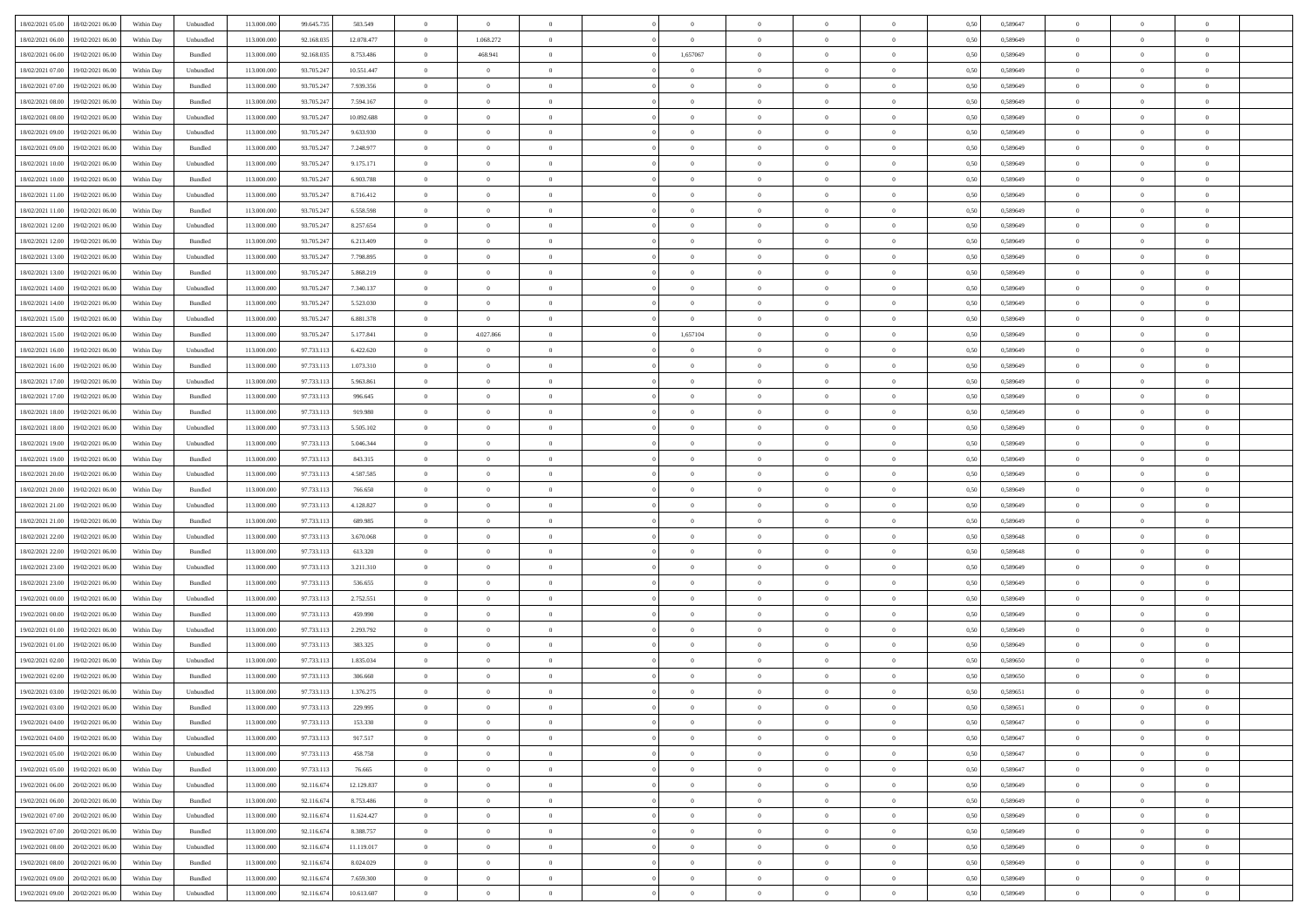| 18/02/2021 05:00<br>18/02/2021 06:00           | Within Day | Unbundled | 113.000.000 | 99.645.735 | 503.549    | $\overline{0}$ | $\overline{0}$ |                | $\overline{0}$ | $\bf{0}$       |                | $\theta$       | 0,50 | 0,589647 | $\theta$       | $\theta$       | $\overline{0}$ |  |
|------------------------------------------------|------------|-----------|-------------|------------|------------|----------------|----------------|----------------|----------------|----------------|----------------|----------------|------|----------|----------------|----------------|----------------|--|
| 18/02/2021 06:00<br>19/02/2021 06:00           | Within Day | Unbundled | 113.000.00  | 92.168.03: | 12.078.477 | $\bf{0}$       | 1.068.272      | $\bf{0}$       | $\bf{0}$       | $\overline{0}$ | $\overline{0}$ | $\bf{0}$       | 0,50 | 0,589649 | $\,$ 0 $\,$    | $\bf{0}$       | $\overline{0}$ |  |
| 18/02/2021 06:00<br>19/02/2021 06:00           | Within Day | Bundled   | 113,000,000 | 92.168.03: | 8.753.486  | $\overline{0}$ | 468.941        | $\overline{0}$ | 1,657067       | $\bf{0}$       | $\overline{0}$ | $\bf{0}$       | 0.50 | 0.589649 | $\bf{0}$       | $\overline{0}$ | $\overline{0}$ |  |
| 18/02/2021 07:00<br>19/02/2021 06:00           |            |           | 113.000.000 |            |            | $\overline{0}$ | $\overline{0}$ | $\overline{0}$ | $\overline{0}$ | $\theta$       | $\overline{0}$ |                |      |          | $\theta$       | $\theta$       | $\overline{0}$ |  |
|                                                | Within Day | Unbundled |             | 93.705.247 | 10.551.447 |                |                |                |                |                |                | $\bf{0}$       | 0,50 | 0,589649 |                |                |                |  |
| 18/02/2021 07:00<br>19/02/2021 06:00           | Within Day | Bundled   | 113.000.00  | 93.705.247 | 7.939.356  | $\overline{0}$ | $\overline{0}$ | $\bf{0}$       | $\overline{0}$ | $\theta$       | $\overline{0}$ | $\bf{0}$       | 0,50 | 0,589649 | $\,$ 0 $\,$    | $\bf{0}$       | $\overline{0}$ |  |
| 18/02/2021 08:00<br>19/02/2021 06:00           | Within Day | Bundled   | 113,000,000 | 93.705.247 | 7.594.167  | $\overline{0}$ | $\overline{0}$ | $\overline{0}$ | $\overline{0}$ | $\overline{0}$ | $\theta$       | $\bf{0}$       | 0.50 | 0.589649 | $\theta$       | $\theta$       | $\overline{0}$ |  |
| 18/02/2021 08:00<br>19/02/2021 06:00           | Within Day | Unbundled | 113.000.000 | 93.705.247 | 10.092.688 | $\overline{0}$ | $\overline{0}$ | $\overline{0}$ | $\overline{0}$ | $\overline{0}$ | $\overline{0}$ | $\bf{0}$       | 0,50 | 0,589649 | $\theta$       | $\theta$       | $\overline{0}$ |  |
|                                                |            |           |             |            |            |                |                |                |                |                |                |                |      |          |                |                |                |  |
| 18/02/2021 09:00<br>19/02/2021 06:00           | Within Day | Unbundled | 113.000.00  | 93.705.24  | 9.633.930  | $\overline{0}$ | $\overline{0}$ | $\bf{0}$       | $\overline{0}$ | $\overline{0}$ | $\overline{0}$ | $\bf{0}$       | 0,50 | 0,589649 | $\,$ 0 $\,$    | $\bf{0}$       | $\overline{0}$ |  |
| 18/02/2021 09:00<br>19/02/2021 06:00           | Within Day | Bundled   | 113,000,000 | 93.705.24  | 7.248.977  | $\overline{0}$ | $\bf{0}$       | $\overline{0}$ | $\bf{0}$       | $\overline{0}$ | $\overline{0}$ | $\bf{0}$       | 0.50 | 0.589649 | $\bf{0}$       | $\overline{0}$ | $\overline{0}$ |  |
| 18/02/2021 10:00<br>19/02/2021 06:00           | Within Day | Unbundled | 113.000.000 | 93.705.247 | 9.175.171  | $\overline{0}$ | $\bf{0}$       | $\overline{0}$ | $\overline{0}$ | $\overline{0}$ | $\overline{0}$ | $\bf{0}$       | 0,50 | 0,589649 | $\theta$       | $\theta$       | $\overline{0}$ |  |
| 18/02/2021 10:00<br>19/02/2021 06:00           | Within Day | Bundled   | 113.000.00  | 93.705.247 | 6.903.788  | $\bf{0}$       | $\overline{0}$ | $\bf{0}$       | $\overline{0}$ | $\bf{0}$       | $\overline{0}$ | $\bf{0}$       | 0,50 | 0,589649 | $\,$ 0 $\,$    | $\bf{0}$       | $\overline{0}$ |  |
|                                                |            |           |             |            |            |                |                |                |                |                |                |                |      |          |                |                |                |  |
| 18/02/2021 11:00<br>19/02/2021 06:00           | Within Day | Unbundled | 113,000,000 | 93.705.247 | 8.716.412  | $\overline{0}$ | $\bf{0}$       | $\overline{0}$ | $\bf{0}$       | $\bf{0}$       | $\overline{0}$ | $\bf{0}$       | 0.50 | 0.589649 | $\bf{0}$       | $\overline{0}$ | $\bf{0}$       |  |
| 18/02/2021 11:00<br>19/02/2021 06:00           | Within Day | Bundled   | 113.000.000 | 93.705.247 | 6.558.598  | $\overline{0}$ | $\overline{0}$ | $\overline{0}$ | $\theta$       | $\theta$       | $\overline{0}$ | $\bf{0}$       | 0,50 | 0,589649 | $\theta$       | $\theta$       | $\overline{0}$ |  |
| 18/02/2021 12:00<br>19/02/2021 06:00           | Within Day | Unbundled | 113.000.00  | 93.705.247 | 8.257.654  | $\bf{0}$       | $\overline{0}$ | $\bf{0}$       | $\overline{0}$ | $\,$ 0 $\,$    | $\overline{0}$ | $\bf{0}$       | 0,50 | 0,589649 | $\,$ 0 $\,$    | $\bf{0}$       | $\overline{0}$ |  |
|                                                |            |           |             |            |            |                |                |                |                |                |                |                |      |          |                |                |                |  |
| 18/02/2021 12:00<br>19/02/2021 06:00           | Within Day | Bundled   | 113,000,000 | 93.705.247 | 6.213.409  | $\overline{0}$ | $\overline{0}$ | $\overline{0}$ | $\bf{0}$       | $\overline{0}$ | $\Omega$       | $\bf{0}$       | 0.50 | 0.589649 | $\theta$       | $\theta$       | $\overline{0}$ |  |
| 18/02/2021 13:00<br>19/02/2021 06:00           | Within Day | Unbundled | 113.000.000 | 93.705.247 | 7.798.895  | $\overline{0}$ | $\overline{0}$ | $\overline{0}$ | $\overline{0}$ | $\theta$       | $\overline{0}$ | $\bf{0}$       | 0,50 | 0,589649 | $\theta$       | $\theta$       | $\overline{0}$ |  |
| 18/02/2021 13:00<br>19/02/2021 06:00           | Within Day | Bundled   | 113.000.00  | 93.705.247 | 5.868.219  | $\bf{0}$       | $\overline{0}$ | $\bf{0}$       | $\overline{0}$ | $\theta$       | $\overline{0}$ | $\bf{0}$       | 0,50 | 0,589649 | $\,$ 0 $\,$    | $\bf{0}$       | $\overline{0}$ |  |
| 18/02/2021 14:00<br>19/02/2021 06:00           | Within Day | Unbundled | 113,000,00  | 93.705.24  | 7.340.137  | $\overline{0}$ | $\bf{0}$       | $\overline{0}$ | $\bf{0}$       | $\overline{0}$ | $\overline{0}$ | $\bf{0}$       | 0.50 | 0.589649 | $\bf{0}$       | $\overline{0}$ | $\overline{0}$ |  |
|                                                |            |           |             |            |            | $\overline{0}$ |                | $\overline{0}$ | $\overline{0}$ | $\overline{0}$ | $\overline{0}$ |                |      |          | $\,$ 0 $\,$    | $\theta$       | $\overline{0}$ |  |
| 18/02/2021 14:00<br>19/02/2021 06:00           | Within Day | Bundled   | 113.000.000 | 93.705.247 | 5.523.030  |                | $\bf{0}$       |                |                |                |                | $\bf{0}$       | 0,50 | 0,589649 |                |                |                |  |
| 18/02/2021 15:00<br>19/02/2021 06:00           | Within Day | Unbundled | 113.000.00  | 93.705.247 | 6.881.378  | $\bf{0}$       | $\bf{0}$       | $\bf{0}$       | $\bf{0}$       | $\overline{0}$ | $\overline{0}$ | $\bf{0}$       | 0,50 | 0,589649 | $\,$ 0 $\,$    | $\bf{0}$       | $\overline{0}$ |  |
| 18/02/2021 15:00<br>19/02/2021 06:00           | Within Day | Bundled   | 113,000,000 | 93.705.247 | 5.177.841  | $\overline{0}$ | 4.027.866      | $\overline{0}$ | 1,657104       | $\overline{0}$ | $\overline{0}$ | $\bf{0}$       | 0.50 | 0.589649 | $\bf{0}$       | $\overline{0}$ | $\bf{0}$       |  |
| 18/02/2021 16:00<br>19/02/2021 06:00           | Within Day | Unbundled | 113.000.000 | 97.733.113 | 6.422.620  | $\overline{0}$ | $\overline{0}$ | $\overline{0}$ | $\overline{0}$ | $\theta$       | $\overline{0}$ | $\bf{0}$       | 0,50 | 0,589649 | $\theta$       | $\theta$       | $\overline{0}$ |  |
|                                                |            |           |             |            |            |                | $\overline{0}$ |                | $\overline{0}$ | $\theta$       | $\overline{0}$ |                |      |          | $\,$ 0 $\,$    | $\bf{0}$       | $\overline{0}$ |  |
| 18/02/2021 16:00<br>19/02/2021 06:00           | Within Day | Bundled   | 113.000.00  | 97.733.113 | 1.073.310  | $\bf{0}$       |                | $\bf{0}$       |                |                |                | $\bf{0}$       | 0,50 | 0,589649 |                |                |                |  |
| 18/02/2021 17:00<br>19/02/2021 06:00           | Within Day | Unbundled | 113,000,000 | 97.733.113 | 5.963.861  | $\overline{0}$ | $\overline{0}$ | $\overline{0}$ | $\overline{0}$ | $\overline{0}$ | $\Omega$       | $\bf{0}$       | 0.50 | 0.589649 | $\bf{0}$       | $\theta$       | $\overline{0}$ |  |
| 18/02/2021 17:00<br>19/02/2021 06:00           | Within Day | Bundled   | 113.000.000 | 97.733.113 | 996.645    | $\overline{0}$ | $\overline{0}$ | $\overline{0}$ | $\overline{0}$ | $\overline{0}$ | $\overline{0}$ | $\bf{0}$       | 0,50 | 0,589649 | $\theta$       | $\theta$       | $\overline{0}$ |  |
| 18/02/2021 18:00<br>19/02/2021 06:00           | Within Day | Bundled   | 113.000.00  | 97.733.113 | 919.980    | $\bf{0}$       | $\overline{0}$ | $\bf{0}$       | $\overline{0}$ | $\,$ 0 $\,$    | $\overline{0}$ | $\bf{0}$       | 0,50 | 0,589649 | $\,$ 0 $\,$    | $\bf{0}$       | $\overline{0}$ |  |
| 18/02/2021 18:00<br>19/02/2021 06:00           |            | Unbundled | 113,000,000 |            | 5.505.102  |                | $\bf{0}$       | $\overline{0}$ |                | $\overline{0}$ | $\overline{0}$ |                | 0.50 | 0.589649 | $\bf{0}$       | $\overline{0}$ | $\overline{0}$ |  |
|                                                | Within Day |           |             | 97.733.113 |            | $\overline{0}$ |                |                | $\bf{0}$       |                |                | $\bf{0}$       |      |          |                |                |                |  |
| 18/02/2021 19:00<br>19/02/2021 06:00           | Within Day | Unbundled | 113.000.000 | 97.733.113 | 5.046.344  | $\overline{0}$ | $\overline{0}$ | $\overline{0}$ | $\overline{0}$ | $\overline{0}$ | $\overline{0}$ | $\bf{0}$       | 0,50 | 0,589649 | $\theta$       | $\theta$       | $\overline{0}$ |  |
| 18/02/2021 19:00<br>19/02/2021 06:00           | Within Day | Bundled   | 113.000.00  | 97.733.113 | 843.315    | $\bf{0}$       | $\bf{0}$       | $\bf{0}$       | $\bf{0}$       | $\overline{0}$ | $\overline{0}$ | $\bf{0}$       | 0,50 | 0,589649 | $\,$ 0 $\,$    | $\bf{0}$       | $\overline{0}$ |  |
| 18/02/2021 20:00<br>19/02/2021 06:00           | Within Day | Unbundled | 113,000,000 | 97.733.113 | 4.587.585  | $\overline{0}$ | $\bf{0}$       | $\overline{0}$ | $\bf{0}$       | $\bf{0}$       | $\overline{0}$ | $\bf{0}$       | 0.50 | 0.589649 | $\bf{0}$       | $\overline{0}$ | $\bf{0}$       |  |
| 18/02/2021 20:00<br>19/02/2021 06:00           | Within Day | Bundled   | 113.000.000 | 97.733.113 | 766,650    | $\overline{0}$ | $\overline{0}$ | $\overline{0}$ | $\overline{0}$ | $\overline{0}$ | $\overline{0}$ | $\bf{0}$       | 0.50 | 0.589649 | $\theta$       | $\theta$       | $\overline{0}$ |  |
|                                                |            |           |             |            |            |                |                |                |                |                |                |                |      |          |                |                |                |  |
| 18/02/2021 21:00<br>19/02/2021 06:00           | Within Day | Unbundled | 113.000.00  | 97.733.113 | 4.128.827  | $\bf{0}$       | $\overline{0}$ | $\bf{0}$       | $\overline{0}$ | $\overline{0}$ | $\overline{0}$ | $\bf{0}$       | 0,50 | 0,589649 | $\,$ 0 $\,$    | $\bf{0}$       | $\overline{0}$ |  |
| 18/02/2021 21:00<br>19/02/2021 06:00           | Within Day | Bundled   | 113,000,000 | 97.733.113 | 689.985    | $\overline{0}$ | $\overline{0}$ | $\overline{0}$ | $\bf{0}$       | $\overline{0}$ | $\Omega$       | $\bf{0}$       | 0.50 | 0.589649 | $\theta$       | $\theta$       | $\overline{0}$ |  |
| 18/02/2021 22:00<br>19/02/2021 06:00           | Within Dav | Unbundled | 113.000.000 | 97.733.113 | 3.670.068  | $\overline{0}$ | $\overline{0}$ | $\overline{0}$ | $\overline{0}$ | $\theta$       | $\overline{0}$ | $\bf{0}$       | 0.50 | 0.589648 | $\theta$       | $\theta$       | $\overline{0}$ |  |
| 19/02/2021 06:00                               | Within Day | Bundled   | 113.000.00  | 97.733.113 |            | $\bf{0}$       | $\bf{0}$       | $\bf{0}$       | $\overline{0}$ | $\bf{0}$       | $\overline{0}$ | $\bf{0}$       | 0,50 | 0,589648 | $\,$ 0 $\,$    | $\bf{0}$       | $\overline{0}$ |  |
| 18/02/2021 22:00                               |            |           |             |            | 613.320    |                |                |                |                |                |                |                |      |          |                |                |                |  |
| 18/02/2021 23:00<br>19/02/2021 06:00           | Within Day | Unbundled | 113,000,000 | 97.733.113 | 3.211.310  | $\overline{0}$ | $\bf{0}$       | $\overline{0}$ | $\bf{0}$       | $\overline{0}$ | $\overline{0}$ | $\bf{0}$       | 0.50 | 0.589649 | $\bf{0}$       | $\overline{0}$ | $\overline{0}$ |  |
| 18/02/2021 23:00<br>19/02/2021 06:00           | Within Dav | Bundled   | 113.000.000 | 97.733.113 | 536,655    | $\overline{0}$ | $\overline{0}$ | $\overline{0}$ | $\overline{0}$ | $\overline{0}$ | $\overline{0}$ | $\bf{0}$       | 0.50 | 0.589649 | $\theta$       | $\theta$       | $\overline{0}$ |  |
| 19/02/2021 00:00<br>19/02/2021 06:00           | Within Day | Unbundled | 113.000.00  | 97.733.113 | 2.752.551  | $\bf{0}$       | $\bf{0}$       | $\bf{0}$       | $\bf{0}$       | $\overline{0}$ | $\overline{0}$ | $\bf{0}$       | 0,50 | 0,589649 | $\,$ 0 $\,$    | $\bf{0}$       | $\overline{0}$ |  |
| 19/02/2021 00:00<br>19/02/2021 06:00           | Within Day | Bundled   | 113,000,000 | 97.733.113 | 459,990    | $\overline{0}$ | $\bf{0}$       | $\overline{0}$ | $\bf{0}$       | $\bf{0}$       | $\overline{0}$ | $\bf{0}$       | 0.50 | 0.589649 | $\bf{0}$       | $\overline{0}$ | $\overline{0}$ |  |
|                                                |            |           |             |            |            |                |                |                |                |                |                |                |      |          |                |                |                |  |
| 19/02/2021 01:00<br>19/02/2021 06:00           | Within Dav | Unbundled | 113.000.000 | 97.733.113 | 2.293.792  | $\overline{0}$ | $\overline{0}$ | $\overline{0}$ | $\overline{0}$ | $\theta$       | $\overline{0}$ | $\bf{0}$       | 0.50 | 0.589649 | $\theta$       | $\theta$       | $\overline{0}$ |  |
| 19/02/2021 01:00<br>19/02/2021 06:00           | Within Day | Bundled   | 113.000.00  | 97.733.113 | 383.325    | $\bf{0}$       | $\bf{0}$       | $\bf{0}$       | $\bf{0}$       | $\overline{0}$ | $\overline{0}$ | $\bf{0}$       | 0,50 | 0,589649 | $\,$ 0 $\,$    | $\bf{0}$       | $\overline{0}$ |  |
| 19/02/2021 02:00<br>19/02/2021 06:00           | Within Day | Unbundled | 113,000,000 | 97.733.113 | 1.835.034  | $\overline{0}$ | $\overline{0}$ | $\overline{0}$ | $\overline{0}$ | $\overline{0}$ | $\Omega$       | $\bf{0}$       | 0.50 | 0.589650 | $\,$ 0 $\,$    | $\theta$       | $\overline{0}$ |  |
| 19/02/2021 02:00<br>19/02/2021 06:00           | Within Dav | Bundled   | 113.000.000 | 97.733.113 | 306,660    | $\overline{0}$ | $\overline{0}$ | $\Omega$       | $\overline{0}$ | $\theta$       | $\overline{0}$ | $\overline{0}$ | 0.5( | 0,589650 | $\theta$       | $\theta$       | $\overline{0}$ |  |
|                                                |            |           |             |            |            |                |                |                |                |                |                |                |      |          |                |                |                |  |
| 19/02/2021 03:00<br>19/02/2021 06:00           | Within Day | Unbundled | 113.000.000 | 97.733.113 | 1.376.275  | $\bf{0}$       | $\bf{0}$       | $\overline{0}$ | $\bf{0}$       | $\bf{0}$       | $\overline{0}$ | $\bf{0}$       | 0,50 | 0,589651 | $\overline{0}$ | $\bf{0}$       | $\overline{0}$ |  |
| $19/02/2021\; 03.00 \qquad 19/02/2021\; 06.00$ | Within Day | Bundled   | 113.000.000 | 97.733.113 | 229.995    | $\overline{0}$ | $\Omega$       |                | $\Omega$       |                |                |                | 0,50 | 0.589651 | $\theta$       | $\overline{0}$ |                |  |
| 19/02/2021 04:00 19/02/2021 06:00              | Within Day | Bundled   | 113.000.000 | 97.733.113 | 153.330    | $\overline{0}$ | $\overline{0}$ | $\Omega$       | $\theta$       | $\overline{0}$ | $\overline{0}$ | $\bf{0}$       | 0,50 | 0,589647 | $\theta$       | $\overline{0}$ | $\overline{0}$ |  |
| 19/02/2021 04:00<br>19/02/2021 06:00           | Within Day | Unbundled | 113.000.00  | 97.733.113 | 917.517    | $\overline{0}$ | $\bf{0}$       | $\overline{0}$ | $\overline{0}$ | $\bf{0}$       | $\overline{0}$ | $\bf{0}$       | 0,50 | 0,589647 | $\bf{0}$       | $\overline{0}$ | $\bf{0}$       |  |
|                                                |            |           |             |            |            |                |                |                |                |                |                |                |      |          |                |                |                |  |
| 19/02/2021 05:00 19/02/2021 06:00              | Within Day | Unbundled | 113,000,000 | 97.733.113 | 458,758    | $\overline{0}$ | $\bf{0}$       | $\overline{0}$ | $\overline{0}$ | $\mathbf{0}$   | $\overline{0}$ | $\,$ 0 $\,$    | 0.50 | 0.589647 | $\overline{0}$ | $\bf{0}$       | $\bf{0}$       |  |
| 19/02/2021 05:00 19/02/2021 06:00              | Within Dav | Bundled   | 113.000.000 | 97.733.113 | 76.665     | $\overline{0}$ | $\overline{0}$ | $\overline{0}$ | $\overline{0}$ | $\overline{0}$ | $\overline{0}$ | $\bf{0}$       | 0,50 | 0.589647 | $\overline{0}$ | $\theta$       | $\overline{0}$ |  |
| 19/02/2021 06:00<br>20/02/2021 06:00           | Within Day | Unbundled | 113.000.000 | 92.116.674 | 12.129.837 | $\overline{0}$ | $\bf{0}$       | $\overline{0}$ | $\overline{0}$ | $\bf{0}$       | $\overline{0}$ | $\bf{0}$       | 0,50 | 0,589649 | $\bf{0}$       | $\overline{0}$ | $\overline{0}$ |  |
| 20/02/2021 06:00<br>19/02/2021 06:00           | Within Day | Bundled   | 113,000,000 | 92.116.674 | 8,753,486  | $\overline{0}$ | $\bf{0}$       | $\overline{0}$ | $\overline{0}$ | $\bf{0}$       | $\overline{0}$ | $\bf{0}$       | 0.50 | 0.589649 | $\,$ 0 $\,$    | $\overline{0}$ | $\,$ 0         |  |
|                                                |            |           |             |            |            |                |                |                |                |                |                |                |      |          |                |                |                |  |
| 19/02/2021 07:00 20/02/2021 06:00              | Within Dav | Unbundled | 113.000.000 | 92.116.674 | 11.624.427 | $\overline{0}$ | $\overline{0}$ | $\overline{0}$ | $\overline{0}$ | $\overline{0}$ | $\overline{0}$ | $\bf{0}$       | 0,50 | 0.589649 | $\overline{0}$ | $\theta$       | $\overline{0}$ |  |
| 19/02/2021 07:00<br>20/02/2021 06:00           | Within Day | Bundled   | 113.000.00  | 92.116.674 | 8.388.757  | $\overline{0}$ | $\overline{0}$ | $\overline{0}$ | $\overline{0}$ | $\overline{0}$ | $\overline{0}$ | $\bf{0}$       | 0,50 | 0,589649 | $\bf{0}$       | $\overline{0}$ | $\,$ 0         |  |
| 20/02/2021 06:00<br>19/02/2021 08:00           | Within Day | Unbundled | 113,000,000 | 92.116.674 | 11.119.017 | $\overline{0}$ | $\overline{0}$ | $\overline{0}$ | $\overline{0}$ | $\overline{0}$ | $\overline{0}$ | $\bf{0}$       | 0.50 | 0.589649 | $\mathbf{0}$   | $\bf{0}$       | $\,$ 0         |  |
| 19/02/2021 08:00 20/02/2021 06:00              | Within Dav | Bundled   | 113.000.000 | 92.116.674 | 8.024.029  | $\overline{0}$ | $\overline{0}$ | $\overline{0}$ | $\overline{0}$ | $\overline{0}$ | $\overline{0}$ | $\bf{0}$       | 0,50 | 0.589649 | $\overline{0}$ | $\theta$       | $\overline{0}$ |  |
|                                                |            |           |             |            |            |                |                |                |                |                |                |                |      |          |                |                |                |  |
| 19/02/2021 09:00<br>20/02/2021 06:00           | Within Day | Bundled   | 113.000.00  | 92.116.674 | 7.659.300  | $\overline{0}$ | $\bf{0}$       | $\overline{0}$ | $\bf{0}$       | $\overline{0}$ | $\overline{0}$ | $\bf{0}$       | 0,50 | 0,589649 | $\bf{0}$       | $\,$ 0 $\,$    | $\bf{0}$       |  |
| 19/02/2021 09:00 20/02/2021 06:00              | Within Day | Unbundled | 113.000.000 | 92.116.674 | 10.613.607 | $\overline{0}$ | $\bf{0}$       | $\overline{0}$ | $\overline{0}$ | $\,$ 0 $\,$    | $\overline{0}$ | $\bf{0}$       | 0,50 | 0,589649 | $\overline{0}$ | $\,$ 0 $\,$    | $\,$ 0 $\,$    |  |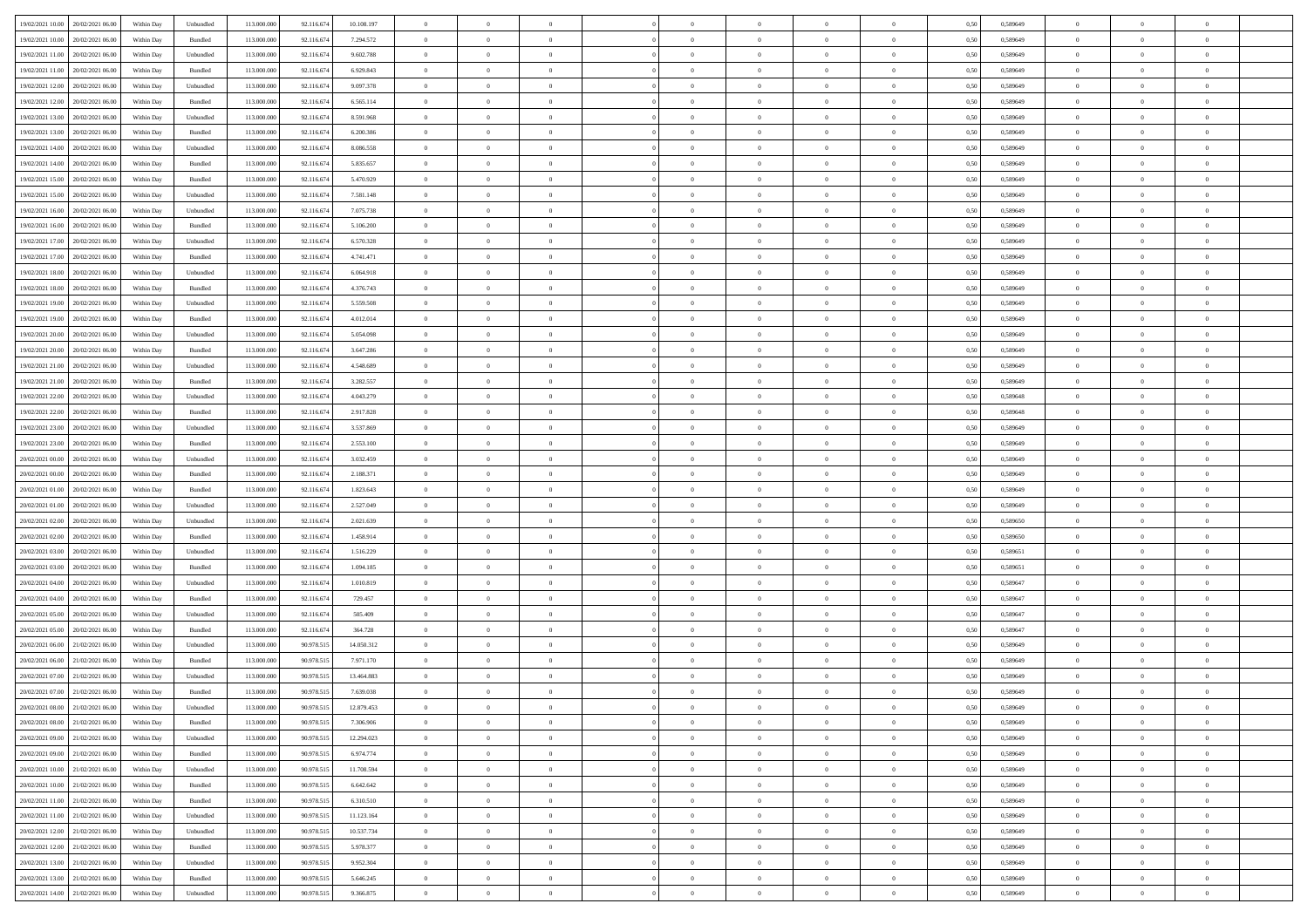|                                            |            |                             |             |            |            | $\overline{0}$ | $\overline{0}$ |                | $\overline{0}$ | $\theta$       |                | $\theta$       |      |          | $\theta$       | $\theta$       | $\overline{0}$ |  |
|--------------------------------------------|------------|-----------------------------|-------------|------------|------------|----------------|----------------|----------------|----------------|----------------|----------------|----------------|------|----------|----------------|----------------|----------------|--|
| 19/02/2021 10:00 20/02/2021 06:00          | Within Day | Unbundled                   | 113.000.000 | 92.116.674 | 10.108.197 |                |                |                |                |                |                |                | 0,50 | 0,589649 |                |                |                |  |
| 19/02/2021 10:00<br>20/02/2021 06:00       | Within Day | Bundled                     | 113.000.00  | 92.116.674 | 7.294.572  | $\bf{0}$       | $\bf{0}$       | $\bf{0}$       | $\bf{0}$       | $\overline{0}$ | $\overline{0}$ | $\bf{0}$       | 0,50 | 0,589649 | $\,$ 0 $\,$    | $\bf{0}$       | $\overline{0}$ |  |
| 19/02/2021 11:00<br>20/02/2021 06:00       | Within Day | Unbundled                   | 113,000,000 | 92.116.674 | 9.602.788  | $\overline{0}$ | $\bf{0}$       | $\overline{0}$ | $\bf{0}$       | $\bf{0}$       | $\overline{0}$ | $\bf{0}$       | 0.50 | 0.589649 | $\bf{0}$       | $\overline{0}$ | $\overline{0}$ |  |
| 19/02/2021 11:00<br>20/02/2021 06:00       | Within Day | Bundled                     | 113.000.000 | 92.116.674 | 6.929.843  | $\overline{0}$ | $\overline{0}$ | $\overline{0}$ | $\overline{0}$ | $\theta$       | $\overline{0}$ | $\bf{0}$       | 0,50 | 0,589649 | $\theta$       | $\theta$       | $\overline{0}$ |  |
|                                            |            |                             |             |            |            |                |                |                |                |                |                |                |      |          |                |                |                |  |
| 19/02/2021 12:00<br>20/02/2021 06:00       | Within Day | Unbundled                   | 113.000.00  | 92.116.674 | 9.097.378  | $\overline{0}$ | $\overline{0}$ | $\bf{0}$       | $\overline{0}$ | $\theta$       | $\overline{0}$ | $\bf{0}$       | 0,50 | 0,589649 | $\,$ 0 $\,$    | $\bf{0}$       | $\overline{0}$ |  |
| 19/02/2021 12:00<br>20/02/2021 06:00       | Within Day | Bundled                     | 113,000,000 | 92.116.674 | 6.565.114  | $\overline{0}$ | $\overline{0}$ | $\overline{0}$ | $\bf{0}$       | $\overline{0}$ | $\theta$       | $\bf{0}$       | 0.50 | 0.589649 | $\,$ 0 $\,$    | $\theta$       | $\overline{0}$ |  |
| 19/02/2021 13:00<br>20/02/2021 06:00       | Within Day | Unbundled                   | 113.000.000 | 92.116.674 | 8.591.968  | $\overline{0}$ | $\overline{0}$ | $\overline{0}$ | $\overline{0}$ | $\overline{0}$ | $\overline{0}$ | $\bf{0}$       | 0,50 | 0,589649 | $\theta$       | $\theta$       | $\overline{0}$ |  |
|                                            |            |                             |             |            |            |                |                |                |                |                |                |                |      |          |                |                |                |  |
| 19/02/2021 13:00<br>20/02/2021 06:00       | Within Day | Bundled                     | 113.000.00  | 92.116.674 | 6.200.386  | $\bf{0}$       | $\bf{0}$       | $\bf{0}$       | $\overline{0}$ | $\overline{0}$ | $\overline{0}$ | $\bf{0}$       | 0,50 | 0,589649 | $\,$ 0 $\,$    | $\bf{0}$       | $\overline{0}$ |  |
| 19/02/2021 14:00<br>20/02/2021 06:00       | Within Day | Unbundled                   | 113,000,000 | 92.116.67  | 8.086.558  | $\overline{0}$ | $\bf{0}$       | $\overline{0}$ | $\bf{0}$       | $\overline{0}$ | $\overline{0}$ | $\bf{0}$       | 0.50 | 0.589649 | $\bf{0}$       | $\overline{0}$ | $\overline{0}$ |  |
| 19/02/2021 14:00<br>20/02/2021 06:00       | Within Day | Bundled                     | 113.000.000 | 92.116.674 | 5.835.657  | $\overline{0}$ | $\bf{0}$       | $\overline{0}$ | $\overline{0}$ | $\overline{0}$ | $\overline{0}$ | $\bf{0}$       | 0,50 | 0,589649 | $\,$ 0 $\,$    | $\bf{0}$       | $\overline{0}$ |  |
| 19/02/2021 15:00<br>20/02/2021 06:00       | Within Day | Bundled                     | 113.000.00  | 92.116.674 | 5.470.929  | $\bf{0}$       | $\bf{0}$       | $\bf{0}$       | $\bf{0}$       | $\overline{0}$ | $\overline{0}$ | $\bf{0}$       | 0,50 | 0,589649 | $\,$ 0 $\,$    | $\bf{0}$       | $\overline{0}$ |  |
|                                            |            |                             |             |            |            |                |                |                |                |                |                |                |      |          |                |                |                |  |
| 19/02/2021 15:00<br>20/02/2021 06:00       | Within Day | Unbundled                   | 113,000,000 | 92.116.674 | 7.581.148  | $\overline{0}$ | $\bf{0}$       | $\overline{0}$ | $\overline{0}$ | $\bf{0}$       | $\overline{0}$ | $\bf{0}$       | 0.50 | 0.589649 | $\bf{0}$       | $\,$ 0 $\,$    | $\,$ 0         |  |
| 19/02/2021 16:00<br>20/02/2021 06:00       | Within Day | Unbundled                   | 113.000.000 | 92.116.674 | 7.075.738  | $\overline{0}$ | $\overline{0}$ | $\overline{0}$ | $\theta$       | $\theta$       | $\overline{0}$ | $\bf{0}$       | 0,50 | 0,589649 | $\,$ 0 $\,$    | $\theta$       | $\overline{0}$ |  |
| 19/02/2021 16:00<br>20/02/2021 06:00       | Within Day | Bundled                     | 113.000.00  | 92.116.674 | 5.106.200  | $\bf{0}$       | $\overline{0}$ | $\bf{0}$       | $\bf{0}$       | $\bf{0}$       | $\overline{0}$ | $\bf{0}$       | 0,50 | 0,589649 | $\,$ 0 $\,$    | $\bf{0}$       | $\overline{0}$ |  |
| 19/02/2021 17:00<br>20/02/2021 06:00       | Within Day | Unbundled                   | 113,000,000 | 92.116.674 | 6.570.328  | $\overline{0}$ | $\bf{0}$       | $\overline{0}$ | $\bf{0}$       | $\overline{0}$ | $\theta$       | $\bf{0}$       | 0.50 | 0.589649 | $\,$ 0 $\,$    | $\theta$       | $\overline{0}$ |  |
|                                            |            |                             |             |            |            | $\overline{0}$ | $\overline{0}$ | $\overline{0}$ | $\overline{0}$ | $\overline{0}$ | $\overline{0}$ |                |      |          | $\theta$       | $\theta$       | $\overline{0}$ |  |
| 19/02/2021 17:00<br>20/02/2021 06:00       | Within Day | Bundled                     | 113.000.000 | 92.116.674 | 4.741.471  |                |                |                |                |                |                | $\bf{0}$       | 0,50 | 0,589649 |                |                |                |  |
| 19/02/2021 18:00<br>20/02/2021 06:00       | Within Day | Unbundled                   | 113.000.00  | 92.116.674 | 6.064.918  | $\bf{0}$       | $\bf{0}$       | $\bf{0}$       | $\overline{0}$ | $\overline{0}$ | $\overline{0}$ | $\bf{0}$       | 0,50 | 0,589649 | $\,$ 0 $\,$    | $\bf{0}$       | $\overline{0}$ |  |
| 19/02/2021 18:00<br>20/02/2021 06:00       | Within Day | Bundled                     | 113,000,00  | 92.116.67  | 4.376.743  | $\overline{0}$ | $\bf{0}$       | $\overline{0}$ | $\bf{0}$       | $\overline{0}$ | $\overline{0}$ | $\bf{0}$       | 0.50 | 0.589649 | $\bf{0}$       | $\overline{0}$ | $\bf{0}$       |  |
| 19/02/2021 19:00<br>20/02/2021 06:00       | Within Day | Unbundled                   | 113.000.000 | 92.116.674 | 5.559.508  | $\overline{0}$ | $\bf{0}$       | $\overline{0}$ | $\overline{0}$ | $\overline{0}$ | $\overline{0}$ | $\bf{0}$       | 0,50 | 0,589649 | $\,$ 0 $\,$    | $\bf{0}$       | $\overline{0}$ |  |
| 19/02/2021 19:00<br>20/02/2021 06:00       | Within Day | Bundled                     | 113.000.00  | 92.116.674 | 4.012.014  | $\bf{0}$       | $\bf{0}$       | $\bf{0}$       | $\bf{0}$       | $\overline{0}$ | $\overline{0}$ | $\bf{0}$       | 0,50 | 0,589649 | $\,$ 0 $\,$    | $\bf{0}$       | $\overline{0}$ |  |
|                                            |            |                             |             |            |            |                |                |                |                |                |                |                |      |          |                |                |                |  |
| 19/02/2021 20:00<br>20/02/2021 06:00       | Within Day | Unbundled                   | 113,000,000 | 92.116.674 | 5.054.098  | $\overline{0}$ | $\bf{0}$       | $\overline{0}$ | $\overline{0}$ | $\bf{0}$       | $\overline{0}$ | $\bf{0}$       | 0.50 | 0.589649 | $\bf{0}$       | $\overline{0}$ | $\,$ 0         |  |
| 19/02/2021 20:00<br>20/02/2021 06:00       | Within Day | Bundled                     | 113.000.000 | 92.116.674 | 3.647.286  | $\overline{0}$ | $\overline{0}$ | $\overline{0}$ | $\overline{0}$ | $\theta$       | $\overline{0}$ | $\bf{0}$       | 0,50 | 0,589649 | $\theta$       | $\theta$       | $\overline{0}$ |  |
| 19/02/2021 21:00<br>20/02/2021 06:00       | Within Day | Unbundled                   | 113.000.00  | 92.116.674 | 4.548.689  | $\bf{0}$       | $\bf{0}$       | $\bf{0}$       | $\bf{0}$       | $\overline{0}$ | $\overline{0}$ | $\bf{0}$       | 0,50 | 0,589649 | $\,$ 0 $\,$    | $\bf{0}$       | $\overline{0}$ |  |
| 19/02/2021 21:00<br>20/02/2021 06:00       | Within Day | Bundled                     | 113,000,000 | 92.116.67  | 3.282.557  | $\overline{0}$ | $\overline{0}$ | $\overline{0}$ | $\bf{0}$       | $\overline{0}$ | $\theta$       | $\bf{0}$       | 0.50 | 0.589649 | $\,$ 0 $\,$    | $\theta$       | $\overline{0}$ |  |
|                                            |            |                             |             |            |            |                |                |                |                |                |                |                |      |          |                |                |                |  |
| 19/02/2021 22:00<br>20/02/2021 06:00       | Within Day | Unbundled                   | 113.000.000 | 92.116.674 | 4.043.279  | $\overline{0}$ | $\overline{0}$ | $\overline{0}$ | $\overline{0}$ | $\overline{0}$ | $\overline{0}$ | $\bf{0}$       | 0,50 | 0,589648 | $\,$ 0 $\,$    | $\theta$       | $\overline{0}$ |  |
| 19/02/2021 22:00<br>20/02/2021 06:00       | Within Day | Bundled                     | 113.000.00  | 92.116.674 | 2.917.828  | $\bf{0}$       | $\overline{0}$ | $\bf{0}$       | $\overline{0}$ | $\overline{0}$ | $\overline{0}$ | $\bf{0}$       | 0,50 | 0,589648 | $\,$ 0 $\,$    | $\bf{0}$       | $\overline{0}$ |  |
| 19/02/2021 23:00<br>20/02/2021 06:00       | Within Day | Unbundled                   | 113,000,000 | 92.116.674 | 3.537.869  | $\overline{0}$ | $\bf{0}$       | $\overline{0}$ | $\bf{0}$       | $\overline{0}$ | $\overline{0}$ | $\bf{0}$       | 0.50 | 0.589649 | $\bf{0}$       | $\overline{0}$ | $\overline{0}$ |  |
| 19/02/2021 23:00<br>20/02/2021 06:00       | Within Day | Bundled                     | 113.000.000 | 92.116.674 | 2.553.100  | $\overline{0}$ | $\bf{0}$       | $\overline{0}$ | $\overline{0}$ | $\overline{0}$ | $\overline{0}$ | $\bf{0}$       | 0,50 | 0,589649 | $\theta$       | $\theta$       | $\overline{0}$ |  |
|                                            |            |                             |             |            |            |                |                |                |                |                |                |                |      |          |                |                |                |  |
| 20/02/2021 00:00<br>20/02/2021 06:00       | Within Day | Unbundled                   | 113.000.00  | 92.116.674 | 3.032.459  | $\bf{0}$       | $\bf{0}$       | $\bf{0}$       | $\bf{0}$       | $\overline{0}$ | $\overline{0}$ | $\bf{0}$       | 0,50 | 0,589649 | $\,$ 0 $\,$    | $\bf{0}$       | $\overline{0}$ |  |
| 20/02/2021 00:00<br>20/02/2021 06:00       | Within Day | Bundled                     | 113,000,000 | 92.116.674 | 2.188.371  | $\overline{0}$ | $\bf{0}$       | $\overline{0}$ | $\overline{0}$ | $\bf{0}$       | $\overline{0}$ | $\bf{0}$       | 0.50 | 0.589649 | $\bf{0}$       | $\,$ 0 $\,$    | $\,$ 0         |  |
| 20/02/2021 01:00<br>20/02/2021 06:00       | Within Day | Bundled                     | 113.000.000 | 92.116.67  | 1.823.643  | $\overline{0}$ | $\overline{0}$ | $\overline{0}$ | $\overline{0}$ | $\overline{0}$ | $\overline{0}$ | $\bf{0}$       | 0.50 | 0.589649 | $\theta$       | $\theta$       | $\overline{0}$ |  |
| 20/02/2021 01:00<br>20/02/2021 06:00       | Within Day | Unbundled                   | 113.000.00  | 92.116.674 | 2.527.049  | $\bf{0}$       | $\bf{0}$       | $\bf{0}$       | $\bf{0}$       | $\overline{0}$ | $\overline{0}$ | $\bf{0}$       | 0,50 | 0,589649 | $\,$ 0 $\,$    | $\bf{0}$       | $\overline{0}$ |  |
| 20/02/2021 02:00<br>20/02/2021 06:00       |            | Unbundled                   | 113,000,000 | 92.116.674 | 2.021.639  | $\overline{0}$ | $\bf{0}$       | $\overline{0}$ | $\bf{0}$       | $\overline{0}$ | $\theta$       | $\bf{0}$       | 0.50 | 0.589650 | $\,$ 0 $\,$    | $\theta$       | $\overline{0}$ |  |
|                                            | Within Day |                             |             |            |            |                |                |                |                |                |                |                |      |          |                |                |                |  |
| 20/02/2021 02:00<br>20/02/2021 06:00       | Within Dav | Bundled                     | 113.000.000 | 92.116.674 | 1.458.914  | $\overline{0}$ | $\overline{0}$ | $\overline{0}$ | $\overline{0}$ | $\overline{0}$ | $\overline{0}$ | $\bf{0}$       | 0.5( | 0,589650 | $\theta$       | $\theta$       | $\overline{0}$ |  |
| 20/02/2021 03:00<br>20/02/2021 06:00       | Within Day | Unbundled                   | 113.000.00  | 92.116.674 | 1.516.229  | $\bf{0}$       | $\bf{0}$       | $\bf{0}$       | $\bf{0}$       | $\overline{0}$ | $\overline{0}$ | $\bf{0}$       | 0,50 | 0,589651 | $\,$ 0 $\,$    | $\bf{0}$       | $\overline{0}$ |  |
| 20/02/2021 03:00<br>20/02/2021 06:00       | Within Day | Bundled                     | 113,000,000 | 92.116.67  | 1.094.185  | $\overline{0}$ | $\bf{0}$       | $\overline{0}$ | $\bf{0}$       | $\overline{0}$ | $\overline{0}$ | $\bf{0}$       | 0.50 | 0.589651 | $\bf{0}$       | $\overline{0}$ | $\overline{0}$ |  |
| 20/02/2021 04:00<br>20/02/2021 06:00       | Within Dav | Unbundled                   | 113.000.000 | 92.116.67  | 1.010.819  | $\overline{0}$ | $\overline{0}$ | $\overline{0}$ | $\overline{0}$ | $\overline{0}$ | $\overline{0}$ | $\bf{0}$       | 0.50 | 0.589647 | $\theta$       | $\theta$       | $\overline{0}$ |  |
|                                            |            |                             |             |            |            |                |                |                |                |                |                |                |      |          |                |                |                |  |
| 20/02/2021 04:00<br>20/02/2021 06:00       | Within Day | Bundled                     | 113.000.00  | 92.116.674 | 729.457    | $\bf{0}$       | $\bf{0}$       | $\bf{0}$       | $\bf{0}$       | $\overline{0}$ | $\overline{0}$ | $\bf{0}$       | 0,50 | 0,589647 | $\,$ 0 $\,$    | $\bf{0}$       | $\overline{0}$ |  |
| 20/02/2021 05:00<br>20/02/2021 06:00       | Within Day | Unbundled                   | 113,000,000 | 92.116.674 | 505.409    | $\overline{0}$ | $\bf{0}$       | $\overline{0}$ | $\overline{0}$ | $\bf{0}$       | $\overline{0}$ | $\bf{0}$       | 0.50 | 0.589647 | $\,$ 0 $\,$    | $\overline{0}$ | $\,$ 0         |  |
| 20/02/2021 05:00<br>20/02/2021 06:00       | Within Dav | Bundled                     | 113.000.000 | 92.116.674 | 364,728    | $\overline{0}$ | $\overline{0}$ | $\overline{0}$ | $\overline{0}$ | $\overline{0}$ | $\overline{0}$ | $\bf{0}$       | 0.50 | 0.589647 | $\theta$       | $\theta$       | $\overline{0}$ |  |
| 20/02/2021 06:00<br>21/02/2021 06.00       | Within Day | Unbundled                   | 113.000.00  | 90.978.515 | 14.050.312 | $\bf{0}$       | $\bf{0}$       | $\bf{0}$       | $\bf{0}$       | $\overline{0}$ | $\overline{0}$ | $\bf{0}$       | 0,50 | 0,589649 | $\,$ 0 $\,$    | $\bf{0}$       | $\overline{0}$ |  |
| 20/02/2021 06:00<br>21/02/2021 06:00       | Within Day | Bundled                     | 113,000,000 | 90.978.51  | 7.971.170  | $\overline{0}$ | $\overline{0}$ | $\overline{0}$ | $\bf{0}$       | $\overline{0}$ | $\Omega$       | $\bf{0}$       | 0.50 | 0.589649 | $\bf{0}$       | $\theta$       | $\overline{0}$ |  |
|                                            |            |                             |             |            |            |                |                |                |                |                |                |                |      |          |                |                |                |  |
| 20/02/2021 07:00<br>21/02/2021 06:00       | Within Dav | Unbundled                   | 113.000.000 | 90.978.515 | 13,464,883 | $\overline{0}$ | $\overline{0}$ | $\Omega$       | $\theta$       | $\theta$       | $\overline{0}$ | $\overline{0}$ | 0.5( | 0.589649 | $\theta$       | $\theta$       | $\overline{0}$ |  |
| 20/02/2021 07:00<br>21/02/2021 06:00       | Within Day | Bundled                     | 113.000.000 | 90.978.515 | 7.639.038  | $\bf{0}$       | $\bf{0}$       | $\bf{0}$       | $\bf{0}$       | $\bf{0}$       | $\overline{0}$ | $\bf{0}$       | 0,50 | 0,589649 | $\overline{0}$ | $\overline{0}$ | $\overline{0}$ |  |
| $20/02/2021~08.00 \qquad 21/02/2021~06.00$ | Within Day | $\ensuremath{\mathsf{Unb}}$ | 113.000.000 | 90.978.515 | 12.879.453 | $\bf{0}$       | $\theta$       |                | $\overline{0}$ |                |                |                | 0,50 | 0.589649 | $\bf{0}$       | $\overline{0}$ |                |  |
| 20/02/2021 08:00 21/02/2021 06:00          | Within Day | Bundled                     | 113.000.000 | 90.978.515 | 7.306.906  | $\overline{0}$ | $\overline{0}$ | $\Omega$       | $\theta$       | $\overline{0}$ | $\overline{0}$ | $\bf{0}$       | 0,50 | 0,589649 | $\theta$       | $\theta$       | $\overline{0}$ |  |
|                                            |            |                             |             |            |            |                |                |                |                |                |                |                |      |          |                |                |                |  |
| 20/02/2021 09:00<br>21/02/2021 06:00       | Within Day | Unbundled                   | 113.000.00  | 90.978.515 | 12.294.023 | $\overline{0}$ | $\bf{0}$       | $\overline{0}$ | $\overline{0}$ | $\bf{0}$       | $\overline{0}$ | $\bf{0}$       | 0,50 | 0,589649 | $\bf{0}$       | $\overline{0}$ | $\bf{0}$       |  |
| 20/02/2021 09:00 21/02/2021 06:00          | Within Day | Bundled                     | 113,000,000 | 90.978.515 | 6.974.774  | $\overline{0}$ | $\bf{0}$       | $\overline{0}$ | $\overline{0}$ | $\mathbf{0}$   | $\overline{0}$ | $\,$ 0 $\,$    | 0.50 | 0.589649 | $\overline{0}$ | $\bf{0}$       | $\,$ 0 $\,$    |  |
| 20/02/2021 10:00 21/02/2021 06:00          | Within Dav | Unbundled                   | 113.000.000 | 90.978.515 | 11.708.594 | $\overline{0}$ | $\overline{0}$ | $\overline{0}$ | $\overline{0}$ | $\overline{0}$ | $\overline{0}$ | $\bf{0}$       | 0,50 | 0.589649 | $\theta$       | $\theta$       | $\overline{0}$ |  |
| 20/02/2021 10:00<br>21/02/2021 06:00       | Within Day | Bundled                     | 113.000.000 | 90.978.515 | 6.642.642  | $\overline{0}$ | $\bf{0}$       | $\overline{0}$ | $\overline{0}$ | $\overline{0}$ | $\overline{0}$ | $\bf{0}$       | 0,50 | 0,589649 | $\bf{0}$       | $\overline{0}$ | $\overline{0}$ |  |
| 20/02/2021 11:00 21/02/2021 06:00          | Within Day | Bundled                     | 113,000,000 | 90.978.515 | 6.310.510  | $\overline{0}$ | $\bf{0}$       | $\overline{0}$ | $\overline{0}$ | $\overline{0}$ | $\overline{0}$ | $\bf{0}$       | 0.50 | 0.589649 | $\,$ 0 $\,$    | $\overline{0}$ | $\,$ 0         |  |
|                                            |            |                             |             |            |            |                |                |                |                |                |                |                |      |          |                |                |                |  |
| 20/02/2021 11:00 21/02/2021 06:00          | Within Dav | Unbundled                   | 113.000.000 | 90.978.515 | 11.123.164 | $\overline{0}$ | $\overline{0}$ | $\overline{0}$ | $\overline{0}$ | $\overline{0}$ | $\overline{0}$ | $\bf{0}$       | 0,50 | 0.589649 | $\overline{0}$ | $\theta$       | $\overline{0}$ |  |
| 20/02/2021 12:00<br>21/02/2021 06:00       | Within Day | Unbundled                   | 113.000.00  | 90.978.515 | 10.537.734 | $\overline{0}$ | $\overline{0}$ | $\overline{0}$ | $\overline{0}$ | $\overline{0}$ | $\overline{0}$ | $\bf{0}$       | 0,50 | 0,589649 | $\bf{0}$       | $\overline{0}$ | $\overline{0}$ |  |
| 20/02/2021 12:00 21/02/2021 06:00          | Within Day | Bundled                     | 113,000,000 | 90.978.515 | 5.978.377  | $\overline{0}$ | $\overline{0}$ | $\overline{0}$ | $\overline{0}$ | $\overline{0}$ | $\overline{0}$ | $\bf{0}$       | 0.50 | 0.589649 | $\mathbf{0}$   | $\bf{0}$       | $\,$ 0         |  |
| 20/02/2021 13:00 21/02/2021 06:00          | Within Dav | Unbundled                   | 113.000.000 | 90.978.515 | 9.952.304  | $\overline{0}$ | $\overline{0}$ | $\overline{0}$ | $\overline{0}$ | $\overline{0}$ | $\overline{0}$ | $\bf{0}$       | 0,50 | 0.589649 | $\overline{0}$ | $\theta$       | $\overline{0}$ |  |
|                                            |            |                             |             |            |            |                |                |                |                |                |                |                |      |          |                |                |                |  |
| 20/02/2021 13:00<br>21/02/2021 06:00       | Within Day | Bundled                     | 113.000.00  | 90.978.515 | 5.646.245  | $\overline{0}$ | $\bf{0}$       | $\overline{0}$ | $\bf{0}$       | $\overline{0}$ | $\bf{0}$       | $\bf{0}$       | 0,50 | 0,589649 | $\bf{0}$       | $\,$ 0 $\,$    | $\bf{0}$       |  |
| 20/02/2021 14:00 21/02/2021 06:00          | Within Day | Unbundled                   | 113.000.000 | 90.978.515 | 9.366.875  | $\,$ 0 $\,$    | $\bf{0}$       | $\overline{0}$ | $\overline{0}$ | $\,$ 0 $\,$    | $\overline{0}$ | $\bf{0}$       | 0,50 | 0,589649 | $\overline{0}$ | $\,$ 0 $\,$    | $\,$ 0 $\,$    |  |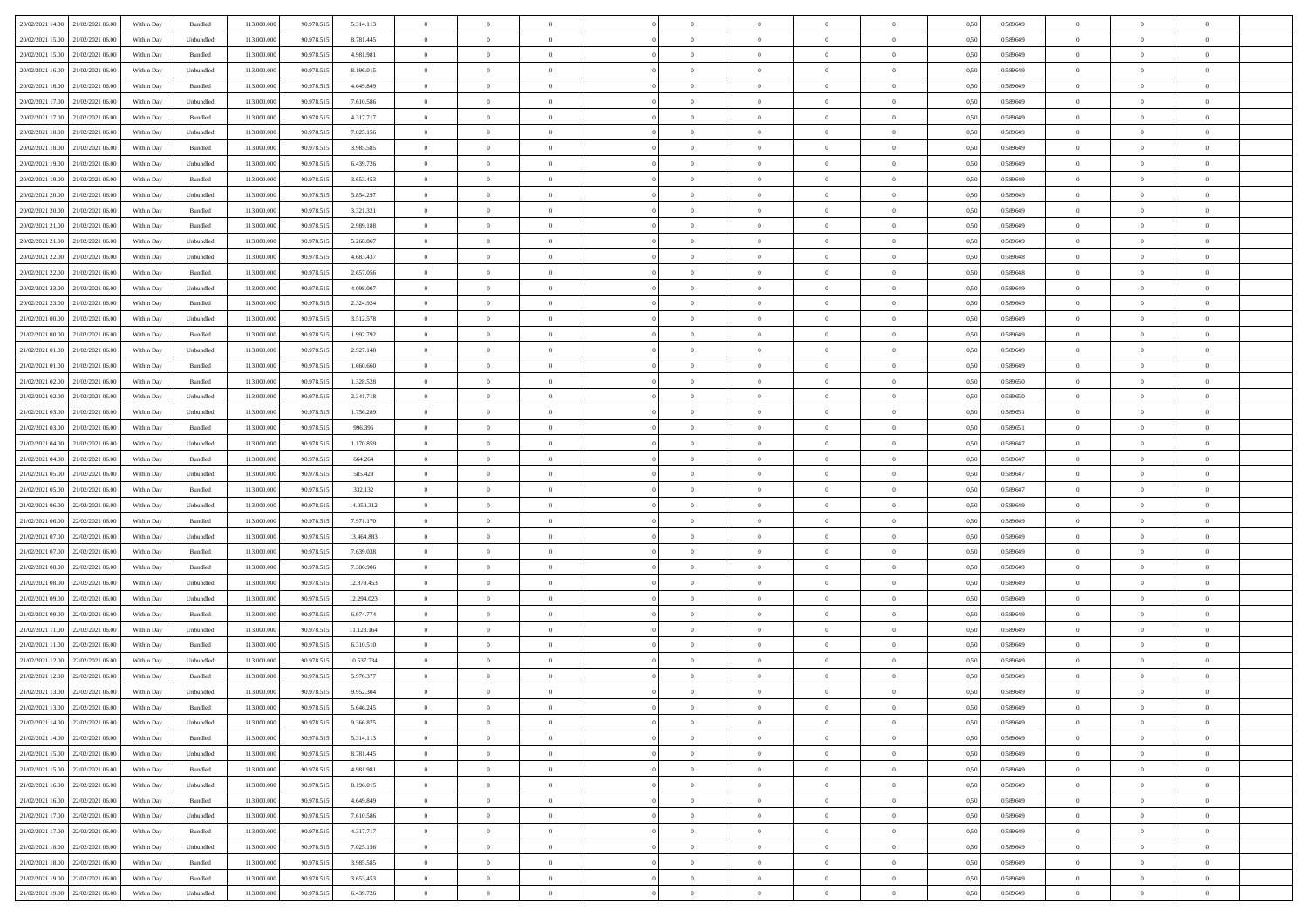|                                      |            |                    |             |            |            | $\overline{0}$ | $\overline{0}$ |                | $\overline{0}$ | $\theta$       |                | $\theta$       |      |          | $\theta$       | $\theta$       | $\overline{0}$ |  |
|--------------------------------------|------------|--------------------|-------------|------------|------------|----------------|----------------|----------------|----------------|----------------|----------------|----------------|------|----------|----------------|----------------|----------------|--|
| 20/02/2021 14:00 21/02/2021 06:00    | Within Day | Bundled            | 113.000.000 | 90.978.515 | 5.314.113  |                |                |                |                |                |                |                | 0,50 | 0,589649 |                |                |                |  |
| 20/02/2021 15:00<br>21/02/2021 06:00 | Within Day | Unbundled          | 113.000.00  | 90.978.51  | 8.781.445  | $\bf{0}$       | $\bf{0}$       | $\bf{0}$       | $\bf{0}$       | $\overline{0}$ | $\overline{0}$ | $\bf{0}$       | 0,50 | 0,589649 | $\,$ 0 $\,$    | $\bf{0}$       | $\overline{0}$ |  |
| 20/02/2021 15:00<br>21/02/2021 06:00 | Within Day | Bundled            | 113,000,000 | 90.978.515 | 4.981.981  | $\overline{0}$ | $\bf{0}$       | $\overline{0}$ | $\bf{0}$       | $\bf{0}$       | $\overline{0}$ | $\bf{0}$       | 0.50 | 0.589649 | $\bf{0}$       | $\overline{0}$ | $\overline{0}$ |  |
| 20/02/2021 16:00<br>21/02/2021 06:00 | Within Day | Unbundled          | 113.000.000 | 90.978.515 | 8.196.015  | $\overline{0}$ | $\overline{0}$ | $\overline{0}$ | $\overline{0}$ | $\theta$       | $\overline{0}$ | $\bf{0}$       | 0,50 | 0,589649 | $\theta$       | $\theta$       | $\overline{0}$ |  |
|                                      |            |                    |             |            |            |                |                |                |                |                |                |                |      |          |                |                |                |  |
| 20/02/2021 16:00<br>21/02/2021 06.00 | Within Day | Bundled            | 113.000.00  | 90.978.515 | 4.649.849  | $\bf{0}$       | $\overline{0}$ | $\bf{0}$       | $\overline{0}$ | $\bf{0}$       | $\overline{0}$ | $\bf{0}$       | 0,50 | 0,589649 | $\,$ 0 $\,$    | $\bf{0}$       | $\overline{0}$ |  |
| 20/02/2021 17:00<br>21/02/2021 06:00 | Within Day | Unbundled          | 113,000,000 | 90.978.515 | 7.610.586  | $\overline{0}$ | $\bf{0}$       | $\overline{0}$ | $\bf{0}$       | $\overline{0}$ | $\overline{0}$ | $\bf{0}$       | 0.50 | 0.589649 | $\,$ 0 $\,$    | $\theta$       | $\overline{0}$ |  |
| 20/02/2021 17:00<br>21/02/2021 06:00 | Within Day | Bundled            | 113.000.000 | 90.978.515 | 4.317.717  | $\overline{0}$ | $\overline{0}$ | $\overline{0}$ | $\overline{0}$ | $\overline{0}$ | $\overline{0}$ | $\bf{0}$       | 0,50 | 0,589649 | $\,$ 0 $\,$    | $\theta$       | $\overline{0}$ |  |
|                                      |            |                    |             |            |            |                |                |                |                |                |                |                |      |          |                |                |                |  |
| 20/02/2021 18:00<br>21/02/2021 06:00 | Within Day | Unbundled          | 113.000.00  | 90.978.51  | 7.025.156  | $\bf{0}$       | $\bf{0}$       | $\bf{0}$       | $\overline{0}$ | $\overline{0}$ | $\overline{0}$ | $\bf{0}$       | 0,50 | 0,589649 | $\,$ 0 $\,$    | $\bf{0}$       | $\overline{0}$ |  |
| 20/02/2021 18:00<br>21/02/2021 06:00 | Within Day | Bundled            | 113,000,000 | 90.978.515 | 3.985.585  | $\overline{0}$ | $\bf{0}$       | $\overline{0}$ | $\bf{0}$       | $\overline{0}$ | $\overline{0}$ | $\bf{0}$       | 0.50 | 0.589649 | $\bf{0}$       | $\overline{0}$ | $\overline{0}$ |  |
| 20/02/2021 19:00<br>21/02/2021 06:00 | Within Day | Unbundled          | 113.000.000 | 90.978.515 | 6.439.726  | $\overline{0}$ | $\bf{0}$       | $\overline{0}$ | $\overline{0}$ | $\overline{0}$ | $\overline{0}$ | $\bf{0}$       | 0,50 | 0,589649 | $\,$ 0 $\,$    | $\,$ 0 $\,$    | $\overline{0}$ |  |
| 20/02/2021 19:00<br>21/02/2021 06:00 | Within Day | Bundled            | 113.000.00  | 90.978.515 | 3.653.453  | $\bf{0}$       | $\bf{0}$       | $\bf{0}$       | $\bf{0}$       | $\overline{0}$ | $\overline{0}$ | $\bf{0}$       | 0,50 | 0,589649 | $\,$ 0 $\,$    | $\bf{0}$       | $\overline{0}$ |  |
|                                      |            |                    | 113,000,000 |            |            |                |                | $\overline{0}$ |                |                | $\overline{0}$ |                | 0.50 |          |                | $\,$ 0 $\,$    | $\,$ 0         |  |
| 20/02/2021 20:00<br>21/02/2021 06:00 | Within Day | Unbundled          |             | 90.978.515 | 5.854.297  | $\overline{0}$ | $\bf{0}$       |                | $\overline{0}$ | $\overline{0}$ |                | $\bf{0}$       |      | 0.589649 | $\bf{0}$       |                |                |  |
| 20/02/2021 20:00<br>21/02/2021 06:00 | Within Day | Bundled            | 113.000.000 | 90.978.515 | 3.321.321  | $\overline{0}$ | $\overline{0}$ | $\overline{0}$ | $\theta$       | $\theta$       | $\overline{0}$ | $\bf{0}$       | 0,50 | 0,589649 | $\,$ 0 $\,$    | $\theta$       | $\overline{0}$ |  |
| 20/02/2021 21:00<br>21/02/2021 06:00 | Within Day | Bundled            | 113.000.00  | 90.978.51  | 2.989.188  | $\bf{0}$       | $\overline{0}$ | $\bf{0}$       | $\bf{0}$       | $\bf{0}$       | $\overline{0}$ | $\bf{0}$       | 0,50 | 0,589649 | $\,$ 0 $\,$    | $\bf{0}$       | $\overline{0}$ |  |
| 20/02/2021 21:00<br>21/02/2021 06:00 | Within Day | Unbundled          | 113,000,000 | 90.978.515 | 5.268.867  | $\overline{0}$ | $\bf{0}$       | $\overline{0}$ | $\bf{0}$       | $\overline{0}$ | $\overline{0}$ | $\bf{0}$       | 0.50 | 0.589649 | $\,$ 0 $\,$    | $\bf{0}$       | $\overline{0}$ |  |
| 20/02/2021 22:00<br>21/02/2021 06:00 | Within Day | Unbundled          | 113.000.000 | 90.978.515 | 4.683.437  | $\overline{0}$ | $\overline{0}$ | $\overline{0}$ | $\overline{0}$ | $\overline{0}$ | $\overline{0}$ | $\bf{0}$       | 0,50 | 0,589648 | $\theta$       | $\theta$       | $\overline{0}$ |  |
|                                      |            |                    |             |            |            |                |                |                |                |                |                |                |      |          |                |                |                |  |
| 20/02/2021 22:00<br>21/02/2021 06.00 | Within Day | Bundled            | 113.000.00  | 90.978.51  | 2.657.056  | $\bf{0}$       | $\bf{0}$       | $\bf{0}$       | $\overline{0}$ | $\overline{0}$ | $\overline{0}$ | $\bf{0}$       | 0,50 | 0,589648 | $\,$ 0 $\,$    | $\bf{0}$       | $\overline{0}$ |  |
| 20/02/2021 23:00<br>21/02/2021 06:00 | Within Day | Unbundled          | 113,000,000 | 90.978.515 | 4 098 007  | $\overline{0}$ | $\bf{0}$       | $\overline{0}$ | $\bf{0}$       | $\overline{0}$ | $\overline{0}$ | $\bf{0}$       | 0.50 | 0.589649 | $\bf{0}$       | $\overline{0}$ | $\bf{0}$       |  |
| 20/02/2021 23:00<br>21/02/2021 06:00 | Within Day | Bundled            | 113.000.000 | 90.978.515 | 2.324.924  | $\bf{0}$       | $\bf{0}$       | $\overline{0}$ | $\overline{0}$ | $\overline{0}$ | $\overline{0}$ | $\bf{0}$       | 0,50 | 0,589649 | $\,$ 0 $\,$    | $\bf{0}$       | $\overline{0}$ |  |
| 21/02/2021 00:00<br>21/02/2021 06:00 | Within Day | Unbundled          | 113.000.00  | 90.978.51  | 3.512.578  | $\bf{0}$       | $\bf{0}$       | $\bf{0}$       | $\bf{0}$       | $\overline{0}$ | $\overline{0}$ | $\bf{0}$       | 0,50 | 0,589649 | $\,$ 0 $\,$    | $\bf{0}$       | $\overline{0}$ |  |
|                                      |            | Bundled            | 113,000,000 |            |            |                |                |                |                |                | $\overline{0}$ |                | 0.50 |          |                | $\,$ 0 $\,$    | $\,$ 0         |  |
| 21/02/2021 00:00<br>21/02/2021 06:00 | Within Day |                    |             | 90.978.515 | 1.992.792  | $\overline{0}$ | $\bf{0}$       | $\overline{0}$ | $\overline{0}$ | $\bf{0}$       |                | $\bf{0}$       |      | 0.589649 | $\bf{0}$       |                |                |  |
| 21/02/2021 01:00<br>21/02/2021 06:00 | Within Day | Unbundled          | 113.000.000 | 90.978.515 | 2.927.148  | $\overline{0}$ | $\overline{0}$ | $\overline{0}$ | $\overline{0}$ | $\theta$       | $\overline{0}$ | $\bf{0}$       | 0,50 | 0,589649 | $\theta$       | $\theta$       | $\overline{0}$ |  |
| 21/02/2021 01:00<br>21/02/2021 06.00 | Within Day | Bundled            | 113.000.00  | 90.978.515 | 1.660.660  | $\bf{0}$       | $\bf{0}$       | $\bf{0}$       | $\bf{0}$       | $\overline{0}$ | $\overline{0}$ | $\bf{0}$       | 0,50 | 0,589649 | $\,$ 0 $\,$    | $\bf{0}$       | $\overline{0}$ |  |
| 21/02/2021 02:00<br>21/02/2021 06:00 | Within Day | Bundled            | 113,000,000 | 90.978.515 | 1.328.528  | $\overline{0}$ | $\bf{0}$       | $\overline{0}$ | $\bf{0}$       | $\overline{0}$ | $\theta$       | $\bf{0}$       | 0.50 | 0.589650 | $\,$ 0 $\,$    | $\theta$       | $\overline{0}$ |  |
| 21/02/2021 02:00<br>21/02/2021 06:00 | Within Day | Unbundled          | 113.000.000 | 90.978.515 | 2.341.718  | $\overline{0}$ | $\overline{0}$ | $\overline{0}$ | $\overline{0}$ | $\overline{0}$ | $\overline{0}$ | $\bf{0}$       | 0,50 | 0,589650 | $\,$ 0 $\,$    | $\theta$       | $\overline{0}$ |  |
|                                      |            |                    |             |            |            |                |                |                |                |                |                |                |      |          |                |                |                |  |
| 21/02/2021 03:00<br>21/02/2021 06.00 | Within Day | Unbundled          | 113.000.00  | 90.978.51  | 1.756.289  | $\bf{0}$       | $\overline{0}$ | $\bf{0}$       | $\overline{0}$ | $\overline{0}$ | $\overline{0}$ | $\bf{0}$       | 0,50 | 0,589651 | $\,$ 0 $\,$    | $\bf{0}$       | $\overline{0}$ |  |
| 21/02/2021 03:00<br>21/02/2021 06:00 | Within Day | Bundled            | 113,000,000 | 90.978.515 | 996.396    | $\overline{0}$ | $\bf{0}$       | $\overline{0}$ | $\bf{0}$       | $\overline{0}$ | $\overline{0}$ | $\bf{0}$       | 0.50 | 0.589651 | $\bf{0}$       | $\overline{0}$ | $\overline{0}$ |  |
| 21/02/2021 04:00<br>21/02/2021 06:00 | Within Day | Unbundled          | 113.000.000 | 90.978.515 | 1.170.859  | $\overline{0}$ | $\bf{0}$       | $\overline{0}$ | $\overline{0}$ | $\overline{0}$ | $\overline{0}$ | $\bf{0}$       | 0,50 | 0,589647 | $\theta$       | $\bf{0}$       | $\overline{0}$ |  |
| 21/02/2021 04:00<br>21/02/2021 06:00 | Within Day | Bundled            | 113.000.00  | 90.978.51  | 664.264    | $\bf{0}$       | $\bf{0}$       | $\bf{0}$       | $\bf{0}$       | $\overline{0}$ | $\overline{0}$ | $\bf{0}$       | 0,50 | 0,589647 | $\,$ 0 $\,$    | $\bf{0}$       | $\overline{0}$ |  |
| 21/02/2021 05:00<br>21/02/2021 06:00 | Within Day | Unbundled          | 113,000,000 | 90.978.515 | 585.429    | $\overline{0}$ | $\bf{0}$       | $\overline{0}$ | $\overline{0}$ | $\bf{0}$       | $\overline{0}$ | $\bf{0}$       | 0.50 | 0.589647 | $\bf{0}$       | $\,$ 0 $\,$    | $\,$ 0         |  |
|                                      |            |                    |             |            |            |                |                |                |                |                |                |                |      |          |                |                |                |  |
| 21/02/2021 05:00<br>21/02/2021 06:00 | Within Day | Bundled            | 113.000.000 | 90.978.515 | 332.132    | $\overline{0}$ | $\overline{0}$ | $\overline{0}$ | $\overline{0}$ | $\overline{0}$ | $\overline{0}$ | $\bf{0}$       | 0.50 | 0.589647 | $\theta$       | $\theta$       | $\overline{0}$ |  |
| 21/02/2021 06:00<br>22/02/2021 06:00 | Within Day | Unbundled          | 113.000.00  | 90.978.51  | 14.050.312 | $\bf{0}$       | $\bf{0}$       | $\bf{0}$       | $\bf{0}$       | $\overline{0}$ | $\overline{0}$ | $\bf{0}$       | 0,50 | 0,589649 | $\,$ 0 $\,$    | $\bf{0}$       | $\overline{0}$ |  |
| 21/02/2021 06:00<br>22/02/2021 06:00 | Within Day | Bundled            | 113,000,000 | 90.978.515 | 7.971.170  | $\overline{0}$ | $\bf{0}$       | $\overline{0}$ | $\bf{0}$       | $\overline{0}$ | $\overline{0}$ | $\bf{0}$       | 0.50 | 0.589649 | $\,$ 0 $\,$    | $\bf{0}$       | $\overline{0}$ |  |
| 21/02/2021 07:00<br>22/02/2021 06:00 | Within Dav | Unbundled          | 113.000.000 | 90.978.515 | 13,464,883 | $\overline{0}$ | $\overline{0}$ | $\overline{0}$ | $\overline{0}$ | $\overline{0}$ | $\overline{0}$ | $\bf{0}$       | 0.50 | 0.589649 | $\theta$       | $\theta$       | $\overline{0}$ |  |
| 21/02/2021 07:00<br>22/02/2021 06:00 | Within Day | Bundled            | 113.000.00  | 90.978.515 | 7.639.038  | $\bf{0}$       | $\bf{0}$       | $\bf{0}$       | $\bf{0}$       | $\overline{0}$ | $\overline{0}$ | $\bf{0}$       | 0,50 | 0,589649 | $\,$ 0 $\,$    | $\bf{0}$       | $\overline{0}$ |  |
|                                      |            |                    |             |            |            |                |                |                |                |                |                |                |      |          |                |                |                |  |
| 21/02/2021 08:00<br>22/02/2021 06:00 | Within Day | Bundled            | 113,000,000 | 90.978.515 | 7.306.906  | $\overline{0}$ | $\bf{0}$       | $\overline{0}$ | $\bf{0}$       | $\overline{0}$ | $\overline{0}$ | $\bf{0}$       | 0.50 | 0.589649 | $\bf{0}$       | $\overline{0}$ | $\overline{0}$ |  |
| 21/02/2021 08:00<br>22/02/2021 06:00 | Within Dav | Unbundled          | 113.000.000 | 90.978.515 | 12.879.453 | $\overline{0}$ | $\overline{0}$ | $\overline{0}$ | $\overline{0}$ | $\overline{0}$ | $\overline{0}$ | $\bf{0}$       | 0.50 | 0.589649 | $\theta$       | $\theta$       | $\overline{0}$ |  |
| 21/02/2021 09:00<br>22/02/2021 06.00 | Within Day | Unbundled          | 113.000.00  | 90.978.51  | 12.294.023 | $\bf{0}$       | $\bf{0}$       | $\bf{0}$       | $\bf{0}$       | $\overline{0}$ | $\overline{0}$ | $\bf{0}$       | 0,50 | 0,589649 | $\,$ 0 $\,$    | $\bf{0}$       | $\overline{0}$ |  |
| 21/02/2021 09:00<br>22/02/2021 06:00 | Within Day | Bundled            | 113,000,000 | 90.978.515 | 6.974.774  | $\overline{0}$ | $\bf{0}$       | $\overline{0}$ | $\overline{0}$ | $\bf{0}$       | $\overline{0}$ | $\bf{0}$       | 0.50 | 0.589649 | $\bf{0}$       | $\,$ 0 $\,$    | $\,$ 0         |  |
| 21/02/2021 11:00<br>22/02/2021 06:00 | Within Dav | Unbundled          | 113.000.000 | 90.978.515 | 11.123.164 | $\overline{0}$ | $\overline{0}$ | $\overline{0}$ | $\overline{0}$ | $\overline{0}$ | $\overline{0}$ | $\bf{0}$       | 0.50 | 0.589649 | $\theta$       | $\theta$       | $\overline{0}$ |  |
|                                      |            |                    |             |            |            |                |                |                |                |                |                |                |      |          |                |                |                |  |
| 21/02/2021 11:00<br>22/02/2021 06:00 | Within Day | Bundled            | 113.000.00  | 90.978.515 | 6.310.510  | $\bf{0}$       | $\bf{0}$       | $\bf{0}$       | $\bf{0}$       | $\overline{0}$ | $\overline{0}$ | $\bf{0}$       | 0,50 | 0,589649 | $\,$ 0 $\,$    | $\bf{0}$       | $\overline{0}$ |  |
| 21/02/2021 12:00<br>22/02/2021 06:00 | Within Day | Unbundled          | 113,000,000 | 90.978.51  | 10,537,734 | $\overline{0}$ | $\bf{0}$       | $\overline{0}$ | $\bf{0}$       | $\overline{0}$ | $\overline{0}$ | $\bf{0}$       | 0.50 | 0.589649 | $\bf{0}$       | $\theta$       | $\overline{0}$ |  |
| 21/02/2021 12:00<br>22/02/2021 06:00 | Within Day | Bundled            | 113.000.000 | 90.978.515 | 5.978.377  | $\overline{0}$ | $\overline{0}$ | $\Omega$       | $\theta$       | $\theta$       | $\overline{0}$ | $\overline{0}$ | 0.5( | 0.589649 | $\theta$       | $\theta$       | $\overline{0}$ |  |
| 21/02/2021 13:00<br>22/02/2021 06:00 | Within Day | Unbundled          | 113.000.000 | 90.978.515 | 9.952.304  | $\bf{0}$       | $\bf{0}$       | $\bf{0}$       | $\bf{0}$       | $\bf{0}$       | $\overline{0}$ | $\bf{0}$       | 0,50 | 0,589649 | $\,$ 0 $\,$    | $\overline{0}$ | $\overline{0}$ |  |
| 21/02/2021 13:00 22/02/2021 06:00    |            |                    | 113.000.000 |            | 5.646.245  |                |                |                |                |                |                |                |      | 0.589649 |                |                |                |  |
|                                      | Within Day | $\mathbf B$ undled |             | 90.978.515 |            | $\bf{0}$       | $\theta$       |                | $\overline{0}$ |                |                |                | 0,50 |          | $\bf{0}$       | $\bf{0}$       |                |  |
| 21/02/2021 14:00 22/02/2021 06:00    | Within Day | Unbundled          | 113.000.000 | 90.978.515 | 9.366.875  | $\overline{0}$ | $\overline{0}$ | $\Omega$       | $\theta$       | $\overline{0}$ | $\overline{0}$ | $\bf{0}$       | 0,50 | 0,589649 | $\theta$       | $\theta$       | $\overline{0}$ |  |
| 21/02/2021 14:00<br>22/02/2021 06:00 | Within Day | Bundled            | 113.000.00  | 90.978.515 | 5.314.113  | $\overline{0}$ | $\bf{0}$       | $\overline{0}$ | $\overline{0}$ | $\bf{0}$       | $\overline{0}$ | $\bf{0}$       | 0,50 | 0,589649 | $\bf{0}$       | $\overline{0}$ | $\bf{0}$       |  |
| 21/02/2021 15:00 22/02/2021 06:00    | Within Day | Unbundled          | 113,000,000 | 90.978.515 | 8.781.445  | $\overline{0}$ | $\bf{0}$       | $\overline{0}$ | $\overline{0}$ | $\mathbf{0}$   | $\overline{0}$ | $\,$ 0 $\,$    | 0.50 | 0.589649 | $\overline{0}$ | $\bf{0}$       | $\,$ 0 $\,$    |  |
| 21/02/2021 15:00 22/02/2021 06:00    | Within Dav | Bundled            | 113.000.000 | 90.978.515 | 4.981.981  | $\overline{0}$ | $\overline{0}$ | $\overline{0}$ | $\overline{0}$ | $\overline{0}$ | $\overline{0}$ | $\bf{0}$       | 0,50 | 0.589649 | $\theta$       | $\theta$       | $\overline{0}$ |  |
|                                      |            |                    |             |            |            |                |                |                |                |                |                |                |      |          |                |                |                |  |
| 21/02/2021 16:00<br>22/02/2021 06:00 | Within Day | Unbundled          | 113.000.000 | 90.978.515 | 8.196.015  | $\overline{0}$ | $\bf{0}$       | $\overline{0}$ | $\overline{0}$ | $\overline{0}$ | $\overline{0}$ | $\bf{0}$       | 0,50 | 0,589649 | $\bf{0}$       | $\overline{0}$ | $\overline{0}$ |  |
| 21/02/2021 16:00 22/02/2021 06:00    | Within Day | Bundled            | 113,000,000 | 90.978.515 | 4.649.849  | $\overline{0}$ | $\bf{0}$       | $\overline{0}$ | $\overline{0}$ | $\overline{0}$ | $\overline{0}$ | $\bf{0}$       | 0.50 | 0.589649 | $\,$ 0 $\,$    | $\overline{0}$ | $\,$ 0         |  |
| 21/02/2021 17:00 22/02/2021 06:00    | Within Dav | Unbundled          | 113.000.000 | 90.978.515 | 7.610.586  | $\overline{0}$ | $\overline{0}$ | $\overline{0}$ | $\overline{0}$ | $\overline{0}$ | $\overline{0}$ | $\bf{0}$       | 0,50 | 0.589649 | $\overline{0}$ | $\theta$       | $\overline{0}$ |  |
| 21/02/2021 17:00<br>22/02/2021 06:00 | Within Day | Bundled            | 113.000.00  | 90.978.515 | 4.317.717  | $\overline{0}$ | $\overline{0}$ | $\overline{0}$ | $\overline{0}$ | $\overline{0}$ | $\overline{0}$ | $\bf{0}$       | 0,50 | 0,589649 | $\bf{0}$       | $\overline{0}$ | $\,$ 0         |  |
|                                      |            |                    |             |            |            |                |                |                |                |                |                |                |      |          |                |                |                |  |
| 21/02/2021 18:00 22/02/2021 06:00    | Within Day | Unbundled          | 113,000,000 | 90.978.515 | 7.025.156  | $\overline{0}$ | $\overline{0}$ | $\overline{0}$ | $\overline{0}$ | $\overline{0}$ | $\overline{0}$ | $\bf{0}$       | 0.50 | 0.589649 | $\mathbf{0}$   | $\bf{0}$       | $\,$ 0         |  |
| 21/02/2021 18:00 22/02/2021 06:00    | Within Dav | Bundled            | 113.000.000 | 90.978.515 | 3.985.585  | $\overline{0}$ | $\overline{0}$ | $\overline{0}$ | $\overline{0}$ | $\overline{0}$ | $\overline{0}$ | $\bf{0}$       | 0,50 | 0.589649 | $\overline{0}$ | $\theta$       | $\overline{0}$ |  |
| 21/02/2021 19:00<br>22/02/2021 06:00 | Within Day | Bundled            | 113.000.00  | 90.978.515 | 3.653.453  | $\overline{0}$ | $\bf{0}$       | $\overline{0}$ | $\bf{0}$       | $\overline{0}$ | $\bf{0}$       | $\bf{0}$       | 0,50 | 0,589649 | $\bf{0}$       | $\,0\,$        | $\bf{0}$       |  |
| 21/02/2021 19:00 22/02/2021 06:00    | Within Day | Unbundled          | 113.000.000 | 90.978.515 | 6.439.726  | $\,$ 0 $\,$    | $\bf{0}$       | $\overline{0}$ | $\overline{0}$ | $\,$ 0 $\,$    | $\overline{0}$ | $\bf{0}$       | 0,50 | 0,589649 | $\overline{0}$ | $\,$ 0 $\,$    | $\,$ 0 $\,$    |  |
|                                      |            |                    |             |            |            |                |                |                |                |                |                |                |      |          |                |                |                |  |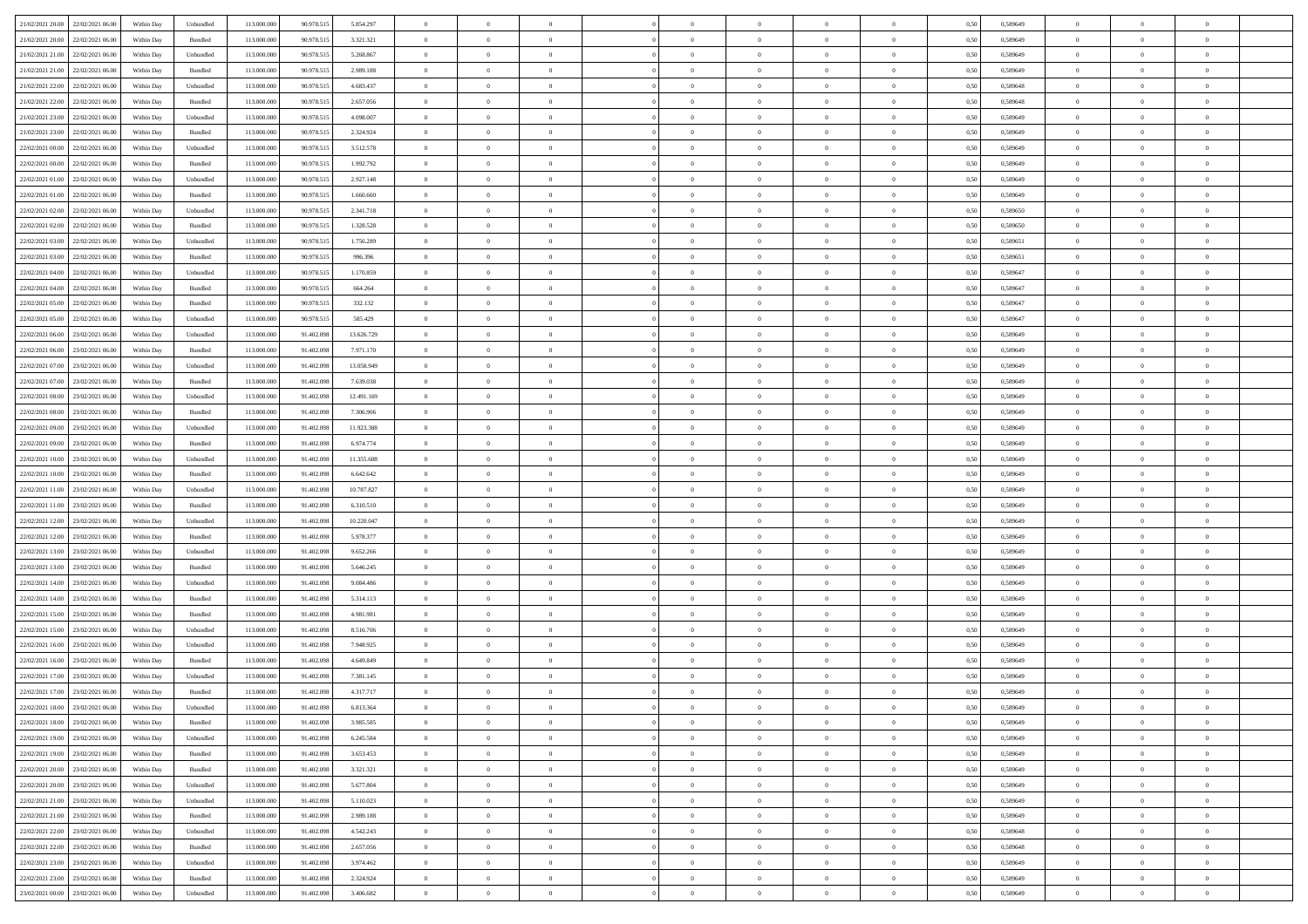| 21/02/2021 20:00 22/02/2021 06:00    | Within Day | Unbundled                   | 113.000.000 | 90.978.515 | 5.854.297  | $\overline{0}$ | $\overline{0}$ |                | $\overline{0}$ | $\theta$       |                | $\theta$       | 0,50 | 0,589649 | $\theta$       | $\theta$       | $\overline{0}$ |  |
|--------------------------------------|------------|-----------------------------|-------------|------------|------------|----------------|----------------|----------------|----------------|----------------|----------------|----------------|------|----------|----------------|----------------|----------------|--|
| 21/02/2021 20:00<br>22/02/2021 06:00 | Within Day | Bundled                     | 113.000.00  | 90.978.51  | 3.321.321  | $\bf{0}$       | $\bf{0}$       | $\bf{0}$       | $\bf{0}$       | $\overline{0}$ | $\overline{0}$ | $\bf{0}$       | 0,50 | 0,589649 | $\,$ 0 $\,$    | $\bf{0}$       | $\overline{0}$ |  |
| 21/02/2021 21:00<br>22/02/2021 06:00 | Within Day | Unbundled                   | 113,000,000 | 90.978.515 | 5.268.867  | $\overline{0}$ | $\bf{0}$       | $\overline{0}$ | $\bf{0}$       | $\bf{0}$       | $\overline{0}$ | $\bf{0}$       | 0.50 | 0.589649 | $\overline{0}$ | $\overline{0}$ | $\overline{0}$ |  |
| 21/02/2021 21:00<br>22/02/2021 06:00 |            |                             | 113.000.000 |            |            | $\overline{0}$ | $\overline{0}$ | $\overline{0}$ | $\overline{0}$ | $\theta$       | $\overline{0}$ |                |      |          | $\theta$       | $\theta$       | $\overline{0}$ |  |
|                                      | Within Day | Bundled                     |             | 90.978.515 | 2.989.188  |                |                |                |                |                |                | $\bf{0}$       | 0,50 | 0,589649 |                |                |                |  |
| 21/02/2021 22:00<br>22/02/2021 06.00 | Within Day | Unbundled                   | 113.000.00  | 90.978.515 | 4.683.437  | $\bf{0}$       | $\overline{0}$ | $\bf{0}$       | $\overline{0}$ | $\bf{0}$       | $\overline{0}$ | $\bf{0}$       | 0,50 | 0,589648 | $\,$ 0 $\,$    | $\bf{0}$       | $\overline{0}$ |  |
| 21/02/2021 22:00<br>22/02/2021 06:00 | Within Day | Bundled                     | 113,000,000 | 90.978.515 | 2.657.056  | $\overline{0}$ | $\bf{0}$       | $\overline{0}$ | $\bf{0}$       | $\overline{0}$ | $\overline{0}$ | $\bf{0}$       | 0.50 | 0.589648 | $\,$ 0 $\,$    | $\theta$       | $\overline{0}$ |  |
| 21/02/2021 23:00<br>22/02/2021 06:00 | Within Day | Unbundled                   | 113.000.000 | 90.978.515 | 4.098.007  | $\overline{0}$ | $\overline{0}$ | $\overline{0}$ | $\overline{0}$ | $\overline{0}$ | $\overline{0}$ | $\bf{0}$       | 0,50 | 0,589649 | $\theta$       | $\theta$       | $\overline{0}$ |  |
|                                      |            |                             |             |            |            |                |                |                |                |                |                |                |      |          |                |                |                |  |
| 21/02/2021 23:00<br>22/02/2021 06:00 | Within Day | Bundled                     | 113.000.00  | 90.978.51  | 2.324.924  | $\bf{0}$       | $\bf{0}$       | $\bf{0}$       | $\overline{0}$ | $\overline{0}$ | $\overline{0}$ | $\bf{0}$       | 0,50 | 0,589649 | $\,$ 0 $\,$    | $\bf{0}$       | $\overline{0}$ |  |
| 22/02/2021 00:00<br>22/02/2021 06:00 | Within Day | Unbundled                   | 113,000,000 | 90.978.515 | 3.512.578  | $\overline{0}$ | $\bf{0}$       | $\overline{0}$ | $\bf{0}$       | $\overline{0}$ | $\overline{0}$ | $\bf{0}$       | 0.50 | 0.589649 | $\bf{0}$       | $\overline{0}$ | $\overline{0}$ |  |
| 22/02/2021 00:00<br>22/02/2021 06:00 | Within Day | Bundled                     | 113.000.000 | 90.978.515 | 1.992.792  | $\bf{0}$       | $\bf{0}$       | $\overline{0}$ | $\overline{0}$ | $\overline{0}$ | $\overline{0}$ | $\bf{0}$       | 0,50 | 0,589649 | $\,$ 0 $\,$    | $\bf{0}$       | $\overline{0}$ |  |
| 22/02/2021 01:00<br>22/02/2021 06.00 | Within Day | Unbundled                   | 113.000.00  | 90.978.515 | 2.927.148  | $\bf{0}$       | $\bf{0}$       | $\bf{0}$       | $\bf{0}$       | $\overline{0}$ | $\overline{0}$ | $\bf{0}$       | 0,50 | 0,589649 | $\,$ 0 $\,$    | $\bf{0}$       | $\overline{0}$ |  |
|                                      |            |                             |             |            |            |                |                |                |                |                |                |                |      |          |                |                |                |  |
| 22/02/2021 01:00<br>22/02/2021 06:00 | Within Day | Bundled                     | 113,000,000 | 90.978.515 | 1.660,660  | $\overline{0}$ | $\bf{0}$       | $\overline{0}$ | $\overline{0}$ | $\overline{0}$ | $\overline{0}$ | $\bf{0}$       | 0.50 | 0.589649 | $\bf{0}$       | $\,$ 0 $\,$    | $\,$ 0         |  |
| 22/02/2021 02:00<br>22/02/2021 06:00 | Within Day | Unbundled                   | 113.000.000 | 90.978.515 | 2.341.718  | $\overline{0}$ | $\overline{0}$ | $\overline{0}$ | $\theta$       | $\theta$       | $\overline{0}$ | $\bf{0}$       | 0,50 | 0,589650 | $\,$ 0 $\,$    | $\theta$       | $\overline{0}$ |  |
| 22/02/2021 02:00<br>22/02/2021 06:00 | Within Day | Bundled                     | 113.000.00  | 90.978.51  | 1.328.528  | $\bf{0}$       | $\overline{0}$ | $\bf{0}$       | $\bf{0}$       | $\overline{0}$ | $\overline{0}$ | $\bf{0}$       | 0,50 | 0,589650 | $\,$ 0 $\,$    | $\bf{0}$       | $\overline{0}$ |  |
| 22/02/2021 03:00<br>22/02/2021 06:00 | Within Day | Unbundled                   | 113,000,000 | 90.978.515 | 1.756.289  | $\overline{0}$ | $\bf{0}$       | $\overline{0}$ | $\bf{0}$       | $\overline{0}$ | $\overline{0}$ | $\bf{0}$       | 0.50 | 0.589651 | $\,$ 0 $\,$    | $\theta$       | $\overline{0}$ |  |
|                                      |            |                             |             |            |            |                |                |                |                |                |                |                |      |          |                |                |                |  |
| 22/02/2021 03:00<br>22/02/2021 06:00 | Within Day | Bundled                     | 113.000.000 | 90.978.515 | 996.396    | $\overline{0}$ | $\overline{0}$ | $\overline{0}$ | $\overline{0}$ | $\overline{0}$ | $\overline{0}$ | $\bf{0}$       | 0,50 | 0,589651 | $\theta$       | $\theta$       | $\overline{0}$ |  |
| 22/02/2021 04:00<br>22/02/2021 06.00 | Within Day | Unbundled                   | 113.000.00  | 90.978.51  | 1.170.859  | $\bf{0}$       | $\bf{0}$       | $\bf{0}$       | $\overline{0}$ | $\overline{0}$ | $\overline{0}$ | $\bf{0}$       | 0,50 | 0,589647 | $\,$ 0 $\,$    | $\bf{0}$       | $\overline{0}$ |  |
| 22/02/2021 04:00<br>22/02/2021 06:00 | Within Day | Bundled                     | 113,000,000 | 90.978.515 | 664.264    | $\overline{0}$ | $\bf{0}$       | $\overline{0}$ | $\bf{0}$       | $\overline{0}$ | $\overline{0}$ | $\bf{0}$       | 0.50 | 0.589647 | $\bf{0}$       | $\overline{0}$ | $\bf{0}$       |  |
| 22/02/2021 05:00<br>22/02/2021 06:00 | Within Day | Bundled                     | 113.000.000 | 90.978.515 | 332.132    | $\overline{0}$ | $\bf{0}$       | $\overline{0}$ | $\overline{0}$ | $\overline{0}$ | $\overline{0}$ | $\bf{0}$       | 0,50 | 0,589647 | $\,$ 0 $\,$    | $\bf{0}$       | $\overline{0}$ |  |
|                                      |            |                             |             |            |            |                |                |                |                |                |                |                |      |          |                |                |                |  |
| 22/02/2021 05:00<br>22/02/2021 06.00 | Within Day | Unbundled                   | 113.000.00  | 90.978.51  | 585.429    | $\bf{0}$       | $\bf{0}$       | $\bf{0}$       | $\bf{0}$       | $\overline{0}$ | $\overline{0}$ | $\bf{0}$       | 0,50 | 0,589647 | $\,$ 0 $\,$    | $\bf{0}$       | $\overline{0}$ |  |
| 22/02/2021 06:00<br>23/02/2021 06:00 | Within Day | Unbundled                   | 113,000,000 | 91.402.098 | 13.626.729 | $\overline{0}$ | $\bf{0}$       | $\overline{0}$ | $\overline{0}$ | $\bf{0}$       | $\overline{0}$ | $\bf{0}$       | 0.50 | 0.589649 | $\bf{0}$       | $\overline{0}$ | $\,$ 0         |  |
| 22/02/2021 06:00<br>23/02/2021 06:00 | Within Day | Bundled                     | 113.000.000 | 91.402.098 | 7.971.170  | $\overline{0}$ | $\overline{0}$ | $\overline{0}$ | $\theta$       | $\theta$       | $\overline{0}$ | $\bf{0}$       | 0,50 | 0,589649 | $\theta$       | $\theta$       | $\overline{0}$ |  |
| 22/02/2021 07:00<br>23/02/2021 06.00 | Within Day | Unbundled                   | 113.000.00  | 91.402.09  | 13.058.949 | $\bf{0}$       | $\bf{0}$       | $\bf{0}$       | $\bf{0}$       | $\overline{0}$ | $\overline{0}$ | $\bf{0}$       | 0,50 | 0,589649 | $\,$ 0 $\,$    | $\bf{0}$       | $\overline{0}$ |  |
|                                      |            |                             |             |            |            |                |                |                |                |                |                |                |      |          |                |                |                |  |
| 22/02/2021 07:00<br>23/02/2021 06:00 | Within Day | Bundled                     | 113,000,000 | 91.402.098 | 7.639.038  | $\overline{0}$ | $\bf{0}$       | $\overline{0}$ | $\bf{0}$       | $\overline{0}$ | $\overline{0}$ | $\bf{0}$       | 0.50 | 0.589649 | $\,$ 0 $\,$    | $\theta$       | $\overline{0}$ |  |
| 22/02/2021 08:00<br>23/02/2021 06:00 | Within Day | Unbundled                   | 113.000.000 | 91.402.098 | 12.491.169 | $\overline{0}$ | $\overline{0}$ | $\overline{0}$ | $\overline{0}$ | $\overline{0}$ | $\overline{0}$ | $\bf{0}$       | 0,50 | 0,589649 | $\,$ 0 $\,$    | $\theta$       | $\overline{0}$ |  |
| 22/02/2021 08:00<br>23/02/2021 06.00 | Within Day | Bundled                     | 113.000.00  | 91.402.098 | 7.306.906  | $\bf{0}$       | $\overline{0}$ | $\bf{0}$       | $\overline{0}$ | $\overline{0}$ | $\overline{0}$ | $\bf{0}$       | 0,50 | 0,589649 | $\,$ 0 $\,$    | $\bf{0}$       | $\overline{0}$ |  |
| 22/02/2021 09:00<br>23/02/2021 06:00 | Within Day | Unbundled                   | 113,000,000 | 91.402.098 | 11.923.388 | $\overline{0}$ | $\bf{0}$       | $\overline{0}$ | $\bf{0}$       | $\overline{0}$ | $\overline{0}$ | $\bf{0}$       | 0.50 | 0.589649 | $\bf{0}$       | $\overline{0}$ | $\overline{0}$ |  |
| 22/02/2021 09:00<br>23/02/2021 06:00 |            |                             | 113.000.000 | 91.402.098 |            | $\overline{0}$ | $\bf{0}$       | $\overline{0}$ | $\overline{0}$ | $\overline{0}$ | $\overline{0}$ |                |      |          | $\theta$       | $\theta$       | $\overline{0}$ |  |
|                                      | Within Day | Bundled                     |             |            | 6.974.774  |                |                |                |                |                |                | $\bf{0}$       | 0,50 | 0,589649 |                |                |                |  |
| 22/02/2021 10:00<br>23/02/2021 06.00 | Within Day | Unbundled                   | 113.000.00  | 91.402.098 | 11.355.608 | $\bf{0}$       | $\bf{0}$       | $\bf{0}$       | $\bf{0}$       | $\overline{0}$ | $\overline{0}$ | $\bf{0}$       | 0,50 | 0,589649 | $\,$ 0 $\,$    | $\bf{0}$       | $\overline{0}$ |  |
| 22/02/2021 10:00<br>23/02/2021 06:00 | Within Day | Bundled                     | 113,000,000 | 91.402.098 | 6.642.642  | $\overline{0}$ | $\bf{0}$       | $\overline{0}$ | $\overline{0}$ | $\bf{0}$       | $\overline{0}$ | $\bf{0}$       | 0.50 | 0.589649 | $\bf{0}$       | $\,$ 0 $\,$    | $\,$ 0         |  |
| 22/02/2021 11:00<br>23/02/2021 06:00 | Within Day | Unbundled                   | 113.000.000 | 91.402.098 | 10.787.827 | $\overline{0}$ | $\overline{0}$ | $\overline{0}$ | $\overline{0}$ | $\overline{0}$ | $\overline{0}$ | $\bf{0}$       | 0.50 | 0.589649 | $\theta$       | $\theta$       | $\overline{0}$ |  |
| 22/02/2021 11:00<br>23/02/2021 06.00 | Within Day | Bundled                     | 113.000.00  | 91.402.09  | 6.310.510  | $\bf{0}$       | $\bf{0}$       | $\bf{0}$       | $\bf{0}$       | $\overline{0}$ | $\overline{0}$ | $\bf{0}$       | 0,50 | 0,589649 | $\,$ 0 $\,$    | $\bf{0}$       | $\overline{0}$ |  |
|                                      |            |                             |             |            |            |                |                |                |                |                |                |                |      |          |                |                |                |  |
| 22/02/2021 12:00<br>23/02/2021 06:00 | Within Day | Unbundled                   | 113,000,000 | 91.402.098 | 10.220.047 | $\overline{0}$ | $\bf{0}$       | $\overline{0}$ | $\bf{0}$       | $\overline{0}$ | $\overline{0}$ | $\bf{0}$       | 0.50 | 0.589649 | $\,$ 0 $\,$    | $\bf{0}$       | $\overline{0}$ |  |
| 22/02/2021 12:00<br>23/02/2021 06:00 | Within Dav | Bundled                     | 113.000.000 | 91.402.098 | 5.978.377  | $\overline{0}$ | $\overline{0}$ | $\overline{0}$ | $\overline{0}$ | $\overline{0}$ | $\overline{0}$ | $\bf{0}$       | 0.50 | 0.589649 | $\theta$       | $\theta$       | $\overline{0}$ |  |
| 22/02/2021 13:00<br>23/02/2021 06.00 | Within Day | Unbundled                   | 113.000.00  | 91.402.098 | 9.652.266  | $\bf{0}$       | $\bf{0}$       | $\bf{0}$       | $\bf{0}$       | $\overline{0}$ | $\overline{0}$ | $\bf{0}$       | 0,50 | 0,589649 | $\,$ 0 $\,$    | $\bf{0}$       | $\overline{0}$ |  |
| 22/02/2021 13:00<br>23/02/2021 06:00 | Within Day | Bundled                     | 113,000,000 | 91.402.098 | 5.646.245  | $\overline{0}$ | $\bf{0}$       | $\overline{0}$ | $\bf{0}$       | $\overline{0}$ | $\overline{0}$ | $\bf{0}$       | 0.50 | 0.589649 | $\bf{0}$       | $\overline{0}$ | $\overline{0}$ |  |
|                                      |            |                             |             |            |            |                |                |                |                |                |                |                |      |          |                |                |                |  |
| 22/02/2021 14:00<br>23/02/2021 06:00 | Within Day | Unbundled                   | 113.000.000 | 91.402.098 | 9.084.486  | $\overline{0}$ | $\overline{0}$ | $\overline{0}$ | $\overline{0}$ | $\overline{0}$ | $\overline{0}$ | $\bf{0}$       | 0.50 | 0.589649 | $\theta$       | $\theta$       | $\overline{0}$ |  |
| 22/02/2021 14:00<br>23/02/2021 06.00 | Within Day | Bundled                     | 113.000.00  | 91.402.09  | 5.314.113  | $\bf{0}$       | $\bf{0}$       | $\bf{0}$       | $\bf{0}$       | $\overline{0}$ | $\bf{0}$       | $\bf{0}$       | 0,50 | 0,589649 | $\,$ 0 $\,$    | $\bf{0}$       | $\overline{0}$ |  |
| 22/02/2021 15:00<br>23/02/2021 06:00 | Within Day | Bundled                     | 113,000,000 | 91.402.098 | 4.981.981  | $\overline{0}$ | $\bf{0}$       | $\overline{0}$ | $\overline{0}$ | $\bf{0}$       | $\overline{0}$ | $\bf{0}$       | 0.50 | 0.589649 | $\,$ 0 $\,$    | $\overline{0}$ | $\,$ 0         |  |
| 22/02/2021 15:00<br>23/02/2021 06:00 | Within Dav | Unbundled                   | 113.000.000 | 91.402.098 | 8.516.706  | $\overline{0}$ | $\overline{0}$ | $\overline{0}$ | $\overline{0}$ | $\overline{0}$ | $\overline{0}$ | $\bf{0}$       | 0.50 | 0.589649 | $\theta$       | $\theta$       | $\overline{0}$ |  |
| 23/02/2021 06.00                     | Within Day | Unbundled                   | 113.000.00  | 91.402.098 | 7.948.925  | $\bf{0}$       | $\bf{0}$       | $\bf{0}$       | $\bf{0}$       | $\overline{0}$ | $\overline{0}$ | $\bf{0}$       | 0,50 | 0,589649 | $\,$ 0 $\,$    | $\bf{0}$       | $\overline{0}$ |  |
| 22/02/2021 16:00                     |            |                             |             |            |            |                |                |                |                |                |                |                |      |          |                |                |                |  |
| 22/02/2021 16:00<br>23/02/2021 06:00 | Within Day | Bundled                     | 113,000,000 | 91.402.098 | 4.649.849  | $\overline{0}$ | $\overline{0}$ | $\overline{0}$ | $\bf{0}$       | $\overline{0}$ | $\overline{0}$ | $\bf{0}$       | 0.50 | 0.589649 | $\bf{0}$       | $\theta$       | $\overline{0}$ |  |
| 22/02/2021 17:00<br>23/02/2021 06:00 | Within Dav | Unbundled                   | 113.000.000 | 91.402.098 | 7.381.145  | $\overline{0}$ | $\overline{0}$ | $\Omega$       | $\theta$       | $\theta$       | $\overline{0}$ | $\overline{0}$ | 0.5( | 0.589649 | $\theta$       | $\theta$       | $\overline{0}$ |  |
| 22/02/2021 17:00<br>23/02/2021 06:00 | Within Day | Bundled                     | 113.000.000 | 91.402.098 | 4.317.717  | $\bf{0}$       | $\bf{0}$       | $\bf{0}$       | $\bf{0}$       | $\bf{0}$       | $\overline{0}$ | $\bf{0}$       | 0,50 | 0,589649 | $\,$ 0 $\,$    | $\bf{0}$       | $\overline{0}$ |  |
| 22/02/2021 18:00 23/02/2021 06:00    | Within Day | $\ensuremath{\mathsf{Unb}}$ | 113.000.000 | 91.402.098 | 6.813.364  | $\bf{0}$       | $\theta$       |                | $\overline{0}$ |                |                |                | 0,50 | 0.589649 | $\,$ 0         | $\bf{0}$       |                |  |
|                                      |            |                             |             |            |            |                |                |                |                |                |                |                |      |          |                |                |                |  |
| 22/02/2021 18:00 23/02/2021 06:00    | Within Day | Bundled                     | 113.000.000 | 91.402.098 | 3.985.585  | $\overline{0}$ | $\overline{0}$ | $\Omega$       | $\theta$       | $\overline{0}$ | $\overline{0}$ | $\bf{0}$       | 0,50 | 0,589649 | $\theta$       | $\theta$       | $\overline{0}$ |  |
| 22/02/2021 19:00<br>23/02/2021 06:00 | Within Day | Unbundled                   | 113.000.00  | 91.402.098 | 6.245.584  | $\overline{0}$ | $\bf{0}$       | $\overline{0}$ | $\overline{0}$ | $\bf{0}$       | $\overline{0}$ | $\bf{0}$       | 0,50 | 0,589649 | $\bf{0}$       | $\overline{0}$ | $\bf{0}$       |  |
| 22/02/2021 19:00 23/02/2021 06:00    | Within Day | Bundled                     | 113,000,000 | 91.402.098 | 3.653.453  | $\overline{0}$ | $\bf{0}$       | $\overline{0}$ | $\overline{0}$ | $\mathbf{0}$   | $\overline{0}$ | $\,$ 0 $\,$    | 0.50 | 0.589649 | $\overline{0}$ | $\bf{0}$       | $\,$ 0 $\,$    |  |
| 22/02/2021 20:00 23/02/2021 06:00    | Within Dav | Bundled                     | 113.000.000 | 91.402.098 | 3.321.321  | $\overline{0}$ | $\overline{0}$ | $\overline{0}$ | $\overline{0}$ | $\overline{0}$ | $\overline{0}$ | $\bf{0}$       | 0,50 | 0.589649 | $\overline{0}$ | $\theta$       | $\overline{0}$ |  |
|                                      |            |                             |             |            |            |                |                |                |                |                |                |                |      |          |                |                |                |  |
| 22/02/2021 20:00<br>23/02/2021 06:00 | Within Day | Unbundled                   | 113.000.000 | 91.402.098 | 5.677.804  | $\overline{0}$ | $\bf{0}$       | $\overline{0}$ | $\overline{0}$ | $\overline{0}$ | $\overline{0}$ | $\bf{0}$       | 0,50 | 0,589649 | $\bf{0}$       | $\overline{0}$ | $\overline{0}$ |  |
| 22/02/2021 21:00 23/02/2021 06:00    | Within Day | Unbundled                   | 113,000,000 | 91.402.098 | 5.110.023  | $\overline{0}$ | $\bf{0}$       | $\overline{0}$ | $\overline{0}$ | $\bf{0}$       | $\overline{0}$ | $\bf{0}$       | 0.50 | 0.589649 | $\,$ 0 $\,$    | $\overline{0}$ | $\,$ 0         |  |
| 22/02/2021 21:00 23/02/2021 06:00    | Within Dav | Bundled                     | 113.000.000 | 91.402.098 | 2.989.188  | $\overline{0}$ | $\overline{0}$ | $\overline{0}$ | $\overline{0}$ | $\overline{0}$ | $\overline{0}$ | $\bf{0}$       | 0,50 | 0.589649 | $\overline{0}$ | $\theta$       | $\overline{0}$ |  |
| 22/02/2021 22:00<br>23/02/2021 06:00 | Within Day | Unbundled                   | 113.000.00  | 91.402.098 | 4.542.243  | $\overline{0}$ | $\overline{0}$ | $\overline{0}$ | $\overline{0}$ | $\overline{0}$ | $\overline{0}$ | $\bf{0}$       | 0,50 | 0,589648 | $\bf{0}$       | $\overline{0}$ | $\,$ 0         |  |
|                                      |            |                             |             |            |            |                |                |                |                |                |                |                |      |          |                |                |                |  |
| 22/02/2021 22:00 23/02/2021 06:00    | Within Day | Bundled                     | 113,000,000 | 91.402.098 | 2.657.056  | $\overline{0}$ | $\overline{0}$ | $\overline{0}$ | $\overline{0}$ | $\overline{0}$ | $\overline{0}$ | $\bf{0}$       | 0.50 | 0.589648 | $\mathbf{0}$   | $\bf{0}$       | $\,$ 0         |  |
| 22/02/2021 23:00 23/02/2021 06:00    | Within Dav | Unbundled                   | 113.000.000 | 91.402.098 | 3.974.462  | $\overline{0}$ | $\overline{0}$ | $\overline{0}$ | $\overline{0}$ | $\overline{0}$ | $\overline{0}$ | $\bf{0}$       | 0,50 | 0.589649 | $\overline{0}$ | $\theta$       | $\overline{0}$ |  |
| 22/02/2021 23:00<br>23/02/2021 06:00 | Within Day | Bundled                     | 113.000.00  | 91.402.098 | 2.324.924  | $\overline{0}$ | $\bf{0}$       | $\overline{0}$ | $\bf{0}$       | $\overline{0}$ | $\bf{0}$       | $\bf{0}$       | 0,50 | 0,589649 | $\bf{0}$       | $\,$ 0 $\,$    | $\bf{0}$       |  |
| 23/02/2021 00:00 23/02/2021 06:00    | Within Day | Unbundled                   | 113.000.000 | 91.402.098 | 3.406.682  | $\,$ 0 $\,$    | $\bf{0}$       | $\overline{0}$ | $\overline{0}$ | $\,$ 0 $\,$    | $\overline{0}$ | $\bf{0}$       | 0,50 | 0,589649 | $\overline{0}$ | $\,$ 0 $\,$    | $\,$ 0 $\,$    |  |
|                                      |            |                             |             |            |            |                |                |                |                |                |                |                |      |          |                |                |                |  |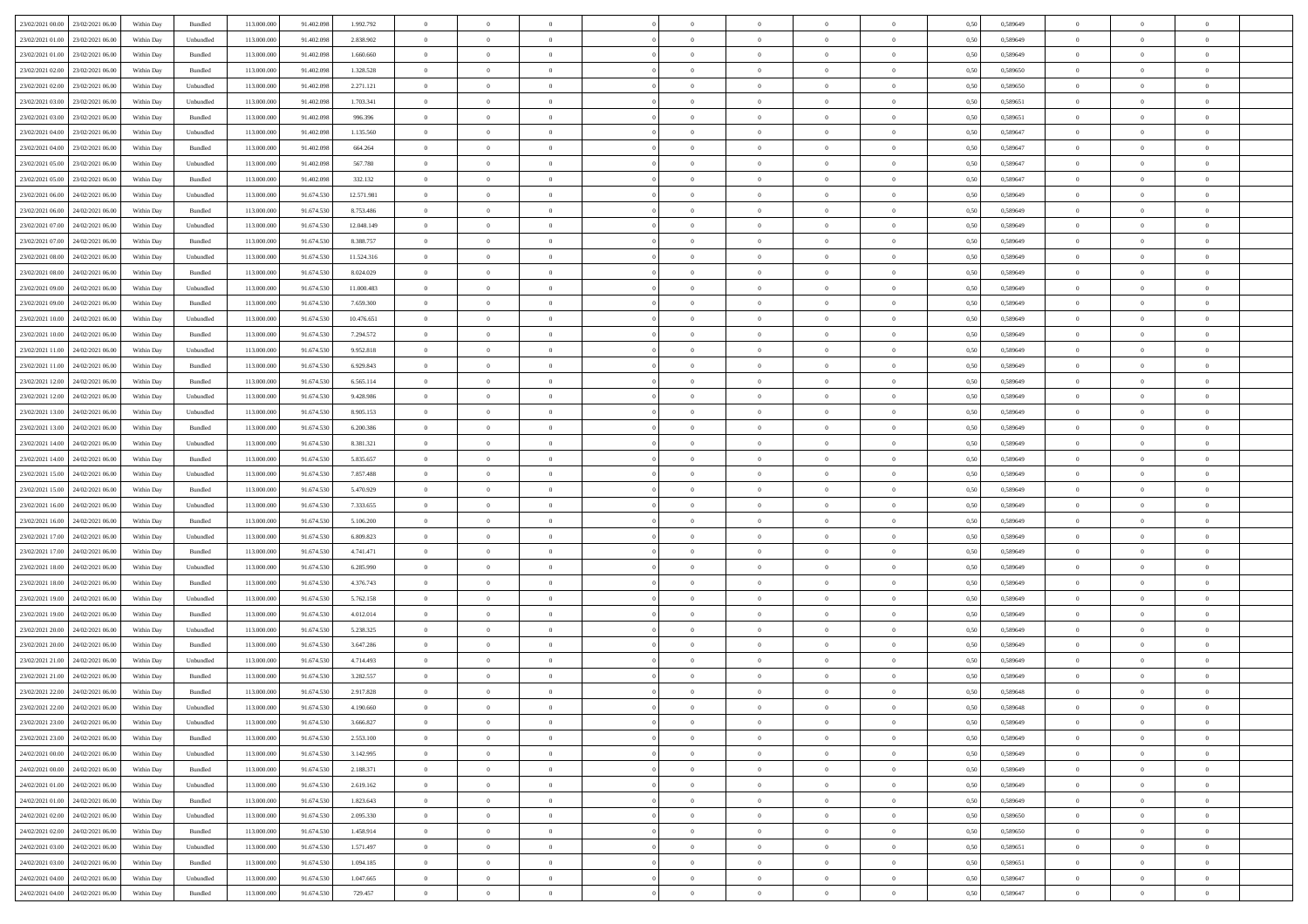| 23/02/2021 00:00 23/02/2021 06:00    | Within Day | Bundled                     | 113.000.000 | 91.402.098 | 1.992.792  | $\overline{0}$ | $\overline{0}$ |                | $\overline{0}$ | $\theta$       |                | $\theta$       | 0,50 | 0,589649 | $\theta$       | $\theta$       | $\overline{0}$ |  |
|--------------------------------------|------------|-----------------------------|-------------|------------|------------|----------------|----------------|----------------|----------------|----------------|----------------|----------------|------|----------|----------------|----------------|----------------|--|
| 23/02/2021 01:00<br>23/02/2021 06:00 | Within Day | Unbundled                   | 113.000.00  | 91.402.09  | 2.838.902  | $\bf{0}$       | $\bf{0}$       | $\bf{0}$       | $\bf{0}$       | $\overline{0}$ | $\overline{0}$ | $\bf{0}$       | 0,50 | 0,589649 | $\,$ 0 $\,$    | $\bf{0}$       | $\overline{0}$ |  |
| 23/02/2021 01:00<br>23/02/2021 06:00 | Within Day | Bundled                     | 113,000,000 | 91.402.098 | 1.660,660  | $\overline{0}$ | $\bf{0}$       | $\overline{0}$ | $\bf{0}$       | $\bf{0}$       | $\overline{0}$ | $\bf{0}$       | 0.50 | 0.589649 | $\overline{0}$ | $\overline{0}$ | $\bf{0}$       |  |
| 23/02/2021 02:00<br>23/02/2021 06:00 |            |                             | 113.000.000 |            |            | $\overline{0}$ | $\overline{0}$ | $\overline{0}$ | $\theta$       | $\theta$       | $\overline{0}$ |                |      |          | $\theta$       | $\theta$       | $\overline{0}$ |  |
|                                      | Within Day | Bundled                     |             | 91.402.098 | 1.328.528  |                |                |                |                |                |                | $\bf{0}$       | 0,50 | 0,589650 |                |                |                |  |
| 23/02/2021 02:00<br>23/02/2021 06.00 | Within Day | Unbundled                   | 113.000.00  | 91.402.098 | 2.271.121  | $\bf{0}$       | $\overline{0}$ | $\bf{0}$       | $\overline{0}$ | $\theta$       | $\overline{0}$ | $\bf{0}$       | 0,50 | 0,589650 | $\,$ 0 $\,$    | $\bf{0}$       | $\overline{0}$ |  |
| 23/02/2021 03:00<br>23/02/2021 06:00 | Within Day | Unbundled                   | 113,000,000 | 91.402.098 | 1.703.341  | $\overline{0}$ | $\overline{0}$ | $\overline{0}$ | $\bf{0}$       | $\overline{0}$ | $\theta$       | $\bf{0}$       | 0.50 | 0.589651 | $\,$ 0 $\,$    | $\theta$       | $\overline{0}$ |  |
| 23/02/2021 03:00<br>23/02/2021 06:00 | Within Day | Bundled                     | 113.000.000 | 91.402.098 | 996.396    | $\overline{0}$ | $\overline{0}$ | $\overline{0}$ | $\overline{0}$ | $\overline{0}$ | $\overline{0}$ | $\bf{0}$       | 0,50 | 0,589651 | $\theta$       | $\theta$       | $\overline{0}$ |  |
|                                      |            |                             |             |            |            |                |                |                |                |                |                |                |      |          |                |                |                |  |
| 23/02/2021 04:00<br>23/02/2021 06.00 | Within Day | Unbundled                   | 113.000.00  | 91.402.098 | 1.135.560  | $\bf{0}$       | $\bf{0}$       | $\bf{0}$       | $\overline{0}$ | $\overline{0}$ | $\overline{0}$ | $\bf{0}$       | 0,50 | 0,589647 | $\,$ 0 $\,$    | $\bf{0}$       | $\overline{0}$ |  |
| 23/02/2021 04:00<br>23/02/2021 06:00 | Within Day | Bundled                     | 113,000,000 | 91.402.098 | 664.264    | $\overline{0}$ | $\bf{0}$       | $\overline{0}$ | $\bf{0}$       | $\overline{0}$ | $\overline{0}$ | $\bf{0}$       | 0.50 | 0.589647 | $\bf{0}$       | $\overline{0}$ | $\overline{0}$ |  |
| 23/02/2021 05:00<br>23/02/2021 06:00 | Within Day | Unbundled                   | 113.000.000 | 91.402.098 | 567.780    | $\overline{0}$ | $\bf{0}$       | $\overline{0}$ | $\overline{0}$ | $\overline{0}$ | $\overline{0}$ | $\bf{0}$       | 0,50 | 0,589647 | $\,$ 0 $\,$    | $\bf{0}$       | $\overline{0}$ |  |
| 23/02/2021 05:00<br>23/02/2021 06.00 | Within Day | Bundled                     | 113.000.00  | 91.402.098 | 332.132    | $\bf{0}$       | $\overline{0}$ | $\bf{0}$       | $\bf{0}$       | $\overline{0}$ | $\overline{0}$ | $\bf{0}$       | 0,50 | 0,589647 | $\,$ 0 $\,$    | $\bf{0}$       | $\overline{0}$ |  |
|                                      |            |                             |             |            |            |                |                |                |                |                |                |                |      |          |                |                |                |  |
| 23/02/2021 06:00<br>24/02/2021 06:00 | Within Day | Unbundled                   | 113,000,000 | 91.674.530 | 12.571.981 | $\overline{0}$ | $\bf{0}$       | $\overline{0}$ | $\overline{0}$ | $\bf{0}$       | $\overline{0}$ | $\bf{0}$       | 0.50 | 0.589649 | $\bf{0}$       | $\overline{0}$ | $\,$ 0         |  |
| 23/02/2021 06:00<br>24/02/2021 06:00 | Within Day | Bundled                     | 113.000.000 | 91.674.530 | 8.753.486  | $\overline{0}$ | $\overline{0}$ | $\overline{0}$ | $\theta$       | $\theta$       | $\overline{0}$ | $\bf{0}$       | 0,50 | 0,589649 | $\,$ 0 $\,$    | $\theta$       | $\overline{0}$ |  |
| 23/02/2021 07:00<br>24/02/2021 06.00 | Within Day | Unbundled                   | 113.000.00  | 91.674.53  | 12.048.149 | $\bf{0}$       | $\overline{0}$ | $\bf{0}$       | $\overline{0}$ | $\bf{0}$       | $\overline{0}$ | $\bf{0}$       | 0,50 | 0,589649 | $\,$ 0 $\,$    | $\bf{0}$       | $\overline{0}$ |  |
| 23/02/2021 07:00<br>24/02/2021 06.00 | Within Day | Bundled                     | 113,000,000 | 91.674.530 | 8.388.757  | $\overline{0}$ | $\overline{0}$ | $\overline{0}$ | $\bf{0}$       | $\overline{0}$ | $\theta$       | $\bf{0}$       | 0.50 | 0.589649 | $\,$ 0 $\,$    | $\theta$       | $\overline{0}$ |  |
|                                      |            |                             |             |            |            |                |                |                |                |                |                |                |      |          |                |                |                |  |
| 23/02/2021 08:00<br>24/02/2021 06:00 | Within Day | Unbundled                   | 113.000.000 | 91.674.530 | 11.524.316 | $\overline{0}$ | $\overline{0}$ | $\overline{0}$ | $\overline{0}$ | $\overline{0}$ | $\overline{0}$ | $\bf{0}$       | 0,50 | 0,589649 | $\theta$       | $\theta$       | $\overline{0}$ |  |
| 23/02/2021 08:00<br>24/02/2021 06.00 | Within Day | Bundled                     | 113.000.00  | 91.674.530 | 8.024.029  | $\bf{0}$       | $\bf{0}$       | $\bf{0}$       | $\overline{0}$ | $\overline{0}$ | $\overline{0}$ | $\bf{0}$       | 0,50 | 0,589649 | $\,$ 0 $\,$    | $\bf{0}$       | $\overline{0}$ |  |
| 23/02/2021 09:00<br>24/02/2021 06:00 | Within Day | Unbundled                   | 113,000,000 | 91.674.530 | 11.000.483 | $\overline{0}$ | $\bf{0}$       | $\overline{0}$ | $\bf{0}$       | $\overline{0}$ | $\overline{0}$ | $\bf{0}$       | 0.50 | 0.589649 | $\bf{0}$       | $\overline{0}$ | $\bf{0}$       |  |
| 23/02/2021 09:00<br>24/02/2021 06:00 | Within Day | Bundled                     | 113.000.000 | 91.674.530 | 7.659.300  | $\overline{0}$ | $\bf{0}$       | $\overline{0}$ | $\overline{0}$ | $\overline{0}$ | $\overline{0}$ | $\bf{0}$       | 0,50 | 0,589649 | $\,$ 0 $\,$    | $\bf{0}$       | $\overline{0}$ |  |
|                                      |            |                             |             |            |            |                |                |                |                |                |                |                |      |          |                |                |                |  |
| 23/02/2021 10:00<br>24/02/2021 06.00 | Within Day | Unbundled                   | 113.000.00  | 91.674.530 | 10.476.651 | $\bf{0}$       | $\bf{0}$       | $\bf{0}$       | $\bf{0}$       | $\overline{0}$ | $\overline{0}$ | $\bf{0}$       | 0,50 | 0,589649 | $\,$ 0 $\,$    | $\bf{0}$       | $\overline{0}$ |  |
| 23/02/2021 10:00<br>24/02/2021 06:00 | Within Day | Bundled                     | 113,000,000 | 91.674.530 | 7.294.572  | $\overline{0}$ | $\bf{0}$       | $\overline{0}$ | $\overline{0}$ | $\bf{0}$       | $\overline{0}$ | $\bf{0}$       | 0.50 | 0.589649 | $\bf{0}$       | $\overline{0}$ | $\,$ 0         |  |
| 23/02/2021 11:00<br>24/02/2021 06:00 | Within Day | Unbundled                   | 113.000.000 | 91.674.530 | 9.952.818  | $\overline{0}$ | $\overline{0}$ | $\overline{0}$ | $\theta$       | $\theta$       | $\overline{0}$ | $\bf{0}$       | 0,50 | 0,589649 | $\theta$       | $\theta$       | $\overline{0}$ |  |
| 23/02/2021 11:00<br>24/02/2021 06.00 | Within Day | Bundled                     | 113.000.00  | 91.674.530 | 6.929.843  | $\bf{0}$       | $\bf{0}$       | $\bf{0}$       | $\bf{0}$       | $\overline{0}$ | $\overline{0}$ | $\bf{0}$       | 0,50 | 0,589649 | $\,$ 0 $\,$    | $\bf{0}$       | $\overline{0}$ |  |
|                                      |            |                             |             |            |            |                |                |                |                |                |                |                |      |          |                |                |                |  |
| 23/02/2021 12:00<br>24/02/2021 06.00 | Within Day | Bundled                     | 113,000,000 | 91.674.530 | 6.565.114  | $\overline{0}$ | $\overline{0}$ | $\overline{0}$ | $\bf{0}$       | $\overline{0}$ | $\theta$       | $\bf{0}$       | 0.50 | 0.589649 | $\,$ 0 $\,$    | $\theta$       | $\overline{0}$ |  |
| 23/02/2021 12:00<br>24/02/2021 06:00 | Within Day | Unbundled                   | 113.000.000 | 91.674.530 | 9.428.986  | $\overline{0}$ | $\overline{0}$ | $\overline{0}$ | $\overline{0}$ | $\overline{0}$ | $\overline{0}$ | $\bf{0}$       | 0,50 | 0,589649 | $\,$ 0 $\,$    | $\theta$       | $\overline{0}$ |  |
| 23/02/2021 13:00<br>24/02/2021 06.00 | Within Day | Unbundled                   | 113.000.00  | 91.674.530 | 8.905.153  | $\bf{0}$       | $\overline{0}$ | $\bf{0}$       | $\overline{0}$ | $\bf{0}$       | $\overline{0}$ | $\bf{0}$       | 0,50 | 0,589649 | $\,$ 0 $\,$    | $\bf{0}$       | $\overline{0}$ |  |
| 23/02/2021 13:00<br>24/02/2021 06:00 | Within Day | Bundled                     | 113,000,000 | 91.674.530 | 6.200.386  | $\overline{0}$ | $\bf{0}$       | $\overline{0}$ | $\bf{0}$       | $\overline{0}$ | $\overline{0}$ | $\bf{0}$       | 0.50 | 0.589649 | $\bf{0}$       | $\overline{0}$ | $\overline{0}$ |  |
| 23/02/2021 14:00<br>24/02/2021 06:00 |            |                             | 113.000.000 |            |            | $\overline{0}$ | $\bf{0}$       | $\overline{0}$ | $\overline{0}$ | $\overline{0}$ | $\overline{0}$ |                |      |          | $\theta$       | $\theta$       | $\overline{0}$ |  |
|                                      | Within Day | Unbundled                   |             | 91.674.530 | 8.381.321  |                |                |                |                |                |                | $\bf{0}$       | 0,50 | 0,589649 |                |                |                |  |
| 23/02/2021 14:00<br>24/02/2021 06.00 | Within Day | Bundled                     | 113.000.00  | 91.674.530 | 5.835.657  | $\bf{0}$       | $\bf{0}$       | $\bf{0}$       | $\bf{0}$       | $\overline{0}$ | $\overline{0}$ | $\bf{0}$       | 0,50 | 0,589649 | $\,$ 0 $\,$    | $\bf{0}$       | $\overline{0}$ |  |
| 23/02/2021 15:00<br>24/02/2021 06:00 | Within Day | Unbundled                   | 113,000,000 | 91.674.530 | 7.857.488  | $\overline{0}$ | $\bf{0}$       | $\overline{0}$ | $\bf{0}$       | $\bf{0}$       | $\overline{0}$ | $\bf{0}$       | 0.50 | 0.589649 | $\bf{0}$       | $\overline{0}$ | $\,$ 0         |  |
| 23/02/2021 15:00<br>24/02/2021 06:00 | Within Day | Bundled                     | 113.000.000 | 91.674.530 | 5.470.929  | $\overline{0}$ | $\overline{0}$ | $\overline{0}$ | $\overline{0}$ | $\overline{0}$ | $\overline{0}$ | $\bf{0}$       | 0.50 | 0.589649 | $\theta$       | $\theta$       | $\overline{0}$ |  |
| 23/02/2021 16:00<br>24/02/2021 06.00 | Within Day | Unbundled                   | 113.000.00  | 91.674.530 | 7.333.655  | $\bf{0}$       | $\overline{0}$ | $\bf{0}$       | $\bf{0}$       | $\overline{0}$ | $\overline{0}$ | $\bf{0}$       | 0,50 | 0,589649 | $\,$ 0 $\,$    | $\bf{0}$       | $\overline{0}$ |  |
|                                      |            |                             |             |            |            |                |                |                |                |                |                |                |      |          |                |                |                |  |
| 23/02/2021 16:00<br>24/02/2021 06.00 | Within Day | Bundled                     | 113,000,000 | 91.674.530 | 5.106.200  | $\overline{0}$ | $\bf{0}$       | $\overline{0}$ | $\bf{0}$       | $\overline{0}$ | $\overline{0}$ | $\bf{0}$       | 0.50 | 0.589649 | $\,$ 0 $\,$    | $\theta$       | $\overline{0}$ |  |
| 23/02/2021 17:00<br>24/02/2021 06:00 | Within Dav | Unbundled                   | 113.000.000 | 91.674.530 | 6.809.823  | $\overline{0}$ | $\overline{0}$ | $\overline{0}$ | $\overline{0}$ | $\overline{0}$ | $\overline{0}$ | $\bf{0}$       | 0.50 | 0.589649 | $\theta$       | $\theta$       | $\overline{0}$ |  |
| 23/02/2021 17:00<br>24/02/2021 06.00 | Within Day | Bundled                     | 113.000.00  | 91.674.530 | 4.741.471  | $\bf{0}$       | $\bf{0}$       | $\bf{0}$       | $\bf{0}$       | $\overline{0}$ | $\overline{0}$ | $\bf{0}$       | 0,50 | 0,589649 | $\,$ 0 $\,$    | $\bf{0}$       | $\overline{0}$ |  |
| 23/02/2021 18:00<br>24/02/2021 06:00 | Within Day | Unbundled                   | 113,000,000 | 91.674.530 | 6.285.990  | $\overline{0}$ | $\bf{0}$       | $\overline{0}$ | $\bf{0}$       | $\overline{0}$ | $\overline{0}$ | $\bf{0}$       | 0.50 | 0.589649 | $\bf{0}$       | $\overline{0}$ | $\overline{0}$ |  |
|                                      |            |                             |             |            |            |                |                |                |                |                |                |                |      |          |                |                |                |  |
| 23/02/2021 18:00<br>24/02/2021 06:00 | Within Dav | Bundled                     | 113.000.000 | 91.674.530 | 4.376.743  | $\overline{0}$ | $\overline{0}$ | $\overline{0}$ | $\overline{0}$ | $\overline{0}$ | $\overline{0}$ | $\bf{0}$       | 0.50 | 0.589649 | $\theta$       | $\theta$       | $\overline{0}$ |  |
| 23/02/2021 19:00<br>24/02/2021 06.00 | Within Day | Unbundled                   | 113.000.00  | 91.674.530 | 5.762.158  | $\bf{0}$       | $\bf{0}$       | $\bf{0}$       | $\bf{0}$       | $\overline{0}$ | $\overline{0}$ | $\bf{0}$       | 0,50 | 0,589649 | $\,$ 0 $\,$    | $\bf{0}$       | $\overline{0}$ |  |
| 23/02/2021 19:00<br>24/02/2021 06.00 | Within Day | Bundled                     | 113,000,000 | 91.674.530 | 4.012.014  | $\overline{0}$ | $\bf{0}$       | $\overline{0}$ | $\overline{0}$ | $\bf{0}$       | $\overline{0}$ | $\bf{0}$       | 0.50 | 0.589649 | $\,$ 0 $\,$    | $\overline{0}$ | $\,$ 0         |  |
| 23/02/2021 20:00<br>24/02/2021 06:00 | Within Dav | Unbundled                   | 113.000.000 | 91.674.530 | 5.238.325  | $\overline{0}$ | $\overline{0}$ | $\overline{0}$ | $\overline{0}$ | $\overline{0}$ | $\overline{0}$ | $\bf{0}$       | 0.50 | 0.589649 | $\theta$       | $\theta$       | $\overline{0}$ |  |
| 23/02/2021 20:00<br>24/02/2021 06.00 | Within Day | Bundled                     | 113.000.00  | 91.674.530 | 3.647.286  | $\bf{0}$       | $\bf{0}$       | $\bf{0}$       | $\bf{0}$       | $\overline{0}$ | $\overline{0}$ | $\bf{0}$       | 0,50 | 0,589649 | $\,$ 0 $\,$    | $\bf{0}$       | $\overline{0}$ |  |
|                                      |            |                             |             |            |            |                |                |                |                |                |                |                |      |          |                |                |                |  |
| 23/02/2021 21:00<br>24/02/2021 06.00 | Within Day | Unbundled                   | 113,000,00  | 91.674.53  | 4.714.493  | $\overline{0}$ | $\overline{0}$ | $\overline{0}$ | $\bf{0}$       | $\overline{0}$ | $\Omega$       | $\bf{0}$       | 0.50 | 0.589649 | $\bf{0}$       | $\theta$       | $\overline{0}$ |  |
| 23/02/2021 21:00<br>24/02/2021 06:00 | Within Dav | Bundled                     | 113.000.000 | 91.674.530 | 3.282.557  | $\overline{0}$ | $\overline{0}$ | $\Omega$       | $\overline{0}$ | $\theta$       | $\overline{0}$ | $\overline{0}$ | 0.5( | 0.589649 | $\theta$       | $\theta$       | $\overline{0}$ |  |
| 23/02/2021 22:00<br>24/02/2021 06:00 | Within Day | Bundled                     | 113.000.000 | 91.674.530 | 2.917.828  | $\bf{0}$       | $\bf{0}$       | $\bf{0}$       | $\bf{0}$       | $\bf{0}$       | $\overline{0}$ | $\bf{0}$       | 0,50 | 0,589648 | $\overline{0}$ | $\bf{0}$       | $\overline{0}$ |  |
| 23/02/2021 22:00 24/02/2021 06:00    | Within Day | $\ensuremath{\mathsf{Unb}}$ | 113.000.000 | 91.674.530 | 4 190 660  | $\bf{0}$       | $\Omega$       |                | $\Omega$       |                |                |                | 0,50 | 0.589648 | $\bf{0}$       | $\overline{0}$ |                |  |
|                                      |            |                             |             |            |            |                |                |                |                |                |                |                |      |          |                |                |                |  |
| 23/02/2021 23:00 24/02/2021 06:00    | Within Day | Unbundled                   | 113.000.000 | 91.674.530 | 3.666.827  | $\overline{0}$ | $\overline{0}$ | $\Omega$       | $\theta$       | $\overline{0}$ | $\overline{0}$ | $\bf{0}$       | 0,50 | 0,589649 | $\theta$       | $\theta$       | $\overline{0}$ |  |
| 23/02/2021 23:00<br>24/02/2021 06:00 | Within Day | Bundled                     | 113.000.00  | 91.674.530 | 2.553.100  | $\overline{0}$ | $\bf{0}$       | $\overline{0}$ | $\overline{0}$ | $\bf{0}$       | $\overline{0}$ | $\bf{0}$       | 0,50 | 0,589649 | $\bf{0}$       | $\overline{0}$ | $\bf{0}$       |  |
| 24/02/2021 00:00 24/02/2021 06:00    | Within Day | Unbundled                   | 113,000,000 | 91.674.530 | 3.142.995  | $\overline{0}$ | $\bf{0}$       | $\overline{0}$ | $\overline{0}$ | $\mathbf{0}$   | $\overline{0}$ | $\,$ 0 $\,$    | 0.50 | 0.589649 | $\overline{0}$ | $\bf{0}$       | $\,$ 0 $\,$    |  |
| 24/02/2021 00:00 24/02/2021 06:00    | Within Dav | Bundled                     | 113.000.000 | 91.674.530 | 2.188.371  | $\overline{0}$ | $\overline{0}$ | $\overline{0}$ | $\overline{0}$ | $\overline{0}$ | $\overline{0}$ | $\bf{0}$       | 0,50 | 0.589649 | $\overline{0}$ | $\theta$       | $\overline{0}$ |  |
|                                      |            |                             |             |            |            |                |                |                |                |                |                |                |      |          |                |                |                |  |
| 24/02/2021 01:00<br>24/02/2021 06:00 | Within Day | Unbundled                   | 113.000.000 | 91.674.530 | 2.619.162  | $\overline{0}$ | $\bf{0}$       | $\overline{0}$ | $\overline{0}$ | $\overline{0}$ | $\overline{0}$ | $\bf{0}$       | 0,50 | 0,589649 | $\bf{0}$       | $\overline{0}$ | $\overline{0}$ |  |
| 24/02/2021 06:00<br>24/02/2021 01:00 | Within Day | Bundled                     | 113,000,000 | 91.674.530 | 1.823.643  | $\overline{0}$ | $\bf{0}$       | $\overline{0}$ | $\overline{0}$ | $\overline{0}$ | $\overline{0}$ | $\bf{0}$       | 0.50 | 0.589649 | $\,$ 0 $\,$    | $\overline{0}$ | $\,$ 0         |  |
| 24/02/2021 02:00 24/02/2021 06:00    | Within Dav | Unbundled                   | 113.000.000 | 91.674.530 | 2.095.330  | $\overline{0}$ | $\overline{0}$ | $\overline{0}$ | $\overline{0}$ | $\overline{0}$ | $\overline{0}$ | $\bf{0}$       | 0,50 | 0,589650 | $\overline{0}$ | $\theta$       | $\overline{0}$ |  |
| 24/02/2021 02:00<br>24/02/2021 06:00 | Within Day | Bundled                     | 113.000.00  | 91.674.530 | 1.458.914  | $\overline{0}$ | $\overline{0}$ | $\overline{0}$ | $\overline{0}$ | $\overline{0}$ | $\overline{0}$ | $\bf{0}$       | 0,50 | 0,589650 | $\bf{0}$       | $\overline{0}$ | $\,$ 0         |  |
| 24/02/2021 03:00 24/02/2021 06:00    |            | Unbundled                   | 113,000,000 | 91.674.530 |            | $\overline{0}$ | $\overline{0}$ |                |                |                | $\overline{0}$ |                | 0.50 | 0.589651 | $\mathbf{0}$   | $\bf{0}$       | $\,$ 0         |  |
|                                      | Within Day |                             |             |            | 1.571.497  |                |                | $\overline{0}$ | $\overline{0}$ | $\overline{0}$ |                | $\bf{0}$       |      |          |                |                |                |  |
| 24/02/2021 03:00 24/02/2021 06:00    | Within Dav | Bundled                     | 113.000.000 | 91.674.530 | 1.094.185  | $\overline{0}$ | $\overline{0}$ | $\overline{0}$ | $\overline{0}$ | $\overline{0}$ | $\overline{0}$ | $\bf{0}$       | 0,50 | 0,589651 | $\overline{0}$ | $\theta$       | $\overline{0}$ |  |
| 24/02/2021 04:00<br>24/02/2021 06.00 | Within Day | Unbundled                   | 113.000.00  | 91.674.530 | 1.047.665  | $\overline{0}$ | $\bf{0}$       | $\overline{0}$ | $\bf{0}$       | $\overline{0}$ | $\overline{0}$ | $\bf{0}$       | 0,50 | 0,589647 | $\bf{0}$       | $\,0\,$        | $\bf{0}$       |  |
| 24/02/2021 04:00 24/02/2021 06:00    | Within Day | Bundled                     | 113.000.000 | 91.674.530 | 729.457    | $\,$ 0 $\,$    | $\bf{0}$       | $\overline{0}$ | $\overline{0}$ | $\,$ 0 $\,$    | $\overline{0}$ | $\bf{0}$       | 0,50 | 0,589647 | $\overline{0}$ | $\,$ 0 $\,$    | $\,$ 0 $\,$    |  |
|                                      |            |                             |             |            |            |                |                |                |                |                |                |                |      |          |                |                |                |  |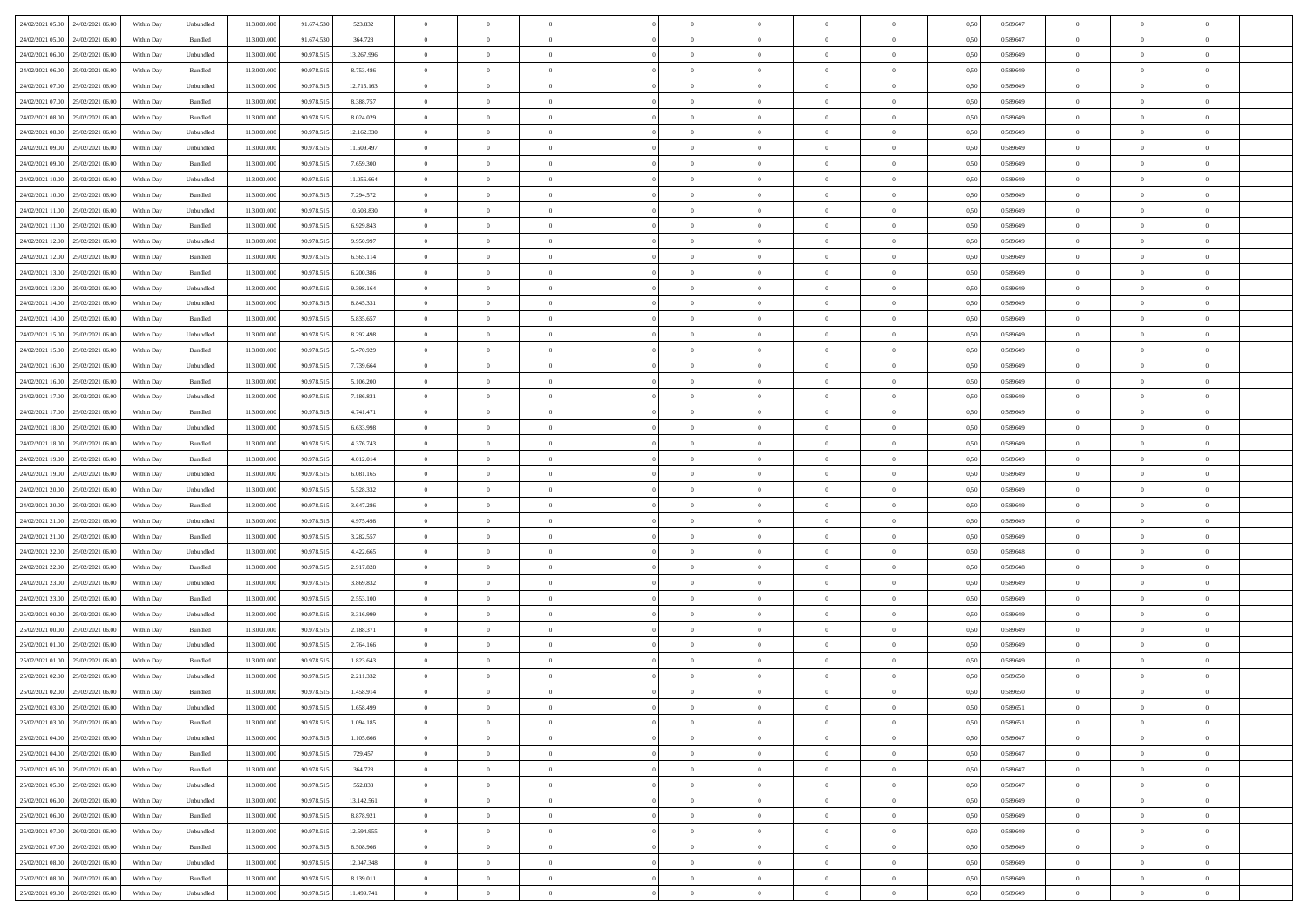| 24/02/2021 05:00 24/02/2021 06:00    | Within Day | Unbundled                   | 113.000.000 | 91.674.530 | 523.832    | $\overline{0}$ | $\overline{0}$ |                | $\overline{0}$ | $\theta$       |                | $\theta$       | 0,50 | 0,589647 | $\theta$       | $\theta$       | $\overline{0}$ |  |
|--------------------------------------|------------|-----------------------------|-------------|------------|------------|----------------|----------------|----------------|----------------|----------------|----------------|----------------|------|----------|----------------|----------------|----------------|--|
| 24/02/2021 05:00<br>24/02/2021 06.00 | Within Day | Bundled                     | 113.000.00  | 91.674.530 | 364.728    | $\bf{0}$       | $\bf{0}$       | $\bf{0}$       | $\bf{0}$       | $\overline{0}$ | $\overline{0}$ | $\bf{0}$       | 0,50 | 0,589647 | $\,$ 0 $\,$    | $\bf{0}$       | $\overline{0}$ |  |
| 24/02/2021 06:00<br>25/02/2021 06:00 | Within Day | Unbundled                   | 113,000,000 | 90.978.515 | 13.267.996 | $\overline{0}$ | $\bf{0}$       | $\overline{0}$ | $\bf{0}$       | $\bf{0}$       | $\overline{0}$ | $\bf{0}$       | 0.50 | 0.589649 | $\bf{0}$       | $\overline{0}$ | $\overline{0}$ |  |
| 24/02/2021 06:00<br>25/02/2021 06:00 | Within Day | Bundled                     | 113.000.000 | 90.978.515 | 8.753.486  | $\overline{0}$ | $\overline{0}$ | $\overline{0}$ | $\theta$       | $\theta$       | $\overline{0}$ | $\bf{0}$       | 0,50 | 0,589649 | $\theta$       | $\theta$       | $\overline{0}$ |  |
|                                      |            |                             |             |            |            |                |                |                |                |                |                |                |      |          |                |                |                |  |
| 24/02/2021 07:00<br>25/02/2021 06.00 | Within Day | Unbundled                   | 113.000.00  | 90.978.515 | 12.715.163 | $\bf{0}$       | $\overline{0}$ | $\bf{0}$       | $\overline{0}$ | $\theta$       | $\overline{0}$ | $\bf{0}$       | 0,50 | 0,589649 | $\,$ 0 $\,$    | $\bf{0}$       | $\overline{0}$ |  |
| 24/02/2021 07:00<br>25/02/2021 06:00 | Within Day | Bundled                     | 113,000,000 | 90.978.515 | 8.388.757  | $\overline{0}$ | $\bf{0}$       | $\overline{0}$ | $\bf{0}$       | $\overline{0}$ | $\theta$       | $\bf{0}$       | 0.50 | 0.589649 | $\,$ 0 $\,$    | $\theta$       | $\overline{0}$ |  |
| 24/02/2021 08:00<br>25/02/2021 06:00 | Within Day | Bundled                     | 113.000.000 | 90.978.515 | 8.024.029  | $\overline{0}$ | $\overline{0}$ | $\overline{0}$ | $\overline{0}$ | $\overline{0}$ | $\overline{0}$ | $\bf{0}$       | 0,50 | 0,589649 | $\,$ 0 $\,$    | $\theta$       | $\overline{0}$ |  |
| 24/02/2021 08:00<br>25/02/2021 06.00 | Within Day | Unbundled                   | 113.000.00  | 90.978.51  | 12.162.330 | $\bf{0}$       | $\bf{0}$       | $\bf{0}$       | $\overline{0}$ | $\overline{0}$ | $\overline{0}$ | $\bf{0}$       | 0,50 | 0,589649 | $\,$ 0 $\,$    | $\bf{0}$       | $\overline{0}$ |  |
| 24/02/2021 09:00<br>25/02/2021 06:00 | Within Day | Unbundled                   | 113,000,000 | 90.978.515 | 11.609.497 | $\overline{0}$ | $\bf{0}$       | $\overline{0}$ | $\bf{0}$       | $\overline{0}$ | $\overline{0}$ | $\bf{0}$       | 0.50 | 0.589649 | $\bf{0}$       | $\overline{0}$ | $\overline{0}$ |  |
| 24/02/2021 09:00<br>25/02/2021 06:00 | Within Day | Bundled                     | 113.000.000 | 90.978.515 | 7.659.300  | $\overline{0}$ | $\bf{0}$       | $\overline{0}$ | $\overline{0}$ | $\overline{0}$ | $\overline{0}$ | $\bf{0}$       | 0,50 | 0,589649 | $\,$ 0 $\,$    | $\,$ 0 $\,$    | $\overline{0}$ |  |
|                                      |            |                             |             |            |            |                |                |                |                |                |                |                |      |          |                |                |                |  |
| 24/02/2021 10:00<br>25/02/2021 06.00 | Within Day | Unbundled                   | 113.000.00  | 90.978.515 | 11.056.664 | $\bf{0}$       | $\bf{0}$       | $\bf{0}$       | $\bf{0}$       | $\overline{0}$ | $\overline{0}$ | $\bf{0}$       | 0,50 | 0,589649 | $\,$ 0 $\,$    | $\bf{0}$       | $\overline{0}$ |  |
| 24/02/2021 10:00<br>25/02/2021 06:00 | Within Day | Bundled                     | 113,000,000 | 90.978.515 | 7.294.572  | $\overline{0}$ | $\bf{0}$       | $\overline{0}$ | $\overline{0}$ | $\bf{0}$       | $\overline{0}$ | $\bf{0}$       | 0.50 | 0.589649 | $\bf{0}$       | $\,$ 0 $\,$    | $\,$ 0         |  |
| 24/02/2021 11:00<br>25/02/2021 06:00 | Within Day | Unbundled                   | 113.000.000 | 90.978.515 | 10.503.830 | $\overline{0}$ | $\overline{0}$ | $\overline{0}$ | $\theta$       | $\theta$       | $\overline{0}$ | $\bf{0}$       | 0,50 | 0,589649 | $\,$ 0 $\,$    | $\theta$       | $\overline{0}$ |  |
| 24/02/2021 11:00<br>25/02/2021 06:00 | Within Day | Bundled                     | 113.000.00  | 90.978.51  | 6.929.843  | $\bf{0}$       | $\overline{0}$ | $\bf{0}$       | $\overline{0}$ | $\bf{0}$       | $\overline{0}$ | $\bf{0}$       | 0,50 | 0,589649 | $\,$ 0 $\,$    | $\bf{0}$       | $\overline{0}$ |  |
| 24/02/2021 12:00<br>25/02/2021 06:00 | Within Day | Unbundled                   | 113,000,000 | 90.978.515 | 9.950.997  | $\overline{0}$ | $\bf{0}$       | $\overline{0}$ | $\bf{0}$       | $\overline{0}$ | $\theta$       | $\bf{0}$       | 0.50 | 0.589649 | $\,$ 0 $\,$    | $\theta$       | $\overline{0}$ |  |
|                                      |            |                             |             |            |            |                |                |                |                |                |                |                |      |          |                |                |                |  |
| 24/02/2021 12:00<br>25/02/2021 06:00 | Within Day | Bundled                     | 113.000.000 | 90.978.515 | 6.565.114  | $\overline{0}$ | $\overline{0}$ | $\overline{0}$ | $\overline{0}$ | $\overline{0}$ | $\overline{0}$ | $\bf{0}$       | 0,50 | 0,589649 | $\theta$       | $\theta$       | $\overline{0}$ |  |
| 24/02/2021 13:00<br>25/02/2021 06.00 | Within Day | Bundled                     | 113.000.00  | 90.978.51  | 6.200.386  | $\bf{0}$       | $\bf{0}$       | $\bf{0}$       | $\overline{0}$ | $\overline{0}$ | $\overline{0}$ | $\bf{0}$       | 0,50 | 0,589649 | $\,$ 0 $\,$    | $\bf{0}$       | $\overline{0}$ |  |
| 24/02/2021 13:00<br>25/02/2021 06:00 | Within Day | Unbundled                   | 113,000,00  | 90.978.515 | 9.398.164  | $\overline{0}$ | $\bf{0}$       | $\overline{0}$ | $\bf{0}$       | $\overline{0}$ | $\overline{0}$ | $\bf{0}$       | 0.50 | 0.589649 | $\bf{0}$       | $\overline{0}$ | $\overline{0}$ |  |
| 24/02/2021 14:00<br>25/02/2021 06:00 | Within Day | Unbundled                   | 113.000.000 | 90.978.515 | 8.845.331  | $\overline{0}$ | $\bf{0}$       | $\overline{0}$ | $\overline{0}$ | $\overline{0}$ | $\overline{0}$ | $\bf{0}$       | 0,50 | 0,589649 | $\,$ 0 $\,$    | $\bf{0}$       | $\overline{0}$ |  |
| 24/02/2021 14:00<br>25/02/2021 06.00 | Within Day | Bundled                     | 113.000.00  | 90.978.51  | 5.835.657  | $\bf{0}$       | $\bf{0}$       | $\bf{0}$       | $\bf{0}$       | $\overline{0}$ | $\overline{0}$ | $\bf{0}$       | 0,50 | 0,589649 | $\,$ 0 $\,$    | $\bf{0}$       | $\overline{0}$ |  |
| 24/02/2021 15:00<br>25/02/2021 06:00 | Within Day | Unbundled                   | 113,000,000 | 90.978.515 | 8.292.498  | $\overline{0}$ | $\bf{0}$       | $\overline{0}$ | $\overline{0}$ | $\bf{0}$       | $\overline{0}$ | $\bf{0}$       | 0.50 | 0.589649 | $\bf{0}$       | $\overline{0}$ | $\,$ 0         |  |
| 24/02/2021 15:00<br>25/02/2021 06:00 | Within Day | Bundled                     | 113.000.000 | 90.978.515 | 5.470.929  | $\overline{0}$ | $\overline{0}$ | $\overline{0}$ | $\overline{0}$ | $\theta$       | $\overline{0}$ | $\bf{0}$       | 0,50 | 0,589649 | $\theta$       | $\theta$       | $\overline{0}$ |  |
|                                      |            |                             |             |            |            |                |                |                |                |                |                |                |      |          |                |                |                |  |
| 24/02/2021 16:00<br>25/02/2021 06.00 | Within Day | Unbundled                   | 113.000.00  | 90.978.515 | 7.739.664  | $\bf{0}$       | $\bf{0}$       | $\bf{0}$       | $\bf{0}$       | $\overline{0}$ | $\overline{0}$ | $\bf{0}$       | 0,50 | 0,589649 | $\,$ 0 $\,$    | $\bf{0}$       | $\overline{0}$ |  |
| 24/02/2021 16:00<br>25/02/2021 06:00 | Within Day | Bundled                     | 113,000,000 | 90.978.515 | 5.106.200  | $\overline{0}$ | $\bf{0}$       | $\overline{0}$ | $\bf{0}$       | $\overline{0}$ | $\theta$       | $\bf{0}$       | 0.50 | 0.589649 | $\,$ 0 $\,$    | $\theta$       | $\overline{0}$ |  |
| 24/02/2021 17:00<br>25/02/2021 06:00 | Within Day | Unbundled                   | 113.000.000 | 90.978.515 | 7.186.831  | $\overline{0}$ | $\overline{0}$ | $\overline{0}$ | $\overline{0}$ | $\overline{0}$ | $\overline{0}$ | $\bf{0}$       | 0,50 | 0,589649 | $\,$ 0 $\,$    | $\theta$       | $\overline{0}$ |  |
| 24/02/2021 17:00<br>25/02/2021 06.00 | Within Day | Bundled                     | 113.000.00  | 90.978.51  | 4.741.471  | $\bf{0}$       | $\overline{0}$ | $\bf{0}$       | $\overline{0}$ | $\overline{0}$ | $\overline{0}$ | $\bf{0}$       | 0,50 | 0,589649 | $\,$ 0 $\,$    | $\bf{0}$       | $\overline{0}$ |  |
| 24/02/2021 18:00<br>25/02/2021 06:00 | Within Day | Unbundled                   | 113,000,000 | 90.978.515 | 6.633.998  | $\overline{0}$ | $\bf{0}$       | $\overline{0}$ | $\bf{0}$       | $\overline{0}$ | $\overline{0}$ | $\bf{0}$       | 0.50 | 0.589649 | $\bf{0}$       | $\overline{0}$ | $\overline{0}$ |  |
| 24/02/2021 18:00<br>25/02/2021 06:00 | Within Day | Bundled                     | 113.000.000 | 90.978.515 | 4.376.743  | $\overline{0}$ | $\bf{0}$       | $\overline{0}$ | $\overline{0}$ | $\overline{0}$ | $\overline{0}$ | $\bf{0}$       | 0,50 | 0,589649 | $\theta$       | $\theta$       | $\overline{0}$ |  |
|                                      |            |                             |             |            |            |                |                |                |                |                |                |                |      |          |                |                |                |  |
| 24/02/2021 19:00<br>25/02/2021 06.00 | Within Day | Bundled                     | 113.000.00  | 90.978.51  | 4.012.014  | $\bf{0}$       | $\bf{0}$       | $\bf{0}$       | $\bf{0}$       | $\overline{0}$ | $\overline{0}$ | $\bf{0}$       | 0,50 | 0,589649 | $\,$ 0 $\,$    | $\bf{0}$       | $\overline{0}$ |  |
| 24/02/2021 19:00<br>25/02/2021 06:00 | Within Day | Unbundled                   | 113,000,000 | 90.978.515 | 6.081.165  | $\overline{0}$ | $\bf{0}$       | $\overline{0}$ | $\overline{0}$ | $\bf{0}$       | $\overline{0}$ | $\bf{0}$       | 0.50 | 0.589649 | $\bf{0}$       | $\,$ 0 $\,$    | $\,$ 0         |  |
| 24/02/2021 20:00<br>25/02/2021 06:00 | Within Day | Unbundled                   | 113.000.000 | 90.978.515 | 5.528.332  | $\overline{0}$ | $\overline{0}$ | $\overline{0}$ | $\overline{0}$ | $\overline{0}$ | $\overline{0}$ | $\bf{0}$       | 0.50 | 0.589649 | $\theta$       | $\theta$       | $\overline{0}$ |  |
| 24/02/2021 20:00<br>25/02/2021 06.00 | Within Day | Bundled                     | 113.000.00  | 90.978.515 | 3.647.286  | $\bf{0}$       | $\bf{0}$       | $\bf{0}$       | $\bf{0}$       | $\overline{0}$ | $\overline{0}$ | $\bf{0}$       | 0,50 | 0,589649 | $\,$ 0 $\,$    | $\bf{0}$       | $\overline{0}$ |  |
| 24/02/2021 21:00<br>25/02/2021 06:00 | Within Day | Unbundled                   | 113,000,000 | 90.978.515 | 4.975.498  | $\overline{0}$ | $\bf{0}$       | $\overline{0}$ | $\bf{0}$       | $\overline{0}$ | $\overline{0}$ | $\bf{0}$       | 0.50 | 0.589649 | $\,$ 0 $\,$    | $\bf{0}$       | $\overline{0}$ |  |
| 24/02/2021 21:00<br>25/02/2021 06:00 | Within Dav | Bundled                     | 113.000.000 | 90.978.515 | 3.282.557  | $\overline{0}$ | $\overline{0}$ | $\overline{0}$ | $\overline{0}$ | $\overline{0}$ | $\overline{0}$ | $\bf{0}$       | 0.50 | 0.589649 | $\theta$       | $\theta$       | $\overline{0}$ |  |
| 25/02/2021 06.00                     | Within Day | Unbundled                   | 113.000.00  | 90.978.51  | 4.422.665  | $\bf{0}$       | $\bf{0}$       | $\bf{0}$       | $\bf{0}$       | $\overline{0}$ | $\overline{0}$ | $\bf{0}$       | 0,50 | 0,589648 | $\,$ 0 $\,$    | $\bf{0}$       | $\overline{0}$ |  |
| 24/02/2021 22.00                     |            |                             |             |            |            |                |                |                |                |                |                |                |      |          |                |                |                |  |
| 24/02/2021 22:00<br>25/02/2021 06:00 | Within Day | Bundled                     | 113,000,000 | 90.978.515 | 2.917.828  | $\overline{0}$ | $\bf{0}$       | $\overline{0}$ | $\bf{0}$       | $\overline{0}$ | $\overline{0}$ | $\bf{0}$       | 0.50 | 0.589648 | $\bf{0}$       | $\overline{0}$ | $\overline{0}$ |  |
| 24/02/2021 23:00<br>25/02/2021 06:00 | Within Dav | Unbundled                   | 113.000.000 | 90.978.515 | 3.869.832  | $\overline{0}$ | $\overline{0}$ | $\overline{0}$ | $\overline{0}$ | $\overline{0}$ | $\overline{0}$ | $\bf{0}$       | 0.50 | 0.589649 | $\theta$       | $\theta$       | $\overline{0}$ |  |
| 24/02/2021 23:00<br>25/02/2021 06.00 | Within Day | Bundled                     | 113.000.00  | 90.978.51  | 2.553.100  | $\bf{0}$       | $\bf{0}$       | $\bf{0}$       | $\bf{0}$       | $\overline{0}$ | $\overline{0}$ | $\bf{0}$       | 0,50 | 0,589649 | $\,$ 0 $\,$    | $\bf{0}$       | $\overline{0}$ |  |
| 25/02/2021 00:00<br>25/02/2021 06:00 | Within Day | Unbundled                   | 113,000,000 | 90.978.515 | 3.316.999  | $\overline{0}$ | $\bf{0}$       | $\overline{0}$ | $\overline{0}$ | $\bf{0}$       | $\overline{0}$ | $\bf{0}$       | 0.50 | 0.589649 | $\bf{0}$       | $\,$ 0 $\,$    | $\overline{0}$ |  |
| 25/02/2021 00:00<br>25/02/2021 06:00 | Within Dav | Bundled                     | 113.000.000 | 90.978.515 | 2.188.371  | $\overline{0}$ | $\overline{0}$ | $\overline{0}$ | $\overline{0}$ | $\overline{0}$ | $\overline{0}$ | $\bf{0}$       | 0.50 | 0.589649 | $\theta$       | $\theta$       | $\overline{0}$ |  |
| 25/02/2021 01:00<br>25/02/2021 06.00 | Within Day | Unbundled                   | 113.000.00  | 90.978.515 | 2.764.166  | $\bf{0}$       | $\bf{0}$       | $\bf{0}$       | $\bf{0}$       | $\overline{0}$ | $\overline{0}$ | $\bf{0}$       | 0,50 | 0,589649 | $\,$ 0 $\,$    | $\bf{0}$       | $\overline{0}$ |  |
|                                      |            |                             | 113,000,000 | 90.978.515 |            |                | $\overline{0}$ |                |                |                |                |                |      |          |                | $\theta$       | $\overline{0}$ |  |
| 25/02/2021 01:00<br>25/02/2021 06:00 | Within Day | Bundled                     |             |            | 1.823.643  | $\overline{0}$ |                | $\overline{0}$ | $\bf{0}$       | $\overline{0}$ | $\overline{0}$ | $\bf{0}$       | 0.50 | 0.589649 | $\bf{0}$       |                |                |  |
| 25/02/2021 02:00<br>25/02/2021 06:00 | Within Dav | Unbundled                   | 113.000.000 | 90.978.515 | 2.211.332  | $\overline{0}$ | $\overline{0}$ | $\Omega$       | $\theta$       | $\theta$       | $\overline{0}$ | $\overline{0}$ | 0.5( | 0.589650 | $\theta$       | $\theta$       | $\overline{0}$ |  |
| 25/02/2021 02:00<br>25/02/2021 06:00 | Within Day | Bundled                     | 113.000.000 | 90.978.515 | 1.458.914  | $\bf{0}$       | $\bf{0}$       | $\bf{0}$       | $\bf{0}$       | $\bf{0}$       | $\overline{0}$ | $\bf{0}$       | 0,50 | 0,589650 | $\,$ 0 $\,$    | $\bf{0}$       | $\overline{0}$ |  |
| 25/02/2021 03:00 25/02/2021 06:00    | Within Day | $\ensuremath{\mathsf{Unb}}$ | 113.000.000 | 90.978.515 | 1.658.499  | $\bf{0}$       | $\theta$       |                | $\overline{0}$ |                |                |                | 0,50 | 0.589651 | $\bf{0}$       | $\bf{0}$       |                |  |
| 25/02/2021 03:00 25/02/2021 06:00    | Within Day | Bundled                     | 113.000.000 | 90.978.515 | 1.094.185  | $\overline{0}$ | $\overline{0}$ | $\Omega$       | $\theta$       | $\overline{0}$ | $\overline{0}$ | $\bf{0}$       | 0,50 | 0,589651 | $\theta$       | $\theta$       | $\overline{0}$ |  |
| 25/02/2021 04:00<br>25/02/2021 06:00 | Within Day | Unbundled                   | 113.000.00  | 90.978.515 | 1.105.666  | $\overline{0}$ | $\bf{0}$       | $\overline{0}$ | $\overline{0}$ | $\bf{0}$       | $\overline{0}$ | $\bf{0}$       | 0,50 | 0,589647 | $\bf{0}$       | $\overline{0}$ | $\bf{0}$       |  |
| 25/02/2021 04:00 25/02/2021 06:00    | Within Day | Bundled                     | 113,000,000 | 90.978.515 | 729.457    | $\overline{0}$ | $\bf{0}$       | $\overline{0}$ | $\overline{0}$ | $\mathbf{0}$   | $\overline{0}$ | $\,$ 0 $\,$    | 0.50 | 0.589647 | $\overline{0}$ | $\bf{0}$       | $\,$ 0 $\,$    |  |
|                                      |            |                             |             |            |            |                |                |                |                |                |                |                |      |          |                |                |                |  |
| 25/02/2021 05:00 25/02/2021 06:00    | Within Dav | Bundled                     | 113.000.000 | 90.978.515 | 364.728    | $\overline{0}$ | $\overline{0}$ | $\overline{0}$ | $\overline{0}$ | $\overline{0}$ | $\overline{0}$ | $\bf{0}$       | 0,50 | 0.589647 | $\overline{0}$ | $\theta$       | $\overline{0}$ |  |
| 25/02/2021 05:00<br>25/02/2021 06:00 | Within Day | Unbundled                   | 113.000.000 | 90.978.515 | 552.833    | $\overline{0}$ | $\bf{0}$       | $\overline{0}$ | $\overline{0}$ | $\overline{0}$ | $\overline{0}$ | $\bf{0}$       | 0,50 | 0,589647 | $\bf{0}$       | $\overline{0}$ | $\overline{0}$ |  |
| 25/02/2021 06:00<br>26/02/2021 06:00 | Within Day | Unbundled                   | 113,000,000 | 90.978.515 | 13.142.561 | $\overline{0}$ | $\bf{0}$       | $\overline{0}$ | $\overline{0}$ | $\overline{0}$ | $\overline{0}$ | $\bf{0}$       | 0.50 | 0.589649 | $\,$ 0 $\,$    | $\overline{0}$ | $\,$ 0         |  |
| 25/02/2021 06:00<br>26/02/2021 06:00 | Within Dav | Bundled                     | 113.000.000 | 90.978.515 | 8.878.921  | $\overline{0}$ | $\overline{0}$ | $\overline{0}$ | $\overline{0}$ | $\overline{0}$ | $\overline{0}$ | $\bf{0}$       | 0,50 | 0.589649 | $\overline{0}$ | $\theta$       | $\overline{0}$ |  |
| 25/02/2021 07:00<br>26/02/2021 06.00 | Within Day | Unbundled                   | 113.000.00  | 90.978.515 | 12.594.955 | $\overline{0}$ | $\overline{0}$ | $\overline{0}$ | $\overline{0}$ | $\overline{0}$ | $\overline{0}$ | $\bf{0}$       | 0,50 | 0,589649 | $\bf{0}$       | $\overline{0}$ | $\,$ 0         |  |
| 25/02/2021 07:00<br>26/02/2021 06:00 | Within Day | Bundled                     | 113,000,000 | 90.978.515 | 8.508.966  | $\overline{0}$ | $\overline{0}$ | $\overline{0}$ | $\overline{0}$ | $\overline{0}$ | $\overline{0}$ | $\bf{0}$       | 0.50 | 0.589649 | $\mathbf{0}$   | $\bf{0}$       | $\,$ 0         |  |
|                                      |            |                             |             |            |            |                |                |                |                |                |                |                |      |          |                |                |                |  |
| 25/02/2021 08:00 26/02/2021 06:00    | Within Dav | Unbundled                   | 113.000.000 | 90.978.515 | 12.047.348 | $\overline{0}$ | $\overline{0}$ | $\overline{0}$ | $\overline{0}$ | $\overline{0}$ | $\overline{0}$ | $\bf{0}$       | 0,50 | 0.589649 | $\overline{0}$ | $\theta$       | $\overline{0}$ |  |
| 25/02/2021 08:00<br>26/02/2021 06.00 | Within Day | Bundled                     | 113.000.00  | 90.978.515 | 8.139.011  | $\overline{0}$ | $\bf{0}$       | $\overline{0}$ | $\bf{0}$       | $\overline{0}$ | $\bf{0}$       | $\bf{0}$       | 0,50 | 0,589649 | $\bf{0}$       | $\,$ 0 $\,$    | $\bf{0}$       |  |
| 25/02/2021 09:00 26/02/2021 06:00    | Within Day | Unbundled                   | 113.000.000 | 90.978.515 | 11.499.741 | $\overline{0}$ | $\bf{0}$       | $\overline{0}$ | $\overline{0}$ | $\,$ 0 $\,$    | $\overline{0}$ | $\bf{0}$       | 0,50 | 0,589649 | $\overline{0}$ | $\,$ 0 $\,$    | $\,$ 0 $\,$    |  |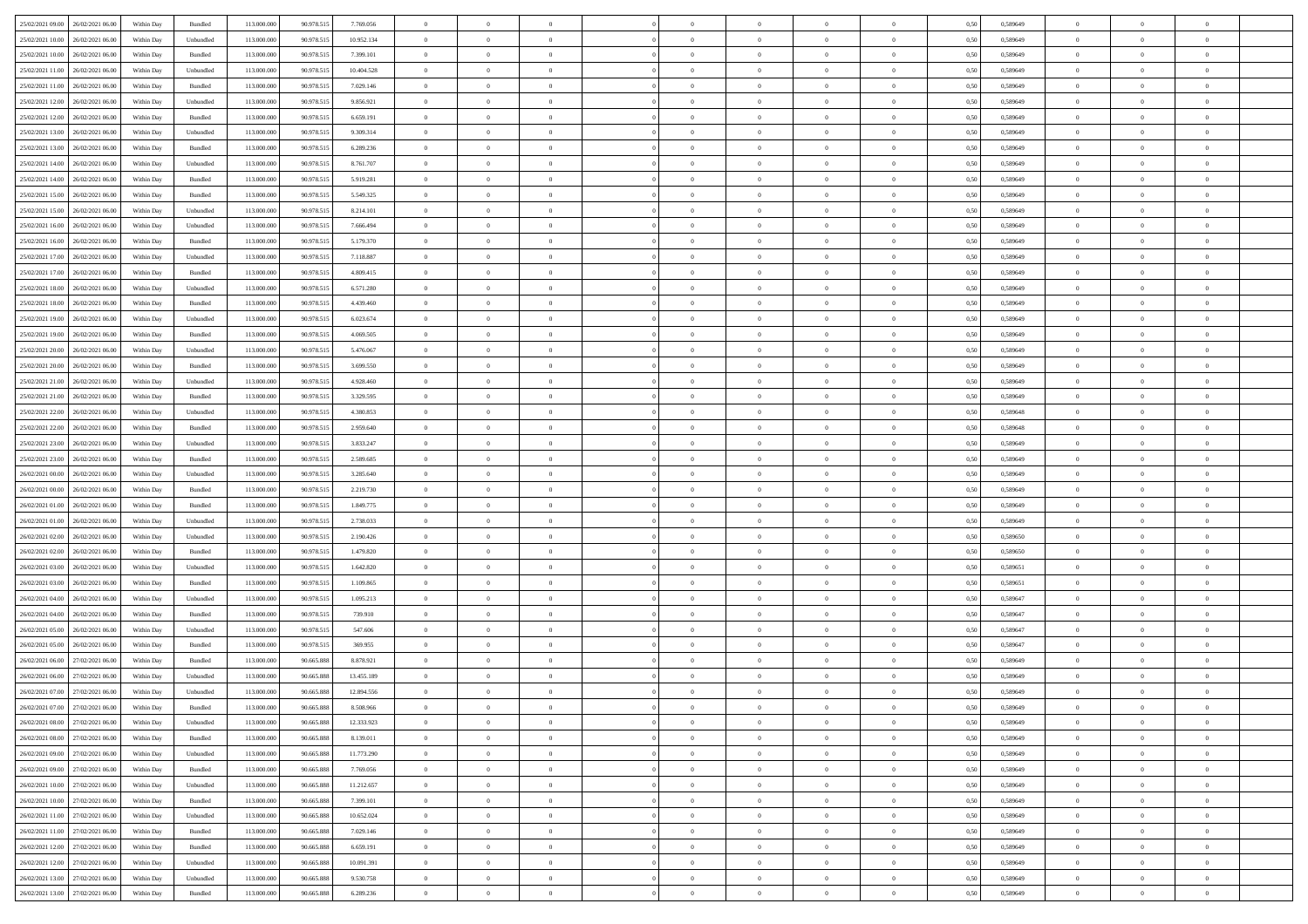|                                      |            |           |             |            |            | $\overline{0}$ | $\theta$       |                | $\overline{0}$ | $\theta$       |                | $\theta$       |      |          | $\theta$       | $\theta$       | $\theta$       |  |
|--------------------------------------|------------|-----------|-------------|------------|------------|----------------|----------------|----------------|----------------|----------------|----------------|----------------|------|----------|----------------|----------------|----------------|--|
| 25/02/2021 09:00 26/02/2021 06:00    | Within Day | Bundled   | 113.000.000 | 90.978.515 | 7.769.056  |                |                |                |                |                |                |                | 0,50 | 0,589649 |                |                |                |  |
| 25/02/2021 10:00<br>26/02/2021 06.00 | Within Day | Unbundled | 113.000.00  | 90.978.51  | 10.952.134 | $\bf{0}$       | $\bf{0}$       | $\bf{0}$       | $\bf{0}$       | $\overline{0}$ | $\overline{0}$ | $\bf{0}$       | 0,50 | 0,589649 | $\,$ 0 $\,$    | $\bf{0}$       | $\overline{0}$ |  |
| 25/02/2021 10:00<br>26/02/2021 06:00 | Within Day | Bundled   | 113,000,000 | 90.978.515 | 7.399.101  | $\overline{0}$ | $\bf{0}$       | $\overline{0}$ | $\bf{0}$       | $\bf{0}$       | $\overline{0}$ | $\bf{0}$       | 0.50 | 0.589649 | $\bf{0}$       | $\overline{0}$ | $\overline{0}$ |  |
| 25/02/2021 11:00<br>26/02/2021 06:00 | Within Day | Unbundled | 113.000.000 | 90.978.515 | 10.404.528 | $\overline{0}$ | $\overline{0}$ | $\overline{0}$ | $\theta$       | $\theta$       | $\overline{0}$ | $\bf{0}$       | 0,50 | 0,589649 | $\theta$       | $\theta$       | $\overline{0}$ |  |
|                                      |            |           |             |            |            |                |                |                |                |                |                |                |      |          |                |                |                |  |
| 25/02/2021 11:00<br>26/02/2021 06.00 | Within Day | Bundled   | 113.000.00  | 90.978.515 | 7.029.146  | $\overline{0}$ | $\overline{0}$ | $\bf{0}$       | $\overline{0}$ | $\theta$       | $\overline{0}$ | $\bf{0}$       | 0,50 | 0,589649 | $\,$ 0 $\,$    | $\bf{0}$       | $\overline{0}$ |  |
| 25/02/2021 12:00<br>26/02/2021 06:00 | Within Day | Unbundled | 113,000,000 | 90.978.515 | 9.856.921  | $\overline{0}$ | $\overline{0}$ | $\overline{0}$ | $\bf{0}$       | $\overline{0}$ | $\theta$       | $\bf{0}$       | 0.50 | 0.589649 | $\,$ 0 $\,$    | $\theta$       | $\overline{0}$ |  |
| 25/02/2021 12:00<br>26/02/2021 06:00 | Within Day | Bundled   | 113.000.000 | 90.978.515 | 6.659.191  | $\overline{0}$ | $\overline{0}$ | $\overline{0}$ | $\overline{0}$ | $\overline{0}$ | $\overline{0}$ | $\bf{0}$       | 0,50 | 0,589649 | $\theta$       | $\theta$       | $\overline{0}$ |  |
|                                      |            |           |             |            |            |                |                |                |                |                |                |                |      |          |                |                |                |  |
| 25/02/2021 13:00<br>26/02/2021 06.00 | Within Day | Unbundled | 113.000.00  | 90.978.51  | 9.309.314  | $\overline{0}$ | $\overline{0}$ | $\bf{0}$       | $\overline{0}$ | $\overline{0}$ | $\overline{0}$ | $\bf{0}$       | 0,50 | 0,589649 | $\,$ 0 $\,$    | $\bf{0}$       | $\overline{0}$ |  |
| 25/02/2021 13:00<br>26/02/2021 06:00 | Within Day | Bundled   | 113,000,000 | 90.978.515 | 6.289.236  | $\overline{0}$ | $\bf{0}$       | $\overline{0}$ | $\bf{0}$       | $\overline{0}$ | $\overline{0}$ | $\bf{0}$       | 0.50 | 0.589649 | $\bf{0}$       | $\overline{0}$ | $\overline{0}$ |  |
| 25/02/2021 14:00<br>26/02/2021 06:00 | Within Day | Unbundled | 113.000.000 | 90.978.515 | 8.761.707  | $\overline{0}$ | $\bf{0}$       | $\overline{0}$ | $\overline{0}$ | $\overline{0}$ | $\overline{0}$ | $\bf{0}$       | 0,50 | 0,589649 | $\,$ 0 $\,$    | $\bf{0}$       | $\overline{0}$ |  |
| 25/02/2021 14:00<br>26/02/2021 06.00 | Within Day | Bundled   | 113.000.00  | 90.978.515 | 5.919.281  | $\bf{0}$       | $\overline{0}$ | $\bf{0}$       | $\bf{0}$       | $\overline{0}$ | $\overline{0}$ | $\bf{0}$       | 0,50 | 0,589649 | $\,$ 0 $\,$    | $\bf{0}$       | $\overline{0}$ |  |
|                                      |            |           |             |            |            |                |                |                |                |                |                |                |      |          |                |                |                |  |
| 25/02/2021 15:00<br>26/02/2021 06:00 | Within Day | Bundled   | 113,000,000 | 90.978.515 | 5.549.325  | $\overline{0}$ | $\bf{0}$       | $\overline{0}$ | $\overline{0}$ | $\bf{0}$       | $\overline{0}$ | $\bf{0}$       | 0.50 | 0.589649 | $\bf{0}$       | $\overline{0}$ | $\,$ 0         |  |
| 25/02/2021 15:00<br>26/02/2021 06:00 | Within Day | Unbundled | 113.000.000 | 90.978.515 | 8.214.101  | $\overline{0}$ | $\overline{0}$ | $\overline{0}$ | $\theta$       | $\theta$       | $\overline{0}$ | $\bf{0}$       | 0,50 | 0,589649 | $\theta$       | $\theta$       | $\overline{0}$ |  |
| 25/02/2021 16:00<br>26/02/2021 06.00 | Within Day | Unbundled | 113.000.00  | 90.978.51  | 7.666.494  | $\bf{0}$       | $\overline{0}$ | $\bf{0}$       | $\overline{0}$ | $\theta$       | $\overline{0}$ | $\bf{0}$       | 0,50 | 0,589649 | $\,$ 0 $\,$    | $\bf{0}$       | $\overline{0}$ |  |
| 25/02/2021 16:00<br>26/02/2021 06.00 | Within Day | Bundled   | 113,000,000 | 90.978.515 | 5.179.370  | $\overline{0}$ | $\overline{0}$ | $\overline{0}$ | $\bf{0}$       | $\overline{0}$ | $\theta$       | $\bf{0}$       | 0.50 | 0.589649 | $\,$ 0 $\,$    | $\theta$       | $\overline{0}$ |  |
|                                      |            |           |             |            |            | $\overline{0}$ | $\overline{0}$ | $\overline{0}$ | $\overline{0}$ | $\overline{0}$ | $\overline{0}$ |                |      |          | $\theta$       | $\theta$       | $\overline{0}$ |  |
| 25/02/2021 17:00<br>26/02/2021 06:00 | Within Day | Unbundled | 113.000.000 | 90.978.515 | 7.118.887  |                |                |                |                |                |                | $\bf{0}$       | 0,50 | 0,589649 |                |                |                |  |
| 25/02/2021 17:00<br>26/02/2021 06.00 | Within Day | Bundled   | 113.000.00  | 90.978.51  | 4.809.415  | $\bf{0}$       | $\overline{0}$ | $\bf{0}$       | $\overline{0}$ | $\bf{0}$       | $\overline{0}$ | $\bf{0}$       | 0,50 | 0,589649 | $\,$ 0 $\,$    | $\bf{0}$       | $\overline{0}$ |  |
| 25/02/2021 18:00<br>26/02/2021 06:00 | Within Day | Unbundled | 113,000,000 | 90.978.51: | 6.571.280  | $\overline{0}$ | $\bf{0}$       | $\overline{0}$ | $\bf{0}$       | $\overline{0}$ | $\overline{0}$ | $\bf{0}$       | 0.50 | 0.589649 | $\bf{0}$       | $\overline{0}$ | $\bf{0}$       |  |
| 25/02/2021 18:00<br>26/02/2021 06:00 | Within Day | Bundled   | 113.000.000 | 90.978.515 | 4.439.460  | $\overline{0}$ | $\bf{0}$       | $\overline{0}$ | $\overline{0}$ | $\overline{0}$ | $\overline{0}$ | $\bf{0}$       | 0,50 | 0,589649 | $\,$ 0 $\,$    | $\theta$       | $\overline{0}$ |  |
| 26/02/2021 06.00                     | Within Day | Unbundled | 113.000.00  | 90.978.51  | 6.023.674  | $\bf{0}$       | $\bf{0}$       | $\bf{0}$       | $\bf{0}$       | $\overline{0}$ | $\overline{0}$ | $\bf{0}$       | 0,50 | 0,589649 | $\,$ 0 $\,$    | $\bf{0}$       | $\overline{0}$ |  |
| 25/02/2021 19:00                     |            |           |             |            |            |                |                |                |                |                |                |                |      |          |                |                |                |  |
| 25/02/2021 19:00<br>26/02/2021 06:00 | Within Day | Bundled   | 113,000,000 | 90.978.515 | 4.069.505  | $\overline{0}$ | $\bf{0}$       | $\overline{0}$ | $\overline{0}$ | $\bf{0}$       | $\overline{0}$ | $\bf{0}$       | 0.50 | 0.589649 | $\bf{0}$       | $\overline{0}$ | $\,$ 0         |  |
| 25/02/2021 20:00<br>26/02/2021 06:00 | Within Day | Unbundled | 113.000.000 | 90.978.515 | 5.476.067  | $\overline{0}$ | $\overline{0}$ | $\overline{0}$ | $\theta$       | $\theta$       | $\overline{0}$ | $\bf{0}$       | 0,50 | 0,589649 | $\theta$       | $\theta$       | $\overline{0}$ |  |
| 25/02/2021 20:00<br>26/02/2021 06.00 | Within Day | Bundled   | 113.000.00  | 90.978.515 | 3.699.550  | $\bf{0}$       | $\overline{0}$ | $\bf{0}$       | $\bf{0}$       | $\,$ 0 $\,$    | $\overline{0}$ | $\bf{0}$       | 0,50 | 0,589649 | $\,$ 0 $\,$    | $\bf{0}$       | $\overline{0}$ |  |
| 25/02/2021 21:00<br>26/02/2021 06:00 |            | Unbundled | 113,000,000 | 90.978.51  | 4.928.460  | $\overline{0}$ | $\overline{0}$ | $\overline{0}$ | $\bf{0}$       | $\overline{0}$ | $\theta$       | $\bf{0}$       | 0.50 | 0.589649 | $\,$ 0 $\,$    | $\theta$       | $\overline{0}$ |  |
|                                      | Within Day |           |             |            |            |                |                |                |                |                |                |                |      |          |                |                |                |  |
| 25/02/2021 21:00<br>26/02/2021 06:00 | Within Day | Bundled   | 113.000.000 | 90.978.515 | 3.329.595  | $\overline{0}$ | $\overline{0}$ | $\overline{0}$ | $\overline{0}$ | $\overline{0}$ | $\overline{0}$ | $\bf{0}$       | 0,50 | 0,589649 | $\theta$       | $\theta$       | $\overline{0}$ |  |
| 25/02/2021 22:00<br>26/02/2021 06.00 | Within Day | Unbundled | 113.000.00  | 90.978.51  | 4.380.853  | $\bf{0}$       | $\overline{0}$ | $\bf{0}$       | $\overline{0}$ | $\bf{0}$       | $\overline{0}$ | $\bf{0}$       | 0,50 | 0,589648 | $\,$ 0 $\,$    | $\bf{0}$       | $\overline{0}$ |  |
| 25/02/2021 22.00<br>26/02/2021 06:00 | Within Day | Bundled   | 113,000,000 | 90.978.515 | 2.959.640  | $\overline{0}$ | $\bf{0}$       | $\overline{0}$ | $\bf{0}$       | $\overline{0}$ | $\overline{0}$ | $\bf{0}$       | 0.50 | 0.589648 | $\bf{0}$       | $\overline{0}$ | $\overline{0}$ |  |
| 25/02/2021 23:00<br>26/02/2021 06:00 | Within Day | Unbundled | 113.000.000 | 90.978.515 | 3.833.247  | $\overline{0}$ | $\overline{0}$ | $\overline{0}$ | $\overline{0}$ | $\overline{0}$ | $\overline{0}$ | $\bf{0}$       | 0,50 | 0,589649 | $\theta$       | $\theta$       | $\overline{0}$ |  |
|                                      |            |           |             |            |            |                |                |                |                |                |                |                |      |          |                |                |                |  |
| 25/02/2021 23:00<br>26/02/2021 06.00 | Within Day | Bundled   | 113.000.00  | 90.978.515 | 2.589.685  | $\bf{0}$       | $\bf{0}$       | $\bf{0}$       | $\bf{0}$       | $\overline{0}$ | $\overline{0}$ | $\bf{0}$       | 0,50 | 0,589649 | $\,$ 0 $\,$    | $\bf{0}$       | $\overline{0}$ |  |
| 26/02/2021 00:00<br>26/02/2021 06:00 | Within Day | Unbundled | 113,000,000 | 90.978.515 | 3.285.640  | $\overline{0}$ | $\bf{0}$       | $\overline{0}$ | $\overline{0}$ | $\bf{0}$       | $\overline{0}$ | $\bf{0}$       | 0.50 | 0.589649 | $\bf{0}$       | $\overline{0}$ | $\,$ 0         |  |
| 26/02/2021 00:00<br>26/02/2021 06:00 | Within Day | Bundled   | 113.000.000 | 90.978.515 | 2.219.730  | $\overline{0}$ | $\overline{0}$ | $\overline{0}$ | $\overline{0}$ | $\overline{0}$ | $\overline{0}$ | $\bf{0}$       | 0.50 | 0.589649 | $\theta$       | $\theta$       | $\overline{0}$ |  |
| 26/02/2021 01:00<br>26/02/2021 06.00 | Within Day | Bundled   | 113.000.00  | 90.978.51  | 1.849.775  | $\bf{0}$       | $\overline{0}$ | $\bf{0}$       | $\bf{0}$       | $\,$ 0 $\,$    | $\overline{0}$ | $\bf{0}$       | 0,50 | 0,589649 | $\,$ 0 $\,$    | $\bf{0}$       | $\overline{0}$ |  |
|                                      |            |           | 113,000,000 |            | 2.738.033  |                |                |                |                |                | $\theta$       |                | 0.50 |          |                | $\theta$       | $\overline{0}$ |  |
| 26/02/2021 01:00<br>26/02/2021 06.00 | Within Day | Unbundled |             | 90.978.515 |            | $\overline{0}$ | $\bf{0}$       | $\overline{0}$ | $\bf{0}$       | $\overline{0}$ |                | $\bf{0}$       |      | 0.589649 | $\,$ 0 $\,$    |                |                |  |
| 26/02/2021 02:00<br>26/02/2021 06:00 | Within Dav | Unbundled | 113.000.000 | 90.978.515 | 2.190.426  | $\overline{0}$ | $\overline{0}$ | $\overline{0}$ | $\overline{0}$ | $\overline{0}$ | $\overline{0}$ | $\bf{0}$       | 0.50 | 0,589650 | $\theta$       | $\theta$       | $\overline{0}$ |  |
| 26/02/2021 02:00<br>26/02/2021 06.00 | Within Day | Bundled   | 113.000.00  | 90.978.515 | 1.479.820  | $\bf{0}$       | $\bf{0}$       | $\bf{0}$       | $\bf{0}$       | $\overline{0}$ | $\overline{0}$ | $\bf{0}$       | 0,50 | 0,589650 | $\,$ 0 $\,$    | $\bf{0}$       | $\overline{0}$ |  |
| 26/02/2021 03:00<br>26/02/2021 06:00 | Within Day | Unbundled | 113,000,000 | 90.978.515 | 1.642.820  | $\overline{0}$ | $\bf{0}$       | $\overline{0}$ | $\bf{0}$       | $\overline{0}$ | $\overline{0}$ | $\bf{0}$       | 0.50 | 0.589651 | $\bf{0}$       | $\overline{0}$ | $\overline{0}$ |  |
| 26/02/2021 03:00<br>26/02/2021 06:00 | Within Dav | Bundled   | 113.000.000 | 90.978.515 | 1.109.865  | $\overline{0}$ | $\overline{0}$ | $\overline{0}$ | $\overline{0}$ | $\overline{0}$ | $\overline{0}$ | $\bf{0}$       | 0.50 | 0.589651 | $\theta$       | $\theta$       | $\overline{0}$ |  |
|                                      |            |           |             |            |            |                |                |                |                |                |                |                |      |          |                |                |                |  |
| 26/02/2021 04:00<br>26/02/2021 06.00 | Within Day | Unbundled | 113.000.00  | 90.978.51  | 1.095.213  | $\bf{0}$       | $\bf{0}$       | $\bf{0}$       | $\bf{0}$       | $\overline{0}$ | $\overline{0}$ | $\bf{0}$       | 0,50 | 0,589647 | $\,$ 0 $\,$    | $\bf{0}$       | $\overline{0}$ |  |
| 26/02/2021 04:00<br>26/02/2021 06.00 | Within Day | Bundled   | 113,000,000 | 90.978.515 | 739,910    | $\overline{0}$ | $\bf{0}$       | $\overline{0}$ | $\overline{0}$ | $\bf{0}$       | $\overline{0}$ | $\bf{0}$       | 0.50 | 0.589647 | $\bf{0}$       | $\overline{0}$ | $\bf{0}$       |  |
| 26/02/2021 05:00<br>26/02/2021 06:00 | Within Dav | Unbundled | 113.000.000 | 90.978.515 | 547,606    | $\overline{0}$ | $\overline{0}$ | $\overline{0}$ | $\overline{0}$ | $\overline{0}$ | $\overline{0}$ | $\bf{0}$       | 0.50 | 0.589647 | $\theta$       | $\theta$       | $\overline{0}$ |  |
| 26/02/2021 05:00<br>26/02/2021 06.00 | Within Day | Bundled   | 113.000.00  | 90.978.515 | 369.955    | $\bf{0}$       | $\bf{0}$       | $\bf{0}$       | $\bf{0}$       | $\overline{0}$ | $\overline{0}$ | $\bf{0}$       | 0,50 | 0,589647 | $\,$ 0 $\,$    | $\bf{0}$       | $\overline{0}$ |  |
|                                      |            |           |             |            |            |                |                |                |                |                |                |                |      |          |                |                |                |  |
| 26/02/2021 06:00<br>27/02/2021 06.00 | Within Day | Bundled   | 113,000,000 | 90.665.888 | 8.878.921  | $\overline{0}$ | $\overline{0}$ | $\overline{0}$ | $\bf{0}$       | $\overline{0}$ | $\Omega$       | $\bf{0}$       | 0.50 | 0.589649 | $\bf{0}$       | $\theta$       | $\overline{0}$ |  |
| 26/02/2021 06:00<br>27/02/2021 06:00 | Within Dav | Unbundled | 113.000.000 | 90.665.888 | 13.455.189 | $\overline{0}$ | $\overline{0}$ | $\Omega$       | $\overline{0}$ | $\theta$       | $\Omega$       | $\overline{0}$ | 0.5( | 0.589649 | $\theta$       | $\theta$       | $\overline{0}$ |  |
| 26/02/2021 07:00<br>27/02/2021 06:00 | Within Day | Unbundled | 113.000.000 | 90.665.888 | 12.894.556 | $\bf{0}$       | $\bf{0}$       | $\bf{0}$       | $\bf{0}$       | $\bf{0}$       | $\overline{0}$ | $\bf{0}$       | 0,50 | 0,589649 | $\overline{0}$ | $\bf{0}$       | $\overline{0}$ |  |
| 26/02/2021 07:00 27/02/2021 06:00    | Within Day | Bundled   | 113.000.000 | 90.665.888 | 8.508.966  | $\bf{0}$       | $\theta$       |                | $\Omega$       |                |                |                | 0,50 | 0.589649 | $\bf{0}$       | $\overline{0}$ |                |  |
| 26/02/2021 08:00 27/02/2021 06:00    | Within Day | Unbundled | 113.000.000 | 90.665.888 | 12.333.923 | $\overline{0}$ | $\overline{0}$ | $\Omega$       | $\theta$       | $\overline{0}$ | $\overline{0}$ | $\bf{0}$       | 0,50 | 0,589649 | $\theta$       | $\theta$       | $\overline{0}$ |  |
|                                      |            |           |             |            |            |                |                |                |                |                |                |                |      |          |                |                |                |  |
| 26/02/2021 08:00<br>27/02/2021 06:00 | Within Day | Bundled   | 113.000.00  | 90.665.888 | 8.139.011  | $\overline{0}$ | $\bf{0}$       | $\overline{0}$ | $\overline{0}$ | $\bf{0}$       | $\overline{0}$ | $\bf{0}$       | 0,50 | 0,589649 | $\bf{0}$       | $\overline{0}$ | $\bf{0}$       |  |
| 26/02/2021 09:00 27/02/2021 06:00    | Within Day | Unbundled | 113,000,000 | 90.665.888 | 11.773.290 | $\overline{0}$ | $\bf{0}$       | $\overline{0}$ | $\overline{0}$ | $\mathbf{0}$   | $\overline{0}$ | $\,$ 0 $\,$    | 0.50 | 0.589649 | $\overline{0}$ | $\bf{0}$       | $\,$ 0 $\,$    |  |
| 26/02/2021 09:00 27/02/2021 06:00    | Within Dav | Bundled   | 113.000.000 | 90.665.888 | 7.769.056  | $\overline{0}$ | $\overline{0}$ | $\overline{0}$ | $\overline{0}$ | $\overline{0}$ | $\overline{0}$ | $\bf{0}$       | 0,50 | 0.589649 | $\theta$       | $\theta$       | $\overline{0}$ |  |
| 26/02/2021 10:00<br>27/02/2021 06:00 | Within Day | Unbundled | 113.000.000 | 90.665.888 | 11.212.657 | $\overline{0}$ | $\bf{0}$       | $\overline{0}$ | $\overline{0}$ | $\bf{0}$       | $\overline{0}$ | $\bf{0}$       | 0,50 | 0,589649 | $\bf{0}$       | $\overline{0}$ | $\overline{0}$ |  |
|                                      |            |           |             |            |            |                |                |                |                |                |                |                |      |          |                |                |                |  |
| 27/02/2021 06:00<br>26/02/2021 10:00 | Within Day | Bundled   | 113,000,000 | 90.665.888 | 7.399.101  | $\overline{0}$ | $\bf{0}$       | $\overline{0}$ | $\overline{0}$ | $\overline{0}$ | $\overline{0}$ | $\bf{0}$       | 0.50 | 0.589649 | $\,$ 0 $\,$    | $\overline{0}$ | $\,$ 0         |  |
| 26/02/2021 11:00 27/02/2021 06:00    | Within Dav | Unbundled | 113.000.000 | 90.665.888 | 10.652.024 | $\overline{0}$ | $\overline{0}$ | $\overline{0}$ | $\overline{0}$ | $\overline{0}$ | $\overline{0}$ | $\bf{0}$       | 0,50 | 0.589649 | $\overline{0}$ | $\theta$       | $\overline{0}$ |  |
| 26/02/2021 11:00<br>27/02/2021 06:00 | Within Day | Bundled   | 113.000.00  | 90.665.888 | 7.029.146  | $\overline{0}$ | $\overline{0}$ | $\overline{0}$ | $\overline{0}$ | $\overline{0}$ | $\overline{0}$ | $\bf{0}$       | 0,50 | 0,589649 | $\bf{0}$       | $\overline{0}$ | $\,$ 0         |  |
| 26/02/2021 12:00 27/02/2021 06:00    | Within Day | Bundled   | 113,000,000 | 90.665.888 | 6.659.191  | $\overline{0}$ | $\overline{0}$ | $\overline{0}$ | $\overline{0}$ | $\overline{0}$ | $\overline{0}$ | $\bf{0}$       | 0.50 | 0.589649 | $\mathbf{0}$   | $\bf{0}$       | $\,$ 0         |  |
|                                      |            |           |             |            |            |                |                |                |                |                |                |                |      |          |                |                |                |  |
| 26/02/2021 12:00 27/02/2021 06:00    | Within Dav | Unbundled | 113.000.000 | 90.665.888 | 10.091.391 | $\overline{0}$ | $\overline{0}$ | $\overline{0}$ | $\overline{0}$ | $\overline{0}$ | $\overline{0}$ | $\bf{0}$       | 0,50 | 0.589649 | $\overline{0}$ | $\theta$       | $\overline{0}$ |  |
| 26/02/2021 13:00<br>27/02/2021 06:00 | Within Day | Unbundled | 113.000.00  | 90.665.888 | 9.530.758  | $\overline{0}$ | $\bf{0}$       | $\overline{0}$ | $\bf{0}$       | $\overline{0}$ | $\overline{0}$ | $\bf{0}$       | 0,50 | 0,589649 | $\bf{0}$       | $\,$ 0 $\,$    | $\bf{0}$       |  |
| 26/02/2021 13:00 27/02/2021 06:00    | Within Day | Bundled   | 113.000.000 | 90.665.888 | 6.289.236  | $\overline{0}$ | $\bf{0}$       | $\overline{0}$ | $\overline{0}$ | $\,$ 0 $\,$    | $\overline{0}$ | $\bf{0}$       | 0,50 | 0,589649 | $\overline{0}$ | $\,$ 0 $\,$    | $\,$ 0 $\,$    |  |
|                                      |            |           |             |            |            |                |                |                |                |                |                |                |      |          |                |                |                |  |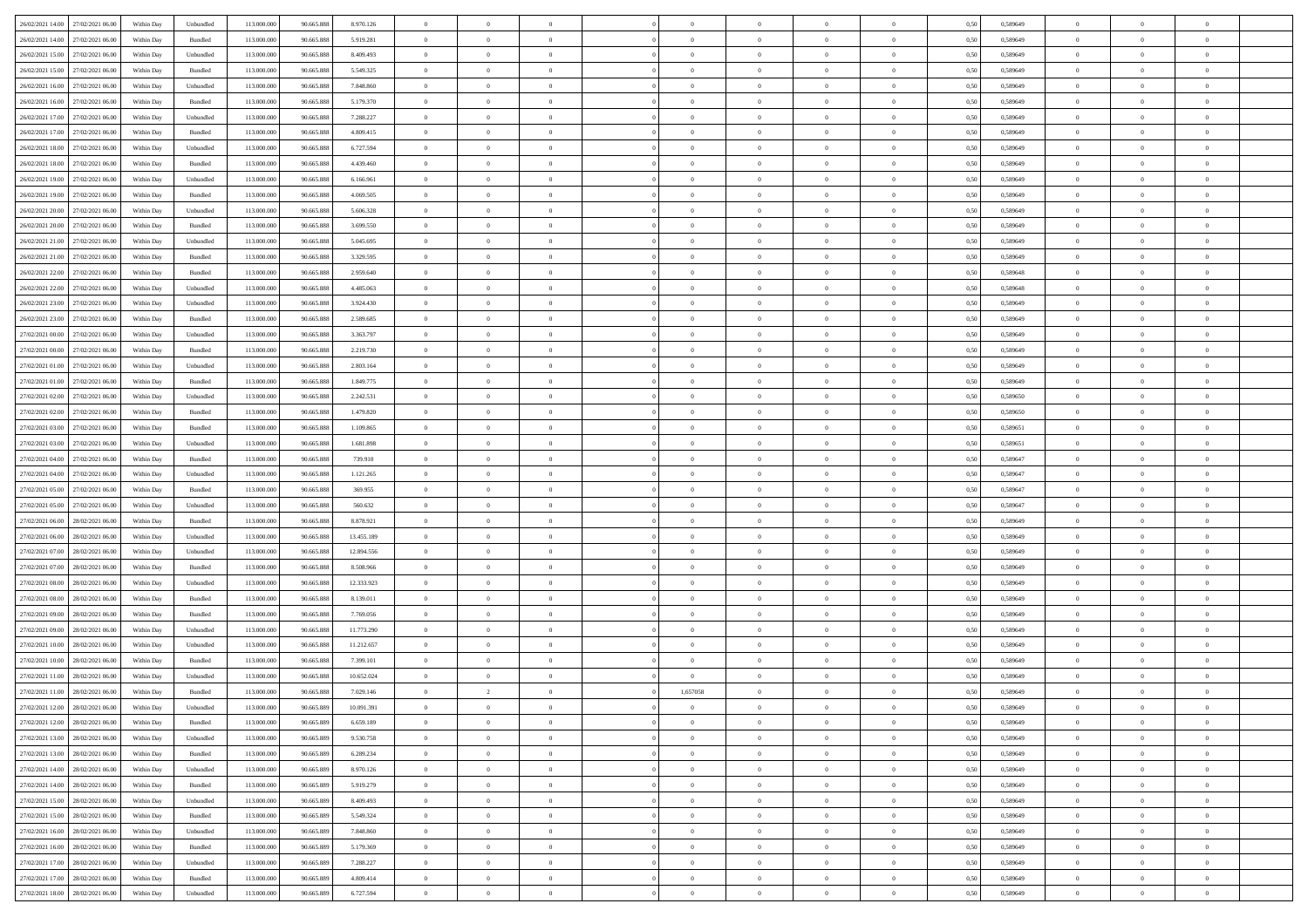| 26/02/2021 14:00 27/02/2021 06:00    | Within Day | Unbundled                   | 113.000.000 | 90.665.888 | 8.970.126  | $\overline{0}$ | $\overline{0}$ |                | $\overline{0}$ | $\theta$       |                | $\theta$       | 0,50 | 0,589649 | $\theta$       | $\theta$       | $\overline{0}$ |  |
|--------------------------------------|------------|-----------------------------|-------------|------------|------------|----------------|----------------|----------------|----------------|----------------|----------------|----------------|------|----------|----------------|----------------|----------------|--|
| 26/02/2021 14:00<br>27/02/2021 06.00 | Within Day | Bundled                     | 113.000.00  | 90.665.888 | 5.919.281  | $\bf{0}$       | $\bf{0}$       | $\bf{0}$       | $\bf{0}$       | $\overline{0}$ | $\overline{0}$ | $\bf{0}$       | 0,50 | 0,589649 | $\,$ 0 $\,$    | $\bf{0}$       | $\overline{0}$ |  |
| 26/02/2021 15:00<br>27/02/2021 06:00 | Within Day | Unbundled                   | 113,000,000 | 90.665.888 | 8.409.493  | $\overline{0}$ | $\bf{0}$       | $\overline{0}$ | $\bf{0}$       | $\bf{0}$       | $\overline{0}$ | $\bf{0}$       | 0.50 | 0.589649 | $\bf{0}$       | $\overline{0}$ | $\overline{0}$ |  |
| 26/02/2021 15:00<br>27/02/2021 06:00 |            |                             | 113.000.000 |            |            | $\overline{0}$ | $\overline{0}$ | $\overline{0}$ | $\theta$       | $\theta$       | $\overline{0}$ |                |      |          | $\theta$       | $\theta$       | $\overline{0}$ |  |
|                                      | Within Day | Bundled                     |             | 90.665.888 | 5.549.325  |                |                |                |                |                |                | $\bf{0}$       | 0,50 | 0,589649 |                |                |                |  |
| 26/02/2021 16:00<br>27/02/2021 06.00 | Within Day | Unbundled                   | 113.000.00  | 90.665.888 | 7.848.860  | $\bf{0}$       | $\overline{0}$ | $\bf{0}$       | $\overline{0}$ | $\bf{0}$       | $\overline{0}$ | $\bf{0}$       | 0,50 | 0,589649 | $\,$ 0 $\,$    | $\bf{0}$       | $\overline{0}$ |  |
| 26/02/2021 16:00<br>27/02/2021 06:00 | Within Day | Bundled                     | 113,000,000 | 90.665.888 | 5.179.370  | $\overline{0}$ | $\bf{0}$       | $\overline{0}$ | $\bf{0}$       | $\overline{0}$ | $\overline{0}$ | $\bf{0}$       | 0.50 | 0.589649 | $\,$ 0 $\,$    | $\theta$       | $\overline{0}$ |  |
| 26/02/2021 17:00<br>27/02/2021 06:00 | Within Day | Unbundled                   | 113.000.000 | 90.665.888 | 7.288.227  | $\overline{0}$ | $\overline{0}$ | $\overline{0}$ | $\overline{0}$ | $\overline{0}$ | $\overline{0}$ | $\bf{0}$       | 0,50 | 0,589649 | $\,$ 0 $\,$    | $\theta$       | $\overline{0}$ |  |
|                                      |            |                             |             |            |            |                |                |                |                |                |                |                |      |          |                |                |                |  |
| 26/02/2021 17:00<br>27/02/2021 06.00 | Within Day | Bundled                     | 113.000.00  | 90.665.888 | 4.809.415  | $\bf{0}$       | $\bf{0}$       | $\bf{0}$       | $\overline{0}$ | $\overline{0}$ | $\overline{0}$ | $\bf{0}$       | 0,50 | 0,589649 | $\,$ 0 $\,$    | $\bf{0}$       | $\overline{0}$ |  |
| 26/02/2021 18:00<br>27/02/2021 06:00 | Within Day | Unbundled                   | 113,000,000 | 90.665.888 | 6.727.594  | $\overline{0}$ | $\bf{0}$       | $\overline{0}$ | $\bf{0}$       | $\overline{0}$ | $\overline{0}$ | $\bf{0}$       | 0.50 | 0.589649 | $\bf{0}$       | $\overline{0}$ | $\overline{0}$ |  |
| 26/02/2021 18:00<br>27/02/2021 06:00 | Within Day | Bundled                     | 113.000.000 | 90.665.888 | 4.439.460  | $\bf{0}$       | $\bf{0}$       | $\overline{0}$ | $\overline{0}$ | $\overline{0}$ | $\overline{0}$ | $\bf{0}$       | 0,50 | 0,589649 | $\,$ 0 $\,$    | $\,$ 0 $\,$    | $\overline{0}$ |  |
| 26/02/2021 19:00<br>27/02/2021 06.00 | Within Day | Unbundled                   | 113.000.00  | 90.665.888 | 6.166.961  | $\bf{0}$       | $\bf{0}$       | $\bf{0}$       | $\bf{0}$       | $\overline{0}$ | $\overline{0}$ | $\bf{0}$       | 0,50 | 0,589649 | $\,$ 0 $\,$    | $\bf{0}$       | $\overline{0}$ |  |
|                                      |            |                             |             |            |            |                |                |                |                |                |                |                |      |          |                |                |                |  |
| 26/02/2021 19:00<br>27/02/2021 06:00 | Within Day | Bundled                     | 113,000,000 | 90.665.888 | 4.069.505  | $\overline{0}$ | $\bf{0}$       | $\overline{0}$ | $\overline{0}$ | $\overline{0}$ | $\overline{0}$ | $\bf{0}$       | 0.50 | 0.589649 | $\bf{0}$       | $\,$ 0 $\,$    | $\,$ 0         |  |
| 26/02/2021 20:00<br>27/02/2021 06:00 | Within Day | Unbundled                   | 113.000.000 | 90.665.888 | 5.606.328  | $\overline{0}$ | $\overline{0}$ | $\overline{0}$ | $\theta$       | $\theta$       | $\overline{0}$ | $\bf{0}$       | 0,50 | 0,589649 | $\,$ 0 $\,$    | $\theta$       | $\overline{0}$ |  |
| 26/02/2021 20:00<br>27/02/2021 06.00 | Within Day | Bundled                     | 113.000.00  | 90.665.888 | 3.699.550  | $\bf{0}$       | $\overline{0}$ | $\bf{0}$       | $\bf{0}$       | $\bf{0}$       | $\overline{0}$ | $\bf{0}$       | 0,50 | 0,589649 | $\,$ 0 $\,$    | $\bf{0}$       | $\overline{0}$ |  |
| 26/02/2021 21:00<br>27/02/2021 06:00 | Within Day | Unbundled                   | 113,000,000 | 90.665.888 | 5.045.695  | $\overline{0}$ | $\bf{0}$       | $\overline{0}$ | $\bf{0}$       | $\overline{0}$ | $\overline{0}$ | $\bf{0}$       | 0.50 | 0.589649 | $\,$ 0 $\,$    | $\theta$       | $\overline{0}$ |  |
| 26/02/2021 21:00<br>27/02/2021 06:00 | Within Day | Bundled                     | 113.000.000 | 90.665.888 | 3.329.595  | $\overline{0}$ | $\overline{0}$ | $\overline{0}$ | $\overline{0}$ | $\overline{0}$ | $\overline{0}$ | $\bf{0}$       | 0,50 | 0,589649 | $\theta$       | $\theta$       | $\overline{0}$ |  |
|                                      |            |                             |             |            |            |                |                |                |                |                |                |                |      |          |                |                |                |  |
| 26/02/2021 22:00<br>27/02/2021 06.00 | Within Day | Bundled                     | 113.000.00  | 90.665.888 | 2.959.640  | $\bf{0}$       | $\bf{0}$       | $\bf{0}$       | $\overline{0}$ | $\overline{0}$ | $\overline{0}$ | $\bf{0}$       | 0,50 | 0,589648 | $\,$ 0 $\,$    | $\bf{0}$       | $\overline{0}$ |  |
| 26/02/2021 22:00<br>27/02/2021 06:00 | Within Day | Unbundled                   | 113,000,000 | 90.665.888 | 4.485,063  | $\overline{0}$ | $\bf{0}$       | $\overline{0}$ | $\bf{0}$       | $\overline{0}$ | $\overline{0}$ | $\bf{0}$       | 0.50 | 0.589648 | $\bf{0}$       | $\overline{0}$ | $\bf{0}$       |  |
| 26/02/2021 23:00<br>27/02/2021 06:00 | Within Day | Unbundled                   | 113.000.000 | 90.665.888 | 3.924.430  | $\overline{0}$ | $\bf{0}$       | $\overline{0}$ | $\overline{0}$ | $\overline{0}$ | $\overline{0}$ | $\bf{0}$       | 0,50 | 0,589649 | $\,$ 0 $\,$    | $\bf{0}$       | $\overline{0}$ |  |
| 26/02/2021 23:00<br>27/02/2021 06.00 | Within Day | Bundled                     | 113.000.00  | 90.665.888 | 2.589.685  | $\bf{0}$       | $\bf{0}$       | $\bf{0}$       | $\bf{0}$       | $\overline{0}$ | $\overline{0}$ | $\bf{0}$       | 0,50 | 0,589649 | $\,$ 0 $\,$    | $\bf{0}$       | $\overline{0}$ |  |
|                                      |            |                             |             |            |            |                |                |                |                |                |                |                |      |          |                |                |                |  |
| 27/02/2021 00:00<br>27/02/2021 06:00 | Within Day | Unbundled                   | 113,000,000 | 90.665.888 | 3.363.797  | $\overline{0}$ | $\bf{0}$       | $\overline{0}$ | $\overline{0}$ | $\bf{0}$       | $\overline{0}$ | $\bf{0}$       | 0.50 | 0.589649 | $\bf{0}$       | $\overline{0}$ | $\,$ 0         |  |
| 27/02/2021 00:00<br>27/02/2021 06:00 | Within Day | Bundled                     | 113.000.000 | 90.665.888 | 2.219.730  | $\overline{0}$ | $\overline{0}$ | $\overline{0}$ | $\theta$       | $\theta$       | $\overline{0}$ | $\bf{0}$       | 0,50 | 0,589649 | $\theta$       | $\theta$       | $\overline{0}$ |  |
| 27/02/2021 01:00<br>27/02/2021 06.00 | Within Day | Unbundled                   | 113.000.00  | 90.665.888 | 2.803.164  | $\bf{0}$       | $\bf{0}$       | $\bf{0}$       | $\bf{0}$       | $\overline{0}$ | $\overline{0}$ | $\bf{0}$       | 0,50 | 0,589649 | $\,$ 0 $\,$    | $\bf{0}$       | $\overline{0}$ |  |
| 27/02/2021 01:00<br>27/02/2021 06:00 | Within Day | Bundled                     | 113,000,000 | 90.665.888 | 1.849.775  | $\overline{0}$ | $\bf{0}$       | $\overline{0}$ | $\bf{0}$       | $\overline{0}$ | $\overline{0}$ | $\bf{0}$       | 0.50 | 0.589649 | $\,$ 0 $\,$    | $\theta$       | $\overline{0}$ |  |
| 27/02/2021 02:00<br>27/02/2021 06:00 | Within Day | Unbundled                   | 113.000.000 | 90.665.888 | 2.242.531  | $\overline{0}$ | $\overline{0}$ | $\overline{0}$ | $\overline{0}$ | $\overline{0}$ | $\overline{0}$ | $\bf{0}$       | 0,50 | 0,589650 | $\,$ 0 $\,$    | $\theta$       | $\overline{0}$ |  |
|                                      |            |                             |             |            |            |                |                |                |                |                |                |                |      |          |                |                |                |  |
| 27/02/2021 02:00<br>27/02/2021 06.00 | Within Day | Bundled                     | 113.000.00  | 90.665.888 | 1.479.820  | $\bf{0}$       | $\overline{0}$ | $\bf{0}$       | $\overline{0}$ | $\overline{0}$ | $\overline{0}$ | $\bf{0}$       | 0,50 | 0,589650 | $\,$ 0 $\,$    | $\bf{0}$       | $\overline{0}$ |  |
| 27/02/2021 03:00<br>27/02/2021 06:00 | Within Day | Bundled                     | 113,000,000 | 90.665.888 | 1.109.865  | $\overline{0}$ | $\bf{0}$       | $\overline{0}$ | $\bf{0}$       | $\overline{0}$ | $\overline{0}$ | $\bf{0}$       | 0.50 | 0.589651 | $\bf{0}$       | $\overline{0}$ | $\overline{0}$ |  |
| 27/02/2021 03:00<br>27/02/2021 06:00 | Within Day | Unbundled                   | 113.000.000 | 90.665.888 | 1.681.898  | $\overline{0}$ | $\bf{0}$       | $\overline{0}$ | $\overline{0}$ | $\overline{0}$ | $\overline{0}$ | $\bf{0}$       | 0,50 | 0,589651 | $\theta$       | $\theta$       | $\overline{0}$ |  |
| 27/02/2021 04:00<br>27/02/2021 06.00 | Within Day | Bundled                     | 113.000.00  | 90.665.888 | 739.910    | $\bf{0}$       | $\bf{0}$       | $\bf{0}$       | $\bf{0}$       | $\overline{0}$ | $\overline{0}$ | $\bf{0}$       | 0,50 | 0,589647 | $\,$ 0 $\,$    | $\bf{0}$       | $\overline{0}$ |  |
|                                      |            |                             |             |            |            |                |                |                |                |                |                |                |      |          |                |                |                |  |
| 27/02/2021 04:00<br>27/02/2021 06:00 | Within Day | Unbundled                   | 113,000,000 | 90.665.888 | 1.121.265  | $\overline{0}$ | $\bf{0}$       | $\overline{0}$ | $\overline{0}$ | $\bf{0}$       | $\overline{0}$ | $\bf{0}$       | 0.50 | 0.589647 | $\bf{0}$       | $\,$ 0 $\,$    | $\,$ 0         |  |
| 27/02/2021 05:00<br>27/02/2021 06:00 | Within Day | Bundled                     | 113.000.000 | 90.665.888 | 369.955    | $\overline{0}$ | $\overline{0}$ | $\overline{0}$ | $\overline{0}$ | $\overline{0}$ | $\overline{0}$ | $\bf{0}$       | 0.50 | 0.589647 | $\theta$       | $\theta$       | $\overline{0}$ |  |
| 27/02/2021 05:00<br>27/02/2021 06.00 | Within Day | Unbundled                   | 113.000.00  | 90.665.888 | 560.632    | $\bf{0}$       | $\bf{0}$       | $\bf{0}$       | $\bf{0}$       | $\overline{0}$ | $\overline{0}$ | $\bf{0}$       | 0,50 | 0,589647 | $\,$ 0 $\,$    | $\bf{0}$       | $\overline{0}$ |  |
| 27/02/2021 06:00<br>28/02/2021 06:00 | Within Day | Bundled                     | 113,000,000 | 90.665.888 | 8.878.921  | $\overline{0}$ | $\bf{0}$       | $\overline{0}$ | $\bf{0}$       | $\overline{0}$ | $\overline{0}$ | $\bf{0}$       | 0.50 | 0.589649 | $\,$ 0 $\,$    | $\bf{0}$       | $\overline{0}$ |  |
| 27/02/2021 06:00<br>28/02/2021 06:00 | Within Dav | Unbundled                   | 113.000.000 | 90.665.888 | 13.455.189 | $\overline{0}$ | $\overline{0}$ | $\overline{0}$ | $\overline{0}$ | $\overline{0}$ | $\overline{0}$ | $\bf{0}$       | 0.50 | 0.589649 | $\theta$       | $\theta$       | $\overline{0}$ |  |
|                                      |            |                             |             |            |            |                |                |                |                |                |                |                |      |          |                |                |                |  |
| 27/02/2021 07:00<br>28/02/2021 06:00 | Within Day | Unbundled                   | 113.000.00  | 90.665.888 | 12.894.556 | $\bf{0}$       | $\bf{0}$       | $\bf{0}$       | $\bf{0}$       | $\overline{0}$ | $\overline{0}$ | $\bf{0}$       | 0,50 | 0,589649 | $\,$ 0 $\,$    | $\bf{0}$       | $\overline{0}$ |  |
| 27/02/2021 07:00<br>28/02/2021 06:00 | Within Day | Bundled                     | 113,000,000 | 90.665.888 | 8.508.966  | $\overline{0}$ | $\bf{0}$       | $\overline{0}$ | $\bf{0}$       | $\overline{0}$ | $\overline{0}$ | $\bf{0}$       | 0.50 | 0.589649 | $\bf{0}$       | $\overline{0}$ | $\overline{0}$ |  |
| 27/02/2021 08:00<br>28/02/2021 06:00 | Within Dav | Unbundled                   | 113.000.000 | 90.665.888 | 12.333.923 | $\overline{0}$ | $\overline{0}$ | $\overline{0}$ | $\overline{0}$ | $\overline{0}$ | $\overline{0}$ | $\bf{0}$       | 0.50 | 0.589649 | $\theta$       | $\theta$       | $\overline{0}$ |  |
| 27/02/2021 08:00<br>28/02/2021 06:00 | Within Day | Bundled                     | 113.000.00  | 90.665.888 | 8.139.011  | $\bf{0}$       | $\bf{0}$       | $\bf{0}$       | $\bf{0}$       | $\overline{0}$ | $\overline{0}$ | $\bf{0}$       | 0,50 | 0,589649 | $\,$ 0 $\,$    | $\bf{0}$       | $\overline{0}$ |  |
|                                      |            |                             |             |            |            |                |                |                |                |                |                |                |      |          |                |                |                |  |
| 27/02/2021 09:00<br>28/02/2021 06:00 | Within Day | Bundled                     | 113,000,000 | 90.665.888 | 7.769.056  | $\overline{0}$ | $\bf{0}$       | $\overline{0}$ | $\overline{0}$ | $\bf{0}$       | $\overline{0}$ | $\bf{0}$       | 0.50 | 0.589649 | $\bf{0}$       | $\,$ 0 $\,$    | $\overline{0}$ |  |
| 27/02/2021 09:00<br>28/02/2021 06:00 | Within Dav | Unbundled                   | 113.000.000 | 90.665.888 | 11.773.290 | $\overline{0}$ | $\overline{0}$ | $\overline{0}$ | $\overline{0}$ | $\overline{0}$ | $\overline{0}$ | $\bf{0}$       | 0.50 | 0.589649 | $\theta$       | $\theta$       | $\overline{0}$ |  |
| 27/02/2021 10:00<br>28/02/2021 06:00 | Within Day | Unbundled                   | 113.000.00  | 90.665.888 | 11.212.657 | $\bf{0}$       | $\bf{0}$       | $\bf{0}$       | $\bf{0}$       | $\overline{0}$ | $\overline{0}$ | $\bf{0}$       | 0,50 | 0,589649 | $\,$ 0 $\,$    | $\bf{0}$       | $\overline{0}$ |  |
| 27/02/2021 10:00<br>28/02/2021 06:00 | Within Day | Bundled                     | 113,000,000 | 90.665.888 | 7.399.101  | $\overline{0}$ | $\bf{0}$       | $\overline{0}$ | $\bf{0}$       | $\overline{0}$ | $\overline{0}$ | $\bf{0}$       | 0.50 | 0.589649 | $\bf{0}$       | $\theta$       | $\overline{0}$ |  |
| 27/02/2021 11:00<br>28/02/2021 06:00 | Within Dav | Unbundled                   | 113.000.000 | 90.665.888 | 10.652.024 | $\overline{0}$ | $\overline{0}$ | $\Omega$       | $\overline{0}$ | $\theta$       | $\overline{0}$ | $\overline{0}$ | 0.5( | 0.589649 | $\theta$       | $\theta$       | $\overline{0}$ |  |
|                                      |            |                             |             |            |            |                |                |                |                |                |                |                |      |          |                |                |                |  |
| 27/02/2021 11:00<br>28/02/2021 06:00 | Within Day | Bundled                     | 113.000.000 | 90.665.888 | 7.029.146  | $\bf{0}$       | $\overline{2}$ | $\bf{0}$       | 1,657058       | $\bf{0}$       | $\overline{0}$ | $\bf{0}$       | 0,50 | 0,589649 | $\,$ 0 $\,$    | $\overline{0}$ | $\overline{0}$ |  |
| 27/02/2021 12:00 28/02/2021 06:00    | Within Day | $\ensuremath{\mathsf{Unb}}$ | 113.000.000 | 90.665.889 | 10 091 391 | $\bf{0}$       | $\bf{0}$       |                | $\Omega$       | $\bf{0}$       |                |                | 0,50 | 0.589649 | $\bf{0}$       | $\bf{0}$       |                |  |
| 27/02/2021 12:00 28/02/2021 06:00    | Within Day | Bundled                     | 113.000.000 | 90.665.889 | 6.659.189  | $\overline{0}$ | $\theta$       | $\Omega$       | $\theta$       | $\overline{0}$ | $\overline{0}$ | $\bf{0}$       | 0,50 | 0,589649 | $\theta$       | $\theta$       | $\overline{0}$ |  |
| 27/02/2021 13:00<br>28/02/2021 06:00 | Within Day | Unbundled                   | 113.000.00  | 90.665.889 | 9.530.758  | $\overline{0}$ | $\bf{0}$       | $\overline{0}$ | $\overline{0}$ | $\bf{0}$       | $\overline{0}$ | $\bf{0}$       | 0,50 | 0,589649 | $\bf{0}$       | $\overline{0}$ | $\bf{0}$       |  |
|                                      |            | Bundled                     | 113,000,000 | 90,665,889 |            |                |                |                |                |                | $\overline{0}$ |                | 0.50 | 0.589649 | $\overline{0}$ |                |                |  |
| 27/02/2021 13:00 28/02/2021 06:00    | Within Day |                             |             |            | 6.289.234  | $\overline{0}$ | $\bf{0}$       | $\overline{0}$ | $\overline{0}$ | $\mathbf{0}$   |                | $\,$ 0 $\,$    |      |          |                | $\bf{0}$       | $\overline{0}$ |  |
| 27/02/2021 14:00 28/02/2021 06:00    | Within Dav | Unbundled                   | 113.000.000 | 90.665.889 | 8.970.126  | $\overline{0}$ | $\overline{0}$ | $\overline{0}$ | $\overline{0}$ | $\overline{0}$ | $\overline{0}$ | $\bf{0}$       | 0,50 | 0.589649 | $\theta$       | $\theta$       | $\overline{0}$ |  |
| 27/02/2021 14:00<br>28/02/2021 06:00 | Within Day | Bundled                     | 113.000.000 | 90.665.889 | 5.919.279  | $\overline{0}$ | $\bf{0}$       | $\overline{0}$ | $\overline{0}$ | $\bf{0}$       | $\overline{0}$ | $\bf{0}$       | 0,50 | 0,589649 | $\bf{0}$       | $\overline{0}$ | $\overline{0}$ |  |
| 27/02/2021 15:00<br>28/02/2021 06:00 | Within Day | Unbundled                   | 113,000,000 | 90,665,889 | 8.409.493  | $\overline{0}$ | $\bf{0}$       | $\overline{0}$ | $\overline{0}$ | $\overline{0}$ | $\overline{0}$ | $\bf{0}$       | 0.50 | 0.589649 | $\,$ 0 $\,$    | $\overline{0}$ | $\,$ 0         |  |
| 27/02/2021 15:00<br>28/02/2021 06:00 | Within Dav | Bundled                     | 113.000.000 | 90.665.889 | 5.549.324  | $\overline{0}$ | $\overline{0}$ | $\overline{0}$ | $\overline{0}$ | $\overline{0}$ | $\overline{0}$ | $\bf{0}$       | 0,50 | 0.589649 | $\overline{0}$ | $\theta$       | $\overline{0}$ |  |
|                                      |            |                             |             |            |            |                |                |                |                |                |                |                |      |          |                |                |                |  |
| 27/02/2021 16:00<br>28/02/2021 06:00 | Within Day | Unbundled                   | 113.000.00  | 90.665.889 | 7.848.860  | $\overline{0}$ | $\overline{0}$ | $\overline{0}$ | $\overline{0}$ | $\overline{0}$ | $\overline{0}$ | $\bf{0}$       | 0,50 | 0,589649 | $\bf{0}$       | $\overline{0}$ | $\,$ 0         |  |
| 27/02/2021 16:00 28/02/2021 06:00    | Within Day | Bundled                     | 113,000,000 | 90,665,889 | 5.179.369  | $\overline{0}$ | $\overline{0}$ | $\overline{0}$ | $\overline{0}$ | $\overline{0}$ | $\overline{0}$ | $\bf{0}$       | 0.50 | 0.589649 | $\mathbf{0}$   | $\bf{0}$       | $\,$ 0         |  |
| 27/02/2021 17:00 28/02/2021 06:00    | Within Dav | Unbundled                   | 113.000.000 | 90.665.889 | 7.288.227  | $\overline{0}$ | $\overline{0}$ | $\overline{0}$ | $\overline{0}$ | $\overline{0}$ | $\overline{0}$ | $\bf{0}$       | 0,50 | 0.589649 | $\overline{0}$ | $\theta$       | $\overline{0}$ |  |
| 27/02/2021 17:00<br>28/02/2021 06:00 | Within Day | Bundled                     | 113.000.00  | 90.665.889 | 4.809.414  | $\overline{0}$ | $\bf{0}$       | $\overline{0}$ | $\bf{0}$       | $\overline{0}$ | $\bf{0}$       | $\bf{0}$       | 0,50 | 0,589649 | $\bf{0}$       | $\,$ 0 $\,$    | $\bf{0}$       |  |
|                                      |            |                             |             |            |            |                |                |                |                |                |                |                |      |          |                |                |                |  |
| 27/02/2021 18:00 28/02/2021 06:00    | Within Day | Unbundled                   | 113.000.000 | 90.665.889 | 6.727.594  | $\overline{0}$ | $\bf{0}$       | $\overline{0}$ | $\overline{0}$ | $\,$ 0 $\,$    | $\overline{0}$ | $\bf{0}$       | 0,50 | 0,589649 | $\overline{0}$ | $\,$ 0 $\,$    | $\,$ 0 $\,$    |  |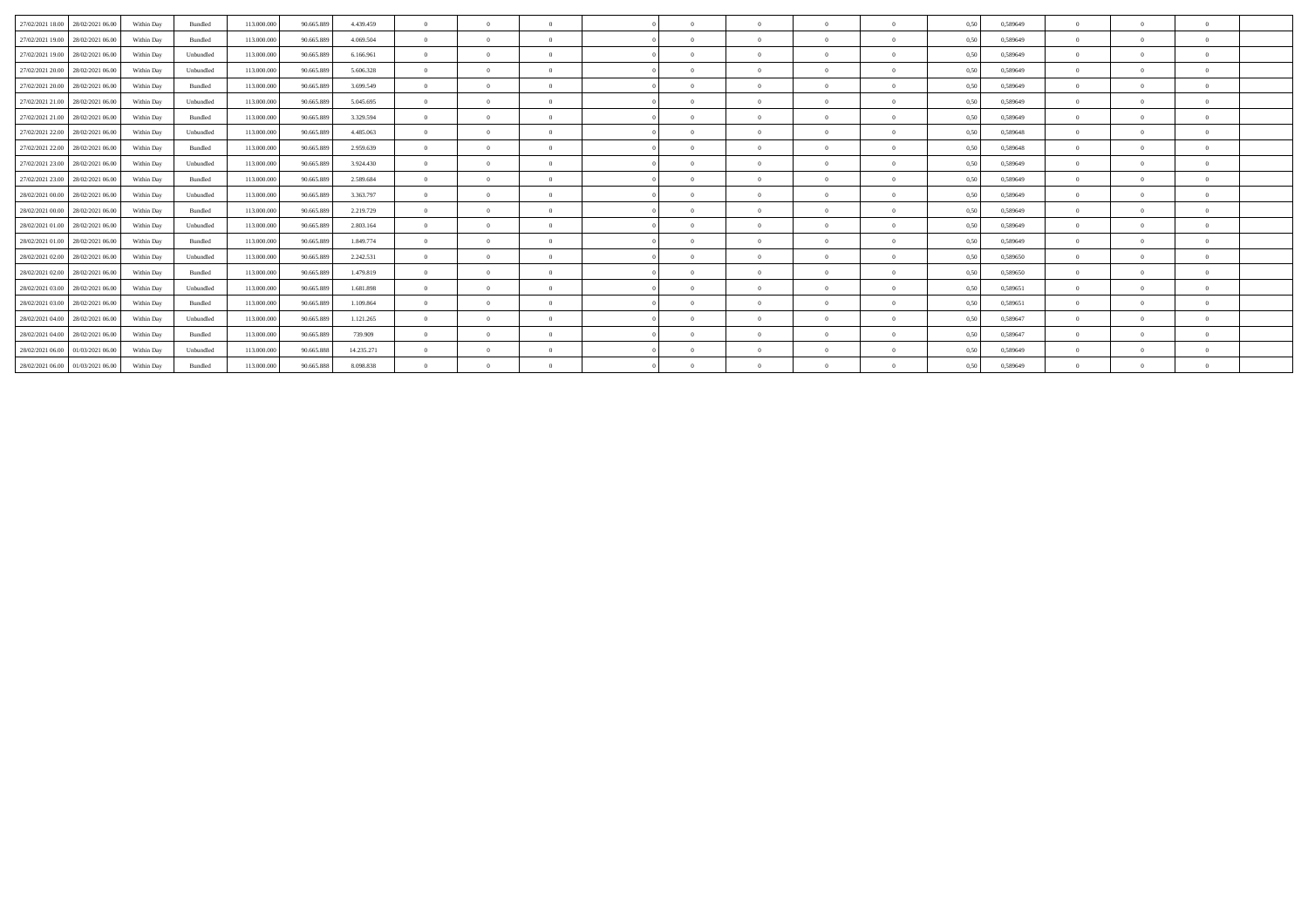| 27/02/2021 18:00                  | 28/02/2021 06:00 | Within Day | Bundled   | 113,000,000 | 90,665,889 | 4.439.459  | $\Omega$       | $\theta$ | $\Omega$ | $\sqrt{2}$ | $\theta$ | $\Omega$ | $\Omega$     | 0,50 | 0,589649 | $\Omega$       |              |  |
|-----------------------------------|------------------|------------|-----------|-------------|------------|------------|----------------|----------|----------|------------|----------|----------|--------------|------|----------|----------------|--------------|--|
| 27/02/2021 19:00                  | 28/02/2021 06:00 | Within Day | Bundled   | 113,000,000 | 90.665.889 | 4.069.504  | $\theta$       | $\theta$ | $\Omega$ | $\sqrt{2}$ | $\theta$ | $\Omega$ |              | 0,50 | 0.589649 | $\Omega$       |              |  |
| 27/02/2021 19:00                  | 28/02/2021 06:00 | Within Day | Unbundled | 113,000,000 | 90.665.889 | 6.166.961  | $\Omega$       | $\Omega$ | $\Omega$ |            | $\Omega$ |          |              | 0,50 | 0,589649 | $^{\circ}$     |              |  |
| 27/02/2021 20:00                  | 28/02/2021 06:00 | Within Day | Unbundled | 113,000,000 | 90.665.889 | 5.606.328  | $\Omega$       | $\Omega$ | $\Omega$ |            | $\Omega$ |          |              | 0.50 | 0.589649 | $^{\circ}$     |              |  |
| 27/02/2021 20:00                  | 28/02/2021 06:00 | Within Day | Bundled   | 113.000.000 | 90.665.889 | 3.699.549  | $\Omega$       | $\Omega$ | $\Omega$ | $\sqrt{2}$ | $\theta$ | $\Omega$ | $\mathbf{a}$ | 0,50 | 0,589649 | $\Omega$       |              |  |
| 27/02/2021 21:00                  | 28/02/2021 06:00 | Within Day | Unbundled | 113.000.000 | 90.665.889 | 5.045.695  | $\Omega$       | $\Omega$ | $\Omega$ | $\Omega$   | $\Omega$ | $\Omega$ |              | 0,50 | 0.589649 | $^{\circ}$     |              |  |
| 27/02/2021 21:00                  | 28/02/2021 06:00 | Within Day | Bundled   | 113,000,000 | 90.665.889 | 3.329.594  | $\theta$       | $\Omega$ | $\Omega$ | $\Omega$   | $\theta$ | $\Omega$ | $\Omega$     | 0,50 | 0.589649 | $\Omega$       |              |  |
| 27/02/2021 22.00                  | 28/02/2021 06:00 | Within Day | Unbundled | 113.000.000 | 90.665.889 | 4.485.063  | $\Omega$       | $\Omega$ | $\Omega$ | $\Omega$   | - 0      |          |              | 0,50 | 0,589648 | $^{\circ}$     |              |  |
| 27/02/2021 22.00                  | 28/02/2021 06:00 | Within Day | Bundled   | 113,000,000 | 90.665.889 | 2.959.639  | $\Omega$       | $\theta$ | $\Omega$ | $\sqrt{2}$ | $\theta$ | $\Omega$ | $\Omega$     | 0,50 | 0.589648 | $\Omega$       | $\mathbf{a}$ |  |
| 27/02/2021 23:00                  | 28/02/2021 06:00 | Within Day | Unbundled | 113,000,000 | 90.665.889 | 3.924.430  | $\overline{0}$ | $\theta$ | $\Omega$ | $\sqrt{2}$ | $\theta$ | $\Omega$ | $\mathbf{a}$ | 0,50 | 0.589649 | $\overline{0}$ | $\sqrt{2}$   |  |
| 27/02/2021 23:00                  | 28/02/2021 06:00 | Within Day | Bundled   | 113,000,000 | 90.665.889 | 2.589.684  | $\Omega$       | $\Omega$ | $\Omega$ | $\Omega$   | $\theta$ | $\Omega$ |              | 0,50 | 0.589649 | $^{\circ}$     |              |  |
| 28/02/2021 00:00                  | 28/02/2021 06:00 | Within Dav | Unbundled | 113,000,000 | 90,665,889 | 3.363.797  | $\theta$       | $\Omega$ | $\Omega$ |            | $\Omega$ |          |              | 0.50 | 0.589649 | $\Omega$       |              |  |
| 28/02/2021 00:00                  | 28/02/2021 06:00 | Within Day | Bundled   | 113,000,000 | 90.665.889 | 2.219.729  | $\Omega$       | $\Omega$ | $\Omega$ | $\sqrt{2}$ | - 0      | $\Omega$ |              | 0,50 | 0.589649 | $\Omega$       |              |  |
| 28/02/2021 01:00                  | 28/02/2021 06:00 | Within Day | Unbundled | 113,000,000 | 90.665.889 | 2.803.164  | $\Omega$       | $\Omega$ | $\Omega$ | $\sqrt{2}$ | $\Omega$ | $\Omega$ |              | 0.50 | 0.589649 | $^{\circ}$     |              |  |
| 28/02/2021 01:00 28/02/2021 06:00 |                  | Within Day | Bundled   | 113,000,000 | 90.665.889 | 1.849.774  | $\Omega$       | $\theta$ | $\Omega$ | $\sqrt{2}$ | $\Omega$ | $\Omega$ | $\Omega$     | 0.50 | 0.589649 | $^{\circ}$     |              |  |
| 28/02/2021 02:00                  | 28/02/2021 06:00 | Within Day | Unbundled | 113,000,000 | 90.665.889 | 2.242.531  | $\Omega$       | $\Omega$ | $\Omega$ | $\Omega$   | $\theta$ | $\Omega$ | $\Omega$     | 0,50 | 0.589650 | $\overline{0}$ |              |  |
| 28/02/2021 02:00                  | 28/02/2021 06:00 | Within Dav | Bundled   | 113,000,000 | 90.665.889 | 1.479.819  | $\theta$       | $\Omega$ | $\Omega$ |            | $\Omega$ | $\Omega$ |              | 0.50 | 0.589650 | $\Omega$       |              |  |
| 28/02/2021 03:00                  | 28/02/2021 06:00 | Within Dav | Unbundled | 113,000,000 | 90.665.889 | 1.681.898  | $\Omega$       | $\Omega$ | $\Omega$ | $\Omega$   | $\theta$ | $\Omega$ | $\Omega$     | 0,50 | 0.589651 | $\Omega$       |              |  |
| 28/02/2021 03:00                  | 28/02/2021 06:00 | Within Day | Bundled   | 113,000,000 | 90.665.889 | 1.109.864  | $\Omega$       | $\Omega$ | $\Omega$ | $\sqrt{2}$ | $\theta$ | $\Omega$ |              | 0,50 | 0.589651 | $\Omega$       |              |  |
| 28/02/2021 04:00                  | 28/02/2021 06:00 | Within Day | Unbundled | 113,000,000 | 90.665.889 | 1.121.265  | $\Omega$       | $\theta$ | $\Omega$ | $\sqrt{2}$ | $\theta$ | $\Omega$ |              | 0.50 | 0.589647 | $\Omega$       |              |  |
| 28/02/2021 04:00                  | 28/02/2021 06:00 | Within Day | Bundled   | 113.000.000 | 90.665.889 | 739.909    | $\Omega$       | $\Omega$ | $\Omega$ | $\Omega$   | $\Omega$ |          |              | 0,50 | 0.589647 | $\Omega$       |              |  |
| 28/02/2021 06:00                  | 01/03/2021 06:00 | Within Day | Unbundled | 113.000.000 | 90.665.888 | 14.235.271 | $\Omega$       | $\Omega$ | $\Omega$ |            | - 0      |          |              | 0.50 | 0.589649 | $^{\circ}$     |              |  |
| 28/02/2021 06:00 01/03/2021 06:00 |                  | Within Day | Bundled   | 113.000.000 | 90.665.888 | 8.098.838  | $\Omega$       | $\Omega$ | $\Omega$ |            | $\Omega$ |          |              | 0,50 | 0.589649 | $\Omega$       |              |  |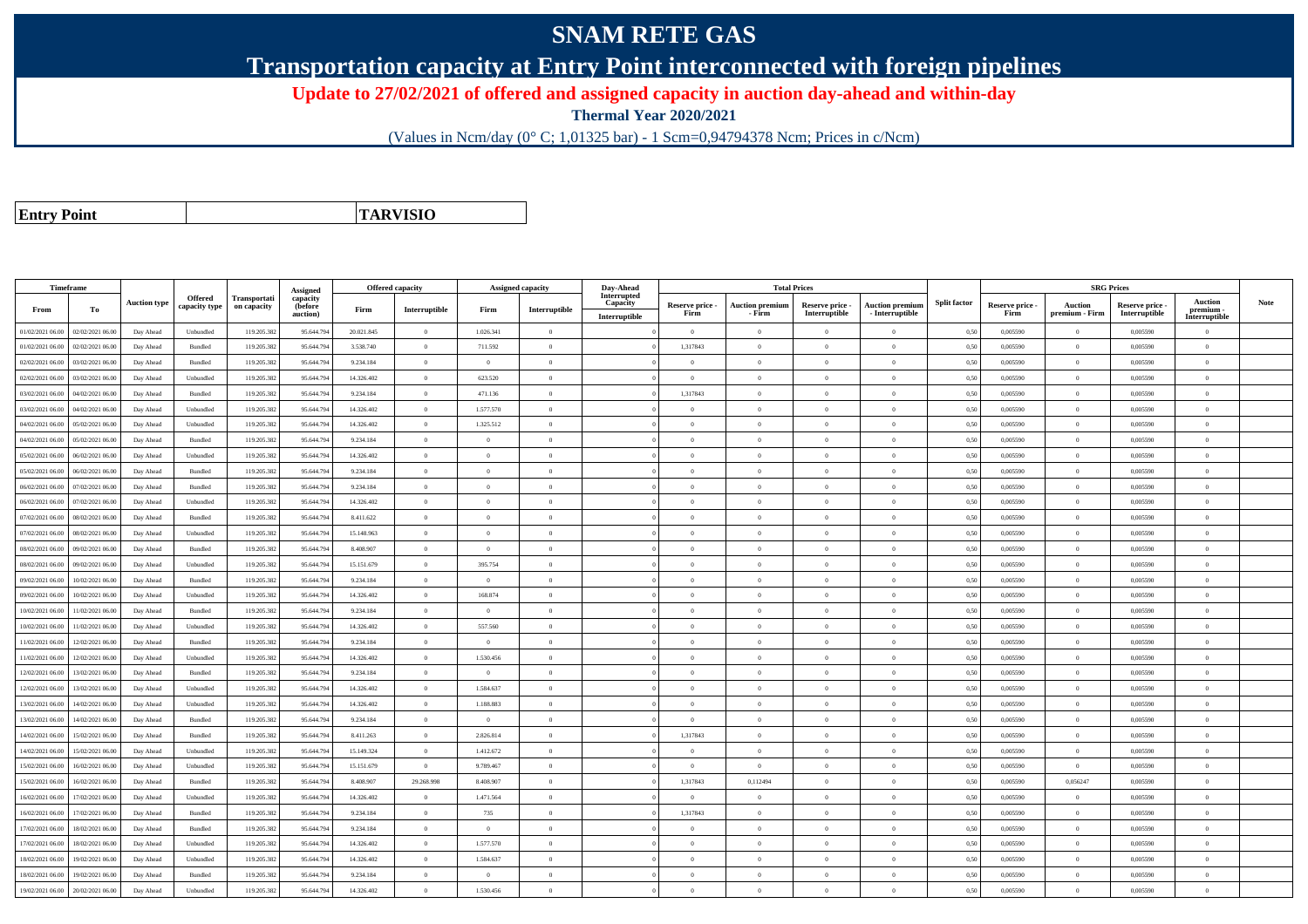## **SNAM RETE GAS**

**Transportation capacity at Entry Point interconnected with foreign pipelines**

**Update to 27/02/2021 of offered and assigned capacity in auction day-ahead and within-day**

**Thermal Year 2020/2021**

(Values in Ncm/day (0° C; 1,01325 bar) - 1 Scm=0,94794378 Ncm; Prices in c/Ncm)

**Entry Point**

**TARVISIO**

| Timeframe        |                  |                     |                          |                                    | Assigned                        | <b>Offered capacity</b> |                |                | <b>Assigned capacity</b> | Day-Ahead                                |                         |                                  | <b>Total Prices</b>              |                                           |                     |                         | <b>SRG Prices</b>         |                                  |                                              |             |
|------------------|------------------|---------------------|--------------------------|------------------------------------|---------------------------------|-------------------------|----------------|----------------|--------------------------|------------------------------------------|-------------------------|----------------------------------|----------------------------------|-------------------------------------------|---------------------|-------------------------|---------------------------|----------------------------------|----------------------------------------------|-------------|
| From             | To               | <b>Auction type</b> | Offered<br>capacity type | <b>Transportati</b><br>on capacity | capacity<br>(before<br>auction) | Firm                    | Interruptible  | Firm           | Interruptible            | Interrupted<br>Capacity<br>Interruptible | Reserve price -<br>Firm | <b>Auction premium</b><br>- Firm | Reserve price -<br>Interruptible | <b>Auction premium</b><br>- Interruptible | <b>Split factor</b> | Reserve price -<br>Firm | Auction<br>premium - Firm | Reserve price -<br>Interruptible | <b>Auction</b><br>premium -<br>Interruptible | <b>Note</b> |
| 01/02/2021 06:00 | 02/02/2021 06:00 | Day Ahead           | Unbundled                | 119.205.38                         | 95.644.79                       | 20.021.845              | $\overline{0}$ | 1.026.341      | $\overline{0}$           |                                          | $\overline{0}$          | $\bf{0}$                         | $\overline{0}$                   | $\bf{0}$                                  | 0,50                | 0,005590                | $\theta$                  | 0,005590                         | $\overline{0}$                               |             |
| 01/02/2021 06.00 | 02/02/2021 06:00 | Day Ahead           | Bundled                  | 119.205.382                        | 95.644.79                       | 3.538.740               | $\overline{0}$ | 711.592        | $\Omega$                 |                                          | 1,317843                | $\Omega$                         | $\Omega$                         | $\theta$                                  | 0,50                | 0.005590                | $\overline{0}$            | 0.005590                         | $\theta$                                     |             |
| 02/02/2021 06:00 | 03/02/2021 06.00 | Day Ahead           | Bundled                  | 119.205.38                         | 95.644.79                       | 9.234.184               | $\overline{0}$ | $\overline{0}$ | $\overline{0}$           |                                          | $\overline{0}$          | $\Omega$                         | $\overline{0}$                   | $\overline{0}$                            | 0,50                | 0,005590                | $\overline{0}$            | 0,005590                         | $\overline{0}$                               |             |
| 02/02/2021 06:00 | 03/02/2021 06.00 | Day Ahead           | Unbundled                | 119.205.382                        | 95.644.794                      | 14.326.402              | $\overline{0}$ | 623.520        | $\overline{0}$           |                                          | $\overline{0}$          | $\theta$                         | $\overline{0}$                   | $\bf{0}$                                  | 0,50                | 0,005590                | $\overline{0}$            | 0,005590                         | $\theta$                                     |             |
| 03/02/2021 06:00 | 04/02/2021 06.00 | Day Ahead           | Bundled                  | 119.205.382                        | 95.644.79                       | 9.234.184               | $\overline{0}$ | 471.136        | $\overline{0}$           |                                          | 1.317843                | $\theta$                         | $\overline{0}$                   | $\overline{0}$                            | 0.50                | 0.005590                | $\overline{0}$            | 0.005590                         | $\overline{0}$                               |             |
| 03/02/2021 06.0  | 04/02/2021 06.0  | Day Ahead           | Unbundled                | 119.205.38                         | 95.644.79                       | 14.326.402              | $\overline{0}$ | 1.577.570      | $\overline{0}$           |                                          | $\Omega$                |                                  | $\Omega$                         | $\overline{0}$                            | 0.50                | 0,005590                | $\overline{0}$            | 0,005590                         | $\Omega$                                     |             |
| 04/02/2021 06:00 | 05/02/2021 06.00 | Day Ahead           | Unbundled                | 119.205.382                        | 95.644.794                      | 14.326.402              | $\overline{0}$ | 1.325.512      | $\overline{0}$           |                                          | $\overline{0}$          | $\theta$                         | $\overline{0}$                   | $\overline{0}$                            | 0.50                | 0.005590                | $\overline{0}$            | 0.005590                         | $\overline{0}$                               |             |
| 04/02/2021 06:00 | 05/02/2021 06:00 | Day Ahead           | Bundled                  | 119.205.382                        | 95.644.794                      | 9.234.184               | $\overline{0}$ | $\overline{0}$ | $\overline{0}$           |                                          | $\overline{0}$          | $\Omega$                         | $\overline{0}$                   | $\overline{0}$                            | 0,50                | 0,005590                | $\overline{0}$            | 0,005590                         | $\overline{0}$                               |             |
| 05/02/2021 06:00 | 06/02/2021 06.00 | Day Ahead           | Unbundled                | 119.205.382                        | 95.644.794                      | 14.326.402              | $\overline{0}$ | $\Omega$       | $\theta$                 |                                          | $\Omega$                |                                  | $\Omega$                         | $\overline{0}$                            | 0,50                | 0,005590                | $\Omega$                  | 0,005590                         | $\theta$                                     |             |
| 05/02/2021 06:00 | 06/02/2021 06.0  | Day Ahead           | Bundled                  | 119.205.382                        | 95.644.79                       | 9.234.184               | $\overline{0}$ | $\overline{0}$ | $\overline{0}$           |                                          | $\overline{0}$          | $\Omega$                         | $\overline{0}$                   | $\bf{0}$                                  | 0,50                | 0,005590                | $\overline{0}$            | 0,005590                         | $\overline{0}$                               |             |
| 06/02/2021 06:00 | 07/02/2021 06.00 | Day Ahead           | Bundled                  | 119.205.382                        | 95.644.794                      | 9.234.184               | $\overline{0}$ | $\overline{0}$ | $\overline{0}$           |                                          | $\overline{0}$          | $\theta$                         | $\overline{0}$                   | $\overline{0}$                            | 0,50                | 0,005590                | $\overline{0}$            | 0,005590                         | $\overline{0}$                               |             |
| 06/02/2021 06:00 | 07/02/2021 06.00 | Day Ahead           | Unbundled                | 119.205.382                        | 95.644.794                      | 14.326.402              | $\overline{0}$ | $\theta$       | $\overline{0}$           |                                          | $\theta$                | $\theta$                         | $\theta$                         | $\overline{0}$                            | 0.50                | 0.005590                | $\overline{0}$            | 0.005590                         | $\theta$                                     |             |
| 07/02/2021 06:00 | 08/02/2021 06.0  | Day Ahead           | Bundled                  | 119.205.38                         | 95.644.79                       | 8.411.622               | $\overline{0}$ | $\overline{0}$ | $\overline{0}$           |                                          | $\overline{0}$          | $\theta$                         | $\overline{0}$                   | $\overline{0}$                            | 0,50                | 0,005590                | $\Omega$                  | 0,005590                         | $\theta$                                     |             |
| 07/02/2021 06:00 | 08/02/2021 06:00 | Day Ahead           | Unbundled                | 119.205.382                        | 95.644.794                      | 15.148.963              | $\overline{0}$ | $\theta$       | $\Omega$                 |                                          | $\theta$                | $\Omega$                         | $\Omega$                         | $\theta$                                  | 0,50                | 0,005590                | $\overline{0}$            | 0.005590                         | $\theta$                                     |             |
| 08/02/2021 06:00 | 09/02/2021 06:00 | Day Ahead           | Bundled                  | 119.205.382                        | 95.644.79                       | 8 408 907               | $\overline{0}$ | $\Omega$       | $\Omega$                 |                                          | $\theta$                | $\theta$                         | $\theta$                         | $\overline{0}$                            | 0.50                | 0.005590                | $\overline{0}$            | 0.005590                         | $\theta$                                     |             |
| 08/02/2021 06:00 | 09/02/2021 06.0  | Day Ahead           | Unbundled                | 119.205.38                         | 95.644.79                       | 15.151.679              | $\overline{0}$ | 395.754        | $\theta$                 |                                          | $\overline{0}$          |                                  | $\overline{0}$                   | $\overline{0}$                            | 0.50                | 0,005590                | $\overline{0}$            | 0,005590                         | $\overline{0}$                               |             |
| 09/02/2021 06:00 | 10/02/2021 06:00 | Day Ahead           | Bundled                  | 119.205.382                        | 95.644.794                      | 9.234.184               | $\overline{0}$ | $\overline{0}$ | $\overline{0}$           |                                          | $\overline{0}$          | $\Omega$                         | $\overline{0}$                   | $\overline{0}$                            | 0,50                | 0,005590                | $\overline{0}$            | 0,005590                         | $\overline{0}$                               |             |
| 09/02/2021 06:00 | 10/02/2021 06:00 | Day Ahead           | Unbundled                | 119.205.382                        | 95.644.794                      | 14.326.402              | $\overline{0}$ | 168.874        | $\overline{0}$           |                                          | $\overline{0}$          | $\bf{0}$                         | $\overline{0}$                   | $\overline{0}$                            | 0,50                | 0,005590                | $\overline{0}$            | 0,005590                         | $\overline{0}$                               |             |
| 10/02/2021 06:00 | 1/02/2021 06.00  | Day Ahead           | Bundled                  | 119.205.38                         | 95.644.79                       | 9.234.184               | $\overline{0}$ | $\Omega$       | $\overline{0}$           |                                          | $\Omega$                | $\Omega$                         | $\overline{0}$                   | $\overline{0}$                            | 0,50                | 0,005590                | $\overline{0}$            | 0,005590                         | $\Omega$                                     |             |
| 10/02/2021 06:00 | 11/02/2021 06:00 | Day Ahead           | Unbundled                | 119.205.382                        | 95.644.79                       | 14.326.402              | $\overline{0}$ | 557.560        | $\overline{0}$           |                                          | $\theta$                | $\Omega$                         | $\Omega$                         | $\overline{0}$                            | 0.50                | 0.005590                | $\overline{0}$            | 0.005590                         | $\theta$                                     |             |
| 11/02/2021 06:00 | 12/02/2021 06:00 | Day Ahead           | Bundled                  | 119.205.382                        | 95.644.794                      | 9.234.184               | $\overline{0}$ | $\theta$       | $\overline{0}$           |                                          | $\overline{0}$          | $\theta$                         | $\overline{0}$                   | $\overline{0}$                            | 0,50                | 0,005590                | $\Omega$                  | 0,005590                         | $\overline{0}$                               |             |
| 11/02/2021 06:00 | 12/02/2021 06:00 | Day Ahead           | Unbundled                | 119.205.382                        | 95.644.794                      | 14.326.402              | $\overline{0}$ | 1.530.456      | $\Omega$                 |                                          | $\Omega$                | $\Omega$                         | $\Omega$                         | $\theta$                                  | 0.50                | 0.005590                | $\Omega$                  | 0.005590                         | $\theta$                                     |             |
| 12/02/2021 06:00 | 13/02/2021 06:00 | Day Ahead           | Bundled                  | 119.205.382                        | 95.644.794                      | 9.234.184               | $\overline{0}$ | $\overline{0}$ | $\overline{0}$           |                                          | $\Omega$                | $\theta$                         | $\overline{0}$                   | $\overline{0}$                            | 0.50                | 0,005590                | $\overline{0}$            | 0.005590                         | $\overline{0}$                               |             |
| 12/02/2021 06:00 | 13/02/2021 06:00 | Day Ahead           | Unbundled                | 119.205.382                        | 95.644.794                      | 14.326.402              | $\overline{0}$ | 1.584.637      | $\overline{0}$           |                                          | $\overline{0}$          | $\theta$                         | $\overline{0}$                   | $\overline{0}$                            | 0,50                | 0.005590                | $\overline{0}$            | 0.005590                         | $\overline{0}$                               |             |
| 13/02/2021 06:00 | 14/02/2021 06:00 | Day Ahead           | Unbundled                | 119.205.382                        | 95.644.79                       | 14.326.402              | $\overline{0}$ | 1.188.883      | $\overline{0}$           |                                          | $\overline{0}$          | $\theta$                         | $\overline{0}$                   | $\overline{0}$                            | 0.50                | 0.005590                | $\overline{0}$            | 0.005590                         | $\overline{0}$                               |             |
| 13/02/2021 06:00 | 14/02/2021 06.00 | Day Ahead           | Bundled                  | 119.205.382                        | 95.644.79                       | 9.234.184               | $\overline{0}$ | $\overline{0}$ | $\overline{0}$           |                                          | $\overline{0}$          | $\Omega$                         | $\overline{0}$                   | $\overline{0}$                            | 0.50                | 0,005590                | $\Omega$                  | 0,005590                         | $\theta$                                     |             |
| 14/02/2021 06:00 | 15/02/2021 06.00 | Day Ahead           | Bundled                  | 119.205.382                        | 95.644.794                      | 8.411.263               | $\overline{0}$ | 2.826.814      | $\overline{0}$           |                                          | 1,317843                | $\Omega$                         | $\overline{0}$                   | $\overline{0}$                            | 0,50                | 0,005590                | $\Omega$                  | 0,005590                         | $\theta$                                     |             |
| 14/02/2021 06:00 | 15/02/2021 06:00 | Day Ahead           | Unbundled                | 119.205.382                        | 95.644.79                       | 15.149.324              | $\overline{0}$ | 1.412.672      | $\overline{0}$           |                                          | $\Omega$                | $\theta$                         | $\Omega$                         | $\overline{0}$                            | 0,50                | 0,005590                | $\Omega$                  | 0.005590                         | $\overline{0}$                               |             |
| 15/02/2021 06:00 | 16/02/2021 06.00 | Day Ahead           | Unbundled                | 119.205.38                         | 95.644.79                       | 15.151.679              | $\overline{0}$ | 9.789.467      | $\overline{0}$           |                                          | $\overline{0}$          | $\theta$                         | $\overline{0}$                   | $\overline{0}$                            | 0,50                | 0,005590                | $\overline{0}$            | 0,005590                         | $\overline{0}$                               |             |
| 15/02/2021 06:00 | 16/02/2021 06:00 | Day Ahead           | Bundled                  | 119.205.382                        | 95.644.794                      | 8.408.907               | 29.268.998     | 8.408.907      | $\overline{0}$           |                                          | 1.317843                | 0,112494                         | $\theta$                         | $\overline{0}$                            | 0.50                | 0.005590                | 0.056247                  | 0.005590                         | $\theta$                                     |             |
| 16/02/2021 06:00 | 17/02/2021 06:00 | Day Ahead           | Unbundled                | 119.205.382                        | 95.644.794                      | 14.326.402              | $\overline{0}$ | 1.471.564      | $\overline{0}$           |                                          | $\overline{0}$          | $\Omega$                         | $\overline{0}$                   | $\bf{0}$                                  | 0,50                | 0,005590                | $\overline{0}$            | 0,005590                         | $\overline{0}$                               |             |
| 16/02/2021 06:00 | 7/02/2021 06.0   | Day Ahead           | Bundled                  | 119.205.38                         | 95.644.79                       | 9.234.184               | $\overline{0}$ | 735            | $\Omega$                 |                                          | 1,317843                |                                  | $\theta$                         | $\bf{0}$                                  | 0.50                | 0,005590                | $\theta$                  | 0.005590                         | $\theta$                                     |             |
| 17/02/2021 06:00 | 18/02/2021 06:00 | Day Ahead           | Bundled                  | 119.205.382                        | 95.644.79                       | 9.234.184               | $\overline{0}$ | $\overline{0}$ | $\overline{0}$           |                                          | $\overline{0}$          | $\Omega$                         | $\overline{0}$                   | $\bf{0}$                                  | 0.50                | 0.005590                | $\overline{0}$            | 0.005590                         | $\theta$                                     |             |
| 17/02/2021 06:00 | 18/02/2021 06:00 | Day Ahead           | Unbundled                | 119.205.38                         | 95.644.794                      | 14.326.402              | $\overline{0}$ | 1.577.570      | $\overline{0}$           |                                          | $\overline{0}$          | $\theta$                         | $\overline{0}$                   | $\overline{0}$                            | 0,50                | 0,005590                | $\overline{0}$            | 0,005590                         | $\overline{0}$                               |             |
| 18/02/2021 06:00 | 19/02/2021 06:00 | Day Ahead           | Unbundled                | 119.205.382                        | 95.644.794                      | 14.326.402              | $\overline{0}$ | 1.584.637      | $\overline{0}$           |                                          | $\theta$                | $\Omega$                         | $\overline{0}$                   | $\overline{0}$                            | 0,50                | 0,005590                | $\Omega$                  | 0,005590                         | $\Omega$                                     |             |
| 18/02/2021 06:00 | 19/02/2021 06.0  | Day Ahead           | Bundled                  | 119.205.382                        | 95.644.79                       | 9.234.184               | $\overline{0}$ | $\overline{0}$ | $\overline{0}$           |                                          | $\overline{0}$          | $\Omega$                         | $\overline{0}$                   | $\overline{0}$                            | 0,50                | 0,005590                | $\overline{0}$            | 0,005590                         | $\overline{0}$                               |             |
| 19/02/2021 06:00 | 20/02/2021 06:00 | Day Ahead           | Unbundled                | 119.205.382                        | 95.644.794                      | 14.326.402              | $\theta$       | 1.530.456      | $\Omega$                 |                                          | $\Omega$                |                                  | $\Omega$                         | $\theta$                                  | 0,50                | 0,005590                | $\overline{0}$            | 0.005590                         | $\theta$                                     |             |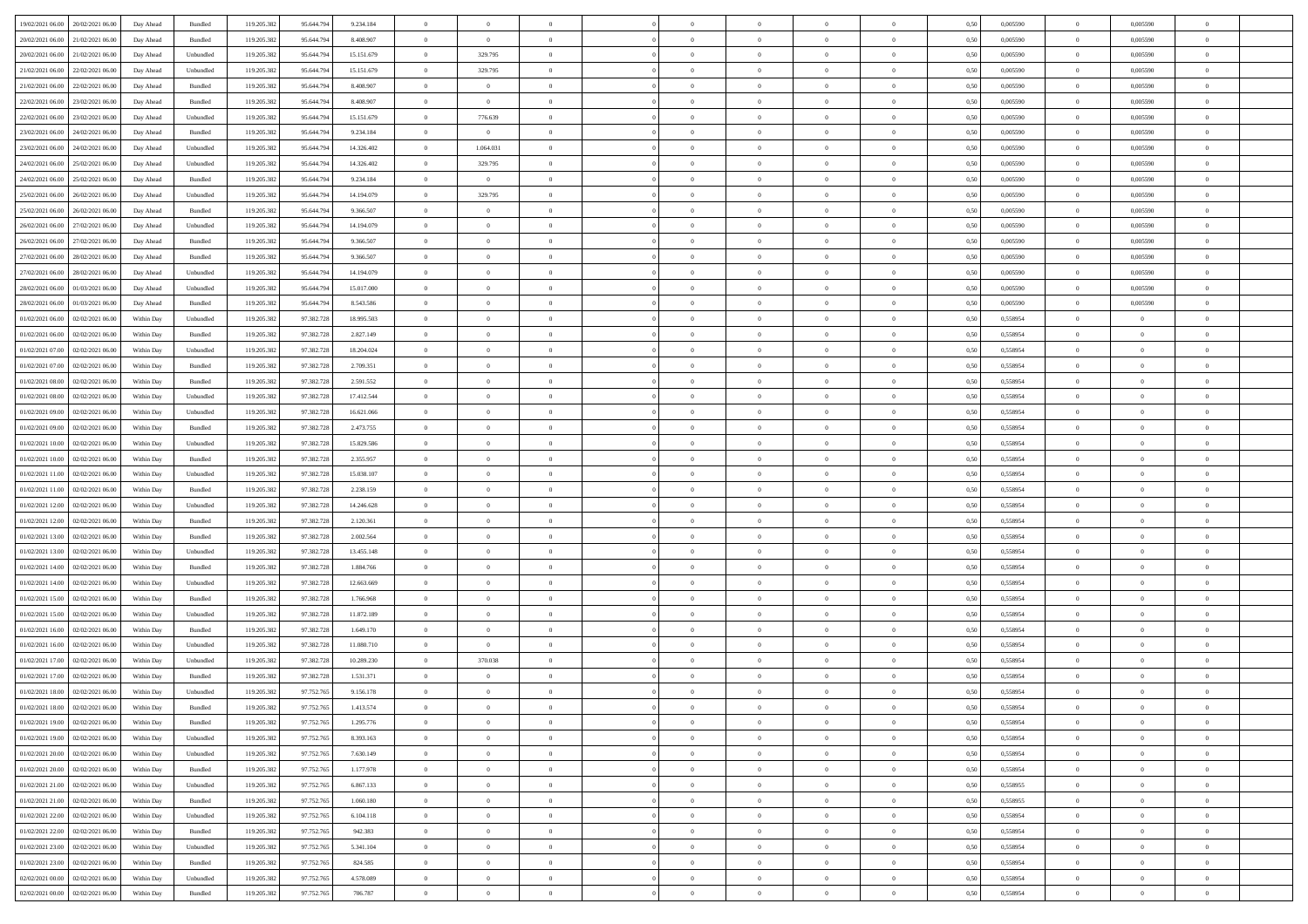| 19/02/2021 06:00 20/02/2021 06:00    | Day Ahead  | Bundled   | 119.205.382 | 95.644.79  | 9.234.184  | $\Omega$       | $\overline{0}$ |                | $\Omega$       | $\theta$       | $\Omega$       | $\theta$       | 0,50 | 0,005590 | $\theta$       | 0,005590       | $\theta$       |  |
|--------------------------------------|------------|-----------|-------------|------------|------------|----------------|----------------|----------------|----------------|----------------|----------------|----------------|------|----------|----------------|----------------|----------------|--|
| 20/02/2021 06:00<br>21/02/2021 06:00 | Day Ahead  | Bundled   | 119.205.382 | 95.644.79  | 8.408.907  | $\overline{0}$ | $\overline{0}$ | $\overline{0}$ | $\overline{0}$ | $\theta$       | $\overline{0}$ | $\bf{0}$       | 0,50 | 0,005590 | $\theta$       | 0,005590       | $\overline{0}$ |  |
| 20/02/2021 06:00<br>21/02/2021 06:00 | Day Ahead  | Unbundled | 119.205.382 | 95.644.794 | 15.151.679 | $\overline{0}$ | 329.795        | $\overline{0}$ | $\overline{0}$ | $\overline{0}$ | $\bf{0}$       | $\bf{0}$       | 0,50 | 0,005590 | $\overline{0}$ | 0.005590       | $\overline{0}$ |  |
| 21/02/2021 06:00<br>22/02/2021 06:00 | Day Ahead  | Unbundled | 119.205.382 | 95.644.79  | 15.151.679 | $\overline{0}$ | 329.795        | $\overline{0}$ | $\overline{0}$ | $\overline{0}$ | $\overline{0}$ | $\overline{0}$ | 0.50 | 0.005590 | $\overline{0}$ | 0.005590       | $\overline{0}$ |  |
| 21/02/2021 06:00<br>22/02/2021 06:00 | Day Ahead  | Bundled   | 119.205.382 | 95.644.79  | 8.408.907  | $\overline{0}$ | $\overline{0}$ | $\overline{0}$ | $\overline{0}$ | $\theta$       | $\overline{0}$ | $\bf{0}$       | 0,50 | 0,005590 | $\theta$       | 0,005590       | $\overline{0}$ |  |
| 22/02/2021 06:00<br>23/02/2021 06:00 | Day Ahead  | Bundled   | 119.205.382 | 95.644.794 | 8.408.907  | $\overline{0}$ | $\overline{0}$ | $\overline{0}$ | $\overline{0}$ | $\overline{0}$ | $\overline{0}$ | $\bf{0}$       | 0,50 | 0,005590 | $\overline{0}$ | 0,005590       | $\bf{0}$       |  |
| 22/02/2021 06:00<br>23/02/2021 06:00 | Day Ahead  | Unbundled | 119.205.382 | 95.644.79  | 15.151.679 | $\overline{0}$ | 776.639        | $\overline{0}$ | $\overline{0}$ | $\overline{0}$ | $\overline{0}$ | $\bf{0}$       | 0.5( | 0,005590 | $\overline{0}$ | 0.005590       | $\overline{0}$ |  |
|                                      |            |           |             |            |            |                |                |                |                |                |                |                |      |          |                |                |                |  |
| 23/02/2021 06:00<br>24/02/2021 06:00 | Day Ahead  | Bundled   | 119.205.382 | 95.644.79  | 9.234.184  | $\overline{0}$ | $\overline{0}$ | $\overline{0}$ | $\overline{0}$ | $\theta$       | $\overline{0}$ | $\bf{0}$       | 0,50 | 0,005590 | $\theta$       | 0,005590       | $\overline{0}$ |  |
| 23/02/2021 06:00<br>24/02/2021 06.00 | Day Ahead  | Unbundled | 119.205.382 | 95.644.794 | 14.326.402 | $\overline{0}$ | 1.064.031      | $\overline{0}$ | $\overline{0}$ | $\overline{0}$ | $\bf{0}$       | $\bf{0}$       | 0,50 | 0,005590 | $\overline{0}$ | 0,005590       | $\overline{0}$ |  |
| 24/02/2021 06:00<br>25/02/2021 06:00 | Day Ahead  | Unbundled | 119.205.38  | 95.644.79  | 14.326.402 | $\overline{0}$ | 329.795        | $\overline{0}$ | $\overline{0}$ | $\overline{0}$ | $\overline{0}$ | $\bf{0}$       | 0.5( | 0,005590 | $\overline{0}$ | 0,005590       | $\overline{0}$ |  |
| 24/02/2021 06:00<br>25/02/2021 06:00 | Day Ahead  | Bundled   | 119.205.382 | 95.644.794 | 9.234.184  | $\overline{0}$ | $\overline{0}$ | $\overline{0}$ | $\overline{0}$ | $\theta$       | $\overline{0}$ | $\bf{0}$       | 0,50 | 0,005590 | $\,$ 0 $\,$    | 0,005590       | $\overline{0}$ |  |
| 25/02/2021 06:00<br>26/02/2021 06.00 | Day Ahead  | Unbundled | 119.205.382 | 95.644.794 | 14.194.079 | $\overline{0}$ | 329.795        | $\overline{0}$ | $\overline{0}$ | $\overline{0}$ | $\overline{0}$ | $\bf{0}$       | 0,50 | 0,005590 | $\overline{0}$ | 0,005590       | $\overline{0}$ |  |
| 25/02/2021 06:00<br>26/02/2021 06:00 | Day Ahead  | Bundled   | 119.205.382 | 95.644.79  | 9.366.507  | $\overline{0}$ | $\overline{0}$ | $\overline{0}$ | $\overline{0}$ | $\overline{0}$ | $\overline{0}$ | $\overline{0}$ | 0.5( | 0.005590 | $\theta$       | 0.005590       | $\overline{0}$ |  |
| 26/02/2021 06:00<br>27/02/2021 06:00 | Day Ahead  | Unbundled | 119.205.382 | 95.644.79  | 14.194.079 | $\overline{0}$ | $\overline{0}$ | $\overline{0}$ | $\overline{0}$ | $\theta$       | $\overline{0}$ | $\bf{0}$       | 0,50 | 0,005590 | $\theta$       | 0,005590       | $\overline{0}$ |  |
| 26/02/2021 06:00<br>27/02/2021 06.00 | Day Ahead  | Bundled   | 119.205.382 | 95.644.794 | 9.366.507  | $\overline{0}$ | $\bf{0}$       | $\overline{0}$ | $\overline{0}$ | $\overline{0}$ | $\overline{0}$ | $\bf{0}$       | 0,50 | 0,005590 | $\overline{0}$ | 0,005590       | $\bf{0}$       |  |
| 27/02/2021 06:00<br>28/02/2021 06:00 | Day Ahead  | Bundled   | 119.205.382 | 95.644.79  | 9.366.507  | $\overline{0}$ | $\overline{0}$ | $\overline{0}$ | $\overline{0}$ | $\overline{0}$ | $\overline{0}$ | $\overline{0}$ | 0.5( | 0.005590 | $\overline{0}$ | 0,005590       | $\overline{0}$ |  |
| 27/02/2021 06:00<br>28/02/2021 06:00 | Day Ahead  | Unbundled | 119.205.382 | 95.644.79  | 14.194.079 | $\overline{0}$ | $\overline{0}$ | $\overline{0}$ | $\overline{0}$ | $\theta$       | $\overline{0}$ | $\bf{0}$       | 0,50 | 0,005590 | $\theta$       | 0,005590       | $\overline{0}$ |  |
| 28/02/2021 06:00<br>01/03/2021 06:00 | Day Ahead  | Unbundled | 119.205.38  | 95.644.794 | 15.017.000 | $\overline{0}$ | $\bf{0}$       | $\overline{0}$ | $\overline{0}$ | $\overline{0}$ | $\bf{0}$       | $\bf{0}$       | 0,50 | 0,005590 | $\overline{0}$ | 0.005590       | $\overline{0}$ |  |
| 28/02/2021 06:00<br>01/03/2021 06:00 | Day Ahead  | Bundled   | 119.205.38  | 95.644.79  | 8.543.586  | $\overline{0}$ | $\overline{0}$ | $\overline{0}$ | $\overline{0}$ | $\overline{0}$ | $\overline{0}$ | $\bf{0}$       | 0.5( | 0,005590 | $\overline{0}$ | 0,005590       | $\overline{0}$ |  |
| 01/02/2021 06:00<br>02/02/2021 06:00 | Within Day | Unbundled | 119.205.382 | 97.382.728 | 18.995.503 | $\overline{0}$ | $\overline{0}$ | $\overline{0}$ | $\overline{0}$ | $\theta$       | $\overline{0}$ | $\bf{0}$       | 0,50 | 0,558954 | $\theta$       | $\theta$       | $\overline{0}$ |  |
|                                      |            |           |             |            |            |                |                |                |                |                |                |                |      |          |                |                |                |  |
| 01/02/2021 06:00<br>02/02/2021 06:00 | Within Day | Bundled   | 119.205.382 | 97.382.728 | 2.827.149  | $\overline{0}$ | $\bf{0}$       | $\overline{0}$ | $\overline{0}$ | $\overline{0}$ | $\overline{0}$ | $\bf{0}$       | 0,50 | 0,558954 | $\bf{0}$       | $\overline{0}$ | $\overline{0}$ |  |
| 01/02/2021 07:00<br>02/02/2021 06:00 | Within Day | Unbundled | 119.205.382 | 97.382.728 | 18.204.024 | $\overline{0}$ | $\overline{0}$ | $\overline{0}$ | $\overline{0}$ | $\overline{0}$ | $\overline{0}$ | $\overline{0}$ | 0.50 | 0.558954 | $\theta$       | $\overline{0}$ | $\overline{0}$ |  |
| 01/02/2021 07:00<br>02/02/2021 06:00 | Within Day | Bundled   | 119.205.382 | 97.382.728 | 2.709.351  | $\overline{0}$ | $\theta$       | $\overline{0}$ | $\overline{0}$ | $\theta$       | $\overline{0}$ | $\bf{0}$       | 0,50 | 0,558954 | $\theta$       | $\theta$       | $\overline{0}$ |  |
| 01/02/2021 08:00<br>02/02/2021 06:00 | Within Day | Bundled   | 119.205.382 | 97.382.728 | 2.591.552  | $\overline{0}$ | $\bf{0}$       | $\overline{0}$ | $\overline{0}$ | $\overline{0}$ | $\overline{0}$ | $\bf{0}$       | 0,50 | 0,558954 | $\bf{0}$       | $\overline{0}$ | $\bf{0}$       |  |
| 01/02/2021 08:00<br>02/02/2021 06:00 | Within Day | Unbundled | 119.205.382 | 97.382.728 | 17.412.544 | $\overline{0}$ | $\overline{0}$ | $\overline{0}$ | $\overline{0}$ | $\overline{0}$ | $\overline{0}$ | $\overline{0}$ | 0.5( | 0.558954 | $\theta$       | $\theta$       | $\overline{0}$ |  |
| 01/02/2021 09:00<br>02/02/2021 06:00 | Within Day | Unbundled | 119.205.382 | 97.382.728 | 16.621.066 | $\overline{0}$ | $\overline{0}$ | $\overline{0}$ | $\overline{0}$ | $\theta$       | $\overline{0}$ | $\bf{0}$       | 0,50 | 0,558954 | $\theta$       | $\theta$       | $\overline{0}$ |  |
| 01/02/2021 09:00<br>02/02/2021 06:00 | Within Day | Bundled   | 119.205.38  | 97.382.728 | 2.473.755  | $\overline{0}$ | $\bf{0}$       | $\overline{0}$ | $\overline{0}$ | $\overline{0}$ | $\bf{0}$       | $\bf{0}$       | 0,50 | 0,558954 | $\bf{0}$       | $\bf{0}$       | $\overline{0}$ |  |
| 01/02/2021 10:00<br>02/02/2021 06:00 | Within Day | Unbundled | 119.205.38  | 97.382.728 | 15.829.586 | $\overline{0}$ | $\overline{0}$ | $\overline{0}$ | $\overline{0}$ | $\overline{0}$ | $\overline{0}$ | $\overline{0}$ | 0.5( | 0.558954 | $\theta$       | $\theta$       | $\overline{0}$ |  |
| 01/02/2021 10:00<br>02/02/2021 06:00 | Within Day | Bundled   | 119.205.382 | 97.382.728 | 2.355.957  | $\bf{0}$       | $\overline{0}$ | $\overline{0}$ | $\overline{0}$ | $\theta$       | $\overline{0}$ | $\bf{0}$       | 0,50 | 0,558954 | $\theta$       | $\theta$       | $\overline{0}$ |  |
| 01/02/2021 11:00<br>02/02/2021 06:00 | Within Day | Unbundled | 119.205.38  | 97.382.728 | 15.038.107 | $\overline{0}$ | $\bf{0}$       | $\overline{0}$ | $\overline{0}$ | $\overline{0}$ | $\overline{0}$ | $\bf{0}$       | 0,50 | 0,558954 | $\bf{0}$       | $\overline{0}$ | $\overline{0}$ |  |
| 01/02/2021 11:00<br>02/02/2021 06.00 | Within Day | Bundled   | 119.205.38  | 97.382.728 | 2.238.159  | $\overline{0}$ | $\overline{0}$ | $\Omega$       | $\Omega$       | $\theta$       | $\theta$       | $\overline{0}$ | 0.50 | 0,558954 | $\,$ 0 $\,$    | $\overline{0}$ | $\theta$       |  |
| 01/02/2021 12:00<br>02/02/2021 06:00 | Within Day | Unbundled | 119.205.382 | 97.382.728 | 14.246.628 | $\overline{0}$ | $\overline{0}$ | $\overline{0}$ | $\overline{0}$ | $\theta$       | $\overline{0}$ | $\bf{0}$       | 0,50 | 0,558954 | $\theta$       | $\theta$       | $\overline{0}$ |  |
| 01/02/2021 12:00<br>02/02/2021 06:00 | Within Day | Bundled   | 119.205.382 | 97.382.728 | 2.120.361  | $\overline{0}$ | $\bf{0}$       | $\overline{0}$ | $\overline{0}$ | $\overline{0}$ | $\overline{0}$ | $\bf{0}$       | 0,50 | 0,558954 | $\bf{0}$       | $\overline{0}$ | $\bf{0}$       |  |
| 01/02/2021 13:00<br>02/02/2021 06.00 | Within Day | Bundled   | 119.205.382 | 97.382.728 | 2.002.564  | $\overline{0}$ | $\overline{0}$ | $\Omega$       | $\Omega$       | $\overline{0}$ | $\theta$       | $\overline{0}$ | 0.50 | 0.558954 | $\theta$       | $\theta$       | $\theta$       |  |
| 01/02/2021 13:00<br>02/02/2021 06:00 | Within Day | Unbundled | 119.205.382 | 97.382.728 | 13.455.148 | $\bf{0}$       | $\overline{0}$ | $\overline{0}$ | $\overline{0}$ | $\theta$       | $\overline{0}$ | $\bf{0}$       | 0,50 | 0,558954 | $\theta$       | $\theta$       | $\overline{0}$ |  |
|                                      |            |           |             |            |            |                |                |                |                |                |                |                |      |          |                |                |                |  |
| 01/02/2021 14:00<br>02/02/2021 06:00 | Within Day | Bundled   | 119.205.38  | 97.382.728 | 1.884.766  | $\overline{0}$ | $\bf{0}$       | $\overline{0}$ | $\overline{0}$ | $\overline{0}$ | $\bf{0}$       | $\bf{0}$       | 0,50 | 0,558954 | $\bf{0}$       | $\overline{0}$ | $\overline{0}$ |  |
| 01/02/2021 14:00<br>02/02/2021 06.00 | Within Day | Unbundled | 119.205.382 | 97.382.72  | 12.663.669 | $\overline{0}$ | $\overline{0}$ | $\Omega$       | $\Omega$       | $\Omega$       | $\theta$       | $\overline{0}$ | 0.50 | 0.558954 | $\,$ 0 $\,$    | $\theta$       | $\theta$       |  |
| 01/02/2021 15:00<br>02/02/2021 06:00 | Within Day | Bundled   | 119.205.382 | 97.382.728 | 1.766.968  | $\bf{0}$       | $\overline{0}$ | $\overline{0}$ | $\overline{0}$ | $\theta$       | $\overline{0}$ | $\bf{0}$       | 0,50 | 0,558954 | $\theta$       | $\theta$       | $\overline{0}$ |  |
| 01/02/2021 15:00<br>02/02/2021 06:00 | Within Day | Unbundled | 119.205.382 | 97.382.728 | 11.872.189 | $\overline{0}$ | $\bf{0}$       | $\overline{0}$ | $\overline{0}$ | $\overline{0}$ | $\overline{0}$ | $\bf{0}$       | 0,50 | 0,558954 | $\bf{0}$       | $\overline{0}$ | $\overline{0}$ |  |
| 01/02/2021 16:00<br>02/02/2021 06.00 | Within Day | Bundled   | 119.205.382 | 97.382.728 | 1.649.170  | $\overline{0}$ | $\overline{0}$ | $\overline{0}$ | $\Omega$       | $\theta$       | $\theta$       | $\overline{0}$ | 0.50 | 0,558954 | $\,$ 0 $\,$    | $\theta$       | $\theta$       |  |
| 01/02/2021 16:00<br>02/02/2021 06:00 | Within Day | Unbundled | 119.205.38  | 97.382.728 | 11.080.710 | $\bf{0}$       | $\overline{0}$ | $\overline{0}$ | $\overline{0}$ | $\theta$       | $\overline{0}$ | $\bf{0}$       | 0,50 | 0,558954 | $\theta$       | $\theta$       | $\overline{0}$ |  |
| 01/02/2021 17:00<br>02/02/2021 06:00 | Within Day | Unbundled | 119.205.382 | 97.382.728 | 10.289.230 | $\overline{0}$ | 370.038        | $\overline{0}$ | $\overline{0}$ | $\bf{0}$       | $\overline{0}$ | $\bf{0}$       | 0,50 | 0,558954 | $\bf{0}$       | $\overline{0}$ | $\bf{0}$       |  |
| 01/02/2021 17:00<br>02/02/2021 06.00 | Within Day | Bundled   | 119.205.38  | 97.382.72  | 1.531.371  | $\overline{0}$ | $\Omega$       | $\Omega$       | $\Omega$       | $\Omega$       | $\theta$       | $\overline{0}$ | 0.50 | 0.558954 | $\theta$       | $\overline{0}$ | $\theta$       |  |
| 01/02/2021 18:00<br>02/02/2021 06:00 | Within Day | Unbundled | 119.205.382 | 97.752.765 | 9.156.178  | $\overline{0}$ | $\bf{0}$       | $\overline{0}$ | $\overline{0}$ | $\bf{0}$       | $\overline{0}$ | $\bf{0}$       | 0,50 | 0,558954 | $\bf{0}$       | $\,$ 0 $\,$    | $\overline{0}$ |  |
| 01/02/2021 18:00 02/02/2021 06:00    | Within Day | Bundled   | 119.205.382 | 97.752.765 | 1.413.574  | $\bf{0}$       |                |                |                |                |                |                | 0,50 | 0,558954 | $\bf{0}$       | $\bf{0}$       |                |  |
| 01/02/2021 19:00 02/02/2021 06:00    | Within Day | Bundled   | 119.205.382 | 97.752.765 | 1.295.776  | $\Omega$       | $\overline{0}$ | $\Omega$       | $\Omega$       | $\Omega$       | $\theta$       | $\overline{0}$ | 0.50 | 0.558954 | $\theta$       | $\Omega$       | $\theta$       |  |
| 01/02/2021 19:00<br>02/02/2021 06:00 | Within Day | Unbundled | 119.205.382 | 97.752.765 | 8.393.163  | $\overline{0}$ | $\overline{0}$ | $\overline{0}$ | $\overline{0}$ | $\,$ 0 $\,$    | $\overline{0}$ | $\,$ 0 $\,$    | 0,50 | 0,558954 | $\,$ 0 $\,$    | $\theta$       | $\bf{0}$       |  |
| 01/02/2021 20:00 02/02/2021 06:00    | Within Day | Unbundled | 119.205.382 | 97.752.765 | 7.630.149  | $\overline{0}$ | $\overline{0}$ | $\overline{0}$ | $\overline{0}$ | $\overline{0}$ | $\overline{0}$ | $\bf{0}$       | 0,50 | 0,558954 | $\overline{0}$ | $\bf{0}$       | $\overline{0}$ |  |
| 02/02/2021 06:00<br>01/02/2021 20:00 | Within Day | Bundled   | 119.205.382 | 97.752.765 | 1.177.978  | $\overline{0}$ | $\overline{0}$ | $\overline{0}$ | $\overline{0}$ | $\overline{0}$ | $\overline{0}$ | $\bf{0}$       | 0.50 | 0,558954 | $\bf{0}$       | $\theta$       | $\overline{0}$ |  |
| 01/02/2021 21:00<br>02/02/2021 06:00 | Within Day | Unbundled | 119.205.382 | 97.752.765 | 6.867.133  | $\overline{0}$ | $\overline{0}$ | $\overline{0}$ | $\overline{0}$ | $\overline{0}$ | $\overline{0}$ | $\bf{0}$       | 0,50 | 0,558955 | $\,$ 0 $\,$    | $\theta$       | $\overline{0}$ |  |
|                                      |            |           |             |            |            |                |                |                |                |                |                |                |      |          |                |                |                |  |
| 01/02/2021 21:00 02/02/2021 06:00    | Within Day | Bundled   | 119.205.382 | 97.752.765 | 1.060.180  | $\overline{0}$ | $\overline{0}$ | $\overline{0}$ | $\overline{0}$ | $\overline{0}$ | $\overline{0}$ | $\bf{0}$       | 0,50 | 0,558955 | $\overline{0}$ | $\overline{0}$ | $\overline{0}$ |  |
| 01/02/2021 22:00<br>02/02/2021 06:00 | Within Day | Unbundled | 119.205.382 | 97.752.765 | 6.104.118  | $\overline{0}$ | $\overline{0}$ | $\overline{0}$ | $\overline{0}$ | $\overline{0}$ | $\overline{0}$ | $\bf{0}$       | 0.50 | 0.558954 | $\overline{0}$ | $\theta$       | $\overline{0}$ |  |
| 01/02/2021 22:00<br>02/02/2021 06:00 | Within Day | Bundled   | 119.205.382 | 97.752.765 | 942.383    | $\overline{0}$ | $\bf{0}$       | $\overline{0}$ | $\overline{0}$ | $\overline{0}$ | $\overline{0}$ | $\bf{0}$       | 0,50 | 0,558954 | $\,$ 0 $\,$    | $\theta$       | $\overline{0}$ |  |
| 02/02/2021 06:00<br>01/02/2021 23:00 | Within Day | Unbundled | 119.205.382 | 97.752.765 | 5.341.104  | $\overline{0}$ | $\bf{0}$       | $\overline{0}$ | $\overline{0}$ | $\overline{0}$ | $\overline{0}$ | $\bf{0}$       | 0,50 | 0,558954 | $\bf{0}$       | $\overline{0}$ | $\bf{0}$       |  |
| 01/02/2021 23:00<br>02/02/2021 06:00 | Within Day | Bundled   | 119.205.382 | 97.752.765 | 824.585    | $\overline{0}$ | $\overline{0}$ | $\overline{0}$ | $\overline{0}$ | $\overline{0}$ | $\overline{0}$ | $\bf{0}$       | 0.50 | 0.558954 | $\overline{0}$ | $\theta$       | $\overline{0}$ |  |
| 02/02/2021 00:00<br>02/02/2021 06:00 | Within Day | Unbundled | 119.205.382 | 97.752.765 | 4.578.089  | $\overline{0}$ | $\bf{0}$       | $\overline{0}$ | $\overline{0}$ | $\bf{0}$       | $\bf{0}$       | $\bf{0}$       | 0,50 | 0,558954 | $\,$ 0 $\,$    | $\,$ 0 $\,$    | $\bf{0}$       |  |
| 02/02/2021 00:00 02/02/2021 06:00    | Within Day | Bundled   | 119.205.382 | 97.752.765 | 706.787    | $\overline{0}$ | $\bf{0}$       | $\overline{0}$ | $\overline{0}$ | $\overline{0}$ | $\overline{0}$ | $\bf{0}$       | 0,50 | 0,558954 | $\overline{0}$ | $\bf{0}$       | $\overline{0}$ |  |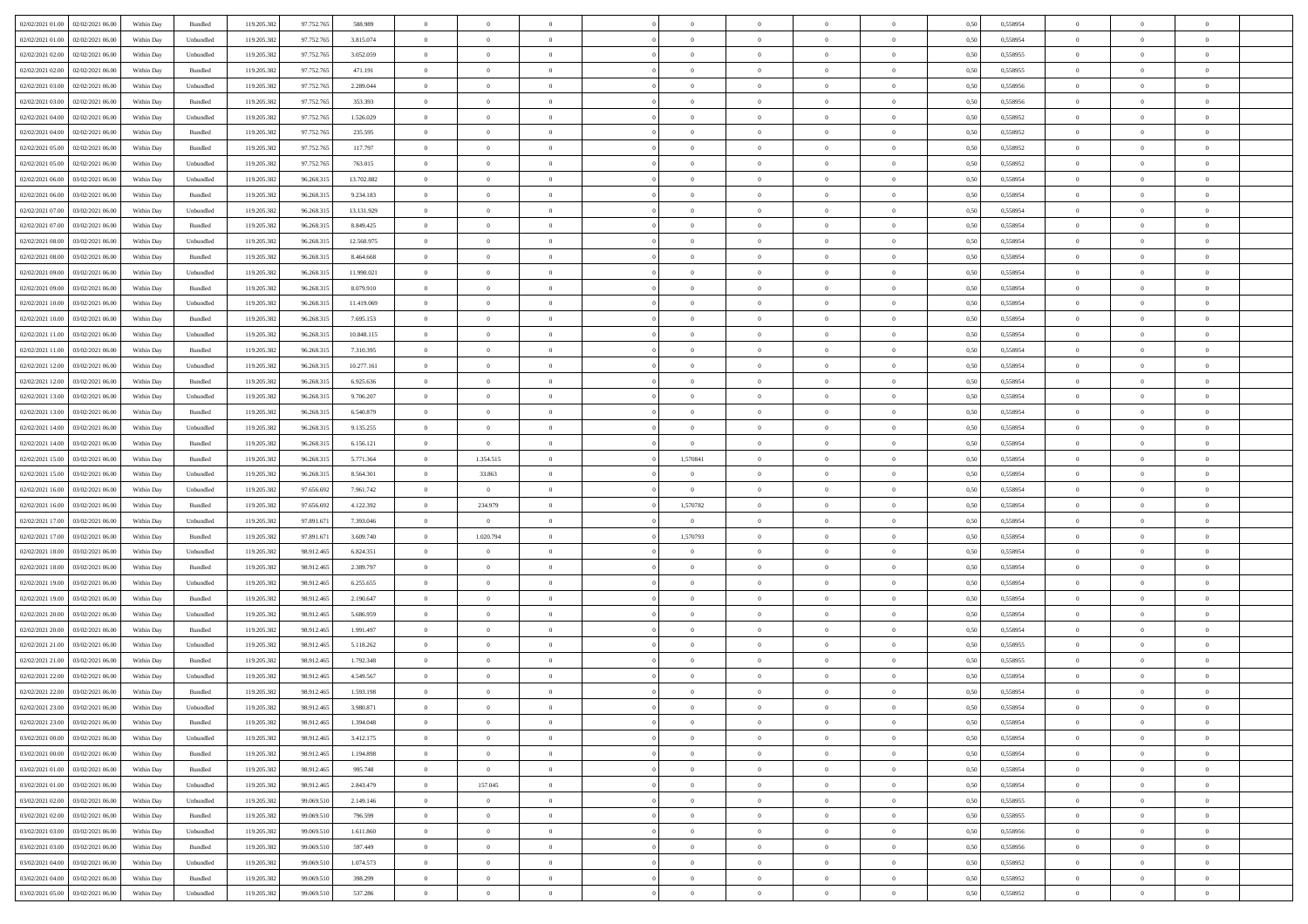| 02/02/2021 01:00 02/02/2021 06:00     | Within Day | Bundled                     | 119.205.382 | 97.752.765 | 588.989    | $\overline{0}$                   | $\overline{0}$ |                | $\overline{0}$ | $\theta$       |                | $\theta$       | 0,50 | 0,558954 | $\theta$                   | $\theta$                      | $\overline{0}$          |  |
|---------------------------------------|------------|-----------------------------|-------------|------------|------------|----------------------------------|----------------|----------------|----------------|----------------|----------------|----------------|------|----------|----------------------------|-------------------------------|-------------------------|--|
| 02/02/2021 01:00<br>02/02/2021 06:00  | Within Day | Unbundled                   | 119.205.38  | 97.752.76  | 3.815.074  | $\bf{0}$                         | $\bf{0}$       | $\bf{0}$       | $\overline{0}$ | $\overline{0}$ | $\overline{0}$ | $\bf{0}$       | 0,50 | 0,558954 | $\,$ 0 $\,$                | $\bf{0}$                      | $\overline{0}$          |  |
| 02/02/2021 02:00<br>02/02/2021 06:00  | Within Day | Unbundled                   | 119.205.382 | 97.752.765 | 3.052.059  | $\overline{0}$                   | $\bf{0}$       | $\overline{0}$ | $\bf{0}$       | $\bf{0}$       | $\overline{0}$ | $\bf{0}$       | 0.50 | 0.558955 | $\bf{0}$                   | $\overline{0}$                | $\overline{0}$          |  |
| 02/02/2021 02:00<br>02/02/2021 06:00  |            |                             | 119.205.382 |            |            | $\overline{0}$                   | $\overline{0}$ | $\overline{0}$ | $\theta$       | $\theta$       | $\overline{0}$ |                |      |          | $\theta$                   | $\theta$                      | $\overline{0}$          |  |
|                                       | Within Day | Bundled                     |             | 97.752.765 | 471.191    |                                  |                |                |                |                |                | $\bf{0}$       | 0,50 | 0,558955 |                            |                               |                         |  |
| 02/02/2021 03:00<br>02/02/2021 06.00  | Within Day | Unbundled                   | 119.205.38  | 97.752.76  | 2.289.044  | $\bf{0}$                         | $\overline{0}$ | $\bf{0}$       | $\overline{0}$ | $\theta$       | $\overline{0}$ | $\bf{0}$       | 0,50 | 0,558956 | $\,$ 0 $\,$                | $\bf{0}$                      | $\overline{0}$          |  |
| 02/02/2021 03:00<br>02/02/2021 06:00  | Within Day | Bundled                     | 119,205.38  | 97.752.765 | 353.393    | $\overline{0}$                   | $\overline{0}$ | $\overline{0}$ | $\bf{0}$       | $\overline{0}$ | $\theta$       | $\bf{0}$       | 0.50 | 0.558956 | $\,$ 0 $\,$                | $\theta$                      | $\overline{0}$          |  |
| 02/02/2021 04:00<br>02/02/2021 06:00  | Within Day | Unbundled                   | 119.205.382 | 97.752.765 | 1.526.029  | $\overline{0}$                   | $\overline{0}$ | $\overline{0}$ | $\overline{0}$ | $\overline{0}$ | $\overline{0}$ | $\bf{0}$       | 0,50 | 0,558952 | $\theta$                   | $\theta$                      | $\overline{0}$          |  |
|                                       |            |                             |             |            |            |                                  |                |                |                |                |                |                |      |          |                            |                               |                         |  |
| 02/02/2021 04:00<br>02/02/2021 06.00  | Within Day | Bundled                     | 119.205.38  | 97.752.76  | 235.595    | $\bf{0}$                         | $\bf{0}$       | $\bf{0}$       | $\overline{0}$ | $\overline{0}$ | $\overline{0}$ | $\bf{0}$       | 0,50 | 0,558952 | $\,$ 0 $\,$                | $\bf{0}$                      | $\overline{0}$          |  |
| 02/02/2021 05:00<br>02/02/2021 06:00  | Within Day | Bundled                     | 119,205.38  | 97.752.765 | 117.797    | $\overline{0}$                   | $\bf{0}$       | $\overline{0}$ | $\bf{0}$       | $\overline{0}$ | $\overline{0}$ | $\bf{0}$       | 0.50 | 0.558952 | $\bf{0}$                   | $\overline{0}$                | $\overline{0}$          |  |
| 02/02/2021 05:00<br>02/02/2021 06:00  | Within Day | Unbundled                   | 119.205.382 | 97.752.765 | 763.015    | $\overline{0}$                   | $\bf{0}$       | $\overline{0}$ | $\overline{0}$ | $\overline{0}$ | $\overline{0}$ | $\bf{0}$       | 0,50 | 0,558952 | $\,$ 0 $\,$                | $\bf{0}$                      | $\overline{0}$          |  |
| 02/02/2021 06:00<br>03/02/2021 06.00  | Within Day | Unbundled                   | 119.205.38  | 96.268.31  | 13.702.882 | $\bf{0}$                         | $\overline{0}$ | $\bf{0}$       | $\bf{0}$       | $\bf{0}$       | $\overline{0}$ | $\bf{0}$       | 0,50 | 0,558954 | $\,$ 0 $\,$                | $\bf{0}$                      | $\overline{0}$          |  |
|                                       |            |                             |             |            |            |                                  |                |                |                |                |                |                |      |          |                            |                               |                         |  |
| 02/02/2021 06:00<br>03/02/2021 06:00  | Within Day | Bundled                     | 119.205.382 | 96.268.31: | 9.234.183  | $\overline{0}$                   | $\bf{0}$       | $\overline{0}$ | $\overline{0}$ | $\bf{0}$       | $\overline{0}$ | $\bf{0}$       | 0.50 | 0.558954 | $\bf{0}$                   | $\overline{0}$                | $\bf{0}$                |  |
| 02/02/2021 07:00<br>03/02/2021 06:00  | Within Day | Unbundled                   | 119.205.38  | 96.268.315 | 13.131.929 | $\overline{0}$                   | $\overline{0}$ | $\overline{0}$ | $\theta$       | $\theta$       | $\overline{0}$ | $\bf{0}$       | 0,50 | 0,558954 | $\,$ 0 $\,$                | $\theta$                      | $\overline{0}$          |  |
| 02/02/2021 07:00<br>03/02/2021 06.00  | Within Day | Bundled                     | 119.205.38  | 96.268.31  | 8.849.425  | $\bf{0}$                         | $\overline{0}$ | $\bf{0}$       | $\overline{0}$ | $\theta$       | $\overline{0}$ | $\bf{0}$       | 0,50 | 0,558954 | $\,$ 0 $\,$                | $\bf{0}$                      | $\overline{0}$          |  |
|                                       |            |                             |             |            |            |                                  |                |                |                |                |                |                |      |          |                            |                               |                         |  |
| 02/02/2021 08:00<br>03/02/2021 06:00  | Within Day | Unbundled                   | 119,205.38  | 96.268.31: | 12.560.975 | $\overline{0}$                   | $\overline{0}$ | $\overline{0}$ | $\bf{0}$       | $\overline{0}$ | $\theta$       | $\bf{0}$       | 0.50 | 0.558954 | $\,$ 0 $\,$                | $\theta$                      | $\overline{0}$          |  |
| 02/02/2021 08:00<br>03/02/2021 06:00  | Within Day | Bundled                     | 119.205.382 | 96.268.315 | 8.464.668  | $\overline{0}$                   | $\overline{0}$ | $\overline{0}$ | $\overline{0}$ | $\overline{0}$ | $\overline{0}$ | $\bf{0}$       | 0,50 | 0,558954 | $\theta$                   | $\theta$                      | $\overline{0}$          |  |
| 02/02/2021 09:00<br>03/02/2021 06.00  | Within Day | Unbundled                   | 119.205.38  | 96.268.31  | 11.990.021 | $\bf{0}$                         | $\overline{0}$ | $\bf{0}$       | $\overline{0}$ | $\bf{0}$       | $\overline{0}$ | $\bf{0}$       | 0,50 | 0,558954 | $\,$ 0 $\,$                | $\bf{0}$                      | $\overline{0}$          |  |
| 02/02/2021 09:00<br>03/02/2021 06:00  | Within Day | Bundled                     | 119,205.38  | 96.268.31: | 8.079.910  | $\overline{0}$                   | $\bf{0}$       | $\overline{0}$ | $\bf{0}$       | $\overline{0}$ | $\overline{0}$ | $\bf{0}$       | 0.50 | 0.558954 | $\bf{0}$                   | $\overline{0}$                | $\overline{0}$          |  |
|                                       |            |                             |             |            |            | $\overline{0}$                   |                | $\overline{0}$ | $\overline{0}$ | $\overline{0}$ | $\overline{0}$ |                |      |          | $\,$ 0 $\,$                |                               |                         |  |
| 02/02/2021 10:00<br>03/02/2021 06:00  | Within Day | Unbundled                   | 119.205.382 | 96.268.315 | 11.419.069 |                                  | $\bf{0}$       |                |                |                |                | $\bf{0}$       | 0,50 | 0,558954 |                            | $\bf{0}$                      | $\overline{0}$          |  |
| 02/02/2021 10:00<br>03/02/2021 06.00  | Within Day | Bundled                     | 119.205.38  | 96.268.31  | 7.695.153  | $\bf{0}$                         | $\bf{0}$       | $\bf{0}$       | $\bf{0}$       | $\overline{0}$ | $\overline{0}$ | $\bf{0}$       | 0,50 | 0,558954 | $\,$ 0 $\,$                | $\bf{0}$                      | $\overline{0}$          |  |
| 02/02/2021 11:00<br>03/02/2021 06:00  | Within Day | Unbundled                   | 119.205.382 | 96.268.315 | 10.848.115 | $\overline{0}$                   | $\bf{0}$       | $\overline{0}$ | $\overline{0}$ | $\bf{0}$       | $\overline{0}$ | $\bf{0}$       | 0.50 | 0.558954 | $\bf{0}$                   | $\overline{0}$                | $\overline{0}$          |  |
| 02/02/2021 11:00<br>03/02/2021 06:00  | Within Day | Bundled                     | 119.205.382 | 96.268.315 | 7.310.395  | $\overline{0}$                   | $\overline{0}$ | $\overline{0}$ | $\theta$       | $\theta$       | $\overline{0}$ | $\bf{0}$       | 0,50 | 0,558954 | $\theta$                   | $\theta$                      | $\overline{0}$          |  |
|                                       |            |                             |             |            |            |                                  | $\overline{0}$ |                |                | $\,$ 0 $\,$    | $\overline{0}$ |                |      |          | $\,$ 0 $\,$                | $\bf{0}$                      | $\overline{0}$          |  |
| 02/02/2021 12:00<br>03/02/2021 06.00  | Within Day | Unbundled                   | 119.205.38  | 96.268.31  | 10.277.161 | $\bf{0}$                         |                | $\bf{0}$       | $\bf{0}$       |                |                | $\bf{0}$       | 0,50 | 0,558954 |                            |                               |                         |  |
| 02/02/2021 12:00<br>03/02/2021 06:00  | Within Day | Bundled                     | 119,205.38  | 96.268.31: | 6.925.636  | $\overline{0}$                   | $\overline{0}$ | $\overline{0}$ | $\bf{0}$       | $\overline{0}$ | $\theta$       | $\bf{0}$       | 0.50 | 0.558954 | $\,$ 0 $\,$                | $\theta$                      | $\overline{0}$          |  |
| 02/02/2021 13:00<br>03/02/2021 06:00  | Within Day | Unbundled                   | 119.205.382 | 96.268.315 | 9.706.207  | $\overline{0}$                   | $\overline{0}$ | $\overline{0}$ | $\overline{0}$ | $\overline{0}$ | $\overline{0}$ | $\bf{0}$       | 0,50 | 0,558954 | $\theta$                   | $\theta$                      | $\overline{0}$          |  |
| 02/02/2021 13:00<br>03/02/2021 06.00  | Within Day | Bundled                     | 119.205.38  | 96.268.31  | 6.540.879  | $\bf{0}$                         | $\overline{0}$ | $\bf{0}$       | $\overline{0}$ | $\bf{0}$       | $\overline{0}$ | $\bf{0}$       | 0,50 | 0,558954 | $\,$ 0 $\,$                | $\bf{0}$                      | $\overline{0}$          |  |
| 02/02/2021 14:00<br>03/02/2021 06:00  |            | Unbundled                   | 119,205.38  | 96.268.31: | 9.135.255  |                                  | $\bf{0}$       | $\overline{0}$ |                | $\overline{0}$ | $\overline{0}$ |                | 0.50 | 0.558954 | $\bf{0}$                   | $\overline{0}$                | $\overline{0}$          |  |
|                                       | Within Day |                             |             |            |            | $\overline{0}$                   |                |                | $\bf{0}$       |                |                | $\bf{0}$       |      |          |                            |                               |                         |  |
| 02/02/2021 14:00<br>03/02/2021 06:00  | Within Day | Bundled                     | 119.205.382 | 96.268.315 | 6.156.121  | $\overline{0}$                   | $\bf{0}$       | $\overline{0}$ | $\overline{0}$ | $\overline{0}$ | $\overline{0}$ | $\bf{0}$       | 0,50 | 0,558954 | $\theta$                   | $\theta$                      | $\overline{0}$          |  |
| 02/02/2021 15:00<br>03/02/2021 06.00  | Within Day | Bundled                     | 119.205.38  | 96.268.31  | 5.771.364  | $\bf{0}$                         | 1.354.515      | $\bf{0}$       | 1,570841       | $\overline{0}$ | $\overline{0}$ | $\bf{0}$       | 0,50 | 0,558954 | $\,$ 0 $\,$                | $\bf{0}$                      | $\overline{0}$          |  |
| 02/02/2021 15:00<br>03/02/2021 06:00  | Within Day | Unbundled                   | 119.205.382 | 96.268.31: | 8.564.301  | $\overline{0}$                   | 33.863         | $\overline{0}$ | $\overline{0}$ | $\bf{0}$       | $\overline{0}$ | $\bf{0}$       | 0.50 | 0.558954 | $\bf{0}$                   | $\overline{0}$                | $\bf{0}$                |  |
| 02/02/2021 16:00<br>03/02/2021 06:00  | Within Day | Unbundled                   | 119.205.382 | 97.656.692 | 7.961.742  | $\overline{0}$                   | $\overline{0}$ | $\overline{0}$ | $\overline{0}$ | $\overline{0}$ | $\overline{0}$ | $\bf{0}$       | 0.50 | 0.558954 | $\theta$                   | $\theta$                      | $\overline{0}$          |  |
|                                       |            |                             |             |            |            |                                  |                |                |                |                |                |                |      |          |                            |                               |                         |  |
| 02/02/2021 16:00<br>03/02/2021 06.00  | Within Day | Bundled                     | 119.205.38  | 97.656.692 | 4.122.392  | $\bf{0}$                         | 234.979        | $\bf{0}$       | 1,570782       | $\overline{0}$ | $\overline{0}$ | $\bf{0}$       | 0,50 | 0,558954 | $\,$ 0 $\,$                | $\bf{0}$                      | $\overline{0}$          |  |
| 02/02/2021 17:00<br>03/02/2021 06:00  | Within Day | Unbundled                   | 119,205.38  | 97.891.671 | 7.393.046  | $\overline{0}$                   | $\overline{0}$ | $\overline{0}$ | $\bf{0}$       | $\overline{0}$ | $\Omega$       | $\bf{0}$       | 0.50 | 0.558954 | $\,$ 0 $\,$                | $\bf{0}$                      | $\overline{0}$          |  |
| 02/02/2021 17:00<br>03/02/2021 06:00  | Within Dav | Bundled                     | 119.205.382 | 97.891.671 | 3.609.740  | $\overline{0}$                   | 1.020.794      | $\overline{0}$ | 1,570793       | $\overline{0}$ | $\overline{0}$ | $\bf{0}$       | 0.5( | 0,558954 | $\theta$                   | $\theta$                      | $\overline{0}$          |  |
| 02/02/2021 18:00<br>03/02/2021 06.00  | Within Day | Unbundled                   | 119.205.38  | 98.912.465 | 6.824.351  | $\bf{0}$                         | $\theta$       | $\bf{0}$       |                | $\overline{0}$ | $\overline{0}$ | $\bf{0}$       | 0,50 | 0,558954 | $\,$ 0 $\,$                | $\bf{0}$                      | $\overline{0}$          |  |
|                                       |            |                             |             |            |            |                                  |                |                |                |                |                |                |      |          |                            |                               |                         |  |
| 02/02/2021 18:00<br>03/02/2021 06:00  | Within Day | Bundled                     | 119,205.38  | 98.912.46  | 2.389.797  | $\overline{0}$                   | $\bf{0}$       | $\overline{0}$ | $\bf{0}$       | $\overline{0}$ | $\overline{0}$ | $\bf{0}$       | 0.50 | 0.558954 | $\bf{0}$                   | $\overline{0}$                | $\overline{0}$          |  |
| 02/02/2021 19:00<br>03/02/2021 06:00  | Within Day | Unbundled                   | 119.205.38  | 98.912.46  | 6.255.655  | $\overline{0}$                   | $\overline{0}$ | $\overline{0}$ | $\overline{0}$ | $\overline{0}$ | $\overline{0}$ | $\bf{0}$       | 0.50 | 0,558954 | $\theta$                   | $\theta$                      | $\overline{0}$          |  |
| 02/02/2021 19:00<br>03/02/2021 06.00  | Within Day | Bundled                     | 119.205.38  | 98.912.46  | 2.190.647  | $\bf{0}$                         | $\bf{0}$       | $\bf{0}$       | $\bf{0}$       | $\overline{0}$ | $\overline{0}$ | $\bf{0}$       | 0,50 | 0,558954 | $\,$ 0 $\,$                | $\bf{0}$                      | $\overline{0}$          |  |
| 02/02/2021 20:00<br>03/02/2021 06:00  | Within Day | Unbundled                   | 119.205.382 | 98.912.465 | 5.686.959  | $\overline{0}$                   | $\bf{0}$       | $\overline{0}$ | $\overline{0}$ | $\bf{0}$       | $\overline{0}$ | $\bf{0}$       | 0.50 | 0.558954 | $\bf{0}$                   | $\overline{0}$                | $\overline{0}$          |  |
|                                       |            |                             |             |            |            |                                  |                |                |                |                |                |                |      |          |                            |                               |                         |  |
| 02/02/2021 20:00<br>03/02/2021 06:00  | Within Day | Bundled                     | 119.205.382 | 98.912.465 | 1.991.497  | $\overline{0}$                   | $\overline{0}$ | $\overline{0}$ | $\overline{0}$ | $\overline{0}$ | $\overline{0}$ | $\bf{0}$       | 0.50 | 0,558954 | $\theta$                   | $\theta$                      | $\overline{0}$          |  |
| 02/02/2021 21:00<br>03/02/2021 06.00  | Within Day | Unbundled                   | 119.205.38  | 98.912.465 | 5.118.262  | $\bf{0}$                         | $\bf{0}$       | $\bf{0}$       | $\bf{0}$       | $\overline{0}$ | $\overline{0}$ | $\bf{0}$       | 0,50 | 0,558955 | $\,$ 0 $\,$                | $\bf{0}$                      | $\overline{0}$          |  |
| 02/02/2021 21:00<br>03/02/2021 06:00  | Within Day | Bundled                     | 119.205.382 | 98.912.46  | 1.792.348  | $\overline{0}$                   | $\overline{0}$ | $\overline{0}$ | $\bf{0}$       | $\overline{0}$ | $\Omega$       | $\bf{0}$       | 0.50 | 0.558955 | $\bf{0}$                   | $\theta$                      | $\overline{0}$          |  |
| 02/02/2021 22:00<br>03/02/2021 06:00  | Within Dav | Unbundled                   | 119.205.38  | 98.912.46  | 4.549.567  | $\overline{0}$                   | $\overline{0}$ | $\Omega$       | $\overline{0}$ | $\theta$       | $\Omega$       | $\overline{0}$ | 0.5( | 0,558954 | $\theta$                   | $\theta$                      | $\overline{0}$          |  |
|                                       |            |                             |             |            |            |                                  |                |                |                |                |                |                |      |          |                            |                               |                         |  |
| 02/02/2021 22:00<br>03/02/2021 06:00  | Within Day | Bundled                     | 119.205.382 | 98.912.465 | 1.593.198  | $\bf{0}$                         | $\bf{0}$       | $\bf{0}$       | $\bf{0}$       | $\bf{0}$       | $\overline{0}$ | $\bf{0}$       | 0,50 | 0,558954 | $\overline{0}$             | $\overline{0}$                | $\overline{0}$          |  |
| $02/02/2021$ 23.00 $03/02/2021$ 06.00 | Within Day | $\ensuremath{\mathsf{Unb}}$ | 119.205.382 | 98.912.465 | 3 980 871  | $\overline{0}$                   | $\theta$       |                | $\overline{0}$ | $\bf{0}$       |                |                | 0,50 | 0.558954 | $\theta$                   | $\overline{0}$                |                         |  |
| 02/02/2021 23:00 03/02/2021 06:00     | Within Day | Bundled                     | 119.205.382 | 98.912.465 | 1.394.048  | $\overline{0}$                   | $\overline{0}$ | $\Omega$       | $\theta$       | $\overline{0}$ | $\overline{0}$ | $\bf{0}$       | 0,50 | 0,558954 | $\theta$                   | $\theta$                      | $\overline{0}$          |  |
| 03/02/2021 00:00<br>03/02/2021 06:00  | Within Day | Unbundled                   | 119.205.38  | 98.912.465 | 3.412.175  | $\overline{0}$                   | $\bf{0}$       | $\overline{0}$ | $\overline{0}$ | $\bf{0}$       | $\overline{0}$ | $\bf{0}$       | 0,50 | 0,558954 | $\bf{0}$                   | $\overline{0}$                | $\bf{0}$                |  |
|                                       |            |                             |             |            |            |                                  |                |                |                |                |                |                |      |          |                            |                               |                         |  |
| 03/02/2021 00:00 03/02/2021 06:00     | Within Day | Bundled                     | 119.205.382 | 98.912.465 | 1.194.898  | $\overline{0}$                   | $\overline{0}$ | $\overline{0}$ | $\overline{0}$ | $\mathbf{0}$   | $\overline{0}$ | $\,$ 0 $\,$    | 0.50 | 0.558954 | $\overline{0}$             | $\bf{0}$                      | $\bf{0}$                |  |
| 03/02/2021 01:00 03/02/2021 06:00     | Within Day | Bundled                     | 119.205.382 | 98.912.465 | 995.748    | $\overline{0}$                   | $\overline{0}$ | $\overline{0}$ | $\overline{0}$ | $\overline{0}$ | $\overline{0}$ | $\bf{0}$       | 0,50 | 0,558954 | $\overline{0}$             | $\theta$                      | $\overline{0}$          |  |
| 03/02/2021 01:00<br>03/02/2021 06:00  | Within Day | Unbundled                   | 119.205.382 | 98.912.465 | 2.843.479  | $\overline{0}$                   | 157.045        | $\overline{0}$ | $\overline{0}$ | $\bf{0}$       | $\overline{0}$ | $\bf{0}$       | 0,50 | 0,558954 | $\bf{0}$                   | $\overline{0}$                | $\overline{0}$          |  |
| 03/02/2021 02:00 03/02/2021 06:00     | Within Day | Unbundled                   | 119.205.382 | 99,069.510 | 2.149.146  | $\overline{0}$                   | $\bf{0}$       | $\overline{0}$ | $\overline{0}$ | $\bf{0}$       | $\overline{0}$ | $\bf{0}$       | 0.50 | 0.558955 | $\,$ 0 $\,$                | $\overline{0}$                | $\,$ 0                  |  |
|                                       |            |                             |             |            |            |                                  |                |                |                |                |                |                |      |          |                            |                               |                         |  |
| 03/02/2021 02:00<br>03/02/2021 06:00  | Within Dav | Bundled                     | 119.205.382 | 99.069.510 | 796,599    | $\overline{0}$                   | $\overline{0}$ | $\overline{0}$ | $\overline{0}$ | $\overline{0}$ | $\overline{0}$ | $\bf{0}$       | 0.50 | 0,558955 | $\overline{0}$             | $\theta$                      | $\overline{0}$          |  |
| 03/02/2021 06:00<br>03/02/2021 03:00  | Within Day | Unbundled                   | 119.205.38  | 99.069.510 | 1.611.860  | $\overline{0}$                   | $\overline{0}$ | $\overline{0}$ | $\overline{0}$ | $\overline{0}$ | $\overline{0}$ | $\bf{0}$       | 0,50 | 0,558956 | $\bf{0}$                   | $\overline{0}$                | $\,$ 0                  |  |
| 03/02/2021 03:00 03/02/2021 06:00     | Within Day | Bundled                     | 119.205.382 | 99,069.510 | 597.449    | $\overline{0}$                   | $\overline{0}$ | $\overline{0}$ | $\overline{0}$ | $\overline{0}$ | $\overline{0}$ | $\bf{0}$       | 0.50 | 0.558956 | $\mathbf{0}$               | $\bf{0}$                      | $\,$ 0                  |  |
| 03/02/2021 04:00 03/02/2021 06:00     | Within Dav | Unbundled                   | 119.205.382 | 99.069.510 | 1.074.573  | $\overline{0}$                   | $\overline{0}$ | $\overline{0}$ | $\overline{0}$ | $\overline{0}$ | $\overline{0}$ | $\bf{0}$       | 0,50 | 0,558952 | $\overline{0}$             | $\theta$                      | $\overline{0}$          |  |
|                                       |            |                             |             |            |            |                                  |                |                |                |                |                |                |      |          |                            |                               |                         |  |
|                                       |            |                             |             |            |            |                                  |                |                |                |                |                |                |      |          |                            |                               |                         |  |
| 03/02/2021 04:00<br>03/02/2021 06:00  | Within Day | Bundled                     | 119.205.38  | 99.069.510 | 398.299    | $\overline{0}$<br>$\overline{0}$ | $\bf{0}$       | $\overline{0}$ | $\overline{0}$ | $\overline{0}$ | $\overline{0}$ | $\bf{0}$       | 0,50 | 0,558952 | $\bf{0}$<br>$\overline{0}$ | $\overline{0}$<br>$\,$ 0 $\,$ | $\bf{0}$<br>$\,$ 0 $\,$ |  |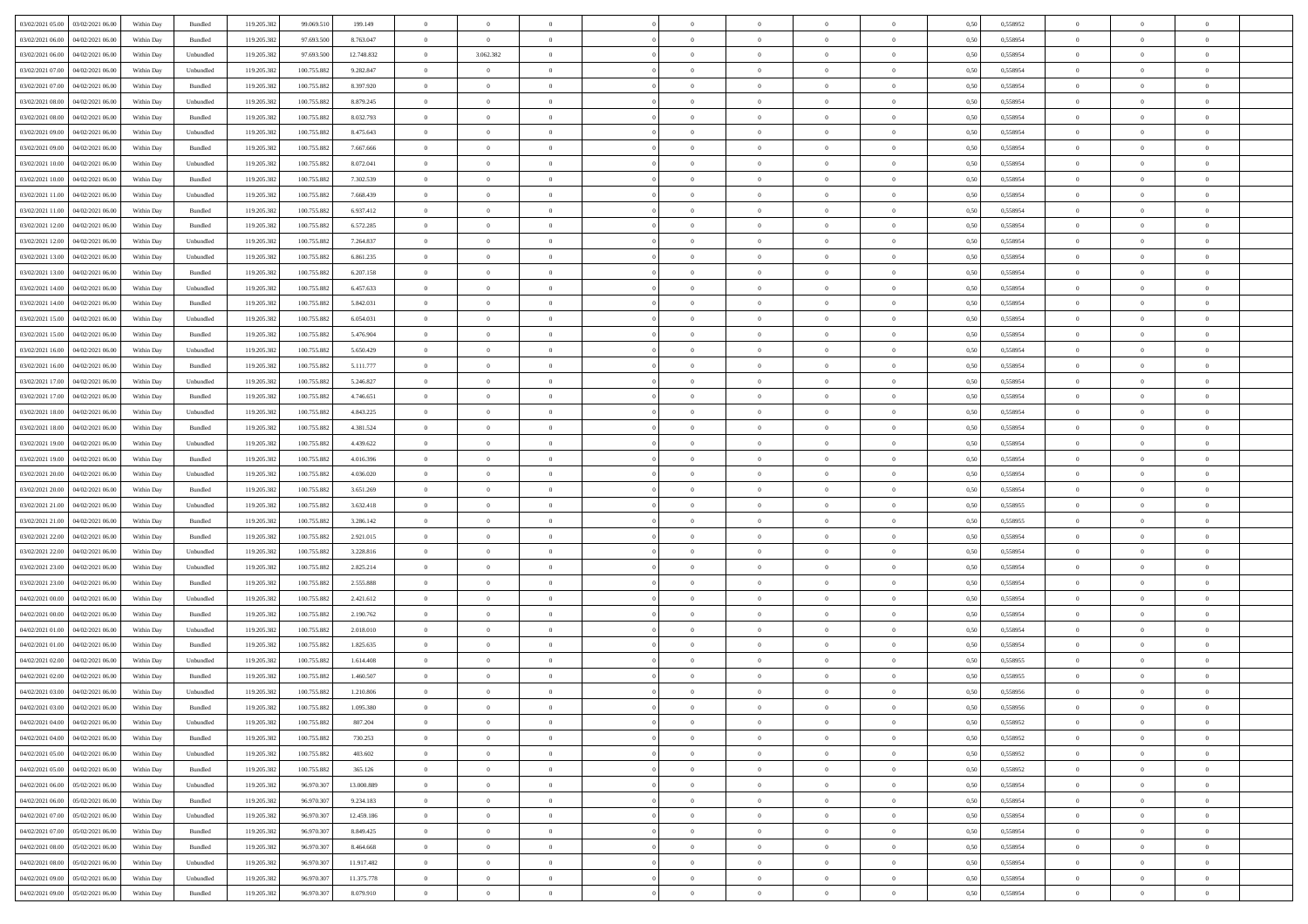| 03/02/2021 05:00 03/02/2021 06:00              | Within Day | Bundled            | 119.205.382 | 99.069.510  | 199.149    | $\overline{0}$ | $\overline{0}$ |                | $\overline{0}$ | $\theta$       |                | $\theta$       | 0,50 | 0,558952 | $\theta$       | $\theta$       | $\theta$       |  |
|------------------------------------------------|------------|--------------------|-------------|-------------|------------|----------------|----------------|----------------|----------------|----------------|----------------|----------------|------|----------|----------------|----------------|----------------|--|
| 03/02/2021 06:00<br>04/02/2021 06.00           | Within Day | Bundled            | 119.205.38  | 97.693.500  | 8.763.047  | $\bf{0}$       | $\bf{0}$       | $\bf{0}$       | $\bf{0}$       | $\overline{0}$ | $\overline{0}$ | $\bf{0}$       | 0,50 | 0,558954 | $\,$ 0 $\,$    | $\bf{0}$       | $\overline{0}$ |  |
| 03/02/2021 06:00<br>04/02/2021 06:00           | Within Day | Unbundled          | 119.205.382 | 97,693,500  | 12.748.832 | $\overline{0}$ | 3.062.382      | $\overline{0}$ | $\bf{0}$       | $\bf{0}$       | $\overline{0}$ | $\bf{0}$       | 0.50 | 0.558954 | $\bf{0}$       | $\overline{0}$ | $\overline{0}$ |  |
| 03/02/2021 07:00<br>04/02/2021 06:00           | Within Day | Unbundled          | 119.205.382 | 100.755.882 | 9.282.847  | $\overline{0}$ | $\overline{0}$ | $\overline{0}$ | $\theta$       | $\theta$       | $\overline{0}$ | $\bf{0}$       | 0,50 | 0,558954 | $\theta$       | $\theta$       | $\overline{0}$ |  |
| 03/02/2021 07:00<br>04/02/2021 06.00           | Within Day | Bundled            | 119.205.38  | 100.755.882 | 8.397.920  | $\bf{0}$       | $\overline{0}$ | $\bf{0}$       | $\overline{0}$ | $\theta$       | $\overline{0}$ | $\bf{0}$       | 0,50 | 0,558954 | $\,$ 0 $\,$    | $\bf{0}$       | $\overline{0}$ |  |
|                                                |            |                    |             |             |            |                |                |                |                |                |                |                |      |          |                |                |                |  |
| 03/02/2021 08:00<br>04/02/2021 06:00           | Within Day | Unbundled          | 119.205.38  | 100.755.882 | 8.879.245  | $\overline{0}$ | $\overline{0}$ | $\overline{0}$ | $\bf{0}$       | $\overline{0}$ | $\theta$       | $\bf{0}$       | 0.50 | 0.558954 | $\,$ 0 $\,$    | $\theta$       | $\overline{0}$ |  |
| 03/02/2021 08:00<br>04/02/2021 06:00           | Within Day | Bundled            | 119.205.38  | 100.755.882 | 8.032.793  | $\overline{0}$ | $\overline{0}$ | $\overline{0}$ | $\overline{0}$ | $\overline{0}$ | $\overline{0}$ | $\bf{0}$       | 0,50 | 0,558954 | $\theta$       | $\theta$       | $\overline{0}$ |  |
| 03/02/2021 09:00<br>04/02/2021 06.00           | Within Day | Unbundled          | 119.205.38  | 100.755.88  | 8.475.643  | $\bf{0}$       | $\bf{0}$       | $\bf{0}$       | $\overline{0}$ | $\overline{0}$ | $\overline{0}$ | $\bf{0}$       | 0,50 | 0,558954 | $\,$ 0 $\,$    | $\bf{0}$       | $\overline{0}$ |  |
| 03/02/2021 09:00<br>04/02/2021 06:00           | Within Day | Bundled            | 119,205.38  | 100.755.882 | 7.667.666  | $\overline{0}$ | $\bf{0}$       | $\overline{0}$ | $\bf{0}$       | $\overline{0}$ | $\overline{0}$ | $\bf{0}$       | 0.50 | 0.558954 | $\bf{0}$       | $\overline{0}$ | $\overline{0}$ |  |
| 03/02/2021 10:00<br>04/02/2021 06:00           | Within Day | Unbundled          | 119.205.382 | 100.755.882 | 8.072.041  | $\overline{0}$ | $\bf{0}$       | $\overline{0}$ | $\overline{0}$ | $\overline{0}$ | $\overline{0}$ | $\bf{0}$       | 0,50 | 0,558954 | $\,$ 0 $\,$    | $\bf{0}$       | $\overline{0}$ |  |
| 03/02/2021 10:00<br>04/02/2021 06.00           | Within Day | Bundled            | 119.205.38  | 100.755.882 | 7.302.539  | $\bf{0}$       | $\overline{0}$ | $\bf{0}$       | $\bf{0}$       | $\bf{0}$       | $\overline{0}$ | $\bf{0}$       | 0,50 | 0,558954 | $\,$ 0 $\,$    | $\bf{0}$       | $\overline{0}$ |  |
|                                                |            |                    |             |             |            |                |                |                |                |                |                |                |      |          |                |                |                |  |
| 03/02/2021 11:00<br>04/02/2021 06:00           | Within Day | Unbundled          | 119.205.382 | 100.755.882 | 7.668.439  | $\overline{0}$ | $\bf{0}$       | $\overline{0}$ | $\overline{0}$ | $\bf{0}$       | $\overline{0}$ | $\bf{0}$       | 0.50 | 0.558954 | $\bf{0}$       | $\overline{0}$ | $\,$ 0         |  |
| 03/02/2021 11:00<br>04/02/2021 06:00           | Within Day | Bundled            | 119.205.38  | 100.755.882 | 6.937.412  | $\overline{0}$ | $\overline{0}$ | $\overline{0}$ | $\theta$       | $\theta$       | $\overline{0}$ | $\bf{0}$       | 0,50 | 0,558954 | $\theta$       | $\theta$       | $\overline{0}$ |  |
| 03/02/2021 12:00<br>04/02/2021 06.00           | Within Day | Bundled            | 119.205.38  | 100.755.88  | 6.572.285  | $\bf{0}$       | $\overline{0}$ | $\bf{0}$       | $\overline{0}$ | $\bf{0}$       | $\overline{0}$ | $\bf{0}$       | 0,50 | 0,558954 | $\,$ 0 $\,$    | $\bf{0}$       | $\overline{0}$ |  |
| 03/02/2021 12:00<br>04/02/2021 06:00           | Within Day | Unbundled          | 119.205.38  | 100.755.882 | 7.264.837  | $\overline{0}$ | $\bf{0}$       | $\overline{0}$ | $\bf{0}$       | $\overline{0}$ | $\theta$       | $\bf{0}$       | 0.50 | 0.558954 | $\,$ 0 $\,$    | $\theta$       | $\overline{0}$ |  |
| 03/02/2021 13:00<br>04/02/2021 06:00           | Within Day | Unbundled          | 119.205.382 | 100.755.882 | 6.861.235  | $\overline{0}$ | $\overline{0}$ | $\overline{0}$ | $\overline{0}$ | $\overline{0}$ | $\overline{0}$ | $\bf{0}$       | 0,50 | 0,558954 | $\theta$       | $\theta$       | $\overline{0}$ |  |
| 03/02/2021 13:00<br>04/02/2021 06.00           | Within Day | Bundled            | 119.205.38  | 100.755.882 | 6.207.158  | $\bf{0}$       | $\bf{0}$       | $\bf{0}$       | $\overline{0}$ | $\bf{0}$       | $\overline{0}$ | $\bf{0}$       | 0,50 | 0,558954 | $\,$ 0 $\,$    | $\bf{0}$       | $\overline{0}$ |  |
| 03/02/2021 14:00<br>04/02/2021 06:00           | Within Day | Unbundled          | 119.205.38  | 100.755.882 | 6.457.633  | $\overline{0}$ | $\bf{0}$       | $\overline{0}$ | $\bf{0}$       | $\overline{0}$ | $\overline{0}$ | $\bf{0}$       | 0.50 | 0.558954 | $\bf{0}$       | $\overline{0}$ | $\overline{0}$ |  |
| 03/02/2021 14:00<br>04/02/2021 06:00           |            |                    | 119.205.382 |             |            | $\overline{0}$ | $\bf{0}$       | $\overline{0}$ | $\overline{0}$ | $\overline{0}$ | $\overline{0}$ |                |      |          | $\,$ 0 $\,$    | $\bf{0}$       | $\overline{0}$ |  |
|                                                | Within Day | Bundled            |             | 100.755.882 | 5.842.031  |                |                |                |                |                |                | $\bf{0}$       | 0,50 | 0,558954 |                |                |                |  |
| 03/02/2021 15:00<br>04/02/2021 06.00           | Within Day | Unbundled          | 119.205.38  | 100.755.882 | 6.054.031  | $\bf{0}$       | $\bf{0}$       | $\bf{0}$       | $\bf{0}$       | $\overline{0}$ | $\overline{0}$ | $\bf{0}$       | 0,50 | 0,558954 | $\,$ 0 $\,$    | $\bf{0}$       | $\overline{0}$ |  |
| 03/02/2021 15:00<br>04/02/2021 06:00           | Within Day | Bundled            | 119.205.382 | 100.755.882 | 5.476.904  | $\overline{0}$ | $\bf{0}$       | $\overline{0}$ | $\overline{0}$ | $\bf{0}$       | $\overline{0}$ | $\bf{0}$       | 0.50 | 0.558954 | $\bf{0}$       | $\overline{0}$ | $\,$ 0         |  |
| 03/02/2021 16:00<br>04/02/2021 06:00           | Within Day | Unbundled          | 119.205.38  | 100.755.882 | 5.650.429  | $\overline{0}$ | $\overline{0}$ | $\overline{0}$ | $\theta$       | $\theta$       | $\overline{0}$ | $\bf{0}$       | 0,50 | 0,558954 | $\theta$       | $\theta$       | $\overline{0}$ |  |
| 03/02/2021 16:00<br>04/02/2021 06.00           | Within Day | Bundled            | 119.205.38  | 100.755.882 | 5.111.777  | $\bf{0}$       | $\overline{0}$ | $\bf{0}$       | $\bf{0}$       | $\,$ 0 $\,$    | $\overline{0}$ | $\bf{0}$       | 0,50 | 0,558954 | $\,$ 0 $\,$    | $\bf{0}$       | $\overline{0}$ |  |
| 03/02/2021 17:00<br>04/02/2021 06:00           | Within Day | Unbundled          | 119.205.38  | 100.755.882 | 5.246.827  | $\overline{0}$ | $\bf{0}$       | $\overline{0}$ | $\bf{0}$       | $\overline{0}$ | $\theta$       | $\bf{0}$       | 0.50 | 0.558954 | $\,$ 0 $\,$    | $\theta$       | $\overline{0}$ |  |
| 03/02/2021 17:00<br>04/02/2021 06:00           | Within Day | Bundled            | 119.205.38  | 100.755.882 | 4.746.651  | $\overline{0}$ | $\overline{0}$ | $\overline{0}$ | $\overline{0}$ | $\overline{0}$ | $\overline{0}$ | $\bf{0}$       | 0,50 | 0,558954 | $\theta$       | $\theta$       | $\overline{0}$ |  |
| 03/02/2021 18:00<br>04/02/2021 06.00           | Within Day | Unbundled          | 119.205.38  | 100.755.88  | 4.843.225  | $\bf{0}$       | $\overline{0}$ | $\bf{0}$       | $\overline{0}$ | $\bf{0}$       | $\overline{0}$ | $\bf{0}$       | 0,50 | 0,558954 | $\,$ 0 $\,$    | $\bf{0}$       | $\overline{0}$ |  |
|                                                |            |                    |             |             |            |                |                |                |                |                |                |                |      |          |                |                |                |  |
| 03/02/2021 18:00<br>04/02/2021 06:00           | Within Day | Bundled            | 119,205.38  | 100.755.882 | 4.381.524  | $\overline{0}$ | $\bf{0}$       | $\overline{0}$ | $\bf{0}$       | $\overline{0}$ | $\overline{0}$ | $\bf{0}$       | 0.50 | 0.558954 | $\bf{0}$       | $\overline{0}$ | $\overline{0}$ |  |
| 03/02/2021 19:00<br>04/02/2021 06:00           | Within Day | Unbundled          | 119.205.382 | 100.755.882 | 4.439.622  | $\overline{0}$ | $\bf{0}$       | $\overline{0}$ | $\overline{0}$ | $\overline{0}$ | $\overline{0}$ | $\bf{0}$       | 0,50 | 0,558954 | $\theta$       | $\theta$       | $\overline{0}$ |  |
| 03/02/2021 19:00<br>04/02/2021 06.00           | Within Day | Bundled            | 119.205.38  | 100.755.882 | 4.016.396  | $\bf{0}$       | $\bf{0}$       | $\bf{0}$       | $\bf{0}$       | $\overline{0}$ | $\overline{0}$ | $\bf{0}$       | 0,50 | 0,558954 | $\,$ 0 $\,$    | $\bf{0}$       | $\overline{0}$ |  |
| 03/02/2021 20:00<br>04/02/2021 06:00           | Within Day | Unbundled          | 119.205.38  | 100.755.882 | 4.036.020  | $\overline{0}$ | $\bf{0}$       | $\overline{0}$ | $\bf{0}$       | $\bf{0}$       | $\overline{0}$ | $\bf{0}$       | 0.50 | 0.558954 | $\bf{0}$       | $\overline{0}$ | $\,$ 0         |  |
| 03/02/2021 20:00<br>04/02/2021 06:00           | Within Day | Bundled            | 119.205.38  | 100.755.882 | 3.651.269  | $\overline{0}$ | $\overline{0}$ | $\overline{0}$ | $\overline{0}$ | $\overline{0}$ | $\overline{0}$ | $\bf{0}$       | 0.50 | 0,558954 | $\theta$       | $\theta$       | $\overline{0}$ |  |
| 03/02/2021 21:00<br>04/02/2021 06.00           | Within Day | Unbundled          | 119.205.38  | 100.755.882 | 3.632.418  | $\bf{0}$       | $\overline{0}$ | $\bf{0}$       | $\bf{0}$       | $\,$ 0 $\,$    | $\overline{0}$ | $\bf{0}$       | 0,50 | 0,558955 | $\,$ 0 $\,$    | $\bf{0}$       | $\overline{0}$ |  |
| 03/02/2021 21:00<br>04/02/2021 06.00           | Within Day | Bundled            | 119.205.38  | 100.755.882 | 3.286.142  | $\overline{0}$ | $\bf{0}$       | $\overline{0}$ | $\bf{0}$       | $\overline{0}$ | $\Omega$       | $\bf{0}$       | 0.50 | 0.558955 | $\,$ 0 $\,$    | $\bf{0}$       | $\overline{0}$ |  |
| 03/02/2021 22:00<br>04/02/2021 06:00           | Within Dav | Bundled            | 119.205.382 | 100.755.882 | 2.921.015  | $\overline{0}$ | $\overline{0}$ | $\overline{0}$ | $\overline{0}$ | $\theta$       | $\overline{0}$ | $\bf{0}$       | 0.5( | 0,558954 | $\theta$       | $\theta$       | $\overline{0}$ |  |
|                                                |            |                    |             |             |            |                |                |                |                |                |                |                |      |          |                |                |                |  |
| 03/02/2021 22:00<br>04/02/2021 06.00           | Within Day | Unbundled          | 119.205.38  | 100.755.882 | 3.228.816  | $\bf{0}$       | $\bf{0}$       | $\bf{0}$       | $\bf{0}$       | $\bf{0}$       | $\overline{0}$ | $\bf{0}$       | 0,50 | 0,558954 | $\,$ 0 $\,$    | $\bf{0}$       | $\overline{0}$ |  |
| 03/02/2021 23:00<br>04/02/2021 06:00           | Within Day | Unbundled          | 119.205.38  | 100.755.882 | 2.825.214  | $\overline{0}$ | $\bf{0}$       | $\overline{0}$ | $\bf{0}$       | $\overline{0}$ | $\overline{0}$ | $\bf{0}$       | 0.50 | 0.558954 | $\bf{0}$       | $\overline{0}$ | $\overline{0}$ |  |
| 03/02/2021 23:00<br>04/02/2021 06:00           | Within Day | Bundled            | 119.205.38  | 100.755.882 | 2.555.888  | $\overline{0}$ | $\overline{0}$ | $\overline{0}$ | $\overline{0}$ | $\overline{0}$ | $\overline{0}$ | $\bf{0}$       | 0.50 | 0,558954 | $\theta$       | $\theta$       | $\overline{0}$ |  |
| 04/02/2021 00:00<br>04/02/2021 06.00           | Within Day | Unbundled          | 119.205.38  | 100.755.88  | 2.421.612  | $\bf{0}$       | $\bf{0}$       | $\bf{0}$       | $\bf{0}$       | $\overline{0}$ | $\overline{0}$ | $\bf{0}$       | 0,50 | 0,558954 | $\,$ 0 $\,$    | $\bf{0}$       | $\overline{0}$ |  |
| 04/02/2021 00:00<br>04/02/2021 06:00           | Within Day | Bundled            | 119.205.382 | 100.755.882 | 2.190.762  | $\overline{0}$ | $\bf{0}$       | $\overline{0}$ | $\overline{0}$ | $\bf{0}$       | $\overline{0}$ | $\bf{0}$       | 0.50 | 0.558954 | $\bf{0}$       | $\overline{0}$ | $\overline{0}$ |  |
| 04/02/2021 01:00<br>04/02/2021 06:00           | Within Dav | Unbundled          | 119.205.382 | 100.755.882 | 2.018.010  | $\overline{0}$ | $\overline{0}$ | $\overline{0}$ | $\overline{0}$ | $\overline{0}$ | $\overline{0}$ | $\bf{0}$       | 0.50 | 0,558954 | $\theta$       | $\theta$       | $\overline{0}$ |  |
| 04/02/2021 01:00<br>04/02/2021 06.00           | Within Day | Bundled            | 119.205.38  | 100.755.882 | 1.825.635  | $\bf{0}$       | $\bf{0}$       | $\bf{0}$       | $\bf{0}$       | $\overline{0}$ | $\overline{0}$ | $\bf{0}$       | 0,50 | 0,558954 | $\,$ 0 $\,$    | $\bf{0}$       | $\overline{0}$ |  |
| 04/02/2021 02:00<br>04/02/2021 06.00           | Within Day | Unbundled          | 119.205.38  | 100.755.882 | 1.614.408  | $\overline{0}$ | $\overline{0}$ | $\overline{0}$ | $\bf{0}$       | $\overline{0}$ | $\Omega$       | $\bf{0}$       | 0.50 | 0.558955 | $\bf{0}$       | $\theta$       | $\overline{0}$ |  |
| 04/02/2021 06:00                               | Within Dav | Bundled            | 119.205.38  | 100.755.882 | 1.460.507  | $\overline{0}$ | $\overline{0}$ | $\Omega$       |                | $\theta$       | $\overline{0}$ | $\overline{0}$ | 0.5( | 0,558955 | $\theta$       | $\theta$       | $\overline{0}$ |  |
| 04/02/2021 02:00                               |            |                    |             |             |            |                |                |                | $\overline{0}$ |                |                |                |      |          |                |                |                |  |
| 04/02/2021 03:00<br>04/02/2021 06:00           | Within Day | Unbundled          | 119.205.382 | 100.755.882 | 1.210.806  | $\bf{0}$       | $\bf{0}$       | $\bf{0}$       | $\bf{0}$       | $\bf{0}$       | $\overline{0}$ | $\bf{0}$       | 0,50 | 0,558956 | $\overline{0}$ | $\overline{0}$ | $\overline{0}$ |  |
| $04/02/2021\; 03.00 \qquad 04/02/2021\; 06.00$ | Within Day | $\mathbf B$ undled | 119.205.382 | 100.755.882 | 1.095.380  | $\bf{0}$       | $\Omega$       |                | $\Omega$       |                |                |                | 0,50 | 0.558956 | $\bf{0}$       | $\overline{0}$ |                |  |
| 04/02/2021 04:00 04/02/2021 06:00              | Within Day | Unbundled          | 119.205.382 | 100.755.882 | 807.204    | $\overline{0}$ | $\overline{0}$ | $\Omega$       | $\theta$       | $\overline{0}$ | $\overline{0}$ | $\bf{0}$       | 0,50 | 0,558952 | $\theta$       | $\overline{0}$ | $\overline{0}$ |  |
| 04/02/2021 04:00<br>04/02/2021 06:00           | Within Day | Bundled            | 119.205.38  | 100.755.882 | 730.253    | $\overline{0}$ | $\bf{0}$       | $\overline{0}$ | $\overline{0}$ | $\bf{0}$       | $\overline{0}$ | $\bf{0}$       | 0,50 | 0,558952 | $\bf{0}$       | $\overline{0}$ | $\bf{0}$       |  |
| 04/02/2021 05:00 04/02/2021 06:00              | Within Day | Unbundled          | 119.205.382 | 100.755.882 | 403.602    | $\overline{0}$ | $\bf{0}$       | $\overline{0}$ | $\overline{0}$ | $\mathbf{0}$   | $\overline{0}$ | $\,$ 0 $\,$    | 0.50 | 0.558952 | $\overline{0}$ | $\bf{0}$       | $\,$ 0 $\,$    |  |
| 04/02/2021 05:00 04/02/2021 06:00              | Within Dav | Bundled            | 119.205.382 | 100.755.882 | 365.126    | $\overline{0}$ | $\overline{0}$ | $\overline{0}$ | $\overline{0}$ | $\overline{0}$ | $\overline{0}$ | $\bf{0}$       | 0,50 | 0,558952 | $\overline{0}$ | $\theta$       | $\overline{0}$ |  |
| 04/02/2021 06:00<br>05/02/2021 06:00           | Within Day | Unbundled          | 119.205.382 | 96.970.307  | 13.000.889 | $\overline{0}$ | $\bf{0}$       | $\overline{0}$ | $\overline{0}$ | $\bf{0}$       | $\overline{0}$ | $\bf{0}$       | 0,50 | 0,558954 | $\bf{0}$       | $\overline{0}$ | $\overline{0}$ |  |
|                                                |            |                    |             |             |            |                |                |                |                |                |                |                |      |          |                |                |                |  |
| 04/02/2021 06:00 05/02/2021 06:00              | Within Day | Bundled            | 119.205.382 | 96.970.307  | 9.234.183  | $\overline{0}$ | $\bf{0}$       | $\overline{0}$ | $\overline{0}$ | $\overline{0}$ | $\overline{0}$ | $\bf{0}$       | 0.50 | 0.558954 | $\,$ 0 $\,$    | $\overline{0}$ | $\overline{0}$ |  |
| 04/02/2021 07:00<br>05/02/2021 06:00           | Within Dav | Unbundled          | 119.205.382 | 96.970.307  | 12.459.186 | $\overline{0}$ | $\overline{0}$ | $\overline{0}$ | $\overline{0}$ | $\overline{0}$ | $\overline{0}$ | $\bf{0}$       | 0.50 | 0,558954 | $\overline{0}$ | $\theta$       | $\overline{0}$ |  |
| 05/02/2021 06:00<br>04/02/2021 07:00           | Within Day | Bundled            | 119.205.38  | 96.970.307  | 8.849.425  | $\overline{0}$ | $\overline{0}$ | $\overline{0}$ | $\overline{0}$ | $\overline{0}$ | $\overline{0}$ | $\bf{0}$       | 0,50 | 0,558954 | $\bf{0}$       | $\overline{0}$ | $\,$ 0         |  |
| 04/02/2021 08:00 05/02/2021 06:00              | Within Day | Bundled            | 119.205.382 | 96.970.307  | 8.464.668  | $\overline{0}$ | $\overline{0}$ | $\overline{0}$ | $\overline{0}$ | $\overline{0}$ | $\overline{0}$ | $\bf{0}$       | 0.50 | 0.558954 | $\mathbf{0}$   | $\bf{0}$       | $\,$ 0         |  |
| 04/02/2021 08:00 05/02/2021 06:00              | Within Dav | Unbundled          | 119.205.382 | 96.970.307  | 11.917.482 | $\overline{0}$ | $\overline{0}$ | $\overline{0}$ | $\overline{0}$ | $\overline{0}$ | $\overline{0}$ | $\bf{0}$       | 0,50 | 0,558954 | $\overline{0}$ | $\theta$       | $\overline{0}$ |  |
| 04/02/2021 09:00<br>05/02/2021 06:00           | Within Day | Unbundled          | 119.205.38  | 96.970.30   | 11.375.778 | $\overline{0}$ | $\bf{0}$       | $\overline{0}$ | $\bf{0}$       | $\overline{0}$ | $\bf{0}$       | $\bf{0}$       | 0,50 | 0,558954 | $\bf{0}$       | $\,0\,$        | $\bf{0}$       |  |
| 04/02/2021 09:00 05/02/2021 06:00              | Within Day | Bundled            | 119.205.382 | 96.970.307  | 8.079.910  | $\overline{0}$ | $\bf{0}$       | $\overline{0}$ | $\overline{0}$ | $\,$ 0 $\,$    | $\overline{0}$ | $\bf{0}$       | 0,50 | 0,558954 | $\overline{0}$ | $\,$ 0 $\,$    | $\,$ 0 $\,$    |  |
|                                                |            |                    |             |             |            |                |                |                |                |                |                |                |      |          |                |                |                |  |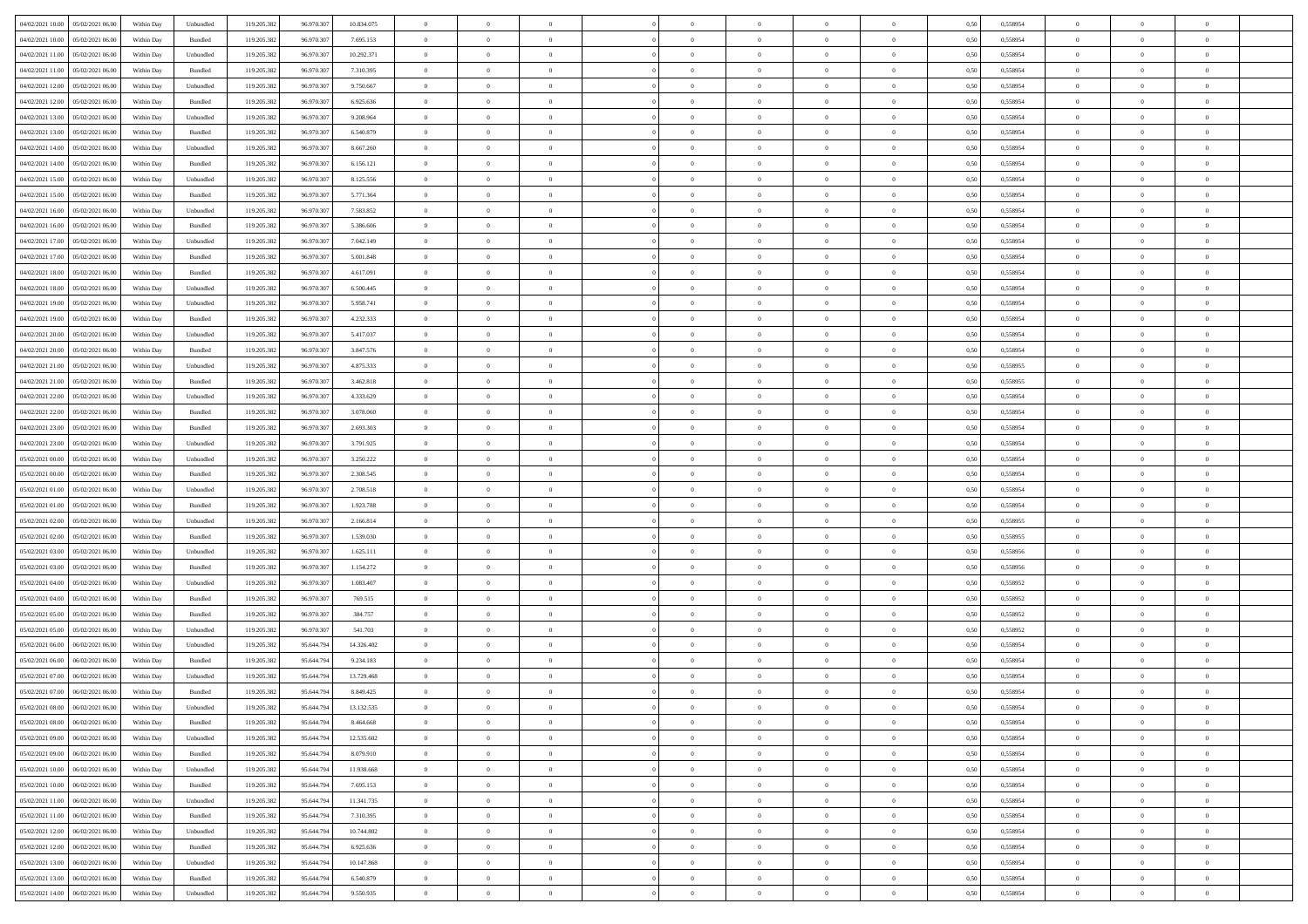|                                                |            |                             |             |            |            | $\overline{0}$ | $\overline{0}$ |                | $\overline{0}$ | $\theta$       |                | $\theta$       |      |          | $\theta$       | $\theta$       | $\theta$       |  |
|------------------------------------------------|------------|-----------------------------|-------------|------------|------------|----------------|----------------|----------------|----------------|----------------|----------------|----------------|------|----------|----------------|----------------|----------------|--|
| 04/02/2021 10:00 05/02/2021 06:00              | Within Day | Unbundled                   | 119.205.382 | 96.970.307 | 10.834.075 |                |                |                |                |                |                |                | 0,50 | 0,558954 |                |                |                |  |
| 04/02/2021 10:00<br>05/02/2021 06:00           | Within Day | Bundled                     | 119.205.38  | 96.970.30  | 7.695.153  | $\bf{0}$       | $\bf{0}$       | $\bf{0}$       | $\bf{0}$       | $\overline{0}$ | $\overline{0}$ | $\bf{0}$       | 0,50 | 0,558954 | $\,$ 0 $\,$    | $\bf{0}$       | $\overline{0}$ |  |
| 04/02/2021 11:00<br>05/02/2021 06:00           | Within Day | Unbundled                   | 119.205.382 | 96.970.30  | 10.292.371 | $\overline{0}$ | $\bf{0}$       | $\overline{0}$ | $\bf{0}$       | $\bf{0}$       | $\overline{0}$ | $\bf{0}$       | 0.50 | 0.558954 | $\bf{0}$       | $\overline{0}$ | $\overline{0}$ |  |
| 04/02/2021 11:00<br>05/02/2021 06:00           | Within Day | Bundled                     | 119.205.382 | 96.970.307 | 7.310.395  | $\overline{0}$ | $\overline{0}$ | $\overline{0}$ | $\theta$       | $\theta$       | $\overline{0}$ | $\bf{0}$       | 0,50 | 0,558954 | $\theta$       | $\theta$       | $\overline{0}$ |  |
| 04/02/2021 12:00<br>05/02/2021 06.00           | Within Day | Unbundled                   | 119.205.38  | 96.970.30  | 9.750.667  | $\bf{0}$       | $\overline{0}$ | $\bf{0}$       | $\overline{0}$ | $\theta$       | $\overline{0}$ | $\bf{0}$       | 0,50 | 0,558954 | $\,$ 0 $\,$    | $\bf{0}$       | $\overline{0}$ |  |
|                                                |            |                             |             |            |            |                |                |                |                |                |                |                |      |          |                |                |                |  |
| 04/02/2021 12:00<br>05/02/2021 06:00           | Within Day | Bundled                     | 119,205.38  | 96.970.30  | 6.925.636  | $\overline{0}$ | $\overline{0}$ | $\overline{0}$ | $\bf{0}$       | $\overline{0}$ | $\theta$       | $\bf{0}$       | 0.50 | 0.558954 | $\,$ 0 $\,$    | $\theta$       | $\overline{0}$ |  |
| 04/02/2021 13:00<br>05/02/2021 06:00           | Within Day | Unbundled                   | 119.205.382 | 96.970.307 | 9.208.964  | $\overline{0}$ | $\overline{0}$ | $\overline{0}$ | $\overline{0}$ | $\overline{0}$ | $\overline{0}$ | $\bf{0}$       | 0,50 | 0,558954 | $\theta$       | $\theta$       | $\overline{0}$ |  |
| 04/02/2021 13:00<br>05/02/2021 06.00           | Within Day | Bundled                     | 119.205.38  | 96.970.30  | 6.540.879  | $\bf{0}$       | $\bf{0}$       | $\bf{0}$       | $\overline{0}$ | $\overline{0}$ | $\overline{0}$ | $\bf{0}$       | 0,50 | 0,558954 | $\,$ 0 $\,$    | $\bf{0}$       | $\overline{0}$ |  |
| 04/02/2021 14:00<br>05/02/2021 06:00           | Within Day | Unbundled                   | 119,205.38  | 96.970.30  | 8.667.260  | $\overline{0}$ | $\bf{0}$       | $\overline{0}$ | $\bf{0}$       | $\overline{0}$ | $\overline{0}$ | $\bf{0}$       | 0.50 | 0.558954 | $\bf{0}$       | $\overline{0}$ | $\overline{0}$ |  |
| 04/02/2021 14:00<br>05/02/2021 06:00           | Within Day | Bundled                     | 119.205.382 | 96.970.307 | 6.156.121  | $\overline{0}$ | $\bf{0}$       | $\overline{0}$ | $\overline{0}$ | $\overline{0}$ | $\overline{0}$ | $\bf{0}$       | 0,50 | 0,558954 | $\,$ 0 $\,$    | $\bf{0}$       | $\overline{0}$ |  |
| 04/02/2021 15:00<br>05/02/2021 06.00           | Within Day | Unbundled                   | 119.205.38  | 96.970.30  | 8.125.556  | $\bf{0}$       | $\overline{0}$ | $\bf{0}$       | $\bf{0}$       | $\bf{0}$       | $\overline{0}$ | $\bf{0}$       | 0,50 | 0,558954 | $\,$ 0 $\,$    | $\bf{0}$       | $\overline{0}$ |  |
| 04/02/2021 15:00<br>05/02/2021 06:00           | Within Day | Bundled                     | 119.205.382 | 96.970.30  | 5.771.364  | $\overline{0}$ | $\bf{0}$       | $\overline{0}$ | $\overline{0}$ | $\bf{0}$       | $\overline{0}$ | $\bf{0}$       | 0.50 | 0.558954 | $\bf{0}$       | $\overline{0}$ | $\,$ 0         |  |
|                                                |            |                             |             |            |            | $\overline{0}$ | $\overline{0}$ | $\overline{0}$ | $\theta$       | $\theta$       | $\overline{0}$ |                |      |          | $\,$ 0 $\,$    | $\theta$       |                |  |
| 04/02/2021 16:00<br>05/02/2021 06:00           | Within Day | Unbundled                   | 119.205.38  | 96.970.307 | 7.583.852  |                |                |                |                |                |                | $\bf{0}$       | 0,50 | 0,558954 |                |                | $\overline{0}$ |  |
| 04/02/2021 16:00<br>05/02/2021 06.00           | Within Day | Bundled                     | 119.205.38  | 96.970.30  | 5.386.606  | $\bf{0}$       | $\overline{0}$ | $\bf{0}$       | $\overline{0}$ | $\bf{0}$       | $\overline{0}$ | $\bf{0}$       | 0,50 | 0,558954 | $\,$ 0 $\,$    | $\bf{0}$       | $\overline{0}$ |  |
| 04/02/2021 17:00<br>05/02/2021 06:00           | Within Day | Unbundled                   | 119,205.38  | 96.970.30  | 7.042.149  | $\overline{0}$ | $\bf{0}$       | $\overline{0}$ | $\bf{0}$       | $\overline{0}$ | $\theta$       | $\bf{0}$       | 0.50 | 0.558954 | $\,$ 0 $\,$    | $\theta$       | $\overline{0}$ |  |
| 04/02/2021 17:00<br>05/02/2021 06:00           | Within Day | Bundled                     | 119.205.382 | 96.970.307 | 5.001.848  | $\overline{0}$ | $\overline{0}$ | $\overline{0}$ | $\overline{0}$ | $\overline{0}$ | $\overline{0}$ | $\bf{0}$       | 0,50 | 0,558954 | $\theta$       | $\theta$       | $\overline{0}$ |  |
| 04/02/2021 18:00<br>05/02/2021 06.00           | Within Day | Bundled                     | 119.205.38  | 96.970.30  | 4.617.091  | $\bf{0}$       | $\bf{0}$       | $\bf{0}$       | $\overline{0}$ | $\bf{0}$       | $\overline{0}$ | $\bf{0}$       | 0,50 | 0,558954 | $\,$ 0 $\,$    | $\bf{0}$       | $\overline{0}$ |  |
| 04/02/2021 18:00<br>05/02/2021 06:00           | Within Day | Unbundled                   | 119,205.38  | 96.970.30  | 6.500.445  | $\overline{0}$ | $\bf{0}$       | $\overline{0}$ | $\bf{0}$       | $\overline{0}$ | $\overline{0}$ | $\bf{0}$       | 0.50 | 0.558954 | $\bf{0}$       | $\overline{0}$ | $\overline{0}$ |  |
| 04/02/2021 19:00<br>05/02/2021 06:00           | Within Day | Unbundled                   | 119.205.382 | 96.970.307 | 5.958.741  | $\overline{0}$ | $\bf{0}$       | $\overline{0}$ | $\overline{0}$ | $\overline{0}$ | $\overline{0}$ | $\bf{0}$       | 0,50 | 0,558954 | $\,$ 0 $\,$    | $\bf{0}$       | $\overline{0}$ |  |
| 05/02/2021 06.00                               | Within Day | Bundled                     |             | 96.970.30  | 4.232.333  | $\bf{0}$       | $\bf{0}$       | $\bf{0}$       | $\bf{0}$       | $\overline{0}$ | $\overline{0}$ | $\bf{0}$       | 0,50 | 0,558954 | $\,$ 0 $\,$    | $\bf{0}$       | $\overline{0}$ |  |
| 04/02/2021 19:00                               |            |                             | 119.205.38  |            |            |                |                |                |                |                |                |                |      |          |                |                |                |  |
| 04/02/2021 20:00<br>05/02/2021 06:00           | Within Day | Unbundled                   | 119.205.382 | 96.970.307 | 5.417.037  | $\overline{0}$ | $\bf{0}$       | $\overline{0}$ | $\overline{0}$ | $\bf{0}$       | $\overline{0}$ | $\bf{0}$       | 0.50 | 0.558954 | $\bf{0}$       | $\overline{0}$ | $\overline{0}$ |  |
| 04/02/2021 20:00<br>05/02/2021 06:00           | Within Day | Bundled                     | 119.205.382 | 96.970.307 | 3.847.576  | $\overline{0}$ | $\overline{0}$ | $\overline{0}$ | $\overline{0}$ | $\theta$       | $\overline{0}$ | $\bf{0}$       | 0,50 | 0,558954 | $\theta$       | $\theta$       | $\overline{0}$ |  |
| 04/02/2021 21:00<br>05/02/2021 06.00           | Within Day | Unbundled                   | 119.205.38  | 96.970.30  | 4.875.333  | $\bf{0}$       | $\bf{0}$       | $\bf{0}$       | $\bf{0}$       | $\overline{0}$ | $\overline{0}$ | $\bf{0}$       | 0,50 | 0,558955 | $\,$ 0 $\,$    | $\bf{0}$       | $\overline{0}$ |  |
| 04/02/2021 21:00<br>05/02/2021 06:00           | Within Day | Bundled                     | 119,205.38  | 96.970.30  | 3.462.818  | $\overline{0}$ | $\bf{0}$       | $\overline{0}$ | $\bf{0}$       | $\overline{0}$ | $\theta$       | $\bf{0}$       | 0.50 | 0.558955 | $\,$ 0 $\,$    | $\theta$       | $\overline{0}$ |  |
| 04/02/2021 22:00<br>05/02/2021 06:00           | Within Day | Unbundled                   | 119.205.382 | 96.970.307 | 4.333.629  | $\overline{0}$ | $\overline{0}$ | $\overline{0}$ | $\overline{0}$ | $\overline{0}$ | $\overline{0}$ | $\bf{0}$       | 0,50 | 0,558954 | $\,$ 0 $\,$    | $\theta$       | $\overline{0}$ |  |
| 04/02/2021 22:00<br>05/02/2021 06.00           | Within Day | Bundled                     | 119.205.38  | 96.970.30  | 3.078.060  | $\bf{0}$       | $\overline{0}$ | $\bf{0}$       | $\overline{0}$ | $\bf{0}$       | $\overline{0}$ | $\bf{0}$       | 0,50 | 0,558954 | $\,$ 0 $\,$    | $\bf{0}$       | $\overline{0}$ |  |
| 04/02/2021 23:00<br>05/02/2021 06:00           | Within Day | Bundled                     | 119,205.38  | 96.970.30  | 2.693.303  | $\overline{0}$ | $\bf{0}$       | $\overline{0}$ | $\bf{0}$       | $\overline{0}$ | $\overline{0}$ | $\bf{0}$       | 0.50 | 0.558954 | $\bf{0}$       | $\overline{0}$ | $\overline{0}$ |  |
| 04/02/2021 23:00<br>05/02/2021 06:00           |            |                             | 119.205.382 | 96.970.307 |            | $\overline{0}$ | $\bf{0}$       | $\overline{0}$ | $\overline{0}$ | $\overline{0}$ | $\overline{0}$ |                |      |          | $\theta$       | $\theta$       | $\overline{0}$ |  |
|                                                | Within Day | Unbundled                   |             |            | 3.791.925  |                |                |                |                |                |                | $\bf{0}$       | 0,50 | 0,558954 |                |                |                |  |
| 05/02/2021 00:00<br>05/02/2021 06.00           | Within Day | Unbundled                   | 119.205.38  | 96.970.30  | 3.250.222  | $\bf{0}$       | $\bf{0}$       | $\bf{0}$       | $\bf{0}$       | $\overline{0}$ | $\overline{0}$ | $\bf{0}$       | 0,50 | 0,558954 | $\,$ 0 $\,$    | $\bf{0}$       | $\overline{0}$ |  |
| 05/02/2021 00:00<br>05/02/2021 06:00           | Within Day | Bundled                     | 119.205.382 | 96.970.30  | 2.308.545  | $\overline{0}$ | $\bf{0}$       | $\overline{0}$ | $\bf{0}$       | $\bf{0}$       | $\overline{0}$ | $\bf{0}$       | 0.50 | 0.558954 | $\bf{0}$       | $\overline{0}$ | $\bf{0}$       |  |
| 05/02/2021 01:00<br>05/02/2021 06:00           | Within Day | Unbundled                   | 119.205.382 | 96.970.307 | 2.708.518  | $\overline{0}$ | $\overline{0}$ | $\overline{0}$ | $\overline{0}$ | $\overline{0}$ | $\overline{0}$ | $\bf{0}$       | 0.50 | 0.558954 | $\theta$       | $\theta$       | $\overline{0}$ |  |
| 05/02/2021 01:00<br>05/02/2021 06.00           | Within Day | Bundled                     | 119.205.38  | 96.970.30  | 1.923.788  | $\bf{0}$       | $\overline{0}$ | $\bf{0}$       | $\bf{0}$       | $\overline{0}$ | $\overline{0}$ | $\bf{0}$       | 0,50 | 0,558954 | $\,$ 0 $\,$    | $\bf{0}$       | $\overline{0}$ |  |
| 05/02/2021 02:00<br>05/02/2021 06:00           | Within Day | Unbundled                   | 119,205.38  | 96.970.30  | 2.166.814  | $\overline{0}$ | $\bf{0}$       | $\overline{0}$ | $\bf{0}$       | $\overline{0}$ | $\overline{0}$ | $\bf{0}$       | 0.50 | 0.558955 | $\,$ 0 $\,$    | $\bf{0}$       | $\overline{0}$ |  |
| 05/02/2021 02:00<br>05/02/2021 06:00           | Within Dav | Bundled                     | 119.205.382 | 96.970.307 | 1.539.030  | $\overline{0}$ | $\overline{0}$ | $\overline{0}$ | $\overline{0}$ | $\overline{0}$ | $\overline{0}$ | $\bf{0}$       | 0.50 | 0,558955 | $\theta$       | $\theta$       | $\overline{0}$ |  |
| 05/02/2021 03:00<br>05/02/2021 06.00           | Within Day | Unbundled                   | 119.205.38  | 96.970.30  | 1.625.111  | $\bf{0}$       | $\bf{0}$       | $\bf{0}$       | $\bf{0}$       | $\overline{0}$ | $\overline{0}$ | $\bf{0}$       | 0,50 | 0,558956 | $\,$ 0 $\,$    | $\bf{0}$       | $\overline{0}$ |  |
| 05/02/2021 03:00<br>05/02/2021 06:00           | Within Day | Bundled                     | 119,205.38  | 96.970.30  | 1.154.272  | $\overline{0}$ | $\bf{0}$       | $\overline{0}$ | $\bf{0}$       | $\overline{0}$ | $\overline{0}$ | $\bf{0}$       | 0.50 | 0.558956 | $\bf{0}$       | $\overline{0}$ | $\overline{0}$ |  |
|                                                |            |                             |             |            |            |                |                |                |                |                |                |                |      |          |                |                |                |  |
| 05/02/2021 04:00<br>05/02/2021 06:00           | Within Day | Unbundled                   | 119.205.38  | 96.970.307 | 1.083.407  | $\overline{0}$ | $\overline{0}$ | $\overline{0}$ | $\overline{0}$ | $\overline{0}$ | $\overline{0}$ | $\bf{0}$       | 0.50 | 0,558952 | $\theta$       | $\theta$       | $\overline{0}$ |  |
| 05/02/2021 04:00<br>05/02/2021 06.00           | Within Day | Bundled                     | 119.205.38  | 96.970.30  | 769.515    | $\bf{0}$       | $\bf{0}$       | $\bf{0}$       | $\bf{0}$       | $\overline{0}$ | $\overline{0}$ | $\bf{0}$       | 0,50 | 0,558952 | $\,$ 0 $\,$    | $\bf{0}$       | $\overline{0}$ |  |
| 05/02/2021 05:00<br>05/02/2021 06:00           | Within Day | Bundled                     | 119.205.382 | 96.970.30  | 384,757    | $\overline{0}$ | $\bf{0}$       | $\overline{0}$ | $\overline{0}$ | $\bf{0}$       | $\overline{0}$ | $\bf{0}$       | 0.50 | 0.558952 | $\,$ 0 $\,$    | $\overline{0}$ | $\overline{0}$ |  |
| 05/02/2021 05:00<br>05/02/2021 06:00           | Within Day | Unbundled                   | 119.205.382 | 96.970.307 | 541.703    | $\overline{0}$ | $\overline{0}$ | $\overline{0}$ | $\overline{0}$ | $\overline{0}$ | $\overline{0}$ | $\bf{0}$       | 0.50 | 0,558952 | $\theta$       | $\theta$       | $\overline{0}$ |  |
| 05/02/2021 06:00<br>06/02/2021 06.00           | Within Day | Unbundled                   | 119.205.38  | 95.644.79  | 14.326.402 | $\bf{0}$       | $\bf{0}$       | $\bf{0}$       | $\bf{0}$       | $\overline{0}$ | $\overline{0}$ | $\bf{0}$       | 0,50 | 0,558954 | $\,$ 0 $\,$    | $\bf{0}$       | $\overline{0}$ |  |
| 05/02/2021 06:00<br>06/02/2021 06:00           | Within Day | Bundled                     | 119.205.382 | 95.644.79  | 9.234.183  | $\overline{0}$ | $\overline{0}$ | $\overline{0}$ | $\bf{0}$       | $\overline{0}$ | $\Omega$       | $\bf{0}$       | 0.50 | 0.558954 | $\bf{0}$       | $\theta$       | $\overline{0}$ |  |
| 05/02/2021 07:00<br>06/02/2021 06:00           | Within Dav | Unbundled                   | 119.205.38  | 95.644.79  | 13.729.468 | $\overline{0}$ | $\overline{0}$ | $\Omega$       | $\overline{0}$ | $\theta$       | $\overline{0}$ | $\overline{0}$ | 0.5( | 0,558954 | $\theta$       | $\theta$       | $\overline{0}$ |  |
| 05/02/2021 07:00<br>06/02/2021 06:00           | Within Day | Bundled                     | 119.205.382 | 95.644.79  | 8.849.425  | $\bf{0}$       | $\bf{0}$       | $\bf{0}$       | $\bf{0}$       | $\bf{0}$       | $\overline{0}$ | $\bf{0}$       | 0,50 | 0,558954 | $\overline{0}$ | $\bf{0}$       | $\overline{0}$ |  |
| $05/02/2021\; 08.00 \qquad 06/02/2021\; 06.00$ | Within Day | $\ensuremath{\mathsf{Unb}}$ | 119.205.382 | 95.644.794 | 13.132.535 | $\bf{0}$       | $\theta$       |                | $\Omega$       |                |                |                | 0,50 | 0.558954 | $\theta$       | $\overline{0}$ |                |  |
|                                                |            |                             |             |            |            |                |                |                |                |                |                |                |      |          |                |                |                |  |
| 05/02/2021 08:00 06/02/2021 06:00              | Within Day | Bundled                     | 119.205.382 | 95.644.794 | 8.464.668  | $\overline{0}$ | $\overline{0}$ | $\Omega$       | $\theta$       | $\overline{0}$ | $\overline{0}$ | $\bf{0}$       | 0,50 | 0,558954 | $\theta$       | $\theta$       | $\overline{0}$ |  |
| 05/02/2021 09:00<br>06/02/2021 06:00           | Within Day | Unbundled                   | 119.205.38  | 95.644.79  | 12.535.602 | $\overline{0}$ | $\bf{0}$       | $\overline{0}$ | $\overline{0}$ | $\bf{0}$       | $\overline{0}$ | $\bf{0}$       | 0,50 | 0,558954 | $\bf{0}$       | $\overline{0}$ | $\bf{0}$       |  |
| 05/02/2021 09:00   06/02/2021 06:00            | Within Day | Bundled                     | 119.205.382 | 95.644.794 | 8.079.910  | $\overline{0}$ | $\bf{0}$       | $\overline{0}$ | $\overline{0}$ | $\mathbf{0}$   | $\overline{0}$ | $\,$ 0 $\,$    | 0.50 | 0.558954 | $\overline{0}$ | $\bf{0}$       | $\,$ 0 $\,$    |  |
| 05/02/2021 10:00   06/02/2021 06:00            | Within Dav | Unbundled                   | 119.205.382 | 95.644.794 | 11.938.668 | $\overline{0}$ | $\overline{0}$ | $\overline{0}$ | $\overline{0}$ | $\overline{0}$ | $\overline{0}$ | $\bf{0}$       | 0,50 | 0,558954 | $\theta$       | $\theta$       | $\overline{0}$ |  |
| 05/02/2021 10:00<br>06/02/2021 06:00           | Within Day | Bundled                     | 119.205.382 | 95.644.794 | 7.695.153  | $\overline{0}$ | $\bf{0}$       | $\overline{0}$ | $\overline{0}$ | $\overline{0}$ | $\overline{0}$ | $\bf{0}$       | 0,50 | 0,558954 | $\bf{0}$       | $\overline{0}$ | $\overline{0}$ |  |
| 06/02/2021 06:00<br>05/02/2021 11:00           | Within Day | Unbundled                   | 119.205.382 | 95.644.794 | 11.341.735 | $\overline{0}$ | $\bf{0}$       | $\overline{0}$ | $\overline{0}$ | $\overline{0}$ | $\overline{0}$ | $\bf{0}$       | 0.50 | 0.558954 | $\,$ 0 $\,$    | $\theta$       | $\,$ 0         |  |
| 05/02/2021 11:00<br>06/02/2021 06:00           | Within Dav | Bundled                     | 119.205.382 | 95.644.794 | 7.310.395  | $\overline{0}$ | $\overline{0}$ | $\overline{0}$ | $\overline{0}$ | $\overline{0}$ | $\overline{0}$ | $\bf{0}$       | 0.50 | 0,558954 | $\overline{0}$ | $\theta$       | $\overline{0}$ |  |
|                                                |            |                             |             |            |            |                |                |                |                |                |                |                |      |          |                |                |                |  |
| 05/02/2021 12:00<br>06/02/2021 06:00           | Within Day | Unbundled                   | 119.205.38  | 95.644.79  | 10.744.802 | $\overline{0}$ | $\overline{0}$ | $\overline{0}$ | $\overline{0}$ | $\overline{0}$ | $\overline{0}$ | $\bf{0}$       | 0,50 | 0,558954 | $\bf{0}$       | $\overline{0}$ | $\,$ 0         |  |
| 05/02/2021 12:00<br>06/02/2021 06:00           | Within Day | Bundled                     | 119.205.382 | 95.644.794 | 6.925.636  | $\overline{0}$ | $\overline{0}$ | $\overline{0}$ | $\overline{0}$ | $\overline{0}$ | $\overline{0}$ | $\bf{0}$       | 0.50 | 0.558954 | $\mathbf{0}$   | $\bf{0}$       | $\,$ 0         |  |
| 05/02/2021 13:00   06/02/2021 06:00            | Within Dav | Unbundled                   | 119.205.382 | 95.644.794 | 10.147.868 | $\overline{0}$ | $\overline{0}$ | $\overline{0}$ | $\overline{0}$ | $\overline{0}$ | $\overline{0}$ | $\bf{0}$       | 0,50 | 0,558954 | $\overline{0}$ | $\theta$       | $\overline{0}$ |  |
| 05/02/2021 13:00<br>06/02/2021 06:00           | Within Day | Bundled                     | 119.205.38  | 95.644.79  | 6.540.879  | $\overline{0}$ | $\bf{0}$       | $\overline{0}$ | $\bf{0}$       | $\overline{0}$ | $\bf{0}$       | $\bf{0}$       | 0,50 | 0,558954 | $\bf{0}$       | $\bf{0}$       | $\bf{0}$       |  |
| 05/02/2021 14:00 06/02/2021 06:00              | Within Day | Unbundled                   | 119.205.382 | 95.644.794 | 9.550.935  | $\overline{0}$ | $\bf{0}$       | $\overline{0}$ | $\overline{0}$ | $\,$ 0 $\,$    | $\overline{0}$ | $\bf{0}$       | 0,50 | 0,558954 | $\overline{0}$ | $\,$ 0 $\,$    | $\,$ 0 $\,$    |  |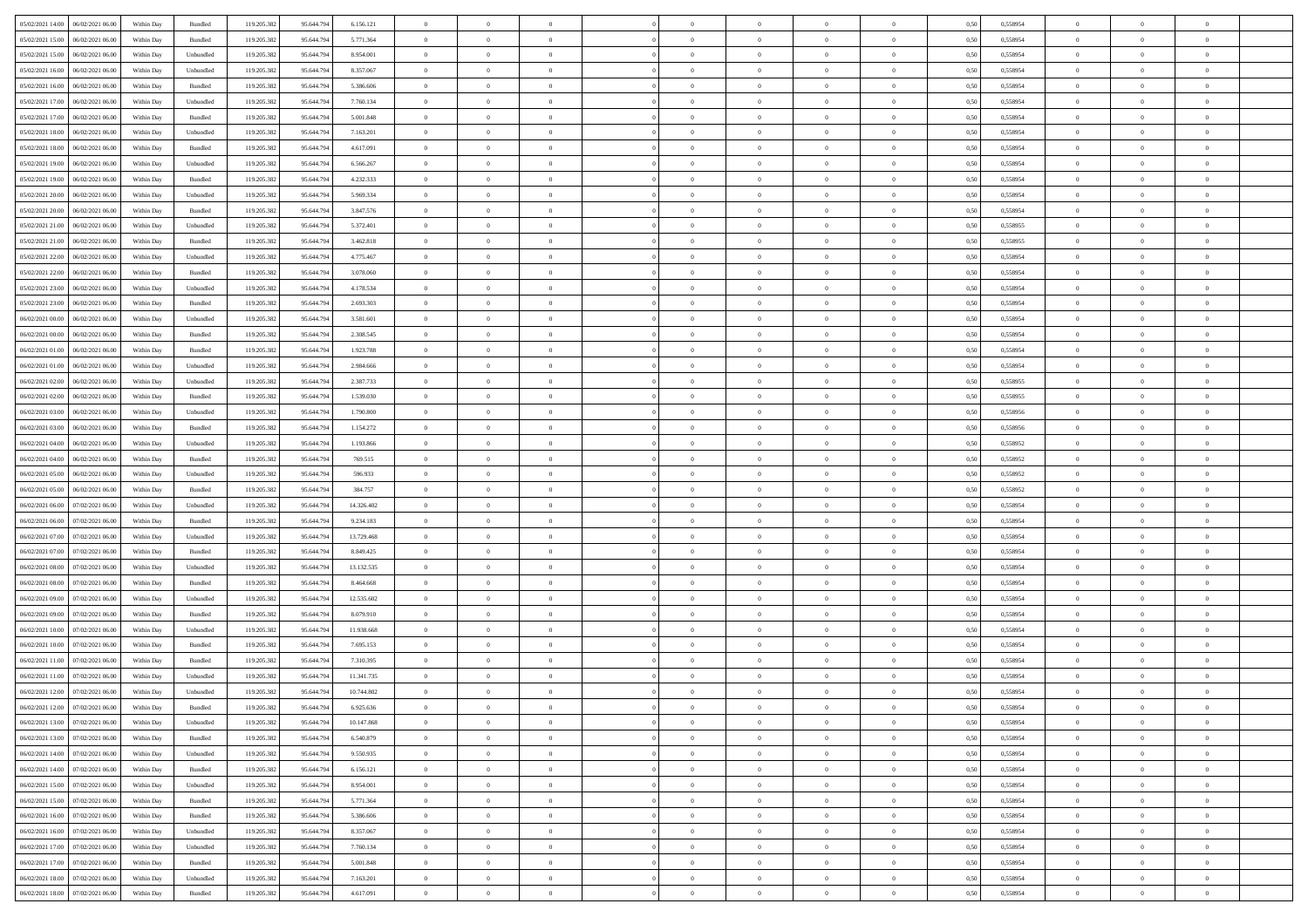| 05/02/2021 14:00   06/02/2021 06:00   | Within Day | Bundled   | 119.205.382 | 95.644.794 | 6.156.121  | $\overline{0}$ | $\overline{0}$ |                | $\overline{0}$ | $\theta$       |                | $\theta$       | 0,50 | 0,558954 | $\theta$       | $\theta$       | $\overline{0}$ |  |
|---------------------------------------|------------|-----------|-------------|------------|------------|----------------|----------------|----------------|----------------|----------------|----------------|----------------|------|----------|----------------|----------------|----------------|--|
|                                       |            |           |             |            |            |                |                |                |                |                |                |                |      |          |                |                |                |  |
| 05/02/2021 15:00<br>06/02/2021 06.00  | Within Day | Bundled   | 119.205.38  | 95.644.79  | 5.771.364  | $\bf{0}$       | $\bf{0}$       | $\bf{0}$       | $\overline{0}$ | $\overline{0}$ | $\overline{0}$ | $\bf{0}$       | 0,50 | 0,558954 | $\,$ 0 $\,$    | $\bf{0}$       | $\overline{0}$ |  |
| 05/02/2021 15:00<br>06/02/2021 06:00  | Within Day | Unbundled | 119.205.382 | 95.644.794 | 8.954.001  | $\overline{0}$ | $\bf{0}$       | $\overline{0}$ | $\bf{0}$       | $\bf{0}$       | $\overline{0}$ | $\bf{0}$       | 0.50 | 0.558954 | $\bf{0}$       | $\overline{0}$ | $\overline{0}$ |  |
| 05/02/2021 16:00<br>06/02/2021 06:00  | Within Day | Unbundled | 119.205.382 | 95.644.794 | 8.357.067  | $\overline{0}$ | $\overline{0}$ | $\overline{0}$ | $\theta$       | $\theta$       | $\overline{0}$ | $\bf{0}$       | 0,50 | 0,558954 | $\theta$       | $\theta$       | $\overline{0}$ |  |
| 05/02/2021 16:00<br>06/02/2021 06.00  | Within Day | Bundled   | 119.205.38  | 95.644.79  | 5.386.606  | $\bf{0}$       | $\overline{0}$ | $\bf{0}$       | $\overline{0}$ | $\theta$       | $\overline{0}$ | $\bf{0}$       | 0,50 | 0,558954 | $\,$ 0 $\,$    | $\bf{0}$       | $\overline{0}$ |  |
| 05/02/2021 17:00<br>06/02/2021 06:00  |            | Unbundled | 119,205.38  | 95.644.79  | 7.760.134  | $\overline{0}$ | $\overline{0}$ | $\overline{0}$ | $\bf{0}$       | $\overline{0}$ | $\theta$       | $\bf{0}$       | 0.50 | 0.558954 | $\,$ 0 $\,$    | $\theta$       | $\overline{0}$ |  |
|                                       | Within Day |           |             |            |            |                |                |                |                |                |                |                |      |          |                |                |                |  |
| 05/02/2021 17:00<br>06/02/2021 06:00  | Within Day | Bundled   | 119.205.382 | 95.644.794 | 5.001.848  | $\overline{0}$ | $\overline{0}$ | $\overline{0}$ | $\overline{0}$ | $\overline{0}$ | $\overline{0}$ | $\bf{0}$       | 0,50 | 0,558954 | $\theta$       | $\theta$       | $\overline{0}$ |  |
| 05/02/2021 18:00<br>06/02/2021 06.00  | Within Day | Unbundled | 119.205.38  | 95.644.79  | 7.163.201  | $\bf{0}$       | $\bf{0}$       | $\bf{0}$       | $\overline{0}$ | $\overline{0}$ | $\overline{0}$ | $\bf{0}$       | 0,50 | 0,558954 | $\,$ 0 $\,$    | $\bf{0}$       | $\overline{0}$ |  |
| 05/02/2021 18:00<br>06/02/2021 06:00  | Within Day | Bundled   | 119,205.38  | 95.644.79  | 4.617.091  | $\overline{0}$ | $\bf{0}$       | $\overline{0}$ | $\bf{0}$       | $\overline{0}$ | $\overline{0}$ | $\bf{0}$       | 0.50 | 0.558954 | $\bf{0}$       | $\overline{0}$ | $\overline{0}$ |  |
| 05/02/2021 19:00<br>06/02/2021 06:00  | Within Day | Unbundled | 119.205.382 | 95.644.794 | 6.566.267  | $\overline{0}$ | $\bf{0}$       | $\overline{0}$ | $\overline{0}$ | $\overline{0}$ | $\overline{0}$ | $\bf{0}$       | 0,50 | 0,558954 | $\,$ 0 $\,$    | $\,$ 0 $\,$    | $\overline{0}$ |  |
| 05/02/2021 19:00<br>06/02/2021 06.00  | Within Day | Bundled   | 119.205.38  | 95.644.79  | 4.232.333  | $\bf{0}$       | $\overline{0}$ | $\bf{0}$       | $\bf{0}$       | $\bf{0}$       | $\overline{0}$ | $\bf{0}$       | 0,50 | 0,558954 | $\,$ 0 $\,$    | $\bf{0}$       | $\overline{0}$ |  |
| 05/02/2021 20:00<br>06/02/2021 06:00  | Within Day | Unbundled | 119.205.382 | 95.644.794 | 5.969.334  | $\overline{0}$ | $\bf{0}$       | $\overline{0}$ | $\overline{0}$ | $\bf{0}$       | $\overline{0}$ | $\bf{0}$       | 0.50 | 0.558954 | $\bf{0}$       | $\overline{0}$ | $\,$ 0         |  |
| 05/02/2021 20:00<br>06/02/2021 06:00  | Within Day | Bundled   | 119.205.38  | 95.644.794 | 3.847.576  | $\overline{0}$ | $\overline{0}$ | $\overline{0}$ | $\theta$       | $\theta$       | $\overline{0}$ | $\bf{0}$       | 0,50 | 0,558954 | $\,$ 0 $\,$    | $\theta$       | $\overline{0}$ |  |
|                                       |            |           |             |            |            |                |                |                |                |                |                |                |      |          |                |                |                |  |
| 05/02/2021 21:00<br>06/02/2021 06.00  | Within Day | Unbundled | 119.205.38  | 95.644.79  | 5.372.401  | $\bf{0}$       | $\overline{0}$ | $\bf{0}$       | $\overline{0}$ | $\bf{0}$       | $\overline{0}$ | $\bf{0}$       | 0,50 | 0,558955 | $\,$ 0 $\,$    | $\bf{0}$       | $\overline{0}$ |  |
| 05/02/2021 21:00<br>06/02/2021 06:00  | Within Day | Bundled   | 119.205.382 | 95.644.794 | 3.462.818  | $\overline{0}$ | $\bf{0}$       | $\overline{0}$ | $\bf{0}$       | $\overline{0}$ | $\theta$       | $\bf{0}$       | 0.50 | 0.558955 | $\,$ 0 $\,$    | $\theta$       | $\overline{0}$ |  |
| 05/02/2021 22:00<br>06/02/2021 06:00  | Within Day | Unbundled | 119.205.382 | 95.644.794 | 4.775.467  | $\overline{0}$ | $\overline{0}$ | $\overline{0}$ | $\overline{0}$ | $\overline{0}$ | $\overline{0}$ | $\bf{0}$       | 0,50 | 0,558954 | $\theta$       | $\theta$       | $\overline{0}$ |  |
| 05/02/2021 22:00<br>06/02/2021 06.00  | Within Day | Bundled   | 119.205.38  | 95.644.79  | 3.078.060  | $\bf{0}$       | $\bf{0}$       | $\bf{0}$       | $\overline{0}$ | $\bf{0}$       | $\overline{0}$ | $\bf{0}$       | 0,50 | 0,558954 | $\,$ 0 $\,$    | $\bf{0}$       | $\overline{0}$ |  |
| 05/02/2021 23:00<br>06/02/2021 06:00  | Within Day | Unbundled | 119,205.38  | 95.644.79  | 4.178.534  | $\overline{0}$ | $\bf{0}$       | $\overline{0}$ | $\bf{0}$       | $\overline{0}$ | $\overline{0}$ | $\bf{0}$       | 0.50 | 0.558954 | $\bf{0}$       | $\overline{0}$ | $\overline{0}$ |  |
| 05/02/2021 23:00<br>06/02/2021 06:00  | Within Day | Bundled   | 119.205.382 | 95.644.794 | 2.693.303  | $\overline{0}$ | $\bf{0}$       | $\overline{0}$ | $\overline{0}$ | $\overline{0}$ | $\overline{0}$ | $\bf{0}$       | 0,50 | 0,558954 | $\,$ 0 $\,$    | $\bf{0}$       | $\overline{0}$ |  |
| 06/02/2021 00:00<br>06/02/2021 06.00  | Within Day | Unbundled | 119.205.38  | 95.644.79  | 3.581.601  | $\bf{0}$       | $\bf{0}$       | $\bf{0}$       | $\bf{0}$       | $\overline{0}$ | $\overline{0}$ | $\bf{0}$       | 0,50 | 0,558954 | $\,$ 0 $\,$    | $\bf{0}$       | $\overline{0}$ |  |
| 06/02/2021 00:00                      |            | Bundled   |             | 95.644.794 | 2.308.545  |                | $\bf{0}$       | $\overline{0}$ |                | $\bf{0}$       | $\overline{0}$ |                | 0.50 | 0.558954 | $\bf{0}$       | $\overline{0}$ | $\overline{0}$ |  |
| 06/02/2021 06:00                      | Within Day |           | 119.205.382 |            |            | $\overline{0}$ |                |                | $\overline{0}$ |                |                | $\bf{0}$       |      |          |                |                |                |  |
| 06/02/2021 01:00<br>06/02/2021 06:00  | Within Day | Bundled   | 119.205.382 | 95.644.794 | 1.923.788  | $\overline{0}$ | $\overline{0}$ | $\overline{0}$ | $\theta$       | $\theta$       | $\overline{0}$ | $\bf{0}$       | 0,50 | 0,558954 | $\theta$       | $\theta$       | $\overline{0}$ |  |
| 06/02/2021 01:00<br>06/02/2021 06.00  | Within Day | Unbundled | 119.205.38  | 95.644.79  | 2.984.666  | $\bf{0}$       | $\bf{0}$       | $\bf{0}$       | $\bf{0}$       | $\overline{0}$ | $\overline{0}$ | $\bf{0}$       | 0,50 | 0,558954 | $\,$ 0 $\,$    | $\bf{0}$       | $\overline{0}$ |  |
| 06/02/2021 02:00<br>06/02/2021 06:00  | Within Day | Unbundled | 119,205.38  | 95.644.79  | 2.387.733  | $\overline{0}$ | $\bf{0}$       | $\overline{0}$ | $\bf{0}$       | $\overline{0}$ | $\theta$       | $\bf{0}$       | 0.50 | 0.558955 | $\,$ 0 $\,$    | $\theta$       | $\overline{0}$ |  |
| 06/02/2021 02:00<br>06/02/2021 06:00  | Within Day | Bundled   | 119.205.382 | 95.644.794 | 1.539.030  | $\overline{0}$ | $\overline{0}$ | $\overline{0}$ | $\overline{0}$ | $\overline{0}$ | $\overline{0}$ | $\bf{0}$       | 0,50 | 0,558955 | $\theta$       | $\theta$       | $\overline{0}$ |  |
| 06/02/2021 03:00<br>06/02/2021 06.00  | Within Day | Unbundled | 119.205.38  | 95.644.79  | 1.790.800  | $\bf{0}$       | $\overline{0}$ | $\bf{0}$       | $\overline{0}$ | $\bf{0}$       | $\overline{0}$ | $\bf{0}$       | 0,50 | 0,558956 | $\,$ 0 $\,$    | $\bf{0}$       | $\overline{0}$ |  |
| 06/02/2021 03:00<br>06/02/2021 06:00  | Within Day | Bundled   | 119,205.38  | 95.644.79  | 1.154.272  | $\overline{0}$ | $\bf{0}$       | $\overline{0}$ | $\bf{0}$       | $\overline{0}$ | $\overline{0}$ | $\bf{0}$       | 0.50 | 0.558956 | $\bf{0}$       | $\overline{0}$ | $\overline{0}$ |  |
| 06/02/2021 04:00<br>06/02/2021 06:00  | Within Day | Unbundled | 119.205.382 | 95.644.794 | 1.193.866  | $\overline{0}$ | $\bf{0}$       | $\overline{0}$ | $\overline{0}$ | $\overline{0}$ | $\overline{0}$ | $\bf{0}$       | 0,50 | 0,558952 | $\theta$       | $\theta$       | $\overline{0}$ |  |
|                                       |            |           |             |            |            |                |                |                |                |                |                |                |      |          |                |                |                |  |
| 06/02/2021 04:00<br>06/02/2021 06.00  | Within Day | Bundled   | 119.205.38  | 95.644.79  | 769.515    | $\bf{0}$       | $\bf{0}$       | $\bf{0}$       | $\bf{0}$       | $\overline{0}$ | $\overline{0}$ | $\bf{0}$       | 0,50 | 0,558952 | $\,$ 0 $\,$    | $\bf{0}$       | $\overline{0}$ |  |
| 06/02/2021 05:00<br>06/02/2021 06:00  | Within Day | Unbundled | 119.205.382 | 95.644.794 | 596,933    | $\overline{0}$ | $\bf{0}$       | $\overline{0}$ | $\bf{0}$       | $\bf{0}$       | $\overline{0}$ | $\bf{0}$       | 0.50 | 0.558952 | $\bf{0}$       | $\overline{0}$ | $\,$ 0         |  |
| 06/02/2021 05:00<br>06/02/2021 06:00  | Within Day | Bundled   | 119.205.382 | 95.644.79  | 384,757    | $\overline{0}$ | $\overline{0}$ | $\overline{0}$ | $\overline{0}$ | $\overline{0}$ | $\overline{0}$ | $\bf{0}$       | 0.50 | 0,558952 | $\theta$       | $\theta$       | $\overline{0}$ |  |
| 06/02/2021 06:00<br>07/02/2021 06.00  | Within Day | Unbundled | 119.205.38  | 95.644.79  | 14.326.402 | $\bf{0}$       | $\overline{0}$ | $\bf{0}$       | $\bf{0}$       | $\,$ 0 $\,$    | $\overline{0}$ | $\bf{0}$       | 0,50 | 0,558954 | $\,$ 0 $\,$    | $\bf{0}$       | $\overline{0}$ |  |
| 06/02/2021 06:00<br>07/02/2021 06:00  | Within Day | Bundled   | 119.205.382 | 95.644.79  | 9.234.183  | $\overline{0}$ | $\bf{0}$       | $\overline{0}$ | $\bf{0}$       | $\overline{0}$ | $\overline{0}$ | $\bf{0}$       | 0.50 | 0.558954 | $\,$ 0 $\,$    | $\bf{0}$       | $\overline{0}$ |  |
| 06/02/2021 07:00<br>07/02/2021 06:00  | Within Dav | Unbundled | 119.205.382 | 95.644.794 | 13.729.468 | $\overline{0}$ | $\overline{0}$ | $\overline{0}$ | $\overline{0}$ | $\overline{0}$ | $\overline{0}$ | $\bf{0}$       | 0.5( | 0,558954 | $\theta$       | $\theta$       | $\overline{0}$ |  |
| 06/02/2021 07:00<br>07/02/2021 06.00  | Within Day | Bundled   | 119.205.38  | 95.644.79  | 8.849.425  | $\bf{0}$       | $\bf{0}$       | $\bf{0}$       | $\bf{0}$       | $\bf{0}$       | $\overline{0}$ | $\bf{0}$       | 0,50 | 0,558954 | $\,$ 0 $\,$    | $\bf{0}$       | $\overline{0}$ |  |
| 06/02/2021 08:00<br>07/02/2021 06:00  | Within Day | Unbundled | 119,205.38  | 95.644.79  | 13.132.535 | $\overline{0}$ | $\bf{0}$       | $\overline{0}$ | $\bf{0}$       | $\overline{0}$ | $\overline{0}$ | $\bf{0}$       | 0.50 | 0.558954 | $\bf{0}$       | $\overline{0}$ | $\overline{0}$ |  |
| 06/02/2021 08:00<br>07/02/2021 06:00  | Within Dav | Bundled   | 119.205.38  | 95.644.79  | 8.464.668  | $\overline{0}$ | $\overline{0}$ | $\overline{0}$ | $\overline{0}$ | $\overline{0}$ | $\overline{0}$ | $\bf{0}$       | 0.50 | 0,558954 | $\theta$       | $\theta$       | $\overline{0}$ |  |
|                                       |            |           |             |            |            |                |                |                |                |                |                |                |      |          |                |                |                |  |
| 06/02/2021 09:00<br>07/02/2021 06.00  | Within Day | Unbundled | 119.205.38  | 95.644.79  | 12.535.602 | $\bf{0}$       | $\bf{0}$       | $\bf{0}$       | $\bf{0}$       | $\overline{0}$ | $\overline{0}$ | $\bf{0}$       | 0,50 | 0,558954 | $\,$ 0 $\,$    | $\bf{0}$       | $\overline{0}$ |  |
| 06/02/2021 09:00<br>07/02/2021 06:00  | Within Day | Bundled   | 119.205.382 | 95.644.794 | 8.079.910  | $\overline{0}$ | $\bf{0}$       | $\overline{0}$ | $\overline{0}$ | $\bf{0}$       | $\overline{0}$ | $\bf{0}$       | 0.50 | 0.558954 | $\bf{0}$       | $\overline{0}$ | $\overline{0}$ |  |
| 06/02/2021 10:00<br>07/02/2021 06:00  | Within Dav | Unbundled | 119.205.382 | 95.644.79  | 11.938.668 | $\overline{0}$ | $\overline{0}$ | $\overline{0}$ | $\overline{0}$ | $\overline{0}$ | $\overline{0}$ | $\bf{0}$       | 0.50 | 0,558954 | $\theta$       | $\theta$       | $\overline{0}$ |  |
| 06/02/2021 10:00<br>07/02/2021 06.00  | Within Day | Bundled   | 119.205.38  | 95.644.79  | 7.695.153  | $\bf{0}$       | $\bf{0}$       | $\bf{0}$       | $\bf{0}$       | $\overline{0}$ | $\overline{0}$ | $\bf{0}$       | 0,50 | 0,558954 | $\,$ 0 $\,$    | $\bf{0}$       | $\overline{0}$ |  |
| 06/02/2021 11:00<br>07/02/2021 06:00  | Within Day | Bundled   | 119,205.38  | 95.644.79  | 7.310.395  | $\overline{0}$ | $\overline{0}$ | $\overline{0}$ | $\bf{0}$       | $\overline{0}$ | $\Omega$       | $\bf{0}$       | 0.50 | 0.558954 | $\bf{0}$       | $\theta$       | $\overline{0}$ |  |
| 06/02/2021 11:00<br>07/02/2021 06:00  | Within Dav | Unbundled | 119.205.38  | 95.644.79  | 11.341.735 | $\overline{0}$ | $\overline{0}$ | $\Omega$       | $\overline{0}$ | $\theta$       | $\overline{0}$ | $\overline{0}$ | 0.5( | 0,558954 | $\theta$       | $\theta$       | $\overline{0}$ |  |
| 06/02/2021 12:00<br>07/02/2021 06:00  | Within Day | Unbundled | 119.205.382 | 95.644.79  | 10.744.802 | $\bf{0}$       | $\bf{0}$       | $\bf{0}$       | $\bf{0}$       | $\bf{0}$       | $\overline{0}$ | $\bf{0}$       | 0,50 | 0,558954 | $\,$ 0 $\,$    | $\bf{0}$       | $\overline{0}$ |  |
| $06/02/2021$ 12.00 $07/02/2021$ 06.00 | Within Day | Bundled   | 119.205.382 | 95.644.794 | 6.925.636  | $\bf{0}$       | $\theta$       |                | $\overline{0}$ |                |                |                | 0,50 | 0.558954 | $\bf{0}$       | $\overline{0}$ |                |  |
| 06/02/2021 13:00 07/02/2021 06:00     | Within Day | Unbundled | 119.205.382 | 95.644.794 | 10.147.868 | $\overline{0}$ | $\overline{0}$ | $\Omega$       | $\theta$       | $\overline{0}$ | $\overline{0}$ | $\bf{0}$       | 0,50 | 0,558954 | $\theta$       | $\theta$       | $\overline{0}$ |  |
|                                       |            |           |             |            |            |                |                |                |                |                |                |                |      |          |                |                |                |  |
| 06/02/2021 13:00<br>07/02/2021 06:00  | Within Day | Bundled   | 119.205.38  | 95.644.79  | 6.540.879  | $\overline{0}$ | $\bf{0}$       | $\overline{0}$ | $\overline{0}$ | $\bf{0}$       | $\overline{0}$ | $\bf{0}$       | 0,50 | 0,558954 | $\bf{0}$       | $\overline{0}$ | $\bf{0}$       |  |
| 06/02/2021 14:00 07/02/2021 06:00     | Within Day | Unbundled | 119.205.382 | 95.644.794 | 9.550.935  | $\overline{0}$ | $\bf{0}$       | $\overline{0}$ | $\overline{0}$ | $\mathbf{0}$   | $\overline{0}$ | $\,$ 0 $\,$    | 0.50 | 0.558954 | $\overline{0}$ | $\bf{0}$       | $\,$ 0 $\,$    |  |
| 06/02/2021 14:00 07/02/2021 06:00     | Within Day | Bundled   | 119.205.382 | 95.644.794 | 6.156.121  | $\overline{0}$ | $\overline{0}$ | $\overline{0}$ | $\overline{0}$ | $\overline{0}$ | $\overline{0}$ | $\bf{0}$       | 0,50 | 0,558954 | $\theta$       | $\theta$       | $\overline{0}$ |  |
| 06/02/2021 15:00<br>07/02/2021 06:00  | Within Day | Unbundled | 119.205.382 | 95.644.794 | 8.954.001  | $\overline{0}$ | $\bf{0}$       | $\overline{0}$ | $\overline{0}$ | $\bf{0}$       | $\overline{0}$ | $\bf{0}$       | 0,50 | 0,558954 | $\bf{0}$       | $\overline{0}$ | $\overline{0}$ |  |
| 06/02/2021 15:00 07/02/2021 06:00     | Within Day | Bundled   | 119.205.382 | 95.644.794 | 5.771.364  | $\overline{0}$ | $\bf{0}$       | $\overline{0}$ | $\overline{0}$ | $\bf{0}$       | $\overline{0}$ | $\bf{0}$       | 0.50 | 0.558954 | $\,$ 0 $\,$    | $\overline{0}$ | $\,$ 0         |  |
| 06/02/2021 16:00 07/02/2021 06:00     | Within Dav | Bundled   | 119.205.382 | 95.644.794 | 5.386.606  | $\overline{0}$ | $\overline{0}$ | $\overline{0}$ | $\overline{0}$ | $\overline{0}$ | $\overline{0}$ | $\bf{0}$       | 0.50 | 0,558954 | $\overline{0}$ | $\theta$       | $\overline{0}$ |  |
| 06/02/2021 16:00<br>07/02/2021 06:00  | Within Day | Unbundled | 119.205.38  | 95.644.79  | 8.357.067  | $\overline{0}$ | $\overline{0}$ | $\overline{0}$ | $\overline{0}$ | $\overline{0}$ | $\overline{0}$ | $\bf{0}$       | 0,50 | 0,558954 | $\bf{0}$       | $\overline{0}$ | $\,$ 0         |  |
|                                       |            |           |             |            |            |                |                |                |                |                |                |                |      |          |                |                |                |  |
| 06/02/2021 17:00 07/02/2021 06:00     | Within Day | Unbundled | 119.205.382 | 95.644.794 | 7.760.134  | $\overline{0}$ | $\overline{0}$ | $\overline{0}$ | $\overline{0}$ | $\overline{0}$ | $\overline{0}$ | $\bf{0}$       | 0.50 | 0.558954 | $\mathbf{0}$   | $\bf{0}$       | $\,$ 0         |  |
| 06/02/2021 17:00 07/02/2021 06:00     | Within Dav | Bundled   | 119.205.382 | 95.644.794 | 5.001.848  | $\overline{0}$ | $\overline{0}$ | $\overline{0}$ | $\overline{0}$ | $\overline{0}$ | $\overline{0}$ | $\bf{0}$       | 0,50 | 0,558954 | $\overline{0}$ | $\theta$       | $\overline{0}$ |  |
| 06/02/2021 18:00<br>07/02/2021 06:00  | Within Day | Unbundled | 119.205.38  | 95.644.79  | 7.163.201  | $\overline{0}$ | $\bf{0}$       | $\overline{0}$ | $\bf{0}$       | $\overline{0}$ | $\overline{0}$ | $\bf{0}$       | 0,50 | 0,558954 | $\bf{0}$       | $\,$ 0 $\,$    | $\bf{0}$       |  |
| 06/02/2021 18:00 07/02/2021 06:00     | Within Day | Bundled   | 119.205.382 | 95.644.794 | 4.617.091  | $\overline{0}$ | $\bf{0}$       | $\overline{0}$ | $\overline{0}$ | $\,$ 0 $\,$    | $\overline{0}$ | $\bf{0}$       | 0,50 | 0,558954 | $\overline{0}$ | $\,$ 0 $\,$    | $\,$ 0 $\,$    |  |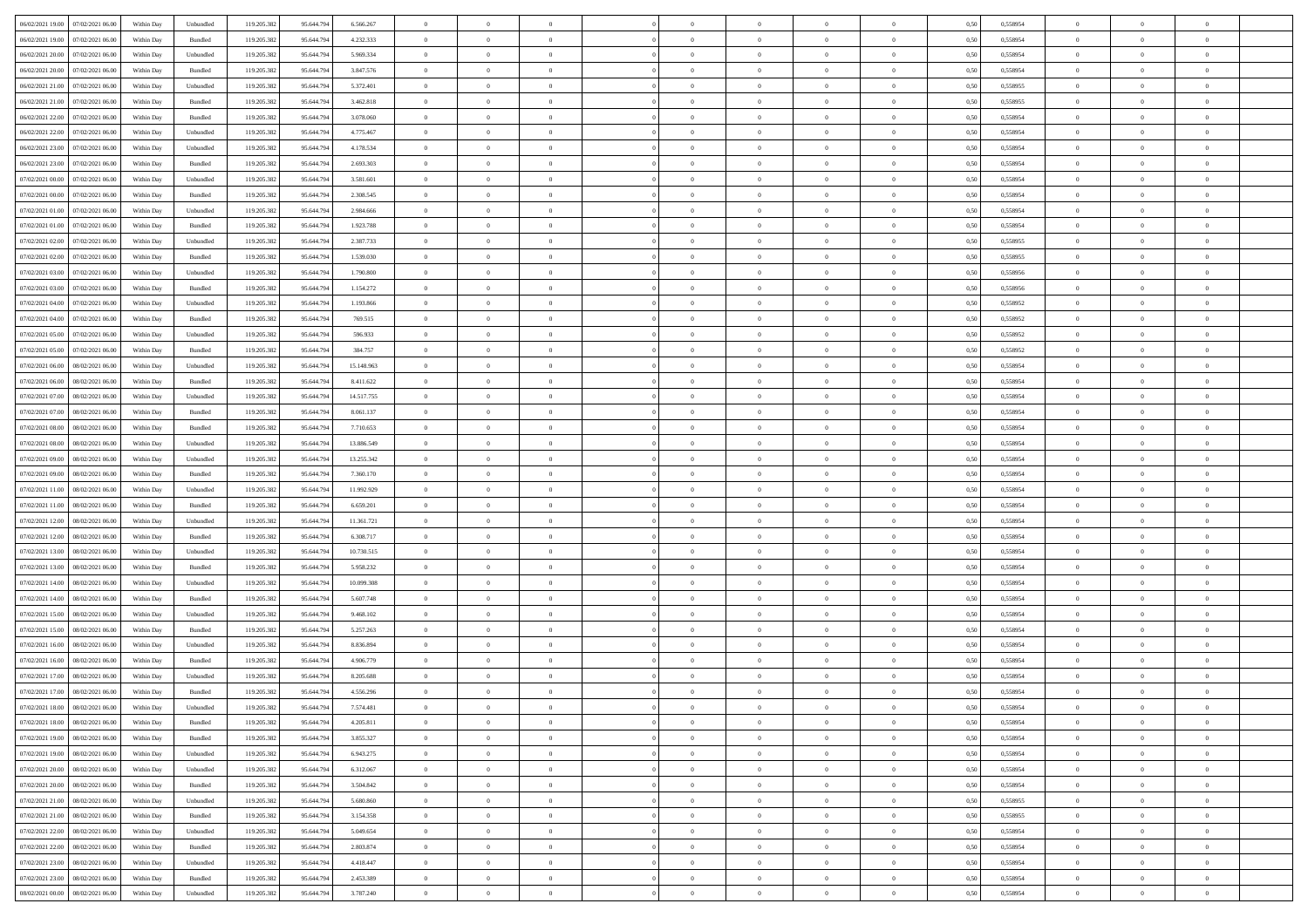|                                              |            |                             |             |            |            | $\overline{0}$ | $\overline{0}$ |                | $\overline{0}$ | $\theta$       |                | $\theta$       |      |          | $\theta$       | $\theta$       | $\overline{0}$ |  |
|----------------------------------------------|------------|-----------------------------|-------------|------------|------------|----------------|----------------|----------------|----------------|----------------|----------------|----------------|------|----------|----------------|----------------|----------------|--|
| 06/02/2021 19:00 07/02/2021 06:00            | Within Day | Unbundled                   | 119.205.382 | 95.644.794 | 6.566.267  |                |                |                |                |                |                |                | 0,50 | 0,558954 |                |                |                |  |
| 06/02/2021 19:00<br>07/02/2021 06:00         | Within Day | Bundled                     | 119.205.38  | 95.644.79  | 4.232.333  | $\bf{0}$       | $\bf{0}$       | $\bf{0}$       | $\bf{0}$       | $\overline{0}$ | $\overline{0}$ | $\bf{0}$       | 0,50 | 0,558954 | $\,$ 0 $\,$    | $\bf{0}$       | $\overline{0}$ |  |
| 06/02/2021 20:00<br>07/02/2021 06:00         | Within Day | Unbundled                   | 119.205.382 | 95.644.794 | 5.969.334  | $\overline{0}$ | $\bf{0}$       | $\overline{0}$ | $\bf{0}$       | $\bf{0}$       | $\overline{0}$ | $\bf{0}$       | 0.50 | 0.558954 | $\bf{0}$       | $\overline{0}$ | $\overline{0}$ |  |
| 06/02/2021 20:00<br>07/02/2021 06:00         | Within Day | Bundled                     | 119.205.382 | 95.644.794 | 3.847.576  | $\overline{0}$ | $\overline{0}$ | $\overline{0}$ | $\overline{0}$ | $\theta$       | $\overline{0}$ | $\bf{0}$       | 0,50 | 0,558954 | $\theta$       | $\theta$       | $\overline{0}$ |  |
| 06/02/2021 21:00<br>07/02/2021 06.00         | Within Day | Unbundled                   | 119.205.38  | 95.644.79  | 5.372.401  | $\bf{0}$       | $\overline{0}$ | $\bf{0}$       | $\overline{0}$ | $\theta$       | $\overline{0}$ | $\bf{0}$       | 0,50 | 0,558955 | $\,$ 0 $\,$    | $\bf{0}$       | $\overline{0}$ |  |
|                                              |            |                             |             |            |            |                |                |                |                |                | $\theta$       |                |      |          |                |                |                |  |
| 06/02/2021 21:00<br>07/02/2021 06:00         | Within Day | Bundled                     | 119.205.382 | 95.644.794 | 3.462.818  | $\overline{0}$ | $\bf{0}$       | $\overline{0}$ | $\bf{0}$       | $\overline{0}$ |                | $\bf{0}$       | 0.50 | 0.558955 | $\,$ 0 $\,$    | $\theta$       | $\overline{0}$ |  |
| 06/02/2021 22:00<br>07/02/2021 06:00         | Within Day | Bundled                     | 119.205.382 | 95.644.794 | 3.078.060  | $\overline{0}$ | $\overline{0}$ | $\overline{0}$ | $\overline{0}$ | $\overline{0}$ | $\overline{0}$ | $\bf{0}$       | 0,50 | 0,558954 | $\,$ 0 $\,$    | $\theta$       | $\overline{0}$ |  |
| 06/02/2021 22:00<br>07/02/2021 06.00         | Within Day | Unbundled                   | 119.205.38  | 95.644.79  | 4.775.467  | $\bf{0}$       | $\bf{0}$       | $\bf{0}$       | $\overline{0}$ | $\overline{0}$ | $\overline{0}$ | $\bf{0}$       | 0,50 | 0,558954 | $\,$ 0 $\,$    | $\bf{0}$       | $\overline{0}$ |  |
| 06/02/2021 23:00<br>07/02/2021 06:00         | Within Day | Unbundled                   | 119,205.38  | 95.644.79  | 4.178.534  | $\overline{0}$ | $\bf{0}$       | $\overline{0}$ | $\bf{0}$       | $\overline{0}$ | $\overline{0}$ | $\bf{0}$       | 0.50 | 0.558954 | $\bf{0}$       | $\overline{0}$ | $\overline{0}$ |  |
| 06/02/2021 23:00<br>07/02/2021 06:00         | Within Day | Bundled                     | 119.205.382 | 95.644.794 | 2.693.303  | $\overline{0}$ | $\bf{0}$       | $\overline{0}$ | $\overline{0}$ | $\overline{0}$ | $\overline{0}$ | $\bf{0}$       | 0,50 | 0,558954 | $\,$ 0 $\,$    | $\,$ 0 $\,$    | $\overline{0}$ |  |
| 07/02/2021 00:00<br>07/02/2021 06.00         | Within Day | Unbundled                   | 119.205.38  | 95.644.79  | 3.581.601  | $\bf{0}$       | $\bf{0}$       | $\bf{0}$       | $\bf{0}$       | $\overline{0}$ | $\overline{0}$ | $\bf{0}$       | 0,50 | 0,558954 | $\,$ 0 $\,$    | $\bf{0}$       | $\overline{0}$ |  |
| 07/02/2021 00:00<br>07/02/2021 06:00         | Within Day | Bundled                     | 119.205.382 | 95.644.794 | 2.308.545  | $\overline{0}$ | $\bf{0}$       | $\overline{0}$ | $\overline{0}$ | $\bf{0}$       | $\overline{0}$ | $\bf{0}$       | 0.50 | 0.558954 | $\bf{0}$       | $\,$ 0 $\,$    | $\,$ 0         |  |
|                                              |            |                             |             |            |            | $\overline{0}$ |                |                |                |                |                |                |      |          |                | $\theta$       |                |  |
| 07/02/2021 01:00<br>07/02/2021 06:00         | Within Day | Unbundled                   | 119.205.38  | 95.644.794 | 2.984.666  |                | $\overline{0}$ | $\overline{0}$ | $\theta$       | $\theta$       | $\overline{0}$ | $\bf{0}$       | 0,50 | 0,558954 | $\,$ 0 $\,$    |                | $\overline{0}$ |  |
| 07/02/2021 01:00<br>07/02/2021 06.00         | Within Day | Bundled                     | 119.205.38  | 95.644.79  | 1.923.788  | $\bf{0}$       | $\overline{0}$ | $\bf{0}$       | $\bf{0}$       | $\bf{0}$       | $\overline{0}$ | $\bf{0}$       | 0,50 | 0,558954 | $\,$ 0 $\,$    | $\bf{0}$       | $\overline{0}$ |  |
| 07/02/2021 02:00<br>07/02/2021 06:00         | Within Day | Unbundled                   | 119.205.382 | 95.644.794 | 2.387.733  | $\overline{0}$ | $\bf{0}$       | $\overline{0}$ | $\bf{0}$       | $\overline{0}$ | $\theta$       | $\bf{0}$       | 0.50 | 0.558955 | $\,$ 0 $\,$    | $\theta$       | $\overline{0}$ |  |
| 07/02/2021 02:00<br>07/02/2021 06:00         | Within Day | Bundled                     | 119.205.382 | 95.644.794 | 1.539.030  | $\overline{0}$ | $\overline{0}$ | $\overline{0}$ | $\overline{0}$ | $\overline{0}$ | $\overline{0}$ | $\bf{0}$       | 0,50 | 0,558955 | $\theta$       | $\theta$       | $\overline{0}$ |  |
| 07/02/2021 03:00<br>07/02/2021 06.00         | Within Day | Unbundled                   | 119.205.38  | 95.644.79  | 1.790.800  | $\bf{0}$       | $\bf{0}$       | $\bf{0}$       | $\overline{0}$ | $\bf{0}$       | $\overline{0}$ | $\bf{0}$       | 0,50 | 0,558956 | $\,$ 0 $\,$    | $\bf{0}$       | $\overline{0}$ |  |
| 07/02/2021 03:00<br>07/02/2021 06:00         | Within Day | Bundled                     | 119,205.38  | 95.644.79  | 1.154.272  | $\overline{0}$ | $\bf{0}$       | $\overline{0}$ | $\bf{0}$       | $\overline{0}$ | $\overline{0}$ | $\bf{0}$       | 0.50 | 0.558956 | $\bf{0}$       | $\overline{0}$ | $\overline{0}$ |  |
| 07/02/2021 04:00<br>07/02/2021 06:00         | Within Day | Unbundled                   | 119.205.382 | 95.644.794 | 1.193.866  | $\overline{0}$ | $\bf{0}$       | $\overline{0}$ | $\overline{0}$ | $\overline{0}$ | $\overline{0}$ | $\bf{0}$       | 0,50 | 0,558952 | $\,$ 0 $\,$    | $\bf{0}$       | $\overline{0}$ |  |
|                                              |            |                             |             |            |            |                |                |                |                |                |                |                |      |          |                |                |                |  |
| 07/02/2021 04:00<br>07/02/2021 06.00         | Within Day | Bundled                     | 119.205.38  | 95.644.79  | 769.515    | $\bf{0}$       | $\bf{0}$       | $\bf{0}$       | $\bf{0}$       | $\overline{0}$ | $\overline{0}$ | $\bf{0}$       | 0,50 | 0,558952 | $\,$ 0 $\,$    | $\bf{0}$       | $\overline{0}$ |  |
| 07/02/2021 05:00<br>07/02/2021 06:00         | Within Day | Unbundled                   | 119.205.382 | 95.644.794 | 596.933    | $\overline{0}$ | $\bf{0}$       | $\overline{0}$ | $\overline{0}$ | $\bf{0}$       | $\overline{0}$ | $\bf{0}$       | 0.50 | 0.558952 | $\bf{0}$       | $\overline{0}$ | $\overline{0}$ |  |
| 07/02/2021 05:00<br>07/02/2021 06:00         | Within Day | Bundled                     | 119.205.382 | 95.644.794 | 384.757    | $\overline{0}$ | $\overline{0}$ | $\overline{0}$ | $\theta$       | $\theta$       | $\overline{0}$ | $\bf{0}$       | 0,50 | 0,558952 | $\theta$       | $\theta$       | $\overline{0}$ |  |
| 07/02/2021 06:00<br>08/02/2021 06:00         | Within Day | Unbundled                   | 119.205.38  | 95.644.79  | 15.148.963 | $\bf{0}$       | $\bf{0}$       | $\bf{0}$       | $\bf{0}$       | $\overline{0}$ | $\overline{0}$ | $\bf{0}$       | 0,50 | 0,558954 | $\,$ 0 $\,$    | $\bf{0}$       | $\overline{0}$ |  |
| 07/02/2021 06:00<br>08/02/2021 06:00         | Within Day | Bundled                     | 119,205.38  | 95.644.79  | 8.411.622  | $\overline{0}$ | $\bf{0}$       | $\overline{0}$ | $\bf{0}$       | $\overline{0}$ | $\theta$       | $\bf{0}$       | 0.50 | 0.558954 | $\,$ 0 $\,$    | $\theta$       | $\overline{0}$ |  |
| 07/02/2021 07:00<br>08/02/2021 06:00         | Within Day | Unbundled                   | 119.205.382 | 95.644.794 | 14.517.755 | $\overline{0}$ | $\overline{0}$ | $\overline{0}$ | $\overline{0}$ | $\overline{0}$ | $\overline{0}$ | $\bf{0}$       | 0,50 | 0,558954 | $\,$ 0 $\,$    | $\theta$       | $\overline{0}$ |  |
| 07/02/2021 07:00<br>08/02/2021 06:00         | Within Day | Bundled                     | 119.205.38  | 95.644.79  | 8.061.137  | $\bf{0}$       | $\overline{0}$ | $\bf{0}$       | $\overline{0}$ | $\bf{0}$       | $\overline{0}$ | $\bf{0}$       | 0,50 | 0,558954 | $\,$ 0 $\,$    | $\bf{0}$       | $\overline{0}$ |  |
|                                              |            |                             |             |            |            |                |                |                |                |                |                |                |      |          |                |                |                |  |
| 07/02/2021 08:00<br>08/02/2021 06:00         | Within Day | Bundled                     | 119,205.38  | 95.644.79  | 7.710.653  | $\overline{0}$ | $\bf{0}$       | $\overline{0}$ | $\bf{0}$       | $\overline{0}$ | $\overline{0}$ | $\bf{0}$       | 0.50 | 0.558954 | $\bf{0}$       | $\overline{0}$ | $\overline{0}$ |  |
| 07/02/2021 08:00<br>08/02/2021 06:00         | Within Day | Unbundled                   | 119.205.382 | 95.644.794 | 13.886.549 | $\overline{0}$ | $\bf{0}$       | $\overline{0}$ | $\overline{0}$ | $\overline{0}$ | $\overline{0}$ | $\bf{0}$       | 0,50 | 0,558954 | $\theta$       | $\theta$       | $\overline{0}$ |  |
| 07/02/2021 09:00<br>08/02/2021 06:00         | Within Day | Unbundled                   | 119.205.38  | 95.644.79  | 13.255.342 | $\bf{0}$       | $\bf{0}$       | $\bf{0}$       | $\bf{0}$       | $\overline{0}$ | $\overline{0}$ | $\bf{0}$       | 0,50 | 0,558954 | $\,$ 0 $\,$    | $\bf{0}$       | $\overline{0}$ |  |
| 07/02/2021 09:00<br>08/02/2021 06:00         | Within Day | Bundled                     | 119.205.382 | 95.644.79  | 7.360.170  | $\overline{0}$ | $\bf{0}$       | $\overline{0}$ | $\overline{0}$ | $\bf{0}$       | $\overline{0}$ | $\bf{0}$       | 0.50 | 0.558954 | $\bf{0}$       | $\,$ 0 $\,$    | $\,$ 0         |  |
| 07/02/2021 11:00<br>08/02/2021 06:00         | Within Day | Unbundled                   | 119.205.382 | 95.644.79  | 11.992.929 | $\overline{0}$ | $\overline{0}$ | $\overline{0}$ | $\overline{0}$ | $\overline{0}$ | $\overline{0}$ | $\bf{0}$       | 0.50 | 0.558954 | $\theta$       | $\theta$       | $\overline{0}$ |  |
| 07/02/2021 11:00<br>08/02/2021 06:00         | Within Day | Bundled                     | 119.205.38  | 95.644.79  | 6.659.201  | $\bf{0}$       | $\bf{0}$       | $\bf{0}$       | $\bf{0}$       | $\overline{0}$ | $\overline{0}$ | $\bf{0}$       | 0,50 | 0,558954 | $\,$ 0 $\,$    | $\bf{0}$       | $\overline{0}$ |  |
| 07/02/2021 12:00<br>08/02/2021 06:00         | Within Day | Unbundled                   | 119.205.382 | 95.644.794 | 11.361.721 | $\overline{0}$ | $\bf{0}$       | $\overline{0}$ | $\bf{0}$       | $\overline{0}$ | $\overline{0}$ | $\bf{0}$       | 0.50 | 0.558954 | $\,$ 0 $\,$    | $\bf{0}$       | $\overline{0}$ |  |
|                                              |            |                             |             |            |            |                |                |                |                |                |                |                |      |          |                |                |                |  |
| 07/02/2021 12:00<br>08/02/2021 06:00         | Within Dav | Bundled                     | 119.205.382 | 95.644.79  | 6.308.717  | $\overline{0}$ | $\overline{0}$ | $\overline{0}$ | $\overline{0}$ | $\overline{0}$ | $\overline{0}$ | $\bf{0}$       | 0.50 | 0,558954 | $\theta$       | $\theta$       | $\overline{0}$ |  |
| 07/02/2021 13:00<br>08/02/2021 06:00         | Within Day | Unbundled                   | 119.205.38  | 95.644.79  | 10.730.515 | $\bf{0}$       | $\bf{0}$       | $\bf{0}$       | $\bf{0}$       | $\overline{0}$ | $\overline{0}$ | $\bf{0}$       | 0,50 | 0,558954 | $\,$ 0 $\,$    | $\bf{0}$       | $\overline{0}$ |  |
| 07/02/2021 13:00<br>08/02/2021 06:00         | Within Day | Bundled                     | 119,205.38  | 95.644.79  | 5.958.232  | $\overline{0}$ | $\bf{0}$       | $\overline{0}$ | $\bf{0}$       | $\overline{0}$ | $\overline{0}$ | $\bf{0}$       | 0.50 | 0.558954 | $\bf{0}$       | $\overline{0}$ | $\overline{0}$ |  |
| 07/02/2021 14:00<br>08/02/2021 06:00         | Within Day | Unbundled                   | 119.205.38  | 95.644.79  | 10.099.308 | $\overline{0}$ | $\overline{0}$ | $\overline{0}$ | $\overline{0}$ | $\overline{0}$ | $\overline{0}$ | $\bf{0}$       | 0.50 | 0,558954 | $\theta$       | $\theta$       | $\overline{0}$ |  |
| 07/02/2021 14:00<br>08/02/2021 06:00         | Within Day | Bundled                     | 119.205.38  | 95.644.79  | 5.607.748  | $\bf{0}$       | $\bf{0}$       | $\bf{0}$       | $\bf{0}$       | $\overline{0}$ | $\overline{0}$ | $\bf{0}$       | 0,50 | 0,558954 | $\,$ 0 $\,$    | $\bf{0}$       | $\overline{0}$ |  |
| 07/02/2021 15:00<br>08/02/2021 06:00         | Within Day | Unbundled                   | 119.205.382 | 95.644.794 | 9.468.102  | $\overline{0}$ | $\bf{0}$       | $\overline{0}$ | $\overline{0}$ | $\bf{0}$       | $\overline{0}$ | $\bf{0}$       | 0.50 | 0.558954 | $\bf{0}$       | $\,$ 0 $\,$    | $\overline{0}$ |  |
| 07/02/2021 15:00<br>08/02/2021 06:00         | Within Day | Bundled                     | 119.205.382 | 95.644.794 | 5.257.263  | $\overline{0}$ | $\overline{0}$ | $\overline{0}$ | $\overline{0}$ | $\overline{0}$ | $\overline{0}$ | $\bf{0}$       | 0.50 | 0,558954 | $\theta$       | $\theta$       | $\overline{0}$ |  |
| 07/02/2021 16:00<br>08/02/2021 06:00         | Within Day | Unbundled                   | 119.205.38  | 95.644.79  | 8.836.894  | $\bf{0}$       | $\bf{0}$       | $\bf{0}$       | $\bf{0}$       | $\overline{0}$ | $\overline{0}$ | $\bf{0}$       | 0,50 | 0,558954 | $\,$ 0 $\,$    | $\bf{0}$       | $\overline{0}$ |  |
|                                              |            |                             |             |            |            |                | $\overline{0}$ |                |                |                |                |                |      |          |                | $\theta$       | $\overline{0}$ |  |
| 07/02/2021 16:00<br>08/02/2021 06:00         | Within Day | Bundled                     | 119.205.382 | 95.644.79  | 4.906.779  | $\overline{0}$ |                | $\overline{0}$ | $\bf{0}$       | $\overline{0}$ | $\overline{0}$ | $\bf{0}$       | 0.50 | 0.558954 | $\bf{0}$       |                |                |  |
| 07/02/2021 17:00<br>08/02/2021 06:00         | Within Dav | Unbundled                   | 119.205.38  | 95.644.79  | 8.205.688  | $\overline{0}$ | $\overline{0}$ | $\overline{0}$ | $\theta$       | $\theta$       | $\overline{0}$ | $\overline{0}$ | 0.5( | 0,558954 | $\theta$       | $\theta$       | $\overline{0}$ |  |
| 07/02/2021 17:00<br>08/02/2021 06:00         | Within Day | Bundled                     | 119.205.382 | 95.644.79  | 4.556.296  | $\bf{0}$       | $\bf{0}$       | $\bf{0}$       | $\bf{0}$       | $\bf{0}$       | $\overline{0}$ | $\bf{0}$       | 0,50 | 0,558954 | $\,$ 0 $\,$    | $\overline{0}$ | $\overline{0}$ |  |
| $07/02/2021\ 18.00 \qquad 08/02/2021\ 06.00$ | Within Day | $\ensuremath{\mathsf{Unb}}$ | 119.205.382 | 95.644.794 | 7.574.481  | $\bf{0}$       | $\theta$       |                | $\overline{0}$ |                |                |                | 0,50 | 0.558954 | $\bf{0}$       | $\overline{0}$ |                |  |
| 07/02/2021 18:00 08/02/2021 06:00            | Within Day | Bundled                     | 119.205.382 | 95.644.794 | 4.205.811  | $\overline{0}$ | $\overline{0}$ | $\Omega$       | $\theta$       | $\overline{0}$ | $\overline{0}$ | $\bf{0}$       | 0,50 | 0,558954 | $\theta$       | $\theta$       | $\overline{0}$ |  |
| 07/02/2021 19:00<br>08/02/2021 06:00         | Within Day | Bundled                     | 119.205.38  | 95.644.79  | 3.855.327  | $\overline{0}$ | $\bf{0}$       | $\overline{0}$ | $\overline{0}$ | $\bf{0}$       | $\overline{0}$ | $\bf{0}$       | 0,50 | 0,558954 | $\bf{0}$       | $\overline{0}$ | $\bf{0}$       |  |
| 07/02/2021 19:00   08/02/2021 06:00          | Within Day | Unbundled                   | 119.205.382 | 95.644.794 | 6.943.275  | $\overline{0}$ | $\bf{0}$       | $\overline{0}$ | $\overline{0}$ | $\mathbf{0}$   | $\overline{0}$ | $\,$ 0 $\,$    | 0.50 | 0.558954 | $\overline{0}$ | $\bf{0}$       | $\overline{0}$ |  |
| 07/02/2021 20:00  08/02/2021 06:00           | Within Dav | Unbundled                   | 119.205.382 | 95.644.794 | 6.312.067  | $\overline{0}$ | $\overline{0}$ | $\overline{0}$ | $\overline{0}$ | $\overline{0}$ | $\overline{0}$ | $\bf{0}$       | 0,50 | 0,558954 | $\theta$       | $\theta$       | $\overline{0}$ |  |
|                                              |            |                             |             |            |            |                |                |                |                |                |                |                |      |          |                |                |                |  |
| 07/02/2021 20:00<br>08/02/2021 06:00         | Within Day | Bundled                     | 119.205.382 | 95.644.794 | 3.504.842  | $\overline{0}$ | $\bf{0}$       | $\overline{0}$ | $\overline{0}$ | $\bf{0}$       | $\overline{0}$ | $\bf{0}$       | 0,50 | 0,558954 | $\bf{0}$       | $\overline{0}$ | $\overline{0}$ |  |
| 07/02/2021 21:00   08/02/2021 06:00          | Within Day | Unbundled                   | 119.205.382 | 95.644.794 | 5.680.860  | $\overline{0}$ | $\bf{0}$       | $\overline{0}$ | $\overline{0}$ | $\bf{0}$       | $\overline{0}$ | $\bf{0}$       | 0.50 | 0.558955 | $\,$ 0 $\,$    | $\overline{0}$ | $\,$ 0         |  |
| 07/02/2021 21:00<br>08/02/2021 06:00         | Within Dav | Bundled                     | 119.205.382 | 95.644.794 | 3.154.358  | $\overline{0}$ | $\overline{0}$ | $\overline{0}$ | $\overline{0}$ | $\overline{0}$ | $\overline{0}$ | $\bf{0}$       | 0.50 | 0,558955 | $\overline{0}$ | $\theta$       | $\overline{0}$ |  |
| 07/02/2021 22.00<br>08/02/2021 06:00         | Within Day | Unbundled                   | 119.205.38  | 95.644.79  | 5.049.654  | $\overline{0}$ | $\overline{0}$ | $\overline{0}$ | $\overline{0}$ | $\overline{0}$ | $\overline{0}$ | $\bf{0}$       | 0,50 | 0,558954 | $\bf{0}$       | $\overline{0}$ | $\overline{0}$ |  |
| 07/02/2021 22:00<br>08/02/2021 06:00         | Within Day | Bundled                     | 119.205.382 | 95.644.794 | 2.803.874  | $\overline{0}$ | $\overline{0}$ | $\overline{0}$ | $\overline{0}$ | $\overline{0}$ | $\overline{0}$ | $\bf{0}$       | 0.50 | 0.558954 | $\mathbf{0}$   | $\bf{0}$       | $\,$ 0         |  |
| 07/02/2021 23:00   08/02/2021 06:00          | Within Dav | Unbundled                   | 119.205.382 | 95.644.794 | 4.418.447  | $\overline{0}$ | $\overline{0}$ | $\overline{0}$ | $\overline{0}$ | $\overline{0}$ | $\overline{0}$ | $\bf{0}$       | 0,50 | 0,558954 | $\overline{0}$ | $\theta$       | $\overline{0}$ |  |
|                                              |            |                             |             |            |            |                |                |                |                |                |                |                |      |          |                |                |                |  |
| 07/02/2021 23:00<br>08/02/2021 06:00         | Within Day | Bundled                     | 119.205.38  | 95.644.79  | 2.453.389  | $\overline{0}$ | $\bf{0}$       | $\overline{0}$ | $\bf{0}$       | $\overline{0}$ | $\overline{0}$ | $\bf{0}$       | 0,50 | 0,558954 | $\bf{0}$       | $\,0\,$        | $\bf{0}$       |  |
| 08/02/2021 00:00 08/02/2021 06:00            | Within Day | Unbundled                   | 119.205.382 | 95.644.794 | 3.787.240  | $\overline{0}$ | $\bf{0}$       | $\overline{0}$ | $\overline{0}$ | $\,$ 0 $\,$    | $\overline{0}$ | $\bf{0}$       | 0,50 | 0,558954 | $\overline{0}$ | $\,$ 0 $\,$    | $\,$ 0 $\,$    |  |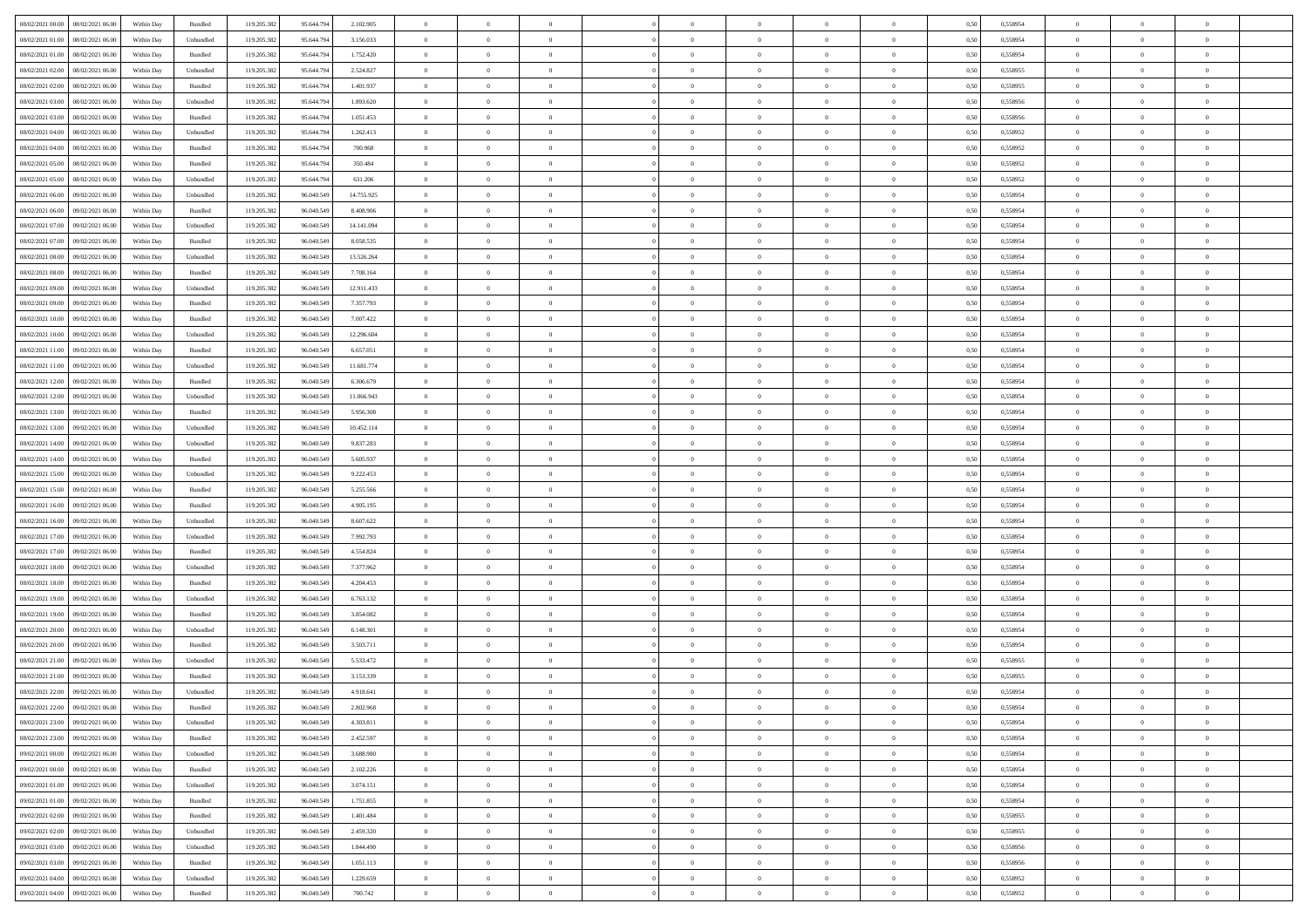| 08/02/2021 00:00 08/02/2021 06:00            | Within Day | Bundled   | 119.205.382 | 95.644.794 | 2.102.905  | $\overline{0}$ | $\theta$       |                | $\overline{0}$ | $\theta$       |                | $\theta$       | 0,50 | 0,558954 | $\theta$       | $\theta$       | $\theta$       |  |
|----------------------------------------------|------------|-----------|-------------|------------|------------|----------------|----------------|----------------|----------------|----------------|----------------|----------------|------|----------|----------------|----------------|----------------|--|
| 08/02/2021 01:00<br>08/02/2021 06:00         | Within Day | Unbundled | 119.205.38  | 95.644.79  | 3.156.033  | $\bf{0}$       | $\bf{0}$       | $\bf{0}$       | $\overline{0}$ | $\overline{0}$ | $\overline{0}$ | $\bf{0}$       | 0,50 | 0,558954 | $\,$ 0 $\,$    | $\bf{0}$       | $\overline{0}$ |  |
| 08/02/2021 01:00<br>08/02/2021 06:00         | Within Day | Bundled   | 119.205.382 | 95.644.794 | 1.752.420  | $\overline{0}$ | $\bf{0}$       | $\overline{0}$ | $\bf{0}$       | $\bf{0}$       | $\overline{0}$ | $\bf{0}$       | 0.50 | 0.558954 | $\bf{0}$       | $\overline{0}$ | $\overline{0}$ |  |
| 08/02/2021 02:00<br>08/02/2021 06:00         | Within Day | Unbundled | 119.205.382 | 95.644.794 | 2.524.827  | $\overline{0}$ | $\overline{0}$ | $\overline{0}$ | $\theta$       | $\theta$       | $\overline{0}$ | $\bf{0}$       | 0,50 | 0,558955 | $\theta$       | $\theta$       | $\overline{0}$ |  |
| 08/02/2021 02:00<br>08/02/2021 06:00         | Within Day | Bundled   | 119.205.38  | 95.644.79  | 1.401.937  | $\bf{0}$       | $\overline{0}$ | $\bf{0}$       | $\overline{0}$ | $\theta$       | $\overline{0}$ | $\bf{0}$       | 0,50 | 0,558955 | $\,$ 0 $\,$    | $\bf{0}$       | $\overline{0}$ |  |
|                                              |            |           |             |            |            |                |                |                |                |                |                |                |      |          |                |                |                |  |
| 08/02/2021 03:00<br>08/02/2021 06:00         | Within Day | Unbundled | 119,205.38  | 95.644.794 | 1.893.620  | $\overline{0}$ | $\overline{0}$ | $\overline{0}$ | $\bf{0}$       | $\overline{0}$ | $\theta$       | $\bf{0}$       | 0.50 | 0.558956 | $\,$ 0 $\,$    | $\theta$       | $\overline{0}$ |  |
| 08/02/2021 03:00<br>08/02/2021 06:00         | Within Day | Bundled   | 119.205.38  | 95.644.794 | 1.051.453  | $\overline{0}$ | $\overline{0}$ | $\overline{0}$ | $\overline{0}$ | $\overline{0}$ | $\overline{0}$ | $\bf{0}$       | 0,50 | 0,558956 | $\theta$       | $\theta$       | $\overline{0}$ |  |
| 08/02/2021 04:00<br>08/02/2021 06:00         | Within Day | Unbundled | 119.205.38  | 95.644.79  | 1.262.413  | $\overline{0}$ | $\overline{0}$ | $\bf{0}$       | $\overline{0}$ | $\overline{0}$ | $\overline{0}$ | $\bf{0}$       | 0,50 | 0,558952 | $\,$ 0 $\,$    | $\bf{0}$       | $\overline{0}$ |  |
| 08/02/2021 04:00<br>08/02/2021 06:00         | Within Day | Bundled   | 119,205.38  | 95.644.79  | 700.968    | $\overline{0}$ | $\bf{0}$       | $\overline{0}$ | $\bf{0}$       | $\overline{0}$ | $\overline{0}$ | $\bf{0}$       | 0.50 | 0.558952 | $\bf{0}$       | $\overline{0}$ | $\overline{0}$ |  |
| 08/02/2021 05:00<br>08/02/2021 06:00         | Within Day | Bundled   | 119.205.382 | 95.644.794 | 350.484    | $\overline{0}$ | $\bf{0}$       | $\overline{0}$ | $\overline{0}$ | $\overline{0}$ | $\overline{0}$ | $\bf{0}$       | 0,50 | 0,558952 | $\,$ 0 $\,$    | $\bf{0}$       | $\overline{0}$ |  |
| 08/02/2021 05:00<br>08/02/2021 06:00         | Within Day | Unbundled | 119.205.38  | 95.644.79  | 631.206    | $\bf{0}$       | $\overline{0}$ | $\bf{0}$       | $\bf{0}$       | $\bf{0}$       | $\overline{0}$ | $\bf{0}$       | 0,50 | 0,558952 | $\,$ 0 $\,$    | $\bf{0}$       | $\overline{0}$ |  |
| 08/02/2021 06:00                             |            | Unbundled |             | 96,040,549 | 14.755.925 |                | $\bf{0}$       | $\overline{0}$ |                | $\bf{0}$       | $\overline{0}$ |                | 0.50 | 0.558954 | $\bf{0}$       | $\overline{0}$ | $\bf{0}$       |  |
| 09/02/2021 06:00                             | Within Day |           | 119.205.382 |            |            | $\overline{0}$ |                |                | $\overline{0}$ |                |                | $\bf{0}$       |      |          |                |                |                |  |
| 08/02/2021 06:00<br>09/02/2021 06:00         | Within Day | Bundled   | 119.205.38  | 96.040.549 | 8.408.906  | $\overline{0}$ | $\overline{0}$ | $\overline{0}$ | $\theta$       | $\theta$       | $\overline{0}$ | $\bf{0}$       | 0,50 | 0,558954 | $\theta$       | $\theta$       | $\overline{0}$ |  |
| 08/02/2021 07:00<br>09/02/2021 06.00         | Within Day | Unbundled | 119.205.38  | 96.040.549 | 14.141.094 | $\bf{0}$       | $\overline{0}$ | $\bf{0}$       | $\overline{0}$ | $\theta$       | $\overline{0}$ | $\bf{0}$       | 0,50 | 0,558954 | $\,$ 0 $\,$    | $\bf{0}$       | $\overline{0}$ |  |
| 08/02/2021 07:00<br>09/02/2021 06:00         | Within Day | Bundled   | 119,205.38  | 96,040,549 | 8.058.535  | $\overline{0}$ | $\overline{0}$ | $\overline{0}$ | $\bf{0}$       | $\overline{0}$ | $\Omega$       | $\bf{0}$       | 0.50 | 0.558954 | $\,$ 0 $\,$    | $\theta$       | $\overline{0}$ |  |
| 08/02/2021 08:00<br>09/02/2021 06:00         | Within Day | Unbundled | 119.205.382 | 96.040.549 | 13.526.264 | $\overline{0}$ | $\overline{0}$ | $\overline{0}$ | $\overline{0}$ | $\overline{0}$ | $\overline{0}$ | $\bf{0}$       | 0,50 | 0,558954 | $\theta$       | $\theta$       | $\overline{0}$ |  |
| 08/02/2021 08:00<br>09/02/2021 06.00         | Within Day | Bundled   | 119.205.38  | 96.040.549 | 7.708.164  | $\bf{0}$       | $\overline{0}$ | $\bf{0}$       | $\overline{0}$ | $\theta$       | $\overline{0}$ | $\bf{0}$       | 0,50 | 0,558954 | $\,$ 0 $\,$    | $\bf{0}$       | $\overline{0}$ |  |
| 08/02/2021 09:00<br>09/02/2021 06:00         | Within Day | Unbundled | 119,205.38  | 96.040.549 | 12.911.433 | $\overline{0}$ | $\bf{0}$       | $\overline{0}$ | $\bf{0}$       | $\overline{0}$ | $\overline{0}$ | $\bf{0}$       | 0.50 | 0.558954 | $\bf{0}$       | $\overline{0}$ | $\overline{0}$ |  |
| 08/02/2021 09:00<br>09/02/2021 06:00         | Within Day | Bundled   | 119.205.382 | 96.040.549 | 7.357.793  | $\overline{0}$ | $\bf{0}$       | $\overline{0}$ | $\overline{0}$ | $\overline{0}$ | $\overline{0}$ | $\bf{0}$       | 0,50 | 0,558954 | $\,$ 0 $\,$    | $\bf{0}$       | $\overline{0}$ |  |
|                                              |            |           |             |            |            |                |                |                |                |                |                |                |      |          |                |                |                |  |
| 08/02/2021 10:00<br>09/02/2021 06.00         | Within Day | Bundled   | 119.205.38  | 96.040.549 | 7.007.422  | $\bf{0}$       | $\bf{0}$       | $\bf{0}$       | $\bf{0}$       | $\overline{0}$ | $\overline{0}$ | $\bf{0}$       | 0,50 | 0,558954 | $\,$ 0 $\,$    | $\bf{0}$       | $\overline{0}$ |  |
| 08/02/2021 10:00<br>09/02/2021 06:00         | Within Day | Unbundled | 119.205.382 | 96,040,549 | 12.296.604 | $\overline{0}$ | $\bf{0}$       | $\overline{0}$ | $\bf{0}$       | $\bf{0}$       | $\overline{0}$ | $\bf{0}$       | 0.50 | 0.558954 | $\bf{0}$       | $\overline{0}$ | $\overline{0}$ |  |
| 08/02/2021 11:00<br>09/02/2021 06:00         | Within Day | Bundled   | 119.205.382 | 96.040.549 | 6.657.051  | $\overline{0}$ | $\overline{0}$ | $\overline{0}$ | $\theta$       | $\theta$       | $\overline{0}$ | $\bf{0}$       | 0,50 | 0,558954 | $\theta$       | $\theta$       | $\overline{0}$ |  |
| 08/02/2021 11:00<br>09/02/2021 06.00         | Within Day | Unbundled | 119.205.38  | 96.040.549 | 11.681.774 | $\bf{0}$       | $\overline{0}$ | $\bf{0}$       | $\bf{0}$       | $\,$ 0 $\,$    | $\overline{0}$ | $\bf{0}$       | 0,50 | 0,558954 | $\,$ 0 $\,$    | $\bf{0}$       | $\overline{0}$ |  |
| 08/02/2021 12:00<br>09/02/2021 06:00         | Within Day | Bundled   | 119,205.38  | 96,040,549 | 6.306.679  | $\overline{0}$ | $\overline{0}$ | $\overline{0}$ | $\bf{0}$       | $\overline{0}$ | $\theta$       | $\bf{0}$       | 0.50 | 0.558954 | $\bf{0}$       | $\theta$       | $\overline{0}$ |  |
| 08/02/2021 12:00<br>09/02/2021 06:00         | Within Day | Unbundled | 119.205.382 | 96.040.549 | 11.066.943 | $\overline{0}$ | $\overline{0}$ | $\overline{0}$ | $\overline{0}$ | $\overline{0}$ | $\overline{0}$ | $\bf{0}$       | 0,50 | 0,558954 | $\theta$       | $\theta$       | $\overline{0}$ |  |
| 08/02/2021 13:00<br>09/02/2021 06.00         | Within Day | Bundled   | 119.205.38  | 96.040.549 | 5.956.308  | $\bf{0}$       | $\overline{0}$ | $\bf{0}$       | $\overline{0}$ | $\bf{0}$       | $\overline{0}$ | $\bf{0}$       | 0,50 | 0,558954 | $\,$ 0 $\,$    | $\bf{0}$       | $\overline{0}$ |  |
|                                              |            |           |             |            |            |                |                |                |                |                |                |                |      |          |                |                |                |  |
| 08/02/2021 13:00<br>09/02/2021 06:00         | Within Day | Unbundled | 119,205.38  | 96,040,549 | 10.452.114 | $\overline{0}$ | $\bf{0}$       | $\overline{0}$ | $\bf{0}$       | $\overline{0}$ | $\overline{0}$ | $\bf{0}$       | 0.50 | 0.558954 | $\bf{0}$       | $\overline{0}$ | $\overline{0}$ |  |
| 08/02/2021 14:00<br>09/02/2021 06:00         | Within Day | Unbundled | 119.205.382 | 96.040.549 | 9.837.283  | $\overline{0}$ | $\overline{0}$ | $\overline{0}$ | $\overline{0}$ | $\overline{0}$ | $\overline{0}$ | $\bf{0}$       | 0,50 | 0,558954 | $\theta$       | $\theta$       | $\overline{0}$ |  |
| 08/02/2021 14:00<br>09/02/2021 06.00         | Within Day | Bundled   | 119.205.38  | 96.040.549 | 5.605.937  | $\bf{0}$       | $\bf{0}$       | $\bf{0}$       | $\bf{0}$       | $\overline{0}$ | $\overline{0}$ | $\bf{0}$       | 0,50 | 0,558954 | $\,$ 0 $\,$    | $\bf{0}$       | $\overline{0}$ |  |
| 08/02/2021 15:00<br>09/02/2021 06:00         | Within Day | Unbundled | 119.205.382 | 96,040,549 | 9.222.453  | $\overline{0}$ | $\bf{0}$       | $\overline{0}$ | $\bf{0}$       | $\bf{0}$       | $\overline{0}$ | $\bf{0}$       | 0.50 | 0.558954 | $\bf{0}$       | $\overline{0}$ | $\overline{0}$ |  |
| 08/02/2021 15:00<br>09/02/2021 06:00         | Within Day | Bundled   | 119.205.382 | 96.040.549 | 5.255.566  | $\overline{0}$ | $\overline{0}$ | $\overline{0}$ | $\overline{0}$ | $\overline{0}$ | $\overline{0}$ | $\bf{0}$       | 0.50 | 0.558954 | $\theta$       | $\theta$       | $\overline{0}$ |  |
| 08/02/2021 16:00<br>09/02/2021 06.00         | Within Day | Bundled   | 119.205.38  | 96.040.549 | 4.905.195  | $\bf{0}$       | $\overline{0}$ | $\bf{0}$       | $\bf{0}$       | $\,$ 0 $\,$    | $\overline{0}$ | $\bf{0}$       | 0,50 | 0,558954 | $\,$ 0 $\,$    | $\bf{0}$       | $\overline{0}$ |  |
| 08/02/2021 16:00<br>09/02/2021 06:00         | Within Day | Unbundled | 119.205.382 | 96,040,549 | 8.607.622  | $\overline{0}$ | $\bf{0}$       | $\overline{0}$ | $\bf{0}$       | $\overline{0}$ | $\Omega$       | $\bf{0}$       | 0.50 | 0.558954 | $\,$ 0 $\,$    | $\theta$       | $\overline{0}$ |  |
| 08/02/2021 17:00<br>09/02/2021 06:00         | Within Dav | Unbundled | 119.205.382 | 96.040.549 | 7.992.793  | $\overline{0}$ | $\overline{0}$ | $\overline{0}$ | $\overline{0}$ | $\theta$       | $\overline{0}$ | $\bf{0}$       | 0.5( | 0,558954 | $\theta$       | $\theta$       | $\overline{0}$ |  |
|                                              |            |           |             |            |            |                |                |                |                |                |                |                |      |          |                |                |                |  |
| 08/02/2021 17:00<br>09/02/2021 06.00         | Within Day | Bundled   | 119.205.38  | 96.040.549 | 4.554.824  | $\bf{0}$       | $\bf{0}$       | $\bf{0}$       | $\overline{0}$ | $\bf{0}$       | $\overline{0}$ | $\bf{0}$       | 0,50 | 0,558954 | $\,$ 0 $\,$    | $\bf{0}$       | $\overline{0}$ |  |
| 08/02/2021 18:00<br>09/02/2021 06:00         | Within Day | Unbundled | 119,205.38  | 96,040,549 | 7.377.962  | $\overline{0}$ | $\bf{0}$       | $\overline{0}$ | $\bf{0}$       | $\overline{0}$ | $\overline{0}$ | $\bf{0}$       | 0.50 | 0.558954 | $\bf{0}$       | $\overline{0}$ | $\overline{0}$ |  |
| 08/02/2021 18:00<br>09/02/2021 06:00         | Within Dav | Bundled   | 119.205.38  | 96.040.549 | 4.204.453  | $\overline{0}$ | $\overline{0}$ | $\overline{0}$ | $\overline{0}$ | $\overline{0}$ | $\overline{0}$ | $\bf{0}$       | 0.50 | 0,558954 | $\theta$       | $\theta$       | $\overline{0}$ |  |
| 08/02/2021 19:00<br>09/02/2021 06.00         | Within Day | Unbundled | 119.205.38  | 96.040.549 | 6.763.132  | $\bf{0}$       | $\bf{0}$       | $\bf{0}$       | $\bf{0}$       | $\overline{0}$ | $\overline{0}$ | $\bf{0}$       | 0,50 | 0,558954 | $\,$ 0 $\,$    | $\bf{0}$       | $\overline{0}$ |  |
| 08/02/2021 19:00<br>09/02/2021 06:00         | Within Day | Bundled   | 119.205.382 | 96,040,549 | 3.854.082  | $\overline{0}$ | $\bf{0}$       | $\overline{0}$ | $\bf{0}$       | $\bf{0}$       | $\overline{0}$ | $\bf{0}$       | 0.50 | 0.558954 | $\bf{0}$       | $\overline{0}$ | $\overline{0}$ |  |
| 08/02/2021 20:00<br>09/02/2021 06:00         | Within Dav | Unbundled | 119.205.382 | 96.040.549 | 6.148.301  | $\overline{0}$ | $\overline{0}$ | $\overline{0}$ | $\overline{0}$ | $\overline{0}$ | $\overline{0}$ | $\bf{0}$       | 0.50 | 0,558954 | $\theta$       | $\theta$       | $\overline{0}$ |  |
| 08/02/2021 20:00<br>09/02/2021 06.00         | Within Day | Bundled   | 119.205.38  | 96.040.549 | 3.503.711  | $\bf{0}$       | $\bf{0}$       | $\bf{0}$       | $\bf{0}$       | $\overline{0}$ | $\overline{0}$ | $\bf{0}$       | 0,50 | 0,558954 | $\,$ 0 $\,$    | $\bf{0}$       | $\overline{0}$ |  |
| 08/02/2021 21:00<br>09/02/2021 06:00         | Within Day | Unbundled | 119.205.382 | 96,040,549 | 5.533.472  | $\overline{0}$ | $\overline{0}$ | $\overline{0}$ | $\bf{0}$       | $\overline{0}$ | $\Omega$       | $\bf{0}$       | 0.50 | 0.558955 | $\,$ 0 $\,$    | $\theta$       | $\overline{0}$ |  |
| 08/02/2021 21:00<br>09/02/2021 06:00         | Within Dav | Bundled   | 119.205.38  | 96.040.549 | 3.153.339  | $\overline{0}$ | $\overline{0}$ | $\Omega$       | $\overline{0}$ | $\theta$       | $\Omega$       | $\overline{0}$ | 0.5( | 0,558955 | $\theta$       | $\theta$       | $\overline{0}$ |  |
|                                              |            |           |             |            |            |                |                |                |                |                |                |                |      |          |                |                |                |  |
| 08/02/2021 22:00<br>09/02/2021 06:00         | Within Day | Unbundled | 119.205.382 | 96.040.549 | 4.918.641  | $\bf{0}$       | $\bf{0}$       | $\overline{0}$ | $\bf{0}$       | $\bf{0}$       | $\overline{0}$ | $\bf{0}$       | 0,50 | 0,558954 | $\overline{0}$ | $\bf{0}$       | $\overline{0}$ |  |
| $08/02/2021\ 22.00 \qquad 09/02/2021\ 06.00$ | Within Day | Bundled   | 119.205.382 | 96.040.549 | 2.802.968  | $\overline{0}$ | $\Omega$       |                | $\Omega$       |                |                |                | 0,50 | 0.558954 | $\theta$       | $\overline{0}$ |                |  |
| 08/02/2021 23:00 09/02/2021 06:00            | Within Day | Unbundled | 119.205.382 | 96.040.549 | 4.303.811  | $\overline{0}$ | $\theta$       | $\overline{0}$ | $\theta$       | $\overline{0}$ | $\overline{0}$ | $\bf{0}$       | 0,50 | 0,558954 | $\theta$       | $\theta$       | $\overline{0}$ |  |
| 08/02/2021 23:00<br>09/02/2021 06:00         | Within Day | Bundled   | 119.205.38  | 96.040.549 | 2.452.597  | $\overline{0}$ | $\bf{0}$       | $\overline{0}$ | $\overline{0}$ | $\bf{0}$       | $\overline{0}$ | $\bf{0}$       | 0,50 | 0,558954 | $\bf{0}$       | $\overline{0}$ | $\bf{0}$       |  |
| 09/02/2021 00:00 09/02/2021 06:00            | Within Day | Unbundled | 119.205.382 | 96,040.549 | 3.688.980  | $\overline{0}$ | $\bf{0}$       | $\overline{0}$ | $\overline{0}$ | $\mathbf{0}$   | $\overline{0}$ | $\,$ 0 $\,$    | 0.50 | 0.558954 | $\overline{0}$ | $\bf{0}$       | $\,$ 0 $\,$    |  |
| 09/02/2021 00:00 09/02/2021 06:00            | Within Day | Bundled   | 119.205.382 | 96.040.549 | 2.102.226  | $\overline{0}$ | $\overline{0}$ | $\overline{0}$ | $\overline{0}$ | $\overline{0}$ | $\overline{0}$ | $\bf{0}$       | 0,50 | 0,558954 | $\overline{0}$ | $\theta$       | $\overline{0}$ |  |
| 09/02/2021 01:00<br>09/02/2021 06:00         | Within Day | Unbundled | 119.205.382 | 96.040.549 | 3.074.151  | $\overline{0}$ | $\bf{0}$       | $\overline{0}$ | $\overline{0}$ | $\overline{0}$ | $\overline{0}$ | $\bf{0}$       | 0,50 | 0,558954 | $\bf{0}$       | $\overline{0}$ | $\overline{0}$ |  |
|                                              |            |           |             |            |            |                |                |                |                |                |                |                |      |          |                |                |                |  |
| 09/02/2021 01:00<br>09/02/2021 06:00         | Within Day | Bundled   | 119.205.382 | 96,040,549 | 1.751.855  | $\overline{0}$ | $\bf{0}$       | $\overline{0}$ | $\overline{0}$ | $\overline{0}$ | $\overline{0}$ | $\bf{0}$       | 0.50 | 0.558954 | $\,$ 0 $\,$    | $\overline{0}$ | $\,$ 0         |  |
| 09/02/2021 02:00<br>09/02/2021 06:00         | Within Dav | Bundled   | 119.205.382 | 96.040.549 | 1.401.484  | $\overline{0}$ | $\overline{0}$ | $\overline{0}$ | $\overline{0}$ | $\overline{0}$ | $\overline{0}$ | $\bf{0}$       | 0.50 | 0,558955 | $\overline{0}$ | $\theta$       | $\overline{0}$ |  |
| 09/02/2021 02:00<br>09/02/2021 06:00         | Within Day | Unbundled | 119.205.38  | 96.040.549 | 2.459.320  | $\overline{0}$ | $\overline{0}$ | $\overline{0}$ | $\overline{0}$ | $\overline{0}$ | $\overline{0}$ | $\bf{0}$       | 0,50 | 0,558955 | $\bf{0}$       | $\overline{0}$ | $\,$ 0         |  |
| 09/02/2021 03:00<br>09/02/2021 06:00         | Within Day | Unbundled | 119.205.382 | 96,040,549 | 1.844.490  | $\overline{0}$ | $\overline{0}$ | $\overline{0}$ | $\overline{0}$ | $\overline{0}$ | $\overline{0}$ | $\bf{0}$       | 0.50 | 0.558956 | $\mathbf{0}$   | $\bf{0}$       | $\,$ 0         |  |
| 09/02/2021 03:00 09/02/2021 06:00            | Within Dav | Bundled   | 119.205.382 | 96.040.549 | 1.051.113  | $\overline{0}$ | $\overline{0}$ | $\overline{0}$ | $\overline{0}$ | $\overline{0}$ | $\overline{0}$ | $\bf{0}$       | 0,50 | 0,558956 | $\overline{0}$ | $\theta$       | $\overline{0}$ |  |
| 09/02/2021 04:00<br>09/02/2021 06.00         | Within Day | Unbundled | 119.205.38  | 96.040.549 | 1.229.659  | $\overline{0}$ | $\bf{0}$       | $\overline{0}$ | $\bf{0}$       | $\overline{0}$ | $\overline{0}$ | $\bf{0}$       | 0,50 | 0,558952 | $\bf{0}$       | $\,$ 0 $\,$    | $\bf{0}$       |  |
|                                              |            |           |             |            |            |                |                |                |                |                |                |                |      |          |                |                |                |  |
| 09/02/2021 04:00 09/02/2021 06:00            | Within Day | Bundled   | 119.205.382 | 96.040.549 | 700.742    | $\,$ 0 $\,$    | $\bf{0}$       | $\overline{0}$ | $\overline{0}$ | $\,$ 0 $\,$    | $\overline{0}$ | $\bf{0}$       | 0,50 | 0,558952 | $\overline{0}$ | $\,$ 0 $\,$    | $\,$ 0 $\,$    |  |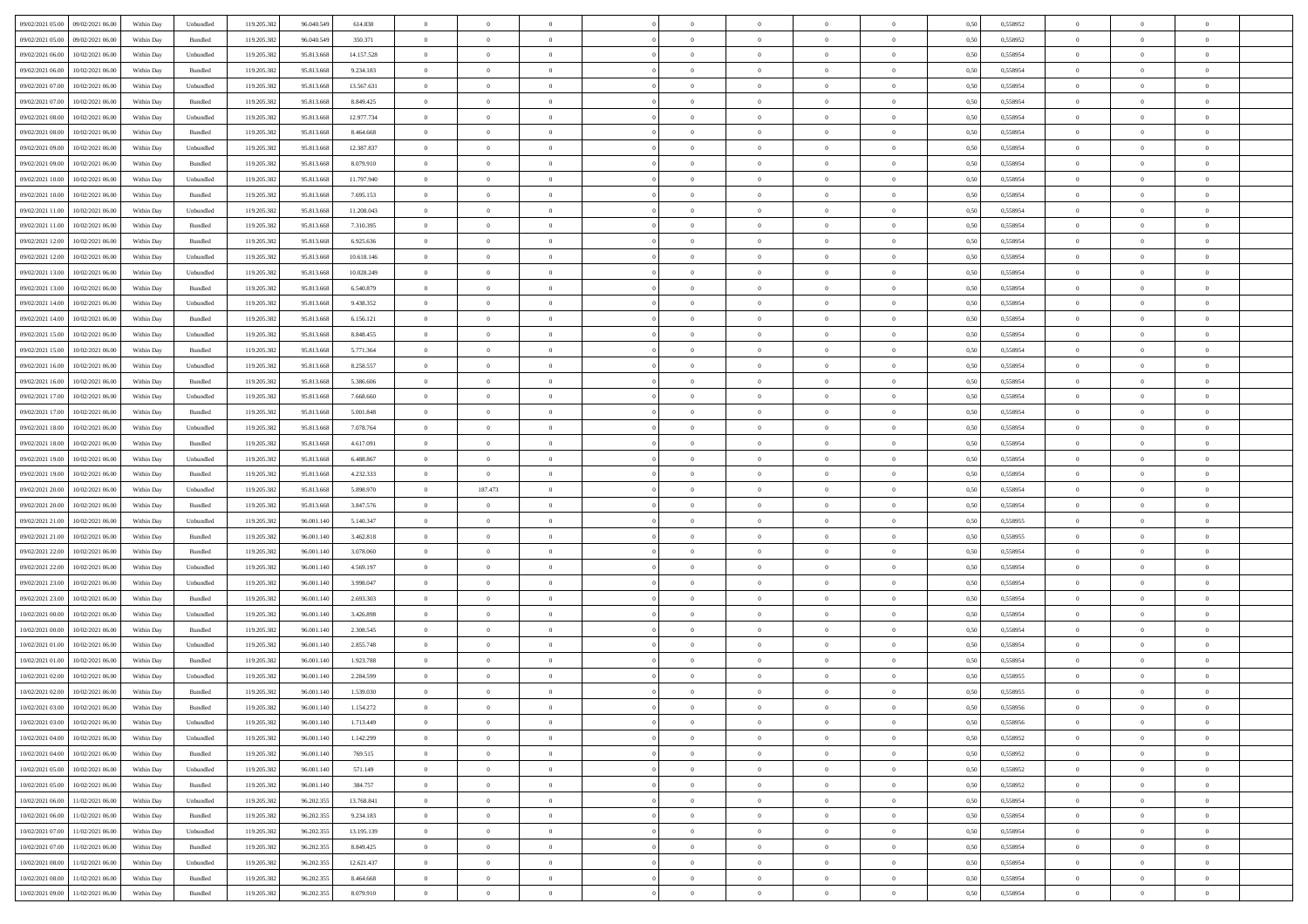| 09/02/2021 05:00<br>09/02/2021 06:00           | Within Day | Unbundled | 119.205.382 | 96.040.549 | 614.830    | $\overline{0}$ | $\overline{0}$ |                | $\overline{0}$ | $\theta$       |                | $\theta$       | 0,50 | 0,558952 | $\theta$       | $\theta$       | $\theta$       |  |
|------------------------------------------------|------------|-----------|-------------|------------|------------|----------------|----------------|----------------|----------------|----------------|----------------|----------------|------|----------|----------------|----------------|----------------|--|
| 09/02/2021 05:00<br>09/02/2021 06.00           | Within Day | Bundled   | 119.205.38  | 96.040.549 | 350.371    | $\bf{0}$       | $\bf{0}$       | $\bf{0}$       | $\bf{0}$       | $\overline{0}$ | $\overline{0}$ | $\bf{0}$       | 0,50 | 0,558952 | $\,$ 0 $\,$    | $\bf{0}$       | $\overline{0}$ |  |
| 09/02/2021 06:00<br>10/02/2021 06:00           | Within Day | Unbundled | 119.205.382 | 95.813.668 | 14.157.528 | $\overline{0}$ | $\bf{0}$       | $\overline{0}$ | $\bf{0}$       | $\bf{0}$       | $\overline{0}$ | $\bf{0}$       | 0.50 | 0.558954 | $\bf{0}$       | $\overline{0}$ | $\overline{0}$ |  |
| 09/02/2021 06:00<br>10/02/2021 06:00           | Within Day | Bundled   | 119.205.382 | 95.813.668 | 9.234.183  | $\overline{0}$ | $\overline{0}$ | $\overline{0}$ | $\theta$       | $\theta$       | $\overline{0}$ | $\bf{0}$       | 0,50 | 0,558954 | $\theta$       | $\theta$       | $\overline{0}$ |  |
| 09/02/2021 07:00<br>10/02/2021 06:00           | Within Day | Unbundled | 119.205.38  | 95.813.66  | 13.567.631 | $\bf{0}$       | $\overline{0}$ | $\bf{0}$       | $\overline{0}$ | $\theta$       | $\overline{0}$ | $\bf{0}$       | 0,50 | 0,558954 | $\,$ 0 $\,$    | $\bf{0}$       | $\overline{0}$ |  |
| 09/02/2021 07:00<br>10/02/2021 06:00           | Within Day | Bundled   | 119,205.38  | 95.813.668 | 8.849.425  | $\overline{0}$ | $\overline{0}$ | $\overline{0}$ | $\bf{0}$       | $\overline{0}$ | $\theta$       | $\bf{0}$       | 0.50 | 0.558954 | $\,$ 0 $\,$    | $\theta$       | $\overline{0}$ |  |
| 09/02/2021 08:00<br>10/02/2021 06:00           | Within Day | Unbundled | 119.205.382 | 95.813.668 | 12.977.734 | $\overline{0}$ | $\overline{0}$ | $\overline{0}$ | $\overline{0}$ | $\overline{0}$ | $\overline{0}$ | $\bf{0}$       | 0,50 | 0,558954 | $\theta$       | $\theta$       | $\overline{0}$ |  |
|                                                |            |           |             |            |            |                |                |                |                |                |                |                |      |          |                |                |                |  |
| 09/02/2021 08:00<br>10/02/2021 06:00           | Within Day | Bundled   | 119.205.38  | 95.813.66  | 8.464.668  | $\bf{0}$       | $\bf{0}$       | $\bf{0}$       | $\overline{0}$ | $\overline{0}$ | $\overline{0}$ | $\bf{0}$       | 0,50 | 0,558954 | $\,$ 0 $\,$    | $\bf{0}$       | $\overline{0}$ |  |
| 09/02/2021 09:00<br>10/02/2021 06:00           | Within Day | Unbundled | 119,205.38  | 95.813.668 | 12,387,837 | $\overline{0}$ | $\bf{0}$       | $\overline{0}$ | $\bf{0}$       | $\overline{0}$ | $\overline{0}$ | $\bf{0}$       | 0.50 | 0.558954 | $\bf{0}$       | $\overline{0}$ | $\overline{0}$ |  |
| 09/02/2021 09:00<br>10/02/2021 06:00           | Within Day | Bundled   | 119.205.382 | 95.813.668 | 8.079.910  | $\overline{0}$ | $\bf{0}$       | $\overline{0}$ | $\overline{0}$ | $\overline{0}$ | $\overline{0}$ | $\bf{0}$       | 0,50 | 0,558954 | $\,$ 0 $\,$    | $\bf{0}$       | $\overline{0}$ |  |
| 09/02/2021 10:00<br>10/02/2021 06:00           | Within Day | Unbundled | 119.205.38  | 95.813.66  | 11.797.940 | $\bf{0}$       | $\overline{0}$ | $\bf{0}$       | $\bf{0}$       | $\bf{0}$       | $\overline{0}$ | $\bf{0}$       | 0,50 | 0,558954 | $\,$ 0 $\,$    | $\bf{0}$       | $\overline{0}$ |  |
| 09/02/2021 10:00<br>10/02/2021 06:00           | Within Day | Bundled   | 119.205.382 | 95.813.668 | 7.695.153  | $\overline{0}$ | $\bf{0}$       | $\overline{0}$ | $\overline{0}$ | $\bf{0}$       | $\overline{0}$ | $\bf{0}$       | 0.50 | 0.558954 | $\bf{0}$       | $\overline{0}$ | $\bf{0}$       |  |
| 09/02/2021 11:00<br>10/02/2021 06:00           | Within Day | Unbundled | 119.205.38  | 95.813.668 | 11.208.043 | $\overline{0}$ | $\overline{0}$ | $\overline{0}$ | $\theta$       | $\theta$       | $\overline{0}$ | $\bf{0}$       | 0,50 | 0,558954 | $\theta$       | $\theta$       | $\overline{0}$ |  |
| 09/02/2021 11:00<br>10/02/2021 06:00           | Within Day | Bundled   | 119.205.38  | 95.813.66  | 7.310.395  | $\bf{0}$       | $\overline{0}$ | $\bf{0}$       | $\overline{0}$ | $\bf{0}$       | $\overline{0}$ | $\bf{0}$       | 0,50 | 0,558954 | $\,$ 0 $\,$    | $\bf{0}$       | $\overline{0}$ |  |
| 09/02/2021 12:00<br>10/02/2021 06:00           | Within Day | Bundled   | 119,205.38  | 95.813.668 | 6.925.636  | $\overline{0}$ | $\overline{0}$ | $\overline{0}$ | $\bf{0}$       | $\overline{0}$ | $\theta$       | $\bf{0}$       | 0.50 | 0.558954 | $\,$ 0 $\,$    | $\theta$       | $\overline{0}$ |  |
| 09/02/2021 12:00<br>10/02/2021 06:00           | Within Day | Unbundled | 119.205.382 | 95.813.668 | 10.618.146 | $\overline{0}$ | $\overline{0}$ | $\overline{0}$ | $\overline{0}$ | $\overline{0}$ | $\overline{0}$ | $\bf{0}$       | 0,50 | 0,558954 | $\theta$       | $\theta$       | $\overline{0}$ |  |
|                                                |            |           |             |            |            |                |                |                |                |                |                |                |      |          |                |                |                |  |
| 09/02/2021 13:00<br>10/02/2021 06:00           | Within Day | Unbundled | 119.205.38  | 95.813.66  | 10.028.249 | $\bf{0}$       | $\overline{0}$ | $\bf{0}$       | $\overline{0}$ | $\bf{0}$       | $\overline{0}$ | $\bf{0}$       | 0,50 | 0,558954 | $\,$ 0 $\,$    | $\bf{0}$       | $\overline{0}$ |  |
| 09/02/2021 13:00<br>10/02/2021 06:00           | Within Day | Bundled   | 119,205.38  | 95.813.668 | 6.540.879  | $\overline{0}$ | $\bf{0}$       | $\overline{0}$ | $\bf{0}$       | $\overline{0}$ | $\overline{0}$ | $\bf{0}$       | 0.50 | 0.558954 | $\bf{0}$       | $\overline{0}$ | $\overline{0}$ |  |
| 09/02/2021 14:00<br>10/02/2021 06:00           | Within Day | Unbundled | 119.205.382 | 95.813.668 | 9.438.352  | $\bf{0}$       | $\bf{0}$       | $\overline{0}$ | $\overline{0}$ | $\overline{0}$ | $\overline{0}$ | $\bf{0}$       | 0,50 | 0,558954 | $\,$ 0 $\,$    | $\bf{0}$       | $\overline{0}$ |  |
| 09/02/2021 14:00<br>10/02/2021 06:00           | Within Day | Bundled   | 119.205.38  | 95.813.66  | 6.156.121  | $\bf{0}$       | $\bf{0}$       | $\bf{0}$       | $\bf{0}$       | $\overline{0}$ | $\overline{0}$ | $\bf{0}$       | 0,50 | 0,558954 | $\,$ 0 $\,$    | $\bf{0}$       | $\overline{0}$ |  |
| 09/02/2021 15:00<br>10/02/2021 06:00           | Within Day | Unbundled | 119.205.382 | 95.813.668 | 8.848.455  | $\overline{0}$ | $\bf{0}$       | $\overline{0}$ | $\overline{0}$ | $\bf{0}$       | $\overline{0}$ | $\bf{0}$       | 0.50 | 0.558954 | $\bf{0}$       | $\overline{0}$ | $\,$ 0         |  |
| 09/02/2021 15:00<br>10/02/2021 06:00           | Within Day | Bundled   | 119.205.382 | 95.813.668 | 5.771.364  | $\overline{0}$ | $\overline{0}$ | $\overline{0}$ | $\theta$       | $\theta$       | $\overline{0}$ | $\bf{0}$       | 0,50 | 0,558954 | $\theta$       | $\theta$       | $\overline{0}$ |  |
| 09/02/2021 16:00<br>10/02/2021 06:00           | Within Day | Unbundled | 119.205.38  | 95.813.66  | 8.258.557  | $\bf{0}$       | $\overline{0}$ | $\bf{0}$       | $\bf{0}$       | $\,$ 0 $\,$    | $\overline{0}$ | $\bf{0}$       | 0,50 | 0,558954 | $\,$ 0 $\,$    | $\bf{0}$       | $\overline{0}$ |  |
| 09/02/2021 16:00<br>10/02/2021 06:00           | Within Day | Bundled   | 119,205.38  | 95.813.668 | 5.386.606  | $\overline{0}$ | $\overline{0}$ | $\overline{0}$ | $\bf{0}$       | $\overline{0}$ | $\theta$       | $\bf{0}$       | 0.50 | 0.558954 | $\,$ 0 $\,$    | $\theta$       | $\overline{0}$ |  |
| 09/02/2021 17:00<br>10/02/2021 06:00           | Within Day | Unbundled | 119.205.382 | 95.813.668 | 7.668.660  | $\overline{0}$ | $\overline{0}$ | $\overline{0}$ | $\overline{0}$ | $\overline{0}$ | $\overline{0}$ | $\bf{0}$       | 0,50 | 0,558954 | $\theta$       | $\theta$       | $\overline{0}$ |  |
| 10/02/2021 06:00                               | Within Day | Bundled   | 119.205.38  | 95.813.66  | 5.001.848  | $\bf{0}$       | $\overline{0}$ | $\bf{0}$       | $\overline{0}$ | $\bf{0}$       | $\overline{0}$ | $\bf{0}$       | 0,50 | 0,558954 | $\,$ 0 $\,$    | $\bf{0}$       | $\overline{0}$ |  |
| 09/02/2021 17:00                               |            |           |             |            |            |                |                |                |                |                |                |                |      |          |                |                |                |  |
| 09/02/2021 18:00<br>10/02/2021 06:00           | Within Day | Unbundled | 119,205.38  | 95.813.668 | 7.078.764  | $\overline{0}$ | $\bf{0}$       | $\overline{0}$ | $\bf{0}$       | $\overline{0}$ | $\overline{0}$ | $\bf{0}$       | 0.50 | 0.558954 | $\bf{0}$       | $\overline{0}$ | $\overline{0}$ |  |
| 09/02/2021 18:00<br>10/02/2021 06:00           | Within Day | Bundled   | 119.205.382 | 95.813.668 | 4.617.091  | $\overline{0}$ | $\overline{0}$ | $\overline{0}$ | $\overline{0}$ | $\overline{0}$ | $\overline{0}$ | $\bf{0}$       | 0,50 | 0,558954 | $\theta$       | $\theta$       | $\overline{0}$ |  |
| 09/02/2021 19:00<br>10/02/2021 06:00           | Within Day | Unbundled | 119.205.38  | 95.813.66  | 6.488.867  | $\bf{0}$       | $\bf{0}$       | $\bf{0}$       | $\bf{0}$       | $\overline{0}$ | $\overline{0}$ | $\bf{0}$       | 0,50 | 0,558954 | $\,$ 0 $\,$    | $\bf{0}$       | $\overline{0}$ |  |
| 09/02/2021 19:00<br>10/02/2021 06:00           | Within Day | Bundled   | 119.205.382 | 95.813.668 | 4.232.333  | $\overline{0}$ | $\overline{0}$ | $\overline{0}$ | $\bf{0}$       | $\bf{0}$       | $\overline{0}$ | $\bf{0}$       | 0.50 | 0.558954 | $\bf{0}$       | $\overline{0}$ | $\bf{0}$       |  |
| 09/02/2021 20:00<br>10/02/2021 06:00           | Within Day | Unbundled | 119.205.382 | 95,813,668 | 5.898.970  | $\overline{0}$ | 187.473        | $\overline{0}$ | $\overline{0}$ | $\overline{0}$ | $\overline{0}$ | $\bf{0}$       | 0.50 | 0.558954 | $\theta$       | $\theta$       | $\overline{0}$ |  |
| 09/02/2021 20:00<br>10/02/2021 06:00           | Within Day | Bundled   | 119.205.38  | 95.813.66  | 3.847.576  | $\bf{0}$       | $\overline{0}$ | $\bf{0}$       | $\bf{0}$       | $\,$ 0 $\,$    | $\overline{0}$ | $\bf{0}$       | 0,50 | 0,558954 | $\,$ 0 $\,$    | $\bf{0}$       | $\overline{0}$ |  |
| 09/02/2021 21:00<br>10/02/2021 06:00           | Within Day | Unbundled | 119.205.382 | 96,001.140 | 5.140.347  | $\overline{0}$ | $\bf{0}$       | $\overline{0}$ | $\bf{0}$       | $\overline{0}$ | $\Omega$       | $\bf{0}$       | 0.50 | 0.558955 | $\,$ 0 $\,$    | $\theta$       | $\overline{0}$ |  |
| 09/02/2021 21:00<br>10/02/2021 06:00           | Within Dav | Bundled   | 119.205.382 | 96.001.140 | 3.462.818  | $\overline{0}$ | $\overline{0}$ | $\overline{0}$ | $\overline{0}$ | $\overline{0}$ | $\overline{0}$ | $\bf{0}$       | 0.5( | 0,558955 | $\theta$       | $\theta$       | $\overline{0}$ |  |
| 09/02/2021 22:00<br>10/02/2021 06:00           | Within Day | Bundled   | 119.205.38  | 96.001.140 | 3.078.060  | $\bf{0}$       | $\bf{0}$       | $\bf{0}$       | $\bf{0}$       | $\bf{0}$       | $\overline{0}$ | $\bf{0}$       | 0,50 | 0,558954 | $\,$ 0 $\,$    | $\bf{0}$       | $\overline{0}$ |  |
| 09/02/2021 22.00<br>10/02/2021 06:00           | Within Day | Unbundled | 119,205.38  | 96.001.140 | 4.569.197  | $\overline{0}$ | $\bf{0}$       | $\overline{0}$ | $\bf{0}$       | $\overline{0}$ | $\overline{0}$ | $\bf{0}$       | 0.50 | 0.558954 | $\bf{0}$       | $\overline{0}$ | $\overline{0}$ |  |
| 09/02/2021 23:00<br>10/02/2021 06:00           | Within Dav | Unbundled | 119.205.38  | 96.001.140 | 3.998.047  | $\overline{0}$ | $\overline{0}$ | $\overline{0}$ | $\overline{0}$ | $\overline{0}$ | $\overline{0}$ | $\bf{0}$       | 0.50 | 0,558954 | $\theta$       | $\theta$       | $\overline{0}$ |  |
|                                                |            |           |             |            |            |                |                |                |                |                |                |                |      |          |                |                |                |  |
| 09/02/2021 23:00<br>10/02/2021 06:00           | Within Day | Bundled   | 119.205.38  | 96.001.14  | 2.693.303  | $\bf{0}$       | $\bf{0}$       | $\bf{0}$       | $\bf{0}$       | $\overline{0}$ | $\overline{0}$ | $\bf{0}$       | 0,50 | 0,558954 | $\,$ 0 $\,$    | $\bf{0}$       | $\overline{0}$ |  |
| $10/02/2021\ 00.00$<br>10/02/2021 06:00        | Within Day | Unbundled | 119.205.38  | 96,001.140 | 3.426.898  | $\overline{0}$ | $\bf{0}$       | $\overline{0}$ | $\overline{0}$ | $\bf{0}$       | $\overline{0}$ | $\bf{0}$       | 0.50 | 0.558954 | $\bf{0}$       | $\overline{0}$ | $\overline{0}$ |  |
| 10/02/2021 00:00<br>10/02/2021 06:00           | Within Dav | Bundled   | 119.205.382 | 96.001.140 | 2.308.545  | $\overline{0}$ | $\overline{0}$ | $\overline{0}$ | $\overline{0}$ | $\overline{0}$ | $\overline{0}$ | $\bf{0}$       | 0.50 | 0,558954 | $\theta$       | $\theta$       | $\overline{0}$ |  |
| 10/02/2021 01:00<br>10/02/2021 06:00           | Within Day | Unbundled | 119.205.38  | 96.001.140 | 2.855.748  | $\bf{0}$       | $\bf{0}$       | $\bf{0}$       | $\bf{0}$       | $\overline{0}$ | $\overline{0}$ | $\bf{0}$       | 0,50 | 0,558954 | $\,$ 0 $\,$    | $\bf{0}$       | $\overline{0}$ |  |
| 10/02/2021 01:00<br>10/02/2021 06:00           | Within Day | Bundled   | 119.205.382 | 96.001.140 | 1.923.788  | $\overline{0}$ | $\overline{0}$ | $\overline{0}$ | $\bf{0}$       | $\overline{0}$ | $\Omega$       | $\bf{0}$       | 0.50 | 0.558954 | $\,$ 0 $\,$    | $\theta$       | $\overline{0}$ |  |
| 10/02/2021 02:00<br>10/02/2021 06:00           | Within Dav | Unbundled | 119.205.38  | 96.001.140 | 2.284.599  | $\overline{0}$ | $\overline{0}$ | $\Omega$       | $\overline{0}$ | $\theta$       | $\overline{0}$ | $\overline{0}$ | 0.5( | 0,558955 | $\theta$       | $\theta$       | $\overline{0}$ |  |
| 10/02/2021 02:00<br>10/02/2021 06:00           | Within Day | Bundled   | 119.205.382 | 96.001.140 | 1.539.030  | $\bf{0}$       | $\bf{0}$       | $\overline{0}$ | $\bf{0}$       | $\bf{0}$       | $\overline{0}$ | $\bf{0}$       | 0,50 | 0,558955 | $\overline{0}$ | $\bf{0}$       | $\overline{0}$ |  |
| $10/02/2021\; 03.00 \qquad 10/02/2021\; 06.00$ | Within Day | Bundled   | 119.205.382 | 96.001.140 | 1.154.272  | $\bf{0}$       | $\Omega$       |                | $\Omega$       |                |                |                | 0,50 | 0.558956 | $\theta$       | $\overline{0}$ |                |  |
| 10/02/2021 03:00 10/02/2021 06:00              | Within Day | Unbundled | 119.205.382 | 96.001.140 | 1.713.449  | $\overline{0}$ | $\overline{0}$ | $\Omega$       | $\theta$       | $\overline{0}$ | $\overline{0}$ | $\bf{0}$       | 0,50 | 0,558956 | $\theta$       | $\overline{0}$ | $\overline{0}$ |  |
| 10/02/2021 04:00<br>10/02/2021 06:00           | Within Day | Unbundled | 119.205.38  | 96.001.140 | 1.142.299  | $\overline{0}$ | $\bf{0}$       | $\overline{0}$ | $\overline{0}$ | $\bf{0}$       | $\overline{0}$ | $\bf{0}$       | 0,50 | 0,558952 | $\bf{0}$       | $\overline{0}$ | $\bf{0}$       |  |
|                                                |            |           |             |            |            |                |                |                |                |                |                |                |      |          |                |                |                |  |
| 10/02/2021 04:00 10/02/2021 06:00              | Within Day | Bundled   | 119.205.382 | 96.001.140 | 769.515    | $\overline{0}$ | $\bf{0}$       | $\overline{0}$ | $\overline{0}$ | $\mathbf{0}$   | $\overline{0}$ | $\,$ 0 $\,$    | 0.50 | 0.558952 | $\overline{0}$ | $\bf{0}$       | $\,$ 0 $\,$    |  |
| 10/02/2021 05:00 10/02/2021 06:00              | Within Dav | Unbundled | 119.205.382 | 96.001.140 | 571.149    | $\overline{0}$ | $\overline{0}$ | $\overline{0}$ | $\overline{0}$ | $\overline{0}$ | $\overline{0}$ | $\bf{0}$       | 0.50 | 0,558952 | $\overline{0}$ | $\theta$       | $\overline{0}$ |  |
| 10/02/2021 05:00<br>10/02/2021 06:00           | Within Day | Bundled   | 119.205.382 | 96.001.140 | 384.757    | $\overline{0}$ | $\bf{0}$       | $\overline{0}$ | $\overline{0}$ | $\bf{0}$       | $\overline{0}$ | $\bf{0}$       | 0,50 | 0,558952 | $\bf{0}$       | $\overline{0}$ | $\overline{0}$ |  |
| 11/02/2021 06:00<br>10/02/2021 06:00           | Within Day | Unbundled | 119.205.382 | 96.202.355 | 13,768,841 | $\overline{0}$ | $\bf{0}$       | $\overline{0}$ | $\overline{0}$ | $\bf{0}$       | $\overline{0}$ | $\bf{0}$       | 0.50 | 0.558954 | $\,$ 0 $\,$    | $\overline{0}$ | $\,$ 0         |  |
| 10/02/2021 06:00<br>11/02/2021 06:00           | Within Dav | Bundled   | 119.205.382 | 96.202.355 | 9.234.183  | $\overline{0}$ | $\overline{0}$ | $\overline{0}$ | $\overline{0}$ | $\overline{0}$ | $\overline{0}$ | $\bf{0}$       | 0.50 | 0,558954 | $\overline{0}$ | $\theta$       | $\overline{0}$ |  |
| 10/02/2021 07:00<br>11/02/2021 06:00           | Within Day | Unbundled | 119.205.38  | 96.202.355 | 13.195.139 | $\overline{0}$ | $\overline{0}$ | $\overline{0}$ | $\overline{0}$ | $\overline{0}$ | $\overline{0}$ | $\bf{0}$       | 0,50 | 0,558954 | $\bf{0}$       | $\overline{0}$ | $\overline{0}$ |  |
| 10/02/2021 07:00<br>11/02/2021 06:00           | Within Day | Bundled   | 119.205.382 | 96.202.355 | 8.849.425  | $\overline{0}$ | $\overline{0}$ | $\overline{0}$ | $\overline{0}$ | $\overline{0}$ | $\overline{0}$ | $\bf{0}$       | 0.50 | 0.558954 | $\mathbf{0}$   | $\bf{0}$       | $\,$ 0         |  |
| 10/02/2021 08:00<br>11/02/2021 06:00           | Within Dav | Unbundled | 119.205.382 | 96.202.355 | 12.621.437 | $\overline{0}$ | $\overline{0}$ | $\overline{0}$ | $\overline{0}$ | $\overline{0}$ | $\overline{0}$ | $\bf{0}$       | 0,50 | 0,558954 | $\overline{0}$ | $\theta$       | $\overline{0}$ |  |
| 10/02/2021 08:00<br>11/02/2021 06:00           | Within Day | Bundled   | 119.205.38  | 96.202.355 | 8.464.668  | $\overline{0}$ | $\bf{0}$       | $\overline{0}$ | $\bf{0}$       | $\overline{0}$ | $\bf{0}$       | $\bf{0}$       | 0,50 | 0,558954 | $\bf{0}$       | $\,0\,$        | $\bf{0}$       |  |
|                                                |            |           |             |            |            |                |                |                |                |                |                |                |      |          |                |                |                |  |
| 10/02/2021 09:00 11/02/2021 06:00              | Within Day | Bundled   | 119.205.382 | 96.202.355 | 8.079.910  | $\overline{0}$ | $\bf{0}$       | $\overline{0}$ | $\overline{0}$ | $\,$ 0 $\,$    | $\overline{0}$ | $\bf{0}$       | 0,50 | 0,558954 | $\overline{0}$ | $\,$ 0 $\,$    | $\,$ 0 $\,$    |  |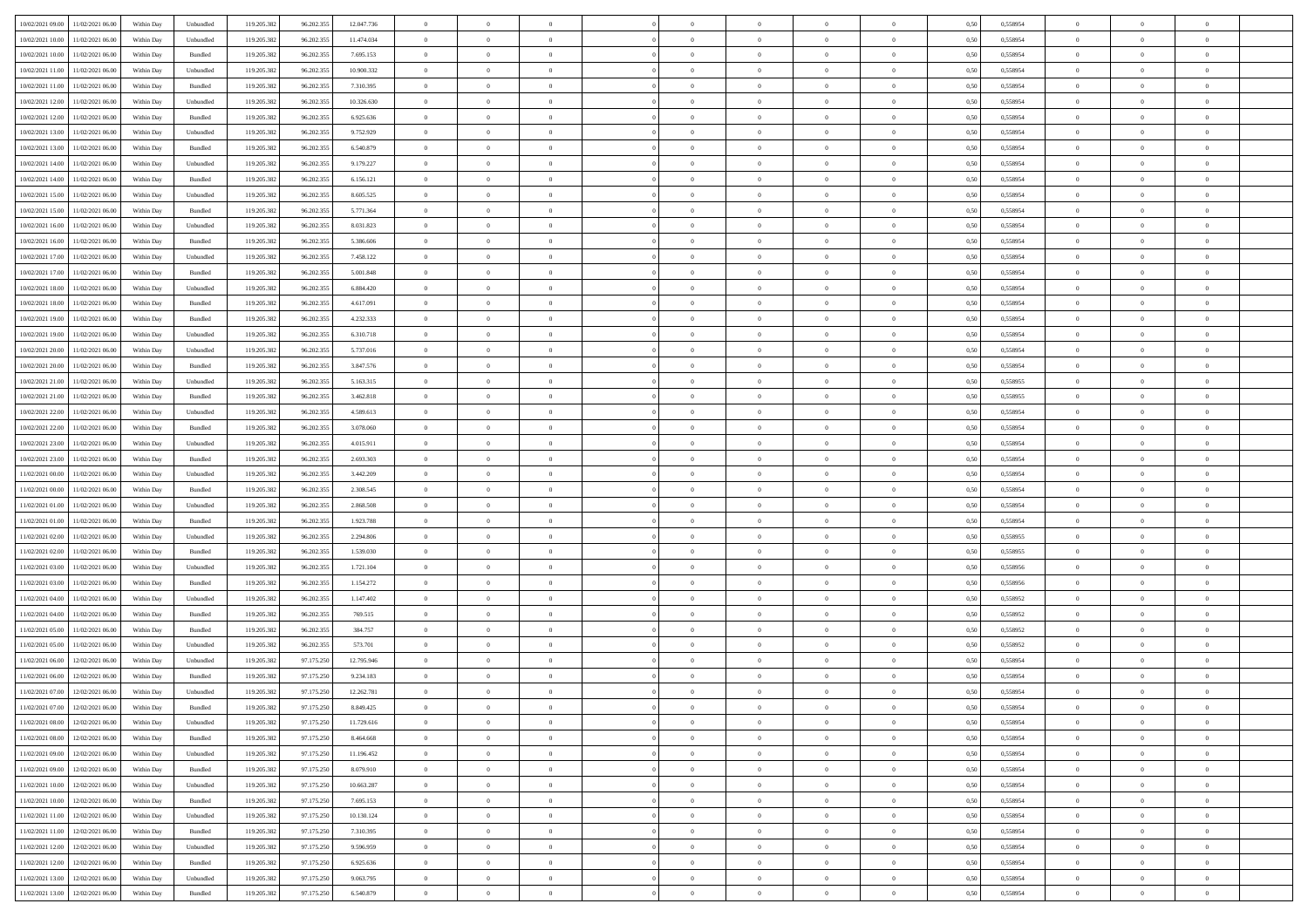| 10/02/2021 09:00 11/02/2021 06:00    | Within Day | Unbundled          | 119.205.382 | 96.202.355 | 12.047.736 | $\overline{0}$ | $\overline{0}$ |                | $\overline{0}$ | $\theta$       |                | $\theta$       | 0,50 | 0,558954 | $\theta$       | $\theta$       | $\overline{0}$ |  |
|--------------------------------------|------------|--------------------|-------------|------------|------------|----------------|----------------|----------------|----------------|----------------|----------------|----------------|------|----------|----------------|----------------|----------------|--|
|                                      |            |                    |             |            |            |                |                |                |                |                |                |                |      |          |                |                |                |  |
| 10/02/2021 10:00<br>11/02/2021 06:00 | Within Day | Unbundled          | 119.205.38  | 96.202.35: | 11.474.034 | $\bf{0}$       | $\bf{0}$       | $\bf{0}$       | $\bf{0}$       | $\overline{0}$ | $\overline{0}$ | $\bf{0}$       | 0,50 | 0,558954 | $\,$ 0 $\,$    | $\bf{0}$       | $\overline{0}$ |  |
| 10/02/2021 10:00<br>11/02/2021 06:00 | Within Day | Bundled            | 119.205.382 | 96.202.35  | 7.695.153  | $\overline{0}$ | $\bf{0}$       | $\overline{0}$ | $\bf{0}$       | $\bf{0}$       | $\overline{0}$ | $\bf{0}$       | 0.50 | 0.558954 | $\overline{0}$ | $\overline{0}$ | $\bf{0}$       |  |
| 10/02/2021 11:00<br>11/02/2021 06:00 | Within Day | Unbundled          | 119.205.382 | 96.202.355 | 10.900.332 | $\overline{0}$ | $\overline{0}$ | $\overline{0}$ | $\overline{0}$ | $\theta$       | $\overline{0}$ | $\bf{0}$       | 0,50 | 0,558954 | $\theta$       | $\theta$       | $\overline{0}$ |  |
| 10/02/2021 11:00<br>11/02/2021 06:00 | Within Day | Bundled            | 119.205.38  | 96.202.35: | 7.310.395  | $\bf{0}$       | $\overline{0}$ | $\bf{0}$       | $\overline{0}$ | $\bf{0}$       | $\overline{0}$ | $\bf{0}$       | 0,50 | 0,558954 | $\,$ 0 $\,$    | $\bf{0}$       | $\overline{0}$ |  |
| 10/02/2021 12:00<br>11/02/2021 06:00 | Within Day | Unbundled          | 119.205.382 | 96.202.35  | 10.326.630 | $\overline{0}$ | $\bf{0}$       | $\overline{0}$ | $\bf{0}$       | $\overline{0}$ | $\overline{0}$ | $\bf{0}$       | 0.50 | 0.558954 | $\,$ 0 $\,$    | $\theta$       | $\overline{0}$ |  |
| 10/02/2021 12:00<br>11/02/2021 06:00 |            |                    | 119.205.382 |            |            | $\overline{0}$ | $\overline{0}$ | $\overline{0}$ | $\overline{0}$ | $\overline{0}$ | $\overline{0}$ |                |      |          | $\theta$       | $\theta$       | $\overline{0}$ |  |
|                                      | Within Day | Bundled            |             | 96.202.355 | 6.925.636  |                |                |                |                |                |                | $\bf{0}$       | 0,50 | 0,558954 |                |                |                |  |
| 10/02/2021 13:00<br>11/02/2021 06:00 | Within Day | Unbundled          | 119.205.38  | 96.202.35: | 9.752.929  | $\bf{0}$       | $\bf{0}$       | $\bf{0}$       | $\overline{0}$ | $\overline{0}$ | $\overline{0}$ | $\bf{0}$       | 0,50 | 0,558954 | $\,$ 0 $\,$    | $\bf{0}$       | $\overline{0}$ |  |
| 10/02/2021 13:00<br>11/02/2021 06:00 | Within Day | Bundled            | 119,205.38  | 96.202.35  | 6.540.879  | $\overline{0}$ | $\bf{0}$       | $\overline{0}$ | $\bf{0}$       | $\overline{0}$ | $\overline{0}$ | $\bf{0}$       | 0.50 | 0.558954 | $\bf{0}$       | $\overline{0}$ | $\overline{0}$ |  |
| 10/02/2021 14:00<br>11/02/2021 06:00 | Within Day | Unbundled          | 119.205.382 | 96.202.355 | 9.179.227  | $\bf{0}$       | $\bf{0}$       | $\overline{0}$ | $\overline{0}$ | $\overline{0}$ | $\overline{0}$ | $\bf{0}$       | 0,50 | 0,558954 | $\,$ 0 $\,$    | $\,$ 0 $\,$    | $\overline{0}$ |  |
| 10/02/2021 14:00<br>11/02/2021 06:00 | Within Day | Bundled            | 119.205.38  | 96.202.355 | 6.156.121  | $\bf{0}$       | $\bf{0}$       | $\bf{0}$       | $\bf{0}$       | $\overline{0}$ | $\overline{0}$ | $\bf{0}$       | 0,50 | 0,558954 | $\,$ 0 $\,$    | $\bf{0}$       | $\overline{0}$ |  |
| 10/02/2021 15:00<br>11/02/2021 06:00 | Within Day | Unbundled          | 119.205.382 | 96.202.35  | 8.605.525  | $\overline{0}$ | $\bf{0}$       | $\overline{0}$ | $\overline{0}$ | $\overline{0}$ | $\overline{0}$ | $\bf{0}$       | 0.50 | 0.558954 | $\bf{0}$       | $\,$ 0 $\,$    | $\,$ 0         |  |
| 10/02/2021 15:00<br>11/02/2021 06:00 | Within Day | Bundled            | 119.205.382 | 96.202.355 | 5.771.364  | $\overline{0}$ | $\overline{0}$ | $\overline{0}$ | $\theta$       | $\theta$       | $\overline{0}$ | $\bf{0}$       | 0,50 | 0,558954 | $\,$ 0 $\,$    | $\theta$       | $\overline{0}$ |  |
|                                      |            |                    |             |            |            |                | $\overline{0}$ |                |                | $\overline{0}$ | $\overline{0}$ |                |      |          | $\,$ 0 $\,$    | $\bf{0}$       | $\overline{0}$ |  |
| 10/02/2021 16:00<br>11/02/2021 06:00 | Within Day | Unbundled          | 119.205.38  | 96.202.35: | 8.031.823  | $\bf{0}$       |                | $\bf{0}$       | $\bf{0}$       |                |                | $\bf{0}$       | 0,50 | 0,558954 |                |                |                |  |
| 10/02/2021 16:00<br>11/02/2021 06:00 | Within Day | Bundled            | 119.205.382 | 96.202.35  | 5.386.606  | $\overline{0}$ | $\bf{0}$       | $\overline{0}$ | $\bf{0}$       | $\overline{0}$ | $\overline{0}$ | $\bf{0}$       | 0.50 | 0.558954 | $\,$ 0 $\,$    | $\bf{0}$       | $\overline{0}$ |  |
| 10/02/2021 17:00<br>11/02/2021 06:00 | Within Day | Unbundled          | 119.205.382 | 96.202.355 | 7.458.122  | $\overline{0}$ | $\overline{0}$ | $\overline{0}$ | $\overline{0}$ | $\overline{0}$ | $\overline{0}$ | $\bf{0}$       | 0,50 | 0,558954 | $\theta$       | $\theta$       | $\overline{0}$ |  |
| 10/02/2021 17:00<br>11/02/2021 06:00 | Within Day | Bundled            | 119.205.38  | 96.202.35: | 5.001.848  | $\bf{0}$       | $\bf{0}$       | $\bf{0}$       | $\overline{0}$ | $\overline{0}$ | $\overline{0}$ | $\bf{0}$       | 0,50 | 0,558954 | $\,$ 0 $\,$    | $\bf{0}$       | $\overline{0}$ |  |
| 10/02/2021 18:00<br>11/02/2021 06:00 | Within Day | Unbundled          | 119,205.38  | 96.202.35  | 6.884.420  | $\overline{0}$ | $\bf{0}$       | $\overline{0}$ | $\bf{0}$       | $\bf{0}$       | $\overline{0}$ | $\bf{0}$       | 0.50 | 0.558954 | $\bf{0}$       | $\overline{0}$ | $\bf{0}$       |  |
| 10/02/2021 18:00<br>11/02/2021 06:00 | Within Day | Bundled            | 119.205.382 | 96.202.355 | 4.617.091  | $\overline{0}$ | $\bf{0}$       | $\overline{0}$ | $\overline{0}$ | $\overline{0}$ | $\overline{0}$ | $\bf{0}$       | 0,50 | 0,558954 | $\,$ 0 $\,$    | $\bf{0}$       | $\overline{0}$ |  |
| 10/02/2021 19:00<br>11/02/2021 06:00 | Within Day | Bundled            | 119.205.38  | 96.202.35: | 4.232.333  | $\bf{0}$       | $\bf{0}$       | $\bf{0}$       | $\bf{0}$       | $\overline{0}$ | $\overline{0}$ | $\bf{0}$       | 0,50 | 0,558954 | $\,$ 0 $\,$    | $\bf{0}$       | $\overline{0}$ |  |
| 10/02/2021 19:00<br>11/02/2021 06:00 | Within Day | Unbundled          | 119.205.382 | 96.202.35  | 6.310.718  | $\overline{0}$ | $\bf{0}$       | $\overline{0}$ | $\overline{0}$ | $\bf{0}$       | $\overline{0}$ | $\bf{0}$       | 0.50 | 0.558954 | $\bf{0}$       | $\overline{0}$ | $\,$ 0         |  |
|                                      |            |                    |             |            |            |                |                |                |                |                |                |                |      |          |                |                |                |  |
| 10/02/2021 20:00<br>11/02/2021 06:00 | Within Day | Unbundled          | 119.205.382 | 96.202.355 | 5.737.016  | $\overline{0}$ | $\overline{0}$ | $\overline{0}$ | $\overline{0}$ | $\theta$       | $\overline{0}$ | $\bf{0}$       | 0,50 | 0,558954 | $\theta$       | $\theta$       | $\overline{0}$ |  |
| 10/02/2021 20:00<br>11/02/2021 06:00 | Within Day | Bundled            | 119.205.38  | 96.202.355 | 3.847.576  | $\bf{0}$       | $\bf{0}$       | $\bf{0}$       | $\bf{0}$       | $\overline{0}$ | $\overline{0}$ | $\bf{0}$       | 0,50 | 0,558954 | $\,$ 0 $\,$    | $\bf{0}$       | $\overline{0}$ |  |
| 10/02/2021 21:00<br>11/02/2021 06:00 | Within Day | Unbundled          | 119,205.38  | 96.202.35  | 5.163.315  | $\overline{0}$ | $\bf{0}$       | $\overline{0}$ | $\bf{0}$       | $\overline{0}$ | $\overline{0}$ | $\bf{0}$       | 0.50 | 0.558955 | $\,$ 0 $\,$    | $\theta$       | $\overline{0}$ |  |
| 10/02/2021 21:00<br>11/02/2021 06:00 | Within Day | Bundled            | 119.205.382 | 96.202.355 | 3.462.818  | $\overline{0}$ | $\overline{0}$ | $\overline{0}$ | $\overline{0}$ | $\overline{0}$ | $\overline{0}$ | $\bf{0}$       | 0,50 | 0,558955 | $\,$ 0 $\,$    | $\theta$       | $\overline{0}$ |  |
| 10/02/2021 22:00<br>11/02/2021 06:00 | Within Day | Unbundled          | 119.205.38  | 96.202.35: | 4.589.613  | $\bf{0}$       | $\overline{0}$ | $\bf{0}$       | $\overline{0}$ | $\overline{0}$ | $\overline{0}$ | $\bf{0}$       | 0,50 | 0,558954 | $\,$ 0 $\,$    | $\bf{0}$       | $\overline{0}$ |  |
| 10/02/2021 22:00<br>11/02/2021 06:00 | Within Day | Bundled            | 119,205.38  | 96.202.35  | 3.078.060  | $\overline{0}$ | $\bf{0}$       | $\overline{0}$ | $\bf{0}$       | $\overline{0}$ | $\overline{0}$ | $\bf{0}$       | 0.50 | 0.558954 | $\bf{0}$       | $\overline{0}$ | $\overline{0}$ |  |
| 10/02/2021 23:00<br>11/02/2021 06:00 | Within Day | Unbundled          | 119.205.382 | 96.202.355 | 4.015.911  | $\overline{0}$ | $\bf{0}$       | $\overline{0}$ | $\overline{0}$ | $\overline{0}$ | $\overline{0}$ | $\bf{0}$       | 0,50 | 0,558954 | $\theta$       | $\bf{0}$       | $\overline{0}$ |  |
| 11/02/2021 06:00                     | Within Day | Bundled            |             | 96.202.355 | 2.693.303  | $\bf{0}$       | $\bf{0}$       | $\bf{0}$       | $\bf{0}$       | $\overline{0}$ | $\overline{0}$ | $\bf{0}$       | 0,50 | 0,558954 | $\,$ 0 $\,$    | $\bf{0}$       | $\overline{0}$ |  |
| 10/02/2021 23:00                     |            |                    | 119.205.38  |            |            |                |                |                |                |                |                |                |      |          |                |                |                |  |
| 11/02/2021 00:00<br>11/02/2021 06:00 | Within Day | Unbundled          | 119.205.382 | 96.202.35  | 3.442.209  | $\overline{0}$ | $\bf{0}$       | $\overline{0}$ | $\overline{0}$ | $\bf{0}$       | $\overline{0}$ | $\bf{0}$       | 0.50 | 0.558954 | $\bf{0}$       | $\,$ 0 $\,$    | $\,$ 0         |  |
| 11/02/2021 00:00<br>11/02/2021 06:00 | Within Day | Bundled            | 119.205.382 | 96.202.35  | 2.308.545  | $\overline{0}$ | $\overline{0}$ | $\overline{0}$ | $\overline{0}$ | $\overline{0}$ | $\overline{0}$ | $\bf{0}$       | 0.50 | 0.558954 | $\theta$       | $\theta$       | $\overline{0}$ |  |
| 11/02/2021 01:00<br>11/02/2021 06:00 | Within Day | Unbundled          | 119.205.38  | 96.202.35: | 2.868.508  | $\bf{0}$       | $\bf{0}$       | $\bf{0}$       | $\bf{0}$       | $\overline{0}$ | $\overline{0}$ | $\bf{0}$       | 0,50 | 0,558954 | $\,$ 0 $\,$    | $\bf{0}$       | $\overline{0}$ |  |
| 11/02/2021 01:00<br>11/02/2021 06:00 | Within Day | Bundled            | 119.205.382 | 96.202.35  | 1.923.788  | $\overline{0}$ | $\bf{0}$       | $\overline{0}$ | $\bf{0}$       | $\overline{0}$ | $\overline{0}$ | $\bf{0}$       | 0.50 | 0.558954 | $\,$ 0 $\,$    | $\bf{0}$       | $\overline{0}$ |  |
| 11/02/2021 02:00<br>11/02/2021 06:00 | Within Dav | Unbundled          | 119.205.382 | 96.202.355 | 2.294.806  | $\overline{0}$ | $\overline{0}$ | $\overline{0}$ | $\overline{0}$ | $\overline{0}$ | $\overline{0}$ | $\bf{0}$       | 0.50 | 0,558955 | $\theta$       | $\theta$       | $\overline{0}$ |  |
| 11/02/2021 02:00<br>11/02/2021 06:00 | Within Day | Bundled            | 119.205.38  | 96.202.35: | 1.539.030  | $\bf{0}$       | $\bf{0}$       | $\bf{0}$       | $\bf{0}$       | $\overline{0}$ | $\overline{0}$ | $\bf{0}$       | 0,50 | 0,558955 | $\,$ 0 $\,$    | $\bf{0}$       | $\overline{0}$ |  |
| 11/02/2021 03:00<br>11/02/2021 06:00 | Within Day | Unbundled          | 119,205.38  | 96.202.35  | 1.721.104  | $\overline{0}$ | $\bf{0}$       | $\overline{0}$ | $\bf{0}$       | $\overline{0}$ | $\overline{0}$ | $\bf{0}$       | 0.50 | 0.558956 | $\bf{0}$       | $\overline{0}$ | $\overline{0}$ |  |
| 11/02/2021 03:00<br>11/02/2021 06:00 | Within Dav | Bundled            | 119.205.38  | 96.202.35  | 1.154.272  | $\overline{0}$ | $\overline{0}$ | $\overline{0}$ | $\overline{0}$ | $\overline{0}$ | $\overline{0}$ | $\bf{0}$       | 0.50 | 0,558956 | $\theta$       | $\theta$       | $\overline{0}$ |  |
|                                      |            |                    |             |            |            |                |                |                |                |                |                |                |      |          |                |                |                |  |
| 11/02/2021 04:00<br>11/02/2021 06:00 | Within Day | Unbundled          | 119.205.38  | 96.202.35: | 1.147.402  | $\bf{0}$       | $\bf{0}$       | $\bf{0}$       | $\bf{0}$       | $\overline{0}$ | $\overline{0}$ | $\bf{0}$       | 0,50 | 0,558952 | $\,$ 0 $\,$    | $\bf{0}$       | $\overline{0}$ |  |
| 11/02/2021 04:00<br>11/02/2021 06:00 | Within Day | Bundled            | 119.205.382 | 96.202.35  | 769.515    | $\overline{0}$ | $\bf{0}$       | $\overline{0}$ | $\overline{0}$ | $\bf{0}$       | $\overline{0}$ | $\bf{0}$       | 0.50 | 0.558952 | $\,$ 0 $\,$    | $\,$ 0 $\,$    | $\,$ 0         |  |
| 11/02/2021 05:00<br>11/02/2021 06:00 | Within Dav | Bundled            | 119.205.382 | 96.202.355 | 384,757    | $\overline{0}$ | $\overline{0}$ | $\overline{0}$ | $\overline{0}$ | $\overline{0}$ | $\overline{0}$ | $\bf{0}$       | 0.50 | 0,558952 | $\theta$       | $\theta$       | $\overline{0}$ |  |
| 11/02/2021 05:00<br>11/02/2021 06:00 | Within Day | Unbundled          | 119.205.38  | 96.202.355 | 573.701    | $\bf{0}$       | $\bf{0}$       | $\bf{0}$       | $\bf{0}$       | $\overline{0}$ | $\overline{0}$ | $\bf{0}$       | 0,50 | 0,558952 | $\,$ 0 $\,$    | $\bf{0}$       | $\overline{0}$ |  |
| 11/02/2021 06:00<br>12/02/2021 06:00 | Within Day | Unbundled          | 119.205.382 | 97.175.250 | 12.795.946 | $\overline{0}$ | $\overline{0}$ | $\overline{0}$ | $\bf{0}$       | $\overline{0}$ | $\overline{0}$ | $\bf{0}$       | 0.50 | 0.558954 | $\bf{0}$       | $\theta$       | $\overline{0}$ |  |
| 11/02/2021 06:00<br>12/02/2021 06:00 | Within Day | Bundled            | 119.205.382 | 97.175.250 | 9.234.183  | $\overline{0}$ | $\overline{0}$ | $\overline{0}$ | $\theta$       | $\theta$       | $\overline{0}$ | $\overline{0}$ | 0.5( | 0,558954 | $\theta$       | $\theta$       | $\overline{0}$ |  |
| 11/02/2021 07:00<br>12/02/2021 06:00 | Within Day | Unbundled          | 119.205.382 | 97.175.250 | 12.262.781 | $\bf{0}$       | $\bf{0}$       | $\bf{0}$       | $\bf{0}$       | $\bf{0}$       | $\overline{0}$ | $\bf{0}$       | 0,50 | 0,558954 | $\overline{0}$ | $\bf{0}$       | $\overline{0}$ |  |
| 11/02/2021 07:00 12/02/2021 06:00    | Within Day | $\mathbf B$ undled | 119.205.382 | 97.175.250 | 8.849.425  | $\bf{0}$       | $\theta$       |                | $\overline{0}$ |                |                |                | 0,50 | 0.558954 | $\bf{0}$       | $\overline{0}$ |                |  |
| 11/02/2021 08:00 12/02/2021 06:00    |            |                    |             |            |            | $\overline{0}$ | $\overline{0}$ | $\Omega$       |                | $\overline{0}$ |                |                |      |          | $\theta$       | $\theta$       | $\overline{0}$ |  |
|                                      | Within Day | Unbundled          | 119.205.382 | 97.175.250 | 11.729.616 |                |                |                | $\theta$       |                | $\overline{0}$ | $\bf{0}$       | 0,50 | 0,558954 |                |                |                |  |
| 11/02/2021 08:00<br>12/02/2021 06:00 | Within Day | Bundled            | 119.205.38  | 97.175.250 | 8.464.668  | $\overline{0}$ | $\bf{0}$       | $\overline{0}$ | $\overline{0}$ | $\bf{0}$       | $\overline{0}$ | $\bf{0}$       | 0,50 | 0,558954 | $\bf{0}$       | $\overline{0}$ | $\bf{0}$       |  |
| 11/02/2021 09:00 12/02/2021 06:00    | Within Day | Unbundled          | 119.205.382 | 97.175.250 | 11.196.452 | $\overline{0}$ | $\bf{0}$       | $\overline{0}$ | $\overline{0}$ | $\mathbf{0}$   | $\overline{0}$ | $\,$ 0 $\,$    | 0.50 | 0.558954 | $\overline{0}$ | $\bf{0}$       | $\,$ 0 $\,$    |  |
| 11/02/2021 09:00 12/02/2021 06:00    | Within Dav | Bundled            | 119.205.382 | 97.175.250 | 8.079.910  | $\overline{0}$ | $\overline{0}$ | $\overline{0}$ | $\overline{0}$ | $\overline{0}$ | $\overline{0}$ | $\bf{0}$       | 0,50 | 0,558954 | $\overline{0}$ | $\theta$       | $\overline{0}$ |  |
| 11/02/2021 10:00<br>12/02/2021 06:00 | Within Day | Unbundled          | 119.205.382 | 97.175.250 | 10.663.287 | $\overline{0}$ | $\bf{0}$       | $\overline{0}$ | $\overline{0}$ | $\bf{0}$       | $\overline{0}$ | $\bf{0}$       | 0,50 | 0,558954 | $\bf{0}$       | $\overline{0}$ | $\overline{0}$ |  |
| 12/02/2021 06:00<br>11/02/2021 10:00 | Within Day | Bundled            | 119.205.382 | 97.175.250 | 7.695.153  | $\overline{0}$ | $\bf{0}$       | $\overline{0}$ | $\overline{0}$ | $\overline{0}$ | $\overline{0}$ | $\bf{0}$       | 0.50 | 0.558954 | $\,$ 0 $\,$    | $\overline{0}$ | $\,$ 0         |  |
| 11/02/2021 11:00<br>12/02/2021 06:00 | Within Dav | Unbundled          | 119.205.382 | 97.175.250 | 10.130.124 | $\overline{0}$ | $\overline{0}$ | $\overline{0}$ | $\overline{0}$ | $\overline{0}$ | $\overline{0}$ | $\bf{0}$       | 0.50 | 0,558954 | $\overline{0}$ | $\theta$       | $\overline{0}$ |  |
| 11/02/2021 11:00<br>12/02/2021 06:00 | Within Day | Bundled            | 119.205.38  | 97.175.250 | 7.310.395  | $\overline{0}$ | $\overline{0}$ | $\overline{0}$ | $\overline{0}$ | $\overline{0}$ | $\overline{0}$ | $\bf{0}$       | 0,50 | 0,558954 | $\bf{0}$       | $\overline{0}$ | $\overline{0}$ |  |
|                                      |            |                    |             |            |            |                |                |                |                |                |                |                |      |          |                |                |                |  |
| 11/02/2021 12:00<br>12/02/2021 06:00 | Within Day | Unbundled          | 119.205.382 | 97.175.250 | 9.596.959  | $\overline{0}$ | $\overline{0}$ | $\overline{0}$ | $\overline{0}$ | $\overline{0}$ | $\overline{0}$ | $\bf{0}$       | 0.50 | 0.558954 | $\mathbf{0}$   | $\bf{0}$       | $\,$ 0         |  |
| 11/02/2021 12:00<br>12/02/2021 06:00 | Within Dav | Bundled            | 119.205.382 | 97.175.250 | 6.925.636  | $\overline{0}$ | $\overline{0}$ | $\overline{0}$ | $\overline{0}$ | $\overline{0}$ | $\overline{0}$ | $\bf{0}$       | 0,50 | 0,558954 | $\overline{0}$ | $\theta$       | $\overline{0}$ |  |
| 11/02/2021 13:00<br>12/02/2021 06:00 | Within Day | Unbundled          | 119.205.38  | 97.175.250 | 9.063.795  | $\overline{0}$ | $\bf{0}$       | $\overline{0}$ | $\bf{0}$       | $\overline{0}$ | $\overline{0}$ | $\bf{0}$       | 0,50 | 0,558954 | $\bf{0}$       | $\,$ 0 $\,$    | $\bf{0}$       |  |
| 11/02/2021 13:00 12/02/2021 06:00    | Within Day | Bundled            | 119.205.382 | 97.175.250 | 6.540.879  | $\,$ 0 $\,$    | $\bf{0}$       | $\overline{0}$ | $\overline{0}$ | $\,$ 0 $\,$    | $\overline{0}$ | $\bf{0}$       | 0,50 | 0,558954 | $\overline{0}$ | $\,$ 0 $\,$    | $\,$ 0 $\,$    |  |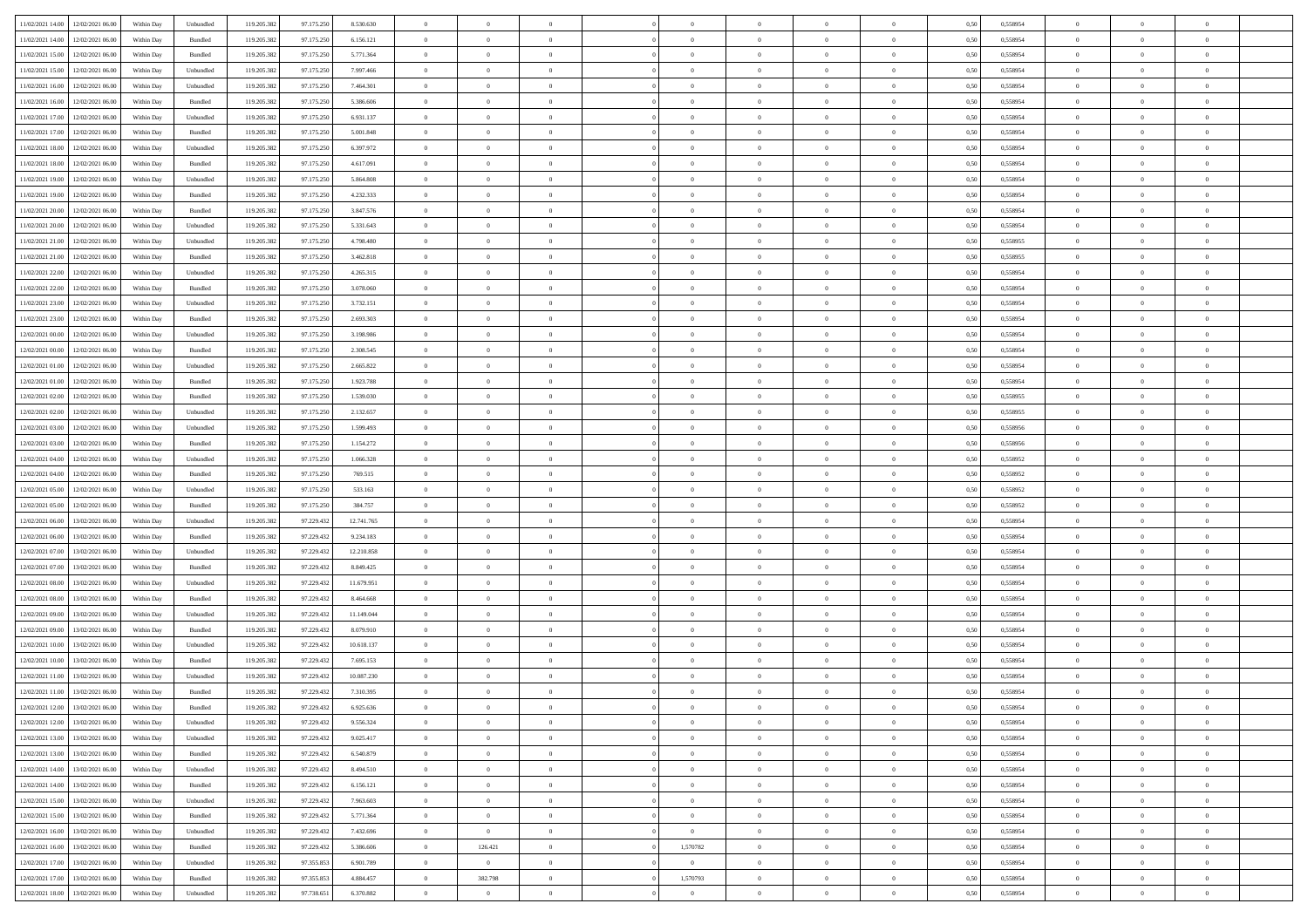| 11/02/2021 14:00 12/02/2021 06:00            | Within Day | Unbundled | 119.205.382 | 97.175.250 | 8.530.630  | $\overline{0}$ | $\overline{0}$   |                | $\overline{0}$ | $\theta$       |                | $\theta$       | 0,50 | 0,558954 | $\theta$       | $\theta$       | $\overline{0}$ |  |
|----------------------------------------------|------------|-----------|-------------|------------|------------|----------------|------------------|----------------|----------------|----------------|----------------|----------------|------|----------|----------------|----------------|----------------|--|
|                                              |            |           |             |            |            |                |                  |                |                |                |                |                |      |          |                |                |                |  |
| 11/02/2021 14:00<br>12/02/2021 06:00         | Within Day | Bundled   | 119.205.38  | 97.175.25  | 6.156.121  | $\bf{0}$       | $\bf{0}$         | $\bf{0}$       | $\bf{0}$       | $\overline{0}$ | $\overline{0}$ | $\bf{0}$       | 0,50 | 0,558954 | $\,$ 0 $\,$    | $\bf{0}$       | $\overline{0}$ |  |
| 11/02/2021 15:00<br>12/02/2021 06:00         | Within Day | Bundled   | 119.205.382 | 97.175.250 | 5.771.364  | $\overline{0}$ | $\bf{0}$         | $\overline{0}$ | $\bf{0}$       | $\overline{0}$ | $\overline{0}$ | $\bf{0}$       | 0.50 | 0.558954 | $\bf{0}$       | $\overline{0}$ | $\overline{0}$ |  |
| 11/02/2021 15:00<br>12/02/2021 06:00         | Within Day | Unbundled | 119.205.382 | 97.175.250 | 7.997.466  | $\overline{0}$ | $\overline{0}$   | $\overline{0}$ | $\overline{0}$ | $\theta$       | $\overline{0}$ | $\bf{0}$       | 0,50 | 0,558954 | $\theta$       | $\theta$       | $\overline{0}$ |  |
| 11/02/2021 16:00<br>12/02/2021 06:00         | Within Day | Unbundled | 119.205.38  | 97.175.25  | 7.464.301  | $\bf{0}$       | $\overline{0}$   | $\bf{0}$       | $\overline{0}$ | $\bf{0}$       | $\overline{0}$ | $\bf{0}$       | 0,50 | 0,558954 | $\,$ 0 $\,$    | $\bf{0}$       | $\overline{0}$ |  |
| 11/02/2021 16:00<br>12/02/2021 06:00         | Within Day | Bundled   | 119.205.382 | 97.175.250 | 5.386,606  | $\overline{0}$ | $\bf{0}$         | $\overline{0}$ | $\bf{0}$       | $\overline{0}$ | $\overline{0}$ | $\bf{0}$       | 0.50 | 0.558954 | $\,$ 0 $\,$    | $\theta$       | $\overline{0}$ |  |
|                                              |            |           |             |            |            | $\overline{0}$ | $\overline{0}$   | $\overline{0}$ | $\overline{0}$ | $\overline{0}$ | $\overline{0}$ |                |      |          |                | $\theta$       |                |  |
| 11/02/2021 17:00<br>12/02/2021 06:00         | Within Day | Unbundled | 119.205.382 | 97.175.250 | 6.931.137  |                |                  |                |                |                |                | $\bf{0}$       | 0,50 | 0,558954 | $\,$ 0 $\,$    |                | $\overline{0}$ |  |
| 11/02/2021 17:00<br>12/02/2021 06:00         | Within Day | Bundled   | 119.205.38  | 97.175.25  | 5.001.848  | $\bf{0}$       | $\bf{0}$         | $\bf{0}$       | $\bf{0}$       | $\overline{0}$ | $\overline{0}$ | $\bf{0}$       | 0,50 | 0,558954 | $\,$ 0 $\,$    | $\bf{0}$       | $\overline{0}$ |  |
| 11/02/2021 18:00<br>12/02/2021 06:00         | Within Day | Unbundled | 119,205.38  | 97.175.250 | 6.397.972  | $\overline{0}$ | $\bf{0}$         | $\overline{0}$ | $\bf{0}$       | $\overline{0}$ | $\overline{0}$ | $\bf{0}$       | 0.50 | 0.558954 | $\bf{0}$       | $\overline{0}$ | $\overline{0}$ |  |
| 11/02/2021 18:00<br>12/02/2021 06:00         | Within Day | Bundled   | 119.205.382 | 97.175.250 | 4.617.091  | $\overline{0}$ | $\bf{0}$         | $\overline{0}$ | $\overline{0}$ | $\overline{0}$ | $\overline{0}$ | $\bf{0}$       | 0,50 | 0,558954 | $\,$ 0 $\,$    | $\bf{0}$       | $\overline{0}$ |  |
| 11/02/2021 19:00<br>12/02/2021 06:00         | Within Day | Unbundled | 119.205.38  | 97.175.25  | 5.864.808  | $\bf{0}$       | $\bf{0}$         | $\bf{0}$       | $\bf{0}$       | $\overline{0}$ | $\overline{0}$ | $\bf{0}$       | 0,50 | 0,558954 | $\,$ 0 $\,$    | $\bf{0}$       | $\overline{0}$ |  |
| 11/02/2021 19:00<br>12/02/2021 06:00         | Within Day | Bundled   | 119.205.382 | 97.175.250 | 4.232.333  | $\overline{0}$ | $\bf{0}$         | $\overline{0}$ | $\overline{0}$ | $\overline{0}$ | $\overline{0}$ | $\bf{0}$       | 0.50 | 0.558954 | $\bf{0}$       | $\,$ 0 $\,$    | $\,$ 0         |  |
| 11/02/2021 20:00<br>12/02/2021 06:00         | Within Day | Bundled   | 119.205.38  | 97.175.250 | 3.847.576  | $\overline{0}$ | $\overline{0}$   | $\overline{0}$ | $\theta$       | $\theta$       | $\overline{0}$ | $\bf{0}$       | 0,50 | 0,558954 | $\,$ 0 $\,$    | $\theta$       | $\overline{0}$ |  |
| 11/02/2021 20:00<br>12/02/2021 06:00         | Within Day | Unbundled | 119.205.38  | 97.175.25  | 5.331.643  | $\bf{0}$       | $\bf{0}$         | $\bf{0}$       | $\bf{0}$       | $\overline{0}$ | $\overline{0}$ | $\bf{0}$       | 0,50 | 0,558954 | $\,$ 0 $\,$    | $\bf{0}$       | $\overline{0}$ |  |
|                                              |            |           |             |            |            |                |                  |                |                |                |                |                |      |          |                |                |                |  |
| 11/02/2021 21:00<br>12/02/2021 06:00         | Within Day | Unbundled | 119.205.382 | 97.175.250 | 4.798.480  | $\overline{0}$ | $\bf{0}$         | $\overline{0}$ | $\bf{0}$       | $\overline{0}$ | $\overline{0}$ | $\bf{0}$       | 0.50 | 0.558955 | $\,$ 0 $\,$    | $\bf{0}$       | $\overline{0}$ |  |
| 11/02/2021 21:00<br>12/02/2021 06:00         | Within Day | Bundled   | 119.205.382 | 97.175.250 | 3.462.818  | $\overline{0}$ | $\overline{0}$   | $\overline{0}$ | $\overline{0}$ | $\overline{0}$ | $\overline{0}$ | $\bf{0}$       | 0,50 | 0,558955 | $\theta$       | $\theta$       | $\overline{0}$ |  |
| 11/02/2021 22:00<br>12/02/2021 06:00         | Within Day | Unbundled | 119.205.38  | 97.175.25  | 4.265.315  | $\bf{0}$       | $\bf{0}$         | $\bf{0}$       | $\overline{0}$ | $\overline{0}$ | $\overline{0}$ | $\bf{0}$       | 0,50 | 0,558954 | $\,$ 0 $\,$    | $\bf{0}$       | $\overline{0}$ |  |
| 11/02/2021 22:00<br>12/02/2021 06:00         | Within Day | Bundled   | 119,205.38  | 97.175.250 | 3.078.060  | $\overline{0}$ | $\bf{0}$         | $\overline{0}$ | $\bf{0}$       | $\bf{0}$       | $\overline{0}$ | $\bf{0}$       | 0.50 | 0.558954 | $\bf{0}$       | $\overline{0}$ | $\overline{0}$ |  |
| 11/02/2021 23:00<br>12/02/2021 06:00         | Within Day | Unbundled | 119.205.382 | 97.175.250 | 3.732.151  | $\bf{0}$       | $\bf{0}$         | $\overline{0}$ | $\overline{0}$ | $\overline{0}$ | $\overline{0}$ | $\bf{0}$       | 0,50 | 0,558954 | $\,$ 0 $\,$    | $\bf{0}$       | $\overline{0}$ |  |
| 11/02/2021 23:00<br>12/02/2021 06:00         | Within Day | Bundled   | 119.205.38  | 97.175.250 | 2.693.303  | $\bf{0}$       | $\bf{0}$         | $\bf{0}$       | $\bf{0}$       | $\overline{0}$ | $\overline{0}$ | $\bf{0}$       | 0,50 | 0,558954 | $\,$ 0 $\,$    | $\bf{0}$       | $\overline{0}$ |  |
| 12/02/2021 00:00<br>12/02/2021 06:00         | Within Day | Unbundled | 119.205.382 | 97.175.250 | 3.198.986  | $\overline{0}$ | $\bf{0}$         | $\overline{0}$ | $\overline{0}$ | $\bf{0}$       | $\overline{0}$ | $\bf{0}$       | 0.50 | 0.558954 | $\bf{0}$       | $\overline{0}$ | $\,$ 0         |  |
| 12/02/2021 00:00<br>12/02/2021 06:00         | Within Day | Bundled   | 119.205.382 | 97.175.250 | 2.308.545  | $\overline{0}$ | $\overline{0}$   | $\overline{0}$ | $\overline{0}$ | $\theta$       | $\overline{0}$ | $\bf{0}$       | 0,50 | 0,558954 | $\theta$       | $\theta$       | $\overline{0}$ |  |
|                                              |            |           |             |            |            |                |                  |                |                |                |                |                |      |          |                |                |                |  |
| 12/02/2021 01:00<br>12/02/2021 06:00         | Within Day | Unbundled | 119.205.38  | 97.175.250 | 2.665.822  | $\bf{0}$       | $\bf{0}$         | $\bf{0}$       | $\bf{0}$       | $\overline{0}$ | $\overline{0}$ | $\bf{0}$       | 0,50 | 0,558954 | $\,$ 0 $\,$    | $\bf{0}$       | $\overline{0}$ |  |
| 12/02/2021 01:00<br>12/02/2021 06:00         | Within Day | Bundled   | 119.205.382 | 97.175.250 | 1.923.788  | $\overline{0}$ | $\bf{0}$         | $\overline{0}$ | $\bf{0}$       | $\overline{0}$ | $\overline{0}$ | $\bf{0}$       | 0.50 | 0.558954 | $\bf{0}$       | $\theta$       | $\overline{0}$ |  |
| 12/02/2021 02:00<br>12/02/2021 06:00         | Within Day | Bundled   | 119.205.382 | 97.175.250 | 1.539.030  | $\overline{0}$ | $\overline{0}$   | $\overline{0}$ | $\overline{0}$ | $\overline{0}$ | $\overline{0}$ | $\bf{0}$       | 0,50 | 0,558955 | $\,$ 0 $\,$    | $\theta$       | $\overline{0}$ |  |
| 12/02/2021 02:00<br>12/02/2021 06:00         | Within Day | Unbundled | 119.205.38  | 97.175.25  | 2.132.657  | $\bf{0}$       | $\overline{0}$   | $\bf{0}$       | $\overline{0}$ | $\overline{0}$ | $\overline{0}$ | $\bf{0}$       | 0,50 | 0,558955 | $\,$ 0 $\,$    | $\bf{0}$       | $\overline{0}$ |  |
| 12/02/2021 03:00<br>12/02/2021 06:00         | Within Day | Unbundled | 119,205.38  | 97.175.250 | 1.599.493  | $\overline{0}$ | $\bf{0}$         | $\overline{0}$ | $\bf{0}$       | $\overline{0}$ | $\overline{0}$ | $\bf{0}$       | 0.50 | 0.558956 | $\bf{0}$       | $\overline{0}$ | $\overline{0}$ |  |
| 12/02/2021 03:00<br>12/02/2021 06:00         | Within Day | Bundled   | 119.205.382 | 97.175.250 | 1.154.272  | $\overline{0}$ | $\bf{0}$         | $\overline{0}$ | $\overline{0}$ | $\overline{0}$ | $\overline{0}$ | $\bf{0}$       | 0,50 | 0,558956 | $\theta$       | $\bf{0}$       | $\overline{0}$ |  |
| 12/02/2021 04:00<br>12/02/2021 06:00         | Within Day | Unbundled | 119.205.38  | 97.175.250 | 1.066.328  | $\bf{0}$       | $\bf{0}$         | $\bf{0}$       | $\bf{0}$       | $\overline{0}$ | $\overline{0}$ | $\bf{0}$       | 0,50 | 0,558952 | $\,$ 0 $\,$    | $\bf{0}$       | $\overline{0}$ |  |
| 12/02/2021 04:00<br>12/02/2021 06:00         | Within Day | Bundled   | 119.205.382 | 97.175.250 | 769.515    | $\overline{0}$ | $\bf{0}$         | $\overline{0}$ | $\overline{0}$ | $\bf{0}$       | $\overline{0}$ | $\bf{0}$       | 0.50 | 0.558952 | $\bf{0}$       | $\,$ 0 $\,$    | $\,$ 0         |  |
|                                              |            |           |             |            |            |                | $\overline{0}$   |                |                | $\overline{0}$ |                |                |      |          | $\theta$       | $\theta$       | $\overline{0}$ |  |
| 12/02/2021 05:00<br>12/02/2021 06:00         | Within Day | Unbundled | 119.205.382 | 97.175.250 | 533.163    | $\overline{0}$ |                  | $\overline{0}$ | $\overline{0}$ |                | $\overline{0}$ | $\bf{0}$       | 0.50 | 0,558952 |                |                |                |  |
| 12/02/2021 05:00<br>12/02/2021 06:00         | Within Day | Bundled   | 119.205.38  | 97.175.250 | 384.757    | $\bf{0}$       | $\bf{0}$         | $\bf{0}$       | $\bf{0}$       | $\overline{0}$ | $\overline{0}$ | $\bf{0}$       | 0,50 | 0,558952 | $\,$ 0 $\,$    | $\bf{0}$       | $\overline{0}$ |  |
| 12/02/2021 06:00<br>13/02/2021 06:00         | Within Day | Unbundled | 119.205.382 | 97.229.432 | 12.741.765 | $\overline{0}$ | $\bf{0}$         | $\overline{0}$ | $\bf{0}$       | $\overline{0}$ | $\overline{0}$ | $\bf{0}$       | 0.50 | 0.558954 | $\,$ 0 $\,$    | $\bf{0}$       | $\overline{0}$ |  |
| 12/02/2021 06:00<br>13/02/2021 06:00         | Within Dav | Bundled   | 119.205.382 | 97.229.432 | 9.234.183  | $\overline{0}$ | $\overline{0}$   | $\overline{0}$ | $\overline{0}$ | $\overline{0}$ | $\overline{0}$ | $\bf{0}$       | 0.50 | 0,558954 | $\theta$       | $\theta$       | $\overline{0}$ |  |
| 12/02/2021 07:00<br>13/02/2021 06:00         | Within Day | Unbundled | 119.205.38  | 97.229.432 | 12.210.858 | $\bf{0}$       | $\bf{0}$         | $\bf{0}$       | $\bf{0}$       | $\overline{0}$ | $\overline{0}$ | $\bf{0}$       | 0,50 | 0,558954 | $\,$ 0 $\,$    | $\bf{0}$       | $\overline{0}$ |  |
| 12/02/2021 07:00<br>13/02/2021 06:00         | Within Day | Bundled   | 119,205.38  | 97.229.432 | 8.849.425  | $\overline{0}$ | $\bf{0}$         | $\overline{0}$ | $\bf{0}$       | $\overline{0}$ | $\overline{0}$ | $\bf{0}$       | 0.50 | 0.558954 | $\bf{0}$       | $\overline{0}$ | $\overline{0}$ |  |
| 12/02/2021 08:00<br>13/02/2021 06:00         | Within Day | Unbundled | 119.205.38  | 97.229.432 | 11.679.951 | $\overline{0}$ | $\overline{0}$   | $\overline{0}$ | $\overline{0}$ | $\overline{0}$ | $\overline{0}$ | $\bf{0}$       | 0.50 | 0,558954 | $\theta$       | $\theta$       | $\overline{0}$ |  |
| 12/02/2021 08:00<br>13/02/2021 06:00         | Within Day | Bundled   | 119.205.38  | 97.229.432 | 8.464.668  | $\bf{0}$       | $\bf{0}$         | $\bf{0}$       | $\bf{0}$       | $\overline{0}$ | $\bf{0}$       | $\bf{0}$       | 0,50 | 0,558954 | $\,$ 0 $\,$    | $\bf{0}$       | $\overline{0}$ |  |
| 12/02/2021 09:00<br>13/02/2021 06:00         | Within Day | Unbundled | 119.205.382 | 97.229.432 | 11.149.044 | $\overline{0}$ | $\bf{0}$         | $\overline{0}$ | $\overline{0}$ | $\bf{0}$       | $\overline{0}$ | $\bf{0}$       | 0.50 | 0.558954 | $\bf{0}$       | $\,$ 0 $\,$    | $\,$ 0         |  |
|                                              |            |           |             |            |            |                |                  |                |                |                |                |                |      |          |                |                |                |  |
| 12/02/2021 09:00<br>13/02/2021 06:00         | Within Dav | Bundled   | 119.205.382 | 97.229.432 | 8.079.910  | $\overline{0}$ | $\overline{0}$   | $\overline{0}$ | $\overline{0}$ | $\overline{0}$ | $\overline{0}$ | $\bf{0}$       | 0.50 | 0.558954 | $\theta$       | $\theta$       | $\overline{0}$ |  |
| 12/02/2021 10:00<br>13/02/2021 06:00         | Within Day | Unbundled | 119.205.38  | 97.229.432 | 10.618.137 | $\bf{0}$       | $\bf{0}$         | $\bf{0}$       | $\bf{0}$       | $\overline{0}$ | $\overline{0}$ | $\bf{0}$       | 0,50 | 0,558954 | $\,$ 0 $\,$    | $\bf{0}$       | $\overline{0}$ |  |
| 12/02/2021 10:00<br>13/02/2021 06:00         | Within Day | Bundled   | 119.205.382 | 97.229.432 | 7.695.153  | $\overline{0}$ | $\bf{0}$         | $\overline{0}$ | $\bf{0}$       | $\overline{0}$ | $\overline{0}$ | $\bf{0}$       | 0.50 | 0.558954 | $\bf{0}$       | $\theta$       | $\overline{0}$ |  |
| 12/02/2021 11:00<br>13/02/2021 06:00         | Within Dav | Unbundled | 119.205.38  | 97.229.432 | 10.087.230 | $\overline{0}$ | $\overline{0}$   | $\overline{0}$ | $\overline{0}$ | $\theta$       | $\overline{0}$ | $\overline{0}$ | 0.5( | 0,558954 | $\theta$       | $\theta$       | $\overline{0}$ |  |
| 12/02/2021 11:00<br>13/02/2021 06:00         | Within Day | Bundled   | 119.205.38  | 97.229.432 | 7.310.395  | $\bf{0}$       | $\bf{0}$         | $\bf{0}$       | $\bf{0}$       | $\bf{0}$       | $\overline{0}$ | $\bf{0}$       | 0,50 | 0,558954 | $\,$ 0 $\,$    | $\bf{0}$       | $\overline{0}$ |  |
| $12/02/2021\ 12.00 \qquad 13/02/2021\ 06.00$ | Within Day | Bundled   | 119.205.382 | 97.229.432 | 6.925.636  | $\bf{0}$       | $\boldsymbol{0}$ |                | $\overline{0}$ | $\bf{0}$       |                |                | 0,50 | 0.558954 | $\bf{0}$       | $\bf{0}$       |                |  |
| 12/02/2021 12:00 13/02/2021 06:00            | Within Day | Unbundled | 119.205.382 | 97.229.432 | 9.556.324  | $\overline{0}$ | $\overline{0}$   | $\Omega$       | $\theta$       | $\overline{0}$ | $\overline{0}$ | $\bf{0}$       | 0,50 | 0,558954 | $\theta$       | $\theta$       | $\overline{0}$ |  |
| 12/02/2021 13:00<br>13/02/2021 06:00         | Within Day | Unbundled | 119.205.38  | 97.229.432 | 9.025.417  | $\overline{0}$ | $\bf{0}$         | $\overline{0}$ | $\overline{0}$ | $\bf{0}$       | $\overline{0}$ | $\bf{0}$       | 0,50 | 0,558954 | $\bf{0}$       | $\overline{0}$ | $\bf{0}$       |  |
|                                              |            |           |             |            |            |                |                  |                |                |                |                |                |      |          |                |                |                |  |
| 12/02/2021 13:00 13/02/2021 06:00            | Within Day | Bundled   | 119.205.382 | 97.229.432 | 6.540.879  | $\overline{0}$ | $\bf{0}$         | $\overline{0}$ | $\overline{0}$ | $\mathbf{0}$   | $\overline{0}$ | $\,$ 0 $\,$    | 0.50 | 0.558954 | $\overline{0}$ | $\bf{0}$       | $\,$ 0 $\,$    |  |
| 12/02/2021 14:00 13/02/2021 06:00            | Within Dav | Unbundled | 119.205.382 | 97.229.432 | 8.494.510  | $\overline{0}$ | $\overline{0}$   | $\overline{0}$ | $\overline{0}$ | $\overline{0}$ | $\overline{0}$ | $\bf{0}$       | 0,50 | 0,558954 | $\overline{0}$ | $\theta$       | $\overline{0}$ |  |
| 12/02/2021 14:00<br>13/02/2021 06:00         | Within Day | Bundled   | 119.205.382 | 97.229.432 | 6.156.121  | $\overline{0}$ | $\bf{0}$         | $\overline{0}$ | $\overline{0}$ | $\bf{0}$       | $\overline{0}$ | $\bf{0}$       | 0,50 | 0,558954 | $\bf{0}$       | $\overline{0}$ | $\overline{0}$ |  |
| 12/02/2021 15:00<br>13/02/2021 06:00         | Within Day | Unbundled | 119.205.382 | 97.229.432 | 7.963.603  | $\overline{0}$ | $\bf{0}$         | $\overline{0}$ | $\overline{0}$ | $\bf{0}$       | $\overline{0}$ | $\bf{0}$       | 0.50 | 0.558954 | $\,$ 0 $\,$    | $\overline{0}$ | $\,$ 0         |  |
| 12/02/2021 15:00<br>13/02/2021 06:00         | Within Dav | Bundled   | 119.205.382 | 97.229.432 | 5.771.364  | $\overline{0}$ | $\overline{0}$   | $\overline{0}$ | $\overline{0}$ | $\overline{0}$ | $\overline{0}$ | $\bf{0}$       | 0.50 | 0,558954 | $\overline{0}$ | $\theta$       | $\overline{0}$ |  |
| 12/02/2021 16:00<br>13/02/2021 06:00         | Within Day | Unbundled | 119.205.38  | 97.229.432 | 7.432.696  | $\overline{0}$ | $\overline{0}$   | $\overline{0}$ | $\overline{0}$ | $\overline{0}$ | $\overline{0}$ | $\bf{0}$       | 0,50 | 0,558954 | $\bf{0}$       | $\overline{0}$ | $\overline{0}$ |  |
| 12/02/2021 16:00<br>13/02/2021 06:00         | Within Day | Bundled   | 119.205.382 | 97.229.432 | 5.386.606  | $\overline{0}$ | 126.421          | $\overline{0}$ | 1,570782       | $\overline{0}$ | $\overline{0}$ | $\bf{0}$       | 0.50 | 0.558954 | $\mathbf{0}$   | $\bf{0}$       | $\,$ 0         |  |
| 12/02/2021 17:00 13/02/2021 06:00            | Within Dav | Unbundled | 119.205.382 | 97.355.853 | 6.901.789  | $\overline{0}$ | $\overline{0}$   | $\overline{0}$ | $\overline{0}$ | $\overline{0}$ | $\overline{0}$ | $\bf{0}$       | 0,50 | 0,558954 | $\overline{0}$ | $\theta$       | $\overline{0}$ |  |
|                                              |            |           |             |            |            |                |                  |                |                |                |                |                |      |          |                |                |                |  |
| 12/02/2021 17:00<br>13/02/2021 06:00         | Within Day | Bundled   | 119.205.38  | 97.355.853 | 4.884.457  | $\overline{0}$ | 382.798          | $\overline{0}$ | 1,570793       | $\overline{0}$ | $\bf{0}$       | $\bf{0}$       | 0,50 | 0,558954 | $\bf{0}$       | $\,$ 0 $\,$    | $\bf{0}$       |  |
| 12/02/2021 18:00 13/02/2021 06:00            | Within Day | Unbundled | 119.205.382 | 97.738.651 | 6.370.882  | $\,$ 0 $\,$    | $\overline{0}$   | $\overline{0}$ | $\overline{0}$ | $\,$ 0 $\,$    | $\overline{0}$ | $\bf{0}$       | 0,50 | 0,558954 | $\overline{0}$ | $\,$ 0 $\,$    | $\,$ 0 $\,$    |  |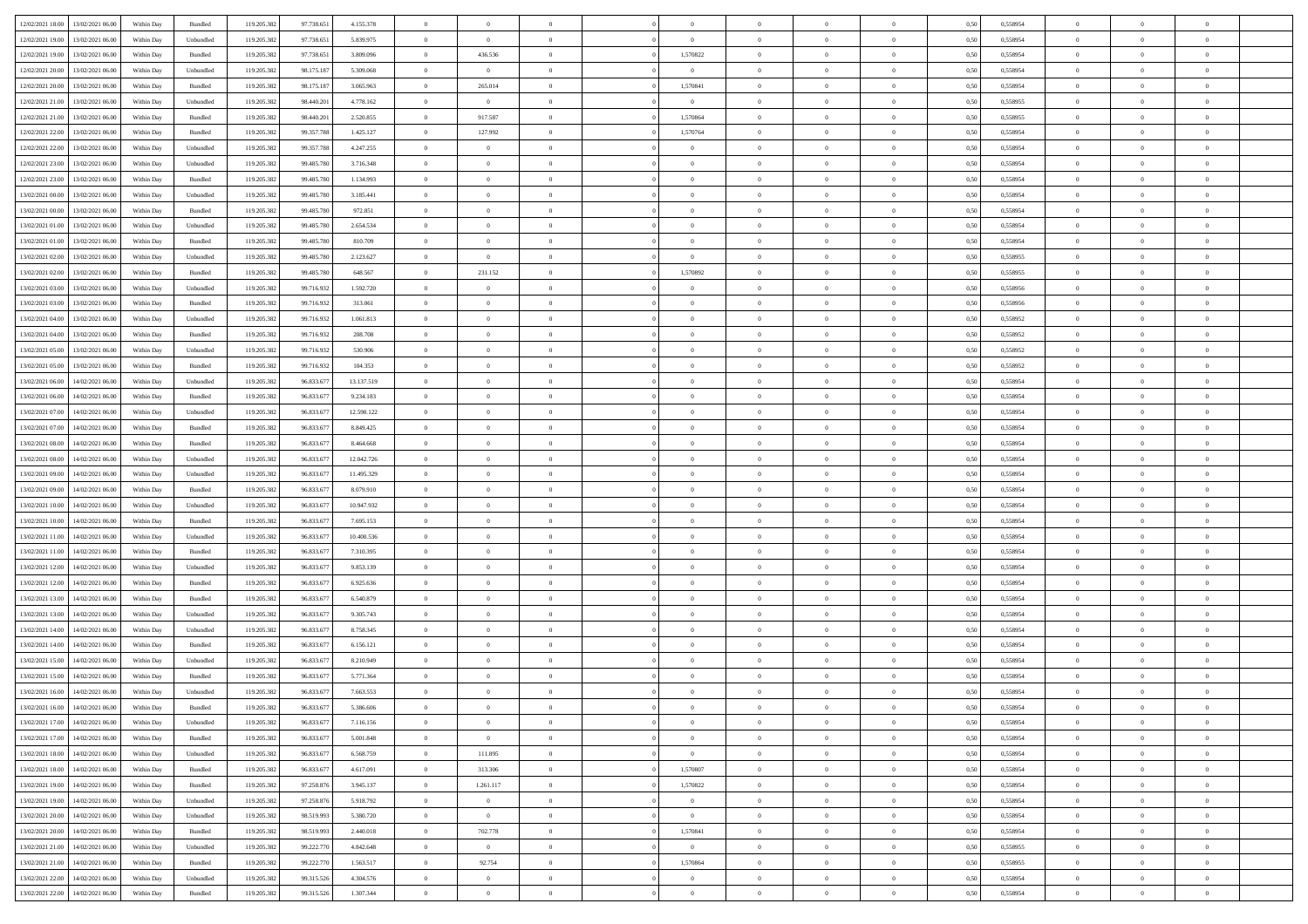| 12/02/2021 18:00 | 13/02/2021 06:00                  | Within Day | Bundled            | 119.205.382 | 97.738.651 | 4.155.378  | $\overline{0}$ | $\theta$       |                | $\overline{0}$ | $\bf{0}$       | $\overline{0}$ | $\theta$       | 0,50 | 0,558954 | $\theta$       | $\theta$       | $\theta$                 |  |
|------------------|-----------------------------------|------------|--------------------|-------------|------------|------------|----------------|----------------|----------------|----------------|----------------|----------------|----------------|------|----------|----------------|----------------|--------------------------|--|
| 12/02/2021 19:00 | 13/02/2021 06:00                  | Within Day | Unbundled          | 119.205.382 | 97.738.651 | 5.839.975  | $\overline{0}$ | $\bf{0}$       | $\overline{0}$ | $\overline{0}$ | $\,$ 0         | $\bf{0}$       | $\bf{0}$       | 0,50 | 0,558954 | $\,$ 0 $\,$    | $\overline{0}$ | $\overline{0}$           |  |
|                  |                                   |            |                    |             |            |            |                |                |                |                |                |                |                |      |          |                |                |                          |  |
| 12/02/2021 19:00 | 13/02/2021 06:00                  | Within Day | Bundled            | 119.205.382 | 97.738.651 | 3.809.096  | $\overline{0}$ | 436.536        | $\overline{0}$ | 1,570822       | $\bf{0}$       | $\overline{0}$ | $\mathbf{0}$   | 0.50 | 0.558954 | $\bf{0}$       | $\overline{0}$ | $\overline{0}$           |  |
| 12/02/2021 20:00 | 13/02/2021 06:00                  | Within Day | Unbundled          | 119.205.382 | 98.175.187 | 5.309.068  | $\overline{0}$ | $\overline{0}$ | $\overline{0}$ | $\overline{0}$ | $\bf{0}$       | $\overline{0}$ | $\overline{0}$ | 0,50 | 0,558954 | $\theta$       | $\overline{0}$ | $\overline{0}$           |  |
| 12/02/2021 20:00 | 13/02/2021 06.00                  | Within Day | Bundled            | 119.205.382 | 98.175.187 | 3.065.963  | $\overline{0}$ | 265.014        | $\overline{0}$ | 1,570841       | $\overline{0}$ | $\overline{0}$ | $\bf{0}$       | 0,50 | 0,558954 | $\,$ 0 $\,$    | $\overline{0}$ | $\overline{0}$           |  |
| 12/02/2021 21:00 | 13/02/2021 06:00                  | Within Day | Unbundled          | 119.205.382 | 98,440.201 | 4.778.162  | $\overline{0}$ | $\overline{0}$ | $\overline{0}$ | $\overline{0}$ | $\,$ 0         | $\overline{0}$ | $\bf{0}$       | 0.50 | 0.558955 | $\,0\,$        | $\theta$       | $\overline{0}$           |  |
| 12/02/2021 21:00 | 13/02/2021 06:00                  | Within Day | Bundled            | 119.205.382 | 98.440.201 | 2.520.855  | $\overline{0}$ | 917.587        | $\overline{0}$ | 1,570864       | $\bf{0}$       | $\overline{0}$ | $\overline{0}$ | 0,50 | 0,558955 | $\theta$       | $\theta$       | $\overline{0}$           |  |
| 12/02/2021 22:00 | 13/02/2021 06.00                  | Within Day | Bundled            | 119.205.382 | 99.357.788 | 1.425.127  | $\overline{0}$ | 127.992        | $\overline{0}$ | 1,570764       | $\bf{0}$       | $\overline{0}$ | $\bf{0}$       | 0,50 | 0,558954 | $\,$ 0 $\,$    | $\overline{0}$ | $\overline{0}$           |  |
| 12/02/2021 22:00 | 13/02/2021 06:00                  | Within Day | Unbundled          | 119.205.382 | 99.357.788 | 4.247.255  | $\overline{0}$ | $\overline{0}$ | $\overline{0}$ | $\overline{0}$ | $\bf{0}$       | $\overline{0}$ | $\bf{0}$       | 0.50 | 0.558954 | $\,0\,$        | $\overline{0}$ | $\overline{0}$           |  |
| 12/02/2021 23:00 | 13/02/2021 06:00                  | Within Day | Unbundled          | 119.205.382 | 99.485.780 | 3.716.348  | $\overline{0}$ | $\overline{0}$ | $\overline{0}$ | $\overline{0}$ | $\,$ 0         | $\overline{0}$ | $\bf{0}$       | 0,50 | 0,558954 | $\,$ 0 $\,$    | $\theta$       | $\overline{0}$           |  |
| 12/02/2021 23:00 | 13/02/2021 06.00                  | Within Day | Bundled            | 119.205.382 | 99.485.780 | 1.134.993  | $\bf{0}$       | $\theta$       | $\overline{0}$ | $\overline{0}$ | $\,$ 0         | $\overline{0}$ | $\bf{0}$       | 0,50 | 0,558954 | $\,$ 0 $\,$    | $\overline{0}$ | $\overline{0}$           |  |
|                  |                                   |            |                    |             |            |            |                |                |                |                |                |                |                |      |          |                |                |                          |  |
| 13/02/2021 00:00 | 13/02/2021 06:00                  | Within Day | Unbundled          | 119.205.382 | 99.485.780 | 3.185.441  | $\overline{0}$ | $\overline{0}$ | $\overline{0}$ | $\overline{0}$ | $\bf{0}$       | $\overline{0}$ | $\mathbf{0}$   | 0.50 | 0.558954 | $\bf{0}$       | $\overline{0}$ | $\bf{0}$                 |  |
| 13/02/2021 00:00 | 13/02/2021 06:00                  | Within Day | Bundled            | 119.205.382 | 99.485.780 | 972.851    | $\overline{0}$ | $\overline{0}$ | $\overline{0}$ | $\overline{0}$ | $\bf{0}$       | $\overline{0}$ | $\overline{0}$ | 0,50 | 0,558954 | $\,$ 0 $\,$    | $\overline{0}$ | $\overline{0}$           |  |
| 13/02/2021 01:00 | 13/02/2021 06.00                  | Within Day | Unbundled          | 119.205.382 | 99.485.780 | 2.654.534  | $\overline{0}$ | $\theta$       | $\overline{0}$ | $\overline{0}$ | $\overline{0}$ | $\overline{0}$ | $\bf{0}$       | 0,50 | 0,558954 | $\,$ 0 $\,$    | $\overline{0}$ | $\overline{0}$           |  |
| 13/02/2021 01:00 | 13/02/2021 06:00                  | Within Day | Bundled            | 119.205.382 | 99.485.780 | 810,709    | $\overline{0}$ | $\overline{0}$ | $\overline{0}$ | $\overline{0}$ | $\,$ 0         | $\theta$       | $\bf{0}$       | 0.50 | 0.558954 | $\,0\,$        | $\theta$       | $\overline{0}$           |  |
| 13/02/2021 02:00 | 13/02/2021 06:00                  | Within Day | Unbundled          | 119.205.382 | 99.485.780 | 2.123.627  | $\overline{0}$ | $\overline{0}$ | $\overline{0}$ | $\overline{0}$ | $\bf{0}$       | $\overline{0}$ | $\overline{0}$ | 0,50 | 0,558955 | $\theta$       | $\theta$       | $\overline{0}$           |  |
| 13/02/2021 02:00 | 13/02/2021 06.00                  | Within Day | Bundled            | 119.205.382 | 99.485.780 | 648.567    | $\overline{0}$ | 231.152        | $\overline{0}$ | 1,570892       | $\bf{0}$       | $\overline{0}$ | $\bf{0}$       | 0,50 | 0,558955 | $\,$ 0 $\,$    | $\overline{0}$ | $\overline{0}$           |  |
| 13/02/2021 03:00 | 13/02/2021 06:00                  | Within Day | Unbundled          | 119.205.382 | 99.716.932 | 1.592.720  | $\overline{0}$ | $\overline{0}$ | $\overline{0}$ | $\overline{0}$ | $\bf{0}$       | $\overline{0}$ | $\bf{0}$       | 0.50 | 0.558956 | $\,0\,$        | $\overline{0}$ | $\overline{\phantom{a}}$ |  |
| 13/02/2021 03:00 | 13/02/2021 06:00                  | Within Day | Bundled            | 119.205.382 | 99.716.932 | 313.061    | $\overline{0}$ | $\overline{0}$ | $\overline{0}$ | $\overline{0}$ | $\bf{0}$       | $\overline{0}$ | $\overline{0}$ | 0,50 | 0,558956 | $\,$ 0 $\,$    | $\theta$       | $\overline{0}$           |  |
| 13/02/2021 04:00 | 13/02/2021 06.00                  | Within Day | Unbundled          | 119.205.382 | 99.716.932 | 1.061.813  | $\bf{0}$       | $\overline{0}$ | $\overline{0}$ | $\overline{0}$ | $\,$ 0         | $\bf{0}$       | $\bf{0}$       | 0,50 | 0,558952 | $\,$ 0 $\,$    | $\overline{0}$ | $\overline{0}$           |  |
|                  |                                   |            |                    |             |            |            |                |                |                |                |                |                |                |      |          |                |                |                          |  |
| 13/02/2021 04:00 | 13/02/2021 06:00                  | Within Day | Bundled            | 119.205.382 | 99.716.932 | 208,708    | $\overline{0}$ | $\overline{0}$ | $\overline{0}$ | $\overline{0}$ | $\bf{0}$       | $\overline{0}$ | $\mathbf{0}$   | 0.50 | 0.558952 | $\bf{0}$       | $\overline{0}$ | $\overline{0}$           |  |
| 13/02/2021 05:00 | 13/02/2021 06:00                  | Within Day | Unbundled          | 119.205.382 | 99.716.932 | 530.906    | $\overline{0}$ | $\overline{0}$ | $\overline{0}$ | $\overline{0}$ | $\bf{0}$       | $\overline{0}$ | $\overline{0}$ | 0,50 | 0,558952 | $\theta$       | $\overline{0}$ | $\overline{0}$           |  |
| 13/02/2021 05:00 | 13/02/2021 06.00                  | Within Day | Bundled            | 119.205.382 | 99.716.932 | 104.353    | $\overline{0}$ | $\theta$       | $\overline{0}$ | $\overline{0}$ | $\,$ 0         | $\overline{0}$ | $\bf{0}$       | 0,50 | 0,558952 | $\,$ 0 $\,$    | $\overline{0}$ | $\overline{0}$           |  |
| 13/02/2021 06:00 | 14/02/2021 06:00                  | Within Day | Unbundled          | 119.205.382 | 96.833.677 | 13.137.519 | $\overline{0}$ | $\overline{0}$ | $\overline{0}$ | $\overline{0}$ | $\bf{0}$       | $\overline{0}$ | $\bf{0}$       | 0.50 | 0.558954 | $\,0\,$        | $\theta$       | $\overline{0}$           |  |
| 13/02/2021 06:00 | 14/02/2021 06:00                  | Within Day | Bundled            | 119.205.382 | 96.833.677 | 9.234.183  | $\overline{0}$ | $\theta$       | $\overline{0}$ | $\overline{0}$ | $\bf{0}$       | $\overline{0}$ | $\overline{0}$ | 0,50 | 0,558954 | $\theta$       | $\theta$       | $\overline{0}$           |  |
| 13/02/2021 07:00 | 14/02/2021 06.00                  | Within Day | Unbundled          | 119.205.382 | 96.833.677 | 12.590.122 | $\overline{0}$ | $\theta$       | $\overline{0}$ |                | $\bf{0}$       | $\overline{0}$ | $\bf{0}$       | 0,50 | 0,558954 | $\,$ 0 $\,$    | $\overline{0}$ | $\overline{0}$           |  |
| 13/02/2021 07:00 | 14/02/2021 06:00                  | Within Day | Bundled            | 119.205.382 | 96.833.67  | 8.849.425  | $\overline{0}$ | $\overline{0}$ | $\overline{0}$ | $\overline{0}$ | $\bf{0}$       | $\overline{0}$ | $\bf{0}$       | 0.50 | 0.558954 | $\,0\,$        | $\overline{0}$ | $\overline{0}$           |  |
| 13/02/2021 08:00 | 14/02/2021 06:00                  | Within Day | Bundled            | 119.205.382 | 96.833.677 | 8.464.668  | $\overline{0}$ | $\overline{0}$ | $\overline{0}$ | $\overline{0}$ | $\,$ 0         | $\overline{0}$ | $\overline{0}$ | 0,50 | 0,558954 | $\theta$       | $\theta$       | $\overline{0}$           |  |
| 13/02/2021 08:00 | 14/02/2021 06.00                  | Within Day | Unbundled          | 119.205.382 | 96.833.677 | 12.042.726 | $\bf{0}$       | $\overline{0}$ | $\overline{0}$ | $\overline{0}$ | $\bf{0}$       | $\bf{0}$       | $\bf{0}$       | 0,50 | 0,558954 | $\,$ 0 $\,$    | $\overline{0}$ | $\overline{0}$           |  |
|                  |                                   |            |                    |             |            |            |                |                |                |                |                |                |                |      |          |                |                |                          |  |
| 13/02/2021 09:00 | 14/02/2021 06:00                  | Within Day | Unbundled          | 119.205.382 | 96.833.677 | 11.495.329 | $\overline{0}$ | $\overline{0}$ | $\overline{0}$ | $\overline{0}$ | $\bf{0}$       | $\overline{0}$ | $\mathbf{0}$   | 0.50 | 0.558954 | $\bf{0}$       | $\overline{0}$ | $\bf{0}$                 |  |
| 13/02/2021 09:00 | 14/02/2021 06:00                  | Within Dav | Bundled            | 119.205.382 | 96.833.677 | 8.079.910  | $\overline{0}$ | $\overline{0}$ | $\theta$       | $\overline{0}$ | $\mathbf{0}$   | $\overline{0}$ | $\overline{0}$ | 0.50 | 0,558954 | $\theta$       | $\overline{0}$ | $\overline{0}$           |  |
| 13/02/2021 10:00 | 14/02/2021 06.00                  | Within Day | Unbundled          | 119.205.382 | 96.833.677 | 10.947.932 | $\overline{0}$ | $\theta$       | $\overline{0}$ |                | $\,$ 0         | $\overline{0}$ | $\bf{0}$       | 0,50 | 0,558954 | $\,$ 0 $\,$    | $\overline{0}$ | $\overline{0}$           |  |
| 13/02/2021 10:00 | 14/02/2021 06:00                  | Within Day | Bundled            | 119.205.382 | 96.833.677 | 7.695.153  | $\overline{0}$ | $\overline{0}$ | $\overline{0}$ | $\overline{0}$ | $\bf{0}$       | $\overline{0}$ | $\bf{0}$       | 0.50 | 0.558954 | $\,0\,$        | $\theta$       | $\overline{0}$           |  |
| 13/02/2021 11:00 | 14/02/2021 06:00                  | Within Dav | Unbundled          | 119.205.382 | 96.833.677 | 10.400.536 | $\overline{0}$ | $\theta$       | $\Omega$       | $\Omega$       | $\mathbf{0}$   | $\overline{0}$ | $\overline{0}$ | 0.50 | 0,558954 | $\theta$       | $\overline{0}$ | $\overline{0}$           |  |
| 13/02/2021 11:00 | 14/02/2021 06.00                  | Within Day | Bundled            | 119.205.382 | 96.833.677 | 7.310.395  | $\overline{0}$ | $\theta$       | $\overline{0}$ |                | $\,$ 0         | $\overline{0}$ | $\bf{0}$       | 0,50 | 0,558954 | $\,$ 0 $\,$    | $\overline{0}$ | $\overline{0}$           |  |
| 13/02/2021 12:00 | 14/02/2021 06:00                  | Within Day | Unbundled          | 119.205.382 | 96.833.677 | 9.853.139  | $\overline{0}$ | $\overline{0}$ | $\overline{0}$ | $\overline{0}$ | $\bf{0}$       | $\overline{0}$ | $\bf{0}$       | 0.50 | 0.558954 | $\,0\,$        | $\overline{0}$ | $\overline{0}$           |  |
| 13/02/2021 12:00 | 14/02/2021 06:00                  | Within Dav | Bundled            | 119.205.382 | 96.833.677 | 6.925.636  | $\overline{0}$ | $\overline{0}$ | $\overline{0}$ | $\Omega$       | $\mathbf{0}$   | $\overline{0}$ | $\overline{0}$ | 0.50 | 0,558954 | $\theta$       | $\overline{0}$ | $\overline{0}$           |  |
| 13/02/2021 13:00 | 14/02/2021 06.00                  | Within Day | Bundled            | 119.205.382 | 96.833.677 | 6.540.879  | $\bf{0}$       | $\overline{0}$ | $\overline{0}$ | $\overline{0}$ | $\bf{0}$       | $\bf{0}$       | $\bf{0}$       | 0,50 | 0,558954 | $\,$ 0 $\,$    | $\overline{0}$ | $\overline{0}$           |  |
| 13/02/2021 13:00 | 14/02/2021 06:00                  | Within Day | Unbundled          | 119.205.382 | 96.833.677 | 9.305.743  | $\overline{0}$ | $\overline{0}$ | $\overline{0}$ | $\overline{0}$ | $\bf{0}$       | $\overline{0}$ | $\mathbf{0}$   | 0.50 | 0.558954 | $\,$ 0 $\,$    | $\overline{0}$ | $\overline{0}$           |  |
|                  |                                   |            |                    |             |            |            |                |                |                |                |                |                |                |      |          |                |                |                          |  |
| 13/02/2021 14:00 | 14/02/2021 06:00                  | Within Dav | Unbundled          | 119.205.382 | 96.833.677 | 8.758.345  | $\overline{0}$ | $\overline{0}$ | $\Omega$       | $\Omega$       | $\mathbf{0}$   | $\overline{0}$ | $\overline{0}$ | 0.50 | 0,558954 | $\theta$       | $\overline{0}$ | $\overline{0}$           |  |
| 13/02/2021 14:00 | 14/02/2021 06.00                  | Within Day | Bundled            | 119.205.382 | 96.833.677 | 6.156.121  | $\overline{0}$ | $\theta$       | $\overline{0}$ | $\overline{0}$ | $\,$ 0         | $\overline{0}$ | $\bf{0}$       | 0,50 | 0,558954 | $\,$ 0 $\,$    | $\overline{0}$ | $\overline{0}$           |  |
| 13/02/2021 15:00 | 14/02/2021 06:00                  | Within Day | Unbundled          | 119.205.382 | 96.833.677 | 8.210.949  | $\overline{0}$ | $\theta$       | $\overline{0}$ | $\overline{0}$ | $\bf{0}$       | $\overline{0}$ | $\overline{0}$ | 0.50 | 0.558954 | $\,0\,$        | $\theta$       | $\overline{0}$           |  |
| 13/02/2021 15:00 | 14/02/2021 06:00                  | Within Dav | Bundled            | 119.205.382 | 96.833.677 | 5.771.364  | $\overline{0}$ | $\Omega$       | $\Omega$       | $\Omega$       | $\bf{0}$       | $\overline{0}$ | $\Omega$       | 0.50 | 0,558954 | $\theta$       | $\overline{0}$ | $\overline{0}$           |  |
| 13/02/2021 16:00 | 14/02/2021 06:00                  | Within Day | Unbundled          | 119.205.382 | 96.833.677 | 7.663.553  | $\bf{0}$       | $\,$ 0 $\,$    | $\overline{0}$ | $\overline{0}$ | $\,$ 0         | $\overline{0}$ | $\bf{0}$       | 0,50 | 0,558954 | $\,$ 0 $\,$    | $\overline{0}$ | $\overline{0}$           |  |
| 13/02/2021 16:00 | 14/02/2021 06:00                  | Within Day | $\mathbf B$ undled | 119.205.382 | 96.833.677 | 5.386.606  | $\bf{0}$       | $\theta$       |                |                |                |                |                | 0,50 | 0.558954 | $\,$ 0         | $\theta$       |                          |  |
| 13/02/2021 17:00 | 14/02/2021 06:00                  | Within Day | Unbundled          | 119.205.382 | 96.833.677 | 7.116.156  | $\Omega$       | $\overline{0}$ | $\overline{0}$ | $\Omega$       | $\mathbf{0}$   | $\overline{0}$ | $\mathbf{0}$   | 0.50 | 0,558954 | $\theta$       | $\theta$       | $\overline{0}$           |  |
| 13/02/2021 17:00 | 14/02/2021 06:00                  | Within Day | Bundled            | 119.205.382 | 96.833.677 | 5.001.848  | $\overline{0}$ | $\overline{0}$ | $\overline{0}$ | $\bf{0}$       | $\overline{0}$ | $\overline{0}$ | $\mathbf{0}$   | 0,50 | 0,558954 | $\bf{0}$       | $\overline{0}$ | $\bf{0}$                 |  |
| 13/02/2021 18:00 | 14/02/2021 06:00                  | Within Day | Unbundled          | 119.205.382 | 96.833.677 | 6.568.759  | $\overline{0}$ | 111.895        | $\overline{0}$ | $\overline{0}$ | $\bf{0}$       | $\overline{0}$ | $\mathbf{0}$   | 0.50 | 0.558954 | $\overline{0}$ | $\bf{0}$       | $\bf{0}$                 |  |
|                  |                                   |            |                    |             |            |            |                |                |                |                |                |                |                |      |          |                |                |                          |  |
| 13/02/2021 18:00 | 14/02/2021 06:00                  | Within Dav | Bundled            | 119.205.382 | 96.833.677 | 4.617.091  | $\overline{0}$ | 313.306        | $\overline{0}$ | 1,570807       | $\mathbf{0}$   | $\overline{0}$ | $\mathbf{0}$   | 0.50 | 0,558954 | $\overline{0}$ | $\theta$       | $\overline{0}$           |  |
| 13/02/2021 19:00 | 14/02/2021 06:00                  | Within Day | Bundled            | 119.205.382 | 97.258.876 | 3.945.137  | $\bf{0}$       | 1.261.117      | $\overline{0}$ | 1,570822       | $\bf{0}$       | $\bf{0}$       | $\bf{0}$       | 0,50 | 0,558954 | $\bf{0}$       | $\overline{0}$ | $\overline{0}$           |  |
| 13/02/2021 19:00 | 14/02/2021 06:00                  | Within Day | Unbundled          | 119.205.382 | 97.258.876 | 5.918.792  | $\overline{0}$ | $\overline{0}$ | $\overline{0}$ | $\overline{0}$ | $\bf{0}$       | $\overline{0}$ | $\mathbf{0}$   | 0.50 | 0.558954 | $\,$ 0 $\,$    | $\overline{0}$ | $\overline{0}$           |  |
| 13/02/2021 20:00 | 14/02/2021 06:00                  | Within Day | Unbundled          | 119.205.382 | 98.519.993 | 5.380.720  | $\overline{0}$ | $\overline{0}$ | $\overline{0}$ | $\overline{0}$ | $\overline{0}$ | $\overline{0}$ | $\overline{0}$ | 0.50 | 0,558954 | $\overline{0}$ | $\theta$       | $\overline{0}$           |  |
| 13/02/2021 20:00 | 14/02/2021 06:00                  | Within Day | Bundled            | 119.205.382 | 98.519.993 | 2.440.018  | $\overline{0}$ | 702.778        | $\overline{0}$ | 1,570841       | $\bf{0}$       | $\overline{0}$ | $\bf{0}$       | 0,50 | 0,558954 | $\,$ 0 $\,$    | $\overline{0}$ | $\overline{0}$           |  |
| 13/02/2021 21:00 | 14/02/2021 06:00                  | Within Day | Unbundled          | 119.205.382 | 99.222.770 | 4.842.648  | $\overline{0}$ | $\sim$ 0       | $\overline{0}$ | $\overline{0}$ | $\bf{0}$       | $\overline{0}$ | $\mathbf{0}$   | 0.50 | 0.558955 | $\mathbf{0}$   | $\bf{0}$       | $\overline{0}$           |  |
| 13/02/2021 21:00 | 14/02/2021 06:00                  | Within Dav | Bundled            | 119.205.382 | 99.222.770 | 1.563.517  | $\overline{0}$ | 92.754         | $\overline{0}$ | 1,570864       | $\overline{0}$ | $\overline{0}$ | $\overline{0}$ | 0,50 | 0,558955 | $\overline{0}$ | $\theta$       | $\overline{0}$           |  |
| 13/02/2021 22:00 | 14/02/2021 06.00                  | Within Day | Unbundled          | 119.205.382 | 99.315.526 | 4.304.576  | $\overline{0}$ | $\bf{0}$       | $\overline{0}$ | $\bf{0}$       | $\bf{0}$       | $\overline{0}$ | $\bf{0}$       | 0,50 | 0,558954 | $\bf{0}$       | $\overline{0}$ | $\bf{0}$                 |  |
|                  |                                   |            |                    |             |            |            |                |                |                |                |                |                |                |      |          |                |                |                          |  |
|                  | 13/02/2021 22:00 14/02/2021 06:00 | Within Day | Bundled            | 119.205.382 | 99.315.526 | 1.307.344  | $\overline{0}$ | $\overline{0}$ | $\overline{0}$ | $\overline{0}$ | $\bf{0}$       | $\overline{0}$ | $\,$ 0 $\,$    | 0,50 | 0,558954 | $\overline{0}$ | $\,$ 0 $\,$    | $\,$ 0 $\,$              |  |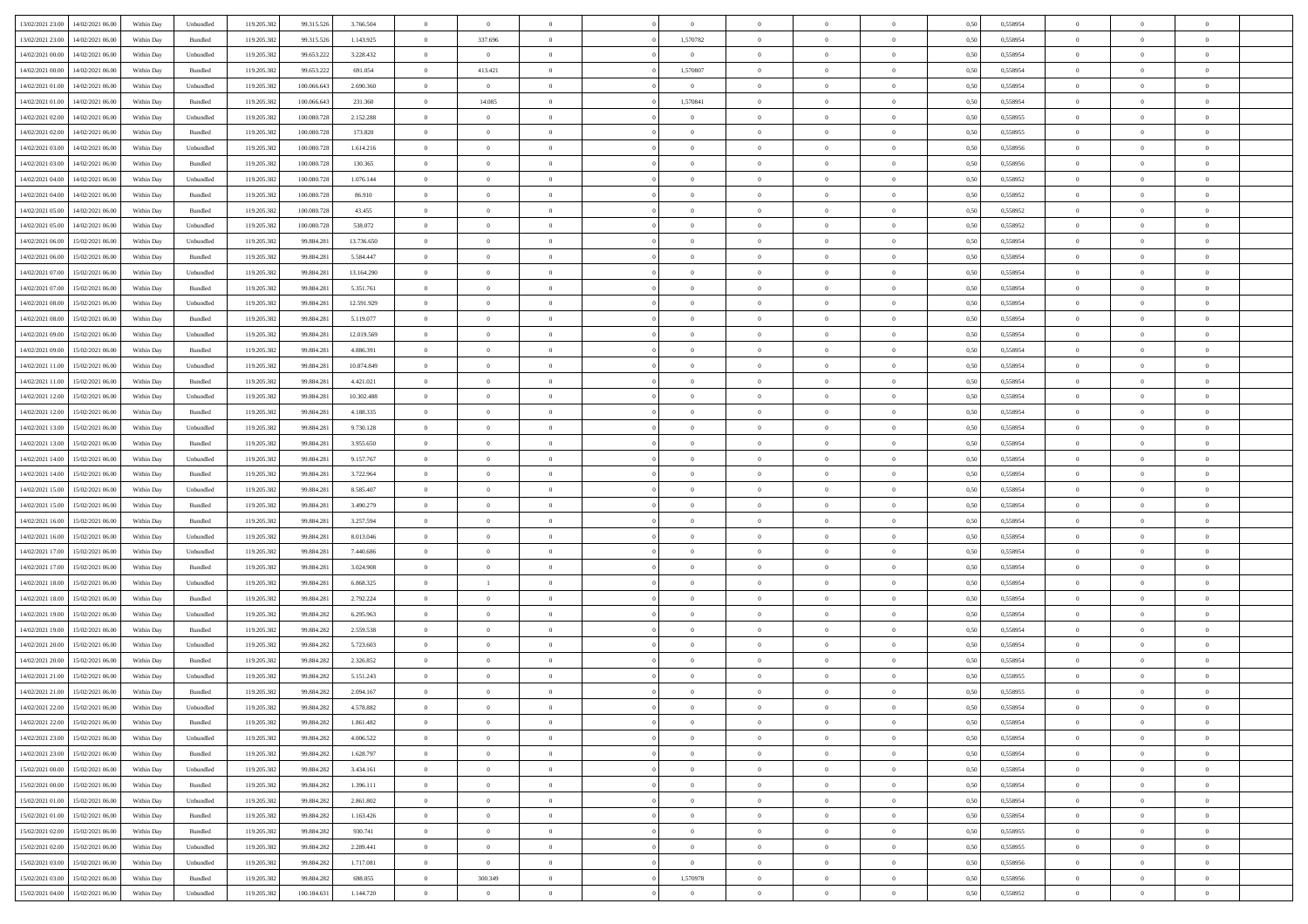| 13/02/2021 23:00                  | 14/02/2021 06:00 | Within Day | Unbundled | 119.205.382 | 99.315.526  | 3.766.504  | $\overline{0}$ | $\theta$       |                | $\overline{0}$ | $\bf{0}$       | $\overline{0}$ | $\theta$       | 0,50 | 0,558954 | $\theta$       | $\theta$       | $\overline{0}$           |  |
|-----------------------------------|------------------|------------|-----------|-------------|-------------|------------|----------------|----------------|----------------|----------------|----------------|----------------|----------------|------|----------|----------------|----------------|--------------------------|--|
| 13/02/2021 23:00                  | 14/02/2021 06.00 | Within Day | Bundled   | 119.205.382 | 99.315.526  | 1.143.925  | $\overline{0}$ | 337.696        | $\overline{0}$ | 1,570782       | $\,$ 0         | $\bf{0}$       | $\bf{0}$       | 0,50 | 0,558954 | $\,$ 0 $\,$    | $\overline{0}$ | $\overline{0}$           |  |
|                                   |                  |            |           |             |             |            |                |                |                |                |                |                |                |      |          |                |                |                          |  |
| 14/02/2021 00:00                  | 14/02/2021 06:00 | Within Day | Unbundled | 119.205.382 | 99.653.222  | 3.228.432  | $\overline{0}$ | $\overline{0}$ | $\overline{0}$ | $\overline{0}$ | $\bf{0}$       | $\overline{0}$ | $\mathbf{0}$   | 0.50 | 0.558954 | $\bf{0}$       | $\overline{0}$ | $\overline{0}$           |  |
| 14/02/2021 00:00                  | 14/02/2021 06:00 | Within Day | Bundled   | 119.205.382 | 99.653.222  | 691.054    | $\overline{0}$ | 413.421        | $\overline{0}$ | 1,570807       | $\bf{0}$       | $\overline{0}$ | $\overline{0}$ | 0,50 | 0,558954 | $\theta$       | $\overline{0}$ | $\overline{0}$           |  |
| 14/02/2021 01:00                  | 14/02/2021 06.00 | Within Day | Unbundled | 119.205.382 | 100.066.643 | 2.690.360  | $\overline{0}$ | $\overline{0}$ | $\overline{0}$ | $\overline{0}$ | $\overline{0}$ | $\overline{0}$ | $\bf{0}$       | 0,50 | 0,558954 | $\,$ 0 $\,$    | $\overline{0}$ | $\overline{0}$           |  |
| 14/02/2021 01:00                  | 14/02/2021 06:00 | Within Day | Bundled   | 119.205.382 | 100,066,643 | 231.360    | $\overline{0}$ | 14.085         | $\overline{0}$ | 1,570841       | $\bf{0}$       | $\overline{0}$ | $\bf{0}$       | 0.50 | 0.558954 | $\,0\,$        | $\theta$       | $\overline{0}$           |  |
| 14/02/2021 02:00                  | 14/02/2021 06:00 | Within Day | Unbundled | 119.205.382 | 100.080.728 | 2.152.288  | $\overline{0}$ | $\overline{0}$ | $\overline{0}$ | $\overline{0}$ | $\bf{0}$       | $\overline{0}$ | $\overline{0}$ | 0,50 | 0,558955 | $\theta$       | $\theta$       | $\overline{0}$           |  |
| 14/02/2021 02:00                  | 14/02/2021 06.00 | Within Day | Bundled   | 119.205.382 | 100.080.728 | 173.820    | $\overline{0}$ | $\theta$       | $\overline{0}$ |                | $\,$ 0         | $\overline{0}$ | $\bf{0}$       | 0,50 | 0,558955 | $\,$ 0 $\,$    | $\overline{0}$ | $\overline{0}$           |  |
| 14/02/2021 03:00                  | 14/02/2021 06:00 | Within Day | Unbundled | 119.205.382 | 100.080.728 | 1.614.216  | $\overline{0}$ | $\overline{0}$ | $\overline{0}$ | $\overline{0}$ | $\bf{0}$       | $\overline{0}$ | $\bf{0}$       | 0.50 | 0.558956 | $\,0\,$        | $\overline{0}$ | $\overline{0}$           |  |
| 14/02/2021 03:00                  | 14/02/2021 06:00 | Within Day | Bundled   | 119.205.382 | 100.080.728 | 130.365    | $\overline{0}$ | $\overline{0}$ | $\overline{0}$ | $\overline{0}$ | $\bf{0}$       | $\overline{0}$ | $\bf{0}$       | 0,50 | 0,558956 | $\,$ 0 $\,$    | $\overline{0}$ | $\overline{0}$           |  |
| 14/02/2021 04:00                  | 14/02/2021 06.00 | Within Day | Unbundled | 119.205.382 | 100.080.728 | 1.076.144  | $\overline{0}$ | $\theta$       | $\overline{0}$ | $\overline{0}$ | $\,$ 0         | $\overline{0}$ | $\bf{0}$       | 0,50 | 0,558952 | $\,$ 0 $\,$    | $\overline{0}$ | $\overline{0}$           |  |
|                                   |                  |            | Bundled   |             | 100.080.728 | 86.910     |                | $\overline{0}$ | $\overline{0}$ | $\overline{0}$ |                | $\overline{0}$ |                | 0.50 | 0.558952 | $\bf{0}$       | $\overline{0}$ | $\bf{0}$                 |  |
| 14/02/2021 04:00                  | 14/02/2021 06:00 | Within Day |           | 119.205.382 |             |            | $\overline{0}$ |                |                |                | $\bf{0}$       |                | $\mathbf{0}$   |      |          |                |                |                          |  |
| 14/02/2021 05:00                  | 14/02/2021 06:00 | Within Day | Bundled   | 119.205.382 | 100.080.728 | 43.455     | $\overline{0}$ | $\overline{0}$ | $\overline{0}$ | $\overline{0}$ | $\bf{0}$       | $\overline{0}$ | $\overline{0}$ | 0,50 | 0,558952 | $\,$ 0 $\,$    | $\overline{0}$ | $\overline{0}$           |  |
| 14/02/2021 05:00                  | 14/02/2021 06.00 | Within Day | Unbundled | 119.205.382 | 100.080.728 | 538.072    | $\overline{0}$ | $\theta$       | $\overline{0}$ |                | $\overline{0}$ | $\overline{0}$ | $\bf{0}$       | 0,50 | 0,558952 | $\,$ 0 $\,$    | $\overline{0}$ | $\overline{0}$           |  |
| 14/02/2021 06:00                  | 15/02/2021 06:00 | Within Day | Unbundled | 119.205.382 | 99.884.281  | 13,736,650 | $\overline{0}$ | $\overline{0}$ | $\overline{0}$ | $\overline{0}$ | $\,$ 0         | $\theta$       | $\bf{0}$       | 0.50 | 0.558954 | $\,0\,$        | $\theta$       | $\overline{0}$           |  |
| 14/02/2021 06:00                  | 15/02/2021 06:00 | Within Day | Bundled   | 119.205.382 | 99.884.281  | 5.584.447  | $\overline{0}$ | $\overline{0}$ | $\overline{0}$ | $\overline{0}$ | $\bf{0}$       | $\overline{0}$ | $\overline{0}$ | 0,50 | 0,558954 | $\theta$       | $\theta$       | $\overline{0}$           |  |
| 14/02/2021 07:00                  | 15/02/2021 06.00 | Within Day | Unbundled | 119.205.382 | 99.884.281  | 13.164.290 | $\overline{0}$ | $\theta$       | $\overline{0}$ |                | $\,$ 0         | $\overline{0}$ | $\bf{0}$       | 0,50 | 0,558954 | $\,$ 0 $\,$    | $\overline{0}$ | $\overline{0}$           |  |
| 14/02/2021 07:00                  | 15/02/2021 06:00 | Within Day | Bundled   | 119.205.382 | 99.884.281  | 5.351.761  | $\overline{0}$ | $\overline{0}$ | $\overline{0}$ | $\overline{0}$ | $\bf{0}$       | $\overline{0}$ | $\bf{0}$       | 0.50 | 0.558954 | $\,0\,$        | $\overline{0}$ | $\overline{\phantom{a}}$ |  |
| 14/02/2021 08:00                  | 15/02/2021 06:00 | Within Day | Unbundled | 119.205.382 | 99.884.281  | 12.591.929 | $\overline{0}$ | $\overline{0}$ | $\overline{0}$ | $\overline{0}$ | $\,$ 0         | $\overline{0}$ | $\overline{0}$ | 0,50 | 0,558954 | $\,$ 0 $\,$    | $\theta$       | $\overline{0}$           |  |
| 14/02/2021 08:00                  | 15/02/2021 06.00 | Within Day | Bundled   | 119.205.382 | 99.884.281  | 5.119.077  | $\bf{0}$       | $\,$ 0 $\,$    | $\overline{0}$ | $\overline{0}$ | $\,$ 0         | $\bf{0}$       | $\bf{0}$       | 0,50 | 0,558954 | $\,$ 0 $\,$    | $\overline{0}$ | $\overline{0}$           |  |
| 14/02/2021 09:00                  | 15/02/2021 06:00 | Within Day | Unbundled | 119.205.382 | 99.884.281  | 12.019.569 | $\overline{0}$ | $\overline{0}$ | $\overline{0}$ | $\overline{0}$ | $\bf{0}$       | $\overline{0}$ | $\mathbf{0}$   | 0.50 | 0.558954 | $\,$ 0 $\,$    | $\overline{0}$ | $\overline{\phantom{a}}$ |  |
| 14/02/2021 09:00                  | 15/02/2021 06:00 | Within Day | Bundled   | 119.205.382 | 99.884.281  | 4.886.391  | $\overline{0}$ | $\overline{0}$ | $\overline{0}$ | $\overline{0}$ | $\bf{0}$       | $\overline{0}$ | $\overline{0}$ | 0,50 | 0,558954 | $\theta$       | $\overline{0}$ | $\overline{0}$           |  |
|                                   |                  |            |           |             |             |            |                |                |                |                |                |                |                |      |          |                |                |                          |  |
| 14/02/2021 11:00                  | 15/02/2021 06.00 | Within Day | Unbundled | 119.205.382 | 99.884.281  | 10.874.849 | $\overline{0}$ | $\theta$       | $\overline{0}$ | $\overline{0}$ | $\,$ 0         | $\overline{0}$ | $\bf{0}$       | 0,50 | 0,558954 | $\,$ 0 $\,$    | $\overline{0}$ | $\overline{0}$           |  |
| 14/02/2021 11:00                  | 15/02/2021 06:00 | Within Day | Bundled   | 119.205.382 | 99.884.281  | 4.421.021  | $\overline{0}$ | $\overline{0}$ | $\overline{0}$ | $\overline{0}$ | $\bf{0}$       | $\overline{0}$ | $\bf{0}$       | 0.50 | 0.558954 | $\,0\,$        | $\theta$       | $\overline{0}$           |  |
| 14/02/2021 12:00                  | 15/02/2021 06:00 | Within Day | Unbundled | 119.205.382 | 99.884.281  | 10.302.488 | $\overline{0}$ | $\overline{0}$ | $\overline{0}$ | $\overline{0}$ | $\bf{0}$       | $\overline{0}$ | $\overline{0}$ | 0,50 | 0,558954 | $\theta$       | $\theta$       | $\overline{0}$           |  |
| 14/02/2021 12:00                  | 15/02/2021 06.00 | Within Day | Bundled   | 119.205.382 | 99.884.281  | 4.188.335  | $\overline{0}$ | $\theta$       | $\overline{0}$ |                | $\bf{0}$       | $\overline{0}$ | $\bf{0}$       | 0,50 | 0,558954 | $\,$ 0 $\,$    | $\overline{0}$ | $\overline{0}$           |  |
| 14/02/2021 13:00                  | 15/02/2021 06:00 | Within Day | Unbundled | 119.205.382 | 99.884.281  | 9.730.128  | $\overline{0}$ | $\overline{0}$ | $\overline{0}$ | $\overline{0}$ | $\bf{0}$       | $\overline{0}$ | $\bf{0}$       | 0.50 | 0.558954 | $\,0\,$        | $\overline{0}$ | $\overline{0}$           |  |
| 14/02/2021 13:00                  | 15/02/2021 06:00 | Within Day | Bundled   | 119.205.382 | 99.884.281  | 3.955.650  | $\overline{0}$ | $\overline{0}$ | $\overline{0}$ | $\overline{0}$ | $\bf{0}$       | $\overline{0}$ | $\overline{0}$ | 0,50 | 0,558954 | $\theta$       | $\theta$       | $\overline{0}$           |  |
| 14/02/2021 14:00                  | 15/02/2021 06.00 | Within Day | Unbundled | 119.205.382 | 99.884.281  | 9.157.767  | $\bf{0}$       | $\overline{0}$ | $\overline{0}$ | $\overline{0}$ | $\bf{0}$       | $\bf{0}$       | $\bf{0}$       | 0,50 | 0,558954 | $\,$ 0 $\,$    | $\overline{0}$ | $\overline{0}$           |  |
| 14/02/2021 14:00                  | 15/02/2021 06:00 | Within Day | Bundled   | 119.205.382 | 99.884.281  | 3.722.964  | $\overline{0}$ | $\overline{0}$ | $\overline{0}$ | $\overline{0}$ | $\bf{0}$       | $\overline{0}$ | $\mathbf{0}$   | 0.50 | 0.558954 | $\bf{0}$       | $\overline{0}$ | $\bf{0}$                 |  |
| 14/02/2021 15:00                  | 15/02/2021 06:00 | Within Dav | Unbundled | 119.205.382 | 99.884.281  | 8.585.407  | $\overline{0}$ | $\overline{0}$ | $\overline{0}$ | $\overline{0}$ | $\mathbf{0}$   | $\overline{0}$ | $\overline{0}$ | 0.50 | 0,558954 | $\theta$       | $\overline{0}$ | $\overline{0}$           |  |
| 14/02/2021 15:00                  | 15/02/2021 06.00 | Within Day | Bundled   | 119.205.382 | 99.884.281  | 3.490.279  | $\overline{0}$ | $\theta$       | $\overline{0}$ | $\overline{0}$ | $\bf{0}$       | $\overline{0}$ | $\bf{0}$       | 0,50 | 0,558954 | $\,$ 0 $\,$    | $\overline{0}$ | $\overline{0}$           |  |
|                                   | 15/02/2021 06:00 |            | Bundled   |             |             | 3.257.594  |                | $\overline{0}$ | $\overline{0}$ | $\overline{0}$ | $\bf{0}$       | $\overline{0}$ |                | 0.50 | 0.558954 | $\,0\,$        | $\theta$       | $\overline{0}$           |  |
| 14/02/2021 16:00                  |                  | Within Day |           | 119.205.382 | 99.884.281  |            | $\overline{0}$ |                |                |                |                |                | $\bf{0}$       |      |          |                |                |                          |  |
| 14/02/2021 16:00                  | 15/02/2021 06:00 | Within Dav | Unbundled | 119.205.382 | 99.884.281  | 8.013.046  | $\overline{0}$ | $\theta$       | $\Omega$       | $\Omega$       | $\mathbf{0}$   | $\overline{0}$ | $\overline{0}$ | 0.50 | 0,558954 | $\theta$       | $\overline{0}$ | $\overline{0}$           |  |
| 14/02/2021 17:00                  | 15/02/2021 06.00 | Within Day | Unbundled | 119.205.382 | 99.884.281  | 7.440.686  | $\overline{0}$ | $\theta$       | $\overline{0}$ |                | $\,$ 0         | $\overline{0}$ | $\bf{0}$       | 0,50 | 0,558954 | $\,$ 0 $\,$    | $\overline{0}$ | $\overline{0}$           |  |
| 14/02/2021 17:00                  | 15/02/2021 06:00 | Within Day | Bundled   | 119.205.382 | 99.884.281  | 3.024.908  | $\overline{0}$ | $\overline{0}$ | $\overline{0}$ | $\overline{0}$ | $\bf{0}$       | $\overline{0}$ | $\bf{0}$       | 0.50 | 0.558954 | $\,0\,$        | $\overline{0}$ | $\overline{0}$           |  |
| 14/02/2021 18:00                  | 15/02/2021 06:00 | Within Dav | Unbundled | 119.205.382 | 99.884.281  | 6.868.325  | $\overline{0}$ | $\mathbf{1}$   | $\overline{0}$ | $\Omega$       | $\mathbf{0}$   | $\overline{0}$ | $\overline{0}$ | 0.50 | 0,558954 | $\theta$       | $\overline{0}$ | $\overline{0}$           |  |
| 14/02/2021 18:00                  | 15/02/2021 06.00 | Within Day | Bundled   | 119.205.382 | 99.884.281  | 2.792.224  | $\overline{0}$ | $\overline{0}$ | $\overline{0}$ | $\overline{0}$ | $\bf{0}$       | $\bf{0}$       | $\bf{0}$       | 0,50 | 0,558954 | $\,$ 0 $\,$    | $\overline{0}$ | $\overline{0}$           |  |
| 14/02/2021 19:00                  | 15/02/2021 06:00 | Within Day | Unbundled | 119.205.382 | 99.884.282  | 6.295.963  | $\overline{0}$ | $\overline{0}$ | $\overline{0}$ | $\overline{0}$ | $\bf{0}$       | $\overline{0}$ | $\mathbf{0}$   | 0.50 | 0.558954 | $\,$ 0 $\,$    | $\overline{0}$ | $\overline{0}$           |  |
| 14/02/2021 19:00                  | 15/02/2021 06:00 | Within Dav | Bundled   | 119.205.382 | 99.884.282  | 2.559.538  | $\overline{0}$ | $\overline{0}$ | $\Omega$       | $\Omega$       | $\mathbf{0}$   | $\overline{0}$ | $\overline{0}$ | 0.50 | 0,558954 | $\theta$       | $\overline{0}$ | $\overline{0}$           |  |
| 14/02/2021 20:00                  | 15/02/2021 06.00 | Within Day | Unbundled | 119.205.382 | 99.884.282  | 5.723.603  | $\overline{0}$ | $\theta$       | $\overline{0}$ | $\overline{0}$ | $\,$ 0         | $\overline{0}$ | $\bf{0}$       | 0,50 | 0,558954 | $\,$ 0 $\,$    | $\overline{0}$ | $\overline{0}$           |  |
| 14/02/2021 20:00                  | 15/02/2021 06:00 | Within Day | Bundled   | 119.205.382 | 99.884.282  | 2.326.852  | $\overline{0}$ | $\overline{0}$ | $\overline{0}$ | $\overline{0}$ | $\bf{0}$       | $\overline{0}$ | $\overline{0}$ | 0.50 | 0.558954 | $\,0\,$        | $\theta$       | $\overline{0}$           |  |
| 14/02/2021 21:00                  | 15/02/2021 06:00 | Within Dav | Unbundled | 119.205.382 | 99.884.282  | 5.151.243  | $\overline{0}$ | $\Omega$       | $\Omega$       | $\Omega$       | $\bf{0}$       | $\overline{0}$ | $\Omega$       | 0.50 | 0,558955 | $\theta$       | $\overline{0}$ | $\overline{0}$           |  |
| 14/02/2021 21:00                  | 15/02/2021 06:00 | Within Day | Bundled   | 119.205.382 | 99.884.282  | 2.094.167  | $\overline{0}$ | $\overline{0}$ | $\overline{0}$ | $\bf{0}$       | $\,$ 0         | $\bf{0}$       | $\bf{0}$       | 0,50 | 0,558955 | $\,$ 0 $\,$    | $\overline{0}$ | $\overline{0}$           |  |
|                                   |                  |            |           |             |             |            |                |                |                |                |                |                |                |      |          |                |                |                          |  |
| 14/02/2021 22:00                  | 15/02/2021 06:00 | Within Day | Unbundled | 119.205.382 | 99.884.282  | 4.578.882  | $\bf{0}$       | $\theta$       |                | $^{\circ}$     |                |                |                | 0,50 | 0.558954 | $\,$ 0         | $\theta$       |                          |  |
| 14/02/2021 22:00                  | 15/02/2021 06:00 | Within Day | Bundled   | 119.205.382 | 99.884.282  | 1.861.482  | $\Omega$       | $\overline{0}$ | $\overline{0}$ | $\Omega$       | $\mathbf{0}$   | $\overline{0}$ | $\mathbf{0}$   | 0.50 | 0,558954 | $\theta$       | $\theta$       | $\overline{0}$           |  |
| 14/02/2021 23:00                  | 15/02/2021 06:00 | Within Day | Unbundled | 119.205.382 | 99.884.282  | 4.006.522  | $\overline{0}$ | $\bf{0}$       | $\overline{0}$ | $\bf{0}$       | $\overline{0}$ | $\overline{0}$ | $\mathbf{0}$   | 0,50 | 0,558954 | $\overline{0}$ | $\overline{0}$ | $\bf{0}$                 |  |
| 14/02/2021 23:00                  | 15/02/2021 06:00 | Within Day | Bundled   | 119.205.382 | 99.884.282  | 1.628.797  | $\overline{0}$ | $\overline{0}$ | $\overline{0}$ | $\overline{0}$ | $\overline{0}$ | $\overline{0}$ | $\mathbf{0}$   | 0.50 | 0.558954 | $\overline{0}$ | $\bf{0}$       | $\bf{0}$                 |  |
| 15/02/2021 00:00                  | 15/02/2021 06:00 | Within Day | Unbundled | 119.205.382 | 99.884.282  | 3.434.161  | $\overline{0}$ | $\overline{0}$ | $\overline{0}$ | $\overline{0}$ | $\mathbf{0}$   | $\overline{0}$ | $\mathbf{0}$   | 0.50 | 0,558954 | $\overline{0}$ | $\theta$       | $\overline{0}$           |  |
| 15/02/2021 00:00                  | 15/02/2021 06:00 | Within Day | Bundled   | 119.205.382 | 99.884.282  | 1.396.111  | $\overline{0}$ | $\overline{0}$ | $\overline{0}$ | $\overline{0}$ | $\bf{0}$       | $\bf{0}$       | $\bf{0}$       | 0,50 | 0,558954 | $\bf{0}$       | $\overline{0}$ | $\overline{0}$           |  |
| 15/02/2021 01:00                  | 15/02/2021 06:00 | Within Day | Unbundled | 119.205.382 | 99.884.282  | 2.861.802  | $\overline{0}$ | $\overline{0}$ | $\overline{0}$ | $\overline{0}$ | $\bf{0}$       | $\overline{0}$ | $\mathbf{0}$   | 0.50 | 0.558954 | $\,$ 0 $\,$    | $\overline{0}$ | $\overline{0}$           |  |
| 15/02/2021 01:00                  | 15/02/2021 06:00 | Within Day | Bundled   | 119.205.382 | 99.884.282  | 1.163.426  | $\overline{0}$ | $\overline{0}$ | $\overline{0}$ | $\overline{0}$ | $\overline{0}$ | $\overline{0}$ | $\overline{0}$ | 0.50 | 0,558954 | $\overline{0}$ | $\theta$       | $\overline{0}$           |  |
| 15/02/2021 02:00                  | 15/02/2021 06:00 | Within Day | Bundled   | 119.205.382 | 99.884.282  | 930.741    | $\overline{0}$ | $\,$ 0         | $\overline{0}$ | $\bf{0}$       | $\,$ 0 $\,$    | $\bf{0}$       | $\bf{0}$       | 0,50 | 0,558955 | $\,$ 0 $\,$    | $\overline{0}$ | $\overline{0}$           |  |
| 15/02/2021 02:00                  | 15/02/2021 06:00 | Within Day | Unbundled | 119.205.382 |             | 2.289.441  | $\overline{0}$ | $\overline{0}$ |                | $\overline{0}$ | $\bf{0}$       | $\overline{0}$ |                | 0.50 | 0.558955 | $\mathbf{0}$   | $\bf{0}$       | $\overline{0}$           |  |
|                                   |                  |            |           |             | 99.884.282  |            |                |                | $\overline{0}$ |                |                |                | $\mathbf{0}$   |      |          |                |                |                          |  |
| 15/02/2021 03:00                  | 15/02/2021 06:00 | Within Day | Unbundled | 119.205.382 | 99.884.282  | 1.717.081  | $\overline{0}$ | $\overline{0}$ | $\overline{0}$ | $\overline{0}$ | $\overline{0}$ | $\overline{0}$ | $\overline{0}$ | 0,50 | 0,558956 | $\overline{0}$ | $\theta$       | $\overline{0}$           |  |
| 15/02/2021 03:00                  | 15/02/2021 06:00 | Within Day | Bundled   | 119.205.382 | 99.884.282  | 698.055    | $\overline{0}$ | 300.349        | $\overline{0}$ | 1,570978       | $\bf{0}$       | $\bf{0}$       | $\bf{0}$       | 0,50 | 0,558956 | $\bf{0}$       | $\overline{0}$ | $\bf{0}$                 |  |
| 15/02/2021 04:00 15/02/2021 06:00 |                  | Within Day | Unbundled | 119.205.382 | 100.184.631 | 1.144.720  | $\overline{0}$ | $\overline{0}$ | $\overline{0}$ | $\overline{0}$ | $\bf{0}$       | $\overline{0}$ | $\,$ 0 $\,$    | 0,50 | 0,558952 | $\overline{0}$ | $\,$ 0 $\,$    | $\,$ 0 $\,$              |  |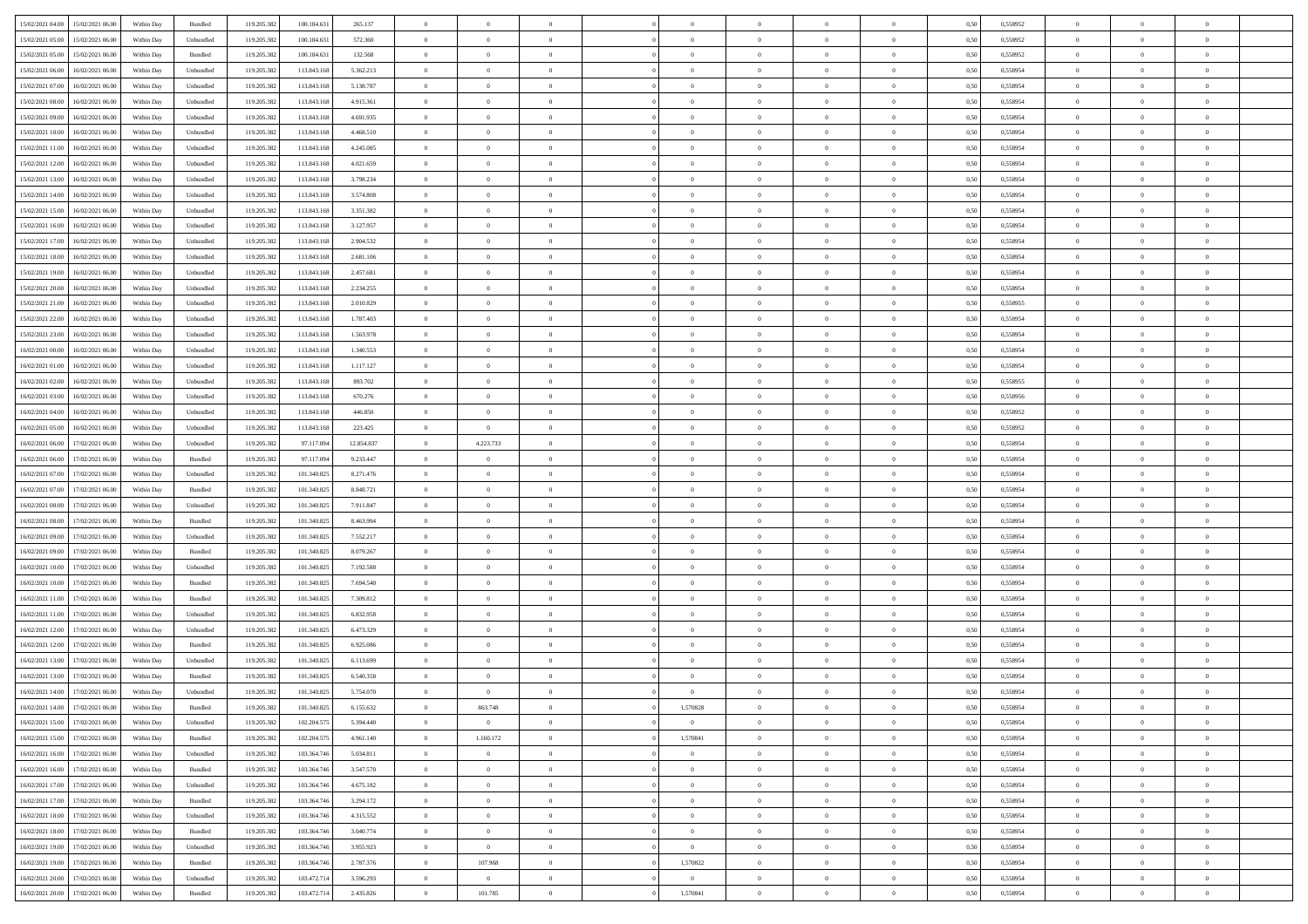| 15/02/2021 04:00<br>15/02/2021 06:00         |            |           | 119.205.382 |             |            | $\overline{0}$ | $\theta$       |                | $\overline{0}$ | $\theta$       |                | $\theta$       |      | 0,558952 | $\theta$       | $\theta$       | $\overline{0}$ |  |
|----------------------------------------------|------------|-----------|-------------|-------------|------------|----------------|----------------|----------------|----------------|----------------|----------------|----------------|------|----------|----------------|----------------|----------------|--|
|                                              | Within Day | Bundled   |             | 100.184.631 | 265.137    |                |                |                |                |                |                |                | 0,50 |          |                |                |                |  |
| 15/02/2021 05:00<br>15/02/2021 06:00         | Within Day | Unbundled | 119.205.38  | 100.184.63  | 572.360    | $\bf{0}$       | $\bf{0}$       | $\bf{0}$       | $\bf{0}$       | $\overline{0}$ | $\overline{0}$ | $\bf{0}$       | 0,50 | 0,558952 | $\,$ 0 $\,$    | $\bf{0}$       | $\overline{0}$ |  |
| 15/02/2021 05:00<br>15/02/2021 06:00         | Within Day | Bundled   | 119.205.382 | 100.184.63  | 132.568    | $\overline{0}$ | $\bf{0}$       | $\overline{0}$ | $\bf{0}$       | $\bf{0}$       | $\overline{0}$ | $\bf{0}$       | 0.50 | 0.558952 | $\bf{0}$       | $\overline{0}$ | $\overline{0}$ |  |
| 15/02/2021 06:00<br>16/02/2021 06:00         | Within Day | Unbundled | 119.205.382 | 113.843.168 | 5.362.213  | $\overline{0}$ | $\overline{0}$ | $\overline{0}$ | $\theta$       | $\theta$       | $\overline{0}$ | $\bf{0}$       | 0,50 | 0,558954 | $\theta$       | $\theta$       | $\overline{0}$ |  |
| 15/02/2021 07:00<br>16/02/2021 06:00         | Within Day | Unbundled | 119.205.38  | 113.843.16  | 5.138.787  | $\overline{0}$ | $\overline{0}$ | $\bf{0}$       | $\overline{0}$ | $\theta$       | $\overline{0}$ | $\bf{0}$       | 0,50 | 0,558954 | $\,$ 0 $\,$    | $\bf{0}$       | $\overline{0}$ |  |
| 15/02/2021 08:00<br>16/02/2021 06:00         |            | Unbundled | 119.205.38  | 113,843,168 | 4.915.361  | $\overline{0}$ | $\overline{0}$ | $\overline{0}$ | $\bf{0}$       | $\overline{0}$ | $\theta$       | $\bf{0}$       | 0.50 | 0.558954 | $\,$ 0 $\,$    | $\theta$       | $\overline{0}$ |  |
|                                              | Within Day |           |             |             |            |                |                |                |                |                |                |                |      |          |                |                |                |  |
| 15/02/2021 09:00<br>16/02/2021 06:00         | Within Day | Unbundled | 119.205.38  | 113.843.168 | 4.691.935  | $\overline{0}$ | $\overline{0}$ | $\overline{0}$ | $\overline{0}$ | $\overline{0}$ | $\overline{0}$ | $\bf{0}$       | 0,50 | 0,558954 | $\theta$       | $\theta$       | $\overline{0}$ |  |
| 15/02/2021 10:00<br>16/02/2021 06:00         | Within Day | Unbundled | 119.205.38  | 113.843.16  | 4.468.510  | $\overline{0}$ | $\overline{0}$ | $\bf{0}$       | $\overline{0}$ | $\overline{0}$ | $\overline{0}$ | $\bf{0}$       | 0,50 | 0,558954 | $\,$ 0 $\,$    | $\bf{0}$       | $\overline{0}$ |  |
| 15/02/2021 11:00<br>16/02/2021 06:00         | Within Day | Unbundled | 119.205.38  | 113,843,168 | 4.245.085  | $\overline{0}$ | $\bf{0}$       | $\overline{0}$ | $\bf{0}$       | $\overline{0}$ | $\overline{0}$ | $\bf{0}$       | 0.50 | 0.558954 | $\bf{0}$       | $\overline{0}$ | $\overline{0}$ |  |
| 15/02/2021 12:00<br>16/02/2021 06:00         | Within Day | Unbundled | 119.205.382 | 113.843.168 | 4.021.659  | $\overline{0}$ | $\bf{0}$       | $\overline{0}$ | $\overline{0}$ | $\overline{0}$ | $\overline{0}$ | $\bf{0}$       | 0,50 | 0,558954 | $\,$ 0 $\,$    | $\bf{0}$       | $\overline{0}$ |  |
| 15/02/2021 13:00<br>16/02/2021 06:00         | Within Day | Unbundled | 119.205.38  | 113.843.16  | 3.798.234  | $\bf{0}$       | $\overline{0}$ | $\bf{0}$       | $\bf{0}$       | $\overline{0}$ | $\overline{0}$ | $\bf{0}$       | 0,50 | 0,558954 | $\,$ 0 $\,$    | $\bf{0}$       | $\overline{0}$ |  |
| 15/02/2021 14:00<br>16/02/2021 06:00         | Within Day | Unbundled | 119.205.38  | 113,843,168 | 3.574.808  | $\overline{0}$ | $\bf{0}$       | $\overline{0}$ | $\overline{0}$ | $\bf{0}$       | $\overline{0}$ | $\bf{0}$       | 0.50 | 0.558954 | $\bf{0}$       | $\overline{0}$ | $\,$ 0         |  |
| 15/02/2021 15:00<br>16/02/2021 06:00         | Within Day | Unbundled | 119.205.38  | 113.843.168 | 3.351.382  | $\overline{0}$ | $\overline{0}$ | $\overline{0}$ | $\theta$       | $\theta$       | $\overline{0}$ | $\bf{0}$       | 0,50 | 0,558954 | $\theta$       | $\theta$       | $\overline{0}$ |  |
|                                              |            |           |             |             |            |                |                |                |                |                |                |                |      |          |                |                |                |  |
| 15/02/2021 16:00<br>16/02/2021 06:00         | Within Day | Unbundled | 119.205.38  | 113.843.16  | 3.127.957  | $\bf{0}$       | $\overline{0}$ | $\bf{0}$       | $\overline{0}$ | $\bf{0}$       | $\overline{0}$ | $\bf{0}$       | 0,50 | 0,558954 | $\,$ 0 $\,$    | $\bf{0}$       | $\overline{0}$ |  |
| 15/02/2021 17:00<br>16/02/2021 06:00         | Within Day | Unbundled | 119.205.38  | 113,843,168 | 2.904.532  | $\overline{0}$ | $\overline{0}$ | $\overline{0}$ | $\bf{0}$       | $\overline{0}$ | $\theta$       | $\bf{0}$       | 0.50 | 0.558954 | $\theta$       | $\theta$       | $\overline{0}$ |  |
| 15/02/2021 18:00<br>16/02/2021 06:00         | Within Day | Unbundled | 119.205.382 | 113.843.168 | 2.681.106  | $\overline{0}$ | $\overline{0}$ | $\overline{0}$ | $\overline{0}$ | $\overline{0}$ | $\overline{0}$ | $\bf{0}$       | 0,50 | 0,558954 | $\theta$       | $\theta$       | $\overline{0}$ |  |
| 15/02/2021 19:00<br>16/02/2021 06:00         | Within Day | Unbundled | 119.205.38  | 113.843.16  | 2.457.681  | $\bf{0}$       | $\overline{0}$ | $\bf{0}$       | $\overline{0}$ | $\bf{0}$       | $\overline{0}$ | $\bf{0}$       | 0,50 | 0,558954 | $\,$ 0 $\,$    | $\bf{0}$       | $\overline{0}$ |  |
| 15/02/2021 20:00<br>16/02/2021 06:00         | Within Day | Unbundled | 119.205.38  | 113,843,168 | 2.234.255  | $\overline{0}$ | $\bf{0}$       | $\overline{0}$ | $\bf{0}$       | $\overline{0}$ | $\overline{0}$ | $\bf{0}$       | 0.50 | 0.558954 | $\bf{0}$       | $\overline{0}$ | $\overline{0}$ |  |
| 15/02/2021 21:00<br>16/02/2021 06:00         | Within Day | Unbundled | 119.205.382 | 113.843.168 | 2.010.829  | $\overline{0}$ | $\bf{0}$       | $\overline{0}$ | $\overline{0}$ | $\overline{0}$ | $\overline{0}$ | $\bf{0}$       | 0,50 | 0,558955 | $\,$ 0 $\,$    | $\bf{0}$       | $\overline{0}$ |  |
| 15/02/2021 22:00<br>16/02/2021 06:00         | Within Day | Unbundled | 119.205.38  | 113.843.16  | 1.787.403  | $\bf{0}$       | $\bf{0}$       | $\bf{0}$       | $\bf{0}$       | $\overline{0}$ | $\overline{0}$ | $\bf{0}$       | 0,50 | 0,558954 | $\,$ 0 $\,$    | $\bf{0}$       | $\overline{0}$ |  |
|                                              |            |           |             | 113,843,168 | 1.563.978  |                |                | $\overline{0}$ |                |                | $\overline{0}$ |                | 0.50 | 0.558954 |                |                | $\,$ 0         |  |
| 15/02/2021 23:00<br>16/02/2021 06:00         | Within Day | Unbundled | 119.205.38  |             |            | $\overline{0}$ | $\bf{0}$       |                | $\overline{0}$ | $\bf{0}$       |                | $\bf{0}$       |      |          | $\bf{0}$       | $\overline{0}$ |                |  |
| 16/02/2021 00:00<br>16/02/2021 06:00         | Within Day | Unbundled | 119.205.38  | 113.843.168 | 1.340.553  | $\overline{0}$ | $\overline{0}$ | $\overline{0}$ | $\theta$       | $\theta$       | $\overline{0}$ | $\bf{0}$       | 0,50 | 0,558954 | $\theta$       | $\theta$       | $\overline{0}$ |  |
| 16/02/2021 01:00<br>16/02/2021 06:00         | Within Day | Unbundled | 119.205.38  | 113.843.16  | 1.117.127  | $\bf{0}$       | $\overline{0}$ | $\bf{0}$       | $\bf{0}$       | $\,$ 0 $\,$    | $\overline{0}$ | $\bf{0}$       | 0,50 | 0,558954 | $\,$ 0 $\,$    | $\bf{0}$       | $\overline{0}$ |  |
| 16/02/2021 02:00<br>16/02/2021 06:00         | Within Day | Unbundled | 119.205.38  | 113,843,168 | 893.702    | $\overline{0}$ | $\overline{0}$ | $\overline{0}$ | $\bf{0}$       | $\overline{0}$ | $\theta$       | $\bf{0}$       | 0.50 | 0.558955 | $\,$ 0 $\,$    | $\theta$       | $\overline{0}$ |  |
| 16/02/2021 03:00<br>16/02/2021 06:00         | Within Day | Unbundled | 119.205.382 | 113.843.168 | 670.276    | $\overline{0}$ | $\overline{0}$ | $\overline{0}$ | $\overline{0}$ | $\overline{0}$ | $\overline{0}$ | $\bf{0}$       | 0,50 | 0,558956 | $\theta$       | $\theta$       | $\overline{0}$ |  |
| 16/02/2021 04:00<br>16/02/2021 06:00         | Within Day | Unbundled | 119.205.38  | 113.843.16  | 446.850    | $\bf{0}$       | $\overline{0}$ | $\bf{0}$       | $\overline{0}$ | $\bf{0}$       | $\overline{0}$ | $\bf{0}$       | 0,50 | 0,558952 | $\,$ 0 $\,$    | $\bf{0}$       | $\overline{0}$ |  |
| 16/02/2021 05:00<br>16/02/2021 06:00         | Within Day | Unbundled | 119,205.38  | 113,843,168 | 223.425    | $\overline{0}$ | $\overline{0}$ | $\overline{0}$ | $\bf{0}$       | $\overline{0}$ | $\overline{0}$ | $\bf{0}$       | 0.50 | 0.558952 | $\bf{0}$       | $\overline{0}$ | $\overline{0}$ |  |
| 16/02/2021 06:00<br>17/02/2021 06:00         | Within Day | Unbundled | 119.205.382 | 97.117.094  | 12.854.837 | $\overline{0}$ | 4.223.733      | $\overline{0}$ | $\overline{0}$ | $\overline{0}$ | $\overline{0}$ | $\bf{0}$       | 0,50 | 0,558954 | $\theta$       | $\theta$       | $\overline{0}$ |  |
| 16/02/2021 06:00<br>17/02/2021 06:00         | Within Day | Bundled   | 119.205.38  | 97.117.09   | 9.233.447  | $\bf{0}$       | $\bf{0}$       | $\bf{0}$       | $\bf{0}$       | $\overline{0}$ | $\overline{0}$ | $\bf{0}$       | 0,50 | 0,558954 | $\,$ 0 $\,$    | $\bf{0}$       | $\overline{0}$ |  |
|                                              |            |           |             |             |            |                |                |                |                |                |                |                |      |          |                |                |                |  |
| 16/02/2021 07:00<br>17/02/2021 06:00         | Within Day | Unbundled | 119.205.382 | 101.340.825 | 8.271.476  | $\overline{0}$ | $\bf{0}$       | $\overline{0}$ | $\bf{0}$       | $\bf{0}$       | $\overline{0}$ | $\bf{0}$       | 0.50 | 0.558954 | $\bf{0}$       | $\overline{0}$ | $\,$ 0         |  |
| 16/02/2021 07:00<br>17/02/2021 06:00         | Within Day | Bundled   | 119.205.38  | 101.340.825 | 8.848.721  | $\overline{0}$ | $\overline{0}$ | $\overline{0}$ | $\overline{0}$ | $\overline{0}$ | $\overline{0}$ | $\bf{0}$       | 0.50 | 0.558954 | $\theta$       | $\theta$       | $\overline{0}$ |  |
| 16/02/2021 08:00<br>17/02/2021 06:00         | Within Day | Unbundled | 119.205.38  | 101.340.825 | 7.911.847  | $\bf{0}$       | $\overline{0}$ | $\bf{0}$       | $\bf{0}$       | $\overline{0}$ | $\overline{0}$ | $\bf{0}$       | 0,50 | 0,558954 | $\,$ 0 $\,$    | $\bf{0}$       | $\overline{0}$ |  |
| 16/02/2021 08:00<br>17/02/2021 06:00         | Within Day | Bundled   | 119.205.38  | 101.340.825 | 8.463.994  | $\overline{0}$ | $\bf{0}$       | $\overline{0}$ | $\bf{0}$       | $\overline{0}$ | $\overline{0}$ | $\bf{0}$       | 0.50 | 0.558954 | $\,$ 0 $\,$    | $\theta$       | $\overline{0}$ |  |
| 16/02/2021 09:00<br>17/02/2021 06:00         | Within Dav | Unbundled | 119.205.38  | 101.340.825 | 7.552.217  | $\overline{0}$ | $\overline{0}$ | $\overline{0}$ | $\overline{0}$ | $\theta$       | $\overline{0}$ | $\bf{0}$       | 0.5( | 0,558954 | $\theta$       | $\theta$       | $\overline{0}$ |  |
| 16/02/2021 09:00<br>17/02/2021 06.00         | Within Day | Bundled   | 119.205.38  | 101.340.825 | 8.079.267  | $\bf{0}$       | $\bf{0}$       | $\bf{0}$       | $\bf{0}$       | $\overline{0}$ | $\overline{0}$ | $\bf{0}$       | 0,50 | 0,558954 | $\,$ 0 $\,$    | $\bf{0}$       | $\overline{0}$ |  |
| 16/02/2021 10:00<br>17/02/2021 06:00         | Within Day | Unbundled | 119.205.38  | 101.340.825 | 7.192.588  | $\overline{0}$ | $\bf{0}$       | $\overline{0}$ | $\bf{0}$       | $\overline{0}$ | $\overline{0}$ | $\bf{0}$       | 0.50 | 0.558954 | $\bf{0}$       | $\overline{0}$ | $\overline{0}$ |  |
| 16/02/2021 10:00<br>17/02/2021 06:00         | Within Dav | Bundled   | 119.205.38  | 101.340.825 | 7.694.540  | $\overline{0}$ | $\overline{0}$ | $\overline{0}$ | $\overline{0}$ | $\overline{0}$ | $\overline{0}$ | $\bf{0}$       | 0.50 | 0,558954 | $\theta$       | $\theta$       | $\overline{0}$ |  |
| 17/02/2021 06:00                             | Within Day | Bundled   |             | 101.340.825 | 7.309.812  | $\bf{0}$       | $\bf{0}$       | $\bf{0}$       | $\bf{0}$       | $\overline{0}$ | $\overline{0}$ | $\bf{0}$       | 0,50 | 0,558954 | $\,$ 0 $\,$    | $\bf{0}$       | $\overline{0}$ |  |
| 16/02/2021 11:00                             |            |           | 119.205.38  |             |            |                |                |                |                |                |                |                |      |          |                |                |                |  |
| 16/02/2021 11:00<br>17/02/2021 06:00         | Within Day | Unbundled | 119.205.382 | 101.340.825 | 6.832.958  | $\overline{0}$ | $\bf{0}$       | $\overline{0}$ | $\overline{0}$ | $\bf{0}$       | $\overline{0}$ | $\bf{0}$       | 0.50 | 0.558954 | $\bf{0}$       | $\overline{0}$ | $\,$ 0         |  |
| 16/02/2021 12:00<br>17/02/2021 06:00         | Within Dav | Unbundled | 119.205.38  | 101.340.825 | 6.473.329  | $\overline{0}$ | $\overline{0}$ | $\overline{0}$ | $\overline{0}$ | $\overline{0}$ | $\overline{0}$ | $\bf{0}$       | 0.50 | 0,558954 | $\theta$       | $\theta$       | $\overline{0}$ |  |
| 16/02/2021 12:00<br>17/02/2021 06:00         | Within Day | Bundled   | 119.205.38  | 101.340.825 | 6.925.086  | $\bf{0}$       | $\bf{0}$       | $\bf{0}$       | $\bf{0}$       | $\overline{0}$ | $\overline{0}$ | $\bf{0}$       | 0,50 | 0,558954 | $\,$ 0 $\,$    | $\bf{0}$       | $\overline{0}$ |  |
| 16/02/2021 13:00<br>17/02/2021 06:00         | Within Day | Unbundled | 119.205.38  | 101.340.825 | 6.113.699  | $\overline{0}$ | $\overline{0}$ | $\overline{0}$ | $\bf{0}$       | $\overline{0}$ | $\Omega$       | $\bf{0}$       | 0.50 | 0.558954 | $\,$ 0 $\,$    | $\theta$       | $\overline{0}$ |  |
| 16/02/2021 13:00<br>17/02/2021 06:00         | Within Dav | Bundled   | 119.205.38  | 101.340.825 | 6.540.358  | $\overline{0}$ | $\overline{0}$ | $\Omega$       | $\overline{0}$ | $\theta$       | $\overline{0}$ | $\overline{0}$ | 0.5( | 0,558954 | $\theta$       | $\theta$       | $\overline{0}$ |  |
| 16/02/2021 14:00<br>17/02/2021 06:00         | Within Day | Unbundled | 119.205.38  | 101.340.825 | 5.754.070  | $\bf{0}$       | $\bf{0}$       | $\bf{0}$       | $\bf{0}$       | $\bf{0}$       | $\overline{0}$ | $\bf{0}$       | 0,50 | 0,558954 | $\overline{0}$ | $\overline{0}$ | $\overline{0}$ |  |
| $16/02/2021\ 14.00 \qquad 17/02/2021\ 06.00$ | Within Day | Bundled   | 119.205.382 | 101.340.825 | 6.155.632  | $\bf{0}$       | 863.748        |                | 1,570828       |                |                |                | 0,50 | 0.558954 | $\theta$       | $\overline{0}$ |                |  |
| 16/02/2021 15:00 17/02/2021 06:00            | Within Day | Unbundled | 119.205.382 | 102.204.575 | 5.394.440  | $\overline{0}$ | $\overline{0}$ | $\Omega$       | $\overline{0}$ | $\overline{0}$ | $\overline{0}$ | $\bf{0}$       | 0,50 | 0,558954 | $\theta$       | $\theta$       | $\overline{0}$ |  |
|                                              |            |           |             |             |            |                |                |                |                |                |                |                |      |          |                |                |                |  |
| 16/02/2021 15:00<br>17/02/2021 06:00         | Within Day | Bundled   | 119.205.38  | 102.204.57  | 4.961.140  | $\overline{0}$ | 1.160.172      | $\overline{0}$ | 1,570841       | $\bf{0}$       | $\overline{0}$ | $\bf{0}$       | 0,50 | 0,558954 | $\bf{0}$       | $\overline{0}$ | $\bf{0}$       |  |
| 16/02/2021 16:00 17/02/2021 06:00            | Within Day | Unbundled | 119.205.382 | 103.364.746 | 5.034.811  | $\overline{0}$ | $\overline{0}$ | $\overline{0}$ | $\overline{0}$ | $\mathbf{0}$   | $\overline{0}$ | $\,$ 0 $\,$    | 0.50 | 0.558954 | $\overline{0}$ | $\bf{0}$       | $\bf{0}$       |  |
| 16/02/2021 16:00 17/02/2021 06:00            | Within Day | Bundled   | 119.205.382 | 103.364.746 | 3.547.570  | $\overline{0}$ | $\overline{0}$ | $\overline{0}$ | $\overline{0}$ | $\overline{0}$ | $\overline{0}$ | $\bf{0}$       | 0,50 | 0,558954 | $\overline{0}$ | $\theta$       | $\overline{0}$ |  |
| 16/02/2021 17:00<br>17/02/2021 06:00         | Within Day | Unbundled | 119.205.382 | 103.364.746 | 4.675.182  | $\overline{0}$ | $\bf{0}$       | $\overline{0}$ | $\overline{0}$ | $\bf{0}$       | $\overline{0}$ | $\bf{0}$       | 0,50 | 0,558954 | $\bf{0}$       | $\overline{0}$ | $\overline{0}$ |  |
| 16/02/2021 17:00<br>17/02/2021 06:00         | Within Day | Bundled   | 119.205.382 | 103.364.746 | 3.294.172  | $\overline{0}$ | $\bf{0}$       | $\overline{0}$ | $\overline{0}$ | $\bf{0}$       | $\overline{0}$ | $\bf{0}$       | 0.50 | 0.558954 | $\,$ 0 $\,$    | $\overline{0}$ | $\overline{0}$ |  |
| 16/02/2021 18:00<br>17/02/2021 06:00         | Within Dav | Unbundled | 119.205.382 | 103.364.746 | 4.315.552  | $\overline{0}$ | $\overline{0}$ | $\overline{0}$ | $\overline{0}$ | $\overline{0}$ | $\overline{0}$ | $\bf{0}$       | 0.50 | 0,558954 | $\overline{0}$ | $\theta$       | $\overline{0}$ |  |
| 16/02/2021 18:00<br>17/02/2021 06:00         | Within Day | Bundled   | 119.205.38  | 103.364.746 | 3.040.774  | $\overline{0}$ | $\overline{0}$ | $\overline{0}$ | $\overline{0}$ | $\overline{0}$ | $\overline{0}$ | $\bf{0}$       | 0,50 | 0,558954 | $\bf{0}$       | $\overline{0}$ | $\,$ 0         |  |
| 17/02/2021 06:00                             |            | Unbundled | 119.205.382 | 103.364.746 | 3.955.923  | $\overline{0}$ | $\overline{0}$ | $\overline{0}$ |                |                | $\overline{0}$ |                | 0.50 | 0.558954 | $\mathbf{0}$   | $\bf{0}$       | $\,$ 0         |  |
| 16/02/2021 19:00                             | Within Day |           |             |             |            |                |                |                | $\overline{0}$ | $\overline{0}$ |                | $\bf{0}$       |      |          |                |                |                |  |
| 16/02/2021 19:00<br>17/02/2021 06:00         | Within Dav | Bundled   | 119.205.382 | 103.364.746 | 2.787.376  | $\overline{0}$ | 107.968        | $\overline{0}$ | 1,570822       | $\overline{0}$ | $\overline{0}$ | $\bf{0}$       | 0,50 | 0,558954 | $\overline{0}$ | $\theta$       | $\overline{0}$ |  |
| 16/02/2021 20:00<br>17/02/2021 06:00         | Within Day | Unbundled | 119.205.38  | 103.472.714 | 3.596.293  | $\overline{0}$ | $\bf{0}$       | $\overline{0}$ | $\overline{0}$ | $\bf{0}$       | $\bf{0}$       | $\bf{0}$       | 0,50 | 0,558954 | $\bf{0}$       | $\,$ 0 $\,$    | $\bf{0}$       |  |
| 16/02/2021 20:00 17/02/2021 06:00            | Within Day | Bundled   | 119.205.382 | 103.472.714 | 2.435.826  | $\overline{0}$ | 101.785        | $\overline{0}$ | 1,570841       | $\,$ 0 $\,$    | $\overline{0}$ | $\bf{0}$       | 0,50 | 0,558954 | $\overline{0}$ | $\,$ 0 $\,$    | $\,$ 0 $\,$    |  |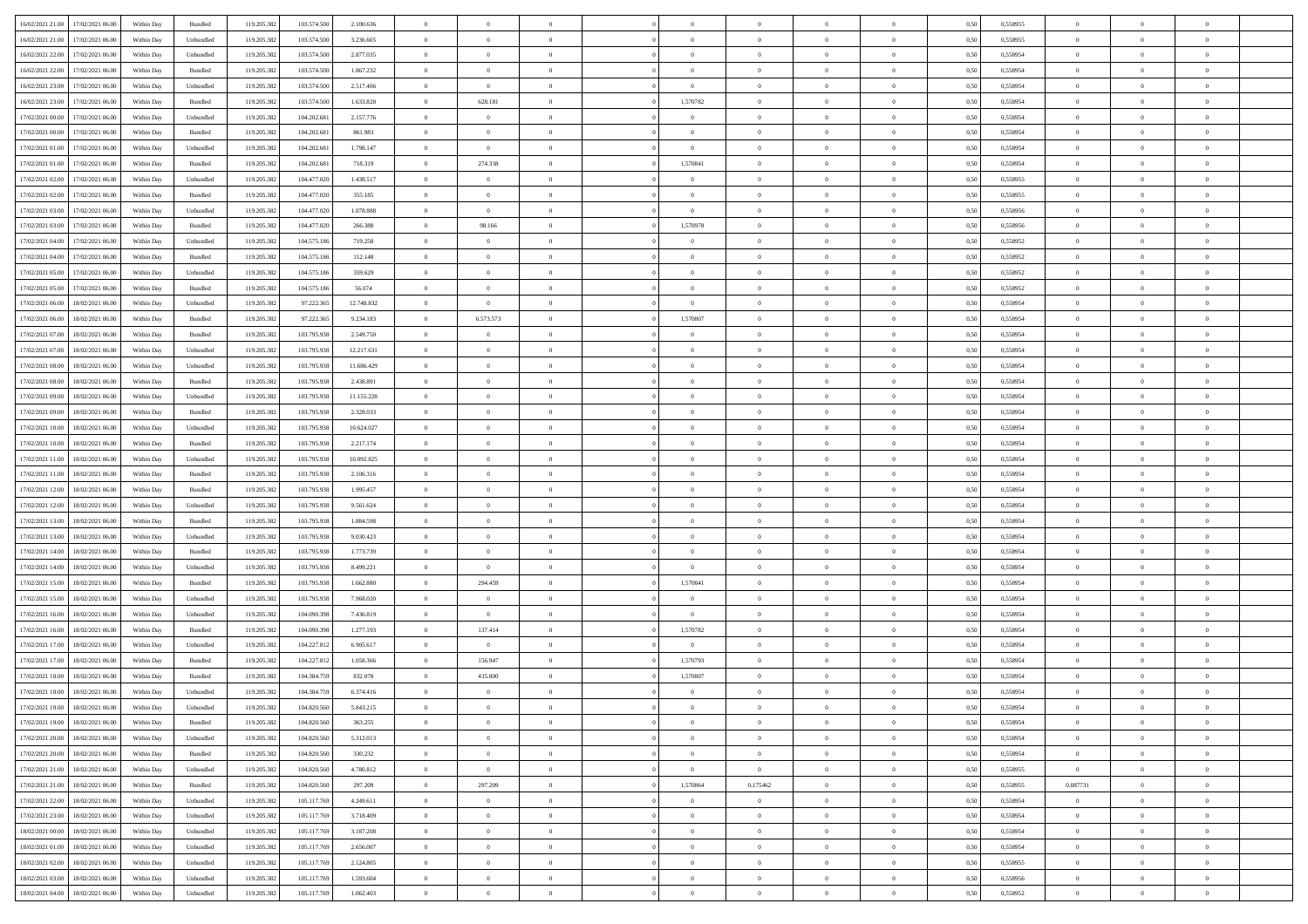| 16/02/2021 21:00 | 17/02/2021 06:00 | Within Day | Bundled   | 119.205.382 | 103.574.500 | 2.100.636  | $\Omega$       | $\Omega$       |                | $\Omega$       | $\Omega$       | $\Omega$       | $\theta$       | 0,50 | 0,558955 | $\theta$       | $\theta$       | $\theta$       |  |
|------------------|------------------|------------|-----------|-------------|-------------|------------|----------------|----------------|----------------|----------------|----------------|----------------|----------------|------|----------|----------------|----------------|----------------|--|
|                  |                  |            |           |             |             |            |                |                |                |                |                |                |                |      |          |                |                |                |  |
| 16/02/2021 21:00 | 17/02/2021 06:00 | Within Day | Unbundled | 119.205.382 | 103.574.500 | 3.236.665  | $\overline{0}$ | $\theta$       | $\overline{0}$ | $\overline{0}$ | $\bf{0}$       | $\overline{0}$ | $\overline{0}$ | 0,50 | 0,558955 | $\theta$       | $\theta$       | $\overline{0}$ |  |
| 16/02/2021 22:00 | 17/02/2021 06:00 | Within Day | Unbundled | 119.205.382 | 103.574.500 | 2.877.035  | $\overline{0}$ | $\overline{0}$ | $\overline{0}$ | $\bf{0}$       | $\bf{0}$       | $\bf{0}$       | $\bf{0}$       | 0,50 | 0,558954 | $\bf{0}$       | $\overline{0}$ | $\overline{0}$ |  |
| 16/02/2021 22:00 | 17/02/2021 06:00 | Within Dav | Bundled   | 119.205.382 | 103.574.500 | 1.867.232  | $\overline{0}$ | $\overline{0}$ | $\overline{0}$ | $\overline{0}$ | $\bf{0}$       | $\overline{0}$ | $\overline{0}$ | 0.50 | 0.558954 | $\theta$       | $\theta$       | $\overline{0}$ |  |
| 16/02/2021 23:00 | 17/02/2021 06:00 | Within Day | Unbundled | 119.205.382 | 103.574.500 | 2.517.406  | $\overline{0}$ | $\overline{0}$ | $\overline{0}$ | $\overline{0}$ | $\bf{0}$       | $\overline{0}$ | $\bf{0}$       | 0,50 | 0,558954 | $\theta$       | $\overline{0}$ | $\overline{0}$ |  |
| 16/02/2021 23:00 | 17/02/2021 06:00 | Within Day | Bundled   | 119.205.382 | 103.574.500 | 1.633.828  | $\overline{0}$ | 628.181        | $\overline{0}$ | 1,570782       | $\bf{0}$       | $\overline{0}$ | $\mathbf{0}$   | 0,50 | 0,558954 | $\bf{0}$       | $\overline{0}$ | $\bf{0}$       |  |
| 17/02/2021 00:00 | 17/02/2021 06:00 | Within Dav | Unbundled | 119.205.382 | 104.202.681 | 2.157.776  | $\overline{0}$ | $\overline{0}$ | $\overline{0}$ | $\overline{0}$ | $\bf{0}$       | $\overline{0}$ | $\overline{0}$ | 0.50 | 0,558954 | $\theta$       | $\overline{0}$ | $\overline{0}$ |  |
|                  |                  |            |           |             |             |            |                |                |                |                |                |                |                |      |          |                |                |                |  |
| 17/02/2021 00:00 | 17/02/2021 06:00 | Within Day | Bundled   | 119.205.382 | 104.202.681 | 861.983    | $\overline{0}$ | $\theta$       | $\overline{0}$ | $\overline{0}$ | $\bf{0}$       | $\overline{0}$ | $\bf{0}$       | 0,50 | 0,558954 | $\theta$       | $\theta$       | $\overline{0}$ |  |
| 17/02/2021 01:00 | 17/02/2021 06:00 | Within Day | Unbundled | 119.205.382 | 104.202.681 | 1.798.147  | $\overline{0}$ | $\bf{0}$       | $\overline{0}$ | $\bf{0}$       | $\bf{0}$       | $\bf{0}$       | $\bf{0}$       | 0,50 | 0,558954 | $\,0\,$        | $\overline{0}$ | $\overline{0}$ |  |
| 17/02/2021 01:00 | 17/02/2021 06:00 | Within Dav | Bundled   | 119.205.382 | 104.202.681 | 718,319    | $\overline{0}$ | 274.338        | $\overline{0}$ | 1,570841       | $\bf{0}$       | $\overline{0}$ | $\overline{0}$ | 0.50 | 0,558954 | $\theta$       | $\overline{0}$ | $\overline{0}$ |  |
| 17/02/2021 02:00 | 17/02/2021 06:00 | Within Day | Unbundled | 119.205.382 | 104.477.020 | 1.438.517  | $\overline{0}$ | $\theta$       | $\overline{0}$ | $\overline{0}$ | $\bf{0}$       | $\overline{0}$ | $\bf{0}$       | 0,50 | 0,558955 | $\theta$       | $\theta$       | $\overline{0}$ |  |
| 17/02/2021 02:00 | 17/02/2021 06:00 | Within Day | Bundled   | 119.205.382 | 104.477.020 | 355.185    | $\overline{0}$ | $\overline{0}$ | $\overline{0}$ | $\bf{0}$       | $\bf{0}$       | $\bf{0}$       | $\mathbf{0}$   | 0,50 | 0,558955 | $\bf{0}$       | $\overline{0}$ | $\overline{0}$ |  |
| 17/02/2021 03:00 | 17/02/2021 06:00 | Within Day | Unbundled | 119.205.382 | 104.477.020 | 1.078.888  | $\overline{0}$ | $\overline{0}$ | $\overline{0}$ | $\overline{0}$ | $\bf{0}$       | $\overline{0}$ | $\overline{0}$ | 0.50 | 0.558956 | $\theta$       | $\theta$       | $\overline{0}$ |  |
|                  |                  |            |           |             |             |            | $\overline{0}$ |                | $\overline{0}$ |                | $\bf{0}$       | $\overline{0}$ | $\overline{0}$ |      |          | $\theta$       | $\overline{0}$ | $\overline{0}$ |  |
| 17/02/2021 03:00 | 17/02/2021 06:00 | Within Day | Bundled   | 119.205.382 | 104.477.020 | 266.388    |                | 98.166         |                | 1,570978       |                |                |                | 0,50 | 0,558956 |                |                |                |  |
| 17/02/2021 04:00 | 17/02/2021 06:00 | Within Day | Unbundled | 119.205.382 | 104.575.186 | 719.258    | $\overline{0}$ | $\overline{0}$ | $\overline{0}$ | $\bf{0}$       | $\overline{0}$ | $\overline{0}$ | $\mathbf{0}$   | 0,50 | 0,558952 | $\overline{0}$ | $\overline{0}$ | $\bf{0}$       |  |
| 17/02/2021 04:00 | 17/02/2021 06:00 | Within Dav | Bundled   | 119.205.382 | 104.575.186 | 112.148    | $\overline{0}$ | $\overline{0}$ | $\overline{0}$ | $\overline{0}$ | $\overline{0}$ | $\overline{0}$ | $\overline{0}$ | 0.50 | 0,558952 | $\theta$       | $\overline{0}$ | $\overline{0}$ |  |
| 17/02/2021 05:00 | 17/02/2021 06:00 | Within Day | Unbundled | 119.205.382 | 104.575.186 | 359.629    | $\overline{0}$ | $\theta$       | $\overline{0}$ | $\overline{0}$ | $\bf{0}$       | $\overline{0}$ | $\bf{0}$       | 0,50 | 0,558952 | $\theta$       | $\theta$       | $\overline{0}$ |  |
| 17/02/2021 05:00 | 17/02/2021 06:00 | Within Day | Bundled   | 119.205.382 | 104.575.186 | 56.074     | $\overline{0}$ | $\overline{0}$ | $\overline{0}$ | $\bf{0}$       | $\bf{0}$       | $\bf{0}$       | $\mathbf{0}$   | 0,50 | 0,558952 | $\,0\,$        | $\overline{0}$ | $\overline{0}$ |  |
| 17/02/2021 06:00 | 18/02/2021 06:00 | Within Dav | Unbundled | 119.205.382 | 97.222.365  | 12.748.832 | $\overline{0}$ | $\overline{0}$ | $\overline{0}$ | $\overline{0}$ | $\overline{0}$ | $\overline{0}$ | $\overline{0}$ | 0.50 | 0,558954 | $\theta$       | $\overline{0}$ | $\overline{0}$ |  |
| 17/02/2021 06:00 | 18/02/2021 06:00 | Within Day | Bundled   | 119.205.382 | 97.222.365  | 9.234.183  | $\overline{0}$ | 6.573.573      | $\overline{0}$ | 1,570807       | $\bf{0}$       | $\overline{0}$ | $\bf{0}$       | 0,50 | 0,558954 | $\theta$       | $\theta$       | $\overline{0}$ |  |
|                  |                  |            |           |             |             |            |                |                |                |                |                |                |                |      |          |                |                |                |  |
| 17/02/2021 07:00 | 18/02/2021 06:00 | Within Day | Bundled   | 119.205.382 | 103.795.938 | 2.549.750  | $\overline{0}$ | $\overline{0}$ | $\overline{0}$ | $\bf{0}$       | $\bf{0}$       | $\bf{0}$       | $\bf{0}$       | 0,50 | 0,558954 | $\bf{0}$       | $\overline{0}$ | $\overline{0}$ |  |
| 17/02/2021 07:00 | 18/02/2021 06:00 | Within Day | Unbundled | 119.205.382 | 103.795.938 | 12.217.631 | $\overline{0}$ | $\overline{0}$ | $\overline{0}$ | $\overline{0}$ | $\bf{0}$       | $\overline{0}$ | $\overline{0}$ | 0.50 | 0.558954 | $\theta$       | $\overline{0}$ | $\overline{0}$ |  |
| 17/02/2021 08:00 | 18/02/2021 06:00 | Within Day | Unbundled | 119.205.382 | 103.795.938 | 11.686.429 | $\overline{0}$ | $\theta$       | $\overline{0}$ | $\overline{0}$ | $\bf{0}$       | $\overline{0}$ | $\bf{0}$       | 0,50 | 0,558954 | $\theta$       | $\overline{0}$ | $\overline{0}$ |  |
| 17/02/2021 08:00 | 18/02/2021 06:00 | Within Day | Bundled   | 119.205.382 | 103.795.938 | 2.438.891  | $\overline{0}$ | $\bf{0}$       | $\overline{0}$ | $\bf{0}$       | $\overline{0}$ | $\overline{0}$ | $\mathbf{0}$   | 0,50 | 0,558954 | $\overline{0}$ | $\overline{0}$ | $\bf{0}$       |  |
| 17/02/2021 09:00 | 18/02/2021 06:00 | Within Dav | Unbundled | 119.205.382 | 103.795.938 | 11.155.228 | $\overline{0}$ | $\overline{0}$ | $\overline{0}$ | $\overline{0}$ | $\overline{0}$ | $\overline{0}$ | $\overline{0}$ | 0.50 | 0,558954 | $\theta$       | $\overline{0}$ | $\overline{0}$ |  |
| 17/02/2021 09:00 | 18/02/2021 06:00 | Within Day | Bundled   | 119.205.382 | 103.795.938 | 2.328.033  | $\overline{0}$ | $\theta$       | $\overline{0}$ | $\overline{0}$ | $\bf{0}$       | $\overline{0}$ | $\bf{0}$       | 0,50 | 0,558954 | $\theta$       | $\theta$       | $\overline{0}$ |  |
| 17/02/2021 10:00 | 18/02/2021 06:00 | Within Day | Unbundled | 119.205.382 | 103.795.938 | 10.624.027 | $\overline{0}$ | $\overline{0}$ | $\overline{0}$ | $\bf{0}$       | $\bf{0}$       | $\bf{0}$       | $\bf{0}$       | 0,50 | 0,558954 | $\,0\,$        | $\overline{0}$ | $\overline{0}$ |  |
|                  | 18/02/2021 06:00 |            | Bundled   | 119.205.382 | 103.795.938 | 2.217.174  | $\overline{0}$ | $\overline{0}$ | $\overline{0}$ | $\overline{0}$ | $\overline{0}$ | $\overline{0}$ | $\overline{0}$ | 0.50 | 0,558954 | $\theta$       | $\overline{0}$ | $\overline{0}$ |  |
| 17/02/2021 10:00 |                  | Within Day |           |             |             |            |                |                |                |                |                |                |                |      |          |                |                |                |  |
| 17/02/2021 11:00 | 18/02/2021 06:00 | Within Day | Unbundled | 119.205.382 | 103.795.938 | 10.092.825 | $\overline{0}$ | $\theta$       | $\overline{0}$ | $\overline{0}$ | $\bf{0}$       | $\overline{0}$ | $\bf{0}$       | 0,50 | 0,558954 | $\,$ 0 $\,$    | $\theta$       | $\overline{0}$ |  |
| 17/02/2021 11:00 | 18/02/2021 06:00 | Within Day | Bundled   | 119.205.382 | 103.795.938 | 2.106.316  | $\overline{0}$ | $\overline{0}$ | $\overline{0}$ | $\bf{0}$       | $\bf{0}$       | $\bf{0}$       | $\bf{0}$       | 0,50 | 0,558954 | $\bf{0}$       | $\overline{0}$ | $\overline{0}$ |  |
| 17/02/2021 12:00 | 18/02/2021 06:00 | Within Day | Bundled   | 119.205.382 | 103.795.938 | 1.995.457  | $\overline{0}$ | $\Omega$       | $\overline{0}$ | $\Omega$       | $\Omega$       | $\overline{0}$ | $\overline{0}$ | 0,50 | 0,558954 | $\,0\,$        | $\theta$       | $\theta$       |  |
| 17/02/2021 12:00 | 18/02/2021 06:00 | Within Day | Unbundled | 119.205.382 | 103.795.938 | 9.561.624  | $\overline{0}$ | $\theta$       | $\overline{0}$ | $\overline{0}$ | $\bf{0}$       | $\overline{0}$ | $\bf{0}$       | 0,50 | 0,558954 | $\theta$       | $\overline{0}$ | $\overline{0}$ |  |
| 17/02/2021 13:00 | 18/02/2021 06:00 | Within Day | Bundled   | 119.205.382 | 103.795.938 | 1.884.598  | $\overline{0}$ | $\bf{0}$       | $\overline{0}$ | $\bf{0}$       | $\bf{0}$       | $\overline{0}$ | $\mathbf{0}$   | 0,50 | 0,558954 | $\bf{0}$       | $\overline{0}$ | $\bf{0}$       |  |
| 17/02/2021 13:00 | 18/02/2021 06:00 | Within Day | Unbundled | 119.205.382 | 103.795.938 | 9.030.423  | $\overline{0}$ | $\Omega$       | $\Omega$       | $\Omega$       | $\bf{0}$       | $\overline{0}$ | $\overline{0}$ | 0.50 | 0.558954 | $\,0\,$        | $\theta$       | $\theta$       |  |
| 17/02/2021 14:00 | 18/02/2021 06:00 | Within Day | Bundled   | 119.205.382 | 103.795.938 | 1.773.739  | $\overline{0}$ | $\theta$       | $\overline{0}$ | $\overline{0}$ | $\bf{0}$       | $\overline{0}$ | $\bf{0}$       | 0,50 | 0,558954 | $\theta$       | $\theta$       | $\overline{0}$ |  |
|                  |                  |            |           |             |             |            |                |                |                |                |                |                |                |      |          |                |                |                |  |
| 17/02/2021 14:00 | 18/02/2021 06:00 | Within Day | Unbundled | 119.205.382 | 103.795.938 | 8.499.221  | $\overline{0}$ | $\bf{0}$       | $\overline{0}$ | $\bf{0}$       | $\bf{0}$       | $\bf{0}$       | $\bf{0}$       | 0,50 | 0,558954 | $\,0\,$        | $\overline{0}$ | $\overline{0}$ |  |
| 17/02/2021 15:00 | 18/02/2021 06:00 | Within Day | Bundled   | 119.205.382 | 103.795.938 | 1.662.880  | $\overline{0}$ | 294.459        | $\Omega$       | 1,570841       | $\Omega$       | $\theta$       | $\overline{0}$ | 0.50 | 0.558954 | $\,$ 0 $\,$    | $\theta$       | $\theta$       |  |
| 17/02/2021 15:00 | 18/02/2021 06:00 | Within Day | Unbundled | 119.205.382 | 103.795.938 | 7.968.020  | $\overline{0}$ | $\overline{0}$ | $\overline{0}$ | $\overline{0}$ | $\bf{0}$       | $\overline{0}$ | $\bf{0}$       | 0,50 | 0,558954 | $\,$ 0 $\,$    | $\theta$       | $\overline{0}$ |  |
| 17/02/2021 16:00 | 18/02/2021 06:00 | Within Day | Unbundled | 119.205.382 | 104.090.398 | 7.436.819  | $\overline{0}$ | $\overline{0}$ | $\overline{0}$ | $\bf{0}$       | $\bf{0}$       | $\bf{0}$       | $\bf{0}$       | 0,50 | 0,558954 | $\bf{0}$       | $\overline{0}$ | $\overline{0}$ |  |
| 17/02/2021 16:00 | 18/02/2021 06:00 | Within Day | Bundled   | 119.205.382 | 104.090.398 | 1.277.193  | $\overline{0}$ | 137.414        | $\overline{0}$ | 1,570782       | $\Omega$       | $\overline{0}$ | $\overline{0}$ | 0.50 | 0,558954 | $\,0\,$        | $\theta$       | $\theta$       |  |
| 17/02/2021 17:00 | 18/02/2021 06:00 | Within Day | Unbundled | 119.205.382 | 104.227.812 | 6.905.617  | $\overline{0}$ | $\overline{0}$ | $\overline{0}$ | $\overline{0}$ | $\bf{0}$       | $\overline{0}$ | $\bf{0}$       | 0,50 | 0,558954 | $\,$ 0 $\,$    | $\overline{0}$ | $\overline{0}$ |  |
| 17/02/2021 17:00 | 18/02/2021 06:00 | Within Day | Bundled   | 119.205.382 | 104.227.812 | 1.058.366  | $\overline{0}$ | 156.947        | $\overline{0}$ | 1,570793       | $\bf{0}$       | $\bf{0}$       | $\mathbf{0}$   | 0,50 | 0,558954 | $\bf{0}$       | $\overline{0}$ | $\bf{0}$       |  |
| 17/02/2021 18:00 | 18/02/2021 06:00 | Within Day | Bundled   | 119.205.382 | 104.384.75  | 832.078    | $\overline{0}$ | 435.800        | $\Omega$       | 1,570807       | $\Omega$       | $\overline{0}$ | $\overline{0}$ | 0.50 | 0.558954 | $\theta$       | $\theta$       | $\theta$       |  |
|                  |                  |            |           |             |             |            |                |                |                |                |                |                |                |      |          |                |                |                |  |
| 17/02/2021 18:00 | 18/02/2021 06:00 | Within Day | Unbundled | 119.205.382 | 104.384.759 | 6.374.416  | $\overline{0}$ | $\bf{0}$       | $\overline{0}$ | $\overline{0}$ | $\,$ 0         | $\overline{0}$ | $\bf{0}$       | 0,50 | 0,558954 | $\,0\,$        | $\,$ 0 $\,$    | $\overline{0}$ |  |
| 17/02/2021 19:00 | 18/02/2021 06:00 | Within Day | Unbundled | 119.205.382 | 104.820.560 | 5.843.215  | $\bf{0}$       | $\bf{0}$       |                |                |                |                |                | 0,50 | 0,558954 | $\bf{0}$       | $\overline{0}$ |                |  |
| 17/02/2021 19:00 | 18/02/2021 06:00 | Within Day | Bundled   | 119.205.382 | 104.820.560 | 363,255    | $\overline{0}$ | $\Omega$       | $\Omega$       | $\Omega$       | $\theta$       | $\overline{0}$ | $\overline{0}$ | 0.50 | 0.558954 | $\theta$       | $\theta$       | $\theta$       |  |
| 17/02/2021 20:00 | 18/02/2021 06:00 | Within Day | Unbundled | 119.205.382 | 104.820.560 | 5.312.013  | $\overline{0}$ | $\overline{0}$ | $\overline{0}$ | $\bf{0}$       | $\,$ 0 $\,$    | $\overline{0}$ | $\mathbf{0}$   | 0,50 | 0,558954 | $\,$ 0 $\,$    | $\,$ 0 $\,$    | $\bf{0}$       |  |
| 17/02/2021 20:00 | 18/02/2021 06:00 | Within Day | Bundled   | 119.205.382 | 104.820.560 | 330.232    | $\overline{0}$ | $\overline{0}$ | $\overline{0}$ | $\overline{0}$ | $\overline{0}$ | $\overline{0}$ | $\mathbf{0}$   | 0,50 | 0,558954 | $\overline{0}$ | $\bf{0}$       | $\bf{0}$       |  |
| 17/02/2021 21:00 | 18/02/2021 06:00 | Within Day | Unbundled | 119.205.382 | 104.820.560 | 4.780.812  | $\bf{0}$       | $\overline{0}$ | $\overline{0}$ | $\overline{0}$ | $\overline{0}$ | $\overline{0}$ | $\bf{0}$       | 0.50 | 0,558955 | $\bf{0}$       | $\theta$       | $\overline{0}$ |  |
| 17/02/2021 21:00 | 18/02/2021 06:00 | Within Day | Bundled   | 119.205.382 | 104.820.560 | 297.209    | $\overline{0}$ | 297.209        | $\overline{0}$ | 1,570864       | 0,175462       | $\overline{0}$ | $\bf{0}$       | 0,50 | 0,558955 | 0,087731       | $\overline{0}$ | $\overline{0}$ |  |
|                  |                  |            |           |             |             |            |                |                |                |                |                |                |                |      |          |                |                |                |  |
| 17/02/2021 22.00 | 18/02/2021 06:00 | Within Day | Unbundled | 119.205.382 | 105.117.769 | 4.249.611  | $\overline{0}$ | $\overline{0}$ | $\overline{0}$ | $\overline{0}$ | $\overline{0}$ | $\overline{0}$ | $\mathbf{0}$   | 0,50 | 0,558954 | $\overline{0}$ | $\overline{0}$ | $\bf{0}$       |  |
| 17/02/2021 23:00 | 18/02/2021 06:00 | Within Day | Unbundled | 119.205.382 | 105.117.769 | 3.718.409  | $\overline{0}$ | $\overline{0}$ | $\overline{0}$ | $\overline{0}$ | $\overline{0}$ | $\overline{0}$ | $\bf{0}$       | 0.50 | 0.558954 | $\overline{0}$ | $\theta$       | $\overline{0}$ |  |
| 18/02/2021 00:00 | 18/02/2021 06:00 | Within Day | Unbundled | 119.205.382 | 105.117.769 | 3.187.208  | $\overline{0}$ | $\overline{0}$ | $\overline{0}$ | $\overline{0}$ | $\bf{0}$       | $\bf{0}$       | $\bf{0}$       | 0,50 | 0,558954 | $\,$ 0 $\,$    | $\theta$       | $\overline{0}$ |  |
| 18/02/2021 01:00 | 18/02/2021 06:00 | Within Day | Unbundled | 119.205.382 | 105.117.769 | 2.656.007  | $\overline{0}$ | $\bf{0}$       | $\overline{0}$ | $\overline{0}$ | $\overline{0}$ | $\bf{0}$       | $\mathbf{0}$   | 0,50 | 0,558954 | $\overline{0}$ | $\overline{0}$ | $\bf{0}$       |  |
| 18/02/2021 02:00 | 18/02/2021 06:00 | Within Day | Unbundled | 119.205.382 | 105,117.76  | 2.124.805  | $\overline{0}$ | $\overline{0}$ | $\overline{0}$ | $\Omega$       | $\overline{0}$ | $\overline{0}$ | $\overline{0}$ | 0.50 | 0,558955 | $\overline{0}$ | $\theta$       | $\overline{0}$ |  |
| 18/02/2021 03:00 | 18/02/2021 06:00 | Within Day | Unbundled | 119.205.382 | 105.117.769 | 1.593.604  | $\overline{0}$ | $\bf{0}$       | $\overline{0}$ | $\overline{0}$ | $\bf{0}$       | $\bf{0}$       | $\mathbf{0}$   | 0,50 | 0,558956 | $\,$ 0 $\,$    | $\,$ 0 $\,$    | $\bf{0}$       |  |
| 18/02/2021 04:00 | 18/02/2021 06:00 | Within Day | Unbundled | 119.205.382 | 105.117.769 | 1.062.403  | $\overline{0}$ | $\overline{0}$ | $\overline{0}$ | $\overline{0}$ | $\bf{0}$       | $\bf{0}$       | $\mathbf{0}$   | 0,50 | 0,558952 | $\overline{0}$ | $\bf{0}$       | $\bf{0}$       |  |
|                  |                  |            |           |             |             |            |                |                |                |                |                |                |                |      |          |                |                |                |  |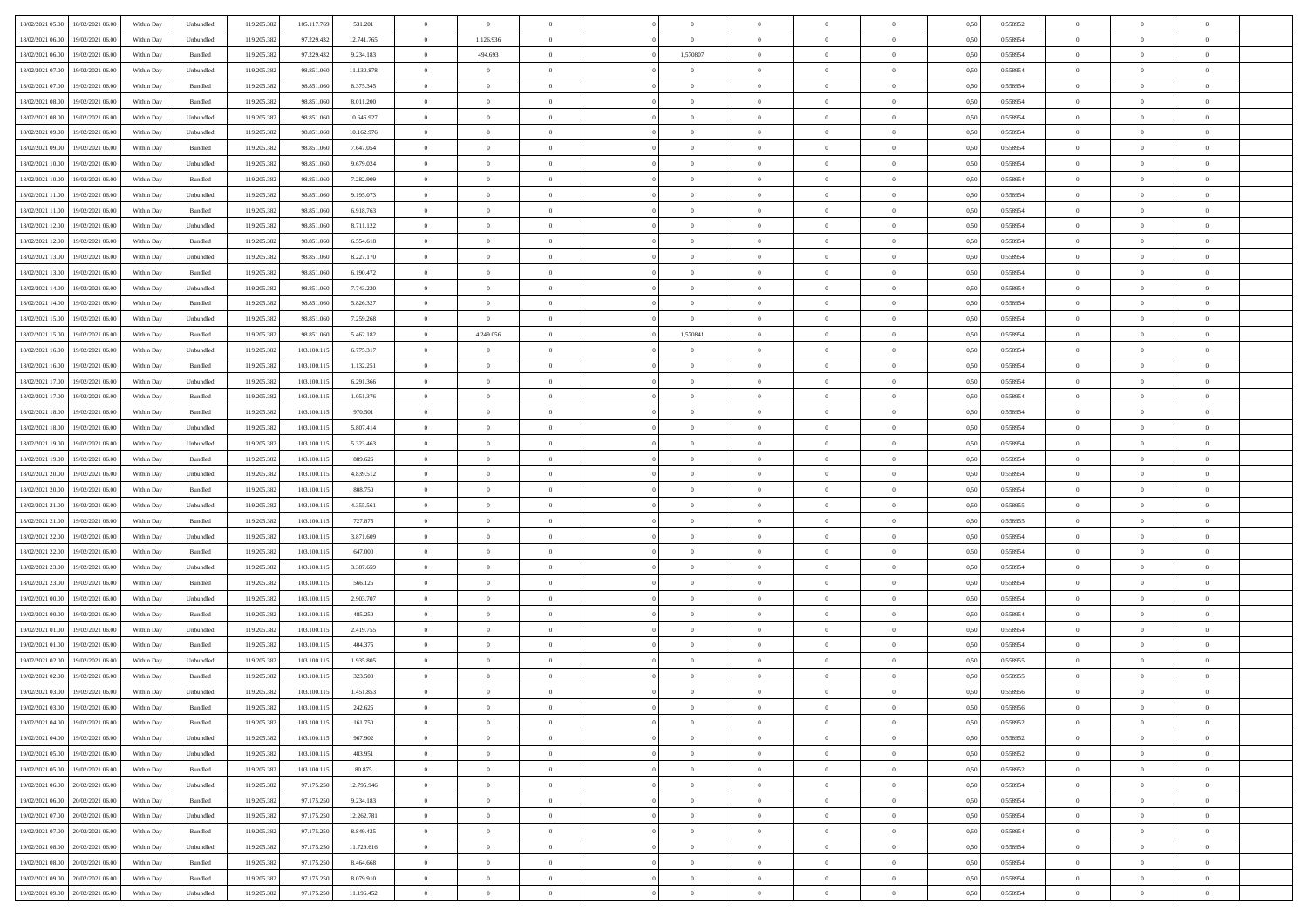|                                                |            |                   |             |             |            | $\overline{0}$ | $\overline{0}$ |                | $\overline{0}$ | $\bf{0}$       |                | $\theta$       |      |          | $\theta$       | $\theta$       | $\overline{0}$ |  |
|------------------------------------------------|------------|-------------------|-------------|-------------|------------|----------------|----------------|----------------|----------------|----------------|----------------|----------------|------|----------|----------------|----------------|----------------|--|
| 18/02/2021 05:00<br>18/02/2021 06:00           | Within Day | Unbundled         | 119.205.382 | 105.117.769 | 531.201    |                |                |                |                |                |                |                | 0,50 | 0,558952 |                |                |                |  |
| 18/02/2021 06:00<br>19/02/2021 06:00           | Within Day | Unbundled         | 119.205.38  | 97.229.432  | 12.741.765 | $\bf{0}$       | 1.126.936      | $\bf{0}$       | $\bf{0}$       | $\bf{0}$       | $\overline{0}$ | $\bf{0}$       | 0,50 | 0,558954 | $\,$ 0 $\,$    | $\bf{0}$       | $\overline{0}$ |  |
| 18/02/2021 06:00<br>19/02/2021 06:00           | Within Day | Bundled           | 119.205.382 | 97.229.432  | 9.234.183  | $\overline{0}$ | 494.693        | $\overline{0}$ | 1,570807       | $\bf{0}$       | $\overline{0}$ | $\bf{0}$       | 0.50 | 0.558954 | $\bf{0}$       | $\overline{0}$ | $\overline{0}$ |  |
| 18/02/2021 07:00<br>19/02/2021 06:00           | Within Day | Unbundled         | 119.205.382 | 98.851.060  | 11.130.878 | $\overline{0}$ | $\overline{0}$ | $\overline{0}$ | $\overline{0}$ | $\theta$       | $\overline{0}$ | $\bf{0}$       | 0,50 | 0,558954 | $\theta$       | $\theta$       | $\overline{0}$ |  |
| 18/02/2021 07:00<br>19/02/2021 06:00           | Within Day | Bundled           | 119.205.38  | 98.851.06   | 8.375.345  | $\bf{0}$       | $\theta$       | $\bf{0}$       | $\overline{0}$ | $\theta$       | $\overline{0}$ | $\bf{0}$       | 0,50 | 0,558954 | $\,$ 0 $\,$    | $\bf{0}$       | $\overline{0}$ |  |
|                                                |            |                   |             |             |            |                |                |                |                |                | $\theta$       |                |      |          |                |                |                |  |
| 18/02/2021 08:00<br>19/02/2021 06:00           | Within Day | Bundled           | 119,205.38  | 98.851.060  | 8.011.200  | $\overline{0}$ | $\overline{0}$ | $\overline{0}$ | $\bf{0}$       | $\overline{0}$ |                | $\bf{0}$       | 0.50 | 0.558954 | $\bf{0}$       | $\theta$       | $\overline{0}$ |  |
| 18/02/2021 08:00<br>19/02/2021 06:00           | Within Day | Unbundled         | 119.205.382 | 98.851.060  | 10.646.927 | $\overline{0}$ | $\overline{0}$ | $\overline{0}$ | $\overline{0}$ | $\overline{0}$ | $\overline{0}$ | $\bf{0}$       | 0,50 | 0,558954 | $\theta$       | $\theta$       | $\overline{0}$ |  |
| 18/02/2021 09:00<br>19/02/2021 06:00           | Within Day | Unbundled         | 119.205.38  | 98.851.06   | 10.162.976 | $\overline{0}$ | $\overline{0}$ | $\bf{0}$       | $\overline{0}$ | $\overline{0}$ | $\overline{0}$ | $\bf{0}$       | 0,50 | 0,558954 | $\,$ 0 $\,$    | $\bf{0}$       | $\overline{0}$ |  |
| 18/02/2021 09:00<br>19/02/2021 06:00           | Within Day | Bundled           | 119,205.38  | 98.851.06   | 7.647.054  | $\overline{0}$ | $\bf{0}$       | $\overline{0}$ | $\bf{0}$       | $\overline{0}$ | $\overline{0}$ | $\bf{0}$       | 0.50 | 0.558954 | $\bf{0}$       | $\overline{0}$ | $\overline{0}$ |  |
| 18/02/2021 10:00<br>19/02/2021 06:00           | Within Day | Unbundled         | 119.205.382 | 98.851.060  | 9.679.024  | $\overline{0}$ | $\bf{0}$       | $\overline{0}$ | $\overline{0}$ | $\overline{0}$ | $\overline{0}$ | $\bf{0}$       | 0,50 | 0,558954 | $\,$ 0 $\,$    | $\theta$       | $\overline{0}$ |  |
| 18/02/2021 10:00<br>19/02/2021 06:00           | Within Day | Bundled           | 119.205.38  | 98.851.06   | 7.282.909  | $\bf{0}$       | $\overline{0}$ | $\bf{0}$       | $\overline{0}$ | $\bf{0}$       | $\overline{0}$ | $\bf{0}$       | 0,50 | 0,558954 | $\,$ 0 $\,$    | $\bf{0}$       | $\overline{0}$ |  |
| 18/02/2021 11:00<br>19/02/2021 06:00           | Within Day | Unbundled         | 119.205.382 | 98.851.060  | 9.195.073  | $\overline{0}$ | $\bf{0}$       | $\overline{0}$ | $\bf{0}$       | $\bf{0}$       | $\overline{0}$ | $\bf{0}$       | 0.50 | 0.558954 | $\bf{0}$       | $\overline{0}$ | $\bf{0}$       |  |
| 18/02/2021 11:00<br>19/02/2021 06:00           | Within Day | Bundled           | 119.205.38  | 98.851.060  | 6.918.763  | $\overline{0}$ | $\overline{0}$ | $\overline{0}$ | $\theta$       | $\theta$       | $\overline{0}$ | $\bf{0}$       | 0,50 | 0,558954 | $\theta$       | $\theta$       | $\overline{0}$ |  |
|                                                |            |                   |             |             |            |                |                |                |                |                |                |                |      |          |                |                |                |  |
| 18/02/2021 12:00<br>19/02/2021 06:00           | Within Day | Unbundled         | 119.205.38  | 98.851.06   | 8.711.122  | $\bf{0}$       | $\overline{0}$ | $\bf{0}$       | $\overline{0}$ | $\bf{0}$       | $\overline{0}$ | $\bf{0}$       | 0,50 | 0,558954 | $\bf{0}$       | $\bf{0}$       | $\overline{0}$ |  |
| 18/02/2021 12:00<br>19/02/2021 06:00           | Within Day | Bundled           | 119.205.382 | 98.851.060  | 6.554.618  | $\overline{0}$ | $\overline{0}$ | $\overline{0}$ | $\bf{0}$       | $\overline{0}$ | $\theta$       | $\bf{0}$       | 0.50 | 0.558954 | $\theta$       | $\theta$       | $\overline{0}$ |  |
| 18/02/2021 13:00<br>19/02/2021 06:00           | Within Day | Unbundled         | 119.205.382 | 98.851.060  | 8.227.170  | $\overline{0}$ | $\overline{0}$ | $\overline{0}$ | $\overline{0}$ | $\theta$       | $\overline{0}$ | $\bf{0}$       | 0,50 | 0,558954 | $\theta$       | $\theta$       | $\overline{0}$ |  |
| 18/02/2021 13:00<br>19/02/2021 06:00           | Within Day | Bundled           | 119.205.38  | 98.851.06   | 6.190.472  | $\bf{0}$       | $\overline{0}$ | $\bf{0}$       | $\overline{0}$ | $\theta$       | $\overline{0}$ | $\bf{0}$       | 0,50 | 0,558954 | $\,$ 0 $\,$    | $\bf{0}$       | $\overline{0}$ |  |
| 18/02/2021 14:00<br>19/02/2021 06:00           | Within Day | Unbundled         | 119,205.38  | 98.851.060  | 7.743.220  | $\overline{0}$ | $\bf{0}$       | $\overline{0}$ | $\bf{0}$       | $\overline{0}$ | $\overline{0}$ | $\bf{0}$       | 0.50 | 0.558954 | $\bf{0}$       | $\overline{0}$ | $\overline{0}$ |  |
| 18/02/2021 14:00<br>19/02/2021 06:00           | Within Day | Bundled           | 119.205.382 | 98.851.060  | 5.826.327  | $\overline{0}$ | $\bf{0}$       | $\overline{0}$ | $\overline{0}$ | $\overline{0}$ | $\overline{0}$ | $\bf{0}$       | 0,50 | 0,558954 | $\,$ 0 $\,$    | $\theta$       | $\overline{0}$ |  |
| 18/02/2021 15:00<br>19/02/2021 06:00           | Within Day | Unbundled         | 119.205.38  | 98.851.06   | 7.259.268  | $\bf{0}$       | $\bf{0}$       | $\bf{0}$       | $\bf{0}$       | $\overline{0}$ | $\overline{0}$ | $\bf{0}$       | 0,50 | 0,558954 | $\,$ 0 $\,$    | $\bf{0}$       | $\overline{0}$ |  |
|                                                |            |                   |             |             |            |                |                |                |                |                |                |                |      |          |                |                |                |  |
| 18/02/2021 15:00<br>19/02/2021 06:00           | Within Day | Bundled           | 119.205.382 | 98.851.060  | 5.462.182  | $\overline{0}$ | 4.249.056      | $\overline{0}$ | 1,570841       | $\overline{0}$ | $\overline{0}$ | $\bf{0}$       | 0.50 | 0.558954 | $\bf{0}$       | $\overline{0}$ | $\overline{0}$ |  |
| 18/02/2021 16:00<br>19/02/2021 06:00           | Within Day | Unbundled         | 119.205.382 | 103.100.115 | 6.775.317  | $\overline{0}$ | $\overline{0}$ | $\overline{0}$ | $\overline{0}$ | $\theta$       | $\overline{0}$ | $\bf{0}$       | 0,50 | 0,558954 | $\theta$       | $\theta$       | $\overline{0}$ |  |
| 18/02/2021 16:00<br>19/02/2021 06:00           | Within Day | Bundled           | 119.205.38  | 103.100.11  | 1.132.251  | $\bf{0}$       | $\overline{0}$ | $\bf{0}$       | $\overline{0}$ | $\theta$       | $\overline{0}$ | $\bf{0}$       | 0,50 | 0,558954 | $\,$ 0 $\,$    | $\bf{0}$       | $\overline{0}$ |  |
| 18/02/2021 17:00<br>19/02/2021 06:00           | Within Day | Unbundled         | 119.205.38  | 103,100.11  | 6.291.366  | $\overline{0}$ | $\overline{0}$ | $\overline{0}$ | $\overline{0}$ | $\overline{0}$ | $\theta$       | $\bf{0}$       | 0.50 | 0.558954 | $\bf{0}$       | $\theta$       | $\overline{0}$ |  |
| 18/02/2021 17:00<br>19/02/2021 06:00           | Within Day | Bundled           | 119.205.38  | 103.100.115 | 1.051.376  | $\overline{0}$ | $\overline{0}$ | $\overline{0}$ | $\overline{0}$ | $\overline{0}$ | $\overline{0}$ | $\bf{0}$       | 0,50 | 0,558954 | $\theta$       | $\theta$       | $\overline{0}$ |  |
| 18/02/2021 18:00<br>19/02/2021 06:00           | Within Day | Bundled           | 119.205.38  | 103.100.11  | 970.501    | $\bf{0}$       | $\overline{0}$ | $\bf{0}$       | $\overline{0}$ | $\bf{0}$       | $\overline{0}$ | $\bf{0}$       | 0,50 | 0,558954 | $\,$ 0 $\,$    | $\bf{0}$       | $\overline{0}$ |  |
| 18/02/2021 18:00<br>19/02/2021 06:00           | Within Day | Unbundled         | 119,205.38  | 103.100.11: | 5.807.414  | $\overline{0}$ | $\bf{0}$       | $\overline{0}$ | $\bf{0}$       | $\overline{0}$ | $\overline{0}$ | $\bf{0}$       | 0.50 | 0.558954 | $\bf{0}$       | $\overline{0}$ | $\overline{0}$ |  |
| 18/02/2021 19:00<br>19/02/2021 06:00           | Within Day | Unbundled         | 119.205.382 | 103.100.115 | 5.323.463  | $\overline{0}$ | $\overline{0}$ | $\overline{0}$ | $\overline{0}$ | $\overline{0}$ | $\overline{0}$ | $\bf{0}$       | 0,50 | 0,558954 | $\theta$       | $\theta$       | $\overline{0}$ |  |
| 19/02/2021 06:00                               | Within Day | Bundled           |             | 103.100.11  | 889.626    | $\bf{0}$       | $\bf{0}$       | $\bf{0}$       | $\bf{0}$       | $\overline{0}$ | $\overline{0}$ | $\bf{0}$       | 0,50 | 0,558954 | $\,$ 0 $\,$    | $\bf{0}$       | $\overline{0}$ |  |
| 18/02/2021 19:00                               |            |                   | 119.205.38  |             |            |                |                |                |                |                |                |                |      |          |                |                |                |  |
| 18/02/2021 20:00<br>19/02/2021 06:00           | Within Day | Unbundled         | 119.205.38  | 103,100,115 | 4.839.512  | $\overline{0}$ | $\bf{0}$       | $\overline{0}$ | $\bf{0}$       | $\bf{0}$       | $\overline{0}$ | $\bf{0}$       | 0.50 | 0.558954 | $\bf{0}$       | $\overline{0}$ | $\overline{0}$ |  |
| 18/02/2021 20:00<br>19/02/2021 06:00           | Within Day | Bundled           | 119.205.38  | 103.100.11  | 808,750    | $\overline{0}$ | $\overline{0}$ | $\overline{0}$ | $\overline{0}$ | $\overline{0}$ | $\overline{0}$ | $\bf{0}$       | 0.50 | 0.558954 | $\theta$       | $\theta$       | $\overline{0}$ |  |
| 18/02/2021 21:00<br>19/02/2021 06:00           | Within Day | Unbundled         | 119.205.38  | 103.100.11: | 4.355.561  | $\bf{0}$       | $\overline{0}$ | $\bf{0}$       | $\bf{0}$       | $\,$ 0 $\,$    | $\overline{0}$ | $\bf{0}$       | 0,50 | 0,558955 | $\,$ 0 $\,$    | $\bf{0}$       | $\overline{0}$ |  |
| 18/02/2021 21:00<br>19/02/2021 06:00           | Within Day | Bundled           | 119.205.38  | 103,100,115 | 727.875    | $\overline{0}$ | $\bf{0}$       | $\overline{0}$ | $\bf{0}$       | $\overline{0}$ | $\Omega$       | $\bf{0}$       | 0.50 | 0.558955 | $\,$ 0 $\,$    | $\theta$       | $\overline{0}$ |  |
| 18/02/2021 22:00<br>19/02/2021 06:00           | Within Dav | Unbundled         | 119.205.38  | 103.100.115 | 3.871.609  | $\overline{0}$ | $\overline{0}$ | $\overline{0}$ | $\overline{0}$ | $\theta$       | $\overline{0}$ | $\bf{0}$       | 0.50 | 0,558954 | $\theta$       | $\theta$       | $\overline{0}$ |  |
| 18/02/2021 22:00<br>19/02/2021 06:00           | Within Day | Bundled           | 119.205.38  | 103.100.11  | 647.000    | $\bf{0}$       | $\bf{0}$       | $\bf{0}$       | $\overline{0}$ | $\bf{0}$       | $\overline{0}$ | $\bf{0}$       | 0,50 | 0,558954 | $\,$ 0 $\,$    | $\bf{0}$       | $\overline{0}$ |  |
| 18/02/2021 23:00<br>19/02/2021 06:00           | Within Day | Unbundled         | 119.205.38  | 103.100.11: | 3.387.659  | $\overline{0}$ | $\bf{0}$       | $\overline{0}$ | $\bf{0}$       | $\overline{0}$ | $\overline{0}$ | $\bf{0}$       | 0.50 | 0.558954 | $\bf{0}$       | $\overline{0}$ | $\overline{0}$ |  |
| 18/02/2021 23:00<br>19/02/2021 06:00           | Within Dav | Bundled           | 119.205.38  | 103.100.11  | 566.125    | $\overline{0}$ | $\overline{0}$ | $\overline{0}$ | $\overline{0}$ | $\overline{0}$ | $\overline{0}$ | $\bf{0}$       | 0.50 | 0,558954 | $\theta$       | $\theta$       | $\overline{0}$ |  |
|                                                |            |                   |             |             |            |                |                |                |                |                |                |                |      |          |                |                |                |  |
| 19/02/2021 00:00<br>19/02/2021 06:00           | Within Day | Unbundled         | 119.205.38  | 103.100.11: | 2.903.707  | $\bf{0}$       | $\bf{0}$       | $\bf{0}$       | $\bf{0}$       | $\overline{0}$ | $\overline{0}$ | $\bf{0}$       | 0,50 | 0,558954 | $\,$ 0 $\,$    | $\bf{0}$       | $\overline{0}$ |  |
| 19/02/2021 00:00<br>19/02/2021 06:00           | Within Day | Bundled           | 119.205.382 | 103,100,115 | 485.250    | $\overline{0}$ | $\bf{0}$       | $\overline{0}$ | $\bf{0}$       | $\bf{0}$       | $\overline{0}$ | $\bf{0}$       | 0.50 | 0.558954 | $\bf{0}$       | $\overline{0}$ | $\overline{0}$ |  |
| 19/02/2021 01:00<br>19/02/2021 06:00           | Within Dav | Unbundled         | 119.205.38  | 103.100.11: | 2.419.755  | $\overline{0}$ | $\overline{0}$ | $\overline{0}$ | $\overline{0}$ | $\theta$       | $\overline{0}$ | $\bf{0}$       | 0.50 | 0,558954 | $\theta$       | $\theta$       | $\overline{0}$ |  |
| 19/02/2021 01:00<br>19/02/2021 06:00           | Within Day | Bundled           | 119.205.38  | 103.100.11  | 404.375    | $\bf{0}$       | $\bf{0}$       | $\bf{0}$       | $\bf{0}$       | $\overline{0}$ | $\overline{0}$ | $\bf{0}$       | 0,50 | 0,558954 | $\,$ 0 $\,$    | $\bf{0}$       | $\overline{0}$ |  |
| 19/02/2021 02:00<br>19/02/2021 06:00           | Within Day | Unbundled         | 119.205.38  | 103.100.11: | 1.935.805  | $\overline{0}$ | $\overline{0}$ | $\overline{0}$ | $\bf{0}$       | $\theta$       | $\Omega$       | $\bf{0}$       | 0.50 | 0.558955 | $\,$ 0 $\,$    | $\theta$       | $\overline{0}$ |  |
| 19/02/2021 02:00<br>19/02/2021 06:00           | Within Dav | Bundled           | 119.205.38  | 103.100.11: | 323,500    | $\overline{0}$ | $\overline{0}$ | $\Omega$       | $\overline{0}$ | $\theta$       | $\overline{0}$ | $\overline{0}$ | 0.5( | 0,558955 | $\theta$       | $\theta$       | $\overline{0}$ |  |
| 19/02/2021 03:00<br>19/02/2021 06:00           | Within Day | Unbundled         | 119.205.38  | 103.100.11: | 1.451.853  | $\bf{0}$       | $\bf{0}$       | $\overline{0}$ | $\bf{0}$       | $\bf{0}$       | $\overline{0}$ | $\bf{0}$       | 0,50 | 0,558956 | $\overline{0}$ | $\bf{0}$       | $\overline{0}$ |  |
| $19/02/2021\; 03.00 \qquad 19/02/2021\; 06.00$ | Within Day | Bundled           | 119.205.382 | 103.100.115 | 242.625    | $\overline{0}$ |                |                | $\Omega$       |                |                |                | 0,50 | 0.558956 | $\theta$       | $\overline{0}$ |                |  |
| 19/02/2021 04:00 19/02/2021 06:00              | Within Day | Bundled           | 119.205.382 | 103.100.115 | 161.750    | $\overline{0}$ | $\overline{0}$ | $\Omega$       | $\theta$       | $\overline{0}$ | $\overline{0}$ | $\bf{0}$       | 0,50 | 0,558952 | $\theta$       | $\theta$       | $\overline{0}$ |  |
|                                                |            |                   |             |             |            |                |                |                |                |                |                |                |      |          |                |                |                |  |
| 19/02/2021 04:00<br>19/02/2021 06:00           | Within Day | Unbundled         | 119.205.38  | 103.100.11: | 967.902    | $\overline{0}$ | $\bf{0}$       | $\overline{0}$ | $\overline{0}$ | $\bf{0}$       | $\overline{0}$ | $\bf{0}$       | 0,50 | 0,558952 | $\bf{0}$       | $\overline{0}$ | $\bf{0}$       |  |
| 19/02/2021 05:00 19/02/2021 06:00              | Within Day | Unbundled         | 119.205.382 | 103.100.115 | 483.951    | $\overline{0}$ | $\overline{0}$ | $\overline{0}$ | $\overline{0}$ | $\mathbf{0}$   | $\overline{0}$ | $\,$ 0 $\,$    | 0.50 | 0.558952 | $\overline{0}$ | $\bf{0}$       | $\bf{0}$       |  |
| 19/02/2021 05:00 19/02/2021 06:00              | Within Dav | Bundled           | 119.205.382 | 103.100.115 | 80.875     | $\overline{0}$ | $\overline{0}$ | $\overline{0}$ | $\overline{0}$ | $\overline{0}$ | $\overline{0}$ | $\bf{0}$       | 0.50 | 0,558952 | $\overline{0}$ | $\theta$       | $\overline{0}$ |  |
| 19/02/2021 06:00<br>20/02/2021 06:00           | Within Day | Unbundled         | 119.205.382 | 97.175.250  | 12.795.946 | $\overline{0}$ | $\bf{0}$       | $\overline{0}$ | $\overline{0}$ | $\bf{0}$       | $\overline{0}$ | $\bf{0}$       | 0,50 | 0,558954 | $\bf{0}$       | $\overline{0}$ | $\overline{0}$ |  |
| 20/02/2021 06:00<br>19/02/2021 06:00           | Within Day | Bundled           | 119.205.382 | 97.175.250  | 9.234.183  | $\overline{0}$ | $\bf{0}$       | $\overline{0}$ | $\overline{0}$ | $\bf{0}$       | $\overline{0}$ | $\bf{0}$       | 0.50 | 0.558954 | $\,$ 0 $\,$    | $\overline{0}$ | $\,$ 0         |  |
| 19/02/2021 07:00 20/02/2021 06:00              | Within Dav | Unbundled         | 119.205.382 | 97.175.250  | 12.262.781 | $\overline{0}$ | $\overline{0}$ | $\overline{0}$ | $\overline{0}$ | $\overline{0}$ | $\overline{0}$ | $\bf{0}$       | 0.50 | 0,558954 | $\overline{0}$ | $\theta$       | $\overline{0}$ |  |
| 19/02/2021 07:00<br>20/02/2021 06:00           | Within Day | Bundled           | 119.205.38  | 97.175.250  | 8.849.425  | $\overline{0}$ | $\overline{0}$ | $\overline{0}$ | $\overline{0}$ | $\overline{0}$ | $\overline{0}$ | $\bf{0}$       | 0,50 | 0,558954 | $\bf{0}$       | $\overline{0}$ | $\,$ 0         |  |
|                                                |            |                   |             |             |            |                |                |                |                |                |                |                |      |          |                |                |                |  |
| 20/02/2021 06:00<br>19/02/2021 08:00           | Within Day | Unbundled         | 119.205.382 | 97.175.250  | 11.729.616 | $\overline{0}$ | $\overline{0}$ | $\overline{0}$ | $\overline{0}$ | $\overline{0}$ | $\overline{0}$ | $\bf{0}$       | 0.50 | 0.558954 | $\mathbf{0}$   | $\bf{0}$       | $\,$ 0         |  |
| 19/02/2021 08:00 20/02/2021 06:00              | Within Dav | Bundled           | 119.205.382 | 97.175.250  | 8.464.668  | $\overline{0}$ | $\overline{0}$ | $\overline{0}$ | $\overline{0}$ | $\overline{0}$ | $\overline{0}$ | $\bf{0}$       | 0,50 | 0,558954 | $\overline{0}$ | $\theta$       | $\overline{0}$ |  |
| 19/02/2021 09:00<br>20/02/2021 06:00           | Within Day | Bundled           | 119.205.38  | 97.175.250  | 8.079.910  | $\overline{0}$ | $\bf{0}$       | $\overline{0}$ | $\bf{0}$       | $\overline{0}$ | $\overline{0}$ | $\bf{0}$       | 0,50 | 0,558954 | $\bf{0}$       | $\,$ 0 $\,$    | $\bf{0}$       |  |
| 19/02/2021 09:00 20/02/2021 06:00              | Within Day | ${\sf Unbundred}$ | 119.205.382 | 97.175.250  | 11.196.452 | $\overline{0}$ | $\bf{0}$       | $\overline{0}$ | $\overline{0}$ | $\,$ 0 $\,$    | $\overline{0}$ | $\bf{0}$       | 0,50 | 0,558954 | $\overline{0}$ | $\,$ 0 $\,$    | $\,$ 0 $\,$    |  |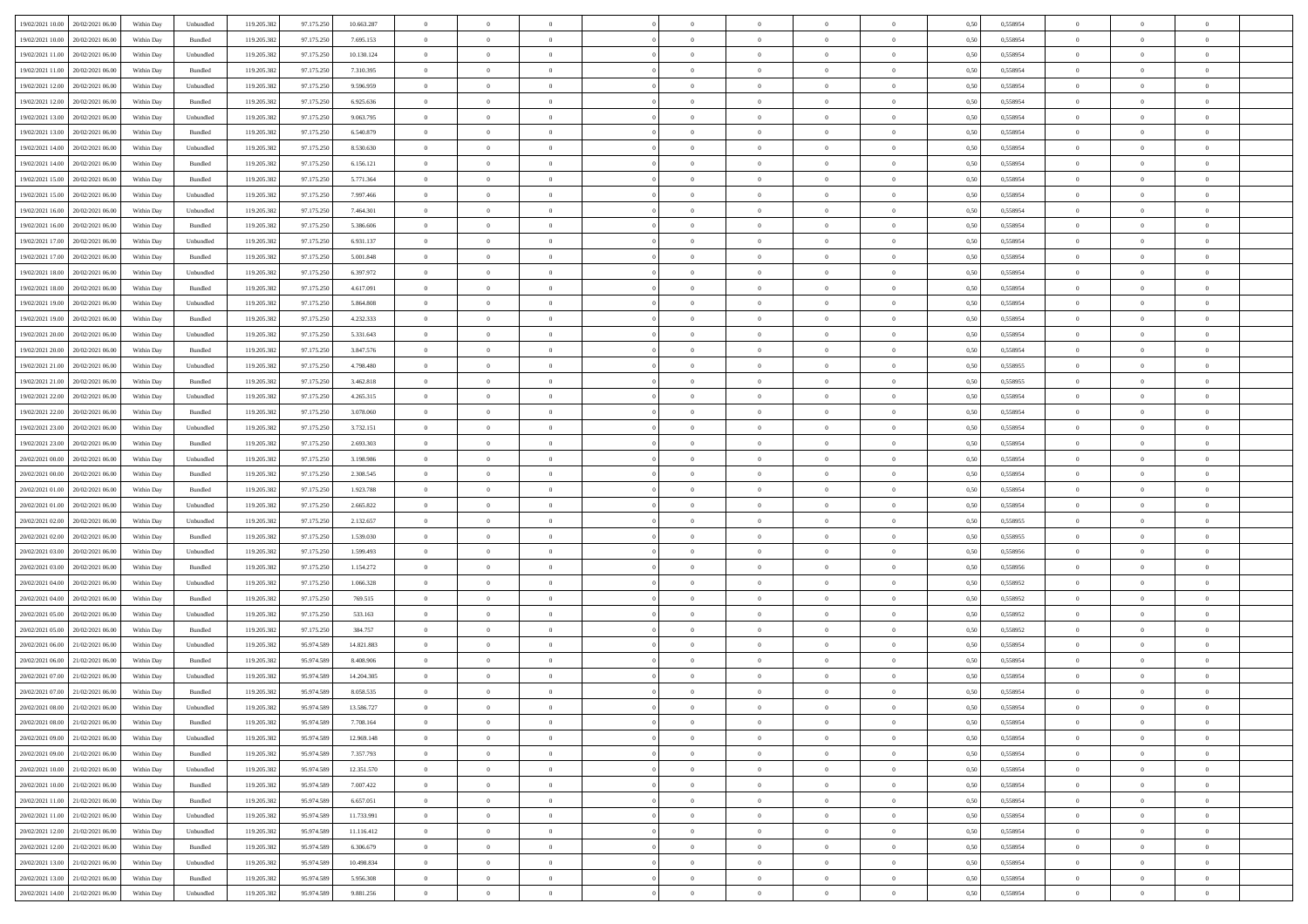| 19/02/2021 10:00 20/02/2021 06:00          | Within Day | Unbundled                   | 119.205.382 | 97.175.250 | 10.663.287 | $\overline{0}$ | $\overline{0}$ |                | $\overline{0}$ | $\theta$       |                | $\theta$       | 0,50 | 0,558954 | $\theta$       | $\theta$       | $\overline{0}$ |  |
|--------------------------------------------|------------|-----------------------------|-------------|------------|------------|----------------|----------------|----------------|----------------|----------------|----------------|----------------|------|----------|----------------|----------------|----------------|--|
|                                            |            |                             |             |            |            |                |                |                |                |                |                |                |      |          |                |                |                |  |
| 19/02/2021 10:00<br>20/02/2021 06:00       | Within Day | Bundled                     | 119.205.38  | 97.175.25  | 7.695.153  | $\bf{0}$       | $\bf{0}$       | $\bf{0}$       | $\bf{0}$       | $\overline{0}$ | $\overline{0}$ | $\bf{0}$       | 0,50 | 0,558954 | $\,$ 0 $\,$    | $\bf{0}$       | $\overline{0}$ |  |
| 19/02/2021 11:00<br>20/02/2021 06:00       | Within Day | Unbundled                   | 119.205.382 | 97.175.250 | 10.130.124 | $\overline{0}$ | $\bf{0}$       | $\overline{0}$ | $\bf{0}$       | $\bf{0}$       | $\overline{0}$ | $\bf{0}$       | 0.50 | 0.558954 | $\bf{0}$       | $\overline{0}$ | $\overline{0}$ |  |
| 19/02/2021 11:00<br>20/02/2021 06:00       | Within Day | Bundled                     | 119.205.382 | 97.175.250 | 7.310.395  | $\overline{0}$ | $\overline{0}$ | $\overline{0}$ | $\overline{0}$ | $\theta$       | $\overline{0}$ | $\bf{0}$       | 0,50 | 0,558954 | $\theta$       | $\theta$       | $\overline{0}$ |  |
|                                            |            |                             |             |            |            |                |                |                |                |                |                |                |      |          |                |                |                |  |
| 19/02/2021 12:00<br>20/02/2021 06:00       | Within Day | Unbundled                   | 119.205.38  | 97.175.250 | 9.596.959  | $\bf{0}$       | $\overline{0}$ | $\bf{0}$       | $\overline{0}$ | $\theta$       | $\overline{0}$ | $\bf{0}$       | 0,50 | 0,558954 | $\,$ 0 $\,$    | $\bf{0}$       | $\overline{0}$ |  |
| 19/02/2021 12:00<br>20/02/2021 06:00       | Within Day | Bundled                     | 119,205.38  | 97.175.250 | 6.925.636  | $\overline{0}$ | $\overline{0}$ | $\overline{0}$ | $\bf{0}$       | $\overline{0}$ | $\theta$       | $\bf{0}$       | 0.50 | 0.558954 | $\,$ 0 $\,$    | $\theta$       | $\overline{0}$ |  |
| 19/02/2021 13:00<br>20/02/2021 06:00       | Within Day | Unbundled                   | 119.205.382 | 97.175.250 | 9.063.795  | $\overline{0}$ | $\overline{0}$ | $\overline{0}$ | $\overline{0}$ | $\overline{0}$ | $\overline{0}$ | $\bf{0}$       | 0,50 | 0,558954 | $\theta$       | $\theta$       | $\overline{0}$ |  |
| 19/02/2021 13:00<br>20/02/2021 06:00       | Within Day | Bundled                     | 119.205.38  | 97.175.25  | 6.540.879  | $\bf{0}$       | $\bf{0}$       | $\bf{0}$       | $\overline{0}$ | $\overline{0}$ | $\overline{0}$ | $\bf{0}$       | 0,50 | 0,558954 | $\,$ 0 $\,$    | $\bf{0}$       | $\overline{0}$ |  |
| 20/02/2021 06:00                           |            | Unbundled                   | 119,205.38  | 97.175.250 | 8.530.630  |                |                |                |                |                | $\overline{0}$ |                |      |          |                |                |                |  |
| 19/02/2021 14:00                           | Within Day |                             |             |            |            | $\overline{0}$ | $\bf{0}$       | $\overline{0}$ | $\bf{0}$       | $\overline{0}$ |                | $\bf{0}$       | 0.50 | 0.558954 | $\bf{0}$       | $\overline{0}$ | $\overline{0}$ |  |
| 19/02/2021 14:00<br>20/02/2021 06:00       | Within Day | Bundled                     | 119.205.382 | 97.175.250 | 6.156.121  | $\bf{0}$       | $\bf{0}$       | $\overline{0}$ | $\overline{0}$ | $\overline{0}$ | $\overline{0}$ | $\bf{0}$       | 0,50 | 0,558954 | $\,$ 0 $\,$    | $\bf{0}$       | $\overline{0}$ |  |
| 19/02/2021 15:00<br>20/02/2021 06:00       | Within Day | Bundled                     | 119.205.38  | 97.175.250 | 5.771.364  | $\bf{0}$       | $\bf{0}$       | $\bf{0}$       | $\bf{0}$       | $\overline{0}$ | $\overline{0}$ | $\bf{0}$       | 0,50 | 0,558954 | $\,$ 0 $\,$    | $\bf{0}$       | $\overline{0}$ |  |
| 19/02/2021 15:00<br>20/02/2021 06:00       | Within Day | Unbundled                   | 119.205.382 | 97.175.250 | 7.997.466  | $\overline{0}$ | $\bf{0}$       | $\overline{0}$ | $\overline{0}$ | $\bf{0}$       | $\overline{0}$ | $\bf{0}$       | 0.50 | 0.558954 | $\bf{0}$       | $\overline{0}$ | $\,$ 0         |  |
| 19/02/2021 16:00<br>20/02/2021 06:00       | Within Day | Unbundled                   | 119.205.382 | 97.175.250 | 7.464.301  | $\overline{0}$ | $\overline{0}$ | $\overline{0}$ | $\theta$       | $\theta$       | $\overline{0}$ | $\bf{0}$       | 0,50 | 0,558954 | $\,$ 0 $\,$    | $\theta$       | $\overline{0}$ |  |
|                                            |            |                             |             |            |            |                |                |                |                |                |                |                |      |          |                |                |                |  |
| 19/02/2021 16:00<br>20/02/2021 06:00       | Within Day | Bundled                     | 119.205.38  | 97.175.25  | 5.386.606  | $\bf{0}$       | $\overline{0}$ | $\bf{0}$       | $\bf{0}$       | $\bf{0}$       | $\overline{0}$ | $\bf{0}$       | 0,50 | 0,558954 | $\,$ 0 $\,$    | $\bf{0}$       | $\overline{0}$ |  |
| 19/02/2021 17:00<br>20/02/2021 06:00       | Within Day | Unbundled                   | 119,205.38  | 97.175.250 | 6.931.137  | $\overline{0}$ | $\bf{0}$       | $\overline{0}$ | $\bf{0}$       | $\overline{0}$ | $\theta$       | $\bf{0}$       | 0.50 | 0.558954 | $\,$ 0 $\,$    | $\theta$       | $\overline{0}$ |  |
| 19/02/2021 17:00<br>20/02/2021 06:00       | Within Day | Bundled                     | 119.205.382 | 97.175.250 | 5.001.848  | $\overline{0}$ | $\overline{0}$ | $\overline{0}$ | $\overline{0}$ | $\overline{0}$ | $\overline{0}$ | $\bf{0}$       | 0,50 | 0,558954 | $\theta$       | $\theta$       | $\overline{0}$ |  |
| 19/02/2021 18:00<br>20/02/2021 06:00       | Within Day | Unbundled                   | 119.205.38  | 97.175.25  | 6.397.972  | $\bf{0}$       | $\bf{0}$       | $\bf{0}$       | $\overline{0}$ | $\overline{0}$ | $\overline{0}$ | $\bf{0}$       | 0,50 | 0,558954 | $\,$ 0 $\,$    | $\bf{0}$       | $\overline{0}$ |  |
| 19/02/2021 18:00<br>20/02/2021 06:00       | Within Day | Bundled                     | 119,205.38  | 97.175.250 | 4.617.091  | $\overline{0}$ | $\bf{0}$       | $\overline{0}$ | $\bf{0}$       | $\overline{0}$ | $\overline{0}$ | $\bf{0}$       | 0.50 | 0.558954 | $\bf{0}$       | $\overline{0}$ | $\overline{0}$ |  |
|                                            |            |                             |             |            |            |                |                |                |                |                |                |                |      |          |                |                |                |  |
| 19/02/2021 19:00<br>20/02/2021 06:00       | Within Day | Unbundled                   | 119.205.382 | 97.175.250 | 5.864.808  | $\bf{0}$       | $\bf{0}$       | $\overline{0}$ | $\overline{0}$ | $\overline{0}$ | $\overline{0}$ | $\bf{0}$       | 0,50 | 0,558954 | $\,$ 0 $\,$    | $\bf{0}$       | $\overline{0}$ |  |
| 19/02/2021 19:00<br>20/02/2021 06:00       | Within Day | Bundled                     | 119.205.38  | 97.175.250 | 4.232.333  | $\bf{0}$       | $\bf{0}$       | $\bf{0}$       | $\bf{0}$       | $\overline{0}$ | $\overline{0}$ | $\bf{0}$       | 0,50 | 0,558954 | $\,$ 0 $\,$    | $\bf{0}$       | $\overline{0}$ |  |
| 19/02/2021 20:00<br>20/02/2021 06:00       | Within Day | Unbundled                   | 119.205.382 | 97.175.250 | 5.331.643  | $\overline{0}$ | $\bf{0}$       | $\overline{0}$ | $\overline{0}$ | $\bf{0}$       | $\overline{0}$ | $\bf{0}$       | 0.50 | 0.558954 | $\bf{0}$       | $\overline{0}$ | $\,$ 0         |  |
| 19/02/2021 20:00<br>20/02/2021 06:00       | Within Day | Bundled                     | 119.205.382 | 97.175.250 | 3.847.576  | $\overline{0}$ | $\overline{0}$ | $\overline{0}$ | $\overline{0}$ | $\theta$       | $\overline{0}$ | $\bf{0}$       | 0,50 | 0,558954 | $\theta$       | $\theta$       | $\overline{0}$ |  |
| 20/02/2021 06:00                           | Within Day | Unbundled                   | 119.205.38  | 97.175.250 | 4.798.480  | $\bf{0}$       | $\bf{0}$       | $\bf{0}$       | $\bf{0}$       | $\overline{0}$ | $\overline{0}$ | $\bf{0}$       | 0,50 | 0,558955 | $\,$ 0 $\,$    | $\bf{0}$       | $\overline{0}$ |  |
| 19/02/2021 21:00                           |            |                             |             |            |            |                |                |                |                |                |                |                |      |          |                |                |                |  |
| 19/02/2021 21:00<br>20/02/2021 06:00       | Within Day | Bundled                     | 119,205.38  | 97.175.250 | 3.462.818  | $\overline{0}$ | $\bf{0}$       | $\overline{0}$ | $\bf{0}$       | $\overline{0}$ | $\theta$       | $\bf{0}$       | 0.50 | 0.558955 | $\,$ 0 $\,$    | $\theta$       | $\overline{0}$ |  |
| 19/02/2021 22:00<br>20/02/2021 06:00       | Within Day | Unbundled                   | 119.205.382 | 97.175.250 | 4.265.315  | $\overline{0}$ | $\overline{0}$ | $\overline{0}$ | $\overline{0}$ | $\overline{0}$ | $\overline{0}$ | $\bf{0}$       | 0,50 | 0,558954 | $\,$ 0 $\,$    | $\theta$       | $\overline{0}$ |  |
| 19/02/2021 22:00<br>20/02/2021 06:00       | Within Day | Bundled                     | 119.205.38  | 97.175.25  | 3.078.060  | $\bf{0}$       | $\overline{0}$ | $\bf{0}$       | $\overline{0}$ | $\overline{0}$ | $\overline{0}$ | $\bf{0}$       | 0,50 | 0,558954 | $\,$ 0 $\,$    | $\bf{0}$       | $\overline{0}$ |  |
| 19/02/2021 23:00<br>20/02/2021 06:00       | Within Day | Unbundled                   | 119,205.38  | 97.175.250 | 3.732.151  | $\overline{0}$ | $\bf{0}$       | $\overline{0}$ | $\bf{0}$       | $\overline{0}$ | $\overline{0}$ | $\bf{0}$       | 0.50 | 0.558954 | $\bf{0}$       | $\overline{0}$ | $\overline{0}$ |  |
| 19/02/2021 23:00<br>20/02/2021 06:00       | Within Day | Bundled                     | 119.205.382 | 97.175.250 | 2.693.303  | $\overline{0}$ | $\bf{0}$       | $\overline{0}$ | $\overline{0}$ | $\overline{0}$ | $\overline{0}$ | $\bf{0}$       | 0,50 | 0,558954 | $\theta$       | $\theta$       | $\overline{0}$ |  |
|                                            |            |                             |             |            |            |                |                |                |                |                |                |                |      |          |                |                |                |  |
| 20/02/2021 00:00<br>20/02/2021 06:00       | Within Day | Unbundled                   | 119.205.38  | 97.175.250 | 3.198.986  | $\bf{0}$       | $\bf{0}$       | $\bf{0}$       | $\bf{0}$       | $\overline{0}$ | $\overline{0}$ | $\bf{0}$       | 0,50 | 0,558954 | $\,$ 0 $\,$    | $\bf{0}$       | $\overline{0}$ |  |
| 20/02/2021 00:00<br>20/02/2021 06:00       | Within Day | Bundled                     | 119.205.382 | 97.175.250 | 2.308.545  | $\overline{0}$ | $\bf{0}$       | $\overline{0}$ | $\overline{0}$ | $\bf{0}$       | $\overline{0}$ | $\bf{0}$       | 0.50 | 0.558954 | $\bf{0}$       | $\overline{0}$ | $\,$ 0         |  |
| 20/02/2021 01:00<br>20/02/2021 06:00       | Within Day | Bundled                     | 119.205.382 | 97.175.250 | 1.923.788  | $\overline{0}$ | $\overline{0}$ | $\overline{0}$ | $\overline{0}$ | $\overline{0}$ | $\overline{0}$ | $\bf{0}$       | 0.50 | 0.558954 | $\theta$       | $\theta$       | $\overline{0}$ |  |
| 20/02/2021 01:00<br>20/02/2021 06:00       | Within Day | Unbundled                   | 119.205.38  | 97.175.25  | 2.665.822  | $\bf{0}$       | $\bf{0}$       | $\bf{0}$       | $\bf{0}$       | $\overline{0}$ | $\overline{0}$ | $\bf{0}$       | 0,50 | 0,558954 | $\,$ 0 $\,$    | $\bf{0}$       | $\overline{0}$ |  |
| 20/02/2021 02:00<br>20/02/2021 06:00       |            | Unbundled                   | 119.205.382 | 97.175.250 | 2.132.657  | $\overline{0}$ | $\bf{0}$       | $\overline{0}$ | $\bf{0}$       | $\overline{0}$ | $\overline{0}$ | $\bf{0}$       | 0.50 | 0.558955 | $\,$ 0 $\,$    | $\bf{0}$       | $\overline{0}$ |  |
|                                            | Within Day |                             |             |            |            |                |                |                |                |                |                |                |      |          |                |                |                |  |
| 20/02/2021 02:00<br>20/02/2021 06:00       | Within Dav | Bundled                     | 119.205.382 | 97.175.250 | 1.539.030  | $\overline{0}$ | $\overline{0}$ | $\overline{0}$ | $\overline{0}$ | $\overline{0}$ | $\overline{0}$ | $\bf{0}$       | 0.5( | 0,558955 | $\theta$       | $\theta$       | $\overline{0}$ |  |
| 20/02/2021 03:00<br>20/02/2021 06:00       | Within Day | Unbundled                   | 119.205.38  | 97.175.25  | 1.599.493  | $\bf{0}$       | $\bf{0}$       | $\bf{0}$       | $\bf{0}$       | $\overline{0}$ | $\overline{0}$ | $\bf{0}$       | 0,50 | 0,558956 | $\,$ 0 $\,$    | $\bf{0}$       | $\overline{0}$ |  |
| 20/02/2021 03:00<br>20/02/2021 06:00       | Within Day | Bundled                     | 119,205.38  | 97.175.250 | 1.154.272  | $\overline{0}$ | $\bf{0}$       | $\overline{0}$ | $\bf{0}$       | $\overline{0}$ | $\overline{0}$ | $\bf{0}$       | 0.50 | 0.558956 | $\bf{0}$       | $\overline{0}$ | $\overline{0}$ |  |
| 20/02/2021 04:00<br>20/02/2021 06:00       | Within Dav | Unbundled                   | 119.205.38  | 97.175.250 | 1.066.328  | $\overline{0}$ | $\overline{0}$ | $\overline{0}$ | $\overline{0}$ | $\overline{0}$ | $\overline{0}$ | $\bf{0}$       | 0.50 | 0,558952 | $\theta$       | $\theta$       | $\overline{0}$ |  |
| 20/02/2021 04:00<br>20/02/2021 06:00       | Within Day | Bundled                     | 119.205.38  | 97.175.25  | 769.515    | $\bf{0}$       | $\bf{0}$       | $\bf{0}$       | $\bf{0}$       | $\overline{0}$ | $\overline{0}$ | $\bf{0}$       | 0,50 | 0,558952 | $\,$ 0 $\,$    | $\bf{0}$       | $\overline{0}$ |  |
|                                            |            |                             |             |            |            |                |                |                |                |                |                |                |      |          |                |                |                |  |
| 20/02/2021 05:00<br>20/02/2021 06:00       | Within Day | Unbundled                   | 119.205.382 | 97.175.250 | 533.163    | $\overline{0}$ | $\bf{0}$       | $\overline{0}$ | $\overline{0}$ | $\bf{0}$       | $\overline{0}$ | $\bf{0}$       | 0.50 | 0.558952 | $\,$ 0 $\,$    | $\overline{0}$ | $\,$ 0         |  |
| 20/02/2021 05:00<br>20/02/2021 06:00       | Within Dav | Bundled                     | 119.205.382 | 97.175.250 | 384,757    | $\overline{0}$ | $\overline{0}$ | $\overline{0}$ | $\overline{0}$ | $\overline{0}$ | $\overline{0}$ | $\bf{0}$       | 0.50 | 0,558952 | $\theta$       | $\theta$       | $\overline{0}$ |  |
| 20/02/2021 06:00<br>21/02/2021 06.00       | Within Day | Unbundled                   | 119.205.38  | 95.974.589 | 14.821.883 | $\bf{0}$       | $\bf{0}$       | $\bf{0}$       | $\bf{0}$       | $\overline{0}$ | $\overline{0}$ | $\bf{0}$       | 0,50 | 0,558954 | $\,$ 0 $\,$    | $\bf{0}$       | $\overline{0}$ |  |
| 20/02/2021 06:00<br>21/02/2021 06:00       | Within Day | Bundled                     | 119.205.382 | 95.974.589 | 8,408,906  | $\overline{0}$ | $\overline{0}$ | $\overline{0}$ | $\bf{0}$       | $\overline{0}$ | $\Omega$       | $\bf{0}$       | 0.50 | 0.558954 | $\bf{0}$       | $\theta$       | $\overline{0}$ |  |
| 20/02/2021 07:00<br>21/02/2021 06:00       | Within Dav | Unbundled                   | 119.205.38  | 95.974.589 | 14.204.305 | $\overline{0}$ | $\overline{0}$ | $\Omega$       | $\theta$       | $\theta$       | $\overline{0}$ | $\overline{0}$ | 0.5( | 0,558954 | $\theta$       | $\theta$       | $\overline{0}$ |  |
|                                            |            |                             |             |            |            |                |                |                |                |                |                |                |      |          |                |                |                |  |
| 20/02/2021 07:00<br>21/02/2021 06:00       | Within Day | Bundled                     | 119.205.382 | 95.974.589 | 8.058.535  | $\bf{0}$       | $\bf{0}$       | $\bf{0}$       | $\bf{0}$       | $\bf{0}$       | $\overline{0}$ | $\bf{0}$       | 0,50 | 0,558954 | $\,$ 0 $\,$    | $\overline{0}$ | $\overline{0}$ |  |
| $20/02/2021~08.00 \qquad 21/02/2021~06.00$ | Within Day | $\ensuremath{\mathsf{Unb}}$ | 119.205.382 | 95.974.589 | 13.586.727 | $\bf{0}$       | $\theta$       |                | $\overline{0}$ |                |                |                | 0,50 | 0.558954 | $\bf{0}$       | $\overline{0}$ |                |  |
| 20/02/2021 08:00 21/02/2021 06:00          | Within Day | Bundled                     | 119.205.382 | 95.974.589 | 7.708.164  | $\overline{0}$ | $\overline{0}$ | $\Omega$       | $\theta$       | $\overline{0}$ | $\overline{0}$ | $\bf{0}$       | 0,50 | 0,558954 | $\theta$       | $\theta$       | $\overline{0}$ |  |
| 20/02/2021 09:00<br>21/02/2021 06:00       | Within Day | Unbundled                   | 119.205.38  | 95.974.589 | 12.969.148 | $\overline{0}$ | $\bf{0}$       | $\overline{0}$ | $\overline{0}$ | $\bf{0}$       | $\overline{0}$ | $\bf{0}$       | 0,50 | 0,558954 | $\bf{0}$       | $\overline{0}$ | $\bf{0}$       |  |
| 20/02/2021 09:00 21/02/2021 06:00          | Within Day | Bundled                     | 119.205.382 | 95.974.589 | 7.357.793  | $\overline{0}$ | $\bf{0}$       | $\overline{0}$ | $\overline{0}$ | $\mathbf{0}$   | $\overline{0}$ | $\,$ 0 $\,$    | 0.50 | 0.558954 | $\overline{0}$ | $\bf{0}$       | $\,$ 0 $\,$    |  |
|                                            |            |                             |             |            |            |                |                |                |                |                |                |                |      |          |                |                |                |  |
| 20/02/2021 10:00 21/02/2021 06:00          | Within Dav | Unbundled                   | 119.205.382 | 95.974.589 | 12.351.570 | $\overline{0}$ | $\overline{0}$ | $\overline{0}$ | $\overline{0}$ | $\overline{0}$ | $\overline{0}$ | $\bf{0}$       | 0,50 | 0,558954 | $\theta$       | $\theta$       | $\overline{0}$ |  |
| 20/02/2021 10:00<br>21/02/2021 06:00       | Within Day | Bundled                     | 119.205.382 | 95.974.589 | 7.007.422  | $\overline{0}$ | $\bf{0}$       | $\overline{0}$ | $\overline{0}$ | $\bf{0}$       | $\overline{0}$ | $\bf{0}$       | 0,50 | 0,558954 | $\bf{0}$       | $\overline{0}$ | $\overline{0}$ |  |
| 20/02/2021 11:00 21/02/2021 06:00          | Within Day | Bundled                     | 119.205.382 | 95.974.589 | 6.657.051  | $\overline{0}$ | $\bf{0}$       | $\overline{0}$ | $\overline{0}$ | $\overline{0}$ | $\overline{0}$ | $\bf{0}$       | 0.50 | 0.558954 | $\,$ 0 $\,$    | $\overline{0}$ | $\,$ 0         |  |
| 20/02/2021 11:00 21/02/2021 06:00          | Within Dav | Unbundled                   | 119.205.382 | 95.974.589 | 11.733.991 | $\overline{0}$ | $\overline{0}$ | $\overline{0}$ | $\overline{0}$ | $\overline{0}$ | $\overline{0}$ | $\bf{0}$       | 0.50 | 0,558954 | $\overline{0}$ | $\theta$       | $\overline{0}$ |  |
| 20/02/2021 12:00<br>21/02/2021 06:00       | Within Day | Unbundled                   | 119.205.38  | 95.974.589 | 11.116.412 | $\overline{0}$ | $\overline{0}$ | $\overline{0}$ | $\overline{0}$ | $\overline{0}$ | $\overline{0}$ | $\bf{0}$       | 0,50 | 0,558954 | $\bf{0}$       | $\overline{0}$ | $\overline{0}$ |  |
|                                            |            |                             |             |            |            |                |                |                |                |                |                |                |      |          |                |                |                |  |
| 20/02/2021 12:00 21/02/2021 06:00          | Within Day | Bundled                     | 119.205.382 | 95.974.589 | 6.306.679  | $\overline{0}$ | $\overline{0}$ | $\overline{0}$ | $\overline{0}$ | $\overline{0}$ | $\overline{0}$ | $\bf{0}$       | 0.50 | 0.558954 | $\mathbf{0}$   | $\bf{0}$       | $\,$ 0         |  |
| 20/02/2021 13:00 21/02/2021 06:00          | Within Dav | Unbundled                   | 119.205.382 | 95.974.589 | 10.498.834 | $\overline{0}$ | $\overline{0}$ | $\overline{0}$ | $\overline{0}$ | $\overline{0}$ | $\overline{0}$ | $\bf{0}$       | 0,50 | 0,558954 | $\overline{0}$ | $\theta$       | $\overline{0}$ |  |
| 20/02/2021 13:00<br>21/02/2021 06:00       | Within Day | Bundled                     | 119.205.38  | 95.974.589 | 5.956.308  | $\overline{0}$ | $\bf{0}$       | $\overline{0}$ | $\bf{0}$       | $\overline{0}$ | $\overline{0}$ | $\bf{0}$       | 0,50 | 0,558954 | $\bf{0}$       | $\,$ 0 $\,$    | $\bf{0}$       |  |
| 20/02/2021 14:00 21/02/2021 06:00          | Within Day | Unbundled                   | 119.205.382 | 95.974.589 | 9.881.256  | $\overline{0}$ | $\bf{0}$       | $\overline{0}$ | $\overline{0}$ | $\,$ 0 $\,$    | $\overline{0}$ | $\bf{0}$       | 0,50 | 0,558954 | $\overline{0}$ | $\,$ 0 $\,$    | $\,$ 0 $\,$    |  |
|                                            |            |                             |             |            |            |                |                |                |                |                |                |                |      |          |                |                |                |  |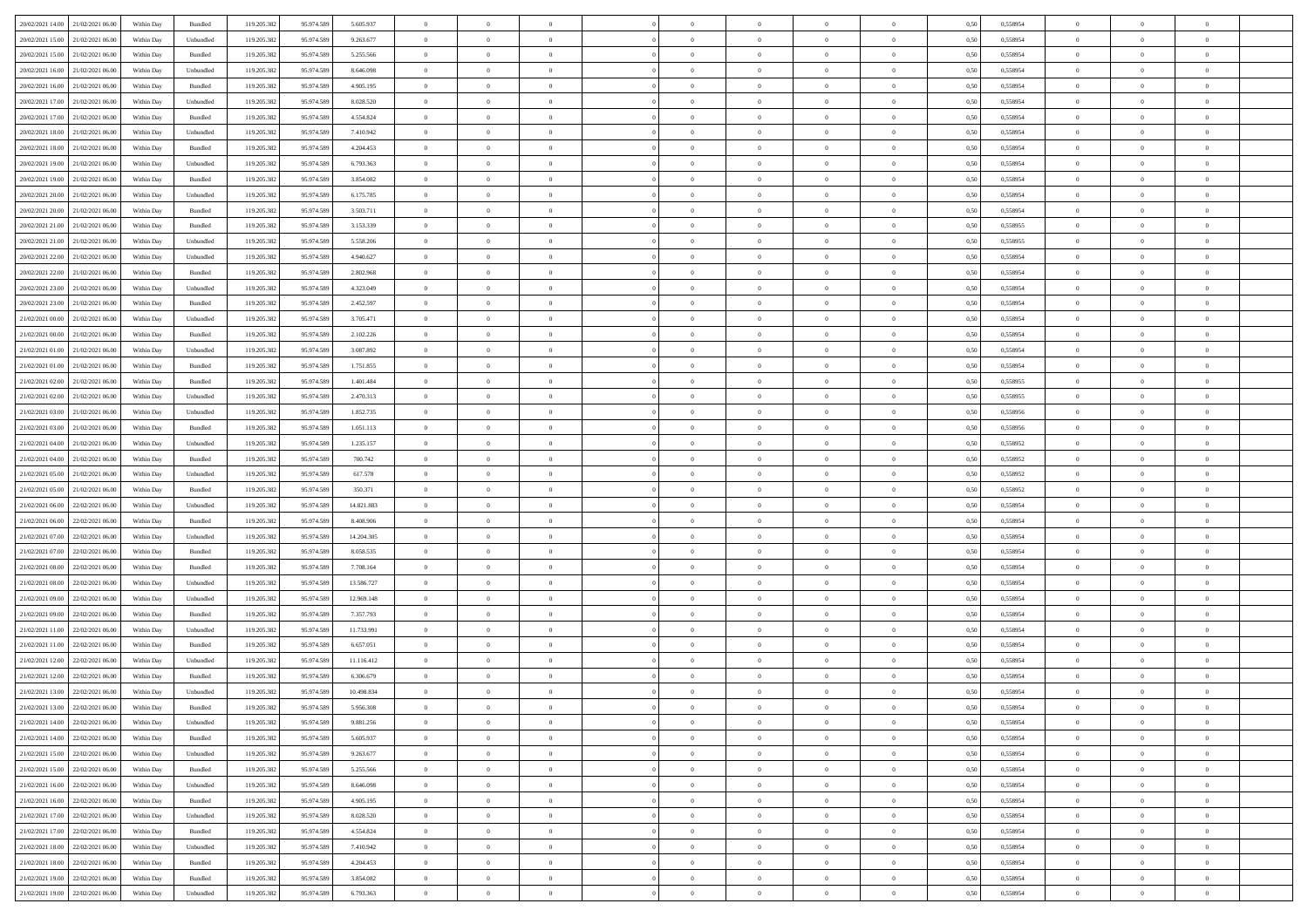| 20/02/2021 14:00 21/02/2021 06:00    | Within Day | Bundled            | 119.205.382 | 95.974.589 | 5.605.937  | $\overline{0}$ | $\overline{0}$ |                | $\overline{0}$ | $\theta$       |                | $\theta$       | 0,50 | 0,558954 | $\theta$       | $\theta$       | $\overline{0}$ |  |
|--------------------------------------|------------|--------------------|-------------|------------|------------|----------------|----------------|----------------|----------------|----------------|----------------|----------------|------|----------|----------------|----------------|----------------|--|
|                                      |            |                    |             |            |            |                |                |                |                |                |                |                |      |          |                |                |                |  |
| 20/02/2021 15:00<br>21/02/2021 06:00 | Within Day | Unbundled          | 119.205.38  | 95.974.589 | 9.263.677  | $\bf{0}$       | $\bf{0}$       | $\bf{0}$       | $\bf{0}$       | $\overline{0}$ | $\overline{0}$ | $\bf{0}$       | 0,50 | 0,558954 | $\,$ 0 $\,$    | $\bf{0}$       | $\overline{0}$ |  |
| 20/02/2021 15:00<br>21/02/2021 06:00 | Within Day | Bundled            | 119.205.382 | 95.974.589 | 5.255.566  | $\overline{0}$ | $\bf{0}$       | $\overline{0}$ | $\bf{0}$       | $\overline{0}$ | $\overline{0}$ | $\bf{0}$       | 0.50 | 0.558954 | $\bf{0}$       | $\overline{0}$ | $\bf{0}$       |  |
| 20/02/2021 16:00<br>21/02/2021 06:00 | Within Day | Unbundled          | 119.205.382 | 95.974.589 | 8.646.098  | $\overline{0}$ | $\overline{0}$ | $\overline{0}$ | $\theta$       | $\theta$       | $\overline{0}$ | $\bf{0}$       | 0,50 | 0,558954 | $\theta$       | $\theta$       | $\overline{0}$ |  |
| 20/02/2021 16:00<br>21/02/2021 06.00 | Within Day | Bundled            | 119.205.38  | 95.974.589 | 4.905.195  | $\bf{0}$       | $\overline{0}$ | $\bf{0}$       | $\overline{0}$ | $\bf{0}$       | $\overline{0}$ | $\bf{0}$       | 0,50 | 0,558954 | $\,$ 0 $\,$    | $\bf{0}$       | $\overline{0}$ |  |
| 20/02/2021 17:00<br>21/02/2021 06:00 | Within Day | Unbundled          | 119.205.382 | 95.974.589 | 8.028.520  | $\overline{0}$ | $\bf{0}$       | $\overline{0}$ | $\bf{0}$       | $\overline{0}$ | $\overline{0}$ | $\bf{0}$       | 0.50 | 0.558954 | $\,$ 0 $\,$    | $\theta$       | $\overline{0}$ |  |
| 20/02/2021 17:00<br>21/02/2021 06:00 |            |                    | 119.205.382 |            |            | $\overline{0}$ | $\overline{0}$ | $\overline{0}$ | $\overline{0}$ | $\overline{0}$ | $\overline{0}$ |                |      |          | $\theta$       | $\theta$       | $\overline{0}$ |  |
|                                      | Within Day | Bundled            |             | 95.974.589 | 4.554.824  |                |                |                |                |                |                | $\bf{0}$       | 0,50 | 0,558954 |                |                |                |  |
| 20/02/2021 18:00<br>21/02/2021 06:00 | Within Day | Unbundled          | 119.205.38  | 95.974.589 | 7.410.942  | $\bf{0}$       | $\bf{0}$       | $\bf{0}$       | $\overline{0}$ | $\overline{0}$ | $\overline{0}$ | $\bf{0}$       | 0,50 | 0,558954 | $\,$ 0 $\,$    | $\bf{0}$       | $\overline{0}$ |  |
| 20/02/2021 18:00<br>21/02/2021 06:00 | Within Day | Bundled            | 119,205.38  | 95.974.589 | 4.204.453  | $\overline{0}$ | $\bf{0}$       | $\overline{0}$ | $\bf{0}$       | $\overline{0}$ | $\overline{0}$ | $\bf{0}$       | 0.50 | 0.558954 | $\bf{0}$       | $\overline{0}$ | $\overline{0}$ |  |
| 20/02/2021 19:00<br>21/02/2021 06:00 | Within Day | Unbundled          | 119.205.382 | 95.974.589 | 6.793.363  | $\bf{0}$       | $\bf{0}$       | $\overline{0}$ | $\overline{0}$ | $\overline{0}$ | $\overline{0}$ | $\bf{0}$       | 0,50 | 0,558954 | $\,$ 0 $\,$    | $\,$ 0 $\,$    | $\overline{0}$ |  |
| 20/02/2021 19:00<br>21/02/2021 06:00 | Within Day | Bundled            | 119.205.38  | 95.974.589 | 3.854.082  | $\bf{0}$       | $\bf{0}$       | $\bf{0}$       | $\bf{0}$       | $\overline{0}$ | $\overline{0}$ | $\bf{0}$       | 0,50 | 0,558954 | $\,$ 0 $\,$    | $\bf{0}$       | $\overline{0}$ |  |
| 20/02/2021 20:00<br>21/02/2021 06:00 | Within Day | Unbundled          | 119.205.382 | 95.974.589 | 6.175.785  | $\overline{0}$ | $\bf{0}$       | $\overline{0}$ | $\overline{0}$ | $\overline{0}$ | $\overline{0}$ | $\bf{0}$       | 0.50 | 0.558954 | $\bf{0}$       | $\,$ 0 $\,$    | $\,$ 0         |  |
| 20/02/2021 20:00<br>21/02/2021 06:00 | Within Day | Bundled            | 119.205.382 | 95.974.589 | 3.503.711  | $\overline{0}$ | $\overline{0}$ | $\overline{0}$ | $\theta$       | $\theta$       | $\overline{0}$ | $\bf{0}$       | 0,50 | 0,558954 | $\,$ 0 $\,$    | $\theta$       | $\overline{0}$ |  |
|                                      |            |                    |             |            |            |                | $\overline{0}$ |                |                | $\overline{0}$ | $\overline{0}$ |                |      |          | $\,$ 0 $\,$    | $\bf{0}$       | $\overline{0}$ |  |
| 20/02/2021 21:00<br>21/02/2021 06:00 | Within Day | Bundled            | 119.205.38  | 95.974.589 | 3.153.339  | $\bf{0}$       |                | $\bf{0}$       | $\bf{0}$       |                |                | $\bf{0}$       | 0,50 | 0,558955 |                |                |                |  |
| 20/02/2021 21:00<br>21/02/2021 06:00 | Within Day | Unbundled          | 119.205.382 | 95.974.589 | 5.558.206  | $\overline{0}$ | $\bf{0}$       | $\overline{0}$ | $\bf{0}$       | $\overline{0}$ | $\overline{0}$ | $\bf{0}$       | 0.50 | 0.558955 | $\,$ 0 $\,$    | $\bf{0}$       | $\overline{0}$ |  |
| 20/02/2021 22:00<br>21/02/2021 06:00 | Within Day | Unbundled          | 119.205.382 | 95.974.589 | 4.940.627  | $\overline{0}$ | $\overline{0}$ | $\overline{0}$ | $\overline{0}$ | $\overline{0}$ | $\overline{0}$ | $\bf{0}$       | 0,50 | 0,558954 | $\theta$       | $\theta$       | $\overline{0}$ |  |
| 20/02/2021 22:00<br>21/02/2021 06.00 | Within Day | Bundled            | 119.205.38  | 95.974.589 | 2.802.968  | $\bf{0}$       | $\bf{0}$       | $\bf{0}$       | $\overline{0}$ | $\overline{0}$ | $\overline{0}$ | $\bf{0}$       | 0,50 | 0,558954 | $\,$ 0 $\,$    | $\bf{0}$       | $\overline{0}$ |  |
| 20/02/2021 23:00<br>21/02/2021 06:00 | Within Day | Unbundled          | 119,205.38  | 95.974.589 | 4.323.049  | $\overline{0}$ | $\bf{0}$       | $\overline{0}$ | $\bf{0}$       | $\bf{0}$       | $\overline{0}$ | $\bf{0}$       | 0.50 | 0.558954 | $\bf{0}$       | $\overline{0}$ | $\bf{0}$       |  |
| 20/02/2021 23:00<br>21/02/2021 06:00 | Within Day | Bundled            | 119.205.382 | 95.974.589 | 2.452.597  | $\overline{0}$ | $\bf{0}$       | $\overline{0}$ | $\overline{0}$ | $\overline{0}$ | $\overline{0}$ | $\bf{0}$       | 0,50 | 0,558954 | $\,$ 0 $\,$    | $\bf{0}$       | $\overline{0}$ |  |
| 21/02/2021 00:00<br>21/02/2021 06:00 | Within Day | Unbundled          | 119.205.38  | 95.974.589 | 3.705.471  | $\bf{0}$       | $\bf{0}$       | $\bf{0}$       | $\bf{0}$       | $\overline{0}$ | $\overline{0}$ | $\bf{0}$       | 0,50 | 0,558954 | $\,$ 0 $\,$    | $\bf{0}$       | $\overline{0}$ |  |
| 21/02/2021 00:00<br>21/02/2021 06:00 | Within Day | Bundled            | 119.205.382 | 95.974.589 | 2.102.226  | $\overline{0}$ | $\bf{0}$       | $\overline{0}$ | $\overline{0}$ | $\bf{0}$       | $\overline{0}$ | $\bf{0}$       | 0.50 | 0.558954 | $\bf{0}$       | $\overline{0}$ | $\,$ 0         |  |
|                                      |            |                    |             |            |            |                |                |                |                |                |                |                |      |          |                |                |                |  |
| 21/02/2021 01:00<br>21/02/2021 06:00 | Within Day | Unbundled          | 119.205.382 | 95.974.589 | 3.087.892  | $\overline{0}$ | $\overline{0}$ | $\overline{0}$ | $\theta$       | $\theta$       | $\overline{0}$ | $\bf{0}$       | 0,50 | 0,558954 | $\theta$       | $\theta$       | $\overline{0}$ |  |
| 21/02/2021 01:00<br>21/02/2021 06:00 | Within Day | Bundled            | 119.205.38  | 95.974.589 | 1.751.855  | $\bf{0}$       | $\bf{0}$       | $\bf{0}$       | $\bf{0}$       | $\overline{0}$ | $\overline{0}$ | $\bf{0}$       | 0,50 | 0,558954 | $\,$ 0 $\,$    | $\bf{0}$       | $\overline{0}$ |  |
| 21/02/2021 02:00<br>21/02/2021 06:00 | Within Day | Bundled            | 119,205.38  | 95.974.589 | 1.401.484  | $\overline{0}$ | $\bf{0}$       | $\overline{0}$ | $\bf{0}$       | $\overline{0}$ | $\overline{0}$ | $\bf{0}$       | 0.50 | 0.558955 | $\,$ 0 $\,$    | $\theta$       | $\overline{0}$ |  |
| 21/02/2021 02:00<br>21/02/2021 06:00 | Within Day | Unbundled          | 119.205.382 | 95.974.589 | 2.470.313  | $\overline{0}$ | $\overline{0}$ | $\overline{0}$ | $\overline{0}$ | $\overline{0}$ | $\overline{0}$ | $\bf{0}$       | 0,50 | 0,558955 | $\,$ 0 $\,$    | $\theta$       | $\overline{0}$ |  |
| 21/02/2021 03:00<br>21/02/2021 06.00 | Within Day | Unbundled          | 119.205.38  | 95.974.589 | 1.852.735  | $\bf{0}$       | $\overline{0}$ | $\bf{0}$       | $\overline{0}$ | $\overline{0}$ | $\overline{0}$ | $\bf{0}$       | 0,50 | 0,558956 | $\,$ 0 $\,$    | $\bf{0}$       | $\overline{0}$ |  |
| 21/02/2021 03:00<br>21/02/2021 06:00 | Within Day | Bundled            | 119,205.38  | 95.974.589 | 1.051.113  | $\overline{0}$ | $\bf{0}$       | $\overline{0}$ | $\bf{0}$       | $\overline{0}$ | $\overline{0}$ | $\bf{0}$       | 0.50 | 0.558956 | $\bf{0}$       | $\overline{0}$ | $\overline{0}$ |  |
| 21/02/2021 04:00<br>21/02/2021 06:00 | Within Day | Unbundled          | 119.205.382 | 95.974.589 | 1.235.157  | $\overline{0}$ | $\bf{0}$       | $\overline{0}$ | $\overline{0}$ | $\overline{0}$ | $\overline{0}$ | $\bf{0}$       | 0,50 | 0,558952 | $\theta$       | $\theta$       | $\overline{0}$ |  |
| 21/02/2021 04:00<br>21/02/2021 06:00 | Within Day | Bundled            | 119.205.38  | 95.974.589 | 700.742    | $\bf{0}$       | $\bf{0}$       | $\bf{0}$       | $\bf{0}$       | $\overline{0}$ | $\overline{0}$ | $\bf{0}$       | 0,50 | 0,558952 | $\,$ 0 $\,$    | $\bf{0}$       | $\overline{0}$ |  |
|                                      |            |                    |             |            |            |                |                |                |                |                |                |                |      |          |                |                |                |  |
| 21/02/2021 05:00<br>21/02/2021 06:00 | Within Day | Unbundled          | 119.205.382 | 95.974.589 | 617.578    | $\overline{0}$ | $\bf{0}$       | $\overline{0}$ | $\overline{0}$ | $\bf{0}$       | $\overline{0}$ | $\bf{0}$       | 0.50 | 0.558952 | $\bf{0}$       | $\,$ 0 $\,$    | $\,$ 0         |  |
| 21/02/2021 05:00<br>21/02/2021 06:00 | Within Day | Bundled            | 119.205.382 | 95.974.589 | 350,371    | $\overline{0}$ | $\overline{0}$ | $\overline{0}$ | $\overline{0}$ | $\overline{0}$ | $\overline{0}$ | $\bf{0}$       | 0.50 | 0,558952 | $\theta$       | $\theta$       | $\overline{0}$ |  |
| 21/02/2021 06:00<br>22/02/2021 06:00 | Within Day | Unbundled          | 119.205.38  | 95.974.589 | 14.821.883 | $\bf{0}$       | $\bf{0}$       | $\bf{0}$       | $\bf{0}$       | $\overline{0}$ | $\overline{0}$ | $\bf{0}$       | 0,50 | 0,558954 | $\,$ 0 $\,$    | $\bf{0}$       | $\overline{0}$ |  |
| 21/02/2021 06:00<br>22/02/2021 06:00 | Within Day | Bundled            | 119.205.382 | 95.974.589 | 8,408,906  | $\overline{0}$ | $\bf{0}$       | $\overline{0}$ | $\bf{0}$       | $\overline{0}$ | $\overline{0}$ | $\bf{0}$       | 0.50 | 0.558954 | $\,$ 0 $\,$    | $\bf{0}$       | $\overline{0}$ |  |
| 21/02/2021 07:00<br>22/02/2021 06:00 | Within Dav | Unbundled          | 119.205.382 | 95.974.589 | 14.204.305 | $\overline{0}$ | $\overline{0}$ | $\overline{0}$ | $\overline{0}$ | $\overline{0}$ | $\overline{0}$ | $\bf{0}$       | 0.50 | 0,558954 | $\theta$       | $\theta$       | $\overline{0}$ |  |
| 21/02/2021 07:00<br>22/02/2021 06:00 | Within Day | Bundled            | 119.205.38  | 95.974.589 | 8.058.535  | $\bf{0}$       | $\bf{0}$       | $\bf{0}$       | $\bf{0}$       | $\overline{0}$ | $\overline{0}$ | $\bf{0}$       | 0,50 | 0,558954 | $\,$ 0 $\,$    | $\bf{0}$       | $\overline{0}$ |  |
| 21/02/2021 08:00<br>22/02/2021 06:00 | Within Day | Bundled            | 119,205.38  | 95.974.589 | 7.708.164  | $\overline{0}$ | $\bf{0}$       | $\overline{0}$ | $\bf{0}$       | $\overline{0}$ | $\overline{0}$ | $\bf{0}$       | 0.50 | 0.558954 | $\bf{0}$       | $\overline{0}$ | $\overline{0}$ |  |
| 21/02/2021 08:00<br>22/02/2021 06:00 | Within Dav | Unbundled          | 119.205.38  | 95.974.589 | 13.586.727 | $\overline{0}$ | $\overline{0}$ | $\overline{0}$ | $\overline{0}$ | $\overline{0}$ | $\overline{0}$ | $\bf{0}$       | 0.50 | 0,558954 | $\theta$       | $\theta$       | $\overline{0}$ |  |
| 22/02/2021 06.00                     | Within Day | Unbundled          |             | 95.974.589 | 12.969.148 | $\bf{0}$       | $\bf{0}$       | $\bf{0}$       | $\bf{0}$       | $\overline{0}$ | $\overline{0}$ | $\bf{0}$       | 0,50 | 0,558954 | $\,$ 0 $\,$    | $\bf{0}$       | $\overline{0}$ |  |
| 21/02/2021 09:00                     |            |                    | 119.205.38  |            |            |                |                |                |                |                |                |                |      |          |                |                |                |  |
| 21/02/2021 09:00<br>22/02/2021 06:00 | Within Day | Bundled            | 119.205.382 | 95.974.589 | 7.357.793  | $\overline{0}$ | $\bf{0}$       | $\overline{0}$ | $\overline{0}$ | $\bf{0}$       | $\overline{0}$ | $\bf{0}$       | 0.50 | 0.558954 | $\,$ 0 $\,$    | $\,$ 0 $\,$    | $\,$ 0         |  |
| 21/02/2021 11:00<br>22/02/2021 06:00 | Within Dav | Unbundled          | 119.205.382 | 95.974.589 | 11.733.991 | $\overline{0}$ | $\overline{0}$ | $\overline{0}$ | $\overline{0}$ | $\overline{0}$ | $\overline{0}$ | $\bf{0}$       | 0.50 | 0.558954 | $\theta$       | $\theta$       | $\overline{0}$ |  |
| 21/02/2021 11:00<br>22/02/2021 06:00 | Within Day | Bundled            | 119.205.38  | 95.974.589 | 6.657.051  | $\bf{0}$       | $\bf{0}$       | $\bf{0}$       | $\bf{0}$       | $\overline{0}$ | $\overline{0}$ | $\bf{0}$       | 0,50 | 0,558954 | $\,$ 0 $\,$    | $\bf{0}$       | $\overline{0}$ |  |
| 21/02/2021 12:00<br>22/02/2021 06:00 | Within Day | Unbundled          | 119.205.382 | 95.974.589 | 11.116.412 | $\overline{0}$ | $\bf{0}$       | $\overline{0}$ | $\bf{0}$       | $\overline{0}$ | $\overline{0}$ | $\bf{0}$       | 0.50 | 0.558954 | $\bf{0}$       | $\theta$       | $\overline{0}$ |  |
| 21/02/2021 12:00<br>22/02/2021 06:00 | Within Day | Bundled            | 119.205.382 | 95.974.589 | 6,306,679  | $\overline{0}$ | $\overline{0}$ | $\overline{0}$ | $\theta$       | $\theta$       | $\overline{0}$ | $\overline{0}$ | 0.5( | 0,558954 | $\theta$       | $\theta$       | $\overline{0}$ |  |
| 21/02/2021 13:00<br>22/02/2021 06:00 | Within Day | Unbundled          | 119.205.382 | 95.974.589 | 10.498.834 | $\bf{0}$       | $\bf{0}$       | $\bf{0}$       | $\bf{0}$       | $\bf{0}$       | $\overline{0}$ | $\bf{0}$       | 0,50 | 0,558954 | $\overline{0}$ | $\overline{0}$ | $\overline{0}$ |  |
| 21/02/2021 13:00 22/02/2021 06:00    | Within Day | $\mathbf B$ undled | 119.205.382 | 95.974.589 | 5.956.308  | $\bf{0}$       | $\theta$       |                | $\overline{0}$ |                |                |                | 0,50 | 0.558954 | $\bf{0}$       | $\bf{0}$       |                |  |
| 21/02/2021 14:00 22/02/2021 06:00    | Within Day | Unbundled          | 119.205.382 | 95.974.589 | 9.881.256  | $\overline{0}$ | $\overline{0}$ | $\Omega$       | $\theta$       | $\overline{0}$ | $\overline{0}$ | $\bf{0}$       | 0,50 | 0,558954 | $\theta$       | $\theta$       | $\overline{0}$ |  |
|                                      |            |                    |             |            |            |                |                |                |                |                |                |                |      |          |                |                |                |  |
| 21/02/2021 14:00<br>22/02/2021 06:00 | Within Day | Bundled            | 119.205.38  | 95.974.589 | 5.605.937  | $\overline{0}$ | $\bf{0}$       | $\overline{0}$ | $\overline{0}$ | $\bf{0}$       | $\overline{0}$ | $\bf{0}$       | 0,50 | 0,558954 | $\bf{0}$       | $\overline{0}$ | $\bf{0}$       |  |
| 21/02/2021 15:00 22/02/2021 06:00    | Within Day | Unbundled          | 119.205.382 | 95.974.589 | 9.263.677  | $\overline{0}$ | $\bf{0}$       | $\overline{0}$ | $\overline{0}$ | $\mathbf{0}$   | $\overline{0}$ | $\,$ 0 $\,$    | 0.50 | 0.558954 | $\overline{0}$ | $\bf{0}$       | $\,$ 0 $\,$    |  |
| 21/02/2021 15:00 22/02/2021 06:00    | Within Dav | Bundled            | 119.205.382 | 95.974.589 | 5.255.566  | $\overline{0}$ | $\overline{0}$ | $\overline{0}$ | $\overline{0}$ | $\overline{0}$ | $\overline{0}$ | $\bf{0}$       | 0,50 | 0,558954 | $\overline{0}$ | $\theta$       | $\overline{0}$ |  |
| 21/02/2021 16:00<br>22/02/2021 06:00 | Within Day | Unbundled          | 119.205.382 | 95.974.589 | 8.646.098  | $\overline{0}$ | $\bf{0}$       | $\overline{0}$ | $\overline{0}$ | $\overline{0}$ | $\overline{0}$ | $\bf{0}$       | 0,50 | 0,558954 | $\bf{0}$       | $\overline{0}$ | $\overline{0}$ |  |
| 21/02/2021 16:00 22/02/2021 06:00    | Within Day | Bundled            | 119.205.382 | 95.974.589 | 4.905.195  | $\overline{0}$ | $\bf{0}$       | $\overline{0}$ | $\overline{0}$ | $\overline{0}$ | $\overline{0}$ | $\bf{0}$       | 0.50 | 0.558954 | $\,$ 0 $\,$    | $\overline{0}$ | $\,$ 0         |  |
| 21/02/2021 17:00 22/02/2021 06:00    | Within Dav | Unbundled          | 119.205.382 | 95.974.589 | 8.028.520  | $\overline{0}$ | $\overline{0}$ | $\overline{0}$ | $\overline{0}$ | $\overline{0}$ | $\overline{0}$ | $\bf{0}$       | 0.50 | 0,558954 | $\overline{0}$ | $\theta$       | $\overline{0}$ |  |
| 22/02/2021 06:00<br>21/02/2021 17:00 | Within Day | Bundled            | 119.205.38  | 95.974.589 | 4.554.824  | $\overline{0}$ | $\overline{0}$ | $\overline{0}$ | $\overline{0}$ | $\overline{0}$ | $\overline{0}$ | $\bf{0}$       | 0,50 | 0,558954 | $\bf{0}$       | $\overline{0}$ | $\,$ 0         |  |
| 21/02/2021 18:00 22/02/2021 06:00    |            |                    |             |            |            |                |                |                |                |                |                |                |      |          |                |                |                |  |
|                                      | Within Day | Unbundled          | 119.205.382 | 95.974.589 | 7.410.942  | $\overline{0}$ | $\overline{0}$ | $\overline{0}$ | $\overline{0}$ | $\overline{0}$ | $\overline{0}$ | $\bf{0}$       | 0.50 | 0.558954 | $\mathbf{0}$   | $\bf{0}$       | $\,$ 0         |  |
| 21/02/2021 18:00 22/02/2021 06:00    | Within Dav | Bundled            | 119.205.382 | 95.974.589 | 4.204.453  | $\overline{0}$ | $\overline{0}$ | $\overline{0}$ | $\overline{0}$ | $\overline{0}$ | $\overline{0}$ | $\bf{0}$       | 0,50 | 0,558954 | $\overline{0}$ | $\theta$       | $\overline{0}$ |  |
| 21/02/2021 19:00<br>22/02/2021 06:00 | Within Day | Bundled            | 119.205.38  | 95.974.589 | 3.854.082  | $\overline{0}$ | $\bf{0}$       | $\overline{0}$ | $\bf{0}$       | $\overline{0}$ | $\bf{0}$       | $\bf{0}$       | 0,50 | 0,558954 | $\bf{0}$       | $\,$ 0 $\,$    | $\bf{0}$       |  |
| 21/02/2021 19:00 22/02/2021 06:00    | Within Day | ${\sf Unbundred}$  | 119.205.382 | 95.974.589 | 6.793.363  | $\overline{0}$ | $\bf{0}$       | $\overline{0}$ | $\overline{0}$ | $\,$ 0 $\,$    | $\overline{0}$ | $\bf{0}$       | 0,50 | 0,558954 | $\overline{0}$ | $\,$ 0 $\,$    | $\,$ 0 $\,$    |  |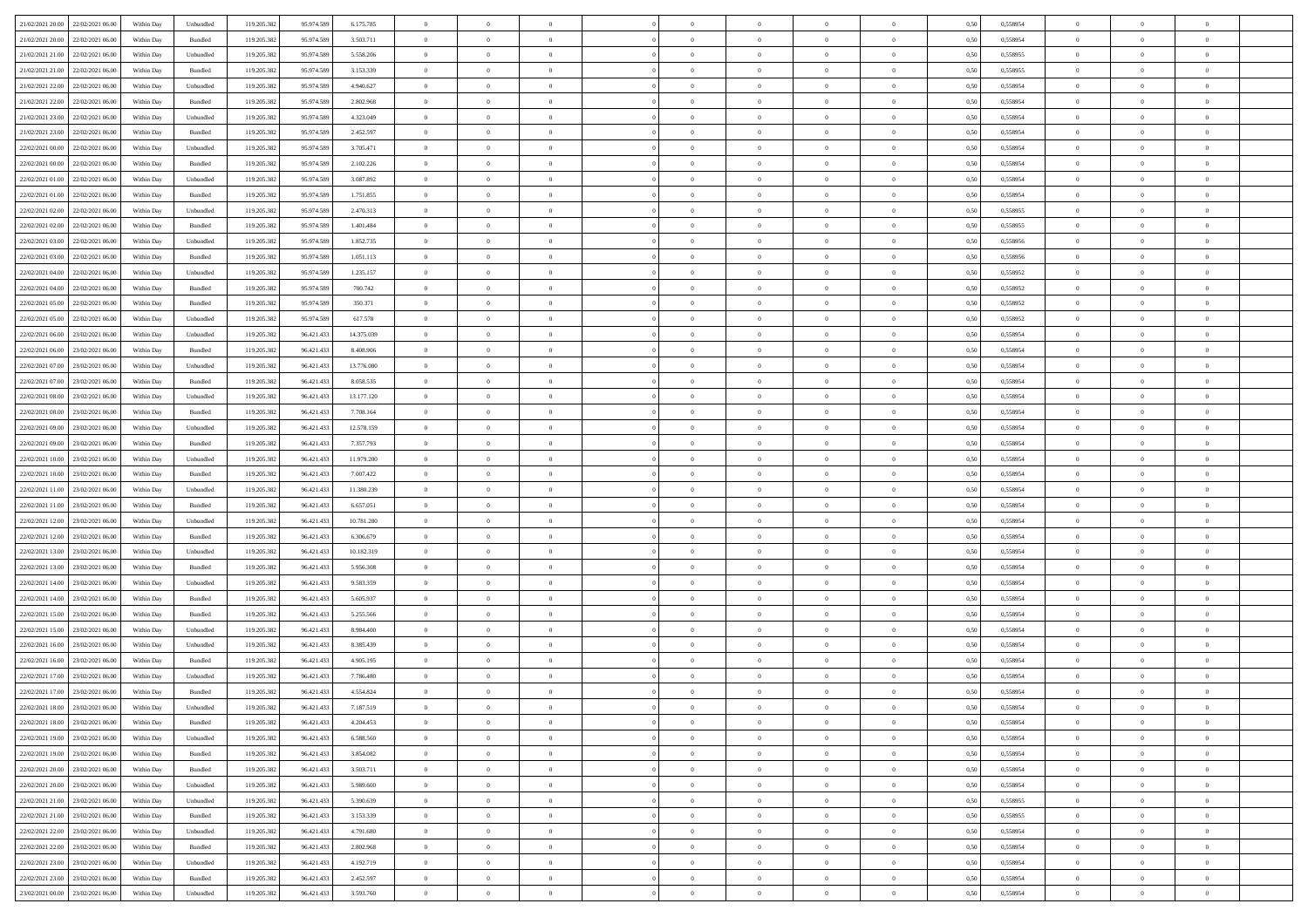| 21/02/2021 20:00 22/02/2021 06:00    |            |                             | 119.205.382 |            | 6.175.785  | $\overline{0}$ | $\overline{0}$ |                | $\overline{0}$ | $\theta$       |                | $\theta$       |      | 0,558954 | $\theta$       | $\theta$       | $\overline{0}$ |  |
|--------------------------------------|------------|-----------------------------|-------------|------------|------------|----------------|----------------|----------------|----------------|----------------|----------------|----------------|------|----------|----------------|----------------|----------------|--|
|                                      | Within Day | Unbundled                   |             | 95.974.589 |            |                |                |                |                |                |                |                | 0,50 |          |                |                |                |  |
| 21/02/2021 20:00<br>22/02/2021 06:00 | Within Day | Bundled                     | 119.205.38  | 95.974.589 | 3.503.711  | $\bf{0}$       | $\bf{0}$       | $\bf{0}$       | $\bf{0}$       | $\overline{0}$ | $\overline{0}$ | $\bf{0}$       | 0,50 | 0,558954 | $\,$ 0 $\,$    | $\bf{0}$       | $\overline{0}$ |  |
| 21/02/2021 21:00<br>22/02/2021 06:00 | Within Day | Unbundled                   | 119.205.382 | 95.974.589 | 5.558.206  | $\overline{0}$ | $\bf{0}$       | $\overline{0}$ | $\bf{0}$       | $\overline{0}$ | $\overline{0}$ | $\bf{0}$       | 0.50 | 0.558955 | $\bf{0}$       | $\overline{0}$ | $\bf{0}$       |  |
| 21/02/2021 21:00<br>22/02/2021 06:00 | Within Day | Bundled                     | 119.205.382 | 95.974.589 | 3.153.339  | $\overline{0}$ | $\overline{0}$ | $\overline{0}$ | $\overline{0}$ | $\theta$       | $\overline{0}$ | $\bf{0}$       | 0,50 | 0,558955 | $\theta$       | $\theta$       | $\overline{0}$ |  |
| 21/02/2021 22:00<br>22/02/2021 06.00 | Within Day | Unbundled                   | 119.205.38  | 95.974.589 | 4.940.627  | $\bf{0}$       | $\overline{0}$ | $\bf{0}$       | $\overline{0}$ | $\bf{0}$       | $\overline{0}$ | $\bf{0}$       | 0,50 | 0,558954 | $\,$ 0 $\,$    | $\bf{0}$       | $\overline{0}$ |  |
| 21/02/2021 22:00<br>22/02/2021 06:00 |            | Bundled                     | 119,205.38  | 95.974.589 | 2.802.968  | $\overline{0}$ | $\bf{0}$       | $\overline{0}$ | $\bf{0}$       | $\overline{0}$ | $\overline{0}$ | $\bf{0}$       | 0.50 | 0.558954 | $\,$ 0 $\,$    | $\theta$       | $\overline{0}$ |  |
|                                      | Within Day |                             |             |            |            |                |                |                |                |                |                |                |      |          |                |                |                |  |
| 21/02/2021 23:00<br>22/02/2021 06:00 | Within Day | Unbundled                   | 119.205.382 | 95.974.589 | 4.323.049  | $\overline{0}$ | $\overline{0}$ | $\overline{0}$ | $\overline{0}$ | $\overline{0}$ | $\overline{0}$ | $\bf{0}$       | 0,50 | 0,558954 | $\,$ 0 $\,$    | $\theta$       | $\overline{0}$ |  |
| 21/02/2021 23:00<br>22/02/2021 06:00 | Within Day | Bundled                     | 119.205.38  | 95.974.589 | 2.452.597  | $\bf{0}$       | $\bf{0}$       | $\bf{0}$       | $\bf{0}$       | $\overline{0}$ | $\overline{0}$ | $\bf{0}$       | 0,50 | 0,558954 | $\,$ 0 $\,$    | $\bf{0}$       | $\overline{0}$ |  |
| 22/02/2021 00:00<br>22/02/2021 06:00 | Within Day | Unbundled                   | 119,205.38  | 95.974.589 | 3.705.471  | $\overline{0}$ | $\bf{0}$       | $\overline{0}$ | $\bf{0}$       | $\overline{0}$ | $\overline{0}$ | $\bf{0}$       | 0.50 | 0.558954 | $\bf{0}$       | $\overline{0}$ | $\overline{0}$ |  |
| 22/02/2021 00:00<br>22/02/2021 06:00 | Within Day | Bundled                     | 119.205.382 | 95.974.589 | 2.102.226  | $\overline{0}$ | $\bf{0}$       | $\overline{0}$ | $\overline{0}$ | $\overline{0}$ | $\overline{0}$ | $\bf{0}$       | 0,50 | 0,558954 | $\,$ 0 $\,$    | $\,$ 0 $\,$    | $\overline{0}$ |  |
| 22/02/2021 01:00<br>22/02/2021 06:00 | Within Day | Unbundled                   | 119.205.38  | 95.974.589 | 3.087.892  | $\bf{0}$       | $\bf{0}$       | $\bf{0}$       | $\bf{0}$       | $\overline{0}$ | $\overline{0}$ | $\bf{0}$       | 0,50 | 0,558954 | $\,$ 0 $\,$    | $\bf{0}$       | $\overline{0}$ |  |
| 22/02/2021 01:00<br>22/02/2021 06:00 | Within Day | Bundled                     | 119.205.382 | 95.974.589 | 1.751.855  | $\overline{0}$ | $\bf{0}$       | $\overline{0}$ | $\overline{0}$ | $\overline{0}$ | $\overline{0}$ | $\bf{0}$       | 0.50 | 0.558954 | $\bf{0}$       | $\,$ 0 $\,$    | $\,$ 0         |  |
| 22/02/2021 02:00<br>22/02/2021 06:00 | Within Day | Unbundled                   | 119.205.382 | 95.974.589 | 2.470.313  | $\overline{0}$ | $\bf{0}$       | $\overline{0}$ | $\theta$       | $\theta$       | $\overline{0}$ | $\bf{0}$       | 0,50 | 0,558955 | $\,$ 0 $\,$    | $\theta$       | $\overline{0}$ |  |
|                                      |            |                             |             |            |            |                |                |                |                |                | $\overline{0}$ |                |      |          |                |                |                |  |
| 22/02/2021 02:00<br>22/02/2021 06:00 | Within Day | Bundled                     | 119.205.38  | 95.974.589 | 1.401.484  | $\bf{0}$       | $\overline{0}$ | $\bf{0}$       | $\bf{0}$       | $\overline{0}$ |                | $\bf{0}$       | 0,50 | 0,558955 | $\,$ 0 $\,$    | $\bf{0}$       | $\overline{0}$ |  |
| 22/02/2021 03:00<br>22/02/2021 06:00 | Within Day | Unbundled                   | 119,205.38  | 95.974.589 | 1.852.735  | $\overline{0}$ | $\bf{0}$       | $\overline{0}$ | $\bf{0}$       | $\overline{0}$ | $\overline{0}$ | $\bf{0}$       | 0.50 | 0.558956 | $\,$ 0 $\,$    | $\bf{0}$       | $\overline{0}$ |  |
| 22/02/2021 03:00<br>22/02/2021 06:00 | Within Day | Bundled                     | 119.205.382 | 95.974.589 | 1.051.113  | $\overline{0}$ | $\overline{0}$ | $\overline{0}$ | $\overline{0}$ | $\overline{0}$ | $\overline{0}$ | $\bf{0}$       | 0,50 | 0,558956 | $\theta$       | $\theta$       | $\overline{0}$ |  |
| 22/02/2021 04:00<br>22/02/2021 06:00 | Within Day | Unbundled                   | 119.205.38  | 95.974.589 | 1.235.157  | $\bf{0}$       | $\bf{0}$       | $\bf{0}$       | $\overline{0}$ | $\overline{0}$ | $\overline{0}$ | $\bf{0}$       | 0,50 | 0,558952 | $\,$ 0 $\,$    | $\bf{0}$       | $\overline{0}$ |  |
| 22/02/2021 04:00<br>22/02/2021 06:00 | Within Day | Bundled                     | 119,205.38  | 95.974.589 | 700.742    | $\overline{0}$ | $\bf{0}$       | $\overline{0}$ | $\bf{0}$       | $\bf{0}$       | $\overline{0}$ | $\bf{0}$       | 0.50 | 0.558952 | $\bf{0}$       | $\overline{0}$ | $\bf{0}$       |  |
| 22/02/2021 05:00<br>22/02/2021 06:00 | Within Day | Bundled                     | 119.205.382 | 95.974.589 | 350.371    | $\overline{0}$ | $\bf{0}$       | $\overline{0}$ | $\overline{0}$ | $\overline{0}$ | $\overline{0}$ | $\bf{0}$       | 0,50 | 0,558952 | $\,$ 0 $\,$    | $\bf{0}$       | $\overline{0}$ |  |
| 22/02/2021 05:00<br>22/02/2021 06:00 | Within Day | Unbundled                   | 119.205.38  | 95.974.589 | 617.578    | $\bf{0}$       | $\bf{0}$       | $\bf{0}$       | $\bf{0}$       | $\overline{0}$ | $\overline{0}$ | $\bf{0}$       | 0,50 | 0,558952 | $\,$ 0 $\,$    | $\bf{0}$       | $\overline{0}$ |  |
| 22/02/2021 06:00<br>23/02/2021 06:00 | Within Day | Unbundled                   | 119.205.382 | 96.421.433 | 14.375.039 | $\overline{0}$ | $\bf{0}$       | $\overline{0}$ | $\overline{0}$ | $\,$ 0 $\,$    | $\overline{0}$ | $\bf{0}$       | 0.50 | 0.558954 | $\bf{0}$       | $\,$ 0 $\,$    | $\,$ 0         |  |
|                                      |            |                             |             |            |            |                |                |                |                |                |                |                |      |          |                |                |                |  |
| 22/02/2021 06:00<br>23/02/2021 06:00 | Within Day | Bundled                     | 119.205.382 | 96.421.433 | 8.408.906  | $\overline{0}$ | $\overline{0}$ | $\overline{0}$ | $\overline{0}$ | $\theta$       | $\overline{0}$ | $\bf{0}$       | 0,50 | 0,558954 | $\theta$       | $\theta$       | $\overline{0}$ |  |
| 22/02/2021 07:00<br>23/02/2021 06.00 | Within Day | Unbundled                   | 119.205.38  | 96.421.433 | 13.776.080 | $\bf{0}$       | $\bf{0}$       | $\bf{0}$       | $\bf{0}$       | $\overline{0}$ | $\overline{0}$ | $\bf{0}$       | 0,50 | 0,558954 | $\,$ 0 $\,$    | $\bf{0}$       | $\overline{0}$ |  |
| 22/02/2021 07:00<br>23/02/2021 06:00 | Within Day | Bundled                     | 119,205.38  | 96.421.43  | 8.058.535  | $\overline{0}$ | $\bf{0}$       | $\overline{0}$ | $\bf{0}$       | $\overline{0}$ | $\overline{0}$ | $\bf{0}$       | 0.50 | 0.558954 | $\bf{0}$       | $\theta$       | $\overline{0}$ |  |
| 22/02/2021 08:00<br>23/02/2021 06:00 | Within Day | Unbundled                   | 119.205.382 | 96.421.433 | 13.177.120 | $\overline{0}$ | $\overline{0}$ | $\overline{0}$ | $\overline{0}$ | $\overline{0}$ | $\overline{0}$ | $\bf{0}$       | 0,50 | 0,558954 | $\,$ 0 $\,$    | $\theta$       | $\overline{0}$ |  |
| 22/02/2021 08:00<br>23/02/2021 06.00 | Within Day | Bundled                     | 119.205.38  | 96.421.43  | 7.708.164  | $\bf{0}$       | $\overline{0}$ | $\bf{0}$       | $\overline{0}$ | $\overline{0}$ | $\overline{0}$ | $\bf{0}$       | 0,50 | 0,558954 | $\,$ 0 $\,$    | $\bf{0}$       | $\overline{0}$ |  |
| 22/02/2021 09:00<br>23/02/2021 06:00 | Within Day | Unbundled                   | 119,205.38  | 96.421.433 | 12.578.159 | $\overline{0}$ | $\bf{0}$       | $\overline{0}$ | $\bf{0}$       | $\overline{0}$ | $\overline{0}$ | $\bf{0}$       | 0.50 | 0.558954 | $\bf{0}$       | $\overline{0}$ | $\overline{0}$ |  |
| 22/02/2021 09:00<br>23/02/2021 06:00 | Within Day | Bundled                     | 119.205.382 | 96.421.433 | 7.357.793  | $\overline{0}$ | $\bf{0}$       | $\overline{0}$ | $\overline{0}$ | $\overline{0}$ | $\overline{0}$ | $\bf{0}$       | 0,50 | 0,558954 | $\theta$       | $\theta$       | $\overline{0}$ |  |
| 22/02/2021 10:00<br>23/02/2021 06.00 | Within Day | Unbundled                   | 119.205.38  | 96.421.433 | 11.979.200 | $\bf{0}$       | $\bf{0}$       | $\bf{0}$       | $\bf{0}$       | $\overline{0}$ | $\overline{0}$ | $\bf{0}$       | 0,50 | 0,558954 | $\,$ 0 $\,$    | $\bf{0}$       | $\overline{0}$ |  |
|                                      |            |                             |             |            |            |                |                |                |                |                |                |                |      |          |                |                |                |  |
| 22/02/2021 10:00<br>23/02/2021 06:00 | Within Day | Bundled                     | 119.205.382 | 96.421.433 | 7.007.422  | $\overline{0}$ | $\bf{0}$       | $\overline{0}$ | $\overline{0}$ | $\overline{0}$ | $\overline{0}$ | $\bf{0}$       | 0.50 | 0.558954 | $\bf{0}$       | $\,$ 0 $\,$    | $\,$ 0         |  |
| 22/02/2021 11:00<br>23/02/2021 06:00 | Within Day | Unbundled                   | 119.205.382 | 96.421.433 | 11.380.239 | $\overline{0}$ | $\overline{0}$ | $\overline{0}$ | $\overline{0}$ | $\overline{0}$ | $\overline{0}$ | $\bf{0}$       | 0.50 | 0,558954 | $\theta$       | $\theta$       | $\overline{0}$ |  |
| 22/02/2021 11:00<br>23/02/2021 06:00 | Within Day | Bundled                     | 119.205.38  | 96.421.43  | 6.657.051  | $\bf{0}$       | $\bf{0}$       | $\bf{0}$       | $\bf{0}$       | $\overline{0}$ | $\overline{0}$ | $\bf{0}$       | 0,50 | 0,558954 | $\,$ 0 $\,$    | $\bf{0}$       | $\overline{0}$ |  |
| 22/02/2021 12:00<br>23/02/2021 06:00 | Within Day | Unbundled                   | 119,205.38  | 96.421.433 | 10.781.280 | $\overline{0}$ | $\bf{0}$       | $\overline{0}$ | $\bf{0}$       | $\overline{0}$ | $\overline{0}$ | $\bf{0}$       | 0.50 | 0.558954 | $\bf{0}$       | $\bf{0}$       | $\overline{0}$ |  |
| 22/02/2021 12:00<br>23/02/2021 06:00 | Within Dav | Bundled                     | 119.205.382 | 96.421.433 | 6,306,679  | $\overline{0}$ | $\overline{0}$ | $\overline{0}$ | $\overline{0}$ | $\overline{0}$ | $\overline{0}$ | $\bf{0}$       | 0.5( | 0,558954 | $\theta$       | $\theta$       | $\overline{0}$ |  |
| 22/02/2021 13:00<br>23/02/2021 06.00 | Within Day | Unbundled                   | 119.205.38  | 96.421.433 | 10.182.319 | $\bf{0}$       | $\bf{0}$       | $\bf{0}$       | $\bf{0}$       | $\overline{0}$ | $\overline{0}$ | $\bf{0}$       | 0,50 | 0,558954 | $\,$ 0 $\,$    | $\bf{0}$       | $\overline{0}$ |  |
| 22/02/2021 13:00<br>23/02/2021 06:00 | Within Day | Bundled                     | 119,205.38  | 96.421.43  | 5.956.308  | $\overline{0}$ | $\bf{0}$       | $\overline{0}$ | $\bf{0}$       | $\overline{0}$ | $\overline{0}$ | $\bf{0}$       | 0.50 | 0.558954 | $\bf{0}$       | $\overline{0}$ | $\overline{0}$ |  |
| 22/02/2021 14:00<br>23/02/2021 06:00 | Within Day | Unbundled                   | 119.205.38  | 96.421.433 | 9.583.359  | $\overline{0}$ | $\overline{0}$ | $\overline{0}$ | $\overline{0}$ | $\overline{0}$ | $\overline{0}$ | $\bf{0}$       | 0.50 | 0,558954 | $\theta$       | $\theta$       | $\overline{0}$ |  |
| 22/02/2021 14:00<br>23/02/2021 06.00 | Within Day | Bundled                     | 119.205.38  | 96.421.43  | 5.605.937  | $\bf{0}$       | $\bf{0}$       | $\bf{0}$       | $\bf{0}$       | $\overline{0}$ | $\overline{0}$ | $\bf{0}$       | 0,50 | 0,558954 | $\,$ 0 $\,$    | $\bf{0}$       | $\overline{0}$ |  |
|                                      |            |                             |             |            |            |                |                |                |                |                |                |                |      |          |                |                |                |  |
| 22/02/2021 15:00<br>23/02/2021 06:00 | Within Day | Bundled                     | 119.205.382 | 96.421.433 | 5.255.566  | $\overline{0}$ | $\bf{0}$       | $\overline{0}$ | $\overline{0}$ | $\bf{0}$       | $\overline{0}$ | $\bf{0}$       | 0.50 | 0.558954 | $\,$ 0 $\,$    | $\,$ 0 $\,$    | $\,$ 0         |  |
| 22/02/2021 15:00<br>23/02/2021 06:00 | Within Dav | Unbundled                   | 119.205.382 | 96.421.433 | 8.984.400  | $\overline{0}$ | $\overline{0}$ | $\overline{0}$ | $\overline{0}$ | $\overline{0}$ | $\overline{0}$ | $\bf{0}$       | 0.50 | 0,558954 | $\theta$       | $\theta$       | $\overline{0}$ |  |
| 22/02/2021 16:00<br>23/02/2021 06.00 | Within Day | Unbundled                   | 119.205.38  | 96.421.433 | 8.385.439  | $\bf{0}$       | $\bf{0}$       | $\bf{0}$       | $\bf{0}$       | $\overline{0}$ | $\overline{0}$ | $\bf{0}$       | 0,50 | 0,558954 | $\,$ 0 $\,$    | $\bf{0}$       | $\overline{0}$ |  |
| 22/02/2021 16:00<br>23/02/2021 06:00 | Within Day | Bundled                     | 119.205.382 | 96.421.43  | 4.905.195  | $\overline{0}$ | $\bf{0}$       | $\overline{0}$ | $\bf{0}$       | $\overline{0}$ | $\overline{0}$ | $\bf{0}$       | 0.50 | 0.558954 | $\bf{0}$       | $\theta$       | $\overline{0}$ |  |
| 22/02/2021 17:00<br>23/02/2021 06:00 | Within Day | Unbundled                   | 119.205.38  | 96.421.433 | 7.786.480  | $\overline{0}$ | $\overline{0}$ | $\overline{0}$ | $\theta$       | $\theta$       | $\overline{0}$ | $\overline{0}$ | 0.5( | 0,558954 | $\theta$       | $\theta$       | $\overline{0}$ |  |
| 22/02/2021 17:00<br>23/02/2021 06:00 | Within Day | Bundled                     | 119.205.382 | 96.421.433 | 4.554.824  | $\bf{0}$       | $\bf{0}$       | $\bf{0}$       | $\bf{0}$       | $\bf{0}$       | $\overline{0}$ | $\bf{0}$       | 0,50 | 0,558954 | $\overline{0}$ | $\overline{0}$ | $\overline{0}$ |  |
| 22/02/2021 18:00 23/02/2021 06:00    | Within Day | $\ensuremath{\mathsf{Unb}}$ | 119.205.382 | 96.421.433 | 7.187.519  | $\bf{0}$       | $\bf{0}$       |                | $\overline{0}$ | $\bf{0}$       |                |                | 0,50 | 0.558954 | $\,$ 0         | $\bf{0}$       |                |  |
| 22/02/2021 18:00 23/02/2021 06:00    | Within Day | Bundled                     | 119.205.382 | 96.421.433 | 4.204.453  | $\overline{0}$ | $\overline{0}$ | $\Omega$       | $\theta$       | $\overline{0}$ | $\overline{0}$ | $\bf{0}$       | 0,50 | 0,558954 | $\theta$       | $\theta$       | $\overline{0}$ |  |
|                                      |            |                             |             |            |            |                |                |                |                |                |                |                |      |          |                |                |                |  |
| 22/02/2021 19:00<br>23/02/2021 06:00 | Within Day | Unbundled                   | 119.205.38  | 96.421.433 | 6.588.560  | $\overline{0}$ | $\bf{0}$       | $\overline{0}$ | $\overline{0}$ | $\bf{0}$       | $\overline{0}$ | $\bf{0}$       | 0,50 | 0,558954 | $\bf{0}$       | $\overline{0}$ | $\bf{0}$       |  |
| 22/02/2021 19:00 23/02/2021 06:00    | Within Day | Bundled                     | 119.205.382 | 96.421.433 | 3.854.082  | $\overline{0}$ | $\bf{0}$       | $\overline{0}$ | $\overline{0}$ | $\mathbf{0}$   | $\overline{0}$ | $\,$ 0 $\,$    | 0.50 | 0.558954 | $\overline{0}$ | $\bf{0}$       | $\bf{0}$       |  |
| 22/02/2021 20:00 23/02/2021 06:00    | Within Dav | Bundled                     | 119.205.382 | 96.421.433 | 3.503.711  | $\overline{0}$ | $\overline{0}$ | $\overline{0}$ | $\overline{0}$ | $\overline{0}$ | $\overline{0}$ | $\bf{0}$       | 0,50 | 0,558954 | $\overline{0}$ | $\theta$       | $\overline{0}$ |  |
| 22/02/2021 20:00<br>23/02/2021 06:00 | Within Day | Unbundled                   | 119.205.382 | 96.421.433 | 5.989.600  | $\overline{0}$ | $\bf{0}$       | $\overline{0}$ | $\overline{0}$ | $\bf{0}$       | $\overline{0}$ | $\bf{0}$       | 0,50 | 0,558954 | $\bf{0}$       | $\overline{0}$ | $\overline{0}$ |  |
| 22/02/2021 21:00 23/02/2021 06:00    | Within Day | Unbundled                   | 119.205.382 | 96.421.433 | 5.390.639  | $\overline{0}$ | $\bf{0}$       | $\overline{0}$ | $\overline{0}$ | $\bf{0}$       | $\overline{0}$ | $\bf{0}$       | 0.50 | 0.558955 | $\,$ 0 $\,$    | $\overline{0}$ | $\,$ 0         |  |
| 22/02/2021 21:00 23/02/2021 06:00    | Within Dav | Bundled                     | 119.205.382 | 96.421.433 | 3.153.339  | $\overline{0}$ | $\overline{0}$ | $\overline{0}$ | $\overline{0}$ | $\overline{0}$ | $\overline{0}$ | $\bf{0}$       | 0.50 | 0,558955 | $\overline{0}$ | $\theta$       | $\overline{0}$ |  |
| 22/02/2021 22:00<br>23/02/2021 06:00 | Within Day | Unbundled                   | 119.205.38  | 96.421.433 | 4.791.680  | $\overline{0}$ | $\overline{0}$ | $\overline{0}$ | $\overline{0}$ | $\overline{0}$ | $\overline{0}$ | $\bf{0}$       | 0,50 | 0,558954 | $\bf{0}$       | $\overline{0}$ | $\,$ 0         |  |
| 22/02/2021 22:00 23/02/2021 06:00    |            | Bundled                     | 119.205.382 |            | 2.802.968  | $\overline{0}$ | $\overline{0}$ |                |                | $\overline{0}$ | $\overline{0}$ |                | 0.50 | 0.558954 | $\mathbf{0}$   | $\bf{0}$       | $\,$ 0         |  |
|                                      | Within Day |                             |             | 96.421.433 |            |                |                | $\overline{0}$ | $\overline{0}$ |                |                | $\bf{0}$       |      |          |                |                |                |  |
| 22/02/2021 23:00 23/02/2021 06:00    | Within Dav | Unbundled                   | 119.205.382 | 96.421.433 | 4.192.719  | $\overline{0}$ | $\overline{0}$ | $\overline{0}$ | $\overline{0}$ | $\overline{0}$ | $\overline{0}$ | $\bf{0}$       | 0,50 | 0,558954 | $\overline{0}$ | $\theta$       | $\overline{0}$ |  |
| 22/02/2021 23:00<br>23/02/2021 06:00 | Within Day | Bundled                     | 119.205.38  | 96.421.433 | 2.452.597  | $\overline{0}$ | $\bf{0}$       | $\overline{0}$ | $\bf{0}$       | $\overline{0}$ | $\overline{0}$ | $\bf{0}$       | 0,50 | 0,558954 | $\bf{0}$       | $\,$ 0 $\,$    | $\bf{0}$       |  |
| 23/02/2021 00:00 23/02/2021 06:00    | Within Day | Unbundled                   | 119.205.382 | 96.421.433 | 3.593.760  | $\,$ 0 $\,$    | $\bf{0}$       | $\overline{0}$ | $\overline{0}$ | $\,$ 0 $\,$    | $\overline{0}$ | $\bf{0}$       | 0,50 | 0,558954 | $\overline{0}$ | $\,$ 0 $\,$    | $\,$ 0 $\,$    |  |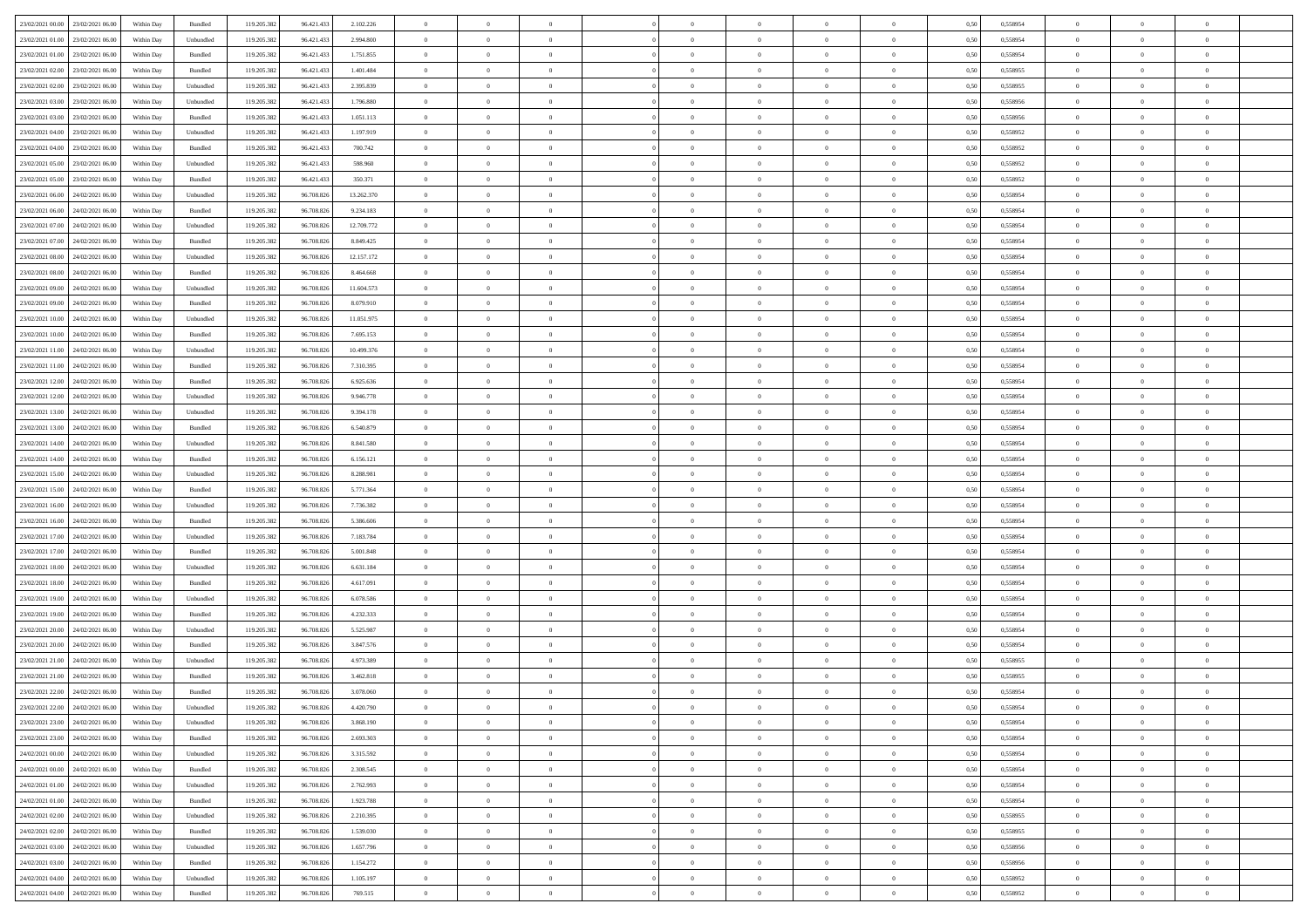| 23/02/2021 00:00 23/02/2021 06:00 |                                   | Within Day | Bundled   | 119.205.382 | 96.421.433 | 2.102.226  | $\overline{0}$ | $\theta$       |                | $\overline{0}$ | $\bf{0}$       | $\overline{0}$ | $\theta$       | 0,50 | 0,558954 | $\theta$       | $\theta$       | $\overline{0}$           |  |
|-----------------------------------|-----------------------------------|------------|-----------|-------------|------------|------------|----------------|----------------|----------------|----------------|----------------|----------------|----------------|------|----------|----------------|----------------|--------------------------|--|
|                                   |                                   |            |           |             |            |            | $\overline{0}$ |                |                |                |                |                |                |      |          |                |                |                          |  |
| 23/02/2021 01:00                  | 23/02/2021 06.00                  | Within Day | Unbundled | 119.205.382 | 96.421.433 | 2.994.800  |                | $\overline{0}$ | $\overline{0}$ | $\overline{0}$ | $\,$ 0         | $\overline{0}$ | $\bf{0}$       | 0,50 | 0,558954 | $\,$ 0 $\,$    | $\overline{0}$ | $\overline{0}$           |  |
| 23/02/2021 01:00                  | 23/02/2021 06:00                  | Within Day | Bundled   | 119.205.382 | 96.421.433 | 1.751.855  | $\overline{0}$ | $\overline{0}$ | $\overline{0}$ | $\overline{0}$ | $\bf{0}$       | $\overline{0}$ | $\mathbf{0}$   | 0.50 | 0.558954 | $\,$ 0 $\,$    | $\overline{0}$ | $\overline{0}$           |  |
| 23/02/2021 02:00                  | 23/02/2021 06:00                  | Within Day | Bundled   | 119.205.382 | 96.421.433 | 1.401.484  | $\overline{0}$ | $\overline{0}$ | $\overline{0}$ | $\overline{0}$ | $\bf{0}$       | $\overline{0}$ | $\overline{0}$ | 0,50 | 0,558955 | $\,$ 0 $\,$    | $\overline{0}$ | $\overline{0}$           |  |
| 23/02/2021 02:00                  | 23/02/2021 06.00                  | Within Day | Unbundled | 119.205.382 | 96.421.433 | 2.395.839  | $\overline{0}$ | $\theta$       | $\overline{0}$ |                | $\,$ 0         | $\overline{0}$ | $\bf{0}$       | 0,50 | 0,558955 | $\,$ 0 $\,$    | $\overline{0}$ | $\overline{0}$           |  |
| 23/02/2021 03:00                  | 23/02/2021 06:00                  | Within Day | Unbundled | 119.205.382 | 96.421.433 | 1.796.880  | $\overline{0}$ | $\overline{0}$ | $\overline{0}$ | $\overline{0}$ | $\bf{0}$       | $\overline{0}$ | $\bf{0}$       | 0.50 | 0.558956 | $\,0\,$        | $\theta$       | $\overline{0}$           |  |
| 23/02/2021 03:00                  | 23/02/2021 06:00                  | Within Day | Bundled   | 119.205.382 | 96.421.433 | 1.051.113  | $\overline{0}$ | $\overline{0}$ | $\overline{0}$ | $\overline{0}$ | $\,$ 0         | $\overline{0}$ | $\overline{0}$ | 0,50 | 0,558956 | $\theta$       | $\theta$       | $\overline{0}$           |  |
| 23/02/2021 04:00                  | 23/02/2021 06.00                  | Within Day | Unbundled | 119.205.382 | 96.421.433 | 1.197.919  | $\overline{0}$ | $\theta$       | $\overline{0}$ |                | $\,$ 0         | $\bf{0}$       | $\bf{0}$       | 0,50 | 0,558952 | $\,$ 0 $\,$    | $\overline{0}$ | $\overline{0}$           |  |
|                                   |                                   |            |           |             |            |            |                |                |                |                |                |                |                |      |          |                |                |                          |  |
| 23/02/2021 04:00                  | 23/02/2021 06:00                  | Within Day | Bundled   | 119.205.382 | 96.421.433 | 700.742    | $\overline{0}$ | $\overline{0}$ | $\overline{0}$ | $\overline{0}$ | $\bf{0}$       | $\overline{0}$ | $\bf{0}$       | 0.50 | 0.558952 | $\,0\,$        | $\overline{0}$ | $\overline{0}$           |  |
| 23/02/2021 05:00                  | 23/02/2021 06:00                  | Within Day | Unbundled | 119.205.382 | 96.421.433 | 598.960    | $\overline{0}$ | $\overline{0}$ | $\overline{0}$ | $\overline{0}$ | $\bf{0}$       | $\overline{0}$ | $\bf{0}$       | 0,50 | 0,558952 | $\,$ 0 $\,$    | $\theta$       | $\overline{0}$           |  |
| 23/02/2021 05:00                  | 23/02/2021 06.00                  | Within Day | Bundled   | 119.205.382 | 96.421.433 | 350.371    | $\bf{0}$       | $\theta$       | $\overline{0}$ | $\overline{0}$ | $\,$ 0         | $\bf{0}$       | $\bf{0}$       | 0,50 | 0,558952 | $\,$ 0 $\,$    | $\overline{0}$ | $\overline{0}$           |  |
| 23/02/2021 06:00                  | 24/02/2021 06:00                  | Within Day | Unbundled | 119.205.382 | 96,708,826 | 13.262.370 | $\overline{0}$ | $\overline{0}$ | $\overline{0}$ | $\overline{0}$ | $\bf{0}$       | $\overline{0}$ | $\mathbf{0}$   | 0.50 | 0.558954 | $\,$ 0 $\,$    | $\overline{0}$ | $\bf{0}$                 |  |
| 23/02/2021 06:00                  | 24/02/2021 06.00                  | Within Day | Bundled   | 119.205.382 | 96.708.826 | 9.234.183  | $\overline{0}$ | $\overline{0}$ | $\overline{0}$ | $\overline{0}$ | $\bf{0}$       | $\overline{0}$ | $\overline{0}$ | 0,50 | 0,558954 | $\,$ 0 $\,$    | $\overline{0}$ | $\overline{0}$           |  |
| 23/02/2021 07:00                  | 24/02/2021 06.00                  | Within Day | Unbundled | 119.205.382 | 96.708.826 | 12.709.772 | $\overline{0}$ | $\theta$       | $\overline{0}$ |                | $\,$ 0         | $\overline{0}$ | $\bf{0}$       | 0,50 | 0,558954 | $\,$ 0 $\,$    | $\overline{0}$ | $\overline{0}$           |  |
| 23/02/2021 07:00                  | 24/02/2021 06:00                  | Within Day | Bundled   | 119.205.382 | 96,708.826 | 8.849.425  | $\overline{0}$ | $\overline{0}$ | $\overline{0}$ | $\overline{0}$ | $\bf{0}$       | $\overline{0}$ | $\bf{0}$       | 0.50 | 0.558954 | $\,0\,$        | $\theta$       | $\overline{0}$           |  |
|                                   |                                   |            |           |             |            |            | $\overline{0}$ | $\overline{0}$ | $\overline{0}$ | $\overline{0}$ |                | $\overline{0}$ | $\overline{0}$ |      |          | $\theta$       | $\theta$       | $\overline{0}$           |  |
| 23/02/2021 08:00                  | 24/02/2021 06.00                  | Within Day | Unbundled | 119.205.382 | 96.708.826 | 12.157.172 |                |                |                |                | $\bf{0}$       |                |                | 0,50 | 0,558954 |                |                |                          |  |
| 23/02/2021 08:00                  | 24/02/2021 06.00                  | Within Day | Bundled   | 119.205.382 | 96.708.826 | 8.464.668  | $\overline{0}$ | $\theta$       | $\overline{0}$ |                | $\,$ 0         | $\overline{0}$ | $\bf{0}$       | 0,50 | 0,558954 | $\,$ 0 $\,$    | $\overline{0}$ | $\overline{0}$           |  |
| 23/02/2021 09:00                  | 24/02/2021 06:00                  | Within Day | Unbundled | 119.205.382 | 96,708.826 | 11.604.573 | $\overline{0}$ | $\overline{0}$ | $\overline{0}$ | $\overline{0}$ | $\bf{0}$       | $\overline{0}$ | $\bf{0}$       | 0.50 | 0.558954 | $\,0\,$        | $\overline{0}$ | $\overline{\phantom{a}}$ |  |
| 23/02/2021 09:00                  | 24/02/2021 06.00                  | Within Day | Bundled   | 119.205.382 | 96.708.826 | 8.079.910  | $\overline{0}$ | $\overline{0}$ | $\overline{0}$ | $\overline{0}$ | $\bf{0}$       | $\overline{0}$ | $\bf{0}$       | 0,50 | 0,558954 | $\,$ 0 $\,$    | $\theta$       | $\overline{0}$           |  |
| 23/02/2021 10:00                  | 24/02/2021 06.00                  | Within Day | Unbundled | 119.205.382 | 96.708.826 | 11.051.975 | $\bf{0}$       | $\,$ 0 $\,$    | $\overline{0}$ | $\overline{0}$ | $\,$ 0         | $\bf{0}$       | $\bf{0}$       | 0,50 | 0,558954 | $\,$ 0 $\,$    | $\overline{0}$ | $\overline{0}$           |  |
| 23/02/2021 10:00                  | 24/02/2021 06:00                  | Within Day | Bundled   | 119.205.382 | 96,708.826 | 7.695.153  | $\overline{0}$ | $\overline{0}$ | $\overline{0}$ | $\overline{0}$ | $\bf{0}$       | $\overline{0}$ | $\mathbf{0}$   | 0.50 | 0.558954 | $\,$ 0 $\,$    | $\overline{0}$ | $\overline{0}$           |  |
| 23/02/2021 11:00                  | 24/02/2021 06.00                  | Within Day | Unbundled | 119.205.382 | 96.708.826 | 10.499.376 | $\overline{0}$ | $\overline{0}$ | $\overline{0}$ | $\overline{0}$ | $\bf{0}$       | $\overline{0}$ | $\overline{0}$ | 0,50 | 0,558954 | $\theta$       | $\overline{0}$ | $\overline{0}$           |  |
|                                   |                                   |            |           |             |            |            |                |                |                |                |                |                |                |      |          |                |                |                          |  |
| 23/02/2021 11:00                  | 24/02/2021 06.00                  | Within Day | Bundled   | 119.205.382 | 96.708.826 | 7.310.395  | $\overline{0}$ | $\theta$       | $\overline{0}$ | $\overline{0}$ | $\,$ 0         | $\overline{0}$ | $\bf{0}$       | 0,50 | 0,558954 | $\,$ 0 $\,$    | $\overline{0}$ | $\overline{0}$           |  |
| 23/02/2021 12:00                  | 24/02/2021 06:00                  | Within Day | Bundled   | 119.205.382 | 96,708.826 | 6.925.636  | $\overline{0}$ | $\overline{0}$ | $\overline{0}$ | $\overline{0}$ | $\bf{0}$       | $\overline{0}$ | $\bf{0}$       | 0.50 | 0.558954 | $\,0\,$        | $\theta$       | $\overline{0}$           |  |
| 23/02/2021 12:00                  | 24/02/2021 06:00                  | Within Day | Unbundled | 119.205.382 | 96.708.826 | 9.946.778  | $\overline{0}$ | $\overline{0}$ | $\overline{0}$ | $\overline{0}$ | $\,$ 0         | $\overline{0}$ | $\overline{0}$ | 0,50 | 0,558954 | $\,$ 0 $\,$    | $\theta$       | $\overline{0}$           |  |
| 23/02/2021 13:00                  | 24/02/2021 06.00                  | Within Day | Unbundled | 119.205.382 | 96.708.826 | 9.394.178  | $\overline{0}$ | $\theta$       | $\overline{0}$ |                | $\bf{0}$       | $\overline{0}$ | $\bf{0}$       | 0,50 | 0,558954 | $\,$ 0 $\,$    | $\overline{0}$ | $\overline{0}$           |  |
| 23/02/2021 13:00                  | 24/02/2021 06:00                  | Within Day | Bundled   | 119.205.382 | 96,708.826 | 6.540.879  | $\overline{0}$ | $\overline{0}$ | $\overline{0}$ | $\overline{0}$ | $\bf{0}$       | $\overline{0}$ | $\bf{0}$       | 0.50 | 0.558954 | $\,0\,$        | $\overline{0}$ | $\overline{0}$           |  |
| 23/02/2021 14:00                  | 24/02/2021 06:00                  | Within Day | Unbundled | 119.205.382 | 96.708.826 | 8.841.580  | $\overline{0}$ | $\overline{0}$ | $\overline{0}$ | $\overline{0}$ | $\bf{0}$       | $\overline{0}$ | $\bf{0}$       | 0,50 | 0,558954 | $\,$ 0 $\,$    | $\theta$       | $\overline{0}$           |  |
| 23/02/2021 14:00                  | 24/02/2021 06.00                  | Within Day | Bundled   | 119.205.382 | 96.708.826 | 6.156.121  | $\bf{0}$       | $\overline{0}$ | $\overline{0}$ | $\overline{0}$ | $\bf{0}$       | $\bf{0}$       | $\bf{0}$       | 0,50 | 0,558954 | $\,$ 0 $\,$    | $\overline{0}$ | $\overline{0}$           |  |
|                                   | 24/02/2021 06:00                  |            | Unbundled | 119.205.382 | 96,708.826 | 8.288.981  |                | $\overline{0}$ |                |                |                | $\overline{0}$ |                | 0.50 | 0.558954 | $\,$ 0 $\,$    |                |                          |  |
| 23/02/2021 15:00                  |                                   | Within Day |           |             |            |            | $\overline{0}$ |                | $\overline{0}$ | $\overline{0}$ | $\bf{0}$       |                | $\mathbf{0}$   |      |          |                | $\overline{0}$ | $\bf{0}$                 |  |
| 23/02/2021 15:00                  | 24/02/2021 06:00                  | Within Dav | Bundled   | 119.205.382 | 96.708.826 | 5.771.364  | $\overline{0}$ | $\overline{0}$ | $\overline{0}$ | $\overline{0}$ | $\mathbf{0}$   | $\overline{0}$ | $\overline{0}$ | 0.50 | 0,558954 | $\theta$       | $\overline{0}$ | $\overline{0}$           |  |
| 23/02/2021 16:00                  | 24/02/2021 06.00                  | Within Day | Unbundled | 119.205.382 | 96.708.826 | 7.736.382  | $\overline{0}$ | $\theta$       | $\overline{0}$ |                | $\,$ 0         | $\overline{0}$ | $\bf{0}$       | 0,50 | 0,558954 | $\,$ 0 $\,$    | $\overline{0}$ | $\overline{0}$           |  |
| 23/02/2021 16:00                  | 24/02/2021 06:00                  | Within Day | Bundled   | 119.205.382 | 96,708.826 | 5.386,606  | $\overline{0}$ | $\overline{0}$ | $\overline{0}$ | $\overline{0}$ | $\bf{0}$       | $\overline{0}$ | $\bf{0}$       | 0.50 | 0.558954 | $\,0\,$        | $\theta$       | $\overline{0}$           |  |
| 23/02/2021 17:00                  | 24/02/2021 06:00                  | Within Dav | Unbundled | 119.205.382 | 96.708.826 | 7.183.784  | $\overline{0}$ | $\overline{0}$ | $\Omega$       | $\Omega$       | $\mathbf{0}$   | $\overline{0}$ | $\overline{0}$ | 0.50 | 0,558954 | $\theta$       | $\overline{0}$ | $\overline{0}$           |  |
| 23/02/2021 17:00                  | 24/02/2021 06.00                  | Within Day | Bundled   | 119.205.382 | 96.708.826 | 5.001.848  | $\overline{0}$ | $\theta$       | $\overline{0}$ |                | $\,$ 0         | $\overline{0}$ | $\bf{0}$       | 0,50 | 0,558954 | $\,$ 0 $\,$    | $\overline{0}$ | $\overline{0}$           |  |
| 23/02/2021 18:00                  | 24/02/2021 06:00                  | Within Day | Unbundled | 119.205.382 | 96,708.826 | 6.631.184  | $\overline{0}$ | $\overline{0}$ | $\overline{0}$ | $\overline{0}$ | $\bf{0}$       | $\overline{0}$ | $\bf{0}$       | 0.50 | 0.558954 | $\,0\,$        | $\overline{0}$ | $\overline{0}$           |  |
| 23/02/2021 18:00                  | 24/02/2021 06:00                  | Within Dav | Bundled   | 119.205.382 | 96.708.826 | 4.617.091  | $\overline{0}$ | $\overline{0}$ | $\overline{0}$ | $\overline{0}$ | $\overline{0}$ | $\overline{0}$ | $\overline{0}$ | 0.50 | 0,558954 | $\theta$       | $\overline{0}$ | $\overline{0}$           |  |
|                                   | 24/02/2021 06.00                  | Within Day | Unbundled |             | 96.708.826 | 6.078.586  | $\overline{0}$ | $\overline{0}$ | $\overline{0}$ | $\overline{0}$ | $\bf{0}$       | $\bf{0}$       | $\bf{0}$       | 0,50 | 0,558954 | $\,$ 0 $\,$    | $\overline{0}$ | $\overline{0}$           |  |
| 23/02/2021 19:00                  |                                   |            |           | 119.205.382 |            |            |                |                |                |                |                |                |                |      |          |                |                |                          |  |
| 23/02/2021 19:00                  | 24/02/2021 06:00                  | Within Day | Bundled   | 119.205.382 | 96,708.826 | 4.232.333  | $\overline{0}$ | $\overline{0}$ | $\overline{0}$ | $\overline{0}$ | $\bf{0}$       | $\overline{0}$ | $\mathbf{0}$   | 0.50 | 0.558954 | $\,$ 0 $\,$    | $\overline{0}$ | $\overline{0}$           |  |
| 23/02/2021 20:00                  | 24/02/2021 06:00                  | Within Dav | Unbundled | 119.205.382 | 96.708.826 | 5.525.987  | $\overline{0}$ | $\overline{0}$ | $\Omega$       | $\Omega$       | $\mathbf{0}$   | $\overline{0}$ | $\overline{0}$ | 0.50 | 0,558954 | $\theta$       | $\overline{0}$ | $\overline{0}$           |  |
| 23/02/2021 20:00                  | 24/02/2021 06.00                  | Within Day | Bundled   | 119.205.382 | 96.708.826 | 3.847.576  | $\overline{0}$ | $\overline{0}$ | $\overline{0}$ | $\overline{0}$ | $\,$ 0         | $\bf{0}$       | $\bf{0}$       | 0,50 | 0,558954 | $\,$ 0 $\,$    | $\overline{0}$ | $\overline{0}$           |  |
| 23/02/2021 21:00                  | 24/02/2021 06:00                  | Within Day | Unbundled | 119.205.382 | 96,708.826 | 4.973.389  | $\overline{0}$ | $\overline{0}$ | $\overline{0}$ | $\overline{0}$ | $\bf{0}$       | $\overline{0}$ | $\overline{0}$ | 0.50 | 0.558955 | $\,0\,$        | $\theta$       | $\overline{0}$           |  |
| 23/02/2021 21:00                  | 24/02/2021 06:00                  | Within Dav | Bundled   | 119.205.382 | 96.708.826 | 3.462.818  | $\overline{0}$ | $\Omega$       | $\Omega$       | $\Omega$       | $\bf{0}$       | $\overline{0}$ | $\overline{0}$ | 0.50 | 0,558955 | $\theta$       | $\overline{0}$ | $\overline{0}$           |  |
| 23/02/2021 22:00                  | 24/02/2021 06:00                  | Within Day | Bundled   | 119.205.382 | 96.708.826 | 3.078.060  | $\overline{0}$ | $\overline{0}$ | $\overline{0}$ | $\bf{0}$       | $\,$ 0         | $\bf{0}$       | $\bf{0}$       | 0,50 | 0,558954 | $\,$ 0 $\,$    | $\overline{0}$ | $\overline{0}$           |  |
| 23/02/2021 22:00                  | 24/02/2021 06:00                  | Within Day | Unbundled | 119.205.382 | 96.708.826 | 4.420.790  | $\bf{0}$       | $\theta$       |                |                |                |                |                | 0,50 | 0.558954 | $\,$ 0         | $\theta$       |                          |  |
| 23/02/2021 23:00 24/02/2021 06:00 |                                   | Within Day | Unbundled | 119.205.382 | 96.708.826 | 3.868.190  | $\Omega$       | $\overline{0}$ | $\overline{0}$ | $\Omega$       | $\mathbf{0}$   | $\overline{0}$ | $\mathbf{0}$   | 0.50 | 0,558954 | $\theta$       | $\theta$       | $\overline{0}$           |  |
|                                   |                                   |            |           |             |            |            |                |                |                |                |                |                |                |      |          |                |                |                          |  |
| 23/02/2021 23:00                  | 24/02/2021 06:00                  | Within Day | Bundled   | 119.205.382 | 96.708.826 | 2.693.303  | $\overline{0}$ | $\bf{0}$       | $\overline{0}$ | $\bf{0}$       | $\overline{0}$ | $\overline{0}$ | $\mathbf{0}$   | 0,50 | 0,558954 | $\overline{0}$ | $\overline{0}$ | $\bf{0}$                 |  |
| 24/02/2021 00:00                  | 24/02/2021 06:00                  | Within Day | Unbundled | 119.205.382 | 96,708,826 | 3.315.592  | $\overline{0}$ | $\overline{0}$ | $\overline{0}$ | $\overline{0}$ | $\overline{0}$ | $\overline{0}$ | $\mathbf{0}$   | 0.50 | 0.558954 | $\overline{0}$ | $\bf{0}$       | $\bf{0}$                 |  |
| 24/02/2021 00:00                  | 24/02/2021 06:00                  | Within Day | Bundled   | 119.205.382 | 96.708.826 | 2.308.545  | $\overline{0}$ | $\overline{0}$ | $\overline{0}$ | $\overline{0}$ | $\mathbf{0}$   | $\overline{0}$ | $\mathbf{0}$   | 0.50 | 0,558954 | $\overline{0}$ | $\theta$       | $\overline{0}$           |  |
| 24/02/2021 01:00                  | 24/02/2021 06:00                  | Within Day | Unbundled | 119.205.382 | 96.708.826 | 2.762.993  | $\overline{0}$ | $\overline{0}$ | $\overline{0}$ | $\overline{0}$ | $\bf{0}$       | $\bf{0}$       | $\bf{0}$       | 0,50 | 0,558954 | $\bf{0}$       | $\overline{0}$ | $\overline{0}$           |  |
| 24/02/2021 01:00                  | 24/02/2021 06:00                  | Within Day | Bundled   | 119.205.382 | 96,708,826 | 1.923.788  | $\overline{0}$ | $\overline{0}$ | $\overline{0}$ | $\overline{0}$ | $\bf{0}$       | $\overline{0}$ | $\mathbf{0}$   | 0.50 | 0.558954 | $\,$ 0 $\,$    | $\overline{0}$ | $\overline{0}$           |  |
| 24/02/2021 02:00                  | 24/02/2021 06:00                  | Within Day | Unbundled | 119.205.382 | 96.708.826 | 2.210.395  | $\overline{0}$ | $\overline{0}$ | $\overline{0}$ | $\overline{0}$ | $\overline{0}$ | $\overline{0}$ | $\overline{0}$ | 0.50 | 0,558955 | $\overline{0}$ | $\theta$       | $\overline{0}$           |  |
| 24/02/2021 02:00                  | 24/02/2021 06:00                  | Within Day | Bundled   | 119.205.382 | 96.708.826 | 1.539.030  | $\overline{0}$ | $\,$ 0         | $\overline{0}$ | $\bf{0}$       | $\,$ 0 $\,$    | $\overline{0}$ | $\bf{0}$       | 0,50 | 0,558955 | $\,$ 0 $\,$    | $\overline{0}$ | $\overline{0}$           |  |
|                                   |                                   |            |           |             |            |            |                |                |                |                |                |                |                |      |          |                |                |                          |  |
| 24/02/2021 03:00                  | 24/02/2021 06:00                  | Within Day | Unbundled | 119.205.382 | 96,708,826 | 1.657.796  | $\overline{0}$ | $\overline{0}$ | $\overline{0}$ | $\overline{0}$ | $\bf{0}$       | $\overline{0}$ | $\mathbf{0}$   | 0.50 | 0.558956 | $\mathbf{0}$   | $\bf{0}$       | $\overline{0}$           |  |
| 24/02/2021 03:00                  | 24/02/2021 06:00                  | Within Day | Bundled   | 119.205.382 | 96.708.826 | 1.154.272  | $\overline{0}$ | $\overline{0}$ | $\overline{0}$ | $\overline{0}$ | $\overline{0}$ | $\overline{0}$ | $\overline{0}$ | 0,50 | 0,558956 | $\overline{0}$ | $\theta$       | $\overline{0}$           |  |
| 24/02/2021 04:00                  | 24/02/2021 06.00                  | Within Day | Unbundled | 119.205.382 | 96.708.826 | 1.105.197  | $\overline{0}$ | $\overline{0}$ | $\overline{0}$ | $\bf{0}$       | $\bf{0}$       | $\bf{0}$       | $\bf{0}$       | 0,50 | 0,558952 | $\bf{0}$       | $\overline{0}$ | $\bf{0}$                 |  |
|                                   | 24/02/2021 04:00 24/02/2021 06:00 | Within Day | Bundled   | 119.205.382 | 96.708.826 | 769.515    | $\overline{0}$ | $\,$ 0 $\,$    | $\overline{0}$ | $\overline{0}$ | $\bf{0}$       | $\overline{0}$ | $\,$ 0 $\,$    | 0,50 | 0,558952 | $\overline{0}$ | $\,$ 0 $\,$    | $\,$ 0 $\,$              |  |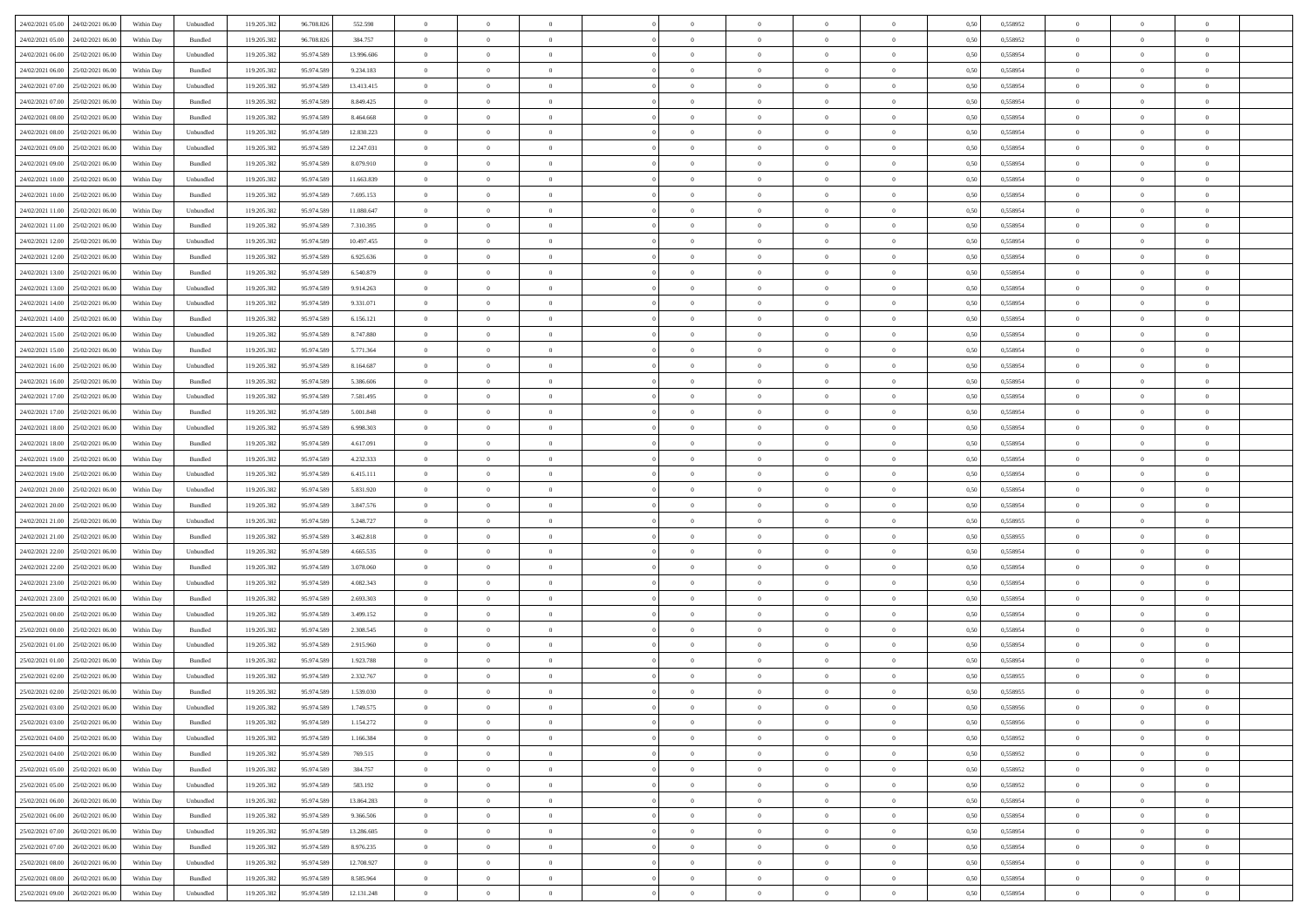| 24/02/2021 05:00 24/02/2021 06:00    | Within Day | Unbundled                   | 119.205.382 | 96.708.826 | 552.598    | $\overline{0}$ | $\overline{0}$ |                | $\overline{0}$ | $\theta$       |                | $\theta$       | 0,50 | 0,558952 | $\theta$       | $\theta$       | $\overline{0}$ |  |
|--------------------------------------|------------|-----------------------------|-------------|------------|------------|----------------|----------------|----------------|----------------|----------------|----------------|----------------|------|----------|----------------|----------------|----------------|--|
| 24/02/2021 05:00<br>24/02/2021 06.00 | Within Day | Bundled                     | 119.205.38  | 96.708.826 | 384.757    | $\bf{0}$       | $\bf{0}$       | $\bf{0}$       | $\bf{0}$       | $\overline{0}$ | $\overline{0}$ | $\bf{0}$       | 0,50 | 0,558952 | $\,$ 0 $\,$    | $\bf{0}$       | $\overline{0}$ |  |
| 24/02/2021 06:00<br>25/02/2021 06:00 | Within Day | Unbundled                   | 119.205.382 | 95.974.589 | 13,996,606 | $\overline{0}$ | $\bf{0}$       | $\overline{0}$ | $\bf{0}$       | $\bf{0}$       | $\overline{0}$ | $\bf{0}$       | 0.50 | 0.558954 | $\bf{0}$       | $\overline{0}$ | $\overline{0}$ |  |
| 24/02/2021 06:00<br>25/02/2021 06:00 |            |                             | 119.205.382 | 95.974.589 |            | $\overline{0}$ | $\overline{0}$ | $\overline{0}$ | $\theta$       | $\theta$       | $\overline{0}$ |                |      |          | $\theta$       | $\theta$       | $\overline{0}$ |  |
|                                      | Within Day | Bundled                     |             |            | 9.234.183  |                |                |                |                |                |                | $\bf{0}$       | 0,50 | 0,558954 |                |                |                |  |
| 24/02/2021 07:00<br>25/02/2021 06.00 | Within Day | Unbundled                   | 119.205.38  | 95.974.589 | 13.413.415 | $\bf{0}$       | $\overline{0}$ | $\bf{0}$       | $\overline{0}$ | $\bf{0}$       | $\overline{0}$ | $\bf{0}$       | 0,50 | 0,558954 | $\,$ 0 $\,$    | $\bf{0}$       | $\overline{0}$ |  |
| 24/02/2021 07:00<br>25/02/2021 06:00 | Within Day | Bundled                     | 119.205.382 | 95.974.589 | 8.849.425  | $\overline{0}$ | $\bf{0}$       | $\overline{0}$ | $\bf{0}$       | $\overline{0}$ | $\theta$       | $\bf{0}$       | 0.50 | 0.558954 | $\,$ 0 $\,$    | $\theta$       | $\overline{0}$ |  |
| 24/02/2021 08:00<br>25/02/2021 06:00 | Within Day | Bundled                     | 119.205.382 | 95.974.589 | 8.464.668  | $\overline{0}$ | $\overline{0}$ | $\overline{0}$ | $\overline{0}$ | $\overline{0}$ | $\overline{0}$ | $\bf{0}$       | 0,50 | 0,558954 | $\,$ 0 $\,$    | $\theta$       | $\overline{0}$ |  |
|                                      |            |                             |             |            |            |                |                |                |                |                |                |                |      |          |                |                |                |  |
| 24/02/2021 08:00<br>25/02/2021 06.00 | Within Day | Unbundled                   | 119.205.38  | 95.974.589 | 12.830.223 | $\bf{0}$       | $\bf{0}$       | $\bf{0}$       | $\overline{0}$ | $\overline{0}$ | $\overline{0}$ | $\bf{0}$       | 0,50 | 0,558954 | $\,$ 0 $\,$    | $\bf{0}$       | $\overline{0}$ |  |
| 24/02/2021 09:00<br>25/02/2021 06:00 | Within Day | Unbundled                   | 119,205.38  | 95.974.589 | 12.247.031 | $\overline{0}$ | $\bf{0}$       | $\overline{0}$ | $\bf{0}$       | $\overline{0}$ | $\overline{0}$ | $\bf{0}$       | 0.50 | 0.558954 | $\bf{0}$       | $\overline{0}$ | $\overline{0}$ |  |
| 24/02/2021 09:00<br>25/02/2021 06:00 | Within Day | Bundled                     | 119.205.382 | 95.974.589 | 8.079.910  | $\overline{0}$ | $\bf{0}$       | $\overline{0}$ | $\overline{0}$ | $\overline{0}$ | $\overline{0}$ | $\bf{0}$       | 0,50 | 0,558954 | $\,$ 0 $\,$    | $\,$ 0 $\,$    | $\overline{0}$ |  |
| 24/02/2021 10:00<br>25/02/2021 06.00 | Within Day | Unbundled                   | 119.205.38  | 95.974.589 | 11.663.839 | $\bf{0}$       | $\bf{0}$       | $\bf{0}$       | $\bf{0}$       | $\overline{0}$ | $\overline{0}$ | $\bf{0}$       | 0,50 | 0,558954 | $\,$ 0 $\,$    | $\bf{0}$       | $\overline{0}$ |  |
|                                      |            |                             |             |            |            |                |                |                |                |                |                |                |      |          |                |                |                |  |
| 24/02/2021 10:00<br>25/02/2021 06:00 | Within Day | Bundled                     | 119.205.382 | 95.974.589 | 7.695.153  | $\overline{0}$ | $\bf{0}$       | $\overline{0}$ | $\overline{0}$ | $\bf{0}$       | $\overline{0}$ | $\bf{0}$       | 0.50 | 0.558954 | $\bf{0}$       | $\,$ 0 $\,$    | $\,$ 0         |  |
| 24/02/2021 11:00<br>25/02/2021 06:00 | Within Day | Unbundled                   | 119.205.38  | 95.974.589 | 11.080.647 | $\overline{0}$ | $\overline{0}$ | $\overline{0}$ | $\theta$       | $\theta$       | $\overline{0}$ | $\bf{0}$       | 0,50 | 0,558954 | $\,$ 0 $\,$    | $\theta$       | $\overline{0}$ |  |
| 24/02/2021 11:00<br>25/02/2021 06:00 | Within Day | Bundled                     | 119.205.38  | 95.974.589 | 7.310.395  | $\bf{0}$       | $\overline{0}$ | $\bf{0}$       | $\bf{0}$       | $\bf{0}$       | $\overline{0}$ | $\bf{0}$       | 0,50 | 0,558954 | $\,$ 0 $\,$    | $\bf{0}$       | $\overline{0}$ |  |
|                                      |            |                             |             |            |            |                |                |                |                |                |                |                |      |          |                |                |                |  |
| 24/02/2021 12:00<br>25/02/2021 06:00 | Within Day | Unbundled                   | 119,205.38  | 95.974.589 | 10.497.455 | $\overline{0}$ | $\bf{0}$       | $\overline{0}$ | $\bf{0}$       | $\overline{0}$ | $\overline{0}$ | $\bf{0}$       | 0.50 | 0.558954 | $\,$ 0 $\,$    | $\theta$       | $\overline{0}$ |  |
| 24/02/2021 12:00<br>25/02/2021 06:00 | Within Day | Bundled                     | 119.205.382 | 95.974.589 | 6.925.636  | $\overline{0}$ | $\overline{0}$ | $\overline{0}$ | $\overline{0}$ | $\overline{0}$ | $\overline{0}$ | $\bf{0}$       | 0,50 | 0,558954 | $\theta$       | $\theta$       | $\overline{0}$ |  |
| 24/02/2021 13:00<br>25/02/2021 06.00 | Within Day | Bundled                     | 119.205.38  | 95.974.589 | 6.540.879  | $\bf{0}$       | $\bf{0}$       | $\bf{0}$       | $\overline{0}$ | $\overline{0}$ | $\overline{0}$ | $\bf{0}$       | 0,50 | 0,558954 | $\,$ 0 $\,$    | $\bf{0}$       | $\overline{0}$ |  |
| 24/02/2021 13:00<br>25/02/2021 06:00 | Within Day | Unbundled                   | 119,205.38  | 95.974.589 | 9.914.263  | $\overline{0}$ | $\bf{0}$       | $\overline{0}$ | $\bf{0}$       | $\overline{0}$ | $\overline{0}$ | $\bf{0}$       | 0.50 | 0.558954 | $\bf{0}$       | $\overline{0}$ | $\overline{0}$ |  |
|                                      |            |                             |             |            |            | $\overline{0}$ |                | $\overline{0}$ | $\overline{0}$ | $\overline{0}$ | $\overline{0}$ |                |      |          | $\,$ 0 $\,$    |                |                |  |
| 24/02/2021 14:00<br>25/02/2021 06:00 | Within Day | Unbundled                   | 119.205.382 | 95.974.589 | 9.331.071  |                | $\bf{0}$       |                |                |                |                | $\bf{0}$       | 0,50 | 0,558954 |                | $\bf{0}$       | $\overline{0}$ |  |
| 24/02/2021 14:00<br>25/02/2021 06.00 | Within Day | Bundled                     | 119.205.38  | 95.974.589 | 6.156.121  | $\bf{0}$       | $\bf{0}$       | $\bf{0}$       | $\bf{0}$       | $\overline{0}$ | $\overline{0}$ | $\bf{0}$       | 0,50 | 0,558954 | $\,$ 0 $\,$    | $\bf{0}$       | $\overline{0}$ |  |
| 24/02/2021 15:00<br>25/02/2021 06:00 | Within Day | Unbundled                   | 119.205.382 | 95.974.589 | 8,747,880  | $\overline{0}$ | $\bf{0}$       | $\overline{0}$ | $\overline{0}$ | $\bf{0}$       | $\overline{0}$ | $\bf{0}$       | 0.50 | 0.558954 | $\bf{0}$       | $\overline{0}$ | $\,$ 0         |  |
| 24/02/2021 15:00<br>25/02/2021 06:00 | Within Day | Bundled                     | 119.205.382 | 95.974.589 | 5.771.364  | $\overline{0}$ | $\overline{0}$ | $\overline{0}$ | $\theta$       | $\theta$       | $\overline{0}$ | $\bf{0}$       | 0,50 | 0,558954 | $\theta$       | $\theta$       | $\overline{0}$ |  |
| 24/02/2021 16:00<br>25/02/2021 06.00 | Within Day | Unbundled                   | 119.205.38  | 95.974.589 | 8.164.687  | $\bf{0}$       | $\bf{0}$       | $\bf{0}$       | $\bf{0}$       | $\overline{0}$ | $\overline{0}$ | $\bf{0}$       | 0,50 | 0,558954 | $\,$ 0 $\,$    | $\bf{0}$       | $\overline{0}$ |  |
|                                      |            |                             |             |            |            |                |                |                |                |                |                |                |      |          |                |                |                |  |
| 24/02/2021 16:00<br>25/02/2021 06:00 | Within Day | Bundled                     | 119,205.38  | 95.974.589 | 5.386,606  | $\overline{0}$ | $\bf{0}$       | $\overline{0}$ | $\bf{0}$       | $\overline{0}$ | $\theta$       | $\bf{0}$       | 0.50 | 0.558954 | $\,$ 0 $\,$    | $\theta$       | $\overline{0}$ |  |
| 24/02/2021 17:00<br>25/02/2021 06:00 | Within Day | Unbundled                   | 119.205.382 | 95.974.589 | 7.581.495  | $\overline{0}$ | $\overline{0}$ | $\overline{0}$ | $\overline{0}$ | $\overline{0}$ | $\overline{0}$ | $\bf{0}$       | 0,50 | 0,558954 | $\,$ 0 $\,$    | $\theta$       | $\overline{0}$ |  |
| 24/02/2021 17:00<br>25/02/2021 06.00 | Within Day | Bundled                     | 119.205.38  | 95.974.589 | 5.001.848  | $\bf{0}$       | $\overline{0}$ | $\bf{0}$       | $\overline{0}$ | $\overline{0}$ | $\overline{0}$ | $\bf{0}$       | 0,50 | 0,558954 | $\,$ 0 $\,$    | $\bf{0}$       | $\overline{0}$ |  |
| 24/02/2021 18:00<br>25/02/2021 06:00 | Within Day | Unbundled                   | 119,205.38  | 95.974.589 | 6.998.303  | $\overline{0}$ | $\bf{0}$       | $\overline{0}$ | $\bf{0}$       | $\overline{0}$ | $\overline{0}$ | $\bf{0}$       | 0.50 | 0.558954 | $\bf{0}$       | $\overline{0}$ | $\overline{0}$ |  |
|                                      |            |                             |             |            |            |                |                |                |                |                |                |                |      |          |                |                |                |  |
| 24/02/2021 18:00<br>25/02/2021 06:00 | Within Day | Bundled                     | 119.205.382 | 95.974.589 | 4.617.091  | $\overline{0}$ | $\bf{0}$       | $\overline{0}$ | $\overline{0}$ | $\overline{0}$ | $\overline{0}$ | $\bf{0}$       | 0,50 | 0,558954 | $\theta$       | $\theta$       | $\overline{0}$ |  |
| 24/02/2021 19:00<br>25/02/2021 06.00 | Within Day | Bundled                     | 119.205.38  | 95.974.589 | 4.232.333  | $\bf{0}$       | $\bf{0}$       | $\bf{0}$       | $\bf{0}$       | $\overline{0}$ | $\overline{0}$ | $\bf{0}$       | 0,50 | 0,558954 | $\,$ 0 $\,$    | $\bf{0}$       | $\overline{0}$ |  |
| 24/02/2021 19:00<br>25/02/2021 06:00 | Within Day | Unbundled                   | 119.205.382 | 95.974.589 | 6.415.111  | $\overline{0}$ | $\bf{0}$       | $\overline{0}$ | $\overline{0}$ | $\bf{0}$       | $\overline{0}$ | $\bf{0}$       | 0.50 | 0.558954 | $\bf{0}$       | $\,$ 0 $\,$    | $\,$ 0         |  |
| 24/02/2021 20:00<br>25/02/2021 06:00 | Within Day | Unbundled                   | 119.205.382 | 95.974.589 | 5.831.920  | $\overline{0}$ | $\overline{0}$ | $\overline{0}$ | $\overline{0}$ | $\overline{0}$ | $\overline{0}$ | $\bf{0}$       | 0.50 | 0.558954 | $\theta$       | $\theta$       | $\overline{0}$ |  |
|                                      |            |                             |             |            |            |                |                |                |                |                |                |                |      |          |                |                |                |  |
| 24/02/2021 20:00<br>25/02/2021 06.00 | Within Day | Bundled                     | 119.205.38  | 95.974.589 | 3.847.576  | $\bf{0}$       | $\bf{0}$       | $\bf{0}$       | $\bf{0}$       | $\overline{0}$ | $\overline{0}$ | $\bf{0}$       | 0,50 | 0,558954 | $\,$ 0 $\,$    | $\bf{0}$       | $\overline{0}$ |  |
| 24/02/2021 21:00<br>25/02/2021 06:00 | Within Day | Unbundled                   | 119.205.382 | 95.974.589 | 5.248.727  | $\overline{0}$ | $\bf{0}$       | $\overline{0}$ | $\bf{0}$       | $\overline{0}$ | $\overline{0}$ | $\bf{0}$       | 0.50 | 0.558955 | $\bf{0}$       | $\bf{0}$       | $\overline{0}$ |  |
| 24/02/2021 21:00<br>25/02/2021 06:00 | Within Dav | Bundled                     | 119.205.382 | 95.974.589 | 3.462.818  | $\overline{0}$ | $\overline{0}$ | $\overline{0}$ | $\overline{0}$ | $\overline{0}$ | $\overline{0}$ | $\bf{0}$       | 0.50 | 0,558955 | $\theta$       | $\theta$       | $\overline{0}$ |  |
| 24/02/2021 22.00<br>25/02/2021 06.00 | Within Day | Unbundled                   | 119.205.38  | 95.974.589 | 4.665.535  | $\bf{0}$       | $\bf{0}$       | $\bf{0}$       | $\bf{0}$       | $\overline{0}$ | $\overline{0}$ | $\bf{0}$       | 0,50 | 0,558954 | $\,$ 0 $\,$    | $\bf{0}$       | $\overline{0}$ |  |
| 24/02/2021 22:00<br>25/02/2021 06:00 |            | Bundled                     | 119,205.38  | 95.974.589 | 3.078.060  |                | $\bf{0}$       | $\overline{0}$ |                | $\overline{0}$ | $\overline{0}$ |                | 0.50 | 0.558954 | $\bf{0}$       | $\overline{0}$ | $\overline{0}$ |  |
|                                      | Within Day |                             |             |            |            | $\overline{0}$ |                |                | $\bf{0}$       |                |                | $\bf{0}$       |      |          |                |                |                |  |
| 24/02/2021 23:00<br>25/02/2021 06:00 | Within Day | Unbundled                   | 119.205.38  | 95.974.589 | 4.082.343  | $\overline{0}$ | $\overline{0}$ | $\overline{0}$ | $\overline{0}$ | $\overline{0}$ | $\overline{0}$ | $\bf{0}$       | 0.50 | 0,558954 | $\theta$       | $\theta$       | $\overline{0}$ |  |
| 24/02/2021 23:00<br>25/02/2021 06.00 | Within Day | Bundled                     | 119.205.38  | 95.974.589 | 2.693.303  | $\bf{0}$       | $\bf{0}$       | $\bf{0}$       | $\bf{0}$       | $\overline{0}$ | $\overline{0}$ | $\bf{0}$       | 0,50 | 0,558954 | $\,$ 0 $\,$    | $\bf{0}$       | $\overline{0}$ |  |
| 25/02/2021 00:00<br>25/02/2021 06:00 | Within Day | Unbundled                   | 119.205.382 | 95.974.589 | 3.499.152  | $\overline{0}$ | $\bf{0}$       | $\overline{0}$ | $\overline{0}$ | $\bf{0}$       | $\overline{0}$ | $\bf{0}$       | 0.50 | 0.558954 | $\,$ 0 $\,$    | $\,$ 0 $\,$    | $\overline{0}$ |  |
| 25/02/2021 00:00<br>25/02/2021 06:00 | Within Dav | Bundled                     | 119.205.382 | 95.974.589 | 2.308.545  | $\overline{0}$ | $\overline{0}$ | $\overline{0}$ | $\overline{0}$ | $\overline{0}$ | $\overline{0}$ | $\bf{0}$       | 0.50 | 0,558954 | $\theta$       | $\theta$       | $\overline{0}$ |  |
|                                      |            |                             |             |            |            |                |                |                |                |                |                |                |      |          |                |                |                |  |
| 25/02/2021 01:00<br>25/02/2021 06.00 | Within Day | Unbundled                   | 119.205.38  | 95.974.589 | 2.915.960  | $\bf{0}$       | $\bf{0}$       | $\bf{0}$       | $\bf{0}$       | $\overline{0}$ | $\overline{0}$ | $\bf{0}$       | 0,50 | 0,558954 | $\,$ 0 $\,$    | $\bf{0}$       | $\overline{0}$ |  |
| 25/02/2021 01:00<br>25/02/2021 06:00 | Within Day | Bundled                     | 119.205.382 | 95.974.589 | 1.923.788  | $\overline{0}$ | $\bf{0}$       | $\overline{0}$ | $\bf{0}$       | $\overline{0}$ | $\overline{0}$ | $\bf{0}$       | 0.50 | 0.558954 | $\bf{0}$       | $\theta$       | $\overline{0}$ |  |
| 25/02/2021 02:00<br>25/02/2021 06:00 | Within Dav | Unbundled                   | 119.205.38  | 95.974.589 | 2.332.767  | $\overline{0}$ | $\overline{0}$ | $\Omega$       | $\theta$       | $\theta$       | $\overline{0}$ | $\overline{0}$ | 0.5( | 0,558955 | $\theta$       | $\theta$       | $\overline{0}$ |  |
| 25/02/2021 02:00<br>25/02/2021 06:00 | Within Day | Bundled                     | 119.205.382 | 95.974.589 | 1.539.030  | $\bf{0}$       | $\bf{0}$       | $\bf{0}$       | $\bf{0}$       | $\bf{0}$       | $\overline{0}$ | $\bf{0}$       | 0,50 | 0,558955 | $\,$ 0 $\,$    | $\overline{0}$ | $\overline{0}$ |  |
| 25/02/2021 03:00 25/02/2021 06:00    |            |                             |             |            | 1.749.575  |                |                |                |                |                |                |                |      |          |                |                |                |  |
|                                      | Within Day | $\ensuremath{\mathsf{Unb}}$ | 119.205.382 | 95.974.589 |            | $\bf{0}$       | $\theta$       |                | $\overline{0}$ |                |                |                | 0,50 | 0.558956 | $\bf{0}$       | $\bf{0}$       |                |  |
| 25/02/2021 03:00 25/02/2021 06:00    | Within Day | Bundled                     | 119.205.382 | 95.974.589 | 1.154.272  | $\overline{0}$ | $\overline{0}$ | $\Omega$       | $\theta$       | $\overline{0}$ | $\overline{0}$ | $\bf{0}$       | 0,50 | 0,558956 | $\theta$       | $\theta$       | $\overline{0}$ |  |
| 25/02/2021 04:00<br>25/02/2021 06:00 | Within Day | Unbundled                   | 119.205.38  | 95.974.589 | 1.166.384  | $\overline{0}$ | $\bf{0}$       | $\overline{0}$ | $\overline{0}$ | $\bf{0}$       | $\overline{0}$ | $\bf{0}$       | 0,50 | 0,558952 | $\bf{0}$       | $\overline{0}$ | $\bf{0}$       |  |
| 25/02/2021 04:00 25/02/2021 06:00    | Within Day | Bundled                     | 119.205.382 | 95.974.589 | 769.515    | $\overline{0}$ | $\bf{0}$       | $\overline{0}$ | $\overline{0}$ | $\mathbf{0}$   | $\overline{0}$ | $\,$ 0 $\,$    | 0.50 | 0.558952 | $\overline{0}$ | $\bf{0}$       | $\,$ 0 $\,$    |  |
| 25/02/2021 05:00 25/02/2021 06:00    | Within Dav | Bundled                     | 119.205.382 | 95.974.589 | 384.757    | $\overline{0}$ | $\overline{0}$ | $\overline{0}$ | $\overline{0}$ | $\overline{0}$ | $\overline{0}$ | $\bf{0}$       | 0.50 | 0,558952 | $\overline{0}$ | $\theta$       | $\overline{0}$ |  |
|                                      |            |                             |             |            |            |                |                |                |                |                |                |                |      |          |                |                |                |  |
| 25/02/2021 05:00<br>25/02/2021 06:00 | Within Day | Unbundled                   | 119.205.382 | 95.974.589 | 583.192    | $\overline{0}$ | $\bf{0}$       | $\overline{0}$ | $\overline{0}$ | $\overline{0}$ | $\overline{0}$ | $\bf{0}$       | 0,50 | 0,558952 | $\bf{0}$       | $\overline{0}$ | $\overline{0}$ |  |
| 25/02/2021 06:00<br>26/02/2021 06:00 | Within Day | Unbundled                   | 119.205.382 | 95.974.589 | 13.864.283 | $\overline{0}$ | $\bf{0}$       | $\overline{0}$ | $\overline{0}$ | $\overline{0}$ | $\overline{0}$ | $\bf{0}$       | 0.50 | 0.558954 | $\,$ 0 $\,$    | $\overline{0}$ | $\,$ 0         |  |
| 25/02/2021 06:00<br>26/02/2021 06:00 | Within Dav | Bundled                     | 119.205.382 | 95.974.589 | 9.366.506  | $\overline{0}$ | $\overline{0}$ | $\overline{0}$ | $\overline{0}$ | $\overline{0}$ | $\overline{0}$ | $\bf{0}$       | 0.50 | 0,558954 | $\overline{0}$ | $\theta$       | $\overline{0}$ |  |
|                                      |            |                             |             |            |            |                | $\overline{0}$ |                |                | $\overline{0}$ |                |                |      |          | $\bf{0}$       | $\overline{0}$ | $\,$ 0         |  |
| 25/02/2021 07:00<br>26/02/2021 06.00 | Within Day | Unbundled                   | 119.205.38  | 95.974.589 | 13.286.605 | $\overline{0}$ |                | $\overline{0}$ | $\overline{0}$ |                | $\overline{0}$ | $\bf{0}$       | 0,50 | 0,558954 |                |                |                |  |
| 25/02/2021 07:00<br>26/02/2021 06:00 | Within Day | Bundled                     | 119.205.382 | 95.974.589 | 8.976.235  | $\overline{0}$ | $\overline{0}$ | $\overline{0}$ | $\overline{0}$ | $\overline{0}$ | $\overline{0}$ | $\bf{0}$       | 0.50 | 0.558954 | $\mathbf{0}$   | $\bf{0}$       | $\,$ 0         |  |
| 25/02/2021 08:00 26/02/2021 06:00    | Within Dav | Unbundled                   | 119.205.382 | 95.974.589 | 12.708.927 | $\overline{0}$ | $\overline{0}$ | $\overline{0}$ | $\overline{0}$ | $\overline{0}$ | $\overline{0}$ | $\bf{0}$       | 0,50 | 0,558954 | $\overline{0}$ | $\theta$       | $\overline{0}$ |  |
| 25/02/2021 08:00<br>26/02/2021 06.00 | Within Day | Bundled                     | 119.205.38  | 95.974.589 | 8.585.964  | $\overline{0}$ | $\bf{0}$       | $\overline{0}$ | $\bf{0}$       | $\overline{0}$ | $\bf{0}$       | $\bf{0}$       | 0,50 | 0,558954 | $\bf{0}$       | $\,$ 0 $\,$    | $\bf{0}$       |  |
|                                      |            |                             |             |            |            |                |                |                |                |                |                |                |      |          |                |                |                |  |
| 25/02/2021 09:00 26/02/2021 06:00    | Within Day | Unbundled                   | 119.205.382 | 95.974.589 | 12.131.248 | $\overline{0}$ | $\bf{0}$       | $\overline{0}$ | $\overline{0}$ | $\,$ 0 $\,$    | $\overline{0}$ | $\bf{0}$       | 0,50 | 0,558954 | $\overline{0}$ | $\,$ 0 $\,$    | $\,$ 0 $\,$    |  |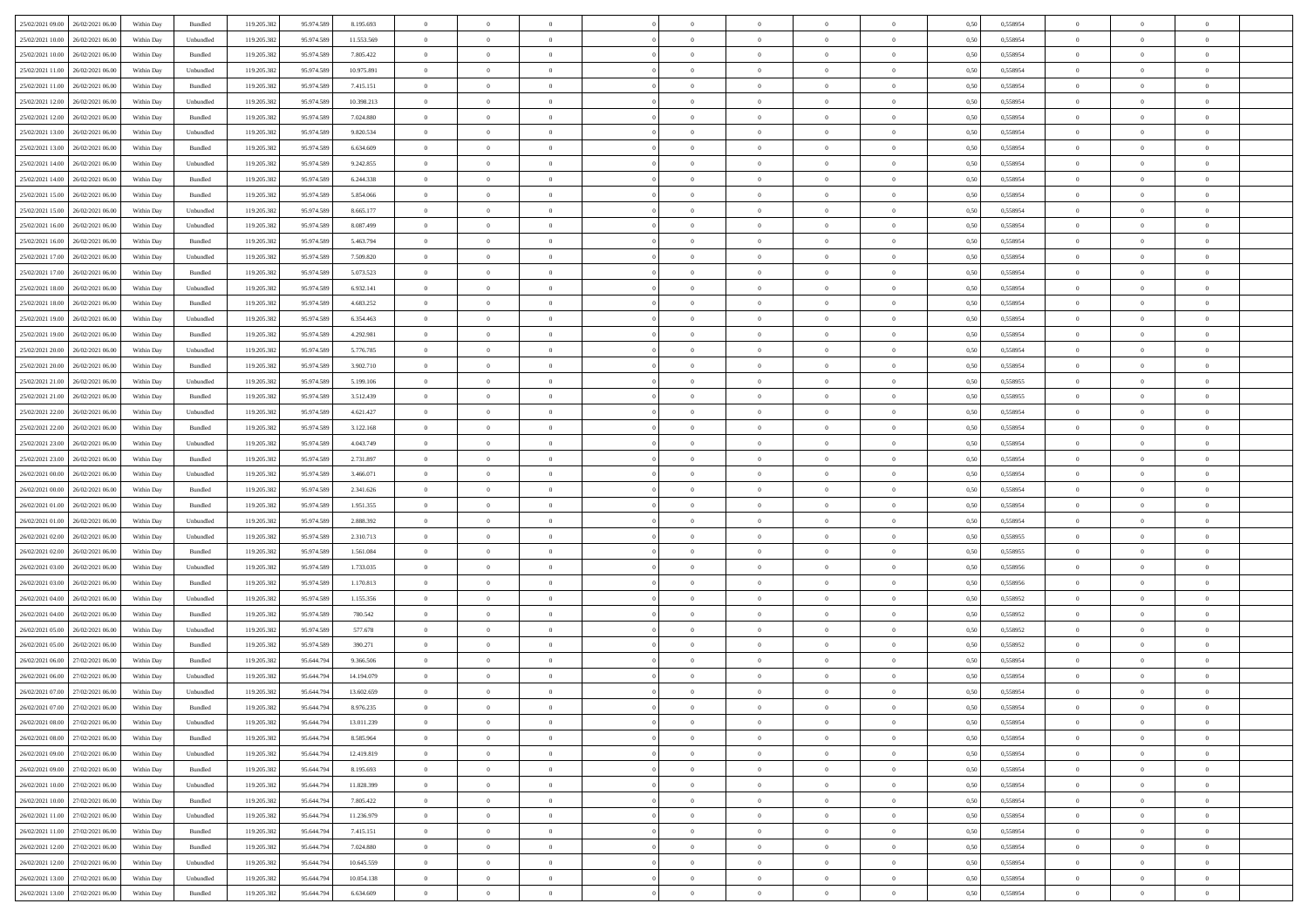| 25/02/2021 09:00 26/02/2021 06:00    | Within Day | Bundled   | 119.205.382 | 95.974.589 | 8.195.693  | $\overline{0}$ | $\overline{0}$ |                | $\overline{0}$ | $\theta$       |                | $\theta$       | 0,50 | 0,558954 | $\theta$       | $\theta$       | $\theta$       |  |
|--------------------------------------|------------|-----------|-------------|------------|------------|----------------|----------------|----------------|----------------|----------------|----------------|----------------|------|----------|----------------|----------------|----------------|--|
|                                      |            |           |             |            |            |                |                |                |                |                |                |                |      |          |                |                |                |  |
| 25/02/2021 10:00<br>26/02/2021 06.00 | Within Day | Unbundled | 119.205.38  | 95.974.589 | 11.553.569 | $\bf{0}$       | $\bf{0}$       | $\bf{0}$       | $\bf{0}$       | $\overline{0}$ | $\overline{0}$ | $\bf{0}$       | 0,50 | 0,558954 | $\,$ 0 $\,$    | $\bf{0}$       | $\overline{0}$ |  |
| 25/02/2021 10:00<br>26/02/2021 06:00 | Within Day | Bundled   | 119.205.382 | 95.974.589 | 7.805.422  | $\overline{0}$ | $\bf{0}$       | $\overline{0}$ | $\bf{0}$       | $\bf{0}$       | $\overline{0}$ | $\bf{0}$       | 0.50 | 0.558954 | $\overline{0}$ | $\overline{0}$ | $\overline{0}$ |  |
| 25/02/2021 11:00<br>26/02/2021 06:00 | Within Day | Unbundled | 119.205.382 | 95.974.589 | 10.975.891 | $\overline{0}$ | $\overline{0}$ | $\overline{0}$ | $\theta$       | $\theta$       | $\overline{0}$ | $\bf{0}$       | 0,50 | 0,558954 | $\theta$       | $\theta$       | $\overline{0}$ |  |
|                                      |            |           |             |            |            |                |                |                |                |                |                |                |      |          |                |                |                |  |
| 25/02/2021 11:00<br>26/02/2021 06.00 | Within Day | Bundled   | 119.205.38  | 95.974.589 | 7.415.151  | $\bf{0}$       | $\overline{0}$ | $\bf{0}$       | $\overline{0}$ | $\theta$       | $\overline{0}$ | $\bf{0}$       | 0,50 | 0,558954 | $\,$ 0 $\,$    | $\bf{0}$       | $\overline{0}$ |  |
| 25/02/2021 12:00<br>26/02/2021 06:00 | Within Day | Unbundled | 119,205.38  | 95.974.589 | 10.398.213 | $\overline{0}$ | $\bf{0}$       | $\overline{0}$ | $\bf{0}$       | $\overline{0}$ | $\theta$       | $\bf{0}$       | 0.50 | 0.558954 | $\,$ 0 $\,$    | $\theta$       | $\overline{0}$ |  |
| 25/02/2021 12:00<br>26/02/2021 06:00 | Within Day | Bundled   | 119.205.382 | 95.974.589 | 7.024.880  | $\overline{0}$ | $\overline{0}$ | $\overline{0}$ | $\overline{0}$ | $\overline{0}$ | $\overline{0}$ | $\bf{0}$       | 0,50 | 0,558954 | $\theta$       | $\theta$       | $\overline{0}$ |  |
| 25/02/2021 13:00<br>26/02/2021 06.00 | Within Day | Unbundled | 119.205.38  | 95.974.589 | 9.820.534  | $\bf{0}$       | $\bf{0}$       | $\bf{0}$       | $\overline{0}$ | $\overline{0}$ | $\overline{0}$ | $\bf{0}$       | 0,50 | 0,558954 | $\,$ 0 $\,$    | $\bf{0}$       | $\overline{0}$ |  |
| 25/02/2021 13:00<br>26/02/2021 06:00 | Within Day | Bundled   | 119,205.38  | 95.974.589 | 6.634.609  | $\overline{0}$ | $\bf{0}$       | $\overline{0}$ | $\bf{0}$       | $\overline{0}$ | $\overline{0}$ | $\bf{0}$       | 0.50 | 0.558954 | $\bf{0}$       | $\overline{0}$ | $\overline{0}$ |  |
|                                      |            |           |             |            |            |                |                |                |                |                |                |                |      |          |                |                |                |  |
| 25/02/2021 14:00<br>26/02/2021 06:00 | Within Day | Unbundled | 119.205.382 | 95.974.589 | 9.242.855  | $\overline{0}$ | $\bf{0}$       | $\overline{0}$ | $\overline{0}$ | $\overline{0}$ | $\overline{0}$ | $\bf{0}$       | 0,50 | 0,558954 | $\,$ 0 $\,$    | $\bf{0}$       | $\overline{0}$ |  |
| 25/02/2021 14:00<br>26/02/2021 06.00 | Within Day | Bundled   | 119.205.38  | 95.974.589 | 6.244.338  | $\bf{0}$       | $\overline{0}$ | $\bf{0}$       | $\bf{0}$       | $\overline{0}$ | $\overline{0}$ | $\bf{0}$       | 0,50 | 0,558954 | $\,$ 0 $\,$    | $\bf{0}$       | $\overline{0}$ |  |
| 25/02/2021 15:00<br>26/02/2021 06:00 | Within Day | Bundled   | 119.205.382 | 95.974.589 | 5.854,066  | $\overline{0}$ | $\bf{0}$       | $\overline{0}$ | $\overline{0}$ | $\bf{0}$       | $\overline{0}$ | $\bf{0}$       | 0.50 | 0.558954 | $\bf{0}$       | $\overline{0}$ | $\,$ 0         |  |
| 25/02/2021 15:00<br>26/02/2021 06:00 | Within Day | Unbundled | 119.205.38  | 95.974.589 | 8.665.177  | $\overline{0}$ | $\overline{0}$ | $\overline{0}$ | $\theta$       | $\theta$       | $\overline{0}$ | $\bf{0}$       | 0,50 | 0,558954 | $\,$ 0 $\,$    | $\theta$       | $\overline{0}$ |  |
|                                      |            |           |             |            |            |                | $\overline{0}$ |                | $\overline{0}$ |                | $\overline{0}$ |                |      |          | $\,$ 0 $\,$    | $\bf{0}$       | $\overline{0}$ |  |
| 25/02/2021 16:00<br>26/02/2021 06.00 | Within Day | Unbundled | 119.205.38  | 95.974.589 | 8.087.499  | $\bf{0}$       |                | $\bf{0}$       |                | $\bf{0}$       |                | $\bf{0}$       | 0,50 | 0,558954 |                |                |                |  |
| 25/02/2021 16:00<br>26/02/2021 06.00 | Within Day | Bundled   | 119.205.382 | 95.974.589 | 5.463.794  | $\overline{0}$ | $\bf{0}$       | $\overline{0}$ | $\bf{0}$       | $\overline{0}$ | $\theta$       | $\bf{0}$       | 0.50 | 0.558954 | $\,$ 0 $\,$    | $\theta$       | $\overline{0}$ |  |
| 25/02/2021 17:00<br>26/02/2021 06:00 | Within Day | Unbundled | 119.205.382 | 95.974.589 | 7.509.820  | $\overline{0}$ | $\overline{0}$ | $\overline{0}$ | $\overline{0}$ | $\overline{0}$ | $\overline{0}$ | $\bf{0}$       | 0,50 | 0,558954 | $\theta$       | $\theta$       | $\overline{0}$ |  |
| 25/02/2021 17:00<br>26/02/2021 06.00 | Within Day | Bundled   | 119.205.38  | 95.974.589 | 5.073.523  | $\bf{0}$       | $\bf{0}$       | $\bf{0}$       | $\overline{0}$ | $\overline{0}$ | $\overline{0}$ | $\bf{0}$       | 0,50 | 0,558954 | $\,$ 0 $\,$    | $\bf{0}$       | $\overline{0}$ |  |
| 25/02/2021 18:00<br>26/02/2021 06:00 | Within Day | Unbundled | 119,205.38  | 95.974.589 | 6.932.141  | $\overline{0}$ | $\bf{0}$       | $\overline{0}$ | $\bf{0}$       | $\overline{0}$ | $\overline{0}$ | $\bf{0}$       | 0.50 | 0.558954 | $\bf{0}$       | $\overline{0}$ | $\overline{0}$ |  |
|                                      |            |           |             |            |            |                |                |                |                |                |                |                |      |          |                |                |                |  |
| 25/02/2021 18:00<br>26/02/2021 06:00 | Within Day | Bundled   | 119.205.382 | 95.974.589 | 4.683.252  | $\overline{0}$ | $\bf{0}$       | $\overline{0}$ | $\overline{0}$ | $\overline{0}$ | $\overline{0}$ | $\bf{0}$       | 0,50 | 0,558954 | $\,$ 0 $\,$    | $\bf{0}$       | $\overline{0}$ |  |
| 25/02/2021 19:00<br>26/02/2021 06.00 | Within Day | Unbundled | 119.205.38  | 95.974.589 | 6.354.463  | $\bf{0}$       | $\bf{0}$       | $\bf{0}$       | $\bf{0}$       | $\overline{0}$ | $\overline{0}$ | $\bf{0}$       | 0,50 | 0,558954 | $\,$ 0 $\,$    | $\bf{0}$       | $\overline{0}$ |  |
| 25/02/2021 19:00<br>26/02/2021 06:00 | Within Day | Bundled   | 119.205.382 | 95.974.589 | 4.292.981  | $\overline{0}$ | $\bf{0}$       | $\overline{0}$ | $\overline{0}$ | $\bf{0}$       | $\overline{0}$ | $\bf{0}$       | 0.50 | 0.558954 | $\bf{0}$       | $\overline{0}$ | $\,$ 0         |  |
| 25/02/2021 20:00<br>26/02/2021 06:00 | Within Day | Unbundled | 119.205.382 | 95.974.589 | 5.776.785  | $\overline{0}$ | $\overline{0}$ | $\overline{0}$ | $\theta$       | $\theta$       | $\overline{0}$ | $\bf{0}$       | 0,50 | 0,558954 | $\theta$       | $\theta$       | $\overline{0}$ |  |
| 25/02/2021 20:00<br>26/02/2021 06.00 | Within Day | Bundled   | 119.205.38  | 95.974.589 | 3.902.710  | $\bf{0}$       | $\bf{0}$       | $\bf{0}$       | $\bf{0}$       | $\overline{0}$ | $\overline{0}$ | $\bf{0}$       | 0,50 | 0,558954 | $\,$ 0 $\,$    | $\bf{0}$       | $\overline{0}$ |  |
|                                      |            |           |             |            |            |                |                |                |                |                |                |                |      |          |                |                |                |  |
| 25/02/2021 21:00<br>26/02/2021 06:00 | Within Day | Unbundled | 119,205.38  | 95.974.589 | 5.199.106  | $\overline{0}$ | $\bf{0}$       | $\overline{0}$ | $\bf{0}$       | $\overline{0}$ | $\theta$       | $\bf{0}$       | 0.50 | 0.558955 | $\,$ 0 $\,$    | $\theta$       | $\overline{0}$ |  |
| 25/02/2021 21:00<br>26/02/2021 06:00 | Within Day | Bundled   | 119.205.382 | 95.974.589 | 3.512.439  | $\overline{0}$ | $\overline{0}$ | $\overline{0}$ | $\overline{0}$ | $\overline{0}$ | $\overline{0}$ | $\bf{0}$       | 0,50 | 0,558955 | $\theta$       | $\theta$       | $\overline{0}$ |  |
| 25/02/2021 22:00<br>26/02/2021 06.00 | Within Day | Unbundled | 119.205.38  | 95.974.589 | 4.621.427  | $\bf{0}$       | $\overline{0}$ | $\bf{0}$       | $\overline{0}$ | $\overline{0}$ | $\overline{0}$ | $\bf{0}$       | 0,50 | 0,558954 | $\,$ 0 $\,$    | $\bf{0}$       | $\overline{0}$ |  |
| 25/02/2021 22.00<br>26/02/2021 06:00 | Within Day | Bundled   | 119,205.38  | 95.974.589 | 3.122.168  | $\overline{0}$ | $\bf{0}$       | $\overline{0}$ | $\bf{0}$       | $\overline{0}$ | $\overline{0}$ | $\bf{0}$       | 0.50 | 0.558954 | $\bf{0}$       | $\overline{0}$ | $\overline{0}$ |  |
| 25/02/2021 23:00<br>26/02/2021 06:00 | Within Day | Unbundled | 119.205.382 | 95.974.589 | 4.043.749  | $\overline{0}$ | $\overline{0}$ | $\overline{0}$ | $\overline{0}$ | $\overline{0}$ | $\overline{0}$ | $\bf{0}$       | 0,50 | 0,558954 | $\theta$       | $\theta$       | $\overline{0}$ |  |
| 25/02/2021 23:00<br>26/02/2021 06.00 | Within Day | Bundled   | 119.205.38  | 95.974.589 | 2.731.897  | $\bf{0}$       | $\bf{0}$       | $\bf{0}$       | $\bf{0}$       | $\overline{0}$ | $\overline{0}$ | $\bf{0}$       | 0,50 | 0,558954 | $\,$ 0 $\,$    | $\bf{0}$       | $\overline{0}$ |  |
|                                      |            |           |             |            |            |                |                |                |                |                |                |                |      |          |                |                |                |  |
| 26/02/2021 00:00<br>26/02/2021 06:00 | Within Day | Unbundled | 119.205.382 | 95.974.589 | 3.466.071  | $\overline{0}$ | $\bf{0}$       | $\overline{0}$ | $\overline{0}$ | $\bf{0}$       | $\overline{0}$ | $\bf{0}$       | 0.50 | 0.558954 | $\bf{0}$       | $\overline{0}$ | $\,$ 0         |  |
| 26/02/2021 00:00<br>26/02/2021 06:00 | Within Day | Bundled   | 119.205.382 | 95.974.589 | 2.341.626  | $\overline{0}$ | $\overline{0}$ | $\overline{0}$ | $\overline{0}$ | $\overline{0}$ | $\overline{0}$ | $\bf{0}$       | 0.50 | 0.558954 | $\theta$       | $\theta$       | $\overline{0}$ |  |
| 26/02/2021 01:00<br>26/02/2021 06.00 | Within Day | Bundled   | 119.205.38  | 95.974.589 | 1.951.355  | $\bf{0}$       | $\bf{0}$       | $\bf{0}$       | $\bf{0}$       | $\overline{0}$ | $\overline{0}$ | $\bf{0}$       | 0,50 | 0,558954 | $\,$ 0 $\,$    | $\bf{0}$       | $\overline{0}$ |  |
| 26/02/2021 01:00<br>26/02/2021 06.00 | Within Day | Unbundled | 119.205.382 | 95.974.589 | 2.888.392  | $\overline{0}$ | $\bf{0}$       | $\overline{0}$ | $\bf{0}$       | $\overline{0}$ | $\overline{0}$ | $\bf{0}$       | 0.50 | 0.558954 | $\,$ 0 $\,$    | $\bf{0}$       | $\overline{0}$ |  |
| 26/02/2021 02:00<br>26/02/2021 06:00 | Within Dav | Unbundled | 119.205.382 | 95.974.589 | 2.310.713  | $\overline{0}$ | $\overline{0}$ | $\overline{0}$ | $\overline{0}$ | $\overline{0}$ | $\overline{0}$ | $\bf{0}$       | 0.5( | 0,558955 | $\theta$       | $\theta$       | $\overline{0}$ |  |
| 26/02/2021 02:00<br>26/02/2021 06.00 | Within Day | Bundled   | 119.205.38  | 95.974.589 | 1.561.084  | $\bf{0}$       | $\bf{0}$       | $\bf{0}$       | $\bf{0}$       | $\overline{0}$ | $\overline{0}$ | $\bf{0}$       | 0,50 | 0,558955 | $\,$ 0 $\,$    | $\bf{0}$       | $\overline{0}$ |  |
|                                      |            |           |             |            |            |                |                |                |                |                |                |                |      |          |                |                |                |  |
| 26/02/2021 03:00<br>26/02/2021 06:00 | Within Day | Unbundled | 119,205.38  | 95.974.589 | 1.733.035  | $\overline{0}$ | $\bf{0}$       | $\overline{0}$ | $\bf{0}$       | $\overline{0}$ | $\overline{0}$ | $\bf{0}$       | 0.50 | 0.558956 | $\bf{0}$       | $\overline{0}$ | $\overline{0}$ |  |
| 26/02/2021 03:00<br>26/02/2021 06:00 | Within Dav | Bundled   | 119.205.38  | 95.974.589 | 1.170.813  | $\overline{0}$ | $\overline{0}$ | $\overline{0}$ | $\overline{0}$ | $\overline{0}$ | $\overline{0}$ | $\bf{0}$       | 0.50 | 0,558956 | $\theta$       | $\theta$       | $\overline{0}$ |  |
| 26/02/2021 04:00<br>26/02/2021 06.00 | Within Day | Unbundled | 119.205.38  | 95.974.589 | 1.155.356  | $\bf{0}$       | $\bf{0}$       | $\bf{0}$       | $\bf{0}$       | $\overline{0}$ | $\overline{0}$ | $\bf{0}$       | 0,50 | 0,558952 | $\,$ 0 $\,$    | $\bf{0}$       | $\overline{0}$ |  |
| 26/02/2021 04:00<br>26/02/2021 06.00 | Within Day | Bundled   | 119.205.382 | 95.974.589 | 780.542    | $\overline{0}$ | $\bf{0}$       | $\overline{0}$ | $\overline{0}$ | $\bf{0}$       | $\overline{0}$ | $\bf{0}$       | 0.50 | 0.558952 | $\,$ 0 $\,$    | $\overline{0}$ | $\,$ 0         |  |
| 26/02/2021 05:00<br>26/02/2021 06:00 | Within Dav | Unbundled | 119.205.382 | 95.974.589 | 577.678    | $\overline{0}$ | $\overline{0}$ | $\overline{0}$ | $\overline{0}$ | $\overline{0}$ | $\overline{0}$ | $\bf{0}$       | 0.50 | 0,558952 | $\theta$       | $\theta$       | $\overline{0}$ |  |
|                                      |            |           |             |            |            |                |                |                |                |                | $\overline{0}$ |                |      |          |                |                |                |  |
| 26/02/2021 05:00<br>26/02/2021 06.00 | Within Day | Bundled   | 119.205.38  | 95.974.589 | 390.271    | $\bf{0}$       | $\bf{0}$       | $\bf{0}$       | $\bf{0}$       | $\overline{0}$ |                | $\bf{0}$       | 0,50 | 0,558952 | $\,$ 0 $\,$    | $\bf{0}$       | $\overline{0}$ |  |
| 26/02/2021 06:00<br>27/02/2021 06.00 | Within Day | Bundled   | 119.205.382 | 95.644.79  | 9.366.506  | $\overline{0}$ | $\overline{0}$ | $\overline{0}$ | $\bf{0}$       | $\overline{0}$ | $\Omega$       | $\bf{0}$       | 0.50 | 0.558954 | $\bf{0}$       | $\theta$       | $\overline{0}$ |  |
| 26/02/2021 06:00<br>27/02/2021 06:00 | Within Dav | Unbundled | 119.205.38  | 95.644.79  | 14.194.079 | $\overline{0}$ | $\overline{0}$ | $\Omega$       | $\theta$       | $\theta$       | $\overline{0}$ | $\overline{0}$ | 0.5( | 0,558954 | $\theta$       | $\theta$       | $\overline{0}$ |  |
| 26/02/2021 07:00<br>27/02/2021 06:00 | Within Day | Unbundled | 119.205.382 | 95.644.79  | 13.602.659 | $\bf{0}$       | $\bf{0}$       | $\bf{0}$       | $\bf{0}$       | $\bf{0}$       | $\overline{0}$ | $\bf{0}$       | 0,50 | 0,558954 | $\overline{0}$ | $\bf{0}$       | $\overline{0}$ |  |
| 26/02/2021 07:00 27/02/2021 06:00    | Within Day | Bundled   | 119.205.382 | 95.644.794 | 8.976.235  | $\bf{0}$       | $\theta$       |                | $\Omega$       |                |                |                | 0,50 | 0.558954 | $\bf{0}$       | $\overline{0}$ |                |  |
| 26/02/2021 08:00 27/02/2021 06:00    | Within Day | Unbundled | 119.205.382 | 95.644.794 | 13.011.239 | $\overline{0}$ | $\overline{0}$ | $\Omega$       | $\theta$       | $\overline{0}$ | $\overline{0}$ | $\bf{0}$       | 0,50 | 0,558954 | $\theta$       | $\theta$       | $\overline{0}$ |  |
|                                      |            |           |             |            |            |                |                |                |                |                |                |                |      |          |                |                |                |  |
| 26/02/2021 08:00<br>27/02/2021 06:00 | Within Day | Bundled   | 119.205.38  | 95.644.79  | 8.585.964  | $\overline{0}$ | $\bf{0}$       | $\overline{0}$ | $\overline{0}$ | $\bf{0}$       | $\overline{0}$ | $\bf{0}$       | 0,50 | 0,558954 | $\bf{0}$       | $\overline{0}$ | $\bf{0}$       |  |
| 26/02/2021 09:00 27/02/2021 06:00    | Within Day | Unbundled | 119.205.382 | 95.644.794 | 12.419.819 | $\overline{0}$ | $\bf{0}$       | $\overline{0}$ | $\overline{0}$ | $\mathbf{0}$   | $\overline{0}$ | $\,$ 0 $\,$    | 0.50 | 0.558954 | $\overline{0}$ | $\bf{0}$       | $\,$ 0 $\,$    |  |
| 26/02/2021 09:00 27/02/2021 06:00    | Within Dav | Bundled   | 119.205.382 | 95.644.794 | 8.195.693  | $\overline{0}$ | $\overline{0}$ | $\overline{0}$ | $\overline{0}$ | $\overline{0}$ | $\overline{0}$ | $\bf{0}$       | 0,50 | 0,558954 | $\theta$       | $\theta$       | $\overline{0}$ |  |
| 26/02/2021 10:00<br>27/02/2021 06:00 | Within Day | Unbundled | 119.205.382 | 95.644.794 | 11.828.399 | $\overline{0}$ | $\bf{0}$       | $\overline{0}$ | $\overline{0}$ | $\bf{0}$       | $\overline{0}$ | $\bf{0}$       | 0,50 | 0,558954 | $\bf{0}$       | $\overline{0}$ | $\overline{0}$ |  |
| 27/02/2021 06:00<br>26/02/2021 10:00 | Within Day | Bundled   | 119.205.382 | 95.644.794 | 7.805.422  | $\overline{0}$ | $\bf{0}$       | $\overline{0}$ | $\overline{0}$ | $\overline{0}$ | $\overline{0}$ | $\bf{0}$       | 0.50 | 0.558954 | $\,$ 0 $\,$    | $\overline{0}$ | $\,$ 0         |  |
|                                      |            |           |             |            |            |                |                |                |                |                |                |                |      |          |                |                |                |  |
| 26/02/2021 11:00 27/02/2021 06:00    | Within Dav | Unbundled | 119.205.382 | 95.644.794 | 11.236.979 | $\overline{0}$ | $\overline{0}$ | $\overline{0}$ | $\overline{0}$ | $\overline{0}$ | $\overline{0}$ | $\bf{0}$       | 0.50 | 0,558954 | $\overline{0}$ | $\theta$       | $\overline{0}$ |  |
| 26/02/2021 11:00<br>27/02/2021 06:00 | Within Day | Bundled   | 119.205.38  | 95.644.79  | 7.415.151  | $\overline{0}$ | $\overline{0}$ | $\overline{0}$ | $\overline{0}$ | $\overline{0}$ | $\overline{0}$ | $\bf{0}$       | 0,50 | 0,558954 | $\bf{0}$       | $\overline{0}$ | $\,$ 0         |  |
| 26/02/2021 12:00 27/02/2021 06:00    | Within Day | Bundled   | 119.205.382 | 95.644.794 | 7.024.880  | $\overline{0}$ | $\overline{0}$ | $\overline{0}$ | $\overline{0}$ | $\overline{0}$ | $\overline{0}$ | $\bf{0}$       | 0.50 | 0.558954 | $\mathbf{0}$   | $\bf{0}$       | $\,$ 0         |  |
| 26/02/2021 12:00 27/02/2021 06:00    | Within Dav | Unbundled | 119.205.382 | 95.644.794 | 10.645.559 | $\overline{0}$ | $\overline{0}$ | $\overline{0}$ | $\overline{0}$ | $\overline{0}$ | $\overline{0}$ | $\bf{0}$       | 0,50 | 0,558954 | $\overline{0}$ | $\theta$       | $\overline{0}$ |  |
| 26/02/2021 13:00<br>27/02/2021 06:00 | Within Day | Unbundled | 119.205.38  | 95.644.79  | 10.054.138 | $\overline{0}$ | $\bf{0}$       | $\overline{0}$ | $\bf{0}$       | $\overline{0}$ | $\bf{0}$       | $\bf{0}$       | 0,50 | 0,558954 | $\bf{0}$       | $\,$ 0 $\,$    | $\bf{0}$       |  |
|                                      |            |           |             |            |            |                |                | $\overline{0}$ |                | $\,$ 0 $\,$    | $\overline{0}$ |                |      | 0,558954 | $\overline{0}$ | $\,$ 0 $\,$    | $\,$ 0 $\,$    |  |
| 26/02/2021 13:00 27/02/2021 06:00    | Within Day | Bundled   | 119.205.382 | 95.644.794 | 6.634.609  | $\,$ 0 $\,$    | $\bf{0}$       |                | $\overline{0}$ |                |                | $\bf{0}$       | 0,50 |          |                |                |                |  |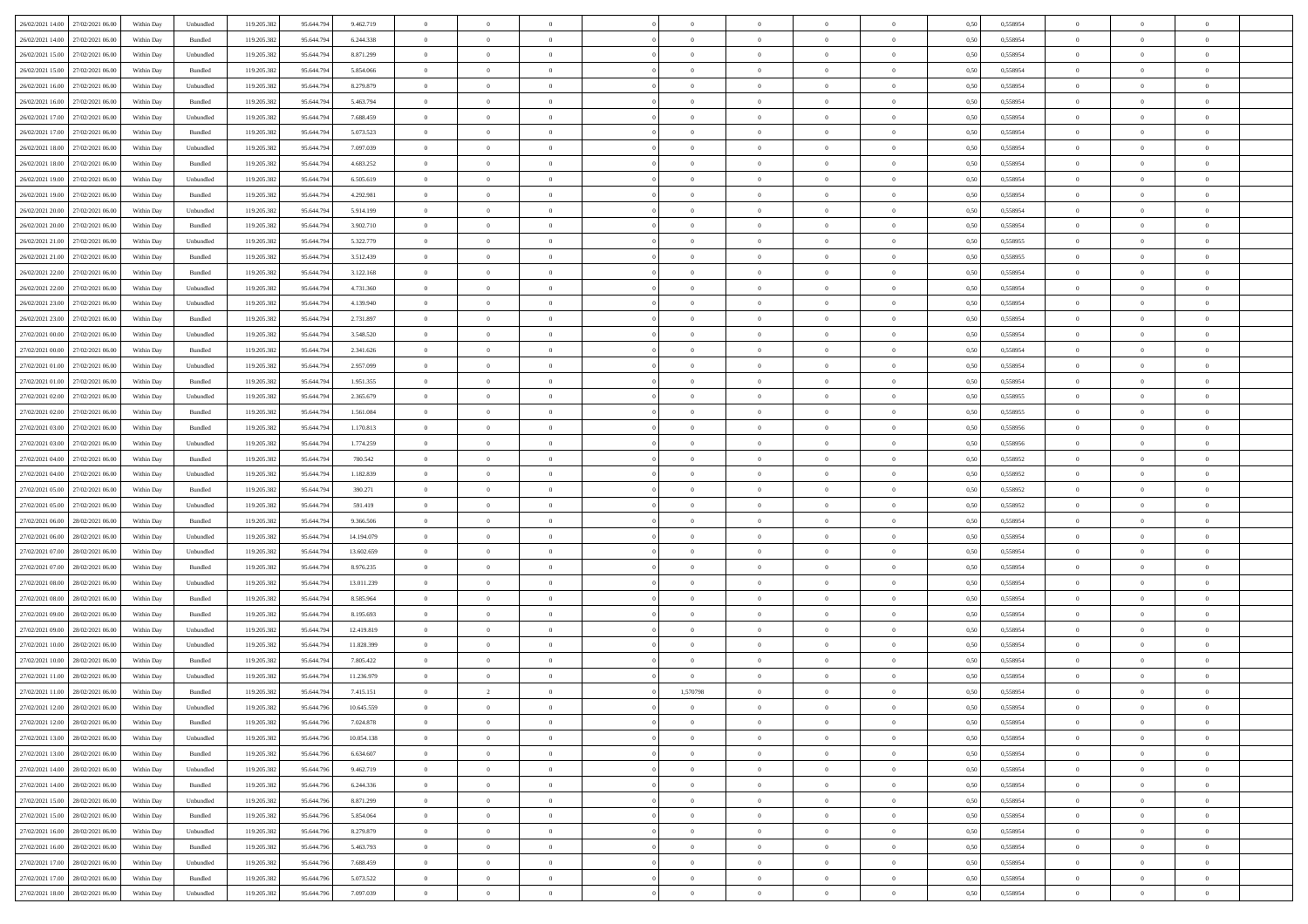|                                      |            |                             |             |            |            | $\overline{0}$ | $\overline{0}$ |                | $\overline{0}$ | $\theta$       |                | $\theta$       |      |          | $\theta$       | $\theta$       | $\overline{0}$ |  |
|--------------------------------------|------------|-----------------------------|-------------|------------|------------|----------------|----------------|----------------|----------------|----------------|----------------|----------------|------|----------|----------------|----------------|----------------|--|
| 26/02/2021 14:00 27/02/2021 06:00    | Within Day | Unbundled                   | 119.205.382 | 95.644.794 | 9.462.719  |                |                |                |                |                |                |                | 0,50 | 0,558954 |                |                |                |  |
| 26/02/2021 14:00<br>27/02/2021 06.00 | Within Day | Bundled                     | 119.205.38  | 95.644.79  | 6.244.338  | $\bf{0}$       | $\bf{0}$       | $\bf{0}$       | $\bf{0}$       | $\overline{0}$ | $\overline{0}$ | $\bf{0}$       | 0,50 | 0,558954 | $\,$ 0 $\,$    | $\bf{0}$       | $\overline{0}$ |  |
| 26/02/2021 15:00<br>27/02/2021 06:00 | Within Day | Unbundled                   | 119.205.382 | 95.644.794 | 8.871.299  | $\overline{0}$ | $\bf{0}$       | $\overline{0}$ | $\bf{0}$       | $\overline{0}$ | $\overline{0}$ | $\bf{0}$       | 0.50 | 0.558954 | $\bf{0}$       | $\overline{0}$ | $\overline{0}$ |  |
| 26/02/2021 15:00<br>27/02/2021 06:00 | Within Day | Bundled                     | 119.205.382 | 95.644.794 | 5.854.066  | $\overline{0}$ | $\overline{0}$ | $\overline{0}$ | $\overline{0}$ | $\theta$       | $\overline{0}$ | $\bf{0}$       | 0,50 | 0,558954 | $\theta$       | $\,$ 0 $\,$    | $\overline{0}$ |  |
|                                      |            |                             |             |            |            |                |                |                |                |                |                |                |      |          |                |                |                |  |
| 26/02/2021 16:00<br>27/02/2021 06.00 | Within Day | Unbundled                   | 119.205.38  | 95.644.79  | 8.279.879  | $\bf{0}$       | $\overline{0}$ | $\bf{0}$       | $\overline{0}$ | $\bf{0}$       | $\overline{0}$ | $\bf{0}$       | 0,50 | 0,558954 | $\,$ 0 $\,$    | $\bf{0}$       | $\overline{0}$ |  |
| 26/02/2021 16:00<br>27/02/2021 06:00 | Within Day | Bundled                     | 119.205.382 | 95.644.79  | 5.463.794  | $\overline{0}$ | $\bf{0}$       | $\overline{0}$ | $\bf{0}$       | $\overline{0}$ | $\overline{0}$ | $\bf{0}$       | 0.50 | 0.558954 | $\,$ 0 $\,$    | $\theta$       | $\overline{0}$ |  |
| 26/02/2021 17:00<br>27/02/2021 06:00 | Within Day | Unbundled                   | 119.205.382 | 95.644.794 | 7.688.459  | $\overline{0}$ | $\overline{0}$ | $\overline{0}$ | $\overline{0}$ | $\overline{0}$ | $\overline{0}$ | $\bf{0}$       | 0,50 | 0,558954 | $\,$ 0 $\,$    | $\theta$       | $\overline{0}$ |  |
| 26/02/2021 17:00<br>27/02/2021 06.00 | Within Day | Bundled                     | 119.205.38  | 95.644.79  | 5.073.523  | $\bf{0}$       | $\bf{0}$       | $\bf{0}$       | $\bf{0}$       | $\overline{0}$ | $\overline{0}$ | $\bf{0}$       | 0,50 | 0,558954 | $\,$ 0 $\,$    | $\bf{0}$       | $\overline{0}$ |  |
|                                      |            |                             |             |            |            |                |                |                |                |                |                |                |      |          |                |                |                |  |
| 26/02/2021 18:00<br>27/02/2021 06:00 | Within Day | Unbundled                   | 119,205.38  | 95.644.79  | 7.097.039  | $\overline{0}$ | $\bf{0}$       | $\overline{0}$ | $\bf{0}$       | $\overline{0}$ | $\overline{0}$ | $\bf{0}$       | 0.50 | 0.558954 | $\bf{0}$       | $\overline{0}$ | $\overline{0}$ |  |
| 26/02/2021 18:00<br>27/02/2021 06:00 | Within Day | Bundled                     | 119.205.382 | 95.644.794 | 4.683.252  | $\overline{0}$ | $\bf{0}$       | $\overline{0}$ | $\overline{0}$ | $\overline{0}$ | $\overline{0}$ | $\bf{0}$       | 0,50 | 0,558954 | $\,$ 0 $\,$    | $\,$ 0 $\,$    | $\overline{0}$ |  |
| 26/02/2021 19:00<br>27/02/2021 06.00 | Within Day | Unbundled                   | 119.205.38  | 95.644.79  | 6.505.619  | $\bf{0}$       | $\bf{0}$       | $\bf{0}$       | $\bf{0}$       | $\overline{0}$ | $\overline{0}$ | $\bf{0}$       | 0,50 | 0,558954 | $\,$ 0 $\,$    | $\bf{0}$       | $\overline{0}$ |  |
| 26/02/2021 19:00<br>27/02/2021 06:00 | Within Day | Bundled                     | 119.205.382 | 95.644.794 | 4.292.981  | $\overline{0}$ | $\bf{0}$       | $\overline{0}$ | $\overline{0}$ | $\overline{0}$ | $\overline{0}$ | $\bf{0}$       | 0.50 | 0.558954 | $\bf{0}$       | $\,$ 0 $\,$    | $\,$ 0         |  |
| 26/02/2021 20:00<br>27/02/2021 06:00 | Within Day | Unbundled                   | 119.205.38  | 95.644.794 | 5.914.199  | $\overline{0}$ | $\bf{0}$       | $\overline{0}$ | $\theta$       | $\theta$       | $\overline{0}$ | $\bf{0}$       | 0,50 | 0,558954 | $\,$ 0 $\,$    | $\theta$       | $\overline{0}$ |  |
|                                      |            |                             |             |            |            |                |                |                |                |                |                |                |      |          |                |                |                |  |
| 26/02/2021 20:00<br>27/02/2021 06.00 | Within Day | Bundled                     | 119.205.38  | 95.644.79  | 3.902.710  | $\bf{0}$       | $\overline{0}$ | $\bf{0}$       | $\bf{0}$       | $\overline{0}$ | $\overline{0}$ | $\bf{0}$       | 0,50 | 0,558954 | $\,$ 0 $\,$    | $\bf{0}$       | $\overline{0}$ |  |
| 26/02/2021 21:00<br>27/02/2021 06:00 | Within Day | Unbundled                   | 119.205.382 | 95.644.794 | 5.322.779  | $\overline{0}$ | $\bf{0}$       | $\overline{0}$ | $\bf{0}$       | $\overline{0}$ | $\overline{0}$ | $\bf{0}$       | 0.50 | 0.558955 | $\,$ 0 $\,$    | $\bf{0}$       | $\overline{0}$ |  |
| 26/02/2021 21:00<br>27/02/2021 06:00 | Within Day | Bundled                     | 119.205.382 | 95.644.794 | 3.512.439  | $\overline{0}$ | $\overline{0}$ | $\overline{0}$ | $\overline{0}$ | $\overline{0}$ | $\overline{0}$ | $\bf{0}$       | 0,50 | 0,558955 | $\theta$       | $\theta$       | $\overline{0}$ |  |
| 26/02/2021 22:00<br>27/02/2021 06.00 | Within Day | Bundled                     | 119.205.38  | 95.644.79  | 3.122.168  | $\bf{0}$       | $\bf{0}$       | $\bf{0}$       | $\overline{0}$ | $\overline{0}$ | $\overline{0}$ | $\bf{0}$       | 0,50 | 0,558954 | $\,$ 0 $\,$    | $\bf{0}$       | $\overline{0}$ |  |
|                                      |            |                             |             |            |            |                |                |                |                |                |                |                |      |          |                |                |                |  |
| 26/02/2021 22:00<br>27/02/2021 06:00 | Within Day | Unbundled                   | 119,205.38  | 95.644.79  | 4.731.360  | $\overline{0}$ | $\bf{0}$       | $\overline{0}$ | $\bf{0}$       | $\bf{0}$       | $\overline{0}$ | $\bf{0}$       | 0.50 | 0.558954 | $\bf{0}$       | $\overline{0}$ | $\overline{0}$ |  |
| 26/02/2021 23:00<br>27/02/2021 06:00 | Within Day | Unbundled                   | 119.205.382 | 95.644.794 | 4.139.940  | $\overline{0}$ | $\bf{0}$       | $\overline{0}$ | $\overline{0}$ | $\overline{0}$ | $\overline{0}$ | $\bf{0}$       | 0,50 | 0,558954 | $\,$ 0 $\,$    | $\bf{0}$       | $\overline{0}$ |  |
| 26/02/2021 23:00<br>27/02/2021 06.00 | Within Day | Bundled                     | 119.205.38  | 95.644.79  | 2.731.897  | $\bf{0}$       | $\bf{0}$       | $\bf{0}$       | $\bf{0}$       | $\overline{0}$ | $\overline{0}$ | $\bf{0}$       | 0,50 | 0,558954 | $\,$ 0 $\,$    | $\bf{0}$       | $\overline{0}$ |  |
| 27/02/2021 00:00<br>27/02/2021 06:00 | Within Day | Unbundled                   | 119.205.382 | 95.644.794 | 3.548.520  | $\overline{0}$ | $\bf{0}$       | $\overline{0}$ | $\overline{0}$ | $\bf{0}$       | $\overline{0}$ | $\bf{0}$       | 0.50 | 0.558954 | $\bf{0}$       | $\overline{0}$ | $\,$ 0         |  |
| 27/02/2021 00:00<br>27/02/2021 06:00 | Within Day | Bundled                     | 119.205.382 | 95.644.794 | 2.341.626  | $\overline{0}$ | $\overline{0}$ | $\overline{0}$ | $\theta$       | $\theta$       | $\overline{0}$ | $\bf{0}$       | 0,50 | 0,558954 | $\theta$       | $\theta$       | $\overline{0}$ |  |
|                                      |            |                             |             |            |            |                | $\bf{0}$       |                |                | $\overline{0}$ | $\overline{0}$ |                |      |          | $\,$ 0 $\,$    | $\bf{0}$       | $\overline{0}$ |  |
| 27/02/2021 01:00<br>27/02/2021 06.00 | Within Day | Unbundled                   | 119.205.38  | 95.644.79  | 2.957.099  | $\bf{0}$       |                | $\bf{0}$       | $\bf{0}$       |                |                | $\bf{0}$       | 0,50 | 0,558954 |                |                |                |  |
| 27/02/2021 01:00<br>27/02/2021 06:00 | Within Day | Bundled                     | 119,205.38  | 95.644.79  | 1.951.355  | $\overline{0}$ | $\bf{0}$       | $\overline{0}$ | $\bf{0}$       | $\overline{0}$ | $\overline{0}$ | $\bf{0}$       | 0.50 | 0.558954 | $\,$ 0 $\,$    | $\theta$       | $\overline{0}$ |  |
| 27/02/2021 02:00<br>27/02/2021 06:00 | Within Day | Unbundled                   | 119.205.382 | 95.644.794 | 2.365.679  | $\overline{0}$ | $\overline{0}$ | $\overline{0}$ | $\overline{0}$ | $\overline{0}$ | $\overline{0}$ | $\bf{0}$       | 0,50 | 0,558955 | $\,$ 0 $\,$    | $\theta$       | $\overline{0}$ |  |
| 27/02/2021 02:00<br>27/02/2021 06.00 | Within Day | Bundled                     | 119.205.38  | 95.644.79  | 1.561.084  | $\bf{0}$       | $\overline{0}$ | $\bf{0}$       | $\overline{0}$ | $\overline{0}$ | $\overline{0}$ | $\bf{0}$       | 0,50 | 0,558955 | $\,$ 0 $\,$    | $\bf{0}$       | $\overline{0}$ |  |
| 27/02/2021 03:00<br>27/02/2021 06:00 | Within Day | Bundled                     | 119,205.38  | 95.644.79  | 1.170.813  | $\overline{0}$ | $\bf{0}$       | $\overline{0}$ | $\bf{0}$       | $\overline{0}$ | $\overline{0}$ | $\bf{0}$       | 0.50 | 0.558956 | $\bf{0}$       | $\overline{0}$ | $\overline{0}$ |  |
| 27/02/2021 03:00<br>27/02/2021 06:00 | Within Day | Unbundled                   | 119.205.382 | 95.644.794 | 1.774.259  | $\overline{0}$ | $\bf{0}$       | $\overline{0}$ | $\overline{0}$ | $\overline{0}$ | $\overline{0}$ | $\bf{0}$       | 0,50 | 0,558956 | $\theta$       | $\bf{0}$       | $\overline{0}$ |  |
|                                      |            |                             |             |            |            |                |                |                |                |                |                |                |      |          |                |                |                |  |
| 27/02/2021 04:00<br>27/02/2021 06.00 | Within Day | Bundled                     | 119.205.38  | 95.644.79  | 780.542    | $\bf{0}$       | $\bf{0}$       | $\bf{0}$       | $\bf{0}$       | $\overline{0}$ | $\overline{0}$ | $\bf{0}$       | 0,50 | 0,558952 | $\,$ 0 $\,$    | $\bf{0}$       | $\overline{0}$ |  |
| 27/02/2021 04:00<br>27/02/2021 06:00 | Within Day | Unbundled                   | 119.205.382 | 95.644.794 | 1.182.839  | $\overline{0}$ | $\bf{0}$       | $\overline{0}$ | $\overline{0}$ | $\overline{0}$ | $\overline{0}$ | $\bf{0}$       | 0.50 | 0.558952 | $\bf{0}$       | $\,$ 0 $\,$    | $\,$ 0         |  |
| 27/02/2021 05:00<br>27/02/2021 06:00 | Within Day | Bundled                     | 119.205.382 | 95.644.79  | 390.271    | $\overline{0}$ | $\overline{0}$ | $\overline{0}$ | $\overline{0}$ | $\overline{0}$ | $\overline{0}$ | $\bf{0}$       | 0.50 | 0,558952 | $\theta$       | $\theta$       | $\overline{0}$ |  |
| 27/02/2021 05:00<br>27/02/2021 06.00 | Within Day | Unbundled                   | 119.205.38  | 95.644.79  | 591.419    | $\bf{0}$       | $\bf{0}$       | $\bf{0}$       | $\bf{0}$       | $\overline{0}$ | $\overline{0}$ | $\bf{0}$       | 0,50 | 0,558952 | $\,$ 0 $\,$    | $\bf{0}$       | $\overline{0}$ |  |
| 27/02/2021 06:00<br>28/02/2021 06:00 |            | Bundled                     | 119.205.382 | 95.644.794 | 9.366.506  | $\overline{0}$ | $\bf{0}$       | $\overline{0}$ | $\bf{0}$       | $\overline{0}$ | $\overline{0}$ | $\bf{0}$       | 0.50 | 0.558954 | $\,$ 0 $\,$    | $\bf{0}$       | $\overline{0}$ |  |
|                                      | Within Day |                             |             |            |            |                |                |                |                |                |                |                |      |          |                |                |                |  |
| 27/02/2021 06:00<br>28/02/2021 06:00 | Within Dav | Unbundled                   | 119.205.382 | 95.644.794 | 14.194.079 | $\overline{0}$ | $\overline{0}$ | $\overline{0}$ | $\overline{0}$ | $\overline{0}$ | $\overline{0}$ | $\bf{0}$       | 0.50 | 0,558954 | $\theta$       | $\theta$       | $\overline{0}$ |  |
| 27/02/2021 07:00<br>28/02/2021 06:00 | Within Day | Unbundled                   | 119.205.38  | 95.644.79  | 13.602.659 | $\bf{0}$       | $\bf{0}$       | $\bf{0}$       | $\bf{0}$       | $\overline{0}$ | $\overline{0}$ | $\bf{0}$       | 0,50 | 0,558954 | $\,$ 0 $\,$    | $\bf{0}$       | $\overline{0}$ |  |
| 27/02/2021 07:00<br>28/02/2021 06:00 | Within Day | Bundled                     | 119,205.38  | 95.644.79  | 8.976.235  | $\overline{0}$ | $\bf{0}$       | $\overline{0}$ | $\bf{0}$       | $\overline{0}$ | $\overline{0}$ | $\bf{0}$       | 0.50 | 0.558954 | $\bf{0}$       | $\overline{0}$ | $\overline{0}$ |  |
| 27/02/2021 08:00<br>28/02/2021 06:00 | Within Dav | Unbundled                   | 119.205.38  | 95.644.79  | 13.011.239 | $\overline{0}$ | $\overline{0}$ | $\overline{0}$ | $\overline{0}$ | $\overline{0}$ | $\overline{0}$ | $\bf{0}$       | 0.50 | 0,558954 | $\theta$       | $\theta$       | $\overline{0}$ |  |
| 27/02/2021 08:00<br>28/02/2021 06:00 | Within Day | Bundled                     | 119.205.38  | 95.644.79  | 8.585.964  | $\bf{0}$       | $\bf{0}$       | $\bf{0}$       | $\bf{0}$       | $\overline{0}$ | $\bf{0}$       | $\bf{0}$       | 0,50 | 0,558954 | $\,$ 0 $\,$    | $\bf{0}$       | $\overline{0}$ |  |
|                                      |            |                             |             |            |            |                |                |                |                |                |                |                |      |          |                |                |                |  |
| 27/02/2021 09:00<br>28/02/2021 06:00 | Within Day | Bundled                     | 119.205.382 | 95.644.794 | 8.195.693  | $\overline{0}$ | $\bf{0}$       | $\overline{0}$ | $\overline{0}$ | $\bf{0}$       | $\overline{0}$ | $\bf{0}$       | 0.50 | 0.558954 | $\,$ 0 $\,$    | $\,$ 0 $\,$    | $\overline{0}$ |  |
| 27/02/2021 09:00<br>28/02/2021 06:00 | Within Dav | Unbundled                   | 119.205.382 | 95.644.79  | 12.419.819 | $\overline{0}$ | $\overline{0}$ | $\overline{0}$ | $\overline{0}$ | $\overline{0}$ | $\overline{0}$ | $\bf{0}$       | 0.50 | 0,558954 | $\theta$       | $\theta$       | $\overline{0}$ |  |
| 27/02/2021 10:00<br>28/02/2021 06:00 | Within Day | Unbundled                   | 119.205.38  | 95.644.79  | 11.828.399 | $\bf{0}$       | $\bf{0}$       | $\bf{0}$       | $\bf{0}$       | $\overline{0}$ | $\overline{0}$ | $\bf{0}$       | 0,50 | 0,558954 | $\,$ 0 $\,$    | $\bf{0}$       | $\overline{0}$ |  |
| 27/02/2021 10:00<br>28/02/2021 06:00 | Within Day | Bundled                     | 119.205.382 | 95.644.79  | 7.805.422  | $\overline{0}$ | $\bf{0}$       | $\overline{0}$ | $\bf{0}$       | $\overline{0}$ | $\overline{0}$ | $\bf{0}$       | 0.50 | 0.558954 | $\bf{0}$       | $\bf{0}$       | $\overline{0}$ |  |
| 27/02/2021 11:00<br>28/02/2021 06:00 | Within Dav | Unbundled                   | 119.205.38  | 95.644.79  | 11.236.979 | $\overline{0}$ | $\overline{0}$ | $\overline{0}$ | $\overline{0}$ | $\theta$       | $\overline{0}$ | $\overline{0}$ | 0.5( | 0,558954 | $\theta$       | $\theta$       | $\overline{0}$ |  |
|                                      |            |                             |             |            |            |                | $\overline{2}$ |                |                |                |                |                |      |          |                |                |                |  |
| 27/02/2021 11:00<br>28/02/2021 06:00 | Within Day | Bundled                     | 119.205.382 | 95.644.79  | 7.415.151  | $\bf{0}$       |                | $\bf{0}$       | 1,570798       | $\overline{0}$ | $\overline{0}$ | $\bf{0}$       | 0,50 | 0,558954 | $\,$ 0 $\,$    | $\overline{0}$ | $\overline{0}$ |  |
| 27/02/2021 12:00 28/02/2021 06:00    | Within Day | $\ensuremath{\mathsf{Unb}}$ | 119.205.382 | 95.644.796 | 10.645.559 | $\bf{0}$       | $\bf{0}$       |                | $\overline{0}$ | $\bf{0}$       |                |                | 0,50 | 0.558954 | $\bf{0}$       | $\,$ 0         |                |  |
| 27/02/2021 12:00 28/02/2021 06:00    | Within Day | Bundled                     | 119.205.382 | 95.644.796 | 7.024.878  | $\overline{0}$ | $\overline{0}$ | $\Omega$       | $\theta$       | $\overline{0}$ | $\overline{0}$ | $\bf{0}$       | 0,50 | 0,558954 | $\theta$       | $\theta$       | $\overline{0}$ |  |
| 27/02/2021 13:00<br>28/02/2021 06:00 | Within Day | Unbundled                   | 119.205.38  | 95.644.79  | 10.054.138 | $\overline{0}$ | $\bf{0}$       | $\overline{0}$ | $\overline{0}$ | $\bf{0}$       | $\overline{0}$ | $\bf{0}$       | 0,50 | 0,558954 | $\bf{0}$       | $\overline{0}$ | $\bf{0}$       |  |
| 27/02/2021 13:00 28/02/2021 06:00    | Within Day | Bundled                     | 119.205.382 | 95.644.796 | 6.634.607  | $\overline{0}$ | $\bf{0}$       | $\overline{0}$ | $\overline{0}$ | $\mathbf{0}$   | $\overline{0}$ | $\,$ 0 $\,$    | 0.50 | 0.558954 | $\overline{0}$ | $\bf{0}$       | $\,$ 0 $\,$    |  |
|                                      |            |                             |             |            |            |                |                |                |                |                |                |                |      |          |                |                |                |  |
| 27/02/2021 14:00 28/02/2021 06:00    | Within Dav | Unbundled                   | 119.205.382 | 95.644.796 | 9.462.719  | $\overline{0}$ | $\overline{0}$ | $\overline{0}$ | $\overline{0}$ | $\overline{0}$ | $\overline{0}$ | $\bf{0}$       | 0,50 | 0,558954 | $\theta$       | $\theta$       | $\overline{0}$ |  |
| 27/02/2021 14:00<br>28/02/2021 06:00 | Within Day | Bundled                     | 119.205.382 | 95.644.79  | 6.244.336  | $\overline{0}$ | $\bf{0}$       | $\overline{0}$ | $\overline{0}$ | $\bf{0}$       | $\overline{0}$ | $\bf{0}$       | 0,50 | 0,558954 | $\bf{0}$       | $\overline{0}$ | $\overline{0}$ |  |
| 27/02/2021 15:00<br>28/02/2021 06:00 | Within Day | Unbundled                   | 119.205.382 | 95.644.796 | 8.871.299  | $\overline{0}$ | $\bf{0}$       | $\overline{0}$ | $\overline{0}$ | $\overline{0}$ | $\overline{0}$ | $\bf{0}$       | 0.50 | 0.558954 | $\,$ 0 $\,$    | $\overline{0}$ | $\,$ 0         |  |
| 27/02/2021 15:00<br>28/02/2021 06:00 | Within Dav | Bundled                     | 119.205.382 | 95.644.796 | 5.854.064  | $\overline{0}$ | $\overline{0}$ | $\overline{0}$ | $\overline{0}$ | $\overline{0}$ | $\overline{0}$ | $\bf{0}$       | 0.50 | 0,558954 | $\overline{0}$ | $\theta$       | $\overline{0}$ |  |
| 27/02/2021 16:00<br>28/02/2021 06:00 | Within Day | Unbundled                   | 119.205.38  | 95.644.79  | 8.279.879  | $\overline{0}$ | $\overline{0}$ | $\overline{0}$ | $\overline{0}$ | $\overline{0}$ | $\overline{0}$ | $\bf{0}$       | 0,50 | 0,558954 | $\bf{0}$       | $\overline{0}$ | $\,$ 0         |  |
|                                      |            |                             |             |            |            |                |                |                |                |                |                |                |      |          |                |                |                |  |
| 27/02/2021 16:00 28/02/2021 06:00    | Within Day | Bundled                     | 119.205.382 | 95.644.796 | 5.463.793  | $\overline{0}$ | $\overline{0}$ | $\overline{0}$ | $\overline{0}$ | $\overline{0}$ | $\overline{0}$ | $\bf{0}$       | 0.50 | 0.558954 | $\mathbf{0}$   | $\bf{0}$       | $\,$ 0         |  |
| 27/02/2021 17:00 28/02/2021 06:00    | Within Dav | Unbundled                   | 119.205.382 | 95.644.796 | 7.688.459  | $\overline{0}$ | $\overline{0}$ | $\overline{0}$ | $\overline{0}$ | $\overline{0}$ | $\overline{0}$ | $\bf{0}$       | 0,50 | 0,558954 | $\overline{0}$ | $\theta$       | $\overline{0}$ |  |
| 27/02/2021 17:00<br>28/02/2021 06:00 | Within Day | Bundled                     | 119.205.38  | 95.644.79  | 5.073.522  | $\overline{0}$ | $\bf{0}$       | $\overline{0}$ | $\bf{0}$       | $\overline{0}$ | $\bf{0}$       | $\bf{0}$       | 0,50 | 0,558954 | $\bf{0}$       | $\,$ 0 $\,$    | $\bf{0}$       |  |
| 27/02/2021 18:00 28/02/2021 06:00    | Within Day | Unbundled                   | 119.205.382 | 95.644.796 | 7.097.039  | $\overline{0}$ | $\bf{0}$       | $\overline{0}$ | $\overline{0}$ | $\,$ 0 $\,$    | $\overline{0}$ | $\bf{0}$       | 0,50 | 0,558954 | $\overline{0}$ | $\,$ 0 $\,$    | $\,$ 0 $\,$    |  |
|                                      |            |                             |             |            |            |                |                |                |                |                |                |                |      |          |                |                |                |  |